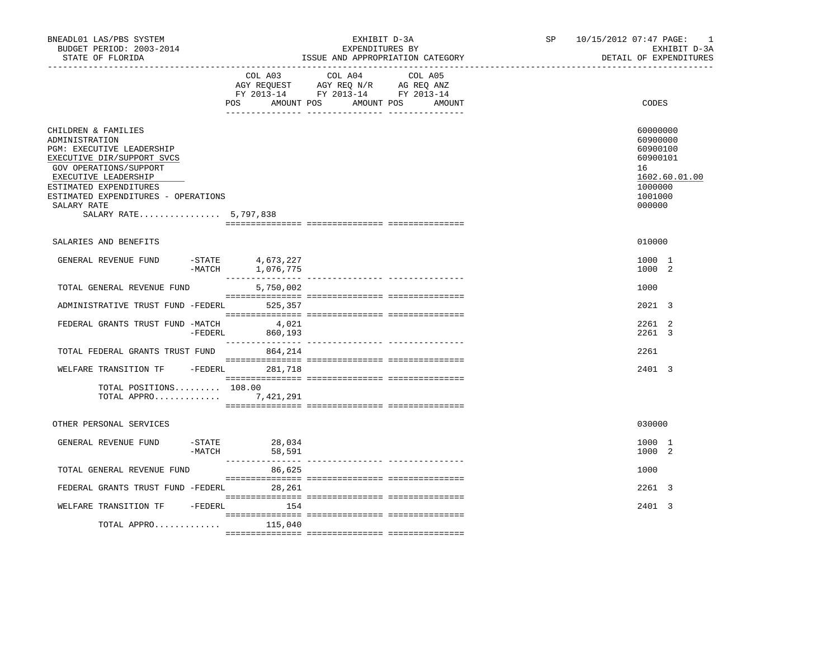| BNEADL01 LAS/PBS SYSTEM<br>BUDGET PERIOD: 2003-2014<br>STATE OF FLORIDA                                                                                                                                                                                     |                    |                                      | EXPENDITURES BY<br>ISSUE AND APPROPRIATION CATEGORY                                                                       | EXHIBIT D-3A | SP <sub>2</sub> | 10/15/2012 07:47 PAGE: 1 |                                                                                    | EXHIBIT D-3A<br>DETAIL OF EXPENDITURES |
|-------------------------------------------------------------------------------------------------------------------------------------------------------------------------------------------------------------------------------------------------------------|--------------------|--------------------------------------|---------------------------------------------------------------------------------------------------------------------------|--------------|-----------------|--------------------------|------------------------------------------------------------------------------------|----------------------------------------|
|                                                                                                                                                                                                                                                             |                    | POS                                  | COL A03 COL A04<br>AGY REQUEST AGY REQ N/R AG REQ ANZ<br>FY 2013-14 FY 2013-14 FY 2013-14<br>AMOUNT POS AMOUNT POS AMOUNT | COL A05      |                 |                          | CODES                                                                              |                                        |
| CHILDREN & FAMILIES<br>ADMINISTRATION<br>PGM: EXECUTIVE LEADERSHIP<br>EXECUTIVE DIR/SUPPORT SVCS<br>GOV OPERATIONS/SUPPORT<br>EXECUTIVE LEADERSHIP<br>ESTIMATED EXPENDITURES<br>ESTIMATED EXPENDITURES - OPERATIONS<br>SALARY RATE<br>SALARY RATE 5,797,838 |                    |                                      |                                                                                                                           |              |                 |                          | 60000000<br>60900000<br>60900100<br>60900101<br>16<br>1000000<br>1001000<br>000000 | 1602.60.01.00                          |
| SALARIES AND BENEFITS                                                                                                                                                                                                                                       |                    |                                      |                                                                                                                           |              |                 |                          | 010000                                                                             |                                        |
| GENERAL REVENUE FUND                                                                                                                                                                                                                                        |                    | -STATE 4,673,227<br>-MATCH 1,076,775 |                                                                                                                           |              |                 |                          | 1000 1<br>1000 2                                                                   |                                        |
| TOTAL GENERAL REVENUE FUND                                                                                                                                                                                                                                  |                    | 5,750,002                            |                                                                                                                           |              |                 |                          | 1000                                                                               |                                        |
| ADMINISTRATIVE TRUST FUND -FEDERL                                                                                                                                                                                                                           |                    | 525,357                              |                                                                                                                           |              |                 |                          | 2021 3                                                                             |                                        |
| FEDERAL GRANTS TRUST FUND -MATCH                                                                                                                                                                                                                            | -FEDERL            | 4,021<br>860,193                     |                                                                                                                           |              |                 |                          | 2261 2<br>2261 3                                                                   |                                        |
| TOTAL FEDERAL GRANTS TRUST FUND                                                                                                                                                                                                                             |                    | 864,214                              |                                                                                                                           |              |                 |                          | 2261                                                                               |                                        |
| WELFARE TRANSITION TF - FEDERL 281,718                                                                                                                                                                                                                      |                    |                                      |                                                                                                                           |              |                 |                          | 2401 3                                                                             |                                        |
| TOTAL POSITIONS 108.00<br>TOTAL APPRO 7,421,291                                                                                                                                                                                                             |                    |                                      |                                                                                                                           |              |                 |                          |                                                                                    |                                        |
| OTHER PERSONAL SERVICES                                                                                                                                                                                                                                     |                    |                                      |                                                                                                                           |              |                 |                          | 030000                                                                             |                                        |
| GENERAL REVENUE FUND                                                                                                                                                                                                                                        | -STATE<br>$-MATCH$ | 28,034<br>58,591                     |                                                                                                                           |              |                 |                          | 1000 1<br>1000 2                                                                   |                                        |
| TOTAL GENERAL REVENUE FUND                                                                                                                                                                                                                                  |                    | 86,625                               |                                                                                                                           |              |                 |                          | 1000                                                                               |                                        |
| FEDERAL GRANTS TRUST FUND -FEDERL 28,261                                                                                                                                                                                                                    |                    |                                      |                                                                                                                           |              |                 |                          | 2261 3                                                                             |                                        |
| WELFARE TRANSITION TF - FEDERL 154                                                                                                                                                                                                                          |                    |                                      |                                                                                                                           |              |                 |                          | 2401 3                                                                             |                                        |
| TOTAL APPRO                                                                                                                                                                                                                                                 |                    | 115,040                              |                                                                                                                           |              |                 |                          |                                                                                    |                                        |
|                                                                                                                                                                                                                                                             |                    |                                      |                                                                                                                           |              |                 |                          |                                                                                    |                                        |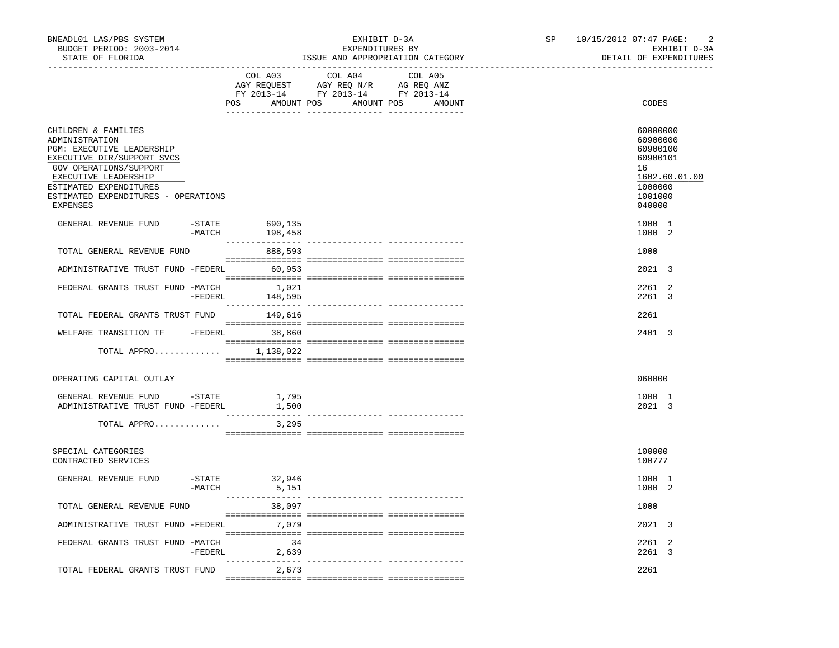| BNEADL01 LAS/PBS SYSTEM<br>BUDGET PERIOD: 2003-2014<br>STATE OF FLORIDA                                                                                                                                                         |                       |                             | EXHIBIT D-3A<br>EXPENDITURES BY                                                                                                                                                                                                                                    | ISSUE AND APPROPRIATION CATEGORY | SP | 10/15/2012 07:47 PAGE: |                                                                                    | $\overline{2}$<br>EXHIBIT D-3A<br>DETAIL OF EXPENDITURES |
|---------------------------------------------------------------------------------------------------------------------------------------------------------------------------------------------------------------------------------|-----------------------|-----------------------------|--------------------------------------------------------------------------------------------------------------------------------------------------------------------------------------------------------------------------------------------------------------------|----------------------------------|----|------------------------|------------------------------------------------------------------------------------|----------------------------------------------------------|
|                                                                                                                                                                                                                                 |                       | COL A03                     | COL A04<br>$\begin{tabular}{lllllllll} \bf{AGY} & \bf{REOUEST} & \bf{AGY} & \bf{REOU} & \bf{N/R} & \bf{AG} & \bf{REQ} & \bf{ANZ} \\ \bf{FY} & \bf{2013-14} & \bf{FY} & \bf{2013-14} & \bf{FY} & \bf{2013-14} \\ \end{tabular}$<br>POS AMOUNT POS AMOUNT POS AMOUNT | COL A05                          |    |                        | CODES                                                                              |                                                          |
| CHILDREN & FAMILIES<br>ADMINISTRATION<br>PGM: EXECUTIVE LEADERSHIP<br>EXECUTIVE DIR/SUPPORT SVCS<br>GOV OPERATIONS/SUPPORT<br>EXECUTIVE LEADERSHIP<br>ESTIMATED EXPENDITURES<br>ESTIMATED EXPENDITURES - OPERATIONS<br>EXPENSES |                       |                             |                                                                                                                                                                                                                                                                    |                                  |    |                        | 60000000<br>60900000<br>60900100<br>60900101<br>16<br>1000000<br>1001000<br>040000 | 1602.60.01.00                                            |
| GENERAL REVENUE FUND                                                                                                                                                                                                            | -STATE<br>$-MATCH$    | 690,135<br>198,458          |                                                                                                                                                                                                                                                                    |                                  |    |                        | 1000 1<br>1000 2                                                                   |                                                          |
| TOTAL GENERAL REVENUE FUND                                                                                                                                                                                                      |                       | 888,593                     |                                                                                                                                                                                                                                                                    |                                  |    |                        | 1000                                                                               |                                                          |
| ADMINISTRATIVE TRUST FUND -FEDERL 60,953                                                                                                                                                                                        |                       |                             |                                                                                                                                                                                                                                                                    |                                  |    |                        | 2021 3                                                                             |                                                          |
| FEDERAL GRANTS TRUST FUND -MATCH                                                                                                                                                                                                | -FEDERL               | 1,021<br>148,595            |                                                                                                                                                                                                                                                                    |                                  |    |                        | 2261 2<br>2261 3                                                                   |                                                          |
| TOTAL FEDERAL GRANTS TRUST FUND 149,616                                                                                                                                                                                         |                       |                             |                                                                                                                                                                                                                                                                    |                                  |    |                        | 2261                                                                               |                                                          |
| WELFARE TRANSITION TF - FEDERL 38,860                                                                                                                                                                                           |                       |                             |                                                                                                                                                                                                                                                                    |                                  |    |                        | 2401 3                                                                             |                                                          |
| TOTAL APPRO $1,138,022$                                                                                                                                                                                                         |                       |                             |                                                                                                                                                                                                                                                                    |                                  |    |                        |                                                                                    |                                                          |
| OPERATING CAPITAL OUTLAY                                                                                                                                                                                                        |                       |                             |                                                                                                                                                                                                                                                                    |                                  |    |                        | 060000                                                                             |                                                          |
| GENERAL REVENUE FUND -STATE<br>ADMINISTRATIVE TRUST FUND -FEDERL                                                                                                                                                                |                       | 1,795<br>1,500              |                                                                                                                                                                                                                                                                    |                                  |    |                        | 1000 1<br>2021 3                                                                   |                                                          |
| TOTAL APPRO                                                                                                                                                                                                                     |                       | 3,295                       |                                                                                                                                                                                                                                                                    |                                  |    |                        |                                                                                    |                                                          |
| SPECIAL CATEGORIES<br>CONTRACTED SERVICES                                                                                                                                                                                       |                       |                             |                                                                                                                                                                                                                                                                    |                                  |    |                        | 100000<br>100777                                                                   |                                                          |
| GENERAL REVENUE FUND                                                                                                                                                                                                            | $-$ STATE<br>$-MATCH$ | 32,946<br>5,151             |                                                                                                                                                                                                                                                                    |                                  |    |                        | 1000 1<br>1000 2                                                                   |                                                          |
| TOTAL GENERAL REVENUE FUND                                                                                                                                                                                                      |                       | 38,097                      |                                                                                                                                                                                                                                                                    |                                  |    |                        | 1000                                                                               |                                                          |
| ADMINISTRATIVE TRUST FUND -FEDERL 7,079                                                                                                                                                                                         |                       |                             |                                                                                                                                                                                                                                                                    |                                  |    |                        | 2021 3                                                                             |                                                          |
| FEDERAL GRANTS TRUST FUND -MATCH                                                                                                                                                                                                |                       | 34<br>-FEDERL 2,639         |                                                                                                                                                                                                                                                                    |                                  |    |                        | 2261 2<br>2261 3                                                                   |                                                          |
| TOTAL FEDERAL GRANTS TRUST FUND                                                                                                                                                                                                 |                       | --------------- --<br>2,673 |                                                                                                                                                                                                                                                                    |                                  |    |                        | 2261                                                                               |                                                          |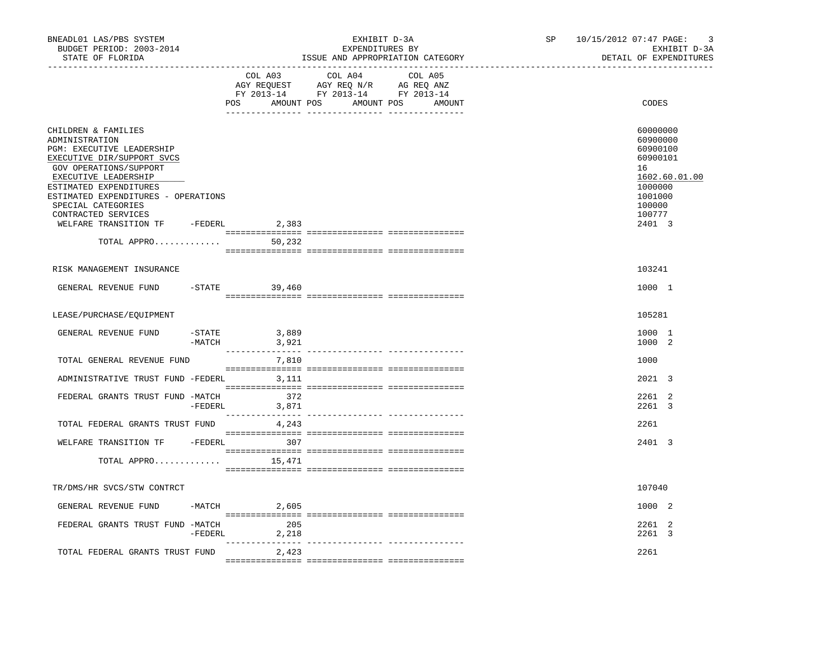| BNEADL01 LAS/PBS SYSTEM<br>BUDGET PERIOD: 2003-2014<br>STATE OF FLORIDA<br>-----------------                                                                                                                                                                                                                                    |                    |                         | EXHIBIT D-3A<br>EXPENDITURES BY<br>ISSUE AND APPROPRIATION CATEGORY | SP<br>____________________________________  | $\overline{3}$<br>10/15/2012 07:47 PAGE:<br>EXHIBIT D-3A<br>DETAIL OF EXPENDITURES |                                                                                                                         |
|---------------------------------------------------------------------------------------------------------------------------------------------------------------------------------------------------------------------------------------------------------------------------------------------------------------------------------|--------------------|-------------------------|---------------------------------------------------------------------|---------------------------------------------|------------------------------------------------------------------------------------|-------------------------------------------------------------------------------------------------------------------------|
|                                                                                                                                                                                                                                                                                                                                 |                    | COL A03                 | COL A04                                                             | COL A05<br>POS AMOUNT POS AMOUNT POS AMOUNT |                                                                                    | CODES                                                                                                                   |
| CHILDREN & FAMILIES<br>ADMINISTRATION<br>PGM: EXECUTIVE LEADERSHIP<br>EXECUTIVE DIR/SUPPORT SVCS<br>GOV OPERATIONS/SUPPORT<br>EXECUTIVE LEADERSHIP<br>ESTIMATED EXPENDITURES<br>ESTIMATED EXPENDITURES - OPERATIONS<br>SPECIAL CATEGORIES<br>CONTRACTED SERVICES<br>WELFARE TRANSITION TF -FEDERL 2,383<br>TOTAL APPRO $50,232$ |                    |                         |                                                                     |                                             |                                                                                    | 60000000<br>60900000<br>60900100<br>60900101<br>16<br>1602.60.01.00<br>1000000<br>1001000<br>100000<br>100777<br>2401 3 |
|                                                                                                                                                                                                                                                                                                                                 |                    |                         |                                                                     |                                             |                                                                                    |                                                                                                                         |
| RISK MANAGEMENT INSURANCE                                                                                                                                                                                                                                                                                                       |                    |                         |                                                                     |                                             |                                                                                    | 103241                                                                                                                  |
| GENERAL REVENUE FUND                                                                                                                                                                                                                                                                                                            |                    | $-$ STATE<br>39,460     |                                                                     |                                             |                                                                                    | 1000 1                                                                                                                  |
| LEASE/PURCHASE/EQUIPMENT                                                                                                                                                                                                                                                                                                        |                    |                         |                                                                     |                                             |                                                                                    | 105281                                                                                                                  |
| GENERAL REVENUE FUND                                                                                                                                                                                                                                                                                                            | -STATE<br>$-MATCH$ | 3,889<br>3,921          |                                                                     |                                             |                                                                                    | 1000 1<br>1000 2                                                                                                        |
| TOTAL GENERAL REVENUE FUND                                                                                                                                                                                                                                                                                                      |                    | 7,810                   |                                                                     |                                             |                                                                                    | 1000                                                                                                                    |
| ADMINISTRATIVE TRUST FUND -FEDERL 3,111                                                                                                                                                                                                                                                                                         |                    |                         |                                                                     |                                             |                                                                                    | 2021 3                                                                                                                  |
| FEDERAL GRANTS TRUST FUND -MATCH                                                                                                                                                                                                                                                                                                | -FEDERL            | 372<br>3,871            |                                                                     |                                             |                                                                                    | 2261 2<br>2261 3                                                                                                        |
| TOTAL FEDERAL GRANTS TRUST FUND                                                                                                                                                                                                                                                                                                 |                    | 4,243                   |                                                                     |                                             |                                                                                    | 2261                                                                                                                    |
| WELFARE TRANSITION TF - FEDERL 307                                                                                                                                                                                                                                                                                              |                    |                         |                                                                     |                                             |                                                                                    | 2401 3                                                                                                                  |
| TOTAL APPRO                                                                                                                                                                                                                                                                                                                     |                    | 15,471                  |                                                                     |                                             |                                                                                    |                                                                                                                         |
| TR/DMS/HR SVCS/STW CONTRCT                                                                                                                                                                                                                                                                                                      |                    |                         |                                                                     |                                             |                                                                                    | 107040                                                                                                                  |
| GENERAL REVENUE FUND                                                                                                                                                                                                                                                                                                            |                    | $-MATCH$ 2,605          |                                                                     |                                             |                                                                                    | 1000 2                                                                                                                  |
| FEDERAL GRANTS TRUST FUND -MATCH                                                                                                                                                                                                                                                                                                |                    | 205<br>$-FEDERL$ 2, 218 |                                                                     |                                             |                                                                                    | 2261 2<br>2261 3                                                                                                        |
| TOTAL FEDERAL GRANTS TRUST FUND                                                                                                                                                                                                                                                                                                 |                    | 2,423                   |                                                                     |                                             |                                                                                    | 2261                                                                                                                    |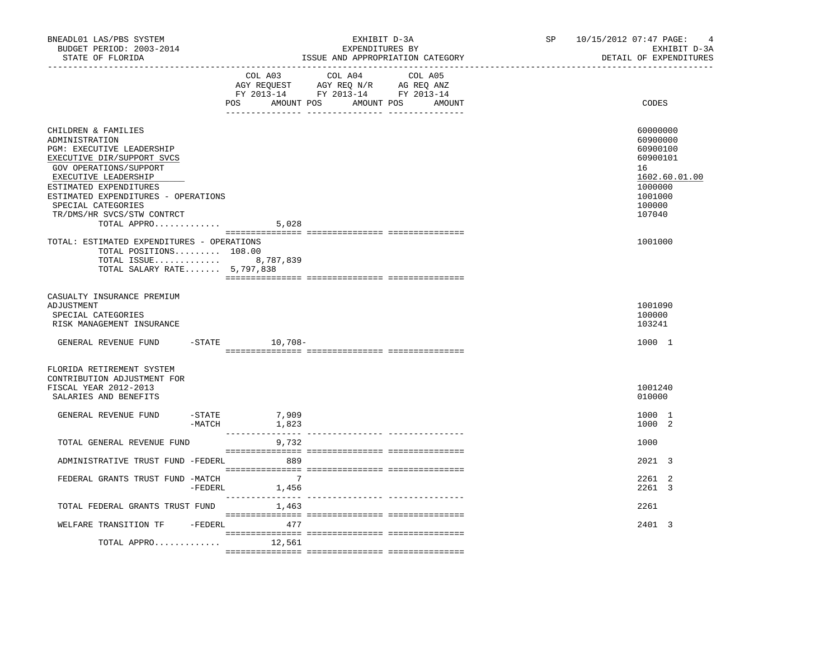| BNEADL01 LAS/PBS SYSTEM<br>BUDGET PERIOD: 2003-2014<br>STATE OF FLORIDA                                                                                                                                                                                                                |                       |                                             | EXHIBIT D-3A<br>EXPENDITURES BY<br>ISSUE AND APPROPRIATION CATEGORY                                                           |         | SP | 10/15/2012 07:47 PAGE: | $\overline{4}$<br>EXHIBIT D-3A<br>DETAIL OF EXPENDITURES                                                      |
|----------------------------------------------------------------------------------------------------------------------------------------------------------------------------------------------------------------------------------------------------------------------------------------|-----------------------|---------------------------------------------|-------------------------------------------------------------------------------------------------------------------------------|---------|----|------------------------|---------------------------------------------------------------------------------------------------------------|
|                                                                                                                                                                                                                                                                                        |                       |                                             | COL A03 COL A04<br>AGY REQUEST AGY REQ N/R AG REQ ANZ<br>FY 2013-14 FY 2013-14 FY 2013-14<br>POS AMOUNT POS AMOUNT POS AMOUNT | COL A05 |    |                        | CODES                                                                                                         |
| CHILDREN & FAMILIES<br>ADMINISTRATION<br>PGM: EXECUTIVE LEADERSHIP<br>EXECUTIVE DIR/SUPPORT SVCS<br>GOV OPERATIONS/SUPPORT<br>EXECUTIVE LEADERSHIP<br>ESTIMATED EXPENDITURES<br>ESTIMATED EXPENDITURES - OPERATIONS<br>SPECIAL CATEGORIES<br>TR/DMS/HR SVCS/STW CONTRCT<br>TOTAL APPRO |                       | 5,028                                       |                                                                                                                               |         |    |                        | 60000000<br>60900000<br>60900100<br>60900101<br>16<br>1602.60.01.00<br>1000000<br>1001000<br>100000<br>107040 |
| TOTAL: ESTIMATED EXPENDITURES - OPERATIONS<br>TOTAL POSITIONS 108.00<br>TOTAL ISSUE 8,787,839<br>TOTAL SALARY RATE 5,797,838                                                                                                                                                           |                       |                                             |                                                                                                                               |         |    |                        | 1001000                                                                                                       |
| CASUALTY INSURANCE PREMIUM<br>ADJUSTMENT<br>SPECIAL CATEGORIES<br>RISK MANAGEMENT INSURANCE                                                                                                                                                                                            |                       |                                             |                                                                                                                               |         |    |                        | 1001090<br>100000<br>103241                                                                                   |
| GENERAL REVENUE FUND                                                                                                                                                                                                                                                                   |                       | $-$ STATE $10, 708-$                        |                                                                                                                               |         |    |                        | 1000 1                                                                                                        |
| FLORIDA RETIREMENT SYSTEM<br>CONTRIBUTION ADJUSTMENT FOR<br>FISCAL YEAR 2012-2013<br>SALARIES AND BENEFITS                                                                                                                                                                             |                       |                                             |                                                                                                                               |         |    |                        | 1001240<br>010000                                                                                             |
| GENERAL REVENUE FUND                                                                                                                                                                                                                                                                   | $-$ STATE<br>$-MATCH$ | 7,909<br>1,823                              |                                                                                                                               |         |    |                        | 1000 1<br>1000 2                                                                                              |
| TOTAL GENERAL REVENUE FUND                                                                                                                                                                                                                                                             |                       | 9,732                                       |                                                                                                                               |         |    |                        | 1000                                                                                                          |
| ADMINISTRATIVE TRUST FUND -FEDERL                                                                                                                                                                                                                                                      |                       | 889                                         | $\begin{array}{l} \texttt{--}\end{array}$                                                                                     |         |    |                        | 2021 3                                                                                                        |
| FEDERAL GRANTS TRUST FUND -MATCH                                                                                                                                                                                                                                                       | -FEDERL               | $\overline{7}$<br>1,456<br>________________ |                                                                                                                               |         |    |                        | 2261 2<br>2261 3                                                                                              |
| TOTAL FEDERAL GRANTS TRUST FUND                                                                                                                                                                                                                                                        |                       | 1,463                                       |                                                                                                                               |         |    |                        | 2261                                                                                                          |
| WELFARE TRANSITION TF - FEDERL 477<br>TOTAL APPRO $12,561$                                                                                                                                                                                                                             |                       |                                             |                                                                                                                               |         |    |                        | 2401 3                                                                                                        |
|                                                                                                                                                                                                                                                                                        |                       |                                             |                                                                                                                               |         |    |                        |                                                                                                               |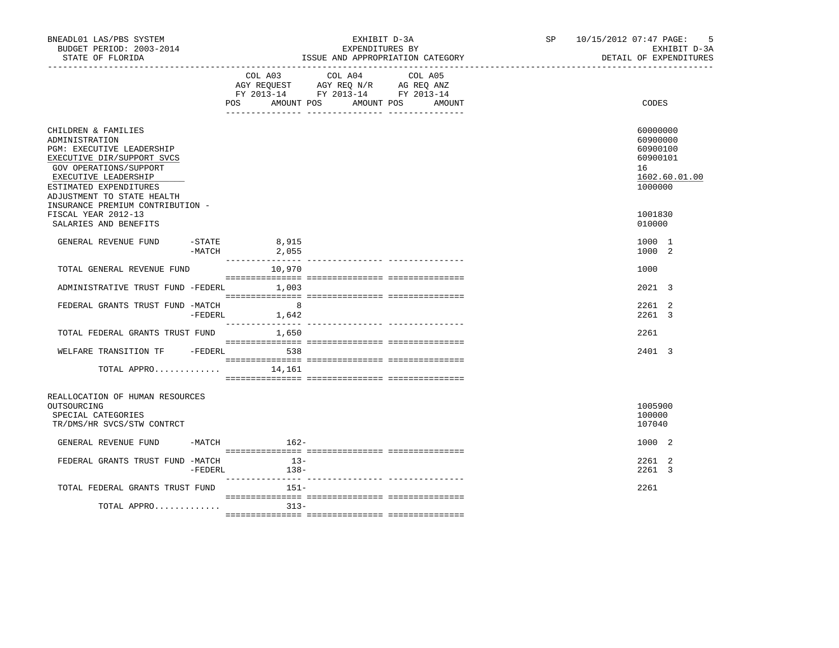| BNEADL01 LAS/PBS SYSTEM<br>BUDGET PERIOD: 2003-2014<br>STATE OF FLORIDA<br>_____________________________________                                                                                                                               |                      |                                     | EXHIBIT D-3A<br>EXPENDITURES BY                                                   | ISSUE AND APPROPRIATION CATEGORY | SP and the set of the set of the set of the set of the set of the set of the set of the set of the set of the set of the set of the set of the set of the set of the set of the set of the set of the set of the set of the se | - 5<br>10/15/2012 07:47 PAGE:<br>EXHIBIT D-3A<br>DETAIL OF EXPENDITURES        |
|------------------------------------------------------------------------------------------------------------------------------------------------------------------------------------------------------------------------------------------------|----------------------|-------------------------------------|-----------------------------------------------------------------------------------|----------------------------------|--------------------------------------------------------------------------------------------------------------------------------------------------------------------------------------------------------------------------------|--------------------------------------------------------------------------------|
|                                                                                                                                                                                                                                                |                      | COL A03<br><b>POS</b><br>AMOUNT POS | COL A04<br>AGY REQUEST AGY REQ N/R AG REQ ANZ<br>FY 2013-14 FY 2013-14 FY 2013-14 | COL A05<br>AMOUNT POS<br>AMOUNT  |                                                                                                                                                                                                                                | CODES                                                                          |
| CHILDREN & FAMILIES<br>ADMINISTRATION<br>PGM: EXECUTIVE LEADERSHIP<br>EXECUTIVE DIR/SUPPORT SVCS<br>GOV OPERATIONS/SUPPORT<br>EXECUTIVE LEADERSHIP<br>ESTIMATED EXPENDITURES<br>ADJUSTMENT TO STATE HEALTH<br>INSURANCE PREMIUM CONTRIBUTION - |                      |                                     |                                                                                   |                                  |                                                                                                                                                                                                                                | 60000000<br>60900000<br>60900100<br>60900101<br>16<br>1602.60.01.00<br>1000000 |
| FISCAL YEAR 2012-13<br>SALARIES AND BENEFITS                                                                                                                                                                                                   |                      |                                     |                                                                                   |                                  |                                                                                                                                                                                                                                | 1001830<br>010000                                                              |
| GENERAL REVENUE FUND                                                                                                                                                                                                                           | $-STATE$<br>$-MATCH$ | 8,915<br>2,055                      |                                                                                   |                                  |                                                                                                                                                                                                                                | 1000 1<br>1000 2                                                               |
| TOTAL GENERAL REVENUE FUND                                                                                                                                                                                                                     |                      | 10,970                              |                                                                                   |                                  |                                                                                                                                                                                                                                | 1000                                                                           |
| ADMINISTRATIVE TRUST FUND -FEDERL 1,003                                                                                                                                                                                                        |                      |                                     |                                                                                   |                                  |                                                                                                                                                                                                                                | 2021 3                                                                         |
| FEDERAL GRANTS TRUST FUND -MATCH                                                                                                                                                                                                               | $-FEDERL$            | $\overline{\phantom{0}}$ 8<br>1,642 |                                                                                   |                                  |                                                                                                                                                                                                                                | 2261 2<br>2261 3                                                               |
| TOTAL FEDERAL GRANTS TRUST FUND                                                                                                                                                                                                                |                      | 1,650                               |                                                                                   |                                  |                                                                                                                                                                                                                                | 2261                                                                           |
| WELFARE TRANSITION TF - FEDERL 538                                                                                                                                                                                                             |                      |                                     |                                                                                   |                                  |                                                                                                                                                                                                                                | 2401 3                                                                         |
| TOTAL APPRO                                                                                                                                                                                                                                    |                      | 14,161                              |                                                                                   |                                  |                                                                                                                                                                                                                                |                                                                                |
| REALLOCATION OF HUMAN RESOURCES<br>OUTSOURCING<br>SPECIAL CATEGORIES<br>TR/DMS/HR SVCS/STW CONTRCT                                                                                                                                             |                      |                                     |                                                                                   |                                  |                                                                                                                                                                                                                                | 1005900<br>100000<br>107040                                                    |
| GENERAL REVENUE FUND                                                                                                                                                                                                                           | -MATCH               | $162-$                              |                                                                                   |                                  |                                                                                                                                                                                                                                | 1000 2                                                                         |
| FEDERAL GRANTS TRUST FUND -MATCH                                                                                                                                                                                                               |                      | $13-$<br>$-FEDERL$<br>138-          |                                                                                   |                                  |                                                                                                                                                                                                                                | 2261 2<br>2261 3                                                               |
| TOTAL FEDERAL GRANTS TRUST FUND                                                                                                                                                                                                                |                      | $151 -$                             |                                                                                   |                                  |                                                                                                                                                                                                                                | 2261                                                                           |
| TOTAL APPRO                                                                                                                                                                                                                                    |                      | $313 -$                             |                                                                                   |                                  |                                                                                                                                                                                                                                |                                                                                |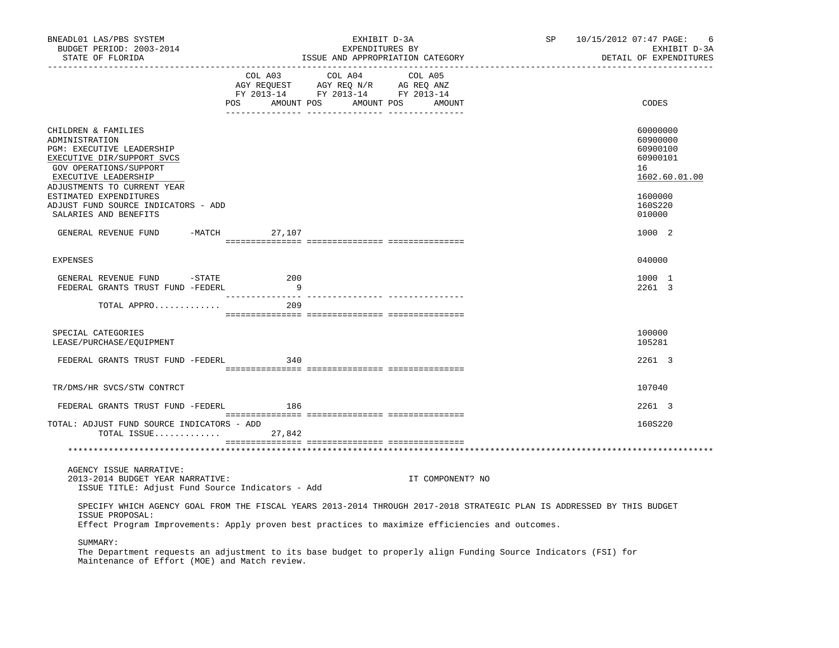| BNEADL01 LAS/PBS SYSTEM<br>BUDGET PERIOD: 2003-2014<br>STATE OF FLORIDA                                                                                                                                                                      |         | EXHIBIT D-3A<br>EXPENDITURES BY                                                   | ISSUE AND APPROPRIATION CATEGORY            | SP | 10/15/2012 07:47 PAGE:<br>6<br>EXHIBIT D-3A<br>DETAIL OF EXPENDITURES |
|----------------------------------------------------------------------------------------------------------------------------------------------------------------------------------------------------------------------------------------------|---------|-----------------------------------------------------------------------------------|---------------------------------------------|----|-----------------------------------------------------------------------|
|                                                                                                                                                                                                                                              | COL A03 | COL A04<br>AGY REQUEST AGY REQ N/R AG REQ ANZ<br>FY 2013-14 FY 2013-14 FY 2013-14 | COL A05<br>POS AMOUNT POS AMOUNT POS AMOUNT |    | CODES                                                                 |
| CHILDREN & FAMILIES<br>ADMINISTRATION<br>PGM: EXECUTIVE LEADERSHIP<br>EXECUTIVE DIR/SUPPORT SVCS<br>GOV OPERATIONS/SUPPORT<br>EXECUTIVE LEADERSHIP<br>ADJUSTMENTS TO CURRENT YEAR                                                            |         |                                                                                   |                                             |    | 60000000<br>60900000<br>60900100<br>60900101<br>16<br>1602.60.01.00   |
| ESTIMATED EXPENDITURES<br>ADJUST FUND SOURCE INDICATORS - ADD<br>SALARIES AND BENEFITS                                                                                                                                                       |         |                                                                                   |                                             |    | 1600000<br>160S220<br>010000                                          |
| GENERAL REVENUE FUND -MATCH 27,107                                                                                                                                                                                                           |         |                                                                                   |                                             |    | 1000 2                                                                |
|                                                                                                                                                                                                                                              |         |                                                                                   |                                             |    |                                                                       |
| <b>EXPENSES</b>                                                                                                                                                                                                                              |         |                                                                                   |                                             |    | 040000                                                                |
| GENERAL REVENUE FUND -STATE 200<br>FEDERAL GRANTS TRUST FUND -FEDERL                                                                                                                                                                         | - 9     |                                                                                   |                                             |    | 1000 1<br>2261 3                                                      |
| TOTAL APPRO                                                                                                                                                                                                                                  | 209     |                                                                                   |                                             |    |                                                                       |
|                                                                                                                                                                                                                                              |         |                                                                                   |                                             |    |                                                                       |
| SPECIAL CATEGORIES<br>LEASE/PURCHASE/EQUIPMENT                                                                                                                                                                                               |         |                                                                                   |                                             |    | 100000<br>105281                                                      |
| FEDERAL GRANTS TRUST FUND -FEDERL                                                                                                                                                                                                            | 340     |                                                                                   |                                             |    | 2261 3                                                                |
|                                                                                                                                                                                                                                              |         |                                                                                   |                                             |    |                                                                       |
| TR/DMS/HR SVCS/STW CONTRCT                                                                                                                                                                                                                   |         |                                                                                   |                                             |    | 107040                                                                |
| FEDERAL GRANTS TRUST FUND -FEDERL                                                                                                                                                                                                            | 186     |                                                                                   |                                             |    | 2261 3                                                                |
| TOTAL: ADJUST FUND SOURCE INDICATORS - ADD<br>TOTAL ISSUE $27,842$                                                                                                                                                                           |         |                                                                                   |                                             |    | 160S220                                                               |
|                                                                                                                                                                                                                                              |         |                                                                                   |                                             |    |                                                                       |
| AGENCY ISSUE NARRATIVE:<br>2013-2014 BUDGET YEAR NARRATIVE:<br>ISSUE TITLE: Adjust Fund Source Indicators - Add                                                                                                                              |         |                                                                                   | IT COMPONENT? NO                            |    |                                                                       |
| SPECIFY WHICH AGENCY GOAL FROM THE FISCAL YEARS 2013-2014 THROUGH 2017-2018 STRATEGIC PLAN IS ADDRESSED BY THIS BUDGET<br>ISSUE PROPOSAL:<br>Effect Program Improvements: Apply proven best practices to maximize efficiencies and outcomes. |         |                                                                                   |                                             |    |                                                                       |
| SUMMARY:<br>The Department requests an adjustment to its base budget to properly align Funding Source Indicators (FSI) for<br>Maintenance of Effort (MOE) and Match review.                                                                  |         |                                                                                   |                                             |    |                                                                       |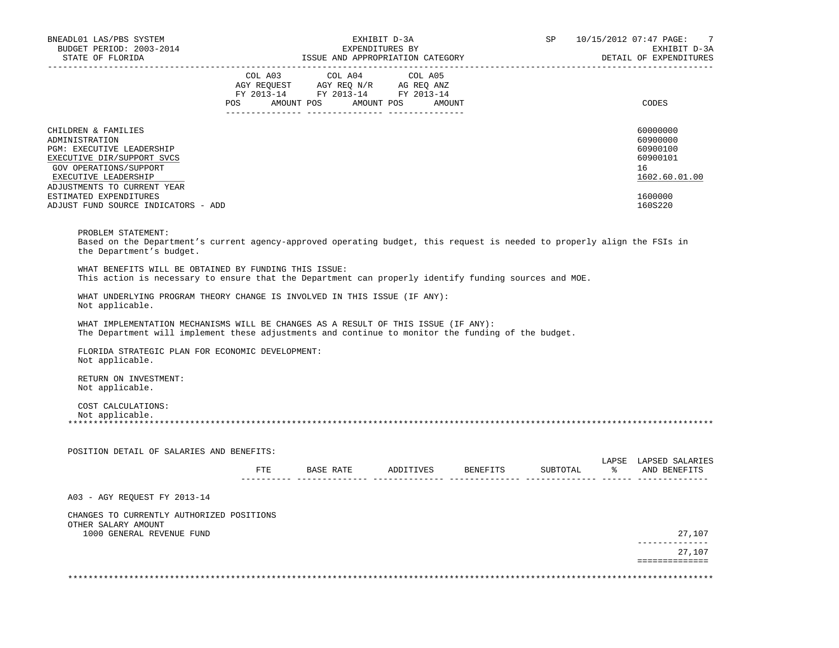| ISSUE AND APPROPRIATION CATEGORY<br>COL A03 COL A04<br>AGY REQUEST AGY REQ N/R AG REQ ANZ<br>FY 2013-14 FY 2013-14 FY 2013-14<br>POS AMOUNT POS AMOUNT POS AMOUNT<br>WHAT BENEFITS WILL BE OBTAINED BY FUNDING THIS ISSUE: | COL A05 | This action is necessary to ensure that the Department can properly identify funding sources and MOE. |                                                                                    |                                                                                                    | DETAIL OF EXPENDITURES<br>CODES<br>60000000<br>60900000<br>60900100<br>60900101<br>16<br>1602.60.01.00<br>1600000<br>160S220<br>Based on the Department's current agency-approved operating budget, this request is needed to properly align the FSIs in |
|----------------------------------------------------------------------------------------------------------------------------------------------------------------------------------------------------------------------------|---------|-------------------------------------------------------------------------------------------------------|------------------------------------------------------------------------------------|----------------------------------------------------------------------------------------------------|----------------------------------------------------------------------------------------------------------------------------------------------------------------------------------------------------------------------------------------------------------|
|                                                                                                                                                                                                                            |         |                                                                                                       |                                                                                    |                                                                                                    |                                                                                                                                                                                                                                                          |
|                                                                                                                                                                                                                            |         |                                                                                                       |                                                                                    |                                                                                                    |                                                                                                                                                                                                                                                          |
|                                                                                                                                                                                                                            |         |                                                                                                       |                                                                                    |                                                                                                    |                                                                                                                                                                                                                                                          |
|                                                                                                                                                                                                                            |         |                                                                                                       |                                                                                    |                                                                                                    |                                                                                                                                                                                                                                                          |
|                                                                                                                                                                                                                            |         |                                                                                                       |                                                                                    |                                                                                                    |                                                                                                                                                                                                                                                          |
|                                                                                                                                                                                                                            |         |                                                                                                       |                                                                                    |                                                                                                    |                                                                                                                                                                                                                                                          |
|                                                                                                                                                                                                                            |         |                                                                                                       |                                                                                    |                                                                                                    |                                                                                                                                                                                                                                                          |
|                                                                                                                                                                                                                            |         |                                                                                                       |                                                                                    |                                                                                                    |                                                                                                                                                                                                                                                          |
|                                                                                                                                                                                                                            |         |                                                                                                       |                                                                                    |                                                                                                    |                                                                                                                                                                                                                                                          |
|                                                                                                                                                                                                                            |         |                                                                                                       |                                                                                    |                                                                                                    |                                                                                                                                                                                                                                                          |
|                                                                                                                                                                                                                            |         |                                                                                                       |                                                                                    |                                                                                                    | LAPSE LAPSED SALARIES                                                                                                                                                                                                                                    |
|                                                                                                                                                                                                                            |         |                                                                                                       |                                                                                    |                                                                                                    |                                                                                                                                                                                                                                                          |
|                                                                                                                                                                                                                            |         |                                                                                                       |                                                                                    |                                                                                                    | 27,107                                                                                                                                                                                                                                                   |
|                                                                                                                                                                                                                            |         |                                                                                                       |                                                                                    |                                                                                                    | --------------<br>27,107<br>==============                                                                                                                                                                                                               |
|                                                                                                                                                                                                                            |         | WHAT UNDERLYING PROGRAM THEORY CHANGE IS INVOLVED IN THIS ISSUE (IF ANY):                             | WHAT IMPLEMENTATION MECHANISMS WILL BE CHANGES AS A RESULT OF THIS ISSUE (IF ANY): | The Department will implement these adjustments and continue to monitor the funding of the budget. | FTE BASE RATE ADDITIVES BENEFITS SUBTOTAL $\frac{1}{2}$ and benefits                                                                                                                                                                                     |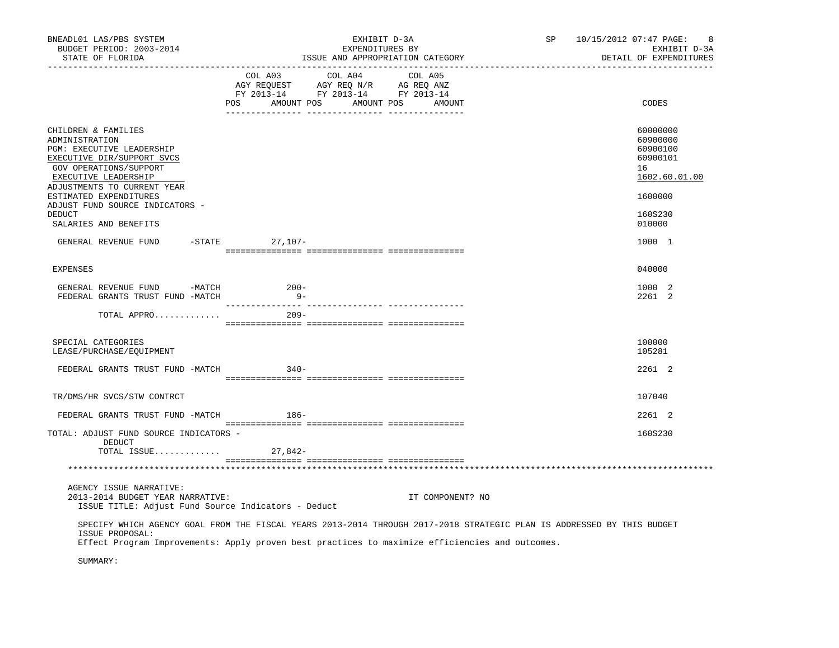| BNEADL01 LAS/PBS SYSTEM<br>BUDGET PERIOD: 2003-2014<br>STATE OF FLORIDA<br>___________________________________                                                                                              |                 | EXHIBIT D-3A<br>EXPENDITURES BY<br>ISSUE AND APPROPRIATION CATEGORY                                                                                                                                                                                          | SP <sub>2</sub><br>10/15/2012 07:47 PAGE:                                      | 8<br>EXHIBIT D-3A<br>DETAIL OF EXPENDITURES |  |  |
|-------------------------------------------------------------------------------------------------------------------------------------------------------------------------------------------------------------|-----------------|--------------------------------------------------------------------------------------------------------------------------------------------------------------------------------------------------------------------------------------------------------------|--------------------------------------------------------------------------------|---------------------------------------------|--|--|
|                                                                                                                                                                                                             | COL A03         | COL A04<br>COL A05<br>$\begin{tabular}{lllllll} \bf AGY \,\, REQUEST \,\, & \bf AGY \,\, REQ \,\, N/R & \,\, AG \,\, REQ \,\, ANZ \\ \bf FY \,\, 2013-14 & \,\, FY \,\, 2013-14 & \,\, FY \,\, 2013-14 \\ \end{tabular}$<br>POS AMOUNT POS AMOUNT POS AMOUNT | CODES                                                                          |                                             |  |  |
| CHILDREN & FAMILIES<br>ADMINISTRATION<br>PGM: EXECUTIVE LEADERSHIP<br>EXECUTIVE DIR/SUPPORT SVCS<br>GOV OPERATIONS/SUPPORT<br>EXECUTIVE LEADERSHIP<br>ADJUSTMENTS TO CURRENT YEAR<br>ESTIMATED EXPENDITURES |                 |                                                                                                                                                                                                                                                              | 60000000<br>60900000<br>60900100<br>60900101<br>16<br>1602.60.01.00<br>1600000 |                                             |  |  |
| ADJUST FUND SOURCE INDICATORS -<br>DEDUCT<br>SALARIES AND BENEFITS                                                                                                                                          |                 |                                                                                                                                                                                                                                                              | 160S230<br>010000                                                              |                                             |  |  |
| GENERAL REVENUE FUND -STATE 27,107-                                                                                                                                                                         |                 |                                                                                                                                                                                                                                                              | 1000 1                                                                         |                                             |  |  |
| <b>EXPENSES</b>                                                                                                                                                                                             |                 |                                                                                                                                                                                                                                                              | 040000                                                                         |                                             |  |  |
| GENERAL REVENUE FUND -MATCH<br>FEDERAL GRANTS TRUST FUND -MATCH                                                                                                                                             | $200-$<br>$9 -$ |                                                                                                                                                                                                                                                              | 1000 2<br>2261 2                                                               |                                             |  |  |
| TOTAL APPRO                                                                                                                                                                                                 | $209 -$         |                                                                                                                                                                                                                                                              |                                                                                |                                             |  |  |
| SPECIAL CATEGORIES<br>LEASE/PURCHASE/EQUIPMENT                                                                                                                                                              |                 |                                                                                                                                                                                                                                                              | 100000<br>105281                                                               |                                             |  |  |
| FEDERAL GRANTS TRUST FUND -MATCH                                                                                                                                                                            | $340-$          |                                                                                                                                                                                                                                                              | 2261 2                                                                         |                                             |  |  |
| TR/DMS/HR SVCS/STW CONTRCT                                                                                                                                                                                  |                 |                                                                                                                                                                                                                                                              | 107040                                                                         |                                             |  |  |
| FEDERAL GRANTS TRUST FUND -MATCH 186-                                                                                                                                                                       |                 |                                                                                                                                                                                                                                                              | 2261 2                                                                         |                                             |  |  |
| TOTAL: ADJUST FUND SOURCE INDICATORS -<br>DEDUCT<br>TOTAL ISSUE $27,842-$                                                                                                                                   |                 |                                                                                                                                                                                                                                                              | 160S230                                                                        |                                             |  |  |
|                                                                                                                                                                                                             |                 |                                                                                                                                                                                                                                                              |                                                                                |                                             |  |  |
| AGENCY ISSUE NARRATIVE:<br>2013-2014 BUDGET YEAR NARRATIVE:<br>ISSUE TITLE: Adjust Fund Source Indicators - Deduct                                                                                          |                 | IT COMPONENT? NO                                                                                                                                                                                                                                             |                                                                                |                                             |  |  |
| ISSUE PROPOSAL:                                                                                                                                                                                             |                 | SPECIFY WHICH AGENCY GOAL FROM THE FISCAL YEARS 2013-2014 THROUGH 2017-2018 STRATEGIC PLAN IS ADDRESSED BY THIS BUDGET<br>Effect Program Improvements: Apply proven best practices to maximize efficiencies and outcomes.                                    |                                                                                |                                             |  |  |
| SUMMARY:                                                                                                                                                                                                    |                 |                                                                                                                                                                                                                                                              |                                                                                |                                             |  |  |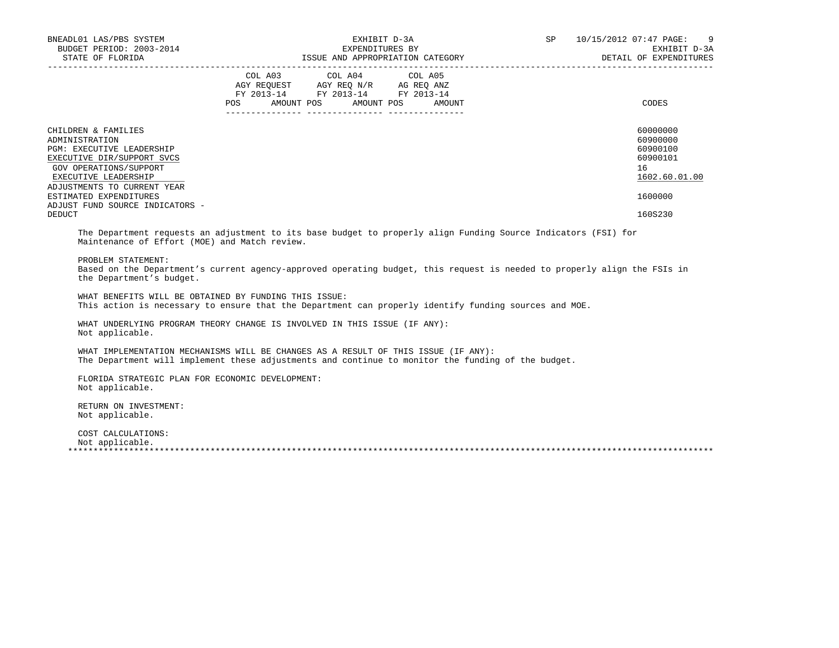| BNEADL01 LAS/PBS SYSTEM<br>BUDGET PERIOD: 2003-2014<br>STATE OF FLORIDA                                                                                                                                                                                                       | EXPENDITURES BY                                                                                      | EXHIBIT D-3A<br>ISSUE AND APPROPRIATION CATEGORY | SP <sub>2</sub> | 10/15/2012 07:47 PAGE: 9<br>EXHIBIT D-3A<br>DETAIL OF EXPENDITURES                        |
|-------------------------------------------------------------------------------------------------------------------------------------------------------------------------------------------------------------------------------------------------------------------------------|------------------------------------------------------------------------------------------------------|--------------------------------------------------|-----------------|-------------------------------------------------------------------------------------------|
|                                                                                                                                                                                                                                                                               | COL A03 COL A04 COL A05<br>FY 2013-14 FY 2013-14 FY 2013-14<br>_____________________________________ | POS AMOUNT POS AMOUNT POS AMOUNT                 |                 | CODES                                                                                     |
| CHILDREN & FAMILIES<br>ADMINISTRATION<br><b>PGM: EXECUTIVE LEADERSHIP</b><br>EXECUTIVE DIR/SUPPORT SVCS<br>GOV OPERATIONS/SUPPORT<br><b>EXECUTIVE LEADERSHIP</b><br>ADJUSTMENTS TO CURRENT YEAR<br>ESTIMATED EXPENDITURES<br>ADJUST FUND SOURCE INDICATORS -<br><b>DEDUCT</b> |                                                                                                      |                                                  |                 | 60000000<br>60900000<br>60900100<br>60900101<br>16<br>1602.60.01.00<br>1600000<br>160S230 |
| The Department requests an adjustment to its base budget to properly align Funding Source Indicators (FSI) for<br>Maintenance of Effort (MOE) and Match review.                                                                                                               |                                                                                                      |                                                  |                 |                                                                                           |
| PROBLEM STATEMENT:<br>Based on the Department's current agency-approved operating budget, this request is needed to properly align the FSIs in<br>the Department's budget.                                                                                                    |                                                                                                      |                                                  |                 |                                                                                           |
| WHAT BENEFITS WILL BE OBTAINED BY FUNDING THIS ISSUE:                                                                                                                                                                                                                         |                                                                                                      |                                                  |                 |                                                                                           |

This action is necessary to ensure that the Department can properly identify funding sources and MOE.

 WHAT UNDERLYING PROGRAM THEORY CHANGE IS INVOLVED IN THIS ISSUE (IF ANY): Not applicable.

 WHAT IMPLEMENTATION MECHANISMS WILL BE CHANGES AS A RESULT OF THIS ISSUE (IF ANY): The Department will implement these adjustments and continue to monitor the funding of the budget.

 FLORIDA STRATEGIC PLAN FOR ECONOMIC DEVELOPMENT: Not applicable.

 RETURN ON INVESTMENT: Not applicable.

 COST CALCULATIONS: Not applicable.

\*\*\*\*\*\*\*\*\*\*\*\*\*\*\*\*\*\*\*\*\*\*\*\*\*\*\*\*\*\*\*\*\*\*\*\*\*\*\*\*\*\*\*\*\*\*\*\*\*\*\*\*\*\*\*\*\*\*\*\*\*\*\*\*\*\*\*\*\*\*\*\*\*\*\*\*\*\*\*\*\*\*\*\*\*\*\*\*\*\*\*\*\*\*\*\*\*\*\*\*\*\*\*\*\*\*\*\*\*\*\*\*\*\*\*\*\*\*\*\*\*\*\*\*\*\*\*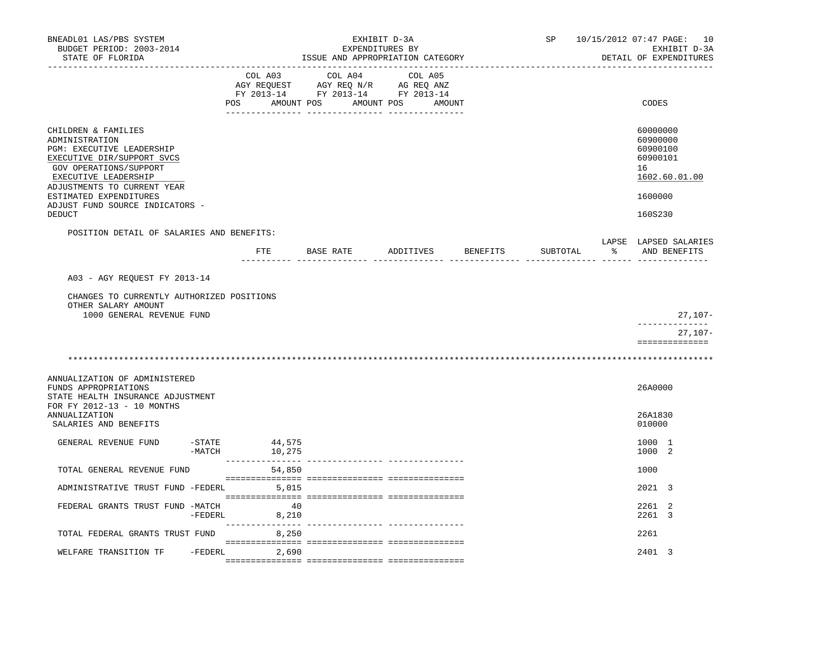| BNEADL01 LAS/PBS SYSTEM<br>BUDGET PERIOD: 2003-2014                                                                                                                                                                                            |                     |         |             |               | EXHIBIT D-3A<br>EXPENDITURES BY | ISSUE AND APPROPRIATION CATEGORY                                                                                                                                                                                                                                                                                                                                                                                                                 |        |          | SP       |   | 10/15/2012 07:47 PAGE: 10<br>EXHIBIT D-3A<br>DETAIL OF EXPENDITURES            |
|------------------------------------------------------------------------------------------------------------------------------------------------------------------------------------------------------------------------------------------------|---------------------|---------|-------------|---------------|---------------------------------|--------------------------------------------------------------------------------------------------------------------------------------------------------------------------------------------------------------------------------------------------------------------------------------------------------------------------------------------------------------------------------------------------------------------------------------------------|--------|----------|----------|---|--------------------------------------------------------------------------------|
| STATE OF FLORIDA                                                                                                                                                                                                                               |                     | COL A03 |             |               | COL A04                         | COL A05<br>$\begin{array}{ccccccccc}\n\text{AGY REQUEST} & & \text{GUT} & \text{GUT} & \text{GUT} & \text{GUT} & \text{GUT} & \text{GUT} & \text{GUT} & \text{GUT} & \text{GUT} & \text{GUT} & \text{GUT} & \text{GUT} & \text{GUT} & \text{GUT} & \text{GUT} & \text{GUT} & \text{GUT} & \text{GUT} & \text{GUT} & \text{GUT} & \text{GUT} & \text{GUT} & \text{GUT} & \text{GUT} & \text{GUT} & \text{GUT} & \text{GUT} & \text{GUT} & \text{$ |        |          |          |   |                                                                                |
|                                                                                                                                                                                                                                                | POS                 |         |             | AMOUNT POS    | AMOUNT POS                      |                                                                                                                                                                                                                                                                                                                                                                                                                                                  | AMOUNT |          |          |   | CODES                                                                          |
| CHILDREN & FAMILIES<br>ADMINISTRATION<br>PGM: EXECUTIVE LEADERSHIP<br>EXECUTIVE DIR/SUPPORT SVCS<br>GOV OPERATIONS/SUPPORT<br>EXECUTIVE LEADERSHIP<br>ADJUSTMENTS TO CURRENT YEAR<br>ESTIMATED EXPENDITURES<br>ADJUST FUND SOURCE INDICATORS - |                     |         |             |               |                                 |                                                                                                                                                                                                                                                                                                                                                                                                                                                  |        |          |          |   | 60000000<br>60900000<br>60900100<br>60900101<br>16<br>1602.60.01.00<br>1600000 |
| DEDUCT                                                                                                                                                                                                                                         |                     |         |             |               |                                 |                                                                                                                                                                                                                                                                                                                                                                                                                                                  |        |          |          |   | 160S230                                                                        |
| POSITION DETAIL OF SALARIES AND BENEFITS:                                                                                                                                                                                                      |                     |         |             | FTE BASE RATE |                                 | ADDITIVES                                                                                                                                                                                                                                                                                                                                                                                                                                        |        | BENEFITS | SUBTOTAL | ႜ | LAPSE LAPSED SALARIES<br>AND BENEFITS                                          |
| A03 - AGY REQUEST FY 2013-14                                                                                                                                                                                                                   |                     |         |             |               |                                 |                                                                                                                                                                                                                                                                                                                                                                                                                                                  |        |          |          |   |                                                                                |
| CHANGES TO CURRENTLY AUTHORIZED POSITIONS<br>OTHER SALARY AMOUNT<br>1000 GENERAL REVENUE FUND                                                                                                                                                  |                     |         |             |               |                                 |                                                                                                                                                                                                                                                                                                                                                                                                                                                  |        |          |          |   | $27,107-$                                                                      |
|                                                                                                                                                                                                                                                |                     |         |             |               |                                 |                                                                                                                                                                                                                                                                                                                                                                                                                                                  |        |          |          |   | -------------<br>27,107-                                                       |
|                                                                                                                                                                                                                                                |                     |         |             |               |                                 |                                                                                                                                                                                                                                                                                                                                                                                                                                                  |        |          |          |   | ==============                                                                 |
|                                                                                                                                                                                                                                                |                     |         |             |               |                                 |                                                                                                                                                                                                                                                                                                                                                                                                                                                  |        |          |          |   |                                                                                |
| ANNUALIZATION OF ADMINISTERED<br>FUNDS APPROPRIATIONS<br>STATE HEALTH INSURANCE ADJUSTMENT<br>FOR FY 2012-13 - 10 MONTHS                                                                                                                       |                     |         |             |               |                                 |                                                                                                                                                                                                                                                                                                                                                                                                                                                  |        |          |          |   | 26A0000                                                                        |
| ANNUALIZATION<br>SALARIES AND BENEFITS                                                                                                                                                                                                         |                     |         |             |               |                                 |                                                                                                                                                                                                                                                                                                                                                                                                                                                  |        |          |          |   | 26A1830<br>010000                                                              |
| GENERAL REVENUE FUND                                                                                                                                                                                                                           | $-$ STATE<br>-MATCH | 44,575  | 10,275      |               |                                 |                                                                                                                                                                                                                                                                                                                                                                                                                                                  |        |          |          |   | 1000 1<br>1000 2                                                               |
| TOTAL GENERAL REVENUE FUND                                                                                                                                                                                                                     |                     |         | 54,850      |               |                                 |                                                                                                                                                                                                                                                                                                                                                                                                                                                  |        |          |          |   | 1000                                                                           |
| ADMINISTRATIVE TRUST FUND -FEDERL                                                                                                                                                                                                              |                     |         | 5,015       |               |                                 |                                                                                                                                                                                                                                                                                                                                                                                                                                                  |        |          |          |   | 2021 3                                                                         |
| FEDERAL GRANTS TRUST FUND -MATCH                                                                                                                                                                                                               | -FEDERL             |         | 40<br>8,210 |               |                                 |                                                                                                                                                                                                                                                                                                                                                                                                                                                  |        |          |          |   | 2261 2<br>2261 3                                                               |
| TOTAL FEDERAL GRANTS TRUST FUND                                                                                                                                                                                                                |                     |         | 8,250       |               |                                 |                                                                                                                                                                                                                                                                                                                                                                                                                                                  |        |          |          |   | 2261                                                                           |
| WELFARE TRANSITION TF                                                                                                                                                                                                                          | -FEDERL             |         | 2,690       |               |                                 |                                                                                                                                                                                                                                                                                                                                                                                                                                                  |        |          |          |   | 2401 3                                                                         |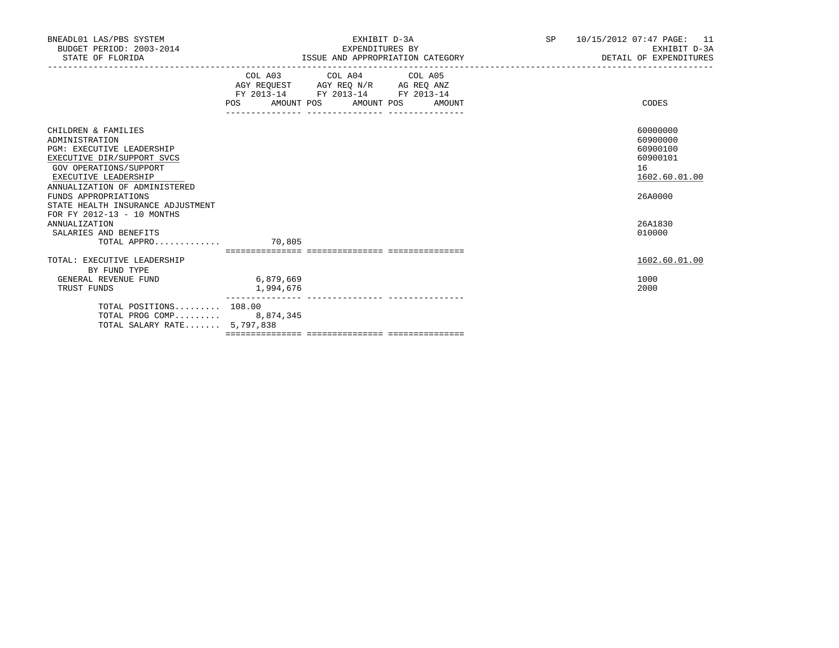| BNEADL01 LAS/PBS SYSTEM<br>BUDGET PERIOD: 2003-2014<br>STATE OF FLORIDA                                                                                                                    |                        | EXHIBIT D-3A<br>EXPENDITURES BY<br>ISSUE AND APPROPRIATION CATEGORY                                                                   | SP | 10/15/2012 07:47 PAGE: 11<br>EXHIBIT D-3A<br>DETAIL OF EXPENDITURES |                                                                     |
|--------------------------------------------------------------------------------------------------------------------------------------------------------------------------------------------|------------------------|---------------------------------------------------------------------------------------------------------------------------------------|----|---------------------------------------------------------------------|---------------------------------------------------------------------|
|                                                                                                                                                                                            |                        | COL A03 COL A04 COL A05<br>AGY REQUEST AGY REQ N/R AG REQ ANZ<br>FY 2013-14 FY 2013-14 FY 2013-14<br>POS AMOUNT POS AMOUNT POS AMOUNT |    |                                                                     | CODES                                                               |
| CHILDREN & FAMILIES<br>ADMINISTRATION<br><b>PGM: EXECUTIVE LEADERSHIP</b><br>EXECUTIVE DIR/SUPPORT SVCS<br>GOV OPERATIONS/SUPPORT<br>EXECUTIVE LEADERSHIP<br>ANNUALIZATION OF ADMINISTERED |                        |                                                                                                                                       |    |                                                                     | 60000000<br>60900000<br>60900100<br>60900101<br>16<br>1602.60.01.00 |
| FUNDS APPROPRIATIONS<br>STATE HEALTH INSURANCE ADJUSTMENT<br>FOR FY 2012-13 - 10 MONTHS                                                                                                    |                        |                                                                                                                                       |    |                                                                     | 26A0000                                                             |
| ANNUALIZATION<br>SALARIES AND BENEFITS<br>$\texttt{TOTAL APPRO} \dots \dots \dots \dots \qquad \qquad \texttt{70.805}$                                                                     |                        |                                                                                                                                       |    |                                                                     | 26A1830<br>010000                                                   |
| TOTAL: EXECUTIVE LEADERSHIP                                                                                                                                                                |                        |                                                                                                                                       |    |                                                                     | 1602.60.01.00                                                       |
| BY FUND TYPE<br>GENERAL REVENUE FUND<br>TRUST FUNDS                                                                                                                                        | 6,879,669<br>1,994,676 | ---------------- ----------------                                                                                                     |    |                                                                     | 1000<br>2000                                                        |
| TOTAL POSITIONS 108.00<br>TOTAL PROG COMP 8,874,345<br>TOTAL SALARY RATE 5,797,838                                                                                                         |                        |                                                                                                                                       |    |                                                                     |                                                                     |
|                                                                                                                                                                                            |                        |                                                                                                                                       |    |                                                                     |                                                                     |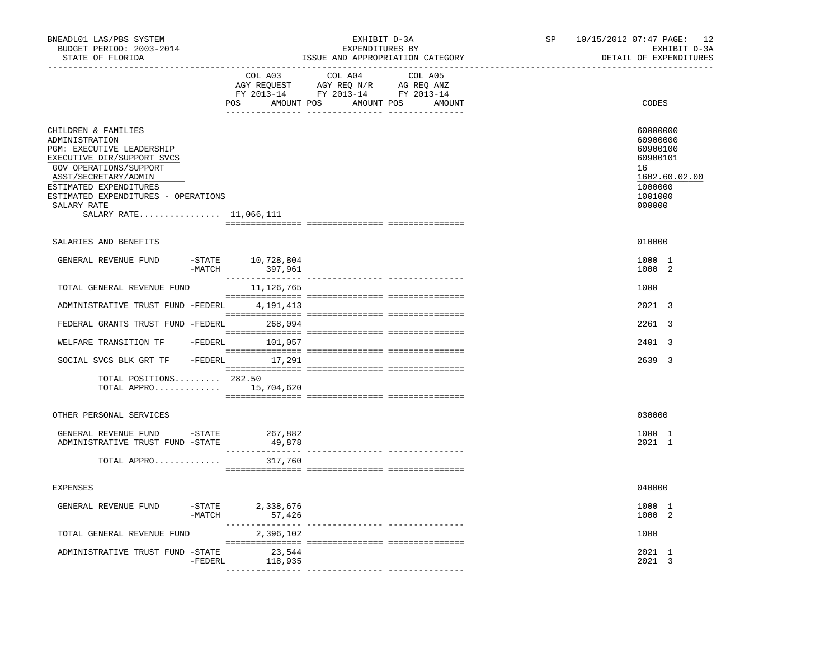| BNEADL01 LAS/PBS SYSTEM<br>BUDGET PERIOD: 2003-2014<br>STATE OF FLORIDA                                                                                                                                                                                        |                                        | EXHIBIT D-3A<br>EXPENDITURES BY<br>ISSUE AND APPROPRIATION CATEGORY                                                              | SP | 10/15/2012 07:47 PAGE: 12<br>EXHIBIT D-3A<br>DETAIL OF EXPENDITURES                                 |
|----------------------------------------------------------------------------------------------------------------------------------------------------------------------------------------------------------------------------------------------------------------|----------------------------------------|----------------------------------------------------------------------------------------------------------------------------------|----|-----------------------------------------------------------------------------------------------------|
|                                                                                                                                                                                                                                                                | COL A03                                | COL A04<br>COL A05<br>AGY REQUEST AGY REQ N/R AG REQ ANZ<br>FY 2013-14 FY 2013-14 FY 2013-14<br>POS AMOUNT POS AMOUNT POS AMOUNT |    | CODES                                                                                               |
| CHILDREN & FAMILIES<br>ADMINISTRATION<br>PGM: EXECUTIVE LEADERSHIP<br>EXECUTIVE DIR/SUPPORT SVCS<br>GOV OPERATIONS/SUPPORT<br>ASST/SECRETARY/ADMIN<br>ESTIMATED EXPENDITURES<br>ESTIMATED EXPENDITURES - OPERATIONS<br>SALARY RATE<br>SALARY RATE $11,066,111$ |                                        |                                                                                                                                  |    | 60000000<br>60900000<br>60900100<br>60900101<br>16<br>1602.60.02.00<br>1000000<br>1001000<br>000000 |
| SALARIES AND BENEFITS                                                                                                                                                                                                                                          |                                        |                                                                                                                                  |    | 010000                                                                                              |
| GENERAL REVENUE FUND                                                                                                                                                                                                                                           | $-$ STATE 10,728,804<br>-MATCH 397,961 |                                                                                                                                  |    | 1000 1<br>1000 2                                                                                    |
| TOTAL GENERAL REVENUE FUND                                                                                                                                                                                                                                     | 11,126,765                             |                                                                                                                                  |    | 1000                                                                                                |
| ADMINISTRATIVE TRUST FUND -FEDERL                                                                                                                                                                                                                              | 4,191,413                              |                                                                                                                                  |    | 2021 3                                                                                              |
| FEDERAL GRANTS TRUST FUND -FEDERL                                                                                                                                                                                                                              | 268,094                                |                                                                                                                                  |    | 2261 3                                                                                              |
| WELFARE TRANSITION TF                                                                                                                                                                                                                                          | -FEDERL 101,057                        |                                                                                                                                  |    | 2401 3                                                                                              |
| SOCIAL SVCS BLK GRT TF - FEDERL 17,291                                                                                                                                                                                                                         |                                        |                                                                                                                                  |    | 2639 3                                                                                              |
| TOTAL POSITIONS 282.50<br>TOTAL APPRO $15,704,620$                                                                                                                                                                                                             |                                        |                                                                                                                                  |    |                                                                                                     |
| OTHER PERSONAL SERVICES                                                                                                                                                                                                                                        |                                        |                                                                                                                                  |    | 030000                                                                                              |
| GENERAL REVENUE FUND -STATE 267,882<br>ADMINISTRATIVE TRUST FUND -STATE                                                                                                                                                                                        | 49,878                                 |                                                                                                                                  |    | 1000 1<br>2021 1                                                                                    |
| TOTAL APPRO                                                                                                                                                                                                                                                    | 317,760                                |                                                                                                                                  |    |                                                                                                     |
| <b>EXPENSES</b>                                                                                                                                                                                                                                                |                                        |                                                                                                                                  |    | 040000                                                                                              |
| GENERAL REVENUE FUND                                                                                                                                                                                                                                           | -STATE 2,338,676<br>-MATCH<br>57,426   |                                                                                                                                  |    | 1000 1<br>1000 2                                                                                    |
| TOTAL GENERAL REVENUE FUND                                                                                                                                                                                                                                     | 2,396,102                              |                                                                                                                                  |    | 1000                                                                                                |
| ADMINISTRATIVE TRUST FUND -STATE                                                                                                                                                                                                                               | 23,544<br>-FEDERL<br>118,935           |                                                                                                                                  |    | 2021 1<br>2021 3                                                                                    |
|                                                                                                                                                                                                                                                                |                                        |                                                                                                                                  |    |                                                                                                     |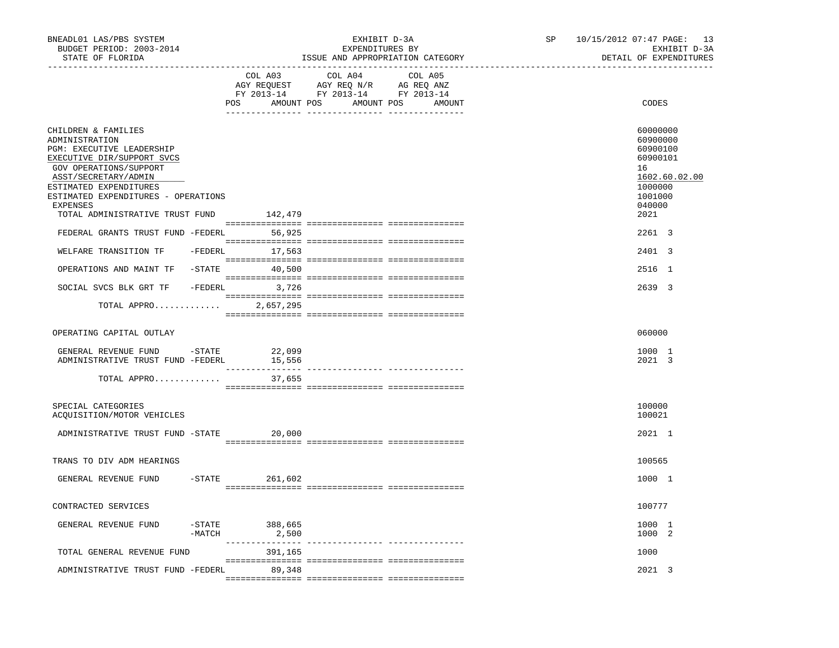| BNEADL01 LAS/PBS SYSTEM<br>BUDGET PERIOD: 2003-2014<br>STATE OF FLORIDA                                                                                                                                                                                                                                                                                |          | ____________________________________ | EXPENDITURES BY                                                                   | EXHIBIT D-3A<br>ISSUE AND APPROPRIATION CATEGORY | SP | 10/15/2012 07:47 PAGE: 13<br>EXHIBIT D-3A<br>DETAIL OF EXPENDITURES                                                             |
|--------------------------------------------------------------------------------------------------------------------------------------------------------------------------------------------------------------------------------------------------------------------------------------------------------------------------------------------------------|----------|--------------------------------------|-----------------------------------------------------------------------------------|--------------------------------------------------|----|---------------------------------------------------------------------------------------------------------------------------------|
|                                                                                                                                                                                                                                                                                                                                                        |          | COL A03<br>POS AMOUNT POS AMOUNT POS | COL A04<br>AGY REQUEST AGY REQ N/R AG REQ ANZ<br>FY 2013-14 FY 2013-14 FY 2013-14 | COL A05<br>AMOUNT                                |    | CODES                                                                                                                           |
| CHILDREN & FAMILIES<br>ADMINISTRATION<br>PGM: EXECUTIVE LEADERSHIP<br>EXECUTIVE DIR/SUPPORT SVCS<br>GOV OPERATIONS/SUPPORT<br>ASST/SECRETARY/ADMIN<br>ESTIMATED EXPENDITURES<br>ESTIMATED EXPENDITURES - OPERATIONS<br><b>EXPENSES</b><br>TOTAL ADMINISTRATIVE TRUST FUND 142,479<br>FEDERAL GRANTS TRUST FUND -FEDERL 56,925<br>WELFARE TRANSITION TF |          | -FEDERL 17,563                       |                                                                                   |                                                  |    | 60000000<br>60900000<br>60900100<br>60900101<br>16<br>1602.60.02.00<br>1000000<br>1001000<br>040000<br>2021<br>2261 3<br>2401 3 |
| OPERATIONS AND MAINT TF                                                                                                                                                                                                                                                                                                                                |          | $-$ STATE 40,500                     |                                                                                   |                                                  |    | 2516 1                                                                                                                          |
| SOCIAL SVCS BLK GRT TF                                                                                                                                                                                                                                                                                                                                 |          | -FEDERL 3,726                        |                                                                                   |                                                  |    | 2639 3                                                                                                                          |
| TOTAL APPRO                                                                                                                                                                                                                                                                                                                                            |          | 2,657,295                            |                                                                                   |                                                  |    |                                                                                                                                 |
| OPERATING CAPITAL OUTLAY                                                                                                                                                                                                                                                                                                                               |          |                                      |                                                                                   |                                                  |    | 060000                                                                                                                          |
| GENERAL REVENUE FUND -STATE<br>ADMINISTRATIVE TRUST FUND -FEDERL                                                                                                                                                                                                                                                                                       |          | 22,099<br>15,556                     |                                                                                   |                                                  |    | 1000 1<br>2021 3                                                                                                                |
| TOTAL APPRO                                                                                                                                                                                                                                                                                                                                            |          | 37,655                               |                                                                                   |                                                  |    |                                                                                                                                 |
| SPECIAL CATEGORIES<br>ACQUISITION/MOTOR VEHICLES                                                                                                                                                                                                                                                                                                       |          |                                      |                                                                                   |                                                  |    | 100000<br>100021                                                                                                                |
| ADMINISTRATIVE TRUST FUND -STATE 20,000                                                                                                                                                                                                                                                                                                                |          |                                      |                                                                                   |                                                  |    | 2021 1                                                                                                                          |
| TRANS TO DIV ADM HEARINGS                                                                                                                                                                                                                                                                                                                              |          |                                      |                                                                                   |                                                  |    | 100565                                                                                                                          |
| GENERAL REVENUE FUND                                                                                                                                                                                                                                                                                                                                   |          | $-$ STATE 261,602                    |                                                                                   |                                                  |    | 1000 1                                                                                                                          |
| CONTRACTED SERVICES                                                                                                                                                                                                                                                                                                                                    |          |                                      |                                                                                   |                                                  |    | 100777                                                                                                                          |
| GENERAL REVENUE FUND                                                                                                                                                                                                                                                                                                                                   | $-MATCH$ | -STATE 388,665<br>2,500              |                                                                                   |                                                  |    | 1000 1<br>1000 2                                                                                                                |
| TOTAL GENERAL REVENUE FUND                                                                                                                                                                                                                                                                                                                             |          | 391,165                              |                                                                                   |                                                  |    | 1000                                                                                                                            |
| ADMINISTRATIVE TRUST FUND -FEDERL                                                                                                                                                                                                                                                                                                                      |          | 89,348                               |                                                                                   |                                                  |    | 2021 3                                                                                                                          |
|                                                                                                                                                                                                                                                                                                                                                        |          |                                      |                                                                                   |                                                  |    |                                                                                                                                 |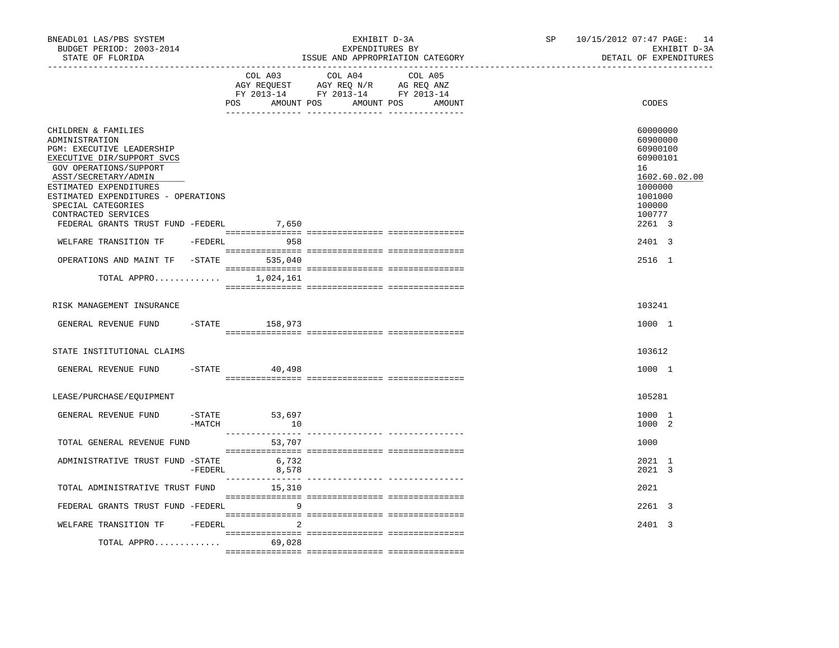| BNEADL01 LAS/PBS SYSTEM<br>BUDGET PERIOD: 2003-2014<br>STATE OF FLORIDA                                                                                                                                                                                          |          |                           | EXHIBIT D-3A<br>EXPENDITURES BY<br>ISSUE AND APPROPRIATION CATEGORY                                                              | SP | 10/15/2012 07:47 PAGE: 14<br>EXHIBIT D-3A<br>DETAIL OF EXPENDITURES                                           |
|------------------------------------------------------------------------------------------------------------------------------------------------------------------------------------------------------------------------------------------------------------------|----------|---------------------------|----------------------------------------------------------------------------------------------------------------------------------|----|---------------------------------------------------------------------------------------------------------------|
|                                                                                                                                                                                                                                                                  |          | COL A03                   | COL A04<br>COL A05<br>AGY REQUEST AGY REQ N/R AG REQ ANZ<br>FY 2013-14 FY 2013-14 FY 2013-14<br>POS AMOUNT POS AMOUNT POS AMOUNT |    | CODES                                                                                                         |
| CHILDREN & FAMILIES<br>ADMINISTRATION<br>PGM: EXECUTIVE LEADERSHIP<br>EXECUTIVE DIR/SUPPORT SVCS<br>GOV OPERATIONS/SUPPORT<br>ASST/SECRETARY/ADMIN<br>ESTIMATED EXPENDITURES<br>ESTIMATED EXPENDITURES - OPERATIONS<br>SPECIAL CATEGORIES<br>CONTRACTED SERVICES |          |                           |                                                                                                                                  |    | 60000000<br>60900000<br>60900100<br>60900101<br>16<br>1602.60.02.00<br>1000000<br>1001000<br>100000<br>100777 |
| FEDERAL GRANTS TRUST FUND -FEDERL                                                                                                                                                                                                                                |          | 7,650                     |                                                                                                                                  |    | 2261 3                                                                                                        |
| WELFARE TRANSITION TF - FEDERL 958                                                                                                                                                                                                                               |          |                           |                                                                                                                                  |    | 2401 3                                                                                                        |
| OPERATIONS AND MAINT TF                                                                                                                                                                                                                                          |          | $-$ STATE 535,040         |                                                                                                                                  |    | 2516 1                                                                                                        |
| TOTAL APPRO $1,024,161$                                                                                                                                                                                                                                          |          |                           |                                                                                                                                  |    |                                                                                                               |
| RISK MANAGEMENT INSURANCE                                                                                                                                                                                                                                        |          |                           |                                                                                                                                  |    | 103241                                                                                                        |
| GENERAL REVENUE FUND                                                                                                                                                                                                                                             |          | -STATE 158,973            |                                                                                                                                  |    | 1000 1                                                                                                        |
| STATE INSTITUTIONAL CLAIMS                                                                                                                                                                                                                                       |          |                           |                                                                                                                                  |    | 103612                                                                                                        |
| GENERAL REVENUE FUND                                                                                                                                                                                                                                             | $-STATE$ | 40,498                    |                                                                                                                                  |    | 1000 1                                                                                                        |
| LEASE/PURCHASE/EQUIPMENT                                                                                                                                                                                                                                         |          |                           |                                                                                                                                  |    | 105281                                                                                                        |
| GENERAL REVENUE FUND                                                                                                                                                                                                                                             | -MATCH   | -STATE 53,697<br>10       |                                                                                                                                  |    | 1000 1<br>1000 2                                                                                              |
| TOTAL GENERAL REVENUE FUND                                                                                                                                                                                                                                       |          | 53,707                    |                                                                                                                                  |    | 1000                                                                                                          |
| ADMINISTRATIVE TRUST FUND -STATE                                                                                                                                                                                                                                 | -FEDERL  | 6,732<br>8,578            |                                                                                                                                  |    | 2021 1<br>2021 3                                                                                              |
| TOTAL ADMINISTRATIVE TRUST FUND                                                                                                                                                                                                                                  |          | _______________<br>15,310 |                                                                                                                                  |    | 2021                                                                                                          |
| FEDERAL GRANTS TRUST FUND -FEDERL                                                                                                                                                                                                                                |          | 9                         |                                                                                                                                  |    | 2261 3                                                                                                        |
| WELFARE TRANSITION TF -FEDERL                                                                                                                                                                                                                                    |          | 2                         |                                                                                                                                  |    | 2401 3                                                                                                        |
| TOTAL APPRO                                                                                                                                                                                                                                                      |          | 69,028                    |                                                                                                                                  |    |                                                                                                               |
|                                                                                                                                                                                                                                                                  |          |                           |                                                                                                                                  |    |                                                                                                               |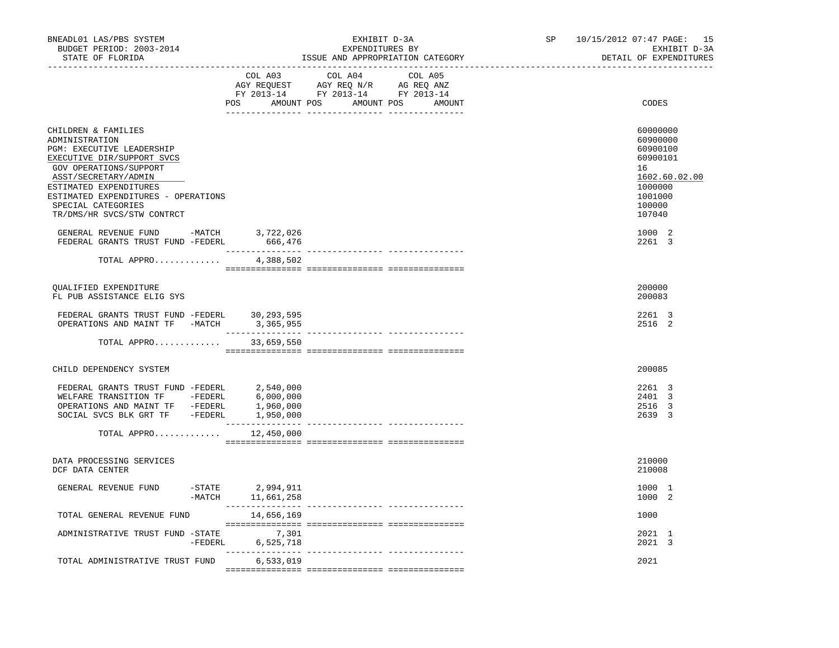| BNEADL01 LAS/PBS SYSTEM<br>BUDGET PERIOD: 2003-2014<br>STATE OF FLORIDA                                                                                                                                                                                                        | -------------------------------       | EXHIBIT D-3A<br>EXPENDITURES BY<br>ISSUE AND APPROPRIATION CATEGORY                                                              | SP | 10/15/2012 07:47 PAGE: 15<br>EXHIBIT D-3A<br>DETAIL OF EXPENDITURES                                           |
|--------------------------------------------------------------------------------------------------------------------------------------------------------------------------------------------------------------------------------------------------------------------------------|---------------------------------------|----------------------------------------------------------------------------------------------------------------------------------|----|---------------------------------------------------------------------------------------------------------------|
|                                                                                                                                                                                                                                                                                | COL A03                               | COL A04<br>COL A05<br>AGY REQUEST AGY REQ N/R AG REQ ANZ<br>FY 2013-14 FY 2013-14 FY 2013-14<br>POS AMOUNT POS AMOUNT POS AMOUNT |    | CODES                                                                                                         |
| CHILDREN & FAMILIES<br>ADMINISTRATION<br><b>PGM: EXECUTIVE LEADERSHIP</b><br>EXECUTIVE DIR/SUPPORT SVCS<br>GOV OPERATIONS/SUPPORT<br>ASST/SECRETARY/ADMIN<br>ESTIMATED EXPENDITURES<br>ESTIMATED EXPENDITURES - OPERATIONS<br>SPECIAL CATEGORIES<br>TR/DMS/HR SVCS/STW CONTRCT |                                       |                                                                                                                                  |    | 60000000<br>60900000<br>60900100<br>60900101<br>16<br>1602.60.02.00<br>1000000<br>1001000<br>100000<br>107040 |
| GENERAL REVENUE FUND -MATCH<br>FEDERAL GRANTS TRUST FUND -FEDERL                                                                                                                                                                                                               | 3,722,026<br>666,476                  |                                                                                                                                  |    | 1000 2<br>2261 3                                                                                              |
| TOTAL APPRO                                                                                                                                                                                                                                                                    | 4,388,502                             |                                                                                                                                  |    |                                                                                                               |
| OUALIFIED EXPENDITURE<br>FL PUB ASSISTANCE ELIG SYS                                                                                                                                                                                                                            |                                       |                                                                                                                                  |    | 200000<br>200083                                                                                              |
| FEDERAL GRANTS TRUST FUND -FEDERL 30,293,595<br>OPERATIONS AND MAINT TF -MATCH                                                                                                                                                                                                 | 3,365,955                             |                                                                                                                                  |    | 2261 3<br>2516 2                                                                                              |
| TOTAL APPRO 33,659,550                                                                                                                                                                                                                                                         |                                       |                                                                                                                                  |    |                                                                                                               |
| CHILD DEPENDENCY SYSTEM                                                                                                                                                                                                                                                        |                                       |                                                                                                                                  |    | 200085                                                                                                        |
| FEDERAL GRANTS TRUST FUND -FEDERL 2,540,000<br>FEDERAL GRANIS IRVOITE<br>WELFARE TRANSITION TF -FEDERL 6,000,000<br>OPERATIONS AND MAINT TF -FEDERL 1,960,000<br>COSTAL SUCS RLK GRT TF -FEDERL 1,950,000                                                                      |                                       |                                                                                                                                  |    | 2261 3<br>2401 3<br>2516 3<br>2639 3                                                                          |
| TOTAL APPRO                                                                                                                                                                                                                                                                    | 12,450,000                            |                                                                                                                                  |    |                                                                                                               |
| DATA PROCESSING SERVICES<br>DCF DATA CENTER                                                                                                                                                                                                                                    |                                       |                                                                                                                                  |    | 210000<br>210008                                                                                              |
| GENERAL REVENUE FUND                                                                                                                                                                                                                                                           | STATE 2,994,911 -<br>MATCH 11,661,258 |                                                                                                                                  |    | 1000 1<br>1000 2                                                                                              |
| TOTAL GENERAL REVENUE FUND                                                                                                                                                                                                                                                     | 14,656,169                            |                                                                                                                                  |    | 1000                                                                                                          |
| ADMINISTRATIVE TRUST FUND -STATE                                                                                                                                                                                                                                               | 7,301<br>-FEDERL 6,525,718            |                                                                                                                                  |    | 2021 1<br>2021 3                                                                                              |
| TOTAL ADMINISTRATIVE TRUST FUND                                                                                                                                                                                                                                                | 6,533,019                             |                                                                                                                                  |    | 2021                                                                                                          |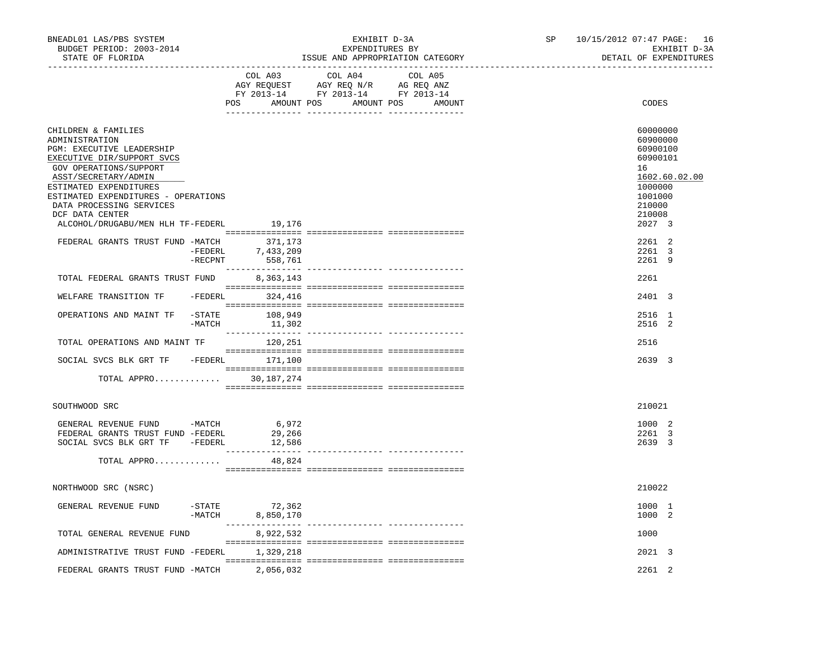| BNEADL01 LAS/PBS SYSTEM<br>BUDGET PERIOD: 2003-2014<br>STATE OF FLORIDA                                                                                                                                                                                                                                                                             |                     | __________________________________ | EXHIBIT D-3A<br>EXPENDITURES BY<br>ISSUE AND APPROPRIATION CATEGORY                                            |                   | SP | 10/15/2012 07:47 PAGE: 16<br>EXHIBIT D-3A<br>DETAIL OF EXPENDITURES                                                                         |
|-----------------------------------------------------------------------------------------------------------------------------------------------------------------------------------------------------------------------------------------------------------------------------------------------------------------------------------------------------|---------------------|------------------------------------|----------------------------------------------------------------------------------------------------------------|-------------------|----|---------------------------------------------------------------------------------------------------------------------------------------------|
|                                                                                                                                                                                                                                                                                                                                                     |                     | COL A03                            | COL A04<br>AGY REQUEST AGY REQ N/R AG REQ ANZ<br>FY 2013-14 FY 2013-14 FY 2013-14<br>POS AMOUNT POS AMOUNT POS | COL A05<br>AMOUNT |    | CODES                                                                                                                                       |
| CHILDREN & FAMILIES<br>ADMINISTRATION<br>PGM: EXECUTIVE LEADERSHIP<br>EXECUTIVE DIR/SUPPORT SVCS<br>GOV OPERATIONS/SUPPORT<br>ASST/SECRETARY/ADMIN<br>ESTIMATED EXPENDITURES<br>ESTIMATED EXPENDITURES - OPERATIONS<br>DATA PROCESSING SERVICES<br>DCF DATA CENTER<br>ALCOHOL/DRUGABU/MEN HLH TF-FEDERL<br>FEDERAL GRANTS TRUST FUND -MATCH 371,173 | -FEDERL             | 19,176<br>7,433,209                |                                                                                                                |                   |    | 60000000<br>60900000<br>60900100<br>60900101<br>16<br>1602.60.02.00<br>1000000<br>1001000<br>210000<br>210008<br>2027 3<br>2261 2<br>2261 3 |
| TOTAL FEDERAL GRANTS TRUST FUND 8,363,143                                                                                                                                                                                                                                                                                                           | $-$ RECPNT          | 558,761                            |                                                                                                                |                   |    | 2261 9<br>2261                                                                                                                              |
| WELFARE TRANSITION TF                                                                                                                                                                                                                                                                                                                               |                     | $-FEDERL$ 324,416                  |                                                                                                                |                   |    | 2401 3                                                                                                                                      |
| OPERATIONS AND MAINT TF                                                                                                                                                                                                                                                                                                                             | $-MATCH$            | $-$ STATE 108,949<br>11,302        |                                                                                                                |                   |    | 2516 1<br>2516 2                                                                                                                            |
| TOTAL OPERATIONS AND MAINT TF                                                                                                                                                                                                                                                                                                                       |                     | 120,251                            |                                                                                                                |                   |    | 2516                                                                                                                                        |
| SOCIAL SVCS BLK GRT TF - FEDERL 171,100                                                                                                                                                                                                                                                                                                             |                     |                                    |                                                                                                                |                   |    | 2639 3                                                                                                                                      |
| TOTAL APPRO                                                                                                                                                                                                                                                                                                                                         |                     | 30,187,274                         |                                                                                                                |                   |    |                                                                                                                                             |
| SOUTHWOOD SRC                                                                                                                                                                                                                                                                                                                                       |                     |                                    |                                                                                                                |                   |    | 210021                                                                                                                                      |
| GENERAL REVENUE FUND -MATCH<br>FEDERAL GRANTS TRUST FUND -FEDERL<br>SOCIAL SVCS BLK GRT TF -FEDERL                                                                                                                                                                                                                                                  |                     | 6,972<br>29,266<br>12,586          |                                                                                                                |                   |    | 1000 2<br>2261 3<br>2639 3                                                                                                                  |
| TOTAL APPRO                                                                                                                                                                                                                                                                                                                                         |                     | 48,824                             |                                                                                                                |                   |    |                                                                                                                                             |
| NORTHWOOD SRC (NSRC)                                                                                                                                                                                                                                                                                                                                |                     |                                    |                                                                                                                |                   |    | 210022                                                                                                                                      |
| GENERAL REVENUE FUND                                                                                                                                                                                                                                                                                                                                | $-$ STATE<br>-MATCH | 72,362<br>8,850,170                |                                                                                                                |                   |    | 1000 1<br>1000 2                                                                                                                            |
| TOTAL GENERAL REVENUE FUND                                                                                                                                                                                                                                                                                                                          |                     | 8,922,532                          |                                                                                                                |                   |    | 1000                                                                                                                                        |
| ADMINISTRATIVE TRUST FUND -FEDERL                                                                                                                                                                                                                                                                                                                   |                     | 1,329,218                          |                                                                                                                |                   |    | 2021 3                                                                                                                                      |
| FEDERAL GRANTS TRUST FUND -MATCH                                                                                                                                                                                                                                                                                                                    |                     | 2,056,032                          |                                                                                                                |                   |    | $2.261$ 2                                                                                                                                   |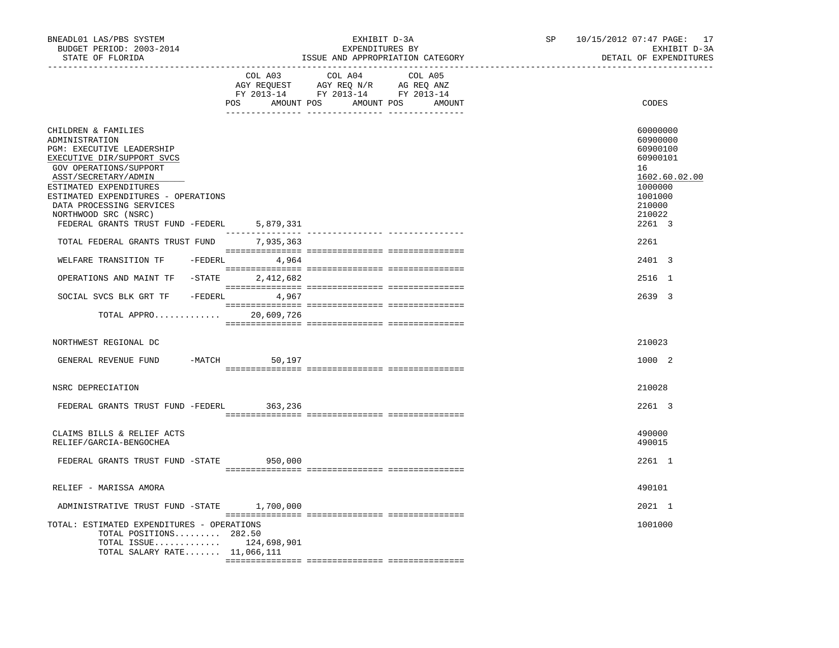| BNEADL01 LAS/PBS SYSTEM<br>BUDGET PERIOD: 2003-2014<br>STATE OF FLORIDA                                                                                                                                                                                                                                                |          |            | EXHIBIT D-3A<br>EXPENDITURES BY                                                                                                                                                                                                                     | ISSUE AND APPROPRIATION CATEGORY | SP | 10/15/2012 07:47 PAGE: 17<br>EXHIBIT D-3A<br>DETAIL OF EXPENDITURES                                                     |
|------------------------------------------------------------------------------------------------------------------------------------------------------------------------------------------------------------------------------------------------------------------------------------------------------------------------|----------|------------|-----------------------------------------------------------------------------------------------------------------------------------------------------------------------------------------------------------------------------------------------------|----------------------------------|----|-------------------------------------------------------------------------------------------------------------------------|
|                                                                                                                                                                                                                                                                                                                        |          | COL A03    | COL A04<br>$\begin{tabular}{lllllllll} \bf AGY & \bf REQUEST & \bf AGY & \bf REQ & \bf N/R & \bf AG & \bf REQ & \bf ANZ \\ \bf FY & \tt 2013-14 & \bf FY & \tt 2013-14 & \bf FY & \tt 2013-14 \\ \end{tabular}$<br>POS AMOUNT POS AMOUNT POS AMOUNT | COL A05                          |    | CODES                                                                                                                   |
| CHILDREN & FAMILIES<br>ADMINISTRATION<br>PGM: EXECUTIVE LEADERSHIP<br>EXECUTIVE DIR/SUPPORT SVCS<br>GOV OPERATIONS/SUPPORT<br>ASST/SECRETARY/ADMIN<br>ESTIMATED EXPENDITURES<br>ESTIMATED EXPENDITURES - OPERATIONS<br>DATA PROCESSING SERVICES<br>NORTHWOOD SRC (NSRC)<br>FEDERAL GRANTS TRUST FUND -FEDERL 5,879,331 |          |            |                                                                                                                                                                                                                                                     |                                  |    | 60000000<br>60900000<br>60900100<br>60900101<br>16<br>1602.60.02.00<br>1000000<br>1001000<br>210000<br>210022<br>2261 3 |
| TOTAL FEDERAL GRANTS TRUST FUND 7,935,363                                                                                                                                                                                                                                                                              |          |            |                                                                                                                                                                                                                                                     |                                  |    | 2261                                                                                                                    |
| WELFARE TRANSITION TF -FEDERL 4,964                                                                                                                                                                                                                                                                                    |          |            |                                                                                                                                                                                                                                                     |                                  |    | 2401 3                                                                                                                  |
| OPERATIONS AND MAINT TF -STATE 2,412,682                                                                                                                                                                                                                                                                               |          |            |                                                                                                                                                                                                                                                     |                                  |    | 2516 1                                                                                                                  |
| SOCIAL SVCS BLK GRT TF - FEDERL 4,967                                                                                                                                                                                                                                                                                  |          |            |                                                                                                                                                                                                                                                     |                                  |    | 2639 3                                                                                                                  |
| TOTAL APPRO                                                                                                                                                                                                                                                                                                            |          | 20,609,726 |                                                                                                                                                                                                                                                     |                                  |    |                                                                                                                         |
| NORTHWEST REGIONAL DC                                                                                                                                                                                                                                                                                                  |          |            |                                                                                                                                                                                                                                                     |                                  |    | 210023                                                                                                                  |
| GENERAL REVENUE FUND                                                                                                                                                                                                                                                                                                   | $-MATCH$ | 50,197     |                                                                                                                                                                                                                                                     |                                  |    | 1000 2                                                                                                                  |
| NSRC DEPRECIATION                                                                                                                                                                                                                                                                                                      |          |            |                                                                                                                                                                                                                                                     |                                  |    | 210028                                                                                                                  |
| FEDERAL GRANTS TRUST FUND -FEDERL 363,236                                                                                                                                                                                                                                                                              |          |            |                                                                                                                                                                                                                                                     |                                  |    | 2261 3                                                                                                                  |
| CLAIMS BILLS & RELIEF ACTS<br>RELIEF/GARCIA-BENGOCHEA                                                                                                                                                                                                                                                                  |          |            |                                                                                                                                                                                                                                                     |                                  |    | 490000<br>490015                                                                                                        |
| FEDERAL GRANTS TRUST FUND -STATE 950,000                                                                                                                                                                                                                                                                               |          |            |                                                                                                                                                                                                                                                     |                                  |    | 2261 1                                                                                                                  |
| RELIEF - MARISSA AMORA                                                                                                                                                                                                                                                                                                 |          |            |                                                                                                                                                                                                                                                     |                                  |    | 490101                                                                                                                  |
| ADMINISTRATIVE TRUST FUND -STATE 1,700,000                                                                                                                                                                                                                                                                             |          |            |                                                                                                                                                                                                                                                     |                                  |    | 2021 1                                                                                                                  |
| TOTAL: ESTIMATED EXPENDITURES - OPERATIONS<br>TOTAL POSITIONS 282.50<br>TOTAL ISSUE $124,698,901$<br>TOTAL SALARY RATE 11,066,111                                                                                                                                                                                      |          |            |                                                                                                                                                                                                                                                     |                                  |    | 1001000                                                                                                                 |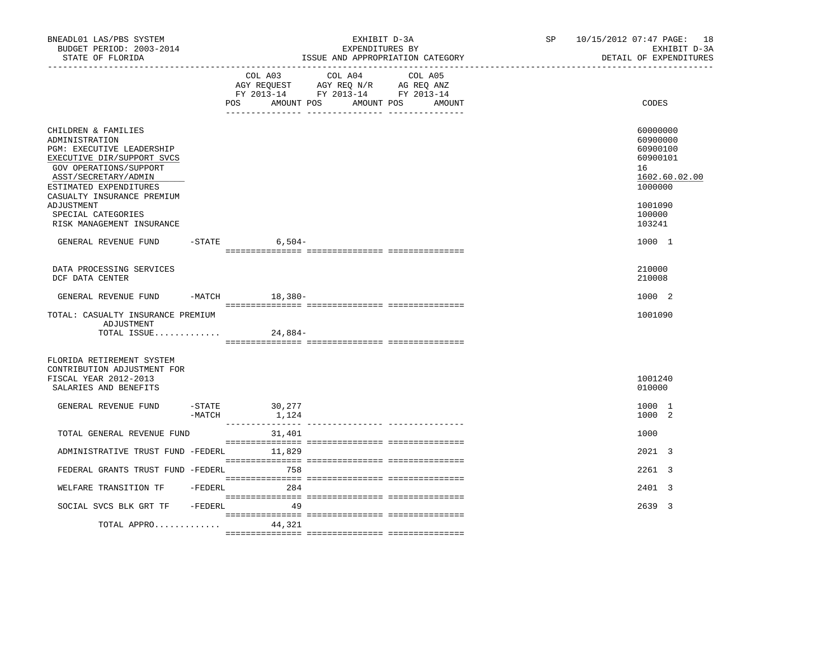| BNEADL01 LAS/PBS SYSTEM<br>BUDGET PERIOD: 2003-2014<br>STATE OF FLORIDA                                                                                                                                                                                                     |          |                          | EXHIBIT D-3A<br>EXPENDITURES BY                                                                   | ISSUE AND APPROPRIATION CATEGORY | SP <sub>2</sub> | 10/15/2012 07:47 PAGE: 18<br>EXHIBIT D-3A<br>DETAIL OF EXPENDITURES                                           |
|-----------------------------------------------------------------------------------------------------------------------------------------------------------------------------------------------------------------------------------------------------------------------------|----------|--------------------------|---------------------------------------------------------------------------------------------------|----------------------------------|-----------------|---------------------------------------------------------------------------------------------------------------|
|                                                                                                                                                                                                                                                                             |          | AMOUNT POS<br>POS        | COL A03 COL A04 COL A05<br>AGY REQUEST AGY REQ N/R AG REQ ANZ<br>FY 2013-14 FY 2013-14 FY 2013-14 | AMOUNT POS<br>AMOUNT             |                 | CODES                                                                                                         |
| CHILDREN & FAMILIES<br>ADMINISTRATION<br>PGM: EXECUTIVE LEADERSHIP<br>EXECUTIVE DIR/SUPPORT SVCS<br>GOV OPERATIONS/SUPPORT<br>ASST/SECRETARY/ADMIN<br>ESTIMATED EXPENDITURES<br>CASUALTY INSURANCE PREMIUM<br>ADJUSTMENT<br>SPECIAL CATEGORIES<br>RISK MANAGEMENT INSURANCE |          |                          |                                                                                                   |                                  |                 | 60000000<br>60900000<br>60900100<br>60900101<br>16<br>1602.60.02.00<br>1000000<br>1001090<br>100000<br>103241 |
| GENERAL REVENUE FUND                                                                                                                                                                                                                                                        |          | $-$ STATE 6,504 -        |                                                                                                   |                                  |                 | 1000 1                                                                                                        |
| DATA PROCESSING SERVICES<br>DCF DATA CENTER                                                                                                                                                                                                                                 |          |                          |                                                                                                   |                                  |                 | 210000<br>210008                                                                                              |
| GENERAL REVENUE FUND -MATCH 18,380-                                                                                                                                                                                                                                         |          |                          |                                                                                                   |                                  |                 | 1000 2                                                                                                        |
| TOTAL: CASUALTY INSURANCE PREMIUM<br>ADJUSTMENT<br>TOTAL ISSUE                                                                                                                                                                                                              |          | 24,884-                  |                                                                                                   |                                  |                 | 1001090                                                                                                       |
| FLORIDA RETIREMENT SYSTEM<br>CONTRIBUTION ADJUSTMENT FOR<br>FISCAL YEAR 2012-2013<br>SALARIES AND BENEFITS                                                                                                                                                                  |          |                          |                                                                                                   |                                  |                 | 1001240<br>010000                                                                                             |
| GENERAL REVENUE FUND                                                                                                                                                                                                                                                        | $-MATCH$ | $-STATE$ 30,277<br>1,124 |                                                                                                   |                                  |                 | 1000 1<br>1000 2                                                                                              |
| TOTAL GENERAL REVENUE FUND                                                                                                                                                                                                                                                  |          | 31,401                   |                                                                                                   |                                  |                 | 1000                                                                                                          |
| ADMINISTRATIVE TRUST FUND -FEDERL 11,829                                                                                                                                                                                                                                    |          |                          |                                                                                                   |                                  |                 | 2021 3                                                                                                        |
| FEDERAL GRANTS TRUST FUND -FEDERL 758                                                                                                                                                                                                                                       |          |                          |                                                                                                   |                                  |                 | 2261 3                                                                                                        |
| WELFARE TRANSITION TF -FEDERL 284                                                                                                                                                                                                                                           |          |                          |                                                                                                   |                                  |                 | 2401 3                                                                                                        |
| SOCIAL SVCS BLK GRT TF -FEDERL                                                                                                                                                                                                                                              |          | 49                       |                                                                                                   |                                  |                 | 2639 3                                                                                                        |
| TOTAL APPRO                                                                                                                                                                                                                                                                 |          | 44,321                   |                                                                                                   |                                  |                 |                                                                                                               |
|                                                                                                                                                                                                                                                                             |          |                          |                                                                                                   |                                  |                 |                                                                                                               |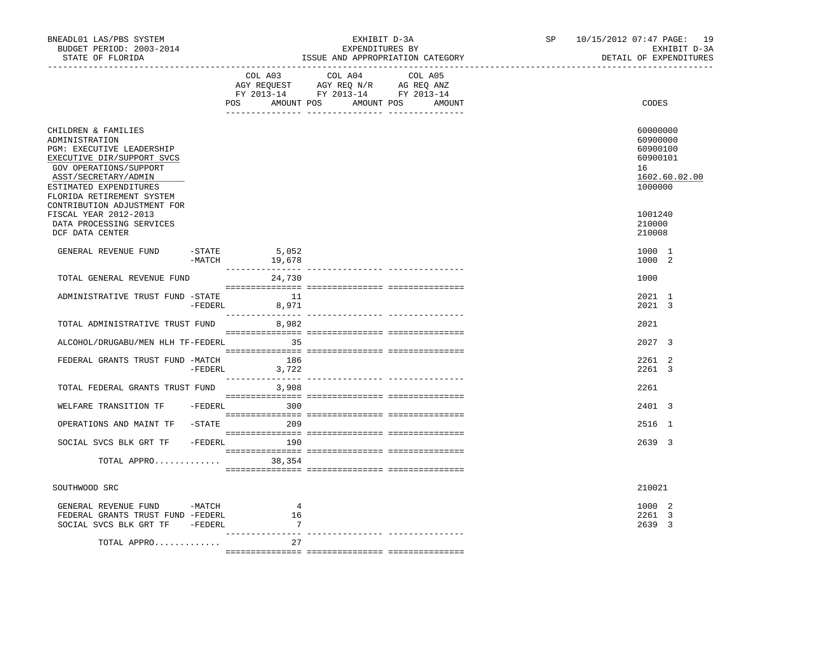| BNEADL01 LAS/PBS SYSTEM<br>BUDGET PERIOD: 2003-2014<br>STATE OF FLORIDA                                                                                                                                   |           |                               | EXHIBIT D-3A<br>EXPENDITURES BY<br>ISSUE AND APPROPRIATION CATEGORY                                                                   |  | SP <sub>2</sub> | 10/15/2012 07:47 PAGE: 19 |                                                               | EXHIBIT D-3A<br>DETAIL OF EXPENDITURES |
|-----------------------------------------------------------------------------------------------------------------------------------------------------------------------------------------------------------|-----------|-------------------------------|---------------------------------------------------------------------------------------------------------------------------------------|--|-----------------|---------------------------|---------------------------------------------------------------|----------------------------------------|
|                                                                                                                                                                                                           |           |                               | COL A03 COL A04 COL A05<br>AGY REQUEST AGY REQ N/R AG REQ ANZ<br>FY 2013-14 FY 2013-14 FY 2013-14<br>POS AMOUNT POS AMOUNT POS AMOUNT |  |                 |                           | CODES                                                         |                                        |
| CHILDREN & FAMILIES<br>ADMINISTRATION<br>PGM: EXECUTIVE LEADERSHIP<br>EXECUTIVE DIR/SUPPORT SVCS<br>GOV OPERATIONS/SUPPORT<br>ASST/SECRETARY/ADMIN<br>ESTIMATED EXPENDITURES<br>FLORIDA RETIREMENT SYSTEM |           |                               |                                                                                                                                       |  |                 |                           | 60000000<br>60900000<br>60900100<br>60900101<br>16<br>1000000 | 1602.60.02.00                          |
| CONTRIBUTION ADJUSTMENT FOR<br>FISCAL YEAR 2012-2013<br>DATA PROCESSING SERVICES<br>DCF DATA CENTER                                                                                                       |           |                               |                                                                                                                                       |  |                 |                           | 1001240<br>210000<br>210008                                   |                                        |
| GENERAL REVENUE FUND                                                                                                                                                                                      | $-$ STATE | -STATE 5,052<br>-MATCH 19,678 |                                                                                                                                       |  |                 |                           | 1000 1<br>1000 2                                              |                                        |
| TOTAL GENERAL REVENUE FUND                                                                                                                                                                                |           | 24,730                        |                                                                                                                                       |  |                 |                           | 1000                                                          |                                        |
| ADMINISTRATIVE TRUST FUND -STATE                                                                                                                                                                          |           | 11<br>-FEDERL 8,971           |                                                                                                                                       |  |                 |                           | 2021 1<br>2021 3                                              |                                        |
| TOTAL ADMINISTRATIVE TRUST FUND 8,982                                                                                                                                                                     |           |                               |                                                                                                                                       |  |                 |                           | 2021                                                          |                                        |
| ALCOHOL/DRUGABU/MEN HLH TF-FEDERL 35                                                                                                                                                                      |           |                               |                                                                                                                                       |  |                 |                           | $2027 - 3$                                                    |                                        |
| FEDERAL GRANTS TRUST FUND -MATCH                                                                                                                                                                          | -FEDERL   | 186<br>3,722                  |                                                                                                                                       |  |                 |                           | 2261 2<br>2261 3                                              |                                        |
| TOTAL FEDERAL GRANTS TRUST FUND 3,908                                                                                                                                                                     |           |                               |                                                                                                                                       |  |                 |                           | 2261                                                          |                                        |
| WELFARE TRANSITION TF -FEDERL 300                                                                                                                                                                         |           |                               |                                                                                                                                       |  |                 |                           | 2401 3                                                        |                                        |
| OPERATIONS AND MAINT TF -STATE 209                                                                                                                                                                        |           |                               |                                                                                                                                       |  |                 |                           | 2516 1                                                        |                                        |
| SOCIAL SVCS BLK GRT TF - FEDERL 190                                                                                                                                                                       |           |                               |                                                                                                                                       |  |                 |                           | 2639 3                                                        |                                        |
| TOTAL APPRO 38,354                                                                                                                                                                                        |           |                               |                                                                                                                                       |  |                 |                           |                                                               |                                        |
| SOUTHWOOD SRC                                                                                                                                                                                             |           |                               |                                                                                                                                       |  |                 |                           | 210021                                                        |                                        |
|                                                                                                                                                                                                           |           |                               |                                                                                                                                       |  |                 |                           |                                                               |                                        |
| GENERAL REVENUE FUND -MATCH<br>FEDERAL GRANTS TRUST FUND -FEDERL<br>SOCIAL SVCS BLK GRT TF - FEDERL                                                                                                       |           | 4<br>16<br>$\overline{7}$     |                                                                                                                                       |  |                 |                           | 1000 2<br>2261 3<br>2639 3                                    |                                        |
| TOTAL APPRO                                                                                                                                                                                               |           | 27                            |                                                                                                                                       |  |                 |                           |                                                               |                                        |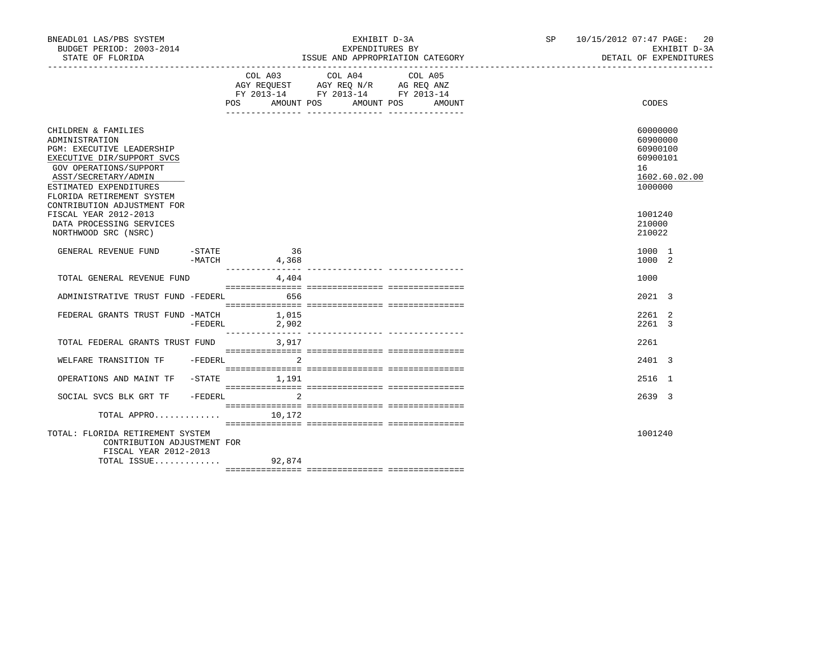| BNEADL01 LAS/PBS SYSTEM<br>BUDGET PERIOD: 2003-2014<br>STATE OF FLORIDA                                                                                                                                                                  |          |                      | EXHIBIT D-3A<br>EXPENDITURES BY<br>ISSUE AND APPROPRIATION CATEGORY                                                              | SP 10/15/2012 07:47 PAGE: 20<br>EXHIBIT D-3A<br>DETAIL OF EXPENDITURES         |
|------------------------------------------------------------------------------------------------------------------------------------------------------------------------------------------------------------------------------------------|----------|----------------------|----------------------------------------------------------------------------------------------------------------------------------|--------------------------------------------------------------------------------|
|                                                                                                                                                                                                                                          |          | COL A03              | COL A04<br>COL A05<br>AGY REQUEST AGY REQ N/R AG REQ ANZ<br>FY 2013-14 FY 2013-14 FY 2013-14<br>POS AMOUNT POS AMOUNT POS AMOUNT | CODES                                                                          |
| CHILDREN & FAMILIES<br>ADMINISTRATION<br>PGM: EXECUTIVE LEADERSHIP<br>EXECUTIVE DIR/SUPPORT SVCS<br>GOV OPERATIONS/SUPPORT<br>ASST/SECRETARY/ADMIN<br>ESTIMATED EXPENDITURES<br>FLORIDA RETIREMENT SYSTEM<br>CONTRIBUTION ADJUSTMENT FOR |          |                      |                                                                                                                                  | 60000000<br>60900000<br>60900100<br>60900101<br>16<br>1602.60.02.00<br>1000000 |
| FISCAL YEAR 2012-2013<br>DATA PROCESSING SERVICES<br>NORTHWOOD SRC (NSRC)                                                                                                                                                                |          |                      |                                                                                                                                  | 1001240<br>210000<br>210022                                                    |
| GENERAL REVENUE FUND                                                                                                                                                                                                                     | $-STATE$ | 36<br>$-MATCH$ 4,368 |                                                                                                                                  | 1000 1<br>1000 2                                                               |
| TOTAL GENERAL REVENUE FUND                                                                                                                                                                                                               |          | 4,404                |                                                                                                                                  | 1000                                                                           |
| ADMINISTRATIVE TRUST FUND -FEDERL 656                                                                                                                                                                                                    |          |                      |                                                                                                                                  | 2021 3                                                                         |
| FEDERAL GRANTS TRUST FUND -MATCH 1,015                                                                                                                                                                                                   |          | -FEDERL 2,902        |                                                                                                                                  | 2261 2<br>2261 3                                                               |
| TOTAL FEDERAL GRANTS TRUST FUND 3.917                                                                                                                                                                                                    |          |                      |                                                                                                                                  | 2261                                                                           |
| WELFARE TRANSITION TF -FEDERL                                                                                                                                                                                                            |          | $\sim$ 2             |                                                                                                                                  | 2401 3                                                                         |
| OPERATIONS AND MAINT TF -STATE 1,191                                                                                                                                                                                                     |          |                      |                                                                                                                                  | 2516 1                                                                         |
| SOCIAL SVCS BLK GRT TF                                                                                                                                                                                                                   |          | -FEDERL 2            |                                                                                                                                  | 2639 3                                                                         |
| TOTAL APPRO                                                                                                                                                                                                                              |          | 10,172               |                                                                                                                                  |                                                                                |
| TOTAL: FLORIDA RETIREMENT SYSTEM<br>CONTRIBUTION ADJUSTMENT FOR<br>FISCAL YEAR 2012-2013<br>TOTAL ISSUE 92,874                                                                                                                           |          |                      |                                                                                                                                  | 1001240                                                                        |
|                                                                                                                                                                                                                                          |          |                      |                                                                                                                                  |                                                                                |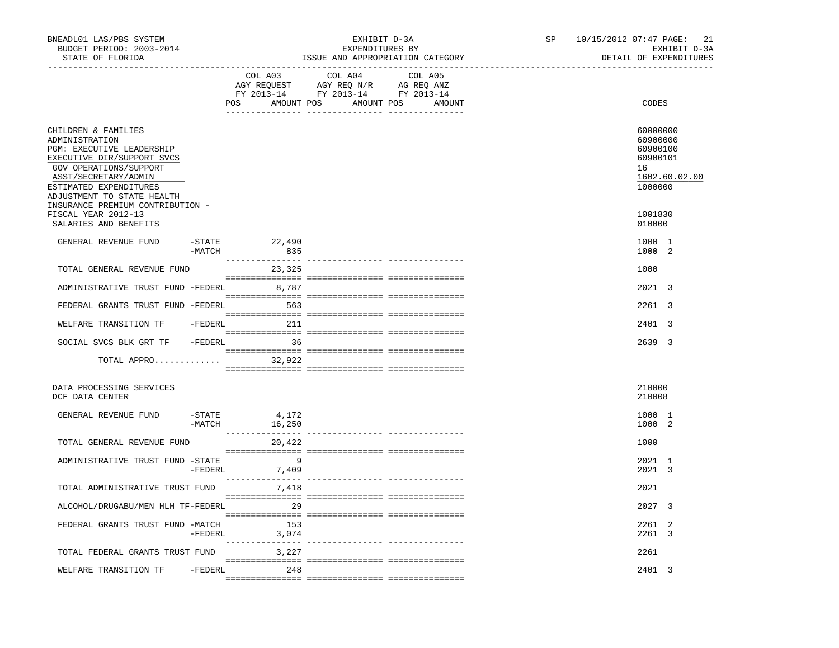| BNEADL01 LAS/PBS SYSTEM<br>BUDGET PERIOD: 2003-2014<br>STATE OF FLORIDA<br>------------------                                                                                                                                                  |           |                          | EXHIBIT D-3A<br>EXPENDITURES BY             | ISSUE AND APPROPRIATION CATEGORY | SP | 10/15/2012 07:47 PAGE: 21<br>EXHIBIT D-3A<br>DETAIL OF EXPENDITURES            |
|------------------------------------------------------------------------------------------------------------------------------------------------------------------------------------------------------------------------------------------------|-----------|--------------------------|---------------------------------------------|----------------------------------|----|--------------------------------------------------------------------------------|
|                                                                                                                                                                                                                                                |           | COL A03                  | COL A04<br>POS AMOUNT POS AMOUNT POS AMOUNT | COL A05                          |    | CODES                                                                          |
| CHILDREN & FAMILIES<br>ADMINISTRATION<br>PGM: EXECUTIVE LEADERSHIP<br>EXECUTIVE DIR/SUPPORT SVCS<br>GOV OPERATIONS/SUPPORT<br>ASST/SECRETARY/ADMIN<br>ESTIMATED EXPENDITURES<br>ADJUSTMENT TO STATE HEALTH<br>INSURANCE PREMIUM CONTRIBUTION - |           |                          |                                             |                                  |    | 60000000<br>60900000<br>60900100<br>60900101<br>16<br>1602.60.02.00<br>1000000 |
| FISCAL YEAR 2012-13<br>SALARIES AND BENEFITS                                                                                                                                                                                                   |           |                          |                                             |                                  |    | 1001830<br>010000                                                              |
| GENERAL REVENUE FUND                                                                                                                                                                                                                           | -MATCH    | -STATE 22,490<br>835     |                                             |                                  |    | 1000 1<br>1000 2                                                               |
| TOTAL GENERAL REVENUE FUND                                                                                                                                                                                                                     |           | 23,325                   |                                             |                                  |    | 1000                                                                           |
| ADMINISTRATIVE TRUST FUND -FEDERL                                                                                                                                                                                                              |           | 8,787                    |                                             |                                  |    | 2021 3                                                                         |
| FEDERAL GRANTS TRUST FUND -FEDERL                                                                                                                                                                                                              |           | 563                      |                                             |                                  |    | 2261 3                                                                         |
| WELFARE TRANSITION TF                                                                                                                                                                                                                          |           | -FEDERL 211              |                                             |                                  |    | 2401 3                                                                         |
| SOCIAL SVCS BLK GRT TF - FEDERL 36                                                                                                                                                                                                             |           |                          |                                             |                                  |    | 2639 3                                                                         |
| TOTAL APPRO $32,922$                                                                                                                                                                                                                           |           |                          |                                             |                                  |    |                                                                                |
| DATA PROCESSING SERVICES<br>DCF DATA CENTER                                                                                                                                                                                                    |           |                          |                                             |                                  |    | 210000<br>210008                                                               |
| GENERAL REVENUE FUND                                                                                                                                                                                                                           | $-$ STATE | 4,172<br>$-MATCH$ 16,250 |                                             |                                  |    | 1000 1<br>1000 2                                                               |
| TOTAL GENERAL REVENUE FUND                                                                                                                                                                                                                     |           | 20,422                   |                                             |                                  |    | 1000                                                                           |
| ADMINISTRATIVE TRUST FUND -STATE                                                                                                                                                                                                               |           | - 9<br>-FEDERL 7,409     |                                             |                                  |    | 2021 1<br>2021 3                                                               |
| TOTAL ADMINISTRATIVE TRUST FUND                                                                                                                                                                                                                |           | 7,418                    |                                             |                                  |    | 2021                                                                           |
| ALCOHOL/DRUGABU/MEN HLH TF-FEDERL                                                                                                                                                                                                              |           | $\sim$ 29                |                                             |                                  |    | 2027 3                                                                         |
| FEDERAL GRANTS TRUST FUND -MATCH                                                                                                                                                                                                               | -FEDERL   | 153<br>3,074             |                                             |                                  |    | 2261 2<br>2261 3                                                               |
| TOTAL FEDERAL GRANTS TRUST FUND                                                                                                                                                                                                                |           | 3,227                    |                                             |                                  |    | 2261                                                                           |
| WELFARE TRANSITION TF                                                                                                                                                                                                                          |           | -FEDERL 248              |                                             |                                  |    | 2401 3                                                                         |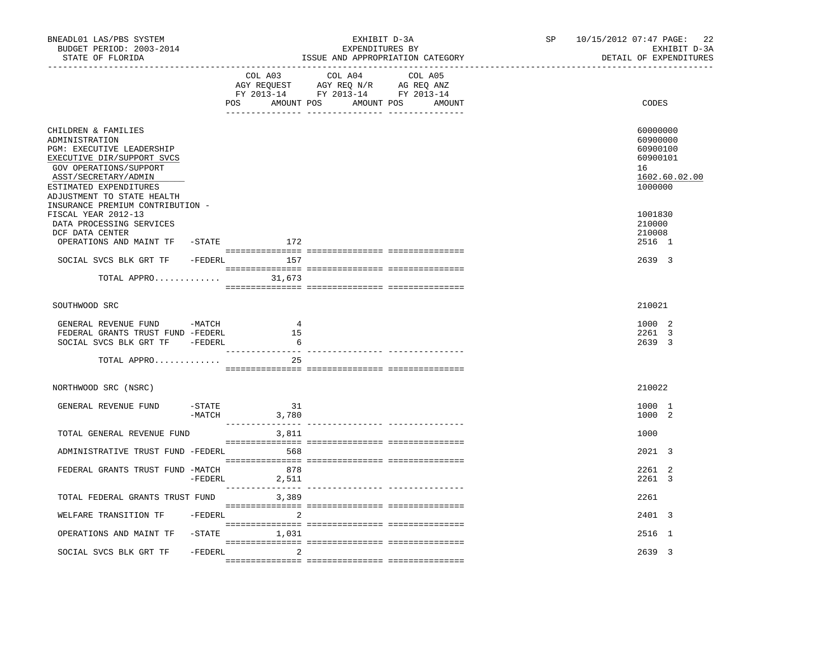| BNEADL01 LAS/PBS SYSTEM<br>BUDGET PERIOD: 2003-2014<br>STATE OF FLORIDA<br>_________________                                                                                                                      |           |                                 | EXHIBIT D-3A<br>EXPENDITURES BY<br>ISSUE AND APPROPRIATION CATEGORY<br>_______________________________                                                                                                                                                                                                                                                                                                                                                          | SP | 10/15/2012 07:47 PAGE: 22<br>EXHIBIT D-3A<br>DETAIL OF EXPENDITURES            |
|-------------------------------------------------------------------------------------------------------------------------------------------------------------------------------------------------------------------|-----------|---------------------------------|-----------------------------------------------------------------------------------------------------------------------------------------------------------------------------------------------------------------------------------------------------------------------------------------------------------------------------------------------------------------------------------------------------------------------------------------------------------------|----|--------------------------------------------------------------------------------|
|                                                                                                                                                                                                                   |           | COL A03                         | COL A04<br>COL A05<br>AGY REQUEST AGY REQ N/R AG REQ ANZ<br>FY 2013-14 FY 2013-14 FY 2013-14<br>POS AMOUNT POS AMOUNT POS AMOUNT                                                                                                                                                                                                                                                                                                                                |    | CODES                                                                          |
| CHILDREN & FAMILIES<br>ADMINISTRATION<br><b>PGM: EXECUTIVE LEADERSHIP</b><br>EXECUTIVE DIR/SUPPORT SVCS<br>GOV OPERATIONS/SUPPORT<br>ASST/SECRETARY/ADMIN<br>ESTIMATED EXPENDITURES<br>ADJUSTMENT TO STATE HEALTH |           |                                 |                                                                                                                                                                                                                                                                                                                                                                                                                                                                 |    | 60000000<br>60900000<br>60900100<br>60900101<br>16<br>1602.60.02.00<br>1000000 |
| INSURANCE PREMIUM CONTRIBUTION -<br>FISCAL YEAR 2012-13<br>DATA PROCESSING SERVICES<br>DCF DATA CENTER<br>OPERATIONS AND MAINT TF                                                                                 |           | $-$ STATE $172$                 |                                                                                                                                                                                                                                                                                                                                                                                                                                                                 |    | 1001830<br>210000<br>210008<br>2516 1                                          |
| SOCIAL SVCS BLK GRT TF<br>TOTAL APPRO $31,673$                                                                                                                                                                    |           | -FEDERL 157                     | $\begin{minipage}{0.03\textwidth} \begin{tabular}{l} \textbf{0.04\textwidth} \textbf{0.04\textwidth} \textbf{0.04\textwidth} \textbf{0.04\textwidth} \textbf{0.04\textwidth} \textbf{0.04\textwidth} \textbf{0.04\textwidth} \textbf{0.04\textwidth} \textbf{0.04\textwidth} \textbf{0.04\textwidth} \textbf{0.04\textwidth} \textbf{0.04\textwidth} \textbf{0.04\textwidth} \textbf{0.04\textwidth} \textbf{0.04\textwidth} \textbf{0.04\textwidth} \textbf{0$ |    | 2639 3                                                                         |
|                                                                                                                                                                                                                   |           |                                 |                                                                                                                                                                                                                                                                                                                                                                                                                                                                 |    |                                                                                |
| SOUTHWOOD SRC                                                                                                                                                                                                     |           |                                 |                                                                                                                                                                                                                                                                                                                                                                                                                                                                 |    | 210021                                                                         |
| GENERAL REVENUE FUND -MATCH<br>FEDERAL GRANTS TRUST FUND -FEDERL<br>SOCIAL SVCS BLK GRT TF -FEDERL                                                                                                                |           | 4<br>15<br>- 6                  |                                                                                                                                                                                                                                                                                                                                                                                                                                                                 |    | 1000 2<br>2261 3<br>2639 3                                                     |
| TOTAL APPRO                                                                                                                                                                                                       |           | 25                              |                                                                                                                                                                                                                                                                                                                                                                                                                                                                 |    |                                                                                |
| NORTHWOOD SRC (NSRC)                                                                                                                                                                                              |           |                                 |                                                                                                                                                                                                                                                                                                                                                                                                                                                                 |    | 210022                                                                         |
| GENERAL REVENUE FUND                                                                                                                                                                                              | -STATE    | 31<br>$-MATCH$ 3,780            |                                                                                                                                                                                                                                                                                                                                                                                                                                                                 |    | 1000 1<br>1000 2                                                               |
| TOTAL GENERAL REVENUE FUND                                                                                                                                                                                        |           | 3,811                           |                                                                                                                                                                                                                                                                                                                                                                                                                                                                 |    | 1000                                                                           |
| ADMINISTRATIVE TRUST FUND -FEDERL                                                                                                                                                                                 |           | 568                             |                                                                                                                                                                                                                                                                                                                                                                                                                                                                 |    | $2021 \quad 3$                                                                 |
| FEDERAL GRANTS TRUST FUND -MATCH                                                                                                                                                                                  | $-FEDERL$ | 878<br>2,511<br>_______________ |                                                                                                                                                                                                                                                                                                                                                                                                                                                                 |    | 2261 2<br>2261 3                                                               |
| TOTAL FEDERAL GRANTS TRUST FUND                                                                                                                                                                                   |           | 3,389                           |                                                                                                                                                                                                                                                                                                                                                                                                                                                                 |    | 2261                                                                           |
| WELFARE TRANSITION TF                                                                                                                                                                                             | -FEDERL   | 2                               |                                                                                                                                                                                                                                                                                                                                                                                                                                                                 |    | 2401 3                                                                         |
| OPERATIONS AND MAINT TF                                                                                                                                                                                           |           | $-STATE$ 1,031                  |                                                                                                                                                                                                                                                                                                                                                                                                                                                                 |    | 2516 1                                                                         |
| SOCIAL SVCS BLK GRT TF                                                                                                                                                                                            | -FEDERL   | 2                               |                                                                                                                                                                                                                                                                                                                                                                                                                                                                 |    | 2639 3                                                                         |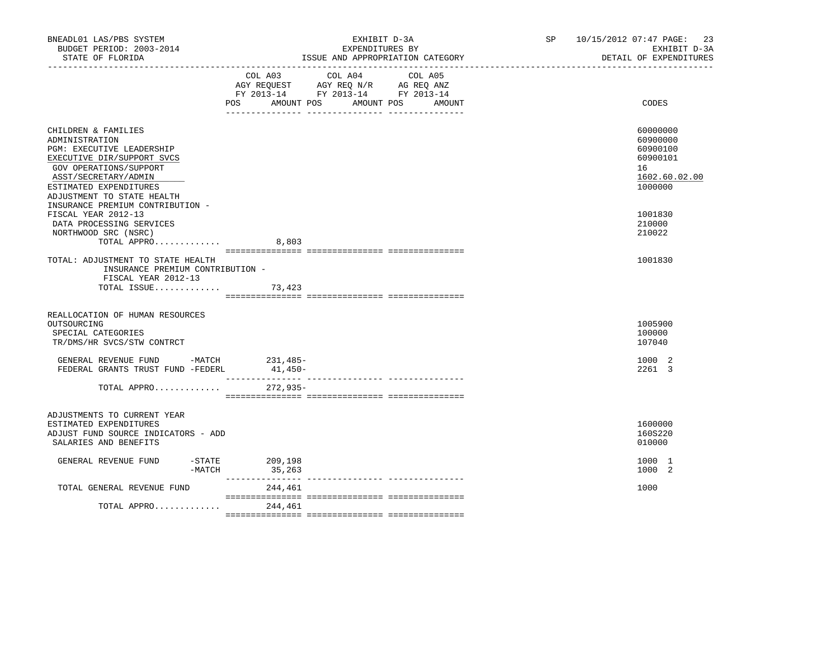| BNEADL01 LAS/PBS SYSTEM<br>BUDGET PERIOD: 2003-2014<br>STATE OF FLORIDA                                                                                                                                           | EXHIBIT D-3A<br>EXPENDITURES BY<br>ISSUE AND APPROPRIATION CATEGORY                                                                   | 10/15/2012 07:47 PAGE: 23<br>SP and the set of the set of the set of the set of the set of the set of the set of the set of the set of the set of the set of the set of the set of the set of the set of the set of the set of the set of the set of the se<br>EXHIBIT D-3A<br>DETAIL OF EXPENDITURES |
|-------------------------------------------------------------------------------------------------------------------------------------------------------------------------------------------------------------------|---------------------------------------------------------------------------------------------------------------------------------------|-------------------------------------------------------------------------------------------------------------------------------------------------------------------------------------------------------------------------------------------------------------------------------------------------------|
|                                                                                                                                                                                                                   | COL A03 COL A04 COL A05<br>AGY REQUEST AGY REQ N/R AG REQ ANZ<br>FY 2013-14 FY 2013-14 FY 2013-14<br>POS AMOUNT POS AMOUNT POS AMOUNT | CODES                                                                                                                                                                                                                                                                                                 |
| CHILDREN & FAMILIES<br>ADMINISTRATION<br><b>PGM: EXECUTIVE LEADERSHIP</b><br>EXECUTIVE DIR/SUPPORT SVCS<br>GOV OPERATIONS/SUPPORT<br>ASST/SECRETARY/ADMIN<br>ESTIMATED EXPENDITURES<br>ADJUSTMENT TO STATE HEALTH |                                                                                                                                       | 60000000<br>60900000<br>60900100<br>60900101<br>16<br>1602.60.02.00<br>1000000                                                                                                                                                                                                                        |
| INSURANCE PREMIUM CONTRIBUTION -<br>FISCAL YEAR 2012-13<br>DATA PROCESSING SERVICES<br>NORTHWOOD SRC (NSRC)<br>TOTAL APPRO                                                                                        | 8,803                                                                                                                                 | 1001830<br>210000<br>210022                                                                                                                                                                                                                                                                           |
| TOTAL: ADJUSTMENT TO STATE HEALTH<br>INSURANCE PREMIUM CONTRIBUTION -<br>FISCAL YEAR 2012-13<br>TOTAL ISSUE $73,423$                                                                                              |                                                                                                                                       | 1001830                                                                                                                                                                                                                                                                                               |
| REALLOCATION OF HUMAN RESOURCES<br>OUTSOURCING<br>SPECIAL CATEGORIES<br>TR/DMS/HR SVCS/STW CONTRCT                                                                                                                |                                                                                                                                       | 1005900<br>100000<br>107040                                                                                                                                                                                                                                                                           |
| GENERAL REVENUE FUND -MATCH 231,485-<br>FEDERAL GRANTS TRUST FUND -FEDERL                                                                                                                                         | 41,450-                                                                                                                               | 1000 2<br>2261 3                                                                                                                                                                                                                                                                                      |
| TOTAL APPRO                                                                                                                                                                                                       | 272,935-                                                                                                                              |                                                                                                                                                                                                                                                                                                       |
| ADJUSTMENTS TO CURRENT YEAR<br>ESTIMATED EXPENDITURES<br>ADJUST FUND SOURCE INDICATORS - ADD<br>SALARIES AND BENEFITS                                                                                             |                                                                                                                                       | 1600000<br>160S220<br>010000                                                                                                                                                                                                                                                                          |
| GENERAL REVENUE FUND<br>-STATE<br>$-MATCH$                                                                                                                                                                        | 209,198<br>35,263                                                                                                                     | 1000 1<br>1000 2                                                                                                                                                                                                                                                                                      |
| TOTAL GENERAL REVENUE FUND                                                                                                                                                                                        | 244,461                                                                                                                               | 1000                                                                                                                                                                                                                                                                                                  |
| TOTAL APPRO                                                                                                                                                                                                       | 244,461                                                                                                                               |                                                                                                                                                                                                                                                                                                       |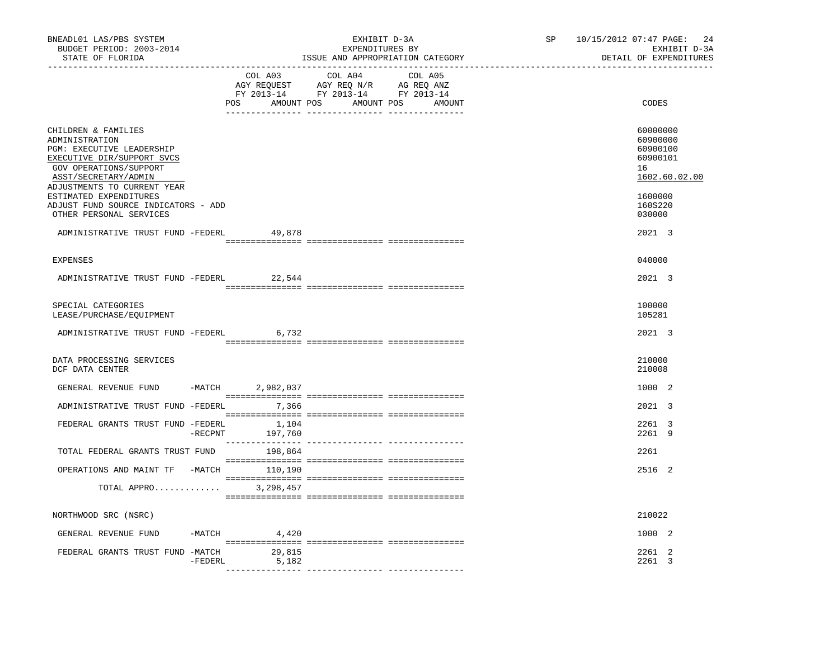| BNEADL01 LAS/PBS SYSTEM<br>BUDGET PERIOD: 2003-2014<br>STATE OF FLORIDA                                                                                                                                     |                       | EXHIBIT D-3A<br>EXPENDITURES BY<br>ISSUE AND APPROPRIATION CATEGORY                                                              | SP | 10/15/2012 07:47 PAGE:<br>24<br>EXHIBIT D-3A<br>DETAIL OF EXPENDITURES         |
|-------------------------------------------------------------------------------------------------------------------------------------------------------------------------------------------------------------|-----------------------|----------------------------------------------------------------------------------------------------------------------------------|----|--------------------------------------------------------------------------------|
|                                                                                                                                                                                                             | COL A03               | COL A04<br>COL A05<br>AGY REQUEST AGY REQ N/R AG REQ ANZ<br>FY 2013-14 FY 2013-14 FY 2013-14<br>POS AMOUNT POS AMOUNT POS AMOUNT |    | CODES                                                                          |
| CHILDREN & FAMILIES<br>ADMINISTRATION<br>PGM: EXECUTIVE LEADERSHIP<br>EXECUTIVE DIR/SUPPORT SVCS<br>GOV OPERATIONS/SUPPORT<br>ASST/SECRETARY/ADMIN<br>ADJUSTMENTS TO CURRENT YEAR<br>ESTIMATED EXPENDITURES |                       |                                                                                                                                  |    | 60000000<br>60900000<br>60900100<br>60900101<br>16<br>1602.60.02.00<br>1600000 |
| ADJUST FUND SOURCE INDICATORS - ADD<br>OTHER PERSONAL SERVICES                                                                                                                                              |                       |                                                                                                                                  |    | 160S220<br>030000                                                              |
| ADMINISTRATIVE TRUST FUND -FEDERL                                                                                                                                                                           | 49,878                |                                                                                                                                  |    | 2021 3                                                                         |
| <b>EXPENSES</b>                                                                                                                                                                                             |                       |                                                                                                                                  |    | 040000                                                                         |
| ADMINISTRATIVE TRUST FUND -FEDERL                                                                                                                                                                           | 22,544                |                                                                                                                                  |    | 2021 3                                                                         |
| SPECIAL CATEGORIES<br>LEASE/PURCHASE/EQUIPMENT                                                                                                                                                              |                       |                                                                                                                                  |    | 100000<br>105281                                                               |
| ADMINISTRATIVE TRUST FUND -FEDERL                                                                                                                                                                           | 6,732                 |                                                                                                                                  |    | 2021 3                                                                         |
| DATA PROCESSING SERVICES<br>DCF DATA CENTER                                                                                                                                                                 |                       |                                                                                                                                  |    | 210000<br>210008                                                               |
| GENERAL REVENUE FUND -MATCH 2,982,037                                                                                                                                                                       |                       |                                                                                                                                  |    | 1000 2                                                                         |
| ADMINISTRATIVE TRUST FUND -FEDERL 7,366                                                                                                                                                                     |                       |                                                                                                                                  |    | 2021 3                                                                         |
| FEDERAL GRANTS TRUST FUND -FEDERL 1,104                                                                                                                                                                     | 197,760<br>$-$ RECPNT |                                                                                                                                  |    | 2261 3<br>2261 9                                                               |
| TOTAL FEDERAL GRANTS TRUST FUND 198,864                                                                                                                                                                     |                       |                                                                                                                                  |    | 2261                                                                           |
| OPERATIONS AND MAINT TF -MATCH 110,190                                                                                                                                                                      |                       |                                                                                                                                  |    | 2516 2                                                                         |
| TOTAL APPRO 3,298,457                                                                                                                                                                                       |                       |                                                                                                                                  |    |                                                                                |
| NORTHWOOD SRC (NSRC)                                                                                                                                                                                        |                       |                                                                                                                                  |    | 210022                                                                         |
| GENERAL REVENUE FUND                                                                                                                                                                                        | $-MATCH$ 4,420        |                                                                                                                                  |    | 1000 2                                                                         |
| FEDERAL GRANTS TRUST FUND -MATCH 29,815                                                                                                                                                                     | 5,182<br>$-$ FEDERL   |                                                                                                                                  |    | 2261 2<br>2261 3                                                               |
|                                                                                                                                                                                                             |                       |                                                                                                                                  |    |                                                                                |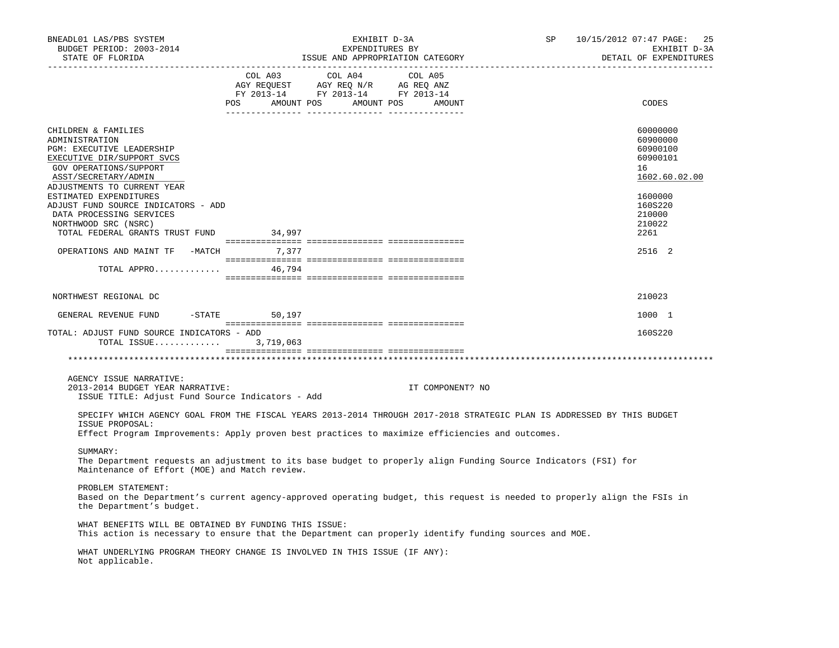| BNEADL01 LAS/PBS SYSTEM<br>BUDGET PERIOD: 2003-2014<br>STATE OF FLORIDA                                                                                                           | SP<br>EXHIBIT D-3A<br>EXPENDITURES BY<br>ISSUE AND APPROPRIATION CATEGORY                                                                                                                                                                                                                                         | 10/15/2012 07:47 PAGE: 25<br>EXHIBIT D-3A<br>DETAIL OF EXPENDITURES |
|-----------------------------------------------------------------------------------------------------------------------------------------------------------------------------------|-------------------------------------------------------------------------------------------------------------------------------------------------------------------------------------------------------------------------------------------------------------------------------------------------------------------|---------------------------------------------------------------------|
|                                                                                                                                                                                   | $\begin{tabular}{lllllllllll} COL & A03 & \multicolumn{3}{l}COL & A04 & \multicolumn{3}{l}COL & A05 \\ AGY & REQUEST & AGY & REQ & N/R & \multicolumn{3}{l}AG & REQ & ANZ \\ FY & 2013-14 & \multicolumn{3}{l}FY & 2013-14 & \multicolumn{3}{l}FY & 2013-14 \\ \end{tabular}$<br>POS AMOUNT POS AMOUNT POS AMOUNT | CODES                                                               |
| CHILDREN & FAMILIES<br>ADMINISTRATION<br>PGM: EXECUTIVE LEADERSHIP<br>EXECUTIVE DIR/SUPPORT SVCS<br>GOV OPERATIONS/SUPPORT<br>ASST/SECRETARY/ADMIN<br>ADJUSTMENTS TO CURRENT YEAR |                                                                                                                                                                                                                                                                                                                   | 60000000<br>60900000<br>60900100<br>60900101<br>16<br>1602.60.02.00 |
| ESTIMATED EXPENDITURES<br>ADJUST FUND SOURCE INDICATORS - ADD<br>DATA PROCESSING SERVICES<br>NORTHWOOD SRC (NSRC)<br>TOTAL FEDERAL GRANTS TRUST FUND 34,997                       |                                                                                                                                                                                                                                                                                                                   | 1600000<br>160S220<br>210000<br>210022<br>2261                      |
| OPERATIONS AND MAINT TF -MATCH 7,377<br>TOTAL APPRO $46,794$                                                                                                                      |                                                                                                                                                                                                                                                                                                                   | 2516 2                                                              |
| NORTHWEST REGIONAL DC                                                                                                                                                             |                                                                                                                                                                                                                                                                                                                   | 210023                                                              |
| GENERAL REVENUE FUND -STATE 50,197                                                                                                                                                |                                                                                                                                                                                                                                                                                                                   | 1000 1                                                              |
| TOTAL: ADJUST FUND SOURCE INDICATORS - ADD<br>TOTAL ISSUE 3,719,063                                                                                                               |                                                                                                                                                                                                                                                                                                                   | 160S220                                                             |
|                                                                                                                                                                                   |                                                                                                                                                                                                                                                                                                                   |                                                                     |
| AGENCY ISSUE NARRATIVE:<br>2013-2014 BUDGET YEAR NARRATIVE:<br>ISSUE TITLE: Adjust Fund Source Indicators - Add                                                                   | IT COMPONENT? NO                                                                                                                                                                                                                                                                                                  |                                                                     |
| ISSUE PROPOSAL:                                                                                                                                                                   | SPECIFY WHICH AGENCY GOAL FROM THE FISCAL YEARS 2013-2014 THROUGH 2017-2018 STRATEGIC PLAN IS ADDRESSED BY THIS BUDGET<br>Effect Program Improvements: Apply proven best practices to maximize efficiencies and outcomes.                                                                                         |                                                                     |
| SUMMARY:<br>Maintenance of Effort (MOE) and Match review.                                                                                                                         | The Department requests an adjustment to its base budget to properly align Funding Source Indicators (FSI) for                                                                                                                                                                                                    |                                                                     |
| PROBLEM STATEMENT:<br>the Department's budget.                                                                                                                                    | Based on the Department's current agency-approved operating budget, this request is needed to properly align the FSIs in                                                                                                                                                                                          |                                                                     |
| WHAT BENEFITS WILL BE OBTAINED BY FUNDING THIS ISSUE:                                                                                                                             | This action is necessary to ensure that the Department can properly identify funding sources and MOE.                                                                                                                                                                                                             |                                                                     |
| Not applicable.                                                                                                                                                                   | WHAT UNDERLYING PROGRAM THEORY CHANGE IS INVOLVED IN THIS ISSUE (IF ANY):                                                                                                                                                                                                                                         |                                                                     |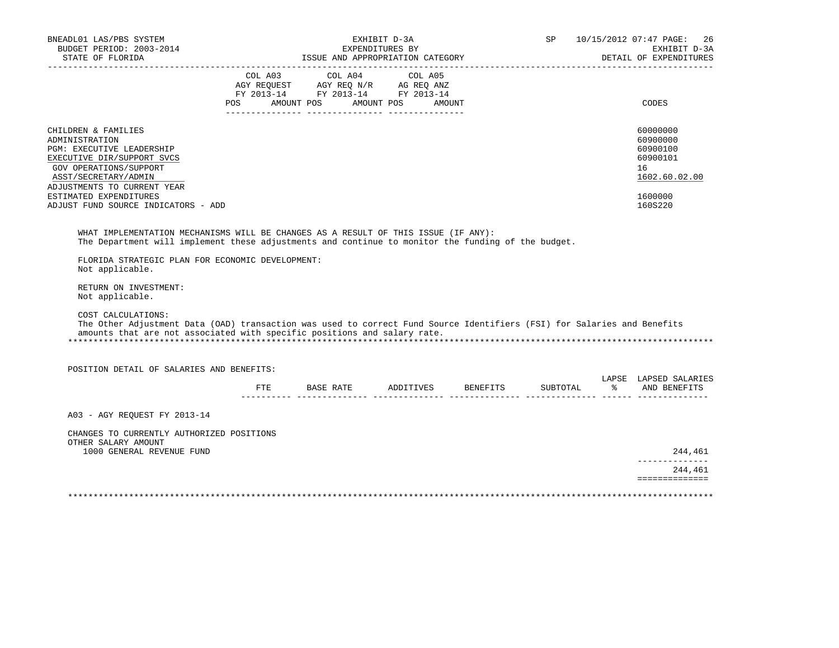|                                           | EXHIBIT D-3A                                     |                                                                                             | SP and the set of the set of the set of the set of the set of the set of the set of the set of the set of the set of the set of the set of the set of the set of the set of the set of the set of the set of the set of the se                                                                                           |                                                                                                                                        | 10/15/2012 07:47 PAGE: 26<br>EXHIBIT D-3A<br>DETAIL OF EXPENDITURES                                                                                |
|-------------------------------------------|--------------------------------------------------|---------------------------------------------------------------------------------------------|--------------------------------------------------------------------------------------------------------------------------------------------------------------------------------------------------------------------------------------------------------------------------------------------------------------------------|----------------------------------------------------------------------------------------------------------------------------------------|----------------------------------------------------------------------------------------------------------------------------------------------------|
|                                           |                                                  |                                                                                             |                                                                                                                                                                                                                                                                                                                          |                                                                                                                                        | CODES                                                                                                                                              |
| ADJUST FUND SOURCE INDICATORS - ADD       |                                                  |                                                                                             |                                                                                                                                                                                                                                                                                                                          |                                                                                                                                        | 60000000<br>60900000<br>60900100<br>60900101<br>16<br>1602.60.02.00<br>1600000<br>160S220                                                          |
|                                           |                                                  |                                                                                             |                                                                                                                                                                                                                                                                                                                          |                                                                                                                                        |                                                                                                                                                    |
|                                           |                                                  |                                                                                             |                                                                                                                                                                                                                                                                                                                          |                                                                                                                                        |                                                                                                                                                    |
|                                           |                                                  |                                                                                             |                                                                                                                                                                                                                                                                                                                          |                                                                                                                                        |                                                                                                                                                    |
| POSITION DETAIL OF SALARIES AND BENEFITS: |                                                  |                                                                                             |                                                                                                                                                                                                                                                                                                                          |                                                                                                                                        |                                                                                                                                                    |
|                                           |                                                  |                                                                                             |                                                                                                                                                                                                                                                                                                                          |                                                                                                                                        | LAPSE LAPSED SALARIES                                                                                                                              |
|                                           |                                                  |                                                                                             |                                                                                                                                                                                                                                                                                                                          |                                                                                                                                        |                                                                                                                                                    |
| CHANGES TO CURRENTLY AUTHORIZED POSITIONS |                                                  |                                                                                             |                                                                                                                                                                                                                                                                                                                          |                                                                                                                                        | 244,461                                                                                                                                            |
|                                           |                                                  |                                                                                             |                                                                                                                                                                                                                                                                                                                          |                                                                                                                                        | ______________                                                                                                                                     |
|                                           | FLORIDA STRATEGIC PLAN FOR ECONOMIC DEVELOPMENT: | EXPENDITURES BY<br>amounts that are not associated with specific positions and salary rate. | ISSUE AND APPROPRIATION CATEGORY<br>$\begin{tabular}{lcccc} COL A03 & COL A04 & COL A05 \\ AGY REQUEST & AGY REQ N/R & AG REQ ANZ \\ FY & 2013-14 & FY & 2013-14 & FY & 2013-14 \end{tabular}$<br>POS AMOUNT POS AMOUNT POS AMOUNT<br>WHAT IMPLEMENTATION MECHANISMS WILL BE CHANGES AS A RESULT OF THIS ISSUE (IF ANY): | The Department will implement these adjustments and continue to monitor the funding of the budget.<br>FTE BASE RATE ADDITIVES BENEFITS | The Other Adjustment Data (OAD) transaction was used to correct Fund Source Identifiers (FSI) for Salaries and Benefits<br>SUBTOTAL % AND BENEFITS |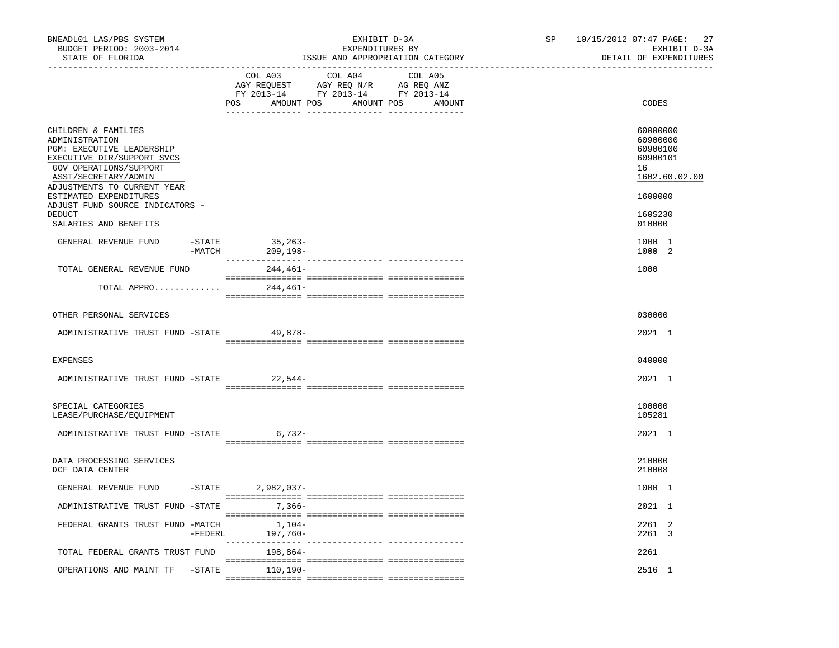| BNEADL01 LAS/PBS SYSTEM<br>BUDGET PERIOD: 2003-2014<br>STATE OF FLORIDA                                                                                                                                                                                                                  |            |                                 | EXHIBIT D-3A<br>EXPENDITURES BY<br>ISSUE AND APPROPRIATION CATEGORY                                                                                                                                                                                      | SP | 10/15/2012 07:47 PAGE: 27<br>EXHIBIT D-3A<br>DETAIL OF EXPENDITURES                                 |
|------------------------------------------------------------------------------------------------------------------------------------------------------------------------------------------------------------------------------------------------------------------------------------------|------------|---------------------------------|----------------------------------------------------------------------------------------------------------------------------------------------------------------------------------------------------------------------------------------------------------|----|-----------------------------------------------------------------------------------------------------|
|                                                                                                                                                                                                                                                                                          |            | COL A03                         | COL A04 COL A05<br>$\begin{tabular}{lllllllll} \bf AGY \,\, REQUEST \,\, & \bf AGY \,\, REQ \,\, N/R & \bf AG \,\, REQ \,\, ANZ \\ \bf FY \,\, 2013-14 & \bf FY \,\, 2013-14 & \bf FY \,\, 2013-14 \\ \end{tabular}$<br>POS AMOUNT POS AMOUNT POS AMOUNT |    | CODES                                                                                               |
| CHILDREN & FAMILIES<br>ADMINISTRATION<br>PGM: EXECUTIVE LEADERSHIP<br>EXECUTIVE DIR/SUPPORT SVCS<br>GOV OPERATIONS/SUPPORT<br>ASST/SECRETARY/ADMIN<br>ADJUSTMENTS TO CURRENT YEAR<br>ESTIMATED EXPENDITURES<br>ADJUST FUND SOURCE INDICATORS -<br><b>DEDUCT</b><br>SALARIES AND BENEFITS |            |                                 |                                                                                                                                                                                                                                                          |    | 60000000<br>60900000<br>60900100<br>60900101<br>16<br>1602.60.02.00<br>1600000<br>160S230<br>010000 |
| GENERAL REVENUE FUND                                                                                                                                                                                                                                                                     | -MATCH     | $-STATE$<br>35,263-<br>209,198- |                                                                                                                                                                                                                                                          |    | 1000 1<br>1000 2                                                                                    |
| TOTAL GENERAL REVENUE FUND                                                                                                                                                                                                                                                               |            | $244.461-$                      |                                                                                                                                                                                                                                                          |    | 1000                                                                                                |
| TOTAL APPRO                                                                                                                                                                                                                                                                              |            | 244,461-                        |                                                                                                                                                                                                                                                          |    |                                                                                                     |
| OTHER PERSONAL SERVICES                                                                                                                                                                                                                                                                  |            |                                 |                                                                                                                                                                                                                                                          |    | 030000                                                                                              |
| ADMINISTRATIVE TRUST FUND -STATE                                                                                                                                                                                                                                                         |            | 49,878-                         |                                                                                                                                                                                                                                                          |    | 2021 1                                                                                              |
| <b>EXPENSES</b>                                                                                                                                                                                                                                                                          |            |                                 |                                                                                                                                                                                                                                                          |    | 040000                                                                                              |
| ADMINISTRATIVE TRUST FUND -STATE                                                                                                                                                                                                                                                         |            | 22,544-                         |                                                                                                                                                                                                                                                          |    | 2021 1                                                                                              |
| SPECIAL CATEGORIES<br>LEASE/PURCHASE/EQUIPMENT                                                                                                                                                                                                                                           |            |                                 |                                                                                                                                                                                                                                                          |    | 100000<br>105281                                                                                    |
| ADMINISTRATIVE TRUST FUND -STATE 6,732-                                                                                                                                                                                                                                                  |            |                                 |                                                                                                                                                                                                                                                          |    | 2021 1                                                                                              |
| DATA PROCESSING SERVICES<br>DCF DATA CENTER                                                                                                                                                                                                                                              |            |                                 |                                                                                                                                                                                                                                                          |    | 210000<br>210008                                                                                    |
| GENERAL REVENUE FUND                                                                                                                                                                                                                                                                     |            | $-STATE$ 2,982,037-             |                                                                                                                                                                                                                                                          |    | 1000 1                                                                                              |
| ADMINISTRATIVE TRUST FUND -STATE                                                                                                                                                                                                                                                         |            | $7,366-$                        |                                                                                                                                                                                                                                                          |    | 2021 1                                                                                              |
| FEDERAL GRANTS TRUST FUND -MATCH                                                                                                                                                                                                                                                         | $-$ FEDERL | $1,104-$<br>197,760-            |                                                                                                                                                                                                                                                          |    | 2261 2<br>2261 3                                                                                    |
| TOTAL FEDERAL GRANTS TRUST FUND                                                                                                                                                                                                                                                          |            | 198,864-                        |                                                                                                                                                                                                                                                          |    | 2261                                                                                                |
| OPERATIONS AND MAINT TF                                                                                                                                                                                                                                                                  | $-$ STATE  | 110,190-                        |                                                                                                                                                                                                                                                          |    | 2516 1                                                                                              |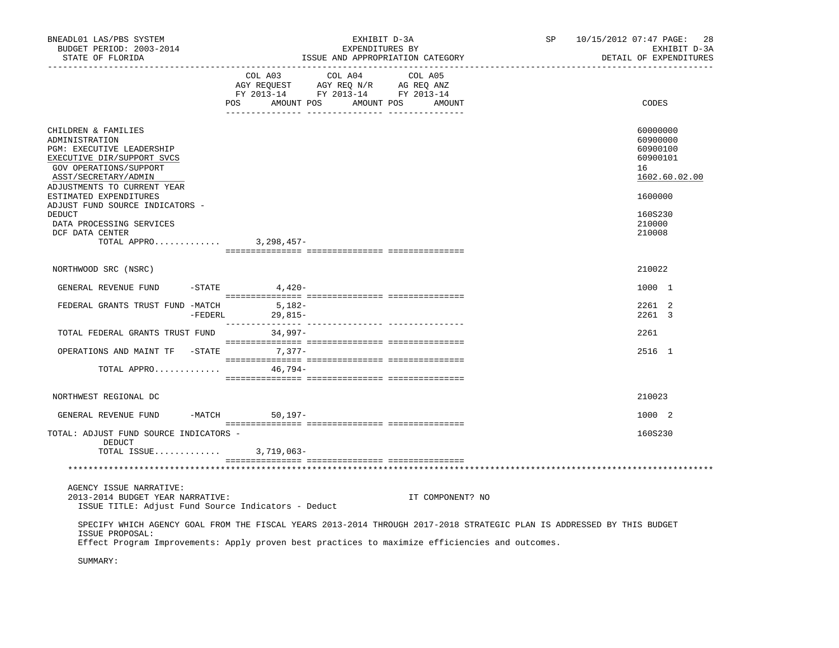| BNEADL01 LAS/PBS SYSTEM<br>BUDGET PERIOD: 2003-2014<br>STATE OF FLORIDA                                                                                                                                     |                                             | EXHIBIT D-3A<br>EXPENDITURES BY<br>ISSUE AND APPROPRIATION CATEGORY               | SP               | 10/15/2012 07:47 PAGE: 28<br>EXHIBIT D-3A<br>DETAIL OF EXPENDITURES |                                                                                |
|-------------------------------------------------------------------------------------------------------------------------------------------------------------------------------------------------------------|---------------------------------------------|-----------------------------------------------------------------------------------|------------------|---------------------------------------------------------------------|--------------------------------------------------------------------------------|
|                                                                                                                                                                                                             | COL A03<br>POS AMOUNT POS AMOUNT POS AMOUNT | COL A04<br>AGY REQUEST AGY REQ N/R AG REQ ANZ<br>FY 2013-14 FY 2013-14 FY 2013-14 | COL A05          |                                                                     | CODES                                                                          |
| CHILDREN & FAMILIES<br>ADMINISTRATION<br>PGM: EXECUTIVE LEADERSHIP<br>EXECUTIVE DIR/SUPPORT SVCS<br>GOV OPERATIONS/SUPPORT<br>ASST/SECRETARY/ADMIN<br>ADJUSTMENTS TO CURRENT YEAR<br>ESTIMATED EXPENDITURES |                                             |                                                                                   |                  |                                                                     | 60000000<br>60900000<br>60900100<br>60900101<br>16<br>1602.60.02.00<br>1600000 |
| ADJUST FUND SOURCE INDICATORS -<br>DEDUCT<br>DATA PROCESSING SERVICES<br>DCF DATA CENTER<br>TOTAL APPRO 3, 298, 457-                                                                                        |                                             |                                                                                   |                  |                                                                     | 160S230<br>210000<br>210008                                                    |
|                                                                                                                                                                                                             |                                             |                                                                                   |                  |                                                                     |                                                                                |
| NORTHWOOD SRC (NSRC)                                                                                                                                                                                        |                                             |                                                                                   |                  |                                                                     | 210022                                                                         |
| GENERAL REVENUE FUND                                                                                                                                                                                        | $-STATE$<br>4,420-                          |                                                                                   |                  |                                                                     | 1000 1                                                                         |
| FEDERAL GRANTS TRUST FUND -MATCH<br>-FEDERL                                                                                                                                                                 | 5,182-<br>$29,815-$                         |                                                                                   |                  |                                                                     | 2261 2<br>2261 3                                                               |
| TOTAL FEDERAL GRANTS TRUST FUND                                                                                                                                                                             | 34,997-                                     |                                                                                   |                  |                                                                     | 2261                                                                           |
| OPERATIONS AND MAINT TF -STATE 7,377-                                                                                                                                                                       |                                             |                                                                                   |                  |                                                                     | 2516 1                                                                         |
| TOTAL APPRO                                                                                                                                                                                                 | 46,794–                                     |                                                                                   |                  |                                                                     |                                                                                |
| NORTHWEST REGIONAL DC                                                                                                                                                                                       |                                             |                                                                                   |                  |                                                                     | 210023                                                                         |
| GENERAL REVENUE FUND                                                                                                                                                                                        | -MATCH 50,197-                              |                                                                                   |                  |                                                                     | 1000 2                                                                         |
| TOTAL: ADJUST FUND SOURCE INDICATORS -<br>DEDUCT<br>TOTAL ISSUE 3,719,063-                                                                                                                                  |                                             |                                                                                   |                  |                                                                     | 160S230                                                                        |
|                                                                                                                                                                                                             |                                             |                                                                                   |                  |                                                                     |                                                                                |
|                                                                                                                                                                                                             |                                             |                                                                                   |                  |                                                                     |                                                                                |
| AGENCY ISSUE NARRATIVE:<br>2013-2014 BUDGET YEAR NARRATIVE:<br>ISSUE TITLE: Adjust Fund Source Indicators - Deduct                                                                                          |                                             |                                                                                   | IT COMPONENT? NO |                                                                     |                                                                                |
| SPECIFY WHICH AGENCY GOAL FROM THE FISCAL YEARS 2013-2014 THROUGH 2017-2018 STRATEGIC PLAN IS ADDRESSED BY THIS BUDGET<br>ISSUE PROPOSAL:                                                                   |                                             |                                                                                   |                  |                                                                     |                                                                                |
| Effect Program Improvements: Apply proven best practices to maximize efficiencies and outcomes.<br>SUMMARY:                                                                                                 |                                             |                                                                                   |                  |                                                                     |                                                                                |
|                                                                                                                                                                                                             |                                             |                                                                                   |                  |                                                                     |                                                                                |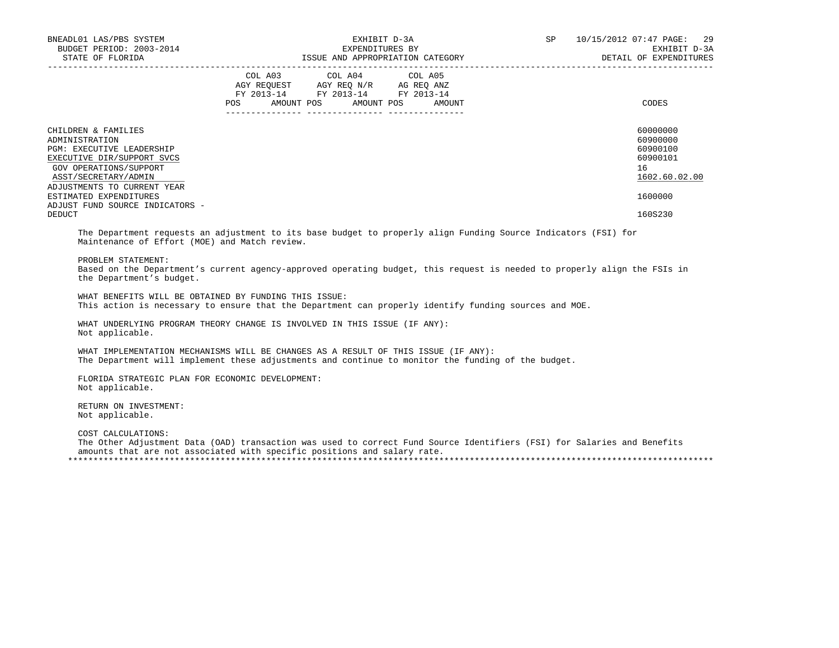| BNEADL01 LAS/PBS SYSTEM<br>BUDGET PERIOD: 2003-2014<br>STATE OF FLORIDA                                                                                   | EXHIBIT D-3A<br>EXPENDITURES BY<br>ISSUE AND APPROPRIATION CATEGORY                                                                      | SP<br>10/15/2012 07:47 PAGE: 29<br>EXHIBIT D-3A<br>DETAIL OF EXPENDITURES |
|-----------------------------------------------------------------------------------------------------------------------------------------------------------|------------------------------------------------------------------------------------------------------------------------------------------|---------------------------------------------------------------------------|
|                                                                                                                                                           | COL A03 COL A04 COL A05<br>AGY REOUEST AGY REO N/R AG REO ANZ<br>FY 2013-14 FY 2013-14 FY 2013-14<br>AMOUNT POS AMOUNT POS AMOUNT<br>POS | CODES                                                                     |
| CHILDREN & FAMILIES<br>ADMINISTRATION<br><b>PGM: EXECUTIVE LEADERSHIP</b><br>EXECUTIVE DIR/SUPPORT SVCS<br>GOV OPERATIONS/SUPPORT<br>ASST/SECRETARY/ADMIN |                                                                                                                                          | 60000000<br>60900000<br>60900100<br>60900101<br>16<br>1602.60.02.00       |
| ADJUSTMENTS TO CURRENT YEAR<br>ESTIMATED EXPENDITURES<br>ADJUST FUND SOURCE INDICATORS -                                                                  |                                                                                                                                          | 1600000                                                                   |
| DEDUCT                                                                                                                                                    |                                                                                                                                          | 160S230                                                                   |

 The Department requests an adjustment to its base budget to properly align Funding Source Indicators (FSI) for Maintenance of Effort (MOE) and Match review.

PROBLEM STATEMENT:

 Based on the Department's current agency-approved operating budget, this request is needed to properly align the FSIs in the Department's budget.

 WHAT BENEFITS WILL BE OBTAINED BY FUNDING THIS ISSUE: This action is necessary to ensure that the Department can properly identify funding sources and MOE.

 WHAT UNDERLYING PROGRAM THEORY CHANGE IS INVOLVED IN THIS ISSUE (IF ANY): Not applicable.

 WHAT IMPLEMENTATION MECHANISMS WILL BE CHANGES AS A RESULT OF THIS ISSUE (IF ANY): The Department will implement these adjustments and continue to monitor the funding of the budget.

 FLORIDA STRATEGIC PLAN FOR ECONOMIC DEVELOPMENT: Not applicable.

 RETURN ON INVESTMENT: Not applicable.

COST CALCULATIONS:

 The Other Adjustment Data (OAD) transaction was used to correct Fund Source Identifiers (FSI) for Salaries and Benefits amounts that are not associated with specific positions and salary rate. \*\*\*\*\*\*\*\*\*\*\*\*\*\*\*\*\*\*\*\*\*\*\*\*\*\*\*\*\*\*\*\*\*\*\*\*\*\*\*\*\*\*\*\*\*\*\*\*\*\*\*\*\*\*\*\*\*\*\*\*\*\*\*\*\*\*\*\*\*\*\*\*\*\*\*\*\*\*\*\*\*\*\*\*\*\*\*\*\*\*\*\*\*\*\*\*\*\*\*\*\*\*\*\*\*\*\*\*\*\*\*\*\*\*\*\*\*\*\*\*\*\*\*\*\*\*\*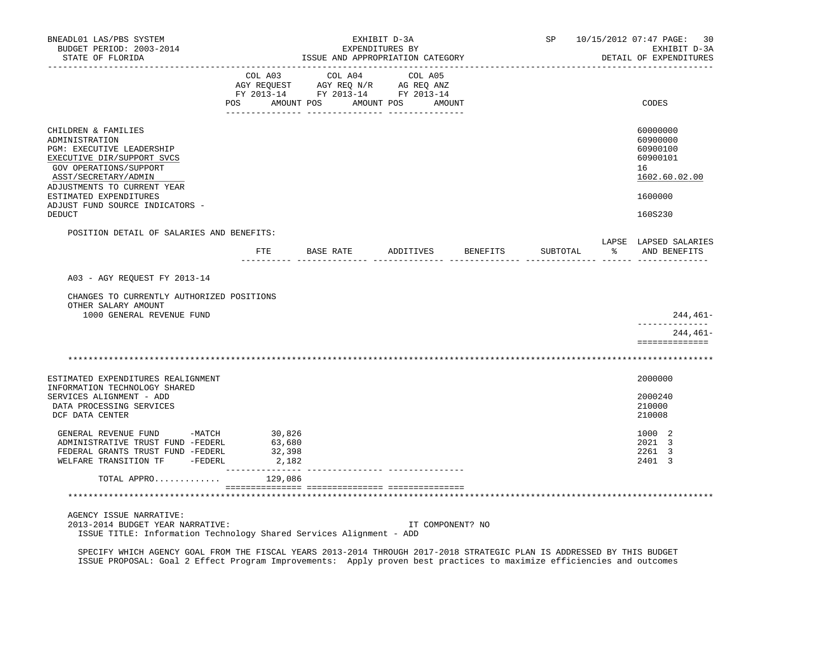| BNEADL01 LAS/PBS SYSTEM<br>BUDGET PERIOD: 2003-2014<br>STATE OF FLORIDA                                                                                                           |                                                                                                                                                                                                | ISSUE AND APPROPRIATION CATEGORY | EXHIBIT D-3A<br>EXPENDITURES BY |  |                  | SP       |               | 10/15/2012 07:47 PAGE:<br>- 30<br>EXHIBIT D-3A<br>DETAIL OF EXPENDITURES |
|-----------------------------------------------------------------------------------------------------------------------------------------------------------------------------------|------------------------------------------------------------------------------------------------------------------------------------------------------------------------------------------------|----------------------------------|---------------------------------|--|------------------|----------|---------------|--------------------------------------------------------------------------|
|                                                                                                                                                                                   | $\begin{tabular}{lcccc} COL A03 & COL A04 & COL A05 \\ AGY REQUEST & AGY REQ N/R & AG REQ ANZ \\ FY & 2013-14 & FY & 2013-14 & FY & 2013-14 \end{tabular}$<br>POS AMOUNT POS AMOUNT POS AMOUNT |                                  |                                 |  |                  |          |               | CODES                                                                    |
|                                                                                                                                                                                   |                                                                                                                                                                                                |                                  |                                 |  |                  |          |               |                                                                          |
| CHILDREN & FAMILIES<br>ADMINISTRATION<br>PGM: EXECUTIVE LEADERSHIP<br>EXECUTIVE DIR/SUPPORT SVCS<br>GOV OPERATIONS/SUPPORT<br>ASST/SECRETARY/ADMIN<br>ADJUSTMENTS TO CURRENT YEAR |                                                                                                                                                                                                |                                  |                                 |  |                  |          |               | 60000000<br>60900000<br>60900100<br>60900101<br>16<br>1602.60.02.00      |
| ESTIMATED EXPENDITURES                                                                                                                                                            |                                                                                                                                                                                                |                                  |                                 |  |                  |          |               | 1600000                                                                  |
| ADJUST FUND SOURCE INDICATORS -<br>DEDUCT                                                                                                                                         |                                                                                                                                                                                                |                                  |                                 |  |                  |          |               | 160S230                                                                  |
| POSITION DETAIL OF SALARIES AND BENEFITS:                                                                                                                                         |                                                                                                                                                                                                |                                  |                                 |  |                  |          |               |                                                                          |
|                                                                                                                                                                                   | FTE                                                                                                                                                                                            | BASE RATE ADDITIVES              |                                 |  | BENEFITS         | SUBTOTAL | $\frac{1}{6}$ | LAPSE LAPSED SALARIES<br>AND BENEFITS                                    |
| A03 - AGY REQUEST FY 2013-14<br>CHANGES TO CURRENTLY AUTHORIZED POSITIONS<br>OTHER SALARY AMOUNT<br>1000 GENERAL REVENUE FUND                                                     |                                                                                                                                                                                                |                                  |                                 |  |                  |          |               | 244,461-                                                                 |
|                                                                                                                                                                                   |                                                                                                                                                                                                |                                  |                                 |  |                  |          |               | --------------<br>244,461–<br>==============                             |
|                                                                                                                                                                                   |                                                                                                                                                                                                |                                  |                                 |  |                  |          |               |                                                                          |
| ESTIMATED EXPENDITURES REALIGNMENT<br>INFORMATION TECHNOLOGY SHARED                                                                                                               |                                                                                                                                                                                                |                                  |                                 |  |                  |          |               | 2000000                                                                  |
| SERVICES ALIGNMENT - ADD<br>DATA PROCESSING SERVICES<br>DCF DATA CENTER                                                                                                           |                                                                                                                                                                                                |                                  |                                 |  |                  |          |               | 2000240<br>210000<br>210008                                              |
| GENERAL REVENUE FUND -MATCH 30,826<br>ADMINISTRATIVE TRUST FUND -FEDERL<br>FEDERAL GRANTS TRUST FUND -FEDERL<br>WELFARE TRANSITION TF -FEDERL                                     | 63,680<br>32,398<br>2,182                                                                                                                                                                      |                                  |                                 |  |                  |          |               | 1000 2<br>2021 3<br>2261 3<br>2401 3                                     |
| TOTAL APPRO                                                                                                                                                                       | 129,086                                                                                                                                                                                        |                                  |                                 |  |                  |          |               |                                                                          |
|                                                                                                                                                                                   |                                                                                                                                                                                                |                                  |                                 |  |                  |          |               |                                                                          |
| AGENCY ISSUE NARRATIVE:<br>2013-2014 BUDGET YEAR NARRATIVE:<br>ISSUE TITLE: Information Technology Shared Services Alignment - ADD                                                |                                                                                                                                                                                                |                                  |                                 |  | IT COMPONENT? NO |          |               |                                                                          |

 SPECIFY WHICH AGENCY GOAL FROM THE FISCAL YEARS 2013-2014 THROUGH 2017-2018 STRATEGIC PLAN IS ADDRESSED BY THIS BUDGET ISSUE PROPOSAL: Goal 2 Effect Program Improvements: Apply proven best practices to maximize efficiencies and outcomes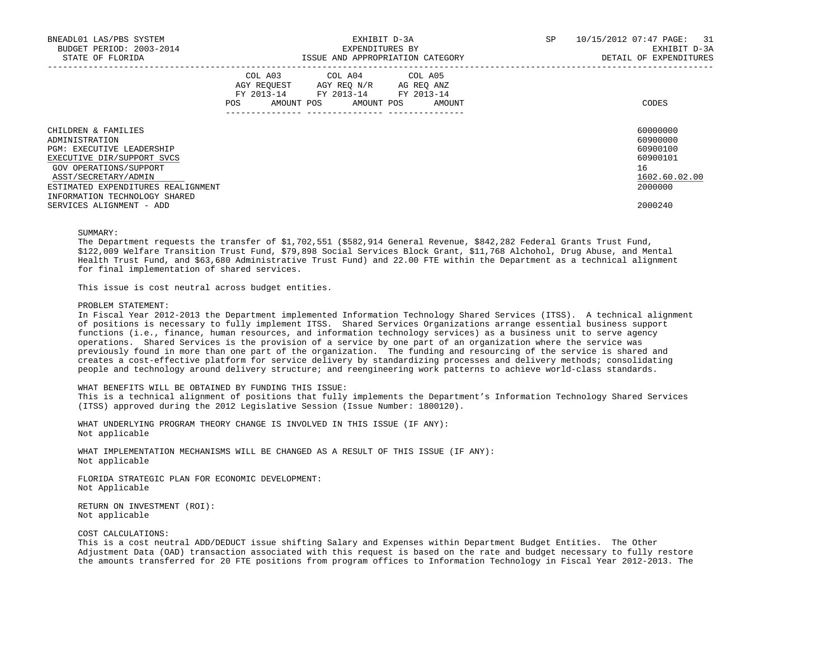| BNEADL01 LAS/PBS SYSTEM<br>BUDGET PERIOD: 2003-2014<br>STATE OF FLORIDA | EXHIBIT D-3A<br>EXPENDITURES BY<br>ISSUE AND APPROPRIATION CATEGORY |  |  |                                                                                                                            |  |        | SP | 10/15/2012 07:47 PAGE: 31<br>EXHIBIT D-3A<br>DETAIL OF EXPENDITURES |
|-------------------------------------------------------------------------|---------------------------------------------------------------------|--|--|----------------------------------------------------------------------------------------------------------------------------|--|--------|----|---------------------------------------------------------------------|
|                                                                         | POS                                                                 |  |  | COL A03 COL A04 COL A05<br>AGY REOUEST AGY REO N/R AG REO ANZ<br>FY 2013-14 FY 2013-14 FY 2013-14<br>AMOUNT POS AMOUNT POS |  | AMOUNT |    | CODES                                                               |
| CHILDREN & FAMILIES                                                     |                                                                     |  |  |                                                                                                                            |  |        |    | 60000000                                                            |
| ADMINISTRATION<br><b>PGM: EXECUTIVE LEADERSHIP</b>                      |                                                                     |  |  |                                                                                                                            |  |        |    | 60900000<br>60900100                                                |
| EXECUTIVE DIR/SUPPORT SVCS                                              |                                                                     |  |  |                                                                                                                            |  |        |    | 60900101                                                            |
| GOV OPERATIONS/SUPPORT                                                  |                                                                     |  |  |                                                                                                                            |  |        |    | 16                                                                  |
| ASST/SECRETARY/ADMIN                                                    |                                                                     |  |  |                                                                                                                            |  |        |    | 1602.60.02.00                                                       |
| ESTIMATED EXPENDITURES REALIGNMENT<br>INFORMATION TECHNOLOGY SHARED     |                                                                     |  |  |                                                                                                                            |  |        |    | 2000000                                                             |
| SERVICES ALIGNMENT - ADD                                                |                                                                     |  |  |                                                                                                                            |  |        |    | 2000240                                                             |

#### SUMMARY:

The Department requests the transfer of \$1,702,551 (\$582,914 General Revenue, \$842,282 Federal Grants Trust Fund, \$122,009 Welfare Transition Trust Fund, \$79,898 Social Services Block Grant, \$11,768 Alchohol, Drug Abuse, and Mental Health Trust Fund, and \$63,680 Administrative Trust Fund) and 22.00 FTE within the Department as a technical alignment for final implementation of shared services.

This issue is cost neutral across budget entities.

### PROBLEM STATEMENT:

 In Fiscal Year 2012-2013 the Department implemented Information Technology Shared Services (ITSS). A technical alignment of positions is necessary to fully implement ITSS. Shared Services Organizations arrange essential business support functions (i.e., finance, human resources, and information technology services) as a business unit to serve agency operations. Shared Services is the provision of a service by one part of an organization where the service was previously found in more than one part of the organization. The funding and resourcing of the service is shared and creates a cost-effective platform for service delivery by standardizing processes and delivery methods; consolidating people and technology around delivery structure; and reengineering work patterns to achieve world-class standards.

## WHAT BENEFITS WILL BE OBTAINED BY FUNDING THIS ISSUE:

 This is a technical alignment of positions that fully implements the Department's Information Technology Shared Services (ITSS) approved during the 2012 Legislative Session (Issue Number: 1800120).

 WHAT UNDERLYING PROGRAM THEORY CHANGE IS INVOLVED IN THIS ISSUE (IF ANY): Not applicable

 WHAT IMPLEMENTATION MECHANISMS WILL BE CHANGED AS A RESULT OF THIS ISSUE (IF ANY): Not applicable

 FLORIDA STRATEGIC PLAN FOR ECONOMIC DEVELOPMENT: Not Applicable

 RETURN ON INVESTMENT (ROI): Not applicable

#### COST CALCULATIONS:

 This is a cost neutral ADD/DEDUCT issue shifting Salary and Expenses within Department Budget Entities. The Other Adjustment Data (OAD) transaction associated with this request is based on the rate and budget necessary to fully restore the amounts transferred for 20 FTE positions from program offices to Information Technology in Fiscal Year 2012-2013. The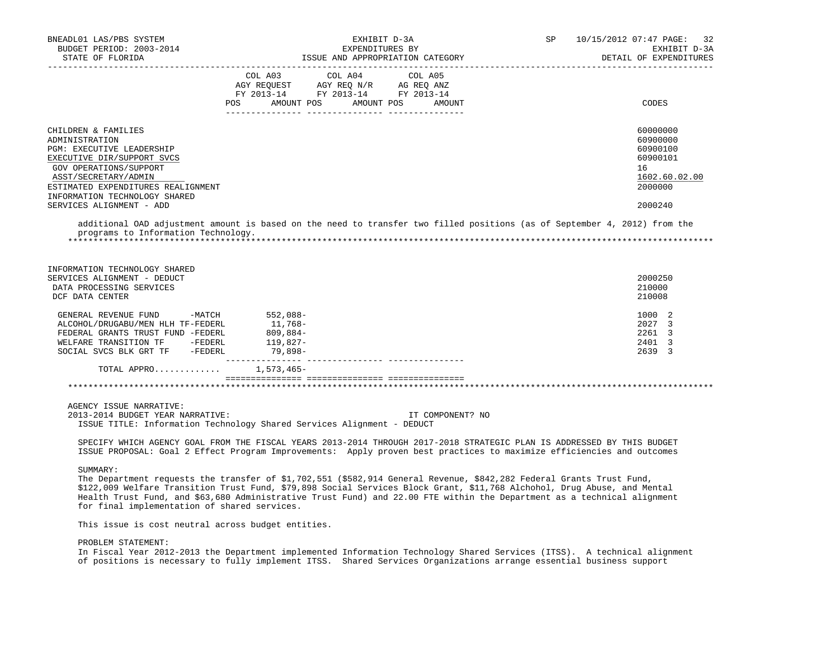| BNEADL01 LAS/PBS SYSTEM<br>BUDGET PERIOD: 2003-2014<br>STATE OF FLORIDA                                                                                                                                                                                                                                                                                                                                                                 |                                                        | EXHIBIT D-3A<br>EXPENDITURES BY                                                        | ISSUE AND APPROPRIATION CATEGORY | SP 3 | 10/15/2012 07:47 PAGE:<br>32<br>EXHIBIT D-3A<br>DETAIL OF EXPENDITURES                    |
|-----------------------------------------------------------------------------------------------------------------------------------------------------------------------------------------------------------------------------------------------------------------------------------------------------------------------------------------------------------------------------------------------------------------------------------------|--------------------------------------------------------|----------------------------------------------------------------------------------------|----------------------------------|------|-------------------------------------------------------------------------------------------|
|                                                                                                                                                                                                                                                                                                                                                                                                                                         | FY 2013-14 FY 2013-14 FY 2013-14<br>POS FOR            | COL A03 COL A04 COL A05<br>AGY REQUEST AGY REQ N/R AG REQ ANZ<br>AMOUNT POS AMOUNT POS | AMOUNT                           |      | CODES                                                                                     |
| CHILDREN & FAMILIES<br>ADMINISTRATION<br>PGM: EXECUTIVE LEADERSHIP<br>EXECUTIVE DIR/SUPPORT SVCS<br>GOV OPERATIONS/SUPPORT<br>ASST/SECRETARY/ADMIN<br>ESTIMATED EXPENDITURES REALIGNMENT<br>INFORMATION TECHNOLOGY SHARED<br>SERVICES ALIGNMENT - ADD                                                                                                                                                                                   |                                                        |                                                                                        |                                  |      | 60000000<br>60900000<br>60900100<br>60900101<br>16<br>1602.60.02.00<br>2000000<br>2000240 |
| additional OAD adjustment amount is based on the need to transfer two filled positions (as of September 4, 2012) from the<br>programs to Information Technology.                                                                                                                                                                                                                                                                        |                                                        |                                                                                        |                                  |      |                                                                                           |
| INFORMATION TECHNOLOGY SHARED<br>SERVICES ALIGNMENT - DEDUCT<br>DATA PROCESSING SERVICES<br>DCF DATA CENTER                                                                                                                                                                                                                                                                                                                             |                                                        |                                                                                        |                                  |      | 2000250<br>210000<br>210008                                                               |
| GENERAL REVENUE FUND -MATCH<br>ALCOHOL/DRUGABU/MEN HLH TF-FEDERL<br>FEDERAL GRANTS TRUST FUND -FEDERL<br>WELFARE TRANSITION TF -FEDERL<br>SOCIAL SVCS BLK GRT TF -FEDERL                                                                                                                                                                                                                                                                | 552,088-<br>11,768-<br>809,884-<br>119,827-<br>79,898- |                                                                                        |                                  |      | 1000 2<br>2027 3<br>2261 3<br>2401 3<br>2639 3                                            |
| TOTAL APPRO 1,573,465-                                                                                                                                                                                                                                                                                                                                                                                                                  |                                                        |                                                                                        |                                  |      |                                                                                           |
|                                                                                                                                                                                                                                                                                                                                                                                                                                         |                                                        |                                                                                        |                                  |      |                                                                                           |
| AGENCY ISSUE NARRATIVE:<br>2013-2014 BUDGET YEAR NARRATIVE:<br>ISSUE TITLE: Information Technology Shared Services Alignment - DEDUCT                                                                                                                                                                                                                                                                                                   |                                                        |                                                                                        | IT COMPONENT? NO                 |      |                                                                                           |
| SPECIFY WHICH AGENCY GOAL FROM THE FISCAL YEARS 2013-2014 THROUGH 2017-2018 STRATEGIC PLAN IS ADDRESSED BY THIS BUDGET<br>ISSUE PROPOSAL: Goal 2 Effect Program Improvements: Apply proven best practices to maximize efficiencies and outcomes                                                                                                                                                                                         |                                                        |                                                                                        |                                  |      |                                                                                           |
| SUMMARY:<br>The Department requests the transfer of \$1,702,551 (\$582,914 General Revenue, \$842,282 Federal Grants Trust Fund,<br>\$122,009 Welfare Transition Trust Fund, \$79,898 Social Services Block Grant, \$11,768 Alchohol, Drug Abuse, and Mental<br>Health Trust Fund, and \$63,680 Administrative Trust Fund) and 22.00 FTE within the Department as a technical alignment<br>for final implementation of shared services. |                                                        |                                                                                        |                                  |      |                                                                                           |

This issue is cost neutral across budget entities.

# PROBLEM STATEMENT:

 In Fiscal Year 2012-2013 the Department implemented Information Technology Shared Services (ITSS). A technical alignment of positions is necessary to fully implement ITSS. Shared Services Organizations arrange essential business support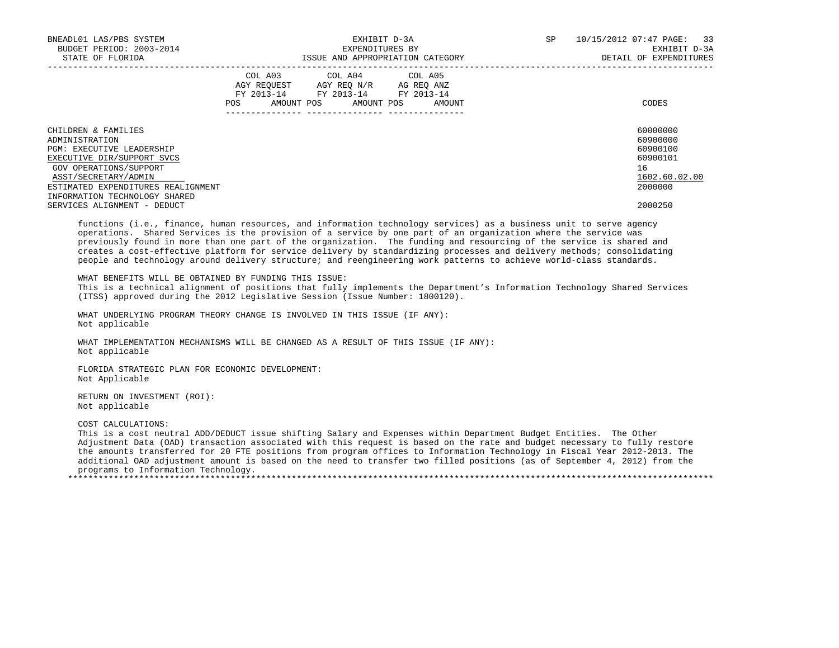| BNEADL01 LAS/PBS SYSTEM<br>BUDGET PERIOD: 2003-2014<br>STATE OF FLORIDA                                                                                                                                                          | EXHIBIT D-3A<br>EXPENDITURES BY<br>ISSUE AND APPROPRIATION CATEGORY                                                                         | 10/15/2012 07:47 PAGE: 33<br><b>SP</b><br>EXHIBIT D-3A<br>DETAIL OF EXPENDITURES |
|----------------------------------------------------------------------------------------------------------------------------------------------------------------------------------------------------------------------------------|---------------------------------------------------------------------------------------------------------------------------------------------|----------------------------------------------------------------------------------|
|                                                                                                                                                                                                                                  | COL A03 COL A04 COL A05<br>AGY REOUEST AGY REO N/R AG REO ANZ<br>FY 2013-14 FY 2013-14 FY 2013-14<br>AMOUNT POS AMOUNT POS<br>POS<br>AMOUNT | CODES                                                                            |
| CHILDREN & FAMILIES<br>ADMINISTRATION<br><b>PGM: EXECUTIVE LEADERSHIP</b><br>EXECUTIVE DIR/SUPPORT SVCS<br>GOV OPERATIONS/SUPPORT<br>ASST/SECRETARY/ADMIN<br>ESTIMATED EXPENDITURES REALIGNMENT<br>INFORMATION TECHNOLOGY SHARED |                                                                                                                                             | 60000000<br>60900000<br>60900100<br>60900101<br>16<br>1602.60.02.00<br>2000000   |
| SERVICES ALIGNMENT - DEDUCT                                                                                                                                                                                                      |                                                                                                                                             | 2000250                                                                          |

 functions (i.e., finance, human resources, and information technology services) as a business unit to serve agency operations. Shared Services is the provision of a service by one part of an organization where the service was previously found in more than one part of the organization. The funding and resourcing of the service is shared and creates a cost-effective platform for service delivery by standardizing processes and delivery methods; consolidating people and technology around delivery structure; and reengineering work patterns to achieve world-class standards.

WHAT BENEFITS WILL BE OBTAINED BY FUNDING THIS ISSUE:

 This is a technical alignment of positions that fully implements the Department's Information Technology Shared Services (ITSS) approved during the 2012 Legislative Session (Issue Number: 1800120).

 WHAT UNDERLYING PROGRAM THEORY CHANGE IS INVOLVED IN THIS ISSUE (IF ANY): Not applicable

 WHAT IMPLEMENTATION MECHANISMS WILL BE CHANGED AS A RESULT OF THIS ISSUE (IF ANY): Not applicable

 FLORIDA STRATEGIC PLAN FOR ECONOMIC DEVELOPMENT: Not Applicable

 RETURN ON INVESTMENT (ROI): Not applicable

COST CALCULATIONS:

 This is a cost neutral ADD/DEDUCT issue shifting Salary and Expenses within Department Budget Entities. The Other Adjustment Data (OAD) transaction associated with this request is based on the rate and budget necessary to fully restore the amounts transferred for 20 FTE positions from program offices to Information Technology in Fiscal Year 2012-2013. The additional OAD adjustment amount is based on the need to transfer two filled positions (as of September 4, 2012) from the programs to Information Technology.

\*\*\*\*\*\*\*\*\*\*\*\*\*\*\*\*\*\*\*\*\*\*\*\*\*\*\*\*\*\*\*\*\*\*\*\*\*\*\*\*\*\*\*\*\*\*\*\*\*\*\*\*\*\*\*\*\*\*\*\*\*\*\*\*\*\*\*\*\*\*\*\*\*\*\*\*\*\*\*\*\*\*\*\*\*\*\*\*\*\*\*\*\*\*\*\*\*\*\*\*\*\*\*\*\*\*\*\*\*\*\*\*\*\*\*\*\*\*\*\*\*\*\*\*\*\*\*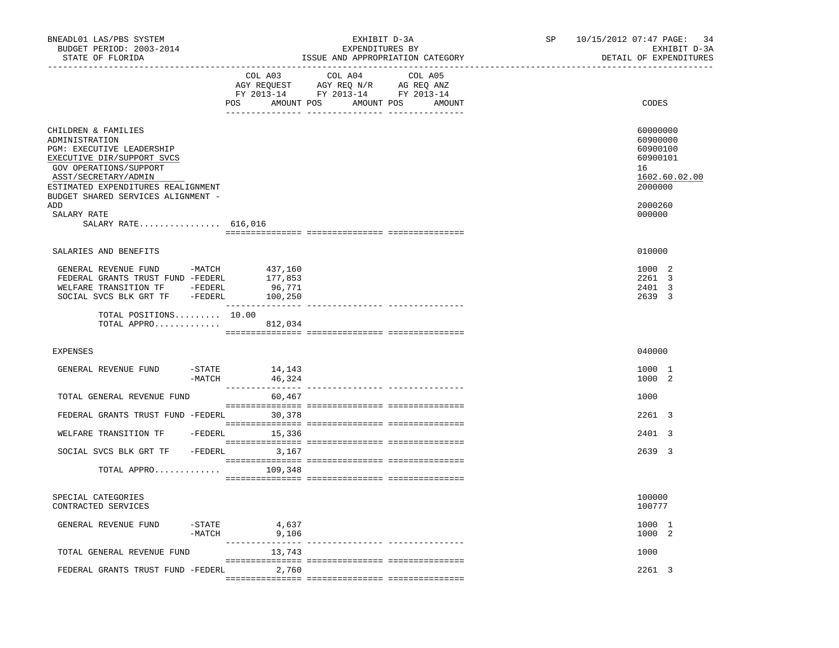| BNEADL01 LAS/PBS SYSTEM<br>BUDGET PERIOD: 2003-2014<br>STATE OF FLORIDA                                                                                                                                                                                                     |                  |                            | EXHIBIT D-3A<br>EXPENDITURES BY<br>ISSUE AND APPROPRIATION CATEGORY                                            | SP                         | 10/15/2012 07:47 PAGE: 34<br>EXHIBIT D-3A<br>DETAIL OF EXPENDITURES |                                                                                                     |
|-----------------------------------------------------------------------------------------------------------------------------------------------------------------------------------------------------------------------------------------------------------------------------|------------------|----------------------------|----------------------------------------------------------------------------------------------------------------|----------------------------|---------------------------------------------------------------------|-----------------------------------------------------------------------------------------------------|
|                                                                                                                                                                                                                                                                             |                  | COL A03                    | COL A04<br>AGY REQUEST AGY REQ N/R AG REQ ANZ<br>FY 2013-14 FY 2013-14 FY 2013-14<br>POS AMOUNT POS AMOUNT POS | COL A05<br>AMOUNT          |                                                                     | CODES                                                                                               |
| CHILDREN & FAMILIES<br>ADMINISTRATION<br>PGM: EXECUTIVE LEADERSHIP<br>EXECUTIVE DIR/SUPPORT SVCS<br>GOV OPERATIONS/SUPPORT<br>ASST/SECRETARY/ADMIN<br>ESTIMATED EXPENDITURES REALIGNMENT<br>BUDGET SHARED SERVICES ALIGNMENT -<br>ADD<br>SALARY RATE<br>SALARY RATE 616,016 |                  |                            |                                                                                                                |                            |                                                                     | 60000000<br>60900000<br>60900100<br>60900101<br>16<br>1602.60.02.00<br>2000000<br>2000260<br>000000 |
|                                                                                                                                                                                                                                                                             |                  |                            |                                                                                                                |                            |                                                                     |                                                                                                     |
| SALARIES AND BENEFITS                                                                                                                                                                                                                                                       |                  |                            |                                                                                                                |                            |                                                                     | 010000                                                                                              |
| GENERAL REVENUE FUND -MATCH 437,160<br>FEDERAL GRANTS TRUST FUND -FEDERL<br>WELFARE TRANSITION TF - FEDERL<br>SOCIAL SVCS BLK GRT TF -FEDERL 100,250<br>TOTAL POSITIONS 10.00<br>TOTAL APPRO 812,034                                                                        |                  | 177,853<br>96,771          |                                                                                                                |                            |                                                                     | 1000 2<br>2261 3<br>2401 3<br>2639 3                                                                |
|                                                                                                                                                                                                                                                                             |                  |                            |                                                                                                                |                            |                                                                     |                                                                                                     |
| <b>EXPENSES</b>                                                                                                                                                                                                                                                             |                  |                            |                                                                                                                |                            |                                                                     | 040000                                                                                              |
| GENERAL REVENUE FUND                                                                                                                                                                                                                                                        | -MATCH           | $-STATE$ 14, 143<br>46,324 |                                                                                                                |                            |                                                                     | 1000 1<br>1000 2                                                                                    |
| TOTAL GENERAL REVENUE FUND                                                                                                                                                                                                                                                  |                  | 60,467                     |                                                                                                                |                            |                                                                     | 1000                                                                                                |
| FEDERAL GRANTS TRUST FUND -FEDERL                                                                                                                                                                                                                                           |                  | 30,378                     |                                                                                                                |                            |                                                                     | 2261 3                                                                                              |
| WELFARE TRANSITION TF - FEDERL                                                                                                                                                                                                                                              |                  | 15,336                     |                                                                                                                |                            |                                                                     | 2401 3                                                                                              |
| SOCIAL SVCS BLK GRT TF - FEDERL 3,167                                                                                                                                                                                                                                       |                  |                            |                                                                                                                |                            |                                                                     | 2639 3                                                                                              |
| TOTAL APPRO                                                                                                                                                                                                                                                                 |                  | 109,348                    |                                                                                                                |                            |                                                                     |                                                                                                     |
|                                                                                                                                                                                                                                                                             |                  |                            |                                                                                                                |                            |                                                                     |                                                                                                     |
| SPECIAL CATEGORIES<br>CONTRACTED SERVICES                                                                                                                                                                                                                                   |                  |                            |                                                                                                                |                            |                                                                     | 100000<br>100777                                                                                    |
| GENERAL REVENUE FUND                                                                                                                                                                                                                                                        | -STATE<br>-MATCH | 4,637<br>9,106             |                                                                                                                | ---------- --------------- |                                                                     | 1000 1<br>1000 2                                                                                    |
| TOTAL GENERAL REVENUE FUND                                                                                                                                                                                                                                                  |                  | 13,743                     |                                                                                                                |                            |                                                                     | 1000                                                                                                |
| FEDERAL GRANTS TRUST FUND -FEDERL                                                                                                                                                                                                                                           |                  | 2,760                      |                                                                                                                |                            |                                                                     | 2261 3                                                                                              |
|                                                                                                                                                                                                                                                                             |                  |                            |                                                                                                                |                            |                                                                     |                                                                                                     |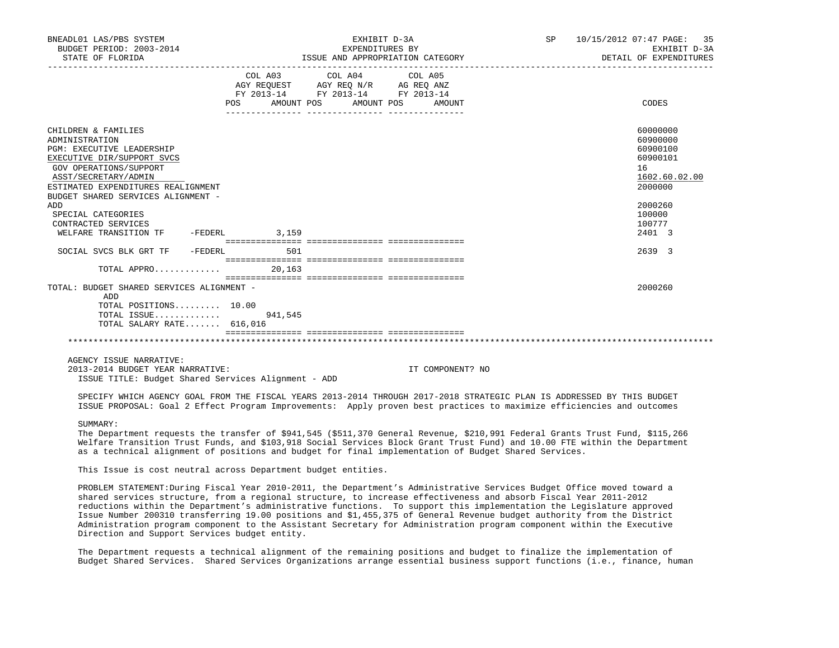| _____________________________________<br>COL A03 COL A04 COL A05<br>$\begin{tabular}{lllllllll} \bf AGY \;\; RegUEST & \tt AGY \;\; REG \;\; N/R & \tt AG \;\; REG \;\; ANZ \\ \hline \tt FY \;\; 2013-14 & \tt FY \;\; 2013-14 & \tt FY \;\; 2013-14 \\ \end{tabular}$<br>POS AMOUNT POS AMOUNT POS<br>CHILDREN & FAMILIES<br>ADMINISTRATION                                                                                                  | AMOUNT           | CODES<br>60000000<br>60900000<br>60900100                                           |
|------------------------------------------------------------------------------------------------------------------------------------------------------------------------------------------------------------------------------------------------------------------------------------------------------------------------------------------------------------------------------------------------------------------------------------------------|------------------|-------------------------------------------------------------------------------------|
|                                                                                                                                                                                                                                                                                                                                                                                                                                                |                  |                                                                                     |
| PGM: EXECUTIVE LEADERSHIP<br>EXECUTIVE DIR/SUPPORT SVCS<br>GOV OPERATIONS/SUPPORT<br>ASST/SECRETARY/ADMIN<br>ESTIMATED EXPENDITURES REALIGNMENT<br>BUDGET SHARED SERVICES ALIGNMENT -<br>ADD<br>SPECIAL CATEGORIES<br>CONTRACTED SERVICES<br>WELFARE TRANSITION TF - FEDERL 3,159                                                                                                                                                              |                  | 60900101<br>16<br>1602.60.02.00<br>2000000<br>2000260<br>100000<br>100777<br>2401 3 |
| SOCIAL SVCS BLK GRT TF - FEDERL<br>501                                                                                                                                                                                                                                                                                                                                                                                                         |                  | 2639 3                                                                              |
| 20.163<br>TOTAL APPRO                                                                                                                                                                                                                                                                                                                                                                                                                          |                  |                                                                                     |
| TOTAL: BUDGET SHARED SERVICES ALIGNMENT -<br>ADD<br>$TOTAL$ $POSITIONS$ $10.00$<br>TOTAL ISSUE<br>941,545<br>TOTAL SALARY RATE 616,016                                                                                                                                                                                                                                                                                                         |                  | 2000260                                                                             |
| AGENCY ISSUE NARRATIVE:<br>2013-2014 BUDGET YEAR NARRATIVE:<br>ISSUE TITLE: Budget Shared Services Alignment - ADD                                                                                                                                                                                                                                                                                                                             | IT COMPONENT? NO |                                                                                     |
| SPECIFY WHICH AGENCY GOAL FROM THE FISCAL YEARS 2013-2014 THROUGH 2017-2018 STRATEGIC PLAN IS ADDRESSED BY THIS BUDGET<br>ISSUE PROPOSAL: Goal 2 Effect Program Improvements: Apply proven best practices to maximize efficiencies and outcomes                                                                                                                                                                                                |                  |                                                                                     |
| SUMMARY:<br>The Department requests the transfer of \$941,545 (\$511,370 General Revenue, \$210,991 Federal Grants Trust Fund, \$115,266<br>Welfare Transition Trust Funds, and \$103,918 Social Services Block Grant Trust Fund) and 10.00 FTE within the Department<br>as a technical alignment of positions and budget for final implementation of Budget Shared Services.<br>This Issue is cost neutral across Department budget entities. |                  |                                                                                     |

 PROBLEM STATEMENT:During Fiscal Year 2010-2011, the Department's Administrative Services Budget Office moved toward a shared services structure, from a regional structure, to increase effectiveness and absorb Fiscal Year 2011-2012 reductions within the Department's administrative functions. To support this implementation the Legislature approved Issue Number 200310 transferring 19.00 positions and \$1,455,375 of General Revenue budget authority from the District Administration program component to the Assistant Secretary for Administration program component within the Executive Direction and Support Services budget entity.

 The Department requests a technical alignment of the remaining positions and budget to finalize the implementation of Budget Shared Services. Shared Services Organizations arrange essential business support functions (i.e., finance, human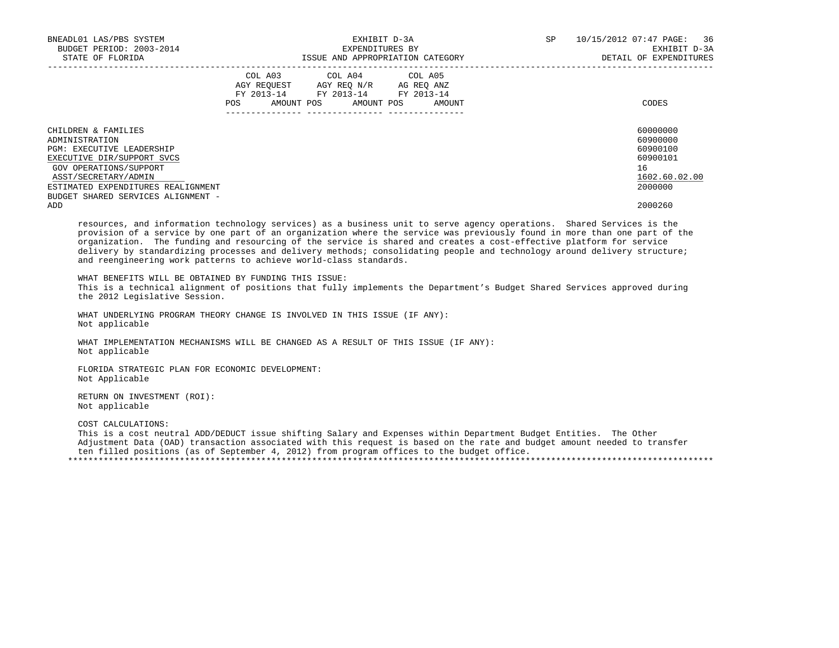| BNEADL01 LAS/PBS SYSTEM<br>BUDGET PERIOD: 2003-2014<br>STATE OF FLORIDA |                       |            | ISSUE AND APPROPRIATION CATEGORY                                                             | EXHIBIT D-3A<br>EXPENDITURES BY | SP                   | 36<br>10/15/2012 07:47 PAGE:<br>EXHIBIT D-3A<br>DETAIL OF EXPENDITURES |               |
|-------------------------------------------------------------------------|-----------------------|------------|----------------------------------------------------------------------------------------------|---------------------------------|----------------------|------------------------------------------------------------------------|---------------|
|                                                                         | COL A03<br><b>POS</b> | AMOUNT POS | COL A04 COL A05<br>AGY REOUEST AGY REO N/R<br>FY 2013-14 FY 2013-14 FY 2013-14<br>AMOUNT POS |                                 | AG REO ANZ<br>AMOUNT |                                                                        | CODES         |
| CHILDREN & FAMILIES                                                     |                       |            |                                                                                              |                                 |                      |                                                                        | 60000000      |
| ADMINISTRATION                                                          |                       |            |                                                                                              |                                 |                      |                                                                        | 60900000      |
| <b>PGM: EXECUTIVE LEADERSHIP</b>                                        |                       |            |                                                                                              |                                 |                      |                                                                        | 60900100      |
| EXECUTIVE DIR/SUPPORT SVCS                                              |                       |            |                                                                                              |                                 |                      |                                                                        | 60900101      |
| GOV OPERATIONS/SUPPORT                                                  |                       |            |                                                                                              |                                 |                      |                                                                        | 16            |
| ASST/SECRETARY/ADMIN                                                    |                       |            |                                                                                              |                                 |                      |                                                                        | 1602.60.02.00 |
| ESTIMATED EXPENDITURES REALIGNMENT                                      |                       |            |                                                                                              |                                 |                      |                                                                        | 2000000       |
| BUDGET SHARED SERVICES ALIGNMENT -                                      |                       |            |                                                                                              |                                 |                      |                                                                        |               |
| ADD                                                                     |                       |            |                                                                                              |                                 |                      |                                                                        | 2000260       |

 resources, and information technology services) as a business unit to serve agency operations. Shared Services is the provision of a service by one part of an organization where the service was previously found in more than one part of the organization. The funding and resourcing of the service is shared and creates a cost-effective platform for service delivery by standardizing processes and delivery methods; consolidating people and technology around delivery structure; and reengineering work patterns to achieve world-class standards.

 WHAT BENEFITS WILL BE OBTAINED BY FUNDING THIS ISSUE: This is a technical alignment of positions that fully implements the Department's Budget Shared Services approved during the 2012 Legislative Session.

 WHAT UNDERLYING PROGRAM THEORY CHANGE IS INVOLVED IN THIS ISSUE (IF ANY): Not applicable

 WHAT IMPLEMENTATION MECHANISMS WILL BE CHANGED AS A RESULT OF THIS ISSUE (IF ANY): Not applicable

 FLORIDA STRATEGIC PLAN FOR ECONOMIC DEVELOPMENT: Not Applicable

 RETURN ON INVESTMENT (ROI): Not applicable

COST CALCULATIONS:

 This is a cost neutral ADD/DEDUCT issue shifting Salary and Expenses within Department Budget Entities. The Other Adjustment Data (OAD) transaction associated with this request is based on the rate and budget amount needed to transfer ten filled positions (as of September 4, 2012) from program offices to the budget office. \*\*\*\*\*\*\*\*\*\*\*\*\*\*\*\*\*\*\*\*\*\*\*\*\*\*\*\*\*\*\*\*\*\*\*\*\*\*\*\*\*\*\*\*\*\*\*\*\*\*\*\*\*\*\*\*\*\*\*\*\*\*\*\*\*\*\*\*\*\*\*\*\*\*\*\*\*\*\*\*\*\*\*\*\*\*\*\*\*\*\*\*\*\*\*\*\*\*\*\*\*\*\*\*\*\*\*\*\*\*\*\*\*\*\*\*\*\*\*\*\*\*\*\*\*\*\*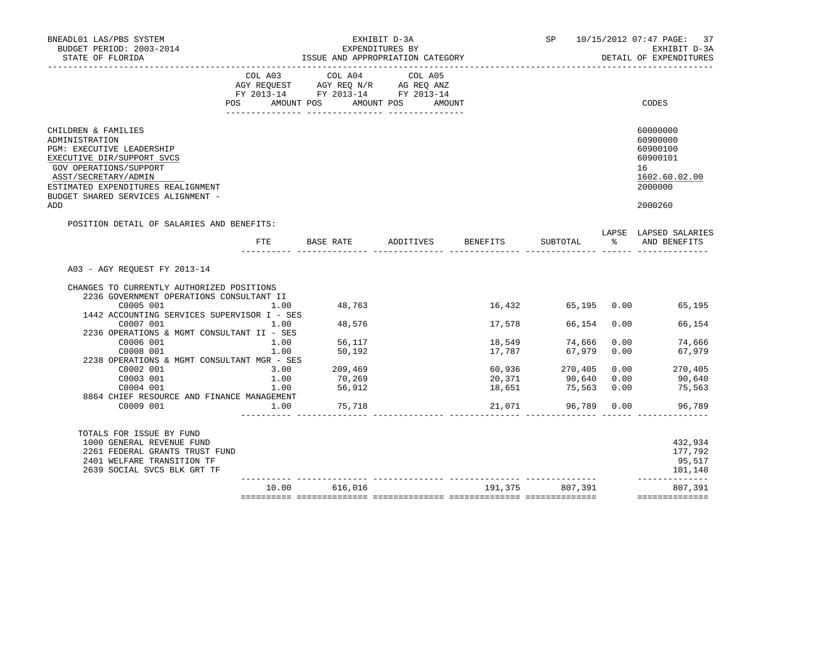| BNEADL01 LAS/PBS SYSTEM<br>BUDGET PERIOD: 2003-2014<br>STATE OF FLORIDA<br>___________________                                                                                                                                        |      |                 | EXHIBIT D-3A<br>EXPENDITURES BY<br>ISSUE AND APPROPRIATION CATEGORY                                                   |        |                                 |      | SP 10/15/2012 07:47 PAGE:<br>37<br>EXHIBIT D-3A<br>DETAIL OF EXPENDITURES                 |
|---------------------------------------------------------------------------------------------------------------------------------------------------------------------------------------------------------------------------------------|------|-----------------|-----------------------------------------------------------------------------------------------------------------------|--------|---------------------------------|------|-------------------------------------------------------------------------------------------|
|                                                                                                                                                                                                                                       |      | COL A03 COL A04 | COL A05<br>AGY REQUEST AGY REQ N/R AG REQ ANZ<br>FY 2013-14 FY 2013-14 FY 2013-14<br>POS AMOUNT POS AMOUNT POS AMOUNT |        |                                 |      | CODES                                                                                     |
| CHILDREN & FAMILIES<br>ADMINISTRATION<br>PGM: EXECUTIVE LEADERSHIP<br>EXECUTIVE DIR/SUPPORT SVCS<br>GOV OPERATIONS/SUPPORT<br>ASST/SECRETARY/ADMIN<br>ESTIMATED EXPENDITURES REALIGNMENT<br>BUDGET SHARED SERVICES ALIGNMENT -<br>ADD |      |                 |                                                                                                                       |        |                                 |      | 60000000<br>60900000<br>60900100<br>60900101<br>16<br>1602.60.02.00<br>2000000<br>2000260 |
| POSITION DETAIL OF SALARIES AND BENEFITS:                                                                                                                                                                                             | FTE  | BASE RATE       | ADDITIVES BENEFITS<br>---- ------<br>. _ _ _ _ _ _ _ _ _ _ _ .                                                        |        | SUBTOTAL                        |      | LAPSE LAPSED SALARIES<br>% AND BENEFITS                                                   |
| A03 - AGY REOUEST FY 2013-14                                                                                                                                                                                                          |      |                 |                                                                                                                       |        |                                 |      |                                                                                           |
| CHANGES TO CURRENTLY AUTHORIZED POSITIONS                                                                                                                                                                                             |      |                 |                                                                                                                       |        |                                 |      |                                                                                           |
| 2236 GOVERNMENT OPERATIONS CONSULTANT II<br>1.00                                                                                                                                                                                      |      |                 |                                                                                                                       |        |                                 |      |                                                                                           |
| C0005 001<br>1442 ACCOUNTING SERVICES SUPERVISOR I - SES                                                                                                                                                                              |      | 48,763          |                                                                                                                       |        |                                 |      | 16,432 65,195 0.00 65,195                                                                 |
| C0007 001<br>1.00                                                                                                                                                                                                                     |      | 48,576          |                                                                                                                       | 17,578 | 66,154 0.00                     |      | 66,154                                                                                    |
| 2236 OPERATIONS & MGMT CONSULTANT II - SES                                                                                                                                                                                            |      |                 |                                                                                                                       |        |                                 |      |                                                                                           |
| C0006 001                                                                                                                                                                                                                             | 1.00 | 56,117          |                                                                                                                       | 18,549 | 74,666                          | 0.00 | 74,666                                                                                    |
| C0008 001                                                                                                                                                                                                                             | 1.00 | 50,192          |                                                                                                                       | 17,787 | 67,979                          | 0.00 | 67,979                                                                                    |
| 2238 OPERATIONS & MGMT CONSULTANT MGR - SES                                                                                                                                                                                           |      |                 |                                                                                                                       |        |                                 |      |                                                                                           |
| C0002 001                                                                                                                                                                                                                             | 3.00 | 209,469         |                                                                                                                       |        |                                 | 0.00 |                                                                                           |
| C0003 001                                                                                                                                                                                                                             | 1.00 | 70,269          |                                                                                                                       |        | 60,936 270,405<br>20,371 90,640 | 0.00 | 270,405<br>90,640                                                                         |
| C0004 001                                                                                                                                                                                                                             |      | 1.00 56,912     |                                                                                                                       | 18,651 | 75,563 0.00                     |      | 75,563                                                                                    |
| 8864 CHIEF RESOURCE AND FINANCE MANAGEMENT                                                                                                                                                                                            |      |                 |                                                                                                                       |        |                                 |      |                                                                                           |
| C0009 001                                                                                                                                                                                                                             | 1.00 | 75,718          |                                                                                                                       | 21,071 | 96,789 0.00                     |      | 96,789                                                                                    |
| TOTALS FOR ISSUE BY FUND                                                                                                                                                                                                              |      |                 |                                                                                                                       |        |                                 |      |                                                                                           |
| 1000 GENERAL REVENUE FUND                                                                                                                                                                                                             |      |                 |                                                                                                                       |        |                                 |      | 432,934                                                                                   |
| 2261 FEDERAL GRANTS TRUST FUND                                                                                                                                                                                                        |      |                 |                                                                                                                       |        |                                 |      | 177,792                                                                                   |
| 2401 WELFARE TRANSITION TF                                                                                                                                                                                                            |      |                 |                                                                                                                       |        |                                 |      | 95,517                                                                                    |
| 2639 SOCIAL SVCS BLK GRT TF                                                                                                                                                                                                           |      |                 |                                                                                                                       |        |                                 |      | 101,148<br>______________                                                                 |
|                                                                                                                                                                                                                                       |      | 10.00 616,016   |                                                                                                                       |        | 191,375 807,391                 |      | 807,391<br>==============                                                                 |
|                                                                                                                                                                                                                                       |      |                 |                                                                                                                       |        |                                 |      |                                                                                           |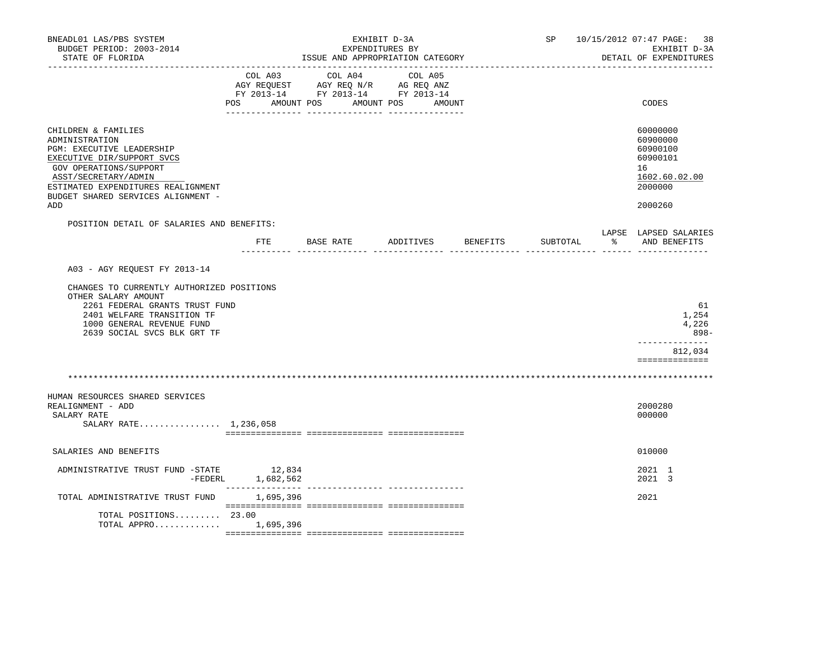| BNEADL01 LAS/PBS SYSTEM<br>BUDGET PERIOD: 2003-2014<br>STATE OF FLORIDA                                                                                                                                                                      |                              | EXHIBIT D-3A<br>EXPENDITURES BY<br>ISSUE AND APPROPRIATION CATEGORY                             |                    | SP 10/15/2012 07:47 PAGE: 38<br>EXHIBIT D-3A<br>DETAIL OF EXPENDITURES |          |                       |                                                                                           |
|----------------------------------------------------------------------------------------------------------------------------------------------------------------------------------------------------------------------------------------------|------------------------------|-------------------------------------------------------------------------------------------------|--------------------|------------------------------------------------------------------------|----------|-----------------------|-------------------------------------------------------------------------------------------|
|                                                                                                                                                                                                                                              | COL A03<br>POS<br>AMOUNT POS | COL A04<br>AGY REQUEST AGY REQ N/R AG REQ ANZ<br>FY 2013-14 FY 2013-14 FY 2013-14<br>AMOUNT POS | COL A05<br>AMOUNT  |                                                                        |          |                       | CODES                                                                                     |
| CHILDREN & FAMILIES<br>ADMINISTRATION<br><b>PGM: EXECUTIVE LEADERSHIP</b><br>EXECUTIVE DIR/SUPPORT SVCS<br>GOV OPERATIONS/SUPPORT<br>ASST/SECRETARY/ADMIN<br>ESTIMATED EXPENDITURES REALIGNMENT<br>BUDGET SHARED SERVICES ALIGNMENT -<br>ADD |                              |                                                                                                 |                    |                                                                        |          |                       | 60000000<br>60900000<br>60900100<br>60900101<br>16<br>1602.60.02.00<br>2000000<br>2000260 |
| POSITION DETAIL OF SALARIES AND BENEFITS:                                                                                                                                                                                                    | ETE                          | BASE RATE                                                                                       | ADDITIVES BENEFITS |                                                                        | SUBTOTAL |                       | LAPSE LAPSED SALARIES<br>% AND BENEFITS                                                   |
|                                                                                                                                                                                                                                              |                              |                                                                                                 | $\frac{1}{2}$      |                                                                        |          | --------- ------ ---- |                                                                                           |
| A03 - AGY REQUEST FY 2013-14<br>CHANGES TO CURRENTLY AUTHORIZED POSITIONS                                                                                                                                                                    |                              |                                                                                                 |                    |                                                                        |          |                       |                                                                                           |
| OTHER SALARY AMOUNT<br>2261 FEDERAL GRANTS TRUST FUND<br>2401 WELFARE TRANSITION TF<br>1000 GENERAL REVENUE FUND<br>2639 SOCIAL SVCS BLK GRT TF                                                                                              |                              |                                                                                                 |                    |                                                                        |          |                       | 61<br>1,254<br>4,226<br>898-<br>-------------                                             |
|                                                                                                                                                                                                                                              |                              |                                                                                                 |                    |                                                                        |          |                       | 812,034<br>==============                                                                 |
|                                                                                                                                                                                                                                              |                              |                                                                                                 |                    |                                                                        |          |                       |                                                                                           |
| HUMAN RESOURCES SHARED SERVICES<br>REALIGNMENT - ADD<br>SALARY RATE<br>SALARY RATE 1,236,058                                                                                                                                                 |                              |                                                                                                 |                    |                                                                        |          |                       | 2000280<br>000000                                                                         |
| SALARIES AND BENEFITS                                                                                                                                                                                                                        |                              |                                                                                                 |                    |                                                                        |          |                       | 010000                                                                                    |
| ADMINISTRATIVE TRUST FUND -STATE 12,834<br>-FEDERL                                                                                                                                                                                           | 1,682,562                    |                                                                                                 |                    |                                                                        |          |                       | 2021 1<br>2021 3                                                                          |
| TOTAL ADMINISTRATIVE TRUST FUND                                                                                                                                                                                                              | _______________<br>1,695,396 | --------------- -------                                                                         |                    |                                                                        |          |                       | 2021                                                                                      |
| TOTAL POSITIONS 23.00<br>TOTAL APPRO                                                                                                                                                                                                         | 1,695,396                    |                                                                                                 |                    |                                                                        |          |                       |                                                                                           |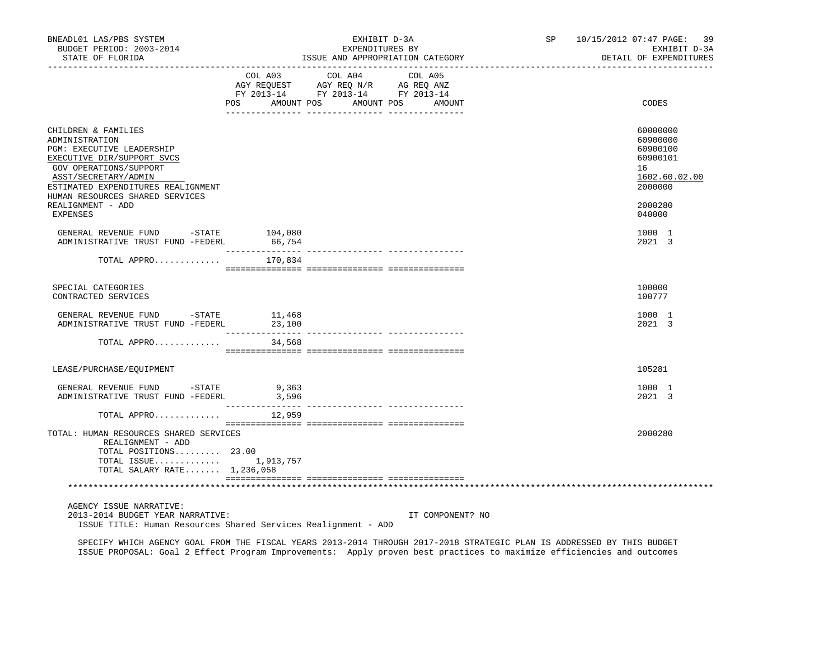| BNEADL01 LAS/PBS SYSTEM<br>BUDGET PERIOD: 2003-2014<br>STATE OF FLORIDA                                                                                                                                                     |                           | EXHIBIT D-3A<br>EXPENDITURES BY<br>ISSUE AND APPROPRIATION CATEGORY                                             |                  | SP 10/15/2012 07:47 PAGE: 39<br>EXHIBIT D-3A<br>DETAIL OF EXPENDITURES         |
|-----------------------------------------------------------------------------------------------------------------------------------------------------------------------------------------------------------------------------|---------------------------|-----------------------------------------------------------------------------------------------------------------|------------------|--------------------------------------------------------------------------------|
|                                                                                                                                                                                                                             | POS AMOUNT POS            | COL A03 COL A04 COL A05<br>AGY REQUEST AGY REQ N/R AG REQ ANZ<br>FY 2013-14 FY 2013-14 FY 2013-14<br>AMOUNT POS | AMOUNT           | CODES                                                                          |
| CHILDREN & FAMILIES<br>ADMINISTRATION<br>PGM: EXECUTIVE LEADERSHIP<br>EXECUTIVE DIR/SUPPORT SVCS<br>GOV OPERATIONS/SUPPORT<br>ASST/SECRETARY/ADMIN<br>ESTIMATED EXPENDITURES REALIGNMENT<br>HUMAN RESOURCES SHARED SERVICES |                           |                                                                                                                 |                  | 60000000<br>60900000<br>60900100<br>60900101<br>16<br>1602.60.02.00<br>2000000 |
| REALIGNMENT - ADD<br>EXPENSES                                                                                                                                                                                               |                           |                                                                                                                 |                  | 2000280<br>040000                                                              |
| GENERAL REVENUE FUND -STATE 104,080<br>ADMINISTRATIVE TRUST FUND -FEDERL                                                                                                                                                    | 66,754                    |                                                                                                                 |                  | 1000 1<br>2021 3                                                               |
| TOTAL APPRO                                                                                                                                                                                                                 | 170,834                   |                                                                                                                 |                  |                                                                                |
| SPECIAL CATEGORIES<br>CONTRACTED SERVICES                                                                                                                                                                                   |                           |                                                                                                                 |                  | 100000<br>100777                                                               |
| GENERAL REVENUE FUND - STATE<br>ADMINISTRATIVE TRUST FUND -FEDERL 23,100                                                                                                                                                    | 11,468                    |                                                                                                                 |                  | 1000 1<br>2021 3                                                               |
| TOTAL APPRO                                                                                                                                                                                                                 | 34,568                    |                                                                                                                 |                  |                                                                                |
| LEASE/PURCHASE/EQUIPMENT                                                                                                                                                                                                    |                           |                                                                                                                 |                  | 105281                                                                         |
| GENERAL REVENUE FUND -STATE 9,363<br>ADMINISTRATIVE TRUST FUND -FEDERL                                                                                                                                                      | 3,596<br>________________ |                                                                                                                 |                  | 1000 1<br>2021 3                                                               |
| TOTAL APPRO                                                                                                                                                                                                                 | 12,959                    |                                                                                                                 |                  |                                                                                |
| TOTAL: HUMAN RESOURCES SHARED SERVICES<br>REALIGNMENT - ADD<br>TOTAL POSITIONS 23.00<br>TOTAL ISSUE $1,913,757$<br>TOTAL SALARY RATE 1,236,058                                                                              |                           |                                                                                                                 |                  | 2000280                                                                        |
|                                                                                                                                                                                                                             |                           |                                                                                                                 |                  |                                                                                |
| AGENCY ISSUE NARRATIVE:<br>2013-2014 BUDGET YEAR NARRATIVE:<br>ISSUE TITLE: Human Resources Shared Services Realignment - ADD                                                                                               |                           |                                                                                                                 | IT COMPONENT? NO |                                                                                |

 SPECIFY WHICH AGENCY GOAL FROM THE FISCAL YEARS 2013-2014 THROUGH 2017-2018 STRATEGIC PLAN IS ADDRESSED BY THIS BUDGET ISSUE PROPOSAL: Goal 2 Effect Program Improvements: Apply proven best practices to maximize efficiencies and outcomes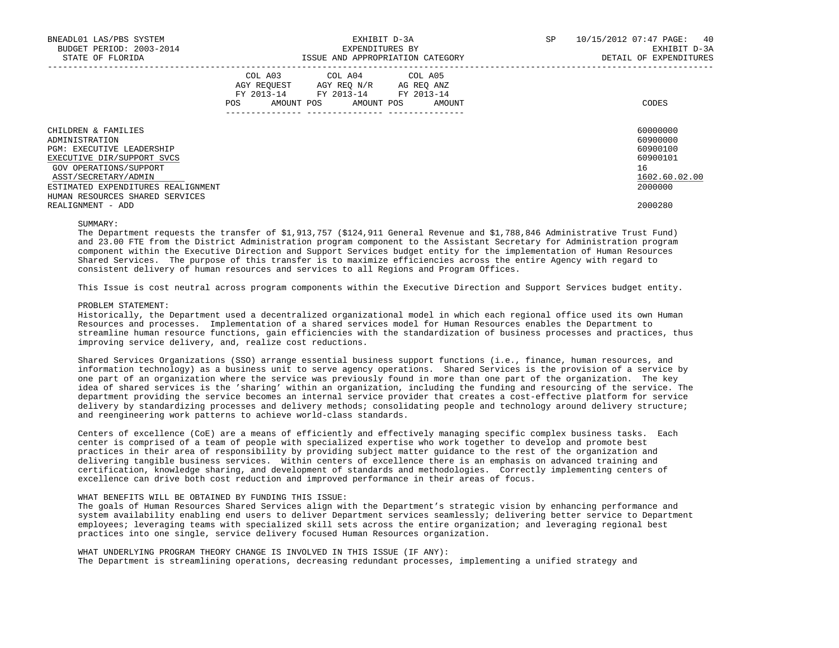| BNEADL01 LAS/PBS SYSTEM<br>BUDGET PERIOD: 2003-2014<br>STATE OF FLORIDA | SP<br>EXHIBIT D-3A<br>EXPENDITURES BY<br>ISSUE AND APPROPRIATION CATEGORY |                                                                                                   |  |                       |  | 40<br>10/15/2012 07:47 PAGE:<br>EXHIBIT D-3A<br>DETAIL OF EXPENDITURES |  |                      |
|-------------------------------------------------------------------------|---------------------------------------------------------------------------|---------------------------------------------------------------------------------------------------|--|-----------------------|--|------------------------------------------------------------------------|--|----------------------|
|                                                                         | POS                                                                       | COL A03 COL A04 COL A05<br>AGY REQUEST AGY REO N/R AG REO ANZ<br>FY 2013-14 FY 2013-14 FY 2013-14 |  | AMOUNT POS AMOUNT POS |  | AMOUNT                                                                 |  | CODES                |
| CHILDREN & FAMILIES<br>ADMINISTRATION                                   |                                                                           |                                                                                                   |  |                       |  |                                                                        |  | 60000000<br>60900000 |
| <b>PGM: EXECUTIVE LEADERSHIP</b>                                        |                                                                           |                                                                                                   |  |                       |  |                                                                        |  | 60900100             |
| EXECUTIVE DIR/SUPPORT SVCS                                              |                                                                           |                                                                                                   |  |                       |  |                                                                        |  | 60900101             |
| GOV OPERATIONS/SUPPORT                                                  |                                                                           |                                                                                                   |  |                       |  |                                                                        |  | 16                   |
| ASST/SECRETARY/ADMIN                                                    |                                                                           |                                                                                                   |  |                       |  |                                                                        |  | 1602.60.02.00        |
| ESTIMATED EXPENDITURES REALIGNMENT                                      |                                                                           |                                                                                                   |  |                       |  |                                                                        |  | 2000000              |
| HUMAN RESOURCES SHARED SERVICES                                         |                                                                           |                                                                                                   |  |                       |  |                                                                        |  |                      |
| REALIGNMENT - ADD                                                       |                                                                           |                                                                                                   |  |                       |  |                                                                        |  | 2000280              |

#### SUMMARY:

 The Department requests the transfer of \$1,913,757 (\$124,911 General Revenue and \$1,788,846 Administrative Trust Fund) and 23.00 FTE from the District Administration program component to the Assistant Secretary for Administration program component within the Executive Direction and Support Services budget entity for the implementation of Human Resources Shared Services. The purpose of this transfer is to maximize efficiencies across the entire Agency with regard to consistent delivery of human resources and services to all Regions and Program Offices.

This Issue is cost neutral across program components within the Executive Direction and Support Services budget entity.

#### PROBLEM STATEMENT:

 Historically, the Department used a decentralized organizational model in which each regional office used its own Human Resources and processes. Implementation of a shared services model for Human Resources enables the Department to streamline human resource functions, gain efficiencies with the standardization of business processes and practices, thus improving service delivery, and, realize cost reductions.

 Shared Services Organizations (SSO) arrange essential business support functions (i.e., finance, human resources, and information technology) as a business unit to serve agency operations. Shared Services is the provision of a service by one part of an organization where the service was previously found in more than one part of the organization. The key idea of shared services is the 'sharing' within an organization, including the funding and resourcing of the service. The department providing the service becomes an internal service provider that creates a cost-effective platform for service delivery by standardizing processes and delivery methods; consolidating people and technology around delivery structure; and reengineering work patterns to achieve world-class standards.

 Centers of excellence (CoE) are a means of efficiently and effectively managing specific complex business tasks. Each center is comprised of a team of people with specialized expertise who work together to develop and promote best practices in their area of responsibility by providing subject matter guidance to the rest of the organization and delivering tangible business services. Within centers of excellence there is an emphasis on advanced training and certification, knowledge sharing, and development of standards and methodologies. Correctly implementing centers of excellence can drive both cost reduction and improved performance in their areas of focus.

## WHAT BENEFITS WILL BE OBTAINED BY FUNDING THIS ISSUE:

 The goals of Human Resources Shared Services align with the Department's strategic vision by enhancing performance and system availability enabling end users to deliver Department services seamlessly; delivering better service to Department employees; leveraging teams with specialized skill sets across the entire organization; and leveraging regional best practices into one single, service delivery focused Human Resources organization.

 WHAT UNDERLYING PROGRAM THEORY CHANGE IS INVOLVED IN THIS ISSUE (IF ANY): The Department is streamlining operations, decreasing redundant processes, implementing a unified strategy and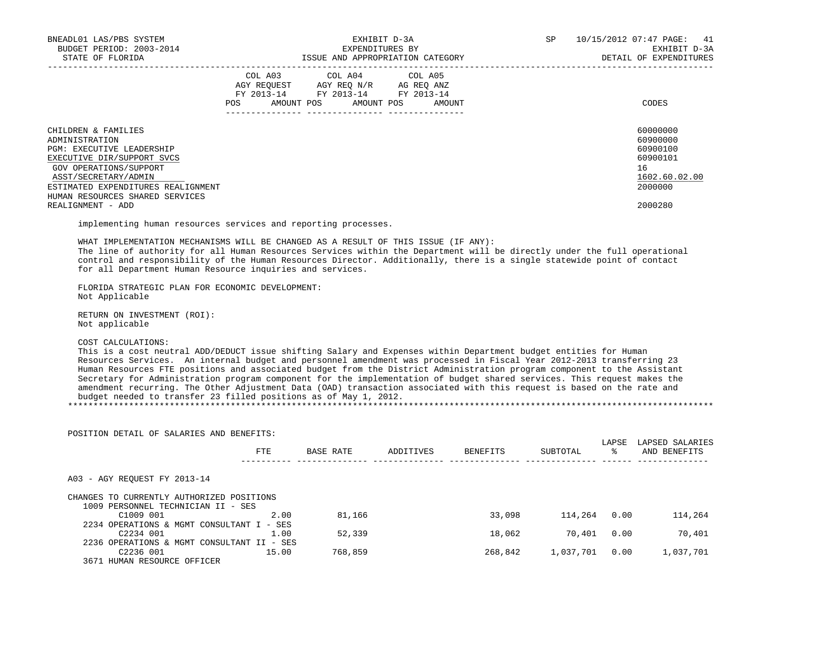| BNEADL01 LAS/PBS SYSTEM<br>BUDGET PERIOD: 2003-2014<br>STATE OF FLORIDA                                                                                                                                                            |     | EXHIBIT D-3A<br>EXPENDITURES BY<br>ISSUE AND APPROPRIATION CATEGORY                                                        |        | SP<br>41<br>10/15/2012 07:47 PAGE:<br>EXHIBIT D-3A<br>DETAIL OF EXPENDITURES |                                                                                |  |  |
|------------------------------------------------------------------------------------------------------------------------------------------------------------------------------------------------------------------------------------|-----|----------------------------------------------------------------------------------------------------------------------------|--------|------------------------------------------------------------------------------|--------------------------------------------------------------------------------|--|--|
|                                                                                                                                                                                                                                    | POS | COL A03 COL A04 COL A05<br>AGY REOUEST AGY REO N/R AG REO ANZ<br>FY 2013-14 FY 2013-14 FY 2013-14<br>AMOUNT POS AMOUNT POS | AMOUNT |                                                                              | CODES                                                                          |  |  |
| CHILDREN & FAMILIES<br>ADMINISTRATION<br><b>PGM: EXECUTIVE LEADERSHIP</b><br>EXECUTIVE DIR/SUPPORT SVCS<br>GOV OPERATIONS/SUPPORT<br>ASST/SECRETARY/ADMIN<br>ESTIMATED EXPENDITURES REALIGNMENT<br>HUMAN RESOURCES SHARED SERVICES |     |                                                                                                                            |        |                                                                              | 60000000<br>60900000<br>60900100<br>60900101<br>16<br>1602.60.02.00<br>2000000 |  |  |
| REALIGNMENT - ADD                                                                                                                                                                                                                  |     |                                                                                                                            |        |                                                                              | 2000280                                                                        |  |  |

implementing human resources services and reporting processes.

 WHAT IMPLEMENTATION MECHANISMS WILL BE CHANGED AS A RESULT OF THIS ISSUE (IF ANY): The line of authority for all Human Resources Services within the Department will be directly under the full operational control and responsibility of the Human Resources Director. Additionally, there is a single statewide point of contact for all Department Human Resource inquiries and services.

 FLORIDA STRATEGIC PLAN FOR ECONOMIC DEVELOPMENT: Not Applicable

 RETURN ON INVESTMENT (ROI): Not applicable

#### COST CALCULATIONS:

 This is a cost neutral ADD/DEDUCT issue shifting Salary and Expenses within Department budget entities for Human Resources Services. An internal budget and personnel amendment was processed in Fiscal Year 2012-2013 transferring 23 Human Resources FTE positions and associated budget from the District Administration program component to the Assistant Secretary for Administration program component for the implementation of budget shared services. This request makes the amendment recurring. The Other Adjustment Data (OAD) transaction associated with this request is based on the rate and budget needed to transfer 23 filled positions as of May 1, 2012. \*\*\*\*\*\*\*\*\*\*\*\*\*\*\*\*\*\*\*\*\*\*\*\*\*\*\*\*\*\*\*\*\*\*\*\*\*\*\*\*\*\*\*\*\*\*\*\*\*\*\*\*\*\*\*\*\*\*\*\*\*\*\*\*\*\*\*\*\*\*\*\*\*\*\*\*\*\*\*\*\*\*\*\*\*\*\*\*\*\*\*\*\*\*\*\*\*\*\*\*\*\*\*\*\*\*\*\*\*\*\*\*\*\*\*\*\*\*\*\*\*\*\*\*\*\*\*

 LAPSE LAPSED SALARIES FTE BASE RATE ADDITIVES BENEFITS SUBTOTAL % AND BENEFITS ---------- -------------- -------------- -------------- -------------- ------ -------------- A03 - AGY REQUEST FY 2013-14 CHANGES TO CURRENTLY AUTHORIZED POSITIONS 1009 PERSONNEL TECHNICIAN II - SES C1009 001 2.00 81,166 33,098 114,264 0.00 114,264 2234 OPERATIONS & MGMT CONSULTANT I - SES  $C2234$  001  $C2234$  001  $C2234$  001  $C2234$  001  $C2234$  001  $C2339$   $C2234$  001  $C2334$  01  $C234$  01  $C234$  01  $C234$  01  $C234$  01  $C234$  01  $C234$  01  $C234$  01  $C234$  01  $C234$  01  $C234$  01  $C234$  01  $C234$  01  $C234$  01 2236 OPERATIONS & MGMT CONSULTANT II - SES 768,859 268,842 1,037,701 0.00 1,037,701 3671 HUMAN RESOURCE OFFICER

POSITION DETAIL OF SALARIES AND BENEFITS: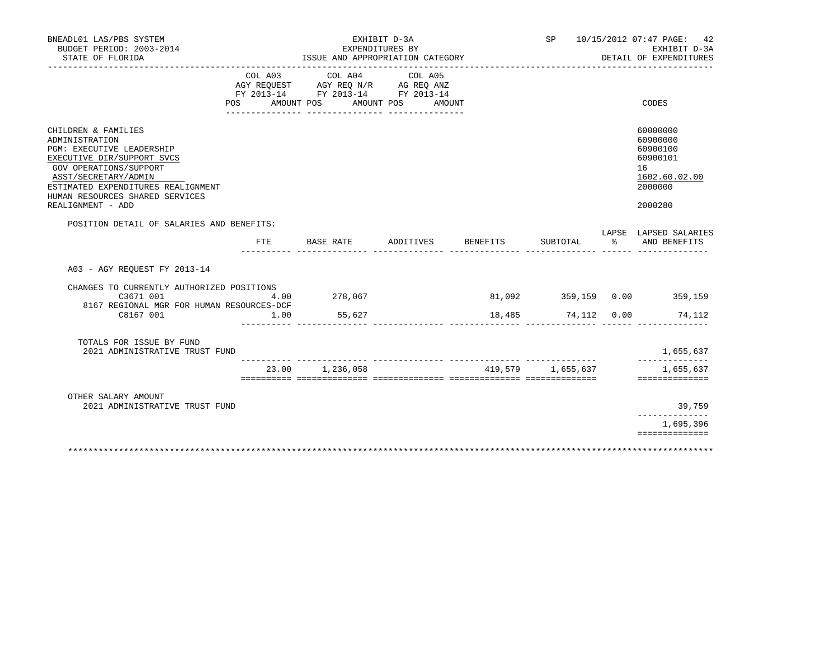| BNEADL01 LAS/PBS SYSTEM<br>BUDGET PERIOD: 2003-2014<br>STATE OF FLORIDA                                                                                                                  |         | EXHIBIT D-3A<br>EXPENDITURES BY<br>ISSUE AND APPROPRIATION CATEGORY                                            |                   |          | SP 10/15/2012 07:47 PAGE: 42<br>EXHIBIT D-3A<br>DETAIL OF EXPENDITURES |  |                                                                                |
|------------------------------------------------------------------------------------------------------------------------------------------------------------------------------------------|---------|----------------------------------------------------------------------------------------------------------------|-------------------|----------|------------------------------------------------------------------------|--|--------------------------------------------------------------------------------|
|                                                                                                                                                                                          | COL A03 | COL A04<br>AGY REQUEST AGY REQ N/R AG REQ ANZ<br>FY 2013-14 FY 2013-14 FY 2013-14<br>POS AMOUNT POS AMOUNT POS | COL A05<br>AMOUNT |          |                                                                        |  | CODES                                                                          |
| CHILDREN & FAMILIES<br>ADMINISTRATION<br>PGM: EXECUTIVE LEADERSHIP<br>EXECUTIVE DIR/SUPPORT SVCS<br>GOV OPERATIONS/SUPPORT<br>ASST/SECRETARY/ADMIN<br>ESTIMATED EXPENDITURES REALIGNMENT |         |                                                                                                                |                   |          |                                                                        |  | 60000000<br>60900000<br>60900100<br>60900101<br>16<br>1602.60.02.00<br>2000000 |
| HUMAN RESOURCES SHARED SERVICES<br>REALIGNMENT - ADD                                                                                                                                     |         |                                                                                                                |                   |          |                                                                        |  | 2000280                                                                        |
| POSITION DETAIL OF SALARIES AND BENEFITS:                                                                                                                                                | FTE     | BASE RATE                                                                                                      | ADDITIVES         | BENEFITS | SUBTOTAL                                                               |  | LAPSE LAPSED SALARIES<br>% AND BENEFITS                                        |
| A03 - AGY REOUEST FY 2013-14                                                                                                                                                             |         |                                                                                                                |                   |          |                                                                        |  |                                                                                |
| CHANGES TO CURRENTLY AUTHORIZED POSITIONS<br>C3671 001                                                                                                                                   | 4.00    | 278,067                                                                                                        |                   |          |                                                                        |  | 81,092 359,159 0.00 359,159                                                    |
| 8167 REGIONAL MGR FOR HUMAN RESOURCES-DCF<br>C8167 001                                                                                                                                   | 1.00    | 55,627                                                                                                         |                   |          | 18,485 74,112 0.00                                                     |  | 74,112                                                                         |
| TOTALS FOR ISSUE BY FUND<br>2021 ADMINISTRATIVE TRUST FUND                                                                                                                               |         |                                                                                                                |                   |          |                                                                        |  | 1,655,637                                                                      |
|                                                                                                                                                                                          |         | 23.00 1,236,058                                                                                                |                   |          | 419,579 1,655,637                                                      |  | 1,655,637<br>==============                                                    |
| OTHER SALARY AMOUNT<br>2021 ADMINISTRATIVE TRUST FUND                                                                                                                                    |         |                                                                                                                |                   |          |                                                                        |  | 39,759<br>------------                                                         |
|                                                                                                                                                                                          |         |                                                                                                                |                   |          |                                                                        |  | 1,695,396                                                                      |
|                                                                                                                                                                                          |         |                                                                                                                |                   |          |                                                                        |  | ==============                                                                 |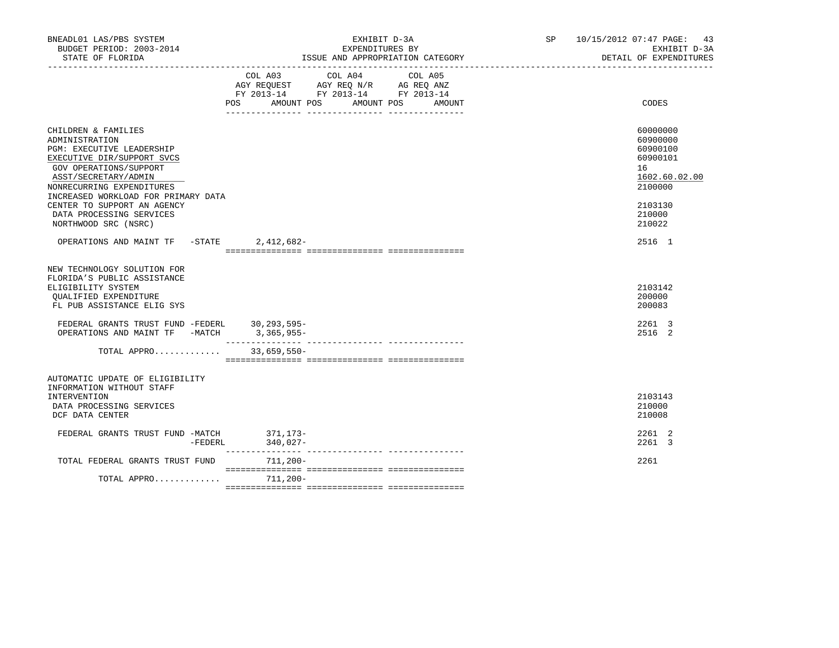| BNEADL01 LAS/PBS SYSTEM<br>BUDGET PERIOD: 2003-2014<br>STATE OF FLORIDA                                                                                                                                                                                                                                          |             | EXPENDITURES BY                                                                           | EXHIBIT D-3A<br>ISSUE AND APPROPRIATION CATEGORY | SP 10/15/2012 07:47 PAGE: 43<br>EXHIBIT D-3A<br>DETAIL OF EXPENDITURES                                        |
|------------------------------------------------------------------------------------------------------------------------------------------------------------------------------------------------------------------------------------------------------------------------------------------------------------------|-------------|-------------------------------------------------------------------------------------------|--------------------------------------------------|---------------------------------------------------------------------------------------------------------------|
|                                                                                                                                                                                                                                                                                                                  |             | COL A03 COL A04<br>AGY REQUEST AGY REQ N/R AG REQ ANZ<br>FY 2013-14 FY 2013-14 FY 2013-14 | COL A05<br>POS AMOUNT POS AMOUNT POS AMOUNT      | <b>CODES</b>                                                                                                  |
| CHILDREN & FAMILIES<br>ADMINISTRATION<br><b>PGM: EXECUTIVE LEADERSHIP</b><br>EXECUTIVE DIR/SUPPORT SVCS<br>GOV OPERATIONS/SUPPORT<br>ASST/SECRETARY/ADMIN<br>NONRECURRING EXPENDITURES<br>INCREASED WORKLOAD FOR PRIMARY DATA<br>CENTER TO SUPPORT AN AGENCY<br>DATA PROCESSING SERVICES<br>NORTHWOOD SRC (NSRC) |             |                                                                                           |                                                  | 60000000<br>60900000<br>60900100<br>60900101<br>16<br>1602.60.02.00<br>2100000<br>2103130<br>210000<br>210022 |
| OPERATIONS AND MAINT TF -STATE                                                                                                                                                                                                                                                                                   | 2,412,682-  |                                                                                           |                                                  | 2516 1                                                                                                        |
| NEW TECHNOLOGY SOLUTION FOR<br>FLORIDA'S PUBLIC ASSISTANCE<br>ELIGIBILITY SYSTEM<br>QUALIFIED EXPENDITURE<br>FL PUB ASSISTANCE ELIG SYS                                                                                                                                                                          |             |                                                                                           |                                                  | 2103142<br>200000<br>200083<br>2261 3                                                                         |
| $\begin{tabular}{lllllll} \texttt{FEDERAL} & \texttt{GRANTS} & \texttt{TRUE} & \texttt{FUDERL} & \texttt{30,293,595--} \\ \texttt{OPERATIONS AND MAINT TF} & \texttt{-MATCH} & \texttt{3,365,955--} \\ \end{tabular}$                                                                                            |             |                                                                                           |                                                  | 2516 2                                                                                                        |
| TOTAL APPRO                                                                                                                                                                                                                                                                                                      | 33,659,550- |                                                                                           |                                                  |                                                                                                               |
| AUTOMATIC UPDATE OF ELIGIBILITY<br>INFORMATION WITHOUT STAFF<br>INTERVENTION<br>DATA PROCESSING SERVICES<br>DCF DATA CENTER                                                                                                                                                                                      |             |                                                                                           |                                                  | 2103143<br>210000<br>210008                                                                                   |
| FEDERAL GRANTS TRUST FUND -MATCH 371, 173-<br>$-FEDERL$                                                                                                                                                                                                                                                          | $340,027-$  |                                                                                           |                                                  | 2261 2<br>2261 3                                                                                              |
| TOTAL FEDERAL GRANTS TRUST FUND                                                                                                                                                                                                                                                                                  | 711,200-    |                                                                                           |                                                  | 2261                                                                                                          |
| TOTAL APPRO                                                                                                                                                                                                                                                                                                      | 711,200-    |                                                                                           |                                                  |                                                                                                               |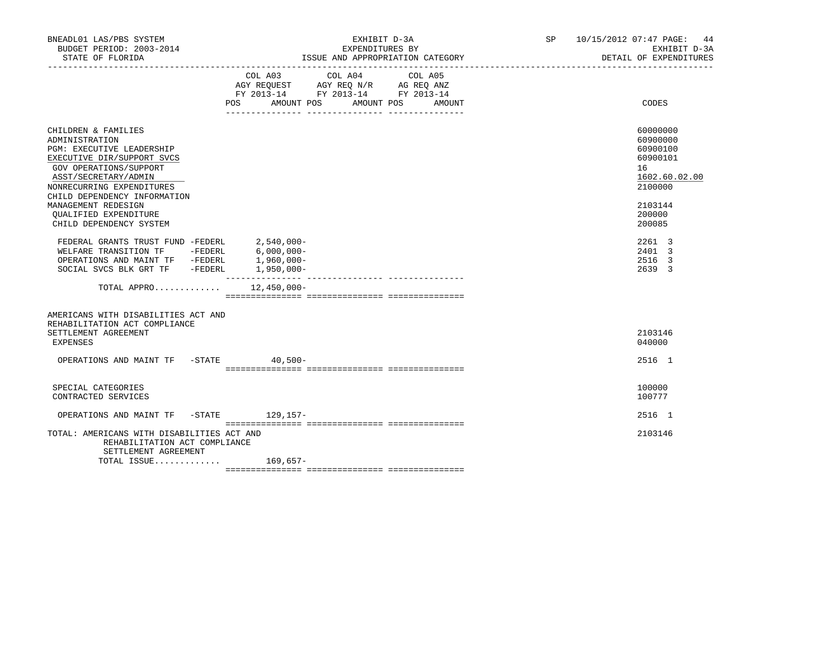| BNEADL01 LAS/PBS SYSTEM<br>BUDGET PERIOD: 2003-2014<br>STATE OF FLORIDA                                                                                                                                                                                                                           | EXHIBIT D-3A<br>EXPENDITURES BY<br>ISSUE AND APPROPRIATION CATEGORY                                                                                                                                                                                                                                                                                          | SP 10/15/2012 07:47 PAGE: 44<br>EXHIBIT D-3A<br>DETAIL OF EXPENDITURES                                        |
|---------------------------------------------------------------------------------------------------------------------------------------------------------------------------------------------------------------------------------------------------------------------------------------------------|--------------------------------------------------------------------------------------------------------------------------------------------------------------------------------------------------------------------------------------------------------------------------------------------------------------------------------------------------------------|---------------------------------------------------------------------------------------------------------------|
|                                                                                                                                                                                                                                                                                                   | $\begin{tabular}{lllllllllll} &\multicolumn{4}{c}{\text{COL A03}} &\multicolumn{4}{c}{\text{COL A04}} &\multicolumn{4}{c}{\text{COL A05}} \\ \multicolumn{4}{c}{\text{AGY REQUEST}} &\multicolumn{4}{c}{\text{AGY REQ N/R}} &\multicolumn{4}{c}{\text{AG REQ ANZ}} \end{tabular}$<br>FY 2013-14 FY 2013-14 FY 2013-14<br>POS AMOUNT POS AMOUNT POS<br>AMOUNT | CODES                                                                                                         |
| CHILDREN & FAMILIES<br>ADMINISTRATION<br>PGM: EXECUTIVE LEADERSHIP<br>EXECUTIVE DIR/SUPPORT SVCS<br>GOV OPERATIONS/SUPPORT<br>ASST/SECRETARY/ADMIN<br>NONRECURRING EXPENDITURES<br>CHILD DEPENDENCY INFORMATION<br>MANAGEMENT REDESIGN<br><b>OUALIFIED EXPENDITURE</b><br>CHILD DEPENDENCY SYSTEM |                                                                                                                                                                                                                                                                                                                                                              | 60000000<br>60900000<br>60900100<br>60900101<br>16<br>1602.60.02.00<br>2100000<br>2103144<br>200000<br>200085 |
| ${\tt FEDERAL} \quad {\tt GRANTS} \quad {\tt FUDT} \quad {\tt FUDERL} \qquad \qquad 2,540,000-\\ {\tt WELFARE} \quad {\tt TRANSITION} \quad {\tt TF} \qquad -{\tt FEDERL} \qquad \qquad 6,000,000-$<br>OPERATIONS AND MAINT TF -FEDERL<br>SOCIAL SVCS BLK GRT TF -FEDERL 1,950,000-               | 1,960,000-                                                                                                                                                                                                                                                                                                                                                   | 2261 3<br>2401 3<br>2516 3<br>2639 3                                                                          |
| TOTAL APPRO $12,450,000-$                                                                                                                                                                                                                                                                         |                                                                                                                                                                                                                                                                                                                                                              |                                                                                                               |
| AMERICANS WITH DISABILITIES ACT AND<br>REHABILITATION ACT COMPLIANCE<br>SETTLEMENT AGREEMENT<br>EXPENSES                                                                                                                                                                                          |                                                                                                                                                                                                                                                                                                                                                              | 2103146<br>040000                                                                                             |
| OPERATIONS AND MAINT TF -STATE 40,500-                                                                                                                                                                                                                                                            |                                                                                                                                                                                                                                                                                                                                                              | 2516 1                                                                                                        |
| SPECIAL CATEGORIES<br>CONTRACTED SERVICES                                                                                                                                                                                                                                                         |                                                                                                                                                                                                                                                                                                                                                              | 100000<br>100777                                                                                              |
| OPERATIONS AND MAINT TF -STATE 129,157-                                                                                                                                                                                                                                                           |                                                                                                                                                                                                                                                                                                                                                              | 2516 1                                                                                                        |
| TOTAL: AMERICANS WITH DISABILITIES ACT AND<br>REHABILITATION ACT COMPLIANCE<br>SETTLEMENT AGREEMENT                                                                                                                                                                                               |                                                                                                                                                                                                                                                                                                                                                              | 2103146                                                                                                       |
| TOTAL ISSUE 169,657-                                                                                                                                                                                                                                                                              |                                                                                                                                                                                                                                                                                                                                                              |                                                                                                               |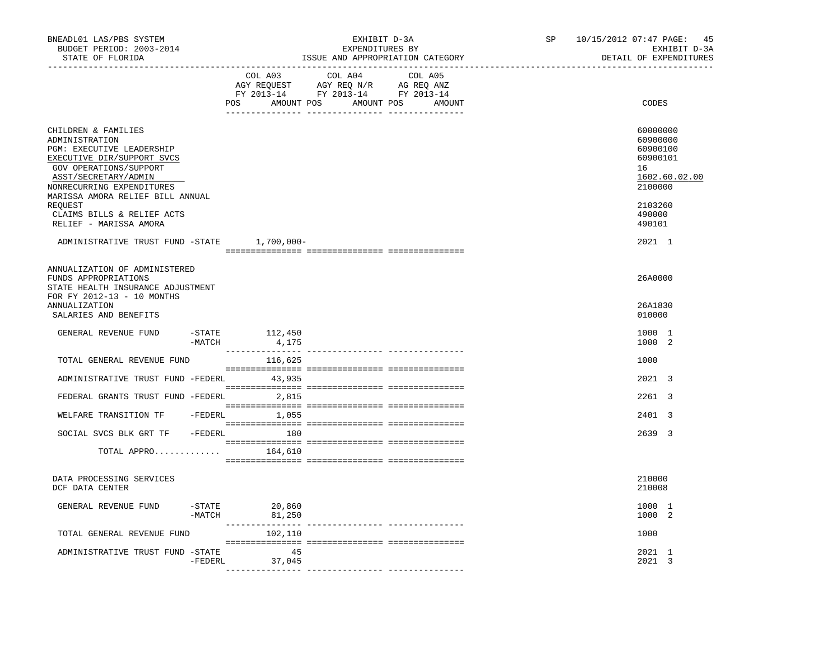| BNEADL01 LAS/PBS SYSTEM<br>BUDGET PERIOD: 2003-2014<br>STATE OF FLORIDA                                                                                                                                                                                                                |           | _________________________________  | EXHIBIT D-3A<br>EXPENDITURES BY<br>ISSUE AND APPROPRIATION CATEGORY                                                              | SP <sub>2</sub><br>------------------------- | 10/15/2012 07:47 PAGE: 45<br>EXHIBIT D-3A<br>DETAIL OF EXPENDITURES                                           |
|----------------------------------------------------------------------------------------------------------------------------------------------------------------------------------------------------------------------------------------------------------------------------------------|-----------|------------------------------------|----------------------------------------------------------------------------------------------------------------------------------|----------------------------------------------|---------------------------------------------------------------------------------------------------------------|
|                                                                                                                                                                                                                                                                                        |           | COL A03                            | COL A04<br>COL A05<br>AGY REQUEST AGY REQ N/R AG REQ ANZ<br>FY 2013-14 FY 2013-14 FY 2013-14<br>POS AMOUNT POS AMOUNT POS AMOUNT |                                              | CODES                                                                                                         |
| CHILDREN & FAMILIES<br>ADMINISTRATION<br>PGM: EXECUTIVE LEADERSHIP<br>EXECUTIVE DIR/SUPPORT SVCS<br>GOV OPERATIONS/SUPPORT<br>ASST/SECRETARY/ADMIN<br>NONRECURRING EXPENDITURES<br>MARISSA AMORA RELIEF BILL ANNUAL<br>REOUEST<br>CLAIMS BILLS & RELIEF ACTS<br>RELIEF - MARISSA AMORA |           |                                    |                                                                                                                                  |                                              | 60000000<br>60900000<br>60900100<br>60900101<br>16<br>1602.60.02.00<br>2100000<br>2103260<br>490000<br>490101 |
| ADMINISTRATIVE TRUST FUND -STATE 1,700,000-                                                                                                                                                                                                                                            |           |                                    |                                                                                                                                  |                                              | 2021 1                                                                                                        |
| ANNUALIZATION OF ADMINISTERED<br>FUNDS APPROPRIATIONS<br>STATE HEALTH INSURANCE ADJUSTMENT<br>FOR FY 2012-13 - 10 MONTHS<br>ANNUALIZATION<br>SALARIES AND BENEFITS                                                                                                                     |           |                                    |                                                                                                                                  |                                              | 26A0000<br>26A1830<br>010000                                                                                  |
| GENERAL REVENUE FUND                                                                                                                                                                                                                                                                   | $-MATCH$  | -STATE 112,450<br>4,175            |                                                                                                                                  |                                              | 1000 1<br>1000 2                                                                                              |
| TOTAL GENERAL REVENUE FUND                                                                                                                                                                                                                                                             |           | 116,625                            |                                                                                                                                  |                                              | 1000                                                                                                          |
| ADMINISTRATIVE TRUST FUND -FEDERL 43,935                                                                                                                                                                                                                                               |           |                                    |                                                                                                                                  |                                              | 2021 3                                                                                                        |
| FEDERAL GRANTS TRUST FUND -FEDERL 2,815                                                                                                                                                                                                                                                |           |                                    |                                                                                                                                  |                                              | 2261 3                                                                                                        |
| WELFARE TRANSITION TF -FEDERL 1,055                                                                                                                                                                                                                                                    |           |                                    |                                                                                                                                  |                                              | 2401 3                                                                                                        |
| SOCIAL SVCS BLK GRT TF - FEDERL 180                                                                                                                                                                                                                                                    |           |                                    |                                                                                                                                  |                                              | 2639 3                                                                                                        |
| TOTAL APPRO $164,610$                                                                                                                                                                                                                                                                  |           |                                    |                                                                                                                                  |                                              |                                                                                                               |
| DATA PROCESSING SERVICES<br>DCF DATA CENTER                                                                                                                                                                                                                                            |           |                                    |                                                                                                                                  |                                              | 210000<br>210008                                                                                              |
| GENERAL REVENUE FUND                                                                                                                                                                                                                                                                   |           | $-STATE$ 20,860<br>$-MATCH$ 81,250 |                                                                                                                                  |                                              | 1000 1<br>1000 2                                                                                              |
| TOTAL GENERAL REVENUE FUND                                                                                                                                                                                                                                                             |           | ________________<br>102,110        |                                                                                                                                  |                                              | 1000                                                                                                          |
| ADMINISTRATIVE TRUST FUND -STATE                                                                                                                                                                                                                                                       | $-FEDERL$ | 45<br>37,045                       |                                                                                                                                  |                                              | 2021 1<br>2021 3                                                                                              |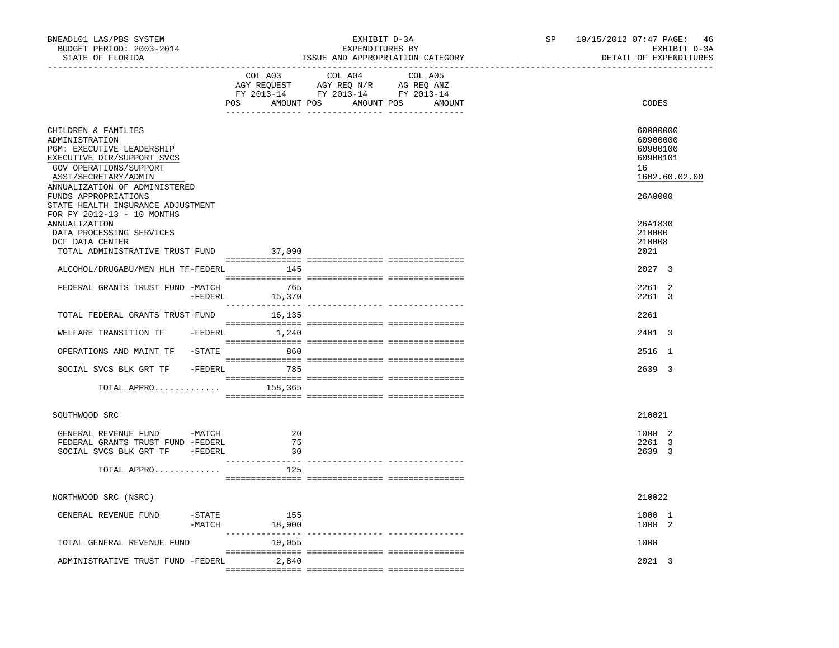| BNEADL01 LAS/PBS SYSTEM<br>BUDGET PERIOD: 2003-2014<br>STATE OF FLORIDA                                                                                                                                                                                                        |                       |                | EXHIBIT D-3A<br>EXPENDITURES BY<br>ISSUE AND APPROPRIATION CATEGORY                                                   |         | SP | 10/15/2012 07:47 PAGE: 46<br>EXHIBIT D-3A<br>DETAIL OF EXPENDITURES            |
|--------------------------------------------------------------------------------------------------------------------------------------------------------------------------------------------------------------------------------------------------------------------------------|-----------------------|----------------|-----------------------------------------------------------------------------------------------------------------------|---------|----|--------------------------------------------------------------------------------|
|                                                                                                                                                                                                                                                                                |                       | COL A03        | COL A04<br>AGY REQUEST AGY REQ N/R AG REQ ANZ<br>FY 2013-14 FY 2013-14 FY 2013-14<br>POS AMOUNT POS AMOUNT POS AMOUNT | COL A05 |    | CODES                                                                          |
| CHILDREN & FAMILIES<br>ADMINISTRATION<br>PGM: EXECUTIVE LEADERSHIP<br>EXECUTIVE DIR/SUPPORT SVCS<br>GOV OPERATIONS/SUPPORT<br>ASST/SECRETARY/ADMIN<br>ANNUALIZATION OF ADMINISTERED<br>FUNDS APPROPRIATIONS<br>STATE HEALTH INSURANCE ADJUSTMENT<br>FOR FY 2012-13 - 10 MONTHS |                       |                |                                                                                                                       |         |    | 60000000<br>60900000<br>60900100<br>60900101<br>16<br>1602.60.02.00<br>26A0000 |
| ANNUALIZATION<br>DATA PROCESSING SERVICES<br>DCF DATA CENTER<br>TOTAL ADMINISTRATIVE TRUST FUND 37,090                                                                                                                                                                         |                       |                |                                                                                                                       |         |    | 26A1830<br>210000<br>210008<br>2021                                            |
| ALCOHOL/DRUGABU/MEN HLH TF-FEDERL 145                                                                                                                                                                                                                                          |                       |                |                                                                                                                       |         |    | 2027 3                                                                         |
|                                                                                                                                                                                                                                                                                |                       |                |                                                                                                                       |         |    |                                                                                |
| FEDERAL GRANTS TRUST FUND -MATCH                                                                                                                                                                                                                                               | -FEDERL               | 765<br>15,370  |                                                                                                                       |         |    | 2261 2<br>2261 3                                                               |
| TOTAL FEDERAL GRANTS TRUST FUND                                                                                                                                                                                                                                                |                       | 16,135         |                                                                                                                       |         |    | 2261                                                                           |
| WELFARE TRANSITION TF                                                                                                                                                                                                                                                          |                       | -FEDERL 1,240  |                                                                                                                       |         |    | 2401 3                                                                         |
| OPERATIONS AND MAINT TF                                                                                                                                                                                                                                                        |                       | $-STATE$ 860   |                                                                                                                       |         |    | 2516 1                                                                         |
| SOCIAL SVCS BLK GRT TF - FEDERL                                                                                                                                                                                                                                                |                       | 785            |                                                                                                                       |         |    | 2639 3                                                                         |
| TOTAL APPRO $158,365$                                                                                                                                                                                                                                                          |                       |                |                                                                                                                       |         |    |                                                                                |
| SOUTHWOOD SRC                                                                                                                                                                                                                                                                  |                       |                |                                                                                                                       |         |    | 210021                                                                         |
| GENERAL REVENUE FUND -MATCH<br>FEDERAL GRANTS TRUST FUND -FEDERL<br>SOCIAL SVCS BLK GRT TF -FEDERL                                                                                                                                                                             |                       | 20<br>75<br>30 |                                                                                                                       |         |    | 1000 2<br>2261 3<br>2639 3                                                     |
| TOTAL APPRO                                                                                                                                                                                                                                                                    |                       | 125            |                                                                                                                       |         |    |                                                                                |
| NORTHWOOD SRC (NSRC)                                                                                                                                                                                                                                                           |                       |                |                                                                                                                       |         |    | 210022                                                                         |
| GENERAL REVENUE FUND                                                                                                                                                                                                                                                           | $-$ STATE<br>$-MATCH$ | 155<br>18,900  |                                                                                                                       |         |    | 1000 1<br>1000 2                                                               |
| TOTAL GENERAL REVENUE FUND                                                                                                                                                                                                                                                     |                       | 19,055         |                                                                                                                       |         |    | 1000                                                                           |
| ADMINISTRATIVE TRUST FUND -FEDERL                                                                                                                                                                                                                                              |                       | 2,840          |                                                                                                                       |         |    | 2021 3                                                                         |
|                                                                                                                                                                                                                                                                                |                       |                |                                                                                                                       |         |    |                                                                                |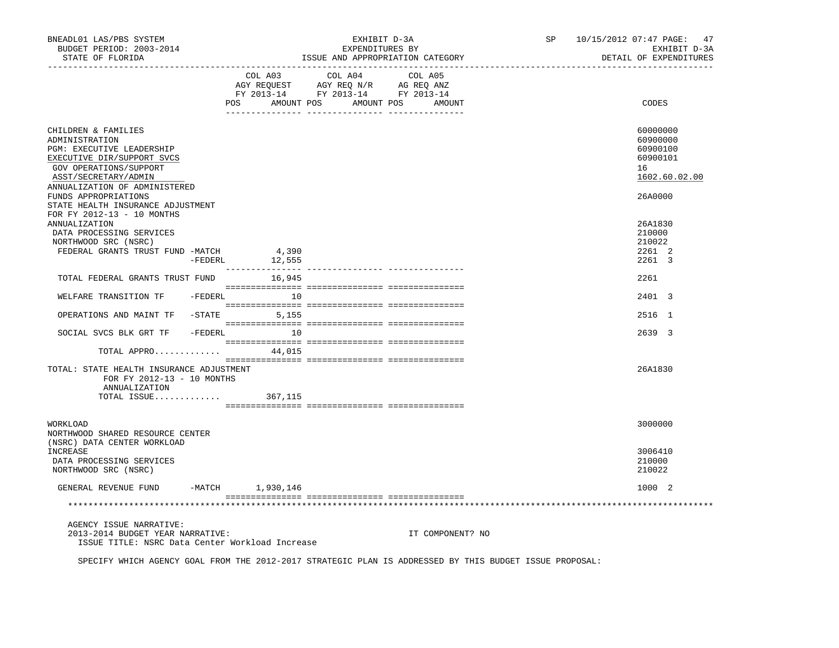| BNEADL01 LAS/PBS SYSTEM<br>BUDGET PERIOD: 2003-2014<br>STATE OF FLORIDA                                                                                                                                |           |                            | EXHIBIT D-3A<br>EXPENDITURES BY<br>ISSUE AND APPROPRIATION CATEGORY                                                           |                  | SP 10/15/2012 07:47 PAGE: 47<br>EXHIBIT D-3A<br>DETAIL OF EXPENDITURES |
|--------------------------------------------------------------------------------------------------------------------------------------------------------------------------------------------------------|-----------|----------------------------|-------------------------------------------------------------------------------------------------------------------------------|------------------|------------------------------------------------------------------------|
|                                                                                                                                                                                                        |           | COL A03                    | COL A04 COL A05<br>AGY REQUEST AGY REQ N/R AG REQ ANZ<br>FY 2013-14 FY 2013-14 FY 2013-14<br>POS AMOUNT POS AMOUNT POS AMOUNT |                  | CODES                                                                  |
| CHILDREN & FAMILIES<br>ADMINISTRATION<br><b>PGM: EXECUTIVE LEADERSHIP</b><br>EXECUTIVE DIR/SUPPORT SVCS<br>GOV OPERATIONS/SUPPORT<br>ASST/SECRETARY/ADMIN<br>ANNUALIZATION OF ADMINISTERED             |           |                            |                                                                                                                               |                  | 60000000<br>60900000<br>60900100<br>60900101<br>16<br>1602.60.02.00    |
| FUNDS APPROPRIATIONS<br>STATE HEALTH INSURANCE ADJUSTMENT<br>FOR FY 2012-13 - 10 MONTHS<br>ANNUALIZATION<br>DATA PROCESSING SERVICES<br>NORTHWOOD SRC (NSRC)<br>FEDERAL GRANTS TRUST FUND -MATCH 4,390 |           |                            |                                                                                                                               |                  | 26A0000<br>26A1830<br>210000<br>210022<br>2261 2                       |
| TOTAL FEDERAL GRANTS TRUST FUND 16,945                                                                                                                                                                 | $-FEDERL$ | 12,555<br>________________ |                                                                                                                               |                  | 2261 3<br>2261                                                         |
| WELFARE TRANSITION TF -FEDERL 10                                                                                                                                                                       |           |                            |                                                                                                                               |                  | 2401 3                                                                 |
| OPERATIONS AND MAINT TF -STATE 5,155                                                                                                                                                                   |           |                            |                                                                                                                               |                  | 2516 1                                                                 |
| SOCIAL SVCS BLK GRT TF - FEDERL 10<br>TOTAL APPRO $44,015$                                                                                                                                             |           |                            |                                                                                                                               |                  | 2639 3                                                                 |
| TOTAL: STATE HEALTH INSURANCE ADJUSTMENT<br>FOR FY 2012-13 - 10 MONTHS<br>ANNUALIZATION<br>TOTAL ISSUE $367,115$                                                                                       |           |                            |                                                                                                                               |                  | 26A1830                                                                |
| WORKLOAD<br>NORTHWOOD SHARED RESOURCE CENTER<br>(NSRC) DATA CENTER WORKLOAD                                                                                                                            |           |                            |                                                                                                                               |                  | 3000000                                                                |
| INCREASE<br>DATA PROCESSING SERVICES<br>NORTHWOOD SRC (NSRC)                                                                                                                                           |           |                            |                                                                                                                               |                  | 3006410<br>210000<br>210022                                            |
| GENERAL REVENUE FUND                                                                                                                                                                                   |           | -MATCH 1,930,146           |                                                                                                                               |                  | 1000 2                                                                 |
|                                                                                                                                                                                                        |           |                            |                                                                                                                               |                  |                                                                        |
| AGENCY ISSUE NARRATIVE:<br>2013-2014 BUDGET YEAR NARRATIVE:<br>ISSUE TITLE: NSRC Data Center Workload Increase                                                                                         |           |                            |                                                                                                                               | IT COMPONENT? NO |                                                                        |
| SPECIFY WHICH AGENCY GOAL FROM THE 2012-2017 STRATEGIC PLAN IS ADDRESSED BY THIS BUDGET ISSUE PROPOSAL:                                                                                                |           |                            |                                                                                                                               |                  |                                                                        |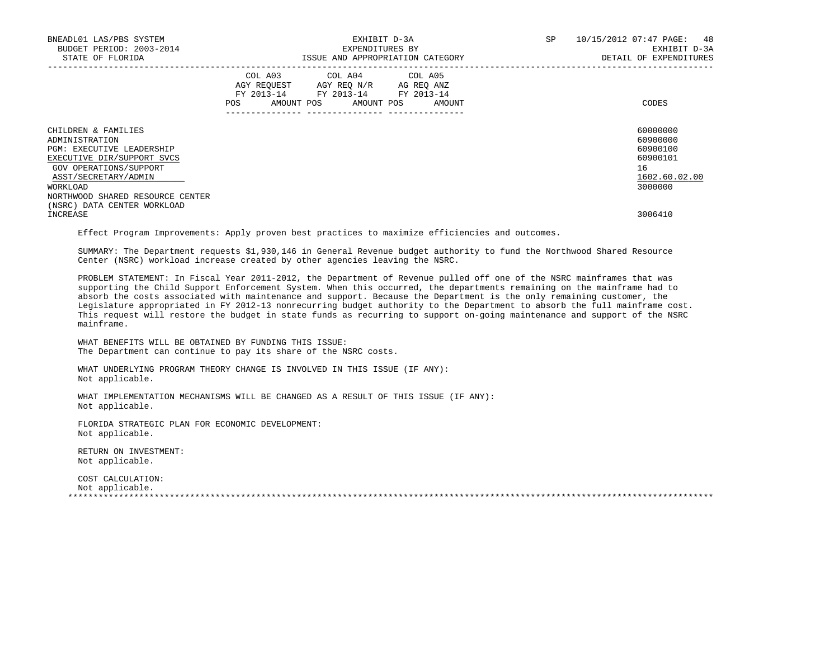| BNEADL01 LAS/PBS SYSTEM<br>BUDGET PERIOD: 2003-2014<br>STATE OF FLORIDA                                                                                                                                                                  | EXHIBIT D-3A<br>EXPENDITURES BY<br>ISSUE AND APPROPRIATION CATEGORY                                                                         | SP<br>48<br>10/15/2012 07:47 PAGE:<br>EXHIBIT D-3A<br>DETAIL OF EXPENDITURES   |
|------------------------------------------------------------------------------------------------------------------------------------------------------------------------------------------------------------------------------------------|---------------------------------------------------------------------------------------------------------------------------------------------|--------------------------------------------------------------------------------|
|                                                                                                                                                                                                                                          | COL A03 COL A04 COL A05<br>AGY REQUEST AGY REQ N/R AG REQ ANZ<br>FY 2013-14 FY 2013-14 FY 2013-14<br>AMOUNT POS AMOUNT POS<br>POS<br>AMOUNT | CODES                                                                          |
| CHILDREN & FAMILIES<br>ADMINISTRATION<br><b>PGM: EXECUTIVE LEADERSHIP</b><br>EXECUTIVE DIR/SUPPORT SVCS<br>GOV OPERATIONS/SUPPORT<br>ASST/SECRETARY/ADMIN<br>WORKLOAD<br>NORTHWOOD SHARED RESOURCE CENTER<br>(NSRC) DATA CENTER WORKLOAD |                                                                                                                                             | 60000000<br>60900000<br>60900100<br>60900101<br>16<br>1602.60.02.00<br>3000000 |
| INCREASE                                                                                                                                                                                                                                 |                                                                                                                                             | 3006410                                                                        |

Effect Program Improvements: Apply proven best practices to maximize efficiencies and outcomes.

 SUMMARY: The Department requests \$1,930,146 in General Revenue budget authority to fund the Northwood Shared Resource Center (NSRC) workload increase created by other agencies leaving the NSRC.

 PROBLEM STATEMENT: In Fiscal Year 2011-2012, the Department of Revenue pulled off one of the NSRC mainframes that was supporting the Child Support Enforcement System. When this occurred, the departments remaining on the mainframe had to absorb the costs associated with maintenance and support. Because the Department is the only remaining customer, the Legislature appropriated in FY 2012-13 nonrecurring budget authority to the Department to absorb the full mainframe cost. This request will restore the budget in state funds as recurring to support on-going maintenance and support of the NSRC mainframe.

 WHAT BENEFITS WILL BE OBTAINED BY FUNDING THIS ISSUE: The Department can continue to pay its share of the NSRC costs.

WHAT UNDERLYING PROGRAM THEORY CHANGE IS INVOLVED IN THIS ISSUE (IF ANY): Not applicable.

 WHAT IMPLEMENTATION MECHANISMS WILL BE CHANGED AS A RESULT OF THIS ISSUE (IF ANY): Not applicable.

 FLORIDA STRATEGIC PLAN FOR ECONOMIC DEVELOPMENT: Not applicable.

 RETURN ON INVESTMENT: Not applicable.

 COST CALCULATION: Not applicable. \*\*\*\*\*\*\*\*\*\*\*\*\*\*\*\*\*\*\*\*\*\*\*\*\*\*\*\*\*\*\*\*\*\*\*\*\*\*\*\*\*\*\*\*\*\*\*\*\*\*\*\*\*\*\*\*\*\*\*\*\*\*\*\*\*\*\*\*\*\*\*\*\*\*\*\*\*\*\*\*\*\*\*\*\*\*\*\*\*\*\*\*\*\*\*\*\*\*\*\*\*\*\*\*\*\*\*\*\*\*\*\*\*\*\*\*\*\*\*\*\*\*\*\*\*\*\*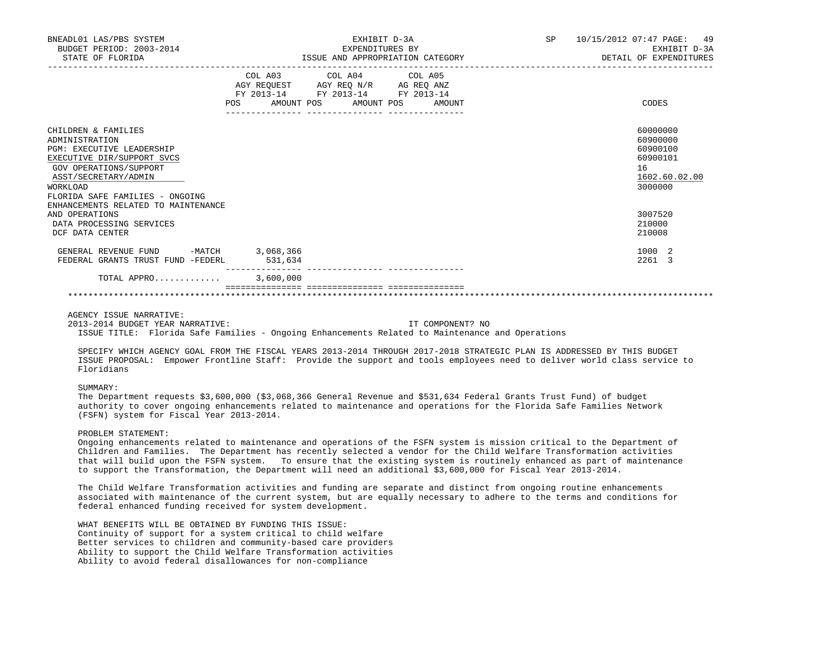| BNEADL01 LAS/PBS SYSTEM<br>BUDGET PERIOD: 2003-2014<br>STATE OF FLORIDA                                                                                                                                  | ISSUE AND APPROPRIATION CATEGORY | EXHIBIT D-3A<br>EXPENDITURES BY                                                                                                   | <b>SP</b><br>10/15/2012 07:47 PAGE: 49<br>EXHIBIT D-3A<br>DETAIL OF EXPENDITURES |                                                                                |
|----------------------------------------------------------------------------------------------------------------------------------------------------------------------------------------------------------|----------------------------------|-----------------------------------------------------------------------------------------------------------------------------------|----------------------------------------------------------------------------------|--------------------------------------------------------------------------------|
|                                                                                                                                                                                                          | <b>POS</b>                       | COL A03 COL A04 COL A05<br>AGY REQUEST AGY REQ N/R AG REQ ANZ<br>FY 2013-14 FY 2013-14 FY 2013-14<br>AMOUNT POS AMOUNT POS AMOUNT |                                                                                  | CODES                                                                          |
| CHILDREN & FAMILIES<br>ADMINISTRATION<br><b>PGM: EXECUTIVE LEADERSHIP</b><br>EXECUTIVE DIR/SUPPORT SVCS<br>GOV OPERATIONS/SUPPORT<br>ASST/SECRETARY/ADMIN<br>WORKLOAD<br>FLORIDA SAFE FAMILIES - ONGOING |                                  |                                                                                                                                   |                                                                                  | 60000000<br>60900000<br>60900100<br>60900101<br>16<br>1602.60.02.00<br>3000000 |
| ENHANCEMENTS RELATED TO MAINTENANCE<br>AND OPERATIONS<br>DATA PROCESSING SERVICES<br>DCF DATA CENTER                                                                                                     |                                  |                                                                                                                                   |                                                                                  | 3007520<br>210000<br>210008                                                    |
| GENERAL REVENUE FUND<br>FEDERAL GRANTS TRUST FUND -FEDERL                                                                                                                                                | -MATCH 3,068,366<br>531,634      |                                                                                                                                   |                                                                                  | 1000 2<br>2261 3                                                               |
| TOTAL APPRO                                                                                                                                                                                              | 3,600,000                        |                                                                                                                                   |                                                                                  |                                                                                |

\*\*\*\*\*\*\*\*\*\*\*\*\*\*\*\*\*\*\*\*\*\*\*\*\*\*\*\*\*\*\*\*\*\*\*\*\*\*\*\*\*\*\*\*\*\*\*\*\*\*\*\*\*\*\*\*\*\*\*\*\*\*\*\*\*\*\*\*\*\*\*\*\*\*\*\*\*\*\*\*\*\*\*\*\*\*\*\*\*\*\*\*\*\*\*\*\*\*\*\*\*\*\*\*\*\*\*\*\*\*\*\*\*\*\*\*\*\*\*\*\*\*\*\*\*\*\*

# AGENCY ISSUE NARRATIVE:

 2013-2014 BUDGET YEAR NARRATIVE: IT COMPONENT? NO ISSUE TITLE: Florida Safe Families - Ongoing Enhancements Related to Maintenance and Operations

 SPECIFY WHICH AGENCY GOAL FROM THE FISCAL YEARS 2013-2014 THROUGH 2017-2018 STRATEGIC PLAN IS ADDRESSED BY THIS BUDGET ISSUE PROPOSAL: Empower Frontline Staff: Provide the support and tools employees need to deliver world class service to Floridians

## SUMMARY:

 The Department requests \$3,600,000 (\$3,068,366 General Revenue and \$531,634 Federal Grants Trust Fund) of budget authority to cover ongoing enhancements related to maintenance and operations for the Florida Safe Families Network (FSFN) system for Fiscal Year 2013-2014.

# PROBLEM STATEMENT:

 Ongoing enhancements related to maintenance and operations of the FSFN system is mission critical to the Department of Children and Families. The Department has recently selected a vendor for the Child Welfare Transformation activities that will build upon the FSFN system. To ensure that the existing system is routinely enhanced as part of maintenance to support the Transformation, the Department will need an additional \$3,600,000 for Fiscal Year 2013-2014.

 The Child Welfare Transformation activities and funding are separate and distinct from ongoing routine enhancements associated with maintenance of the current system, but are equally necessary to adhere to the terms and conditions for federal enhanced funding received for system development.

 WHAT BENEFITS WILL BE OBTAINED BY FUNDING THIS ISSUE: Continuity of support for a system critical to child welfare Better services to children and community-based care providers Ability to support the Child Welfare Transformation activities Ability to avoid federal disallowances for non-compliance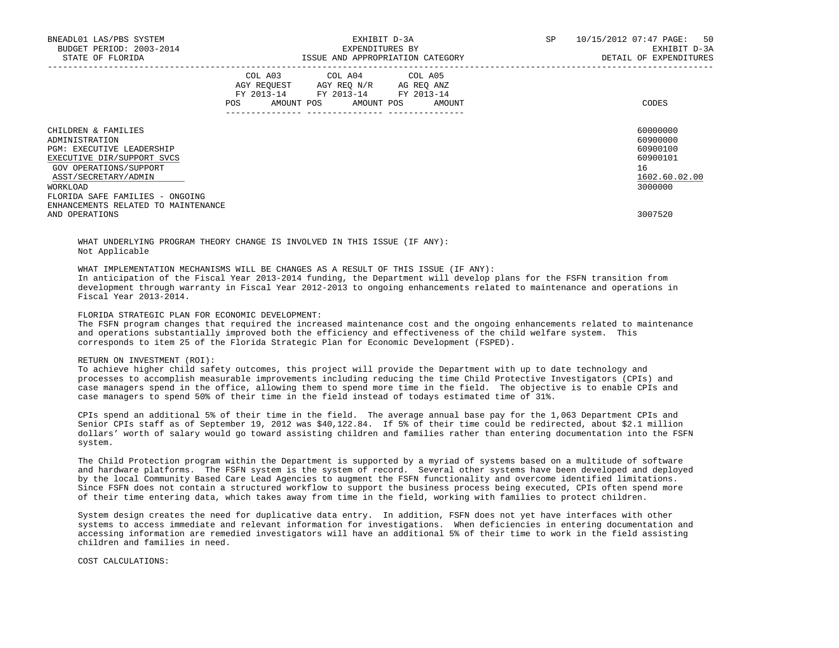| BNEADL01 LAS/PBS SYSTEM<br>BUDGET PERIOD: 2003-2014<br>STATE OF FLORIDA                                                                                                                                  |     | EXHIBIT D-3A<br>EXPENDITURES BY<br>ISSUE AND APPROPRIATION CATEGORY                                                        | SP<br>10/15/2012 07:47 PAGE: | 50<br>EXHIBIT D-3A<br>DETAIL OF EXPENDITURES |                                                                                |
|----------------------------------------------------------------------------------------------------------------------------------------------------------------------------------------------------------|-----|----------------------------------------------------------------------------------------------------------------------------|------------------------------|----------------------------------------------|--------------------------------------------------------------------------------|
|                                                                                                                                                                                                          | POS | COL A03 COL A04 COL A05<br>AGY REOUEST AGY REO N/R AG REO ANZ<br>FY 2013-14 FY 2013-14 FY 2013-14<br>AMOUNT POS AMOUNT POS | AMOUNT                       |                                              | CODES                                                                          |
| CHILDREN & FAMILIES<br>ADMINISTRATION<br><b>PGM: EXECUTIVE LEADERSHIP</b><br>EXECUTIVE DIR/SUPPORT SVCS<br>GOV OPERATIONS/SUPPORT<br>ASST/SECRETARY/ADMIN<br>WORKLOAD<br>FLORIDA SAFE FAMILIES - ONGOING |     |                                                                                                                            |                              |                                              | 60000000<br>60900000<br>60900100<br>60900101<br>16<br>1602.60.02.00<br>3000000 |
| ENHANCEMENTS RELATED TO MAINTENANCE<br>AND OPERATIONS                                                                                                                                                    |     |                                                                                                                            |                              |                                              | 3007520                                                                        |

 WHAT UNDERLYING PROGRAM THEORY CHANGE IS INVOLVED IN THIS ISSUE (IF ANY): Not Applicable

 WHAT IMPLEMENTATION MECHANISMS WILL BE CHANGES AS A RESULT OF THIS ISSUE (IF ANY): In anticipation of the Fiscal Year 2013-2014 funding, the Department will develop plans for the FSFN transition from development through warranty in Fiscal Year 2012-2013 to ongoing enhancements related to maintenance and operations in Fiscal Year 2013-2014.

## FLORIDA STRATEGIC PLAN FOR ECONOMIC DEVELOPMENT:

 The FSFN program changes that required the increased maintenance cost and the ongoing enhancements related to maintenance and operations substantially improved both the efficiency and effectiveness of the child welfare system. This corresponds to item 25 of the Florida Strategic Plan for Economic Development (FSPED).

## RETURN ON INVESTMENT (ROI):

 To achieve higher child safety outcomes, this project will provide the Department with up to date technology and processes to accomplish measurable improvements including reducing the time Child Protective Investigators (CPIs) and case managers spend in the office, allowing them to spend more time in the field. The objective is to enable CPIs and case managers to spend 50% of their time in the field instead of todays estimated time of 31%.

 CPIs spend an additional 5% of their time in the field. The average annual base pay for the 1,063 Department CPIs and Senior CPIs staff as of September 19, 2012 was \$40,122.84. If 5% of their time could be redirected, about \$2.1 million dollars' worth of salary would go toward assisting children and families rather than entering documentation into the FSFN system.

 The Child Protection program within the Department is supported by a myriad of systems based on a multitude of software and hardware platforms. The FSFN system is the system of record. Several other systems have been developed and deployed by the local Community Based Care Lead Agencies to augment the FSFN functionality and overcome identified limitations. Since FSFN does not contain a structured workflow to support the business process being executed, CPIs often spend more of their time entering data, which takes away from time in the field, working with families to protect children.

 System design creates the need for duplicative data entry. In addition, FSFN does not yet have interfaces with other systems to access immediate and relevant information for investigations. When deficiencies in entering documentation and accessing information are remedied investigators will have an additional 5% of their time to work in the field assisting children and families in need.

## COST CALCULATIONS: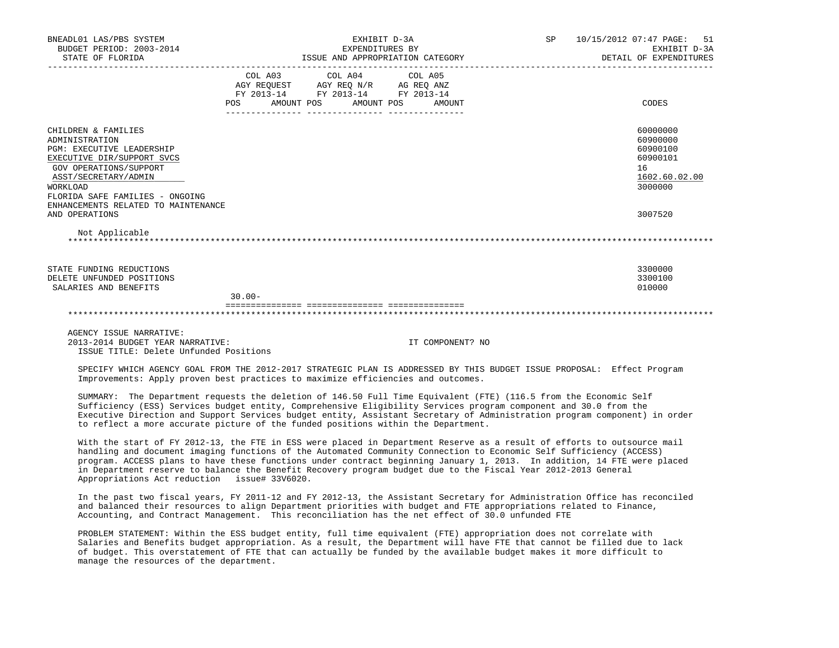| BNEADL01 LAS/PBS SYSTEM<br>BUDGET PERIOD: 2003-2014<br>STATE OF FLORIDA <b>15SUE AND APPROPRIATION CATEGORY</b> DETAIL OF EXPENDITURES                                                                                                                                                                                                                                                                                                                                                                                                     |           |                                                                                                                               | EXHIBIT D-3A<br>EXPENDITURES BY |         |                  | SP and the set of the set of the set of the set of the set of the set of the set of the set of the set of the set of the set of the set of the set of the set of the set of the set of the set of the set of the set of the se | 10/15/2012 07:47 PAGE:<br>51<br>EXHIBIT D-3A                                              |
|--------------------------------------------------------------------------------------------------------------------------------------------------------------------------------------------------------------------------------------------------------------------------------------------------------------------------------------------------------------------------------------------------------------------------------------------------------------------------------------------------------------------------------------------|-----------|-------------------------------------------------------------------------------------------------------------------------------|---------------------------------|---------|------------------|--------------------------------------------------------------------------------------------------------------------------------------------------------------------------------------------------------------------------------|-------------------------------------------------------------------------------------------|
|                                                                                                                                                                                                                                                                                                                                                                                                                                                                                                                                            |           | COL A03 COL A04<br>AGY REQUEST AGY REQ N/R AG REQ ANZ<br>FY 2013-14 FY 2013-14 FY 2013-14<br>POS AMOUNT POS AMOUNT POS AMOUNT |                                 | COL A05 |                  |                                                                                                                                                                                                                                | CODES                                                                                     |
| CHILDREN & FAMILIES<br>ADMINISTRATION<br>PGM: EXECUTIVE LEADERSHIP<br>EXECUTIVE DIR/SUPPORT SVCS<br>GOV OPERATIONS/SUPPORT<br>ASST/SECRETARY/ADMIN<br><b>WORKLOAD</b><br>FLORIDA SAFE FAMILIES - ONGOING<br>ENHANCEMENTS RELATED TO MAINTENANCE<br>AND OPERATIONS                                                                                                                                                                                                                                                                          |           |                                                                                                                               |                                 |         |                  |                                                                                                                                                                                                                                | 60000000<br>60900000<br>60900100<br>60900101<br>16<br>1602.60.02.00<br>3000000<br>3007520 |
| Not Applicable                                                                                                                                                                                                                                                                                                                                                                                                                                                                                                                             |           |                                                                                                                               |                                 |         |                  |                                                                                                                                                                                                                                |                                                                                           |
| STATE FUNDING REDUCTIONS<br>DELETE UNFUNDED POSITIONS<br>SALARIES AND BENEFITS                                                                                                                                                                                                                                                                                                                                                                                                                                                             | $30.00 -$ |                                                                                                                               |                                 |         |                  |                                                                                                                                                                                                                                | 3300000<br>3300100<br>010000                                                              |
|                                                                                                                                                                                                                                                                                                                                                                                                                                                                                                                                            |           |                                                                                                                               |                                 |         |                  |                                                                                                                                                                                                                                |                                                                                           |
| AGENCY ISSUE NARRATIVE:<br>2013-2014 BUDGET YEAR NARRATIVE:<br>ISSUE TITLE: Delete Unfunded Positions                                                                                                                                                                                                                                                                                                                                                                                                                                      |           |                                                                                                                               |                                 |         | IT COMPONENT? NO |                                                                                                                                                                                                                                |                                                                                           |
| SPECIFY WHICH AGENCY GOAL FROM THE 2012-2017 STRATEGIC PLAN IS ADDRESSED BY THIS BUDGET ISSUE PROPOSAL: Effect Program<br>Improvements: Apply proven best practices to maximize efficiencies and outcomes.                                                                                                                                                                                                                                                                                                                                 |           |                                                                                                                               |                                 |         |                  |                                                                                                                                                                                                                                |                                                                                           |
| SUMMARY: The Department requests the deletion of 146.50 Full Time Equivalent (FTE) (116.5 from the Economic Self<br>Sufficiency (ESS) Services budget entity, Comprehensive Eligibility Services program component and 30.0 from the<br>Executive Direction and Support Services budget entity, Assistant Secretary of Administration program component) in order<br>to reflect a more accurate picture of the funded positions within the Department.                                                                                     |           |                                                                                                                               |                                 |         |                  |                                                                                                                                                                                                                                |                                                                                           |
| With the start of FY 2012-13, the FTE in ESS were placed in Department Reserve as a result of efforts to outsource mail<br>handling and document imaging functions of the Automated Community Connection to Economic Self Sufficiency (ACCESS)<br>program. ACCESS plans to have these functions under contract beginning January 1, 2013. In addition, 14 FTE were placed<br>in Department reserve to balance the Benefit Recovery program budget due to the Fiscal Year 2012-2013 General<br>Appropriations Act reduction issue# 33V6020. |           |                                                                                                                               |                                 |         |                  |                                                                                                                                                                                                                                |                                                                                           |
| In the past two fiscal years, FY 2011-12 and FY 2012-13, the Assistant Secretary for Administration Office has reconciled                                                                                                                                                                                                                                                                                                                                                                                                                  |           |                                                                                                                               |                                 |         |                  |                                                                                                                                                                                                                                |                                                                                           |

 Accounting, and Contract Management. This reconciliation has the net effect of 30.0 unfunded FTE PROBLEM STATEMENT: Within the ESS budget entity, full time equivalent (FTE) appropriation does not correlate with Salaries and Benefits budget appropriation. As a result, the Department will have FTE that cannot be filled due to lack of budget. This overstatement of FTE that can actually be funded by the available budget makes it more difficult to manage the resources of the department.

and balanced their resources to align Department priorities with budget and FTE appropriations related to Finance,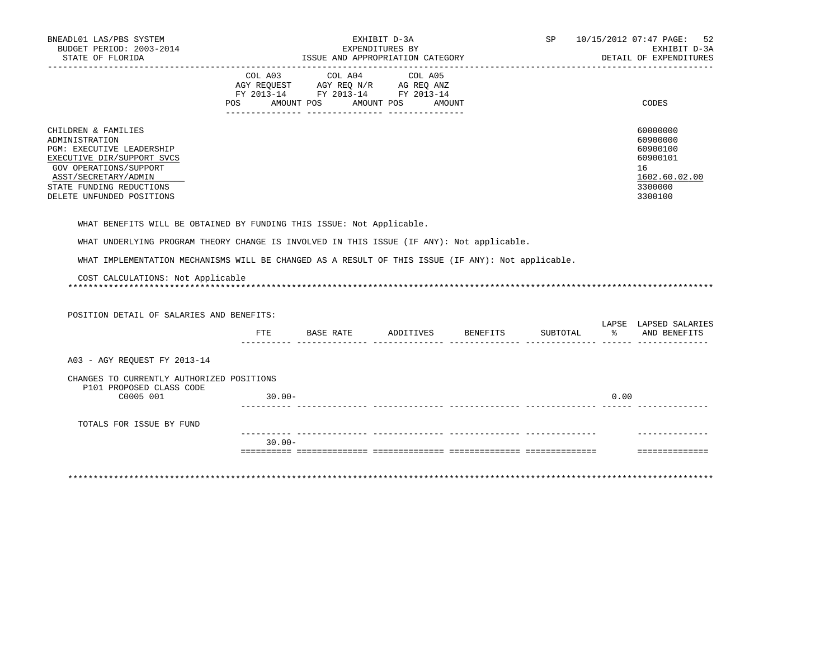| BNEADL01 LAS/PBS SYSTEM<br>BUDGET PERIOD: 2003-2014<br>STATE OF FLORIDA                                                                                                                                     |           |                                                                                                   | EXHIBIT D-3A<br>EXPENDITURES BY<br>ISSUE AND APPROPRIATION CATEGORY |          |                  | SP 10/15/2012 07:47 PAGE: 52<br>EXHIBIT D-3A<br>DETAIL OF EXPENDITURES                    |
|-------------------------------------------------------------------------------------------------------------------------------------------------------------------------------------------------------------|-----------|---------------------------------------------------------------------------------------------------|---------------------------------------------------------------------|----------|------------------|-------------------------------------------------------------------------------------------|
|                                                                                                                                                                                                             |           | COL A03 COL A04 COL A05<br>AGY REQUEST AGY REQ N/R AG REQ ANZ<br>FY 2013-14 FY 2013-14 FY 2013-14 |                                                                     |          |                  |                                                                                           |
|                                                                                                                                                                                                             |           | POS AMOUNT POS AMOUNT POS AMOUNT                                                                  |                                                                     |          |                  | CODES                                                                                     |
| CHILDREN & FAMILIES<br>ADMINISTRATION<br>PGM: EXECUTIVE LEADERSHIP<br>EXECUTIVE DIR/SUPPORT SVCS<br>GOV OPERATIONS/SUPPORT<br>ASST/SECRETARY/ADMIN<br>STATE FUNDING REDUCTIONS<br>DELETE UNFUNDED POSITIONS |           |                                                                                                   |                                                                     |          |                  | 60000000<br>60900000<br>60900100<br>60900101<br>16<br>1602.60.02.00<br>3300000<br>3300100 |
| WHAT BENEFITS WILL BE OBTAINED BY FUNDING THIS ISSUE: Not Applicable.                                                                                                                                       |           |                                                                                                   |                                                                     |          |                  |                                                                                           |
| WHAT UNDERLYING PROGRAM THEORY CHANGE IS INVOLVED IN THIS ISSUE (IF ANY): Not applicable.                                                                                                                   |           |                                                                                                   |                                                                     |          |                  |                                                                                           |
| WHAT IMPLEMENTATION MECHANISMS WILL BE CHANGED AS A RESULT OF THIS ISSUE (IF ANY): Not applicable.                                                                                                          |           |                                                                                                   |                                                                     |          |                  |                                                                                           |
| COST CALCULATIONS: Not Applicable                                                                                                                                                                           |           |                                                                                                   |                                                                     |          |                  |                                                                                           |
| POSITION DETAIL OF SALARIES AND BENEFITS:                                                                                                                                                                   |           |                                                                                                   |                                                                     |          |                  | LAPSE LAPSED SALARIES                                                                     |
|                                                                                                                                                                                                             | FTE       | BASE RATE                                                                                         | ADDITIVES BENEFITS                                                  | SUBTOTAL | ------ ------ -- | % AND BENEFITS                                                                            |
| A03 - AGY REQUEST FY 2013-14                                                                                                                                                                                |           |                                                                                                   |                                                                     |          |                  |                                                                                           |
| CHANGES TO CURRENTLY AUTHORIZED POSITIONS<br>P101 PROPOSED CLASS CODE                                                                                                                                       |           |                                                                                                   |                                                                     |          |                  |                                                                                           |
| C0005 001                                                                                                                                                                                                   | $30.00 -$ |                                                                                                   |                                                                     |          | 0.00             |                                                                                           |
| TOTALS FOR ISSUE BY FUND                                                                                                                                                                                    |           |                                                                                                   |                                                                     |          |                  |                                                                                           |
|                                                                                                                                                                                                             | $30.00 -$ | ----------- -----------                                                                           |                                                                     |          |                  |                                                                                           |
|                                                                                                                                                                                                             |           |                                                                                                   |                                                                     |          |                  | ---------------                                                                           |
|                                                                                                                                                                                                             |           |                                                                                                   |                                                                     |          |                  |                                                                                           |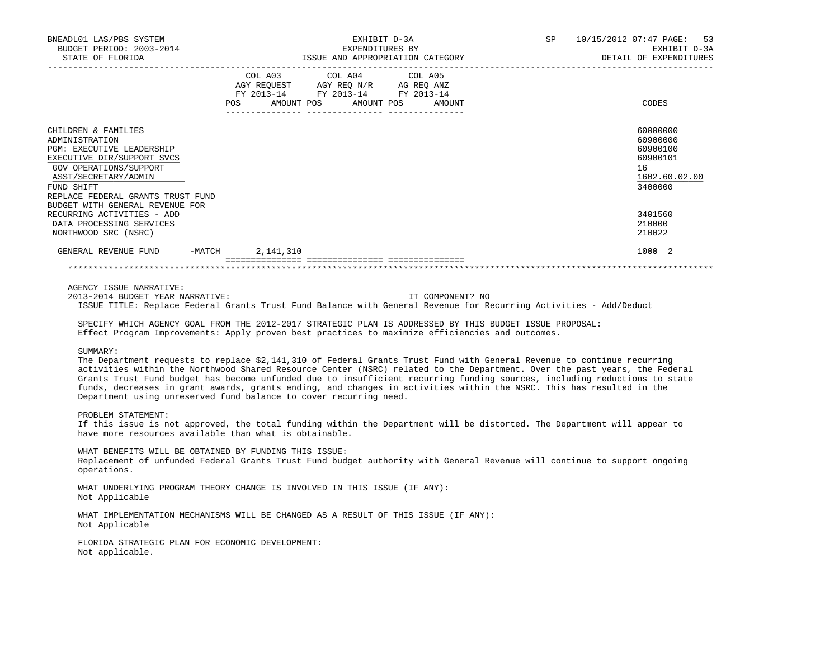| BNEADL01 LAS/PBS SYSTEM<br>BUDGET PERIOD: 2003-2014<br>STATE OF FLORIDA                                                                                                                                                                                                                                                                                                                                                                                                                                                              | EXHIBIT D-3A<br>EXPENDITURES BY  |                                                                        |         |                  | SP 10/15/2012 07:47 PAGE: 53<br>EXHIBIT D-3A<br>DETAIL OF EXPENDITURES                    |  |  |
|--------------------------------------------------------------------------------------------------------------------------------------------------------------------------------------------------------------------------------------------------------------------------------------------------------------------------------------------------------------------------------------------------------------------------------------------------------------------------------------------------------------------------------------|----------------------------------|------------------------------------------------------------------------|---------|------------------|-------------------------------------------------------------------------------------------|--|--|
|                                                                                                                                                                                                                                                                                                                                                                                                                                                                                                                                      |                                  |                                                                        |         |                  |                                                                                           |  |  |
|                                                                                                                                                                                                                                                                                                                                                                                                                                                                                                                                      |                                  | COL A03 COL A04                                                        | COL A05 |                  |                                                                                           |  |  |
|                                                                                                                                                                                                                                                                                                                                                                                                                                                                                                                                      |                                  | AGY REQUEST AGY REQ N/R AG REQ ANZ<br>FY 2013-14 FY 2013-14 FY 2013-14 |         |                  |                                                                                           |  |  |
|                                                                                                                                                                                                                                                                                                                                                                                                                                                                                                                                      | POS AMOUNT POS AMOUNT POS AMOUNT |                                                                        |         |                  | CODES                                                                                     |  |  |
| CHILDREN & FAMILIES<br>ADMINISTRATION<br>PGM: EXECUTIVE LEADERSHIP<br>EXECUTIVE DIR/SUPPORT SVCS<br>GOV OPERATIONS/SUPPORT<br>ASST/SECRETARY/ADMIN<br>FUND SHIFT<br>REPLACE FEDERAL GRANTS TRUST FUND<br>BUDGET WITH GENERAL REVENUE FOR<br>RECURRING ACTIVITIES - ADD                                                                                                                                                                                                                                                               |                                  |                                                                        |         |                  | 60000000<br>60900000<br>60900100<br>60900101<br>16<br>1602.60.02.00<br>3400000<br>3401560 |  |  |
| DATA PROCESSING SERVICES                                                                                                                                                                                                                                                                                                                                                                                                                                                                                                             |                                  |                                                                        |         |                  | 210000                                                                                    |  |  |
| NORTHWOOD SRC (NSRC)                                                                                                                                                                                                                                                                                                                                                                                                                                                                                                                 |                                  |                                                                        |         |                  | 210022                                                                                    |  |  |
| GENERAL REVENUE FUND -MATCH 2,141,310                                                                                                                                                                                                                                                                                                                                                                                                                                                                                                |                                  |                                                                        |         |                  | 1000 2                                                                                    |  |  |
| AGENCY ISSUE NARRATIVE:<br>2013-2014 BUDGET YEAR NARRATIVE:<br>ISSUE TITLE: Replace Federal Grants Trust Fund Balance with General Revenue for Recurring Activities - Add/Deduct<br>SPECIFY WHICH AGENCY GOAL FROM THE 2012-2017 STRATEGIC PLAN IS ADDRESSED BY THIS BUDGET ISSUE PROPOSAL:<br>Effect Program Improvements: Apply proven best practices to maximize efficiencies and outcomes.<br>SUMMARY:<br>The Department requests to replace \$2,141,310 of Federal Grants Trust Fund with General Revenue to continue recurring |                                  |                                                                        |         | IT COMPONENT? NO |                                                                                           |  |  |
| activities within the Northwood Shared Resource Center (NSRC) related to the Department. Over the past years, the Federal<br>Grants Trust Fund budget has become unfunded due to insufficient recurring funding sources, including reductions to state<br>funds, decreases in grant awards, grants ending, and changes in activities within the NSRC. This has resulted in the<br>Department using unreserved fund balance to cover recurring need.                                                                                  |                                  |                                                                        |         |                  |                                                                                           |  |  |
| PROBLEM STATEMENT:<br>If this issue is not approved, the total funding within the Department will be distorted. The Department will appear to<br>have more resources available than what is obtainable.                                                                                                                                                                                                                                                                                                                              |                                  |                                                                        |         |                  |                                                                                           |  |  |
| WHAT BENEFITS WILL BE OBTAINED BY FUNDING THIS ISSUE:<br>Replacement of unfunded Federal Grants Trust Fund budget authority with General Revenue will continue to support ongoing<br>operations.                                                                                                                                                                                                                                                                                                                                     |                                  |                                                                        |         |                  |                                                                                           |  |  |
| WHAT UNDERLYING PROGRAM THEORY CHANGE IS INVOLVED IN THIS ISSUE (IF ANY):<br>Not Applicable                                                                                                                                                                                                                                                                                                                                                                                                                                          |                                  |                                                                        |         |                  |                                                                                           |  |  |
| WHAT IMPLEMENTATION MECHANISMS WILL BE CHANGED AS A RESULT OF THIS ISSUE (IF ANY):<br>Not Applicable                                                                                                                                                                                                                                                                                                                                                                                                                                 |                                  |                                                                        |         |                  |                                                                                           |  |  |
| FLORIDA STRATEGIC PLAN FOR ECONOMIC DEVELOPMENT:<br>Not applicable.                                                                                                                                                                                                                                                                                                                                                                                                                                                                  |                                  |                                                                        |         |                  |                                                                                           |  |  |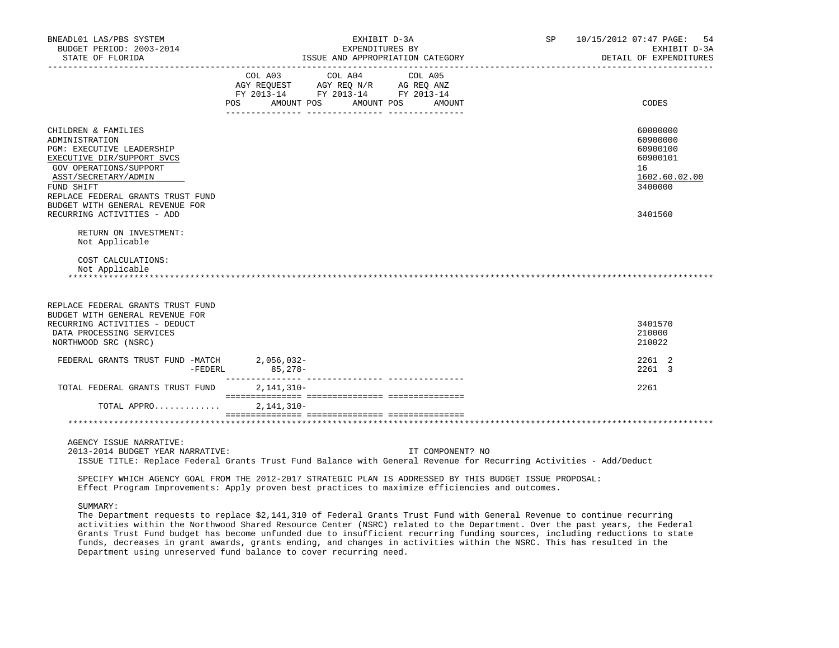| BNEADL01 LAS/PBS SYSTEM<br>BUDGET PERIOD: 2003-2014<br>STATE OF FLORIDA                                                                                                                                                                                                |              | EXHIBIT D-3A<br>EXPENDITURES BY<br>ISSUE AND APPROPRIATION CATEGORY                                                        | SP 10/15/2012 07:47 PAGE:<br>54<br>EXHIBIT D-3A<br>DETAIL OF EXPENDITURES |                                                                                           |
|------------------------------------------------------------------------------------------------------------------------------------------------------------------------------------------------------------------------------------------------------------------------|--------------|----------------------------------------------------------------------------------------------------------------------------|---------------------------------------------------------------------------|-------------------------------------------------------------------------------------------|
|                                                                                                                                                                                                                                                                        | POS          | COL A03 COL A04 COL A05<br>AGY REQUEST AGY REQ N/R AG REQ ANZ<br>FY 2013-14 FY 2013-14 FY 2013-14<br>AMOUNT POS AMOUNT POS | AMOUNT                                                                    | CODES                                                                                     |
| CHILDREN & FAMILIES<br>ADMINISTRATION<br>PGM: EXECUTIVE LEADERSHIP<br>EXECUTIVE DIR/SUPPORT SVCS<br>GOV OPERATIONS/SUPPORT<br>ASST/SECRETARY/ADMIN<br>FUND SHIFT<br>REPLACE FEDERAL GRANTS TRUST FUND<br>BUDGET WITH GENERAL REVENUE FOR<br>RECURRING ACTIVITIES - ADD |              |                                                                                                                            |                                                                           | 60000000<br>60900000<br>60900100<br>60900101<br>16<br>1602.60.02.00<br>3400000<br>3401560 |
| RETURN ON INVESTMENT:<br>Not Applicable                                                                                                                                                                                                                                |              |                                                                                                                            |                                                                           |                                                                                           |
| COST CALCULATIONS:<br>Not Applicable                                                                                                                                                                                                                                   |              |                                                                                                                            |                                                                           |                                                                                           |
| REPLACE FEDERAL GRANTS TRUST FUND<br>BUDGET WITH GENERAL REVENUE FOR<br>RECURRING ACTIVITIES - DEDUCT<br>DATA PROCESSING SERVICES<br>NORTHWOOD SRC (NSRC)                                                                                                              |              |                                                                                                                            |                                                                           | 3401570<br>210000<br>210022                                                               |
| FEDERAL GRANTS TRUST FUND -MATCH 2,056,032-<br>$-FEDERL$                                                                                                                                                                                                               | $85,278-$    |                                                                                                                            |                                                                           | 2261 2<br>2261 3                                                                          |
| TOTAL FEDERAL GRANTS TRUST FUND                                                                                                                                                                                                                                        | 2, 141, 310- |                                                                                                                            |                                                                           | 2261                                                                                      |
| TOTAL APPRO                                                                                                                                                                                                                                                            | $2,141,310-$ |                                                                                                                            |                                                                           |                                                                                           |
|                                                                                                                                                                                                                                                                        |              |                                                                                                                            |                                                                           |                                                                                           |
| AGENCY ISSUE NARRATIVE:<br>2013-2014 BUDGET YEAR NARRATIVE:<br>ISSUE TITLE: Replace Federal Grants Trust Fund Balance with General Revenue for Recurring Activities - Add/Deduct                                                                                       |              |                                                                                                                            | IT COMPONENT? NO                                                          |                                                                                           |
| SPECIFY WHICH AGENCY GOAL FROM THE 2012-2017 STRATEGIC PLAN IS ADDRESSED BY THIS BUDGET ISSUE PROPOSAL:<br>Effect Program Improvements: Apply proven best practices to maximize efficiencies and outcomes.                                                             |              |                                                                                                                            |                                                                           |                                                                                           |
| SUMMARY:<br>The Department requests to replace \$2,141,310 of Federal Grants Trust Fund with General Revenue to continue recurring<br>activities within the Northwood Shared Resource Center (NSRC) related to the Department. Over the past years, the Federal        |              |                                                                                                                            |                                                                           |                                                                                           |

 activities within the Northwood Shared Resource Center (NSRC) related to the Department. Over the past years, the Federal Grants Trust Fund budget has become unfunded due to insufficient recurring funding sources, including reductions to state funds, decreases in grant awards, grants ending, and changes in activities within the NSRC. This has resulted in the Department using unreserved fund balance to cover recurring need.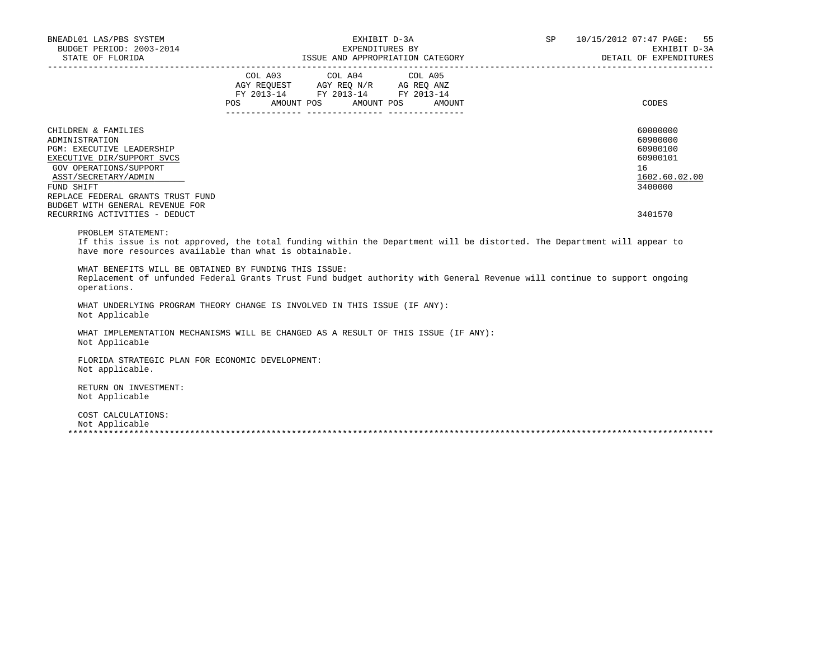| BNEADL01 LAS/PBS SYSTEM<br>BUDGET PERIOD: 2003-2014                                                                                                                                                                                                                                                                                                                                                         |     |                                                                                                                                                                                                                                      | EXHIBIT D-3A<br>EXPENDITURES BY | SP 10/15/2012 07:47 PAGE: 55<br>EXHIBIT D-3A<br>DETAIL OF EXPENDITURES         |
|-------------------------------------------------------------------------------------------------------------------------------------------------------------------------------------------------------------------------------------------------------------------------------------------------------------------------------------------------------------------------------------------------------------|-----|--------------------------------------------------------------------------------------------------------------------------------------------------------------------------------------------------------------------------------------|---------------------------------|--------------------------------------------------------------------------------|
|                                                                                                                                                                                                                                                                                                                                                                                                             | POS | COL A03 COL A04 COL A05<br>$\begin{tabular}{lllllll} \bf AGY \,\, REQUEST \,\, &\bf AGY \,\, REQ \,\, N/R &\bf AG \,\, REQ \,\, ANZ \\ \bf FY \,\, 2013-14 &\bf FY \,\, 2013-14 &\bf FY \,\, 2013-14 \\ \end{tabular}$<br>AMOUNT POS | AMOUNT POS<br>AMOUNT            | CODES                                                                          |
| CHILDREN & FAMILIES<br>ADMINISTRATION<br>PGM: EXECUTIVE LEADERSHIP<br>EXECUTIVE DIR/SUPPORT SVCS<br>GOV OPERATIONS/SUPPORT<br>ASST/SECRETARY/ADMIN<br>FUND SHIFT<br>REPLACE FEDERAL GRANTS TRUST FUND                                                                                                                                                                                                       |     |                                                                                                                                                                                                                                      |                                 | 60000000<br>60900000<br>60900100<br>60900101<br>16<br>1602.60.02.00<br>3400000 |
| BUDGET WITH GENERAL REVENUE FOR<br>RECURRING ACTIVITIES - DEDUCT                                                                                                                                                                                                                                                                                                                                            |     |                                                                                                                                                                                                                                      |                                 | 3401570                                                                        |
| PROBLEM STATEMENT:<br>If this issue is not approved, the total funding within the Department will be distorted. The Department will appear to<br>have more resources available than what is obtainable.<br>WHAT BENEFITS WILL BE OBTAINED BY FUNDING THIS ISSUE:<br>Replacement of unfunded Federal Grants Trust Fund budget authority with General Revenue will continue to support ongoing<br>operations. |     |                                                                                                                                                                                                                                      |                                 |                                                                                |
| WHAT UNDERLYING PROGRAM THEORY CHANGE IS INVOLVED IN THIS ISSUE (IF ANY):<br>Not Applicable                                                                                                                                                                                                                                                                                                                 |     |                                                                                                                                                                                                                                      |                                 |                                                                                |
| WHAT IMPLEMENTATION MECHANISMS WILL BE CHANGED AS A RESULT OF THIS ISSUE (IF ANY):<br>Not Applicable                                                                                                                                                                                                                                                                                                        |     |                                                                                                                                                                                                                                      |                                 |                                                                                |
| FLORIDA STRATEGIC PLAN FOR ECONOMIC DEVELOPMENT:<br>Not applicable.                                                                                                                                                                                                                                                                                                                                         |     |                                                                                                                                                                                                                                      |                                 |                                                                                |
| RETURN ON INVESTMENT:<br>Not Applicable                                                                                                                                                                                                                                                                                                                                                                     |     |                                                                                                                                                                                                                                      |                                 |                                                                                |
| COST CALCULATIONS:<br>Not Applicable                                                                                                                                                                                                                                                                                                                                                                        |     |                                                                                                                                                                                                                                      |                                 |                                                                                |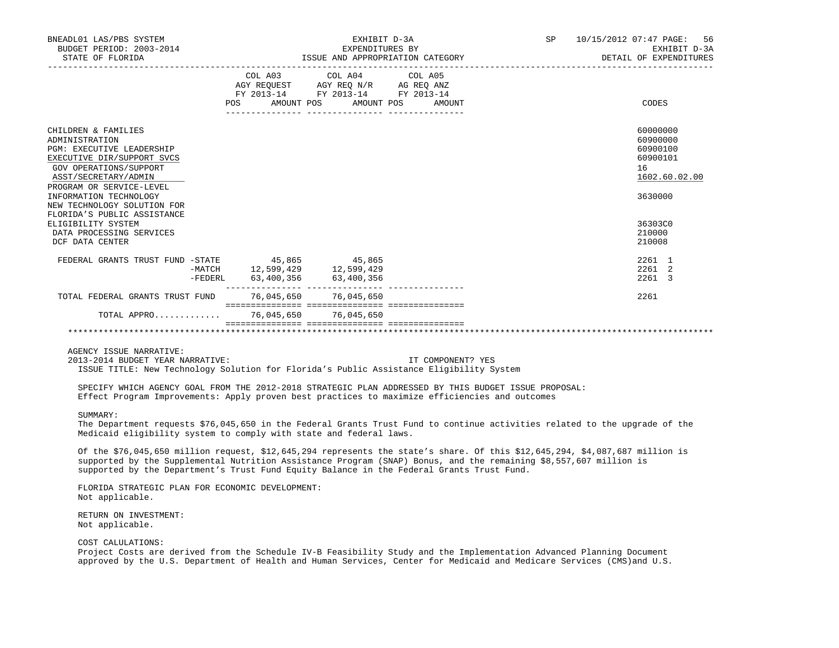| BNEADL01 LAS/PBS SYSTEM<br>BUDGET PERIOD: 2003-2014<br>STATE OF FLORIDA                                                                                                               |         |                                            | EXHIBIT D-3A<br>EXPENDITURES BY                                                                                           | ISSUE AND APPROPRIATION CATEGORY | SP <sub>2</sub> | 10/15/2012 07:47 PAGE:<br>56<br>EXHIBIT D-3A<br>DETAIL OF EXPENDITURES |
|---------------------------------------------------------------------------------------------------------------------------------------------------------------------------------------|---------|--------------------------------------------|---------------------------------------------------------------------------------------------------------------------------|----------------------------------|-----------------|------------------------------------------------------------------------|
|                                                                                                                                                                                       |         | COL A03<br>POS                             | COL A04 COL A05<br>AGY REQUEST AGY REQ N/R AG REQ ANZ<br>FY 2013-14 FY 2013-14 FY 2013-14<br>AMOUNT POS AMOUNT POS AMOUNT |                                  |                 | CODES                                                                  |
| CHILDREN & FAMILIES<br>ADMINISTRATION<br><b>PGM: EXECUTIVE LEADERSHIP</b><br>EXECUTIVE DIR/SUPPORT SVCS<br>GOV OPERATIONS/SUPPORT<br>ASST/SECRETARY/ADMIN<br>PROGRAM OR SERVICE-LEVEL |         |                                            |                                                                                                                           |                                  |                 | 60000000<br>60900000<br>60900100<br>60900101<br>16<br>1602.60.02.00    |
| INFORMATION TECHNOLOGY<br>NEW TECHNOLOGY SOLUTION FOR<br>FLORIDA'S PUBLIC ASSISTANCE                                                                                                  |         |                                            |                                                                                                                           |                                  |                 | 3630000                                                                |
| ELIGIBILITY SYSTEM<br>DATA PROCESSING SERVICES<br>DCF DATA CENTER                                                                                                                     |         |                                            |                                                                                                                           |                                  |                 | 36303C0<br>210000<br>210008                                            |
| FEDERAL GRANTS TRUST FUND -STATE 45,865 45,865                                                                                                                                        | -FEDERL | -MATCH 12,599,429 12,599,429<br>63,400,356 | 63,400,356                                                                                                                |                                  |                 | 2261 1<br>2261 2<br>2261 3                                             |
| TOTAL FEDERAL GRANTS TRUST FUND                                                                                                                                                       |         | 76,045,650 76,045,650                      |                                                                                                                           |                                  |                 | 2261                                                                   |
| TOTAL APPRO                                                                                                                                                                           |         | 76,045,650                                 | 76,045,650                                                                                                                |                                  |                 |                                                                        |
|                                                                                                                                                                                       |         |                                            |                                                                                                                           |                                  |                 |                                                                        |

AGENCY ISSUE NARRATIVE:

 2013-2014 BUDGET YEAR NARRATIVE: IT COMPONENT? YES ISSUE TITLE: New Technology Solution for Florida's Public Assistance Eligibility System

 SPECIFY WHICH AGENCY GOAL FROM THE 2012-2018 STRATEGIC PLAN ADDRESSED BY THIS BUDGET ISSUE PROPOSAL: Effect Program Improvements: Apply proven best practices to maximize efficiencies and outcomes

## SUMMARY:

 The Department requests \$76,045,650 in the Federal Grants Trust Fund to continue activities related to the upgrade of the Medicaid eligibility system to comply with state and federal laws.

 Of the \$76,045,650 million request, \$12,645,294 represents the state's share. Of this \$12,645,294, \$4,087,687 million is supported by the Supplemental Nutrition Assistance Program (SNAP) Bonus, and the remaining \$8,557,607 million is supported by the Department's Trust Fund Equity Balance in the Federal Grants Trust Fund.

 FLORIDA STRATEGIC PLAN FOR ECONOMIC DEVELOPMENT: Not applicable.

 RETURN ON INVESTMENT: Not applicable.

# COST CALULATIONS:

 Project Costs are derived from the Schedule IV-B Feasibility Study and the Implementation Advanced Planning Document approved by the U.S. Department of Health and Human Services, Center for Medicaid and Medicare Services (CMS)and U.S.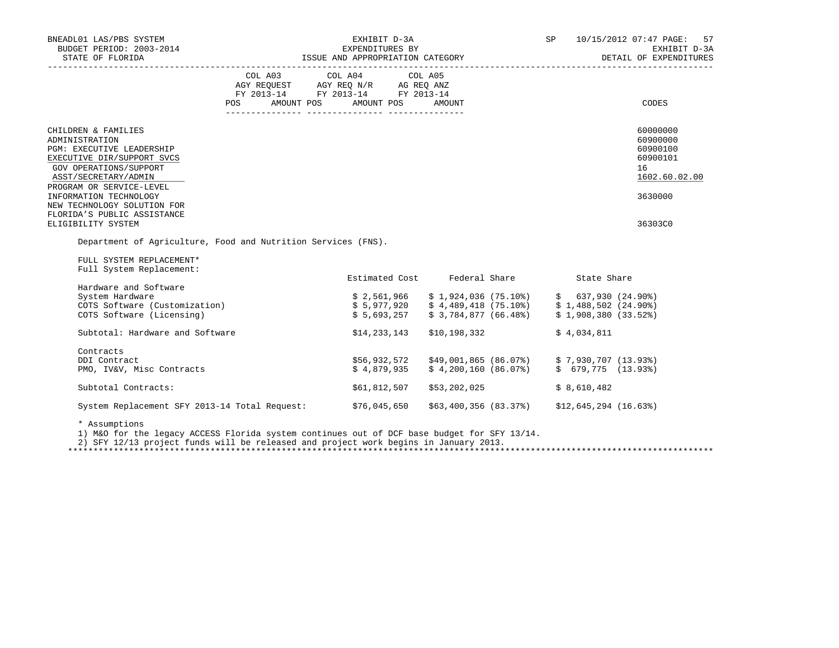| BNEADL01 LAS/PBS SYSTEM<br>BUDGET PERIOD: 2003-2014                                                                                                                                                                                                                                                                                                           |                                                                                                                 |                                                                                                                                                                                            | SP 10/15/2012 07:47 PAGE: 57<br>EXHIBIT D-3A<br>DETAIL OF EXPENDITURES |                                               |                                                                                           |
|---------------------------------------------------------------------------------------------------------------------------------------------------------------------------------------------------------------------------------------------------------------------------------------------------------------------------------------------------------------|-----------------------------------------------------------------------------------------------------------------|--------------------------------------------------------------------------------------------------------------------------------------------------------------------------------------------|------------------------------------------------------------------------|-----------------------------------------------|-------------------------------------------------------------------------------------------|
|                                                                                                                                                                                                                                                                                                                                                               | COL A03 COL A04 COL A05<br>AGY REQUEST AGY REQ N/R AG REQ ANZ<br>FY 2013-14 FY 2013-14 FY 2013-14<br><b>POS</b> | AMOUNT POS AMOUNT POS                                                                                                                                                                      | AMOUNT                                                                 |                                               | CODES                                                                                     |
| CHILDREN & FAMILIES<br>ADMINISTRATION<br>PGM: EXECUTIVE LEADERSHIP<br>EXECUTIVE DIR/SUPPORT SVCS<br>GOV OPERATIONS/SUPPORT<br>ASST/SECRETARY/ADMIN<br>PROGRAM OR SERVICE-LEVEL<br>INFORMATION TECHNOLOGY<br>NEW TECHNOLOGY SOLUTION FOR<br>FLORIDA'S PUBLIC ASSISTANCE<br>ELIGIBILITY SYSTEM<br>Department of Agriculture, Food and Nutrition Services (FNS). |                                                                                                                 |                                                                                                                                                                                            |                                                                        |                                               | 60000000<br>60900000<br>60900100<br>60900101<br>16<br>1602.60.02.00<br>3630000<br>36303C0 |
| FULL SYSTEM REPLACEMENT*<br>Full System Replacement:                                                                                                                                                                                                                                                                                                          |                                                                                                                 |                                                                                                                                                                                            |                                                                        |                                               |                                                                                           |
|                                                                                                                                                                                                                                                                                                                                                               |                                                                                                                 | Estimated Cost Federal Share 5tate Share                                                                                                                                                   |                                                                        |                                               |                                                                                           |
| Hardware and Software<br>System Hardware<br>COTS Software (Customization)<br>COTS Software (Licensing)                                                                                                                                                                                                                                                        |                                                                                                                 | $$2,561,966$ $$1,924,036$ $(75.10\%)$ $$637,930$ $(24.90\%)$<br>$$5,977,920$ $$4,489,418$ $(75.10\%)$ $$1,488,502$ $(24.90\%)$<br>$$5,693,257$ $$3,784,877$ (66.48%) $$1,908,380$ (33.52%) |                                                                        |                                               |                                                                                           |
| Subtotal: Hardware and Software                                                                                                                                                                                                                                                                                                                               |                                                                                                                 | \$14,233,143                                                                                                                                                                               | \$10,198,332                                                           | \$4.034.811                                   |                                                                                           |
| Contracts<br>DDI Contract<br>PMO, IV&V, Misc Contracts                                                                                                                                                                                                                                                                                                        |                                                                                                                 | $$56,932,572$ $$49,001,865$ (86.07%) $$7,930,707$ (13.93%)<br>\$4,879,935                                                                                                                  |                                                                        | $$4,200,160$ (86.07%) $$679,775$ (13.93%)     |                                                                                           |
| Subtotal Contracts:                                                                                                                                                                                                                                                                                                                                           |                                                                                                                 | \$61,812,507                                                                                                                                                                               | \$53,202,025                                                           | \$8,610,482                                   |                                                                                           |
| System Replacement SFY 2013-14 Total Request: \$76,045,650                                                                                                                                                                                                                                                                                                    |                                                                                                                 |                                                                                                                                                                                            |                                                                        | $$63,400,356$ (83.37%) $$12,645,294$ (16.63%) |                                                                                           |
| * Assumptions                                                                                                                                                                                                                                                                                                                                                 |                                                                                                                 |                                                                                                                                                                                            |                                                                        |                                               |                                                                                           |

Assumptions

1) M&O for the legacy ACCESS Florida system continues out of DCF base budget for SFY 13/14.

2) SFY 12/13 project funds will be released and project work begins in January 2013.

\*\*\*\*\*\*\*\*\*\*\*\*\*\*\*\*\*\*\*\*\*\*\*\*\*\*\*\*\*\*\*\*\*\*\*\*\*\*\*\*\*\*\*\*\*\*\*\*\*\*\*\*\*\*\*\*\*\*\*\*\*\*\*\*\*\*\*\*\*\*\*\*\*\*\*\*\*\*\*\*\*\*\*\*\*\*\*\*\*\*\*\*\*\*\*\*\*\*\*\*\*\*\*\*\*\*\*\*\*\*\*\*\*\*\*\*\*\*\*\*\*\*\*\*\*\*\*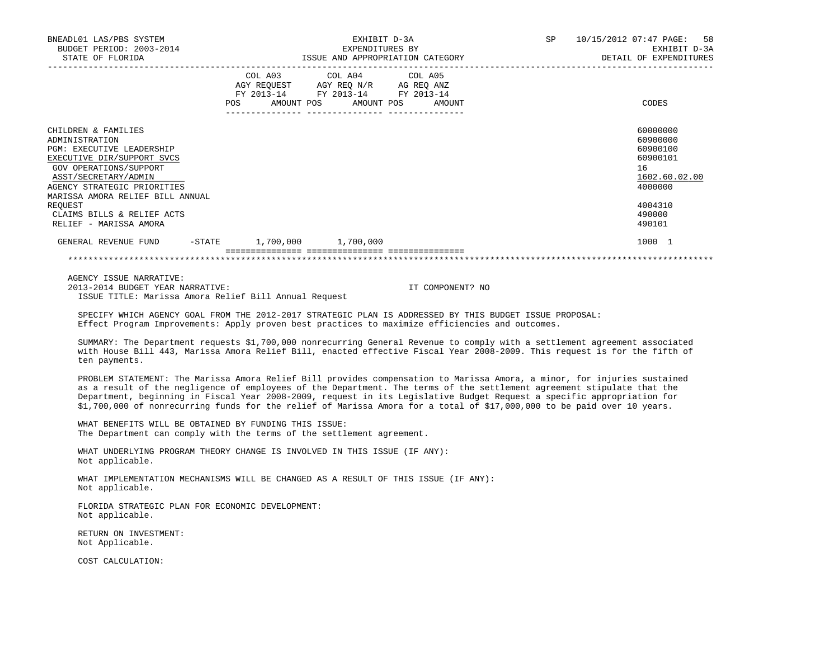| BNEADL01 LAS/PBS SYSTEM<br>BUDGET PERIOD: 2003-2014<br>STATE OF FLORIDA                                                                                                                                                                                                                         |  | EXHIBIT D-3A<br>EXPENDITURES BY                                                                                                       | ISSUE AND APPROPRIATION CATEGORY <b>ALL SECTION OF SEXPENDITURES</b> |                  | SP 10/15/2012 07:47 PAGE: 58<br>EXHIBIT D-3A |                                                                                                               |
|-------------------------------------------------------------------------------------------------------------------------------------------------------------------------------------------------------------------------------------------------------------------------------------------------|--|---------------------------------------------------------------------------------------------------------------------------------------|----------------------------------------------------------------------|------------------|----------------------------------------------|---------------------------------------------------------------------------------------------------------------|
|                                                                                                                                                                                                                                                                                                 |  | COL A03 COL A04 COL A05<br>AGY REQUEST AGY REQ N/R AG REQ ANZ<br>FY 2013-14 FY 2013-14 FY 2013-14<br>POS AMOUNT POS AMOUNT POS AMOUNT |                                                                      |                  |                                              | CODES                                                                                                         |
| CHILDREN & FAMILIES<br>ADMINISTRATION<br><b>PGM: EXECUTIVE LEADERSHIP</b><br>EXECUTIVE DIR/SUPPORT SVCS<br>GOV OPERATIONS/SUPPORT<br>ASST/SECRETARY/ADMIN<br>AGENCY STRATEGIC PRIORITIES<br>MARISSA AMORA RELIEF BILL ANNUAL<br>REOUEST<br>CLAIMS BILLS & RELIEF ACTS<br>RELIEF - MARISSA AMORA |  |                                                                                                                                       |                                                                      |                  |                                              | 60000000<br>60900000<br>60900100<br>60900101<br>16<br>1602.60.02.00<br>4000000<br>4004310<br>490000<br>490101 |
| GENERAL REVENUE FUND -STATE 1,700,000 1,700,000                                                                                                                                                                                                                                                 |  |                                                                                                                                       |                                                                      |                  |                                              | 1000 1                                                                                                        |
|                                                                                                                                                                                                                                                                                                 |  |                                                                                                                                       |                                                                      |                  |                                              |                                                                                                               |
| AGENCY ISSUE NARRATIVE:<br>2013-2014 BUDGET YEAR NARRATIVE:<br>ISSUE TITLE: Marissa Amora Relief Bill Annual Request                                                                                                                                                                            |  |                                                                                                                                       |                                                                      | IT COMPONENT? NO |                                              |                                                                                                               |
| SPECIFY WHICH AGENCY GOAL FROM THE 2012-2017 STRATEGIC PLAN IS ADDRESSED BY THIS BUDGET ISSUE PROPOSAL:<br>Effect Program Improvements: Apply proven best practices to maximize efficiencies and outcomes.                                                                                      |  |                                                                                                                                       |                                                                      |                  |                                              |                                                                                                               |

 SUMMARY: The Department requests \$1,700,000 nonrecurring General Revenue to comply with a settlement agreement associated with House Bill 443, Marissa Amora Relief Bill, enacted effective Fiscal Year 2008-2009. This request is for the fifth of ten payments.

 PROBLEM STATEMENT: The Marissa Amora Relief Bill provides compensation to Marissa Amora, a minor, for injuries sustained as a result of the negligence of employees of the Department. The terms of the settlement agreement stipulate that the Department, beginning in Fiscal Year 2008-2009, request in its Legislative Budget Request a specific appropriation for \$1,700,000 of nonrecurring funds for the relief of Marissa Amora for a total of \$17,000,000 to be paid over 10 years.

 WHAT BENEFITS WILL BE OBTAINED BY FUNDING THIS ISSUE: The Department can comply with the terms of the settlement agreement.

 WHAT UNDERLYING PROGRAM THEORY CHANGE IS INVOLVED IN THIS ISSUE (IF ANY): Not applicable.

 WHAT IMPLEMENTATION MECHANISMS WILL BE CHANGED AS A RESULT OF THIS ISSUE (IF ANY): Not applicable.

 FLORIDA STRATEGIC PLAN FOR ECONOMIC DEVELOPMENT: Not applicable.

 RETURN ON INVESTMENT: Not Applicable.

COST CALCULATION: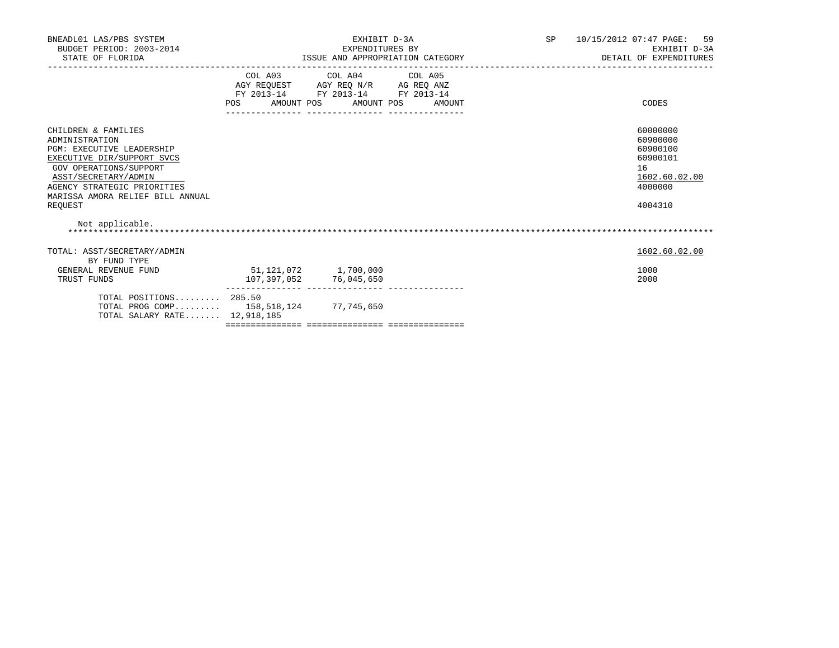| BNEADL01 LAS/PBS SYSTEM<br>BUDGET PERIOD: 2003-2014<br>STATE OF FLORIDA                                                                                                                                                                        | EXHIBIT D-3A<br>EXPENDITURES BY<br>ISSUE AND APPROPRIATION CATEGORY |                                                                                                                                                                                                                                                                                 |  | SP 10/15/2012 07:47 PAGE: 59<br>EXHIBIT D-3A<br>DETAIL OF EXPENDITURES                    |
|------------------------------------------------------------------------------------------------------------------------------------------------------------------------------------------------------------------------------------------------|---------------------------------------------------------------------|---------------------------------------------------------------------------------------------------------------------------------------------------------------------------------------------------------------------------------------------------------------------------------|--|-------------------------------------------------------------------------------------------|
|                                                                                                                                                                                                                                                | POS AMOUNT POS AMOUNT POS AMOUNT                                    | COL A03 COL A04 COL A05<br>$\begin{tabular}{lllllll} \bf AGY \,\, &\bf REQUEST \,\, &\bf AGY \,\, &\bf REQ \,\, &\bf N/R \,\, &\bf AG \,\, &\bf REQ \,\, &\bf ANZ \,\, \\ \bf FY \,\, &\bf 2013-14 \,\, &\bf FY \,\, &\bf 2013-14 \,\, &\bf FY \,\, &\bf 2013-14 \end{tabular}$ |  | CODES                                                                                     |
| CHILDREN & FAMILIES<br>ADMINISTRATION<br><b>PGM: EXECUTIVE LEADERSHIP</b><br>EXECUTIVE DIR/SUPPORT SVCS<br>GOV OPERATIONS/SUPPORT<br>ASST/SECRETARY/ADMIN<br>AGENCY STRATEGIC PRIORITIES<br>MARISSA AMORA RELIEF BILL ANNUAL<br><b>REOUEST</b> |                                                                     |                                                                                                                                                                                                                                                                                 |  | 60000000<br>60900000<br>60900100<br>60900101<br>16<br>1602.60.02.00<br>4000000<br>4004310 |
| Not applicable.                                                                                                                                                                                                                                |                                                                     |                                                                                                                                                                                                                                                                                 |  |                                                                                           |
| TOTAL: ASST/SECRETARY/ADMIN<br>BY FUND TYPE<br>GENERAL REVENUE FUND<br>TRUST FUNDS                                                                                                                                                             | 51,121,072 1,700,000                                                | 107,397,052 76,045,650                                                                                                                                                                                                                                                          |  | 1602.60.02.00<br>1000<br>2000                                                             |
| TOTAL POSITIONS $285.50$<br>TOTAL PROG COMP 158,518,124 77,745,650<br>TOTAL SALARY RATE 12,918,185                                                                                                                                             |                                                                     |                                                                                                                                                                                                                                                                                 |  |                                                                                           |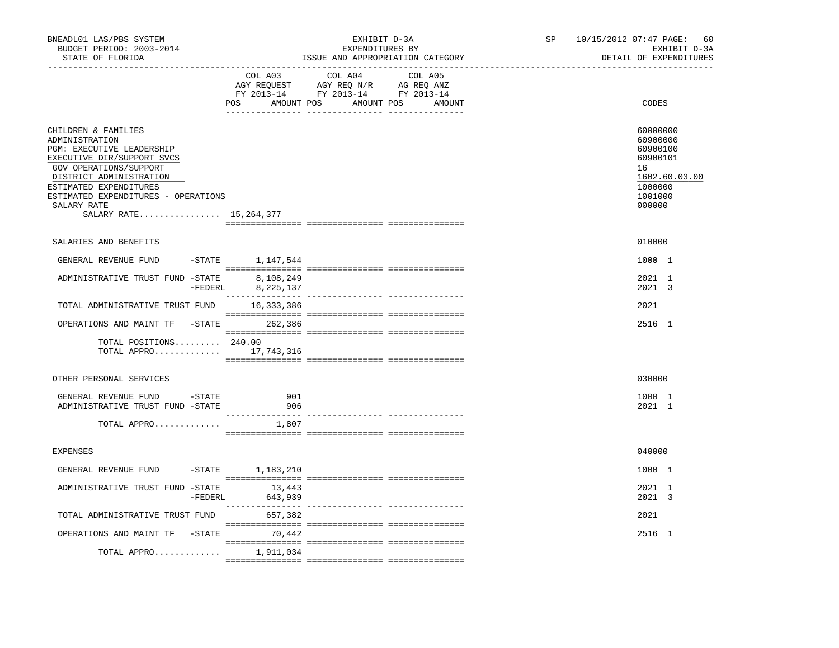| BNEADL01 LAS/PBS SYSTEM<br>BUDGET PERIOD: 2003-2014<br>STATE OF FLORIDA                                                                                                                                                                                                  |                                   | EXHIBIT D-3A<br>EXPENDITURES BY<br>ISSUE AND APPROPRIATION CATEGORY                                                                                                                                                                                                                               | SP - | 10/15/2012 07:47 PAGE:<br>60<br>EXHIBIT D-3A<br>DETAIL OF EXPENDITURES                              |
|--------------------------------------------------------------------------------------------------------------------------------------------------------------------------------------------------------------------------------------------------------------------------|-----------------------------------|---------------------------------------------------------------------------------------------------------------------------------------------------------------------------------------------------------------------------------------------------------------------------------------------------|------|-----------------------------------------------------------------------------------------------------|
|                                                                                                                                                                                                                                                                          | COL A03                           | COL A04<br>COL A05<br>$\begin{tabular}{lllllll} \bf AGY \;\; RegUEST \hspace{1cm} AGY \;\; REG \;\; N/R \hspace{1cm} \bf AG \;\; REG \;\; ANZ \end{tabular}$ $\begin{tabular}{lllllllllll} \bf FY \;\; 2013-14 \hspace{1cm} FY \;\; 2013-14 \end{tabular}$<br>POS AMOUNT POS AMOUNT POS<br>AMOUNT |      | CODES                                                                                               |
| CHILDREN & FAMILIES<br>ADMINISTRATION<br><b>PGM: EXECUTIVE LEADERSHIP</b><br>EXECUTIVE DIR/SUPPORT SVCS<br>GOV OPERATIONS/SUPPORT<br>DISTRICT ADMINISTRATION<br>ESTIMATED EXPENDITURES<br>ESTIMATED EXPENDITURES - OPERATIONS<br>SALARY RATE<br>SALARY RATE 15, 264, 377 |                                   |                                                                                                                                                                                                                                                                                                   |      | 60000000<br>60900000<br>60900100<br>60900101<br>16<br>1602.60.03.00<br>1000000<br>1001000<br>000000 |
| SALARIES AND BENEFITS                                                                                                                                                                                                                                                    |                                   |                                                                                                                                                                                                                                                                                                   |      | 010000                                                                                              |
| GENERAL REVENUE FUND                                                                                                                                                                                                                                                     | $-$ STATE<br>1,147,544            |                                                                                                                                                                                                                                                                                                   |      | 1000 1                                                                                              |
| ADMINISTRATIVE TRUST FUND -STATE                                                                                                                                                                                                                                         | 8,108,249<br>-FEDERL<br>8,225,137 |                                                                                                                                                                                                                                                                                                   |      | 2021 1<br>2021 3                                                                                    |
| TOTAL ADMINISTRATIVE TRUST FUND 16,333,386                                                                                                                                                                                                                               |                                   |                                                                                                                                                                                                                                                                                                   |      | 2021                                                                                                |
| OPERATIONS AND MAINT TF -STATE 262,386                                                                                                                                                                                                                                   |                                   |                                                                                                                                                                                                                                                                                                   |      | 2516 1                                                                                              |
| TOTAL POSITIONS 240.00<br>TOTAL APPRO 17,743,316                                                                                                                                                                                                                         |                                   |                                                                                                                                                                                                                                                                                                   |      |                                                                                                     |
| OTHER PERSONAL SERVICES                                                                                                                                                                                                                                                  |                                   |                                                                                                                                                                                                                                                                                                   |      | 030000                                                                                              |
| GENERAL REVENUE FUND - STATE<br>ADMINISTRATIVE TRUST FUND -STATE                                                                                                                                                                                                         | 901<br>906<br>_______________     |                                                                                                                                                                                                                                                                                                   |      | 1000 1<br>2021 1                                                                                    |
| TOTAL APPRO                                                                                                                                                                                                                                                              | 1,807                             |                                                                                                                                                                                                                                                                                                   |      |                                                                                                     |
| <b>EXPENSES</b>                                                                                                                                                                                                                                                          |                                   |                                                                                                                                                                                                                                                                                                   |      | 040000                                                                                              |
| GENERAL REVENUE FUND                                                                                                                                                                                                                                                     | -STATE 1,183,210                  |                                                                                                                                                                                                                                                                                                   |      | 1000 1                                                                                              |
| ADMINISTRATIVE TRUST FUND -STATE                                                                                                                                                                                                                                         | 13,443<br>$-$ FEDERL<br>643,939   |                                                                                                                                                                                                                                                                                                   |      | 2021 1<br>2021 3                                                                                    |
| TOTAL ADMINISTRATIVE TRUST FUND 657,382                                                                                                                                                                                                                                  |                                   |                                                                                                                                                                                                                                                                                                   |      | 2021                                                                                                |
| OPERATIONS AND MAINT TF -STATE 70,442                                                                                                                                                                                                                                    |                                   |                                                                                                                                                                                                                                                                                                   |      | 2516 1                                                                                              |
| TOTAL APPRO 1,911,034                                                                                                                                                                                                                                                    |                                   |                                                                                                                                                                                                                                                                                                   |      |                                                                                                     |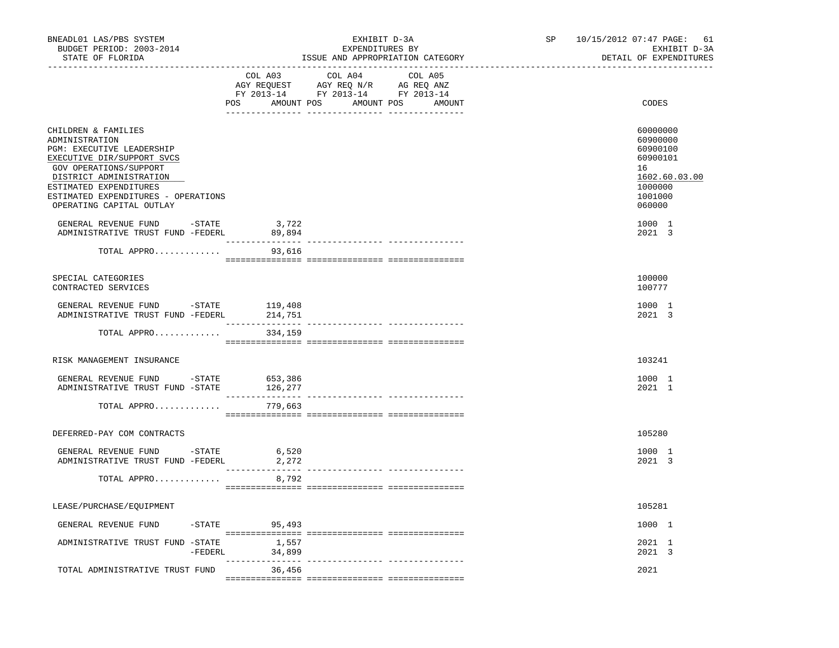| BNEADL01 LAS/PBS SYSTEM<br>BUDGET PERIOD: 2003-2014<br>STATE OF FLORIDA                                                                                                                                                                            | EXHIBIT D-3A<br>EXPENDITURES BY<br>ISSUE AND APPROPRIATION CATEGORY                                                                                                                                                                                           | 10/15/2012 07:47 PAGE: 61<br>SP and the set of the set of the set of the set of the set of the set of the set of the set of the set of the set of the set of the set of the set of the set of the set of the set of the set of the set of the set of the se<br>EXHIBIT D-3A<br>DETAIL OF EXPENDITURES |
|----------------------------------------------------------------------------------------------------------------------------------------------------------------------------------------------------------------------------------------------------|---------------------------------------------------------------------------------------------------------------------------------------------------------------------------------------------------------------------------------------------------------------|-------------------------------------------------------------------------------------------------------------------------------------------------------------------------------------------------------------------------------------------------------------------------------------------------------|
|                                                                                                                                                                                                                                                    | COL A03<br>COL A04 COL A05<br>$\begin{tabular}{lllllll} \bf AGY \,\, REQUEST \,\, &\bf AGY \,\, REQ \,\, N/R &\bf AG \,\, REQ \,\, ANZ \\ \bf FY \,\, 2013-14 &\bf FY \,\, 2013-14 &\bf FY \,\, 2013-14 \\ \end{tabular}$<br>POS AMOUNT POS AMOUNT POS AMOUNT | CODES                                                                                                                                                                                                                                                                                                 |
| CHILDREN & FAMILIES<br>ADMINISTRATION<br>PGM: EXECUTIVE LEADERSHIP<br>EXECUTIVE DIR/SUPPORT SVCS<br>GOV OPERATIONS/SUPPORT<br>DISTRICT ADMINISTRATION<br>ESTIMATED EXPENDITURES<br>ESTIMATED EXPENDITURES - OPERATIONS<br>OPERATING CAPITAL OUTLAY |                                                                                                                                                                                                                                                               | 60000000<br>60900000<br>60900100<br>60900101<br>16<br>1602.60.03.00<br>1000000<br>1001000<br>060000                                                                                                                                                                                                   |
| GENERAL REVENUE FUND - STATE<br>ADMINISTRATIVE TRUST FUND -FEDERL 89,894                                                                                                                                                                           | 3,722                                                                                                                                                                                                                                                         | 1000 1<br>2021 3                                                                                                                                                                                                                                                                                      |
| TOTAL APPRO                                                                                                                                                                                                                                        | 93,616                                                                                                                                                                                                                                                        |                                                                                                                                                                                                                                                                                                       |
| SPECIAL CATEGORIES<br>CONTRACTED SERVICES                                                                                                                                                                                                          |                                                                                                                                                                                                                                                               | 100000<br>100777                                                                                                                                                                                                                                                                                      |
| GENERAL REVENUE FUND - STATE<br>ADMINISTRATIVE TRUST FUND -FEDERL                                                                                                                                                                                  | 119,408<br>214,751                                                                                                                                                                                                                                            | 1000 1<br>2021 3                                                                                                                                                                                                                                                                                      |
| TOTAL APPRO                                                                                                                                                                                                                                        | 334,159                                                                                                                                                                                                                                                       |                                                                                                                                                                                                                                                                                                       |
| RISK MANAGEMENT INSURANCE                                                                                                                                                                                                                          |                                                                                                                                                                                                                                                               | 103241                                                                                                                                                                                                                                                                                                |
| GENERAL REVENUE FUND -STATE<br>ADMINISTRATIVE TRUST FUND -STATE 126,277                                                                                                                                                                            | 653,386                                                                                                                                                                                                                                                       | 1000 1<br>2021 1                                                                                                                                                                                                                                                                                      |
| TOTAL APPRO                                                                                                                                                                                                                                        | 779,663                                                                                                                                                                                                                                                       |                                                                                                                                                                                                                                                                                                       |
| DEFERRED-PAY COM CONTRACTS                                                                                                                                                                                                                         |                                                                                                                                                                                                                                                               | 105280                                                                                                                                                                                                                                                                                                |
| GENERAL REVENUE FUND -STATE<br>ADMINISTRATIVE TRUST FUND -FEDERL                                                                                                                                                                                   | 6,520<br>2,272                                                                                                                                                                                                                                                | 1000 1<br>2021 3                                                                                                                                                                                                                                                                                      |
| TOTAL APPRO                                                                                                                                                                                                                                        | 8,792                                                                                                                                                                                                                                                         |                                                                                                                                                                                                                                                                                                       |
| LEASE/PURCHASE/EQUIPMENT                                                                                                                                                                                                                           |                                                                                                                                                                                                                                                               | 105281                                                                                                                                                                                                                                                                                                |
| GENERAL REVENUE FUND                                                                                                                                                                                                                               | -STATE 95,493                                                                                                                                                                                                                                                 | 1000 1                                                                                                                                                                                                                                                                                                |
| ADMINISTRATIVE TRUST FUND -STATE                                                                                                                                                                                                                   | -STATE 1,557<br>-FEDERL 34,899                                                                                                                                                                                                                                | 2021 1<br>2021 3                                                                                                                                                                                                                                                                                      |
| TOTAL ADMINISTRATIVE TRUST FUND                                                                                                                                                                                                                    | 36,456                                                                                                                                                                                                                                                        | 2021                                                                                                                                                                                                                                                                                                  |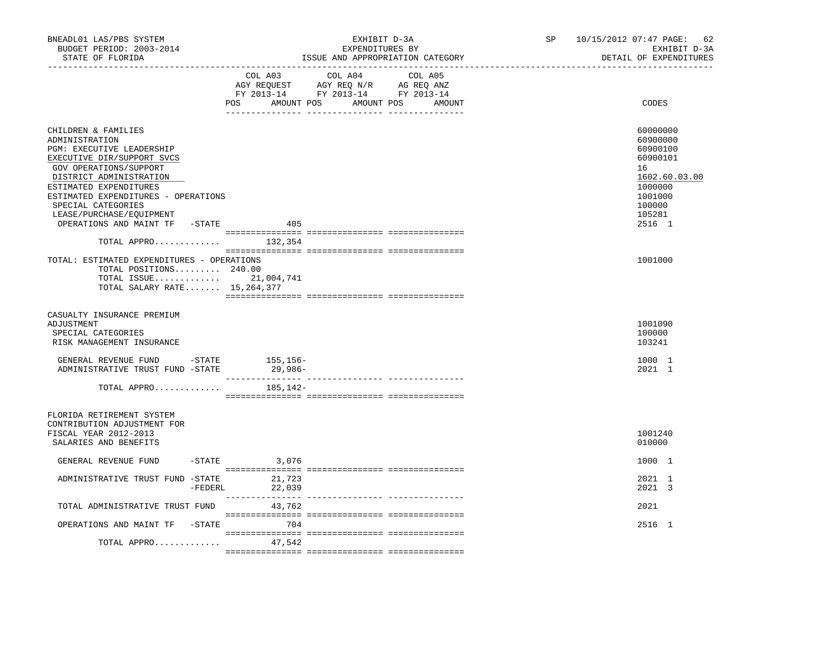| BNEADL01 LAS/PBS SYSTEM<br>BUDGET PERIOD: 2003-2014<br>STATE OF FLORIDA                                                                                                                                                                                                                                    | EXHIBIT D-3A<br>EXPENDITURES BY<br>ISSUE AND APPROPRIATION CATEGORY                                                           | SP and the set of the set of the set of the set of the set of the set of the set of the set of the set of the set of the set of the set of the set of the set of the set of the set of the set of the set of the set of the se | 10/15/2012 07:47 PAGE:<br>62<br>EXHIBIT D-3A<br>DETAIL OF EXPENDITURES                                                  |
|------------------------------------------------------------------------------------------------------------------------------------------------------------------------------------------------------------------------------------------------------------------------------------------------------------|-------------------------------------------------------------------------------------------------------------------------------|--------------------------------------------------------------------------------------------------------------------------------------------------------------------------------------------------------------------------------|-------------------------------------------------------------------------------------------------------------------------|
|                                                                                                                                                                                                                                                                                                            | COL A03 COL A04<br>AGY REQUEST AGY REQ N/R AG REQ ANZ<br>FY 2013-14 FY 2013-14 FY 2013-14<br>POS AMOUNT POS AMOUNT POS AMOUNT | COL A05                                                                                                                                                                                                                        | CODES                                                                                                                   |
| CHILDREN & FAMILIES<br>ADMINISTRATION<br>PGM: EXECUTIVE LEADERSHIP<br>EXECUTIVE DIR/SUPPORT SVCS<br>GOV OPERATIONS/SUPPORT<br>DISTRICT ADMINISTRATION<br>ESTIMATED EXPENDITURES<br>ESTIMATED EXPENDITURES - OPERATIONS<br>SPECIAL CATEGORIES<br>LEASE/PURCHASE/EQUIPMENT<br>OPERATIONS AND MAINT TF -STATE | 405                                                                                                                           |                                                                                                                                                                                                                                | 60000000<br>60900000<br>60900100<br>60900101<br>16<br>1602.60.03.00<br>1000000<br>1001000<br>100000<br>105281<br>2516 1 |
| TOTAL APPRO $132,354$                                                                                                                                                                                                                                                                                      |                                                                                                                               |                                                                                                                                                                                                                                |                                                                                                                         |
| TOTAL: ESTIMATED EXPENDITURES - OPERATIONS<br>TOTAL POSITIONS 240.00<br>TOTAL ISSUE 21,004,741<br>TOTAL SALARY RATE 15, 264, 377                                                                                                                                                                           |                                                                                                                               |                                                                                                                                                                                                                                | 1001000                                                                                                                 |
| CASUALTY INSURANCE PREMIUM<br>ADJUSTMENT<br>SPECIAL CATEGORIES<br>RISK MANAGEMENT INSURANCE                                                                                                                                                                                                                |                                                                                                                               |                                                                                                                                                                                                                                | 1001090<br>100000<br>103241                                                                                             |
| GENERAL REVENUE FUND -STATE 155,156-<br>ADMINISTRATIVE TRUST FUND -STATE                                                                                                                                                                                                                                   | 29,986-                                                                                                                       |                                                                                                                                                                                                                                | 1000 1<br>2021 1                                                                                                        |
| TOTAL APPRO                                                                                                                                                                                                                                                                                                | 185,142-                                                                                                                      |                                                                                                                                                                                                                                |                                                                                                                         |
| FLORIDA RETIREMENT SYSTEM<br>CONTRIBUTION ADJUSTMENT FOR<br>FISCAL YEAR 2012-2013<br>SALARIES AND BENEFITS                                                                                                                                                                                                 |                                                                                                                               |                                                                                                                                                                                                                                | 1001240<br>010000                                                                                                       |
| GENERAL REVENUE FUND                                                                                                                                                                                                                                                                                       | $-$ STATE 3,076                                                                                                               |                                                                                                                                                                                                                                | 1000 1                                                                                                                  |
| ADMINISTRATIVE TRUST FUND -STATE 21,723                                                                                                                                                                                                                                                                    | $-FEDERL$<br>22,039                                                                                                           |                                                                                                                                                                                                                                | 2021 1<br>2021 3                                                                                                        |
| TOTAL ADMINISTRATIVE TRUST FUND                                                                                                                                                                                                                                                                            | 43,762                                                                                                                        |                                                                                                                                                                                                                                | 2021                                                                                                                    |
| OPERATIONS AND MAINT TF -STATE 6704                                                                                                                                                                                                                                                                        |                                                                                                                               |                                                                                                                                                                                                                                | 2516 1                                                                                                                  |
| TOTAL APPRO                                                                                                                                                                                                                                                                                                | 47,542                                                                                                                        |                                                                                                                                                                                                                                |                                                                                                                         |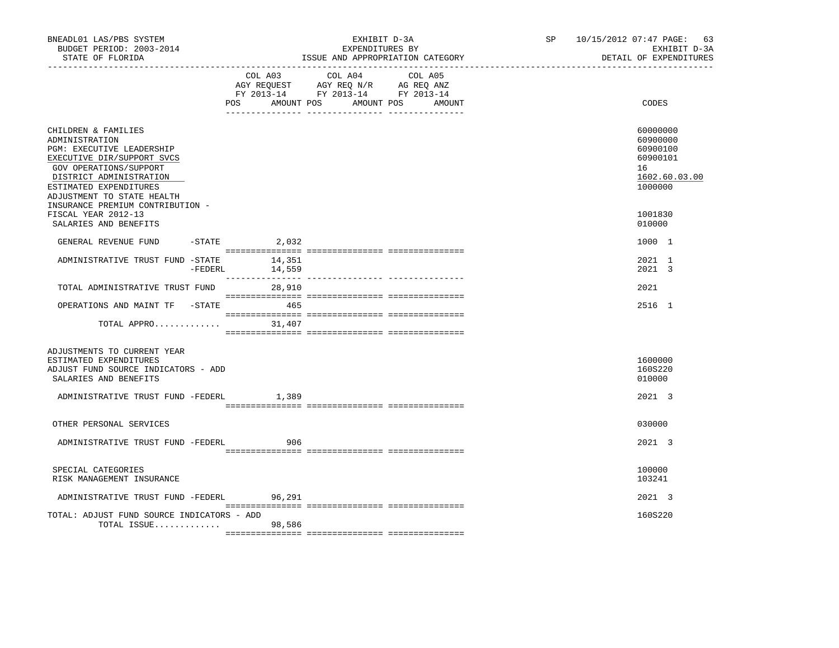| BNEADL01 LAS/PBS SYSTEM<br>BUDGET PERIOD: 2003-2014<br>STATE OF FLORIDA                                                                                                                                                                           | EXHIBIT D-3A<br>EXPENDITURES BY<br>ISSUE AND APPROPRIATION CATEGORY |                  |                                                                                                   |                                                                                                                                                                                                                                                                                                                                                                                                                                     | SP 10/15/2012 07:47 PAGE: 63<br>EXHIBIT D-3A<br>DETAIL OF EXPENDITURES |                                                                                |
|---------------------------------------------------------------------------------------------------------------------------------------------------------------------------------------------------------------------------------------------------|---------------------------------------------------------------------|------------------|---------------------------------------------------------------------------------------------------|-------------------------------------------------------------------------------------------------------------------------------------------------------------------------------------------------------------------------------------------------------------------------------------------------------------------------------------------------------------------------------------------------------------------------------------|------------------------------------------------------------------------|--------------------------------------------------------------------------------|
|                                                                                                                                                                                                                                                   | POS                                                                 | AMOUNT POS       | COL A03 COL A04 COL A05<br>AGY REQUEST AGY REQ N/R AG REQ ANZ<br>FY 2013-14 FY 2013-14 FY 2013-14 | AMOUNT POS<br>AMOUNT                                                                                                                                                                                                                                                                                                                                                                                                                |                                                                        | CODES                                                                          |
| CHILDREN & FAMILIES<br>ADMINISTRATION<br>PGM: EXECUTIVE LEADERSHIP<br>EXECUTIVE DIR/SUPPORT SVCS<br>GOV OPERATIONS/SUPPORT<br>DISTRICT ADMINISTRATION<br>ESTIMATED EXPENDITURES<br>ADJUSTMENT TO STATE HEALTH<br>INSURANCE PREMIUM CONTRIBUTION - |                                                                     |                  |                                                                                                   |                                                                                                                                                                                                                                                                                                                                                                                                                                     |                                                                        | 60000000<br>60900000<br>60900100<br>60900101<br>16<br>1602.60.03.00<br>1000000 |
| FISCAL YEAR 2012-13<br>SALARIES AND BENEFITS                                                                                                                                                                                                      |                                                                     |                  |                                                                                                   |                                                                                                                                                                                                                                                                                                                                                                                                                                     |                                                                        | 1001830<br>010000                                                              |
| GENERAL REVENUE FUND                                                                                                                                                                                                                              | $-STATE$                                                            | 2,032            |                                                                                                   |                                                                                                                                                                                                                                                                                                                                                                                                                                     |                                                                        | 1000 1                                                                         |
| ADMINISTRATIVE TRUST FUND -STATE                                                                                                                                                                                                                  | $-FEDERL$                                                           | 14,351<br>14,559 |                                                                                                   |                                                                                                                                                                                                                                                                                                                                                                                                                                     |                                                                        | 2021 1<br>2021 3                                                               |
| TOTAL ADMINISTRATIVE TRUST FUND                                                                                                                                                                                                                   |                                                                     | 28,910           |                                                                                                   |                                                                                                                                                                                                                                                                                                                                                                                                                                     |                                                                        | 2021                                                                           |
| OPERATIONS AND MAINT TF -STATE 465                                                                                                                                                                                                                |                                                                     |                  |                                                                                                   |                                                                                                                                                                                                                                                                                                                                                                                                                                     |                                                                        | 2516 1                                                                         |
| TOTAL APPRO $31,407$                                                                                                                                                                                                                              |                                                                     |                  |                                                                                                   |                                                                                                                                                                                                                                                                                                                                                                                                                                     |                                                                        |                                                                                |
| ADJUSTMENTS TO CURRENT YEAR<br>ESTIMATED EXPENDITURES<br>ADJUST FUND SOURCE INDICATORS - ADD<br>SALARIES AND BENEFITS                                                                                                                             |                                                                     |                  |                                                                                                   |                                                                                                                                                                                                                                                                                                                                                                                                                                     |                                                                        | 1600000<br>160S220<br>010000                                                   |
| ADMINISTRATIVE TRUST FUND -FEDERL                                                                                                                                                                                                                 |                                                                     | 1,389            |                                                                                                   |                                                                                                                                                                                                                                                                                                                                                                                                                                     |                                                                        | 2021 3                                                                         |
| OTHER PERSONAL SERVICES                                                                                                                                                                                                                           |                                                                     |                  |                                                                                                   |                                                                                                                                                                                                                                                                                                                                                                                                                                     |                                                                        | 030000                                                                         |
| ADMINISTRATIVE TRUST FUND -FEDERL                                                                                                                                                                                                                 |                                                                     | 906              |                                                                                                   |                                                                                                                                                                                                                                                                                                                                                                                                                                     |                                                                        | $2021 \quad 3$                                                                 |
| SPECIAL CATEGORIES<br>RISK MANAGEMENT INSURANCE                                                                                                                                                                                                   |                                                                     |                  |                                                                                                   |                                                                                                                                                                                                                                                                                                                                                                                                                                     |                                                                        | 100000<br>103241                                                               |
| ADMINISTRATIVE TRUST FUND -FEDERL 96,291                                                                                                                                                                                                          |                                                                     |                  |                                                                                                   | $\begin{minipage}{0.03\textwidth} \begin{tabular}{l} \textbf{1} & \textbf{2} & \textbf{3} & \textbf{5} & \textbf{5} & \textbf{5} & \textbf{6} & \textbf{6} & \textbf{6} & \textbf{6} & \textbf{6} & \textbf{6} & \textbf{6} & \textbf{6} & \textbf{6} & \textbf{6} & \textbf{6} & \textbf{6} & \textbf{6} & \textbf{6} & \textbf{6} & \textbf{6} & \textbf{6} & \textbf{6} & \textbf{6} & \textbf{6} & \textbf{6} & \textbf{6} & \$ |                                                                        | 2021 3                                                                         |
| TOTAL: ADJUST FUND SOURCE INDICATORS - ADD<br>TOTAL ISSUE 98,586                                                                                                                                                                                  |                                                                     |                  |                                                                                                   |                                                                                                                                                                                                                                                                                                                                                                                                                                     |                                                                        | 160S220                                                                        |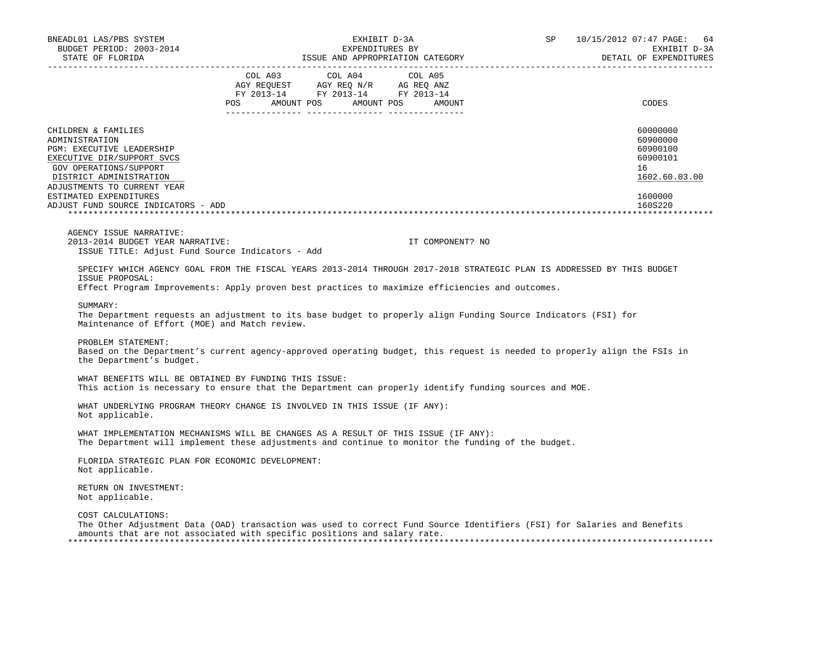| BNEADL01 LAS/PBS SYSTEM<br>BUDGET PERIOD: 2003-2014                                                                                                                                                                                                   |         | EXHIBIT D-3A<br>EXPENDITURES BY                                                                                         |                                                                                                                                                                                                                               | SP | 10/15/2012 07:47 PAGE:<br>64<br>EXHIBIT D-3A                                              |
|-------------------------------------------------------------------------------------------------------------------------------------------------------------------------------------------------------------------------------------------------------|---------|-------------------------------------------------------------------------------------------------------------------------|-------------------------------------------------------------------------------------------------------------------------------------------------------------------------------------------------------------------------------|----|-------------------------------------------------------------------------------------------|
| STATE OF FLORIDA                                                                                                                                                                                                                                      |         |                                                                                                                         | ISSUE AND APPROPRIATION CATEGORY FOR A PROPERTY AND THE SERIES OF A PARTICLE AND THE SERIES OF A PARTICLE AND THE SERIES OF A PARTICLE AND THE SERIES OF A PARTICLE AND THE SERIES OF A PARTICLE AND THE SERIES OF A PARTICLE |    | DETAIL OF EXPENDITURES                                                                    |
|                                                                                                                                                                                                                                                       | COL A03 | COL A04<br>AGY REQUEST AGY REQ N/R AG REQ ANZ<br>RGY REQUEST AGY REQ N/R AG REQ ANZ<br>FY 2013-14 FY 2013-14 FY 2013-14 | COL A05<br>POS AMOUNT POS AMOUNT POS AMOUNT                                                                                                                                                                                   |    | CODES                                                                                     |
| CHILDREN & FAMILIES<br>ADMINISTRATION<br>PGM: EXECUTIVE LEADERSHIP<br>EXECUTIVE DIR/SUPPORT SVCS<br>GOV OPERATIONS/SUPPORT<br>DISTRICT ADMINISTRATION<br>ADJUSTMENTS TO CURRENT YEAR<br>ESTIMATED EXPENDITURES<br>ADJUST FUND SOURCE INDICATORS - ADD |         |                                                                                                                         |                                                                                                                                                                                                                               |    | 60000000<br>60900000<br>60900100<br>60900101<br>16<br>1602.60.03.00<br>1600000<br>160S220 |
| AGENCY ISSUE NARRATIVE:<br>2013-2014 BUDGET YEAR NARRATIVE:<br>ISSUE TITLE: Adjust Fund Source Indicators - Add                                                                                                                                       |         |                                                                                                                         | IT COMPONENT? NO                                                                                                                                                                                                              |    |                                                                                           |
| SPECIFY WHICH AGENCY GOAL FROM THE FISCAL YEARS 2013-2014 THROUGH 2017-2018 STRATEGIC PLAN IS ADDRESSED BY THIS BUDGET<br>ISSUE PROPOSAL:<br>Effect Program Improvements: Apply proven best practices to maximize efficiencies and outcomes.          |         |                                                                                                                         |                                                                                                                                                                                                                               |    |                                                                                           |
| SUMMARY:<br>The Department requests an adjustment to its base budget to properly align Funding Source Indicators (FSI) for<br>Maintenance of Effort (MOE) and Match review.                                                                           |         |                                                                                                                         |                                                                                                                                                                                                                               |    |                                                                                           |
| PROBLEM STATEMENT:<br>Based on the Department's current agency-approved operating budget, this request is needed to properly align the FSIs in<br>the Department's budget.                                                                            |         |                                                                                                                         |                                                                                                                                                                                                                               |    |                                                                                           |
| WHAT BENEFITS WILL BE OBTAINED BY FUNDING THIS ISSUE:<br>This action is necessary to ensure that the Department can properly identify funding sources and MOE.                                                                                        |         |                                                                                                                         |                                                                                                                                                                                                                               |    |                                                                                           |
| WHAT UNDERLYING PROGRAM THEORY CHANGE IS INVOLVED IN THIS ISSUE (IF ANY):<br>Not applicable.                                                                                                                                                          |         |                                                                                                                         |                                                                                                                                                                                                                               |    |                                                                                           |
| WHAT IMPLEMENTATION MECHANISMS WILL BE CHANGES AS A RESULT OF THIS ISSUE (IF ANY):<br>The Department will implement these adjustments and continue to monitor the funding of the budget.                                                              |         |                                                                                                                         |                                                                                                                                                                                                                               |    |                                                                                           |
| FLORIDA STRATEGIC PLAN FOR ECONOMIC DEVELOPMENT:<br>Not applicable.                                                                                                                                                                                   |         |                                                                                                                         |                                                                                                                                                                                                                               |    |                                                                                           |
| RETURN ON INVESTMENT:<br>Not applicable.                                                                                                                                                                                                              |         |                                                                                                                         |                                                                                                                                                                                                                               |    |                                                                                           |
| COST CALCULATIONS:<br>The Other Adjustment Data (OAD) transaction was used to correct Fund Source Identifiers (FSI) for Salaries and Benefits<br>amounts that are not associated with specific positions and salary rate.                             |         |                                                                                                                         |                                                                                                                                                                                                                               |    |                                                                                           |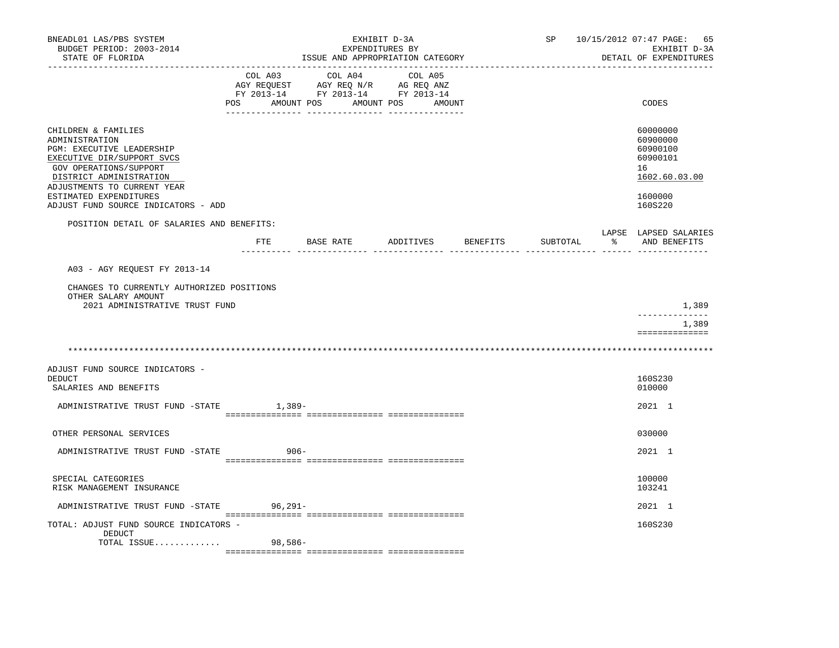| BNEADL01 LAS/PBS SYSTEM<br>BUDGET PERIOD: 2003-2014<br>STATE OF FLORIDA                                                                                                              |                |                                  | EXHIBIT D-3A<br>EXPENDITURES BY<br>ISSUE AND APPROPRIATION CATEGORY                         |          | SP       | 10/15/2012 07:47 PAGE:<br>65<br>EXHIBIT D-3A<br>DETAIL OF EXPENDITURES |
|--------------------------------------------------------------------------------------------------------------------------------------------------------------------------------------|----------------|----------------------------------|---------------------------------------------------------------------------------------------|----------|----------|------------------------------------------------------------------------|
|                                                                                                                                                                                      | COL A03<br>POS | COL A04<br>AMOUNT POS AMOUNT POS | COL A05<br>AGY REQUEST AGY REQ N/R AG REQ ANZ<br>FY 2013-14 FY 2013-14 FY 2013-14<br>AMOUNT |          |          | CODES                                                                  |
| CHILDREN & FAMILIES<br>ADMINISTRATION<br>PGM: EXECUTIVE LEADERSHIP<br>EXECUTIVE DIR/SUPPORT SVCS<br>GOV OPERATIONS/SUPPORT<br>DISTRICT ADMINISTRATION<br>ADJUSTMENTS TO CURRENT YEAR |                |                                  |                                                                                             |          |          | 60000000<br>60900000<br>60900100<br>60900101<br>16<br>1602.60.03.00    |
| ESTIMATED EXPENDITURES<br>ADJUST FUND SOURCE INDICATORS - ADD                                                                                                                        |                |                                  |                                                                                             |          |          | 1600000<br>160S220                                                     |
| POSITION DETAIL OF SALARIES AND BENEFITS:                                                                                                                                            |                |                                  |                                                                                             |          |          | LAPSE LAPSED SALARIES                                                  |
|                                                                                                                                                                                      | ETE            | BASE RATE                        | ADDITIVES                                                                                   | BENEFITS | SUBTOTAL | % AND BENEFITS                                                         |
| A03 - AGY REQUEST FY 2013-14<br>CHANGES TO CURRENTLY AUTHORIZED POSITIONS<br>OTHER SALARY AMOUNT<br>2021 ADMINISTRATIVE TRUST FUND                                                   |                |                                  |                                                                                             |          |          | 1,389<br>_____________<br>1,389                                        |
|                                                                                                                                                                                      |                |                                  |                                                                                             |          |          | ==============                                                         |
|                                                                                                                                                                                      |                |                                  |                                                                                             |          |          |                                                                        |
| ADJUST FUND SOURCE INDICATORS -<br><b>DEDUCT</b><br>SALARIES AND BENEFITS                                                                                                            |                |                                  |                                                                                             |          |          | 160S230<br>010000                                                      |
| ADMINISTRATIVE TRUST FUND -STATE                                                                                                                                                     |                | 1,389-                           |                                                                                             |          |          | 2021 1                                                                 |
| OTHER PERSONAL SERVICES                                                                                                                                                              |                |                                  |                                                                                             |          |          | 030000                                                                 |
| ADMINISTRATIVE TRUST FUND -STATE                                                                                                                                                     |                | $906 -$                          |                                                                                             |          |          | 2021 1                                                                 |
| SPECIAL CATEGORIES<br>RISK MANAGEMENT INSURANCE                                                                                                                                      |                |                                  |                                                                                             |          |          | 100000<br>103241                                                       |
| ADMINISTRATIVE TRUST FUND -STATE                                                                                                                                                     | $96,291-$      |                                  |                                                                                             |          |          | 2021 1                                                                 |
| TOTAL: ADJUST FUND SOURCE INDICATORS -<br>DEDUCT<br>TOTAL ISSUE                                                                                                                      | 98,586-        |                                  |                                                                                             |          |          | 160S230                                                                |
|                                                                                                                                                                                      |                |                                  |                                                                                             |          |          |                                                                        |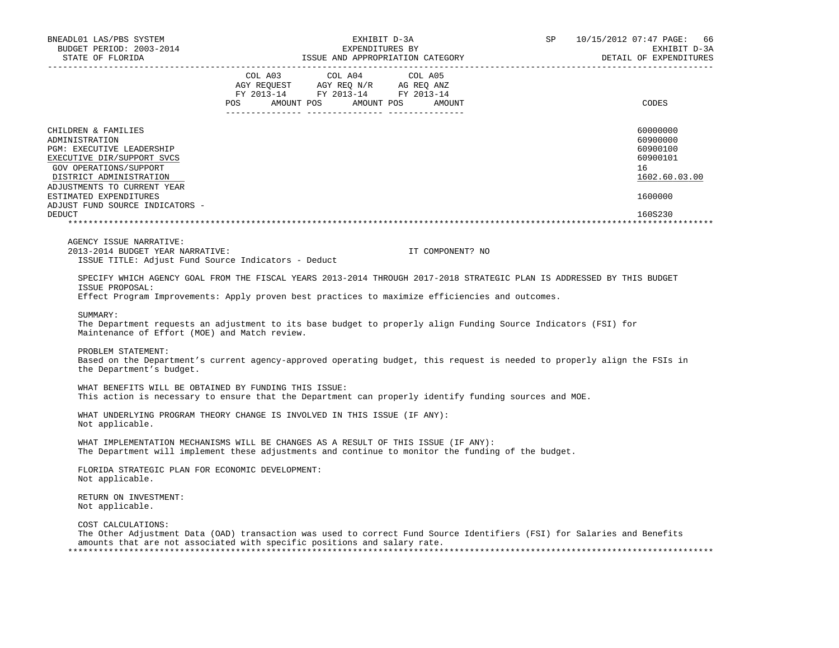| BNEADL01 LAS/PBS SYSTEM<br>BUDGET PERIOD: 2003-2014<br>STATE OF FLORIDA                                                                                                                                                                                            | EXHIBIT D-3A<br>EXPENDITURES BY<br>ISSUE AND APPROPRIATION CATEGORY                                                                                                                                                                                                                                                                         | 10/15/2012 07:47 PAGE:<br>SP<br>66<br>EXHIBIT D-3A<br>DETAIL OF EXPENDITURES              |
|--------------------------------------------------------------------------------------------------------------------------------------------------------------------------------------------------------------------------------------------------------------------|---------------------------------------------------------------------------------------------------------------------------------------------------------------------------------------------------------------------------------------------------------------------------------------------------------------------------------------------|-------------------------------------------------------------------------------------------|
|                                                                                                                                                                                                                                                                    | COL A03<br>COL A04<br>COL A05<br>AMOUNT POS AMOUNT POS<br>POS FOR<br>AMOUNT                                                                                                                                                                                                                                                                 | CODES                                                                                     |
| CHILDREN & FAMILIES<br>ADMINISTRATION<br>PGM: EXECUTIVE LEADERSHIP<br>EXECUTIVE DIR/SUPPORT SVCS<br>GOV OPERATIONS/SUPPORT<br>DISTRICT ADMINISTRATION<br>ADJUSTMENTS TO CURRENT YEAR<br>ESTIMATED EXPENDITURES<br>ADJUST FUND SOURCE INDICATORS -<br><b>DEDUCT</b> |                                                                                                                                                                                                                                                                                                                                             | 60000000<br>60900000<br>60900100<br>60900101<br>16<br>1602.60.03.00<br>1600000<br>160S230 |
| AGENCY ISSUE NARRATIVE:<br>2013-2014 BUDGET YEAR NARRATIVE:<br>ISSUE TITLE: Adjust Fund Source Indicators - Deduct                                                                                                                                                 | IT COMPONENT? NO                                                                                                                                                                                                                                                                                                                            |                                                                                           |
| ISSUE PROPOSAL:<br>SUMMARY:<br>Maintenance of Effort (MOE) and Match review.                                                                                                                                                                                       | SPECIFY WHICH AGENCY GOAL FROM THE FISCAL YEARS 2013-2014 THROUGH 2017-2018 STRATEGIC PLAN IS ADDRESSED BY THIS BUDGET<br>Effect Program Improvements: Apply proven best practices to maximize efficiencies and outcomes.<br>The Department requests an adjustment to its base budget to properly align Funding Source Indicators (FSI) for |                                                                                           |
| PROBLEM STATEMENT:<br>the Department's budget.                                                                                                                                                                                                                     | Based on the Department's current agency-approved operating budget, this request is needed to properly align the FSIs in                                                                                                                                                                                                                    |                                                                                           |
| WHAT BENEFITS WILL BE OBTAINED BY FUNDING THIS ISSUE:                                                                                                                                                                                                              | This action is necessary to ensure that the Department can properly identify funding sources and MOE.                                                                                                                                                                                                                                       |                                                                                           |
| Not applicable.                                                                                                                                                                                                                                                    | WHAT UNDERLYING PROGRAM THEORY CHANGE IS INVOLVED IN THIS ISSUE (IF ANY):                                                                                                                                                                                                                                                                   |                                                                                           |
|                                                                                                                                                                                                                                                                    | WHAT IMPLEMENTATION MECHANISMS WILL BE CHANGES AS A RESULT OF THIS ISSUE (IF ANY):<br>The Department will implement these adjustments and continue to monitor the funding of the budget.                                                                                                                                                    |                                                                                           |
| FLORIDA STRATEGIC PLAN FOR ECONOMIC DEVELOPMENT:<br>Not applicable.                                                                                                                                                                                                |                                                                                                                                                                                                                                                                                                                                             |                                                                                           |
| RETURN ON INVESTMENT:<br>Not applicable.                                                                                                                                                                                                                           |                                                                                                                                                                                                                                                                                                                                             |                                                                                           |
| COST CALCULATIONS:                                                                                                                                                                                                                                                 | The Other Adjustment Data (OAD) transaction was used to correct Fund Source Identifiers (FSI) for Salaries and Benefits<br>amounts that are not associated with specific positions and salary rate.                                                                                                                                         |                                                                                           |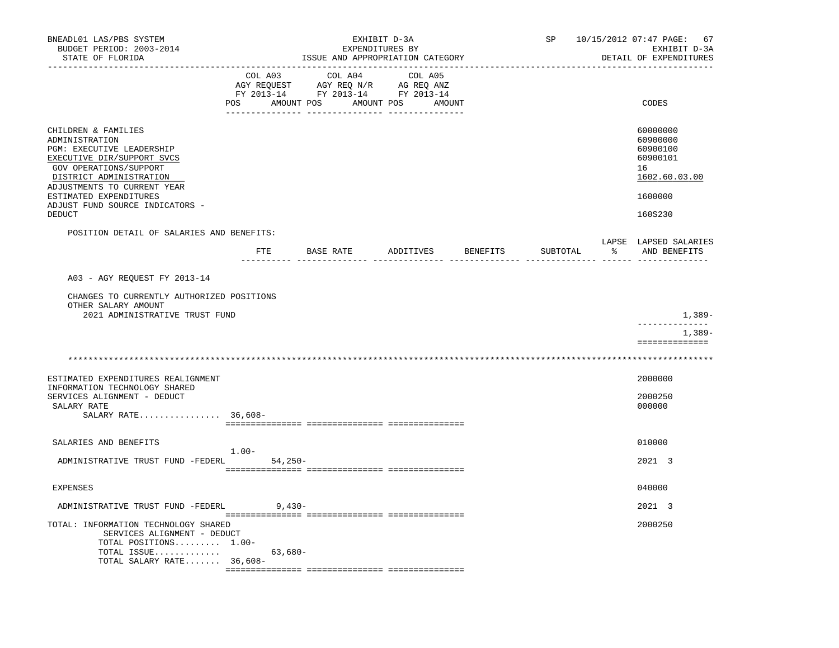| BNEADL01 LAS/PBS SYSTEM<br>BUDGET PERIOD: 2003-2014<br>STATE OF FLORIDA                                                                                                                                                                                                   |          |                      |           | EXHIBIT D-3A<br>EXPENDITURES BY | ISSUE AND APPROPRIATION CATEGORY                                                                                      |          | SP       | 10/15/2012 07:47 PAGE:<br>67<br>EXHIBIT D-3A<br>DETAIL OF EXPENDITURES                    |
|---------------------------------------------------------------------------------------------------------------------------------------------------------------------------------------------------------------------------------------------------------------------------|----------|----------------------|-----------|---------------------------------|-----------------------------------------------------------------------------------------------------------------------|----------|----------|-------------------------------------------------------------------------------------------|
|                                                                                                                                                                                                                                                                           |          | COL A03              |           | COL A04                         | COL A05<br>AGY REQUEST AGY REQ N/R AG REQ ANZ<br>FY 2013-14 FY 2013-14 FY 2013-14<br>POS AMOUNT POS AMOUNT POS AMOUNT |          |          | CODES                                                                                     |
| CHILDREN & FAMILIES<br>ADMINISTRATION<br><b>PGM: EXECUTIVE LEADERSHIP</b><br>EXECUTIVE DIR/SUPPORT SVCS<br>GOV OPERATIONS/SUPPORT<br>DISTRICT ADMINISTRATION<br>ADJUSTMENTS TO CURRENT YEAR<br>ESTIMATED EXPENDITURES<br>ADJUST FUND SOURCE INDICATORS -<br><b>DEDUCT</b> |          |                      |           |                                 |                                                                                                                       |          |          | 60000000<br>60900000<br>60900100<br>60900101<br>16<br>1602.60.03.00<br>1600000<br>160S230 |
| POSITION DETAIL OF SALARIES AND BENEFITS:                                                                                                                                                                                                                                 |          | FTE<br>--------- --- | BASE RATE |                                 | ADDITIVES                                                                                                             | BENEFITS | SUBTOTAL | LAPSE LAPSED SALARIES<br>AND BENEFITS                                                     |
| A03 - AGY REQUEST FY 2013-14<br>CHANGES TO CURRENTLY AUTHORIZED POSITIONS<br>OTHER SALARY AMOUNT<br>2021 ADMINISTRATIVE TRUST FUND                                                                                                                                        |          |                      |           |                                 |                                                                                                                       |          |          | 1,389-<br>------------<br>1,389-                                                          |
|                                                                                                                                                                                                                                                                           |          |                      |           |                                 |                                                                                                                       |          |          | ==============                                                                            |
| ESTIMATED EXPENDITURES REALIGNMENT<br>INFORMATION TECHNOLOGY SHARED<br>SERVICES ALIGNMENT - DEDUCT<br>SALARY RATE<br>SALARY RATE 36,608-                                                                                                                                  |          |                      |           |                                 |                                                                                                                       |          |          | 2000000<br>2000250<br>000000                                                              |
| SALARIES AND BENEFITS<br>ADMINISTRATIVE TRUST FUND -FEDERL                                                                                                                                                                                                                | $1.00 -$ | 54,250-              |           |                                 |                                                                                                                       |          |          | 010000<br>2021 3                                                                          |
| EXPENSES                                                                                                                                                                                                                                                                  |          |                      |           |                                 |                                                                                                                       |          |          | 040000                                                                                    |
| ADMINISTRATIVE TRUST FUND -FEDERL                                                                                                                                                                                                                                         |          | 9,430-               |           |                                 |                                                                                                                       |          |          | 2021 3                                                                                    |
| TOTAL: INFORMATION TECHNOLOGY SHARED<br>SERVICES ALIGNMENT - DEDUCT<br>TOTAL POSITIONS 1.00-<br>TOTAL ISSUE<br>TOTAL SALARY RATE $36,608-$                                                                                                                                |          | 63,680-              |           |                                 |                                                                                                                       |          |          | 2000250                                                                                   |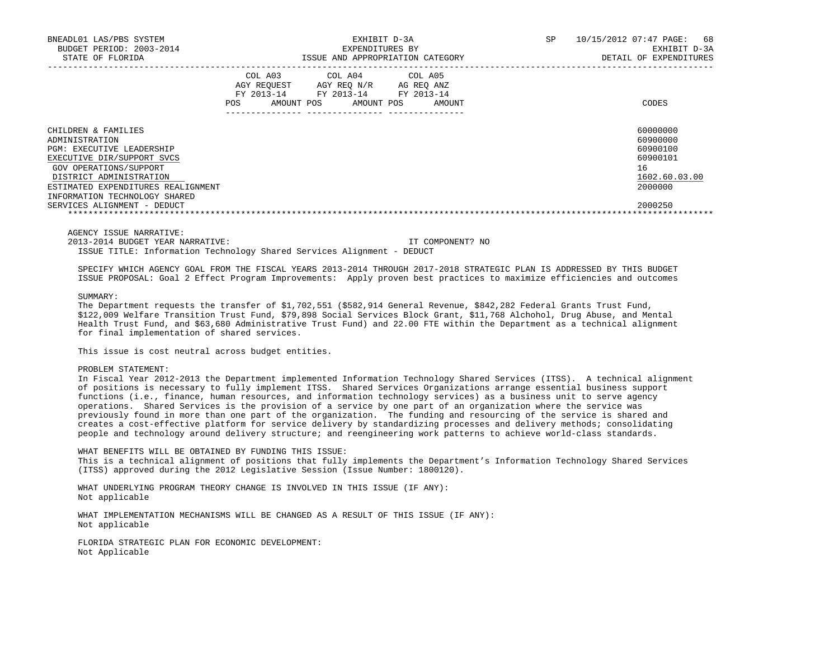| BNEADL01 LAS/PBS SYSTEM<br>BUDGET PERIOD: 2003-2014<br>STATE OF FLORIDA                                                                                                                                                             | EXHIBIT D-3A<br>EXPENDITURES BY<br>ISSUE AND APPROPRIATION CATEGORY |                       |                                                    |  | SP.                             | 10/15/2012 07:47 PAGE:<br>68<br>EXHIBIT D-3A<br>DETAIL OF EXPENDITURES |                                                                                |
|-------------------------------------------------------------------------------------------------------------------------------------------------------------------------------------------------------------------------------------|---------------------------------------------------------------------|-----------------------|----------------------------------------------------|--|---------------------------------|------------------------------------------------------------------------|--------------------------------------------------------------------------------|
|                                                                                                                                                                                                                                     | COL A03<br>AGY REOUEST<br>FY 2013-14<br>POS                         | COL A04<br>AMOUNT POS | AGY REO N/R<br>FY 2013-14 FY 2013-14<br>AMOUNT POS |  | COL A05<br>AG REO ANZ<br>AMOUNT |                                                                        | CODES                                                                          |
| CHILDREN & FAMILIES<br>ADMINISTRATION<br><b>PGM: EXECUTIVE LEADERSHIP</b><br>EXECUTIVE DIR/SUPPORT SVCS<br>GOV OPERATIONS/SUPPORT<br>DISTRICT ADMINISTRATION<br>ESTIMATED EXPENDITURES REALIGNMENT<br>INFORMATION TECHNOLOGY SHARED |                                                                     |                       |                                                    |  |                                 |                                                                        | 60000000<br>60900000<br>60900100<br>60900101<br>16<br>1602.60.03.00<br>2000000 |
| SERVICES ALIGNMENT - DEDUCT                                                                                                                                                                                                         |                                                                     |                       |                                                    |  |                                 |                                                                        | 2000250                                                                        |

AGENCY ISSUE NARRATIVE:

2013-2014 BUDGET YEAR NARRATIVE: IT COMPONENT? NO

ISSUE TITLE: Information Technology Shared Services Alignment - DEDUCT

 SPECIFY WHICH AGENCY GOAL FROM THE FISCAL YEARS 2013-2014 THROUGH 2017-2018 STRATEGIC PLAN IS ADDRESSED BY THIS BUDGET ISSUE PROPOSAL: Goal 2 Effect Program Improvements: Apply proven best practices to maximize efficiencies and outcomes

SUMMARY:

The Department requests the transfer of \$1,702,551 (\$582,914 General Revenue, \$842,282 Federal Grants Trust Fund, \$122,009 Welfare Transition Trust Fund, \$79,898 Social Services Block Grant, \$11,768 Alchohol, Drug Abuse, and Mental Health Trust Fund, and \$63,680 Administrative Trust Fund) and 22.00 FTE within the Department as a technical alignment for final implementation of shared services.

This issue is cost neutral across budget entities.

## PROBLEM STATEMENT:

 In Fiscal Year 2012-2013 the Department implemented Information Technology Shared Services (ITSS). A technical alignment of positions is necessary to fully implement ITSS. Shared Services Organizations arrange essential business support functions (i.e., finance, human resources, and information technology services) as a business unit to serve agency operations. Shared Services is the provision of a service by one part of an organization where the service was previously found in more than one part of the organization. The funding and resourcing of the service is shared and creates a cost-effective platform for service delivery by standardizing processes and delivery methods; consolidating people and technology around delivery structure; and reengineering work patterns to achieve world-class standards.

 WHAT BENEFITS WILL BE OBTAINED BY FUNDING THIS ISSUE: This is a technical alignment of positions that fully implements the Department's Information Technology Shared Services (ITSS) approved during the 2012 Legislative Session (Issue Number: 1800120).

 WHAT UNDERLYING PROGRAM THEORY CHANGE IS INVOLVED IN THIS ISSUE (IF ANY): Not applicable

 WHAT IMPLEMENTATION MECHANISMS WILL BE CHANGED AS A RESULT OF THIS ISSUE (IF ANY): Not applicable

 FLORIDA STRATEGIC PLAN FOR ECONOMIC DEVELOPMENT: Not Applicable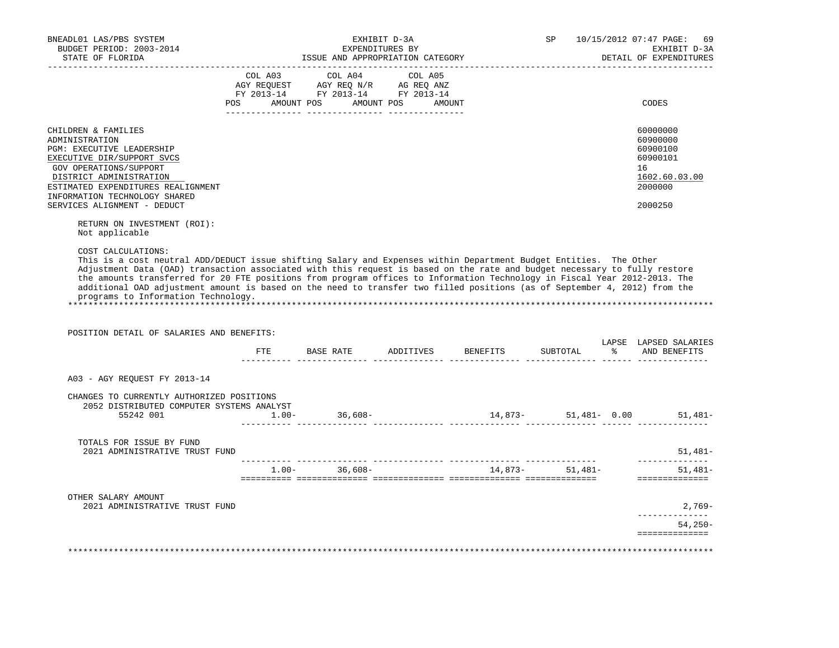| BUDGET PERIOD: 2003-2014<br>STATE OF FLORIDA                                                                                                                                                                                                                                                                                                                                                                                                                            |                | EXHIBIT D-3A<br>ISSUE AND APPROPRIATION CATEGORY                                                                                                                                                                            | EXPENDITURES BY |                                                                                                                   | SP               | 10/15/2012 07:47 PAGE: | EXHIBIT D-3A<br>DETAIL OF EXPENDITURES                                                                                                                        |
|-------------------------------------------------------------------------------------------------------------------------------------------------------------------------------------------------------------------------------------------------------------------------------------------------------------------------------------------------------------------------------------------------------------------------------------------------------------------------|----------------|-----------------------------------------------------------------------------------------------------------------------------------------------------------------------------------------------------------------------------|-----------------|-------------------------------------------------------------------------------------------------------------------|------------------|------------------------|---------------------------------------------------------------------------------------------------------------------------------------------------------------|
| ------------------                                                                                                                                                                                                                                                                                                                                                                                                                                                      | COL A03<br>POS | $\begin{tabular}{lllllll} \bf AGY \,\, REQUEST \,\, &\bf AGY \,\, REQ \,\, N/R &\bf AG \,\, REQ \,\, ANZ \\ \bf FY \,\, 2013-14 &\bf FY \,\, 2013-14 &\bf FY \,\, 2013-14 \\ \end{tabular}$<br>AMOUNT POS AMOUNT POS AMOUNT | COL A04 COL A05 |                                                                                                                   |                  |                        | CODES                                                                                                                                                         |
| CHILDREN & FAMILIES<br>ADMINISTRATION<br><b>PGM: EXECUTIVE LEADERSHIP</b><br>EXECUTIVE DIR/SUPPORT SVCS<br>GOV OPERATIONS/SUPPORT<br>DISTRICT ADMINISTRATION<br>ESTIMATED EXPENDITURES REALIGNMENT<br>INFORMATION TECHNOLOGY SHARED<br>SERVICES ALIGNMENT - DEDUCT<br>RETURN ON INVESTMENT (ROI):<br>Not applicable                                                                                                                                                     |                |                                                                                                                                                                                                                             |                 |                                                                                                                   |                  |                        | 60000000<br>60900000<br>60900100<br>60900101<br>16<br>1602.60.03.00<br>2000000<br>2000250                                                                     |
| COST CALCULATIONS:                                                                                                                                                                                                                                                                                                                                                                                                                                                      |                |                                                                                                                                                                                                                             |                 | This is a cost neutral ADD/DEDUCT issue shifting Salary and Expenses within Department Budget Entities. The Other |                  |                        |                                                                                                                                                               |
| Adjustment Data (OAD) transaction associated with this request is based on the rate and budget necessary to fully restore<br>the amounts transferred for 20 FTE positions from program offices to Information Technology in Fiscal Year 2012-2013. The<br>additional OAD adjustment amount is based on the need to transfer two filled positions (as of September 4, 2012) from the<br>programs to Information Technology.<br>POSITION DETAIL OF SALARIES AND BENEFITS: |                |                                                                                                                                                                                                                             |                 |                                                                                                                   |                  |                        |                                                                                                                                                               |
|                                                                                                                                                                                                                                                                                                                                                                                                                                                                         | ETE            | BASE RATE                                                                                                                                                                                                                   | ADDITIVES       | BENEFITS                                                                                                          | SUBTOTAL         | $\frac{1}{6}$          | AND BENEFITS                                                                                                                                                  |
| A03 - AGY REQUEST FY 2013-14                                                                                                                                                                                                                                                                                                                                                                                                                                            |                |                                                                                                                                                                                                                             |                 |                                                                                                                   |                  |                        |                                                                                                                                                               |
| CHANGES TO CURRENTLY AUTHORIZED POSITIONS<br>2052 DISTRIBUTED COMPUTER SYSTEMS ANALYST<br>55242 001                                                                                                                                                                                                                                                                                                                                                                     | $1.00 -$       | 36,608-                                                                                                                                                                                                                     |                 |                                                                                                                   |                  |                        |                                                                                                                                                               |
| TOTALS FOR ISSUE BY FUND<br>2021 ADMINISTRATIVE TRUST FUND                                                                                                                                                                                                                                                                                                                                                                                                              |                |                                                                                                                                                                                                                             |                 |                                                                                                                   |                  |                        |                                                                                                                                                               |
|                                                                                                                                                                                                                                                                                                                                                                                                                                                                         |                | $1.00 - 36,608 -$                                                                                                                                                                                                           |                 |                                                                                                                   | $14,873-51,481-$ |                        |                                                                                                                                                               |
|                                                                                                                                                                                                                                                                                                                                                                                                                                                                         |                |                                                                                                                                                                                                                             |                 |                                                                                                                   |                  |                        |                                                                                                                                                               |
| OTHER SALARY AMOUNT<br>2021 ADMINISTRATIVE TRUST FUND                                                                                                                                                                                                                                                                                                                                                                                                                   |                |                                                                                                                                                                                                                             |                 |                                                                                                                   |                  |                        | LAPSE LAPSED SALARIES<br>$14,873-51,481-0.00$ 51,481-<br>$51,481-$<br>______________<br>$51.481 -$<br>==============<br>$2,769-$<br>. _ _ _ _ _ _ _ _ _ _ _ _ |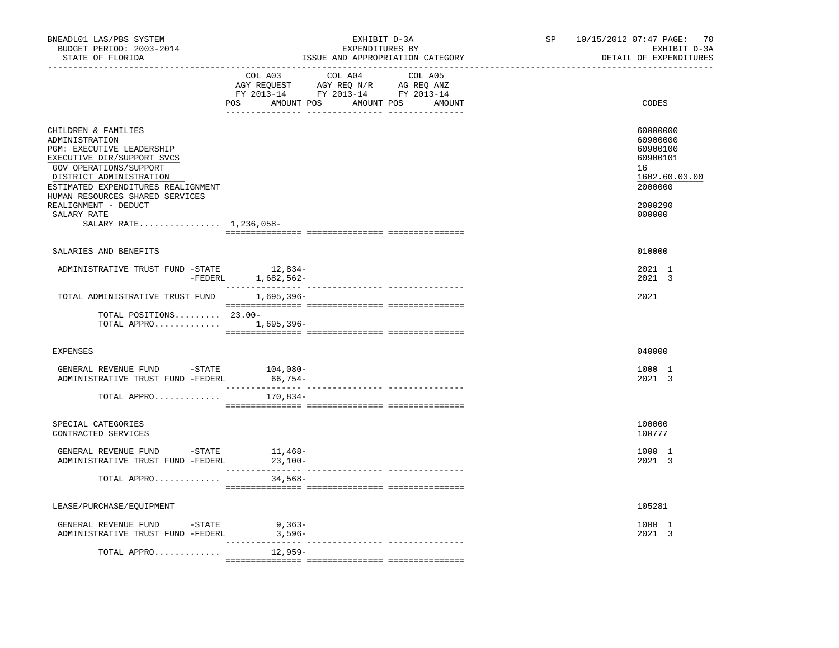| BNEADL01 LAS/PBS SYSTEM<br>BUDGET PERIOD: 2003-2014<br>STATE OF FLORIDA                                                                                                                                                                                                                                |                                                                                                                                                                                                                                                                                                                                                                                                                                     | EXHIBIT D-3A<br>EXPENDITURES BY<br>ISSUE AND APPROPRIATION CATEGORY |         | SP <sub>2</sub><br>------------------------------- | 10/15/2012 07:47 PAGE: 70<br>EXHIBIT D-3A<br>DETAIL OF EXPENDITURES                                 |
|--------------------------------------------------------------------------------------------------------------------------------------------------------------------------------------------------------------------------------------------------------------------------------------------------------|-------------------------------------------------------------------------------------------------------------------------------------------------------------------------------------------------------------------------------------------------------------------------------------------------------------------------------------------------------------------------------------------------------------------------------------|---------------------------------------------------------------------|---------|----------------------------------------------------|-----------------------------------------------------------------------------------------------------|
|                                                                                                                                                                                                                                                                                                        | COL A03<br>AGY REQUEST AGY REQ N/R AG REQ ANZ<br>FY 2013-14 FY 2013-14 FY 2013-14<br>POS AMOUNT POS AMOUNT POS AMOUNT                                                                                                                                                                                                                                                                                                               | COL A04                                                             | COL A05 |                                                    | CODES                                                                                               |
| CHILDREN & FAMILIES<br>ADMINISTRATION<br><b>PGM: EXECUTIVE LEADERSHIP</b><br>EXECUTIVE DIR/SUPPORT SVCS<br>GOV OPERATIONS/SUPPORT<br>DISTRICT ADMINISTRATION<br>ESTIMATED EXPENDITURES REALIGNMENT<br>HUMAN RESOURCES SHARED SERVICES<br>REALIGNMENT - DEDUCT<br>SALARY RATE<br>SALARY RATE 1,236,058- |                                                                                                                                                                                                                                                                                                                                                                                                                                     |                                                                     |         |                                                    | 60000000<br>60900000<br>60900100<br>60900101<br>16<br>1602.60.03.00<br>2000000<br>2000290<br>000000 |
| SALARIES AND BENEFITS                                                                                                                                                                                                                                                                                  |                                                                                                                                                                                                                                                                                                                                                                                                                                     |                                                                     |         |                                                    | 010000                                                                                              |
| ADMINISTRATIVE TRUST FUND -STATE                                                                                                                                                                                                                                                                       | 12,834-<br>-FEDERL 1,682,562-                                                                                                                                                                                                                                                                                                                                                                                                       |                                                                     |         |                                                    | 2021 1<br>2021 3                                                                                    |
| TOTAL ADMINISTRATIVE TRUST FUND 1,695,396-                                                                                                                                                                                                                                                             | $\begin{minipage}{0.03\textwidth} \begin{tabular}{l} \textbf{1} & \textbf{2} & \textbf{3} & \textbf{5} & \textbf{6} & \textbf{7} & \textbf{8} & \textbf{9} & \textbf{9} & \textbf{1} & \textbf{1} & \textbf{1} & \textbf{1} & \textbf{1} & \textbf{1} & \textbf{1} & \textbf{1} & \textbf{1} & \textbf{1} & \textbf{1} & \textbf{1} & \textbf{1} & \textbf{1} & \textbf{1} & \textbf{1} & \textbf{1} & \textbf{1} & \textbf{1} & \$ |                                                                     |         |                                                    | 2021                                                                                                |
| TOTAL POSITIONS 23.00-<br>TOTAL APPRO 1,695,396-                                                                                                                                                                                                                                                       |                                                                                                                                                                                                                                                                                                                                                                                                                                     |                                                                     |         |                                                    |                                                                                                     |
| <b>EXPENSES</b>                                                                                                                                                                                                                                                                                        |                                                                                                                                                                                                                                                                                                                                                                                                                                     |                                                                     |         |                                                    | 040000                                                                                              |
| GENERAL REVENUE FUND -STATE 104,080-<br>ADMINISTRATIVE TRUST FUND -FEDERL                                                                                                                                                                                                                              | 66,754-                                                                                                                                                                                                                                                                                                                                                                                                                             |                                                                     |         |                                                    | 1000 1<br>2021 3                                                                                    |
| TOTAL APPRO                                                                                                                                                                                                                                                                                            | 170,834-                                                                                                                                                                                                                                                                                                                                                                                                                            |                                                                     |         |                                                    |                                                                                                     |
| SPECIAL CATEGORIES<br>CONTRACTED SERVICES                                                                                                                                                                                                                                                              |                                                                                                                                                                                                                                                                                                                                                                                                                                     |                                                                     |         |                                                    | 100000<br>100777                                                                                    |
| GENERAL REVENUE FUND $-$ STATE 11, 468-<br>ADMINISTRATIVE TRUST FUND -FEDERL                                                                                                                                                                                                                           | 23,100-                                                                                                                                                                                                                                                                                                                                                                                                                             |                                                                     |         |                                                    | 1000 1<br>2021 3                                                                                    |
| TOTAL APPRO                                                                                                                                                                                                                                                                                            | 34,568-                                                                                                                                                                                                                                                                                                                                                                                                                             |                                                                     |         |                                                    |                                                                                                     |
| LEASE/PURCHASE/EQUIPMENT                                                                                                                                                                                                                                                                               |                                                                                                                                                                                                                                                                                                                                                                                                                                     |                                                                     |         |                                                    | 105281                                                                                              |
| GENERAL REVENUE FUND -STATE<br>ADMINISTRATIVE TRUST FUND -FEDERL                                                                                                                                                                                                                                       | $9,363-$<br>$3,596-$                                                                                                                                                                                                                                                                                                                                                                                                                |                                                                     |         |                                                    | 1000 1<br>2021 3                                                                                    |
| TOTAL APPRO                                                                                                                                                                                                                                                                                            | $12,959-$                                                                                                                                                                                                                                                                                                                                                                                                                           |                                                                     |         |                                                    |                                                                                                     |
|                                                                                                                                                                                                                                                                                                        |                                                                                                                                                                                                                                                                                                                                                                                                                                     |                                                                     |         |                                                    |                                                                                                     |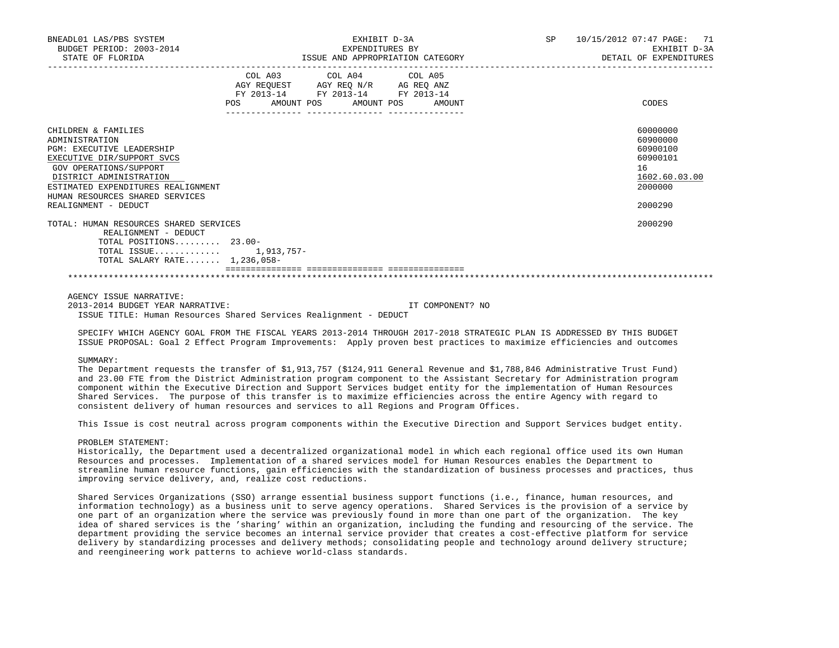| BNEADL01 LAS/PBS SYSTEM<br>BUDGET PERIOD: 2003-2014<br>STATE OF FLORIDA                                                                                                                                                                                       | EXHIBIT D-3A<br>EXPENDITURES BY<br>ISSUE AND APPROPRIATION CATEGORY                                                                                                                                                                                            |  | <b>SP</b> | 10/15/2012 07:47 PAGE: 71<br>EXHIBIT D-3A<br>DETAIL OF EXPENDITURES                       |
|---------------------------------------------------------------------------------------------------------------------------------------------------------------------------------------------------------------------------------------------------------------|----------------------------------------------------------------------------------------------------------------------------------------------------------------------------------------------------------------------------------------------------------------|--|-----------|-------------------------------------------------------------------------------------------|
|                                                                                                                                                                                                                                                               | COL A03 COL A04 COL A05<br>$\begin{tabular}{lllllll} AGY & \texttt{REQUEST} & \texttt{AGY} & \texttt{REG} & \texttt{N/R} & \texttt{AG} & \texttt{REG} & \texttt{ANZ} \end{tabular}$<br>FY 2013-14 FY 2013-14 FY 2013-14<br>AMOUNT POS AMOUNT POS AMOUNT<br>POS |  |           | CODES                                                                                     |
| CHILDREN & FAMILIES<br>ADMINISTRATION<br><b>PGM: EXECUTIVE LEADERSHIP</b><br>EXECUTIVE DIR/SUPPORT SVCS<br>GOV OPERATIONS/SUPPORT<br>DISTRICT ADMINISTRATION<br>ESTIMATED EXPENDITURES REALIGNMENT<br>HUMAN RESOURCES SHARED SERVICES<br>REALIGNMENT - DEDUCT |                                                                                                                                                                                                                                                                |  |           | 60000000<br>60900000<br>60900100<br>60900101<br>16<br>1602.60.03.00<br>2000000<br>2000290 |
| TOTAL: HUMAN RESOURCES SHARED SERVICES<br>REALIGNMENT - DEDUCT<br>TOTAL POSITIONS $23.00-$<br>TOTAL ISSUE 1,913,757-<br>TOTAL SALARY RATE 1,236,058-                                                                                                          |                                                                                                                                                                                                                                                                |  |           | 2000290                                                                                   |

AGENCY ISSUE NARRATIVE:

 2013-2014 BUDGET YEAR NARRATIVE: IT COMPONENT? NO ISSUE TITLE: Human Resources Shared Services Realignment - DEDUCT

 SPECIFY WHICH AGENCY GOAL FROM THE FISCAL YEARS 2013-2014 THROUGH 2017-2018 STRATEGIC PLAN IS ADDRESSED BY THIS BUDGET ISSUE PROPOSAL: Goal 2 Effect Program Improvements: Apply proven best practices to maximize efficiencies and outcomes

#### SUMMARY:

 The Department requests the transfer of \$1,913,757 (\$124,911 General Revenue and \$1,788,846 Administrative Trust Fund) and 23.00 FTE from the District Administration program component to the Assistant Secretary for Administration program component within the Executive Direction and Support Services budget entity for the implementation of Human Resources Shared Services. The purpose of this transfer is to maximize efficiencies across the entire Agency with regard to consistent delivery of human resources and services to all Regions and Program Offices.

This Issue is cost neutral across program components within the Executive Direction and Support Services budget entity.

## PROBLEM STATEMENT:

 Historically, the Department used a decentralized organizational model in which each regional office used its own Human Resources and processes. Implementation of a shared services model for Human Resources enables the Department to streamline human resource functions, gain efficiencies with the standardization of business processes and practices, thus improving service delivery, and, realize cost reductions.

 Shared Services Organizations (SSO) arrange essential business support functions (i.e., finance, human resources, and information technology) as a business unit to serve agency operations. Shared Services is the provision of a service by one part of an organization where the service was previously found in more than one part of the organization. The key idea of shared services is the 'sharing' within an organization, including the funding and resourcing of the service. The department providing the service becomes an internal service provider that creates a cost-effective platform for service delivery by standardizing processes and delivery methods; consolidating people and technology around delivery structure; and reengineering work patterns to achieve world-class standards.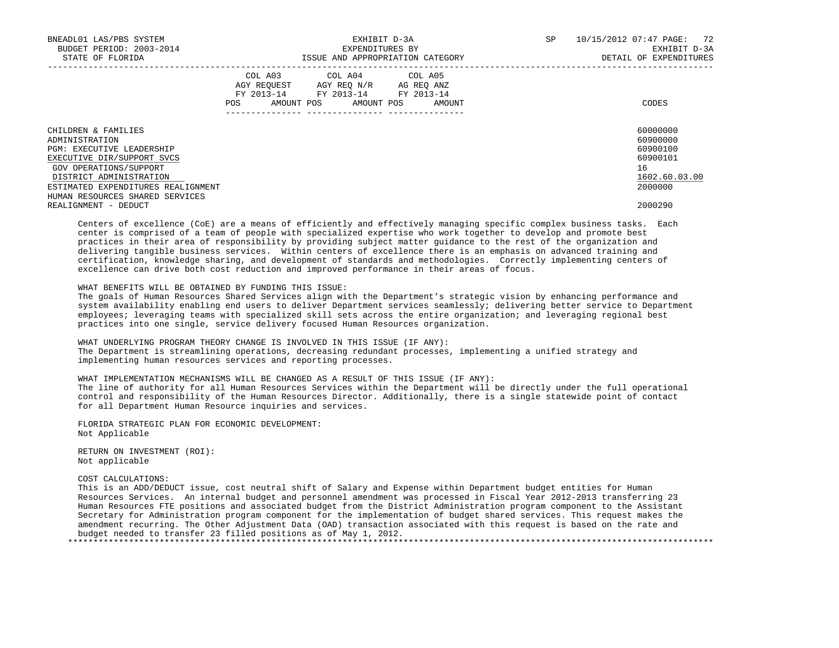| BNEADL01 LAS/PBS SYSTEM<br>BUDGET PERIOD: 2003-2014<br>STATE OF FLORIDA                                                                                                                                                               | EXHIBIT D-3A<br>EXPENDITURES BY<br>ISSUE AND APPROPRIATION CATEGORY                                                                         | 10/15/2012 07:47 PAGE: 72<br>SP<br>EXHIBIT D-3A<br>DETAIL OF EXPENDITURES      |
|---------------------------------------------------------------------------------------------------------------------------------------------------------------------------------------------------------------------------------------|---------------------------------------------------------------------------------------------------------------------------------------------|--------------------------------------------------------------------------------|
|                                                                                                                                                                                                                                       | COL A03 COL A04 COL A05<br>AGY REOUEST AGY REO N/R AG REO ANZ<br>FY 2013-14 FY 2013-14 FY 2013-14<br>AMOUNT POS AMOUNT POS<br>POS<br>AMOUNT | CODES                                                                          |
| CHILDREN & FAMILIES<br>ADMINISTRATION<br><b>PGM: EXECUTIVE LEADERSHIP</b><br>EXECUTIVE DIR/SUPPORT SVCS<br>GOV OPERATIONS/SUPPORT<br>DISTRICT ADMINISTRATION<br>ESTIMATED EXPENDITURES REALIGNMENT<br>HUMAN RESOURCES SHARED SERVICES |                                                                                                                                             | 60000000<br>60900000<br>60900100<br>60900101<br>16<br>1602.60.03.00<br>2000000 |
| REALIGNMENT - DEDUCT                                                                                                                                                                                                                  |                                                                                                                                             | 2000290                                                                        |
|                                                                                                                                                                                                                                       |                                                                                                                                             |                                                                                |

 Centers of excellence (CoE) are a means of efficiently and effectively managing specific complex business tasks. Each center is comprised of a team of people with specialized expertise who work together to develop and promote best practices in their area of responsibility by providing subject matter guidance to the rest of the organization and delivering tangible business services. Within centers of excellence there is an emphasis on advanced training and certification, knowledge sharing, and development of standards and methodologies. Correctly implementing centers of excellence can drive both cost reduction and improved performance in their areas of focus.

WHAT BENEFITS WILL BE OBTAINED BY FUNDING THIS ISSUE:

 The goals of Human Resources Shared Services align with the Department's strategic vision by enhancing performance and system availability enabling end users to deliver Department services seamlessly; delivering better service to Department employees; leveraging teams with specialized skill sets across the entire organization; and leveraging regional best practices into one single, service delivery focused Human Resources organization.

 WHAT UNDERLYING PROGRAM THEORY CHANGE IS INVOLVED IN THIS ISSUE (IF ANY): The Department is streamlining operations, decreasing redundant processes, implementing a unified strategy and implementing human resources services and reporting processes.

 WHAT IMPLEMENTATION MECHANISMS WILL BE CHANGED AS A RESULT OF THIS ISSUE (IF ANY): The line of authority for all Human Resources Services within the Department will be directly under the full operational control and responsibility of the Human Resources Director. Additionally, there is a single statewide point of contact for all Department Human Resource inquiries and services.

 FLORIDA STRATEGIC PLAN FOR ECONOMIC DEVELOPMENT: Not Applicable

 RETURN ON INVESTMENT (ROI): Not applicable

COST CALCULATIONS:

 This is an ADD/DEDUCT issue, cost neutral shift of Salary and Expense within Department budget entities for Human Resources Services. An internal budget and personnel amendment was processed in Fiscal Year 2012-2013 transferring 23 Human Resources FTE positions and associated budget from the District Administration program component to the Assistant Secretary for Administration program component for the implementation of budget shared services. This request makes the amendment recurring. The Other Adjustment Data (OAD) transaction associated with this request is based on the rate and budget needed to transfer 23 filled positions as of May 1, 2012. \*\*\*\*\*\*\*\*\*\*\*\*\*\*\*\*\*\*\*\*\*\*\*\*\*\*\*\*\*\*\*\*\*\*\*\*\*\*\*\*\*\*\*\*\*\*\*\*\*\*\*\*\*\*\*\*\*\*\*\*\*\*\*\*\*\*\*\*\*\*\*\*\*\*\*\*\*\*\*\*\*\*\*\*\*\*\*\*\*\*\*\*\*\*\*\*\*\*\*\*\*\*\*\*\*\*\*\*\*\*\*\*\*\*\*\*\*\*\*\*\*\*\*\*\*\*\*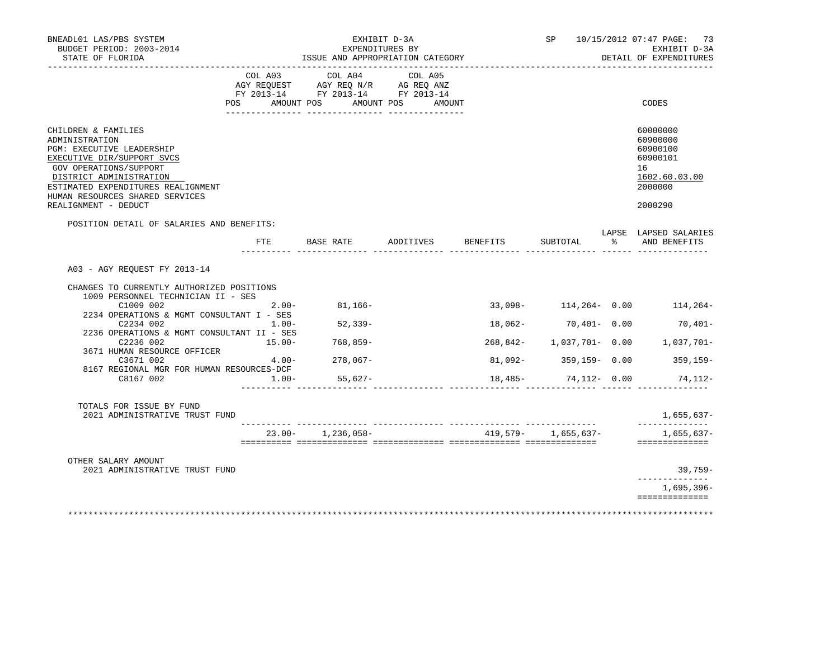| BNEADL01 LAS/PBS SYSTEM<br>BUDGET PERIOD: 2003-2014<br>STATE OF FLORIDA                                                                                                                                                                                       |                                | EXHIBIT D-3A<br>EXPENDITURES BY<br>ISSUE AND APPROPRIATION CATEGORY                                                       |                                 |          |                           |       | SP 10/15/2012 07:47 PAGE: 73<br>EXHIBIT D-3A<br>DETAIL OF EXPENDITURES                    |
|---------------------------------------------------------------------------------------------------------------------------------------------------------------------------------------------------------------------------------------------------------------|--------------------------------|---------------------------------------------------------------------------------------------------------------------------|---------------------------------|----------|---------------------------|-------|-------------------------------------------------------------------------------------------|
|                                                                                                                                                                                                                                                               | COL A03<br>POS AMOUNT POS      | ____________________________________<br>COL A04<br>AGY REQUEST AGY REQ N/R AG REQ ANZ<br>FY 2013-14 FY 2013-14 FY 2013-14 | COL A05<br>AMOUNT POS<br>AMOUNT |          |                           |       | CODES                                                                                     |
| CHILDREN & FAMILIES<br>ADMINISTRATION<br><b>PGM: EXECUTIVE LEADERSHIP</b><br>EXECUTIVE DIR/SUPPORT SVCS<br>GOV OPERATIONS/SUPPORT<br>DISTRICT ADMINISTRATION<br>ESTIMATED EXPENDITURES REALIGNMENT<br>HUMAN RESOURCES SHARED SERVICES<br>REALIGNMENT - DEDUCT |                                |                                                                                                                           |                                 |          |                           |       | 60000000<br>60900000<br>60900100<br>60900101<br>16<br>1602.60.03.00<br>2000000<br>2000290 |
| POSITION DETAIL OF SALARIES AND BENEFITS:                                                                                                                                                                                                                     |                                |                                                                                                                           |                                 |          |                           |       | LAPSE LAPSED SALARIES                                                                     |
|                                                                                                                                                                                                                                                               | $_{\rm FTE}$                   | BASE RATE                                                                                                                 | ADDITIVES                       | BENEFITS | SUBTOTAL                  | း - ၁ | AND BENEFITS                                                                              |
| A03 - AGY REOUEST FY 2013-14<br>CHANGES TO CURRENTLY AUTHORIZED POSITIONS<br>1009 PERSONNEL TECHNICIAN II - SES<br>C1009 002                                                                                                                                  | $2.00 -$                       | $81,166-$                                                                                                                 |                                 |          | $33,098 - 114,264 - 0.00$ |       | 114,264-                                                                                  |
| 2234 OPERATIONS & MGMT CONSULTANT I - SES<br>C2234 002                                                                                                                                                                                                        | $1.00-$                        | 52,339-                                                                                                                   |                                 |          | 18,062- 70,401- 0.00      |       | 70,401-                                                                                   |
| 2236 OPERATIONS & MGMT CONSULTANT II - SES<br>C2236 002<br>3671 HUMAN RESOURCE OFFICER                                                                                                                                                                        | 15.00-                         | 768,859-                                                                                                                  |                                 |          |                           |       | 268,842- 1,037,701- 0.00 1,037,701-                                                       |
| C3671 002                                                                                                                                                                                                                                                     |                                | $4.00 - 278,067 -$                                                                                                        |                                 |          | 81,092- 359,159- 0.00     |       | $359,159-$                                                                                |
| 8167 REGIONAL MGR FOR HUMAN RESOURCES-DCF<br>C8167 002                                                                                                                                                                                                        | $1.00-$<br>_________ _________ | 55,627-                                                                                                                   |                                 |          | 18,485- 74,112- 0.00      |       | 74,112-                                                                                   |
| TOTALS FOR ISSUE BY FUND<br>2021 ADMINISTRATIVE TRUST FUND                                                                                                                                                                                                    |                                |                                                                                                                           |                                 |          |                           |       | 1,655,637-                                                                                |
|                                                                                                                                                                                                                                                               |                                | $23.00 - 1,236,058 -$                                                                                                     |                                 |          | 419,579- 1,655,637-       |       | --------------<br>1,655,637-<br>==============                                            |
| OTHER SALARY AMOUNT                                                                                                                                                                                                                                           |                                |                                                                                                                           |                                 |          |                           |       |                                                                                           |
| 2021 ADMINISTRATIVE TRUST FUND                                                                                                                                                                                                                                |                                |                                                                                                                           |                                 |          |                           |       | 39,759-<br>_____________                                                                  |
|                                                                                                                                                                                                                                                               |                                |                                                                                                                           |                                 |          |                           |       | 1,695,396–                                                                                |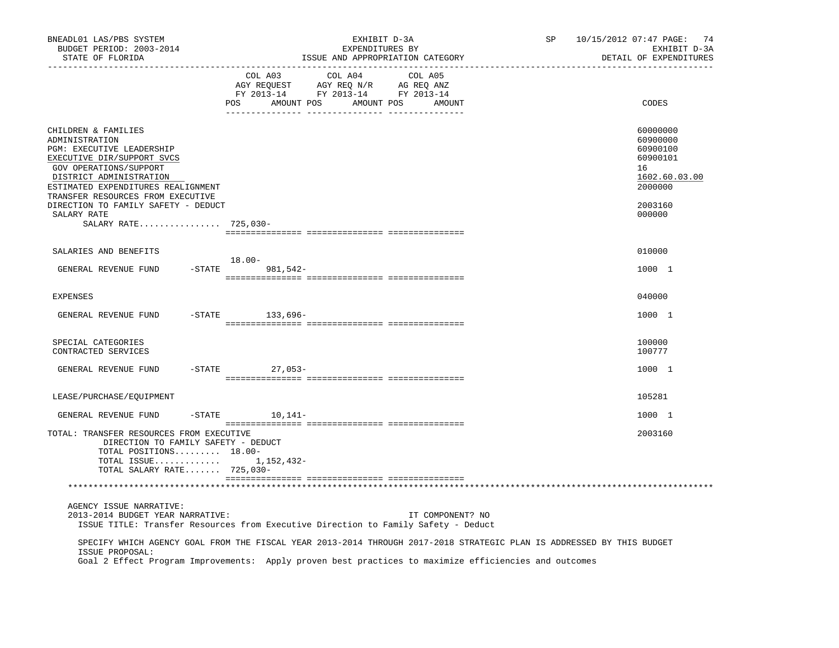| BNEADL01 LAS/PBS SYSTEM<br>BUDGET PERIOD: 2003-2014<br>STATE OF FLORIDA                                                                                                                                                          |           |                       | EXHIBIT D-3A<br>EXPENDITURES BY<br>ISSUE AND APPROPRIATION CATEGORY                                        |         |                  | SP | 10/15/2012 07:47 PAGE: 74<br>EXHIBIT D-3A<br>DETAIL OF EXPENDITURES            |
|----------------------------------------------------------------------------------------------------------------------------------------------------------------------------------------------------------------------------------|-----------|-----------------------|------------------------------------------------------------------------------------------------------------|---------|------------------|----|--------------------------------------------------------------------------------|
|                                                                                                                                                                                                                                  |           | COL A03<br><b>POS</b> | COL A04<br>NOT REQUEST AGY REQ N/R AG REQ ANZ<br>FY 2013-14 FY 2013-14 FY 2013-14<br>AMOUNT POS AMOUNT POS | COL A05 | AMOUNT           |    | CODES                                                                          |
| CHILDREN & FAMILIES<br>ADMINISTRATION<br>PGM: EXECUTIVE LEADERSHIP<br>EXECUTIVE DIR/SUPPORT SVCS<br>GOV OPERATIONS/SUPPORT<br>DISTRICT ADMINISTRATION<br>ESTIMATED EXPENDITURES REALIGNMENT<br>TRANSFER RESOURCES FROM EXECUTIVE |           |                       |                                                                                                            |         |                  |    | 60000000<br>60900000<br>60900100<br>60900101<br>16<br>1602.60.03.00<br>2000000 |
| DIRECTION TO FAMILY SAFETY - DEDUCT<br>SALARY RATE                                                                                                                                                                               |           |                       |                                                                                                            |         |                  |    | 2003160<br>000000                                                              |
| SALARY RATE 725,030-                                                                                                                                                                                                             |           |                       |                                                                                                            |         |                  |    |                                                                                |
| SALARIES AND BENEFITS                                                                                                                                                                                                            |           | $18.00 -$             |                                                                                                            |         |                  |    | 010000                                                                         |
| GENERAL REVENUE FUND                                                                                                                                                                                                             | $-STATE$  | 981,542-              |                                                                                                            |         |                  |    | 1000 1                                                                         |
| <b>EXPENSES</b>                                                                                                                                                                                                                  |           |                       |                                                                                                            |         |                  |    | 040000                                                                         |
| GENERAL REVENUE FUND                                                                                                                                                                                                             |           | -STATE 133,696-       |                                                                                                            |         |                  |    | 1000 1                                                                         |
| SPECIAL CATEGORIES<br>CONTRACTED SERVICES                                                                                                                                                                                        |           |                       |                                                                                                            |         |                  |    | 100000<br>100777                                                               |
| GENERAL REVENUE FUND                                                                                                                                                                                                             |           | -STATE 27,053-        |                                                                                                            |         |                  |    | 1000 1                                                                         |
| LEASE/PURCHASE/EOUIPMENT                                                                                                                                                                                                         |           |                       |                                                                                                            |         |                  |    | 105281                                                                         |
| GENERAL REVENUE FUND                                                                                                                                                                                                             | $-$ STATE | $10,141-$             |                                                                                                            |         |                  |    | 1000 1                                                                         |
| TOTAL: TRANSFER RESOURCES FROM EXECUTIVE<br>DIRECTION TO FAMILY SAFETY - DEDUCT<br>TOTAL POSITIONS 18.00-<br>TOTAL ISSUE 1,152,432-<br>TOTAL SALARY RATE 725,030-                                                                |           |                       |                                                                                                            |         |                  |    | 2003160                                                                        |
|                                                                                                                                                                                                                                  |           |                       |                                                                                                            |         |                  |    |                                                                                |
| AGENCY ISSUE NARRATIVE:<br>2013-2014 BUDGET YEAR NARRATIVE:<br>ISSUE TITLE: Transfer Resources from Executive Direction to Family Safety - Deduct                                                                                |           |                       |                                                                                                            |         | IT COMPONENT? NO |    |                                                                                |
| SPECIFY WHICH AGENCY GOAL FROM THE FISCAL YEAR 2013-2014 THROUGH 2017-2018 STRATEGIC PLAN IS ADDRESSED BY THIS BUDGET<br>ISSUE PROPOSAL:                                                                                         |           |                       |                                                                                                            |         |                  |    |                                                                                |

Goal 2 Effect Program Improvements: Apply proven best practices to maximize efficiencies and outcomes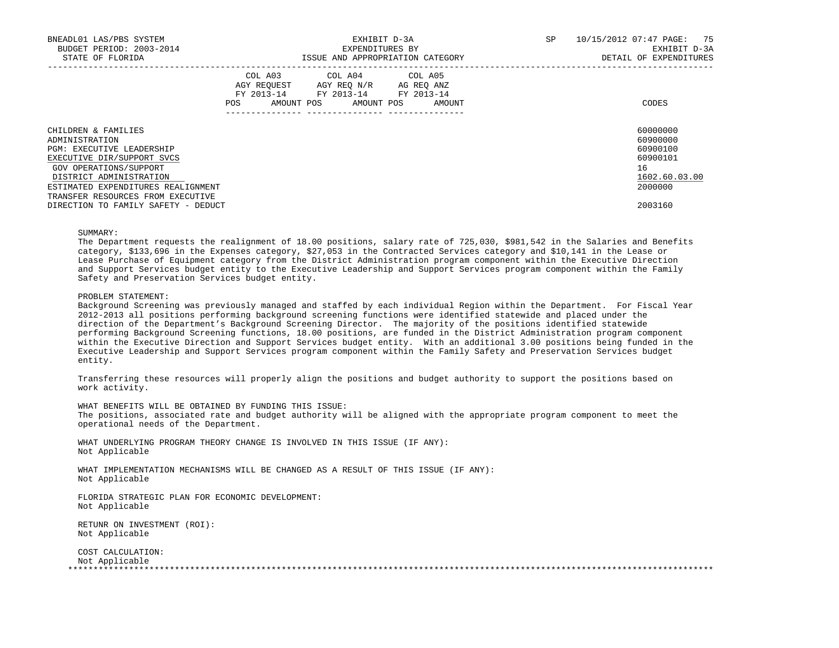| BNEADL01 LAS/PBS SYSTEM<br>BUDGET PERIOD: 2003-2014<br>STATE OF FLORIDA |     | EXHIBIT D-3A<br>EXPENDITURES BY                                                                                            | ISSUE AND APPROPRIATION CATEGORY | SP | 10/15/2012 07:47 PAGE: 75<br>EXHIBIT D-3A<br>DETAIL OF EXPENDITURES |
|-------------------------------------------------------------------------|-----|----------------------------------------------------------------------------------------------------------------------------|----------------------------------|----|---------------------------------------------------------------------|
|                                                                         | POS | COL A03 COL A04 COL A05<br>AGY REQUEST AGY REO N/R AG REO ANZ<br>FY 2013-14 FY 2013-14 FY 2013-14<br>AMOUNT POS AMOUNT POS | AMOUNT                           |    | CODES                                                               |
| CHILDREN & FAMILIES                                                     |     |                                                                                                                            |                                  |    | 60000000                                                            |
| ADMINISTRATION                                                          |     |                                                                                                                            |                                  |    | 60900000                                                            |
| <b>PGM: EXECUTIVE LEADERSHIP</b><br>EXECUTIVE DIR/SUPPORT SVCS          |     |                                                                                                                            |                                  |    | 60900100<br>60900101                                                |
| GOV OPERATIONS/SUPPORT                                                  |     |                                                                                                                            |                                  |    | 16                                                                  |
| DISTRICT ADMINISTRATION                                                 |     |                                                                                                                            |                                  |    | 1602.60.03.00                                                       |
| ESTIMATED EXPENDITURES REALIGNMENT                                      |     |                                                                                                                            |                                  |    | 2000000                                                             |
| TRANSFER RESOURCES FROM EXECUTIVE                                       |     |                                                                                                                            |                                  |    |                                                                     |
| DIRECTION TO FAMILY SAFETY - DEDUCT                                     |     |                                                                                                                            |                                  |    | 2003160                                                             |

## SUMMARY:

 The Department requests the realignment of 18.00 positions, salary rate of 725,030, \$981,542 in the Salaries and Benefits category, \$133,696 in the Expenses category, \$27,053 in the Contracted Services category and \$10,141 in the Lease or Lease Purchase of Equipment category from the District Administration program component within the Executive Direction and Support Services budget entity to the Executive Leadership and Support Services program component within the Family Safety and Preservation Services budget entity.

### PROBLEM STATEMENT:

 Background Screening was previously managed and staffed by each individual Region within the Department. For Fiscal Year 2012-2013 all positions performing background screening functions were identified statewide and placed under the direction of the Department's Background Screening Director. The majority of the positions identified statewide performing Background Screening functions, 18.00 positions, are funded in the District Administration program component within the Executive Direction and Support Services budget entity. With an additional 3.00 positions being funded in the Executive Leadership and Support Services program component within the Family Safety and Preservation Services budget entity.

 Transferring these resources will properly align the positions and budget authority to support the positions based on work activity.

WHAT BENEFITS WILL BE OBTAINED BY FUNDING THIS ISSUE:

 The positions, associated rate and budget authority will be aligned with the appropriate program component to meet the operational needs of the Department.

 WHAT UNDERLYING PROGRAM THEORY CHANGE IS INVOLVED IN THIS ISSUE (IF ANY): Not Applicable

 WHAT IMPLEMENTATION MECHANISMS WILL BE CHANGED AS A RESULT OF THIS ISSUE (IF ANY): Not Applicable

 FLORIDA STRATEGIC PLAN FOR ECONOMIC DEVELOPMENT: Not Applicable

 RETUNR ON INVESTMENT (ROI): Not Applicable

 COST CALCULATION: Not Applicable<br>\*\*\*\*\*\*\*\*\*\*\*\*\*\*\*\*\*\* \*\*\*\*\*\*\*\*\*\*\*\*\*\*\*\*\*\*\*\*\*\*\*\*\*\*\*\*\*\*\*\*\*\*\*\*\*\*\*\*\*\*\*\*\*\*\*\*\*\*\*\*\*\*\*\*\*\*\*\*\*\*\*\*\*\*\*\*\*\*\*\*\*\*\*\*\*\*\*\*\*\*\*\*\*\*\*\*\*\*\*\*\*\*\*\*\*\*\*\*\*\*\*\*\*\*\*\*\*\*\*\*\*\*\*\*\*\*\*\*\*\*\*\*\*\*\*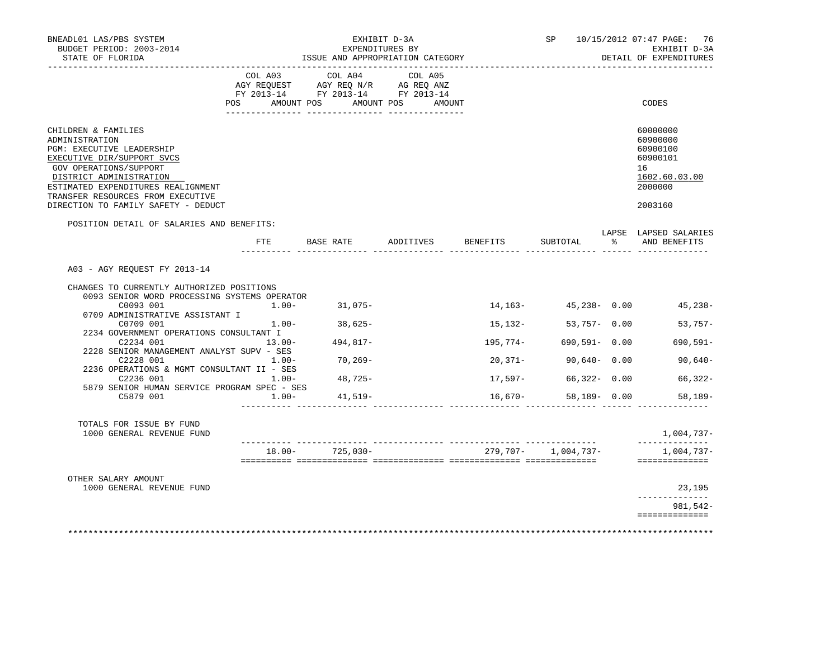| BNEADL01 LAS/PBS SYSTEM<br>BUDGET PERIOD: 2003-2014<br>STATE OF FLORIDA                                                                                                                                                                                                        |           | ISSUE AND APPROPRIATION CATEGORY                                                     | EXHIBIT D-3A<br>EXPENDITURES BY |        |          | SP                  |   | 10/15/2012 07:47 PAGE: 76<br>EXHIBIT D-3A<br>DETAIL OF EXPENDITURES                       |
|--------------------------------------------------------------------------------------------------------------------------------------------------------------------------------------------------------------------------------------------------------------------------------|-----------|--------------------------------------------------------------------------------------|---------------------------------|--------|----------|---------------------|---|-------------------------------------------------------------------------------------------|
|                                                                                                                                                                                                                                                                                | COL A03   | COL A04<br>CO AGY REQUEST AGY REQ N/R AG REQ ANZ<br>FY 2013-14 FY 2013-14 FY 2013-14 | COL A05                         |        |          |                     |   |                                                                                           |
|                                                                                                                                                                                                                                                                                | POS       | AMOUNT POS AMOUNT POS                                                                |                                 | AMOUNT |          |                     |   | CODES                                                                                     |
| CHILDREN & FAMILIES<br>ADMINISTRATION<br><b>PGM: EXECUTIVE LEADERSHIP</b><br>EXECUTIVE DIR/SUPPORT SVCS<br>GOV OPERATIONS/SUPPORT<br>DISTRICT ADMINISTRATION<br>ESTIMATED EXPENDITURES REALIGNMENT<br>TRANSFER RESOURCES FROM EXECUTIVE<br>DIRECTION TO FAMILY SAFETY - DEDUCT |           |                                                                                      |                                 |        |          |                     |   | 60000000<br>60900000<br>60900100<br>60900101<br>16<br>1602.60.03.00<br>2000000<br>2003160 |
| POSITION DETAIL OF SALARIES AND BENEFITS:                                                                                                                                                                                                                                      |           | FTE BASE RATE ADDITIVES                                                              |                                 |        | BENEFITS | SUBTOTAL            | ႜ | LAPSE LAPSED SALARIES<br>AND BENEFITS                                                     |
|                                                                                                                                                                                                                                                                                |           |                                                                                      |                                 |        |          |                     |   |                                                                                           |
| A03 - AGY REQUEST FY 2013-14                                                                                                                                                                                                                                                   |           |                                                                                      |                                 |        |          |                     |   |                                                                                           |
| CHANGES TO CURRENTLY AUTHORIZED POSITIONS                                                                                                                                                                                                                                      |           |                                                                                      |                                 |        |          |                     |   |                                                                                           |
| 0093 SENIOR WORD PROCESSING SYSTEMS OPERATOR<br>C0093 001                                                                                                                                                                                                                      |           | $1.00 - 31.075 -$                                                                    |                                 |        | 14,163-  | $45,238 - 0.00$     |   | 45,238-                                                                                   |
| 0709 ADMINISTRATIVE ASSISTANT I                                                                                                                                                                                                                                                |           |                                                                                      |                                 |        |          |                     |   |                                                                                           |
| C0709 001                                                                                                                                                                                                                                                                      | $1.00 -$  | 38,625-                                                                              |                                 |        | 15,132-  | 53,757- 0.00        |   | $53,757-$                                                                                 |
| 2234 GOVERNMENT OPERATIONS CONSULTANT I<br>C2234 001                                                                                                                                                                                                                           | $13.00 -$ | $494,817-$                                                                           |                                 |        | 195,774- | 690,591- 0.00       |   | $690, 591 -$                                                                              |
| 2228 SENIOR MANAGEMENT ANALYST SUPV - SES                                                                                                                                                                                                                                      |           |                                                                                      |                                 |        |          |                     |   |                                                                                           |
| C2228 001<br>2236 OPERATIONS & MGMT CONSULTANT II - SES                                                                                                                                                                                                                        | $1.00-$   | 70,269-                                                                              |                                 |        | 20,371-  | $90,640 - 0.00$     |   | 90,640-                                                                                   |
| C2236 001                                                                                                                                                                                                                                                                      | $1.00 -$  | 48,725-                                                                              |                                 |        | 17,597-  | $66,322 - 0.00$     |   | 66,322-                                                                                   |
| 5879 SENIOR HUMAN SERVICE PROGRAM SPEC - SES<br>C5879 001                                                                                                                                                                                                                      | $1.00-$   | 41,519-                                                                              |                                 |        | 16,670-  | $58,189 - 0.00$     |   | $58.189 -$                                                                                |
|                                                                                                                                                                                                                                                                                |           |                                                                                      |                                 |        |          |                     |   |                                                                                           |
| TOTALS FOR ISSUE BY FUND<br>1000 GENERAL REVENUE FUND                                                                                                                                                                                                                          |           |                                                                                      |                                 |        |          |                     |   | 1,004,737-<br>---------------                                                             |
|                                                                                                                                                                                                                                                                                |           | $18.00 - 725,030 -$                                                                  |                                 |        |          | 279,707- 1,004,737- |   | 1,004,737-                                                                                |
|                                                                                                                                                                                                                                                                                |           |                                                                                      |                                 |        |          |                     |   | ==============                                                                            |
| OTHER SALARY AMOUNT<br>1000 GENERAL REVENUE FUND                                                                                                                                                                                                                               |           |                                                                                      |                                 |        |          |                     |   | 23,195                                                                                    |
|                                                                                                                                                                                                                                                                                |           |                                                                                      |                                 |        |          |                     |   | ------------<br>981,542-                                                                  |
|                                                                                                                                                                                                                                                                                |           |                                                                                      |                                 |        |          |                     |   | ==============                                                                            |
|                                                                                                                                                                                                                                                                                |           |                                                                                      |                                 |        |          |                     |   |                                                                                           |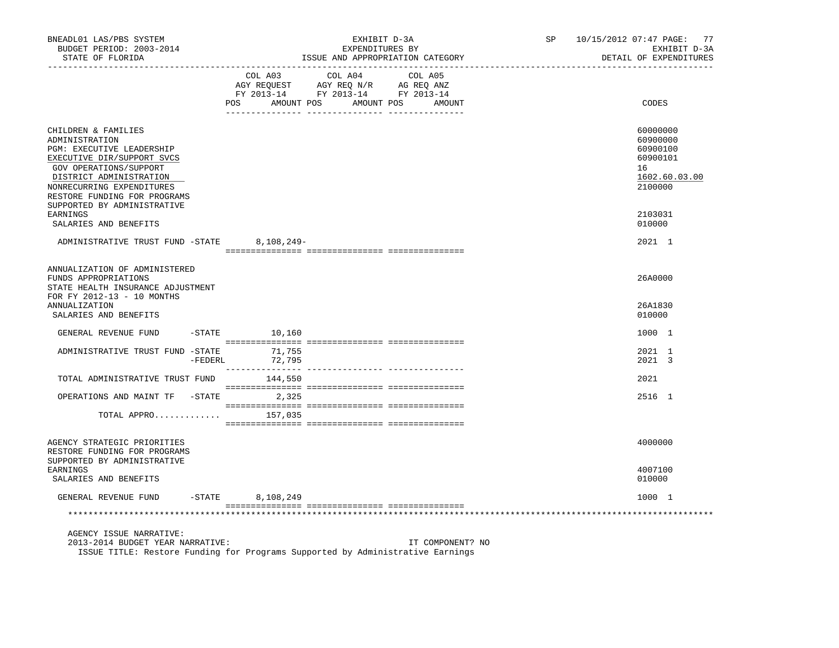| BNEADL01 LAS/PBS SYSTEM<br>BUDGET PERIOD: 2003-2014<br>STATE OF FLORIDA                                                                                                                                                                           | EXHIBIT D-3A<br>EXPENDITURES BY<br>ISSUE AND APPROPRIATION CATEGORY                                                                                                                                                                                                                                                                                                                                                                                                                                     | 10/15/2012 07:47 PAGE: 77<br>SP and the set of the set of the set of the set of the set of the set of the set of the set of the set of the set of the set of the set of the set of the set of the set of the set of the set of the set of the set of the se<br>EXHIBIT D-3A<br>DETAIL OF EXPENDITURES |
|---------------------------------------------------------------------------------------------------------------------------------------------------------------------------------------------------------------------------------------------------|---------------------------------------------------------------------------------------------------------------------------------------------------------------------------------------------------------------------------------------------------------------------------------------------------------------------------------------------------------------------------------------------------------------------------------------------------------------------------------------------------------|-------------------------------------------------------------------------------------------------------------------------------------------------------------------------------------------------------------------------------------------------------------------------------------------------------|
|                                                                                                                                                                                                                                                   | COL A03 COL A04 COL A05<br>$\begin{array}{ccccccccc}\n\text{AGY REQUEST} & & \text{GUT} & \text{GUT} & \text{GUT} & \text{GUT} & \text{GUT} & \text{GUT} & \text{GUT} & \text{GUT} & \text{GUT} & \text{GUT} & \text{GUT} & \text{GUT} & \text{GUT} & \text{GUT} & \text{GUT} & \text{GUT} & \text{GUT} & \text{GUT} & \text{GUT} & \text{GUT} & \text{GUT} & \text{GUT} & \text{GUT} & \text{GUT} & \text{GUT} & \text{GUT} & \text{GUT} & \text{GUT} & \text{$<br>POS<br>AMOUNT POS AMOUNT POS AMOUNT | CODES                                                                                                                                                                                                                                                                                                 |
| CHILDREN & FAMILIES<br>ADMINISTRATION<br>PGM: EXECUTIVE LEADERSHIP<br>EXECUTIVE DIR/SUPPORT SVCS<br>GOV OPERATIONS/SUPPORT<br>DISTRICT ADMINISTRATION<br>NONRECURRING EXPENDITURES<br>RESTORE FUNDING FOR PROGRAMS<br>SUPPORTED BY ADMINISTRATIVE |                                                                                                                                                                                                                                                                                                                                                                                                                                                                                                         | 60000000<br>60900000<br>60900100<br>60900101<br>16<br>1602.60.03.00<br>2100000                                                                                                                                                                                                                        |
| EARNINGS<br>SALARIES AND BENEFITS                                                                                                                                                                                                                 |                                                                                                                                                                                                                                                                                                                                                                                                                                                                                                         | 2103031<br>010000                                                                                                                                                                                                                                                                                     |
| ADMINISTRATIVE TRUST FUND -STATE 8,108,249-                                                                                                                                                                                                       |                                                                                                                                                                                                                                                                                                                                                                                                                                                                                                         | 2021 1                                                                                                                                                                                                                                                                                                |
| ANNUALIZATION OF ADMINISTERED<br>FUNDS APPROPRIATIONS<br>STATE HEALTH INSURANCE ADJUSTMENT<br>FOR FY 2012-13 - 10 MONTHS                                                                                                                          |                                                                                                                                                                                                                                                                                                                                                                                                                                                                                                         | 26A0000                                                                                                                                                                                                                                                                                               |
| ANNUALIZATION<br>SALARIES AND BENEFITS                                                                                                                                                                                                            |                                                                                                                                                                                                                                                                                                                                                                                                                                                                                                         | 26A1830<br>010000                                                                                                                                                                                                                                                                                     |
| GENERAL REVENUE FUND                                                                                                                                                                                                                              | $-$ STATE $10, 160$                                                                                                                                                                                                                                                                                                                                                                                                                                                                                     | 1000 1                                                                                                                                                                                                                                                                                                |
| ADMINISTRATIVE TRUST FUND -STATE<br>-FEDERL                                                                                                                                                                                                       | 71,755<br>72,795                                                                                                                                                                                                                                                                                                                                                                                                                                                                                        | 2021 1<br>2021 3                                                                                                                                                                                                                                                                                      |
| TOTAL ADMINISTRATIVE TRUST FUND 144,550                                                                                                                                                                                                           |                                                                                                                                                                                                                                                                                                                                                                                                                                                                                                         | 2021                                                                                                                                                                                                                                                                                                  |
| OPERATIONS AND MAINT TF -STATE                                                                                                                                                                                                                    | 2,325                                                                                                                                                                                                                                                                                                                                                                                                                                                                                                   | 2516 1                                                                                                                                                                                                                                                                                                |
| TOTAL APPRO                                                                                                                                                                                                                                       | 157,035                                                                                                                                                                                                                                                                                                                                                                                                                                                                                                 |                                                                                                                                                                                                                                                                                                       |
| AGENCY STRATEGIC PRIORITIES<br>RESTORE FUNDING FOR PROGRAMS<br>SUPPORTED BY ADMINISTRATIVE                                                                                                                                                        |                                                                                                                                                                                                                                                                                                                                                                                                                                                                                                         | 4000000                                                                                                                                                                                                                                                                                               |
| EARNINGS<br>SALARIES AND BENEFITS                                                                                                                                                                                                                 |                                                                                                                                                                                                                                                                                                                                                                                                                                                                                                         | 4007100<br>010000                                                                                                                                                                                                                                                                                     |
| $-STATE$<br>GENERAL REVENUE FUND                                                                                                                                                                                                                  | 8,108,249                                                                                                                                                                                                                                                                                                                                                                                                                                                                                               | 1000 1                                                                                                                                                                                                                                                                                                |
|                                                                                                                                                                                                                                                   |                                                                                                                                                                                                                                                                                                                                                                                                                                                                                                         |                                                                                                                                                                                                                                                                                                       |
| AGENCY ISSUE NARRATIVE:<br>2013-2014 BUDGET YEAR NARRATIVE:                                                                                                                                                                                       | IT COMPONENT? NO<br>TOOUD MINING Dealers Bruglas for Driemens Ormailed by Administrative Benefice                                                                                                                                                                                                                                                                                                                                                                                                       |                                                                                                                                                                                                                                                                                                       |

ISSUE TITLE: Restore Funding for Programs Supported by Administrative Earnings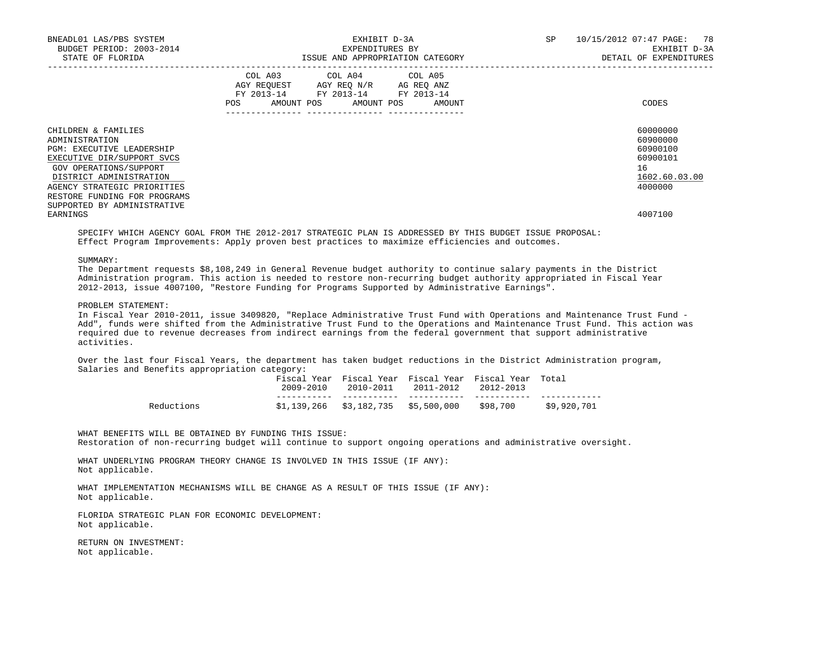|                                                                                                                                                                                                                                                                        |                                                                                                                                       |  | DETAIL OF EXPENDITURES                                                                    |
|------------------------------------------------------------------------------------------------------------------------------------------------------------------------------------------------------------------------------------------------------------------------|---------------------------------------------------------------------------------------------------------------------------------------|--|-------------------------------------------------------------------------------------------|
|                                                                                                                                                                                                                                                                        | COL A03 COL A04 COL A05<br>AGY REQUEST AGY REQ N/R AG REQ ANZ<br>FY 2013-14 FY 2013-14 FY 2013-14<br>POS AMOUNT POS AMOUNT POS AMOUNT |  | CODES                                                                                     |
| CHILDREN & FAMILIES<br>ADMINISTRATION<br><b>PGM: EXECUTIVE LEADERSHIP</b><br>EXECUTIVE DIR/SUPPORT SVCS<br>GOV OPERATIONS/SUPPORT<br>DISTRICT ADMINISTRATION<br>AGENCY STRATEGIC PRIORITIES<br>RESTORE FUNDING FOR PROGRAMS<br>SUPPORTED BY ADMINISTRATIVE<br>EARNINGS |                                                                                                                                       |  | 60000000<br>60900000<br>60900100<br>60900101<br>16<br>1602.60.03.00<br>4000000<br>4007100 |

 SPECIFY WHICH AGENCY GOAL FROM THE 2012-2017 STRATEGIC PLAN IS ADDRESSED BY THIS BUDGET ISSUE PROPOSAL: Effect Program Improvements: Apply proven best practices to maximize efficiencies and outcomes.

SUMMARY:

 The Department requests \$8,108,249 in General Revenue budget authority to continue salary payments in the District Administration program. This action is needed to restore non-recurring budget authority appropriated in Fiscal Year 2012-2013, issue 4007100, "Restore Funding for Programs Supported by Administrative Earnings".

#### PROBLEM STATEMENT:

 In Fiscal Year 2010-2011, issue 3409820, "Replace Administrative Trust Fund with Operations and Maintenance Trust Fund - Add", funds were shifted from the Administrative Trust Fund to the Operations and Maintenance Trust Fund. This action was required due to revenue decreases from indirect earnings from the federal government that support administrative activities.

 Over the last four Fiscal Years, the department has taken budget reductions in the District Administration program, Salaries and Benefits appropriation category:

|            |  | Fiscal Year Fiscal Year Fiscal Year Fiscal Year Total<br>$2009 - 2010$ $2010 - 2011$ $2011 - 2012$ $2012 - 2013$ |             |
|------------|--|------------------------------------------------------------------------------------------------------------------|-------------|
|            |  |                                                                                                                  |             |
| Reductions |  | $$1,139,266$ $$3,182,735$ $$5,500,000$ $$98,700$                                                                 | \$9,920,701 |

 WHAT BENEFITS WILL BE OBTAINED BY FUNDING THIS ISSUE: Restoration of non-recurring budget will continue to support ongoing operations and administrative oversight.

 WHAT UNDERLYING PROGRAM THEORY CHANGE IS INVOLVED IN THIS ISSUE (IF ANY): Not applicable.

 WHAT IMPLEMENTATION MECHANISMS WILL BE CHANGE AS A RESULT OF THIS ISSUE (IF ANY): Not applicable.

 FLORIDA STRATEGIC PLAN FOR ECONOMIC DEVELOPMENT: Not applicable.

 RETURN ON INVESTMENT: Not applicable.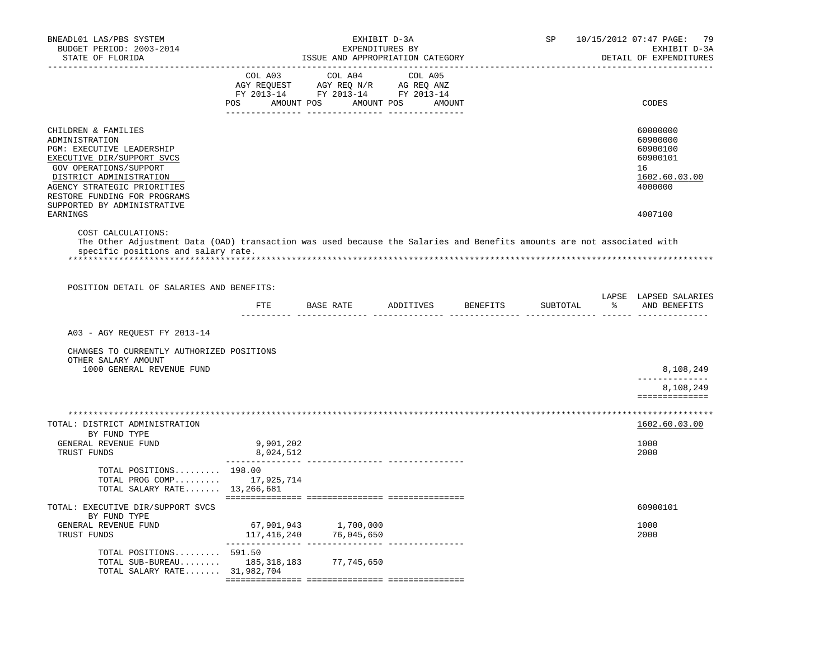| BNEADL01 LAS/PBS SYSTEM<br>BUDGET PERIOD: 2003-2014<br>STATE OF FLORIDA                                                                                                                                                                             |                        | EXHIBIT D-3A<br>EXPENDITURES BY<br>ISSUE AND APPROPRIATION CATEGORY                                                                                                                            |  | SP       | 10/15/2012 07:47 PAGE: 79<br>EXHIBIT D-3A<br>DETAIL OF EXPENDITURES            |
|-----------------------------------------------------------------------------------------------------------------------------------------------------------------------------------------------------------------------------------------------------|------------------------|------------------------------------------------------------------------------------------------------------------------------------------------------------------------------------------------|--|----------|--------------------------------------------------------------------------------|
|                                                                                                                                                                                                                                                     |                        | $\begin{tabular}{lcccc} COL A03 & COL A04 & COL A05 \\ AGY REQUEST & AGY REQ N/R & AG REQ ANZ \\ FY & 2013-14 & FY & 2013-14 & FY & 2013-14 \end{tabular}$<br>POS AMOUNT POS AMOUNT POS AMOUNT |  |          | CODES                                                                          |
| CHILDREN & FAMILIES<br>ADMINISTRATION<br>PGM: EXECUTIVE LEADERSHIP<br>EXECUTIVE DIR/SUPPORT SVCS<br>GOV OPERATIONS/SUPPORT<br>DISTRICT ADMINISTRATION<br>AGENCY STRATEGIC PRIORITIES<br>RESTORE FUNDING FOR PROGRAMS<br>SUPPORTED BY ADMINISTRATIVE |                        |                                                                                                                                                                                                |  |          | 60000000<br>60900000<br>60900100<br>60900101<br>16<br>1602.60.03.00<br>4000000 |
| EARNINGS<br>COST CALCULATIONS:<br>The Other Adjustment Data (OAD) transaction was used because the Salaries and Benefits amounts are not associated with<br>specific positions and salary rate.                                                     |                        |                                                                                                                                                                                                |  |          | 4007100                                                                        |
| POSITION DETAIL OF SALARIES AND BENEFITS:                                                                                                                                                                                                           |                        |                                                                                                                                                                                                |  |          |                                                                                |
|                                                                                                                                                                                                                                                     |                        | FTE BASE RATE ADDITIVES BENEFITS                                                                                                                                                               |  | SUBTOTAL | LAPSE LAPSED SALARIES<br>% AND BENEFITS                                        |
| A03 - AGY REQUEST FY 2013-14                                                                                                                                                                                                                        |                        |                                                                                                                                                                                                |  |          |                                                                                |
| CHANGES TO CURRENTLY AUTHORIZED POSITIONS<br>OTHER SALARY AMOUNT                                                                                                                                                                                    |                        |                                                                                                                                                                                                |  |          |                                                                                |
| 1000 GENERAL REVENUE FUND                                                                                                                                                                                                                           |                        |                                                                                                                                                                                                |  |          | 8,108,249<br>--------------                                                    |
|                                                                                                                                                                                                                                                     |                        |                                                                                                                                                                                                |  |          | 8,108,249<br>==============                                                    |
| TOTAL: DISTRICT ADMINISTRATION<br>BY FUND TYPE                                                                                                                                                                                                      |                        |                                                                                                                                                                                                |  |          | 1602.60.03.00                                                                  |
| GENERAL REVENUE FUND<br>TRUST FUNDS                                                                                                                                                                                                                 | 9,901,202<br>8,024,512 |                                                                                                                                                                                                |  |          | 1000<br>2000                                                                   |
| TOTAL POSITIONS 198.00<br>TOTAL PROG COMP 17,925,714<br>TOTAL SALARY RATE 13,266,681                                                                                                                                                                |                        |                                                                                                                                                                                                |  |          |                                                                                |
| TOTAL: EXECUTIVE DIR/SUPPORT SVCS<br>BY FUND TYPE                                                                                                                                                                                                   |                        |                                                                                                                                                                                                |  |          | 60900101                                                                       |
| GENERAL REVENUE FUND<br>TRUST FUNDS                                                                                                                                                                                                                 |                        | 67,901,943 1,700,000<br>117, 416, 240 76, 045, 650                                                                                                                                             |  |          | 1000<br>2000                                                                   |
| TOTAL POSITIONS 591.50<br>TOTAL SUB-BUREAU $185,318,183$<br>TOTAL SALARY RATE 31,982,704                                                                                                                                                            |                        | 77,745,650                                                                                                                                                                                     |  |          |                                                                                |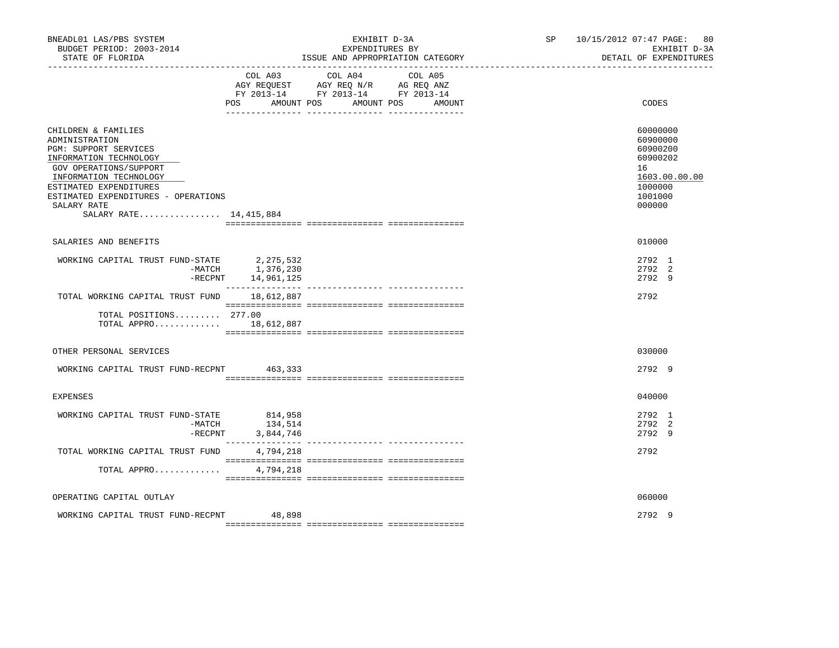| BNEADL01 LAS/PBS SYSTEM<br>BUDGET PERIOD: 2003-2014<br>STATE OF FLORIDA                                                                                                                                                                                  |                                    | EXHIBIT D-3A<br>EXPENDITURES BY<br>ISSUE AND APPROPRIATION CATEGORY                                                                                                                                                                                                                                                                                                                                                                 | SP | 10/15/2012 07:47 PAGE: 80<br>EXHIBIT D-3A<br>DETAIL OF EXPENDITURES                                 |
|----------------------------------------------------------------------------------------------------------------------------------------------------------------------------------------------------------------------------------------------------------|------------------------------------|-------------------------------------------------------------------------------------------------------------------------------------------------------------------------------------------------------------------------------------------------------------------------------------------------------------------------------------------------------------------------------------------------------------------------------------|----|-----------------------------------------------------------------------------------------------------|
|                                                                                                                                                                                                                                                          | <b>POS</b>                         | COL A03 COL A04<br>COL A05<br>AGY REQUEST AGY REQ N/R AG REQ ANZ<br>FY 2013-14 FY 2013-14 FY 2013-14<br>AMOUNT POS AMOUNT POS<br>AMOUNT                                                                                                                                                                                                                                                                                             |    | CODES                                                                                               |
| CHILDREN & FAMILIES<br>ADMINISTRATION<br>PGM: SUPPORT SERVICES<br>INFORMATION TECHNOLOGY<br>GOV OPERATIONS/SUPPORT<br>INFORMATION TECHNOLOGY<br>ESTIMATED EXPENDITURES<br>ESTIMATED EXPENDITURES - OPERATIONS<br>SALARY RATE<br>SALARY RATE 14, 415, 884 |                                    |                                                                                                                                                                                                                                                                                                                                                                                                                                     |    | 60000000<br>60900000<br>60900200<br>60900202<br>16<br>1603.00.00.00<br>1000000<br>1001000<br>000000 |
| SALARIES AND BENEFITS                                                                                                                                                                                                                                    |                                    |                                                                                                                                                                                                                                                                                                                                                                                                                                     |    | 010000                                                                                              |
| WORKING CAPITAL TRUST FUND-STATE 2,275,532<br>$-$ RECPNT                                                                                                                                                                                                 | $-MATCH$ 1, 376, 230<br>14,961,125 |                                                                                                                                                                                                                                                                                                                                                                                                                                     |    | 2792 1<br>2792 2<br>2792 9                                                                          |
| TOTAL WORKING CAPITAL TRUST FUND                                                                                                                                                                                                                         | 18,612,887                         | $\begin{minipage}{0.03\textwidth} \begin{tabular}{l} \textbf{1} & \textbf{2} & \textbf{3} & \textbf{5} & \textbf{5} & \textbf{6} & \textbf{6} & \textbf{7} & \textbf{8} & \textbf{8} & \textbf{9} & \textbf{9} & \textbf{9} & \textbf{9} & \textbf{9} & \textbf{9} & \textbf{9} & \textbf{9} & \textbf{9} & \textbf{9} & \textbf{9} & \textbf{9} & \textbf{9} & \textbf{9} & \textbf{9} & \textbf{9} & \textbf{9} & \textbf{9} & \$ |    | 2792                                                                                                |
| TOTAL POSITIONS 277.00<br>TOTAL APPRO 18,612,887                                                                                                                                                                                                         |                                    |                                                                                                                                                                                                                                                                                                                                                                                                                                     |    |                                                                                                     |
| OTHER PERSONAL SERVICES                                                                                                                                                                                                                                  |                                    |                                                                                                                                                                                                                                                                                                                                                                                                                                     |    | 030000                                                                                              |
| WORKING CAPITAL TRUST FUND-RECPNT 463,333                                                                                                                                                                                                                |                                    |                                                                                                                                                                                                                                                                                                                                                                                                                                     |    | 2792 9                                                                                              |
| EXPENSES                                                                                                                                                                                                                                                 |                                    |                                                                                                                                                                                                                                                                                                                                                                                                                                     |    | 040000                                                                                              |
| WORKING CAPITAL TRUST FUND-STATE 814,958<br>-MATCH                                                                                                                                                                                                       | 134,514<br>-RECPNT 3,844,746       |                                                                                                                                                                                                                                                                                                                                                                                                                                     |    | 2792 1<br>2792 2<br>2792 9                                                                          |
| TOTAL WORKING CAPITAL TRUST FUND                                                                                                                                                                                                                         | 4,794,218                          |                                                                                                                                                                                                                                                                                                                                                                                                                                     |    | 2792                                                                                                |
| TOTAL APPRO                                                                                                                                                                                                                                              | 4,794,218                          |                                                                                                                                                                                                                                                                                                                                                                                                                                     |    |                                                                                                     |
| OPERATING CAPITAL OUTLAY                                                                                                                                                                                                                                 |                                    |                                                                                                                                                                                                                                                                                                                                                                                                                                     |    | 060000                                                                                              |
| WORKING CAPITAL TRUST FUND-RECPNT 48,898                                                                                                                                                                                                                 |                                    |                                                                                                                                                                                                                                                                                                                                                                                                                                     |    | 2792 9                                                                                              |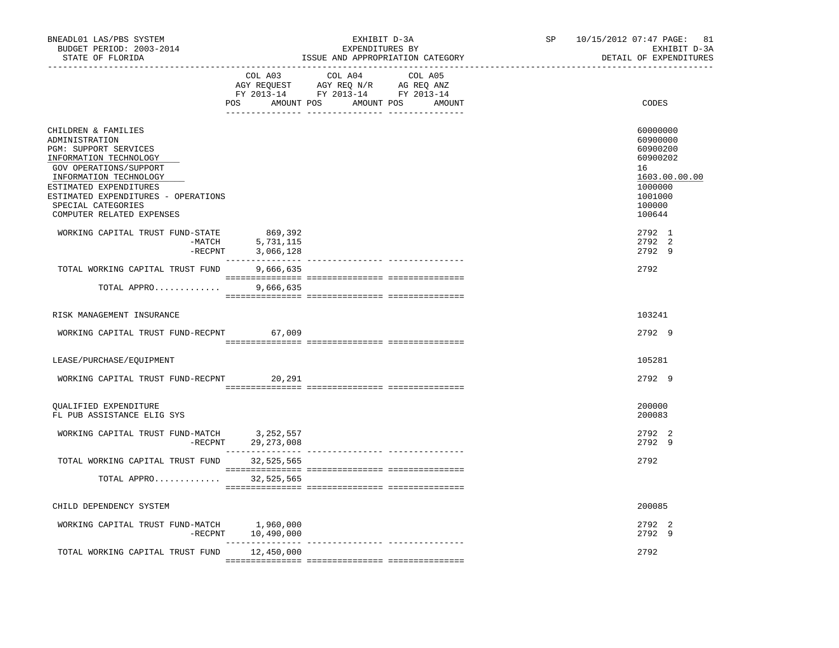| COL A03 COL A04 COL A05<br>AGY REQUEST AGY REQ N/R AG REQ ANZ<br>FY 2013-14 FY 2013-14 FY 2013-14<br>POS AMOUNT POS AMOUNT POS AMOUNT<br>CODES                                                                                                                                                                                                                   |               |
|------------------------------------------------------------------------------------------------------------------------------------------------------------------------------------------------------------------------------------------------------------------------------------------------------------------------------------------------------------------|---------------|
|                                                                                                                                                                                                                                                                                                                                                                  |               |
| CHILDREN & FAMILIES<br>60000000<br>60900000<br>ADMINISTRATION<br>PGM: SUPPORT SERVICES<br>60900200<br>INFORMATION TECHNOLOGY<br>60900202<br>GOV OPERATIONS/SUPPORT<br>16<br>INFORMATION TECHNOLOGY<br>ESTIMATED EXPENDITURES<br>1000000<br>ESTIMATED EXPENDITURES - OPERATIONS<br>1001000<br>SPECIAL CATEGORIES<br>100000<br>COMPUTER RELATED EXPENSES<br>100644 | 1603.00.00.00 |
| WORKING CAPITAL TRUST FUND-STATE<br>869,392<br>2792 1<br>- MATCH 5,731,115<br>-RECPNT 3,066,128<br>2792 2<br>2792 9                                                                                                                                                                                                                                              |               |
| 2792<br>TOTAL WORKING CAPITAL TRUST FUND<br>9,666,635                                                                                                                                                                                                                                                                                                            |               |
| TOTAL APPRO<br>9,666,635                                                                                                                                                                                                                                                                                                                                         |               |
| RISK MANAGEMENT INSURANCE<br>103241                                                                                                                                                                                                                                                                                                                              |               |
| WORKING CAPITAL TRUST FUND-RECPNT 67,009<br>2792 9                                                                                                                                                                                                                                                                                                               |               |
| LEASE/PURCHASE/EQUIPMENT<br>105281                                                                                                                                                                                                                                                                                                                               |               |
| WORKING CAPITAL TRUST FUND-RECPNT 20,291<br>2792 9                                                                                                                                                                                                                                                                                                               |               |
| 200000<br>QUALIFIED EXPENDITURE<br>200083<br>FL PUB ASSISTANCE ELIG SYS                                                                                                                                                                                                                                                                                          |               |
| WORKING CAPITAL TRUST FUND-MATCH 3,252,557<br>2792 2<br>$-RECPNT$ 29, 273, 008<br>2792 9                                                                                                                                                                                                                                                                         |               |
| TOTAL WORKING CAPITAL TRUST FUND 32,525,565<br>2792                                                                                                                                                                                                                                                                                                              |               |
| 32,525,565<br>TOTAL APPRO                                                                                                                                                                                                                                                                                                                                        |               |
| 200085<br>CHILD DEPENDENCY SYSTEM                                                                                                                                                                                                                                                                                                                                |               |
| WORKING CAPITAL TRUST FUND-MATCH 1,960,000<br>2792 2<br>$-RECPNT$ 10,490,000<br>2792 9                                                                                                                                                                                                                                                                           |               |
| 2792<br>TOTAL WORKING CAPITAL TRUST FUND<br>12,450,000                                                                                                                                                                                                                                                                                                           |               |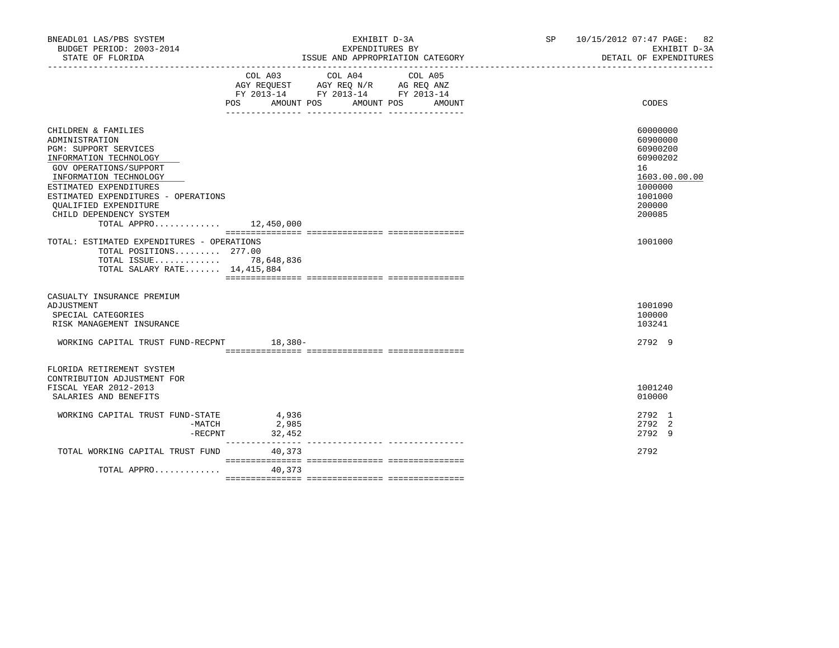| BNEADL01 LAS/PBS SYSTEM<br>BUDGET PERIOD: 2003-2014<br>STATE OF FLORIDA                                                                                                                                                                                                                              | EXHIBIT D-3A<br>EXPENDITURES BY<br>ISSUE AND APPROPRIATION CATEGORY<br>______________________________________                               | SP 10/15/2012 07:47 PAGE: 82<br>EXHIBIT D-3A<br>DETAIL OF EXPENDITURES                                        |
|------------------------------------------------------------------------------------------------------------------------------------------------------------------------------------------------------------------------------------------------------------------------------------------------------|---------------------------------------------------------------------------------------------------------------------------------------------|---------------------------------------------------------------------------------------------------------------|
|                                                                                                                                                                                                                                                                                                      | COL A03 COL A04<br>COL A05<br>AGY REQUEST AGY REQ N/R AG REQ ANZ<br>FY 2013-14 FY 2013-14 FY 2013-14<br>POS AMOUNT POS AMOUNT POS<br>AMOUNT | CODES                                                                                                         |
| CHILDREN & FAMILIES<br>ADMINISTRATION<br>PGM: SUPPORT SERVICES<br>INFORMATION TECHNOLOGY<br>GOV OPERATIONS/SUPPORT<br>INFORMATION TECHNOLOGY<br>ESTIMATED EXPENDITURES<br>ESTIMATED EXPENDITURES - OPERATIONS<br><b>OUALIFIED EXPENDITURE</b><br>CHILD DEPENDENCY SYSTEM<br>TOTAL APPRO $12,450,000$ |                                                                                                                                             | 60000000<br>60900000<br>60900200<br>60900202<br>16<br>1603.00.00.00<br>1000000<br>1001000<br>200000<br>200085 |
| TOTAL: ESTIMATED EXPENDITURES - OPERATIONS<br>TOTAL POSITIONS 277.00<br>TOTAL ISSUE 78,648,836<br>TOTAL SALARY RATE $14,415,884$                                                                                                                                                                     |                                                                                                                                             | 1001000                                                                                                       |
| CASUALTY INSURANCE PREMIUM<br>ADJUSTMENT<br>SPECIAL CATEGORIES<br>RISK MANAGEMENT INSURANCE<br>WORKING CAPITAL TRUST FUND-RECPNT 18,380-                                                                                                                                                             |                                                                                                                                             | 1001090<br>100000<br>103241<br>2792 9                                                                         |
| FLORIDA RETIREMENT SYSTEM<br>CONTRIBUTION ADJUSTMENT FOR<br>FISCAL YEAR 2012-2013<br>SALARIES AND BENEFITS                                                                                                                                                                                           |                                                                                                                                             | 1001240<br>010000                                                                                             |
| WORKING CAPITAL TRUST FUND-STATE<br>-MATCH<br>$-$ RECPNT                                                                                                                                                                                                                                             | 4,936<br>2,985<br>32,452                                                                                                                    | 2792 1<br>2792 2<br>2792 9                                                                                    |
| TOTAL WORKING CAPITAL TRUST FUND<br>TOTAL APPRO                                                                                                                                                                                                                                                      | 40,373<br>40,373                                                                                                                            | 2792                                                                                                          |
|                                                                                                                                                                                                                                                                                                      |                                                                                                                                             |                                                                                                               |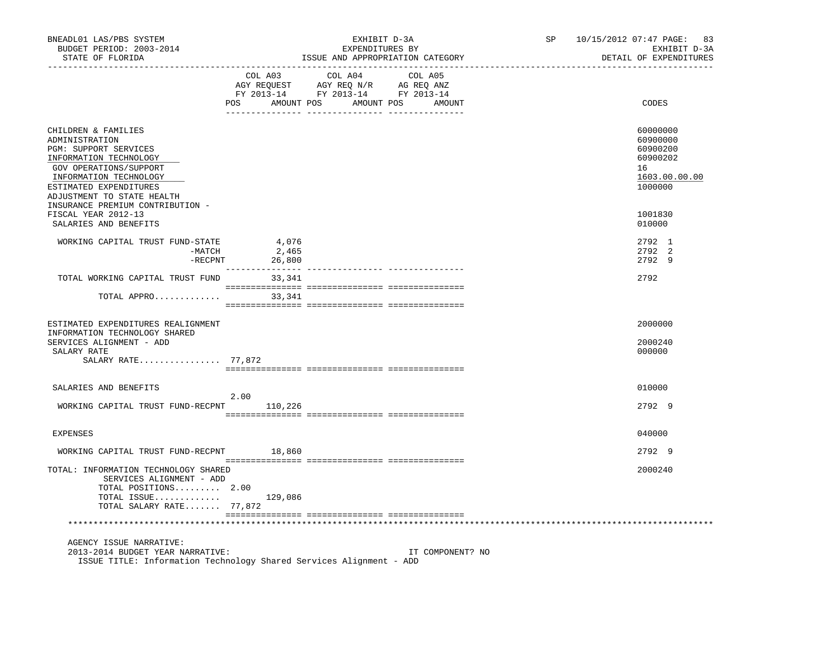| BNEADL01 LAS/PBS SYSTEM<br>BUDGET PERIOD: 2003-2014<br>STATE OF FLORIDA                                                                                                                              |                                              | EXHIBIT D-3A<br>EXPENDITURES BY                                                                                                                                                                                                      | ISSUE AND APPROPRIATION CATEGORY | SP | 10/15/2012 07:47 PAGE:<br>83<br>EXHIBIT D-3A<br>DETAIL OF EXPENDITURES         |
|------------------------------------------------------------------------------------------------------------------------------------------------------------------------------------------------------|----------------------------------------------|--------------------------------------------------------------------------------------------------------------------------------------------------------------------------------------------------------------------------------------|----------------------------------|----|--------------------------------------------------------------------------------|
|                                                                                                                                                                                                      | COL A03<br>POS AMOUNT POS AMOUNT POS AMOUNT  | COL A04<br>$\begin{array}{cccc}\n\text{COL A03} & \text{COL A04} & \text{COL A05} \\ \text{AGY REQUEST} & \text{AGY REQ} & \text{N/R} & \text{AG REQ ANZ} \\ \text{FY 2013-14} & \text{FY 2013-14} & \text{FY 2013-14}\n\end{array}$ | COL A05                          |    | CODES                                                                          |
| CHILDREN & FAMILIES<br>ADMINISTRATION<br>PGM: SUPPORT SERVICES<br>INFORMATION TECHNOLOGY<br>GOV OPERATIONS/SUPPORT<br>INFORMATION TECHNOLOGY<br>ESTIMATED EXPENDITURES<br>ADJUSTMENT TO STATE HEALTH |                                              |                                                                                                                                                                                                                                      |                                  |    | 60000000<br>60900000<br>60900200<br>60900202<br>16<br>1603.00.00.00<br>1000000 |
| INSURANCE PREMIUM CONTRIBUTION -<br>FISCAL YEAR 2012-13<br>SALARIES AND BENEFITS                                                                                                                     |                                              |                                                                                                                                                                                                                                      |                                  |    | 1001830<br>010000                                                              |
| WORKING CAPITAL TRUST FUND-STATE<br>-MATCH<br>-RECPNT                                                                                                                                                | 4,076<br>2,465<br>26,800<br>________________ |                                                                                                                                                                                                                                      |                                  |    | 2792 1<br>2792 2<br>2792 9                                                     |
| TOTAL WORKING CAPITAL TRUST FUND                                                                                                                                                                     | 33,341                                       |                                                                                                                                                                                                                                      |                                  |    | 2792                                                                           |
| TOTAL APPRO 33,341                                                                                                                                                                                   |                                              |                                                                                                                                                                                                                                      |                                  |    |                                                                                |
| ESTIMATED EXPENDITURES REALIGNMENT<br>INFORMATION TECHNOLOGY SHARED<br>SERVICES ALIGNMENT - ADD<br>SALARY RATE<br>SALARY RATE 77,872                                                                 |                                              |                                                                                                                                                                                                                                      |                                  |    | 2000000<br>2000240<br>000000                                                   |
|                                                                                                                                                                                                      |                                              |                                                                                                                                                                                                                                      |                                  |    |                                                                                |
| SALARIES AND BENEFITS<br>WORKING CAPITAL TRUST FUND-RECPNT 110,226                                                                                                                                   | 2.00                                         |                                                                                                                                                                                                                                      |                                  |    | 010000<br>2792 9                                                               |
|                                                                                                                                                                                                      |                                              |                                                                                                                                                                                                                                      |                                  |    |                                                                                |
| <b>EXPENSES</b>                                                                                                                                                                                      |                                              |                                                                                                                                                                                                                                      |                                  |    | 040000                                                                         |
| WORKING CAPITAL TRUST FUND-RECPNT                                                                                                                                                                    | 18,860                                       |                                                                                                                                                                                                                                      |                                  |    | 2792 9                                                                         |
| TOTAL: INFORMATION TECHNOLOGY SHARED<br>SERVICES ALIGNMENT - ADD<br>TOTAL POSITIONS 2.00<br>TOTAL ISSUE $129,086$                                                                                    |                                              |                                                                                                                                                                                                                                      |                                  |    | 2000240                                                                        |
| TOTAL SALARY RATE 77,872                                                                                                                                                                             |                                              |                                                                                                                                                                                                                                      |                                  |    |                                                                                |
| AGENCY ISSUE NARRATIVE:<br>2013-2014 BUDGET YEAR NARRATIVE:<br>ISSUE TITLE: Information Technology Shared Services Alignment - ADD                                                                   |                                              |                                                                                                                                                                                                                                      | IT COMPONENT? NO                 |    |                                                                                |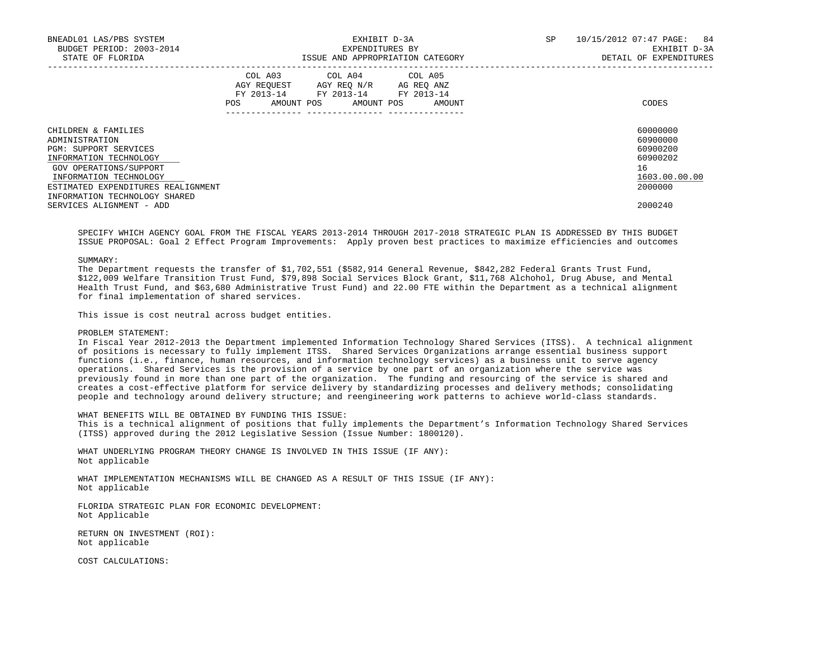| BNEADL01 LAS/PBS SYSTEM<br>BUDGET PERIOD: 2003-2014<br>STATE OF FLORIDA |            | EXPENDITURES BY                                                                                                                   | EXHIBIT D-3A<br>ISSUE AND APPROPRIATION CATEGORY | SP | 10/15/2012 07:47 PAGE: 84<br>EXHIBIT D-3A<br>DETAIL OF EXPENDITURES |
|-------------------------------------------------------------------------|------------|-----------------------------------------------------------------------------------------------------------------------------------|--------------------------------------------------|----|---------------------------------------------------------------------|
|                                                                         | <b>POS</b> | COL A03 COL A04 COL A05<br>AGY REOUEST AGY REO N/R AG REO ANZ<br>FY 2013-14 FY 2013-14 FY 2013-14<br>AMOUNT POS AMOUNT POS AMOUNT |                                                  |    | CODES                                                               |
| CHILDREN & FAMILIES<br>ADMINISTRATION                                   |            |                                                                                                                                   |                                                  |    | 60000000<br>60900000                                                |
| <b>PGM: SUPPORT SERVICES</b>                                            |            |                                                                                                                                   |                                                  |    | 60900200                                                            |
| INFORMATION TECHNOLOGY                                                  |            |                                                                                                                                   |                                                  |    | 60900202                                                            |
| GOV OPERATIONS/SUPPORT                                                  |            |                                                                                                                                   |                                                  |    | 16                                                                  |
| INFORMATION TECHNOLOGY                                                  |            |                                                                                                                                   |                                                  |    | 1603.00.00.00                                                       |
| ESTIMATED EXPENDITURES REALIGNMENT                                      |            |                                                                                                                                   |                                                  |    | 2000000                                                             |
| INFORMATION TECHNOLOGY SHARED                                           |            |                                                                                                                                   |                                                  |    |                                                                     |
| SERVICES ALIGNMENT - ADD                                                |            |                                                                                                                                   |                                                  |    | 2000240                                                             |

 SPECIFY WHICH AGENCY GOAL FROM THE FISCAL YEARS 2013-2014 THROUGH 2017-2018 STRATEGIC PLAN IS ADDRESSED BY THIS BUDGET ISSUE PROPOSAL: Goal 2 Effect Program Improvements: Apply proven best practices to maximize efficiencies and outcomes

#### SUMMARY:

 The Department requests the transfer of \$1,702,551 (\$582,914 General Revenue, \$842,282 Federal Grants Trust Fund, \$122,009 Welfare Transition Trust Fund, \$79,898 Social Services Block Grant, \$11,768 Alchohol, Drug Abuse, and Mental Health Trust Fund, and \$63,680 Administrative Trust Fund) and 22.00 FTE within the Department as a technical alignment for final implementation of shared services.

This issue is cost neutral across budget entities.

# PROBLEM STATEMENT:

 In Fiscal Year 2012-2013 the Department implemented Information Technology Shared Services (ITSS). A technical alignment of positions is necessary to fully implement ITSS. Shared Services Organizations arrange essential business support functions (i.e., finance, human resources, and information technology services) as a business unit to serve agency operations. Shared Services is the provision of a service by one part of an organization where the service was previously found in more than one part of the organization. The funding and resourcing of the service is shared and creates a cost-effective platform for service delivery by standardizing processes and delivery methods; consolidating people and technology around delivery structure; and reengineering work patterns to achieve world-class standards.

WHAT BENEFITS WILL BE OBTAINED BY FUNDING THIS ISSUE:

 This is a technical alignment of positions that fully implements the Department's Information Technology Shared Services (ITSS) approved during the 2012 Legislative Session (Issue Number: 1800120).

 WHAT UNDERLYING PROGRAM THEORY CHANGE IS INVOLVED IN THIS ISSUE (IF ANY): Not applicable

 WHAT IMPLEMENTATION MECHANISMS WILL BE CHANGED AS A RESULT OF THIS ISSUE (IF ANY): Not applicable

 FLORIDA STRATEGIC PLAN FOR ECONOMIC DEVELOPMENT: Not Applicable

 RETURN ON INVESTMENT (ROI): Not applicable

COST CALCULATIONS: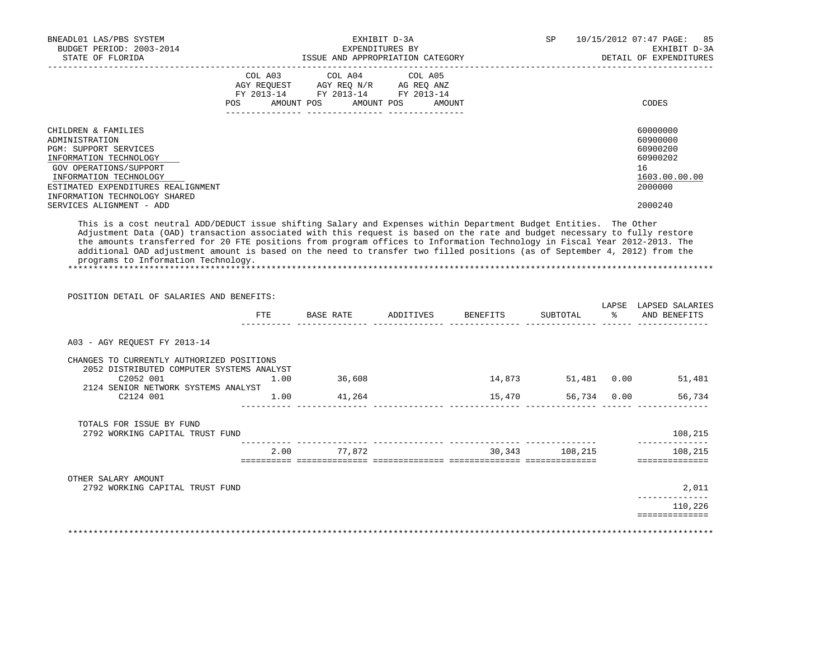| BNEADL01 LAS/PBS SYSTEM<br>BUDGET PERIOD: 2003-2014<br>STATE OF FLORIDA | EXHIBIT D-3A<br>EXPENDITURES BY<br>ISSUE AND APPROPRIATION CATEGORY |                                                                                                   |  |            |  |        | SP | 85<br>10/15/2012 07:47 PAGE:<br>EXHIBIT D-3A<br>DETAIL OF EXPENDITURES |
|-------------------------------------------------------------------------|---------------------------------------------------------------------|---------------------------------------------------------------------------------------------------|--|------------|--|--------|----|------------------------------------------------------------------------|
|                                                                         |                                                                     | COL A03 COL A04 COL A05<br>AGY REQUEST AGY REO N/R AG REO ANZ<br>FY 2013-14 FY 2013-14 FY 2013-14 |  |            |  |        |    |                                                                        |
|                                                                         | POS                                                                 | AMOUNT POS                                                                                        |  | AMOUNT POS |  | AMOUNT |    | CODES                                                                  |
| CHILDREN & FAMILIES                                                     |                                                                     |                                                                                                   |  |            |  |        |    | 60000000                                                               |
| ADMINISTRATION                                                          |                                                                     |                                                                                                   |  |            |  |        |    | 60900000                                                               |
| <b>PGM: SUPPORT SERVICES</b>                                            |                                                                     |                                                                                                   |  |            |  |        |    | 60900200                                                               |
| INFORMATION TECHNOLOGY                                                  |                                                                     |                                                                                                   |  |            |  |        |    | 60900202                                                               |
| GOV OPERATIONS/SUPPORT                                                  |                                                                     |                                                                                                   |  |            |  |        |    | 16                                                                     |
| INFORMATION TECHNOLOGY                                                  |                                                                     |                                                                                                   |  |            |  |        |    | 1603.00.00.00                                                          |
| ESTIMATED EXPENDITURES REALIGNMENT                                      |                                                                     |                                                                                                   |  |            |  |        |    | 2000000                                                                |
| INFORMATION TECHNOLOGY SHARED                                           |                                                                     |                                                                                                   |  |            |  |        |    |                                                                        |
| SERVICES ALIGNMENT - ADD                                                |                                                                     |                                                                                                   |  |            |  |        |    | 2000240                                                                |

 This is a cost neutral ADD/DEDUCT issue shifting Salary and Expenses within Department Budget Entities. The Other Adjustment Data (OAD) transaction associated with this request is based on the rate and budget necessary to fully restore the amounts transferred for 20 FTE positions from program offices to Information Technology in Fiscal Year 2012-2013. The additional OAD adjustment amount is based on the need to transfer two filled positions (as of September 4, 2012) from the programs to Information Technology. \*\*\*\*\*\*\*\*\*\*\*\*\*\*\*\*\*\*\*\*\*\*\*\*\*\*\*\*\*\*\*\*\*\*\*\*\*\*\*\*\*\*\*\*\*\*\*\*\*\*\*\*\*\*\*\*\*\*\*\*\*\*\*\*\*\*\*\*\*\*\*\*\*\*\*\*\*\*\*\*\*\*\*\*\*\*\*\*\*\*\*\*\*\*\*\*\*\*\*\*\*\*\*\*\*\*\*\*\*\*\*\*\*\*\*\*\*\*\*\*\*\*\*\*\*\*\*

|                                                                                        |      |             | FTE BASE RATE ADDITIVES BENEFITS SUBTOTAL % AND BENEFITS |                    | LAPSE LAPSED SALARIES     |
|----------------------------------------------------------------------------------------|------|-------------|----------------------------------------------------------|--------------------|---------------------------|
| A03 - AGY REQUEST FY 2013-14                                                           |      |             |                                                          |                    |                           |
| CHANGES TO CURRENTLY AUTHORIZED POSITIONS<br>2052 DISTRIBUTED COMPUTER SYSTEMS ANALYST |      |             |                                                          |                    |                           |
| C2052 001                                                                              | 1.00 | 36,608      |                                                          | 14,873 51,481 0.00 | 51,481                    |
| 2124 SENIOR NETWORK SYSTEMS ANALYST                                                    |      |             |                                                          |                    |                           |
| C2124 001                                                                              |      | 1.00 41,264 |                                                          |                    | 15,470 56,734 0.00 56,734 |
| TOTALS FOR ISSUE BY FUND                                                               |      |             |                                                          |                    |                           |
| 2792 WORKING CAPITAL TRUST FUND                                                        |      |             |                                                          |                    | 108,215                   |
|                                                                                        |      | 2.00 77,872 |                                                          | 30,343 108,215     | 108,215                   |
|                                                                                        |      |             |                                                          |                    |                           |
| OTHER SALARY AMOUNT<br>2792 WORKING CAPITAL TRUST FUND                                 |      |             |                                                          |                    | 2,011                     |
|                                                                                        |      |             |                                                          |                    |                           |
|                                                                                        |      |             |                                                          |                    | 110,226                   |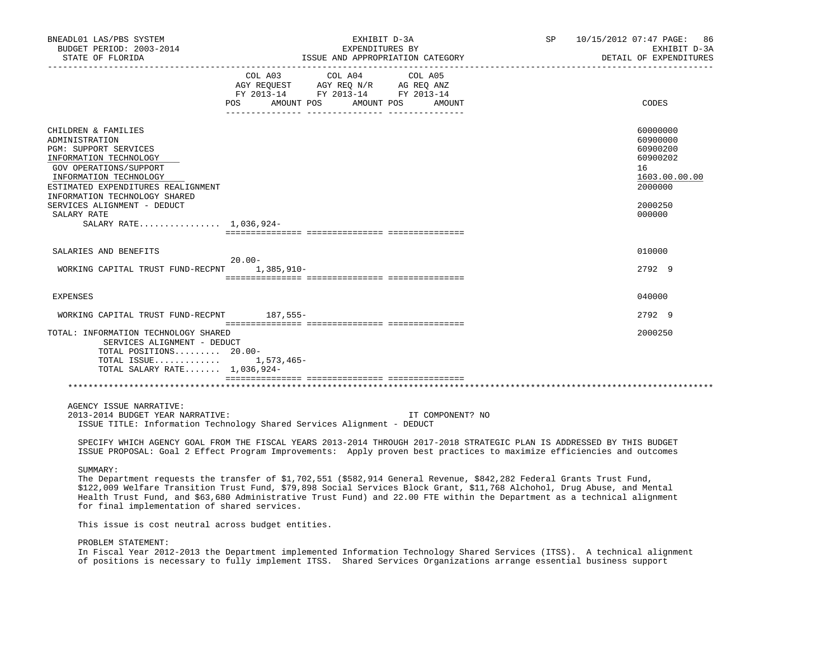| BNEADL01 LAS/PBS SYSTEM<br>BUDGET PERIOD: 2003-2014<br>STATE OF FLORIDA                                                                                                                                                                                                                     | EXHIBIT D-3A<br>EXPENDITURES BY<br>ISSUE AND APPROPRIATION CATEGORY                                                                                                                   | SP 10/15/2012 07:47 PAGE: 86<br>EXHIBIT D-3A<br>DETAIL OF EXPENDITURES                              |
|---------------------------------------------------------------------------------------------------------------------------------------------------------------------------------------------------------------------------------------------------------------------------------------------|---------------------------------------------------------------------------------------------------------------------------------------------------------------------------------------|-----------------------------------------------------------------------------------------------------|
|                                                                                                                                                                                                                                                                                             | COL A03 COL A04 COL A05<br>AGY REQUEST AGY REQ N/R AG REQ ANZ<br>FY 2013-14 FY 2013-14 FY 2013-14<br>POS<br>AMOUNT POS<br>AMOUNT POS<br>AMOUNT<br>_____ ________________ ____________ | CODES                                                                                               |
| CHILDREN & FAMILIES<br>ADMINISTRATION<br>PGM: SUPPORT SERVICES<br>INFORMATION TECHNOLOGY<br>GOV OPERATIONS/SUPPORT<br>INFORMATION TECHNOLOGY<br>ESTIMATED EXPENDITURES REALIGNMENT<br>INFORMATION TECHNOLOGY SHARED<br>SERVICES ALIGNMENT - DEDUCT<br>SALARY RATE<br>SALARY RATE 1,036,924- |                                                                                                                                                                                       | 60000000<br>60900000<br>60900200<br>60900202<br>16<br>1603.00.00.00<br>2000000<br>2000250<br>000000 |
| SALARIES AND BENEFITS<br>WORKING CAPITAL TRUST FUND-RECPNT 1,385,910-                                                                                                                                                                                                                       | $20.00 -$                                                                                                                                                                             | 010000<br>2792 9                                                                                    |
| <b>EXPENSES</b>                                                                                                                                                                                                                                                                             |                                                                                                                                                                                       | 040000                                                                                              |
| WORKING CAPITAL TRUST FUND-RECPNT                                                                                                                                                                                                                                                           | 187,555-                                                                                                                                                                              | 27929                                                                                               |
| TOTAL: INFORMATION TECHNOLOGY SHARED<br>SERVICES ALIGNMENT - DEDUCT<br>TOTAL POSITIONS 20.00-<br>TOTAL ISSUE 1,573,465-<br>TOTAL SALARY RATE 1,036,924-                                                                                                                                     |                                                                                                                                                                                       | 2000250                                                                                             |
|                                                                                                                                                                                                                                                                                             |                                                                                                                                                                                       |                                                                                                     |
| AGENCY ISSUE NARRATIVE:<br>2013-2014 BUDGET YEAR NARRATIVE:                                                                                                                                                                                                                                 | IT COMPONENT? NO<br>ISSUE TITLE: Information Technology Shared Services Alignment - DEDUCT                                                                                            |                                                                                                     |

 SPECIFY WHICH AGENCY GOAL FROM THE FISCAL YEARS 2013-2014 THROUGH 2017-2018 STRATEGIC PLAN IS ADDRESSED BY THIS BUDGET ISSUE PROPOSAL: Goal 2 Effect Program Improvements: Apply proven best practices to maximize efficiencies and outcomes

### SUMMARY:

The Department requests the transfer of \$1,702,551 (\$582,914 General Revenue, \$842,282 Federal Grants Trust Fund, \$122,009 Welfare Transition Trust Fund, \$79,898 Social Services Block Grant, \$11,768 Alchohol, Drug Abuse, and Mental Health Trust Fund, and \$63,680 Administrative Trust Fund) and 22.00 FTE within the Department as a technical alignment for final implementation of shared services.

This issue is cost neutral across budget entities.

## PROBLEM STATEMENT:

 In Fiscal Year 2012-2013 the Department implemented Information Technology Shared Services (ITSS). A technical alignment of positions is necessary to fully implement ITSS. Shared Services Organizations arrange essential business support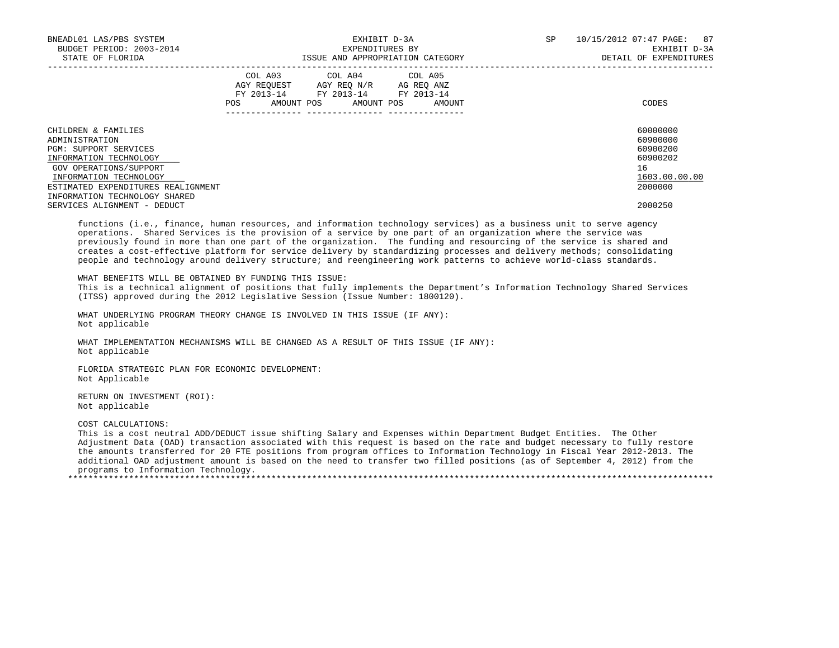| BNEADL01 LAS/PBS SYSTEM<br>BUDGET PERIOD: 2003-2014<br>STATE OF FLORIDA                                                                                                                                                    | EXHIBIT D-3A<br>EXPENDITURES BY<br>ISSUE AND APPROPRIATION CATEGORY                                                                         | 10/15/2012 07:47 PAGE: 87<br>SP<br>EXHIBIT D-3A<br>DETAIL OF EXPENDITURES      |
|----------------------------------------------------------------------------------------------------------------------------------------------------------------------------------------------------------------------------|---------------------------------------------------------------------------------------------------------------------------------------------|--------------------------------------------------------------------------------|
|                                                                                                                                                                                                                            | COL A03 COL A04 COL A05<br>AGY REQUEST AGY REQ N/R AG REQ ANZ<br>FY 2013-14 FY 2013-14 FY 2013-14<br>AMOUNT POS AMOUNT POS<br>AMOUNT<br>POS | CODES                                                                          |
| CHILDREN & FAMILIES<br>ADMINISTRATION<br><b>PGM: SUPPORT SERVICES</b><br>INFORMATION TECHNOLOGY<br>GOV OPERATIONS/SUPPORT<br>INFORMATION TECHNOLOGY<br>ESTIMATED EXPENDITURES REALIGNMENT<br>INFORMATION TECHNOLOGY SHARED |                                                                                                                                             | 60000000<br>60900000<br>60900200<br>60900202<br>16<br>1603.00.00.00<br>2000000 |
| SERVICES ALIGNMENT - DEDUCT                                                                                                                                                                                                |                                                                                                                                             | 2000250                                                                        |

 functions (i.e., finance, human resources, and information technology services) as a business unit to serve agency operations. Shared Services is the provision of a service by one part of an organization where the service was previously found in more than one part of the organization. The funding and resourcing of the service is shared and creates a cost-effective platform for service delivery by standardizing processes and delivery methods; consolidating people and technology around delivery structure; and reengineering work patterns to achieve world-class standards.

WHAT BENEFITS WILL BE OBTAINED BY FUNDING THIS ISSUE:

 This is a technical alignment of positions that fully implements the Department's Information Technology Shared Services (ITSS) approved during the 2012 Legislative Session (Issue Number: 1800120).

 WHAT UNDERLYING PROGRAM THEORY CHANGE IS INVOLVED IN THIS ISSUE (IF ANY): Not applicable

 WHAT IMPLEMENTATION MECHANISMS WILL BE CHANGED AS A RESULT OF THIS ISSUE (IF ANY): Not applicable

 FLORIDA STRATEGIC PLAN FOR ECONOMIC DEVELOPMENT: Not Applicable

 RETURN ON INVESTMENT (ROI): Not applicable

COST CALCULATIONS:

 This is a cost neutral ADD/DEDUCT issue shifting Salary and Expenses within Department Budget Entities. The Other Adjustment Data (OAD) transaction associated with this request is based on the rate and budget necessary to fully restore the amounts transferred for 20 FTE positions from program offices to Information Technology in Fiscal Year 2012-2013. The additional OAD adjustment amount is based on the need to transfer two filled positions (as of September 4, 2012) from the programs to Information Technology.

\*\*\*\*\*\*\*\*\*\*\*\*\*\*\*\*\*\*\*\*\*\*\*\*\*\*\*\*\*\*\*\*\*\*\*\*\*\*\*\*\*\*\*\*\*\*\*\*\*\*\*\*\*\*\*\*\*\*\*\*\*\*\*\*\*\*\*\*\*\*\*\*\*\*\*\*\*\*\*\*\*\*\*\*\*\*\*\*\*\*\*\*\*\*\*\*\*\*\*\*\*\*\*\*\*\*\*\*\*\*\*\*\*\*\*\*\*\*\*\*\*\*\*\*\*\*\*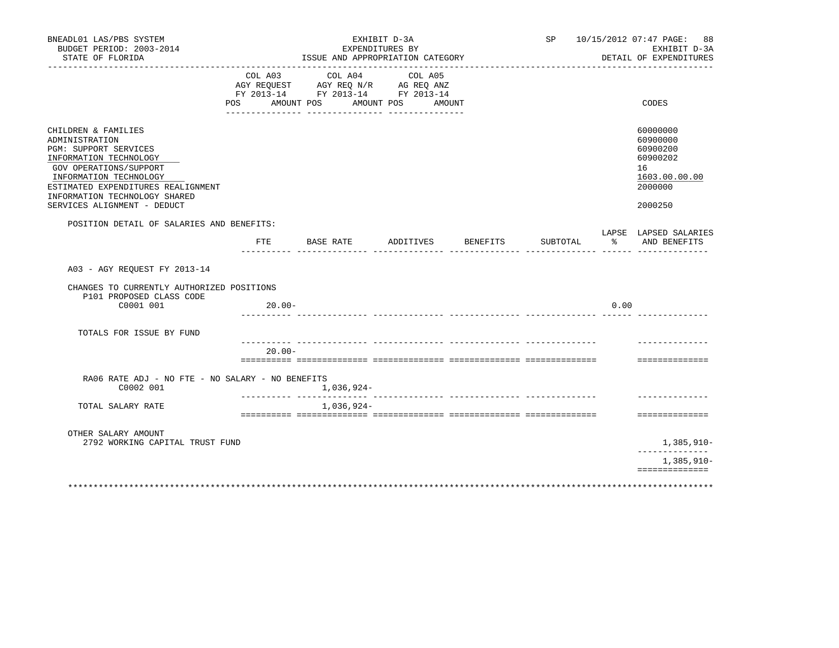| BNEADL01 LAS/PBS SYSTEM<br>BUDGET PERIOD: 2003-2014<br>STATE OF FLORIDA                                                                                                                                                                            |                | ISSUE AND APPROPRIATION CATEGORY                                                                                  | EXHIBIT D-3A<br>EXPENDITURES BY |          |          |      | SP 10/15/2012 07:47 PAGE: 88<br>EXHIBIT D-3A<br>DETAIL OF EXPENDITURES                    |
|----------------------------------------------------------------------------------------------------------------------------------------------------------------------------------------------------------------------------------------------------|----------------|-------------------------------------------------------------------------------------------------------------------|---------------------------------|----------|----------|------|-------------------------------------------------------------------------------------------|
|                                                                                                                                                                                                                                                    | COL A03<br>POS | COL A04<br>AGY REQUEST AGY REQ N/R AG REQ ANZ<br>FY 2013-14 FY 2013-14 FY 2013-14<br>AMOUNT POS AMOUNT POS AMOUNT | COL A05                         |          |          |      | CODES                                                                                     |
| CHILDREN & FAMILIES<br>ADMINISTRATION<br>PGM: SUPPORT SERVICES<br>INFORMATION TECHNOLOGY<br>GOV OPERATIONS/SUPPORT<br>INFORMATION TECHNOLOGY<br>ESTIMATED EXPENDITURES REALIGNMENT<br>INFORMATION TECHNOLOGY SHARED<br>SERVICES ALIGNMENT - DEDUCT |                |                                                                                                                   |                                 |          |          |      | 60000000<br>60900000<br>60900200<br>60900202<br>16<br>1603.00.00.00<br>2000000<br>2000250 |
| POSITION DETAIL OF SALARIES AND BENEFITS:                                                                                                                                                                                                          | FTE            | BASE RATE                                                                                                         | ADDITIVES                       | BENEFITS | SUBTOTAL | န္   | LAPSE LAPSED SALARIES<br>AND BENEFITS                                                     |
| A03 - AGY REQUEST FY 2013-14                                                                                                                                                                                                                       |                |                                                                                                                   |                                 |          |          |      |                                                                                           |
| CHANGES TO CURRENTLY AUTHORIZED POSITIONS<br>P101 PROPOSED CLASS CODE                                                                                                                                                                              |                |                                                                                                                   |                                 |          |          |      |                                                                                           |
| C0001 001                                                                                                                                                                                                                                          | $20.00 -$      |                                                                                                                   |                                 |          |          | 0.00 |                                                                                           |
| TOTALS FOR ISSUE BY FUND                                                                                                                                                                                                                           |                |                                                                                                                   |                                 |          |          |      |                                                                                           |
|                                                                                                                                                                                                                                                    | $20.00 -$      |                                                                                                                   |                                 |          |          |      | ==============                                                                            |
| RA06 RATE ADJ - NO FTE - NO SALARY - NO BENEFITS<br>C0002 001                                                                                                                                                                                      |                | 1,036,924-                                                                                                        |                                 |          |          |      |                                                                                           |
| TOTAL SALARY RATE                                                                                                                                                                                                                                  |                | 1,036,924-                                                                                                        |                                 |          |          |      |                                                                                           |
| OTHER SALARY AMOUNT                                                                                                                                                                                                                                |                |                                                                                                                   |                                 |          |          |      | ==============                                                                            |
| 2792 WORKING CAPITAL TRUST FUND                                                                                                                                                                                                                    |                |                                                                                                                   |                                 |          |          |      | 1,385,910-                                                                                |
|                                                                                                                                                                                                                                                    |                |                                                                                                                   |                                 |          |          |      | $1,385,910-$<br>==============                                                            |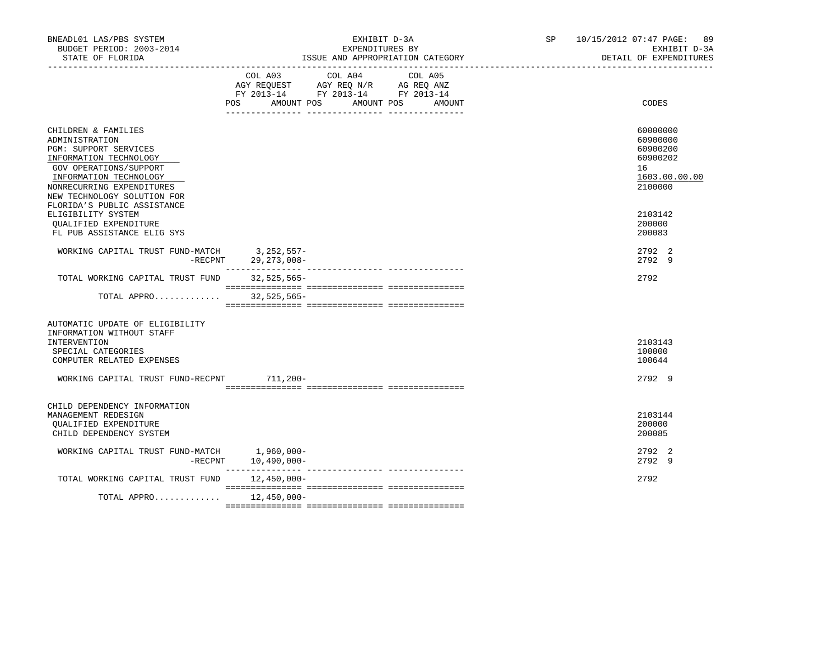| BNEADL01 LAS/PBS SYSTEM<br>BUDGET PERIOD: 2003-2014<br>STATE OF FLORIDA                                                                                                                                                                        | EXHIBIT D-3A<br>EXPENDITURES BY<br>ISSUE AND APPROPRIATION CATEGORY                                                                                                                                                                                                                                       | SP | 10/15/2012 07:47 PAGE: 89<br>EXHIBIT D-3A<br>DETAIL OF EXPENDITURES            |
|------------------------------------------------------------------------------------------------------------------------------------------------------------------------------------------------------------------------------------------------|-----------------------------------------------------------------------------------------------------------------------------------------------------------------------------------------------------------------------------------------------------------------------------------------------------------|----|--------------------------------------------------------------------------------|
|                                                                                                                                                                                                                                                | COL A04<br>COL A03<br>COL A05<br>$\begin{tabular}{lllllll} \bf AGY \;\; REQUEST \hspace{1cm} AGY \;\; REQ \;\; N/R \hspace{1cm} \bf AG \;\; REQ \;\; ANZ \\ \bf FY \;\; 2013-14 \hspace{1cm} FY \;\; 2013-14 \hspace{1cm} FY \;\; 2013-14 \end{tabular}$<br>AMOUNT POS AMOUNT POS<br><b>POS</b><br>AMOUNT |    | CODES                                                                          |
| CHILDREN & FAMILIES<br>ADMINISTRATION<br><b>PGM: SUPPORT SERVICES</b><br>INFORMATION TECHNOLOGY<br>GOV OPERATIONS/SUPPORT<br>INFORMATION TECHNOLOGY<br>NONRECURRING EXPENDITURES<br>NEW TECHNOLOGY SOLUTION FOR<br>FLORIDA'S PUBLIC ASSISTANCE |                                                                                                                                                                                                                                                                                                           |    | 60000000<br>60900000<br>60900200<br>60900202<br>16<br>1603.00.00.00<br>2100000 |
| ELIGIBILITY SYSTEM<br>QUALIFIED EXPENDITURE<br>FL PUB ASSISTANCE ELIG SYS                                                                                                                                                                      |                                                                                                                                                                                                                                                                                                           |    | 2103142<br>200000<br>200083                                                    |
| $\begin{tabular}{lllllll} \textbf{WORKING CAPITAL TRUST FUND-MATCH} & & 3,252,557--\\ & & -RECPNT & 29,273,008-- \end{tabular}$                                                                                                                |                                                                                                                                                                                                                                                                                                           |    | 2792 2<br>2792 9                                                               |
| TOTAL WORKING CAPITAL TRUST FUND 32,525,565-                                                                                                                                                                                                   |                                                                                                                                                                                                                                                                                                           |    | 2792                                                                           |
| TOTAL APPRO                                                                                                                                                                                                                                    | $32,525,565-$                                                                                                                                                                                                                                                                                             |    |                                                                                |
| AUTOMATIC UPDATE OF ELIGIBILITY<br>INFORMATION WITHOUT STAFF<br><b>INTERVENTION</b><br>SPECIAL CATEGORIES<br>COMPUTER RELATED EXPENSES<br>WORKING CAPITAL TRUST FUND-RECPNT                                                                    | 711,200-                                                                                                                                                                                                                                                                                                  |    | 2103143<br>100000<br>100644<br>2792 9                                          |
| CHILD DEPENDENCY INFORMATION<br>MANAGEMENT REDESIGN<br><b>OUALIFIED EXPENDITURE</b><br>CHILD DEPENDENCY SYSTEM                                                                                                                                 |                                                                                                                                                                                                                                                                                                           |    | 2103144<br>200000<br>200085                                                    |
| WORKING CAPITAL TRUST FUND-MATCH 1,960,000-<br>$-$ RECPNT                                                                                                                                                                                      | $10,490,000 -$                                                                                                                                                                                                                                                                                            |    | 2792 2<br>2792 9                                                               |
| TOTAL WORKING CAPITAL TRUST FUND                                                                                                                                                                                                               | 12,450,000-                                                                                                                                                                                                                                                                                               |    | 2792                                                                           |
| TOTAL APPRO 12,450,000-                                                                                                                                                                                                                        |                                                                                                                                                                                                                                                                                                           |    |                                                                                |
|                                                                                                                                                                                                                                                |                                                                                                                                                                                                                                                                                                           |    |                                                                                |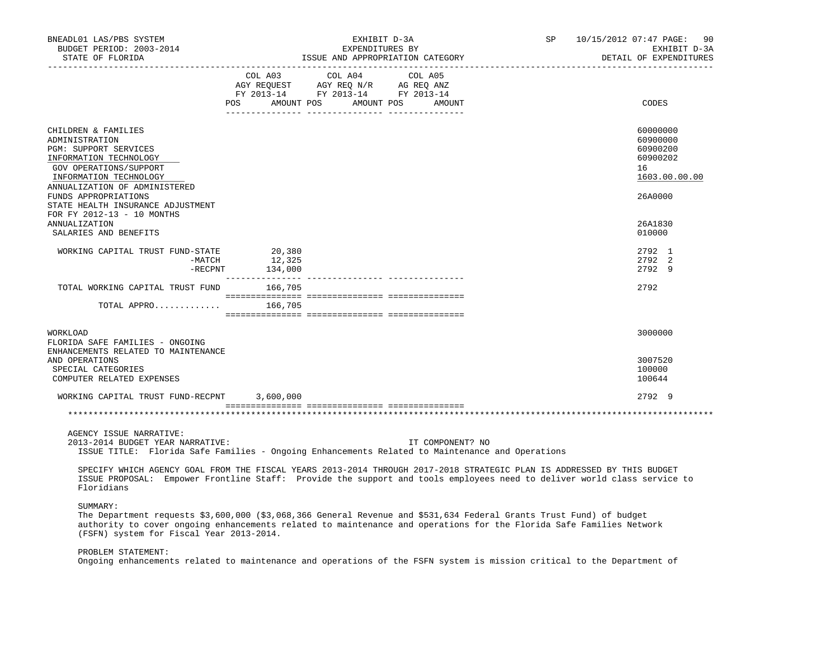| BNEADL01 LAS/PBS SYSTEM<br>BUDGET PERIOD: 2003-2014<br>STATE OF FLORIDA                                                                                                                                                                                                                            |                                             | EXHIBIT D-3A<br>EXPENDITURES BY                                                | ISSUE AND APPROPRIATION CATEGORY | SP | 10/15/2012 07:47 PAGE:<br>90<br>EXHIBIT D-3A<br>DETAIL OF EXPENDITURES |
|----------------------------------------------------------------------------------------------------------------------------------------------------------------------------------------------------------------------------------------------------------------------------------------------------|---------------------------------------------|--------------------------------------------------------------------------------|----------------------------------|----|------------------------------------------------------------------------|
|                                                                                                                                                                                                                                                                                                    | COL A03<br>POS AMOUNT POS AMOUNT POS AMOUNT | COL A04<br>COLOR NOT COLOR NOT BELOW THE COLOR NOT BELOW AS A BOULD FY 2013-14 | COL A05                          |    | CODES                                                                  |
| CHILDREN & FAMILIES<br>ADMINISTRATION<br>PGM: SUPPORT SERVICES<br>INFORMATION TECHNOLOGY<br>GOV OPERATIONS/SUPPORT<br>INFORMATION TECHNOLOGY<br>ANNUALIZATION OF ADMINISTERED                                                                                                                      |                                             |                                                                                |                                  |    | 60000000<br>60900000<br>60900200<br>60900202<br>16<br>1603.00.00.00    |
| FUNDS APPROPRIATIONS<br>STATE HEALTH INSURANCE ADJUSTMENT<br>FOR FY 2012-13 - 10 MONTHS<br>ANNUALIZATION<br>SALARIES AND BENEFITS                                                                                                                                                                  |                                             |                                                                                |                                  |    | 26A0000<br>26A1830<br>010000                                           |
| WORKING CAPITAL TRUST FUND-STATE<br>$-$ RECPNT                                                                                                                                                                                                                                                     | 0-STATE 20,380<br>-MATCH 12,325<br>134,000  |                                                                                |                                  |    | 2792 1<br>2792 2<br>2792 9                                             |
| TOTAL WORKING CAPITAL TRUST FUND 166,705                                                                                                                                                                                                                                                           |                                             |                                                                                |                                  |    | 2792                                                                   |
| TOTAL APPRO $166,705$                                                                                                                                                                                                                                                                              |                                             |                                                                                |                                  |    |                                                                        |
| WORKLOAD<br>FLORIDA SAFE FAMILIES - ONGOING<br>ENHANCEMENTS RELATED TO MAINTENANCE<br>AND OPERATIONS<br>SPECIAL CATEGORIES<br>COMPUTER RELATED EXPENSES                                                                                                                                            |                                             |                                                                                |                                  |    | 3000000<br>3007520<br>100000<br>100644                                 |
| WORKING CAPITAL TRUST FUND-RECPNT 3,600,000                                                                                                                                                                                                                                                        |                                             |                                                                                |                                  |    | 2792 9                                                                 |
|                                                                                                                                                                                                                                                                                                    |                                             |                                                                                |                                  |    |                                                                        |
| AGENCY ISSUE NARRATIVE:<br>2013-2014 BUDGET YEAR NARRATIVE:<br>ISSUE TITLE: Florida Safe Families - Ongoing Enhancements Related to Maintenance and Operations                                                                                                                                     |                                             |                                                                                | IT COMPONENT? NO                 |    |                                                                        |
| SPECIFY WHICH AGENCY GOAL FROM THE FISCAL YEARS 2013-2014 THROUGH 2017-2018 STRATEGIC PLAN IS ADDRESSED BY THIS BUDGET<br>ISSUE PROPOSAL: Empower Frontline Staff: Provide the support and tools employees need to deliver world class service to<br>Floridians                                    |                                             |                                                                                |                                  |    |                                                                        |
| SUMMARY:<br>The Department requests \$3,600,000 (\$3,068,366 General Revenue and \$531,634 Federal Grants Trust Fund) of budget<br>authority to cover ongoing enhancements related to maintenance and operations for the Florida Safe Families Network<br>(FSFN) system for Fiscal Year 2013-2014. |                                             |                                                                                |                                  |    |                                                                        |
| PROBLEM STATEMENT:<br>Ongoing enhancements related to maintenance and operations of the FSFN system is mission critical to the Department of                                                                                                                                                       |                                             |                                                                                |                                  |    |                                                                        |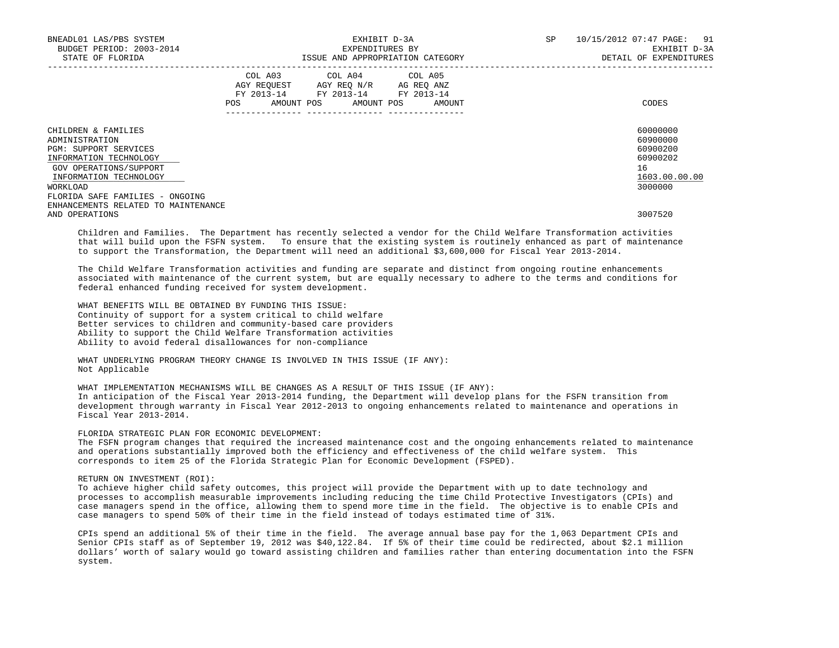| BNEADL01 LAS/PBS SYSTEM<br>BUDGET PERIOD: 2003-2014<br>STATE OF FLORIDA                                                                                                                            | EXHIBIT D-3A<br>EXPENDITURES BY<br>ISSUE AND APPROPRIATION CATEGORY                                                                         | SP<br>10/15/2012 07:47 PAGE:<br>91<br>EXHIBIT D-3A<br>DETAIL OF EXPENDITURES   |
|----------------------------------------------------------------------------------------------------------------------------------------------------------------------------------------------------|---------------------------------------------------------------------------------------------------------------------------------------------|--------------------------------------------------------------------------------|
|                                                                                                                                                                                                    | COL A03 COL A04 COL A05<br>AGY REQUEST AGY REQ N/R AG REQ ANZ<br>FY 2013-14 FY 2013-14 FY 2013-14<br>AMOUNT POS AMOUNT POS<br>POS<br>AMOUNT | CODES                                                                          |
| CHILDREN & FAMILIES<br>ADMINISTRATION<br><b>PGM: SUPPORT SERVICES</b><br>INFORMATION TECHNOLOGY<br>GOV OPERATIONS/SUPPORT<br>INFORMATION TECHNOLOGY<br>WORKLOAD<br>FLORIDA SAFE FAMILIES - ONGOING |                                                                                                                                             | 60000000<br>60900000<br>60900200<br>60900202<br>16<br>1603.00.00.00<br>3000000 |
| ENHANCEMENTS RELATED TO MAINTENANCE<br>AND OPERATIONS                                                                                                                                              |                                                                                                                                             | 3007520                                                                        |

 Children and Families. The Department has recently selected a vendor for the Child Welfare Transformation activities that will build upon the FSFN system. To ensure that the existing system is routinely enhanced as part of maintenance to support the Transformation, the Department will need an additional \$3,600,000 for Fiscal Year 2013-2014.

 The Child Welfare Transformation activities and funding are separate and distinct from ongoing routine enhancements associated with maintenance of the current system, but are equally necessary to adhere to the terms and conditions for federal enhanced funding received for system development.

 WHAT BENEFITS WILL BE OBTAINED BY FUNDING THIS ISSUE: Continuity of support for a system critical to child welfare Better services to children and community-based care providers Ability to support the Child Welfare Transformation activities Ability to avoid federal disallowances for non-compliance

 WHAT UNDERLYING PROGRAM THEORY CHANGE IS INVOLVED IN THIS ISSUE (IF ANY): Not Applicable

 WHAT IMPLEMENTATION MECHANISMS WILL BE CHANGES AS A RESULT OF THIS ISSUE (IF ANY): In anticipation of the Fiscal Year 2013-2014 funding, the Department will develop plans for the FSFN transition from development through warranty in Fiscal Year 2012-2013 to ongoing enhancements related to maintenance and operations in Fiscal Year 2013-2014.

FLORIDA STRATEGIC PLAN FOR ECONOMIC DEVELOPMENT:

 The FSFN program changes that required the increased maintenance cost and the ongoing enhancements related to maintenance and operations substantially improved both the efficiency and effectiveness of the child welfare system. This corresponds to item 25 of the Florida Strategic Plan for Economic Development (FSPED).

RETURN ON INVESTMENT (ROI):

 To achieve higher child safety outcomes, this project will provide the Department with up to date technology and processes to accomplish measurable improvements including reducing the time Child Protective Investigators (CPIs) and case managers spend in the office, allowing them to spend more time in the field. The objective is to enable CPIs and case managers to spend 50% of their time in the field instead of todays estimated time of 31%.

 CPIs spend an additional 5% of their time in the field. The average annual base pay for the 1,063 Department CPIs and Senior CPIs staff as of September 19, 2012 was \$40,122.84. If 5% of their time could be redirected, about \$2.1 million dollars' worth of salary would go toward assisting children and families rather than entering documentation into the FSFN system.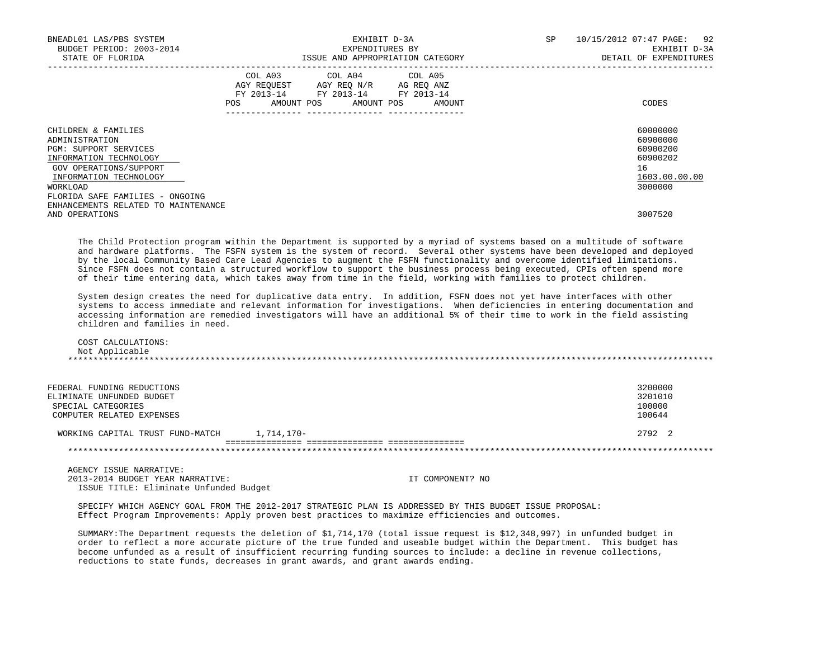| BNEADL01 LAS/PBS SYSTEM<br>BUDGET PERIOD: 2003-2014<br>STATE OF FLORIDA                                                                                                                                                                              | EXHIBIT D-3A<br>EXPENDITURES BY<br>ISSUE AND APPROPRIATION CATEGORY                                                                   | 10/15/2012 07:47 PAGE: 92<br>SP<br>EXHIBIT D-3A<br>DETAIL OF EXPENDITURES                 |
|------------------------------------------------------------------------------------------------------------------------------------------------------------------------------------------------------------------------------------------------------|---------------------------------------------------------------------------------------------------------------------------------------|-------------------------------------------------------------------------------------------|
|                                                                                                                                                                                                                                                      | COL A03 COL A04 COL A05<br>AGY REQUEST AGY REQ N/R AG REQ ANZ<br>FY 2013-14 FY 2013-14 FY 2013-14<br>POS AMOUNT POS AMOUNT POS AMOUNT | CODES                                                                                     |
| CHILDREN & FAMILIES<br>ADMINISTRATION<br>PGM: SUPPORT SERVICES<br>INFORMATION TECHNOLOGY<br>GOV OPERATIONS/SUPPORT<br>INFORMATION TECHNOLOGY<br>WORKLOAD<br>FLORIDA SAFE FAMILIES - ONGOING<br>ENHANCEMENTS RELATED TO MAINTENANCE<br>AND OPERATIONS |                                                                                                                                       | 60000000<br>60900000<br>60900200<br>60900202<br>16<br>1603.00.00.00<br>3000000<br>3007520 |

 The Child Protection program within the Department is supported by a myriad of systems based on a multitude of software and hardware platforms. The FSFN system is the system of record. Several other systems have been developed and deployed by the local Community Based Care Lead Agencies to augment the FSFN functionality and overcome identified limitations. Since FSFN does not contain a structured workflow to support the business process being executed, CPIs often spend more of their time entering data, which takes away from time in the field, working with families to protect children.

 System design creates the need for duplicative data entry. In addition, FSFN does not yet have interfaces with other systems to access immediate and relevant information for investigations. When deficiencies in entering documentation and accessing information are remedied investigators will have an additional 5% of their time to work in the field assisting children and families in need.

 COST CALCULATIONS: Not Applicable \*\*\*\*\*\*\*\*\*\*\*\*\*\*\*\*\*\*\*\*\*\*\*\*\*\*\*\*\*\*\*\*\*\*\*\*\*\*\*\*\*\*\*\*\*\*\*\*\*\*\*\*\*\*\*\*\*\*\*\*\*\*\*\*\*\*\*\*\*\*\*\*\*\*\*\*\*\*\*\*\*\*\*\*\*\*\*\*\*\*\*\*\*\*\*\*\*\*\*\*\*\*\*\*\*\*\*\*\*\*\*\*\*\*\*\*\*\*\*\*\*\*\*\*\*\*\*

| FEDERAL FUNDING REDUCTIONS<br>ELIMINATE UNFUNDED BUDGET<br>SPECIAL CATEGORIES<br>COMPUTER RELATED EXPENSES |            | 3200000<br>3201010<br>100000<br>100644 |
|------------------------------------------------------------------------------------------------------------|------------|----------------------------------------|
| WORKING CAPITAL TRUST FUND-MATCH                                                                           | 1,714,170- | 2.792 2                                |

 AGENCY ISSUE NARRATIVE: 2013-2014 BUDGET YEAR NARRATIVE: IT COMPONENT? NO ISSUE TITLE: Eliminate Unfunded Budget

 SPECIFY WHICH AGENCY GOAL FROM THE 2012-2017 STRATEGIC PLAN IS ADDRESSED BY THIS BUDGET ISSUE PROPOSAL: Effect Program Improvements: Apply proven best practices to maximize efficiencies and outcomes.

 SUMMARY:The Department requests the deletion of \$1,714,170 (total issue request is \$12,348,997) in unfunded budget in order to reflect a more accurate picture of the true funded and useable budget within the Department. This budget has become unfunded as a result of insufficient recurring funding sources to include: a decline in revenue collections, reductions to state funds, decreases in grant awards, and grant awards ending.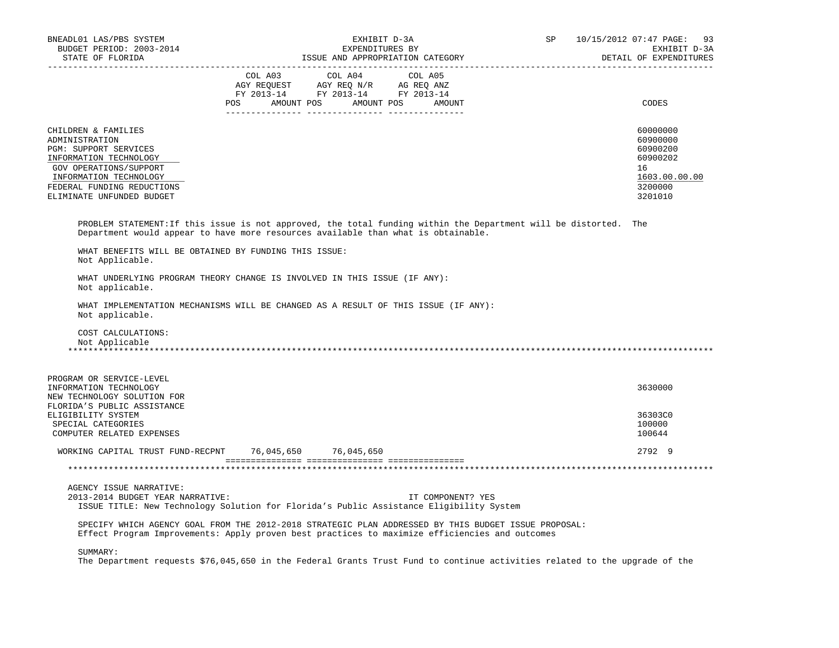| BNEADL01 LAS/PBS SYSTEM<br>BUDGET PERIOD: 2003-2014<br>STATE OF FLORIDA                                                                                                                                 | EXHIBIT D-3A<br>EXPENDITURES BY<br>ISSUE AND APPROPRIATION CATEGORY                                                                                                                                                                                                                                                    | SP | 10/15/2012 07:47 PAGE: 93<br>EXHIBIT D-3A<br>DETAIL OF EXPENDITURES                       |
|---------------------------------------------------------------------------------------------------------------------------------------------------------------------------------------------------------|------------------------------------------------------------------------------------------------------------------------------------------------------------------------------------------------------------------------------------------------------------------------------------------------------------------------|----|-------------------------------------------------------------------------------------------|
|                                                                                                                                                                                                         | $\begin{tabular}{lcccc} COL A03 & COL A04 & COL A05 \\ AGY REQUEST & AGY REQ N/R & AG REQ ANZ \\ FY & 2013-14 & FY & 2013-14 & FY & 2013-14 \end{tabular}$<br>POS AMOUNT POS AMOUNT POS AMOUNT                                                                                                                         |    | CODES                                                                                     |
| CHILDREN & FAMILIES<br>ADMINISTRATION<br>PGM: SUPPORT SERVICES<br>INFORMATION TECHNOLOGY<br>GOV OPERATIONS/SUPPORT<br>INFORMATION TECHNOLOGY<br>FEDERAL FUNDING REDUCTIONS<br>ELIMINATE UNFUNDED BUDGET |                                                                                                                                                                                                                                                                                                                        |    | 60000000<br>60900000<br>60900200<br>60900202<br>16<br>1603.00.00.00<br>3200000<br>3201010 |
| WHAT BENEFITS WILL BE OBTAINED BY FUNDING THIS ISSUE:<br>Not Applicable.                                                                                                                                | PROBLEM STATEMENT: If this issue is not approved, the total funding within the Department will be distorted. The<br>Department would appear to have more resources available than what is obtainable.                                                                                                                  |    |                                                                                           |
| Not applicable.<br>Not applicable.<br>COST CALCULATIONS:<br>Not Applicable                                                                                                                              | WHAT UNDERLYING PROGRAM THEORY CHANGE IS INVOLVED IN THIS ISSUE (IF ANY):<br>WHAT IMPLEMENTATION MECHANISMS WILL BE CHANGED AS A RESULT OF THIS ISSUE (IF ANY):                                                                                                                                                        |    |                                                                                           |
| PROGRAM OR SERVICE-LEVEL<br>INFORMATION TECHNOLOGY<br>NEW TECHNOLOGY SOLUTION FOR<br>FLORIDA'S PUBLIC ASSISTANCE<br>ELIGIBILITY SYSTEM<br>SPECIAL CATEGORIES                                            |                                                                                                                                                                                                                                                                                                                        |    | 3630000<br>36303C0<br>100000                                                              |
| COMPUTER RELATED EXPENSES<br>WORKING CAPITAL TRUST FUND-RECPNT 76,045,650 76,045,650                                                                                                                    |                                                                                                                                                                                                                                                                                                                        |    | 100644<br>2792 9                                                                          |
|                                                                                                                                                                                                         |                                                                                                                                                                                                                                                                                                                        |    |                                                                                           |
| AGENCY ISSUE NARRATIVE:<br>2013-2014 BUDGET YEAR NARRATIVE:<br>SUMMARY:                                                                                                                                 | IT COMPONENT? YES<br>ISSUE TITLE: New Technology Solution for Florida's Public Assistance Eligibility System<br>SPECIFY WHICH AGENCY GOAL FROM THE 2012-2018 STRATEGIC PLAN ADDRESSED BY THIS BUDGET ISSUE PROPOSAL:<br>Effect Program Improvements: Apply proven best practices to maximize efficiencies and outcomes |    |                                                                                           |
|                                                                                                                                                                                                         | The Department requests \$76,045,650 in the Federal Grants Trust Fund to continue activities related to the upgrade of the                                                                                                                                                                                             |    |                                                                                           |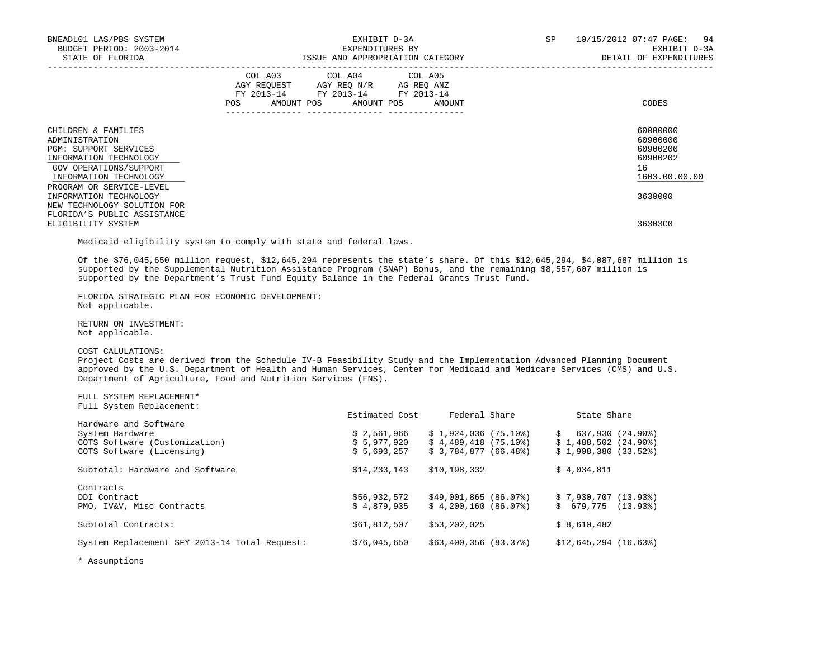| BNEADL01 LAS/PBS SYSTEM<br>BUDGET PERIOD: 2003-2014<br>STATE OF FLORIDA                                                                             | EXHIBIT D-3A<br>EXPENDITURES BY<br>ISSUE AND APPROPRIATION CATEGORY                                                                         | SP<br>10/15/2012 07:47 PAGE: 94<br>EXHIBIT D-3A<br>DETAIL OF EXPENDITURES |
|-----------------------------------------------------------------------------------------------------------------------------------------------------|---------------------------------------------------------------------------------------------------------------------------------------------|---------------------------------------------------------------------------|
|                                                                                                                                                     | COL A03 COL A04 COL A05<br>AGY REQUEST AGY REO N/R AG REO ANZ<br>FY 2013-14 FY 2013-14 FY 2013-14<br>POS<br>AMOUNT POS AMOUNT POS<br>AMOUNT | CODES                                                                     |
| CHILDREN & FAMILIES<br>ADMINISTRATION<br><b>PGM: SUPPORT SERVICES</b><br>INFORMATION TECHNOLOGY<br>GOV OPERATIONS/SUPPORT<br>INFORMATION TECHNOLOGY |                                                                                                                                             | 60000000<br>60900000<br>60900200<br>60900202<br>16<br>1603.00.00.00       |
| PROGRAM OR SERVICE-LEVEL<br>INFORMATION TECHNOLOGY<br>NEW TECHNOLOGY SOLUTION FOR<br>FLORIDA'S PUBLIC ASSISTANCE<br>ELIGIBILITY SYSTEM              |                                                                                                                                             | 3630000<br>36303C0                                                        |

Medicaid eligibility system to comply with state and federal laws.

 Of the \$76,045,650 million request, \$12,645,294 represents the state's share. Of this \$12,645,294, \$4,087,687 million is supported by the Supplemental Nutrition Assistance Program (SNAP) Bonus, and the remaining \$8,557,607 million is supported by the Department's Trust Fund Equity Balance in the Federal Grants Trust Fund.

 FLORIDA STRATEGIC PLAN FOR ECONOMIC DEVELOPMENT: Not applicable.

 RETURN ON INVESTMENT: Not applicable.

# COST CALULATIONS:

 Project Costs are derived from the Schedule IV-B Feasibility Study and the Implementation Advanced Planning Document approved by the U.S. Department of Health and Human Services, Center for Medicaid and Medicare Services (CMS) and U.S. Department of Agriculture, Food and Nutrition Services (FNS).

 FULL SYSTEM REPLACEMENT\* Full System Replacement:

|                                               | Estimated Cost | Federal Share           | State Share             |
|-----------------------------------------------|----------------|-------------------------|-------------------------|
| Hardware and Software                         |                |                         |                         |
| System Hardware                               | \$2,561,966    | \$1,924,036(75,10)      | 637,930 (24.90%)        |
| COTS Software (Customization)                 | \$5,977,920    | $$4.489.418$ $(75.10)$  | $$1,488,502$ $(24.90*)$ |
| COTS Software (Licensing)                     | \$5,693,257    | \$3.784.877(66.48)      | \$1,908,380(33.52)      |
| Subtotal: Hardware and Software               | \$14, 233, 143 | \$10,198,332            | \$4,034,811             |
| Contracts                                     |                |                         |                         |
| DDI Contract                                  | \$56,932,572   | \$49,001,865 (86.07%)   | \$7,930,707(13.93)      |
| PMO, IV&V, Misc Contracts                     | \$4.879.935    | $$4,200,160$ (86.07%)   | (13.93)<br>\$679.775    |
| Subtotal Contracts:                           | \$61,812,507   | \$53,202,025            | \$8,610,482             |
| System Replacement SFY 2013-14 Total Request: | \$76,045,650   | $$63,400,356$ $(83,37)$ | $$12.645.294$ $(16.63)$ |
|                                               |                |                         |                         |

\* Assumptions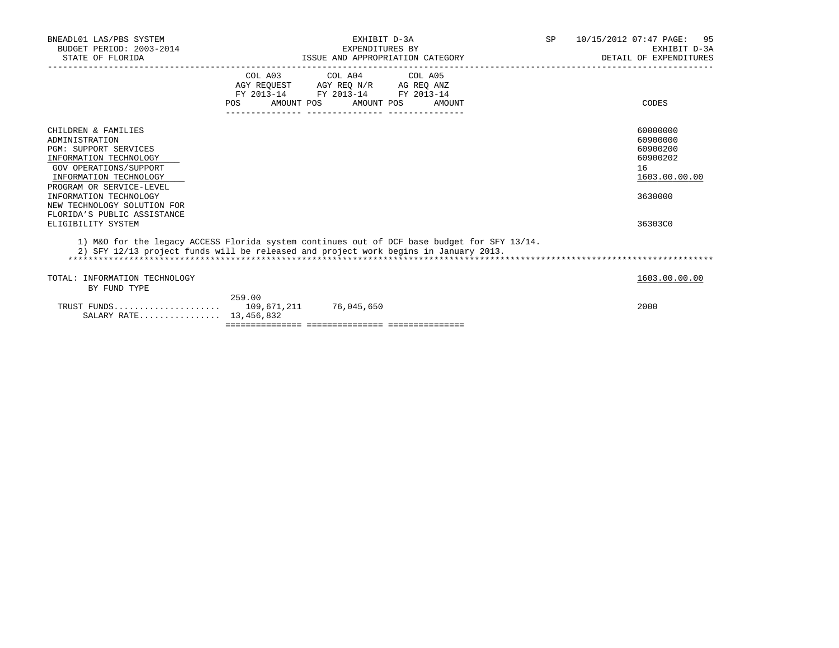| BNEADL01 LAS/PBS SYSTEM<br>BUDGET PERIOD: 2003-2014<br>STATE OF FLORIDA                                                                                                             |                                                                                                                                                  | EXHIBIT D-3A<br>EXPENDITURES BY<br>ISSUE AND APPROPRIATION CATEGORY |        | SP | 10/15/2012 07:47 PAGE: 95<br>EXHIBIT D-3A<br>DETAIL OF EXPENDITURES |
|-------------------------------------------------------------------------------------------------------------------------------------------------------------------------------------|--------------------------------------------------------------------------------------------------------------------------------------------------|---------------------------------------------------------------------|--------|----|---------------------------------------------------------------------|
|                                                                                                                                                                                     |                                                                                                                                                  | COL A03 COL A04 COL A05                                             |        |    |                                                                     |
|                                                                                                                                                                                     | $\begin{tabular}{lllllll} AGY & \texttt{REQUEST} & \texttt{AGY REQ N/R} & \texttt{AG REQ ANZ} \end{tabular}$<br>FY 2013-14 FY 2013-14 FY 2013-14 |                                                                     |        |    |                                                                     |
|                                                                                                                                                                                     | AMOUNT POS<br>POS                                                                                                                                | AMOUNT POS                                                          | AMOUNT |    | CODES                                                               |
| CHILDREN & FAMILIES<br>ADMINISTRATION<br><b>PGM: SUPPORT SERVICES</b><br>INFORMATION TECHNOLOGY<br>GOV OPERATIONS/SUPPORT<br>INFORMATION TECHNOLOGY                                 |                                                                                                                                                  |                                                                     |        |    | 60000000<br>60900000<br>60900200<br>60900202<br>16<br>1603.00.00.00 |
| PROGRAM OR SERVICE-LEVEL<br>INFORMATION TECHNOLOGY<br>NEW TECHNOLOGY SOLUTION FOR<br>FLORIDA'S PUBLIC ASSISTANCE                                                                    |                                                                                                                                                  |                                                                     |        |    | 3630000                                                             |
| ELIGIBILITY SYSTEM                                                                                                                                                                  |                                                                                                                                                  |                                                                     |        |    | 36303C0                                                             |
| 1) M&O for the legacy ACCESS Florida system continues out of DCF base budget for SFY 13/14.<br>2) SFY 12/13 project funds will be released and project work begins in January 2013. |                                                                                                                                                  |                                                                     |        |    |                                                                     |
| TOTAL: INFORMATION TECHNOLOGY<br>BY FUND TYPE                                                                                                                                       |                                                                                                                                                  |                                                                     |        |    | 1603.00.00.00                                                       |
| SALARY RATE 13,456,832                                                                                                                                                              | 259.00                                                                                                                                           |                                                                     |        |    | 2000                                                                |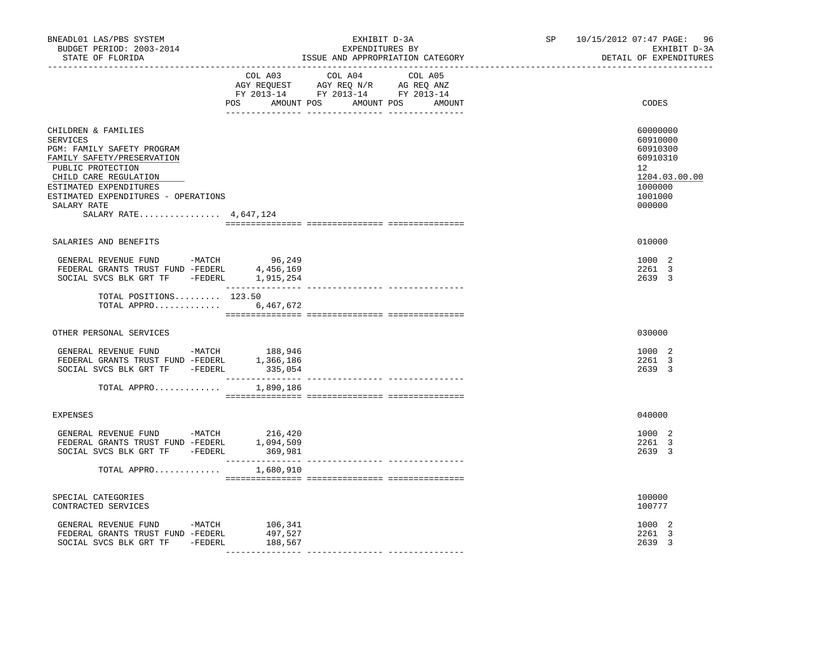| BNEADL01 LAS/PBS SYSTEM<br>BUDGET PERIOD: 2003-2014<br>STATE OF FLORIDA<br>-------------------                                                                                                                                                     | EXHIBIT D-3A<br>EXPENDITURES BY<br>ISSUE AND APPROPRIATION CATEGORY                                                                      | SP 10/15/2012 07:47 PAGE:<br>96<br>EXHIBIT D-3A<br>DETAIL OF EXPENDITURES                           |
|----------------------------------------------------------------------------------------------------------------------------------------------------------------------------------------------------------------------------------------------------|------------------------------------------------------------------------------------------------------------------------------------------|-----------------------------------------------------------------------------------------------------|
|                                                                                                                                                                                                                                                    | COL A03<br>COL A04 COL A05<br>NGY REQUEST AGY REQ N/R AG REQ ANZ<br>FY 2013-14 FY 2013-14 FY 2013-14<br>POS AMOUNT POS AMOUNT POS AMOUNT | CODES                                                                                               |
| CHILDREN & FAMILIES<br>SERVICES<br>PGM: FAMILY SAFETY PROGRAM<br>FAMILY SAFETY/PRESERVATION<br>PUBLIC PROTECTION<br>CHILD CARE REGULATION<br>ESTIMATED EXPENDITURES<br>ESTIMATED EXPENDITURES - OPERATIONS<br>SALARY RATE<br>SALARY RATE 4,647,124 |                                                                                                                                          | 60000000<br>60910000<br>60910300<br>60910310<br>12<br>1204.03.00.00<br>1000000<br>1001000<br>000000 |
|                                                                                                                                                                                                                                                    |                                                                                                                                          |                                                                                                     |
| SALARIES AND BENEFITS                                                                                                                                                                                                                              |                                                                                                                                          | 010000                                                                                              |
| GENERAL REVENUE FUND -MATCH 96,249<br>FEDERAL GRANTS TRUST FUND -FEDERL 4,456,169<br>SOCIAL SVCS BLK GRT TF - FEDERL 1, 915, 254                                                                                                                   |                                                                                                                                          | 1000 2<br>2261 3<br>2639 3                                                                          |
| TOTAL POSITIONS 123.50<br>TOTAL APPRO                                                                                                                                                                                                              | 6,467,672                                                                                                                                |                                                                                                     |
| OTHER PERSONAL SERVICES                                                                                                                                                                                                                            |                                                                                                                                          | 030000                                                                                              |
| GENERAL REVENUE FUND -MATCH 188,946<br>FEDERAL GRANTS TRUST FUND -FEDERL 1,366,186<br>SOCIAL SVCS BLK GRT TF -FEDERL                                                                                                                               | 335,054<br>---------------- ----------------                                                                                             | 1000 2<br>2261 3<br>2639 3                                                                          |
| TOTAL APPRO                                                                                                                                                                                                                                        | 1,890,186                                                                                                                                |                                                                                                     |
| <b>EXPENSES</b>                                                                                                                                                                                                                                    |                                                                                                                                          | 040000                                                                                              |
| GENERAL REVENUE FUND -MATCH 216,420<br>FEDERAL GRANTS TRUST FUND -FEDERL 1,094,509<br>SOCIAL SVCS BLK GRT TF -FEDERL                                                                                                                               | 369,981                                                                                                                                  | 1000 2<br>2261 3<br>2639 3                                                                          |
| TOTAL APPRO                                                                                                                                                                                                                                        | 1,680,910                                                                                                                                |                                                                                                     |
| SPECIAL CATEGORIES<br>CONTRACTED SERVICES                                                                                                                                                                                                          |                                                                                                                                          | 100000<br>100777                                                                                    |
| GENERAL REVENUE FUND -MATCH 106,341<br>FEDERAL GRANTS TRUST FUND -FEDERL<br>SOCIAL SVCS BLK GRT TF -FEDERL                                                                                                                                         | 497,527<br>188,567                                                                                                                       | 1000 2<br>2261 3<br>2639 3                                                                          |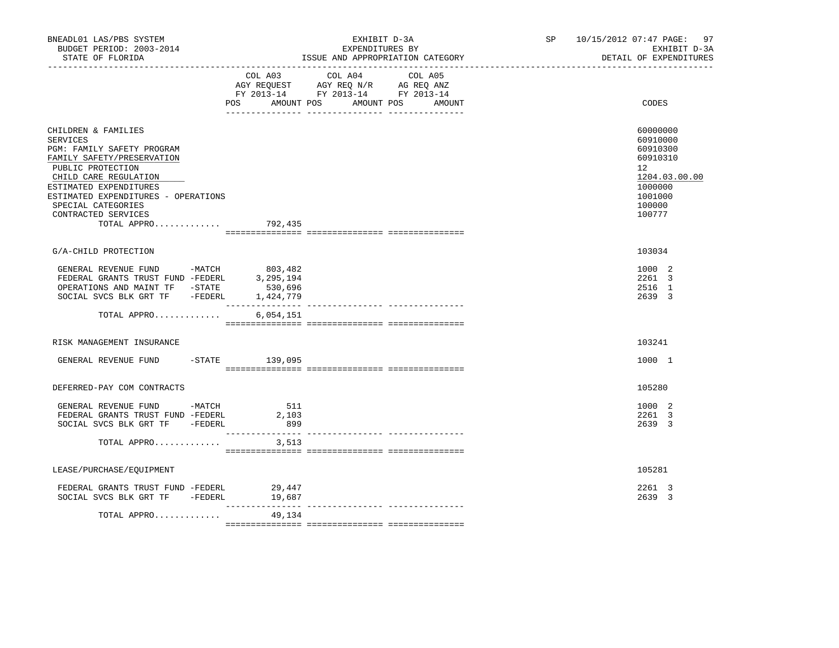| BNEADL01 LAS/PBS SYSTEM<br>BUDGET PERIOD: 2003-2014<br>STATE OF FLORIDA<br>___________________                                                                                                                                                                         | EXHIBIT D-3A<br>EXPENDITURES BY<br>ISSUE AND APPROPRIATION CATEGORY                                                                         | SP 10/15/2012 07:47 PAGE: 97<br>EXHIBIT D-3A<br>DETAIL OF EXPENDITURES                                                  |
|------------------------------------------------------------------------------------------------------------------------------------------------------------------------------------------------------------------------------------------------------------------------|---------------------------------------------------------------------------------------------------------------------------------------------|-------------------------------------------------------------------------------------------------------------------------|
|                                                                                                                                                                                                                                                                        | COL A03 COL A04 COL A05<br>AGY REQUEST AGY REQ N/R AG REQ ANZ<br>FY 2013-14 FY 2013-14 FY 2013-14<br>POS AMOUNT POS<br>AMOUNT POS<br>AMOUNT | CODES                                                                                                                   |
| CHILDREN & FAMILIES<br>SERVICES<br>PGM: FAMILY SAFETY PROGRAM<br>FAMILY SAFETY/PRESERVATION<br>PUBLIC PROTECTION<br>CHILD CARE REGULATION<br>ESTIMATED EXPENDITURES<br>ESTIMATED EXPENDITURES - OPERATIONS<br>SPECIAL CATEGORIES<br>CONTRACTED SERVICES<br>TOTAL APPRO | 792,435                                                                                                                                     | 60000000<br>60910000<br>60910300<br>60910310<br>$12^{\circ}$<br>1204.03.00.00<br>1000000<br>1001000<br>100000<br>100777 |
| G/A-CHILD PROTECTION                                                                                                                                                                                                                                                   |                                                                                                                                             | 103034                                                                                                                  |
| GENERAL REVENUE FUND<br>FEDERAL GRANTS TRUST FUND -FEDERL 3,295,194<br>CREPATIONS AND MAINT TF -STATE 530,696<br>SOCIAL SVCS BLK GRT TF - FEDERL                                                                                                                       | 1,424,779<br>_________________<br>--------------- ---------------                                                                           | 1000 2<br>2261 3<br>2516 1<br>2639 3                                                                                    |
| TOTAL APPRO                                                                                                                                                                                                                                                            | 6,054,151                                                                                                                                   |                                                                                                                         |
| RISK MANAGEMENT INSURANCE                                                                                                                                                                                                                                              |                                                                                                                                             | 103241                                                                                                                  |
| GENERAL REVENUE FUND -STATE 139,095                                                                                                                                                                                                                                    |                                                                                                                                             | 1000 1                                                                                                                  |
| DEFERRED-PAY COM CONTRACTS                                                                                                                                                                                                                                             |                                                                                                                                             | 105280                                                                                                                  |
| GENERAL REVENUE FUND -MATCH<br>FEDERAL GRANTS TRUST FUND -FEDERL<br>SOCIAL SVCS BLK GRT TF -FEDERL                                                                                                                                                                     | 511<br>2,103<br>899                                                                                                                         | 1000 2<br>2261 3<br>2639 3                                                                                              |
| TOTAL APPRO                                                                                                                                                                                                                                                            | 3,513                                                                                                                                       |                                                                                                                         |
| LEASE/PURCHASE/EQUIPMENT                                                                                                                                                                                                                                               |                                                                                                                                             | 105281                                                                                                                  |
| FEDERAL GRANTS TRUST FUND -FEDERL<br>SOCIAL SVCS BLK GRT TF -FEDERL                                                                                                                                                                                                    | 29,447<br>19,687                                                                                                                            | 2261 3<br>2639 3                                                                                                        |
| TOTAL APPRO                                                                                                                                                                                                                                                            | ------------<br>49,134                                                                                                                      |                                                                                                                         |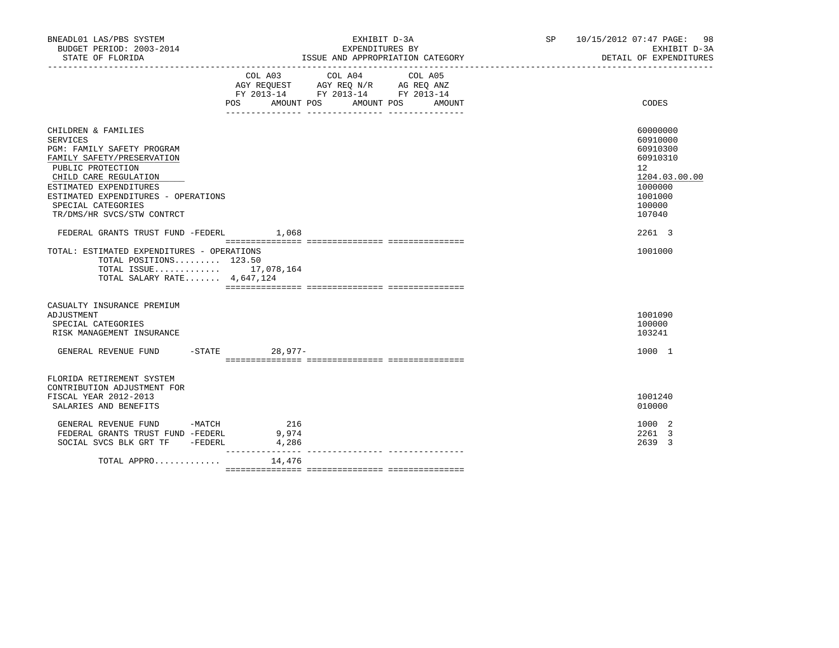| BNEADL01 LAS/PBS SYSTEM<br>EXHIBIT D-3A<br>BUDGET PERIOD: 2003-2014<br>EXPENDITURES BY                                                                                                                                                                                                                     |                                                                                                                           |                   | SP 10/15/2012 07:47 PAGE: 98<br>EXHIBIT D-3A                                                                            |  |
|------------------------------------------------------------------------------------------------------------------------------------------------------------------------------------------------------------------------------------------------------------------------------------------------------------|---------------------------------------------------------------------------------------------------------------------------|-------------------|-------------------------------------------------------------------------------------------------------------------------|--|
| STATE OF FLORIDA                                                                                                                                                                                                                                                                                           | ISSUE AND APPROPRIATION CATEGORY                                                                                          |                   | DETAIL OF EXPENDITURES                                                                                                  |  |
|                                                                                                                                                                                                                                                                                                            | COL A04<br>COL A03<br>AGY REQUEST AGY REQ N/R AG REQ ANZ<br>FY 2013-14 FY 2013-14 FY 2013-14<br>POS AMOUNT POS AMOUNT POS | COL A05<br>AMOUNT | CODES                                                                                                                   |  |
| CHILDREN & FAMILIES<br><b>SERVICES</b><br>PGM: FAMILY SAFETY PROGRAM<br>FAMILY SAFETY/PRESERVATION<br>PUBLIC PROTECTION<br>CHILD CARE REGULATION<br>ESTIMATED EXPENDITURES<br>ESTIMATED EXPENDITURES - OPERATIONS<br>SPECIAL CATEGORIES<br>TR/DMS/HR SVCS/STW CONTRCT<br>FEDERAL GRANTS TRUST FUND -FEDERL | 1,068                                                                                                                     |                   | 60000000<br>60910000<br>60910300<br>60910310<br>12<br>1204.03.00.00<br>1000000<br>1001000<br>100000<br>107040<br>2261 3 |  |
| TOTAL: ESTIMATED EXPENDITURES - OPERATIONS<br>TOTAL POSITIONS 123.50<br>TOTAL ISSUE 17,078,164<br>TOTAL SALARY RATE 4,647,124                                                                                                                                                                              |                                                                                                                           |                   | 1001000                                                                                                                 |  |
| CASUALTY INSURANCE PREMIUM<br>ADJUSTMENT<br>SPECIAL CATEGORIES<br>RISK MANAGEMENT INSURANCE<br>GENERAL REVENUE FUND -STATE 28,977-                                                                                                                                                                         |                                                                                                                           |                   | 1001090<br>100000<br>103241<br>1000 1                                                                                   |  |
| FLORIDA RETIREMENT SYSTEM<br>CONTRIBUTION ADJUSTMENT FOR<br>FISCAL YEAR 2012-2013<br>SALARIES AND BENEFITS                                                                                                                                                                                                 |                                                                                                                           |                   | 1001240<br>010000                                                                                                       |  |
| GENERAL REVENUE FUND -MATCH<br>FEDERAL GRANTS TRUST FUND -FEDERL<br>SOCIAL SVCS BLK GRT TF -FEDERL                                                                                                                                                                                                         | 216<br>9,974<br>4,286                                                                                                     |                   | 1000 2<br>2261 3<br>2639 3                                                                                              |  |
| TOTAL APPRO $14,476$                                                                                                                                                                                                                                                                                       | ________________                                                                                                          |                   |                                                                                                                         |  |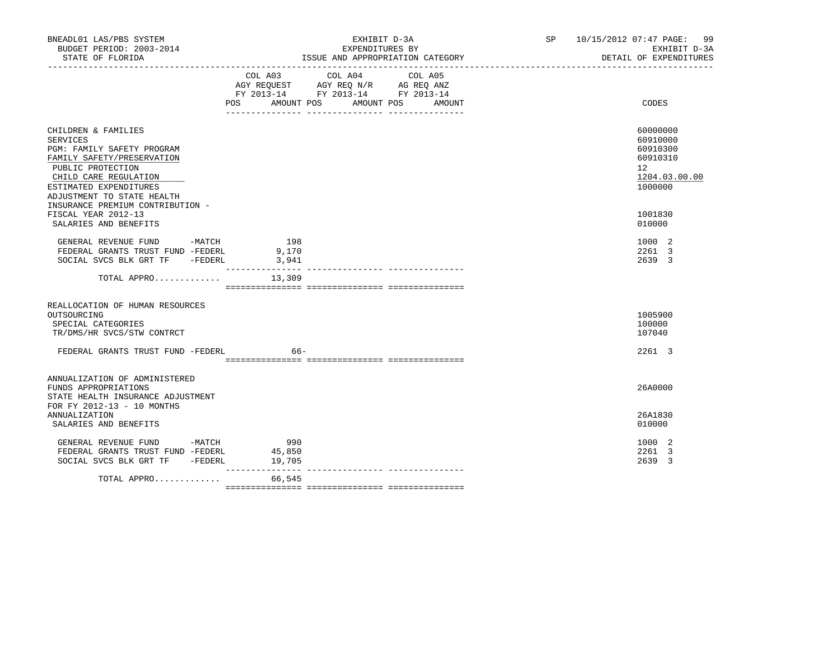| BNEADL01 LAS/PBS SYSTEM<br>BUDGET PERIOD: 2003-2014<br>STATE OF FLORIDA                                                                                                                                                                                             |                                      | EXHIBIT D-3A<br>EXPENDITURES BY<br>ISSUE AND APPROPRIATION CATEGORY                                   | SP 10/15/2012 07:47 PAGE: 99<br>EXHIBIT D-3A<br>DETAIL OF EXPENDITURES                              |
|---------------------------------------------------------------------------------------------------------------------------------------------------------------------------------------------------------------------------------------------------------------------|--------------------------------------|-------------------------------------------------------------------------------------------------------|-----------------------------------------------------------------------------------------------------|
|                                                                                                                                                                                                                                                                     |                                      | COL A03 COL A04<br>COL A05<br>FY 2013-14 FY 2013-14 FY 2013-14<br>POS AMOUNT POS AMOUNT POS<br>AMOUNT | CODES                                                                                               |
| CHILDREN & FAMILIES<br><b>SERVICES</b><br>PGM: FAMILY SAFETY PROGRAM<br>FAMILY SAFETY/PRESERVATION<br>PUBLIC PROTECTION<br>CHILD CARE REGULATION<br>ESTIMATED EXPENDITURES<br>ADJUSTMENT TO STATE HEALTH<br>INSURANCE PREMIUM CONTRIBUTION -<br>FISCAL YEAR 2012-13 |                                      |                                                                                                       | 60000000<br>60910000<br>60910300<br>60910310<br>$12^{\circ}$<br>1204.03.00.00<br>1000000<br>1001830 |
| SALARIES AND BENEFITS<br>GENERAL REVENUE FUND -MATCH<br>FEDERAL GRANTS TRUST FUND -FEDERL<br>SOCIAL SVCS BLK GRT TF -FEDERL                                                                                                                                         | 198<br>9,170<br>3,941                |                                                                                                       | 010000<br>1000 2<br>2261 3<br>2639 3                                                                |
| TOTAL APPRO                                                                                                                                                                                                                                                         | ________________<br>13,309           |                                                                                                       |                                                                                                     |
| REALLOCATION OF HUMAN RESOURCES<br>OUTSOURCING<br>SPECIAL CATEGORIES<br>TR/DMS/HR SVCS/STW CONTRCT                                                                                                                                                                  |                                      |                                                                                                       | 1005900<br>100000<br>107040                                                                         |
| FEDERAL GRANTS TRUST FUND -FEDERL                                                                                                                                                                                                                                   | 66-                                  |                                                                                                       | 2261 3                                                                                              |
| ANNUALIZATION OF ADMINISTERED<br>FUNDS APPROPRIATIONS<br>STATE HEALTH INSURANCE ADJUSTMENT<br>FOR FY 2012-13 - 10 MONTHS                                                                                                                                            |                                      |                                                                                                       | 26A0000                                                                                             |
| <b>ANNUALIZATION</b><br>SALARIES AND BENEFITS                                                                                                                                                                                                                       |                                      |                                                                                                       | 26A1830<br>010000                                                                                   |
| GENERAL REVENUE FUND -MATCH 990<br>FEDERAL GRANTS TRUST FUND -FEDERL<br>SOCIAL SVCS BLK GRT TF -FEDERL                                                                                                                                                              | 45,850<br>19,705<br>________________ |                                                                                                       | 1000 2<br>2261 3<br>2639 3                                                                          |
| TOTAL APPRO                                                                                                                                                                                                                                                         | 66,545                               |                                                                                                       |                                                                                                     |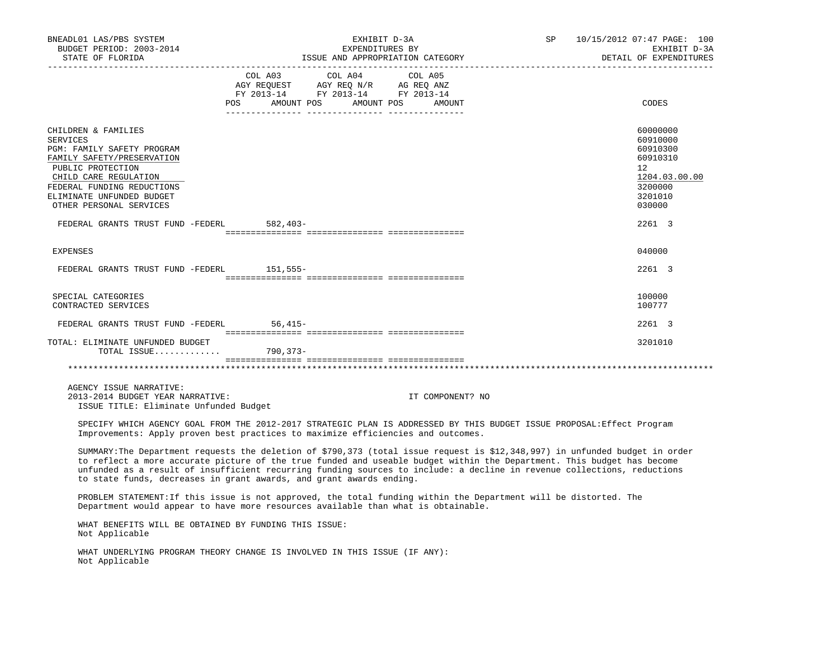| BNEADL01 LAS/PBS SYSTEM<br>BUDGET PERIOD: 2003-2014                                                                                                                                                                                                                                                                                                                                                                                                      |                                                                                                                       | EXHIBIT D-3A<br>EXPENDITURES BY |                                  | SP | 10/15/2012 07:47 PAGE: 100<br>EXHIBIT D-3A                                                          |
|----------------------------------------------------------------------------------------------------------------------------------------------------------------------------------------------------------------------------------------------------------------------------------------------------------------------------------------------------------------------------------------------------------------------------------------------------------|-----------------------------------------------------------------------------------------------------------------------|---------------------------------|----------------------------------|----|-----------------------------------------------------------------------------------------------------|
| STATE OF FLORIDA                                                                                                                                                                                                                                                                                                                                                                                                                                         |                                                                                                                       |                                 | ISSUE AND APPROPRIATION CATEGORY |    | DETAIL OF EXPENDITURES                                                                              |
|                                                                                                                                                                                                                                                                                                                                                                                                                                                          | COL A03<br>AGY REQUEST AGY REQ N/R AG REQ ANZ<br>FY 2013-14 FY 2013-14 FY 2013-14<br>POS AMOUNT POS AMOUNT POS AMOUNT | COL A04<br>COL A05              |                                  |    | CODES                                                                                               |
| CHILDREN & FAMILIES<br><b>SERVICES</b><br>PGM: FAMILY SAFETY PROGRAM<br>FAMILY SAFETY/PRESERVATION<br>PUBLIC PROTECTION<br>CHILD CARE REGULATION<br>FEDERAL FUNDING REDUCTIONS<br>ELIMINATE UNFUNDED BUDGET<br>OTHER PERSONAL SERVICES                                                                                                                                                                                                                   |                                                                                                                       |                                 |                                  |    | 60000000<br>60910000<br>60910300<br>60910310<br>12<br>1204.03.00.00<br>3200000<br>3201010<br>030000 |
| FEDERAL GRANTS TRUST FUND -FEDERL 582,403-                                                                                                                                                                                                                                                                                                                                                                                                               |                                                                                                                       |                                 |                                  |    | 2261 3                                                                                              |
| <b>EXPENSES</b>                                                                                                                                                                                                                                                                                                                                                                                                                                          |                                                                                                                       |                                 |                                  |    | 040000                                                                                              |
| FEDERAL GRANTS TRUST FUND -FEDERL 151,555-                                                                                                                                                                                                                                                                                                                                                                                                               |                                                                                                                       |                                 |                                  |    | 2261 3                                                                                              |
| SPECIAL CATEGORIES<br>CONTRACTED SERVICES                                                                                                                                                                                                                                                                                                                                                                                                                |                                                                                                                       |                                 |                                  |    | 100000<br>100777                                                                                    |
| FEDERAL GRANTS TRUST FUND -FEDERL 56,415-                                                                                                                                                                                                                                                                                                                                                                                                                |                                                                                                                       |                                 |                                  |    | 2261 3                                                                                              |
| TOTAL: ELIMINATE UNFUNDED BUDGET<br>TOTAL ISSUE 790,373-                                                                                                                                                                                                                                                                                                                                                                                                 |                                                                                                                       |                                 |                                  |    | 3201010                                                                                             |
|                                                                                                                                                                                                                                                                                                                                                                                                                                                          |                                                                                                                       |                                 |                                  |    |                                                                                                     |
| AGENCY ISSUE NARRATIVE:<br>2013-2014 BUDGET YEAR NARRATIVE:<br>ISSUE TITLE: Eliminate Unfunded Budget                                                                                                                                                                                                                                                                                                                                                    |                                                                                                                       |                                 | IT COMPONENT? NO                 |    |                                                                                                     |
| SPECIFY WHICH AGENCY GOAL FROM THE 2012-2017 STRATEGIC PLAN IS ADDRESSED BY THIS BUDGET ISSUE PROPOSAL:Effect Program<br>Improvements: Apply proven best practices to maximize efficiencies and outcomes.                                                                                                                                                                                                                                                |                                                                                                                       |                                 |                                  |    |                                                                                                     |
| SUMMARY: The Department requests the deletion of \$790,373 (total issue request is \$12,348,997) in unfunded budget in order<br>to reflect a more accurate picture of the true funded and useable budget within the Department. This budget has become<br>unfunded as a result of insufficient recurring funding sources to include: a decline in revenue collections, reductions<br>to state funds, decreases in grant awards, and grant awards ending. |                                                                                                                       |                                 |                                  |    |                                                                                                     |
| PROBLEM STATEMENT: If this issue is not approved, the total funding within the Department will be distorted. The<br>Department would appear to have more resources available than what is obtainable.                                                                                                                                                                                                                                                    |                                                                                                                       |                                 |                                  |    |                                                                                                     |
| WHAT BENEFITS WILL BE OBTAINED BY FUNDING THIS ISSUE:<br>Not Applicable                                                                                                                                                                                                                                                                                                                                                                                  |                                                                                                                       |                                 |                                  |    |                                                                                                     |
| WHAT UNDERLYING PROGRAM THEORY CHANGE IS INVOLVED IN THIS ISSUE (IF ANY):<br>Not Applicable                                                                                                                                                                                                                                                                                                                                                              |                                                                                                                       |                                 |                                  |    |                                                                                                     |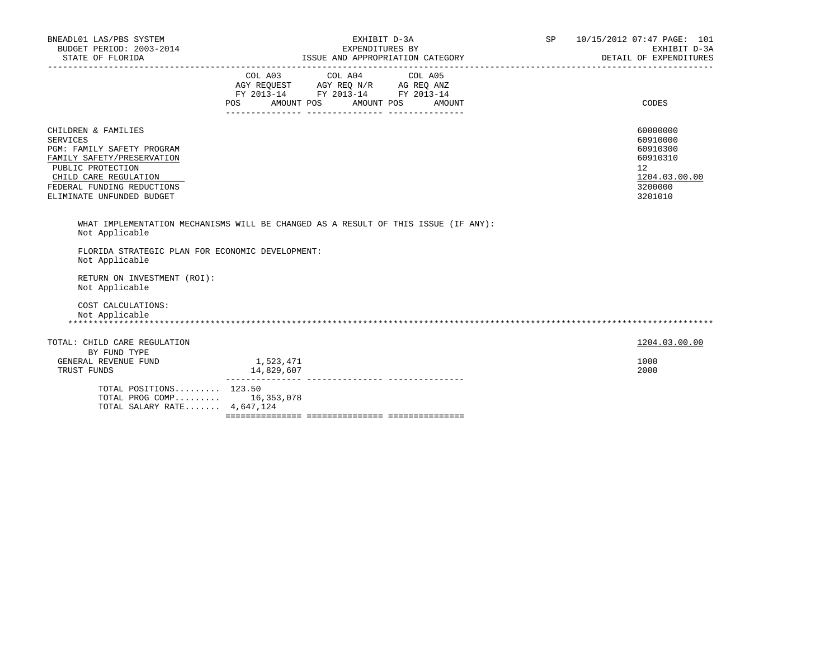| BNEADL01 LAS/PBS SYSTEM<br>BUDGET PERIOD: 2003-2014<br>STATE OF FLORIDA                                                                                                                                     | EXHIBIT D-3A<br>EXPENDITURES BY<br>ISSUE AND APPROPRIATION CATEGORY                                                                         | <b>SP</b><br>10/15/2012 07:47 PAGE: 101<br>EXHIBIT D-3A<br>DETAIL OF EXPENDITURES         |
|-------------------------------------------------------------------------------------------------------------------------------------------------------------------------------------------------------------|---------------------------------------------------------------------------------------------------------------------------------------------|-------------------------------------------------------------------------------------------|
|                                                                                                                                                                                                             | COL A03 COL A04 COL A05<br>AGY REQUEST AGY REQ N/R AG REQ ANZ<br>FY 2013-14 FY 2013-14 FY 2013-14<br>AMOUNT POS AMOUNT POS<br>POS<br>AMOUNT | CODES                                                                                     |
| CHILDREN & FAMILIES<br><b>SERVICES</b><br>PGM: FAMILY SAFETY PROGRAM<br>FAMILY SAFETY/PRESERVATION<br>PUBLIC PROTECTION<br>CHILD CARE REGULATION<br>FEDERAL FUNDING REDUCTIONS<br>ELIMINATE UNFUNDED BUDGET |                                                                                                                                             | 60000000<br>60910000<br>60910300<br>60910310<br>12<br>1204.03.00.00<br>3200000<br>3201010 |
| Not Applicable<br>FLORIDA STRATEGIC PLAN FOR ECONOMIC DEVELOPMENT:<br>Not Applicable<br>RETURN ON INVESTMENT (ROI):<br>Not Applicable                                                                       | WHAT IMPLEMENTATION MECHANISMS WILL BE CHANGED AS A RESULT OF THIS ISSUE (IF ANY):                                                          |                                                                                           |
| COST CALCULATIONS:<br>Not Applicable                                                                                                                                                                        |                                                                                                                                             |                                                                                           |
| TOTAL: CHILD CARE REGULATION<br>BY FUND TYPE<br>GENERAL REVENUE FUND                                                                                                                                        | 1,523,471                                                                                                                                   | 1204.03.00.00<br>1000                                                                     |
| TRUST FUNDS<br>TOTAL POSITIONS 123.50<br>TOTAL PROG COMP 16,353,078<br>TOTAL SALARY RATE 4,647,124                                                                                                          | 14,829,607                                                                                                                                  | 2000                                                                                      |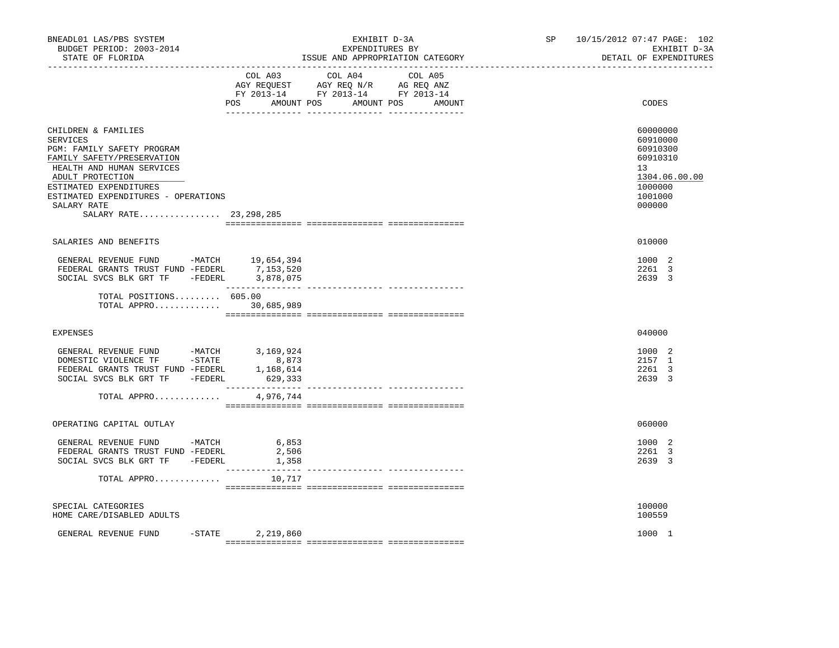| BNEADL01 LAS/PBS SYSTEM<br>BUDGET PERIOD: 2003-2014<br>STATE OF FLORIDA                                                                                                                                                                                         | EXHIBIT D-3A<br>EXPENDITURES BY<br>ISSUE AND APPROPRIATION CATEGORY                                                              |         | SP 10/15/2012 07:47 PAGE: 102<br>EXHIBIT D-3A<br>DETAIL OF EXPENDITURES                             |
|-----------------------------------------------------------------------------------------------------------------------------------------------------------------------------------------------------------------------------------------------------------------|----------------------------------------------------------------------------------------------------------------------------------|---------|-----------------------------------------------------------------------------------------------------|
|                                                                                                                                                                                                                                                                 | COL A03<br>COL A04<br>AGY REQUEST AGY REQ N/R AG REQ ANZ<br>FY 2013-14 FY 2013-14 FY 2013-14<br>POS AMOUNT POS AMOUNT POS AMOUNT | COL A05 | CODES                                                                                               |
| CHILDREN & FAMILIES<br><b>SERVICES</b><br>PGM: FAMILY SAFETY PROGRAM<br>FAMILY SAFETY/PRESERVATION<br>HEALTH AND HUMAN SERVICES<br>ADULT PROTECTION<br>ESTIMATED EXPENDITURES<br>ESTIMATED EXPENDITURES - OPERATIONS<br>SALARY RATE<br>SALARY RATE 23, 298, 285 |                                                                                                                                  |         | 60000000<br>60910000<br>60910300<br>60910310<br>13<br>1304.06.00.00<br>1000000<br>1001000<br>000000 |
| SALARIES AND BENEFITS                                                                                                                                                                                                                                           |                                                                                                                                  |         | 010000                                                                                              |
| GENERAL REVENUE FUND -MATCH 19,654,394<br>FEDERAL GRANTS TRUST FUND -FEDERL 7,153,520<br>SOCIAL SVCS BLK GRT TF -FEDERL 3,878,075                                                                                                                               |                                                                                                                                  |         | 1000 2<br>2261 3<br>2639 3                                                                          |
| TOTAL POSITIONS 605.00<br>TOTAL APPRO 30,685,989                                                                                                                                                                                                                |                                                                                                                                  |         |                                                                                                     |
| <b>EXPENSES</b>                                                                                                                                                                                                                                                 |                                                                                                                                  |         | 040000                                                                                              |
| GENERAL REVENUE FUND -MATCH 3,169,924<br>DOMESTIC VIOLENCE TF -STATE 8,873<br>FEDERAL GRANTS TRUST FUND -FEDERL<br>SOCIAL SVCS BLK GRT TF -FEDERL                                                                                                               | 1,168,614<br>629,333                                                                                                             |         | 1000 2<br>2157 1<br>2261 3<br>2639 3                                                                |
| TOTAL APPRO                                                                                                                                                                                                                                                     | 4,976,744                                                                                                                        |         |                                                                                                     |
| OPERATING CAPITAL OUTLAY                                                                                                                                                                                                                                        |                                                                                                                                  |         | 060000                                                                                              |
| GENERAL REVENUE FUND -MATCH 6,853<br>FEDERAL GRANTS TRUST FUND -FEDERL<br>SOCIAL SVCS BLK GRT TF - FEDERL 1,358                                                                                                                                                 | 2,506                                                                                                                            |         | 1000 2<br>2261 3<br>2639 3                                                                          |
| TOTAL APPRO $10,717$                                                                                                                                                                                                                                            |                                                                                                                                  |         |                                                                                                     |
| SPECIAL CATEGORIES<br>HOME CARE/DISABLED ADULTS                                                                                                                                                                                                                 |                                                                                                                                  |         | 100000<br>100559                                                                                    |
| GENERAL REVENUE FUND<br>$-$ STATE                                                                                                                                                                                                                               | 2,219,860                                                                                                                        |         | 1000 1                                                                                              |
|                                                                                                                                                                                                                                                                 |                                                                                                                                  |         |                                                                                                     |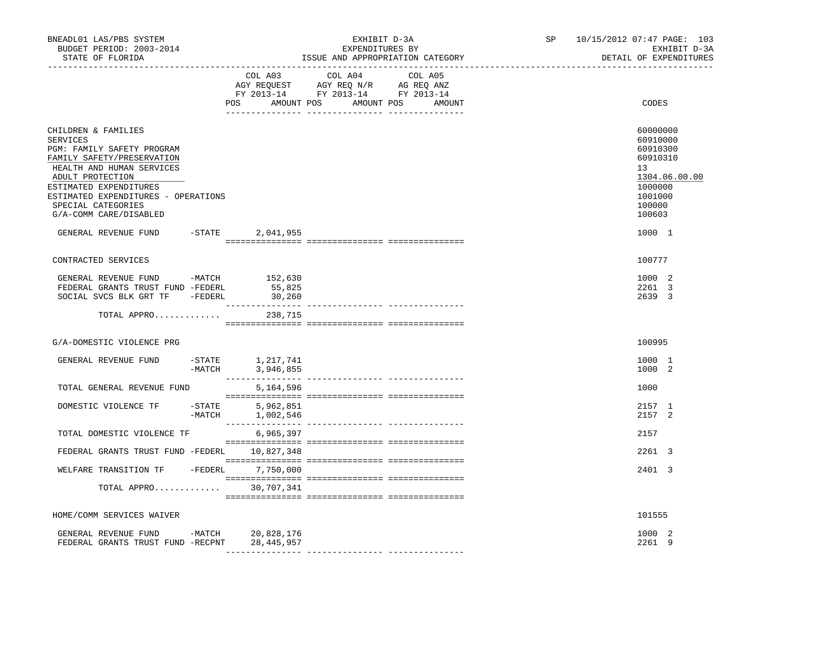| BNEADL01 LAS/PBS SYSTEM<br>BUDGET PERIOD: 2003-2014<br>STATE OF FLORIDA                                                                                                                                                                                       |           |                                 | EXHIBIT D-3A<br>EXPENDITURES BY<br>ISSUE AND APPROPRIATION CATEGORY                                                              | ----------------------- | SP 10/15/2012 07:47 PAGE: 103<br>EXHIBIT D-3A<br>DETAIL OF EXPENDITURES                                       |
|---------------------------------------------------------------------------------------------------------------------------------------------------------------------------------------------------------------------------------------------------------------|-----------|---------------------------------|----------------------------------------------------------------------------------------------------------------------------------|-------------------------|---------------------------------------------------------------------------------------------------------------|
|                                                                                                                                                                                                                                                               |           | COL A03                         | COL A04<br>COL A05<br>AGY REQUEST AGY REQ N/R AG REQ ANZ<br>FY 2013-14 FY 2013-14 FY 2013-14<br>POS AMOUNT POS AMOUNT POS AMOUNT |                         | CODES                                                                                                         |
| CHILDREN & FAMILIES<br>SERVICES<br>PGM: FAMILY SAFETY PROGRAM<br>FAMILY SAFETY/PRESERVATION<br>HEALTH AND HUMAN SERVICES<br>ADULT PROTECTION<br>ESTIMATED EXPENDITURES<br>ESTIMATED EXPENDITURES - OPERATIONS<br>SPECIAL CATEGORIES<br>G/A-COMM CARE/DISABLED |           |                                 |                                                                                                                                  |                         | 60000000<br>60910000<br>60910300<br>60910310<br>13<br>1304.06.00.00<br>1000000<br>1001000<br>100000<br>100603 |
| GENERAL REVENUE FUND -STATE 2,041,955                                                                                                                                                                                                                         |           |                                 |                                                                                                                                  |                         | 1000 1                                                                                                        |
| CONTRACTED SERVICES                                                                                                                                                                                                                                           |           |                                 |                                                                                                                                  |                         | 100777                                                                                                        |
| GENERAL REVENUE FUND -MATCH 152,630<br>FEDERAL GRANTS TRUST FUND -FEDERL<br>SOCIAL SVCS BLK GRT TF -FEDERL                                                                                                                                                    |           | 55,825<br>30,260                |                                                                                                                                  |                         | 1000 2<br>2261 3<br>2639 3                                                                                    |
| TOTAL APPRO 238,715                                                                                                                                                                                                                                           |           |                                 |                                                                                                                                  |                         |                                                                                                               |
| G/A-DOMESTIC VIOLENCE PRG                                                                                                                                                                                                                                     |           |                                 |                                                                                                                                  |                         | 100995                                                                                                        |
| GENERAL REVENUE FUND -STATE 1,217,741                                                                                                                                                                                                                         |           | -MATCH 3,946,855                |                                                                                                                                  |                         | 1000 1<br>1000 2                                                                                              |
| TOTAL GENERAL REVENUE FUND                                                                                                                                                                                                                                    |           | 5,164,596                       |                                                                                                                                  |                         | 1000                                                                                                          |
| DOMESTIC VIOLENCE TF                                                                                                                                                                                                                                          | $-$ STATE | 5,962,851<br>$-MATCH$ 1,002,546 |                                                                                                                                  |                         | 2157 1<br>2157 2                                                                                              |
| TOTAL DOMESTIC VIOLENCE TF                                                                                                                                                                                                                                    |           | 6,965,397                       |                                                                                                                                  |                         | 2157                                                                                                          |
| FEDERAL GRANTS TRUST FUND -FEDERL 10,827,348                                                                                                                                                                                                                  |           |                                 |                                                                                                                                  |                         | 2261 3                                                                                                        |
| WELFARE TRANSITION TF -FEDERL 7,750,000                                                                                                                                                                                                                       |           |                                 |                                                                                                                                  |                         | 2401 3                                                                                                        |
| TOTAL APPRO                                                                                                                                                                                                                                                   |           | 30,707,341                      |                                                                                                                                  |                         |                                                                                                               |
| HOME/COMM SERVICES WAIVER                                                                                                                                                                                                                                     |           |                                 |                                                                                                                                  |                         | 101555                                                                                                        |
| GENERAL REVENUE FUND -MATCH 20,828,176<br>FEDERAL GRANTS TRUST FUND -RECPNT                                                                                                                                                                                   |           | 28,445,957                      |                                                                                                                                  |                         | 1000 2<br>2261 9                                                                                              |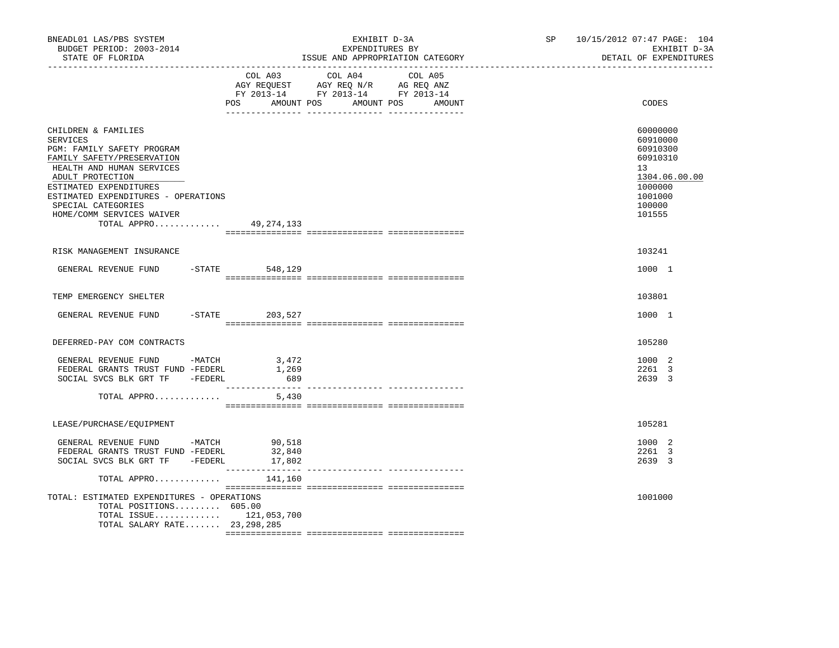| BNEADL01 LAS/PBS SYSTEM<br>BUDGET PERIOD: 2003-2014<br>STATE OF FLORIDA                                                                                                                                                                                                                |                         | EXHIBIT D-3A<br>EXPENDITURES BY<br>ISSUE AND APPROPRIATION CATEGORY                                                                   | SP 10/15/2012 07:47 PAGE: 104<br>EXHIBIT D-3A<br>DETAIL OF EXPENDITURES                                       |
|----------------------------------------------------------------------------------------------------------------------------------------------------------------------------------------------------------------------------------------------------------------------------------------|-------------------------|---------------------------------------------------------------------------------------------------------------------------------------|---------------------------------------------------------------------------------------------------------------|
|                                                                                                                                                                                                                                                                                        |                         | COL A03 COL A04 COL A05<br>AGY REQUEST AGY REQ N/R AG REQ ANZ<br>FY 2013-14 FY 2013-14 FY 2013-14<br>POS AMOUNT POS AMOUNT POS AMOUNT | CODES                                                                                                         |
| CHILDREN & FAMILIES<br><b>SERVICES</b><br>PGM: FAMILY SAFETY PROGRAM<br>FAMILY SAFETY/PRESERVATION<br>HEALTH AND HUMAN SERVICES<br>ADULT PROTECTION<br>ESTIMATED EXPENDITURES<br>ESTIMATED EXPENDITURES - OPERATIONS<br>SPECIAL CATEGORIES<br>HOME/COMM SERVICES WAIVER<br>TOTAL APPRO | 49,274,133              |                                                                                                                                       | 60000000<br>60910000<br>60910300<br>60910310<br>13<br>1304.06.00.00<br>1000000<br>1001000<br>100000<br>101555 |
| RISK MANAGEMENT INSURANCE                                                                                                                                                                                                                                                              |                         |                                                                                                                                       | 103241                                                                                                        |
| GENERAL REVENUE FUND -STATE 548,129                                                                                                                                                                                                                                                    |                         |                                                                                                                                       | 1000 1                                                                                                        |
| TEMP EMERGENCY SHELTER                                                                                                                                                                                                                                                                 |                         |                                                                                                                                       | 103801                                                                                                        |
| GENERAL REVENUE FUND                                                                                                                                                                                                                                                                   | $-$ STATE 203, 527      |                                                                                                                                       | 1000 1                                                                                                        |
| DEFERRED-PAY COM CONTRACTS                                                                                                                                                                                                                                                             |                         |                                                                                                                                       | 105280                                                                                                        |
| GENERAL REVENUE FUND -MATCH 3,472<br>FEDERAL GRANTS TRUST FUND -FEDERL<br>SOCIAL SVCS BLK GRT TF - FEDERL<br>TOTAL APPRO                                                                                                                                                               | 1,269<br>1/689<br>5,430 |                                                                                                                                       | 1000 2<br>2261 3<br>2639 3                                                                                    |
|                                                                                                                                                                                                                                                                                        |                         |                                                                                                                                       |                                                                                                               |
| LEASE/PURCHASE/EQUIPMENT                                                                                                                                                                                                                                                               |                         |                                                                                                                                       | 105281                                                                                                        |
| GENERAL REVENUE FUND -MATCH 90,518<br>FEDERAL GRANTS TRUST FUND -FEDERL<br>SOCIAL SVCS BLK GRT TF -FEDERL                                                                                                                                                                              | 32,840<br>17,802        |                                                                                                                                       | 1000 2<br>2261 3<br>2639 3                                                                                    |
| TOTAL APPRO<br>TOTAL: ESTIMATED EXPENDITURES - OPERATIONS<br>TOTAL POSITIONS 605.00<br>TOTAL ISSUE $121,053,700$<br>TOTAL SALARY RATE 23, 298, 285                                                                                                                                     | 141,160                 |                                                                                                                                       | 1001000                                                                                                       |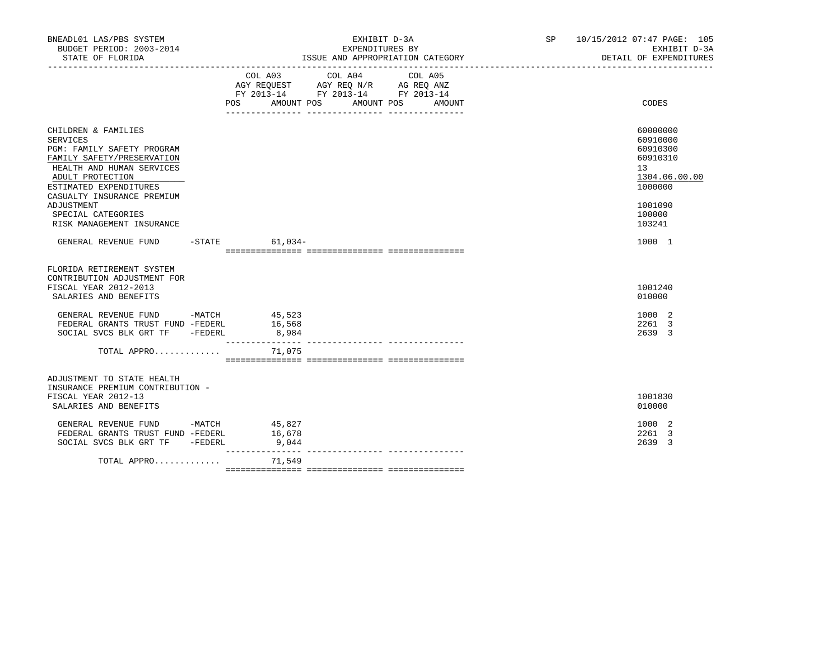| BNEADL01 LAS/PBS SYSTEM<br>BUDGET PERIOD: 2003-2014<br>STATE OF FLORIDA                                                                                                                                                                                               | EXHIBIT D-3A<br>EXPENDITURES BY<br>ISSUE AND APPROPRIATION CATEGORY |                                              |                                                                                                   | SP 10/15/2012 07:47 PAGE: 105<br>EXHIBIT D-3A<br>DETAIL OF EXPENDITURES |                                                                                                                            |
|-----------------------------------------------------------------------------------------------------------------------------------------------------------------------------------------------------------------------------------------------------------------------|---------------------------------------------------------------------|----------------------------------------------|---------------------------------------------------------------------------------------------------|-------------------------------------------------------------------------|----------------------------------------------------------------------------------------------------------------------------|
|                                                                                                                                                                                                                                                                       |                                                                     | POS AMOUNT POS AMOUNT POS AMOUNT             | COL A03 COL A04 COL A05<br>AGY REQUEST AGY REQ N/R AG REQ ANZ<br>FY 2013-14 FY 2013-14 FY 2013-14 |                                                                         | CODES                                                                                                                      |
| CHILDREN & FAMILIES<br>SERVICES<br>PGM: FAMILY SAFETY PROGRAM<br>FAMILY SAFETY/PRESERVATION<br>HEALTH AND HUMAN SERVICES<br>ADULT PROTECTION<br>ESTIMATED EXPENDITURES<br>CASUALTY INSURANCE PREMIUM<br>ADJUSTMENT<br>SPECIAL CATEGORIES<br>RISK MANAGEMENT INSURANCE |                                                                     |                                              |                                                                                                   |                                                                         | 60000000<br>60910000<br>60910300<br>60910310<br>13 <sup>°</sup><br>1304.06.00.00<br>1000000<br>1001090<br>100000<br>103241 |
| GENERAL REVENUE FUND -STATE 61,034-                                                                                                                                                                                                                                   |                                                                     |                                              |                                                                                                   |                                                                         | 1000 1                                                                                                                     |
| FLORIDA RETIREMENT SYSTEM<br>CONTRIBUTION ADJUSTMENT FOR<br>FISCAL YEAR 2012-2013<br>SALARIES AND BENEFITS                                                                                                                                                            |                                                                     |                                              |                                                                                                   |                                                                         | 1001240<br>010000                                                                                                          |
| GENERAL REVENUE FUND -MATCH 45,523<br>FEDERAL GRANTS TRUST FUND -FEDERL<br>SOCIAL SVCS BLK GRT TF -FEDERL<br>TOTAL APPRO                                                                                                                                              |                                                                     | 16,568<br>8,984<br>_______________<br>71,075 |                                                                                                   |                                                                         | 1000 2<br>2261 3<br>2639 3                                                                                                 |
| ADJUSTMENT TO STATE HEALTH<br>INSURANCE PREMIUM CONTRIBUTION -<br>FISCAL YEAR 2012-13<br>SALARIES AND BENEFITS                                                                                                                                                        |                                                                     |                                              |                                                                                                   |                                                                         | 1001830<br>010000                                                                                                          |
| GENERAL REVENUE FUND $-MATCH$ 45,827<br>FEDERAL GRANTS TRUST FUND -FEDERL<br>SOCIAL SVCS BLK GRT TF -FEDERL                                                                                                                                                           |                                                                     | 16,678<br>9,044                              |                                                                                                   |                                                                         | 1000 2<br>2261 3<br>2639 3                                                                                                 |
| TOTAL APPRO                                                                                                                                                                                                                                                           |                                                                     | 71,549                                       |                                                                                                   |                                                                         |                                                                                                                            |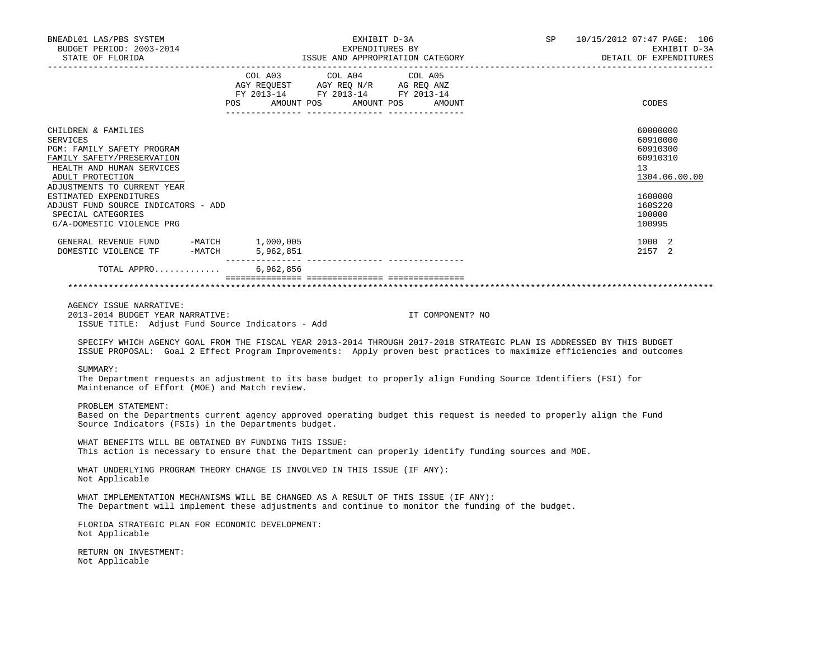| BNEADL01 LAS/PBS SYSTEM<br>BUDGET PERIOD: 2003-2014<br>STATE OF FLORIDA                                                                                                                                                                                                                                                                                                                               |                                                                                                                                                                                                                                                                                                                                                                                                                                                                          | EXHIBIT D-3A<br>EXPENDITURES BY<br>ISSUE AND APPROPRIATION CATEGORY                                                                                                                                                                            |  | SP 10/15/2012 07:47 PAGE: 106<br>EXHIBIT D-3A<br>DETAIL OF EXPENDITURES |
|-------------------------------------------------------------------------------------------------------------------------------------------------------------------------------------------------------------------------------------------------------------------------------------------------------------------------------------------------------------------------------------------------------|--------------------------------------------------------------------------------------------------------------------------------------------------------------------------------------------------------------------------------------------------------------------------------------------------------------------------------------------------------------------------------------------------------------------------------------------------------------------------|------------------------------------------------------------------------------------------------------------------------------------------------------------------------------------------------------------------------------------------------|--|-------------------------------------------------------------------------|
|                                                                                                                                                                                                                                                                                                                                                                                                       | $\begin{tabular}{lllllllllll} &\multicolumn{4}{c }{COL\ \ \text{A03}} &\multicolumn{4}{c }{COL\ \ \text{A04}} &\multicolumn{4}{c }{COL\ \ \text{A05}} \\ \multicolumn{4}{c }{AGY\ \ \text{REQUEST}} &\multicolumn{4}{c }{AGY\ \ \text{REQ}\ \ \text{N/R}} &\multicolumn{4}{c }{AG\ \ \text{REQ}\ \ \text{ANZ}} \\ \multicolumn{4}{c }{FY\ \ \text{2013--14}} &\multicolumn{4}{c }{FY\ \ \text{2013--14}} &\multicolumn{4}{c }{FY\ \$<br>POS AMOUNT POS AMOUNT POS AMOUNT |                                                                                                                                                                                                                                                |  | CODES                                                                   |
| CHILDREN & FAMILIES<br>SERVICES<br>PGM: FAMILY SAFETY PROGRAM<br>FAMILY SAFETY/PRESERVATION<br>HEALTH AND HUMAN SERVICES<br>ADULT PROTECTION                                                                                                                                                                                                                                                          |                                                                                                                                                                                                                                                                                                                                                                                                                                                                          |                                                                                                                                                                                                                                                |  | 60000000<br>60910000<br>60910300<br>60910310<br>13<br>1304.06.00.00     |
| ADJUSTMENTS TO CURRENT YEAR<br>ESTIMATED EXPENDITURES<br>ADJUST FUND SOURCE INDICATORS - ADD<br>SPECIAL CATEGORIES<br>G/A-DOMESTIC VIOLENCE PRG                                                                                                                                                                                                                                                       |                                                                                                                                                                                                                                                                                                                                                                                                                                                                          |                                                                                                                                                                                                                                                |  | 1600000<br>160S220<br>100000<br>100995                                  |
| $\begin{tabular}{llllllll} \multicolumn{2}{llll} \multicolumn{2}{l}{{\small\bf GENERAL}} & {\small\bf REVENUE} & {\small\bf FUND} & & \multicolumn{2}{l}{{\small\bf -MATCH}} & & \multicolumn{2}{l}{{\small\bf 1,000,005}} \\ {\small\bf DOMESTIC} & {\small\bf VIOLENCE} & {\small\bf TF} & & \multicolumn{2}{l}{{\small\bf -MATCH}} & & \multicolumn{2}{l}{{\small\bf 5,962,851}} \\ \end{tabular}$ |                                                                                                                                                                                                                                                                                                                                                                                                                                                                          |                                                                                                                                                                                                                                                |  | 1000 2<br>2157 2                                                        |
| TOTAL APPRO 6,962,856<br>AGENCY ISSUE NARRATIVE:<br>2013-2014 BUDGET YEAR NARRATIVE:<br>ISSUE TITLE: Adjust Fund Source Indicators - Add                                                                                                                                                                                                                                                              |                                                                                                                                                                                                                                                                                                                                                                                                                                                                          | IT COMPONENT? NO                                                                                                                                                                                                                               |  |                                                                         |
|                                                                                                                                                                                                                                                                                                                                                                                                       |                                                                                                                                                                                                                                                                                                                                                                                                                                                                          | SPECIFY WHICH AGENCY GOAL FROM THE FISCAL YEAR 2013-2014 THROUGH 2017-2018 STRATEGIC PLAN IS ADDRESSED BY THIS BUDGET<br>ISSUE PROPOSAL: Goal 2 Effect Program Improvements: Apply proven best practices to maximize efficiencies and outcomes |  |                                                                         |
| SUMMARY:<br>Maintenance of Effort (MOE) and Match review.                                                                                                                                                                                                                                                                                                                                             |                                                                                                                                                                                                                                                                                                                                                                                                                                                                          | The Department requests an adjustment to its base budget to properly align Funding Source Identifiers (FSI) for                                                                                                                                |  |                                                                         |
| PROBLEM STATEMENT:<br>Source Indicators (FSIs) in the Departments budget.                                                                                                                                                                                                                                                                                                                             |                                                                                                                                                                                                                                                                                                                                                                                                                                                                          | Based on the Departments current agency approved operating budget this request is needed to properly align the Fund                                                                                                                            |  |                                                                         |
| WHAT BENEFITS WILL BE OBTAINED BY FUNDING THIS ISSUE:                                                                                                                                                                                                                                                                                                                                                 |                                                                                                                                                                                                                                                                                                                                                                                                                                                                          | This action is necessary to ensure that the Department can properly identify funding sources and MOE.                                                                                                                                          |  |                                                                         |
| Not Applicable                                                                                                                                                                                                                                                                                                                                                                                        | WHAT UNDERLYING PROGRAM THEORY CHANGE IS INVOLVED IN THIS ISSUE (IF ANY):                                                                                                                                                                                                                                                                                                                                                                                                |                                                                                                                                                                                                                                                |  |                                                                         |
|                                                                                                                                                                                                                                                                                                                                                                                                       | WHAT IMPLEMENTATION MECHANISMS WILL BE CHANGED AS A RESULT OF THIS ISSUE (IF ANY):                                                                                                                                                                                                                                                                                                                                                                                       | The Department will implement these adjustments and continue to monitor the funding of the budget.                                                                                                                                             |  |                                                                         |
| FLORIDA STRATEGIC PLAN FOR ECONOMIC DEVELOPMENT:<br>Not Applicable                                                                                                                                                                                                                                                                                                                                    |                                                                                                                                                                                                                                                                                                                                                                                                                                                                          |                                                                                                                                                                                                                                                |  |                                                                         |
| RETURN ON INVESTMENT:<br>Not Applicable                                                                                                                                                                                                                                                                                                                                                               |                                                                                                                                                                                                                                                                                                                                                                                                                                                                          |                                                                                                                                                                                                                                                |  |                                                                         |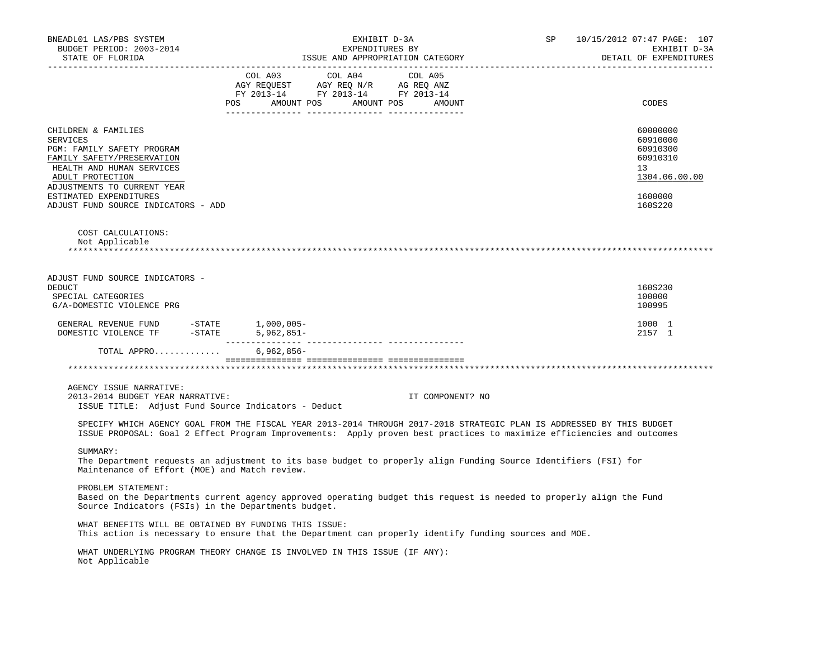| BNEADL01 LAS/PBS SYSTEM<br>BUDGET PERIOD: 2003-2014<br>STATE OF FLORIDA                                                                                                                                                                                                                                                                                                                  | EXHIBIT D-3A<br>EXPENDITURES BY<br>ISSUE AND APPROPRIATION CATEGORY                                                                                                                                                                            | SP               | 10/15/2012 07:47 PAGE: 107<br>EXHIBIT D-3A<br>DETAIL OF EXPENDITURES |
|------------------------------------------------------------------------------------------------------------------------------------------------------------------------------------------------------------------------------------------------------------------------------------------------------------------------------------------------------------------------------------------|------------------------------------------------------------------------------------------------------------------------------------------------------------------------------------------------------------------------------------------------|------------------|----------------------------------------------------------------------|
| -------------------                                                                                                                                                                                                                                                                                                                                                                      | $\begin{tabular}{lcccc} COL A03 & COL A04 & COL A05 \\ AGY REQUEST & AGY REQ N/R & AG REQ ANZ \\ FY & 2013-14 & FY & 2013-14 & FY & 2013-14 \end{tabular}$<br>POS AMOUNT POS AMOUNT POS AMOUNT                                                 |                  | CODES                                                                |
| CHILDREN & FAMILIES<br>SERVICES<br>PGM: FAMILY SAFETY PROGRAM<br>FAMILY SAFETY/PRESERVATION<br>HEALTH AND HUMAN SERVICES<br>ADULT PROTECTION<br>ADJUSTMENTS TO CURRENT YEAR                                                                                                                                                                                                              |                                                                                                                                                                                                                                                |                  | 60000000<br>60910000<br>60910300<br>60910310<br>13<br>1304.06.00.00  |
| ESTIMATED EXPENDITURES<br>ADJUST FUND SOURCE INDICATORS - ADD                                                                                                                                                                                                                                                                                                                            |                                                                                                                                                                                                                                                |                  | 1600000<br>160S220                                                   |
| COST CALCULATIONS:<br>Not Applicable                                                                                                                                                                                                                                                                                                                                                     |                                                                                                                                                                                                                                                |                  |                                                                      |
| ADJUST FUND SOURCE INDICATORS -<br>DEDUCT<br>SPECIAL CATEGORIES<br>G/A-DOMESTIC VIOLENCE PRG                                                                                                                                                                                                                                                                                             |                                                                                                                                                                                                                                                |                  | 160S230<br>100000<br>100995                                          |
| $\begin{tabular}{lllllllllll} \multicolumn{2}{c}{\texttt{GENERAL}} &\texttt{REVENUE} & \multicolumn{2}{c}{\texttt{VIND}} & \multicolumn{2}{c}{\texttt{--STATE}} & \multicolumn{2}{c}{\texttt{1,000,005--}} \\ \multicolumn{2}{c}{\texttt{DOMESTIC}} & \texttt{VIOLENCE} & \texttt{TF} & \multicolumn{2}{c}{\texttt{-STATE}} & \multicolumn{2}{c}{\texttt{5,962,851--}} \\ \end{tabular}$ |                                                                                                                                                                                                                                                |                  | 1000 1<br>2157 1                                                     |
| TOTAL APPRO 6,962,856-                                                                                                                                                                                                                                                                                                                                                                   |                                                                                                                                                                                                                                                |                  |                                                                      |
|                                                                                                                                                                                                                                                                                                                                                                                          |                                                                                                                                                                                                                                                |                  |                                                                      |
| AGENCY ISSUE NARRATIVE:<br>2013-2014 BUDGET YEAR NARRATIVE:<br>ISSUE TITLE: Adjust Fund Source Indicators - Deduct                                                                                                                                                                                                                                                                       |                                                                                                                                                                                                                                                | IT COMPONENT? NO |                                                                      |
|                                                                                                                                                                                                                                                                                                                                                                                          | SPECIFY WHICH AGENCY GOAL FROM THE FISCAL YEAR 2013-2014 THROUGH 2017-2018 STRATEGIC PLAN IS ADDRESSED BY THIS BUDGET<br>ISSUE PROPOSAL: Goal 2 Effect Program Improvements: Apply proven best practices to maximize efficiencies and outcomes |                  |                                                                      |
| SUMMARY:<br>Maintenance of Effort (MOE) and Match review.                                                                                                                                                                                                                                                                                                                                | The Department requests an adjustment to its base budget to properly align Funding Source Identifiers (FSI) for                                                                                                                                |                  |                                                                      |
| PROBLEM STATEMENT:<br>Source Indicators (FSIs) in the Departments budget.                                                                                                                                                                                                                                                                                                                | Based on the Departments current agency approved operating budget this request is needed to properly align the Fund                                                                                                                            |                  |                                                                      |
| WHAT BENEFITS WILL BE OBTAINED BY FUNDING THIS ISSUE:                                                                                                                                                                                                                                                                                                                                    | This action is necessary to ensure that the Department can properly identify funding sources and MOE.                                                                                                                                          |                  |                                                                      |
| Not Applicable                                                                                                                                                                                                                                                                                                                                                                           | WHAT UNDERLYING PROGRAM THEORY CHANGE IS INVOLVED IN THIS ISSUE (IF ANY):                                                                                                                                                                      |                  |                                                                      |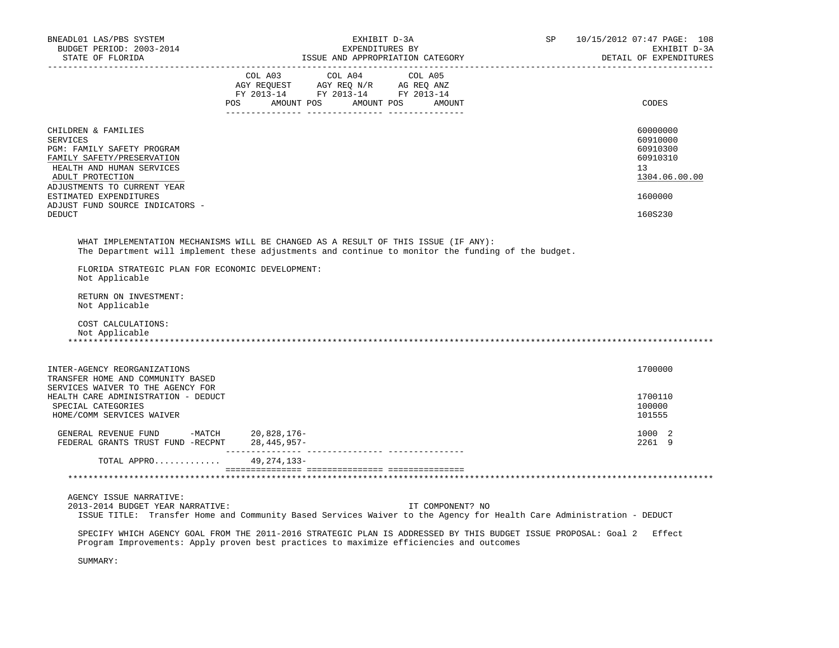| BNEADL01 LAS/PBS SYSTEM<br>BUDGET PERIOD: 2003-2014<br>STATE OF FLORIDA                                                                                                                                                                                          | EXHIBIT D-3A<br>EXPENDITURES BY<br>ISSUE AND APPROPRIATION CATEGORY                                                                                                                                               | SP | 10/15/2012 07:47 PAGE: 108<br>EXHIBIT D-3A<br>DETAIL OF EXPENDITURES                      |
|------------------------------------------------------------------------------------------------------------------------------------------------------------------------------------------------------------------------------------------------------------------|-------------------------------------------------------------------------------------------------------------------------------------------------------------------------------------------------------------------|----|-------------------------------------------------------------------------------------------|
|                                                                                                                                                                                                                                                                  | $\begin{tabular}{lcccc} COL A03 & COL A04 & COL A05 \\ AGY REQUEST & AGY REQ N/R & AG REQ ANZ \\ FY & 2013-14 & FY & 2013-14 & FY & 2013-14 \end{tabular}$<br>POS AMOUNT POS AMOUNT POS AMOUNT<br>_________ _____ |    | CODES                                                                                     |
| CHILDREN & FAMILIES<br><b>SERVICES</b><br>PGM: FAMILY SAFETY PROGRAM<br>FAMILY SAFETY/PRESERVATION<br>HEALTH AND HUMAN SERVICES<br>ADULT PROTECTION<br>ADJUSTMENTS TO CURRENT YEAR<br>ESTIMATED EXPENDITURES<br>ADJUST FUND SOURCE INDICATORS -<br><b>DEDUCT</b> |                                                                                                                                                                                                                   |    | 60000000<br>60910000<br>60910300<br>60910310<br>13<br>1304.06.00.00<br>1600000<br>160S230 |
| FLORIDA STRATEGIC PLAN FOR ECONOMIC DEVELOPMENT:<br>Not Applicable                                                                                                                                                                                               | WHAT IMPLEMENTATION MECHANISMS WILL BE CHANGED AS A RESULT OF THIS ISSUE (IF ANY):<br>The Department will implement these adjustments and continue to monitor the funding of the budget.                          |    |                                                                                           |
| RETURN ON INVESTMENT:<br>Not Applicable<br>COST CALCULATIONS:<br>Not Applicable                                                                                                                                                                                  |                                                                                                                                                                                                                   |    |                                                                                           |
| INTER-AGENCY REORGANIZATIONS<br>TRANSFER HOME AND COMMUNITY BASED                                                                                                                                                                                                |                                                                                                                                                                                                                   |    | 1700000                                                                                   |
| SERVICES WAIVER TO THE AGENCY FOR<br>HEALTH CARE ADMINISTRATION - DEDUCT<br>SPECIAL CATEGORIES<br>HOME/COMM SERVICES WAIVER                                                                                                                                      |                                                                                                                                                                                                                   |    | 1700110<br>100000<br>101555                                                               |
| GENERAL REVENUE FUND -MATCH $20,828,176$ -FEDERAL GRANTS TRUST FUND -RECPNT $28,445,957$ -                                                                                                                                                                       |                                                                                                                                                                                                                   |    | 1000 2<br>2261 9                                                                          |
| TOTAL APPRO 49, 274, 133-                                                                                                                                                                                                                                        |                                                                                                                                                                                                                   |    |                                                                                           |
|                                                                                                                                                                                                                                                                  |                                                                                                                                                                                                                   |    |                                                                                           |
| AGENCY ISSUE NARRATIVE:<br>2013-2014 BUDGET YEAR NARRATIVE:                                                                                                                                                                                                      | IT COMPONENT? NO<br>ISSUE TITLE: Transfer Home and Community Based Services Waiver to the Agency for Health Care Administration - DEDUCT                                                                          |    |                                                                                           |
|                                                                                                                                                                                                                                                                  | SPECIFY WHICH AGENCY GOAL FROM THE 2011-2016 STRATEGIC PLAN IS ADDRESSED BY THIS BUDGET ISSUE PROPOSAL: Goal 2 Effect<br>Program Improvements: Apply proven best practices to maximize efficiencies and outcomes  |    |                                                                                           |
| SUMMARY:                                                                                                                                                                                                                                                         |                                                                                                                                                                                                                   |    |                                                                                           |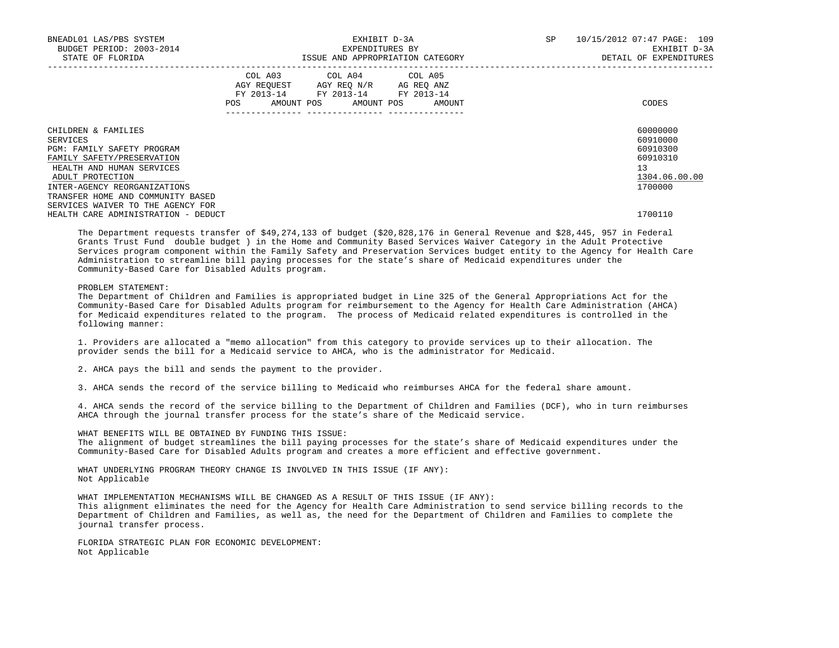| BNEADL01 LAS/PBS SYSTEM<br>BUDGET PERIOD: 2003-2014<br>STATE OF FLORIDA                                                                                                                                                                                |     |  | EXHIBIT D-3A<br>EXPENDITURES BY                                                                                            | ISSUE AND APPROPRIATION CATEGORY | SP | 10/15/2012 07:47 PAGE: 109<br>EXHIBIT D-3A<br>DETAIL OF EXPENDITURES           |
|--------------------------------------------------------------------------------------------------------------------------------------------------------------------------------------------------------------------------------------------------------|-----|--|----------------------------------------------------------------------------------------------------------------------------|----------------------------------|----|--------------------------------------------------------------------------------|
|                                                                                                                                                                                                                                                        | POS |  | COL A03 COL A04 COL A05<br>AGY REQUEST AGY REO N/R AG REO ANZ<br>FY 2013-14 FY 2013-14 FY 2013-14<br>AMOUNT POS AMOUNT POS | AMOUNT                           |    | CODES                                                                          |
| CHILDREN & FAMILIES<br>SERVICES<br>PGM: FAMILY SAFETY PROGRAM<br>FAMILY SAFETY/PRESERVATION<br>HEALTH AND HUMAN SERVICES<br>ADULT PROTECTION<br>INTER-AGENCY REORGANIZATIONS<br>TRANSFER HOME AND COMMUNITY BASED<br>SERVICES WAIVER TO THE AGENCY FOR |     |  |                                                                                                                            |                                  |    | 60000000<br>60910000<br>60910300<br>60910310<br>13<br>1304.06.00.00<br>1700000 |
| HEALTH CARE ADMINISTRATION - DEDUCT                                                                                                                                                                                                                    |     |  |                                                                                                                            |                                  |    | 1700110                                                                        |

 The Department requests transfer of \$49,274,133 of budget (\$20,828,176 in General Revenue and \$28,445, 957 in Federal Grants Trust Fund double budget ) in the Home and Community Based Services Waiver Category in the Adult Protective Services program component within the Family Safety and Preservation Services budget entity to the Agency for Health Care Administration to streamline bill paying processes for the state's share of Medicaid expenditures under the Community-Based Care for Disabled Adults program.

## PROBLEM STATEMENT:

 The Department of Children and Families is appropriated budget in Line 325 of the General Appropriations Act for the Community-Based Care for Disabled Adults program for reimbursement to the Agency for Health Care Administration (AHCA) for Medicaid expenditures related to the program. The process of Medicaid related expenditures is controlled in the following manner:

 1. Providers are allocated a "memo allocation" from this category to provide services up to their allocation. The provider sends the bill for a Medicaid service to AHCA, who is the administrator for Medicaid.

2. AHCA pays the bill and sends the payment to the provider.

3. AHCA sends the record of the service billing to Medicaid who reimburses AHCA for the federal share amount.

 4. AHCA sends the record of the service billing to the Department of Children and Families (DCF), who in turn reimburses AHCA through the journal transfer process for the state's share of the Medicaid service.

 WHAT BENEFITS WILL BE OBTAINED BY FUNDING THIS ISSUE: The alignment of budget streamlines the bill paying processes for the state's share of Medicaid expenditures under the Community-Based Care for Disabled Adults program and creates a more efficient and effective government.

 WHAT UNDERLYING PROGRAM THEORY CHANGE IS INVOLVED IN THIS ISSUE (IF ANY): Not Applicable

 WHAT IMPLEMENTATION MECHANISMS WILL BE CHANGED AS A RESULT OF THIS ISSUE (IF ANY): This alignment eliminates the need for the Agency for Health Care Administration to send service billing records to the Department of Children and Families, as well as, the need for the Department of Children and Families to complete the journal transfer process.

 FLORIDA STRATEGIC PLAN FOR ECONOMIC DEVELOPMENT: Not Applicable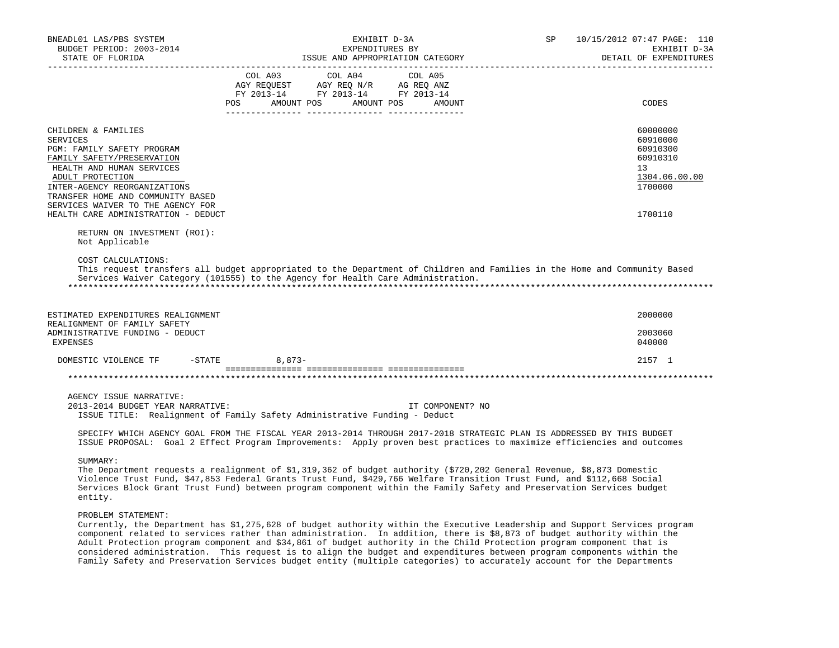| BNEADL01 LAS/PBS SYSTEM<br>BUDGET PERIOD: 2003-2014<br>STATE OF FLORIDA                                                                                                                                                                                                                                                                                                                                                                                                                                                                                                                                                                               |          | EXHIBIT D-3A<br>EXPENDITURES BY<br>ISSUE AND APPROPRIATION CATEGORY                                                   |                  | SP | 10/15/2012 07:47 PAGE: 110<br>EXHIBIT D-3A<br>DETAIL OF EXPENDITURES           |
|-------------------------------------------------------------------------------------------------------------------------------------------------------------------------------------------------------------------------------------------------------------------------------------------------------------------------------------------------------------------------------------------------------------------------------------------------------------------------------------------------------------------------------------------------------------------------------------------------------------------------------------------------------|----------|-----------------------------------------------------------------------------------------------------------------------|------------------|----|--------------------------------------------------------------------------------|
|                                                                                                                                                                                                                                                                                                                                                                                                                                                                                                                                                                                                                                                       | COL A03  | COL A04<br>AGY REQUEST AGY REQ N/R AG REQ ANZ<br>FY 2013-14 FY 2013-14 FY 2013-14<br>POS AMOUNT POS AMOUNT POS AMOUNT | COL A05          |    | CODES                                                                          |
| CHILDREN & FAMILIES<br><b>SERVICES</b><br>PGM: FAMILY SAFETY PROGRAM<br>FAMILY SAFETY/PRESERVATION<br>HEALTH AND HUMAN SERVICES<br>ADULT PROTECTION<br>INTER-AGENCY REORGANIZATIONS<br>TRANSFER HOME AND COMMUNITY BASED<br>SERVICES WAIVER TO THE AGENCY FOR                                                                                                                                                                                                                                                                                                                                                                                         |          |                                                                                                                       |                  |    | 60000000<br>60910000<br>60910300<br>60910310<br>13<br>1304.06.00.00<br>1700000 |
| HEALTH CARE ADMINISTRATION - DEDUCT<br>RETURN ON INVESTMENT (ROI):<br>Not Applicable                                                                                                                                                                                                                                                                                                                                                                                                                                                                                                                                                                  |          |                                                                                                                       |                  |    | 1700110                                                                        |
| COST CALCULATIONS:<br>This request transfers all budget appropriated to the Department of Children and Families in the Home and Community Based<br>Services Waiver Category (101555) to the Agency for Health Care Administration.                                                                                                                                                                                                                                                                                                                                                                                                                    |          |                                                                                                                       |                  |    |                                                                                |
| ESTIMATED EXPENDITURES REALIGNMENT<br>REALIGNMENT OF FAMILY SAFETY                                                                                                                                                                                                                                                                                                                                                                                                                                                                                                                                                                                    |          |                                                                                                                       |                  |    | 2000000                                                                        |
| ADMINISTRATIVE FUNDING - DEDUCT<br><b>EXPENSES</b>                                                                                                                                                                                                                                                                                                                                                                                                                                                                                                                                                                                                    |          |                                                                                                                       |                  |    | 2003060<br>040000                                                              |
| DOMESTIC VIOLENCE TF<br>$-$ STATE                                                                                                                                                                                                                                                                                                                                                                                                                                                                                                                                                                                                                     | $8,873-$ |                                                                                                                       |                  |    | 2157 1                                                                         |
|                                                                                                                                                                                                                                                                                                                                                                                                                                                                                                                                                                                                                                                       |          |                                                                                                                       |                  |    |                                                                                |
| AGENCY ISSUE NARRATIVE:<br>2013-2014 BUDGET YEAR NARRATIVE:<br>ISSUE TITLE: Realignment of Family Safety Administrative Funding - Deduct                                                                                                                                                                                                                                                                                                                                                                                                                                                                                                              |          |                                                                                                                       | IT COMPONENT? NO |    |                                                                                |
| SPECIFY WHICH AGENCY GOAL FROM THE FISCAL YEAR 2013-2014 THROUGH 2017-2018 STRATEGIC PLAN IS ADDRESSED BY THIS BUDGET<br>ISSUE PROPOSAL: Goal 2 Effect Program Improvements: Apply proven best practices to maximize efficiencies and outcomes                                                                                                                                                                                                                                                                                                                                                                                                        |          |                                                                                                                       |                  |    |                                                                                |
| SUMMARY:<br>The Department requests a realignment of \$1,319,362 of budget authority (\$720,202 General Revenue, \$8,873 Domestic<br>Violence Trust Fund, \$47,853 Federal Grants Trust Fund, \$429,766 Welfare Transition Trust Fund, and \$112,668 Social<br>Services Block Grant Trust Fund) between program component within the Family Safety and Preservation Services budget<br>entity.                                                                                                                                                                                                                                                        |          |                                                                                                                       |                  |    |                                                                                |
| PROBLEM STATEMENT:<br>Currently, the Department has \$1,275,628 of budget authority within the Executive Leadership and Support Services program<br>component related to services rather than administration. In addition, there is \$8,873 of budget authority within the<br>Adult Protection program component and \$34,861 of budget authority in the Child Protection program component that is<br>considered administration. This request is to align the budget and expenditures between program components within the<br>Family Safety and Preservation Services budget entity (multiple categories) to accurately account for the Departments |          |                                                                                                                       |                  |    |                                                                                |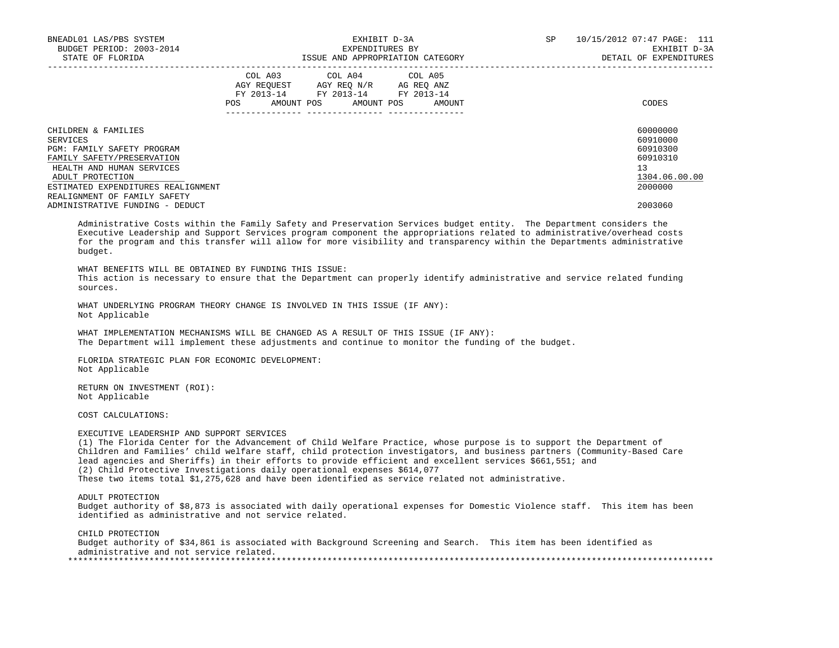| BNEADL01 LAS/PBS SYSTEM<br>BUDGET PERIOD: 2003-2014<br>STATE OF FLORIDA |     |                                                                                                   | EXHIBIT D-3A<br>EXPENDITURES BY | ISSUE AND APPROPRIATION CATEGORY | SP | 10/15/2012 07:47 PAGE: 111<br>EXHIBIT D-3A<br>DETAIL OF EXPENDITURES |
|-------------------------------------------------------------------------|-----|---------------------------------------------------------------------------------------------------|---------------------------------|----------------------------------|----|----------------------------------------------------------------------|
|                                                                         | POS | COL A03 COL A04 COL A05<br>AGY REQUEST AGY REO N/R AG REO ANZ<br>FY 2013-14 FY 2013-14 FY 2013-14 | AMOUNT POS AMOUNT POS           | AMOUNT                           |    | CODES                                                                |
| CHILDREN & FAMILIES                                                     |     |                                                                                                   |                                 |                                  |    | 60000000                                                             |
| SERVICES                                                                |     |                                                                                                   |                                 |                                  |    | 60910000                                                             |
| PGM: FAMILY SAFETY PROGRAM                                              |     |                                                                                                   |                                 |                                  |    | 60910300                                                             |
| FAMILY SAFETY/PRESERVATION                                              |     |                                                                                                   |                                 |                                  |    | 60910310                                                             |
| HEALTH AND HUMAN SERVICES                                               |     |                                                                                                   |                                 |                                  |    | 13                                                                   |
| ADULT PROTECTION                                                        |     |                                                                                                   |                                 |                                  |    | 1304.06.00.00                                                        |
| ESTIMATED EXPENDITURES REALIGNMENT                                      |     |                                                                                                   |                                 |                                  |    | 2000000                                                              |
| REALIGNMENT OF FAMILY SAFETY                                            |     |                                                                                                   |                                 |                                  |    |                                                                      |
| ADMINISTRATIVE FUNDING - DEDUCT                                         |     |                                                                                                   |                                 |                                  |    | 2003060                                                              |

 Administrative Costs within the Family Safety and Preservation Services budget entity. The Department considers the Executive Leadership and Support Services program component the appropriations related to administrative/overhead costs for the program and this transfer will allow for more visibility and transparency within the Departments administrative budget.

WHAT BENEFITS WILL BE OBTAINED BY FUNDING THIS ISSUE:

 This action is necessary to ensure that the Department can properly identify administrative and service related funding sources.

 WHAT UNDERLYING PROGRAM THEORY CHANGE IS INVOLVED IN THIS ISSUE (IF ANY): Not Applicable

 WHAT IMPLEMENTATION MECHANISMS WILL BE CHANGED AS A RESULT OF THIS ISSUE (IF ANY): The Department will implement these adjustments and continue to monitor the funding of the budget.

 FLORIDA STRATEGIC PLAN FOR ECONOMIC DEVELOPMENT: Not Applicable

 RETURN ON INVESTMENT (ROI): Not Applicable

COST CALCULATIONS:

#### EXECUTIVE LEADERSHIP AND SUPPORT SERVICES

 (1) The Florida Center for the Advancement of Child Welfare Practice, whose purpose is to support the Department of Children and Families' child welfare staff, child protection investigators, and business partners (Community-Based Care lead agencies and Sheriffs) in their efforts to provide efficient and excellent services \$661,551; and (2) Child Protective Investigations daily operational expenses \$614,077 These two items total \$1,275,628 and have been identified as service related not administrative.

ADULT PROTECTION

 Budget authority of \$8,873 is associated with daily operational expenses for Domestic Violence staff. This item has been identified as administrative and not service related.

 CHILD PROTECTION Budget authority of \$34,861 is associated with Background Screening and Search. This item has been identified as administrative and not service related. \*\*\*\*\*\*\*\*\*\*\*\*\*\*\*\*\*\*\*\*\*\*\*\*\*\*\*\*\*\*\*\*\*\*\*\*\*\*\*\*\*\*\*\*\*\*\*\*\*\*\*\*\*\*\*\*\*\*\*\*\*\*\*\*\*\*\*\*\*\*\*\*\*\*\*\*\*\*\*\*\*\*\*\*\*\*\*\*\*\*\*\*\*\*\*\*\*\*\*\*\*\*\*\*\*\*\*\*\*\*\*\*\*\*\*\*\*\*\*\*\*\*\*\*\*\*\*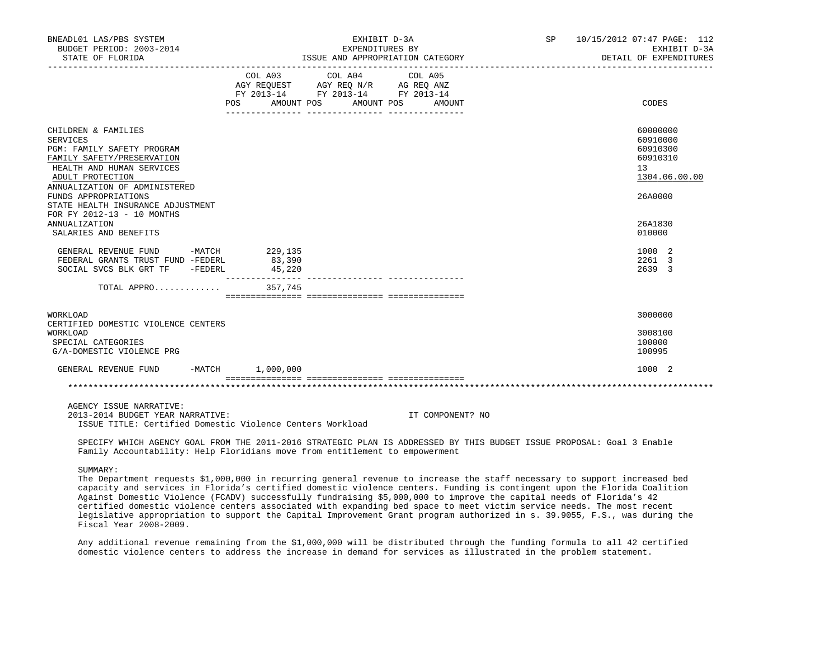| BNEADL01 LAS/PBS SYSTEM<br>BUDGET PERIOD: 2003-2014<br>STATE OF FLORIDA                                                                                                                                                                    |                                    | EXHIBIT D-3A<br>EXPENDITURES BY                                                                   | ISSUE AND APPROPRIATION CATEGORY | SP 10/15/2012 07:47 PAGE: 112<br>EXHIBIT D-3A<br>DETAIL OF EXPENDITURES        |
|--------------------------------------------------------------------------------------------------------------------------------------------------------------------------------------------------------------------------------------------|------------------------------------|---------------------------------------------------------------------------------------------------|----------------------------------|--------------------------------------------------------------------------------|
|                                                                                                                                                                                                                                            | POS AMOUNT POS AMOUNT POS          | COL A03 COL A04 COL A05<br>AGY REQUEST AGY REQ N/R AG REQ ANZ<br>FY 2013-14 FY 2013-14 FY 2013-14 | AMOUNT                           | CODES                                                                          |
| CHILDREN & FAMILIES<br>SERVICES<br>PGM: FAMILY SAFETY PROGRAM<br>FAMILY SAFETY/PRESERVATION<br>HEALTH AND HUMAN SERVICES<br>ADULT PROTECTION<br>ANNUALIZATION OF ADMINISTERED<br>FUNDS APPROPRIATIONS<br>STATE HEALTH INSURANCE ADJUSTMENT |                                    |                                                                                                   |                                  | 60000000<br>60910000<br>60910300<br>60910310<br>13<br>1304.06.00.00<br>26A0000 |
| FOR FY 2012-13 - 10 MONTHS<br><b>ANNUALIZATION</b><br>SALARIES AND BENEFITS                                                                                                                                                                |                                    |                                                                                                   |                                  | 26A1830<br>010000                                                              |
| GENERAL REVENUE FUND<br>FEDERAL GRANTS TRUST FUND -FEDERL<br>SOCIAL SVCS BLK GRT TF - FEDERL                                                                                                                                               | -MATCH 229,135<br>83,390<br>45,220 |                                                                                                   |                                  | 1000 2<br>2261 3<br>2639 3                                                     |
| TOTAL APPRO                                                                                                                                                                                                                                | 357,745                            |                                                                                                   |                                  |                                                                                |
| WORKLOAD<br>CERTIFIED DOMESTIC VIOLENCE CENTERS<br>WORKLOAD<br>SPECIAL CATEGORIES<br>G/A-DOMESTIC VIOLENCE PRG                                                                                                                             |                                    |                                                                                                   |                                  | 3000000<br>3008100<br>100000<br>100995                                         |
| GENERAL REVENUE FUND                                                                                                                                                                                                                       | $-MATCH$ 1,000,000                 |                                                                                                   |                                  | 1000 2                                                                         |
|                                                                                                                                                                                                                                            |                                    |                                                                                                   |                                  |                                                                                |
| 1.07117011 7.07117 1115537771.                                                                                                                                                                                                             |                                    |                                                                                                   |                                  |                                                                                |

AGENCY ISSUE NARRATIVE:

 2013-2014 BUDGET YEAR NARRATIVE: IT COMPONENT? NO ISSUE TITLE: Certified Domestic Violence Centers Workload

 SPECIFY WHICH AGENCY GOAL FROM THE 2011-2016 STRATEGIC PLAN IS ADDRESSED BY THIS BUDGET ISSUE PROPOSAL: Goal 3 Enable Family Accountability: Help Floridians move from entitlement to empowerment

## SUMMARY:

 The Department requests \$1,000,000 in recurring general revenue to increase the staff necessary to support increased bed capacity and services in Florida's certified domestic violence centers. Funding is contingent upon the Florida Coalition Against Domestic Violence (FCADV) successfully fundraising \$5,000,000 to improve the capital needs of Florida's 42 certified domestic violence centers associated with expanding bed space to meet victim service needs. The most recent legislative appropriation to support the Capital Improvement Grant program authorized in s. 39.9055, F.S., was during the Fiscal Year 2008-2009.

 Any additional revenue remaining from the \$1,000,000 will be distributed through the funding formula to all 42 certified domestic violence centers to address the increase in demand for services as illustrated in the problem statement.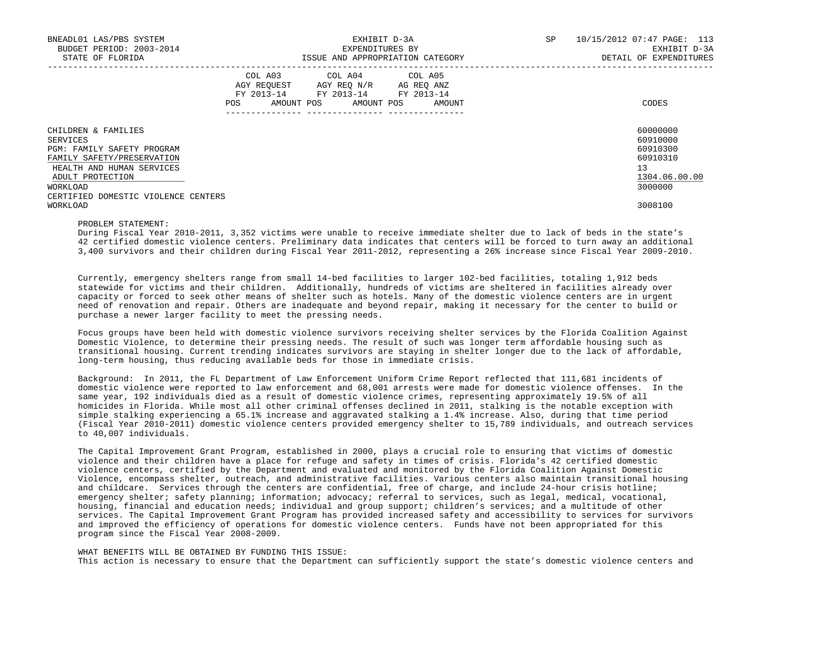| BNEADL01 LAS/PBS SYSTEM<br>BUDGET PERIOD: 2003-2014 |            | EXPENDITURES BY                                                                                                            | EXHIBIT D-3A                     | SP | 10/15/2012 07:47 PAGE: 113<br>EXHIBIT D-3A |
|-----------------------------------------------------|------------|----------------------------------------------------------------------------------------------------------------------------|----------------------------------|----|--------------------------------------------|
| STATE OF FLORIDA                                    |            |                                                                                                                            | ISSUE AND APPROPRIATION CATEGORY |    | DETAIL OF EXPENDITURES                     |
|                                                     | <b>POS</b> | COL A03 COL A04 COL A05<br>AGY REQUEST AGY REQ N/R AG REQ ANZ<br>FY 2013-14 FY 2013-14 FY 2013-14<br>AMOUNT POS AMOUNT POS | AMOUNT                           |    | CODES                                      |
| CHILDREN & FAMILIES                                 |            |                                                                                                                            |                                  |    | 60000000                                   |
| SERVICES                                            |            |                                                                                                                            |                                  |    | 60910000                                   |
| <b>PGM: FAMILY SAFETY PROGRAM</b>                   |            |                                                                                                                            |                                  |    | 60910300                                   |
| FAMILY SAFETY/PRESERVATION                          |            |                                                                                                                            |                                  |    | 60910310                                   |
| HEALTH AND HUMAN SERVICES                           |            |                                                                                                                            |                                  |    | 13                                         |
| ADULT PROTECTION                                    |            |                                                                                                                            |                                  |    | 1304.06.00.00                              |
| WORKLOAD                                            |            |                                                                                                                            |                                  |    | 3000000                                    |
| CERTIFIED DOMESTIC VIOLENCE CENTERS                 |            |                                                                                                                            |                                  |    |                                            |
| WORKLOAD                                            |            |                                                                                                                            |                                  |    | 3008100                                    |

# PROBLEM STATEMENT:

 During Fiscal Year 2010-2011, 3,352 victims were unable to receive immediate shelter due to lack of beds in the state's 42 certified domestic violence centers. Preliminary data indicates that centers will be forced to turn away an additional 3,400 survivors and their children during Fiscal Year 2011-2012, representing a 26% increase since Fiscal Year 2009-2010.

 Currently, emergency shelters range from small 14-bed facilities to larger 102-bed facilities, totaling 1,912 beds statewide for victims and their children. Additionally, hundreds of victims are sheltered in facilities already over capacity or forced to seek other means of shelter such as hotels. Many of the domestic violence centers are in urgent need of renovation and repair. Others are inadequate and beyond repair, making it necessary for the center to build or purchase a newer larger facility to meet the pressing needs.

 Focus groups have been held with domestic violence survivors receiving shelter services by the Florida Coalition Against Domestic Violence, to determine their pressing needs. The result of such was longer term affordable housing such as transitional housing. Current trending indicates survivors are staying in shelter longer due to the lack of affordable, long-term housing, thus reducing available beds for those in immediate crisis.

 Background: In 2011, the FL Department of Law Enforcement Uniform Crime Report reflected that 111,681 incidents of domestic violence were reported to law enforcement and 68,001 arrests were made for domestic violence offenses. In the same year, 192 individuals died as a result of domestic violence crimes, representing approximately 19.5% of all homicides in Florida. While most all other criminal offenses declined in 2011, stalking is the notable exception with simple stalking experiencing a 65.1% increase and aggravated stalking a 1.4% increase. Also, during that time period (Fiscal Year 2010-2011) domestic violence centers provided emergency shelter to 15,789 individuals, and outreach services to 40,007 individuals.

 The Capital Improvement Grant Program, established in 2000, plays a crucial role to ensuring that victims of domestic violence and their children have a place for refuge and safety in times of crisis. Florida's 42 certified domestic violence centers, certified by the Department and evaluated and monitored by the Florida Coalition Against Domestic Violence, encompass shelter, outreach, and administrative facilities. Various centers also maintain transitional housing and childcare. Services through the centers are confidential, free of charge, and include 24-hour crisis hotline; emergency shelter; safety planning; information; advocacy; referral to services, such as legal, medical, vocational, housing, financial and education needs; individual and group support; children's services; and a multitude of other services. The Capital Improvement Grant Program has provided increased safety and accessibility to services for survivors and improved the efficiency of operations for domestic violence centers. Funds have not been appropriated for this program since the Fiscal Year 2008-2009.

 WHAT BENEFITS WILL BE OBTAINED BY FUNDING THIS ISSUE: This action is necessary to ensure that the Department can sufficiently support the state's domestic violence centers and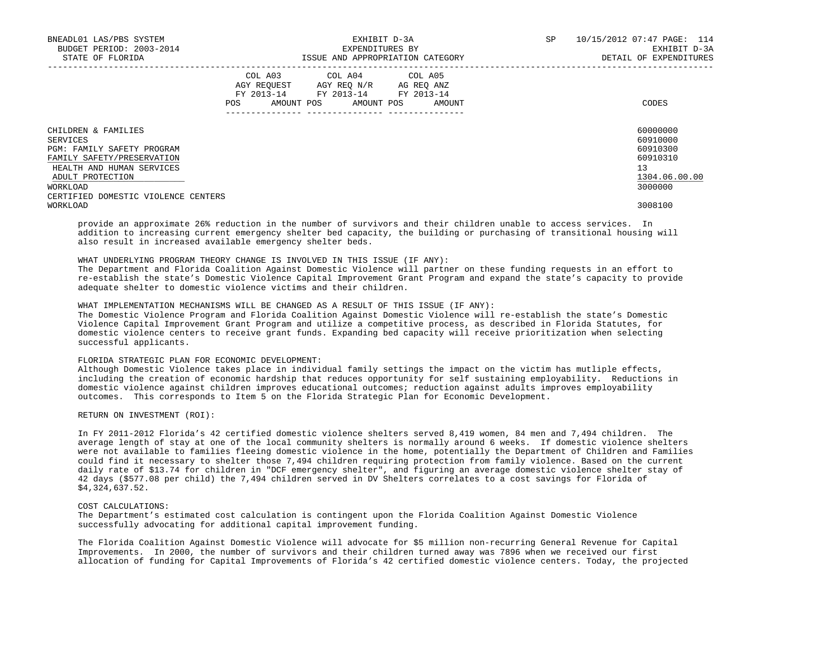| BNEADL01 LAS/PBS SYSTEM<br>BUDGET PERIOD: 2003-2014<br>STATE OF FLORIDA |     |                                                                                                                               | EXHIBIT D-3A<br>EXPENDITURES BY<br>ISSUE AND APPROPRIATION CATEGORY | SP | 10/15/2012 07:47 PAGE: 114<br>EXHIBIT D-3A<br>DETAIL OF EXPENDITURES |
|-------------------------------------------------------------------------|-----|-------------------------------------------------------------------------------------------------------------------------------|---------------------------------------------------------------------|----|----------------------------------------------------------------------|
|                                                                         | POS | COL A03 COL A04 COL A05<br>AGY REOUEST AGY REO N/R AG REO ANZ<br>FY 2013-14 FY 2013-14 FY 2013-14<br>AMOUNT POS<br>AMOUNT POS | AMOUNT                                                              |    | CODES                                                                |
| CHILDREN & FAMILIES                                                     |     |                                                                                                                               |                                                                     |    | 60000000                                                             |
| SERVICES                                                                |     |                                                                                                                               |                                                                     |    | 60910000                                                             |
| PGM: FAMILY SAFETY PROGRAM                                              |     |                                                                                                                               |                                                                     |    | 60910300                                                             |
| FAMILY SAFETY/PRESERVATION                                              |     |                                                                                                                               |                                                                     |    | 60910310                                                             |
| HEALTH AND HUMAN SERVICES                                               |     |                                                                                                                               |                                                                     |    | 13                                                                   |
| ADULT PROTECTION                                                        |     |                                                                                                                               |                                                                     |    | 1304.06.00.00                                                        |
| WORKLOAD                                                                |     |                                                                                                                               |                                                                     |    | 3000000                                                              |
| CERTIFIED DOMESTIC VIOLENCE CENTERS                                     |     |                                                                                                                               |                                                                     |    |                                                                      |
| WORKLOAD                                                                |     |                                                                                                                               |                                                                     |    | 3008100                                                              |

 provide an approximate 26% reduction in the number of survivors and their children unable to access services. In addition to increasing current emergency shelter bed capacity, the building or purchasing of transitional housing will also result in increased available emergency shelter beds.

WHAT UNDERLYING PROGRAM THEORY CHANGE IS INVOLVED IN THIS ISSUE (IF ANY):

 The Department and Florida Coalition Against Domestic Violence will partner on these funding requests in an effort to re-establish the state's Domestic Violence Capital Improvement Grant Program and expand the state's capacity to provide adequate shelter to domestic violence victims and their children.

WHAT IMPLEMENTATION MECHANISMS WILL BE CHANGED AS A RESULT OF THIS ISSUE (IF ANY):

 The Domestic Violence Program and Florida Coalition Against Domestic Violence will re-establish the state's Domestic Violence Capital Improvement Grant Program and utilize a competitive process, as described in Florida Statutes, for domestic violence centers to receive grant funds. Expanding bed capacity will receive prioritization when selecting successful applicants.

## FLORIDA STRATEGIC PLAN FOR ECONOMIC DEVELOPMENT:

 Although Domestic Violence takes place in individual family settings the impact on the victim has mutliple effects, including the creation of economic hardship that reduces opportunity for self sustaining employability. Reductions in domestic violence against children improves educational outcomes; reduction against adults improves employability outcomes. This corresponds to Item 5 on the Florida Strategic Plan for Economic Development.

RETURN ON INVESTMENT (ROI):

 In FY 2011-2012 Florida's 42 certified domestic violence shelters served 8,419 women, 84 men and 7,494 children. The average length of stay at one of the local community shelters is normally around 6 weeks. If domestic violence shelters were not available to families fleeing domestic violence in the home, potentially the Department of Children and Families could find it necessary to shelter those 7,494 children requiring protection from family violence. Based on the current daily rate of \$13.74 for children in "DCF emergency shelter", and figuring an average domestic violence shelter stay of 42 days (\$577.08 per child) the 7,494 children served in DV Shelters correlates to a cost savings for Florida of \$4,324,637.52.

## COST CALCULATIONS:

 The Department's estimated cost calculation is contingent upon the Florida Coalition Against Domestic Violence successfully advocating for additional capital improvement funding.

 The Florida Coalition Against Domestic Violence will advocate for \$5 million non-recurring General Revenue for Capital Improvements. In 2000, the number of survivors and their children turned away was 7896 when we received our first allocation of funding for Capital Improvements of Florida's 42 certified domestic violence centers. Today, the projected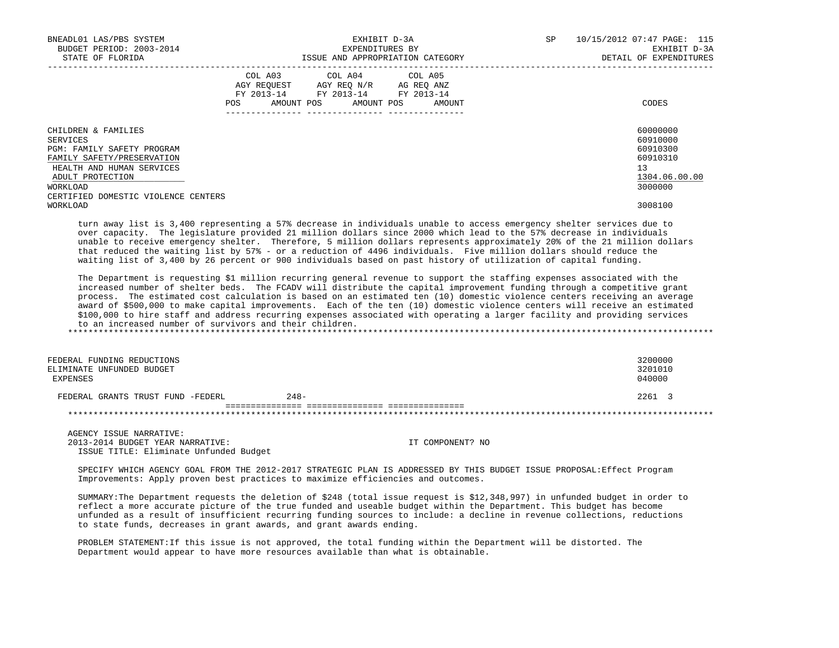| BNEADL01 LAS/PBS SYSTEM<br>BUDGET PERIOD: 2003-2014<br>STATE OF FLORIDA |     |                         | EXHIBIT D-3A<br>EXPENDITURES BY<br>ISSUE AND APPROPRIATION CATEGORY                                    | SP | 10/15/2012 07:47 PAGE: 115<br>EXHIBIT D-3A<br>DETAIL OF EXPENDITURES |
|-------------------------------------------------------------------------|-----|-------------------------|--------------------------------------------------------------------------------------------------------|----|----------------------------------------------------------------------|
|                                                                         | POS | COL A03 COL A04 COL A05 | AGY REOUEST AGY REO N/R AG REO ANZ<br>FY 2013-14 FY 2013-14 FY 2013-14<br>AMOUNT POS AMOUNT POS AMOUNT |    | CODES                                                                |
| CHILDREN & FAMILIES                                                     |     |                         |                                                                                                        |    | 60000000<br>60910000                                                 |
| SERVICES<br>PGM: FAMILY SAFETY PROGRAM                                  |     |                         |                                                                                                        |    | 60910300                                                             |
| FAMILY SAFETY/PRESERVATION                                              |     |                         |                                                                                                        |    | 60910310                                                             |
| HEALTH AND HUMAN SERVICES                                               |     |                         |                                                                                                        |    | 13                                                                   |
| ADULT PROTECTION                                                        |     |                         |                                                                                                        |    | 1304.06.00.00                                                        |
| WORKLOAD                                                                |     |                         |                                                                                                        |    | 3000000                                                              |
| CERTIFIED DOMESTIC VIOLENCE CENTERS                                     |     |                         |                                                                                                        |    |                                                                      |
| WORKLOAD                                                                |     |                         |                                                                                                        |    | 3008100                                                              |

 turn away list is 3,400 representing a 57% decrease in individuals unable to access emergency shelter services due to over capacity. The legislature provided 21 million dollars since 2000 which lead to the 57% decrease in individuals unable to receive emergency shelter. Therefore, 5 million dollars represents approximately 20% of the 21 million dollars that reduced the waiting list by 57% - or a reduction of 4496 individuals. Five million dollars should reduce the waiting list of 3,400 by 26 percent or 900 individuals based on past history of utilization of capital funding.

 The Department is requesting \$1 million recurring general revenue to support the staffing expenses associated with the increased number of shelter beds. The FCADV will distribute the capital improvement funding through a competitive grant process. The estimated cost calculation is based on an estimated ten (10) domestic violence centers receiving an average award of \$500,000 to make capital improvements. Each of the ten (10) domestic violence centers will receive an estimated \$100,000 to hire staff and address recurring expenses associated with operating a larger facility and providing services to an increased number of survivors and their children. \*\*\*\*\*\*\*\*\*\*\*\*\*\*\*\*\*\*\*\*\*\*\*\*\*\*\*\*\*\*\*\*\*\*\*\*\*\*\*\*\*\*\*\*\*\*\*\*\*\*\*\*\*\*\*\*\*\*\*\*\*\*\*\*\*\*\*\*\*\*\*\*\*\*\*\*\*\*\*\*\*\*\*\*\*\*\*\*\*\*\*\*\*\*\*\*\*\*\*\*\*\*\*\*\*\*\*\*\*\*\*\*\*\*\*\*\*\*\*\*\*\*\*\*\*\*\*

| FEDERAL FUNDING REDUCTIONS<br>ELIMINATE UNFUNDED BUDGET<br>EXPENSES |        | 3200000<br>3201010<br>040000 |
|---------------------------------------------------------------------|--------|------------------------------|
| FEDERAL GRANTS TRUST FUND -FEDERL                                   | $248-$ | 2261 3                       |
|                                                                     |        |                              |

 AGENCY ISSUE NARRATIVE: 2013-2014 BUDGET YEAR NARRATIVE: IT COMPONENT? NO ISSUE TITLE: Eliminate Unfunded Budget

 SPECIFY WHICH AGENCY GOAL FROM THE 2012-2017 STRATEGIC PLAN IS ADDRESSED BY THIS BUDGET ISSUE PROPOSAL:Effect Program Improvements: Apply proven best practices to maximize efficiencies and outcomes.

 SUMMARY:The Department requests the deletion of \$248 (total issue request is \$12,348,997) in unfunded budget in order to reflect a more accurate picture of the true funded and useable budget within the Department. This budget has become unfunded as a result of insufficient recurring funding sources to include: a decline in revenue collections, reductions to state funds, decreases in grant awards, and grant awards ending.

 PROBLEM STATEMENT:If this issue is not approved, the total funding within the Department will be distorted. The Department would appear to have more resources available than what is obtainable.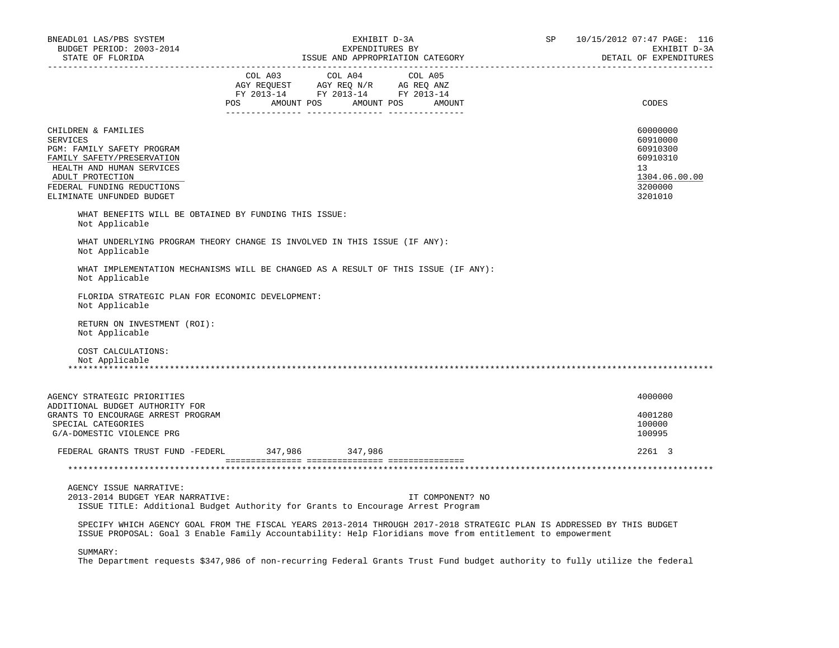| BNEADL01 LAS/PBS SYSTEM<br>BUDGET PERIOD: 2003-2014<br>STATE OF FLORIDA                                                                                                                                        | EXHIBIT D-3A<br>EXPENDITURES BY<br>ISSUE AND APPROPRIATION CATEGORY                                                                                                                                                                                                                                                                                                                                                                                                                           | SP 10/15/2012 07:47 PAGE: 116<br>EXHIBIT D-3A<br>DETAIL OF EXPENDITURES                                |
|----------------------------------------------------------------------------------------------------------------------------------------------------------------------------------------------------------------|-----------------------------------------------------------------------------------------------------------------------------------------------------------------------------------------------------------------------------------------------------------------------------------------------------------------------------------------------------------------------------------------------------------------------------------------------------------------------------------------------|--------------------------------------------------------------------------------------------------------|
|                                                                                                                                                                                                                | $\begin{tabular}{lllllllllllll} &\multicolumn{4}{c}{\text{COL A03}} &\multicolumn{4}{c}{\text{COL A04}} &\multicolumn{4}{c}{\text{COL A05}} \\ \multicolumn{4}{c}{\text{AGY REQUEST}} &\multicolumn{4}{c}{\text{AGY REQ N/R}} &\multicolumn{4}{c}{\text{AG REQ ANZ}} \\ \multicolumn{4}{c}{\text{FGY REQ N/R}} &\multicolumn{4}{c}{\text{AG REQ ANZ}} &\multicolumn{4}{c}{\text{FGY A013--14}} &\multicolumn{4}{c}{\text{FY 2013--14}} &\multicolumn{4}{$<br>POS AMOUNT POS AMOUNT POS AMOUNT | CODES                                                                                                  |
| CHILDREN & FAMILIES<br><b>SERVICES</b><br>PGM: FAMILY SAFETY PROGRAM<br>FAMILY SAFETY/PRESERVATION<br>HEALTH AND HUMAN SERVICES<br>ADULT PROTECTION<br>FEDERAL FUNDING REDUCTIONS<br>ELIMINATE UNFUNDED BUDGET |                                                                                                                                                                                                                                                                                                                                                                                                                                                                                               | 60000000<br>60910000<br>60910300<br>60910310<br>13 <sup>°</sup><br>1304.06.00.00<br>3200000<br>3201010 |
| Not Applicable                                                                                                                                                                                                 | WHAT BENEFITS WILL BE OBTAINED BY FUNDING THIS ISSUE:                                                                                                                                                                                                                                                                                                                                                                                                                                         |                                                                                                        |
| Not Applicable                                                                                                                                                                                                 | WHAT UNDERLYING PROGRAM THEORY CHANGE IS INVOLVED IN THIS ISSUE (IF ANY):                                                                                                                                                                                                                                                                                                                                                                                                                     |                                                                                                        |
| Not Applicable                                                                                                                                                                                                 | WHAT IMPLEMENTATION MECHANISMS WILL BE CHANGED AS A RESULT OF THIS ISSUE (IF ANY):                                                                                                                                                                                                                                                                                                                                                                                                            |                                                                                                        |
| FLORIDA STRATEGIC PLAN FOR ECONOMIC DEVELOPMENT:<br>Not Applicable                                                                                                                                             |                                                                                                                                                                                                                                                                                                                                                                                                                                                                                               |                                                                                                        |
| RETURN ON INVESTMENT (ROI):<br>Not Applicable                                                                                                                                                                  |                                                                                                                                                                                                                                                                                                                                                                                                                                                                                               |                                                                                                        |
| COST CALCULATIONS:<br>Not Applicable                                                                                                                                                                           |                                                                                                                                                                                                                                                                                                                                                                                                                                                                                               |                                                                                                        |
| AGENCY STRATEGIC PRIORITIES<br>ADDITIONAL BUDGET AUTHORITY FOR<br>GRANTS TO ENCOURAGE ARREST PROGRAM<br>SPECIAL CATEGORIES                                                                                     |                                                                                                                                                                                                                                                                                                                                                                                                                                                                                               | 4000000<br>4001280<br>100000                                                                           |
| G/A-DOMESTIC VIOLENCE PRG                                                                                                                                                                                      |                                                                                                                                                                                                                                                                                                                                                                                                                                                                                               | 100995                                                                                                 |
|                                                                                                                                                                                                                | FEDERAL GRANTS TRUST FUND -FEDERL 347,986 347,986                                                                                                                                                                                                                                                                                                                                                                                                                                             | 2261 3                                                                                                 |
|                                                                                                                                                                                                                |                                                                                                                                                                                                                                                                                                                                                                                                                                                                                               |                                                                                                        |
| AGENCY ISSUE NARRATIVE:<br>2013-2014 BUDGET YEAR NARRATIVE:                                                                                                                                                    | IT COMPONENT? NO<br>ISSUE TITLE: Additional Budget Authority for Grants to Encourage Arrest Program                                                                                                                                                                                                                                                                                                                                                                                           |                                                                                                        |
|                                                                                                                                                                                                                | SPECIFY WHICH AGENCY GOAL FROM THE FISCAL YEARS 2013-2014 THROUGH 2017-2018 STRATEGIC PLAN IS ADDRESSED BY THIS BUDGET<br>ISSUE PROPOSAL: Goal 3 Enable Family Accountability: Help Floridians move from entitlement to empowerment                                                                                                                                                                                                                                                           |                                                                                                        |
| SUMMARY:                                                                                                                                                                                                       | The Department requests \$347,986 of non-recurring Federal Grants Trust Fund budget authority to fully utilize the federal                                                                                                                                                                                                                                                                                                                                                                    |                                                                                                        |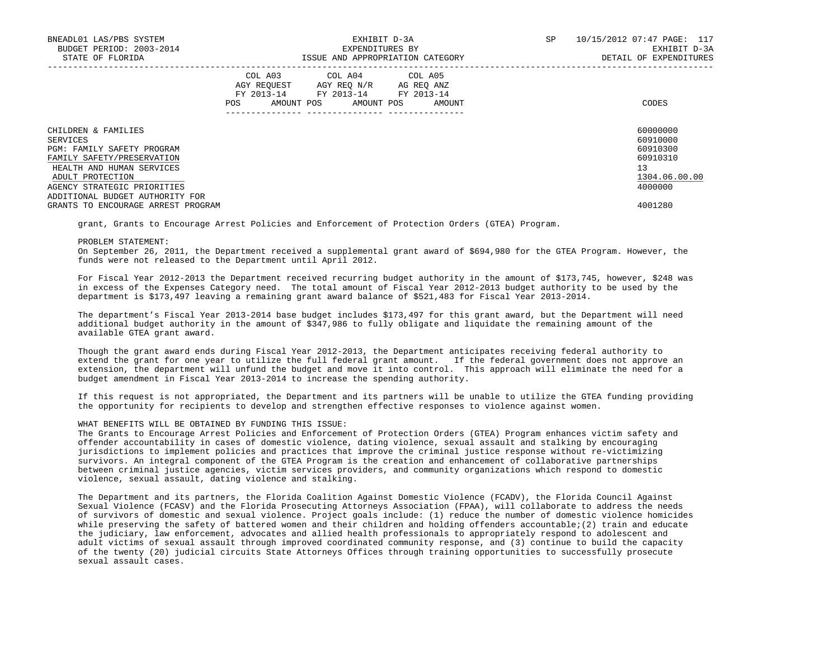| BNEADL01 LAS/PBS SYSTEM<br>BUDGET PERIOD: 2003-2014<br>STATE OF FLORIDA |                    | EXPENDITURES BY                                                                                        | EXHIBIT D-3A<br>ISSUE AND APPROPRIATION CATEGORY | SP | 10/15/2012 07:47 PAGE: 117<br>EXHIBIT D-3A<br>DETAIL OF EXPENDITURES |
|-------------------------------------------------------------------------|--------------------|--------------------------------------------------------------------------------------------------------|--------------------------------------------------|----|----------------------------------------------------------------------|
|                                                                         | AGY REOUEST<br>POS | COL A03 COL A04 COL A05<br>AGY REO N/R<br>FY 2013-14 FY 2013-14 FY 2013-14<br>AMOUNT POS<br>AMOUNT POS | AG REO ANZ<br>AMOUNT                             |    | CODES                                                                |
| CHILDREN & FAMILIES                                                     |                    |                                                                                                        |                                                  |    | 60000000                                                             |
| SERVICES                                                                |                    |                                                                                                        |                                                  |    | 60910000                                                             |
| <b>PGM: FAMILY SAFETY PROGRAM</b>                                       |                    |                                                                                                        |                                                  |    | 60910300                                                             |
| FAMILY SAFETY/PRESERVATION                                              |                    |                                                                                                        |                                                  |    | 60910310                                                             |
| HEALTH AND HUMAN SERVICES                                               |                    |                                                                                                        |                                                  |    | 13                                                                   |
| ADULT PROTECTION                                                        |                    |                                                                                                        |                                                  |    | 1304.06.00.00                                                        |
| AGENCY STRATEGIC PRIORITIES                                             |                    |                                                                                                        |                                                  |    | 4000000                                                              |
| ADDITIONAL BUDGET AUTHORITY FOR                                         |                    |                                                                                                        |                                                  |    |                                                                      |
| GRANTS TO ENCOURAGE ARREST PROGRAM                                      |                    |                                                                                                        |                                                  |    | 4001280                                                              |

grant, Grants to Encourage Arrest Policies and Enforcement of Protection Orders (GTEA) Program.

#### PROBLEM STATEMENT:

 On September 26, 2011, the Department received a supplemental grant award of \$694,980 for the GTEA Program. However, the funds were not released to the Department until April 2012.

 For Fiscal Year 2012-2013 the Department received recurring budget authority in the amount of \$173,745, however, \$248 was in excess of the Expenses Category need. The total amount of Fiscal Year 2012-2013 budget authority to be used by the department is \$173,497 leaving a remaining grant award balance of \$521,483 for Fiscal Year 2013-2014.

 The department's Fiscal Year 2013-2014 base budget includes \$173,497 for this grant award, but the Department will need additional budget authority in the amount of \$347,986 to fully obligate and liquidate the remaining amount of the available GTEA grant award.

 Though the grant award ends during Fiscal Year 2012-2013, the Department anticipates receiving federal authority to extend the grant for one year to utilize the full federal grant amount. If the federal government does not approve an extension, the department will unfund the budget and move it into control. This approach will eliminate the need for a budget amendment in Fiscal Year 2013-2014 to increase the spending authority.

 If this request is not appropriated, the Department and its partners will be unable to utilize the GTEA funding providing the opportunity for recipients to develop and strengthen effective responses to violence against women.

# WHAT BENEFITS WILL BE OBTAINED BY FUNDING THIS ISSUE:

 The Grants to Encourage Arrest Policies and Enforcement of Protection Orders (GTEA) Program enhances victim safety and offender accountability in cases of domestic violence, dating violence, sexual assault and stalking by encouraging jurisdictions to implement policies and practices that improve the criminal justice response without re-victimizing survivors. An integral component of the GTEA Program is the creation and enhancement of collaborative partnerships between criminal justice agencies, victim services providers, and community organizations which respond to domestic violence, sexual assault, dating violence and stalking.

 The Department and its partners, the Florida Coalition Against Domestic Violence (FCADV), the Florida Council Against Sexual Violence (FCASV) and the Florida Prosecuting Attorneys Association (FPAA), will collaborate to address the needs of survivors of domestic and sexual violence. Project goals include: (1) reduce the number of domestic violence homicides while preserving the safety of battered women and their children and holding offenders accountable; (2) train and educate the judiciary, law enforcement, advocates and allied health professionals to appropriately respond to adolescent and adult victims of sexual assault through improved coordinated community response, and (3) continue to build the capacity of the twenty (20) judicial circuits State Attorneys Offices through training opportunities to successfully prosecute sexual assault cases.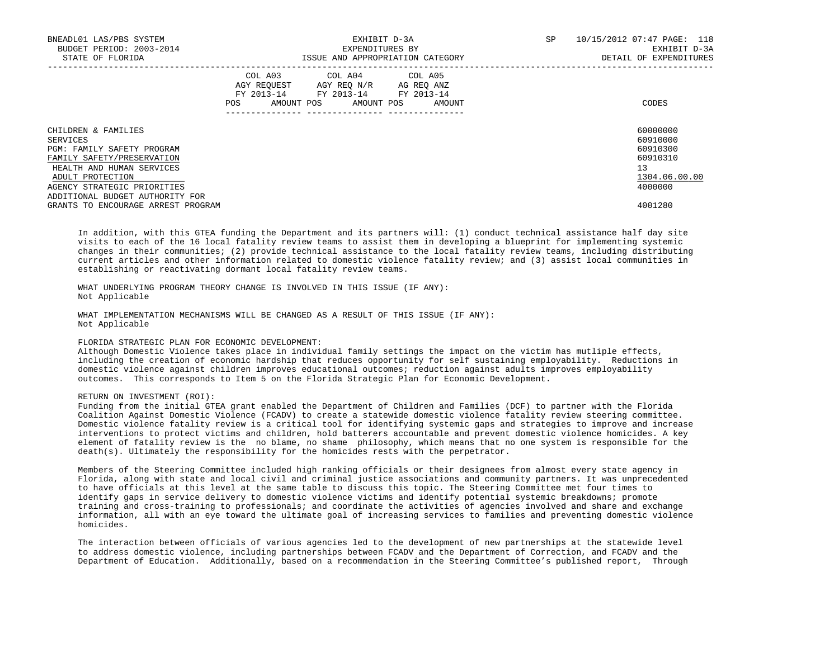| BNEADL01 LAS/PBS SYSTEM<br>BUDGET PERIOD: 2003-2014<br>STATE OF FLORIDA |     | EXHIBIT D-3A<br>EXPENDITURES BY                                                                                            | ISSUE AND APPROPRIATION CATEGORY | SP<br>10/15/2012 07:47 PAGE: 118<br>DETAIL OF EXPENDITURES | EXHIBIT D-3A  |
|-------------------------------------------------------------------------|-----|----------------------------------------------------------------------------------------------------------------------------|----------------------------------|------------------------------------------------------------|---------------|
|                                                                         | POS | COL A03 COL A04 COL A05<br>AGY REOUEST AGY REO N/R AG REO ANZ<br>FY 2013-14 FY 2013-14 FY 2013-14<br>AMOUNT POS AMOUNT POS | AMOUNT                           | CODES                                                      |               |
| CHILDREN & FAMILIES                                                     |     |                                                                                                                            |                                  | 60000000                                                   |               |
| SERVICES                                                                |     |                                                                                                                            |                                  | 60910000                                                   |               |
| <b>PGM: FAMILY SAFETY PROGRAM</b>                                       |     |                                                                                                                            |                                  | 60910300                                                   |               |
| FAMILY SAFETY/PRESERVATION                                              |     |                                                                                                                            |                                  | 60910310                                                   |               |
| HEALTH AND HUMAN SERVICES                                               |     |                                                                                                                            |                                  | 13                                                         |               |
| ADULT PROTECTION                                                        |     |                                                                                                                            |                                  |                                                            | 1304.06.00.00 |
| AGENCY STRATEGIC PRIORITIES                                             |     |                                                                                                                            |                                  | 4000000                                                    |               |
| ADDITIONAL BUDGET AUTHORITY FOR                                         |     |                                                                                                                            |                                  |                                                            |               |
| GRANTS TO ENCOURAGE ARREST PROGRAM                                      |     |                                                                                                                            |                                  | 4001280                                                    |               |

 In addition, with this GTEA funding the Department and its partners will: (1) conduct technical assistance half day site visits to each of the 16 local fatality review teams to assist them in developing a blueprint for implementing systemic changes in their communities; (2) provide technical assistance to the local fatality review teams, including distributing current articles and other information related to domestic violence fatality review; and (3) assist local communities in establishing or reactivating dormant local fatality review teams.

 WHAT UNDERLYING PROGRAM THEORY CHANGE IS INVOLVED IN THIS ISSUE (IF ANY): Not Applicable

 WHAT IMPLEMENTATION MECHANISMS WILL BE CHANGED AS A RESULT OF THIS ISSUE (IF ANY): Not Applicable

## FLORIDA STRATEGIC PLAN FOR ECONOMIC DEVELOPMENT:

 Although Domestic Violence takes place in individual family settings the impact on the victim has mutliple effects, including the creation of economic hardship that reduces opportunity for self sustaining employability. Reductions in domestic violence against children improves educational outcomes; reduction against adults improves employability outcomes. This corresponds to Item 5 on the Florida Strategic Plan for Economic Development.

## RETURN ON INVESTMENT (ROI):

 Funding from the initial GTEA grant enabled the Department of Children and Families (DCF) to partner with the Florida Coalition Against Domestic Violence (FCADV) to create a statewide domestic violence fatality review steering committee. Domestic violence fatality review is a critical tool for identifying systemic gaps and strategies to improve and increase interventions to protect victims and children, hold batterers accountable and prevent domestic violence homicides. A key element of fatality review is the no blame, no shame philosophy, which means that no one system is responsible for the death(s). Ultimately the responsibility for the homicides rests with the perpetrator.

 Members of the Steering Committee included high ranking officials or their designees from almost every state agency in Florida, along with state and local civil and criminal justice associations and community partners. It was unprecedented to have officials at this level at the same table to discuss this topic. The Steering Committee met four times to identify gaps in service delivery to domestic violence victims and identify potential systemic breakdowns; promote training and cross-training to professionals; and coordinate the activities of agencies involved and share and exchange information, all with an eye toward the ultimate goal of increasing services to families and preventing domestic violence homicides.

 The interaction between officials of various agencies led to the development of new partnerships at the statewide level to address domestic violence, including partnerships between FCADV and the Department of Correction, and FCADV and the Department of Education. Additionally, based on a recommendation in the Steering Committee's published report, Through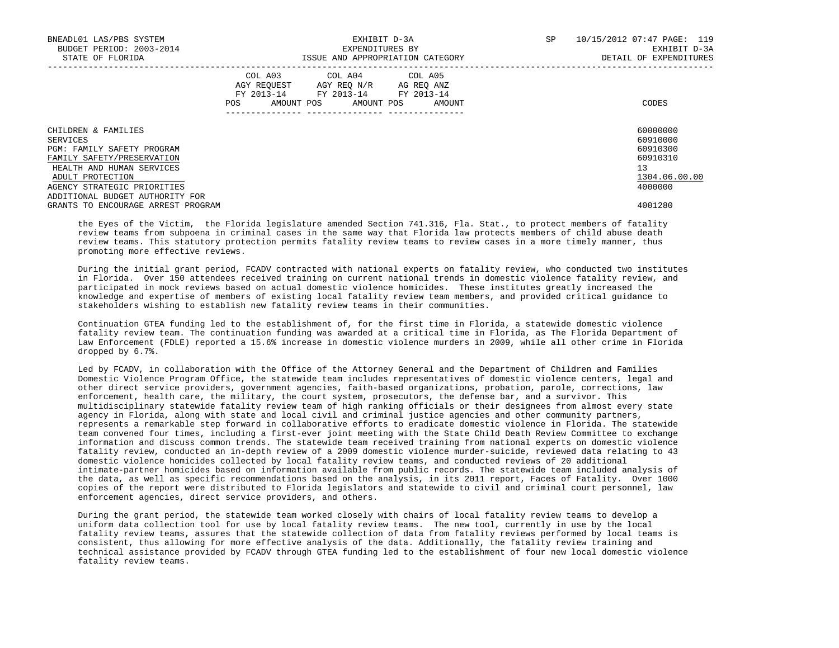| BNEADL01 LAS/PBS SYSTEM<br>BUDGET PERIOD: 2003-2014 |                               | EXPENDITURES BY                                                                                | EXHIBIT D-3A                     | SP | 10/15/2012 07:47 PAGE: 119<br>EXHIBIT D-3A |
|-----------------------------------------------------|-------------------------------|------------------------------------------------------------------------------------------------|----------------------------------|----|--------------------------------------------|
| STATE OF FLORIDA                                    |                               |                                                                                                | ISSUE AND APPROPRIATION CATEGORY |    | DETAIL OF EXPENDITURES                     |
|                                                     | COL A03<br>AGY REOUEST<br>POS | COL A04 COL A05<br>AGY REO N/R<br>FY 2013-14 FY 2013-14 FY 2013-14<br>AMOUNT POS<br>AMOUNT POS | AG REO ANZ<br>AMOUNT             |    | CODES                                      |
| CHILDREN & FAMILIES                                 |                               |                                                                                                |                                  |    | 60000000                                   |
| SERVICES                                            |                               |                                                                                                |                                  |    | 60910000                                   |
| PGM: FAMILY SAFETY PROGRAM                          |                               |                                                                                                |                                  |    | 60910300                                   |
| FAMILY SAFETY/PRESERVATION                          |                               |                                                                                                |                                  |    | 60910310                                   |
| HEALTH AND HUMAN SERVICES                           |                               |                                                                                                |                                  |    | 13                                         |
| ADULT PROTECTION                                    |                               |                                                                                                |                                  |    | 1304.06.00.00                              |
| AGENCY STRATEGIC PRIORITIES                         |                               |                                                                                                |                                  |    | 4000000                                    |
| ADDITIONAL BUDGET AUTHORITY FOR                     |                               |                                                                                                |                                  |    |                                            |
| GRANTS TO ENCOURAGE ARREST PROGRAM                  |                               |                                                                                                |                                  |    | 4001280                                    |

 the Eyes of the Victim, the Florida legislature amended Section 741.316, Fla. Stat., to protect members of fatality review teams from subpoena in criminal cases in the same way that Florida law protects members of child abuse death review teams. This statutory protection permits fatality review teams to review cases in a more timely manner, thus promoting more effective reviews.

 During the initial grant period, FCADV contracted with national experts on fatality review, who conducted two institutes in Florida. Over 150 attendees received training on current national trends in domestic violence fatality review, and participated in mock reviews based on actual domestic violence homicides. These institutes greatly increased the knowledge and expertise of members of existing local fatality review team members, and provided critical guidance to stakeholders wishing to establish new fatality review teams in their communities.

 Continuation GTEA funding led to the establishment of, for the first time in Florida, a statewide domestic violence fatality review team. The continuation funding was awarded at a critical time in Florida, as The Florida Department of Law Enforcement (FDLE) reported a 15.6% increase in domestic violence murders in 2009, while all other crime in Florida dropped by 6.7%.

 Led by FCADV, in collaboration with the Office of the Attorney General and the Department of Children and Families Domestic Violence Program Office, the statewide team includes representatives of domestic violence centers, legal and other direct service providers, government agencies, faith-based organizations, probation, parole, corrections, law enforcement, health care, the military, the court system, prosecutors, the defense bar, and a survivor. This multidisciplinary statewide fatality review team of high ranking officials or their designees from almost every state agency in Florida, along with state and local civil and criminal justice agencies and other community partners, represents a remarkable step forward in collaborative efforts to eradicate domestic violence in Florida. The statewide team convened four times, including a first-ever joint meeting with the State Child Death Review Committee to exchange information and discuss common trends. The statewide team received training from national experts on domestic violence fatality review, conducted an in-depth review of a 2009 domestic violence murder-suicide, reviewed data relating to 43 domestic violence homicides collected by local fatality review teams, and conducted reviews of 20 additional intimate-partner homicides based on information available from public records. The statewide team included analysis of the data, as well as specific recommendations based on the analysis, in its 2011 report, Faces of Fatality. Over 1000 copies of the report were distributed to Florida legislators and statewide to civil and criminal court personnel, law enforcement agencies, direct service providers, and others.

 During the grant period, the statewide team worked closely with chairs of local fatality review teams to develop a uniform data collection tool for use by local fatality review teams. The new tool, currently in use by the local fatality review teams, assures that the statewide collection of data from fatality reviews performed by local teams is consistent, thus allowing for more effective analysis of the data. Additionally, the fatality review training and technical assistance provided by FCADV through GTEA funding led to the establishment of four new local domestic violence fatality review teams.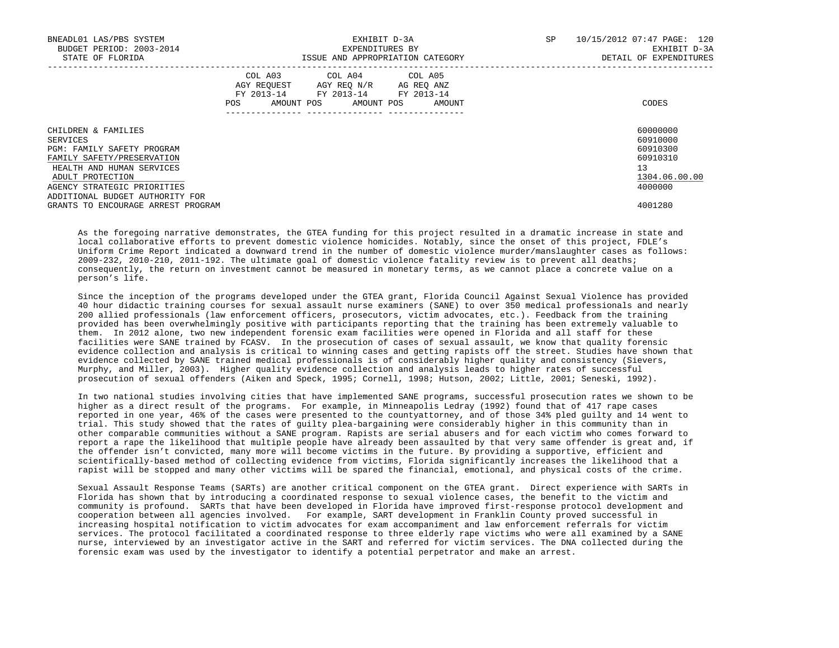| BNEADL01 LAS/PBS SYSTEM<br>BUDGET PERIOD: 2003-2014<br>STATE OF FLORIDA |     | EXHIBIT D-3A<br>EXPENDITURES BY                                                                                            | ISSUE AND APPROPRIATION CATEGORY | SP | 10/15/2012 07:47 PAGE: 120<br>EXHIBIT D-3A<br>DETAIL OF EXPENDITURES |
|-------------------------------------------------------------------------|-----|----------------------------------------------------------------------------------------------------------------------------|----------------------------------|----|----------------------------------------------------------------------|
|                                                                         | POS | COL A03 COL A04 COL A05<br>AGY REQUEST AGY REO N/R AG REO ANZ<br>FY 2013-14 FY 2013-14 FY 2013-14<br>AMOUNT POS AMOUNT POS | AMOUNT                           |    | CODES                                                                |
| CHILDREN & FAMILIES<br>SERVICES                                         |     |                                                                                                                            |                                  |    | 60000000<br>60910000                                                 |
| <b>PGM: FAMILY SAFETY PROGRAM</b>                                       |     |                                                                                                                            |                                  |    | 60910300                                                             |
| FAMILY SAFETY/PRESERVATION                                              |     |                                                                                                                            |                                  |    | 60910310                                                             |
| HEALTH AND HUMAN SERVICES                                               |     |                                                                                                                            |                                  |    | 13                                                                   |
| ADULT PROTECTION                                                        |     |                                                                                                                            |                                  |    | 1304.06.00.00                                                        |
| AGENCY STRATEGIC PRIORITIES                                             |     |                                                                                                                            |                                  |    | 4000000                                                              |
| ADDITIONAL BUDGET AUTHORITY FOR                                         |     |                                                                                                                            |                                  |    |                                                                      |
| GRANTS TO ENCOURAGE ARREST PROGRAM                                      |     |                                                                                                                            |                                  |    | 4001280                                                              |

 As the foregoing narrative demonstrates, the GTEA funding for this project resulted in a dramatic increase in state and local collaborative efforts to prevent domestic violence homicides. Notably, since the onset of this project, FDLE's Uniform Crime Report indicated a downward trend in the number of domestic violence murder/manslaughter cases as follows: 2009-232, 2010-210, 2011-192. The ultimate goal of domestic violence fatality review is to prevent all deaths; consequently, the return on investment cannot be measured in monetary terms, as we cannot place a concrete value on a person's life.

 Since the inception of the programs developed under the GTEA grant, Florida Council Against Sexual Violence has provided 40 hour didactic training courses for sexual assault nurse examiners (SANE) to over 350 medical professionals and nearly 200 allied professionals (law enforcement officers, prosecutors, victim advocates, etc.). Feedback from the training provided has been overwhelmingly positive with participants reporting that the training has been extremely valuable to them. In 2012 alone, two new independent forensic exam facilities were opened in Florida and all staff for these facilities were SANE trained by FCASV. In the prosecution of cases of sexual assault, we know that quality forensic evidence collection and analysis is critical to winning cases and getting rapists off the street. Studies have shown that evidence collected by SANE trained medical professionals is of considerably higher quality and consistency (Sievers, Murphy, and Miller, 2003). Higher quality evidence collection and analysis leads to higher rates of successful prosecution of sexual offenders (Aiken and Speck, 1995; Cornell, 1998; Hutson, 2002; Little, 2001; Seneski, 1992).

 In two national studies involving cities that have implemented SANE programs, successful prosecution rates we shown to be higher as a direct result of the programs. For example, in Minneapolis Ledray (1992) found that of 417 rape cases reported in one year, 46% of the cases were presented to the countyattorney, and of those 34% pled guilty and 14 went to trial. This study showed that the rates of guilty plea-bargaining were considerably higher in this community than in other comparable communities without a SANE program. Rapists are serial abusers and for each victim who comes forward to report a rape the likelihood that multiple people have already been assaulted by that very same offender is great and, if the offender isn't convicted, many more will become victims in the future. By providing a supportive, efficient and scientifically-based method of collecting evidence from victims, Florida significantly increases the likelihood that a rapist will be stopped and many other victims will be spared the financial, emotional, and physical costs of the crime.

 Sexual Assault Response Teams (SARTs) are another critical component on the GTEA grant. Direct experience with SARTs in Florida has shown that by introducing a coordinated response to sexual violence cases, the benefit to the victim and community is profound. SARTs that have been developed in Florida have improved first-response protocol development and cooperation between all agencies involved. For example, SART development in Franklin County proved successful in increasing hospital notification to victim advocates for exam accompaniment and law enforcement referrals for victim services. The protocol facilitated a coordinated response to three elderly rape victims who were all examined by a SANE nurse, interviewed by an investigator active in the SART and referred for victim services. The DNA collected during the forensic exam was used by the investigator to identify a potential perpetrator and make an arrest.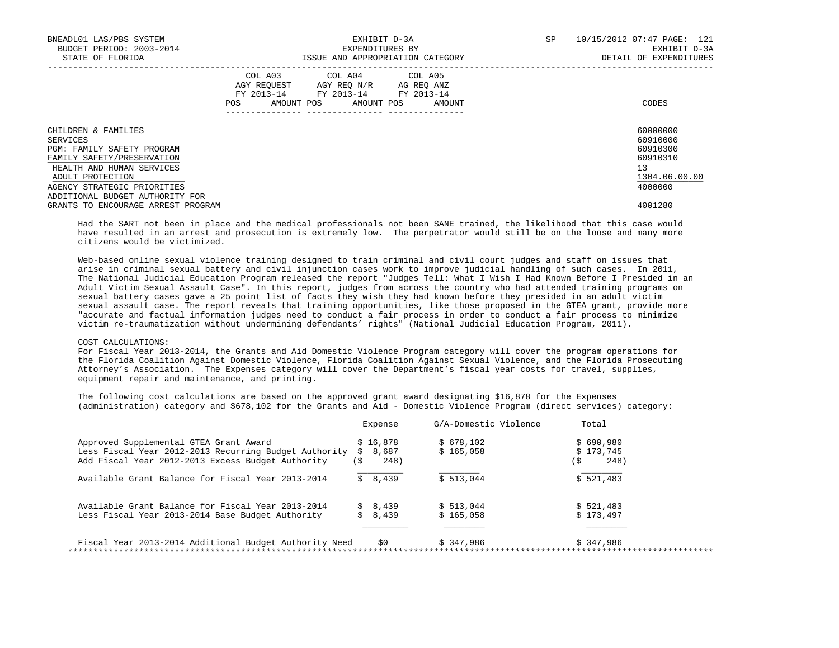| BNEADL01 LAS/PBS SYSTEM<br>BUDGET PERIOD: 2003-2014 |                               | EXHIBIT D-3A<br>EXPENDITURES BY                                                                | SP                   | 10/15/2012 07:47 PAGE: 121<br>EXHIBIT D-3A |               |
|-----------------------------------------------------|-------------------------------|------------------------------------------------------------------------------------------------|----------------------|--------------------------------------------|---------------|
| STATE OF FLORIDA                                    |                               | ISSUE AND APPROPRIATION CATEGORY                                                               |                      | DETAIL OF EXPENDITURES                     |               |
|                                                     | COL A03<br>AGY REOUEST<br>POS | COL A04 COL A05<br>AGY REO N/R<br>FY 2013-14 FY 2013-14 FY 2013-14<br>AMOUNT POS<br>AMOUNT POS | AG REO ANZ<br>AMOUNT |                                            | CODES         |
| CHILDREN & FAMILIES                                 |                               |                                                                                                |                      |                                            | 60000000      |
| SERVICES                                            |                               |                                                                                                |                      |                                            | 60910000      |
| PGM: FAMILY SAFETY PROGRAM                          |                               |                                                                                                |                      |                                            | 60910300      |
| FAMILY SAFETY/PRESERVATION                          |                               |                                                                                                |                      |                                            | 60910310      |
| HEALTH AND HUMAN SERVICES                           |                               |                                                                                                |                      |                                            | 13            |
| ADULT PROTECTION                                    |                               |                                                                                                |                      |                                            | 1304.06.00.00 |
| AGENCY STRATEGIC PRIORITIES                         |                               |                                                                                                |                      |                                            | 4000000       |
| ADDITIONAL BUDGET AUTHORITY FOR                     |                               |                                                                                                |                      |                                            |               |
| GRANTS TO ENCOURAGE ARREST PROGRAM                  |                               |                                                                                                |                      |                                            | 4001280       |

 Had the SART not been in place and the medical professionals not been SANE trained, the likelihood that this case would have resulted in an arrest and prosecution is extremely low. The perpetrator would still be on the loose and many more citizens would be victimized.

 Web-based online sexual violence training designed to train criminal and civil court judges and staff on issues that arise in criminal sexual battery and civil injunction cases work to improve judicial handling of such cases. In 2011, The National Judicial Education Program released the report "Judges Tell: What I Wish I Had Known Before I Presided in an Adult Victim Sexual Assault Case". In this report, judges from across the country who had attended training programs on sexual battery cases gave a 25 point list of facts they wish they had known before they presided in an adult victim sexual assault case. The report reveals that training opportunities, like those proposed in the GTEA grant, provide more "accurate and factual information judges need to conduct a fair process in order to conduct a fair process to minimize victim re-traumatization without undermining defendants' rights" (National Judicial Education Program, 2011).

#### COST CALCULATIONS:

 For Fiscal Year 2013-2014, the Grants and Aid Domestic Violence Program category will cover the program operations for the Florida Coalition Against Domestic Violence, Florida Coalition Against Sexual Violence, and the Florida Prosecuting Attorney's Association. The Expenses category will cover the Department's fiscal year costs for travel, supplies, equipment repair and maintenance, and printing.

 The following cost calculations are based on the approved grant award designating \$16,878 for the Expenses (administration) category and \$678,102 for the Grants and Aid - Domestic Violence Program (direct services) category:

|                                                        | Expense     | G/A-Domestic Violence | Total       |
|--------------------------------------------------------|-------------|-----------------------|-------------|
| Approved Supplemental GTEA Grant Award                 | \$16.878    | \$678.102             | \$690.980   |
| Less Fiscal Year 2012-2013 Recurring Budget Authority  | 8,687<br>S. | \$165,058             | \$173.745   |
| Add Fiscal Year 2012-2013 Excess Budget Authority      | 248)<br>í S |                       | 248)<br>: S |
| Available Grant Balance for Fiscal Year 2013-2014      | \$8,439     | \$513.044             | \$521.483   |
| Available Grant Balance for Fiscal Year 2013-2014      | \$8,439     | \$513.044             | \$521,483   |
| Less Fiscal Year 2013-2014 Base Budget Authority       | \$8,439     | \$165.058             | \$173.497   |
|                                                        |             |                       |             |
| Fiscal Year 2013-2014 Additional Budget Authority Need | \$0         | \$347,986             | \$347,986   |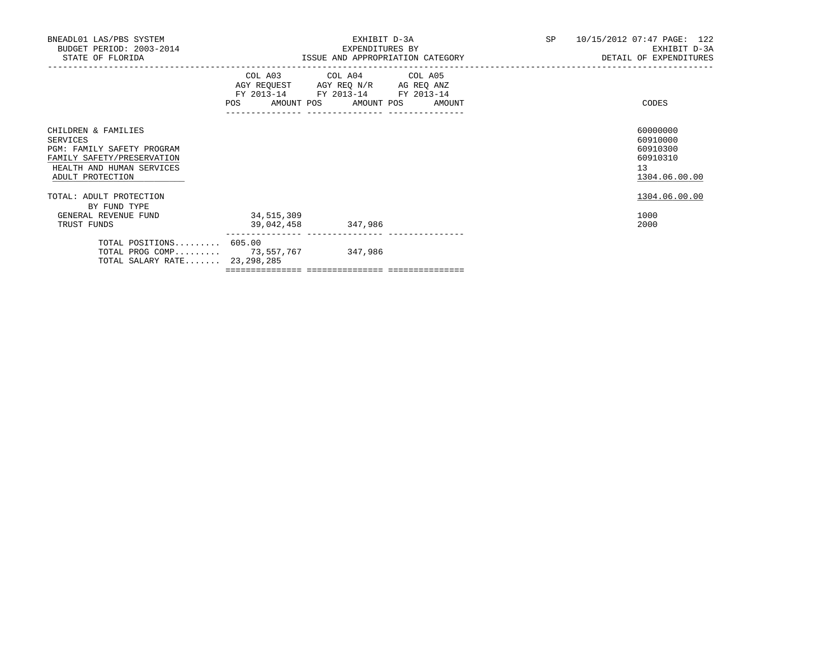| BNEADL01 LAS/PBS SYSTEM<br>BUDGET PERIOD: 2003-2014<br>STATE OF FLORIDA                                                                             |                                           | EXHIBIT D-3A<br>EXPENDITURES BY<br>ISSUE AND APPROPRIATION CATEGORY | SP                           | 10/15/2012 07:47 PAGE: 122<br>EXHIBIT D-3A<br>DETAIL OF EXPENDITURES |                                                                     |
|-----------------------------------------------------------------------------------------------------------------------------------------------------|-------------------------------------------|---------------------------------------------------------------------|------------------------------|----------------------------------------------------------------------|---------------------------------------------------------------------|
|                                                                                                                                                     | AGY REQUEST AGY REQ N/R AG REQ ANZ<br>POS | COL A03 COL A04 COL A05<br>FY 2013-14 FY 2013-14 FY 2013-14         | AMOUNT POS AMOUNT POS AMOUNT |                                                                      | CODES                                                               |
| CHILDREN & FAMILIES<br>SERVICES<br><b>PGM: FAMILY SAFETY PROGRAM</b><br>FAMILY SAFETY/PRESERVATION<br>HEALTH AND HUMAN SERVICES<br>ADULT PROTECTION |                                           |                                                                     |                              |                                                                      | 60000000<br>60910000<br>60910300<br>60910310<br>13<br>1304.06.00.00 |
| TOTAL: ADULT PROTECTION<br>BY FUND TYPE<br>GENERAL REVENUE FUND                                                                                     | 34, 515, 309                              |                                                                     |                              |                                                                      | 1304.06.00.00<br>1000                                               |
| TRUST FUNDS                                                                                                                                         | 39,042,458                                | 347,986                                                             |                              |                                                                      | 2000                                                                |
| TOTAL POSITIONS 605.00<br>TOTAL PROG COMP 73,557,767<br>TOTAL SALARY RATE 23, 298, 285                                                              |                                           | 347,986                                                             |                              |                                                                      |                                                                     |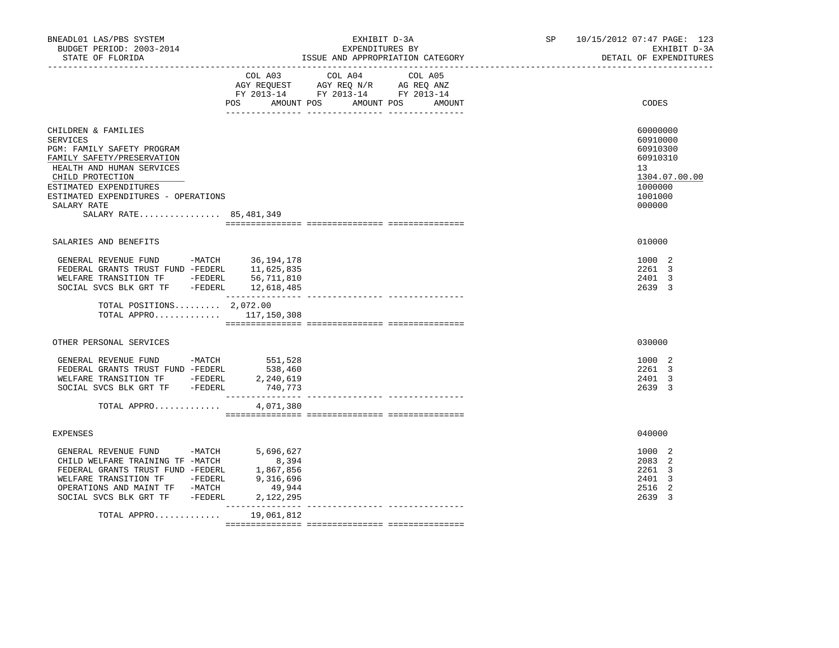| BNEADL01 LAS/PBS SYSTEM<br>BUDGET PERIOD: 2003-2014<br>STATE OF FLORIDA                                                                                                                                                                                |                                                                     | EXHIBIT D-3A<br>EXPENDITURES BY<br>ISSUE AND APPROPRIATION CATEGORY                                                                  | SP 10/15/2012 07:47 PAGE: 123<br>EXHIBIT D-3A<br>DETAIL OF EXPENDITURES                             |
|--------------------------------------------------------------------------------------------------------------------------------------------------------------------------------------------------------------------------------------------------------|---------------------------------------------------------------------|--------------------------------------------------------------------------------------------------------------------------------------|-----------------------------------------------------------------------------------------------------|
|                                                                                                                                                                                                                                                        | POS                                                                 | COL A03 COL A04<br>COL A05<br>AGY REQUEST AGY REQ N/R AG REQ ANZ<br>FY 2013-14 FY 2013-14 FY 2013-14<br>AMOUNT POS AMOUNT POS AMOUNT | CODES                                                                                               |
| CHILDREN & FAMILIES<br>SERVICES<br>PGM: FAMILY SAFETY PROGRAM<br>FAMILY SAFETY/PRESERVATION<br>HEALTH AND HUMAN SERVICES<br>CHILD PROTECTION<br>ESTIMATED EXPENDITURES<br>ESTIMATED EXPENDITURES - OPERATIONS<br>SALARY RATE<br>SALARY RATE 85,481,349 |                                                                     |                                                                                                                                      | 60000000<br>60910000<br>60910300<br>60910310<br>13<br>1304.07.00.00<br>1000000<br>1001000<br>000000 |
| SALARIES AND BENEFITS                                                                                                                                                                                                                                  |                                                                     |                                                                                                                                      | 010000                                                                                              |
| GENERAL REVENUE FUND -MATCH 36,194,178<br>FEDERAL GRANTS TRUST FUND -FEDERL 11,625,835<br>WELFARE TRANSITION TF -FEDERL 56,711,810<br>SOCIAL SVCS BLK GRT TF -FEDERL 12,618,485                                                                        |                                                                     |                                                                                                                                      | 1000 2<br>2261 3<br>2401 3<br>2639 3                                                                |
| TOTAL POSITIONS $2,072.00$<br>TOTAL APPRO 117,150,308                                                                                                                                                                                                  |                                                                     |                                                                                                                                      |                                                                                                     |
| OTHER PERSONAL SERVICES                                                                                                                                                                                                                                |                                                                     |                                                                                                                                      | 030000                                                                                              |
| GENERAL REVENUE FUND -MATCH<br>FEDERAL GRANTS TRUST FUND -FEDERL 538,460<br>WELFARE TRANSITION TF -FEDERL 2,240,619<br>WELFARE TRANSITION TF - FEDERL<br>SOCIAL SVCS BLK GRT TF -FEDERL<br>TOTAL APPRO                                                 | 551,528<br>2,240,619<br>740,773<br>4,071,380                        |                                                                                                                                      | 1000 2<br>2261 3<br>2401 3<br>2639 3                                                                |
| <b>EXPENSES</b>                                                                                                                                                                                                                                        |                                                                     |                                                                                                                                      | 040000                                                                                              |
| GENERAL REVENUE FUND -MATCH<br>CHILD WELFARE TRAINING TF -MATCH<br>FEDERAL GRANTS TRUST FUND -FEDERL<br>WELFARE TRANSITION TF -FEDERL<br>OPERATIONS AND MAINT TF -MATCH<br>SOCIAL SVCS BLK GRT TF -FEDERL                                              | 5,696,627<br>8,394<br>1,867,856<br>9,316,696<br>49,944<br>2,122,295 |                                                                                                                                      | 1000 2<br>2083 2<br>2261 3<br>2401 3<br>2516<br>-2<br>2639 3                                        |
| TOTAL APPRO 19,061,812                                                                                                                                                                                                                                 |                                                                     |                                                                                                                                      |                                                                                                     |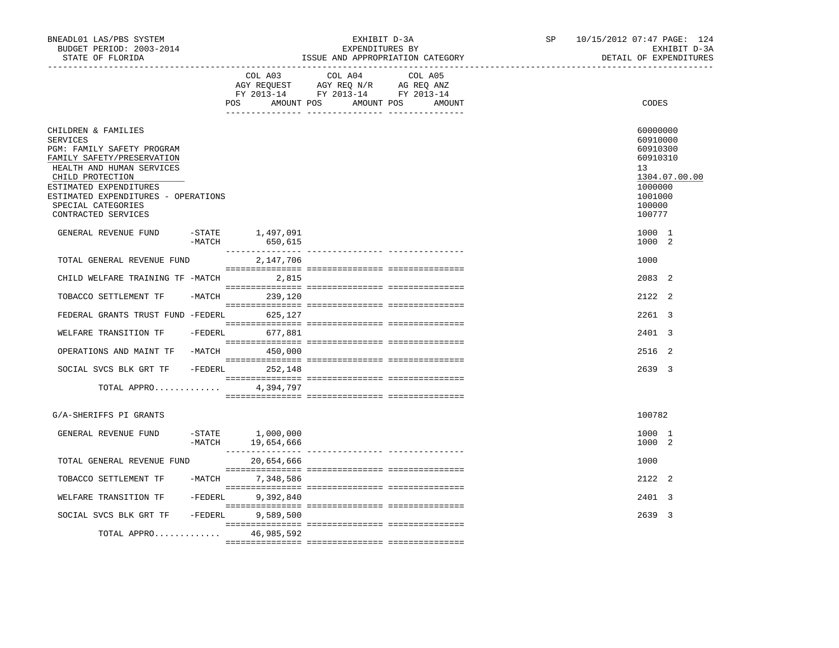| BNEADL01 LAS/PBS SYSTEM<br>BUDGET PERIOD: 2003-2014<br>STATE OF FLORIDA                                                                                                                                                                                    |           |                                                     | EXHIBIT D-3A<br>EXPENDITURES BY<br>ISSUE AND APPROPRIATION CATEGORY                                        | SP                | 10/15/2012 07:47 PAGE: 124<br>EXHIBIT D-3A<br>DETAIL OF EXPENDITURES |                                                                                                               |
|------------------------------------------------------------------------------------------------------------------------------------------------------------------------------------------------------------------------------------------------------------|-----------|-----------------------------------------------------|------------------------------------------------------------------------------------------------------------|-------------------|----------------------------------------------------------------------|---------------------------------------------------------------------------------------------------------------|
|                                                                                                                                                                                                                                                            |           | ---------------------------------<br>COL A03<br>POS | COL A04<br>AGY REQUEST AGY REQ N/R AG REQ ANZ<br>FY 2013-14 FY 2013-14 FY 2013-14<br>AMOUNT POS AMOUNT POS | COL A05<br>AMOUNT |                                                                      | CODES                                                                                                         |
| CHILDREN & FAMILIES<br>SERVICES<br>PGM: FAMILY SAFETY PROGRAM<br>FAMILY SAFETY/PRESERVATION<br>HEALTH AND HUMAN SERVICES<br>CHILD PROTECTION<br>ESTIMATED EXPENDITURES<br>ESTIMATED EXPENDITURES - OPERATIONS<br>SPECIAL CATEGORIES<br>CONTRACTED SERVICES |           |                                                     |                                                                                                            |                   |                                                                      | 60000000<br>60910000<br>60910300<br>60910310<br>13<br>1304.07.00.00<br>1000000<br>1001000<br>100000<br>100777 |
| GENERAL REVENUE FUND                                                                                                                                                                                                                                       | $-MATCH$  | -STATE 1,497,091<br>650,615                         |                                                                                                            |                   |                                                                      | 1000 1<br>1000 2                                                                                              |
| TOTAL GENERAL REVENUE FUND                                                                                                                                                                                                                                 |           | 2,147,706                                           |                                                                                                            |                   |                                                                      | 1000                                                                                                          |
| CHILD WELFARE TRAINING TF -MATCH 2,815                                                                                                                                                                                                                     |           |                                                     |                                                                                                            |                   |                                                                      | 2083 2                                                                                                        |
| TOBACCO SETTLEMENT TF                                                                                                                                                                                                                                      |           | -MATCH 239,120                                      |                                                                                                            |                   |                                                                      | 2122 2                                                                                                        |
| FEDERAL GRANTS TRUST FUND -FEDERL                                                                                                                                                                                                                          |           | 625,127                                             |                                                                                                            |                   |                                                                      | 2261 3                                                                                                        |
| WELFARE TRANSITION TF                                                                                                                                                                                                                                      | $-FEDERL$ | 677,881                                             |                                                                                                            |                   |                                                                      | 2401 3                                                                                                        |
| OPERATIONS AND MAINT TF -MATCH 450,000                                                                                                                                                                                                                     |           |                                                     |                                                                                                            |                   |                                                                      | 2516 2                                                                                                        |
| SOCIAL SVCS BLK GRT TF                                                                                                                                                                                                                                     |           | $-FEDERL$ 252,148                                   |                                                                                                            |                   |                                                                      | 2639 3                                                                                                        |
| TOTAL APPRO                                                                                                                                                                                                                                                |           | 4,394,797                                           |                                                                                                            |                   |                                                                      |                                                                                                               |
| G/A-SHERIFFS PI GRANTS                                                                                                                                                                                                                                     |           |                                                     |                                                                                                            |                   |                                                                      | 100782                                                                                                        |
| GENERAL REVENUE FUND                                                                                                                                                                                                                                       | $-MATCH$  | $-STATE$ 1,000,000<br>19,654,666                    |                                                                                                            |                   |                                                                      | 1000 1<br>1000 2                                                                                              |
| TOTAL GENERAL REVENUE FUND                                                                                                                                                                                                                                 |           | 20,654,666                                          |                                                                                                            |                   |                                                                      | 1000                                                                                                          |
| TOBACCO SETTLEMENT TF                                                                                                                                                                                                                                      |           | -MATCH 7,348,586                                    |                                                                                                            |                   |                                                                      | 2122 2                                                                                                        |
| WELFARE TRANSITION TF                                                                                                                                                                                                                                      | $-FEDERL$ | 9,392,840                                           |                                                                                                            |                   |                                                                      | 2401 3                                                                                                        |
| SOCIAL SVCS BLK GRT TF                                                                                                                                                                                                                                     | $-FEDERL$ | 9,589,500                                           |                                                                                                            |                   |                                                                      | 2639 3                                                                                                        |
| TOTAL APPRO                                                                                                                                                                                                                                                |           | 46,985,592                                          |                                                                                                            |                   |                                                                      |                                                                                                               |
|                                                                                                                                                                                                                                                            |           |                                                     |                                                                                                            |                   |                                                                      |                                                                                                               |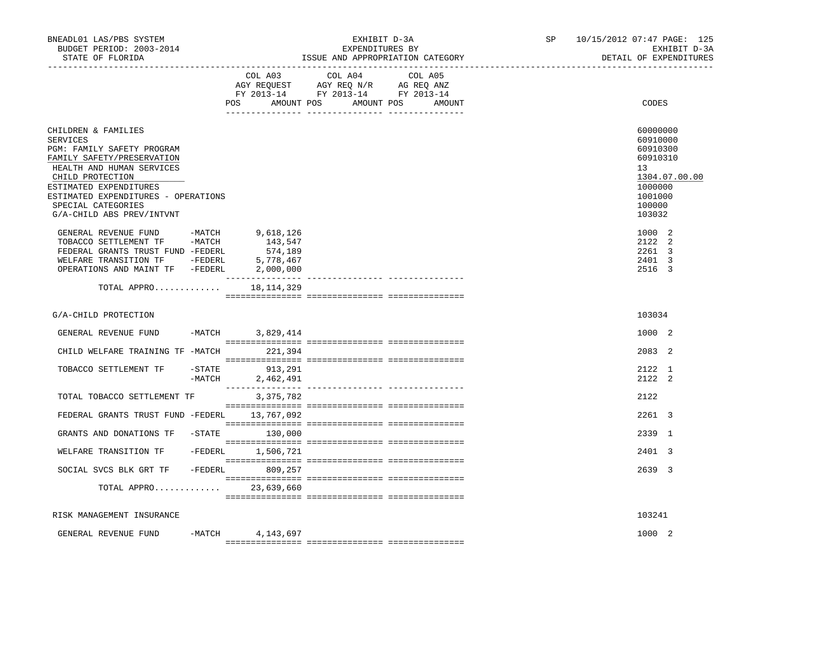| BNEADL01 LAS/PBS SYSTEM<br>BUDGET PERIOD: 2003-2014<br>STATE OF FLORIDA                                                                                                                                                                                                 |          |                                                           | EXHIBIT D-3A<br>EXPENDITURES BY<br>ISSUE AND APPROPRIATION CATEGORY               | SP and the set of the set of the set of the set of the set of the set of the set of the set of the set of the set of the set of the set of the set of the set of the set of the set of the set of the set of the set of the se | 10/15/2012 07:47 PAGE: 125<br>EXHIBIT D-3A<br>DETAIL OF EXPENDITURES |                                                                                                                            |  |
|-------------------------------------------------------------------------------------------------------------------------------------------------------------------------------------------------------------------------------------------------------------------------|----------|-----------------------------------------------------------|-----------------------------------------------------------------------------------|--------------------------------------------------------------------------------------------------------------------------------------------------------------------------------------------------------------------------------|----------------------------------------------------------------------|----------------------------------------------------------------------------------------------------------------------------|--|
|                                                                                                                                                                                                                                                                         |          | COL A03                                                   | COL A04<br>AGY REQUEST AGY REQ N/R AG REQ ANZ<br>FY 2013-14 FY 2013-14 FY 2013-14 | COL A05<br>POS AMOUNT POS AMOUNT POS AMOUNT                                                                                                                                                                                    |                                                                      | CODES                                                                                                                      |  |
| CHILDREN & FAMILIES<br><b>SERVICES</b><br>PGM: FAMILY SAFETY PROGRAM<br>FAMILY SAFETY/PRESERVATION<br>HEALTH AND HUMAN SERVICES<br>CHILD PROTECTION<br>ESTIMATED EXPENDITURES<br>ESTIMATED EXPENDITURES - OPERATIONS<br>SPECIAL CATEGORIES<br>G/A-CHILD ABS PREV/INTVNT |          |                                                           |                                                                                   |                                                                                                                                                                                                                                |                                                                      | 60000000<br>60910000<br>60910300<br>60910310<br>13 <sup>°</sup><br>1304.07.00.00<br>1000000<br>1001000<br>100000<br>103032 |  |
| GENERAL REVENUE FUND -MATCH<br>TOBACCO SETTLEMENT TF -MATCH<br>FEDERAL GRANTS TRUST FUND -FEDERL<br>WELFARE TRANSITION TF -FEDERL<br>OPERATIONS AND MAINT TF -FEDERL                                                                                                    |          | 9,618,126<br>143,547<br>574,189<br>5,778,467<br>2,000,000 |                                                                                   |                                                                                                                                                                                                                                |                                                                      | 1000 2<br>2122 2<br>2261 3<br>2401 3<br>2516 3                                                                             |  |
| TOTAL APPRO 18, 114, 329                                                                                                                                                                                                                                                |          |                                                           |                                                                                   |                                                                                                                                                                                                                                |                                                                      |                                                                                                                            |  |
| G/A-CHILD PROTECTION                                                                                                                                                                                                                                                    |          |                                                           |                                                                                   |                                                                                                                                                                                                                                |                                                                      | 103034                                                                                                                     |  |
| GENERAL REVENUE FUND -MATCH 3,829,414                                                                                                                                                                                                                                   |          |                                                           |                                                                                   |                                                                                                                                                                                                                                |                                                                      | 1000 2                                                                                                                     |  |
| CHILD WELFARE TRAINING TF -MATCH 221,394                                                                                                                                                                                                                                |          |                                                           |                                                                                   |                                                                                                                                                                                                                                |                                                                      | 2083 2                                                                                                                     |  |
| TOBACCO SETTLEMENT TF                                                                                                                                                                                                                                                   | $-MATCH$ | -STATE 913,291<br>2,462,491                               |                                                                                   |                                                                                                                                                                                                                                |                                                                      | 2122 1<br>2122 2                                                                                                           |  |
| TOTAL TOBACCO SETTLEMENT TF                                                                                                                                                                                                                                             |          | 3,375,782                                                 |                                                                                   |                                                                                                                                                                                                                                |                                                                      | 2122                                                                                                                       |  |
| FEDERAL GRANTS TRUST FUND -FEDERL 13,767,092                                                                                                                                                                                                                            |          |                                                           |                                                                                   |                                                                                                                                                                                                                                |                                                                      | 2261 3                                                                                                                     |  |
| GRANTS AND DONATIONS TF -STATE 130,000                                                                                                                                                                                                                                  |          |                                                           |                                                                                   |                                                                                                                                                                                                                                |                                                                      | 2339 1                                                                                                                     |  |
| WELFARE TRANSITION TF                                                                                                                                                                                                                                                   |          | -FEDERL 1,506,721                                         |                                                                                   |                                                                                                                                                                                                                                |                                                                      | 2401 3                                                                                                                     |  |
| SOCIAL SVCS BLK GRT TF - FEDERL 809,257                                                                                                                                                                                                                                 |          |                                                           |                                                                                   |                                                                                                                                                                                                                                |                                                                      | 2639 3                                                                                                                     |  |
| TOTAL APPRO 23,639,660                                                                                                                                                                                                                                                  |          |                                                           |                                                                                   |                                                                                                                                                                                                                                |                                                                      |                                                                                                                            |  |
| RISK MANAGEMENT INSURANCE                                                                                                                                                                                                                                               |          |                                                           |                                                                                   |                                                                                                                                                                                                                                |                                                                      | 103241                                                                                                                     |  |
| GENERAL REVENUE FUND                                                                                                                                                                                                                                                    | $-MATCH$ | 4,143,697                                                 |                                                                                   |                                                                                                                                                                                                                                |                                                                      | 1000 2                                                                                                                     |  |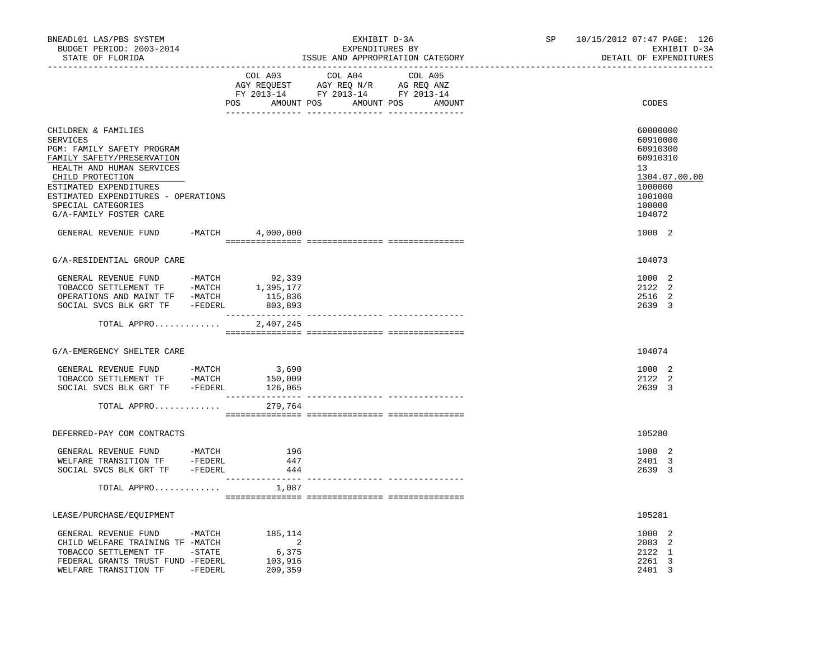| BNEADL01 LAS/PBS SYSTEM<br>BUDGET PERIOD: 2003-2014<br>STATE OF FLORIDA                                                                                                                                                                                                               |  |                                                                                                                | EXPENDITURES BY | EXHIBIT D-3A | ISSUE AND APPROPRIATION CATEGORY | SP | 10/15/2012 07:47 PAGE: 126<br>EXHIBIT D-3A<br>DETAIL OF EXPENDITURES                                                    |
|---------------------------------------------------------------------------------------------------------------------------------------------------------------------------------------------------------------------------------------------------------------------------------------|--|----------------------------------------------------------------------------------------------------------------|-----------------|--------------|----------------------------------|----|-------------------------------------------------------------------------------------------------------------------------|
|                                                                                                                                                                                                                                                                                       |  | COL A03<br>AGY REQUEST AGY REQ N/R AG REQ ANZ<br>FY 2013-14 FY 2013-14 FY 2013-14<br>POS AMOUNT POS AMOUNT POS | COL A04         |              | COL A05<br>AMOUNT                |    | CODES                                                                                                                   |
| CHILDREN & FAMILIES<br>SERVICES<br>PGM: FAMILY SAFETY PROGRAM<br>FAMILY SAFETY/PRESERVATION<br>HEALTH AND HUMAN SERVICES<br>CHILD PROTECTION<br>ESTIMATED EXPENDITURES<br>ESTIMATED EXPENDITURES - OPERATIONS<br>SPECIAL CATEGORIES<br>G/A-FAMILY FOSTER CARE<br>GENERAL REVENUE FUND |  | $-MATCH$ 4,000,000                                                                                             |                 |              |                                  |    | 60000000<br>60910000<br>60910300<br>60910310<br>13<br>1304.07.00.00<br>1000000<br>1001000<br>100000<br>104072<br>1000 2 |
|                                                                                                                                                                                                                                                                                       |  |                                                                                                                |                 |              |                                  |    |                                                                                                                         |
| G/A-RESIDENTIAL GROUP CARE                                                                                                                                                                                                                                                            |  |                                                                                                                |                 |              |                                  |    | 104073                                                                                                                  |
| OPERATIONS AND MAINT TF -MATCH<br>SOCIAL SVCS BLK GRT TF -FEDERL                                                                                                                                                                                                                      |  | 115,836<br>803,893                                                                                             |                 |              |                                  |    | 1000 2<br>2122 2<br>2516 2<br>2639 3                                                                                    |
| TOTAL APPRO                                                                                                                                                                                                                                                                           |  | 2,407,245                                                                                                      |                 |              |                                  |    |                                                                                                                         |
| G/A-EMERGENCY SHELTER CARE                                                                                                                                                                                                                                                            |  |                                                                                                                |                 |              |                                  |    | 104074                                                                                                                  |
| GENERAL REVENUE FUND -MATCH<br>TOBACCO SETTLEMENT TF -MATCH<br>SOCIAL SVCS BLK GRT TF - FEDERL<br>TOTAL APPRO                                                                                                                                                                         |  | 3,690<br>150,009<br>126,065<br>279,764                                                                         |                 |              |                                  |    | 1000 2<br>2122 2<br>2639 3                                                                                              |
|                                                                                                                                                                                                                                                                                       |  |                                                                                                                |                 |              |                                  |    |                                                                                                                         |
| DEFERRED-PAY COM CONTRACTS                                                                                                                                                                                                                                                            |  |                                                                                                                |                 |              |                                  |    | 105280                                                                                                                  |
| GENERAL REVENUE FUND -MATCH<br>WELFARE TRANSITION TF -FEDERL<br>SOCIAL SVCS BLK GRT TF -FEDERL                                                                                                                                                                                        |  | 196<br>447<br>444                                                                                              |                 |              |                                  |    | 1000 2<br>2401 3<br>2639 3                                                                                              |
| TOTAL APPRO                                                                                                                                                                                                                                                                           |  | 1,087                                                                                                          |                 |              |                                  |    |                                                                                                                         |
| LEASE/PURCHASE/EQUIPMENT                                                                                                                                                                                                                                                              |  |                                                                                                                |                 |              |                                  |    | 105281                                                                                                                  |
| GENERAL REVENUE FUND -MATCH<br>CHILD WELFARE TRAINING TF -MATCH<br>TOBACCO SETTLEMENT TF -STATE<br>FEDERAL GRANTS TRUST FUND -FEDERL<br>WELFARE TRANSITION TF -FEDERL                                                                                                                 |  | 185,114<br>$\sim$ 2<br>6,375<br>103,916<br>209,359                                                             |                 |              |                                  |    | 1000 2<br>2083 2<br>2122 1<br>2261 3<br>2401 3                                                                          |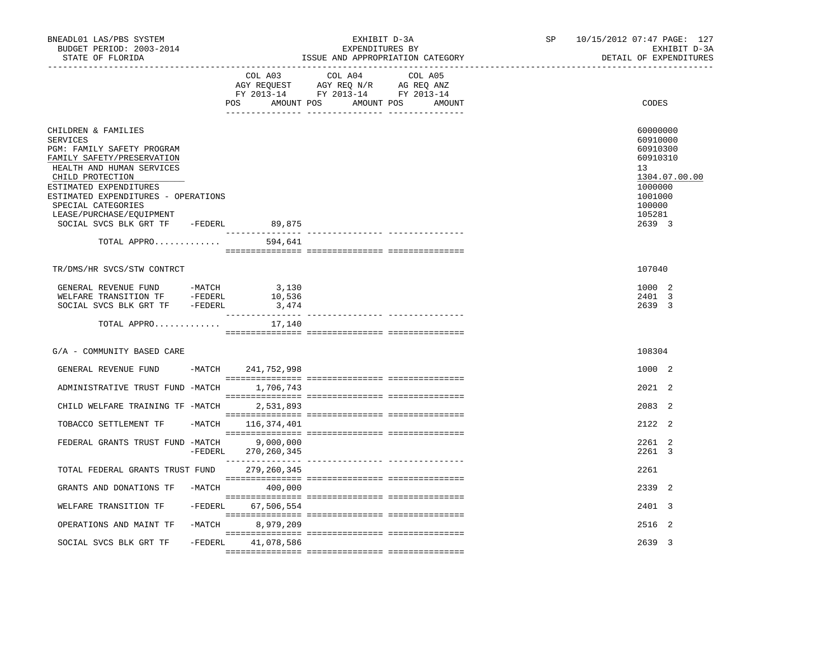| BNEADL01 LAS/PBS SYSTEM<br>BUDGET PERIOD: 2003-2014<br>STATE OF FLORIDA                                                                                                                                                                                                                                          | EXHIBIT D-3A<br>EXPENDITURES BY<br>ISSUE AND APPROPRIATION CATEGORY |                            |                                                                                                                   |         |  |  | 10/15/2012 07:47 PAGE: 127<br>EXHIBIT D-3A<br>DETAIL OF EXPENDITURES                                   |               |
|------------------------------------------------------------------------------------------------------------------------------------------------------------------------------------------------------------------------------------------------------------------------------------------------------------------|---------------------------------------------------------------------|----------------------------|-------------------------------------------------------------------------------------------------------------------|---------|--|--|--------------------------------------------------------------------------------------------------------|---------------|
|                                                                                                                                                                                                                                                                                                                  |                                                                     | COL A03<br>POS             | COL A04<br>AGY REQUEST AGY REQ N/R AG REQ ANZ<br>FY 2013-14 FY 2013-14 FY 2013-14<br>AMOUNT POS AMOUNT POS AMOUNT | COL A05 |  |  | CODES                                                                                                  |               |
| CHILDREN & FAMILIES<br>SERVICES<br>PGM: FAMILY SAFETY PROGRAM<br>FAMILY SAFETY/PRESERVATION<br>HEALTH AND HUMAN SERVICES<br>CHILD PROTECTION<br>ESTIMATED EXPENDITURES<br>ESTIMATED EXPENDITURES - OPERATIONS<br>SPECIAL CATEGORIES<br>LEASE/PURCHASE/EQUIPMENT<br>SOCIAL SVCS BLK GRT TF -FEDERL<br>TOTAL APPRO |                                                                     | 89,875<br>594,641          |                                                                                                                   |         |  |  | 60000000<br>60910000<br>60910300<br>60910310<br>13<br>1000000<br>1001000<br>100000<br>105281<br>2639 3 | 1304.07.00.00 |
|                                                                                                                                                                                                                                                                                                                  |                                                                     |                            |                                                                                                                   |         |  |  |                                                                                                        |               |
| TR/DMS/HR SVCS/STW CONTRCT                                                                                                                                                                                                                                                                                       |                                                                     |                            |                                                                                                                   |         |  |  | 107040                                                                                                 |               |
| GENERAL REVENUE FUND<br>WELFARE TRANSITION TF -FEDERL<br>SOCIAL SVCS BLK GRT TF -FEDERL                                                                                                                                                                                                                          | $-MATCH$                                                            | 3,130<br>10,536<br>3,474   |                                                                                                                   |         |  |  | 1000 2<br>2401 3<br>2639 3                                                                             |               |
| TOTAL APPRO                                                                                                                                                                                                                                                                                                      |                                                                     | 17,140                     |                                                                                                                   |         |  |  |                                                                                                        |               |
| G/A - COMMUNITY BASED CARE                                                                                                                                                                                                                                                                                       |                                                                     |                            |                                                                                                                   |         |  |  | 108304                                                                                                 |               |
| GENERAL REVENUE FUND                                                                                                                                                                                                                                                                                             |                                                                     | -MATCH 241,752,998         |                                                                                                                   |         |  |  | 1000 2                                                                                                 |               |
| ADMINISTRATIVE TRUST FUND -MATCH 1,706,743                                                                                                                                                                                                                                                                       |                                                                     |                            |                                                                                                                   |         |  |  | 2021 2                                                                                                 |               |
| CHILD WELFARE TRAINING TF -MATCH                                                                                                                                                                                                                                                                                 |                                                                     | 2,531,893                  |                                                                                                                   |         |  |  | 2083 2                                                                                                 |               |
| TOBACCO SETTLEMENT TF                                                                                                                                                                                                                                                                                            | -MATCH                                                              | 116,374,401                |                                                                                                                   |         |  |  | 2122 2                                                                                                 |               |
| FEDERAL GRANTS TRUST FUND -MATCH                                                                                                                                                                                                                                                                                 | $-FEDERL$                                                           | 9,000,000<br>270, 260, 345 |                                                                                                                   |         |  |  | 2261 2<br>2261 3                                                                                       |               |
| TOTAL FEDERAL GRANTS TRUST FUND 279,260,345                                                                                                                                                                                                                                                                      |                                                                     |                            |                                                                                                                   |         |  |  | 2261                                                                                                   |               |
| GRANTS AND DONATIONS TF                                                                                                                                                                                                                                                                                          |                                                                     | $-MATCH$ 400,000           |                                                                                                                   |         |  |  | 2339 2                                                                                                 |               |
| WELFARE TRANSITION TF                                                                                                                                                                                                                                                                                            |                                                                     | -FEDERL 67,506,554         |                                                                                                                   |         |  |  | 2401 3                                                                                                 |               |
| OPERATIONS AND MAINT TF                                                                                                                                                                                                                                                                                          | $-MATCH$                                                            | 8,979,209                  |                                                                                                                   |         |  |  | 2516 2                                                                                                 |               |
| SOCIAL SVCS BLK GRT TF                                                                                                                                                                                                                                                                                           | -FEDERL                                                             | 41,078,586                 |                                                                                                                   |         |  |  | 2639 3                                                                                                 |               |
|                                                                                                                                                                                                                                                                                                                  |                                                                     |                            |                                                                                                                   |         |  |  |                                                                                                        |               |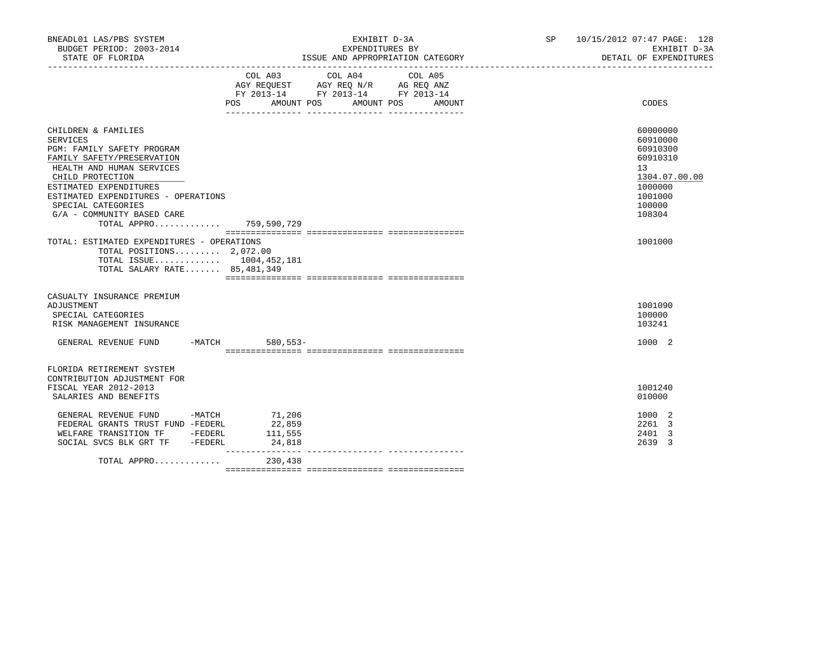| BNEADL01 LAS/PBS SYSTEM<br>BUDGET PERIOD: 2003-2014                                                                                                                                                                                                                                                 |                             | EXHIBIT D-3A<br>EXPENDITURES BY                                                                                                     | SP 10/15/2012 07:47 PAGE: 128<br>EXHIBIT D-3A<br>DETAIL OF EXPENDITURES                                       |  |
|-----------------------------------------------------------------------------------------------------------------------------------------------------------------------------------------------------------------------------------------------------------------------------------------------------|-----------------------------|-------------------------------------------------------------------------------------------------------------------------------------|---------------------------------------------------------------------------------------------------------------|--|
|                                                                                                                                                                                                                                                                                                     | COL A03                     | COL A04<br>COL A05<br>AGY REQUEST AGY REQ N/R AG REQ ANZ<br>FY 2013-14 FY 2013-14 FY 2013-14<br>POS AMOUNT POS AMOUNT POS<br>AMOUNT | CODES                                                                                                         |  |
| CHILDREN & FAMILIES<br><b>SERVICES</b><br>PGM: FAMILY SAFETY PROGRAM<br>FAMILY SAFETY/PRESERVATION<br>HEALTH AND HUMAN SERVICES<br>CHILD PROTECTION<br>ESTIMATED EXPENDITURES<br>ESTIMATED EXPENDITURES - OPERATIONS<br>SPECIAL CATEGORIES<br>G/A - COMMUNITY BASED CARE<br>TOTAL APPRO 759,590,729 |                             |                                                                                                                                     | 60000000<br>60910000<br>60910300<br>60910310<br>13<br>1304.07.00.00<br>1000000<br>1001000<br>100000<br>108304 |  |
| TOTAL: ESTIMATED EXPENDITURES - OPERATIONS<br>TOTAL POSITIONS 2,072.00<br>TOTAL ISSUE 1004,452,181<br>TOTAL SALARY RATE 85, 481, 349                                                                                                                                                                |                             |                                                                                                                                     | 1001000                                                                                                       |  |
| CASUALTY INSURANCE PREMIUM<br>ADJUSTMENT<br>SPECIAL CATEGORIES<br>RISK MANAGEMENT INSURANCE<br>GENERAL REVENUE FUND -MATCH 580,553-                                                                                                                                                                 |                             |                                                                                                                                     | 1001090<br>100000<br>103241<br>1000 2                                                                         |  |
| FLORIDA RETIREMENT SYSTEM<br>CONTRIBUTION ADJUSTMENT FOR<br>FISCAL YEAR 2012-2013<br>SALARIES AND BENEFITS                                                                                                                                                                                          |                             |                                                                                                                                     | 1001240<br>010000                                                                                             |  |
| GENERAL REVENUE FUND -MATCH 71,206<br>FEDERAL GRANTS TRUST FUND -FEDERL<br>WELFARE TRANSITION TF -FEDERL<br>SOCIAL SVCS BLK GRT TF -FEDERL                                                                                                                                                          | 22,859<br>111,555<br>24,818 |                                                                                                                                     | 1000 2<br>2261 3<br>2401 3<br>2639 3                                                                          |  |
| TOTAL APPRO $230,438$                                                                                                                                                                                                                                                                               |                             |                                                                                                                                     |                                                                                                               |  |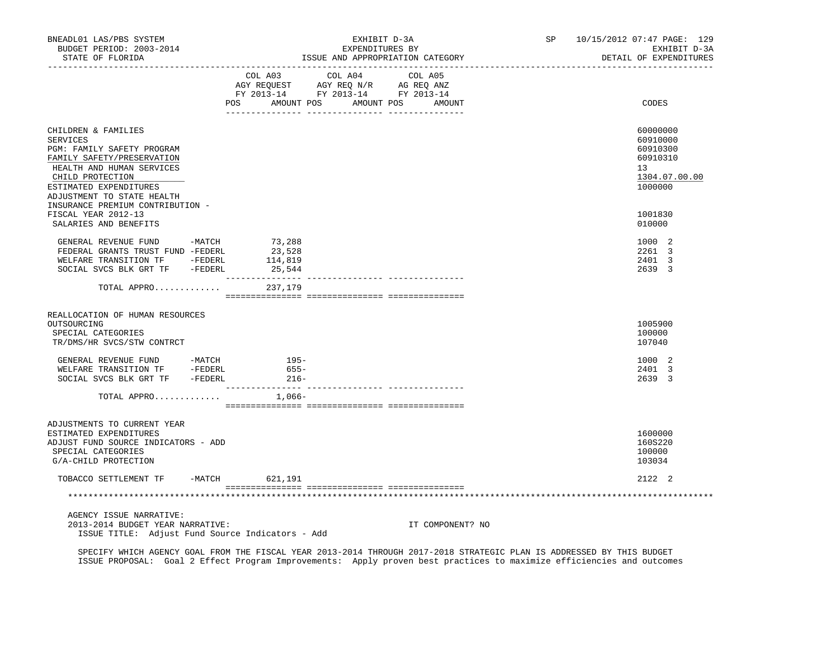| BNEADL01 LAS/PBS SYSTEM<br>BUDGET PERIOD: 2003-2014<br>STATE OF FLORIDA<br>__________________                                                                                                               | -------------- |                                                                                                                                                                                                                        | EXHIBIT D-3A<br>EXPENDITURES BY | ISSUE AND APPROPRIATION CATEGORY |  | SP 10/15/2012 07:47 PAGE: 129<br>EXHIBIT D-3A<br>DETAIL OF EXPENDITURES        |
|-------------------------------------------------------------------------------------------------------------------------------------------------------------------------------------------------------------|----------------|------------------------------------------------------------------------------------------------------------------------------------------------------------------------------------------------------------------------|---------------------------------|----------------------------------|--|--------------------------------------------------------------------------------|
|                                                                                                                                                                                                             |                | $\begin{tabular}{lllllll} \bf AGY \;\; RegUEST & \tt AGY \;\; REG \;\; N/R & \tt AG \;\; REG \;\; ANZ \\ \hline \tt FY \;\; 2013-14 & \tt FY \;\; 2013-14 & \tt FY \;\; 2013-14 \\ \end{tabular}$<br>AMOUNT POS<br>POS | COL A03 COL A04 COL A05         | AMOUNT POS<br>AMOUNT             |  | CODES                                                                          |
| CHILDREN & FAMILIES<br><b>SERVICES</b><br>PGM: FAMILY SAFETY PROGRAM<br>FAMILY SAFETY/PRESERVATION<br>HEALTH AND HUMAN SERVICES<br>CHILD PROTECTION<br>ESTIMATED EXPENDITURES<br>ADJUSTMENT TO STATE HEALTH |                |                                                                                                                                                                                                                        |                                 |                                  |  | 60000000<br>60910000<br>60910300<br>60910310<br>13<br>1304.07.00.00<br>1000000 |
| INSURANCE PREMIUM CONTRIBUTION -<br>FISCAL YEAR 2012-13<br>SALARIES AND BENEFITS                                                                                                                            |                |                                                                                                                                                                                                                        |                                 |                                  |  | 1001830<br>010000                                                              |
| GENERAL REVENUE FUND -MATCH 73,288<br>FEDERAL GRANTS TRUST FUND -FEDERL<br>WELFARE TRANSITION TF -FEDERL<br>SOCIAL SVCS BLK GRT TF -FEDERL                                                                  |                | 23,528<br>114,819<br>25,544                                                                                                                                                                                            |                                 |                                  |  | 1000 2<br>2261 3<br>2401 3<br>2639 3                                           |
| TOTAL APPRO                                                                                                                                                                                                 |                | 237,179                                                                                                                                                                                                                |                                 |                                  |  |                                                                                |
| REALLOCATION OF HUMAN RESOURCES<br>OUTSOURCING<br>SPECIAL CATEGORIES<br>TR/DMS/HR SVCS/STW CONTRCT                                                                                                          |                |                                                                                                                                                                                                                        |                                 |                                  |  | 1005900<br>100000<br>107040                                                    |
| SOCIAL SVCS BLK GRT TF -FEDERL                                                                                                                                                                              |                | $216-$                                                                                                                                                                                                                 |                                 |                                  |  | 1000 2<br>2401 3<br>2639 3                                                     |
| TOTAL APPRO                                                                                                                                                                                                 |                | 1,066-                                                                                                                                                                                                                 |                                 |                                  |  |                                                                                |
| ADJUSTMENTS TO CURRENT YEAR<br>ESTIMATED EXPENDITURES<br>ADJUST FUND SOURCE INDICATORS - ADD<br>SPECIAL CATEGORIES<br>G/A-CHILD PROTECTION                                                                  |                |                                                                                                                                                                                                                        |                                 |                                  |  | 1600000<br>160S220<br>100000<br>103034                                         |
| TOBACCO SETTLEMENT TF -MATCH 621,191                                                                                                                                                                        |                |                                                                                                                                                                                                                        |                                 |                                  |  | 2122 2                                                                         |
|                                                                                                                                                                                                             |                |                                                                                                                                                                                                                        |                                 |                                  |  |                                                                                |
| AGENCY ISSUE NARRATIVE:<br>2013-2014 BUDGET YEAR NARRATIVE:<br>ISSUE TITLE: Adjust Fund Source Indicators - Add                                                                                             |                |                                                                                                                                                                                                                        |                                 | IT COMPONENT? NO                 |  |                                                                                |

 SPECIFY WHICH AGENCY GOAL FROM THE FISCAL YEAR 2013-2014 THROUGH 2017-2018 STRATEGIC PLAN IS ADDRESSED BY THIS BUDGET ISSUE PROPOSAL: Goal 2 Effect Program Improvements: Apply proven best practices to maximize efficiencies and outcomes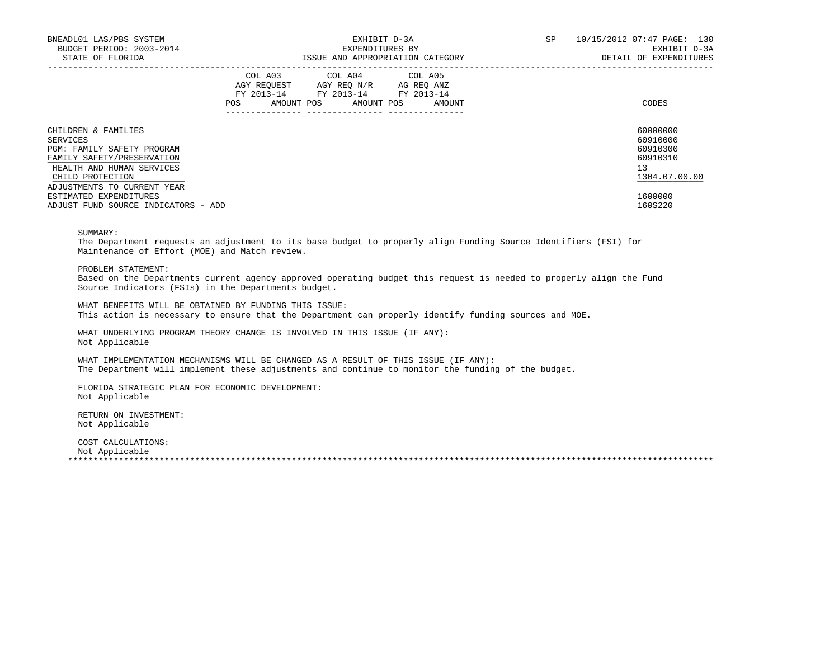| BNEADL01 LAS/PBS SYSTEM<br>BUDGET PERIOD: 2003-2014<br>STATE OF FLORIDA |            | EXHIBIT D-3A<br>EXPENDITURES BY<br>ISSUE AND APPROPRIATION CATEGORY |                                                                                                   |  |  |                              |  | SP | 10/15/2012 07:47 PAGE: 130<br>EXHIBIT D-3A<br>DETAIL OF EXPENDITURES |
|-------------------------------------------------------------------------|------------|---------------------------------------------------------------------|---------------------------------------------------------------------------------------------------|--|--|------------------------------|--|----|----------------------------------------------------------------------|
|                                                                         | <b>POS</b> |                                                                     | COL A03 COL A04 COL A05<br>AGY REQUEST AGY REQ N/R AG REQ ANZ<br>FY 2013-14 FY 2013-14 FY 2013-14 |  |  | AMOUNT POS AMOUNT POS AMOUNT |  |    | CODES                                                                |
| CHILDREN & FAMILIES<br>SERVICES                                         |            |                                                                     |                                                                                                   |  |  |                              |  |    | 60000000<br>60910000                                                 |
| <b>PGM: FAMILY SAFETY PROGRAM</b>                                       |            |                                                                     |                                                                                                   |  |  |                              |  |    | 60910300                                                             |
| FAMILY SAFETY/PRESERVATION                                              |            |                                                                     |                                                                                                   |  |  |                              |  |    | 60910310                                                             |
| HEALTH AND HUMAN SERVICES                                               |            |                                                                     |                                                                                                   |  |  |                              |  |    | 13                                                                   |
| CHILD PROTECTION                                                        |            |                                                                     |                                                                                                   |  |  |                              |  |    | 1304.07.00.00                                                        |
| ADJUSTMENTS TO CURRENT YEAR                                             |            |                                                                     |                                                                                                   |  |  |                              |  |    |                                                                      |
| ESTIMATED EXPENDITURES                                                  |            |                                                                     |                                                                                                   |  |  |                              |  |    | 1600000                                                              |
| ADJUST FUND SOURCE INDICATORS - ADD                                     |            |                                                                     |                                                                                                   |  |  |                              |  |    | 160S220                                                              |

## SUMMARY:

 The Department requests an adjustment to its base budget to properly align Funding Source Identifiers (FSI) for Maintenance of Effort (MOE) and Match review.

PROBLEM STATEMENT:

 Based on the Departments current agency approved operating budget this request is needed to properly align the Fund Source Indicators (FSIs) in the Departments budget.

 WHAT BENEFITS WILL BE OBTAINED BY FUNDING THIS ISSUE: This action is necessary to ensure that the Department can properly identify funding sources and MOE.

 WHAT UNDERLYING PROGRAM THEORY CHANGE IS INVOLVED IN THIS ISSUE (IF ANY): Not Applicable

 WHAT IMPLEMENTATION MECHANISMS WILL BE CHANGED AS A RESULT OF THIS ISSUE (IF ANY): The Department will implement these adjustments and continue to monitor the funding of the budget.

 FLORIDA STRATEGIC PLAN FOR ECONOMIC DEVELOPMENT: Not Applicable

 RETURN ON INVESTMENT: Not Applicable

 COST CALCULATIONS: Not Applicable<br>\*\*\*\*\*\*\*\*\*\*\*\*\*\*\*\*\*\*\* \*\*\*\*\*\*\*\*\*\*\*\*\*\*\*\*\*\*\*\*\*\*\*\*\*\*\*\*\*\*\*\*\*\*\*\*\*\*\*\*\*\*\*\*\*\*\*\*\*\*\*\*\*\*\*\*\*\*\*\*\*\*\*\*\*\*\*\*\*\*\*\*\*\*\*\*\*\*\*\*\*\*\*\*\*\*\*\*\*\*\*\*\*\*\*\*\*\*\*\*\*\*\*\*\*\*\*\*\*\*\*\*\*\*\*\*\*\*\*\*\*\*\*\*\*\*\*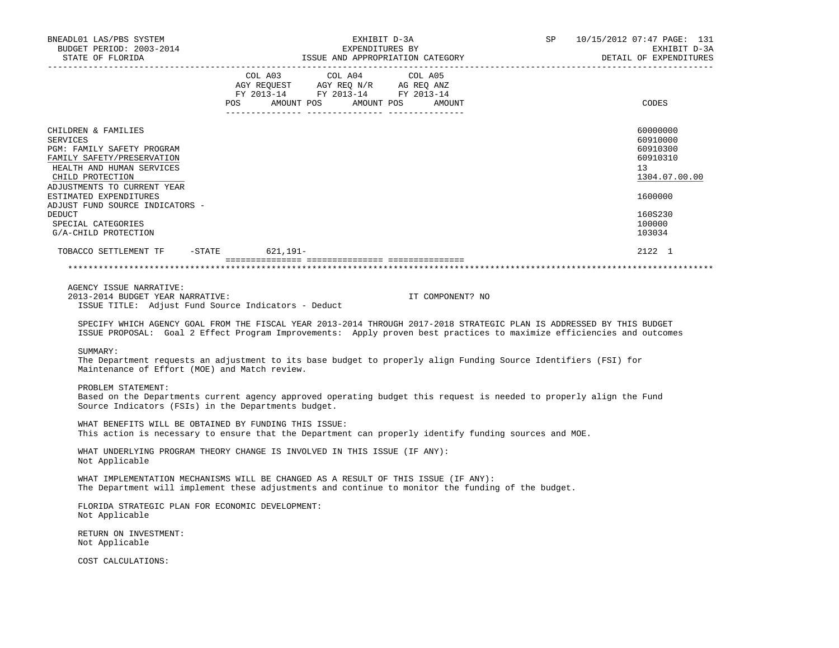| BNEADL01 LAS/PBS SYSTEM<br>BUDGET PERIOD: 2003-2014                                                                                                                                                                                                                                              |                                                                                           | EXPENDITURES BY | EXHIBIT D-3A                                |                                  | SP 10/15/2012 07:47 PAGE: 131<br>EXHIBIT D-3A                                                                                                                                                                                                  |
|--------------------------------------------------------------------------------------------------------------------------------------------------------------------------------------------------------------------------------------------------------------------------------------------------|-------------------------------------------------------------------------------------------|-----------------|---------------------------------------------|----------------------------------|------------------------------------------------------------------------------------------------------------------------------------------------------------------------------------------------------------------------------------------------|
| STATE OF FLORIDA                                                                                                                                                                                                                                                                                 |                                                                                           |                 |                                             | ISSUE AND APPROPRIATION CATEGORY | DETAIL OF EXPENDITURES                                                                                                                                                                                                                         |
|                                                                                                                                                                                                                                                                                                  | COL A03 COL A04<br>AGY REQUEST AGY REQ N/R AG REQ ANZ<br>FY 2013-14 FY 2013-14 FY 2013-14 |                 | COL A05<br>POS AMOUNT POS AMOUNT POS AMOUNT |                                  | CODES                                                                                                                                                                                                                                          |
| CHILDREN & FAMILIES<br>SERVICES<br>PGM: FAMILY SAFETY PROGRAM<br>FAMILY SAFETY/PRESERVATION<br>HEALTH AND HUMAN SERVICES<br>CHILD PROTECTION<br>ADJUSTMENTS TO CURRENT YEAR<br>ESTIMATED EXPENDITURES<br>ADJUST FUND SOURCE INDICATORS -<br>DEDUCT<br>SPECIAL CATEGORIES<br>G/A-CHILD PROTECTION |                                                                                           |                 |                                             |                                  | 60000000<br>60910000<br>60910300<br>60910310<br>13<br>1304.07.00.00<br>1600000<br>160S230<br>100000<br>103034                                                                                                                                  |
| TOBACCO SETTLEMENT TF -STATE 621,191-                                                                                                                                                                                                                                                            |                                                                                           |                 |                                             |                                  | 2122 1                                                                                                                                                                                                                                         |
|                                                                                                                                                                                                                                                                                                  |                                                                                           |                 |                                             |                                  |                                                                                                                                                                                                                                                |
|                                                                                                                                                                                                                                                                                                  |                                                                                           |                 |                                             |                                  |                                                                                                                                                                                                                                                |
| AGENCY ISSUE NARRATIVE:<br>2013-2014 BUDGET YEAR NARRATIVE:<br>ISSUE TITLE: Adjust Fund Source Indicators - Deduct                                                                                                                                                                               |                                                                                           |                 | IT COMPONENT? NO                            |                                  | SPECIFY WHICH AGENCY GOAL FROM THE FISCAL YEAR 2013-2014 THROUGH 2017-2018 STRATEGIC PLAN IS ADDRESSED BY THIS BUDGET<br>ISSUE PROPOSAL: Goal 2 Effect Program Improvements: Apply proven best practices to maximize efficiencies and outcomes |
| SUMMARY:<br>The Department requests an adjustment to its base budget to properly align Funding Source Identifiers (FSI) for<br>Maintenance of Effort (MOE) and Match review.                                                                                                                     |                                                                                           |                 |                                             |                                  |                                                                                                                                                                                                                                                |
| PROBLEM STATEMENT:<br>Based on the Departments current agency approved operating budget this request is needed to properly align the Fund<br>Source Indicators (FSIs) in the Departments budget.                                                                                                 |                                                                                           |                 |                                             |                                  |                                                                                                                                                                                                                                                |
| WHAT BENEFITS WILL BE OBTAINED BY FUNDING THIS ISSUE:<br>This action is necessary to ensure that the Department can properly identify funding sources and MOE.                                                                                                                                   |                                                                                           |                 |                                             |                                  |                                                                                                                                                                                                                                                |
| WHAT UNDERLYING PROGRAM THEORY CHANGE IS INVOLVED IN THIS ISSUE (IF ANY):<br>Not Applicable                                                                                                                                                                                                      |                                                                                           |                 |                                             |                                  |                                                                                                                                                                                                                                                |
| WHAT IMPLEMENTATION MECHANISMS WILL BE CHANGED AS A RESULT OF THIS ISSUE (IF ANY):<br>The Department will implement these adjustments and continue to monitor the funding of the budget.                                                                                                         |                                                                                           |                 |                                             |                                  |                                                                                                                                                                                                                                                |
| FLORIDA STRATEGIC PLAN FOR ECONOMIC DEVELOPMENT:<br>Not Applicable                                                                                                                                                                                                                               |                                                                                           |                 |                                             |                                  |                                                                                                                                                                                                                                                |
| RETURN ON INVESTMENT:<br>Not Applicable                                                                                                                                                                                                                                                          |                                                                                           |                 |                                             |                                  |                                                                                                                                                                                                                                                |
| COST CALCULATIONS:                                                                                                                                                                                                                                                                               |                                                                                           |                 |                                             |                                  |                                                                                                                                                                                                                                                |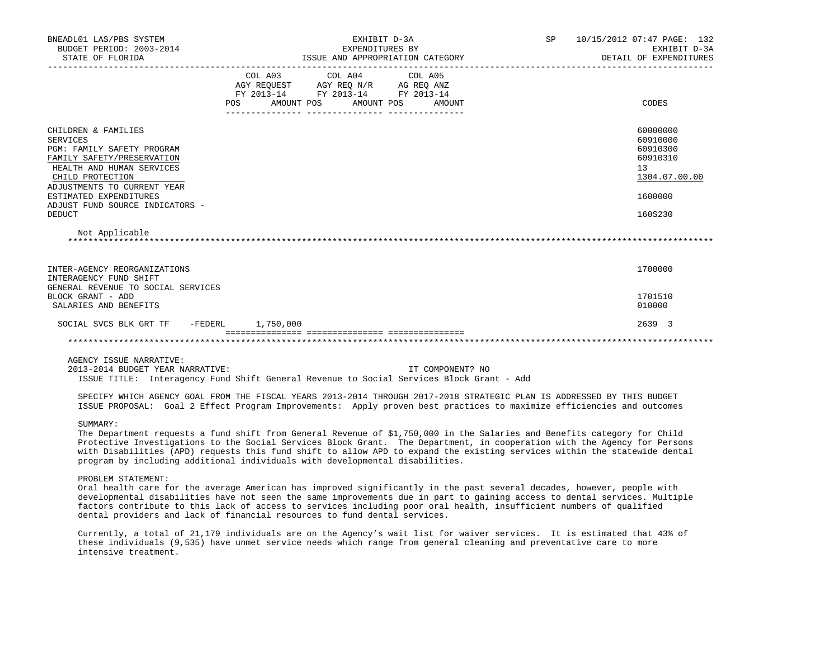| BNEADL01 LAS/PBS SYSTEM<br>BUDGET PERIOD: 2003-2014<br>STATE OF FLORIDA                                                                                                                                                                                                                                                                                                                                                                                                                             | EXHIBIT D-3A<br>EXPENDITURES BY<br>ISSUE AND APPROPRIATION CATEGORY |                                                                                                                                       |  |  |  |                  | SP 10/15/2012 07:47 PAGE: 132 | EXHIBIT D-3A<br>DETAIL OF EXPENDITURES                                           |
|-----------------------------------------------------------------------------------------------------------------------------------------------------------------------------------------------------------------------------------------------------------------------------------------------------------------------------------------------------------------------------------------------------------------------------------------------------------------------------------------------------|---------------------------------------------------------------------|---------------------------------------------------------------------------------------------------------------------------------------|--|--|--|------------------|-------------------------------|----------------------------------------------------------------------------------|
|                                                                                                                                                                                                                                                                                                                                                                                                                                                                                                     |                                                                     | COL A03 COL A04 COL A05<br>AGY REQUEST AGY REQ N/R AG REQ ANZ<br>FY 2013-14 FY 2013-14 FY 2013-14<br>POS AMOUNT POS AMOUNT POS AMOUNT |  |  |  |                  |                               | CODES                                                                            |
| CHILDREN & FAMILIES<br><b>SERVICES</b><br>PGM: FAMILY SAFETY PROGRAM<br>FAMILY SAFETY/PRESERVATION<br>HEALTH AND HUMAN SERVICES<br>CHILD PROTECTION                                                                                                                                                                                                                                                                                                                                                 |                                                                     |                                                                                                                                       |  |  |  |                  |                               | 60000000<br>60910000<br>60910300<br>60910310<br>13 <sup>°</sup><br>1304.07.00.00 |
| ADJUSTMENTS TO CURRENT YEAR<br>ESTIMATED EXPENDITURES<br>ADJUST FUND SOURCE INDICATORS -<br><b>DEDUCT</b>                                                                                                                                                                                                                                                                                                                                                                                           |                                                                     |                                                                                                                                       |  |  |  |                  |                               | 1600000<br>160S230                                                               |
| Not Applicable                                                                                                                                                                                                                                                                                                                                                                                                                                                                                      |                                                                     |                                                                                                                                       |  |  |  |                  |                               |                                                                                  |
| INTER-AGENCY REORGANIZATIONS<br>INTERAGENCY FUND SHIFT<br>GENERAL REVENUE TO SOCIAL SERVICES<br>BLOCK GRANT - ADD                                                                                                                                                                                                                                                                                                                                                                                   |                                                                     |                                                                                                                                       |  |  |  |                  |                               | 1700000<br>1701510                                                               |
| SALARIES AND BENEFITS<br>SOCIAL SVCS BLK GRT TF - FEDERL 1,750,000                                                                                                                                                                                                                                                                                                                                                                                                                                  |                                                                     |                                                                                                                                       |  |  |  |                  |                               | 010000<br>2639 3                                                                 |
|                                                                                                                                                                                                                                                                                                                                                                                                                                                                                                     |                                                                     |                                                                                                                                       |  |  |  |                  |                               |                                                                                  |
| AGENCY ISSUE NARRATIVE:<br>2013-2014 BUDGET YEAR NARRATIVE:<br>ISSUE TITLE: Interagency Fund Shift General Revenue to Social Services Block Grant - Add<br>SPECIFY WHICH AGENCY GOAL FROM THE FISCAL YEARS 2013-2014 THROUGH 2017-2018 STRATEGIC PLAN IS ADDRESSED BY THIS BUDGET<br>ISSUE PROPOSAL: Goal 2 Effect Program Improvements: Apply proven best practices to maximize efficiencies and outcomes                                                                                          |                                                                     |                                                                                                                                       |  |  |  | IT COMPONENT? NO |                               |                                                                                  |
| SUMMARY:<br>The Department requests a fund shift from General Revenue of \$1,750,000 in the Salaries and Benefits category for Child<br>Protective Investigations to the Social Services Block Grant. The Department, in cooperation with the Agency for Persons<br>with Disabilities (APD) requests this fund shift to allow APD to expand the existing services within the statewide dental<br>program by including additional individuals with developmental disabilities.<br>PROBLEM STATEMENT: |                                                                     |                                                                                                                                       |  |  |  |                  |                               |                                                                                  |

 Oral health care for the average American has improved significantly in the past several decades, however, people with developmental disabilities have not seen the same improvements due in part to gaining access to dental services. Multiple factors contribute to this lack of access to services including poor oral health, insufficient numbers of qualified dental providers and lack of financial resources to fund dental services.

 Currently, a total of 21,179 individuals are on the Agency's wait list for waiver services. It is estimated that 43% of these individuals (9,535) have unmet service needs which range from general cleaning and preventative care to more intensive treatment.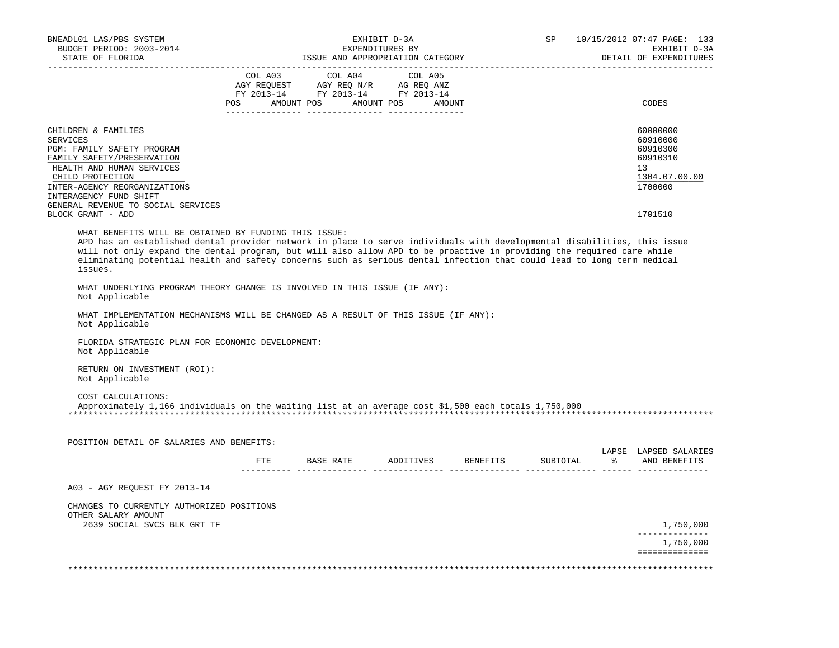| BUDGET PERIOD: 2003-2014<br>STATE OF FLORIDA                                                                               |         | EXHIBIT D-3A<br>EXPENDITURES BY<br>ISSUE AND APPROPRIATION CATEGORY                                                                                                                                                                                  |                 | SP       |          | 10/15/2012 07:47 PAGE: 133<br>EXHIBIT D-3A<br>DETAIL OF EXPENDITURES |                                                      |
|----------------------------------------------------------------------------------------------------------------------------|---------|------------------------------------------------------------------------------------------------------------------------------------------------------------------------------------------------------------------------------------------------------|-----------------|----------|----------|----------------------------------------------------------------------|------------------------------------------------------|
|                                                                                                                            |         |                                                                                                                                                                                                                                                      |                 |          |          |                                                                      |                                                      |
|                                                                                                                            | COL A03 | COL A04                                                                                                                                                                                                                                              | COL A05         |          |          |                                                                      |                                                      |
|                                                                                                                            |         | $\begin{tabular}{lllllll} \bf AGY \,\, &\bf REGUEST \,\, &\bf AGY \,\, &\bf REQ \,\, &\bf N/R \,\, &\bf AG \,\, &\bf REQ \,\, &\bf ANZ \,\, \\ \bf FY \,\, &\bf 2013-14 \,\, &\bf FY \,\, &\bf 2013-14 \,\, &\bf FY \,\, &\bf 2013-14 \end{tabular}$ |                 |          |          |                                                                      |                                                      |
|                                                                                                                            |         | POS AMOUNT POS AMOUNT POS AMOUNT                                                                                                                                                                                                                     | -------- ------ |          |          |                                                                      | CODES                                                |
|                                                                                                                            |         |                                                                                                                                                                                                                                                      |                 |          |          |                                                                      |                                                      |
| CHILDREN & FAMILIES<br>SERVICES                                                                                            |         |                                                                                                                                                                                                                                                      |                 |          |          |                                                                      | 60000000<br>60910000                                 |
| PGM: FAMILY SAFETY PROGRAM                                                                                                 |         |                                                                                                                                                                                                                                                      |                 |          |          |                                                                      | 60910300                                             |
| FAMILY SAFETY/PRESERVATION                                                                                                 |         |                                                                                                                                                                                                                                                      |                 |          |          |                                                                      | 60910310                                             |
| HEALTH AND HUMAN SERVICES                                                                                                  |         |                                                                                                                                                                                                                                                      |                 |          |          |                                                                      | 13                                                   |
| CHILD PROTECTION                                                                                                           |         |                                                                                                                                                                                                                                                      |                 |          |          |                                                                      | 1304.07.00.00                                        |
| INTER-AGENCY REORGANIZATIONS                                                                                               |         |                                                                                                                                                                                                                                                      |                 |          |          |                                                                      | 1700000                                              |
| INTERAGENCY FUND SHIFT<br>GENERAL REVENUE TO SOCIAL SERVICES                                                               |         |                                                                                                                                                                                                                                                      |                 |          |          |                                                                      |                                                      |
| BLOCK GRANT - ADD                                                                                                          |         |                                                                                                                                                                                                                                                      |                 |          |          |                                                                      | 1701510                                              |
| WHAT BENEFITS WILL BE OBTAINED BY FUNDING THIS ISSUE:                                                                      |         |                                                                                                                                                                                                                                                      |                 |          |          |                                                                      |                                                      |
| APD has an established dental provider network in place to serve individuals with developmental disabilities, this issue   |         |                                                                                                                                                                                                                                                      |                 |          |          |                                                                      |                                                      |
| will not only expand the dental program, but will also allow APD to be proactive in providing the required care while      |         |                                                                                                                                                                                                                                                      |                 |          |          |                                                                      |                                                      |
| eliminating potential health and safety concerns such as serious dental infection that could lead to long term medical     |         |                                                                                                                                                                                                                                                      |                 |          |          |                                                                      |                                                      |
| issues.                                                                                                                    |         |                                                                                                                                                                                                                                                      |                 |          |          |                                                                      |                                                      |
| WHAT UNDERLYING PROGRAM THEORY CHANGE IS INVOLVED IN THIS ISSUE (IF ANY):<br>Not Applicable                                |         |                                                                                                                                                                                                                                                      |                 |          |          |                                                                      |                                                      |
|                                                                                                                            |         |                                                                                                                                                                                                                                                      |                 |          |          |                                                                      |                                                      |
| WHAT IMPLEMENTATION MECHANISMS WILL BE CHANGED AS A RESULT OF THIS ISSUE (IF ANY):<br>Not Applicable                       |         |                                                                                                                                                                                                                                                      |                 |          |          |                                                                      |                                                      |
| FLORIDA STRATEGIC PLAN FOR ECONOMIC DEVELOPMENT:<br>Not Applicable                                                         |         |                                                                                                                                                                                                                                                      |                 |          |          |                                                                      |                                                      |
| RETURN ON INVESTMENT (ROI):<br>Not Applicable                                                                              |         |                                                                                                                                                                                                                                                      |                 |          |          |                                                                      |                                                      |
|                                                                                                                            |         |                                                                                                                                                                                                                                                      |                 |          |          |                                                                      |                                                      |
| COST CALCULATIONS:<br>Approximately 1,166 individuals on the waiting list at an average cost \$1,500 each totals 1,750,000 |         |                                                                                                                                                                                                                                                      |                 |          |          |                                                                      |                                                      |
|                                                                                                                            |         |                                                                                                                                                                                                                                                      |                 |          |          |                                                                      |                                                      |
| POSITION DETAIL OF SALARIES AND BENEFITS:                                                                                  |         |                                                                                                                                                                                                                                                      |                 |          |          |                                                                      |                                                      |
|                                                                                                                            |         |                                                                                                                                                                                                                                                      |                 |          |          |                                                                      |                                                      |
|                                                                                                                            | ETE     | <b>BASE RATE</b>                                                                                                                                                                                                                                     | ADDITIVES       | BENEFITS | SUBTOTAL | ိ                                                                    | AND BENEFITS                                         |
| A03 - AGY REOUEST FY 2013-14                                                                                               |         |                                                                                                                                                                                                                                                      |                 |          |          |                                                                      |                                                      |
| CHANGES TO CURRENTLY AUTHORIZED POSITIONS                                                                                  |         |                                                                                                                                                                                                                                                      |                 |          |          |                                                                      |                                                      |
| OTHER SALARY AMOUNT                                                                                                        |         |                                                                                                                                                                                                                                                      |                 |          |          |                                                                      |                                                      |
| 2639 SOCIAL SVCS BLK GRT TF                                                                                                |         |                                                                                                                                                                                                                                                      |                 |          |          |                                                                      | 1,750,000                                            |
|                                                                                                                            |         |                                                                                                                                                                                                                                                      |                 |          |          |                                                                      | LAPSE LAPSED SALARIES<br>--------------<br>1,750,000 |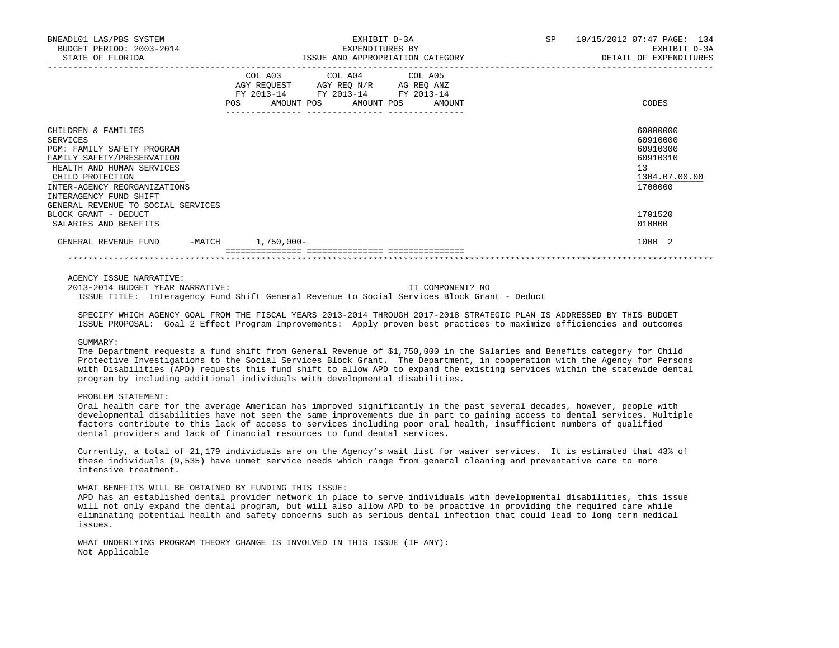| BNEADL01 LAS/PBS SYSTEM<br>BUDGET PERIOD: 2003-2014 | EXHIBIT D-3A<br>EXPENDITURES BY                                                                                                                                                             | SP<br>10/15/2012 07:47 PAGE: 134<br>EXHIBIT D-3A |  |  |  |
|-----------------------------------------------------|---------------------------------------------------------------------------------------------------------------------------------------------------------------------------------------------|--------------------------------------------------|--|--|--|
| STATE OF FLORIDA                                    | ISSUE AND APPROPRIATION CATEGORY                                                                                                                                                            | DETAIL OF EXPENDITURES                           |  |  |  |
|                                                     | COL A03 COL A04 COL A05<br>AGY REQUEST AGY REO N/R AG REO ANZ<br>FY 2013-14 FY 2013-14 FY 2013-14<br><b>POS</b><br>AMOUNT POS AMOUNT POS<br>AMOUNT<br>_____________________________________ | CODES                                            |  |  |  |
| CHILDREN & FAMILIES                                 |                                                                                                                                                                                             | 60000000                                         |  |  |  |
| SERVICES                                            |                                                                                                                                                                                             | 60910000                                         |  |  |  |
| PGM: FAMILY SAFETY PROGRAM                          |                                                                                                                                                                                             | 60910300                                         |  |  |  |
| FAMILY SAFETY/PRESERVATION                          |                                                                                                                                                                                             | 60910310                                         |  |  |  |
| HEALTH AND HUMAN SERVICES                           |                                                                                                                                                                                             | 13                                               |  |  |  |
| CHILD PROTECTION                                    |                                                                                                                                                                                             | 1304.07.00.00                                    |  |  |  |
| INTER-AGENCY REORGANIZATIONS                        |                                                                                                                                                                                             | 1700000                                          |  |  |  |
| INTERAGENCY FUND SHIFT                              |                                                                                                                                                                                             |                                                  |  |  |  |
| GENERAL REVENUE TO SOCIAL SERVICES                  |                                                                                                                                                                                             |                                                  |  |  |  |
| BLOCK GRANT - DEDUCT                                |                                                                                                                                                                                             | 1701520                                          |  |  |  |
| SALARIES AND BENEFITS                               |                                                                                                                                                                                             | 010000                                           |  |  |  |
| GENERAL REVENUE FUND                                | -MATCH 1,750,000-                                                                                                                                                                           | 1000 2                                           |  |  |  |
|                                                     |                                                                                                                                                                                             |                                                  |  |  |  |

AGENCY ISSUE NARRATIVE:

 2013-2014 BUDGET YEAR NARRATIVE: IT COMPONENT? NO ISSUE TITLE: Interagency Fund Shift General Revenue to Social Services Block Grant - Deduct

 SPECIFY WHICH AGENCY GOAL FROM THE FISCAL YEARS 2013-2014 THROUGH 2017-2018 STRATEGIC PLAN IS ADDRESSED BY THIS BUDGET ISSUE PROPOSAL: Goal 2 Effect Program Improvements: Apply proven best practices to maximize efficiencies and outcomes

#### SUMMARY:

 The Department requests a fund shift from General Revenue of \$1,750,000 in the Salaries and Benefits category for Child Protective Investigations to the Social Services Block Grant. The Department, in cooperation with the Agency for Persons with Disabilities (APD) requests this fund shift to allow APD to expand the existing services within the statewide dental program by including additional individuals with developmental disabilities.

## PROBLEM STATEMENT:

 Oral health care for the average American has improved significantly in the past several decades, however, people with developmental disabilities have not seen the same improvements due in part to gaining access to dental services. Multiple factors contribute to this lack of access to services including poor oral health, insufficient numbers of qualified dental providers and lack of financial resources to fund dental services.

 Currently, a total of 21,179 individuals are on the Agency's wait list for waiver services. It is estimated that 43% of these individuals (9,535) have unmet service needs which range from general cleaning and preventative care to more intensive treatment.

# WHAT BENEFITS WILL BE OBTAINED BY FUNDING THIS ISSUE:

 APD has an established dental provider network in place to serve individuals with developmental disabilities, this issue will not only expand the dental program, but will also allow APD to be proactive in providing the required care while eliminating potential health and safety concerns such as serious dental infection that could lead to long term medical issues.

 WHAT UNDERLYING PROGRAM THEORY CHANGE IS INVOLVED IN THIS ISSUE (IF ANY): Not Applicable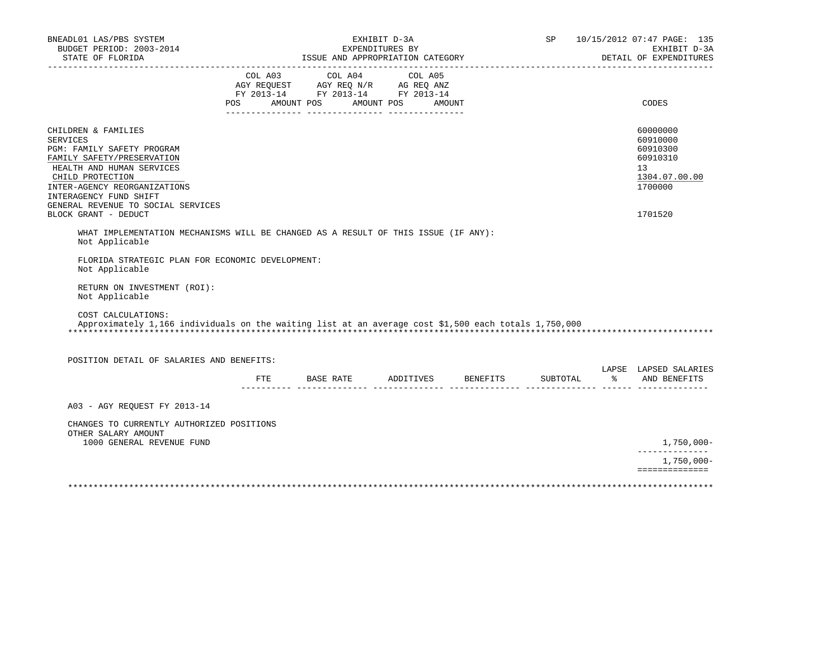| ISSUE AND APPROPRIATION CATEGORY<br>STATE OF FLORIDA<br>COL A03 COL A04<br>COL A05<br>AGY REQUEST AGY REQ N/R AG REQ ANZ<br>FY 2013-14 FY 2013-14 FY 2013-14<br>POS AMOUNT POS AMOUNT POS AMOUNT<br>CODES<br>CHILDREN & FAMILIES<br>60000000<br><b>SERVICES</b><br>60910000<br>PGM: FAMILY SAFETY PROGRAM<br>60910300<br>FAMILY SAFETY/PRESERVATION<br>60910310<br>HEALTH AND HUMAN SERVICES<br>13<br>CHILD PROTECTION<br>1304.07.00.00<br>INTER-AGENCY REORGANIZATIONS<br>1700000<br>INTERAGENCY FUND SHIFT<br>GENERAL REVENUE TO SOCIAL SERVICES<br>BLOCK GRANT - DEDUCT<br>1701520<br>WHAT IMPLEMENTATION MECHANISMS WILL BE CHANGED AS A RESULT OF THIS ISSUE (IF ANY):<br>Not Applicable<br>FLORIDA STRATEGIC PLAN FOR ECONOMIC DEVELOPMENT:<br>Not Applicable | SP 10/15/2012 07:47 PAGE: 135<br>EXHIBIT D-3A<br>DETAIL OF EXPENDITURES |
|---------------------------------------------------------------------------------------------------------------------------------------------------------------------------------------------------------------------------------------------------------------------------------------------------------------------------------------------------------------------------------------------------------------------------------------------------------------------------------------------------------------------------------------------------------------------------------------------------------------------------------------------------------------------------------------------------------------------------------------------------------------------|-------------------------------------------------------------------------|
|                                                                                                                                                                                                                                                                                                                                                                                                                                                                                                                                                                                                                                                                                                                                                                     |                                                                         |
|                                                                                                                                                                                                                                                                                                                                                                                                                                                                                                                                                                                                                                                                                                                                                                     |                                                                         |
|                                                                                                                                                                                                                                                                                                                                                                                                                                                                                                                                                                                                                                                                                                                                                                     |                                                                         |
|                                                                                                                                                                                                                                                                                                                                                                                                                                                                                                                                                                                                                                                                                                                                                                     |                                                                         |
|                                                                                                                                                                                                                                                                                                                                                                                                                                                                                                                                                                                                                                                                                                                                                                     |                                                                         |
|                                                                                                                                                                                                                                                                                                                                                                                                                                                                                                                                                                                                                                                                                                                                                                     |                                                                         |
|                                                                                                                                                                                                                                                                                                                                                                                                                                                                                                                                                                                                                                                                                                                                                                     |                                                                         |
|                                                                                                                                                                                                                                                                                                                                                                                                                                                                                                                                                                                                                                                                                                                                                                     |                                                                         |
|                                                                                                                                                                                                                                                                                                                                                                                                                                                                                                                                                                                                                                                                                                                                                                     |                                                                         |
|                                                                                                                                                                                                                                                                                                                                                                                                                                                                                                                                                                                                                                                                                                                                                                     |                                                                         |
|                                                                                                                                                                                                                                                                                                                                                                                                                                                                                                                                                                                                                                                                                                                                                                     |                                                                         |
|                                                                                                                                                                                                                                                                                                                                                                                                                                                                                                                                                                                                                                                                                                                                                                     |                                                                         |
|                                                                                                                                                                                                                                                                                                                                                                                                                                                                                                                                                                                                                                                                                                                                                                     |                                                                         |
|                                                                                                                                                                                                                                                                                                                                                                                                                                                                                                                                                                                                                                                                                                                                                                     |                                                                         |
|                                                                                                                                                                                                                                                                                                                                                                                                                                                                                                                                                                                                                                                                                                                                                                     |                                                                         |
| RETURN ON INVESTMENT (ROI):<br>Not Applicable                                                                                                                                                                                                                                                                                                                                                                                                                                                                                                                                                                                                                                                                                                                       |                                                                         |
| COST CALCULATIONS:<br>Approximately 1,166 individuals on the waiting list at an average cost \$1,500 each totals 1,750,000                                                                                                                                                                                                                                                                                                                                                                                                                                                                                                                                                                                                                                          |                                                                         |
|                                                                                                                                                                                                                                                                                                                                                                                                                                                                                                                                                                                                                                                                                                                                                                     |                                                                         |
| POSITION DETAIL OF SALARIES AND BENEFITS:                                                                                                                                                                                                                                                                                                                                                                                                                                                                                                                                                                                                                                                                                                                           |                                                                         |
| LAPSE LAPSED SALARIES<br>% AND BENEFITS<br>ADDITIVES BENEFITS<br>ETE<br>BASE RATE<br>SUBTOTAL                                                                                                                                                                                                                                                                                                                                                                                                                                                                                                                                                                                                                                                                       |                                                                         |
| A03 - AGY REQUEST FY 2013-14                                                                                                                                                                                                                                                                                                                                                                                                                                                                                                                                                                                                                                                                                                                                        |                                                                         |
|                                                                                                                                                                                                                                                                                                                                                                                                                                                                                                                                                                                                                                                                                                                                                                     |                                                                         |
| CHANGES TO CURRENTLY AUTHORIZED POSITIONS<br>OTHER SALARY AMOUNT                                                                                                                                                                                                                                                                                                                                                                                                                                                                                                                                                                                                                                                                                                    |                                                                         |
| 1000 GENERAL REVENUE FUND                                                                                                                                                                                                                                                                                                                                                                                                                                                                                                                                                                                                                                                                                                                                           | $1,750,000 -$                                                           |
| ==============                                                                                                                                                                                                                                                                                                                                                                                                                                                                                                                                                                                                                                                                                                                                                      | $1,750,000 -$                                                           |
|                                                                                                                                                                                                                                                                                                                                                                                                                                                                                                                                                                                                                                                                                                                                                                     |                                                                         |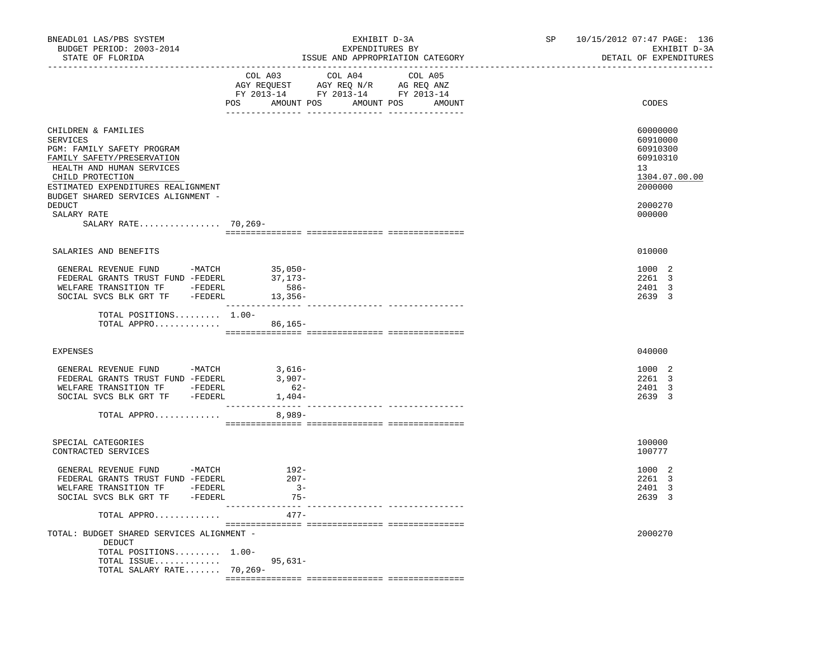| BNEADL01 LAS/PBS SYSTEM<br>BUDGET PERIOD: 2003-2014<br>STATE OF FLORIDA                                                                                                                                                                                         | EXHIBIT D-3A<br>EXPENDITURES BY<br>ISSUE AND APPROPRIATION CATEGORY                                                                            | 10/15/2012 07:47 PAGE: 136<br>SP<br>EXHIBIT D-3A<br>DETAIL OF EXPENDITURES                          |
|-----------------------------------------------------------------------------------------------------------------------------------------------------------------------------------------------------------------------------------------------------------------|------------------------------------------------------------------------------------------------------------------------------------------------|-----------------------------------------------------------------------------------------------------|
|                                                                                                                                                                                                                                                                 | COL A03 COL A04<br>COL A05<br>AGY REQUEST AGY REQ N/R AG REQ ANZ<br>FY 2013-14 FY 2013-14 FY 2013-14<br>POS AMOUNT POS<br>AMOUNT POS<br>AMOUNT | CODES                                                                                               |
| CHILDREN & FAMILIES<br><b>SERVICES</b><br>PGM: FAMILY SAFETY PROGRAM<br>FAMILY SAFETY/PRESERVATION<br>HEALTH AND HUMAN SERVICES<br>CHILD PROTECTION<br>ESTIMATED EXPENDITURES REALIGNMENT<br>BUDGET SHARED SERVICES ALIGNMENT -<br><b>DEDUCT</b><br>SALARY RATE |                                                                                                                                                | 60000000<br>60910000<br>60910300<br>60910310<br>13<br>1304.07.00.00<br>2000000<br>2000270<br>000000 |
| SALARY RATE 70,269-                                                                                                                                                                                                                                             |                                                                                                                                                |                                                                                                     |
|                                                                                                                                                                                                                                                                 |                                                                                                                                                |                                                                                                     |
| SALARIES AND BENEFITS                                                                                                                                                                                                                                           |                                                                                                                                                | 010000                                                                                              |
| GENERAL REVENUE FUND -MATCH 35,050-<br>FEDERAL GRANTS TRUST FUND -FEDERL<br>WELFARE TRANSITION TF -FEDERL<br>SOCIAL SVCS BLK GRT TF - FEDERL 13,356-                                                                                                            | 37,173-<br>$586-$                                                                                                                              | 1000 2<br>2261 3<br>2401 3<br>2639 3                                                                |
| TOTAL POSITIONS 1.00-<br>TOTAL APPRO 86,165-                                                                                                                                                                                                                    |                                                                                                                                                |                                                                                                     |
| EXPENSES                                                                                                                                                                                                                                                        |                                                                                                                                                | 040000                                                                                              |
| GENERAL REVENUE FUND -MATCH<br>FEDERAL GRANTS TRUST FUND -FEDERL<br>WELFARE TRANSITION TF -FEDERL<br>SOCIAL SVCS BLK GRT TF -FEDERL                                                                                                                             | 3,616-<br>3,907-<br>$62-$<br>$1,404-$                                                                                                          | 1000 2<br>2261 3<br>2401 3<br>2639 3                                                                |
| TOTAL APPRO                                                                                                                                                                                                                                                     | 8,989-                                                                                                                                         |                                                                                                     |
| SPECIAL CATEGORIES<br>CONTRACTED SERVICES                                                                                                                                                                                                                       |                                                                                                                                                | 100000<br>100777                                                                                    |
| GENERAL REVENUE FUND -MATCH<br>FEDERAL GRANTS TRUST FUND -FEDERL<br>WELFARE TRANSITION TF -FEDERL<br>SOCIAL SVCS BLK GRT TF -FEDERL                                                                                                                             | 192-<br>$207 -$<br>$3 -$<br>$75 -$                                                                                                             | 1000 2<br>2261 3<br>-3<br>2401<br>2639 3                                                            |
| TOTAL APPRO                                                                                                                                                                                                                                                     | -----<br>$477-$                                                                                                                                |                                                                                                     |
| TOTAL: BUDGET SHARED SERVICES ALIGNMENT -<br>DEDUCT                                                                                                                                                                                                             |                                                                                                                                                | 2000270                                                                                             |
| TOTAL POSITIONS 1.00-<br>TOTAL ISSUE<br>TOTAL SALARY RATE 70,269-                                                                                                                                                                                               | $95.631 -$                                                                                                                                     |                                                                                                     |
|                                                                                                                                                                                                                                                                 |                                                                                                                                                |                                                                                                     |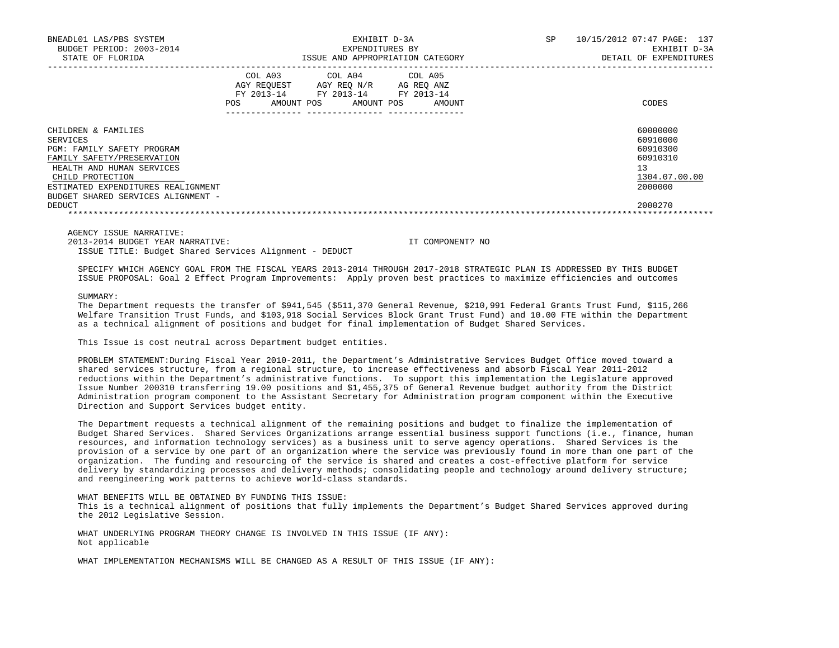| BNEADL01 LAS/PBS SYSTEM<br>BUDGET PERIOD: 2003-2014<br>STATE OF FLORIDA | EXHIBIT D-3A<br>EXPENDITURES BY<br>ISSUE AND APPROPRIATION CATEGORY |                                      |  |                                                            |  |                                    | <b>SP</b> | 10/15/2012 07:47 PAGE: 137<br>EXHIBIT D-3A<br>DETAIL OF EXPENDITURES |
|-------------------------------------------------------------------------|---------------------------------------------------------------------|--------------------------------------|--|------------------------------------------------------------|--|------------------------------------|-----------|----------------------------------------------------------------------|
|                                                                         | FY 2013-14<br><b>POS</b>                                            | COL A03<br>AGY REOUEST<br>AMOUNT POS |  | COL A04 COL A05<br>AGY REQ N/R<br>FY 2013-14<br>AMOUNT POS |  | AG REO ANZ<br>FY 2013-14<br>AMOUNT |           | CODES                                                                |
| CHILDREN & FAMILIES                                                     |                                                                     |                                      |  |                                                            |  |                                    |           | 60000000                                                             |
| SERVICES                                                                |                                                                     |                                      |  |                                                            |  |                                    |           | 60910000                                                             |
| PGM: FAMILY SAFETY PROGRAM                                              |                                                                     |                                      |  |                                                            |  |                                    |           | 60910300                                                             |
| FAMILY SAFETY/PRESERVATION                                              |                                                                     |                                      |  |                                                            |  |                                    |           | 60910310                                                             |
| HEALTH AND HUMAN SERVICES                                               |                                                                     |                                      |  |                                                            |  |                                    |           | 13                                                                   |
| CHILD PROTECTION                                                        |                                                                     |                                      |  |                                                            |  |                                    |           | 1304.07.00.00                                                        |
| ESTIMATED EXPENDITURES REALIGNMENT                                      |                                                                     |                                      |  |                                                            |  |                                    |           | 2000000                                                              |
| BUDGET SHARED SERVICES ALIGNMENT -                                      |                                                                     |                                      |  |                                                            |  |                                    |           |                                                                      |
| DEDUCT                                                                  |                                                                     |                                      |  |                                                            |  |                                    |           | 2000270                                                              |
|                                                                         |                                                                     |                                      |  |                                                            |  |                                    |           |                                                                      |

AGENCY ISSUE NARRATIVE:

2013-2014 BUDGET YEAR NARRATIVE: IT COMPONENT? NO

ISSUE TITLE: Budget Shared Services Alignment - DEDUCT

 SPECIFY WHICH AGENCY GOAL FROM THE FISCAL YEARS 2013-2014 THROUGH 2017-2018 STRATEGIC PLAN IS ADDRESSED BY THIS BUDGET ISSUE PROPOSAL: Goal 2 Effect Program Improvements: Apply proven best practices to maximize efficiencies and outcomes

SUMMARY:

 The Department requests the transfer of \$941,545 (\$511,370 General Revenue, \$210,991 Federal Grants Trust Fund, \$115,266 Welfare Transition Trust Funds, and \$103,918 Social Services Block Grant Trust Fund) and 10.00 FTE within the Department as a technical alignment of positions and budget for final implementation of Budget Shared Services.

This Issue is cost neutral across Department budget entities.

 PROBLEM STATEMENT:During Fiscal Year 2010-2011, the Department's Administrative Services Budget Office moved toward a shared services structure, from a regional structure, to increase effectiveness and absorb Fiscal Year 2011-2012 reductions within the Department's administrative functions. To support this implementation the Legislature approved Issue Number 200310 transferring 19.00 positions and \$1,455,375 of General Revenue budget authority from the District Administration program component to the Assistant Secretary for Administration program component within the Executive Direction and Support Services budget entity.

 The Department requests a technical alignment of the remaining positions and budget to finalize the implementation of Budget Shared Services. Shared Services Organizations arrange essential business support functions (i.e., finance, human resources, and information technology services) as a business unit to serve agency operations. Shared Services is the provision of a service by one part of an organization where the service was previously found in more than one part of the organization. The funding and resourcing of the service is shared and creates a cost-effective platform for service delivery by standardizing processes and delivery methods; consolidating people and technology around delivery structure; and reengineering work patterns to achieve world-class standards.

 WHAT BENEFITS WILL BE OBTAINED BY FUNDING THIS ISSUE: This is a technical alignment of positions that fully implements the Department's Budget Shared Services approved during the 2012 Legislative Session.

 WHAT UNDERLYING PROGRAM THEORY CHANGE IS INVOLVED IN THIS ISSUE (IF ANY): Not applicable

WHAT IMPLEMENTATION MECHANISMS WILL BE CHANGED AS A RESULT OF THIS ISSUE (IF ANY):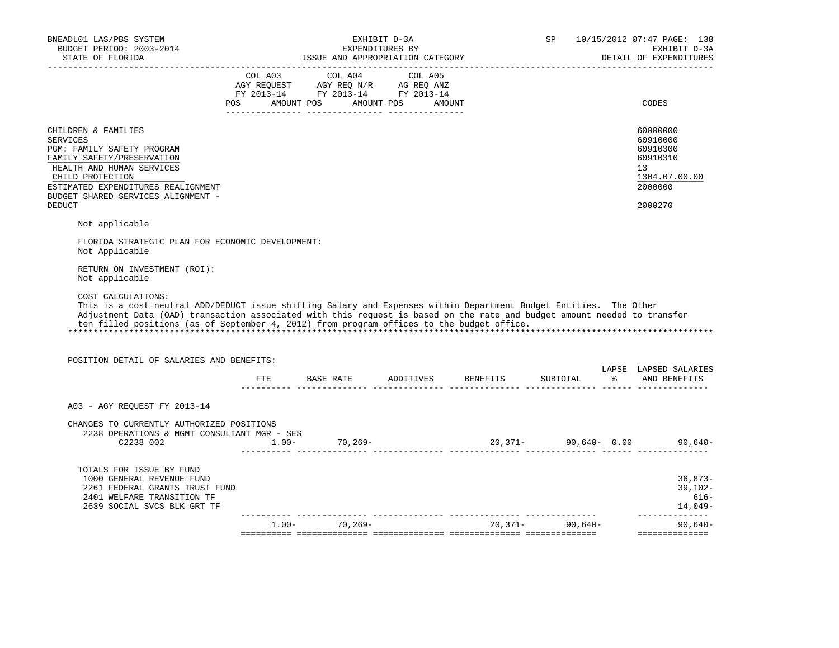| BNEADL01 LAS/PBS SYSTEM<br>BUDGET PERIOD: 2003-2014                                                                                                                                                                                                                                                                                                                                        |                                                                                                                                                                                                | EXHIBIT D-3A<br>EXPENDITURES BY |                                     | SP       | 10/15/2012 07:47 PAGE: 138<br>EXHIBIT D-3A                                     |
|--------------------------------------------------------------------------------------------------------------------------------------------------------------------------------------------------------------------------------------------------------------------------------------------------------------------------------------------------------------------------------------------|------------------------------------------------------------------------------------------------------------------------------------------------------------------------------------------------|---------------------------------|-------------------------------------|----------|--------------------------------------------------------------------------------|
| STATE OF FLORIDA                                                                                                                                                                                                                                                                                                                                                                           |                                                                                                                                                                                                |                                 |                                     |          | DETAIL OF EXPENDITURES                                                         |
|                                                                                                                                                                                                                                                                                                                                                                                            | $\begin{tabular}{lcccc} COL A03 & COL A04 & COL A05 \\ AGY REQUEST & AGY REQ N/R & AG REQ ANZ \\ FY & 2013-14 & FY & 2013-14 & FY & 2013-14 \end{tabular}$<br>POS AMOUNT POS AMOUNT POS AMOUNT |                                 |                                     |          | CODES                                                                          |
| CHILDREN & FAMILIES<br><b>SERVICES</b><br>PGM: FAMILY SAFETY PROGRAM<br>FAMILY SAFETY/PRESERVATION<br>HEALTH AND HUMAN SERVICES<br>CHILD PROTECTION<br>ESTIMATED EXPENDITURES REALIGNMENT<br>BUDGET SHARED SERVICES ALIGNMENT -                                                                                                                                                            |                                                                                                                                                                                                |                                 |                                     |          | 60000000<br>60910000<br>60910300<br>60910310<br>13<br>1304.07.00.00<br>2000000 |
| <b>DEDUCT</b>                                                                                                                                                                                                                                                                                                                                                                              |                                                                                                                                                                                                |                                 |                                     |          | 2000270                                                                        |
| Not applicable                                                                                                                                                                                                                                                                                                                                                                             |                                                                                                                                                                                                |                                 |                                     |          |                                                                                |
| FLORIDA STRATEGIC PLAN FOR ECONOMIC DEVELOPMENT:<br>Not Applicable                                                                                                                                                                                                                                                                                                                         |                                                                                                                                                                                                |                                 |                                     |          |                                                                                |
| RETURN ON INVESTMENT (ROI):<br>Not applicable                                                                                                                                                                                                                                                                                                                                              |                                                                                                                                                                                                |                                 |                                     |          |                                                                                |
| COST CALCULATIONS:<br>This is a cost neutral ADD/DEDUCT issue shifting Salary and Expenses within Department Budget Entities. The Other<br>Adjustment Data (OAD) transaction associated with this request is based on the rate and budget amount needed to transfer<br>ten filled positions (as of September 4, 2012) from program offices to the budget office.                           |                                                                                                                                                                                                |                                 |                                     |          |                                                                                |
| POSITION DETAIL OF SALARIES AND BENEFITS:                                                                                                                                                                                                                                                                                                                                                  |                                                                                                                                                                                                |                                 |                                     |          | LAPSE LAPSED SALARIES                                                          |
|                                                                                                                                                                                                                                                                                                                                                                                            |                                                                                                                                                                                                |                                 | FTE BASE RATE ADDITIVES BENEFITS    | SUBTOTAL | % AND BENEFITS                                                                 |
| A03 - AGY REQUEST FY 2013-14                                                                                                                                                                                                                                                                                                                                                               |                                                                                                                                                                                                |                                 |                                     |          |                                                                                |
| CHANGES TO CURRENTLY AUTHORIZED POSITIONS<br>2238 OPERATIONS & MGMT CONSULTANT MGR - SES<br>$22238 002 \t\t\t\t 1.00- \t\t\t 1.00- \t\t\t 70,269- \t\t\t 20,371- \t\t\t 90,640- \t\t\t 0.00\t\t\t 90,640- \t\t\t 1.00- \t\t\t 1.00- \t\t\t 1.00- \t\t\t 1.00- \t\t\t 1.00- \t\t\t 1.00- \t\t\t 1.00- \t\t\t 1.00- \t\t\t 1.00- \t\t\t 1.00- \t\t\t 1.00- \t\t\t 1.00- \t\t\t 1.00- \t\t\t$ |                                                                                                                                                                                                |                                 |                                     |          |                                                                                |
| TOTALS FOR ISSUE BY FUND<br>1000 GENERAL REVENUE FUND<br>2261 FEDERAL GRANTS TRUST FUND<br>2401 WELFARE TRANSITION TF<br>2639 SOCIAL SVCS BLK GRT TF                                                                                                                                                                                                                                       |                                                                                                                                                                                                |                                 |                                     |          | $36,873-$<br>$39,102-$<br>616-<br>14,049-<br>_______________                   |
|                                                                                                                                                                                                                                                                                                                                                                                            |                                                                                                                                                                                                |                                 | $1.00 - 70,269 - 20,371 - 90,640 -$ |          | $90,640-$                                                                      |
|                                                                                                                                                                                                                                                                                                                                                                                            |                                                                                                                                                                                                |                                 |                                     |          |                                                                                |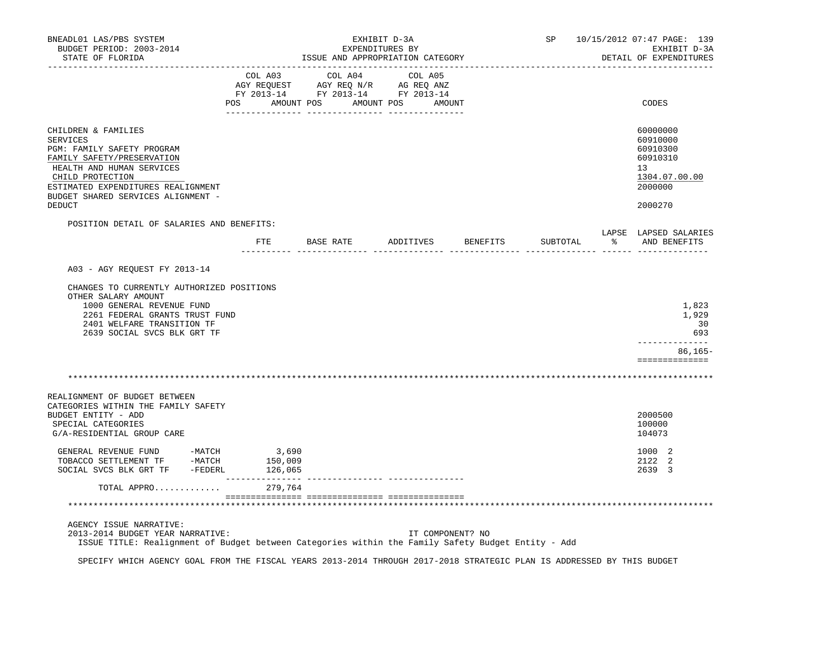| BNEADL01 LAS/PBS SYSTEM<br>BUDGET PERIOD: 2003-2014<br>STATE OF FLORIDA                                                                                                                                                         |                                  |                  | ISSUE AND APPROPRIATION CATEGORY                                                                                                                           | EXHIBIT D-3A<br>EXPENDITURES BY |                  | SP                 |          | 10/15/2012 07:47 PAGE: 139<br>EXHIBIT D-3A<br>DETAIL OF EXPENDITURES |                                                                                |
|---------------------------------------------------------------------------------------------------------------------------------------------------------------------------------------------------------------------------------|----------------------------------|------------------|------------------------------------------------------------------------------------------------------------------------------------------------------------|---------------------------------|------------------|--------------------|----------|----------------------------------------------------------------------|--------------------------------------------------------------------------------|
|                                                                                                                                                                                                                                 | POS AMOUNT POS AMOUNT POS AMOUNT |                  | $\begin{tabular}{lcccc} CDL A03 & CDL A04 & CDL A05 \\ AGY REQUEST & AGY REQ N/R & AG REQ ANZ \\ FY & 2013-14 & FY & 2013-14 & FY & 2013-14 \end{tabular}$ |                                 |                  |                    |          |                                                                      | CODES                                                                          |
| CHILDREN & FAMILIES<br><b>SERVICES</b><br>PGM: FAMILY SAFETY PROGRAM<br>FAMILY SAFETY/PRESERVATION<br>HEALTH AND HUMAN SERVICES<br>CHILD PROTECTION<br>ESTIMATED EXPENDITURES REALIGNMENT<br>BUDGET SHARED SERVICES ALIGNMENT - |                                  |                  |                                                                                                                                                            |                                 |                  |                    |          |                                                                      | 60000000<br>60910000<br>60910300<br>60910310<br>13<br>1304.07.00.00<br>2000000 |
| <b>DEDUCT</b>                                                                                                                                                                                                                   |                                  |                  |                                                                                                                                                            |                                 |                  |                    |          |                                                                      | 2000270                                                                        |
| POSITION DETAIL OF SALARIES AND BENEFITS:                                                                                                                                                                                       |                                  | ETE              | BASE RATE                                                                                                                                                  |                                 |                  | ADDITIVES BENEFITS | SUBTOTAL |                                                                      | LAPSE LAPSED SALARIES<br>% AND BENEFITS                                        |
|                                                                                                                                                                                                                                 |                                  |                  |                                                                                                                                                            |                                 |                  |                    |          |                                                                      |                                                                                |
| A03 - AGY REQUEST FY 2013-14                                                                                                                                                                                                    |                                  |                  |                                                                                                                                                            |                                 |                  |                    |          |                                                                      |                                                                                |
| CHANGES TO CURRENTLY AUTHORIZED POSITIONS<br>OTHER SALARY AMOUNT<br>1000 GENERAL REVENUE FUND<br>2261 FEDERAL GRANTS TRUST FUND<br>2401 WELFARE TRANSITION TF<br>2639 SOCIAL SVCS BLK GRT TF                                    |                                  |                  |                                                                                                                                                            |                                 |                  |                    |          |                                                                      | 1,823<br>1,929<br>30<br>693                                                    |
|                                                                                                                                                                                                                                 |                                  |                  |                                                                                                                                                            |                                 |                  |                    |          |                                                                      | _____________<br>$86, 165 -$<br>==============                                 |
|                                                                                                                                                                                                                                 |                                  |                  |                                                                                                                                                            |                                 |                  |                    |          |                                                                      |                                                                                |
| REALIGNMENT OF BUDGET BETWEEN<br>CATEGORIES WITHIN THE FAMILY SAFETY                                                                                                                                                            |                                  |                  |                                                                                                                                                            |                                 |                  |                    |          |                                                                      |                                                                                |
| BUDGET ENTITY - ADD<br>SPECIAL CATEGORIES<br>G/A-RESIDENTIAL GROUP CARE                                                                                                                                                         |                                  |                  |                                                                                                                                                            |                                 |                  |                    |          |                                                                      | 2000500<br>100000<br>104073                                                    |
| GENERAL REVENUE FUND -MATCH<br>TOBACCO SETTLEMENT TF -MATCH<br>SOCIAL SVCS BLK GRT TF -FEDERL                                                                                                                                   | 126,065                          | 3,690<br>150,009 |                                                                                                                                                            |                                 |                  |                    |          |                                                                      | 1000 2<br>2122 2<br>2639 3                                                     |
| TOTAL APPRO                                                                                                                                                                                                                     |                                  | 279,764          |                                                                                                                                                            |                                 |                  |                    |          |                                                                      |                                                                                |
|                                                                                                                                                                                                                                 |                                  |                  |                                                                                                                                                            |                                 |                  |                    |          |                                                                      |                                                                                |
| AGENCY ISSUE NARRATIVE:<br>2013-2014 BUDGET YEAR NARRATIVE:<br>ISSUE TITLE: Realignment of Budget between Categories within the Family Safety Budget Entity - Add                                                               |                                  |                  |                                                                                                                                                            |                                 | IT COMPONENT? NO |                    |          |                                                                      |                                                                                |

SPECIFY WHICH AGENCY GOAL FROM THE FISCAL YEARS 2013-2014 THROUGH 2017-2018 STRATEGIC PLAN IS ADDRESSED BY THIS BUDGET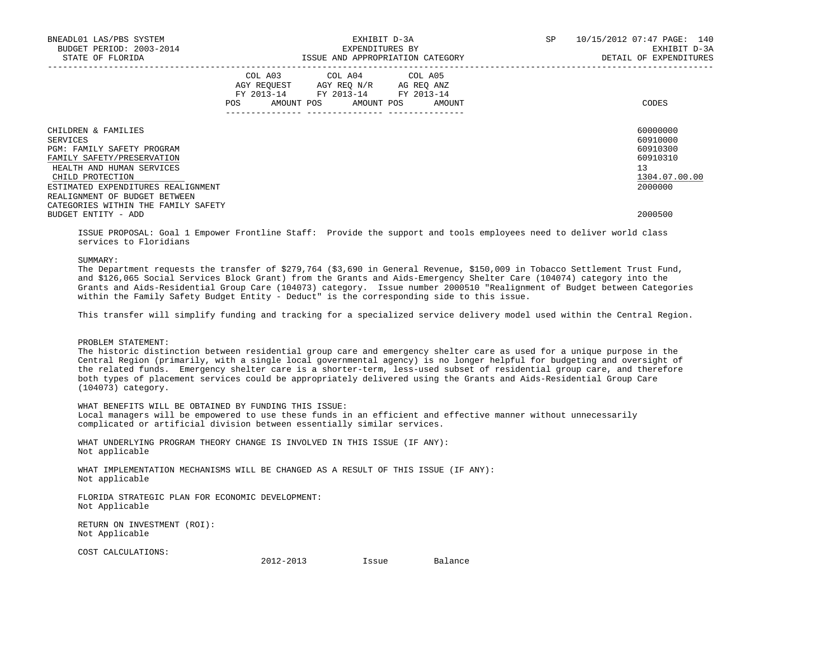| BNEADL01 LAS/PBS SYSTEM<br>BUDGET PERIOD: 2003-2014<br>STATE OF FLORIDA                                                                             |            |                                                                                                   | EXHIBIT D-3A<br>EXPENDITURES BY<br>ISSUE AND APPROPRIATION CATEGORY | SP | 10/15/2012 07:47 PAGE: 140<br>EXHIBIT D-3A<br>DETAIL OF EXPENDITURES |  |  |
|-----------------------------------------------------------------------------------------------------------------------------------------------------|------------|---------------------------------------------------------------------------------------------------|---------------------------------------------------------------------|----|----------------------------------------------------------------------|--|--|
|                                                                                                                                                     | <b>POS</b> | COL A03 COL A04 COL A05<br>AGY REOUEST AGY REO N/R AG REO ANZ<br>FY 2013-14 FY 2013-14 FY 2013-14 | AMOUNT POS AMOUNT POS AMOUNT                                        |    | CODES                                                                |  |  |
| CHILDREN & FAMILIES<br>SERVICES<br><b>PGM: FAMILY SAFETY PROGRAM</b><br>FAMILY SAFETY/PRESERVATION<br>HEALTH AND HUMAN SERVICES<br>CHILD PROTECTION |            |                                                                                                   |                                                                     |    | 60000000<br>60910000<br>60910300<br>60910310<br>13<br>1304.07.00.00  |  |  |
| ESTIMATED EXPENDITURES REALIGNMENT<br>REALIGNMENT OF BUDGET BETWEEN<br>CATEGORIES WITHIN THE FAMILY SAFETY<br>BUDGET ENTITY - ADD                   |            |                                                                                                   |                                                                     |    | 2000000<br>2000500                                                   |  |  |

 ISSUE PROPOSAL: Goal 1 Empower Frontline Staff: Provide the support and tools employees need to deliver world class services to Floridians

## SUMMARY:

 The Department requests the transfer of \$279,764 (\$3,690 in General Revenue, \$150,009 in Tobacco Settlement Trust Fund, and \$126,065 Social Services Block Grant) from the Grants and Aids-Emergency Shelter Care (104074) category into the Grants and Aids-Residential Group Care (104073) category. Issue number 2000510 "Realignment of Budget between Categories within the Family Safety Budget Entity - Deduct" is the corresponding side to this issue.

This transfer will simplify funding and tracking for a specialized service delivery model used within the Central Region.

#### PROBLEM STATEMENT:

 The historic distinction between residential group care and emergency shelter care as used for a unique purpose in the Central Region (primarily, with a single local governmental agency) is no longer helpful for budgeting and oversight of the related funds. Emergency shelter care is a shorter-term, less-used subset of residential group care, and therefore both types of placement services could be appropriately delivered using the Grants and Aids-Residential Group Care (104073) category.

WHAT BENEFITS WILL BE OBTAINED BY FUNDING THIS ISSUE:

 Local managers will be empowered to use these funds in an efficient and effective manner without unnecessarily complicated or artificial division between essentially similar services.

 WHAT UNDERLYING PROGRAM THEORY CHANGE IS INVOLVED IN THIS ISSUE (IF ANY): Not applicable

 WHAT IMPLEMENTATION MECHANISMS WILL BE CHANGED AS A RESULT OF THIS ISSUE (IF ANY): Not applicable

 FLORIDA STRATEGIC PLAN FOR ECONOMIC DEVELOPMENT: Not Applicable

 RETURN ON INVESTMENT (ROI): Not Applicable

COST CALCULATIONS:

2012-2013 Issue Balance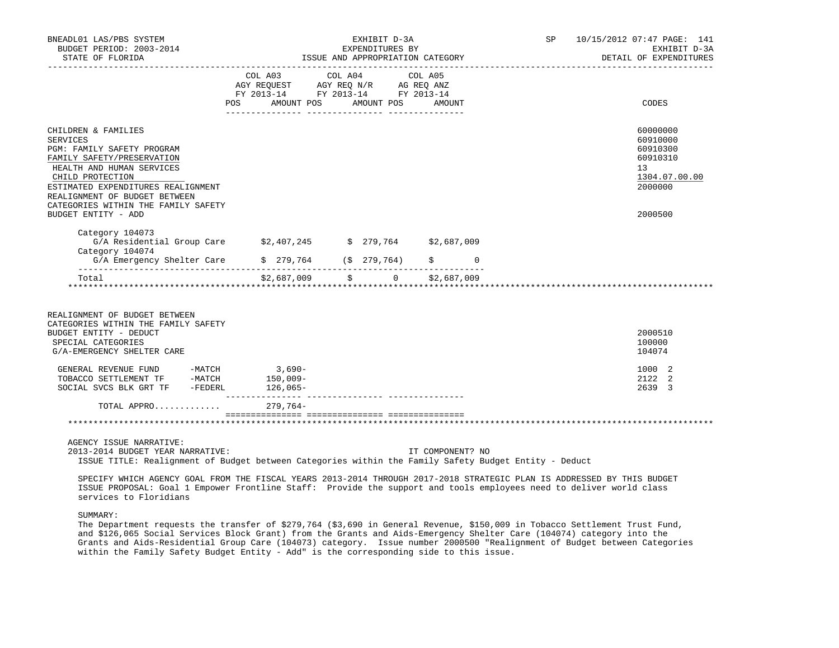| BNEADL01 LAS/PBS SYSTEM<br>BUDGET PERIOD: 2003-2014<br>STATE OF FLORIDA                                                                                                                                                                                                           |        |                                                                                                                 | EXHIBIT D-3A<br>EXPENDITURES BY | ISSUE AND APPROPRIATION CATEGORY |          | SP 10/15/2012 07:47 PAGE: 141<br>EXHIBIT D-3A<br>DETAIL OF EXPENDITURES |                                                                                           |
|-----------------------------------------------------------------------------------------------------------------------------------------------------------------------------------------------------------------------------------------------------------------------------------|--------|-----------------------------------------------------------------------------------------------------------------|---------------------------------|----------------------------------|----------|-------------------------------------------------------------------------|-------------------------------------------------------------------------------------------|
|                                                                                                                                                                                                                                                                                   | POS DO | COL A03 COL A04 COL A05<br>AGY REQUEST AGY REQ N/R AG REQ ANZ<br>FY 2013-14 FY 2013-14 FY 2013-14<br>AMOUNT POS | AMOUNT POS                      | AMOUNT                           |          |                                                                         | CODES                                                                                     |
| CHILDREN & FAMILIES<br>SERVICES<br>PGM: FAMILY SAFETY PROGRAM<br>FAMILY SAFETY/PRESERVATION<br>HEALTH AND HUMAN SERVICES<br>CHILD PROTECTION<br>ESTIMATED EXPENDITURES REALIGNMENT<br>REALIGNMENT OF BUDGET BETWEEN<br>CATEGORIES WITHIN THE FAMILY SAFETY<br>BUDGET ENTITY - ADD |        |                                                                                                                 |                                 |                                  |          |                                                                         | 60000000<br>60910000<br>60910300<br>60910310<br>13<br>1304.07.00.00<br>2000000<br>2000500 |
| Category 104073<br>G/A Residential Group Care \$2,407,245 \$ 279,764 \$2,687,009<br>Category 104074                                                                                                                                                                               |        |                                                                                                                 |                                 |                                  |          |                                                                         |                                                                                           |
| $G/A$ Emergency Shelter Care $\qquad \qquad$ \$ 279,764 (\$ 279,764)                                                                                                                                                                                                              |        |                                                                                                                 |                                 |                                  | $\Omega$ |                                                                         |                                                                                           |
| Total                                                                                                                                                                                                                                                                             |        |                                                                                                                 |                                 | $$2,687,009$ $$$ 0 $$2,687,009$  |          |                                                                         |                                                                                           |
| REALIGNMENT OF BUDGET BETWEEN<br>CATEGORIES WITHIN THE FAMILY SAFETY<br>BUDGET ENTITY - DEDUCT<br>SPECIAL CATEGORIES<br>G/A-EMERGENCY SHELTER CARE                                                                                                                                |        |                                                                                                                 |                                 |                                  |          |                                                                         | 2000510<br>100000<br>104074                                                               |
| GENERAL REVENUE FUND -MATCH 3,690-<br>TOBACCO SETTLEMENT TF -MATCH<br>-FEDERL<br>SOCIAL SVCS BLK GRT TF                                                                                                                                                                           |        | $150,009-$<br>$126,065-$                                                                                        |                                 |                                  |          |                                                                         | 1000 2<br>2122<br>2<br>2639 3                                                             |

TOTAL APPRO............. 279,764-

=============== =============== ===============

# \*\*\*\*\*\*\*\*\*\*\*\*\*\*\*\*\*\*\*\*\*\*\*\*\*\*\*\*\*\*\*\*\*\*\*\*\*\*\*\*\*\*\*\*\*\*\*\*\*\*\*\*\*\*\*\*\*\*\*\*\*\*\*\*\*\*\*\*\*\*\*\*\*\*\*\*\*\*\*\*\*\*\*\*\*\*\*\*\*\*\*\*\*\*\*\*\*\*\*\*\*\*\*\*\*\*\*\*\*\*\*\*\*\*\*\*\*\*\*\*\*\*\*\*\*\*\*

AGENCY ISSUE NARRATIVE:

 2013-2014 BUDGET YEAR NARRATIVE: IT COMPONENT? NO ISSUE TITLE: Realignment of Budget between Categories within the Family Safety Budget Entity - Deduct

--------------- --------------- ---------------

 SPECIFY WHICH AGENCY GOAL FROM THE FISCAL YEARS 2013-2014 THROUGH 2017-2018 STRATEGIC PLAN IS ADDRESSED BY THIS BUDGET ISSUE PROPOSAL: Goal 1 Empower Frontline Staff: Provide the support and tools employees need to deliver world class services to Floridians

SUMMARY:

 The Department requests the transfer of \$279,764 (\$3,690 in General Revenue, \$150,009 in Tobacco Settlement Trust Fund, and \$126,065 Social Services Block Grant) from the Grants and Aids-Emergency Shelter Care (104074) category into the Grants and Aids-Residential Group Care (104073) category. Issue number 2000500 "Realignment of Budget between Categories within the Family Safety Budget Entity - Add" is the corresponding side to this issue.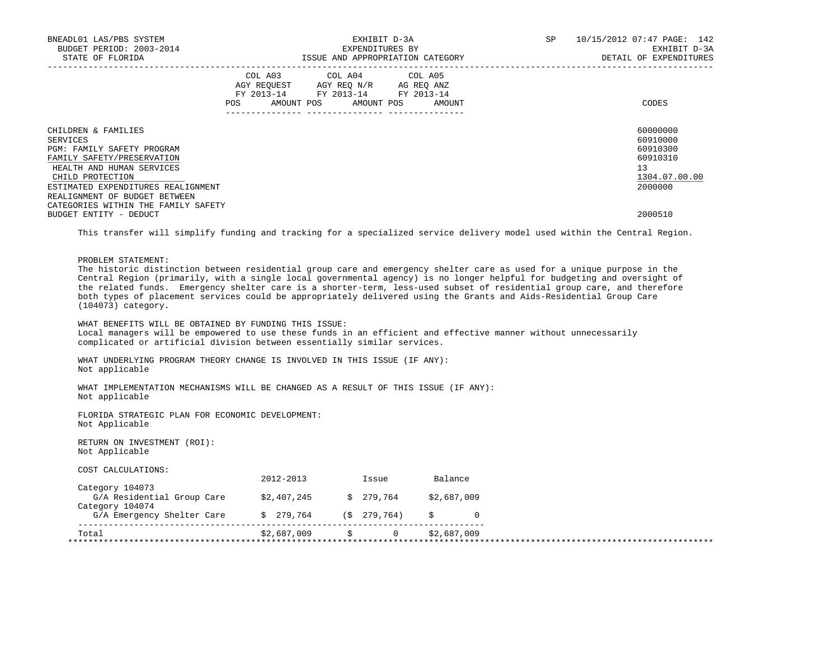|                                     |  | SP                                                                                                                                                                                                       | 10/15/2012 07:47 PAGE: 142<br>EXHIBIT D-3A<br>DETAIL OF EXPENDITURES                        |  |  |
|-------------------------------------|--|----------------------------------------------------------------------------------------------------------------------------------------------------------------------------------------------------------|---------------------------------------------------------------------------------------------|--|--|
| <b>POS</b>                          |  |                                                                                                                                                                                                          | CODES                                                                                       |  |  |
| CATEGORIES WITHIN THE FAMILY SAFETY |  |                                                                                                                                                                                                          | 60000000<br>60910000<br>60910300<br>60910310<br>13 <sup>°</sup><br>1304.07.00.00<br>2000000 |  |  |
|                                     |  |                                                                                                                                                                                                          | 2000510                                                                                     |  |  |
|                                     |  | EXHIBIT D-3A<br>EXPENDITURES BY<br>ISSUE AND APPROPRIATION CATEGORY<br>COL A03 COL A04 COL A05<br>AGY REOUEST AGY REO N/R AG REO ANZ<br>FY 2013-14 FY 2013-14 FY 2013-14<br>AMOUNT POS AMOUNT POS AMOUNT |                                                                                             |  |  |

This transfer will simplify funding and tracking for a specialized service delivery model used within the Central Region.

PROBLEM STATEMENT:

 The historic distinction between residential group care and emergency shelter care as used for a unique purpose in the Central Region (primarily, with a single local governmental agency) is no longer helpful for budgeting and oversight of the related funds. Emergency shelter care is a shorter-term, less-used subset of residential group care, and therefore both types of placement services could be appropriately delivered using the Grants and Aids-Residential Group Care (104073) category.

 WHAT BENEFITS WILL BE OBTAINED BY FUNDING THIS ISSUE: Local managers will be empowered to use these funds in an efficient and effective manner without unnecessarily complicated or artificial division between essentially similar services.

 WHAT UNDERLYING PROGRAM THEORY CHANGE IS INVOLVED IN THIS ISSUE (IF ANY): Not applicable

 WHAT IMPLEMENTATION MECHANISMS WILL BE CHANGED AS A RESULT OF THIS ISSUE (IF ANY): Not applicable

 FLORIDA STRATEGIC PLAN FOR ECONOMIC DEVELOPMENT: Not Applicable

 RETURN ON INVESTMENT (ROI): Not Applicable

COST CALCULATIONS:

|                                               | 2012-2013   |    | Issue       | Balance     |  |
|-----------------------------------------------|-------------|----|-------------|-------------|--|
| Category 104073<br>G/A Residential Group Care | \$2,407,245 |    | \$ 279,764  | \$2,687,009 |  |
| Category 104074<br>G/A Emergency Shelter Care | \$ 279,764  |    | (S 279.764) |             |  |
| Total                                         | \$2,687,009 | S. |             | \$2,687,009 |  |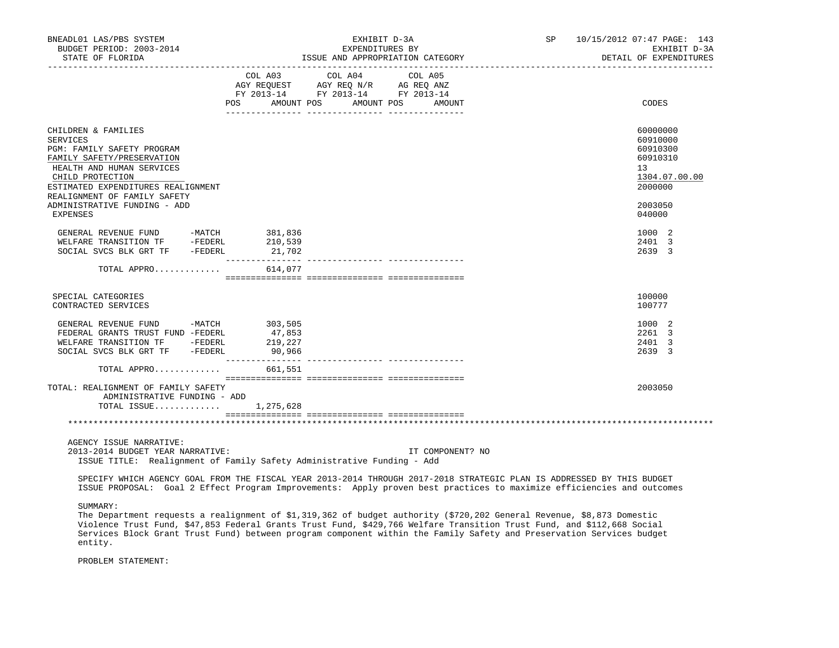| BNEADL01 LAS/PBS SYSTEM<br>BUDGET PERIOD: 2003-2014<br>STATE OF FLORIDA                                                                                                                                                                                                                                                                                                                                              |                                  | EXHIBIT D-3A<br>EXPENDITURES BY<br>EXPENDITURES BY<br>ISSUE AND APPROPRIATION CATEGORY           | SP               | 10/15/2012 07:47 PAGE: 143<br>EXHIBIT D-3A<br>DETAIL OF EXPENDITURES |                                                                                |
|----------------------------------------------------------------------------------------------------------------------------------------------------------------------------------------------------------------------------------------------------------------------------------------------------------------------------------------------------------------------------------------------------------------------|----------------------------------|--------------------------------------------------------------------------------------------------|------------------|----------------------------------------------------------------------|--------------------------------------------------------------------------------|
|                                                                                                                                                                                                                                                                                                                                                                                                                      | POS AMOUNT POS AMOUNT POS AMOUNT | COL A03 COL A04 COL A05<br>NG REQUEST AGY REQ N/R AG REQ ANZ<br>FY 2013-14 FY 2013-14 FY 2013-14 |                  |                                                                      | CODES                                                                          |
| CHILDREN & FAMILIES<br>SERVICES<br>PGM: FAMILY SAFETY PROGRAM<br>FAMILY SAFETY/PRESERVATION<br>HEALTH AND HUMAN SERVICES<br>CHILD PROTECTION<br>ESTIMATED EXPENDITURES REALIGNMENT<br>REALIGNMENT OF FAMILY SAFETY                                                                                                                                                                                                   |                                  |                                                                                                  |                  |                                                                      | 60000000<br>60910000<br>60910300<br>60910310<br>13<br>1304.07.00.00<br>2000000 |
| ADMINISTRATIVE FUNDING - ADD<br><b>EXPENSES</b>                                                                                                                                                                                                                                                                                                                                                                      |                                  |                                                                                                  |                  |                                                                      | 2003050<br>040000                                                              |
| GENERAL REVENUE FUND -MATCH 381,836<br>WELFARE TRANSITION TF -FEDERL 210,539<br>SOCIAL SVCS BLK GRT TF -FEDERL 21,702                                                                                                                                                                                                                                                                                                |                                  |                                                                                                  |                  |                                                                      | 1000 2<br>2401 3<br>2639 3                                                     |
| TOTAL APPRO $614,077$                                                                                                                                                                                                                                                                                                                                                                                                |                                  |                                                                                                  |                  |                                                                      |                                                                                |
| SPECIAL CATEGORIES<br>CONTRACTED SERVICES                                                                                                                                                                                                                                                                                                                                                                            |                                  |                                                                                                  |                  |                                                                      | 100000<br>100777                                                               |
| GENERAL REVENUE FUND - THAINA (FREDERAL GRANTS TRUST FUND - FEDERL 47,853)<br>WELFARE TRANSITION TF - FEDERL 219,227<br>------ Time PIK GRT TF - FEDERL 90,966                                                                                                                                                                                                                                                       |                                  |                                                                                                  |                  |                                                                      | 1000 2<br>2261 3<br>2401 3<br>2639 3                                           |
| TOTAL APPRO $661,551$                                                                                                                                                                                                                                                                                                                                                                                                |                                  |                                                                                                  |                  |                                                                      |                                                                                |
| TOTAL: REALIGNMENT OF FAMILY SAFETY<br>ADMINISTRATIVE FUNDING - ADD<br>TOTAL ISSUE $1,275,628$                                                                                                                                                                                                                                                                                                                       |                                  |                                                                                                  |                  |                                                                      | 2003050                                                                        |
|                                                                                                                                                                                                                                                                                                                                                                                                                      |                                  |                                                                                                  |                  |                                                                      |                                                                                |
| AGENCY ISSUE NARRATIVE:<br>2013-2014 BUDGET YEAR NARRATIVE:<br>ISSUE TITLE: Realignment of Family Safety Administrative Funding - Add                                                                                                                                                                                                                                                                                |                                  |                                                                                                  | IT COMPONENT? NO |                                                                      |                                                                                |
| SPECIFY WHICH AGENCY GOAL FROM THE FISCAL YEAR 2013-2014 THROUGH 2017-2018 STRATEGIC PLAN IS ADDRESSED BY THIS BUDGET<br>ISSUE PROPOSAL: Goal 2 Effect Program Improvements: Apply proven best practices to maximize efficiencies and outcomes                                                                                                                                                                       |                                  |                                                                                                  |                  |                                                                      |                                                                                |
| SUMMARY:<br>The Department requests a realignment of \$1,319,362 of budget authority (\$720,202 General Revenue, \$8,873 Domestic<br>Violence Trust Fund, \$47,853 Federal Grants Trust Fund, \$429,766 Welfare Transition Trust Fund, and \$112,668 Social<br>Services Block Grant Trust Fund) between program component within the Family Safety and Preservation Services budget<br>entity.<br>PROBLEM STATEMENT: |                                  |                                                                                                  |                  |                                                                      |                                                                                |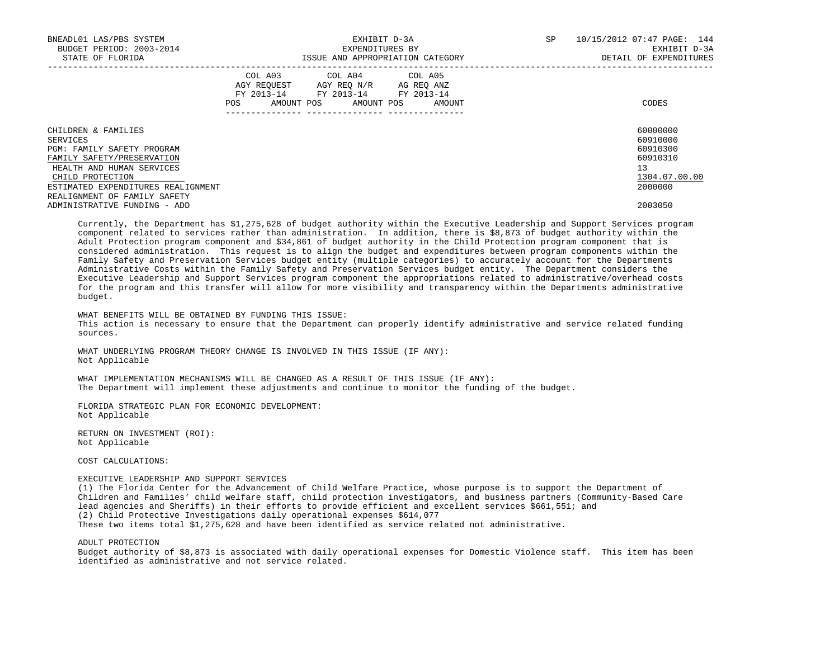| BNEADL01 LAS/PBS SYSTEM<br>BUDGET PERIOD: 2003-2014<br>STATE OF FLORIDA | EXHIBIT D-3A<br>EXPENDITURES BY<br>ISSUE AND APPROPRIATION CATEGORY |  |                                                                                                   |  |  |                              | <b>SP</b> | 10/15/2012 07:47 PAGE: 144<br>EXHIBIT D-3A<br>DETAIL OF EXPENDITURES |
|-------------------------------------------------------------------------|---------------------------------------------------------------------|--|---------------------------------------------------------------------------------------------------|--|--|------------------------------|-----------|----------------------------------------------------------------------|
|                                                                         | <b>POS</b>                                                          |  | COL A03 COL A04 COL A05<br>AGY REOUEST AGY REO N/R AG REO ANZ<br>FY 2013-14 FY 2013-14 FY 2013-14 |  |  | AMOUNT POS AMOUNT POS AMOUNT |           | CODES                                                                |
| CHILDREN & FAMILIES                                                     |                                                                     |  |                                                                                                   |  |  |                              |           | 60000000                                                             |
| SERVICES                                                                |                                                                     |  |                                                                                                   |  |  |                              |           | 60910000                                                             |
| PGM: FAMILY SAFETY PROGRAM                                              |                                                                     |  |                                                                                                   |  |  |                              |           | 60910300                                                             |
| FAMILY SAFETY/PRESERVATION                                              |                                                                     |  |                                                                                                   |  |  |                              |           | 60910310                                                             |
| HEALTH AND HUMAN SERVICES                                               |                                                                     |  |                                                                                                   |  |  |                              |           | 13                                                                   |
| CHILD PROTECTION                                                        |                                                                     |  |                                                                                                   |  |  |                              |           | 1304.07.00.00                                                        |
| ESTIMATED EXPENDITURES REALIGNMENT                                      |                                                                     |  |                                                                                                   |  |  |                              |           | 2000000                                                              |
| REALIGNMENT OF FAMILY SAFETY                                            |                                                                     |  |                                                                                                   |  |  |                              |           |                                                                      |
| ADMINISTRATIVE FUNDING - ADD                                            |                                                                     |  |                                                                                                   |  |  |                              |           | 2003050                                                              |

 Currently, the Department has \$1,275,628 of budget authority within the Executive Leadership and Support Services program component related to services rather than administration. In addition, there is \$8,873 of budget authority within the Adult Protection program component and \$34,861 of budget authority in the Child Protection program component that is considered administration. This request is to align the budget and expenditures between program components within the Family Safety and Preservation Services budget entity (multiple categories) to accurately account for the Departments Administrative Costs within the Family Safety and Preservation Services budget entity. The Department considers the Executive Leadership and Support Services program component the appropriations related to administrative/overhead costs for the program and this transfer will allow for more visibility and transparency within the Departments administrative budget.

 WHAT BENEFITS WILL BE OBTAINED BY FUNDING THIS ISSUE: This action is necessary to ensure that the Department can properly identify administrative and service related funding sources.

WHAT UNDERLYING PROGRAM THEORY CHANGE IS INVOLVED IN THIS ISSUE (IF ANY): Not Applicable

 WHAT IMPLEMENTATION MECHANISMS WILL BE CHANGED AS A RESULT OF THIS ISSUE (IF ANY): The Department will implement these adjustments and continue to monitor the funding of the budget.

 FLORIDA STRATEGIC PLAN FOR ECONOMIC DEVELOPMENT: Not Applicable

 RETURN ON INVESTMENT (ROI): Not Applicable

COST CALCULATIONS:

 EXECUTIVE LEADERSHIP AND SUPPORT SERVICES (1) The Florida Center for the Advancement of Child Welfare Practice, whose purpose is to support the Department of Children and Families' child welfare staff, child protection investigators, and business partners (Community-Based Care lead agencies and Sheriffs) in their efforts to provide efficient and excellent services \$661,551; and (2) Child Protective Investigations daily operational expenses \$614,077 These two items total \$1,275,628 and have been identified as service related not administrative.

ADULT PROTECTION

 Budget authority of \$8,873 is associated with daily operational expenses for Domestic Violence staff. This item has been identified as administrative and not service related.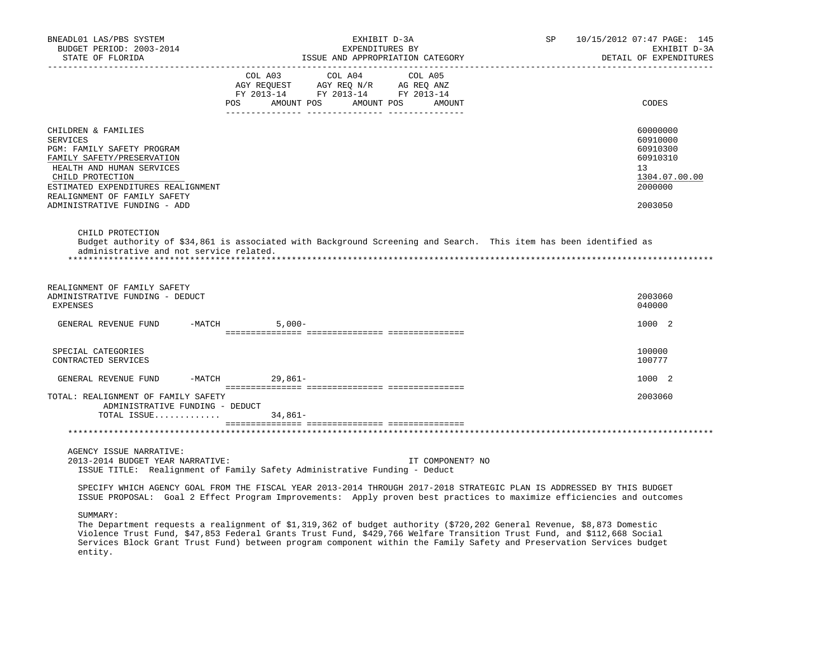| BNEADL01 LAS/PBS SYSTEM<br>BUDGET PERIOD: 2003-2014<br>STATE OF FLORIDA                                                                                                                                                                                   | EXHIBIT D-3A<br>EXPENDITURES BY<br>ISSUE AND APPROPRIATION CATEGORY                                                                                                                                                                                                                                                                                                     | SP<br>10/15/2012 07:47 PAGE: 145<br>EXHIBIT D-3A<br>DETAIL OF EXPENDITURES                |
|-----------------------------------------------------------------------------------------------------------------------------------------------------------------------------------------------------------------------------------------------------------|-------------------------------------------------------------------------------------------------------------------------------------------------------------------------------------------------------------------------------------------------------------------------------------------------------------------------------------------------------------------------|-------------------------------------------------------------------------------------------|
|                                                                                                                                                                                                                                                           | COL A03<br>COL A04<br>COL A05<br>$\begin{array}{ccccccccc}\n\text{AGY REQUEST} & & & \text{GZY RE} & & \text{NGY RE} & & \text{AGEQ ANZ} \\ \text{AGY REQUEST} & & & \text{AGY RE} & & \text{NGY RE} & & \text{ANGEQ ANZ} \\ \text{FY} & & & & \text{PY} & & \text{2013--14} & & \text{FY} & & \text{2013--14}\n\end{array}$<br>POS AMOUNT POS AMOUNT POS AMOUNT        | CODES                                                                                     |
| CHILDREN & FAMILIES<br><b>SERVICES</b><br>PGM: FAMILY SAFETY PROGRAM<br>FAMILY SAFETY/PRESERVATION<br>HEALTH AND HUMAN SERVICES<br>CHILD PROTECTION<br>ESTIMATED EXPENDITURES REALIGNMENT<br>REALIGNMENT OF FAMILY SAFETY<br>ADMINISTRATIVE FUNDING - ADD |                                                                                                                                                                                                                                                                                                                                                                         | 60000000<br>60910000<br>60910300<br>60910310<br>13<br>1304.07.00.00<br>2000000<br>2003050 |
| CHILD PROTECTION<br>administrative and not service related.                                                                                                                                                                                               | Budget authority of \$34,861 is associated with Background Screening and Search. This item has been identified as                                                                                                                                                                                                                                                       |                                                                                           |
| REALIGNMENT OF FAMILY SAFETY<br>ADMINISTRATIVE FUNDING - DEDUCT<br><b>EXPENSES</b>                                                                                                                                                                        |                                                                                                                                                                                                                                                                                                                                                                         | 2003060<br>040000                                                                         |
| GENERAL REVENUE FUND                                                                                                                                                                                                                                      | $-MATCH$<br>$5,000-$                                                                                                                                                                                                                                                                                                                                                    | 1000 2                                                                                    |
| SPECIAL CATEGORIES<br>CONTRACTED SERVICES                                                                                                                                                                                                                 |                                                                                                                                                                                                                                                                                                                                                                         | 100000<br>100777                                                                          |
| $-MATCH$<br>GENERAL REVENUE FUND                                                                                                                                                                                                                          | 29,861-                                                                                                                                                                                                                                                                                                                                                                 | 1000 2                                                                                    |
| TOTAL: REALIGNMENT OF FAMILY SAFETY<br>ADMINISTRATIVE FUNDING - DEDUCT<br>TOTAL ISSUE                                                                                                                                                                     | 34,861–                                                                                                                                                                                                                                                                                                                                                                 | 2003060                                                                                   |
|                                                                                                                                                                                                                                                           |                                                                                                                                                                                                                                                                                                                                                                         |                                                                                           |
| AGENCY ISSUE NARRATIVE:<br>2013-2014 BUDGET YEAR NARRATIVE:                                                                                                                                                                                               | IT COMPONENT? NO<br>ISSUE TITLE: Realignment of Family Safety Administrative Funding - Deduct                                                                                                                                                                                                                                                                           |                                                                                           |
|                                                                                                                                                                                                                                                           | SPECIFY WHICH AGENCY GOAL FROM THE FISCAL YEAR 2013-2014 THROUGH 2017-2018 STRATEGIC PLAN IS ADDRESSED BY THIS BUDGET<br>ISSUE PROPOSAL: Goal 2 Effect Program Improvements: Apply proven best practices to maximize efficiencies and outcomes                                                                                                                          |                                                                                           |
| SUMMARY:<br>entity.                                                                                                                                                                                                                                       | The Department requests a realignment of \$1,319,362 of budget authority (\$720,202 General Revenue, \$8,873 Domestic<br>Violence Trust Fund, \$47,853 Federal Grants Trust Fund, \$429,766 Welfare Transition Trust Fund, and \$112,668 Social<br>Services Block Grant Trust Fund) between program component within the Family Safety and Preservation Services budget |                                                                                           |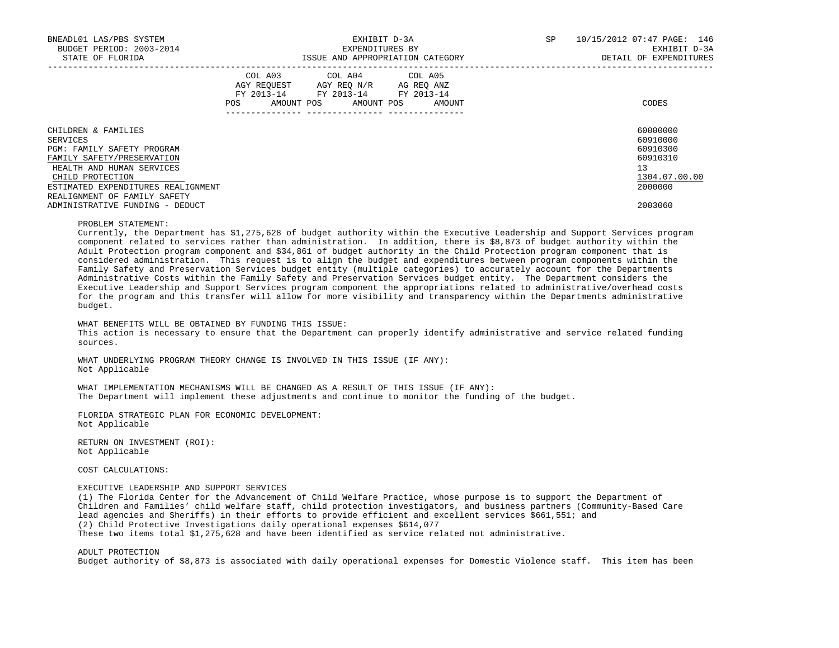| BNEADL01 LAS/PBS SYSTEM<br>BUDGET PERIOD: 2003-2014<br>STATE OF FLORIDA | EXHIBIT D-3A<br>EXPENDITURES BY<br>ISSUE AND APPROPRIATION CATEGORY |  |                                                                                                                                   |  |  |  | SP | 10/15/2012 07:47 PAGE: 146<br>EXHIBIT D-3A<br>DETAIL OF EXPENDITURES |  |
|-------------------------------------------------------------------------|---------------------------------------------------------------------|--|-----------------------------------------------------------------------------------------------------------------------------------|--|--|--|----|----------------------------------------------------------------------|--|
|                                                                         | <b>POS</b>                                                          |  | COL A03 COL A04 COL A05<br>AGY REOUEST AGY REO N/R AG REO ANZ<br>FY 2013-14 FY 2013-14 FY 2013-14<br>AMOUNT POS AMOUNT POS AMOUNT |  |  |  |    | CODES                                                                |  |
| CHILDREN & FAMILIES                                                     |                                                                     |  |                                                                                                                                   |  |  |  |    | 60000000                                                             |  |
| SERVICES                                                                |                                                                     |  |                                                                                                                                   |  |  |  |    | 60910000                                                             |  |
| PGM: FAMILY SAFETY PROGRAM                                              |                                                                     |  |                                                                                                                                   |  |  |  |    | 60910300                                                             |  |
| FAMILY SAFETY/PRESERVATION                                              |                                                                     |  |                                                                                                                                   |  |  |  |    | 60910310                                                             |  |
| HEALTH AND HUMAN SERVICES                                               |                                                                     |  |                                                                                                                                   |  |  |  |    | 13                                                                   |  |
| CHILD PROTECTION                                                        |                                                                     |  |                                                                                                                                   |  |  |  |    | 1304.07.00.00                                                        |  |
| ESTIMATED EXPENDITURES REALIGNMENT                                      |                                                                     |  |                                                                                                                                   |  |  |  |    | 2000000                                                              |  |
| REALIGNMENT OF FAMILY SAFETY                                            |                                                                     |  |                                                                                                                                   |  |  |  |    |                                                                      |  |
| ADMINISTRATIVE FUNDING - DEDUCT                                         |                                                                     |  |                                                                                                                                   |  |  |  |    | 2003060                                                              |  |

#### PROBLEM STATEMENT:

 Currently, the Department has \$1,275,628 of budget authority within the Executive Leadership and Support Services program component related to services rather than administration. In addition, there is \$8,873 of budget authority within the Adult Protection program component and \$34,861 of budget authority in the Child Protection program component that is considered administration. This request is to align the budget and expenditures between program components within the Family Safety and Preservation Services budget entity (multiple categories) to accurately account for the Departments Administrative Costs within the Family Safety and Preservation Services budget entity. The Department considers the Executive Leadership and Support Services program component the appropriations related to administrative/overhead costs for the program and this transfer will allow for more visibility and transparency within the Departments administrative budget.

 WHAT BENEFITS WILL BE OBTAINED BY FUNDING THIS ISSUE: This action is necessary to ensure that the Department can properly identify administrative and service related funding sources.

 WHAT UNDERLYING PROGRAM THEORY CHANGE IS INVOLVED IN THIS ISSUE (IF ANY): Not Applicable

 WHAT IMPLEMENTATION MECHANISMS WILL BE CHANGED AS A RESULT OF THIS ISSUE (IF ANY): The Department will implement these adjustments and continue to monitor the funding of the budget.

 FLORIDA STRATEGIC PLAN FOR ECONOMIC DEVELOPMENT: Not Applicable

 RETURN ON INVESTMENT (ROI): Not Applicable

COST CALCULATIONS:

# EXECUTIVE LEADERSHIP AND SUPPORT SERVICES

 (1) The Florida Center for the Advancement of Child Welfare Practice, whose purpose is to support the Department of Children and Families' child welfare staff, child protection investigators, and business partners (Community-Based Care lead agencies and Sheriffs) in their efforts to provide efficient and excellent services \$661,551; and (2) Child Protective Investigations daily operational expenses \$614,077 These two items total \$1,275,628 and have been identified as service related not administrative.

 ADULT PROTECTION Budget authority of \$8,873 is associated with daily operational expenses for Domestic Violence staff. This item has been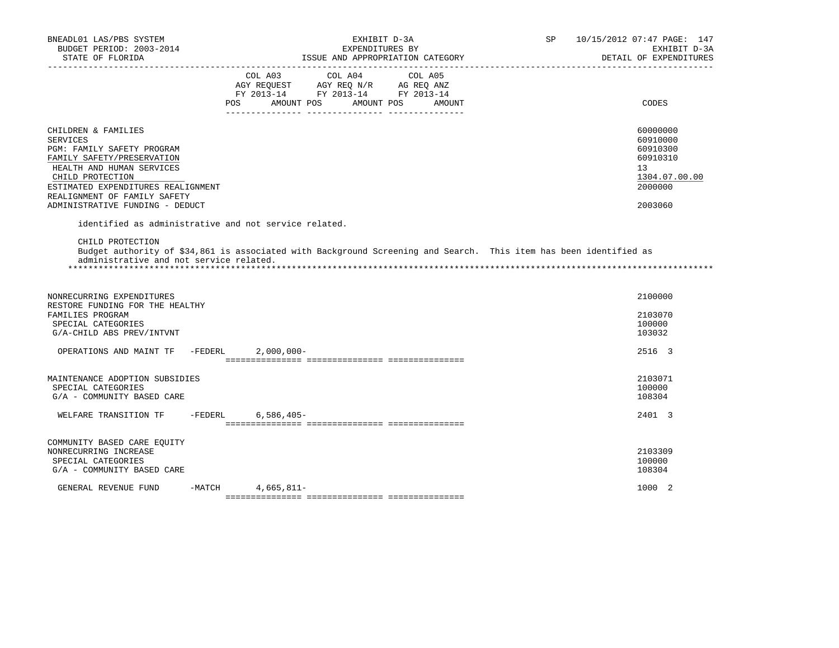| BNEADL01 LAS/PBS SYSTEM<br>BUDGET PERIOD: 2003-2014<br>STATE OF FLORIDA                                                                                                                                                                                      |                                                       | EXHIBIT D-3A<br>EXPENDITURES BY<br>ISSUE AND APPROPRIATION CATEGORY<br>_________________________                                                                                                                                                                                                        | SP. | 10/15/2012 07:47 PAGE: 147<br>EXHIBIT D-3A<br>DETAIL OF EXPENDITURES                      |
|--------------------------------------------------------------------------------------------------------------------------------------------------------------------------------------------------------------------------------------------------------------|-------------------------------------------------------|---------------------------------------------------------------------------------------------------------------------------------------------------------------------------------------------------------------------------------------------------------------------------------------------------------|-----|-------------------------------------------------------------------------------------------|
|                                                                                                                                                                                                                                                              | COL A03<br>AMOUNT POS<br>POS.                         | COL A04<br>COL A05<br>$\begin{tabular}{lllllll} \bf AGY \;\; REQUEST \hspace{1cm} AGY \;\; REQ \;\; N/R \hspace{1cm} AG \;\; REQ \;\; ANZ \\ \hline \texttt{FY} \;\; 2013\texttt{-}14 & \texttt{FY} \;\; 2013\texttt{-}14 & \texttt{FY} \;\; 2013\texttt{-}14 \\ \end{tabular}$<br>AMOUNT POS<br>AMOUNT |     | CODES                                                                                     |
| CHILDREN & FAMILIES<br><b>SERVICES</b><br>PGM: FAMILY SAFETY PROGRAM<br>FAMILY SAFETY/PRESERVATION<br>HEALTH AND HUMAN SERVICES<br>CHILD PROTECTION<br>ESTIMATED EXPENDITURES REALIGNMENT<br>REALIGNMENT OF FAMILY SAFETY<br>ADMINISTRATIVE FUNDING - DEDUCT |                                                       |                                                                                                                                                                                                                                                                                                         |     | 60000000<br>60910000<br>60910300<br>60910310<br>13<br>1304.07.00.00<br>2000000<br>2003060 |
| CHILD PROTECTION<br>administrative and not service related.                                                                                                                                                                                                  | identified as administrative and not service related. | Budget authority of \$34,861 is associated with Background Screening and Search. This item has been identified as                                                                                                                                                                                       |     |                                                                                           |
| NONRECURRING EXPENDITURES<br>RESTORE FUNDING FOR THE HEALTHY<br>FAMILIES PROGRAM<br>SPECIAL CATEGORIES<br>G/A-CHILD ABS PREV/INTVNT                                                                                                                          |                                                       |                                                                                                                                                                                                                                                                                                         |     | 2100000<br>2103070<br>100000<br>103032                                                    |
| OPERATIONS AND MAINT TF                                                                                                                                                                                                                                      | -FEDERL<br>$2,000,000-$                               |                                                                                                                                                                                                                                                                                                         |     | 2516 3                                                                                    |
| MAINTENANCE ADOPTION SUBSIDIES<br>SPECIAL CATEGORIES<br>G/A - COMMUNITY BASED CARE                                                                                                                                                                           |                                                       |                                                                                                                                                                                                                                                                                                         |     | 2103071<br>100000<br>108304                                                               |
| WELFARE TRANSITION TF                                                                                                                                                                                                                                        | $-FEDERL$<br>$6.586.405 -$                            |                                                                                                                                                                                                                                                                                                         |     | 2401 3                                                                                    |
| COMMUNITY BASED CARE EQUITY<br>NONRECURRING INCREASE<br>SPECIAL CATEGORIES<br>G/A - COMMUNITY BASED CARE                                                                                                                                                     |                                                       |                                                                                                                                                                                                                                                                                                         |     | 2103309<br>100000<br>108304                                                               |
| GENERAL REVENUE FUND                                                                                                                                                                                                                                         | $4,665,811-$<br>$-MATCH$                              |                                                                                                                                                                                                                                                                                                         |     | 1000 2                                                                                    |
|                                                                                                                                                                                                                                                              |                                                       |                                                                                                                                                                                                                                                                                                         |     |                                                                                           |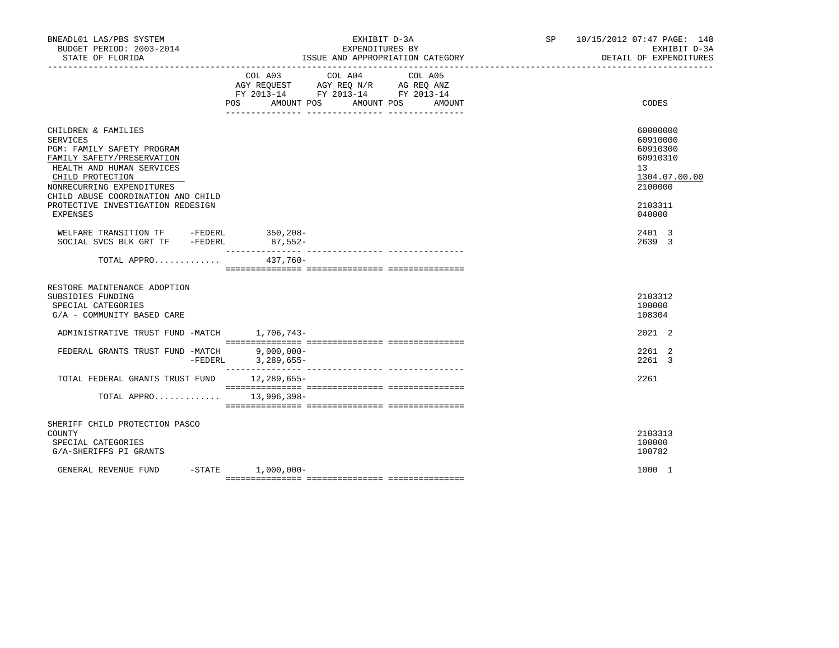| BNEADL01 LAS/PBS SYSTEM<br>BUDGET PERIOD: 2003-2014<br>STATE OF FLORIDA                                                                                                                                                                                                 | EXHIBIT D-3A<br>EXPENDITURES BY<br>ISSUE AND APPROPRIATION CATEGORY                                                                                                                                                                                                  | SP 10/15/2012 07:47 PAGE: 148<br>EXHIBIT D-3A<br>DETAIL OF EXPENDITURES                             |
|-------------------------------------------------------------------------------------------------------------------------------------------------------------------------------------------------------------------------------------------------------------------------|----------------------------------------------------------------------------------------------------------------------------------------------------------------------------------------------------------------------------------------------------------------------|-----------------------------------------------------------------------------------------------------|
|                                                                                                                                                                                                                                                                         | COL A03<br>COL A04<br>COL A05<br>$\begin{tabular}{lllllll} AGY & \texttt{REQUEST} & \texttt{AGY} & \texttt{REG} & \texttt{N/R} & \texttt{AG} & \texttt{REQ} & \texttt{ANZ} \end{tabular}$<br>FY 2013-14 FY 2013-14 FY 2013-14<br>POS AMOUNT POS AMOUNT POS<br>AMOUNT | CODES                                                                                               |
| CHILDREN & FAMILIES<br><b>SERVICES</b><br>PGM: FAMILY SAFETY PROGRAM<br>FAMILY SAFETY/PRESERVATION<br>HEALTH AND HUMAN SERVICES<br>CHILD PROTECTION<br>NONRECURRING EXPENDITURES<br>CHILD ABUSE COORDINATION AND CHILD<br>PROTECTIVE INVESTIGATION REDESIGN<br>EXPENSES |                                                                                                                                                                                                                                                                      | 60000000<br>60910000<br>60910300<br>60910310<br>13<br>1304.07.00.00<br>2100000<br>2103311<br>040000 |
| WELFARE TRANSITION TF - FEDERL 350,208-<br>SOCIAL SVCS BLK GRT TF -FEDERL                                                                                                                                                                                               | $87,552-$                                                                                                                                                                                                                                                            | 2401 3<br>2639 3                                                                                    |
| TOTAL APPRO 437,760-                                                                                                                                                                                                                                                    |                                                                                                                                                                                                                                                                      |                                                                                                     |
| RESTORE MAINTENANCE ADOPTION<br>SUBSIDIES FUNDING<br>SPECIAL CATEGORIES<br>G/A - COMMUNITY BASED CARE                                                                                                                                                                   |                                                                                                                                                                                                                                                                      | 2103312<br>100000<br>108304                                                                         |
| ADMINISTRATIVE TRUST FUND -MATCH 1,706,743-                                                                                                                                                                                                                             |                                                                                                                                                                                                                                                                      | 2021 2                                                                                              |
| FEDERAL GRANTS TRUST FUND -MATCH                                                                                                                                                                                                                                        | $9,000,000-$<br>-FEDERL 3, 289, 655-                                                                                                                                                                                                                                 | 2261 2<br>2261 3                                                                                    |
| TOTAL FEDERAL GRANTS TRUST FUND 12,289,655-                                                                                                                                                                                                                             |                                                                                                                                                                                                                                                                      | 2261                                                                                                |
| TOTAL APPRO 13,996,398-                                                                                                                                                                                                                                                 |                                                                                                                                                                                                                                                                      |                                                                                                     |
| SHERIFF CHILD PROTECTION PASCO<br>COUNTY<br>SPECIAL CATEGORIES<br>G/A-SHERIFFS PI GRANTS                                                                                                                                                                                |                                                                                                                                                                                                                                                                      | 2103313<br>100000<br>100782                                                                         |
| GENERAL REVENUE FUND                                                                                                                                                                                                                                                    | $-STATE$ 1,000,000-                                                                                                                                                                                                                                                  | 1000 1                                                                                              |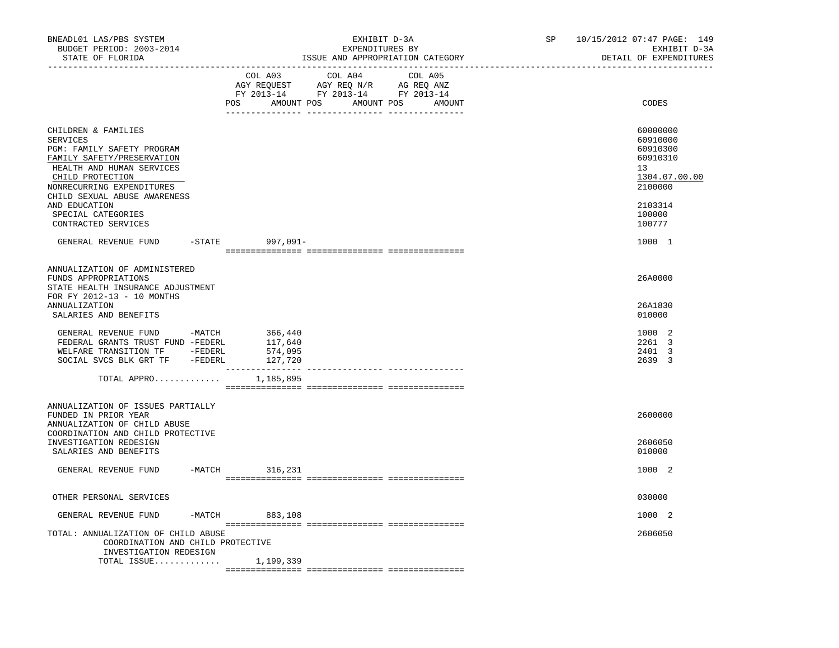| BNEADL01 LAS/PBS SYSTEM<br>BUDGET PERIOD: 2003-2014<br>STATE OF FLORIDA                                                                                                                                                                                                 | EXHIBIT D-3A<br>EXPENDITURES BY<br>ISSUE AND APPROPRIATION CATEGORY                                                                         | 10/15/2012 07:47 PAGE: 149<br>SP<br>EXHIBIT D-3A<br>DETAIL OF EXPENDITURES                                                 |
|-------------------------------------------------------------------------------------------------------------------------------------------------------------------------------------------------------------------------------------------------------------------------|---------------------------------------------------------------------------------------------------------------------------------------------|----------------------------------------------------------------------------------------------------------------------------|
|                                                                                                                                                                                                                                                                         | COL A03<br>COL A04<br>COL A05<br>AGY REQUEST AGY REQ N/R AG REQ ANZ<br>FY 2013-14 FY 2013-14 FY 2013-14<br>POS AMOUNT POS AMOUNT POS AMOUNT | CODES                                                                                                                      |
| CHILDREN & FAMILIES<br>SERVICES<br>PGM: FAMILY SAFETY PROGRAM<br>FAMILY SAFETY/PRESERVATION<br>HEALTH AND HUMAN SERVICES<br>CHILD PROTECTION<br>NONRECURRING EXPENDITURES<br>CHILD SEXUAL ABUSE AWARENESS<br>AND EDUCATION<br>SPECIAL CATEGORIES<br>CONTRACTED SERVICES |                                                                                                                                             | 60000000<br>60910000<br>60910300<br>60910310<br>13 <sup>°</sup><br>1304.07.00.00<br>2100000<br>2103314<br>100000<br>100777 |
| GENERAL REVENUE FUND -STATE 997,091-                                                                                                                                                                                                                                    |                                                                                                                                             | 1000 1                                                                                                                     |
| ANNUALIZATION OF ADMINISTERED<br>FUNDS APPROPRIATIONS<br>STATE HEALTH INSURANCE ADJUSTMENT<br>FOR FY 2012-13 - 10 MONTHS<br>ANNUALIZATION<br>SALARIES AND BENEFITS                                                                                                      |                                                                                                                                             | 26A0000<br>26A1830<br>010000                                                                                               |
| GENERAL REVENUE FUND -MATCH<br>FEDERAL GRANTS TRUST FUND -FEDERL<br>WELFARE TRANSITION TF -FEDERL<br>SOCIAL SVCS BLK GRT TF -FEDERL                                                                                                                                     | 366,440<br>117,640<br>574,095<br>127,720                                                                                                    | 1000 2<br>2261 3<br>2401 3<br>2639 3                                                                                       |
| TOTAL APPRO $1,185,895$                                                                                                                                                                                                                                                 | ----------------                                                                                                                            |                                                                                                                            |
| ANNUALIZATION OF ISSUES PARTIALLY<br>FUNDED IN PRIOR YEAR<br>ANNUALIZATION OF CHILD ABUSE<br>COORDINATION AND CHILD PROTECTIVE<br>INVESTIGATION REDESIGN<br>SALARIES AND BENEFITS                                                                                       |                                                                                                                                             | 2600000<br>2606050<br>010000                                                                                               |
| GENERAL REVENUE FUND                                                                                                                                                                                                                                                    | -MATCH 316,231                                                                                                                              | 1000 2                                                                                                                     |
| OTHER PERSONAL SERVICES                                                                                                                                                                                                                                                 |                                                                                                                                             | 030000                                                                                                                     |
| GENERAL REVENUE FUND                                                                                                                                                                                                                                                    | $-MATCH$ 883,108                                                                                                                            | 1000 2                                                                                                                     |
| TOTAL: ANNUALIZATION OF CHILD ABUSE<br>COORDINATION AND CHILD PROTECTIVE<br>INVESTIGATION REDESIGN                                                                                                                                                                      |                                                                                                                                             | 2606050                                                                                                                    |
| TOTAL ISSUE $1,199,339$                                                                                                                                                                                                                                                 |                                                                                                                                             |                                                                                                                            |
|                                                                                                                                                                                                                                                                         |                                                                                                                                             |                                                                                                                            |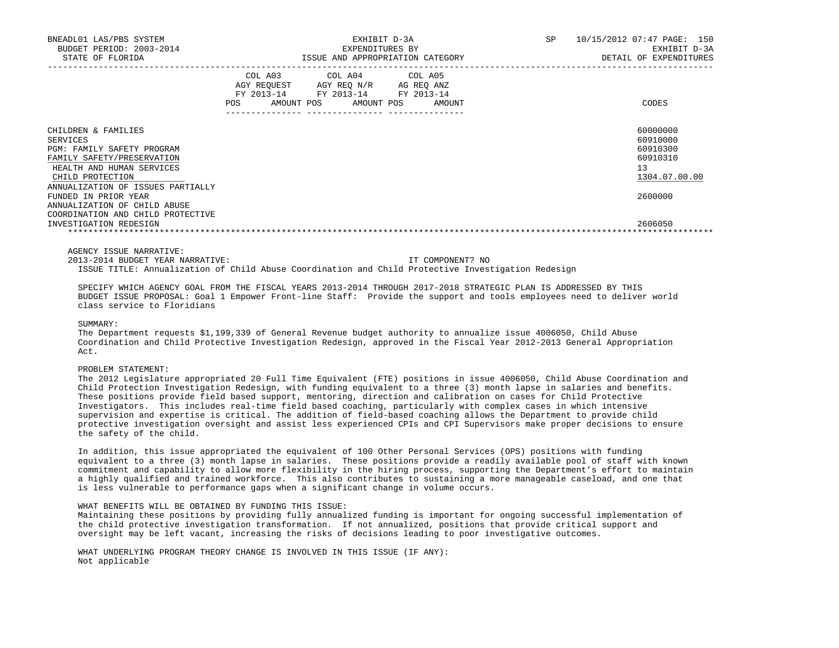| BNEADL01 LAS/PBS SYSTEM<br>BUDGET PERIOD: 2003-2014<br>STATE OF FLORIDA                                                                                                                  |                                                                    | EXHIBIT D-3A<br>EXPENDITURES BY<br>ISSUE AND APPROPRIATION CATEGORY |                      | SP | 10/15/2012 07:47 PAGE: 150<br>EXHIBIT D-3A<br>DETAIL OF EXPENDITURES |
|------------------------------------------------------------------------------------------------------------------------------------------------------------------------------------------|--------------------------------------------------------------------|---------------------------------------------------------------------|----------------------|----|----------------------------------------------------------------------|
|                                                                                                                                                                                          | COL A03<br>AGY REOUEST AGY REO N/R<br>FY 2013-14 FY 2013-14<br>POS | COL A04 COL A05<br>AG REO ANZ<br>AMOUNT POS AMOUNT POS              | FY 2013-14<br>AMOUNT |    | CODES                                                                |
| CHILDREN & FAMILIES<br>SERVICES<br><b>PGM: FAMILY SAFETY PROGRAM</b><br>FAMILY SAFETY/PRESERVATION<br>HEALTH AND HUMAN SERVICES<br>CHILD PROTECTION<br>ANNUALIZATION OF ISSUES PARTIALLY |                                                                    |                                                                     |                      |    | 60000000<br>60910000<br>60910300<br>60910310<br>13<br>1304.07.00.00  |
| FUNDED IN PRIOR YEAR<br>ANNUALIZATION OF CHILD ABUSE<br>COORDINATION AND CHILD PROTECTIVE                                                                                                |                                                                    |                                                                     |                      |    | 2600000                                                              |
| INVESTIGATION REDESIGN                                                                                                                                                                   |                                                                    |                                                                     |                      |    | 2606050                                                              |

AGENCY ISSUE NARRATIVE:

 2013-2014 BUDGET YEAR NARRATIVE: IT COMPONENT? NO ISSUE TITLE: Annualization of Child Abuse Coordination and Child Protective Investigation Redesign

 SPECIFY WHICH AGENCY GOAL FROM THE FISCAL YEARS 2013-2014 THROUGH 2017-2018 STRATEGIC PLAN IS ADDRESSED BY THIS BUDGET ISSUE PROPOSAL: Goal 1 Empower Front-line Staff: Provide the support and tools employees need to deliver world class service to Floridians

SUMMARY:

 The Department requests \$1,199,339 of General Revenue budget authority to annualize issue 4006050, Child Abuse Coordination and Child Protective Investigation Redesign, approved in the Fiscal Year 2012-2013 General Appropriation Act.

## PROBLEM STATEMENT:

 The 2012 Legislature appropriated 20 Full Time Equivalent (FTE) positions in issue 4006050, Child Abuse Coordination and Child Protection Investigation Redesign, with funding equivalent to a three (3) month lapse in salaries and benefits. These positions provide field based support, mentoring, direction and calibration on cases for Child Protective Investigators. This includes real-time field based coaching, particularly with complex cases in which intensive supervision and expertise is critical. The addition of field-based coaching allows the Department to provide child protective investigation oversight and assist less experienced CPIs and CPI Supervisors make proper decisions to ensure the safety of the child.

 In addition, this issue appropriated the equivalent of 100 Other Personal Services (OPS) positions with funding equivalent to a three (3) month lapse in salaries. These positions provide a readily available pool of staff with known commitment and capability to allow more flexibility in the hiring process, supporting the Department's effort to maintain a highly qualified and trained workforce. This also contributes to sustaining a more manageable caseload, and one that is less vulnerable to performance gaps when a significant change in volume occurs.

#### WHAT BENEFITS WILL BE OBTAINED BY FUNDING THIS ISSUE:

 Maintaining these positions by providing fully annualized funding is important for ongoing successful implementation of the child protective investigation transformation. If not annualized, positions that provide critical support and oversight may be left vacant, increasing the risks of decisions leading to poor investigative outcomes.

 WHAT UNDERLYING PROGRAM THEORY CHANGE IS INVOLVED IN THIS ISSUE (IF ANY): Not applicable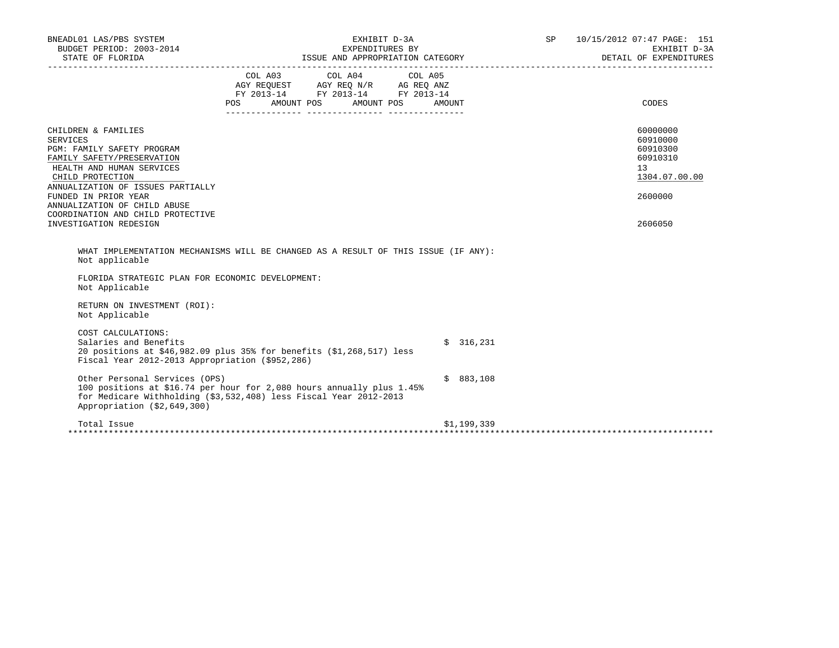| BNEADL01 LAS/PBS SYSTEM<br>BUDGET PERIOD: 2003-2014                                                                                                                                                                                                                                                             | EXHIBIT D-3A<br>EXPENDITURES BY<br>STATE OF FLORIDA PERPENDITULE ISSUE AND APPROPRIATION CATEGORY PERPENDITULE DETAIL OF EXPENDITULE ISSUE AND APPROPRIATION CATEGORY DETAIL OF EXPENDITULE DETAIL OF EXPENDITULE |             | SP 10/15/2012 07:47 PAGE: 151<br>EXHIBIT D-3A<br>DETAIL OF EXPENDITURES                   |  |
|-----------------------------------------------------------------------------------------------------------------------------------------------------------------------------------------------------------------------------------------------------------------------------------------------------------------|-------------------------------------------------------------------------------------------------------------------------------------------------------------------------------------------------------------------|-------------|-------------------------------------------------------------------------------------------|--|
|                                                                                                                                                                                                                                                                                                                 | COL A03 COL A04 COL A05<br>AGY REQUEST AGY REQ N/R AG REQ ANZ<br>FY 2013-14 FY 2013-14 FY 2013-14<br>POS FOR<br>AMOUNT POS AMOUNT POS                                                                             | AMOUNT      | <b>CODES</b>                                                                              |  |
| CHILDREN & FAMILIES<br><b>SERVICES</b><br>PGM: FAMILY SAFETY PROGRAM<br>FAMILY SAFETY/PRESERVATION<br>HEALTH AND HUMAN SERVICES<br>CHILD PROTECTION<br>ANNUALIZATION OF ISSUES PARTIALLY<br>FUNDED IN PRIOR YEAR<br>ANNUALIZATION OF CHILD ABUSE<br>COORDINATION AND CHILD PROTECTIVE<br>INVESTIGATION REDESIGN |                                                                                                                                                                                                                   |             | 60000000<br>60910000<br>60910300<br>60910310<br>13<br>1304.07.00.00<br>2600000<br>2606050 |  |
| Not applicable<br>FLORIDA STRATEGIC PLAN FOR ECONOMIC DEVELOPMENT:                                                                                                                                                                                                                                              | WHAT IMPLEMENTATION MECHANISMS WILL BE CHANGED AS A RESULT OF THIS ISSUE (IF ANY):                                                                                                                                |             |                                                                                           |  |
| Not Applicable<br>RETURN ON INVESTMENT (ROI):<br>Not Applicable                                                                                                                                                                                                                                                 |                                                                                                                                                                                                                   |             |                                                                                           |  |
| COST CALCULATIONS:<br>Salaries and Benefits<br>Fiscal Year 2012-2013 Appropriation (\$952,286)                                                                                                                                                                                                                  | 20 positions at \$46,982.09 plus 35% for benefits (\$1,268,517) less                                                                                                                                              | \$316,231   |                                                                                           |  |
| Other Personal Services (OPS)<br>Appropriation (\$2,649,300)                                                                                                                                                                                                                                                    | 100 positions at \$16.74 per hour for 2,080 hours annually plus 1.45%<br>for Medicare Withholding (\$3,532,408) less Fiscal Year 2012-2013                                                                        | \$883,108   |                                                                                           |  |
| Total Issue                                                                                                                                                                                                                                                                                                     |                                                                                                                                                                                                                   | \$1,199,339 |                                                                                           |  |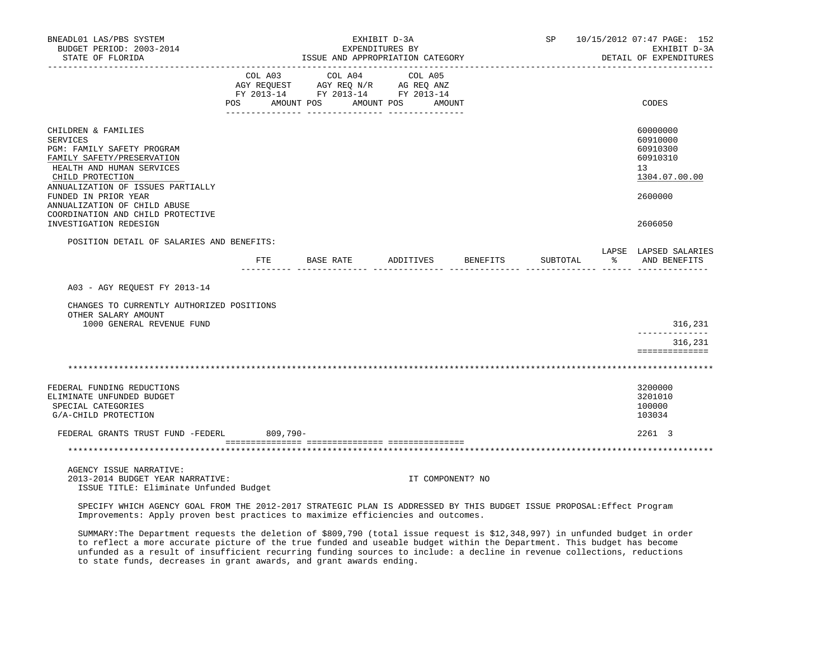| BNEADL01 LAS/PBS SYSTEM<br>BUDGET PERIOD: 2003-2014<br>STATE OF FLORIDA                                                                                                                                          |     |             |                  | EXHIBIT D-3A<br>EXPENDITURES BY<br>ISSUE AND APPROPRIATION CATEGORY               |           |                   | SP 10/15/2012 07:47 PAGE: 152<br>EXHIBIT D-3A<br>DETAIL OF EXPENDITURES |          |    |                                                                                |
|------------------------------------------------------------------------------------------------------------------------------------------------------------------------------------------------------------------|-----|-------------|------------------|-----------------------------------------------------------------------------------|-----------|-------------------|-------------------------------------------------------------------------|----------|----|--------------------------------------------------------------------------------|
|                                                                                                                                                                                                                  |     | COL A03     |                  | COL A04<br>AGY REQUEST AGY REQ N/R AG REQ ANZ<br>FY 2013-14 FY 2013-14 FY 2013-14 |           | COL A05           |                                                                         |          |    |                                                                                |
|                                                                                                                                                                                                                  | POS | AMOUNT POS  |                  |                                                                                   |           | AMOUNT POS AMOUNT |                                                                         |          |    | CODES                                                                          |
| CHILDREN & FAMILIES<br><b>SERVICES</b><br>PGM: FAMILY SAFETY PROGRAM<br>FAMILY SAFETY/PRESERVATION<br>HEALTH AND HUMAN SERVICES<br>CHILD PROTECTION<br>ANNUALIZATION OF ISSUES PARTIALLY<br>FUNDED IN PRIOR YEAR |     |             |                  |                                                                                   |           |                   |                                                                         |          |    | 60000000<br>60910000<br>60910300<br>60910310<br>13<br>1304.07.00.00<br>2600000 |
| ANNUALIZATION OF CHILD ABUSE<br>COORDINATION AND CHILD PROTECTIVE<br>INVESTIGATION REDESIGN                                                                                                                      |     |             |                  |                                                                                   |           |                   |                                                                         |          |    | 2606050                                                                        |
| POSITION DETAIL OF SALARIES AND BENEFITS:                                                                                                                                                                        |     |             |                  |                                                                                   |           |                   |                                                                         |          |    |                                                                                |
|                                                                                                                                                                                                                  |     | ETE         | <b>BASE RATE</b> |                                                                                   | ADDITIVES |                   | <b>BENEFITS</b>                                                         | SUBTOTAL | ႜၟ | LAPSE LAPSED SALARIES<br>AND BENEFITS                                          |
| A03 - AGY REOUEST FY 2013-14                                                                                                                                                                                     |     |             |                  |                                                                                   |           |                   |                                                                         |          |    |                                                                                |
| CHANGES TO CURRENTLY AUTHORIZED POSITIONS<br>OTHER SALARY AMOUNT                                                                                                                                                 |     |             |                  |                                                                                   |           |                   |                                                                         |          |    |                                                                                |
| 1000 GENERAL REVENUE FUND                                                                                                                                                                                        |     |             |                  |                                                                                   |           |                   |                                                                         |          |    | 316,231                                                                        |
|                                                                                                                                                                                                                  |     |             |                  |                                                                                   |           |                   |                                                                         |          |    | 316,231<br>==============                                                      |
|                                                                                                                                                                                                                  |     |             |                  |                                                                                   |           |                   |                                                                         |          |    |                                                                                |
| FEDERAL FUNDING REDUCTIONS<br>ELIMINATE UNFUNDED BUDGET<br>SPECIAL CATEGORIES<br>G/A-CHILD PROTECTION                                                                                                            |     |             |                  |                                                                                   |           |                   |                                                                         |          |    | 3200000<br>3201010<br>100000<br>103034                                         |
| FEDERAL GRANTS TRUST FUND -FEDERL                                                                                                                                                                                |     | $809,790 -$ |                  |                                                                                   |           |                   |                                                                         |          |    | 2261 3                                                                         |
|                                                                                                                                                                                                                  |     |             |                  |                                                                                   |           |                   |                                                                         |          |    |                                                                                |
| AGENCY ISSUE NARRATIVE:<br>2013-2014 BUDGET YEAR NARRATIVE:<br>ISSUE TITLE: Eliminate Unfunded Budget                                                                                                            |     |             |                  |                                                                                   |           | IT COMPONENT? NO  |                                                                         |          |    |                                                                                |

 SPECIFY WHICH AGENCY GOAL FROM THE 2012-2017 STRATEGIC PLAN IS ADDRESSED BY THIS BUDGET ISSUE PROPOSAL:Effect Program Improvements: Apply proven best practices to maximize efficiencies and outcomes.

 SUMMARY:The Department requests the deletion of \$809,790 (total issue request is \$12,348,997) in unfunded budget in order to reflect a more accurate picture of the true funded and useable budget within the Department. This budget has become unfunded as a result of insufficient recurring funding sources to include: a decline in revenue collections, reductions to state funds, decreases in grant awards, and grant awards ending.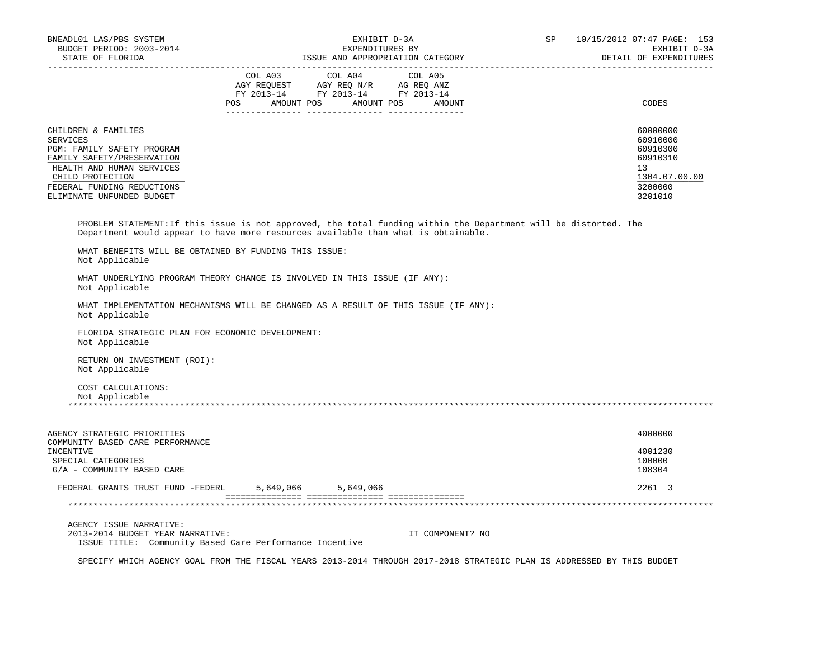| BNEADL01 LAS/PBS SYSTEM<br>BUDGET PERIOD: 2003-2014<br>STATE OF FLORIDA                                                                                                                                        | EXHIBIT D-3A<br>EXPENDITURES BY<br>ISSUE AND APPROPRIATION CATEGORY                                                                                                                                   |                                                                                           |  |  |  |  |
|----------------------------------------------------------------------------------------------------------------------------------------------------------------------------------------------------------------|-------------------------------------------------------------------------------------------------------------------------------------------------------------------------------------------------------|-------------------------------------------------------------------------------------------|--|--|--|--|
|                                                                                                                                                                                                                | $\begin{tabular}{lcccc} COL A03 & COL A04 & COL A05 \\ AGY REQUEST & AGY REQ N/R & AG REQ ANZ \\ FY & 2013-14 & FY & 2013-14 & FY & 2013-14 \end{tabular}$<br>POS AMOUNT POS AMOUNT POS AMOUNT        | CODES                                                                                     |  |  |  |  |
| CHILDREN & FAMILIES<br><b>SERVICES</b><br>PGM: FAMILY SAFETY PROGRAM<br>FAMILY SAFETY/PRESERVATION<br>HEALTH AND HUMAN SERVICES<br>CHILD PROTECTION<br>FEDERAL FUNDING REDUCTIONS<br>ELIMINATE UNFUNDED BUDGET |                                                                                                                                                                                                       | 60000000<br>60910000<br>60910300<br>60910310<br>13<br>1304.07.00.00<br>3200000<br>3201010 |  |  |  |  |
| WHAT BENEFITS WILL BE OBTAINED BY FUNDING THIS ISSUE:                                                                                                                                                          | PROBLEM STATEMENT: If this issue is not approved, the total funding within the Department will be distorted. The<br>Department would appear to have more resources available than what is obtainable. |                                                                                           |  |  |  |  |
| Not Applicable<br>Not Applicable<br>Not Applicable                                                                                                                                                             | WHAT UNDERLYING PROGRAM THEORY CHANGE IS INVOLVED IN THIS ISSUE (IF ANY):<br>WHAT IMPLEMENTATION MECHANISMS WILL BE CHANGED AS A RESULT OF THIS ISSUE (IF ANY):                                       |                                                                                           |  |  |  |  |
| FLORIDA STRATEGIC PLAN FOR ECONOMIC DEVELOPMENT:<br>Not Applicable                                                                                                                                             |                                                                                                                                                                                                       |                                                                                           |  |  |  |  |
| RETURN ON INVESTMENT (ROI):<br>Not Applicable                                                                                                                                                                  |                                                                                                                                                                                                       |                                                                                           |  |  |  |  |
| COST CALCULATIONS:<br>Not Applicable                                                                                                                                                                           |                                                                                                                                                                                                       |                                                                                           |  |  |  |  |
| AGENCY STRATEGIC PRIORITIES<br>COMMUNITY BASED CARE PERFORMANCE                                                                                                                                                |                                                                                                                                                                                                       | 4000000                                                                                   |  |  |  |  |
| INCENTIVE<br>SPECIAL CATEGORIES<br>G/A - COMMUNITY BASED CARE                                                                                                                                                  |                                                                                                                                                                                                       | 4001230<br>100000<br>108304                                                               |  |  |  |  |
|                                                                                                                                                                                                                | FEDERAL GRANTS TRUST FUND -FEDERL 5,649,066 5,649,066                                                                                                                                                 | 2261 3                                                                                    |  |  |  |  |
|                                                                                                                                                                                                                |                                                                                                                                                                                                       |                                                                                           |  |  |  |  |
| AGENCY ISSUE NARRATIVE:<br>2013-2014 BUDGET YEAR NARRATIVE:                                                                                                                                                    | IT COMPONENT? NO<br>ISSUE TITLE: Community Based Care Performance Incentive                                                                                                                           |                                                                                           |  |  |  |  |

SPECIFY WHICH AGENCY GOAL FROM THE FISCAL YEARS 2013-2014 THROUGH 2017-2018 STRATEGIC PLAN IS ADDRESSED BY THIS BUDGET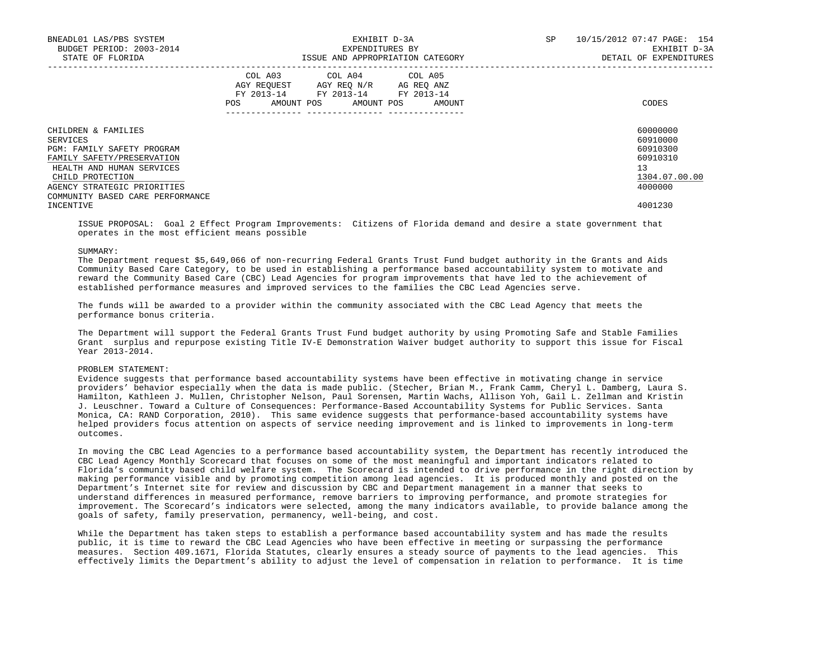| BNEADL01 LAS/PBS SYSTEM<br>BUDGET PERIOD: 2003-2014<br>STATE OF FLORIDA |     |                                                                                                                                   | EXHIBIT D-3A<br>EXPENDITURES BY<br>ISSUE AND APPROPRIATION CATEGORY | SP | 10/15/2012 07:47 PAGE: 154<br>EXHIBIT D-3A<br>DETAIL OF EXPENDITURES |
|-------------------------------------------------------------------------|-----|-----------------------------------------------------------------------------------------------------------------------------------|---------------------------------------------------------------------|----|----------------------------------------------------------------------|
|                                                                         | POS | COL A03 COL A04 COL A05<br>AGY REOUEST AGY REO N/R AG REO ANZ<br>FY 2013-14 FY 2013-14 FY 2013-14<br>AMOUNT POS AMOUNT POS AMOUNT |                                                                     |    | CODES                                                                |
| CHILDREN & FAMILIES                                                     |     |                                                                                                                                   |                                                                     |    | 60000000                                                             |
| SERVICES                                                                |     |                                                                                                                                   |                                                                     |    | 60910000                                                             |
| PGM: FAMILY SAFETY PROGRAM<br>FAMILY SAFETY/PRESERVATION                |     |                                                                                                                                   |                                                                     |    | 60910300<br>60910310                                                 |
| HEALTH AND HUMAN SERVICES                                               |     |                                                                                                                                   |                                                                     |    | 13                                                                   |
| CHILD PROTECTION                                                        |     |                                                                                                                                   |                                                                     |    | 1304.07.00.00                                                        |
| AGENCY STRATEGIC PRIORITIES                                             |     |                                                                                                                                   |                                                                     |    | 4000000                                                              |
| COMMUNITY BASED CARE PERFORMANCE                                        |     |                                                                                                                                   |                                                                     |    |                                                                      |
| INCENTIVE                                                               |     |                                                                                                                                   |                                                                     |    | 4001230                                                              |

 ISSUE PROPOSAL: Goal 2 Effect Program Improvements: Citizens of Florida demand and desire a state government that operates in the most efficient means possible

#### SUMMARY:

 The Department request \$5,649,066 of non-recurring Federal Grants Trust Fund budget authority in the Grants and Aids Community Based Care Category, to be used in establishing a performance based accountability system to motivate and reward the Community Based Care (CBC) Lead Agencies for program improvements that have led to the achievement of established performance measures and improved services to the families the CBC Lead Agencies serve.

 The funds will be awarded to a provider within the community associated with the CBC Lead Agency that meets the performance bonus criteria.

 The Department will support the Federal Grants Trust Fund budget authority by using Promoting Safe and Stable Families Grant surplus and repurpose existing Title IV-E Demonstration Waiver budget authority to support this issue for Fiscal Year 2013-2014.

## PROBLEM STATEMENT:

 Evidence suggests that performance based accountability systems have been effective in motivating change in service providers' behavior especially when the data is made public. (Stecher, Brian M., Frank Camm, Cheryl L. Damberg, Laura S. Hamilton, Kathleen J. Mullen, Christopher Nelson, Paul Sorensen, Martin Wachs, Allison Yoh, Gail L. Zellman and Kristin J. Leuschner. Toward a Culture of Consequences: Performance-Based Accountability Systems for Public Services. Santa Monica, CA: RAND Corporation, 2010). This same evidence suggests that performance-based accountability systems have helped providers focus attention on aspects of service needing improvement and is linked to improvements in long-term outcomes.

 In moving the CBC Lead Agencies to a performance based accountability system, the Department has recently introduced the CBC Lead Agency Monthly Scorecard that focuses on some of the most meaningful and important indicators related to Florida's community based child welfare system. The Scorecard is intended to drive performance in the right direction by making performance visible and by promoting competition among lead agencies. It is produced monthly and posted on the Department's Internet site for review and discussion by CBC and Department management in a manner that seeks to understand differences in measured performance, remove barriers to improving performance, and promote strategies for improvement. The Scorecard's indicators were selected, among the many indicators available, to provide balance among the goals of safety, family preservation, permanency, well-being, and cost.

 While the Department has taken steps to establish a performance based accountability system and has made the results public, it is time to reward the CBC Lead Agencies who have been effective in meeting or surpassing the performance measures. Section 409.1671, Florida Statutes, clearly ensures a steady source of payments to the lead agencies. This effectively limits the Department's ability to adjust the level of compensation in relation to performance. It is time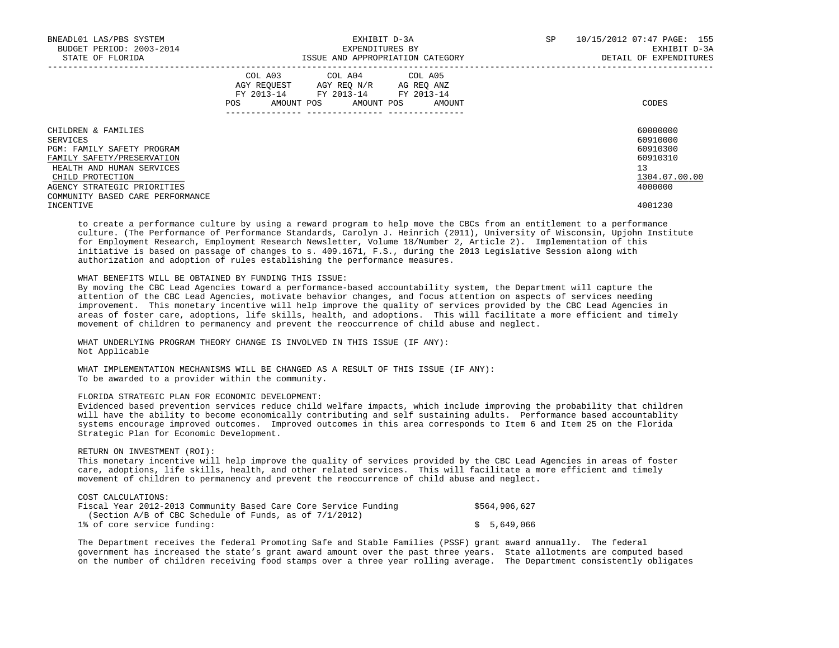| BNEADL01 LAS/PBS SYSTEM<br>BUDGET PERIOD: 2003-2014<br>STATE OF FLORIDA | EXHIBIT D-3A<br>EXPENDITURES BY<br>ISSUE AND APPROPRIATION CATEGORY |                                                                                          |             |            |  |                      |  | SP | 10/15/2012 07:47 PAGE: 155<br>EXHIBIT D-3A<br>DETAIL OF EXPENDITURES |
|-------------------------------------------------------------------------|---------------------------------------------------------------------|------------------------------------------------------------------------------------------|-------------|------------|--|----------------------|--|----|----------------------------------------------------------------------|
|                                                                         | POS                                                                 | COL A03 COL A04 COL A05<br>AGY REOUEST<br>FY 2013-14 FY 2013-14 FY 2013-14<br>AMOUNT POS | AGY REO N/R | AMOUNT POS |  | AG REO ANZ<br>AMOUNT |  |    | CODES                                                                |
| CHILDREN & FAMILIES                                                     |                                                                     |                                                                                          |             |            |  |                      |  |    | 60000000                                                             |
| SERVICES                                                                |                                                                     |                                                                                          |             |            |  |                      |  |    | 60910000                                                             |
| PGM: FAMILY SAFETY PROGRAM                                              |                                                                     |                                                                                          |             |            |  |                      |  |    | 60910300                                                             |
| FAMILY SAFETY/PRESERVATION                                              |                                                                     |                                                                                          |             |            |  |                      |  |    | 60910310                                                             |
| HEALTH AND HUMAN SERVICES                                               |                                                                     |                                                                                          |             |            |  |                      |  |    | 13                                                                   |
| CHILD PROTECTION                                                        |                                                                     |                                                                                          |             |            |  |                      |  |    | 1304.07.00.00                                                        |
| AGENCY STRATEGIC PRIORITIES                                             |                                                                     |                                                                                          |             |            |  |                      |  |    | 4000000                                                              |
| COMMUNITY BASED CARE PERFORMANCE                                        |                                                                     |                                                                                          |             |            |  |                      |  |    |                                                                      |
| INCENTIVE                                                               |                                                                     |                                                                                          |             |            |  |                      |  |    | 4001230                                                              |

 to create a performance culture by using a reward program to help move the CBCs from an entitlement to a performance culture. (The Performance of Performance Standards, Carolyn J. Heinrich (2011), University of Wisconsin, Upjohn Institute for Employment Research, Employment Research Newsletter, Volume 18/Number 2, Article 2). Implementation of this initiative is based on passage of changes to s. 409.1671, F.S., during the 2013 Legislative Session along with authorization and adoption of rules establishing the performance measures.

## WHAT BENEFITS WILL BE OBTAINED BY FUNDING THIS ISSUE:

 By moving the CBC Lead Agencies toward a performance-based accountability system, the Department will capture the attention of the CBC Lead Agencies, motivate behavior changes, and focus attention on aspects of services needing improvement. This monetary incentive will help improve the quality of services provided by the CBC Lead Agencies in areas of foster care, adoptions, life skills, health, and adoptions. This will facilitate a more efficient and timely movement of children to permanency and prevent the reoccurrence of child abuse and neglect.

 WHAT UNDERLYING PROGRAM THEORY CHANGE IS INVOLVED IN THIS ISSUE (IF ANY): Not Applicable

WHAT IMPLEMENTATION MECHANISMS WILL BE CHANGED AS A RESULT OF THIS ISSUE (IF ANY): To be awarded to a provider within the community.

### FLORIDA STRATEGIC PLAN FOR ECONOMIC DEVELOPMENT:

 Evidenced based prevention services reduce child welfare impacts, which include improving the probability that children will have the ability to become economically contributing and self sustaining adults. Performance based accountablity systems encourage improved outcomes. Improved outcomes in this area corresponds to Item 6 and Item 25 on the Florida Strategic Plan for Economic Development.

## RETURN ON INVESTMENT (ROI):

 This monetary incentive will help improve the quality of services provided by the CBC Lead Agencies in areas of foster care, adoptions, life skills, health, and other related services. This will facilitate a more efficient and timely movement of children to permanency and prevent the reoccurrence of child abuse and neglect.

#### COST CALCULATIONS:

| Fiscal Year 2012-2013 Community Based Care Core Service Funding | \$564,906,627 |
|-----------------------------------------------------------------|---------------|
| (Section $A/B$ of CBC Schedule of Funds, as of $7/1/2012$ )     |               |
| 1% of core service funding:                                     | \$5,649,066   |

 The Department receives the federal Promoting Safe and Stable Families (PSSF) grant award annually. The federal government has increased the state's grant award amount over the past three years. State allotments are computed based on the number of children receiving food stamps over a three year rolling average. The Department consistently obligates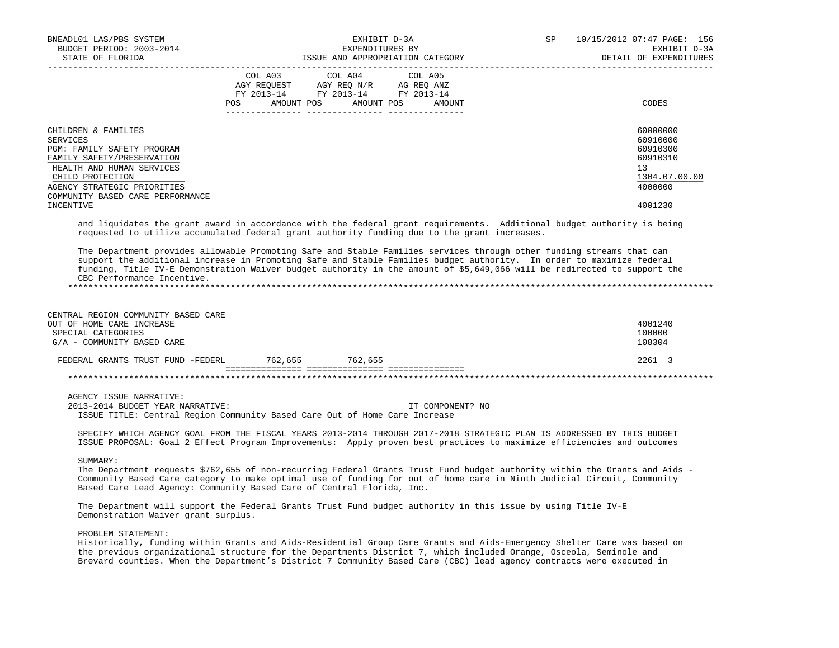| BNEADL01 LAS/PBS SYSTEM<br>BUDGET PERIOD: 2003-2014<br>STATE OF FLORIDA                                                                                                                                                      |     | EXPENDITURES BY                                                                                                            | EXHIBIT D-3A<br>ISSUE AND APPROPRIATION CATEGORY | SP | 10/15/2012 07:47 PAGE: 156<br>EXHIBIT D-3A<br>DETAIL OF EXPENDITURES                      |
|------------------------------------------------------------------------------------------------------------------------------------------------------------------------------------------------------------------------------|-----|----------------------------------------------------------------------------------------------------------------------------|--------------------------------------------------|----|-------------------------------------------------------------------------------------------|
|                                                                                                                                                                                                                              | POS | COL A03 COL A04 COL A05<br>AGY REQUEST AGY REQ N/R AG REQ ANZ<br>FY 2013-14 FY 2013-14 FY 2013-14<br>AMOUNT POS AMOUNT POS | AMOUNT                                           |    | CODES                                                                                     |
| CHILDREN & FAMILIES<br>SERVICES<br>PGM: FAMILY SAFETY PROGRAM<br>FAMILY SAFETY/PRESERVATION<br>HEALTH AND HUMAN SERVICES<br>CHILD PROTECTION<br>AGENCY STRATEGIC PRIORITIES<br>COMMUNITY BASED CARE PERFORMANCE<br>INCENTIVE |     |                                                                                                                            |                                                  |    | 60000000<br>60910000<br>60910300<br>60910310<br>13<br>1304.07.00.00<br>4000000<br>4001230 |
| and liquidates the grant award in accordance with the federal grant requirements. Additional budget authority is being                                                                                                       |     |                                                                                                                            |                                                  |    |                                                                                           |

requested to utilize accumulated federal grant authority funding due to the grant increases.

 The Department provides allowable Promoting Safe and Stable Families services through other funding streams that can support the additional increase in Promoting Safe and Stable Families budget authority. In order to maximize federal funding, Title IV-E Demonstration Waiver budget authority in the amount of \$5,649,066 will be redirected to support the CBC Performance Incentive. \*\*\*\*\*\*\*\*\*\*\*\*\*\*\*\*\*\*\*\*\*\*\*\*\*\*\*\*\*\*\*\*\*\*\*\*\*\*\*\*\*\*\*\*\*\*\*\*\*\*\*\*\*\*\*\*\*\*\*\*\*\*\*\*\*\*\*\*\*\*\*\*\*\*\*\*\*\*\*\*\*\*\*\*\*\*\*\*\*\*\*\*\*\*\*\*\*\*\*\*\*\*\*\*\*\*\*\*\*\*\*\*\*\*\*\*\*\*\*\*\*\*\*\*\*\*\*

 CENTRAL REGION COMMUNITY BASED CARE OUT OF HOME CARE INCREASE 4001240<br>SPECIAL CATEGORIES 400000  $S$ PECIAL CATEGORIES 100000  $\alpha/\Delta$  –  $\alpha$  –  $\alpha$  –  $\alpha$  –  $\alpha$  –  $\alpha$  –  $\alpha$  –  $\alpha$  –  $\alpha$  –  $\alpha$  –  $\alpha$  –  $\alpha$  –  $\alpha$  –  $\alpha$  –  $\alpha$  –  $\alpha$  –  $\alpha$  –  $\alpha$  –  $\alpha$  –  $\alpha$  –  $\alpha$  –  $\alpha$  –  $\alpha$  –  $\alpha$  –  $\alpha$  –  $\alpha$  –  $\alpha$  –  $\$  $G/A$  - COMMUNITY BASED CARE FEDERAL GRANTS TRUST FUND -FEDERL 762,655 762,655 2261 3 =============== =============== =============== \*\*\*\*\*\*\*\*\*\*\*\*\*\*\*\*\*\*\*\*\*\*\*\*\*\*\*\*\*\*\*\*\*\*\*\*\*\*\*\*\*\*\*\*\*\*\*\*\*\*\*\*\*\*\*\*\*\*\*\*\*\*\*\*\*\*\*\*\*\*\*\*\*\*\*\*\*\*\*\*\*\*\*\*\*\*\*\*\*\*\*\*\*\*\*\*\*\*\*\*\*\*\*\*\*\*\*\*\*\*\*\*\*\*\*\*\*\*\*\*\*\*\*\*\*\*\*

 AGENCY ISSUE NARRATIVE: 2013-2014 BUDGET YEAR NARRATIVE: IT COMPONENT? NO ISSUE TITLE: Central Region Community Based Care Out of Home Care Increase

 SPECIFY WHICH AGENCY GOAL FROM THE FISCAL YEARS 2013-2014 THROUGH 2017-2018 STRATEGIC PLAN IS ADDRESSED BY THIS BUDGET ISSUE PROPOSAL: Goal 2 Effect Program Improvements: Apply proven best practices to maximize efficiencies and outcomes

SUMMARY:

 The Department requests \$762,655 of non-recurring Federal Grants Trust Fund budget authority within the Grants and Aids - Community Based Care category to make optimal use of funding for out of home care in Ninth Judicial Circuit, Community Based Care Lead Agency: Community Based Care of Central Florida, Inc.

 The Department will support the Federal Grants Trust Fund budget authority in this issue by using Title IV-E Demonstration Waiver grant surplus.

PROBLEM STATEMENT:

 Historically, funding within Grants and Aids-Residential Group Care Grants and Aids-Emergency Shelter Care was based on the previous organizational structure for the Departments District 7, which included Orange, Osceola, Seminole and Brevard counties. When the Department's District 7 Community Based Care (CBC) lead agency contracts were executed in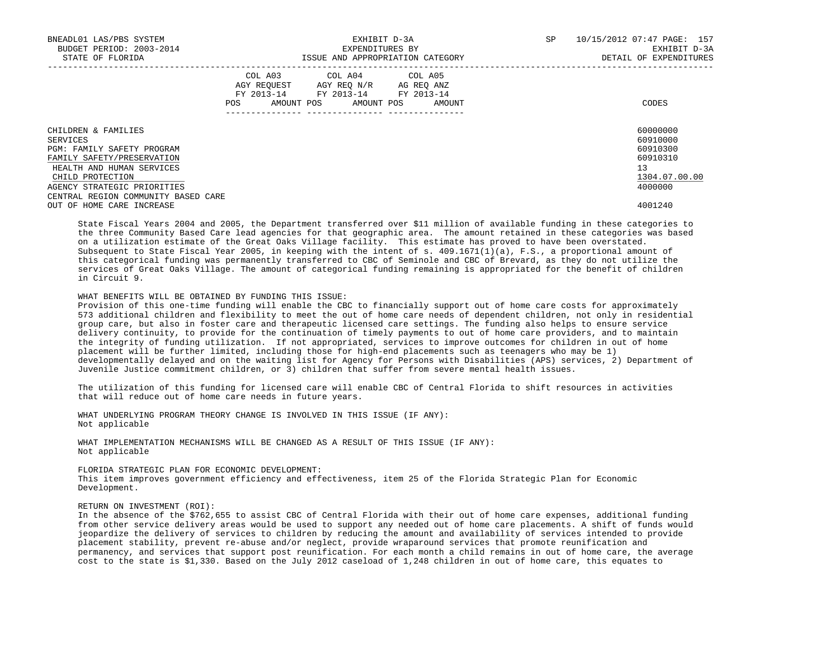| BNEADL01 LAS/PBS SYSTEM<br>BUDGET PERIOD: 2003-2014<br>STATE OF FLORIDA |     |                                                                                                   | EXHIBIT D-3A<br>EXPENDITURES BY<br>ISSUE AND APPROPRIATION CATEGORY |  | SP     | 10/15/2012 07:47 PAGE: 157<br>EXHIBIT D-3A<br>DETAIL OF EXPENDITURES |                      |
|-------------------------------------------------------------------------|-----|---------------------------------------------------------------------------------------------------|---------------------------------------------------------------------|--|--------|----------------------------------------------------------------------|----------------------|
|                                                                         | POS | COL A03 COL A04 COL A05<br>AGY REQUEST AGY REO N/R AG REO ANZ<br>FY 2013-14 FY 2013-14 FY 2013-14 | AMOUNT POS AMOUNT POS                                               |  | AMOUNT |                                                                      | CODES                |
| CHILDREN & FAMILIES                                                     |     |                                                                                                   |                                                                     |  |        |                                                                      | 60000000             |
| SERVICES<br><b>PGM: FAMILY SAFETY PROGRAM</b>                           |     |                                                                                                   |                                                                     |  |        |                                                                      | 60910000<br>60910300 |
| FAMILY SAFETY/PRESERVATION                                              |     |                                                                                                   |                                                                     |  |        |                                                                      | 60910310             |
| HEALTH AND HUMAN SERVICES                                               |     |                                                                                                   |                                                                     |  |        |                                                                      | 13                   |
| CHILD PROTECTION                                                        |     |                                                                                                   |                                                                     |  |        |                                                                      | 1304.07.00.00        |
| AGENCY STRATEGIC PRIORITIES                                             |     |                                                                                                   |                                                                     |  |        |                                                                      | 4000000              |
| CENTRAL REGION COMMUNITY BASED CARE                                     |     |                                                                                                   |                                                                     |  |        |                                                                      |                      |
| OUT OF HOME CARE INCREASE                                               |     |                                                                                                   |                                                                     |  |        |                                                                      | 4001240              |

 State Fiscal Years 2004 and 2005, the Department transferred over \$11 million of available funding in these categories to the three Community Based Care lead agencies for that geographic area. The amount retained in these categories was based on a utilization estimate of the Great Oaks Village facility. This estimate has proved to have been overstated. Subsequent to State Fiscal Year 2005, in keeping with the intent of s. 409.1671(1)(a), F.S., a proportional amount of this categorical funding was permanently transferred to CBC of Seminole and CBC of Brevard, as they do not utilize the services of Great Oaks Village. The amount of categorical funding remaining is appropriated for the benefit of children in Circuit 9.

WHAT BENEFITS WILL BE OBTAINED BY FUNDING THIS ISSUE:

 Provision of this one-time funding will enable the CBC to financially support out of home care costs for approximately 573 additional children and flexibility to meet the out of home care needs of dependent children, not only in residential group care, but also in foster care and therapeutic licensed care settings. The funding also helps to ensure service delivery continuity, to provide for the continuation of timely payments to out of home care providers, and to maintain the integrity of funding utilization. If not appropriated, services to improve outcomes for children in out of home placement will be further limited, including those for high-end placements such as teenagers who may be 1) developmentally delayed and on the waiting list for Agency for Persons with Disabilities (APS) services, 2) Department of Juvenile Justice commitment children, or 3) children that suffer from severe mental health issues.

 The utilization of this funding for licensed care will enable CBC of Central Florida to shift resources in activities that will reduce out of home care needs in future years.

 WHAT UNDERLYING PROGRAM THEORY CHANGE IS INVOLVED IN THIS ISSUE (IF ANY): Not applicable

 WHAT IMPLEMENTATION MECHANISMS WILL BE CHANGED AS A RESULT OF THIS ISSUE (IF ANY): Not applicable

# FLORIDA STRATEGIC PLAN FOR ECONOMIC DEVELOPMENT:

 This item improves government efficiency and effectiveness, item 25 of the Florida Strategic Plan for Economic Development.

## RETURN ON INVESTMENT (ROI):

 In the absence of the \$762,655 to assist CBC of Central Florida with their out of home care expenses, additional funding from other service delivery areas would be used to support any needed out of home care placements. A shift of funds would jeopardize the delivery of services to children by reducing the amount and availability of services intended to provide placement stability, prevent re-abuse and/or neglect, provide wraparound services that promote reunification and permanency, and services that support post reunification. For each month a child remains in out of home care, the average cost to the state is \$1,330. Based on the July 2012 caseload of 1,248 children in out of home care, this equates to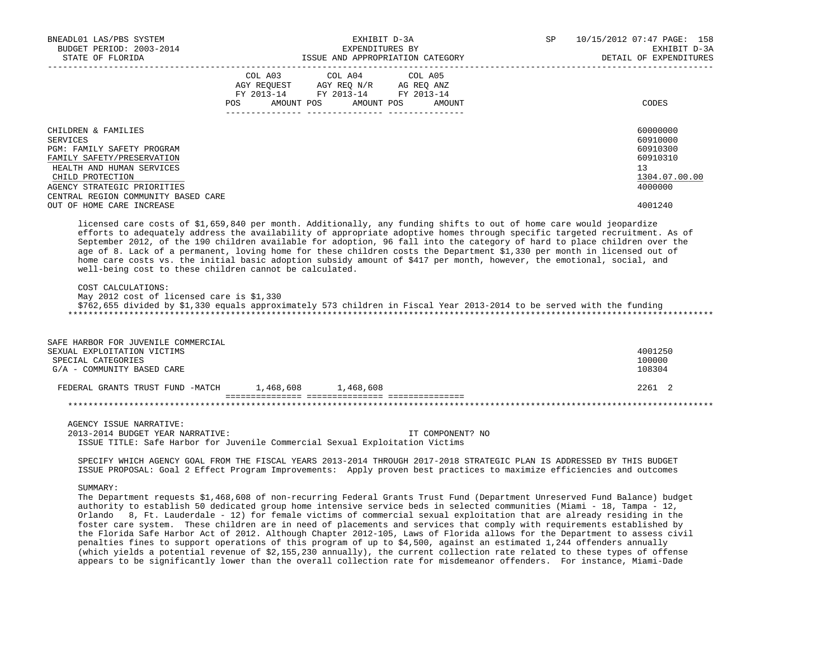| BNEADL01 LAS/PBS SYSTEM<br>BUDGET PERIOD: 2003-2014<br>STATE OF FLORIDA | EXHIBIT D-3A<br>EXPENDITURES BY<br>LAFENDILIONED DI                                                                                                                                                                                                                                                                                                                                                                                                                                                                                                              | SP | 10/15/2012 07:47 PAGE: 158<br>EXHIBIT D-3A<br>DETAIL OF EXPENDITURES |
|-------------------------------------------------------------------------|------------------------------------------------------------------------------------------------------------------------------------------------------------------------------------------------------------------------------------------------------------------------------------------------------------------------------------------------------------------------------------------------------------------------------------------------------------------------------------------------------------------------------------------------------------------|----|----------------------------------------------------------------------|
|                                                                         | COL A03 COL A04 COL A05                                                                                                                                                                                                                                                                                                                                                                                                                                                                                                                                          |    |                                                                      |
|                                                                         | AGY REQUEST AGY REQ N/R AG REQ ANZ                                                                                                                                                                                                                                                                                                                                                                                                                                                                                                                               |    |                                                                      |
|                                                                         | FY 2013-14 FY 2013-14 FY 2013-14                                                                                                                                                                                                                                                                                                                                                                                                                                                                                                                                 |    |                                                                      |
|                                                                         | POS AMOUNT POS<br>AMOUNT POS<br>AMOUNT                                                                                                                                                                                                                                                                                                                                                                                                                                                                                                                           |    | CODES                                                                |
| CHILDREN & FAMILIES                                                     |                                                                                                                                                                                                                                                                                                                                                                                                                                                                                                                                                                  |    | 60000000                                                             |
| SERVICES                                                                |                                                                                                                                                                                                                                                                                                                                                                                                                                                                                                                                                                  |    | 60910000                                                             |
| PGM: FAMILY SAFETY PROGRAM                                              |                                                                                                                                                                                                                                                                                                                                                                                                                                                                                                                                                                  |    | 60910300                                                             |
| FAMILY SAFETY/PRESERVATION                                              |                                                                                                                                                                                                                                                                                                                                                                                                                                                                                                                                                                  |    | 60910310                                                             |
| HEALTH AND HUMAN SERVICES                                               |                                                                                                                                                                                                                                                                                                                                                                                                                                                                                                                                                                  |    | 13 <sup>°</sup>                                                      |
| CHILD PROTECTION                                                        |                                                                                                                                                                                                                                                                                                                                                                                                                                                                                                                                                                  |    | 1304.07.00.00                                                        |
| AGENCY STRATEGIC PRIORITIES                                             |                                                                                                                                                                                                                                                                                                                                                                                                                                                                                                                                                                  |    | 4000000                                                              |
| CENTRAL REGION COMMUNITY BASED CARE<br>OUT OF HOME CARE INCREASE        |                                                                                                                                                                                                                                                                                                                                                                                                                                                                                                                                                                  |    | 4001240                                                              |
|                                                                         |                                                                                                                                                                                                                                                                                                                                                                                                                                                                                                                                                                  |    |                                                                      |
| COST CALCULATIONS:<br>May 2012 cost of licensed care is \$1,330         | September 2012, of the 190 children available for adoption, 96 fall into the category of hard to place children over the<br>age of 8. Lack of a permanent, loving home for these children costs the Department \$1,330 per month in licensed out of<br>home care costs vs. the initial basic adoption subsidy amount of \$417 per month, however, the emotional, social, and<br>well-being cost to these children cannot be calculated.<br>\$762,655 divided by \$1,330 equals approximately 573 children in Fiscal Year 2013-2014 to be served with the funding |    |                                                                      |
| SAFE HARBOR FOR JUVENILE COMMERCIAL                                     |                                                                                                                                                                                                                                                                                                                                                                                                                                                                                                                                                                  |    |                                                                      |
| SEXUAL EXPLOITATION VICTIMS                                             |                                                                                                                                                                                                                                                                                                                                                                                                                                                                                                                                                                  |    | 4001250                                                              |
| SPECIAL CATEGORIES                                                      |                                                                                                                                                                                                                                                                                                                                                                                                                                                                                                                                                                  |    | 100000                                                               |
| G/A - COMMUNITY BASED CARE                                              |                                                                                                                                                                                                                                                                                                                                                                                                                                                                                                                                                                  |    | 108304                                                               |
|                                                                         | FEDERAL GRANTS TRUST FUND -MATCH 1,468,608 1,468,608                                                                                                                                                                                                                                                                                                                                                                                                                                                                                                             |    | 2261 2                                                               |
|                                                                         |                                                                                                                                                                                                                                                                                                                                                                                                                                                                                                                                                                  |    |                                                                      |
| AGENCY ISSUE NARRATIVE:                                                 |                                                                                                                                                                                                                                                                                                                                                                                                                                                                                                                                                                  |    |                                                                      |
| 2013-2014 BUDGET YEAR NARRATIVE:                                        | IT COMPONENT? NO                                                                                                                                                                                                                                                                                                                                                                                                                                                                                                                                                 |    |                                                                      |
|                                                                         | ISSUE TITLE: Safe Harbor for Juvenile Commercial Sexual Exploitation Victims                                                                                                                                                                                                                                                                                                                                                                                                                                                                                     |    |                                                                      |
|                                                                         | SPECIFY WHICH AGENCY GOAL FROM THE FISCAL YEARS 2013-2014 THROUGH 2017-2018 STRATEGIC PLAN IS ADDRESSED BY THIS BUDGET<br>ISSUE PROPOSAL: Goal 2 Effect Program Improvements: Apply proven best practices to maximize efficiencies and outcomes                                                                                                                                                                                                                                                                                                                  |    |                                                                      |
| SUMMARY:                                                                |                                                                                                                                                                                                                                                                                                                                                                                                                                                                                                                                                                  |    |                                                                      |
|                                                                         | The Department requests \$1,468,608 of non-recurring Federal Grants Trust Fund (Department Unreserved Fund Balance) budget                                                                                                                                                                                                                                                                                                                                                                                                                                       |    |                                                                      |

 authority to establish 50 dedicated group home intensive service beds in selected communities (Miami - 18, Tampa - 12, Orlando 8, Ft. Lauderdale - 12) for female victims of commercial sexual exploitation that are already residing in the foster care system. These children are in need of placements and services that comply with requirements established by the Florida Safe Harbor Act of 2012. Although Chapter 2012-105, Laws of Florida allows for the Department to assess civil penalties fines to support operations of this program of up to \$4,500, against an estimated 1,244 offenders annually (which yields a potential revenue of \$2,155,230 annually), the current collection rate related to these types of offense appears to be significantly lower than the overall collection rate for misdemeanor offenders. For instance, Miami-Dade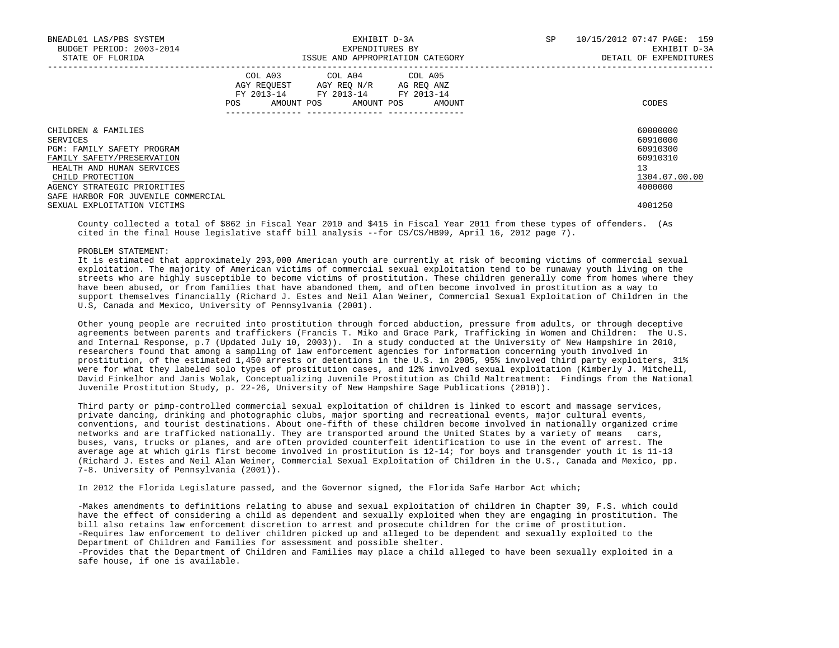| BNEADL01 LAS/PBS SYSTEM<br>BUDGET PERIOD: 2003-2014<br>STATE OF FLORIDA |     |                                                                                                                                   | EXHIBIT D-3A<br>EXPENDITURES BY<br>ISSUE AND APPROPRIATION CATEGORY | SP | 10/15/2012 07:47 PAGE: 159<br>EXHIBIT D-3A<br>DETAIL OF EXPENDITURES |                      |
|-------------------------------------------------------------------------|-----|-----------------------------------------------------------------------------------------------------------------------------------|---------------------------------------------------------------------|----|----------------------------------------------------------------------|----------------------|
|                                                                         | POS | COL A03 COL A04 COL A05<br>AGY REQUEST AGY REQ N/R AG REQ ANZ<br>FY 2013-14 FY 2013-14 FY 2013-14<br>AMOUNT POS AMOUNT POS AMOUNT |                                                                     |    |                                                                      | CODES                |
| CHILDREN & FAMILIES<br>SERVICES                                         |     |                                                                                                                                   |                                                                     |    |                                                                      | 60000000<br>60910000 |
| PGM: FAMILY SAFETY PROGRAM                                              |     |                                                                                                                                   |                                                                     |    |                                                                      | 60910300             |
| FAMILY SAFETY/PRESERVATION                                              |     |                                                                                                                                   |                                                                     |    |                                                                      | 60910310             |
| HEALTH AND HUMAN SERVICES                                               |     |                                                                                                                                   |                                                                     |    |                                                                      | 13                   |
| CHILD PROTECTION                                                        |     |                                                                                                                                   |                                                                     |    |                                                                      | 1304.07.00.00        |
| AGENCY STRATEGIC PRIORITIES                                             |     |                                                                                                                                   |                                                                     |    |                                                                      | 4000000              |
| SAFE HARBOR FOR JUVENILE COMMERCIAL                                     |     |                                                                                                                                   |                                                                     |    |                                                                      |                      |
| SEXUAL EXPLOITATION VICTIMS                                             |     |                                                                                                                                   |                                                                     |    |                                                                      | 4001250              |

 County collected a total of \$862 in Fiscal Year 2010 and \$415 in Fiscal Year 2011 from these types of offenders. (As cited in the final House legislative staff bill analysis --for CS/CS/HB99, April 16, 2012 page 7).

#### PROBLEM STATEMENT:

 It is estimated that approximately 293,000 American youth are currently at risk of becoming victims of commercial sexual exploitation. The majority of American victims of commercial sexual exploitation tend to be runaway youth living on the streets who are highly susceptible to become victims of prostitution. These children generally come from homes where they have been abused, or from families that have abandoned them, and often become involved in prostitution as a way to support themselves financially (Richard J. Estes and Neil Alan Weiner, Commercial Sexual Exploitation of Children in the U.S, Canada and Mexico, University of Pennsylvania (2001).

 Other young people are recruited into prostitution through forced abduction, pressure from adults, or through deceptive agreements between parents and traffickers (Francis T. Miko and Grace Park, Trafficking in Women and Children: The U.S. and Internal Response, p.7 (Updated July 10, 2003)). In a study conducted at the University of New Hampshire in 2010, researchers found that among a sampling of law enforcement agencies for information concerning youth involved in prostitution, of the estimated 1,450 arrests or detentions in the U.S. in 2005, 95% involved third party exploiters, 31% were for what they labeled solo types of prostitution cases, and 12% involved sexual exploitation (Kimberly J. Mitchell, David Finkelhor and Janis Wolak, Conceptualizing Juvenile Prostitution as Child Maltreatment: Findings from the National Juvenile Prostitution Study, p. 22-26, University of New Hampshire Sage Publications (2010)).

 Third party or pimp-controlled commercial sexual exploitation of children is linked to escort and massage services, private dancing, drinking and photographic clubs, major sporting and recreational events, major cultural events, conventions, and tourist destinations. About one-fifth of these children become involved in nationally organized crime networks and are trafficked nationally. They are transported around the United States by a variety of means cars, buses, vans, trucks or planes, and are often provided counterfeit identification to use in the event of arrest. The average age at which girls first become involved in prostitution is 12-14; for boys and transgender youth it is 11-13 (Richard J. Estes and Neil Alan Weiner, Commercial Sexual Exploitation of Children in the U.S., Canada and Mexico, pp. 7-8. University of Pennsylvania (2001)).

In 2012 the Florida Legislature passed, and the Governor signed, the Florida Safe Harbor Act which;

 -Makes amendments to definitions relating to abuse and sexual exploitation of children in Chapter 39, F.S. which could have the effect of considering a child as dependent and sexually exploited when they are engaging in prostitution. The bill also retains law enforcement discretion to arrest and prosecute children for the crime of prostitution. -Requires law enforcement to deliver children picked up and alleged to be dependent and sexually exploited to the Department of Children and Families for assessment and possible shelter.

 -Provides that the Department of Children and Families may place a child alleged to have been sexually exploited in a safe house, if one is available.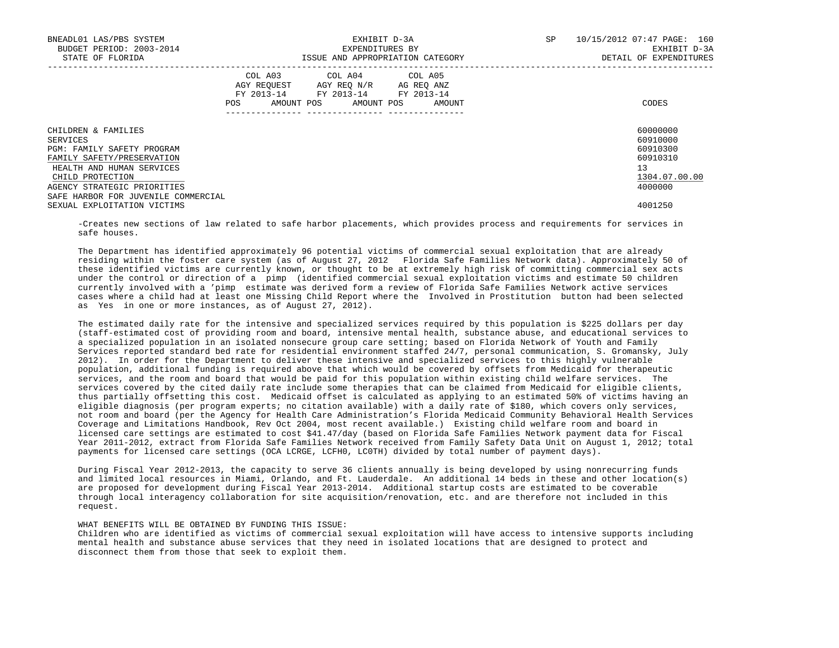| BNEADL01 LAS/PBS SYSTEM<br>BUDGET PERIOD: 2003-2014<br>STATE OF FLORIDA |     |                                                                                                                            | EXHIBIT D-3A<br>EXPENDITURES BY<br>ISSUE AND APPROPRIATION CATEGORY |        | SP | 10/15/2012 07:47 PAGE: 160<br>EXHIBIT D-3A<br>DETAIL OF EXPENDITURES |
|-------------------------------------------------------------------------|-----|----------------------------------------------------------------------------------------------------------------------------|---------------------------------------------------------------------|--------|----|----------------------------------------------------------------------|
|                                                                         | POS | COL A03 COL A04 COL A05<br>AGY REQUEST AGY REO N/R AG REO ANZ<br>FY 2013-14 FY 2013-14 FY 2013-14<br>AMOUNT POS AMOUNT POS |                                                                     | AMOUNT |    | CODES                                                                |
| CHILDREN & FAMILIES                                                     |     |                                                                                                                            |                                                                     |        |    | 60000000                                                             |
| SERVICES                                                                |     |                                                                                                                            |                                                                     |        |    | 60910000                                                             |
| <b>PGM: FAMILY SAFETY PROGRAM</b>                                       |     |                                                                                                                            |                                                                     |        |    | 60910300                                                             |
| FAMILY SAFETY/PRESERVATION                                              |     |                                                                                                                            |                                                                     |        |    | 60910310                                                             |
| HEALTH AND HUMAN SERVICES                                               |     |                                                                                                                            |                                                                     |        |    | 13                                                                   |
| CHILD PROTECTION                                                        |     |                                                                                                                            |                                                                     |        |    | 1304.07.00.00                                                        |
| AGENCY STRATEGIC PRIORITIES                                             |     |                                                                                                                            |                                                                     |        |    | 4000000                                                              |
| SAFE HARBOR FOR JUVENILE COMMERCIAL                                     |     |                                                                                                                            |                                                                     |        |    |                                                                      |
| SEXUAL EXPLOITATION VICTIMS                                             |     |                                                                                                                            |                                                                     |        |    | 4001250                                                              |

 -Creates new sections of law related to safe harbor placements, which provides process and requirements for services in safe houses.

 The Department has identified approximately 96 potential victims of commercial sexual exploitation that are already residing within the foster care system (as of August 27, 2012 Florida Safe Families Network data). Approximately 50 of these identified victims are currently known, or thought to be at extremely high risk of committing commercial sex acts under the control or direction of a pimp (identified commercial sexual exploitation victims and estimate 50 children currently involved with a 'pimp estimate was derived form a review of Florida Safe Families Network active services cases where a child had at least one Missing Child Report where the Involved in Prostitution button had been selected as Yes in one or more instances, as of August 27, 2012).

 The estimated daily rate for the intensive and specialized services required by this population is \$225 dollars per day (staff-estimated cost of providing room and board, intensive mental health, substance abuse, and educational services to a specialized population in an isolated nonsecure group care setting; based on Florida Network of Youth and Family Services reported standard bed rate for residential environment staffed 24/7, personal communication, S. Gromansky, July 2012). In order for the Department to deliver these intensive and specialized services to this highly vulnerable population, additional funding is required above that which would be covered by offsets from Medicaid for therapeutic services, and the room and board that would be paid for this population within existing child welfare services. The services covered by the cited daily rate include some therapies that can be claimed from Medicaid for eligible clients, thus partially offsetting this cost. Medicaid offset is calculated as applying to an estimated 50% of victims having an eligible diagnosis (per program experts; no citation available) with a daily rate of \$180, which covers only services, not room and board (per the Agency for Health Care Administration's Florida Medicaid Community Behavioral Health Services Coverage and Limitations Handbook, Rev Oct 2004, most recent available.) Existing child welfare room and board in licensed care settings are estimated to cost \$41.47/day (based on Florida Safe Families Network payment data for Fiscal Year 2011-2012, extract from Florida Safe Families Network received from Family Safety Data Unit on August 1, 2012; total payments for licensed care settings (OCA LCRGE, LCFH0, LC0TH) divided by total number of payment days).

 During Fiscal Year 2012-2013, the capacity to serve 36 clients annually is being developed by using nonrecurring funds and limited local resources in Miami, Orlando, and Ft. Lauderdale. An additional 14 beds in these and other location(s) are proposed for development during Fiscal Year 2013-2014. Additional startup costs are estimated to be coverable through local interagency collaboration for site acquisition/renovation, etc. and are therefore not included in this request.

## WHAT BENEFITS WILL BE OBTAINED BY FUNDING THIS ISSUE:

 Children who are identified as victims of commercial sexual exploitation will have access to intensive supports including mental health and substance abuse services that they need in isolated locations that are designed to protect and disconnect them from those that seek to exploit them.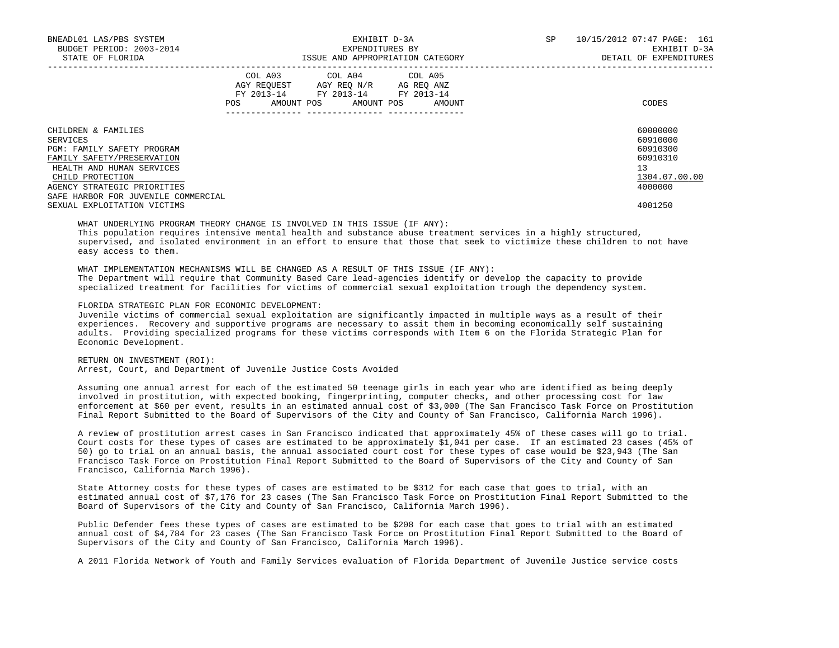| BNEADL01 LAS/PBS SYSTEM<br>BUDGET PERIOD: 2003-2014<br>STATE OF FLORIDA |     | ISSUE AND APPROPRIATION CATEGORY                                                                  | EXHIBIT D-3A<br>EXPENDITURES BY | SP | 10/15/2012 07:47 PAGE: 161<br>EXHIBIT D-3A<br>DETAIL OF EXPENDITURES |               |
|-------------------------------------------------------------------------|-----|---------------------------------------------------------------------------------------------------|---------------------------------|----|----------------------------------------------------------------------|---------------|
|                                                                         |     | COL A03 COL A04 COL A05<br>AGY REQUEST AGY REQ N/R AG REQ ANZ<br>FY 2013-14 FY 2013-14 FY 2013-14 |                                 |    |                                                                      |               |
|                                                                         | POS | AMOUNT POS AMOUNT POS AMOUNT                                                                      |                                 |    |                                                                      | CODES         |
| CHILDREN & FAMILIES                                                     |     |                                                                                                   |                                 |    |                                                                      | 60000000      |
| SERVICES                                                                |     |                                                                                                   |                                 |    |                                                                      | 60910000      |
| PGM: FAMILY SAFETY PROGRAM                                              |     |                                                                                                   |                                 |    |                                                                      | 60910300      |
| FAMILY SAFETY/PRESERVATION                                              |     |                                                                                                   |                                 |    |                                                                      | 60910310      |
| HEALTH AND HUMAN SERVICES                                               |     |                                                                                                   |                                 |    |                                                                      | 13            |
| CHILD PROTECTION                                                        |     |                                                                                                   |                                 |    |                                                                      | 1304.07.00.00 |
| AGENCY STRATEGIC PRIORITIES                                             |     |                                                                                                   |                                 |    |                                                                      | 4000000       |
| SAFE HARBOR FOR JUVENILE COMMERCIAL                                     |     |                                                                                                   |                                 |    |                                                                      |               |
| SEXUAL EXPLOITATION VICTIMS                                             |     |                                                                                                   |                                 |    |                                                                      | 4001250       |

WHAT UNDERLYING PROGRAM THEORY CHANGE IS INVOLVED IN THIS ISSUE (IF ANY):

 This population requires intensive mental health and substance abuse treatment services in a highly structured, supervised, and isolated environment in an effort to ensure that those that seek to victimize these children to not have easy access to them.

 WHAT IMPLEMENTATION MECHANISMS WILL BE CHANGED AS A RESULT OF THIS ISSUE (IF ANY): The Department will require that Community Based Care lead-agencies identify or develop the capacity to provide specialized treatment for facilities for victims of commercial sexual exploitation trough the dependency system.

FLORIDA STRATEGIC PLAN FOR ECONOMIC DEVELOPMENT:

 Juvenile victims of commercial sexual exploitation are significantly impacted in multiple ways as a result of their experiences. Recovery and supportive programs are necessary to assit them in becoming economically self sustaining adults. Providing specialized programs for these victims corresponds with Item 6 on the Florida Strategic Plan for Economic Development.

 RETURN ON INVESTMENT (ROI): Arrest, Court, and Department of Juvenile Justice Costs Avoided

 Assuming one annual arrest for each of the estimated 50 teenage girls in each year who are identified as being deeply involved in prostitution, with expected booking, fingerprinting, computer checks, and other processing cost for law enforcement at \$60 per event, results in an estimated annual cost of \$3,000 (The San Francisco Task Force on Prostitution Final Report Submitted to the Board of Supervisors of the City and County of San Francisco, California March 1996).

 A review of prostitution arrest cases in San Francisco indicated that approximately 45% of these cases will go to trial. Court costs for these types of cases are estimated to be approximately \$1,041 per case. If an estimated 23 cases (45% of 50) go to trial on an annual basis, the annual associated court cost for these types of case would be \$23,943 (The San Francisco Task Force on Prostitution Final Report Submitted to the Board of Supervisors of the City and County of San Francisco, California March 1996).

 State Attorney costs for these types of cases are estimated to be \$312 for each case that goes to trial, with an estimated annual cost of \$7,176 for 23 cases (The San Francisco Task Force on Prostitution Final Report Submitted to the Board of Supervisors of the City and County of San Francisco, California March 1996).

 Public Defender fees these types of cases are estimated to be \$208 for each case that goes to trial with an estimated annual cost of \$4,784 for 23 cases (The San Francisco Task Force on Prostitution Final Report Submitted to the Board of Supervisors of the City and County of San Francisco, California March 1996).

A 2011 Florida Network of Youth and Family Services evaluation of Florida Department of Juvenile Justice service costs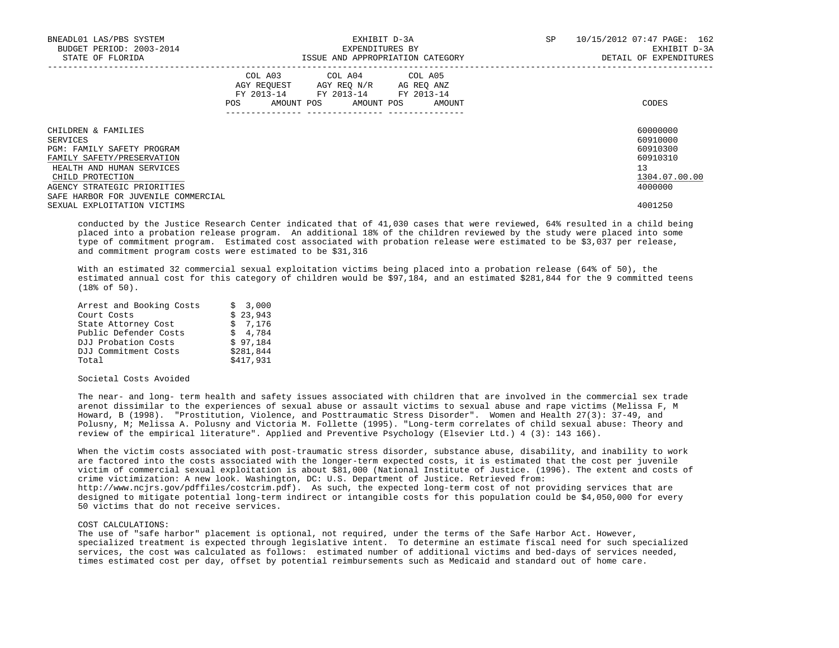| BNEADL01 LAS/PBS SYSTEM<br>BUDGET PERIOD: 2003-2014<br>STATE OF FLORIDA |     |                                                                                                                                   | EXHIBIT D-3A<br>EXPENDITURES BY<br>ISSUE AND APPROPRIATION CATEGORY | SP | 10/15/2012 07:47 PAGE: 162<br>EXHIBIT D-3A<br>DETAIL OF EXPENDITURES |
|-------------------------------------------------------------------------|-----|-----------------------------------------------------------------------------------------------------------------------------------|---------------------------------------------------------------------|----|----------------------------------------------------------------------|
|                                                                         | POS | COL A03 COL A04 COL A05<br>AGY REOUEST AGY REO N/R AG REO ANZ<br>FY 2013-14 FY 2013-14 FY 2013-14<br>AMOUNT POS AMOUNT POS AMOUNT |                                                                     |    | CODES                                                                |
| CHILDREN & FAMILIES                                                     |     |                                                                                                                                   |                                                                     |    | 60000000                                                             |
| SERVICES                                                                |     |                                                                                                                                   |                                                                     |    | 60910000                                                             |
| PGM: FAMILY SAFETY PROGRAM                                              |     |                                                                                                                                   |                                                                     |    | 60910300                                                             |
| FAMILY SAFETY/PRESERVATION                                              |     |                                                                                                                                   |                                                                     |    | 60910310                                                             |
| HEALTH AND HUMAN SERVICES                                               |     |                                                                                                                                   |                                                                     |    | 13                                                                   |
| CHILD PROTECTION                                                        |     |                                                                                                                                   |                                                                     |    | 1304.07.00.00                                                        |
| AGENCY STRATEGIC PRIORITIES                                             |     |                                                                                                                                   |                                                                     |    | 4000000                                                              |
| SAFE HARBOR FOR JUVENILE COMMERCIAL                                     |     |                                                                                                                                   |                                                                     |    |                                                                      |
| SEXUAL EXPLOITATION VICTIMS                                             |     |                                                                                                                                   |                                                                     |    | 4001250                                                              |

 conducted by the Justice Research Center indicated that of 41,030 cases that were reviewed, 64% resulted in a child being placed into a probation release program. An additional 18% of the children reviewed by the study were placed into some type of commitment program. Estimated cost associated with probation release were estimated to be \$3,037 per release, and commitment program costs were estimated to be \$31,316

 With an estimated 32 commercial sexual exploitation victims being placed into a probation release (64% of 50), the estimated annual cost for this category of children would be \$97,184, and an estimated \$281,844 for the 9 committed teens (18% of 50).

| Arrest and Booking Costs | \$3,000   |
|--------------------------|-----------|
| Court Costs              | \$23,943  |
| State Attorney Cost      | \$7.176   |
| Public Defender Costs    | \$4.784   |
| DJJ Probation Costs      | \$97,184  |
| DJJ Commitment Costs     | \$281,844 |
| Total                    | \$417,931 |

Societal Costs Avoided

 The near- and long- term health and safety issues associated with children that are involved in the commercial sex trade arenot dissimilar to the experiences of sexual abuse or assault victims to sexual abuse and rape victims (Melissa F, M Howard, B (1998). "Prostitution, Violence, and Posttraumatic Stress Disorder". Women and Health 27(3): 37-49, and Polusny, M; Melissa A. Polusny and Victoria M. Follette (1995). "Long-term correlates of child sexual abuse: Theory and review of the empirical literature". Applied and Preventive Psychology (Elsevier Ltd.) 4 (3): 143 166).

 When the victim costs associated with post-traumatic stress disorder, substance abuse, disability, and inability to work are factored into the costs associated with the longer-term expected costs, it is estimated that the cost per juvenile victim of commercial sexual exploitation is about \$81,000 (National Institute of Justice. (1996). The extent and costs of crime victimization: A new look. Washington, DC: U.S. Department of Justice. Retrieved from: http://www.ncjrs.gov/pdffiles/costcrim.pdf). As such, the expected long-term cost of not providing services that are designed to mitigate potential long-term indirect or intangible costs for this population could be \$4,050,000 for every 50 victims that do not receive services.

#### COST CALCULATIONS:

 The use of "safe harbor" placement is optional, not required, under the terms of the Safe Harbor Act. However, specialized treatment is expected through legislative intent. To determine an estimate fiscal need for such specialized services, the cost was calculated as follows: estimated number of additional victims and bed-days of services needed, times estimated cost per day, offset by potential reimbursements such as Medicaid and standard out of home care.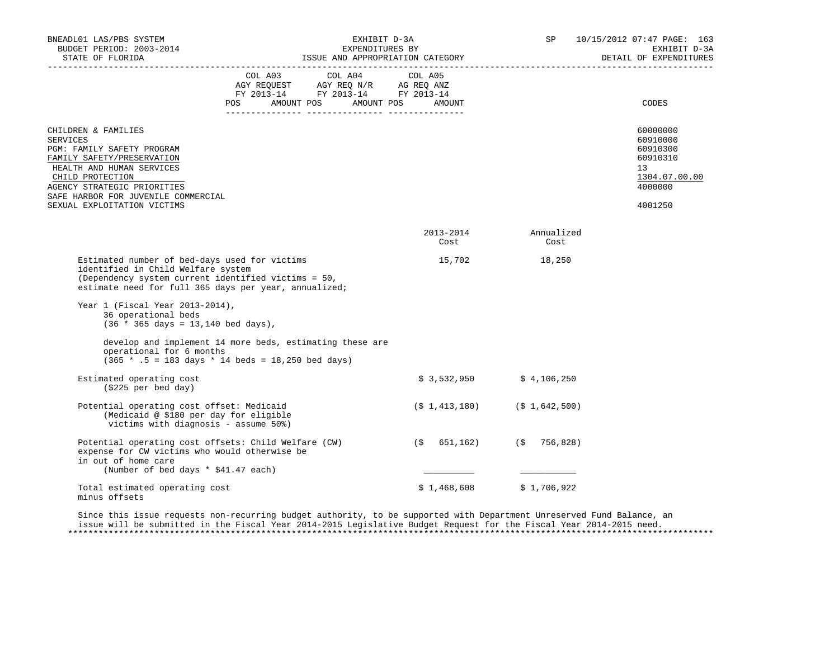| BNEADL01 LAS/PBS SYSTEM<br>BUDGET PERIOD: 2003-2014<br>STATE OF FLORIDA                                                                                                                                                                                       |                                                                                                                                       | EXHIBIT D-3A<br>EXPENDITURES BY<br>EAPENDITURES BI<br>ISSUE AND APPROPRIATION CATEGORY |                                       | SP 10/15/2012 07:47 PAGE: 163<br>EXHIBIT D-3A<br>DETAIL OF EXPENDITURES                   |  |  |
|---------------------------------------------------------------------------------------------------------------------------------------------------------------------------------------------------------------------------------------------------------------|---------------------------------------------------------------------------------------------------------------------------------------|----------------------------------------------------------------------------------------|---------------------------------------|-------------------------------------------------------------------------------------------|--|--|
|                                                                                                                                                                                                                                                               | COL A03 COL A04 COL A05<br>AGY REQUEST AGY REQ N/R AG REQ ANZ<br>FY 2013-14 FY 2013-14 FY 2013-14<br>POS AMOUNT POS AMOUNT POS AMOUNT |                                                                                        |                                       | CODES                                                                                     |  |  |
| CHILDREN & FAMILIES<br><b>SERVICES</b><br>PGM: FAMILY SAFETY PROGRAM<br>FAMILY SAFETY/PRESERVATION<br>HEALTH AND HUMAN SERVICES<br>CHILD PROTECTION<br>AGENCY STRATEGIC PRIORITIES<br>SAFE HARBOR FOR JUVENILE COMMERCIAL<br>SEXUAL EXPLOITATION VICTIMS      |                                                                                                                                       |                                                                                        |                                       | 60000000<br>60910000<br>60910300<br>60910310<br>13<br>1304.07.00.00<br>4000000<br>4001250 |  |  |
|                                                                                                                                                                                                                                                               |                                                                                                                                       | 2013-2014<br>Cost                                                                      | Annualized<br>Cost                    |                                                                                           |  |  |
| Estimated number of bed-days used for victims<br>identified in Child Welfare system<br>(Dependency system current identified victims = 50,<br>Year 1 (Fiscal Year 2013-2014),<br>36 operational beds<br>$(36 * 365 \text{ days} = 13,140 \text{ bed days})$ , | estimate need for full 365 days per year, annualized;<br>develop and implement 14 more beds, estimating these are                     |                                                                                        | 15,702 18,250                         |                                                                                           |  |  |
| operational for 6 months                                                                                                                                                                                                                                      | $(365 * .5 = 183 \text{ days} * 14 \text{ beds} = 18,250 \text{ bed days})$                                                           |                                                                                        |                                       |                                                                                           |  |  |
| Estimated operating cost<br>(\$225 per bed day)                                                                                                                                                                                                               |                                                                                                                                       |                                                                                        | $$3,532,950$ $$4,106,250$             |                                                                                           |  |  |
| Potential operating cost offset: Medicaid<br>(Medicaid @ \$180 per day for eligible<br>victims with diagnosis - assume 50%)                                                                                                                                   |                                                                                                                                       |                                                                                        | $(\$ 1, 413, 180)$ $(\$ 1, 642, 500)$ |                                                                                           |  |  |
| expense for CW victims who would otherwise be<br>in out of home care<br>(Number of bed days * \$41.47 each)                                                                                                                                                   | Potential operating cost offsets: Child Welfare (CW)                                                                                  |                                                                                        | $(\$ 651,162)$ $(\$ 756,828)$         |                                                                                           |  |  |
| Total estimated operating cost<br>minus offsets                                                                                                                                                                                                               |                                                                                                                                       | \$1,468,608                                                                            | \$1,706,922                           |                                                                                           |  |  |

 Since this issue requests non-recurring budget authority, to be supported with Department Unreserved Fund Balance, an issue will be submitted in the Fiscal Year 2014-2015 Legislative Budget Request for the Fiscal Year 2014-2015 need. \*\*\*\*\*\*\*\*\*\*\*\*\*\*\*\*\*\*\*\*\*\*\*\*\*\*\*\*\*\*\*\*\*\*\*\*\*\*\*\*\*\*\*\*\*\*\*\*\*\*\*\*\*\*\*\*\*\*\*\*\*\*\*\*\*\*\*\*\*\*\*\*\*\*\*\*\*\*\*\*\*\*\*\*\*\*\*\*\*\*\*\*\*\*\*\*\*\*\*\*\*\*\*\*\*\*\*\*\*\*\*\*\*\*\*\*\*\*\*\*\*\*\*\*\*\*\*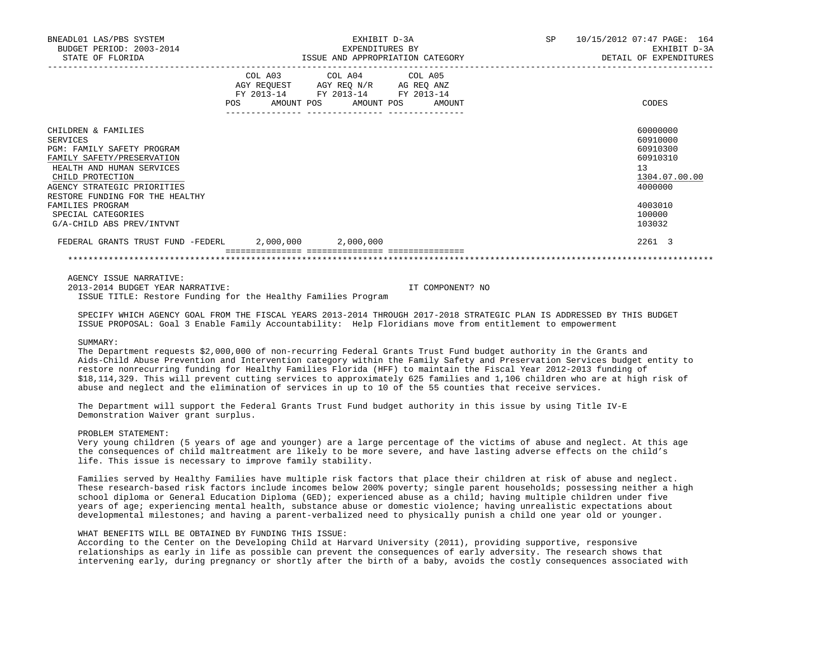| BNEADL01 LAS/PBS SYSTEM<br>BUDGET PERIOD: 2003-2014<br>STATE OF FLORIDA                                                                                                                                                                                                               |     | EXHIBIT D-3A<br>EXPENDITURES BY<br>ISSUE AND APPROPRIATION CATEGORY                                                        |        | SP | 10/15/2012 07:47 PAGE: 164<br>EXHIBIT D-3A<br>DETAIL OF EXPENDITURES                                          |  |
|---------------------------------------------------------------------------------------------------------------------------------------------------------------------------------------------------------------------------------------------------------------------------------------|-----|----------------------------------------------------------------------------------------------------------------------------|--------|----|---------------------------------------------------------------------------------------------------------------|--|
|                                                                                                                                                                                                                                                                                       | POS | COL A03 COL A04 COL A05<br>AGY REQUEST AGY REQ N/R AG REQ ANZ<br>FY 2013-14 FY 2013-14 FY 2013-14<br>AMOUNT POS AMOUNT POS | AMOUNT |    | CODES                                                                                                         |  |
| CHILDREN & FAMILIES<br>SERVICES<br>PGM: FAMILY SAFETY PROGRAM<br>FAMILY SAFETY/PRESERVATION<br>HEALTH AND HUMAN SERVICES<br>CHILD PROTECTION<br>AGENCY STRATEGIC PRIORITIES<br>RESTORE FUNDING FOR THE HEALTHY<br>FAMILIES PROGRAM<br>SPECIAL CATEGORIES<br>G/A-CHILD ABS PREV/INTVNT |     |                                                                                                                            |        |    | 60000000<br>60910000<br>60910300<br>60910310<br>13<br>1304.07.00.00<br>4000000<br>4003010<br>100000<br>103032 |  |
| FEDERAL GRANTS TRUST FUND -FEDERL 2,000,000 2,000,000                                                                                                                                                                                                                                 |     |                                                                                                                            |        |    | 2261 3                                                                                                        |  |
|                                                                                                                                                                                                                                                                                       |     |                                                                                                                            |        |    |                                                                                                               |  |

AGENCY ISSUE NARRATIVE:

 2013-2014 BUDGET YEAR NARRATIVE: IT COMPONENT? NO ISSUE TITLE: Restore Funding for the Healthy Families Program

 SPECIFY WHICH AGENCY GOAL FROM THE FISCAL YEARS 2013-2014 THROUGH 2017-2018 STRATEGIC PLAN IS ADDRESSED BY THIS BUDGET ISSUE PROPOSAL: Goal 3 Enable Family Accountability: Help Floridians move from entitlement to empowerment

#### SUMMARY:

 The Department requests \$2,000,000 of non-recurring Federal Grants Trust Fund budget authority in the Grants and Aids-Child Abuse Prevention and Intervention category within the Family Safety and Preservation Services budget entity to restore nonrecurring funding for Healthy Families Florida (HFF) to maintain the Fiscal Year 2012-2013 funding of \$18,114,329. This will prevent cutting services to approximately 625 families and 1,106 children who are at high risk of abuse and neglect and the elimination of services in up to 10 of the 55 counties that receive services.

 The Department will support the Federal Grants Trust Fund budget authority in this issue by using Title IV-E Demonstration Waiver grant surplus.

# PROBLEM STATEMENT:

 Very young children (5 years of age and younger) are a large percentage of the victims of abuse and neglect. At this age the consequences of child maltreatment are likely to be more severe, and have lasting adverse effects on the child's life. This issue is necessary to improve family stability.

 Families served by Healthy Families have multiple risk factors that place their children at risk of abuse and neglect. These research-based risk factors include incomes below 200% poverty; single parent households; possessing neither a high school diploma or General Education Diploma (GED); experienced abuse as a child; having multiple children under five years of age; experiencing mental health, substance abuse or domestic violence; having unrealistic expectations about developmental milestones; and having a parent-verbalized need to physically punish a child one year old or younger.

# WHAT BENEFITS WILL BE OBTAINED BY FUNDING THIS ISSUE:

 According to the Center on the Developing Child at Harvard University (2011), providing supportive, responsive relationships as early in life as possible can prevent the consequences of early adversity. The research shows that intervening early, during pregnancy or shortly after the birth of a baby, avoids the costly consequences associated with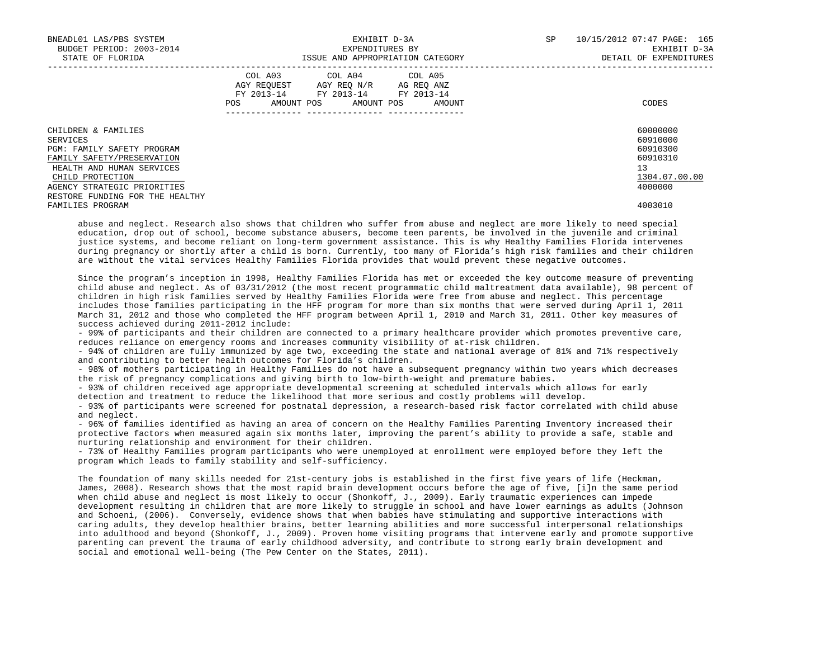| BNEADL01 LAS/PBS SYSTEM<br>BUDGET PERIOD: 2003-2014<br>STATE OF FLORIDA |     |                                                                                                   | EXHIBIT D-3A<br>EXPENDITURES BY<br>ISSUE AND APPROPRIATION CATEGORY |  | SP     | 10/15/2012 07:47 PAGE: 165<br>EXHIBIT D-3A<br>DETAIL OF EXPENDITURES |               |
|-------------------------------------------------------------------------|-----|---------------------------------------------------------------------------------------------------|---------------------------------------------------------------------|--|--------|----------------------------------------------------------------------|---------------|
|                                                                         | POS | COL A03 COL A04 COL A05<br>AGY REQUEST AGY REO N/R AG REO ANZ<br>FY 2013-14 FY 2013-14 FY 2013-14 | AMOUNT POS AMOUNT POS                                               |  | AMOUNT |                                                                      | CODES         |
| CHILDREN & FAMILIES                                                     |     |                                                                                                   |                                                                     |  |        |                                                                      | 60000000      |
| SERVICES                                                                |     |                                                                                                   |                                                                     |  |        |                                                                      | 60910000      |
| <b>PGM: FAMILY SAFETY PROGRAM</b>                                       |     |                                                                                                   |                                                                     |  |        |                                                                      | 60910300      |
| FAMILY SAFETY/PRESERVATION                                              |     |                                                                                                   |                                                                     |  |        |                                                                      | 60910310      |
| HEALTH AND HUMAN SERVICES                                               |     |                                                                                                   |                                                                     |  |        |                                                                      | 13            |
| CHILD PROTECTION                                                        |     |                                                                                                   |                                                                     |  |        |                                                                      | 1304.07.00.00 |
| AGENCY STRATEGIC PRIORITIES                                             |     |                                                                                                   |                                                                     |  |        |                                                                      | 4000000       |
| RESTORE FUNDING FOR THE HEALTHY                                         |     |                                                                                                   |                                                                     |  |        |                                                                      |               |
| FAMILIES PROGRAM                                                        |     |                                                                                                   |                                                                     |  |        |                                                                      | 4003010       |

 abuse and neglect. Research also shows that children who suffer from abuse and neglect are more likely to need special education, drop out of school, become substance abusers, become teen parents, be involved in the juvenile and criminal justice systems, and become reliant on long-term government assistance. This is why Healthy Families Florida intervenes during pregnancy or shortly after a child is born. Currently, too many of Florida's high risk families and their children are without the vital services Healthy Families Florida provides that would prevent these negative outcomes.

 Since the program's inception in 1998, Healthy Families Florida has met or exceeded the key outcome measure of preventing child abuse and neglect. As of 03/31/2012 (the most recent programmatic child maltreatment data available), 98 percent of children in high risk families served by Healthy Families Florida were free from abuse and neglect. This percentage includes those families participating in the HFF program for more than six months that were served during April 1, 2011 March 31, 2012 and those who completed the HFF program between April 1, 2010 and March 31, 2011. Other key measures of success achieved during 2011-2012 include:

 - 99% of participants and their children are connected to a primary healthcare provider which promotes preventive care, reduces reliance on emergency rooms and increases community visibility of at-risk children.

 - 94% of children are fully immunized by age two, exceeding the state and national average of 81% and 71% respectively and contributing to better health outcomes for Florida's children.

 - 98% of mothers participating in Healthy Families do not have a subsequent pregnancy within two years which decreases the risk of pregnancy complications and giving birth to low-birth-weight and premature babies.

 - 93% of children received age appropriate developmental screening at scheduled intervals which allows for early detection and treatment to reduce the likelihood that more serious and costly problems will develop.

 - 93% of participants were screened for postnatal depression, a research-based risk factor correlated with child abuse and neglect.

 - 96% of families identified as having an area of concern on the Healthy Families Parenting Inventory increased their protective factors when measured again six months later, improving the parent's ability to provide a safe, stable and nurturing relationship and environment for their children.

 - 73% of Healthy Families program participants who were unemployed at enrollment were employed before they left the program which leads to family stability and self-sufficiency.

 The foundation of many skills needed for 21st-century jobs is established in the first five years of life (Heckman, James, 2008). Research shows that the most rapid brain development occurs before the age of five, [i]n the same period when child abuse and neglect is most likely to occur (Shonkoff, J., 2009). Early traumatic experiences can impede development resulting in children that are more likely to struggle in school and have lower earnings as adults (Johnson and Schoeni, (2006). Conversely, evidence shows that when babies have stimulating and supportive interactions with caring adults, they develop healthier brains, better learning abilities and more successful interpersonal relationships into adulthood and beyond (Shonkoff, J., 2009). Proven home visiting programs that intervene early and promote supportive parenting can prevent the trauma of early childhood adversity, and contribute to strong early brain development and social and emotional well-being (The Pew Center on the States, 2011).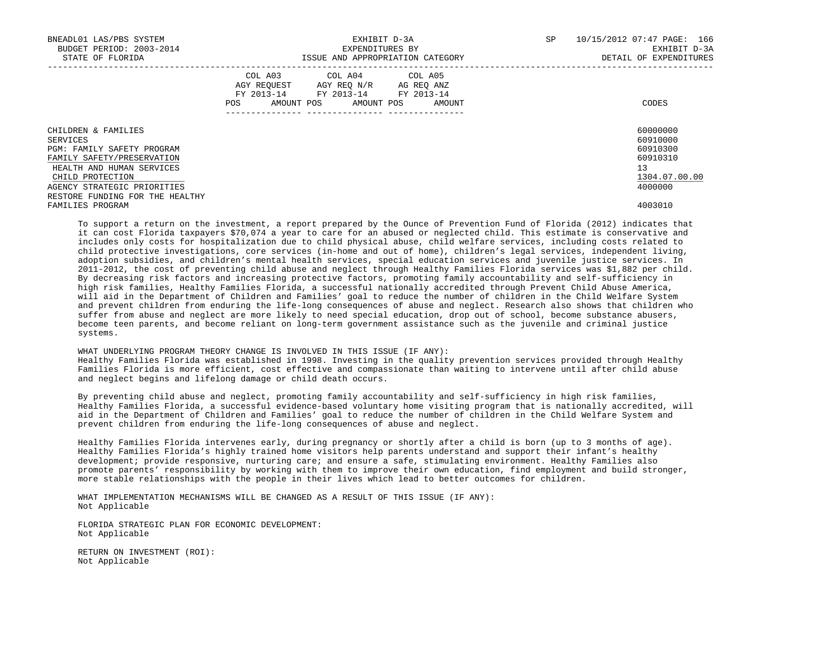| BNEADL01 LAS/PBS SYSTEM<br>BUDGET PERIOD: 2003-2014<br>STATE OF FLORIDA |     |             | ISSUE AND APPROPRIATION CATEGORY                                                                    | EXHIBIT D-3A<br>EXPENDITURES BY | SP                   | 10/15/2012 07:47 PAGE: 166<br>EXHIBIT D-3A<br>DETAIL OF EXPENDITURES |               |
|-------------------------------------------------------------------------|-----|-------------|-----------------------------------------------------------------------------------------------------|---------------------------------|----------------------|----------------------------------------------------------------------|---------------|
|                                                                         | POS | AGY REOUEST | COL A03 COL A04 COL A05<br>AGY REO N/R<br>FY 2013-14 FY 2013-14 FY 2013-14<br>AMOUNT POS AMOUNT POS |                                 | AG REO ANZ<br>AMOUNT |                                                                      | CODES         |
| CHILDREN & FAMILIES                                                     |     |             |                                                                                                     |                                 |                      |                                                                      | 60000000      |
| SERVICES                                                                |     |             |                                                                                                     |                                 |                      |                                                                      | 60910000      |
| PGM: FAMILY SAFETY PROGRAM                                              |     |             |                                                                                                     |                                 |                      |                                                                      | 60910300      |
| FAMILY SAFETY/PRESERVATION                                              |     |             |                                                                                                     |                                 |                      |                                                                      | 60910310      |
| HEALTH AND HUMAN SERVICES                                               |     |             |                                                                                                     |                                 |                      |                                                                      | 13            |
| CHILD PROTECTION                                                        |     |             |                                                                                                     |                                 |                      |                                                                      | 1304.07.00.00 |
| AGENCY STRATEGIC PRIORITIES                                             |     |             |                                                                                                     |                                 |                      |                                                                      | 4000000       |
| RESTORE FUNDING FOR THE HEALTHY                                         |     |             |                                                                                                     |                                 |                      |                                                                      |               |
| FAMILIES PROGRAM                                                        |     |             |                                                                                                     |                                 |                      |                                                                      | 4003010       |

 To support a return on the investment, a report prepared by the Ounce of Prevention Fund of Florida (2012) indicates that it can cost Florida taxpayers \$70,074 a year to care for an abused or neglected child. This estimate is conservative and includes only costs for hospitalization due to child physical abuse, child welfare services, including costs related to child protective investigations, core services (in-home and out of home), children's legal services, independent living, adoption subsidies, and children's mental health services, special education services and juvenile justice services. In 2011-2012, the cost of preventing child abuse and neglect through Healthy Families Florida services was \$1,882 per child. By decreasing risk factors and increasing protective factors, promoting family accountability and self-sufficiency in high risk families, Healthy Families Florida, a successful nationally accredited through Prevent Child Abuse America, will aid in the Department of Children and Families' goal to reduce the number of children in the Child Welfare System and prevent children from enduring the life-long consequences of abuse and neglect. Research also shows that children who suffer from abuse and neglect are more likely to need special education, drop out of school, become substance abusers, become teen parents, and become reliant on long-term government assistance such as the juvenile and criminal justice systems.

 WHAT UNDERLYING PROGRAM THEORY CHANGE IS INVOLVED IN THIS ISSUE (IF ANY): Healthy Families Florida was established in 1998. Investing in the quality prevention services provided through Healthy Families Florida is more efficient, cost effective and compassionate than waiting to intervene until after child abuse and neglect begins and lifelong damage or child death occurs.

 By preventing child abuse and neglect, promoting family accountability and self-sufficiency in high risk families, Healthy Families Florida, a successful evidence-based voluntary home visiting program that is nationally accredited, will aid in the Department of Children and Families' goal to reduce the number of children in the Child Welfare System and prevent children from enduring the life-long consequences of abuse and neglect.

 Healthy Families Florida intervenes early, during pregnancy or shortly after a child is born (up to 3 months of age). Healthy Families Florida's highly trained home visitors help parents understand and support their infant's healthy development; provide responsive, nurturing care; and ensure a safe, stimulating environment. Healthy Families also promote parents' responsibility by working with them to improve their own education, find employment and build stronger, more stable relationships with the people in their lives which lead to better outcomes for children.

 WHAT IMPLEMENTATION MECHANISMS WILL BE CHANGED AS A RESULT OF THIS ISSUE (IF ANY): Not Applicable

 FLORIDA STRATEGIC PLAN FOR ECONOMIC DEVELOPMENT: Not Applicable

 RETURN ON INVESTMENT (ROI): Not Applicable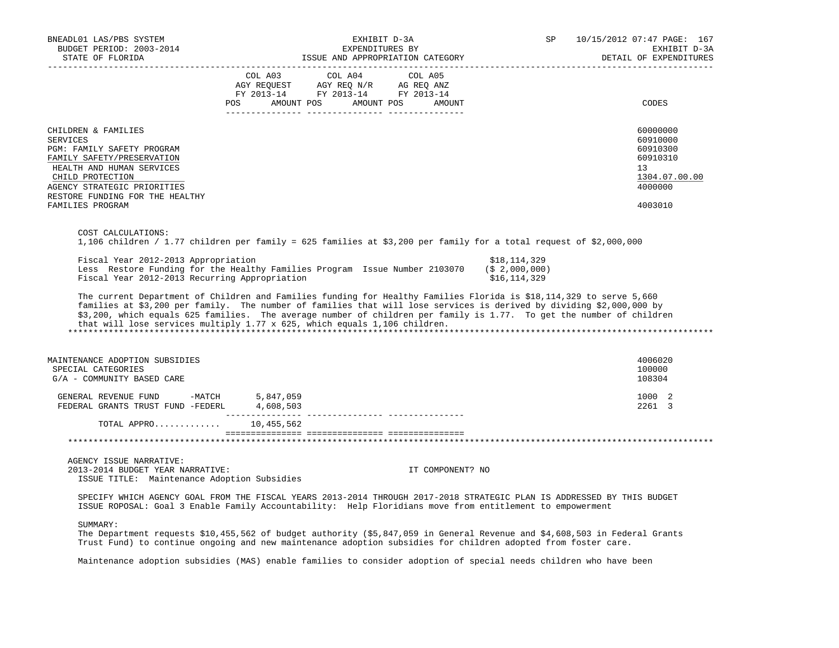| BNEADL01 LAS/PBS SYSTEM<br>BUDGET PERIOD: 2003-2014                                                                                                                                                                                       | EXHIBIT D-3A<br>EXPENDITURES BY                                                                                                                                                                                                                                                                                                                                                                                                                  | SP                                                 | 10/15/2012 07:47 PAGE: 167<br>EXHIBIT D-3A<br>DETAIL OF EXPENDITURES                      |
|-------------------------------------------------------------------------------------------------------------------------------------------------------------------------------------------------------------------------------------------|--------------------------------------------------------------------------------------------------------------------------------------------------------------------------------------------------------------------------------------------------------------------------------------------------------------------------------------------------------------------------------------------------------------------------------------------------|----------------------------------------------------|-------------------------------------------------------------------------------------------|
|                                                                                                                                                                                                                                           | COL A03<br>COL A04<br>COL A05<br>AGY REQUEST AGY REQ N/R AG REQ ANZ<br>FY 2013-14 FY 2013-14 FY 2013-14<br>POS AMOUNT POS AMOUNT POS AMOUNT                                                                                                                                                                                                                                                                                                      |                                                    | CODES                                                                                     |
| CHILDREN & FAMILIES<br><b>SERVICES</b><br>PGM: FAMILY SAFETY PROGRAM<br>FAMILY SAFETY/PRESERVATION<br>HEALTH AND HUMAN SERVICES<br>CHILD PROTECTION<br>AGENCY STRATEGIC PRIORITIES<br>RESTORE FUNDING FOR THE HEALTHY<br>FAMILIES PROGRAM |                                                                                                                                                                                                                                                                                                                                                                                                                                                  |                                                    | 60000000<br>60910000<br>60910300<br>60910310<br>13<br>1304.07.00.00<br>4000000<br>4003010 |
| COST CALCULATIONS:                                                                                                                                                                                                                        | 1,106 children / 1.77 children per family = 625 families at \$3,200 per family for a total request of \$2,000,000                                                                                                                                                                                                                                                                                                                                |                                                    |                                                                                           |
| Fiscal Year 2012-2013 Appropriation<br>Fiscal Year 2012-2013 Recurring Appropriation                                                                                                                                                      | Less Restore Funding for the Healthy Families Program Issue Number 2103070                                                                                                                                                                                                                                                                                                                                                                       | \$18,114,329<br>$($ \$2,000,000)<br>\$16, 114, 329 |                                                                                           |
|                                                                                                                                                                                                                                           | The current Department of Children and Families funding for Healthy Families Florida is \$18,114,329 to serve 5,660<br>families at \$3,200 per family. The number of families that will lose services is derived by dividing \$2,000,000 by<br>\$3,200, which equals 625 families. The average number of children per family is 1.77. To get the number of children<br>that will lose services multiply 1.77 x 625, which equals 1,106 children. |                                                    |                                                                                           |
| MAINTENANCE ADOPTION SUBSIDIES<br>SPECIAL CATEGORIES<br>G/A - COMMUNITY BASED CARE                                                                                                                                                        |                                                                                                                                                                                                                                                                                                                                                                                                                                                  |                                                    | 4006020<br>100000<br>108304                                                               |
| GENERAL REVENUE FUND -MATCH $5,847,059$<br>FEDERAL GRANTS TRUST FUND -FEDERL $4,608,503$                                                                                                                                                  |                                                                                                                                                                                                                                                                                                                                                                                                                                                  |                                                    | 1000 2<br>2261 3                                                                          |
| TOTAL APPRO 10,455,562                                                                                                                                                                                                                    |                                                                                                                                                                                                                                                                                                                                                                                                                                                  |                                                    |                                                                                           |
|                                                                                                                                                                                                                                           |                                                                                                                                                                                                                                                                                                                                                                                                                                                  |                                                    |                                                                                           |
| AGENCY ISSUE NARRATIVE:<br>2013-2014 BUDGET YEAR NARRATIVE:<br>ISSUE TITLE: Maintenance Adoption Subsidies                                                                                                                                |                                                                                                                                                                                                                                                                                                                                                                                                                                                  | IT COMPONENT? NO                                   |                                                                                           |
|                                                                                                                                                                                                                                           | SPECIFY WHICH AGENCY GOAL FROM THE FISCAL YEARS 2013-2014 THROUGH 2017-2018 STRATEGIC PLAN IS ADDRESSED BY THIS BUDGET<br>ISSUE ROPOSAL: Goal 3 Enable Family Accountability: Help Floridians move from entitlement to empowerment                                                                                                                                                                                                               |                                                    |                                                                                           |
| SUMMARY:                                                                                                                                                                                                                                  | The Department requests \$10,455,562 of budget authority (\$5,847,059 in General Revenue and \$4,608,503 in Federal Grants<br>Trust Fund) to continue ongoing and new maintenance adoption subsidies for children adopted from foster care.                                                                                                                                                                                                      |                                                    |                                                                                           |
|                                                                                                                                                                                                                                           | Maintenance adoption subsidies (MAS) enable families to consider adoption of special needs children who have been                                                                                                                                                                                                                                                                                                                                |                                                    |                                                                                           |
|                                                                                                                                                                                                                                           |                                                                                                                                                                                                                                                                                                                                                                                                                                                  |                                                    |                                                                                           |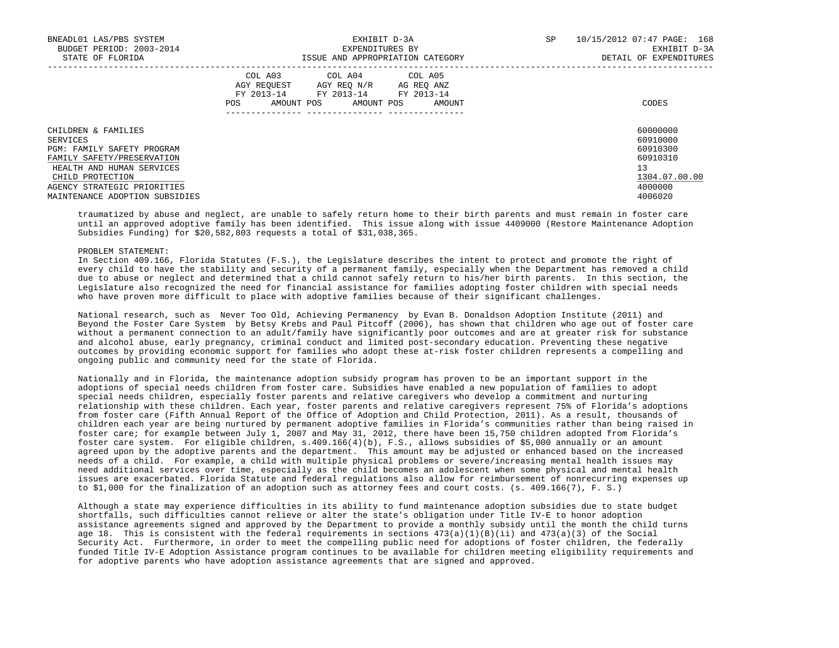| BNEADL01 LAS/PBS SYSTEM<br>BUDGET PERIOD: 2003-2014<br>STATE OF FLORIDA | EXHIBIT D-3A<br>EXPENDITURES BY<br>ISSUE AND APPROPRIATION CATEGORY                                                                                        | 10/15/2012 07:47 PAGE: 168<br>SP<br>EXHIBIT D-3A<br>DETAIL OF EXPENDITURES |  |  |
|-------------------------------------------------------------------------|------------------------------------------------------------------------------------------------------------------------------------------------------------|----------------------------------------------------------------------------|--|--|
|                                                                         | COL A03 COL A04 COL A05<br>AGY REOUEST<br>AGY REO N/R<br>AG REO ANZ<br>FY 2013-14<br>FY 2013-14<br>FY 2013-14<br>AMOUNT POS<br>AMOUNT POS<br>AMOUNT<br>POS | CODES                                                                      |  |  |
| CHILDREN & FAMILIES<br>SERVICES                                         |                                                                                                                                                            | 60000000<br>60910000                                                       |  |  |
| <b>PGM: FAMILY SAFETY PROGRAM</b>                                       |                                                                                                                                                            | 60910300                                                                   |  |  |
| FAMILY SAFETY/PRESERVATION                                              |                                                                                                                                                            | 60910310<br>13                                                             |  |  |
| HEALTH AND HUMAN SERVICES<br>CHILD PROTECTION                           |                                                                                                                                                            | 1304.07.00.00                                                              |  |  |
| AGENCY STRATEGIC PRIORITIES                                             |                                                                                                                                                            | 4000000                                                                    |  |  |
| MAINTENANCE ADOPTION SUBSIDIES                                          |                                                                                                                                                            | 4006020                                                                    |  |  |

 traumatized by abuse and neglect, are unable to safely return home to their birth parents and must remain in foster care until an approved adoptive family has been identified. This issue along with issue 4409000 (Restore Maintenance Adoption Subsidies Funding) for \$20,582,803 requests a total of \$31,038,365.

#### PROBLEM STATEMENT:

 In Section 409.166, Florida Statutes (F.S.), the Legislature describes the intent to protect and promote the right of every child to have the stability and security of a permanent family, especially when the Department has removed a child due to abuse or neglect and determined that a child cannot safely return to his/her birth parents. In this section, the Legislature also recognized the need for financial assistance for families adopting foster children with special needs who have proven more difficult to place with adoptive families because of their significant challenges.

 National research, such as Never Too Old, Achieving Permanency by Evan B. Donaldson Adoption Institute (2011) and Beyond the Foster Care System by Betsy Krebs and Paul Pitcoff (2006), has shown that children who age out of foster care without a permanent connection to an adult/family have significantly poor outcomes and are at greater risk for substance and alcohol abuse, early pregnancy, criminal conduct and limited post-secondary education. Preventing these negative outcomes by providing economic support for families who adopt these at-risk foster children represents a compelling and ongoing public and community need for the state of Florida.

 Nationally and in Florida, the maintenance adoption subsidy program has proven to be an important support in the adoptions of special needs children from foster care. Subsidies have enabled a new population of families to adopt special needs children, especially foster parents and relative caregivers who develop a commitment and nurturing relationship with these children. Each year, foster parents and relative caregivers represent 75% of Florida's adoptions from foster care (Fifth Annual Report of the Office of Adoption and Child Protection, 2011). As a result, thousands of children each year are being nurtured by permanent adoptive families in Florida's communities rather than being raised in foster care; for example between July 1, 2007 and May 31, 2012, there have been 15,750 children adopted from Florida's foster care system. For eligible children, s.409.166(4)(b), F.S., allows subsidies of \$5,000 annually or an amount agreed upon by the adoptive parents and the department. This amount may be adjusted or enhanced based on the increased needs of a child. For example, a child with multiple physical problems or severe/increasing mental health issues may need additional services over time, especially as the child becomes an adolescent when some physical and mental health issues are exacerbated. Florida Statute and federal regulations also allow for reimbursement of nonrecurring expenses up to \$1,000 for the finalization of an adoption such as attorney fees and court costs. (s. 409.166(7), F. S.)

 Although a state may experience difficulties in its ability to fund maintenance adoption subsidies due to state budget shortfalls, such difficulties cannot relieve or alter the state's obligation under Title IV-E to honor adoption assistance agreements signed and approved by the Department to provide a monthly subsidy until the month the child turns age 18. This is consistent with the federal requirements in sections  $473(a)(1)(B)(ii)$  and  $473(a)(3)$  of the Social Security Act. Furthermore, in order to meet the compelling public need for adoptions of foster children, the federally funded Title IV-E Adoption Assistance program continues to be available for children meeting eligibility requirements and for adoptive parents who have adoption assistance agreements that are signed and approved.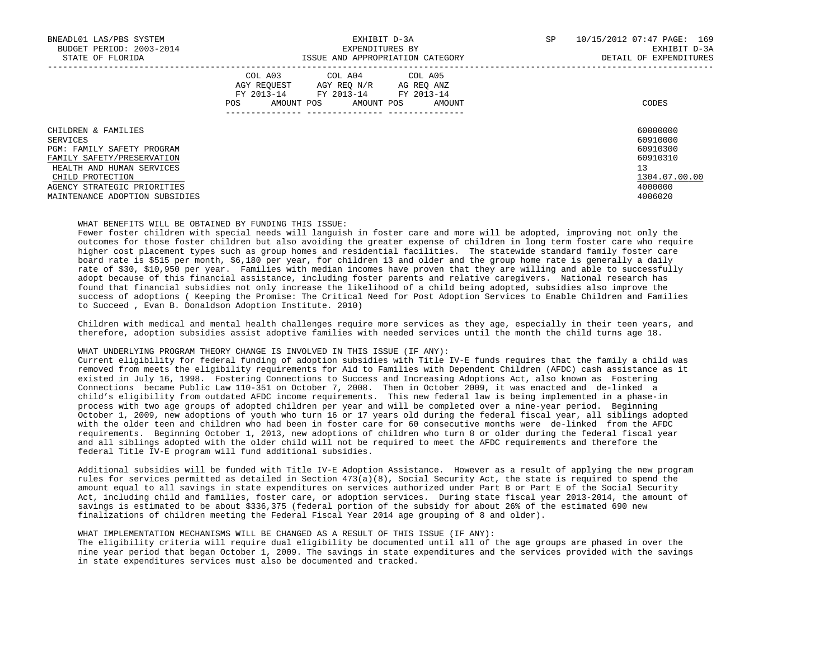| BNEADL01 LAS/PBS SYSTEM<br>BUDGET PERIOD: 2003-2014<br>STATE OF FLORIDA | EXHIBIT D-3A<br>EXPENDITURES BY<br>ISSUE AND APPROPRIATION CATEGORY                                                                               | 10/15/2012 07:47 PAGE: 169<br>SP<br>EXHIBIT D-3A<br>DETAIL OF EXPENDITURES |
|-------------------------------------------------------------------------|---------------------------------------------------------------------------------------------------------------------------------------------------|----------------------------------------------------------------------------|
|                                                                         | COL A03 COL A04 COL A05<br>AGY REQUEST AGY REQ N/R AG REQ ANZ<br>FY 2013-14<br>FY 2013-14 FY 2013-14<br>AMOUNT POS<br>AMOUNT POS<br>POS<br>AMOUNT | CODES                                                                      |
| CHILDREN & FAMILIES<br>SERVICES                                         |                                                                                                                                                   | 60000000<br>60910000                                                       |
| PGM: FAMILY SAFETY PROGRAM                                              |                                                                                                                                                   | 60910300                                                                   |
| FAMILY SAFETY/PRESERVATION                                              |                                                                                                                                                   | 60910310                                                                   |
| HEALTH AND HUMAN SERVICES                                               |                                                                                                                                                   | 13                                                                         |
| CHILD PROTECTION                                                        |                                                                                                                                                   | 1304.07.00.00                                                              |
| AGENCY STRATEGIC PRIORITIES                                             |                                                                                                                                                   | 4000000                                                                    |
| MAINTENANCE ADOPTION SUBSIDIES                                          |                                                                                                                                                   | 4006020                                                                    |

## WHAT BENEFITS WILL BE OBTAINED BY FUNDING THIS ISSUE:

 Fewer foster children with special needs will languish in foster care and more will be adopted, improving not only the outcomes for those foster children but also avoiding the greater expense of children in long term foster care who require higher cost placement types such as group homes and residential facilities. The statewide standard family foster care board rate is \$515 per month, \$6,180 per year, for children 13 and older and the group home rate is generally a daily rate of \$30, \$10,950 per year. Families with median incomes have proven that they are willing and able to successfully adopt because of this financial assistance, including foster parents and relative caregivers. National research has found that financial subsidies not only increase the likelihood of a child being adopted, subsidies also improve the success of adoptions ( Keeping the Promise: The Critical Need for Post Adoption Services to Enable Children and Families to Succeed , Evan B. Donaldson Adoption Institute. 2010)

 Children with medical and mental health challenges require more services as they age, especially in their teen years, and therefore, adoption subsidies assist adoptive families with needed services until the month the child turns age 18.

#### WHAT UNDERLYING PROGRAM THEORY CHANGE IS INVOLVED IN THIS ISSUE (IF ANY):

 Current eligibility for federal funding of adoption subsidies with Title IV-E funds requires that the family a child was removed from meets the eligibility requirements for Aid to Families with Dependent Children (AFDC) cash assistance as it existed in July 16, 1998. Fostering Connections to Success and Increasing Adoptions Act, also known as Fostering Connections became Public Law 110-351 on October 7, 2008. Then in October 2009, it was enacted and de-linked a child's eligibility from outdated AFDC income requirements. This new federal law is being implemented in a phase-in process with two age groups of adopted children per year and will be completed over a nine-year period. Beginning October 1, 2009, new adoptions of youth who turn 16 or 17 years old during the federal fiscal year, all siblings adopted with the older teen and children who had been in foster care for 60 consecutive months were de-linked from the AFDC requirements. Beginning October 1, 2013, new adoptions of children who turn 8 or older during the federal fiscal year and all siblings adopted with the older child will not be required to meet the AFDC requirements and therefore the federal Title IV-E program will fund additional subsidies.

 Additional subsidies will be funded with Title IV-E Adoption Assistance. However as a result of applying the new program rules for services permitted as detailed in Section 473(a)(8), Social Security Act, the state is required to spend the amount equal to all savings in state expenditures on services authorized under Part B or Part E of the Social Security Act, including child and families, foster care, or adoption services. During state fiscal year 2013-2014, the amount of savings is estimated to be about \$336,375 (federal portion of the subsidy for about 26% of the estimated 690 new finalizations of children meeting the Federal Fiscal Year 2014 age grouping of 8 and older).

# WHAT IMPLEMENTATION MECHANISMS WILL BE CHANGED AS A RESULT OF THIS ISSUE (IF ANY):

 The eligibility criteria will require dual eligibility be documented until all of the age groups are phased in over the nine year period that began October 1, 2009. The savings in state expenditures and the services provided with the savings in state expenditures services must also be documented and tracked.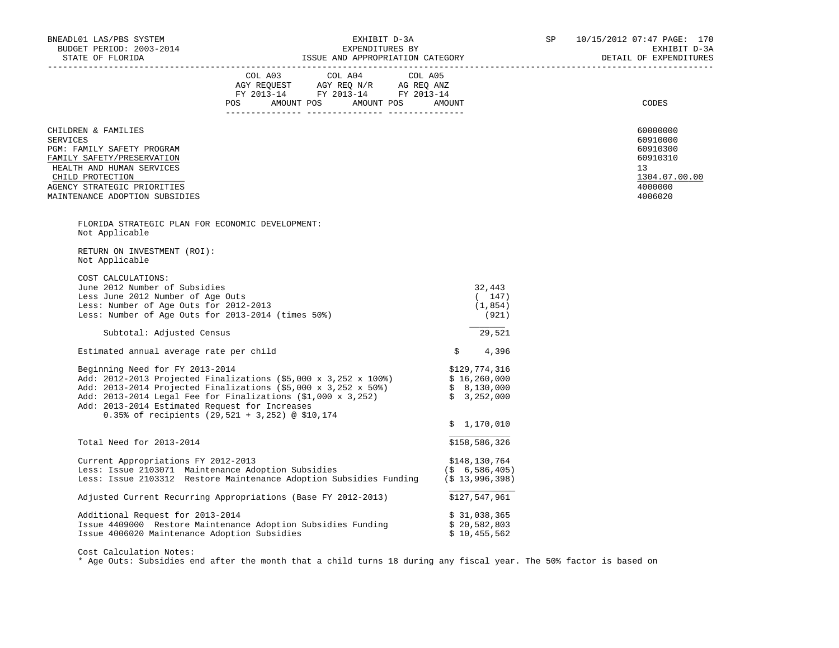| BNEADL01 LAS/PBS SYSTEM                                                                                                                                                                                              |                                                                                                                                                                                                                                                                                                                   |                                              | 10/15/2012 07:47 PAGE: 170<br>EXHIBIT D-3A<br>DETAIL OF EXPENDITURES                      |
|----------------------------------------------------------------------------------------------------------------------------------------------------------------------------------------------------------------------|-------------------------------------------------------------------------------------------------------------------------------------------------------------------------------------------------------------------------------------------------------------------------------------------------------------------|----------------------------------------------|-------------------------------------------------------------------------------------------|
|                                                                                                                                                                                                                      | $\begin{tabular}{lllllllllll} COL & A03 & \multicolumn{3}{l}COL & A04 & \multicolumn{3}{l}COL & A05 \\ AGY & REQUEST & AGY & REQ & N/R & \multicolumn{3}{l}AG & REQ & ANZ \\ FY & 2013-14 & \multicolumn{3}{l}FY & 2013-14 & \multicolumn{3}{l}FY & 2013-14 \\ \end{tabular}$<br>POS AMOUNT POS AMOUNT POS AMOUNT |                                              | CODES                                                                                     |
| CHILDREN & FAMILIES<br><b>SERVICES</b><br>PGM: FAMILY SAFETY PROGRAM<br>FAMILY SAFETY/PRESERVATION<br>HEALTH AND HUMAN SERVICES<br>CHILD PROTECTION<br>AGENCY STRATEGIC PRIORITIES<br>MAINTENANCE ADOPTION SUBSIDIES |                                                                                                                                                                                                                                                                                                                   |                                              | 60000000<br>60910000<br>60910300<br>60910310<br>13<br>1304.07.00.00<br>4000000<br>4006020 |
| FLORIDA STRATEGIC PLAN FOR ECONOMIC DEVELOPMENT:<br>Not Applicable                                                                                                                                                   |                                                                                                                                                                                                                                                                                                                   |                                              |                                                                                           |
| RETURN ON INVESTMENT (ROI):<br>Not Applicable                                                                                                                                                                        |                                                                                                                                                                                                                                                                                                                   |                                              |                                                                                           |
| COST CALCULATIONS:<br>June 2012 Number of Subsidies<br>Less June 2012 Number of Age Outs<br>Less: Number of Age Outs for 2012-2013<br>Less: Number of Age Outs for 2013-2014 (times 50%)                             |                                                                                                                                                                                                                                                                                                                   | 32,443<br>(147)<br>(1, 854)<br>(921)         |                                                                                           |
| Subtotal: Adjusted Census                                                                                                                                                                                            |                                                                                                                                                                                                                                                                                                                   | 29,521                                       |                                                                                           |
| Estimated annual average rate per child                                                                                                                                                                              |                                                                                                                                                                                                                                                                                                                   | \$<br>4,396                                  |                                                                                           |
| Beginning Need for FY 2013-2014<br>Add: 2013-2014 Estimated Request for Increases                                                                                                                                    | Add: 2012-2013 Projected Finalizations (\$5,000 x 3,252 x 100%)<br>Add: 2012-2013 Projected Finalizations (\$5,000 x 3,252 x 50%) \$ 16,260,000<br>Add: 2013-2014 Legal Fee for Finalizations (\$1,000 x 3,252) \$ 3,252,000<br>0.35% of recipients (29,521 + 3,252) @ \$10,174                                   | \$129,774,316<br>\$1,170,010                 |                                                                                           |
| Total Need for 2013-2014                                                                                                                                                                                             |                                                                                                                                                                                                                                                                                                                   | \$158,586,326                                |                                                                                           |
| Current Appropriations FY 2012-2013<br>Less: Issue 2103071 Maintenance Adoption Subsidies                                                                                                                            | Less: Issue 2103312 Restore Maintenance Adoption Subsidies Funding (\$ 13,996,398)                                                                                                                                                                                                                                | \$148,130,764<br>(S, 6, 586, 405)            |                                                                                           |
|                                                                                                                                                                                                                      | Adjusted Current Recurring Appropriations (Base FY 2012-2013) \$127,547,961                                                                                                                                                                                                                                       |                                              |                                                                                           |
| Additional Request for 2013-2014<br>Issue 4006020 Maintenance Adoption Subsidies                                                                                                                                     | Issue 4409000 Restore Maintenance Adoption Subsidies Funding                                                                                                                                                                                                                                                      | \$31,038,365<br>\$20,582,803<br>\$10,455,562 |                                                                                           |
|                                                                                                                                                                                                                      |                                                                                                                                                                                                                                                                                                                   |                                              |                                                                                           |

Cost Calculation Notes:

\* Age Outs: Subsidies end after the month that a child turns 18 during any fiscal year. The 50% factor is based on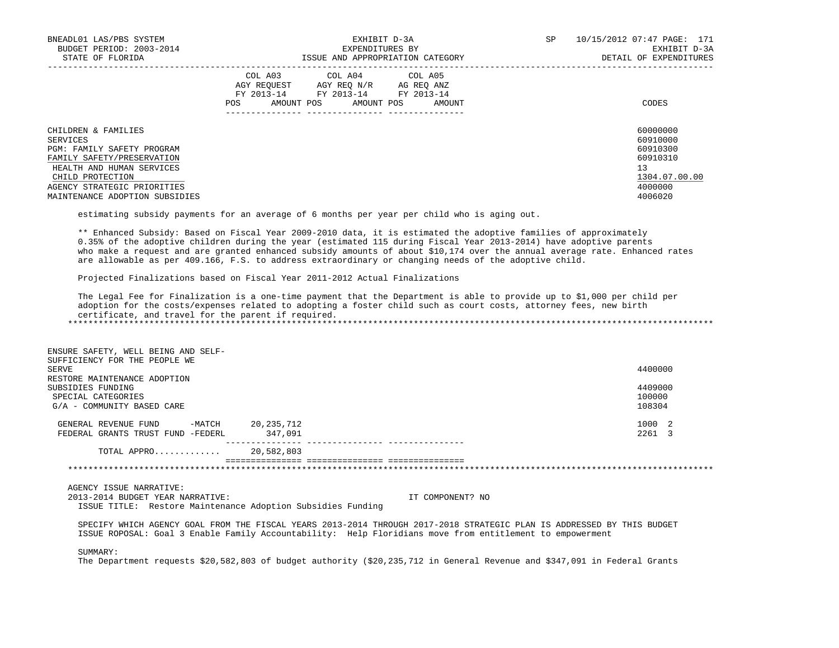| BNEADL01 LAS/PBS SYSTEM<br>BUDGET PERIOD: 2003-2014<br>STATE OF FLORIDA | EXHIBIT D-3A<br>EXPENDITURES BY<br>ISSUE AND APPROPRIATION CATEGORY                                                                                     | SP<br>10/15/2012 07:47 PAGE: 171<br>EXHIBIT D-3A<br>DETAIL OF EXPENDITURES |
|-------------------------------------------------------------------------|---------------------------------------------------------------------------------------------------------------------------------------------------------|----------------------------------------------------------------------------|
|                                                                         | COL A03 COL A04 COL A05<br>AGY REOUEST<br>AGY REO N/R<br>AG REO ANZ<br>FY 2013-14<br>FY 2013-14 FY 2013-14<br>AMOUNT POS<br>AMOUNT POS<br>AMOUNT<br>POS | CODES                                                                      |
| CHILDREN & FAMILIES<br>SERVICES                                         |                                                                                                                                                         | 60000000<br>60910000                                                       |
| PGM: FAMILY SAFETY PROGRAM                                              |                                                                                                                                                         | 60910300                                                                   |
| FAMILY SAFETY/PRESERVATION                                              |                                                                                                                                                         | 60910310                                                                   |
| HEALTH AND HUMAN SERVICES                                               |                                                                                                                                                         | 13                                                                         |
| CHILD PROTECTION                                                        |                                                                                                                                                         | 1304.07.00.00                                                              |
| AGENCY STRATEGIC PRIORITIES                                             |                                                                                                                                                         | 4000000                                                                    |
| MAINTENANCE ADOPTION SUBSIDIES                                          |                                                                                                                                                         | 4006020                                                                    |

estimating subsidy payments for an average of 6 months per year per child who is aging out.

 \*\* Enhanced Subsidy: Based on Fiscal Year 2009-2010 data, it is estimated the adoptive families of approximately 0.35% of the adoptive children during the year (estimated 115 during Fiscal Year 2013-2014) have adoptive parents who make a request and are granted enhanced subsidy amounts of about \$10,174 over the annual average rate. Enhanced rates are allowable as per 409.166, F.S. to address extraordinary or changing needs of the adoptive child.

Projected Finalizations based on Fiscal Year 2011-2012 Actual Finalizations

 The Legal Fee for Finalization is a one-time payment that the Department is able to provide up to \$1,000 per child per adoption for the costs/expenses related to adopting a foster child such as court costs, attorney fees, new birth certificate, and travel for the parent if required. \*\*\*\*\*\*\*\*\*\*\*\*\*\*\*\*\*\*\*\*\*\*\*\*\*\*\*\*\*\*\*\*\*\*\*\*\*\*\*\*\*\*\*\*\*\*\*\*\*\*\*\*\*\*\*\*\*\*\*\*\*\*\*\*\*\*\*\*\*\*\*\*\*\*\*\*\*\*\*\*\*\*\*\*\*\*\*\*\*\*\*\*\*\*\*\*\*\*\*\*\*\*\*\*\*\*\*\*\*\*\*\*\*\*\*\*\*\*\*\*\*\*\*\*\*\*\*

 ENSURE SAFETY, WELL BEING AND SELF- SUFFICIENCY FOR THE PEOPLE WE SERVE SERVE 4400000 RESTORE MAINTENANCE ADOPTION SUBSIDIES FUNDING 4409000 and 4409000 and 4409000 and 4409000 and 4409000 and 4409000 and 4409000 and 4409000 <br>SERCIAL CATEGORIES 40000 and 40000 and 40000 and 40000 and 40000 and 40000 and 40000 and 40000 and 40000 and 4 SPECIAL CATEGORIES  $G/A$  - COMMUNITY BASED CARE 108304 GENERAL REVENUE FUND -MATCH 20,235,712<br>
FEDERAL GRANTS TRUST FUND -FEDERL 347,091 FEDERAL GRANTS TRUST FUND -FEDERL --------------- --------------- --------------- TOTAL APPRO............. =============== =============== =============== \*\*\*\*\*\*\*\*\*\*\*\*\*\*\*\*\*\*\*\*\*\*\*\*\*\*\*\*\*\*\*\*\*\*\*\*\*\*\*\*\*\*\*\*\*\*\*\*\*\*\*\*\*\*\*\*\*\*\*\*\*\*\*\*\*\*\*\*\*\*\*\*\*\*\*\*\*\*\*\*\*\*\*\*\*\*\*\*\*\*\*\*\*\*\*\*\*\*\*\*\*\*\*\*\*\*\*\*\*\*\*\*\*\*\*\*\*\*\*\*\*\*\*\*\*\*\*

AGENCY ISSUE NARRATIVE:

 2013-2014 BUDGET YEAR NARRATIVE: IT COMPONENT? NO ISSUE TITLE: Restore Maintenance Adoption Subsidies Funding

 SPECIFY WHICH AGENCY GOAL FROM THE FISCAL YEARS 2013-2014 THROUGH 2017-2018 STRATEGIC PLAN IS ADDRESSED BY THIS BUDGET ISSUE ROPOSAL: Goal 3 Enable Family Accountability: Help Floridians move from entitlement to empowerment

SUMMARY:

The Department requests \$20,582,803 of budget authority (\$20,235,712 in General Revenue and \$347,091 in Federal Grants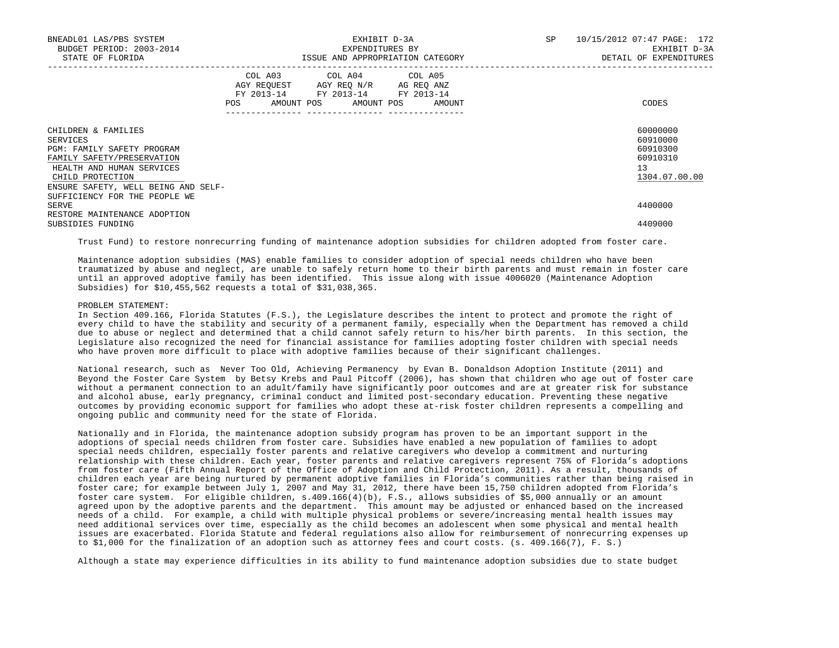| BNEADL01 LAS/PBS SYSTEM<br>BUDGET PERIOD: 2003-2014<br>STATE OF FLORIDA                                                                                                             |                                  | EXHIBIT D-3A<br>EXPENDITURES BY<br>ISSUE AND APPROPRIATION CATEGORY                                                                   | SP 10/15/2012 07:47 PAGE: 172<br>EXHIBIT D-3A<br>DETAIL OF EXPENDITURES |
|-------------------------------------------------------------------------------------------------------------------------------------------------------------------------------------|----------------------------------|---------------------------------------------------------------------------------------------------------------------------------------|-------------------------------------------------------------------------|
|                                                                                                                                                                                     | -------------- ----------------- | COL A03 COL A04 COL A05<br>AGY REQUEST AGY REQ N/R AG REQ ANZ<br>FY 2013-14 FY 2013-14 FY 2013-14<br>POS AMOUNT POS AMOUNT POS AMOUNT | CODES                                                                   |
| CHILDREN & FAMILIES<br>SERVICES<br>PGM: FAMILY SAFETY PROGRAM<br>FAMILY SAFETY/PRESERVATION<br>HEALTH AND HUMAN SERVICES<br>CHILD PROTECTION<br>ENSURE SAFETY, WELL BEING AND SELF- |                                  |                                                                                                                                       | 60000000<br>60910000<br>60910300<br>60910310<br>13<br>1304.07.00.00     |
| SUFFICIENCY FOR THE PEOPLE WE<br>SERVE<br>RESTORE MAINTENANCE ADOPTION<br>SUBSIDIES FUNDING                                                                                         |                                  |                                                                                                                                       | 4400000<br>4409000                                                      |

Trust Fund) to restore nonrecurring funding of maintenance adoption subsidies for children adopted from foster care.

 Maintenance adoption subsidies (MAS) enable families to consider adoption of special needs children who have been traumatized by abuse and neglect, are unable to safely return home to their birth parents and must remain in foster care until an approved adoptive family has been identified. This issue along with issue 4006020 (Maintenance Adoption Subsidies) for \$10,455,562 requests a total of \$31,038,365.

#### PROBLEM STATEMENT:

 In Section 409.166, Florida Statutes (F.S.), the Legislature describes the intent to protect and promote the right of every child to have the stability and security of a permanent family, especially when the Department has removed a child due to abuse or neglect and determined that a child cannot safely return to his/her birth parents. In this section, the Legislature also recognized the need for financial assistance for families adopting foster children with special needs who have proven more difficult to place with adoptive families because of their significant challenges.

 National research, such as Never Too Old, Achieving Permanency by Evan B. Donaldson Adoption Institute (2011) and Beyond the Foster Care System by Betsy Krebs and Paul Pitcoff (2006), has shown that children who age out of foster care without a permanent connection to an adult/family have significantly poor outcomes and are at greater risk for substance and alcohol abuse, early pregnancy, criminal conduct and limited post-secondary education. Preventing these negative outcomes by providing economic support for families who adopt these at-risk foster children represents a compelling and ongoing public and community need for the state of Florida.

 Nationally and in Florida, the maintenance adoption subsidy program has proven to be an important support in the adoptions of special needs children from foster care. Subsidies have enabled a new population of families to adopt special needs children, especially foster parents and relative caregivers who develop a commitment and nurturing relationship with these children. Each year, foster parents and relative caregivers represent 75% of Florida's adoptions from foster care (Fifth Annual Report of the Office of Adoption and Child Protection, 2011). As a result, thousands of children each year are being nurtured by permanent adoptive families in Florida's communities rather than being raised in foster care; for example between July 1, 2007 and May 31, 2012, there have been 15,750 children adopted from Florida's foster care system. For eligible children, s.409.166(4)(b), F.S., allows subsidies of \$5,000 annually or an amount agreed upon by the adoptive parents and the department. This amount may be adjusted or enhanced based on the increased needs of a child. For example, a child with multiple physical problems or severe/increasing mental health issues may need additional services over time, especially as the child becomes an adolescent when some physical and mental health issues are exacerbated. Florida Statute and federal regulations also allow for reimbursement of nonrecurring expenses up to \$1,000 for the finalization of an adoption such as attorney fees and court costs. (s. 409.166(7), F. S.)

Although a state may experience difficulties in its ability to fund maintenance adoption subsidies due to state budget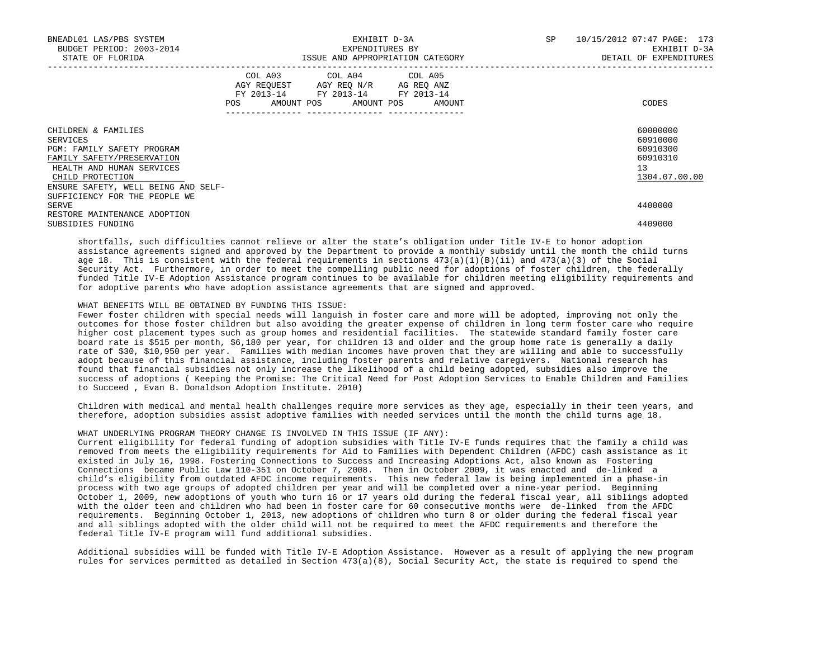| BNEADL01 LAS/PBS SYSTEM<br>BUDGET PERIOD: 2003-2014<br>STATE OF FLORIDA                                                                                                                    | EXHIBIT D-3A<br>EXPENDITURES BY<br>ISSUE AND APPROPRIATION CATEGORY                                                                      | 10/15/2012 07:47 PAGE: 173<br>SP<br>EXHIBIT D-3A<br>DETAIL OF EXPENDITURES |
|--------------------------------------------------------------------------------------------------------------------------------------------------------------------------------------------|------------------------------------------------------------------------------------------------------------------------------------------|----------------------------------------------------------------------------|
|                                                                                                                                                                                            | COL A03 COL A04 COL A05<br>AGY REQUEST AGY REQ N/R AG REQ ANZ<br>FY 2013-14 FY 2013-14 FY 2013-14<br>AMOUNT POS AMOUNT POS AMOUNT<br>POS | CODES                                                                      |
| CHILDREN & FAMILIES<br>SERVICES<br><b>PGM: FAMILY SAFETY PROGRAM</b><br>FAMILY SAFETY/PRESERVATION<br>HEALTH AND HUMAN SERVICES<br>CHILD PROTECTION<br>ENSURE SAFETY, WELL BEING AND SELF- |                                                                                                                                          | 60000000<br>60910000<br>60910300<br>60910310<br>13<br>1304.07.00.00        |
| SUFFICIENCY FOR THE PEOPLE WE<br>SERVE<br>RESTORE MAINTENANCE ADOPTION<br>SUBSIDIES FUNDING                                                                                                |                                                                                                                                          | 4400000<br>4409000                                                         |

 shortfalls, such difficulties cannot relieve or alter the state's obligation under Title IV-E to honor adoption assistance agreements signed and approved by the Department to provide a monthly subsidy until the month the child turns age 18. This is consistent with the federal requirements in sections  $473(a)(1)(B)(ii)$  and  $473(a)(3)$  of the Social Security Act. Furthermore, in order to meet the compelling public need for adoptions of foster children, the federally funded Title IV-E Adoption Assistance program continues to be available for children meeting eligibility requirements and for adoptive parents who have adoption assistance agreements that are signed and approved.

## WHAT BENEFITS WILL BE OBTAINED BY FUNDING THIS ISSUE:

 Fewer foster children with special needs will languish in foster care and more will be adopted, improving not only the outcomes for those foster children but also avoiding the greater expense of children in long term foster care who require higher cost placement types such as group homes and residential facilities. The statewide standard family foster care board rate is \$515 per month, \$6,180 per year, for children 13 and older and the group home rate is generally a daily rate of \$30, \$10,950 per year. Families with median incomes have proven that they are willing and able to successfully adopt because of this financial assistance, including foster parents and relative caregivers. National research has found that financial subsidies not only increase the likelihood of a child being adopted, subsidies also improve the success of adoptions ( Keeping the Promise: The Critical Need for Post Adoption Services to Enable Children and Families to Succeed , Evan B. Donaldson Adoption Institute. 2010)

 Children with medical and mental health challenges require more services as they age, especially in their teen years, and therefore, adoption subsidies assist adoptive families with needed services until the month the child turns age 18.

WHAT UNDERLYING PROGRAM THEORY CHANGE IS INVOLVED IN THIS ISSUE (IF ANY):

 Current eligibility for federal funding of adoption subsidies with Title IV-E funds requires that the family a child was removed from meets the eligibility requirements for Aid to Families with Dependent Children (AFDC) cash assistance as it existed in July 16, 1998. Fostering Connections to Success and Increasing Adoptions Act, also known as Fostering Connections became Public Law 110-351 on October 7, 2008. Then in October 2009, it was enacted and de-linked a child's eligibility from outdated AFDC income requirements. This new federal law is being implemented in a phase-in process with two age groups of adopted children per year and will be completed over a nine-year period. Beginning October 1, 2009, new adoptions of youth who turn 16 or 17 years old during the federal fiscal year, all siblings adopted with the older teen and children who had been in foster care for 60 consecutive months were de-linked from the AFDC requirements. Beginning October 1, 2013, new adoptions of children who turn 8 or older during the federal fiscal year and all siblings adopted with the older child will not be required to meet the AFDC requirements and therefore the federal Title IV-E program will fund additional subsidies.

 Additional subsidies will be funded with Title IV-E Adoption Assistance. However as a result of applying the new program rules for services permitted as detailed in Section  $473(a)(8)$ , Social Security Act, the state is required to spend the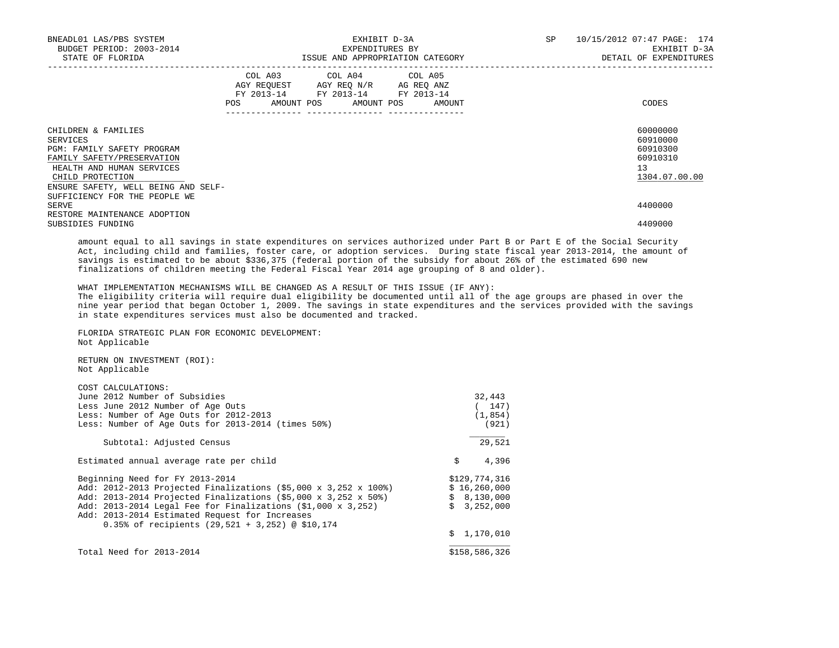| BNEADL01 LAS/PBS SYSTEM<br>BUDGET PERIOD: 2003-2014<br>STATE OF FLORIDA                                                                                                                                              | EXHIBIT D-3A<br>EXPENDITURES BY<br>ISSUE AND APPROPRIATION CATEGORY                                                                          | SP<br>10/15/2012 07:47 PAGE: 174<br>EXHIBIT D-3A<br>DETAIL OF EXPENDITURES |
|----------------------------------------------------------------------------------------------------------------------------------------------------------------------------------------------------------------------|----------------------------------------------------------------------------------------------------------------------------------------------|----------------------------------------------------------------------------|
|                                                                                                                                                                                                                      | COL A03 COL A04 COL A05<br>AGY REQUEST AGY REQ N/R AG REQ ANZ<br>FY 2013-14 FY 2013-14 FY 2013-14<br>POS FOR<br>AMOUNT POS AMOUNT POS AMOUNT | CODES                                                                      |
| CHILDREN & FAMILIES<br>SERVICES<br>PGM: FAMILY SAFETY PROGRAM<br>FAMILY SAFETY/PRESERVATION<br>HEALTH AND HUMAN SERVICES<br>CHILD PROTECTION<br>ENSURE SAFETY, WELL BEING AND SELF-<br>SUFFICIENCY FOR THE PEOPLE WE |                                                                                                                                              | 60000000<br>60910000<br>60910300<br>60910310<br>13<br>1304.07.00.00        |
| SERVE<br>RESTORE MAINTENANCE ADOPTION<br>SUBSIDIES FUNDING                                                                                                                                                           |                                                                                                                                              | 4400000<br>4409000                                                         |

 amount equal to all savings in state expenditures on services authorized under Part B or Part E of the Social Security Act, including child and families, foster care, or adoption services. During state fiscal year 2013-2014, the amount of savings is estimated to be about \$336,375 (federal portion of the subsidy for about 26% of the estimated 690 new finalizations of children meeting the Federal Fiscal Year 2014 age grouping of 8 and older).

WHAT IMPLEMENTATION MECHANISMS WILL BE CHANGED AS A RESULT OF THIS ISSUE (IF ANY):

 The eligibility criteria will require dual eligibility be documented until all of the age groups are phased in over the nine year period that began October 1, 2009. The savings in state expenditures and the services provided with the savings in state expenditures services must also be documented and tracked.

 $$ 1,170,010$ 

 FLORIDA STRATEGIC PLAN FOR ECONOMIC DEVELOPMENT: Not Applicable

 RETURN ON INVESTMENT (ROI): Not Applicable

 COST CALCULATIONS: June 2012 Number of Subsidies 32,443 Less June 2012 Number of Age Outs<br>
Less: Number of Age Outs for 2012-2013 (1,854) Less: Number of Age Outs for 2012-2013 (1,854)<br>Less: Number of Age Outs for 2013-2014 (times 50%) (921) Less: Number of Age Outs for  $2013-2014$  (times  $50\%$ ) \_\_\_\_\_\_\_ Subtotal: Adjusted Census 29,521 Estimated annual average rate per child \$ 4,396 Beginning Need for FY 2013-2014<br>Add: 2012-2013 Projected Finalizations (\$5.000 x 3.252 x 100%) \$ 16.260.000 Add: 2012-2013 Projected Finalizations (\$5,000 x 3,252 x 100%) \$ 16,260,000<br>Add: 2013-2014 Projected Finalizations (\$5,000 x 3,252 x 50%) \$ 8.130.000 Add: 2013-2014 Projected Finalizations (\$5,000 x 3,252 x 50%) \$ 8,130,000<br>Add: 2013-2014 Legal Fee for Finalizations (\$1,000 x 3,252) \$ 3,252,000 Add:  $2013-2014$  Legal Fee for Finalizations (\$1,000 x 3,252) Add: 2013-2014 Estimated Request for Increases

0.35% of recipients (29,521 + 3,252) @ \$10,174

| Total Need for 2013-2014 | \$158,586,326 |
|--------------------------|---------------|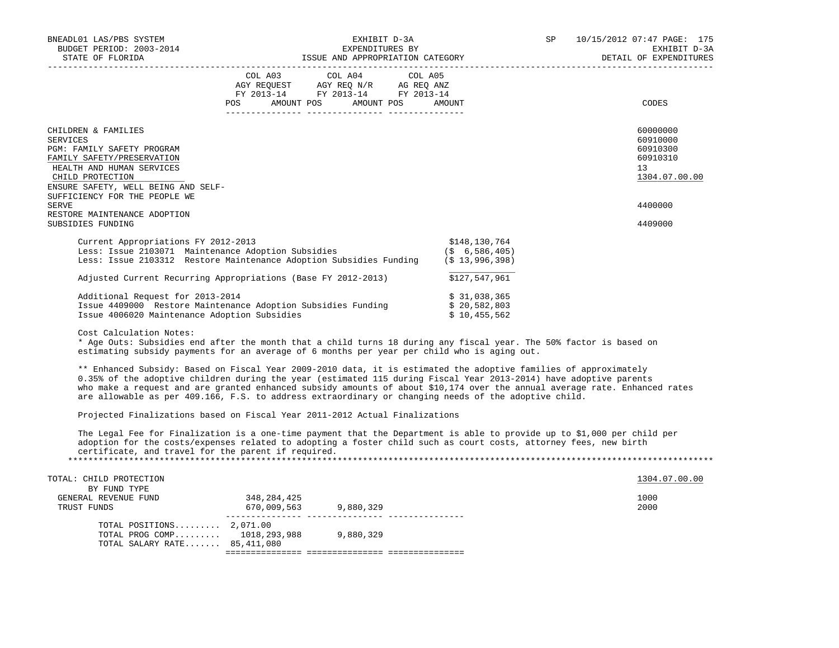| BNEADL01 LAS/PBS SYSTEM<br>BUDGET PERIOD: 2003-2014<br>STATE OF FLORIDA<br>------------------------------------                                                                                                                                                                                                                                                                                                                                                                                                                |                                                                                                             | EXHIBIT D-3A<br>EXPENDITURES BY<br>ISSUE AND APPROPRIATION CATEGORY |                                                                                                                                                                                                                                                                                                                                                                                                                                                                                                                                                                               | 10/15/2012 07:47 PAGE: 175<br>SP<br>EXHIBIT D-3A<br>DETAIL OF EXPENDITURES<br>_______________________                      |
|--------------------------------------------------------------------------------------------------------------------------------------------------------------------------------------------------------------------------------------------------------------------------------------------------------------------------------------------------------------------------------------------------------------------------------------------------------------------------------------------------------------------------------|-------------------------------------------------------------------------------------------------------------|---------------------------------------------------------------------|-------------------------------------------------------------------------------------------------------------------------------------------------------------------------------------------------------------------------------------------------------------------------------------------------------------------------------------------------------------------------------------------------------------------------------------------------------------------------------------------------------------------------------------------------------------------------------|----------------------------------------------------------------------------------------------------------------------------|
|                                                                                                                                                                                                                                                                                                                                                                                                                                                                                                                                | COL A03 COL A04 COL A05<br>AGY REQUEST AGY REQ N/R AG REQ ANZ<br>FY 2013-14 FY 2013-14 FY 2013-14<br>POS DO | AMOUNT POS AMOUNT POS                                               | AMOUNT                                                                                                                                                                                                                                                                                                                                                                                                                                                                                                                                                                        | CODES                                                                                                                      |
| CHILDREN & FAMILIES<br>SERVICES<br>PGM: FAMILY SAFETY PROGRAM<br>FAMILY SAFETY/PRESERVATION<br>HEALTH AND HUMAN SERVICES<br>CHILD PROTECTION<br>ENSURE SAFETY, WELL BEING AND SELF-<br>SUFFICIENCY FOR THE PEOPLE WE<br>SERVE                                                                                                                                                                                                                                                                                                  |                                                                                                             |                                                                     |                                                                                                                                                                                                                                                                                                                                                                                                                                                                                                                                                                               | 60000000<br>60910000<br>60910300<br>60910310<br>13<br>1304.07.00.00<br>4400000                                             |
| RESTORE MAINTENANCE ADOPTION<br>SUBSIDIES FUNDING                                                                                                                                                                                                                                                                                                                                                                                                                                                                              |                                                                                                             |                                                                     |                                                                                                                                                                                                                                                                                                                                                                                                                                                                                                                                                                               | 4409000                                                                                                                    |
| Current Appropriations FY 2012-2013<br>Less: Issue 2103071 Maintenance Adoption Subsidies<br>Less: Issue 2103312 Restore Maintenance Adoption Subsidies Funding (\$ 13,996,398)<br>Adjusted Current Recurring Appropriations (Base FY 2012-2013)<br>Additional Request for 2013-2014<br>Issue 4409000 Restore Maintenance Adoption Subsidies Funding<br>Issue 4006020 Maintenance Adoption Subsidies<br>Cost Calculation Notes:<br>estimating subsidy payments for an average of 6 months per year per child who is aging out. |                                                                                                             |                                                                     | \$148,130,764<br>$(5 \t 6, 586, 405)$<br>\$127,547,961<br>\$31,038,365<br>\$20,582,803<br>\$10,455,562<br>* Age Outs: Subsidies end after the month that a child turns 18 during any fiscal year. The 50% factor is based on<br>** Enhanced Subsidy: Based on Fiscal Year 2009-2010 data, it is estimated the adoptive families of approximately<br>0.35% of the adoptive children during the year (estimated 115 during Fiscal Year 2013-2014) have adoptive parents<br>are allowable as per 409.166, F.S. to address extraordinary or changing needs of the adoptive child. | who make a request and are granted enhanced subsidy amounts of about \$10,174 over the annual average rate. Enhanced rates |
| Projected Finalizations based on Fiscal Year 2011-2012 Actual Finalizations                                                                                                                                                                                                                                                                                                                                                                                                                                                    |                                                                                                             |                                                                     |                                                                                                                                                                                                                                                                                                                                                                                                                                                                                                                                                                               |                                                                                                                            |
| certificate, and travel for the parent if required.                                                                                                                                                                                                                                                                                                                                                                                                                                                                            |                                                                                                             |                                                                     | The Legal Fee for Finalization is a one-time payment that the Department is able to provide up to \$1,000 per child per<br>adoption for the costs/expenses related to adopting a foster child such as court costs, attorney fees, new birth                                                                                                                                                                                                                                                                                                                                   |                                                                                                                            |
| TOTAL: CHILD PROTECTION<br>BY FUND TYPE<br>GENERAL REVENUE FUND<br>TRUST FUNDS                                                                                                                                                                                                                                                                                                                                                                                                                                                 | 348, 284, 425<br>670,009,563 9,880,329                                                                      |                                                                     |                                                                                                                                                                                                                                                                                                                                                                                                                                                                                                                                                                               | 1304.07.00.00<br>1000<br>2000                                                                                              |
| TOTAL POSITIONS $2,071.00$                                                                                                                                                                                                                                                                                                                                                                                                                                                                                                     |                                                                                                             |                                                                     |                                                                                                                                                                                                                                                                                                                                                                                                                                                                                                                                                                               |                                                                                                                            |

=============== =============== ===============

TOTAL PROG COMP......... 1018,293,988 9,880,329

TOTAL SALARY RATE....... 85,411,080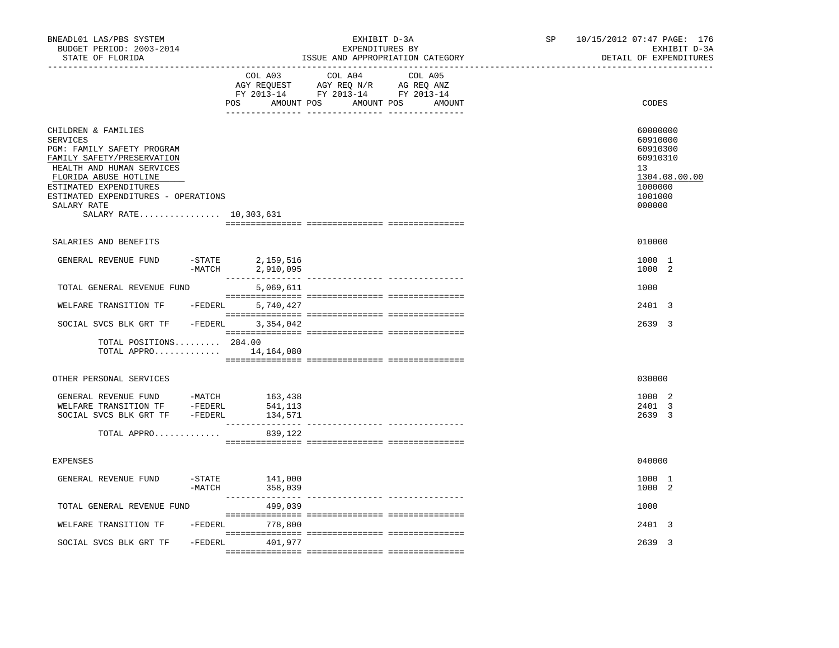| BNEADL01 LAS/PBS SYSTEM<br>BUDGET PERIOD: 2003-2014<br>STATE OF FLORIDA                                                                                                                                                                                            |                       | EXHIBIT D-3A<br>EXPENDITURES BY<br>ISSUE AND APPROPRIATION CATEGORY                                                   |  |         | SP      | 10/15/2012 07:47 PAGE: 176<br>EXHIBIT D-3A<br>DETAIL OF EXPENDITURES |  |  |                                                                                                                  |
|--------------------------------------------------------------------------------------------------------------------------------------------------------------------------------------------------------------------------------------------------------------------|-----------------------|-----------------------------------------------------------------------------------------------------------------------|--|---------|---------|----------------------------------------------------------------------|--|--|------------------------------------------------------------------------------------------------------------------|
|                                                                                                                                                                                                                                                                    |                       | COL A03<br>AGY REQUEST AGY REQ N/R AG REQ ANZ<br>FY 2013-14 FY 2013-14 FY 2013-14<br>POS AMOUNT POS AMOUNT POS AMOUNT |  | COL A04 | COL A05 |                                                                      |  |  | CODES                                                                                                            |
| CHILDREN & FAMILIES<br><b>SERVICES</b><br>PGM: FAMILY SAFETY PROGRAM<br>FAMILY SAFETY/PRESERVATION<br>HEALTH AND HUMAN SERVICES<br>FLORIDA ABUSE HOTLINE<br>ESTIMATED EXPENDITURES<br>ESTIMATED EXPENDITURES - OPERATIONS<br>SALARY RATE<br>SALARY RATE 10,303,631 |                       |                                                                                                                       |  |         |         |                                                                      |  |  | 60000000<br>60910000<br>60910300<br>60910310<br>13 <sup>°</sup><br>1304.08.00.00<br>1000000<br>1001000<br>000000 |
| SALARIES AND BENEFITS                                                                                                                                                                                                                                              |                       |                                                                                                                       |  |         |         |                                                                      |  |  | 010000                                                                                                           |
| GENERAL REVENUE FUND                                                                                                                                                                                                                                               | $-$ STATE<br>$-MATCH$ | 2,159,516<br>2,910,095                                                                                                |  |         |         |                                                                      |  |  | 1000 1<br>1000 2                                                                                                 |
| TOTAL GENERAL REVENUE FUND                                                                                                                                                                                                                                         |                       | 5,069,611                                                                                                             |  |         |         |                                                                      |  |  | 1000                                                                                                             |
| WELFARE TRANSITION TF - FEDERL                                                                                                                                                                                                                                     |                       | 5,740,427                                                                                                             |  |         |         |                                                                      |  |  | 2401 3                                                                                                           |
| SOCIAL SVCS BLK GRT TF -FEDERL                                                                                                                                                                                                                                     |                       | 3,354,042                                                                                                             |  |         |         |                                                                      |  |  | 2639 3                                                                                                           |
| TOTAL POSITIONS 284.00<br>TOTAL APPRO 14, 164, 080                                                                                                                                                                                                                 |                       |                                                                                                                       |  |         |         |                                                                      |  |  |                                                                                                                  |
| OTHER PERSONAL SERVICES                                                                                                                                                                                                                                            |                       |                                                                                                                       |  |         |         |                                                                      |  |  | 030000                                                                                                           |
| GENERAL REVENUE FUND -MATCH 163,438<br>WELFARE TRANSITION TF -FEDERL 541,113<br>SOCIAL SVCS BLK GRT TF -FEDERL<br>TOTAL APPRO                                                                                                                                      |                       | 134,571<br>839,122                                                                                                    |  |         |         |                                                                      |  |  | 1000 2<br>2401 3<br>2639 3                                                                                       |
| <b>EXPENSES</b>                                                                                                                                                                                                                                                    |                       |                                                                                                                       |  |         |         |                                                                      |  |  | 040000                                                                                                           |
| GENERAL REVENUE FUND                                                                                                                                                                                                                                               |                       | -STATE 141,000                                                                                                        |  |         |         |                                                                      |  |  | 1000 1                                                                                                           |
|                                                                                                                                                                                                                                                                    | $-MATCH$              | 358,039                                                                                                               |  |         |         |                                                                      |  |  | 1000 2                                                                                                           |
| TOTAL GENERAL REVENUE FUND                                                                                                                                                                                                                                         |                       | 499,039                                                                                                               |  |         |         |                                                                      |  |  | 1000                                                                                                             |
| WELFARE TRANSITION TF                                                                                                                                                                                                                                              | -FEDERL               | 778,800                                                                                                               |  |         |         |                                                                      |  |  | 2401 3                                                                                                           |
| SOCIAL SVCS BLK GRT TF                                                                                                                                                                                                                                             | -FEDERL               | 401,977                                                                                                               |  |         |         |                                                                      |  |  | 2639 3                                                                                                           |
|                                                                                                                                                                                                                                                                    |                       |                                                                                                                       |  |         |         |                                                                      |  |  |                                                                                                                  |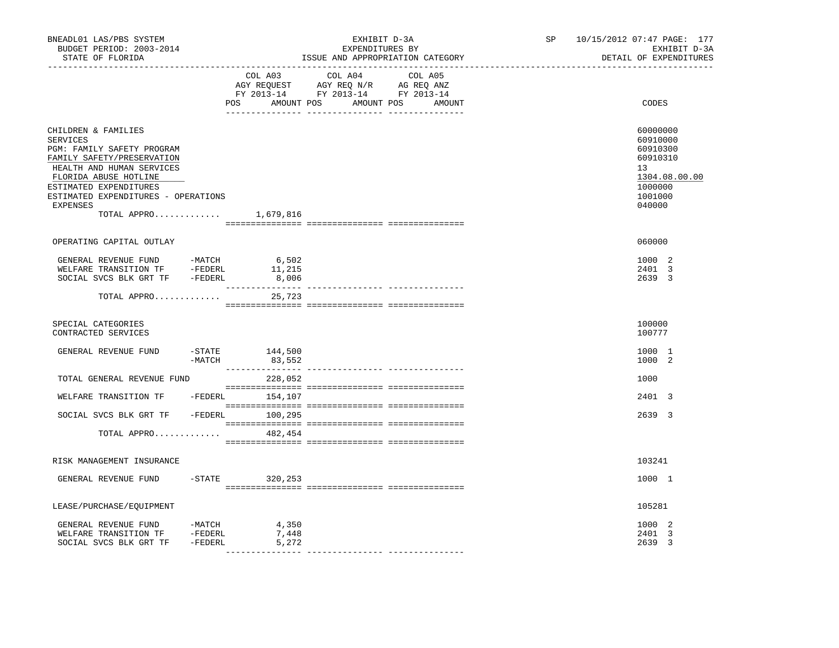| BNEADL01 LAS/PBS SYSTEM<br>BUDGET PERIOD: 2003-2014<br>STATE OF FLORIDA                                                                                                                                                                              |          | ______________________________ | EXHIBIT D-3A<br>EXPENDITURES BY<br>ISSUE AND APPROPRIATION CATEGORY                                                              | ----------------------------- | SP 10/15/2012 07:47 PAGE: 177<br>EXHIBIT D-3A<br>DETAIL OF EXPENDITURES                             |
|------------------------------------------------------------------------------------------------------------------------------------------------------------------------------------------------------------------------------------------------------|----------|--------------------------------|----------------------------------------------------------------------------------------------------------------------------------|-------------------------------|-----------------------------------------------------------------------------------------------------|
|                                                                                                                                                                                                                                                      |          | COL A03                        | COL A04<br>COL A05<br>AGY REQUEST AGY REQ N/R AG REQ ANZ<br>FY 2013-14 FY 2013-14 FY 2013-14<br>POS AMOUNT POS AMOUNT POS AMOUNT |                               | CODES                                                                                               |
| CHILDREN & FAMILIES<br>SERVICES<br>PGM: FAMILY SAFETY PROGRAM<br>FAMILY SAFETY/PRESERVATION<br>HEALTH AND HUMAN SERVICES<br>FLORIDA ABUSE HOTLINE<br>ESTIMATED EXPENDITURES<br>ESTIMATED EXPENDITURES - OPERATIONS<br><b>EXPENSES</b><br>TOTAL APPRO |          | 1,679,816                      |                                                                                                                                  |                               | 60000000<br>60910000<br>60910300<br>60910310<br>13<br>1304.08.00.00<br>1000000<br>1001000<br>040000 |
| OPERATING CAPITAL OUTLAY                                                                                                                                                                                                                             |          |                                |                                                                                                                                  |                               | 060000                                                                                              |
| GENERAL REVENUE FUND -MATCH 6,502<br>WELFARE TRANSITION TF -FEDERL 11,215<br>SOCIAL SVCS BLK GRT TF -FEDERL                                                                                                                                          |          | 8,006                          |                                                                                                                                  |                               | 1000 2<br>2401 3<br>2639 3                                                                          |
| TOTAL APPRO                                                                                                                                                                                                                                          |          | 25,723                         |                                                                                                                                  |                               |                                                                                                     |
| SPECIAL CATEGORIES<br>CONTRACTED SERVICES                                                                                                                                                                                                            |          |                                |                                                                                                                                  |                               | 100000<br>100777                                                                                    |
| GENERAL REVENUE FUND                                                                                                                                                                                                                                 | $-MATCH$ | $-$ STATE $144,500$<br>83,552  |                                                                                                                                  |                               | 1000 1<br>1000 2                                                                                    |
| TOTAL GENERAL REVENUE FUND                                                                                                                                                                                                                           |          | 228,052                        |                                                                                                                                  |                               | 1000                                                                                                |
| WELFARE TRANSITION TF - FEDERL 154,107                                                                                                                                                                                                               |          |                                |                                                                                                                                  |                               | 2401 3                                                                                              |
| SOCIAL SVCS BLK GRT TF - FEDERL 100,295                                                                                                                                                                                                              |          |                                |                                                                                                                                  |                               | 2639 3                                                                                              |
| TOTAL APPRO                                                                                                                                                                                                                                          |          | 482,454                        |                                                                                                                                  |                               |                                                                                                     |
| RISK MANAGEMENT INSURANCE                                                                                                                                                                                                                            |          |                                |                                                                                                                                  |                               | 103241                                                                                              |
| GENERAL REVENUE FUND                                                                                                                                                                                                                                 |          | $-STATE$ 320, 253              |                                                                                                                                  |                               | 1000 1                                                                                              |
| LEASE/PURCHASE/EQUIPMENT                                                                                                                                                                                                                             |          |                                |                                                                                                                                  |                               | 105281                                                                                              |
| GENERAL REVENUE FUND -MATCH<br>WELFARE TRANSITION TF -FEDERL<br>SOCIAL SVCS BLK GRT TF -FEDERL                                                                                                                                                       |          | 4,350<br>7,448<br>5,272        |                                                                                                                                  |                               | 1000 2<br>2401 3<br>2639 3                                                                          |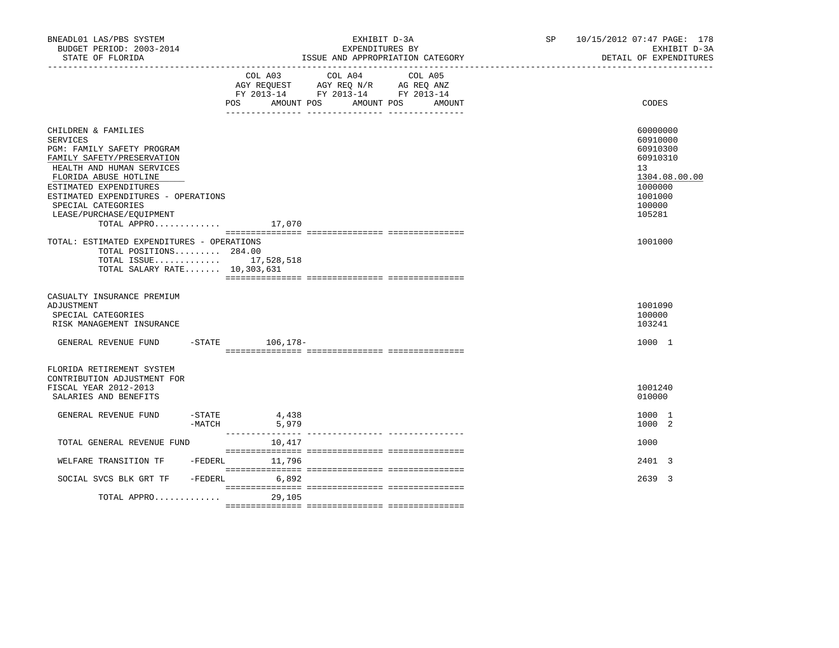| BNEADL01 LAS/PBS SYSTEM<br>BUDGET PERIOD: 2003-2014<br>STATE OF FLORIDA                                                                                                                                                                                                                             |                  |                 | EXHIBIT D-3A<br>EXPENDITURES BY<br>ISSUE AND APPROPRIATION CATEGORY                                                                     | SP and the set of the set of the set of the set of the set of the set of the set of the set of the set of the set of the set of the set of the set of the set of the set of the set of the set of the set of the set of the se | 10/15/2012 07:47 PAGE: 178<br>EXHIBIT D-3A<br>DETAIL OF EXPENDITURES                                          |
|-----------------------------------------------------------------------------------------------------------------------------------------------------------------------------------------------------------------------------------------------------------------------------------------------------|------------------|-----------------|-----------------------------------------------------------------------------------------------------------------------------------------|--------------------------------------------------------------------------------------------------------------------------------------------------------------------------------------------------------------------------------|---------------------------------------------------------------------------------------------------------------|
|                                                                                                                                                                                                                                                                                                     |                  | <b>POS</b>      | COL A03 COL A04<br>COL A05<br>AGY REQUEST AGY REQ N/R AG REQ ANZ<br>FY 2013-14 FY 2013-14 FY 2013-14<br>AMOUNT POS AMOUNT POS<br>AMOUNT |                                                                                                                                                                                                                                | CODES                                                                                                         |
| CHILDREN & FAMILIES<br><b>SERVICES</b><br>PGM: FAMILY SAFETY PROGRAM<br>FAMILY SAFETY/PRESERVATION<br>HEALTH AND HUMAN SERVICES<br>FLORIDA ABUSE HOTLINE<br>ESTIMATED EXPENDITURES<br>ESTIMATED EXPENDITURES - OPERATIONS<br>SPECIAL CATEGORIES<br>LEASE/PURCHASE/EOUIPMENT<br>TOTAL APPRO $17,070$ |                  |                 |                                                                                                                                         |                                                                                                                                                                                                                                | 60000000<br>60910000<br>60910300<br>60910310<br>13<br>1304.08.00.00<br>1000000<br>1001000<br>100000<br>105281 |
| TOTAL: ESTIMATED EXPENDITURES - OPERATIONS<br>TOTAL POSITIONS 284.00<br>TOTAL ISSUE 17,528,518<br>TOTAL SALARY RATE 10,303,631                                                                                                                                                                      |                  |                 |                                                                                                                                         |                                                                                                                                                                                                                                | 1001000                                                                                                       |
| CASUALTY INSURANCE PREMIUM<br>ADJUSTMENT<br>SPECIAL CATEGORIES<br>RISK MANAGEMENT INSURANCE                                                                                                                                                                                                         |                  |                 |                                                                                                                                         |                                                                                                                                                                                                                                | 1001090<br>100000<br>103241                                                                                   |
| GENERAL REVENUE FUND                                                                                                                                                                                                                                                                                |                  | -STATE 106,178- |                                                                                                                                         |                                                                                                                                                                                                                                | 1000 1                                                                                                        |
| FLORIDA RETIREMENT SYSTEM<br>CONTRIBUTION ADJUSTMENT FOR<br>FISCAL YEAR 2012-2013<br>SALARIES AND BENEFITS                                                                                                                                                                                          |                  |                 |                                                                                                                                         |                                                                                                                                                                                                                                | 1001240<br>010000                                                                                             |
| GENERAL REVENUE FUND                                                                                                                                                                                                                                                                                | -STATE<br>-MATCH | 4,438<br>5,979  |                                                                                                                                         |                                                                                                                                                                                                                                | 1000 1<br>1000 2                                                                                              |
| TOTAL GENERAL REVENUE FUND                                                                                                                                                                                                                                                                          |                  | 10,417          |                                                                                                                                         |                                                                                                                                                                                                                                | 1000                                                                                                          |
| WELFARE TRANSITION TF -FEDERL                                                                                                                                                                                                                                                                       |                  | 11,796          |                                                                                                                                         |                                                                                                                                                                                                                                | 2401 3                                                                                                        |
| SOCIAL SVCS BLK GRT TF<br>TOTAL APPRO                                                                                                                                                                                                                                                               | $-$ FEDERL       | 6,892<br>29,105 |                                                                                                                                         |                                                                                                                                                                                                                                | 2639 3                                                                                                        |
|                                                                                                                                                                                                                                                                                                     |                  |                 |                                                                                                                                         |                                                                                                                                                                                                                                |                                                                                                               |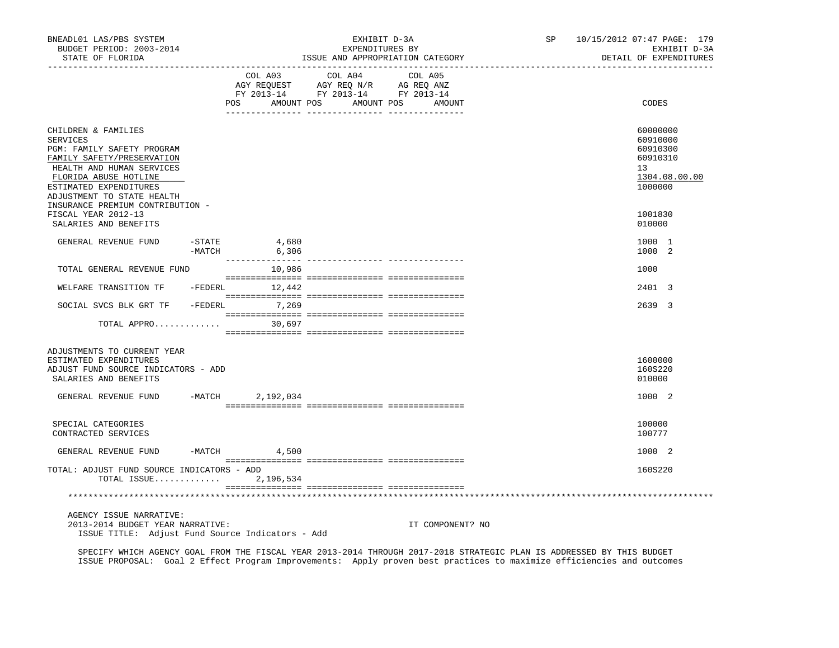| BNEADL01 LAS/PBS SYSTEM<br>BUDGET PERIOD: 2003-2014<br>STATE OF FLORIDA                                                                                                                                                                              |          |                          | EXHIBIT D-3A<br>EXPENDITURES BY<br>ISSUE AND APPROPRIATION CATEGORY                                                                                                                                                                                                                                                                                            |                  | SP and the set of the set of the set of the set of the set of the set of the set of the set of the set of the set of the set of the set of the set of the set of the set of the set of the set of the set of the set of the se | 10/15/2012 07:47 PAGE: 179<br>EXHIBIT D-3A<br>DETAIL OF EXPENDITURES           |
|------------------------------------------------------------------------------------------------------------------------------------------------------------------------------------------------------------------------------------------------------|----------|--------------------------|----------------------------------------------------------------------------------------------------------------------------------------------------------------------------------------------------------------------------------------------------------------------------------------------------------------------------------------------------------------|------------------|--------------------------------------------------------------------------------------------------------------------------------------------------------------------------------------------------------------------------------|--------------------------------------------------------------------------------|
|                                                                                                                                                                                                                                                      |          | POS                      | COL A03 COL A04 COL A05<br>$\begin{array}{ccccccccc}\n\text{AGY REQUEST} & & \text{GUT} & \text{AGY REQ} & \text{N/R} & & \text{GCEQ} & \text{ANZ} \\ \text{AGY REQUEST} & & \text{AGY REQ} & & \text{N/R} & & \text{AG REQ} & \text{ANZ} \\ \text{FY} & 2013-14 & & \text{FY} & 2013-14 & & \text{FY} & 2013-14\n\end{array}$<br>AMOUNT POS AMOUNT POS AMOUNT |                  |                                                                                                                                                                                                                                | CODES                                                                          |
| CHILDREN & FAMILIES<br><b>SERVICES</b><br>PGM: FAMILY SAFETY PROGRAM<br>FAMILY SAFETY/PRESERVATION<br>HEALTH AND HUMAN SERVICES<br>FLORIDA ABUSE HOTLINE<br>ESTIMATED EXPENDITURES<br>ADJUSTMENT TO STATE HEALTH<br>INSURANCE PREMIUM CONTRIBUTION - |          |                          |                                                                                                                                                                                                                                                                                                                                                                |                  |                                                                                                                                                                                                                                | 60000000<br>60910000<br>60910300<br>60910310<br>13<br>1304.08.00.00<br>1000000 |
| FISCAL YEAR 2012-13<br>SALARIES AND BENEFITS                                                                                                                                                                                                         |          |                          |                                                                                                                                                                                                                                                                                                                                                                |                  |                                                                                                                                                                                                                                | 1001830<br>010000                                                              |
| GENERAL REVENUE FUND                                                                                                                                                                                                                                 | -MATCH   | $-$ STATE 4,680<br>6,306 |                                                                                                                                                                                                                                                                                                                                                                |                  |                                                                                                                                                                                                                                | 1000 1<br>1000 2                                                               |
| TOTAL GENERAL REVENUE FUND                                                                                                                                                                                                                           |          | 10,986                   |                                                                                                                                                                                                                                                                                                                                                                |                  |                                                                                                                                                                                                                                | 1000                                                                           |
| WELFARE TRANSITION TF -FEDERL 12,442                                                                                                                                                                                                                 |          |                          |                                                                                                                                                                                                                                                                                                                                                                |                  |                                                                                                                                                                                                                                | 2401 3                                                                         |
| SOCIAL SVCS BLK GRT TF - FEDERL                                                                                                                                                                                                                      |          | 7,269                    |                                                                                                                                                                                                                                                                                                                                                                |                  |                                                                                                                                                                                                                                | 2639 3                                                                         |
| TOTAL APPRO                                                                                                                                                                                                                                          |          | 30,697                   |                                                                                                                                                                                                                                                                                                                                                                |                  |                                                                                                                                                                                                                                |                                                                                |
| ADJUSTMENTS TO CURRENT YEAR<br>ESTIMATED EXPENDITURES<br>ADJUST FUND SOURCE INDICATORS - ADD<br>SALARIES AND BENEFITS                                                                                                                                |          |                          |                                                                                                                                                                                                                                                                                                                                                                |                  |                                                                                                                                                                                                                                | 1600000<br>160S220<br>010000                                                   |
| GENERAL REVENUE FUND -MATCH 2, 192, 034                                                                                                                                                                                                              |          |                          |                                                                                                                                                                                                                                                                                                                                                                |                  |                                                                                                                                                                                                                                | 1000 2                                                                         |
| SPECIAL CATEGORIES<br>CONTRACTED SERVICES                                                                                                                                                                                                            |          |                          |                                                                                                                                                                                                                                                                                                                                                                |                  |                                                                                                                                                                                                                                | 100000<br>100777                                                               |
| GENERAL REVENUE FUND                                                                                                                                                                                                                                 | $-MATCH$ | 4,500                    |                                                                                                                                                                                                                                                                                                                                                                |                  |                                                                                                                                                                                                                                | 1000 2                                                                         |
| TOTAL: ADJUST FUND SOURCE INDICATORS - ADD<br>TOTAL ISSUE                                                                                                                                                                                            |          | 2,196,534                |                                                                                                                                                                                                                                                                                                                                                                |                  |                                                                                                                                                                                                                                | 160S220                                                                        |
|                                                                                                                                                                                                                                                      |          |                          |                                                                                                                                                                                                                                                                                                                                                                |                  |                                                                                                                                                                                                                                |                                                                                |
| AGENCY ISSUE NARRATIVE:<br>2013-2014 BUDGET YEAR NARRATIVE:<br>ISSUE TITLE: Adjust Fund Source Indicators - Add                                                                                                                                      |          |                          |                                                                                                                                                                                                                                                                                                                                                                | IT COMPONENT? NO |                                                                                                                                                                                                                                |                                                                                |

 SPECIFY WHICH AGENCY GOAL FROM THE FISCAL YEAR 2013-2014 THROUGH 2017-2018 STRATEGIC PLAN IS ADDRESSED BY THIS BUDGET ISSUE PROPOSAL: Goal 2 Effect Program Improvements: Apply proven best practices to maximize efficiencies and outcomes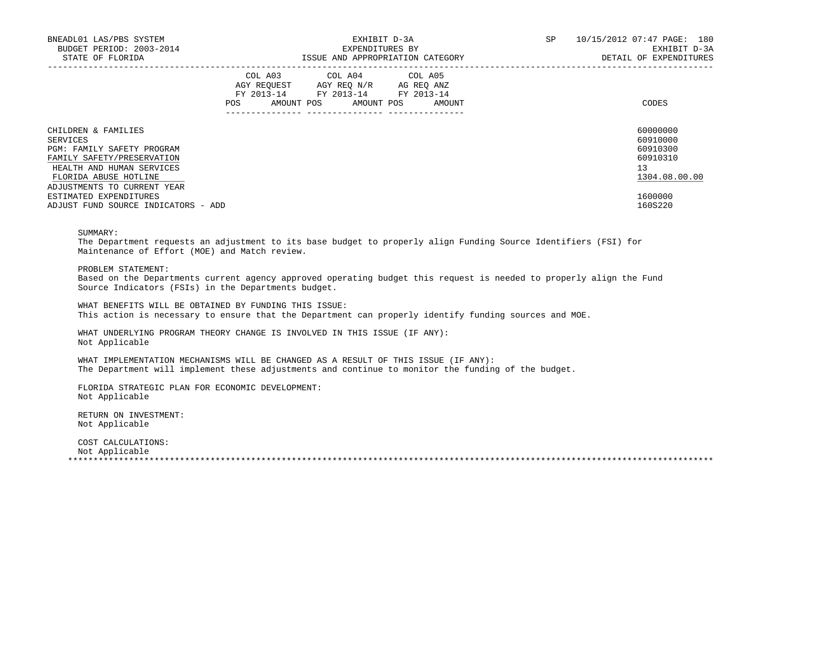| BNEADL01 LAS/PBS SYSTEM<br>BUDGET PERIOD: 2003-2014<br>STATE OF FLORIDA                      | EXHIBIT D-3A<br>EXPENDITURES BY<br>ISSUE AND APPROPRIATION CATEGORY |  |                                                                                                                                   |  | SP | 10/15/2012 07:47 PAGE: 180<br>EXHIBIT D-3A<br>DETAIL OF EXPENDITURES |                                  |
|----------------------------------------------------------------------------------------------|---------------------------------------------------------------------|--|-----------------------------------------------------------------------------------------------------------------------------------|--|----|----------------------------------------------------------------------|----------------------------------|
|                                                                                              | POS                                                                 |  | COL A03 COL A04 COL A05<br>AGY REOUEST AGY REO N/R AG REO ANZ<br>FY 2013-14 FY 2013-14 FY 2013-14<br>AMOUNT POS AMOUNT POS AMOUNT |  |    |                                                                      | CODES                            |
| CHILDREN & FAMILIES<br>SERVICES<br>PGM: FAMILY SAFETY PROGRAM                                |                                                                     |  |                                                                                                                                   |  |    |                                                                      | 60000000<br>60910000<br>60910300 |
| FAMILY SAFETY/PRESERVATION<br>HEALTH AND HUMAN SERVICES<br>FLORIDA ABUSE HOTLINE             |                                                                     |  |                                                                                                                                   |  |    |                                                                      | 60910310<br>13<br>1304.08.00.00  |
| ADJUSTMENTS TO CURRENT YEAR<br>ESTIMATED EXPENDITURES<br>ADJUST FUND SOURCE INDICATORS - ADD |                                                                     |  |                                                                                                                                   |  |    |                                                                      | 1600000<br>160S220               |

# SUMMARY:

 The Department requests an adjustment to its base budget to properly align Funding Source Identifiers (FSI) for Maintenance of Effort (MOE) and Match review.

PROBLEM STATEMENT:

 Based on the Departments current agency approved operating budget this request is needed to properly align the Fund Source Indicators (FSIs) in the Departments budget.

 WHAT BENEFITS WILL BE OBTAINED BY FUNDING THIS ISSUE: This action is necessary to ensure that the Department can properly identify funding sources and MOE.

 WHAT UNDERLYING PROGRAM THEORY CHANGE IS INVOLVED IN THIS ISSUE (IF ANY): Not Applicable

 WHAT IMPLEMENTATION MECHANISMS WILL BE CHANGED AS A RESULT OF THIS ISSUE (IF ANY): The Department will implement these adjustments and continue to monitor the funding of the budget.

 FLORIDA STRATEGIC PLAN FOR ECONOMIC DEVELOPMENT: Not Applicable

 RETURN ON INVESTMENT: Not Applicable

 COST CALCULATIONS: Not Applicable<br>\*\*\*\*\*\*\*\*\*\*\*\*\*\*\*\*\*\*\* \*\*\*\*\*\*\*\*\*\*\*\*\*\*\*\*\*\*\*\*\*\*\*\*\*\*\*\*\*\*\*\*\*\*\*\*\*\*\*\*\*\*\*\*\*\*\*\*\*\*\*\*\*\*\*\*\*\*\*\*\*\*\*\*\*\*\*\*\*\*\*\*\*\*\*\*\*\*\*\*\*\*\*\*\*\*\*\*\*\*\*\*\*\*\*\*\*\*\*\*\*\*\*\*\*\*\*\*\*\*\*\*\*\*\*\*\*\*\*\*\*\*\*\*\*\*\*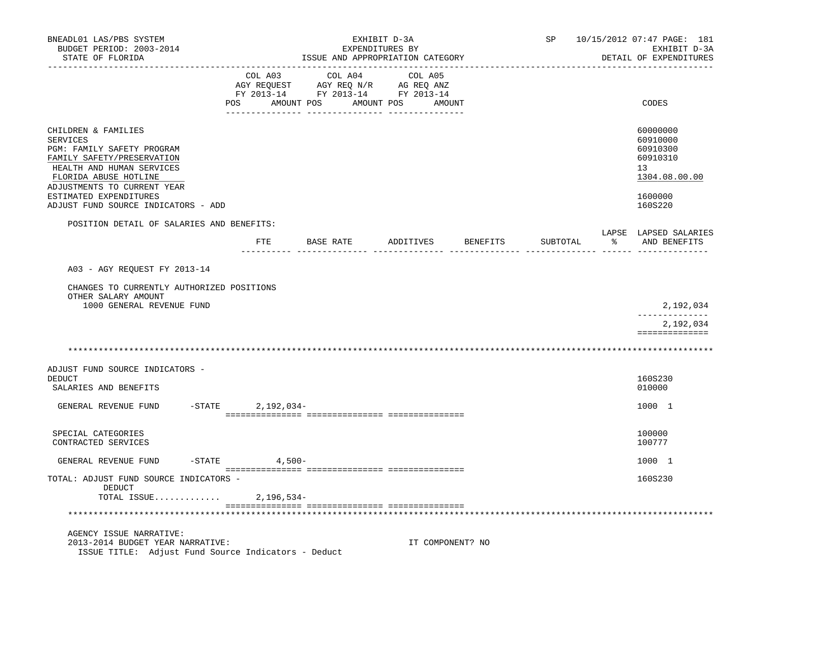| BNEADL01 LAS/PBS SYSTEM<br>BUDGET PERIOD: 2003-2014<br>STATE OF FLORIDA                                                                                                                                    |                     | EXHIBIT D-3A<br>EXPENDITURES BY<br>ISSUE AND APPROPRIATION CATEGORY                                                  |                  |          | SP       | 10/15/2012 07:47 PAGE: 181<br>EXHIBIT D-3A<br>DETAIL OF EXPENDITURES           |
|------------------------------------------------------------------------------------------------------------------------------------------------------------------------------------------------------------|---------------------|----------------------------------------------------------------------------------------------------------------------|------------------|----------|----------|--------------------------------------------------------------------------------|
|                                                                                                                                                                                                            | COL A03<br>POS      | COL A04<br>CO AGY REQUEST AGY REQ N/R AG REQ ANZ<br>FY 2013-14 FY 2013-14 FY 2013-14<br>AMOUNT POS AMOUNT POS AMOUNT | COL A05          |          |          | CODES                                                                          |
| CHILDREN & FAMILIES<br>SERVICES<br>PGM: FAMILY SAFETY PROGRAM<br>FAMILY SAFETY/PRESERVATION<br>HEALTH AND HUMAN SERVICES<br>FLORIDA ABUSE HOTLINE<br>ADJUSTMENTS TO CURRENT YEAR<br>ESTIMATED EXPENDITURES |                     |                                                                                                                      |                  |          |          | 60000000<br>60910000<br>60910300<br>60910310<br>13<br>1304.08.00.00<br>1600000 |
| ADJUST FUND SOURCE INDICATORS - ADD                                                                                                                                                                        |                     |                                                                                                                      |                  |          |          | 160S220                                                                        |
| POSITION DETAIL OF SALARIES AND BENEFITS:                                                                                                                                                                  | ETE                 | BASE RATE                                                                                                            | ADDITIVES        | BENEFITS | SUBTOTAL | LAPSE LAPSED SALARIES<br>AND BENEFITS                                          |
| A03 - AGY REOUEST FY 2013-14<br>CHANGES TO CURRENTLY AUTHORIZED POSITIONS                                                                                                                                  |                     |                                                                                                                      |                  |          |          |                                                                                |
| OTHER SALARY AMOUNT<br>1000 GENERAL REVENUE FUND                                                                                                                                                           |                     |                                                                                                                      |                  |          |          | 2,192,034                                                                      |
|                                                                                                                                                                                                            |                     |                                                                                                                      |                  |          |          | ---------------<br>2,192,034<br>==============                                 |
|                                                                                                                                                                                                            |                     |                                                                                                                      |                  |          |          |                                                                                |
| ADJUST FUND SOURCE INDICATORS -<br>DEDUCT<br>SALARIES AND BENEFITS                                                                                                                                         |                     |                                                                                                                      |                  |          |          | 160S230<br>010000                                                              |
| GENERAL REVENUE FUND                                                                                                                                                                                       | -STATE 2, 192, 034- |                                                                                                                      |                  |          |          | 1000 1                                                                         |
| SPECIAL CATEGORIES<br>CONTRACTED SERVICES                                                                                                                                                                  |                     |                                                                                                                      |                  |          |          | 100000<br>100777                                                               |
| GENERAL REVENUE FUND                                                                                                                                                                                       | $-$ STATE 4,500 -   |                                                                                                                      |                  |          |          | 1000 1                                                                         |
| TOTAL: ADJUST FUND SOURCE INDICATORS -<br>DEDUCT<br>TOTAL ISSUE                                                                                                                                            | 2,196,534-          |                                                                                                                      |                  |          |          | 160S230                                                                        |
|                                                                                                                                                                                                            |                     |                                                                                                                      |                  |          |          |                                                                                |
| AGENCY ISSUE NARRATIVE:<br>2013-2014 BUDGET YEAR NARRATIVE:<br>ISSUE TITLE: Adjust Fund Source Indicators - Deduct                                                                                         |                     |                                                                                                                      | IT COMPONENT? NO |          |          |                                                                                |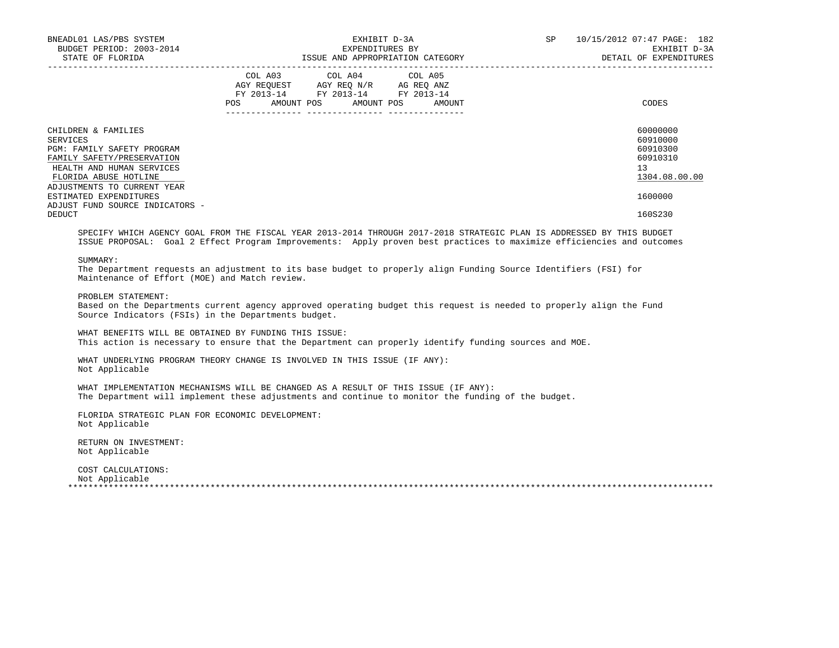| BNEADL01 LAS/PBS SYSTEM<br>BUDGET PERIOD: 2003-2014<br>STATE OF FLORIDA                                                                                                          | EXHIBIT D-3A<br>EXPENDITURES BY<br>ISSUE AND APPROPRIATION CATEGORY                                                                   | 10/15/2012 07:47 PAGE: 182<br>SP<br>EXHIBIT D-3A<br>DETAIL OF EXPENDITURES |
|----------------------------------------------------------------------------------------------------------------------------------------------------------------------------------|---------------------------------------------------------------------------------------------------------------------------------------|----------------------------------------------------------------------------|
|                                                                                                                                                                                  | COL A03 COL A04 COL A05<br>AGY REQUEST AGY REQ N/R AG REQ ANZ<br>FY 2013-14 FY 2013-14 FY 2013-14<br>POS AMOUNT POS AMOUNT POS AMOUNT | CODES                                                                      |
| CHILDREN & FAMILIES<br>SERVICES<br>PGM: FAMILY SAFETY PROGRAM<br>FAMILY SAFETY/PRESERVATION<br>HEALTH AND HUMAN SERVICES<br>FLORIDA ABUSE HOTLINE<br>ADJUSTMENTS TO CURRENT YEAR |                                                                                                                                       | 60000000<br>60910000<br>60910300<br>60910310<br>13<br>1304.08.00.00        |
| ESTIMATED EXPENDITURES<br>ADJUST FUND SOURCE INDICATORS -<br>DEDUCT                                                                                                              |                                                                                                                                       | 1600000<br>160S230                                                         |

 SPECIFY WHICH AGENCY GOAL FROM THE FISCAL YEAR 2013-2014 THROUGH 2017-2018 STRATEGIC PLAN IS ADDRESSED BY THIS BUDGET ISSUE PROPOSAL: Goal 2 Effect Program Improvements: Apply proven best practices to maximize efficiencies and outcomes

SUMMARY:

 The Department requests an adjustment to its base budget to properly align Funding Source Identifiers (FSI) for Maintenance of Effort (MOE) and Match review.

PROBLEM STATEMENT:

 Based on the Departments current agency approved operating budget this request is needed to properly align the Fund Source Indicators (FSIs) in the Departments budget.

 WHAT BENEFITS WILL BE OBTAINED BY FUNDING THIS ISSUE: This action is necessary to ensure that the Department can properly identify funding sources and MOE.

 WHAT UNDERLYING PROGRAM THEORY CHANGE IS INVOLVED IN THIS ISSUE (IF ANY): Not Applicable

 WHAT IMPLEMENTATION MECHANISMS WILL BE CHANGED AS A RESULT OF THIS ISSUE (IF ANY): The Department will implement these adjustments and continue to monitor the funding of the budget.

 FLORIDA STRATEGIC PLAN FOR ECONOMIC DEVELOPMENT: Not Applicable

 RETURN ON INVESTMENT: Not Applicable

 COST CALCULATIONS: Not Applicable \*\*\*\*\*\*\*\*\*\*\*\*\*\*\*\*\*\*\*\*\*\*\*\*\*\*\*\*\*\*\*\*\*\*\*\*\*\*\*\*\*\*\*\*\*\*\*\*\*\*\*\*\*\*\*\*\*\*\*\*\*\*\*\*\*\*\*\*\*\*\*\*\*\*\*\*\*\*\*\*\*\*\*\*\*\*\*\*\*\*\*\*\*\*\*\*\*\*\*\*\*\*\*\*\*\*\*\*\*\*\*\*\*\*\*\*\*\*\*\*\*\*\*\*\*\*\*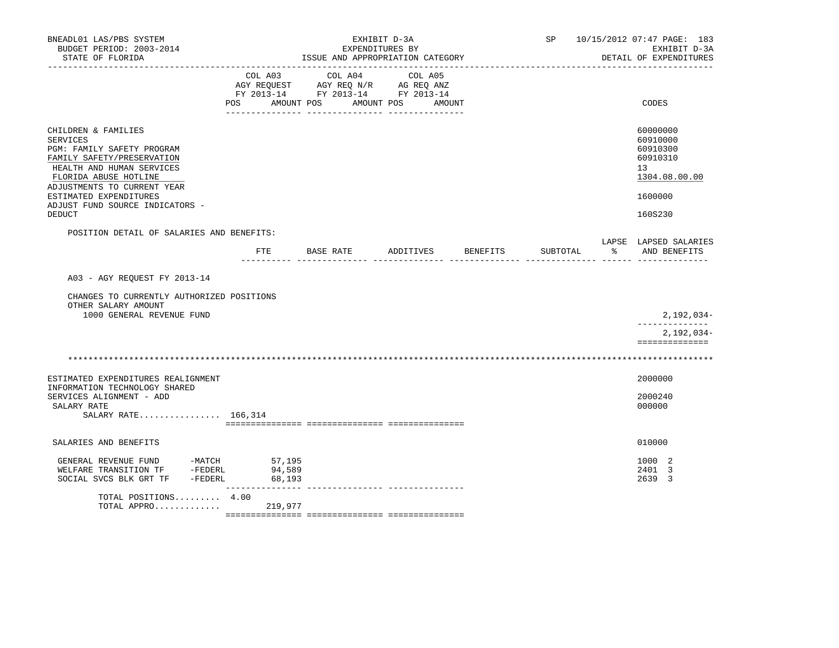| BNEADL01 LAS/PBS SYSTEM<br>BUDGET PERIOD: 2003-2014<br>STATE OF FLORIDA                                                                                                                                                                                        |                  | EXHIBIT D-3A<br>EXPENDITURES BY<br>ISSUE AND APPROPRIATION CATEGORY                       |                              | SP 10/15/2012 07:47 PAGE: 183<br>EXHIBIT D-3A<br>DETAIL OF EXPENDITURES |          |                                                                                           |
|----------------------------------------------------------------------------------------------------------------------------------------------------------------------------------------------------------------------------------------------------------------|------------------|-------------------------------------------------------------------------------------------|------------------------------|-------------------------------------------------------------------------|----------|-------------------------------------------------------------------------------------------|
|                                                                                                                                                                                                                                                                | POS AMOUNT POS   | COL A03 COL A04<br>AGY REQUEST AGY REQ N/R AG REQ ANZ<br>FY 2013-14 FY 2013-14 FY 2013-14 | COL A05<br>AMOUNT POS AMOUNT |                                                                         |          | CODES                                                                                     |
| CHILDREN & FAMILIES<br>SERVICES<br>PGM: FAMILY SAFETY PROGRAM<br>FAMILY SAFETY/PRESERVATION<br>HEALTH AND HUMAN SERVICES<br>FLORIDA ABUSE HOTLINE<br>ADJUSTMENTS TO CURRENT YEAR<br>ESTIMATED EXPENDITURES<br>ADJUST FUND SOURCE INDICATORS -<br><b>DEDUCT</b> |                  |                                                                                           |                              |                                                                         |          | 60000000<br>60910000<br>60910300<br>60910310<br>13<br>1304.08.00.00<br>1600000<br>160S230 |
| POSITION DETAIL OF SALARIES AND BENEFITS:                                                                                                                                                                                                                      |                  |                                                                                           |                              |                                                                         |          | LAPSE LAPSED SALARIES                                                                     |
|                                                                                                                                                                                                                                                                |                  | FTE BASE RATE                                                                             | ADDITIVES                    | BENEFITS                                                                | SUBTOTAL | % AND BENEFITS                                                                            |
| A03 - AGY REQUEST FY 2013-14<br>CHANGES TO CURRENTLY AUTHORIZED POSITIONS<br>OTHER SALARY AMOUNT<br>1000 GENERAL REVENUE FUND                                                                                                                                  |                  |                                                                                           |                              |                                                                         |          | $2,192,034-$                                                                              |
|                                                                                                                                                                                                                                                                |                  |                                                                                           |                              |                                                                         |          | --------------<br>2,192,034-<br>==============                                            |
|                                                                                                                                                                                                                                                                |                  |                                                                                           |                              |                                                                         |          |                                                                                           |
| ESTIMATED EXPENDITURES REALIGNMENT<br>INFORMATION TECHNOLOGY SHARED                                                                                                                                                                                            |                  |                                                                                           |                              |                                                                         |          | 2000000                                                                                   |
| SERVICES ALIGNMENT - ADD<br>SALARY RATE<br>SALARY RATE 166,314                                                                                                                                                                                                 |                  |                                                                                           |                              |                                                                         |          | 2000240<br>000000                                                                         |
| SALARIES AND BENEFITS                                                                                                                                                                                                                                          |                  |                                                                                           |                              |                                                                         |          | 010000                                                                                    |
| GENERAL REVENUE FUND -MATCH 57,195<br>WELFARE TRANSITION TF -FEDERL<br>SOCIAL SVCS BLK GRT TF -FEDERL                                                                                                                                                          | 94,589<br>68,193 |                                                                                           |                              |                                                                         |          | 1000 2<br>2401 3<br>2639 3                                                                |
| TOTAL POSITIONS 4.00<br>TOTAL APPRO                                                                                                                                                                                                                            | 219,977          |                                                                                           |                              |                                                                         |          |                                                                                           |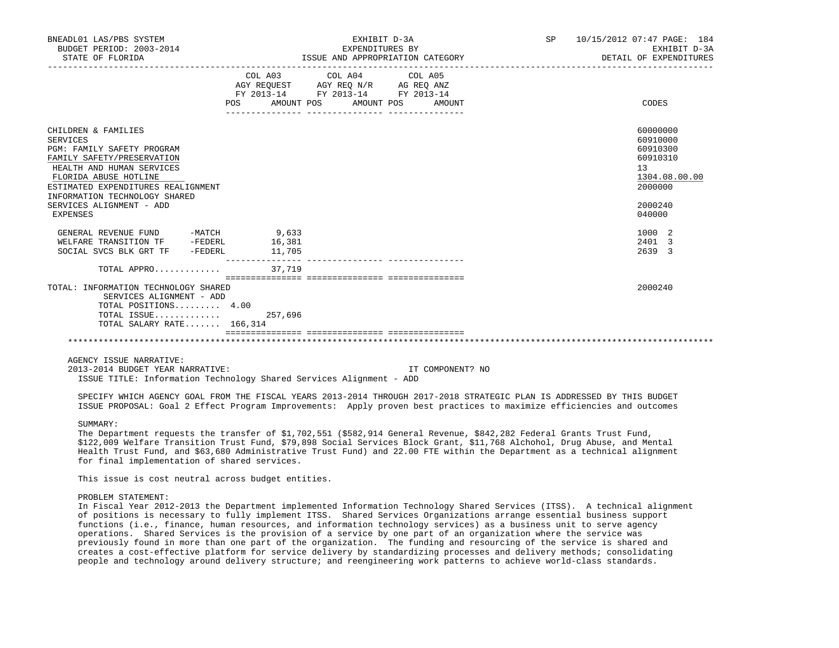| BNEADL01 LAS/PBS SYSTEM<br>BUDGET PERIOD: 2003-2014<br>STATE OF FLORIDA                                                                                                                                                                                          |                                  | EXHIBIT D-3A<br>EXPENDITURES BY<br>ISSUE AND APPROPRIATION CATEGORY                               |  | SP 10/15/2012 07:47 PAGE: 184<br>EXHIBIT D-3A<br>DETAIL OF EXPENDITURES                             |
|------------------------------------------------------------------------------------------------------------------------------------------------------------------------------------------------------------------------------------------------------------------|----------------------------------|---------------------------------------------------------------------------------------------------|--|-----------------------------------------------------------------------------------------------------|
|                                                                                                                                                                                                                                                                  | POS AMOUNT POS AMOUNT POS AMOUNT | COL A03 COL A04 COL A05<br>AGY REQUEST AGY REQ N/R AG REQ ANZ<br>FY 2013-14 FY 2013-14 FY 2013-14 |  | CODES                                                                                               |
| CHILDREN & FAMILIES<br>SERVICES<br>PGM: FAMILY SAFETY PROGRAM<br>FAMILY SAFETY/PRESERVATION<br>HEALTH AND HUMAN SERVICES<br>FLORIDA ABUSE HOTLINE<br>ESTIMATED EXPENDITURES REALIGNMENT<br>INFORMATION TECHNOLOGY SHARED<br>SERVICES ALIGNMENT - ADD<br>EXPENSES |                                  |                                                                                                   |  | 60000000<br>60910000<br>60910300<br>60910310<br>13<br>1304.08.00.00<br>2000000<br>2000240<br>040000 |
| GENERAL REVENUE FUND -MATCH 9,633<br>WELFARE TRANSITION TF -FEDERL 16,381<br>SOCIAL SVCS BLK GRT TF - FEDERL                                                                                                                                                     | 11,705<br>_________________      |                                                                                                   |  | 1000 2<br>2401 3<br>2639 3                                                                          |
| TOTAL APPRO                                                                                                                                                                                                                                                      | 37,719                           |                                                                                                   |  |                                                                                                     |
| TOTAL: INFORMATION TECHNOLOGY SHARED<br>SERVICES ALIGNMENT - ADD<br>TOTAL POSITIONS 4.00<br>TOTAL ISSUE $257,696$<br>TOTAL SALARY RATE 166,314                                                                                                                   |                                  |                                                                                                   |  | 2000240                                                                                             |
|                                                                                                                                                                                                                                                                  |                                  |                                                                                                   |  |                                                                                                     |
| ACENCY ISSUE NAPRATIVE:                                                                                                                                                                                                                                          |                                  |                                                                                                   |  |                                                                                                     |

 2013-2014 BUDGET YEAR NARRATIVE: IT COMPONENT? NO ISSUE TITLE: Information Technology Shared Services Alignment - ADD

 SPECIFY WHICH AGENCY GOAL FROM THE FISCAL YEARS 2013-2014 THROUGH 2017-2018 STRATEGIC PLAN IS ADDRESSED BY THIS BUDGET ISSUE PROPOSAL: Goal 2 Effect Program Improvements: Apply proven best practices to maximize efficiencies and outcomes

# SUMMARY:

 The Department requests the transfer of \$1,702,551 (\$582,914 General Revenue, \$842,282 Federal Grants Trust Fund, \$122,009 Welfare Transition Trust Fund, \$79,898 Social Services Block Grant, \$11,768 Alchohol, Drug Abuse, and Mental Health Trust Fund, and \$63,680 Administrative Trust Fund) and 22.00 FTE within the Department as a technical alignment for final implementation of shared services.

This issue is cost neutral across budget entities.

### PROBLEM STATEMENT:

 In Fiscal Year 2012-2013 the Department implemented Information Technology Shared Services (ITSS). A technical alignment of positions is necessary to fully implement ITSS. Shared Services Organizations arrange essential business support functions (i.e., finance, human resources, and information technology services) as a business unit to serve agency operations. Shared Services is the provision of a service by one part of an organization where the service was previously found in more than one part of the organization. The funding and resourcing of the service is shared and creates a cost-effective platform for service delivery by standardizing processes and delivery methods; consolidating people and technology around delivery structure; and reengineering work patterns to achieve world-class standards.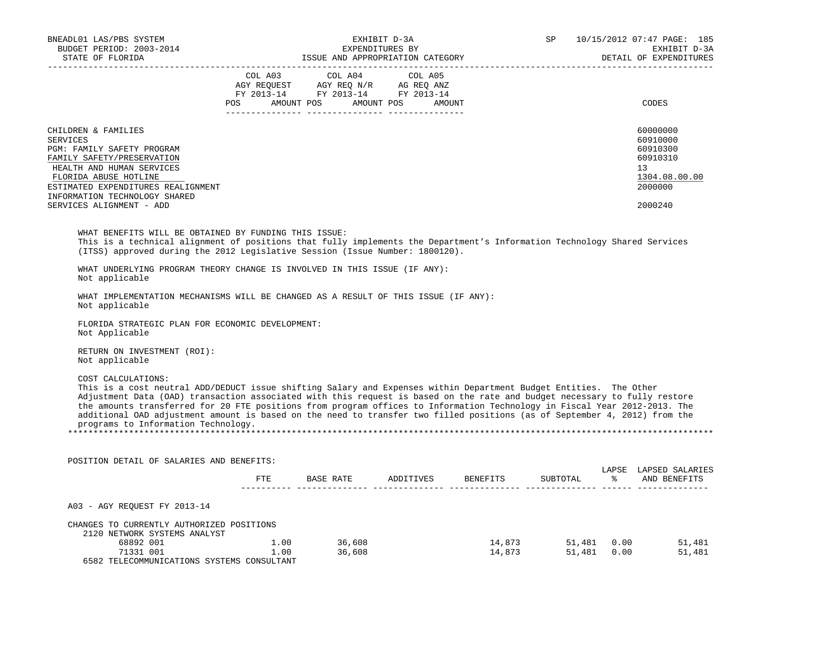| BNEADL01 LAS/PBS SYSTEM<br>BUDGET PERIOD: 2003-2014<br>STATE OF FLORIDA                                                                                                                                                                                                                                                                                                                                                                                                                                                                                               |                                  |                  | EXHIBIT D-3A<br>EXPENDITURES BY | EXPENDITURES BY<br>ISSUE AND APPROPRIATION CATEGORY | SP and the set of the set of the set of the set of the set of the set of the set of the set of the set of the set of the set of the set of the set of the set of the set of the set of the set of the set of the set of the se | 10/15/2012 07:47 PAGE: 185<br>EXHIBIT D-3A<br>DETAIL OF EXPENDITURES                      |
|-----------------------------------------------------------------------------------------------------------------------------------------------------------------------------------------------------------------------------------------------------------------------------------------------------------------------------------------------------------------------------------------------------------------------------------------------------------------------------------------------------------------------------------------------------------------------|----------------------------------|------------------|---------------------------------|-----------------------------------------------------|--------------------------------------------------------------------------------------------------------------------------------------------------------------------------------------------------------------------------------|-------------------------------------------------------------------------------------------|
| -------------------                                                                                                                                                                                                                                                                                                                                                                                                                                                                                                                                                   | POS AMOUNT POS AMOUNT POS AMOUNT |                  |                                 |                                                     |                                                                                                                                                                                                                                | CODES                                                                                     |
| CHILDREN & FAMILIES<br>SERVICES<br>PGM: FAMILY SAFETY PROGRAM<br>FAMILY SAFETY/PRESERVATION<br>HEALTH AND HUMAN SERVICES<br>FLORIDA ABUSE HOTLINE<br>ESTIMATED EXPENDITURES REALIGNMENT<br>INFORMATION TECHNOLOGY SHARED<br>SERVICES ALIGNMENT - ADD                                                                                                                                                                                                                                                                                                                  |                                  |                  |                                 |                                                     |                                                                                                                                                                                                                                | 60000000<br>60910000<br>60910300<br>60910310<br>13<br>1304.08.00.00<br>2000000<br>2000240 |
| WHAT BENEFITS WILL BE OBTAINED BY FUNDING THIS ISSUE:<br>This is a technical alignment of positions that fully implements the Department's Information Technology Shared Services<br>(ITSS) approved during the 2012 Legislative Session (Issue Number: 1800120).<br>WHAT UNDERLYING PROGRAM THEORY CHANGE IS INVOLVED IN THIS ISSUE (IF ANY):                                                                                                                                                                                                                        |                                  |                  |                                 |                                                     |                                                                                                                                                                                                                                |                                                                                           |
| Not applicable<br>WHAT IMPLEMENTATION MECHANISMS WILL BE CHANGED AS A RESULT OF THIS ISSUE (IF ANY):<br>Not applicable                                                                                                                                                                                                                                                                                                                                                                                                                                                |                                  |                  |                                 |                                                     |                                                                                                                                                                                                                                |                                                                                           |
| FLORIDA STRATEGIC PLAN FOR ECONOMIC DEVELOPMENT:<br>Not Applicable                                                                                                                                                                                                                                                                                                                                                                                                                                                                                                    |                                  |                  |                                 |                                                     |                                                                                                                                                                                                                                |                                                                                           |
| RETURN ON INVESTMENT (ROI):<br>Not applicable                                                                                                                                                                                                                                                                                                                                                                                                                                                                                                                         |                                  |                  |                                 |                                                     |                                                                                                                                                                                                                                |                                                                                           |
| COST CALCULATIONS:<br>This is a cost neutral ADD/DEDUCT issue shifting Salary and Expenses within Department Budget Entities. The Other<br>Adjustment Data (OAD) transaction associated with this request is based on the rate and budget necessary to fully restore<br>the amounts transferred for 20 FTE positions from program offices to Information Technology in Fiscal Year 2012-2013. The<br>additional OAD adjustment amount is based on the need to transfer two filled positions (as of September 4, 2012) from the<br>programs to Information Technology. |                                  |                  |                                 |                                                     |                                                                                                                                                                                                                                |                                                                                           |
| POSITION DETAIL OF SALARIES AND BENEFITS:                                                                                                                                                                                                                                                                                                                                                                                                                                                                                                                             |                                  |                  |                                 |                                                     |                                                                                                                                                                                                                                |                                                                                           |
|                                                                                                                                                                                                                                                                                                                                                                                                                                                                                                                                                                       |                                  |                  |                                 | FTE BASE RATE ADDITIVES BENEFITS SUBTOTAL           |                                                                                                                                                                                                                                | LAPSE LAPSED SALARIES<br>% AND BENEFITS                                                   |
| A03 - AGY REOUEST FY 2013-14                                                                                                                                                                                                                                                                                                                                                                                                                                                                                                                                          |                                  |                  |                                 |                                                     |                                                                                                                                                                                                                                |                                                                                           |
| CHANGES TO CURRENTLY AUTHORIZED POSITIONS<br>2120 NETWORK SYSTEMS ANALYST<br>68892 001 1.00<br>The Case of the Case of the Case of the Case of the Case of the Case of the Case of the Case of the Case of the Case of the Case of the Case of the Case of the Case of the Case of the Case of the Case of th<br>6582 TELECOMMUNICATIONS SYSTEMS CONSULTANT                                                                                                                                                                                                           | 1.00                             | 36,608<br>36,608 |                                 | 14,873<br>14,873                                    | 51,481 0.00<br>51,481 0.00                                                                                                                                                                                                     | 51,481<br>51,481                                                                          |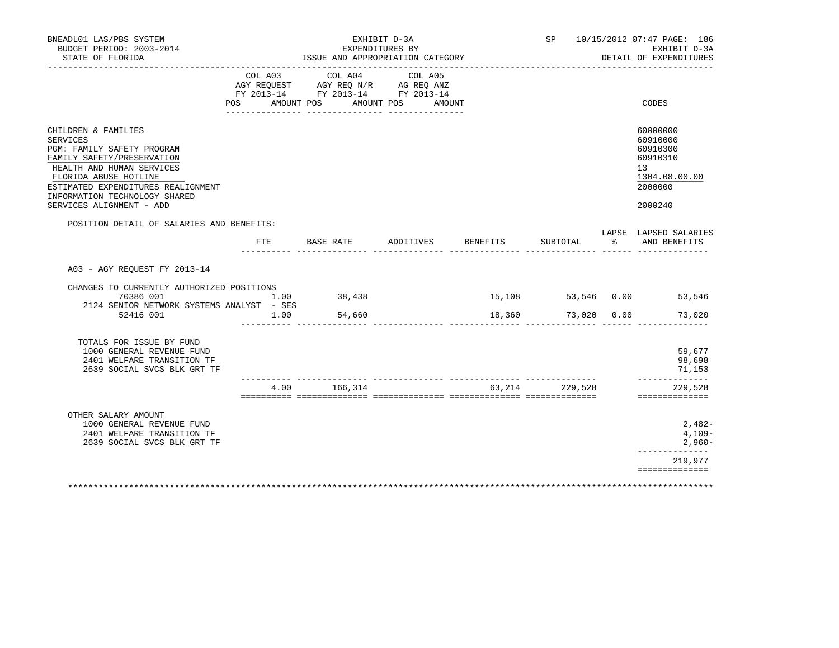| BNEADL01 LAS/PBS SYSTEM<br>BUDGET PERIOD: 2003-2014<br>STATE OF FLORIDA                                                                                                                                                                                     |         | EXHIBIT D-3A<br>EXPENDITURES BY<br>ISSUE AND APPROPRIATION CATEGORY                                                   |           |          |                  | SP 10/15/2012 07:47 PAGE: 186<br>EXHIBIT D-3A<br>DETAIL OF EXPENDITURES                   |
|-------------------------------------------------------------------------------------------------------------------------------------------------------------------------------------------------------------------------------------------------------------|---------|-----------------------------------------------------------------------------------------------------------------------|-----------|----------|------------------|-------------------------------------------------------------------------------------------|
|                                                                                                                                                                                                                                                             | COL A03 | COL A04<br>AGY REQUEST AGY REQ N/R AG REQ ANZ<br>FY 2013-14 FY 2013-14 FY 2013-14<br>POS AMOUNT POS AMOUNT POS AMOUNT | COL A05   |          |                  | CODES                                                                                     |
|                                                                                                                                                                                                                                                             |         |                                                                                                                       |           |          |                  |                                                                                           |
| CHILDREN & FAMILIES<br><b>SERVICES</b><br>PGM: FAMILY SAFETY PROGRAM<br>FAMILY SAFETY/PRESERVATION<br>HEALTH AND HUMAN SERVICES<br>FLORIDA ABUSE HOTLINE<br>ESTIMATED EXPENDITURES REALIGNMENT<br>INFORMATION TECHNOLOGY SHARED<br>SERVICES ALIGNMENT - ADD |         |                                                                                                                       |           |          |                  | 60000000<br>60910000<br>60910300<br>60910310<br>13<br>1304.08.00.00<br>2000000<br>2000240 |
| POSITION DETAIL OF SALARIES AND BENEFITS:                                                                                                                                                                                                                   | FTE     | BASE RATE                                                                                                             | ADDITIVES | BENEFITS | SUBTOTAL         | LAPSE LAPSED SALARIES<br>% AND BENEFITS                                                   |
| A03 - AGY REOUEST FY 2013-14<br>CHANGES TO CURRENTLY AUTHORIZED POSITIONS<br>$1.00$ 38,438<br>70386 001<br>2124 SENIOR NETWORK SYSTEMS ANALYST - SES<br>52416 001                                                                                           | 1.00    | 54,660                                                                                                                |           | 18,360   |                  | 15,108 53,546 0.00 53,546<br>73,020 0.00<br>73,020                                        |
| TOTALS FOR ISSUE BY FUND<br>1000 GENERAL REVENUE FUND<br>2401 WELFARE TRANSITION TF<br>2639 SOCIAL SVCS BLK GRT TF                                                                                                                                          |         |                                                                                                                       |           |          |                  | 59,677<br>98,698<br>71,153                                                                |
|                                                                                                                                                                                                                                                             |         | 4.00 166,314                                                                                                          |           |          | 63, 214 229, 528 | --------------<br>229,528<br>==============                                               |
| OTHER SALARY AMOUNT<br>1000 GENERAL REVENUE FUND<br>2401 WELFARE TRANSITION TF<br>2639 SOCIAL SVCS BLK GRT TF                                                                                                                                               |         |                                                                                                                       |           |          |                  | 2,482-<br>4,109-<br>2,960-                                                                |
|                                                                                                                                                                                                                                                             |         |                                                                                                                       |           |          |                  | ---------------<br>219,977<br>==============                                              |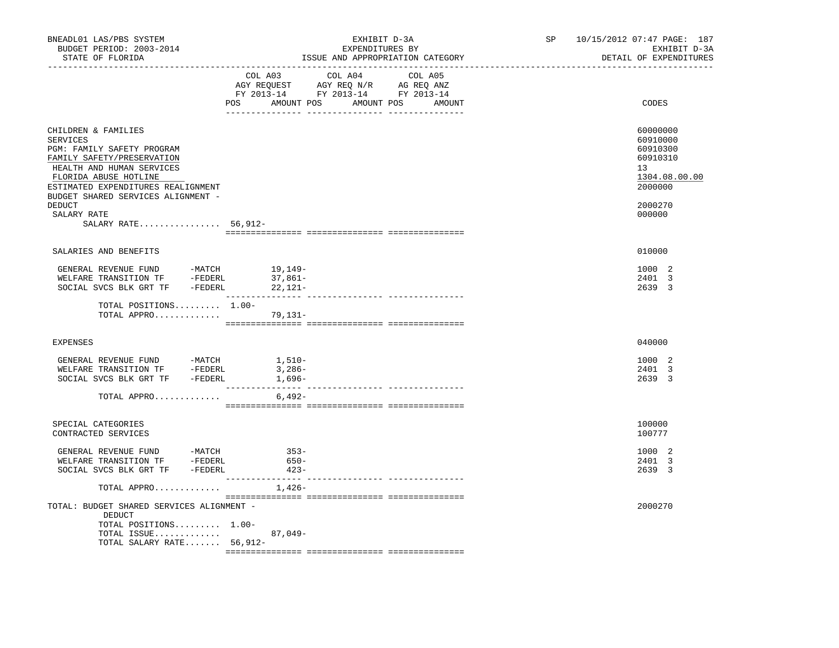| BNEADL01 LAS/PBS SYSTEM<br>BUDGET PERIOD: 2003-2014<br>STATE OF FLORIDA                                                                                                                                                                                                              |                                                                                                                                       | EXHIBIT D-3A<br>EXPENDITURES BY<br>ISSUE AND APPROPRIATION CATEGORY | SP | 10/15/2012 07:47 PAGE: 187<br>EXHIBIT D-3A<br>DETAIL OF EXPENDITURES                                |
|--------------------------------------------------------------------------------------------------------------------------------------------------------------------------------------------------------------------------------------------------------------------------------------|---------------------------------------------------------------------------------------------------------------------------------------|---------------------------------------------------------------------|----|-----------------------------------------------------------------------------------------------------|
|                                                                                                                                                                                                                                                                                      | COL A03 COL A04 COL A05<br>NGY REQUEST AGY REQ N/R AG REQ ANZ<br>FY 2013-14 FY 2013-14 FY 2013-14<br>POS AMOUNT POS AMOUNT POS AMOUNT |                                                                     |    | CODES                                                                                               |
| CHILDREN & FAMILIES<br>SERVICES<br>PGM: FAMILY SAFETY PROGRAM<br>FAMILY SAFETY/PRESERVATION<br>HEALTH AND HUMAN SERVICES<br>FLORIDA ABUSE HOTLINE<br>ESTIMATED EXPENDITURES REALIGNMENT<br>BUDGET SHARED SERVICES ALIGNMENT -<br><b>DEDUCT</b><br>SALARY RATE<br>SALARY RATE 56,912- |                                                                                                                                       |                                                                     |    | 60000000<br>60910000<br>60910300<br>60910310<br>13<br>1304.08.00.00<br>2000000<br>2000270<br>000000 |
| SALARIES AND BENEFITS                                                                                                                                                                                                                                                                |                                                                                                                                       |                                                                     |    | 010000                                                                                              |
| GENERAL REVENUE FUND -MATCH 19,149-<br>WELFARE TRANSITION TF -FEDERL 37,861-<br>SOCIAL SVCS BLK GRT TF -FEDERL 22,121-                                                                                                                                                               |                                                                                                                                       |                                                                     |    | 1000 2<br>2401 3<br>2639 3                                                                          |
| TOTAL POSITIONS 1.00-                                                                                                                                                                                                                                                                | TOTAL APPRO 79,131-                                                                                                                   |                                                                     |    |                                                                                                     |
| <b>EXPENSES</b>                                                                                                                                                                                                                                                                      |                                                                                                                                       |                                                                     |    | 040000                                                                                              |
| SOCIAL SVCS BLK GRT TF -FEDERL<br>TOTAL APPRO                                                                                                                                                                                                                                        | 1,696-<br>6,492-                                                                                                                      |                                                                     |    | 1000 2<br>2401 3<br>2639 3                                                                          |
| SPECIAL CATEGORIES<br>CONTRACTED SERVICES                                                                                                                                                                                                                                            |                                                                                                                                       |                                                                     |    | 100000<br>100777                                                                                    |
| GENERAL REVENUE FUND -MATCH<br>WELFARE TRANSITION TF -FEDERL<br>SOCIAL SVCS BLK GRT TF - FEDERL                                                                                                                                                                                      | $353-$<br>650-<br>$423-$                                                                                                              |                                                                     |    | 1000 2<br>2401 3<br>2639 3                                                                          |
| TOTAL APPRO                                                                                                                                                                                                                                                                          | 1,426-                                                                                                                                |                                                                     |    |                                                                                                     |
| TOTAL: BUDGET SHARED SERVICES ALIGNMENT -<br>DEDUCT<br>TOTAL POSITIONS 1.00-<br>TOTAL ISSUE<br>TOTAL SALARY RATE $56,912-$                                                                                                                                                           | $87,049-$                                                                                                                             |                                                                     |    | 2000270                                                                                             |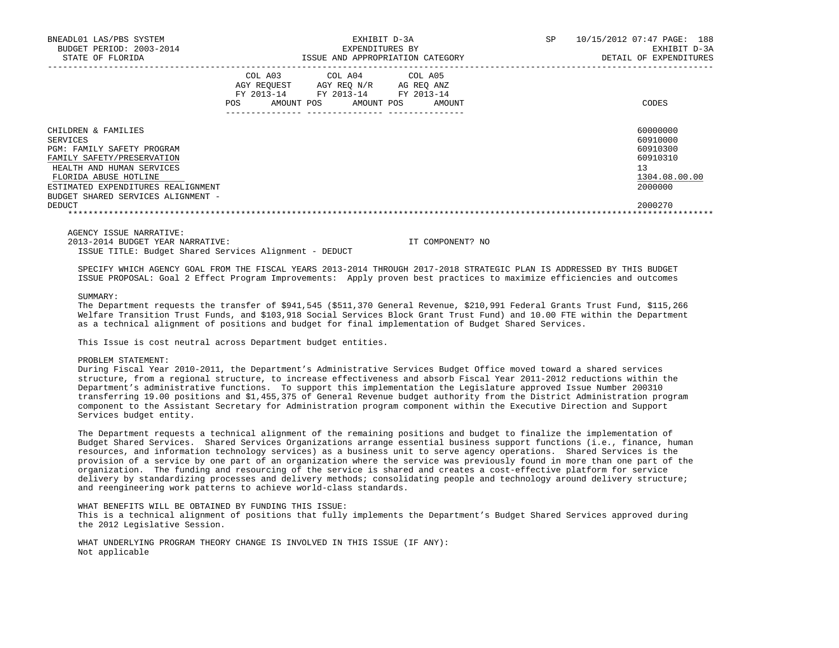| BNEADL01 LAS/PBS SYSTEM<br>BUDGET PERIOD: 2003-2014<br>STATE OF FLORIDA | EXHIBIT D-3A<br>EXPENDITURES BY<br>ISSUE AND APPROPRIATION CATEGORY |                                                    |  |                                                                       |  | <b>SP</b>            | 10/15/2012 07:47 PAGE: 188<br>EXHIBIT D-3A<br>DETAIL OF EXPENDITURES |               |
|-------------------------------------------------------------------------|---------------------------------------------------------------------|----------------------------------------------------|--|-----------------------------------------------------------------------|--|----------------------|----------------------------------------------------------------------|---------------|
|                                                                         | <b>POS</b>                                                          | COL A03<br>AGY REOUEST<br>FY 2013-14<br>AMOUNT POS |  | COL A04 COL A05<br>AGY REQ N/R<br>FY 2013-14 FY 2013-14<br>AMOUNT POS |  | AG REO ANZ<br>AMOUNT |                                                                      | CODES         |
| CHILDREN & FAMILIES                                                     |                                                                     |                                                    |  |                                                                       |  |                      |                                                                      | 60000000      |
| SERVICES                                                                |                                                                     |                                                    |  |                                                                       |  |                      |                                                                      | 60910000      |
| PGM: FAMILY SAFETY PROGRAM                                              |                                                                     |                                                    |  |                                                                       |  |                      |                                                                      | 60910300      |
| FAMILY SAFETY/PRESERVATION                                              |                                                                     |                                                    |  |                                                                       |  |                      |                                                                      | 60910310      |
| HEALTH AND HUMAN SERVICES                                               |                                                                     |                                                    |  |                                                                       |  |                      |                                                                      | 13            |
| FLORIDA ABUSE HOTLINE                                                   |                                                                     |                                                    |  |                                                                       |  |                      |                                                                      | 1304.08.00.00 |
| ESTIMATED EXPENDITURES REALIGNMENT                                      |                                                                     |                                                    |  |                                                                       |  |                      |                                                                      | 2000000       |
| BUDGET SHARED SERVICES ALIGNMENT -                                      |                                                                     |                                                    |  |                                                                       |  |                      |                                                                      |               |
| DEDUCT                                                                  |                                                                     |                                                    |  |                                                                       |  |                      |                                                                      | 2000270       |
|                                                                         |                                                                     |                                                    |  |                                                                       |  |                      |                                                                      |               |

2013-2014 BUDGET YEAR NARRATIVE: IT COMPONENT? NO

ISSUE TITLE: Budget Shared Services Alignment - DEDUCT

 SPECIFY WHICH AGENCY GOAL FROM THE FISCAL YEARS 2013-2014 THROUGH 2017-2018 STRATEGIC PLAN IS ADDRESSED BY THIS BUDGET ISSUE PROPOSAL: Goal 2 Effect Program Improvements: Apply proven best practices to maximize efficiencies and outcomes

SUMMARY:

 The Department requests the transfer of \$941,545 (\$511,370 General Revenue, \$210,991 Federal Grants Trust Fund, \$115,266 Welfare Transition Trust Funds, and \$103,918 Social Services Block Grant Trust Fund) and 10.00 FTE within the Department as a technical alignment of positions and budget for final implementation of Budget Shared Services.

This Issue is cost neutral across Department budget entities.

### PROBLEM STATEMENT:

 During Fiscal Year 2010-2011, the Department's Administrative Services Budget Office moved toward a shared services structure, from a regional structure, to increase effectiveness and absorb Fiscal Year 2011-2012 reductions within the Department's administrative functions. To support this implementation the Legislature approved Issue Number 200310 transferring 19.00 positions and \$1,455,375 of General Revenue budget authority from the District Administration program component to the Assistant Secretary for Administration program component within the Executive Direction and Support Services budget entity.

 The Department requests a technical alignment of the remaining positions and budget to finalize the implementation of Budget Shared Services. Shared Services Organizations arrange essential business support functions (i.e., finance, human resources, and information technology services) as a business unit to serve agency operations. Shared Services is the provision of a service by one part of an organization where the service was previously found in more than one part of the organization. The funding and resourcing of the service is shared and creates a cost-effective platform for service delivery by standardizing processes and delivery methods; consolidating people and technology around delivery structure; and reengineering work patterns to achieve world-class standards.

WHAT BENEFITS WILL BE OBTAINED BY FUNDING THIS ISSUE:

 This is a technical alignment of positions that fully implements the Department's Budget Shared Services approved during the 2012 Legislative Session.

 WHAT UNDERLYING PROGRAM THEORY CHANGE IS INVOLVED IN THIS ISSUE (IF ANY): Not applicable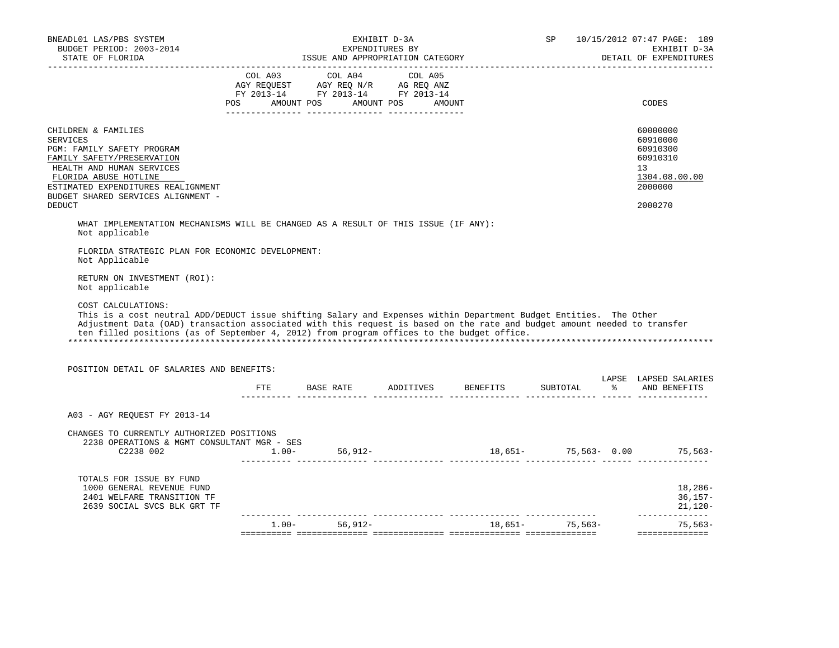|                                                                                                                                                                                                                                                                                                                                                                                                               |                       |                                                                                                                   | EXHIBIT D-3A<br>EXPENDITURES BY | ISSUE AND APPROPRIATION CATEGORY |          |               | EXHIBIT D-3A                                                                   |
|---------------------------------------------------------------------------------------------------------------------------------------------------------------------------------------------------------------------------------------------------------------------------------------------------------------------------------------------------------------------------------------------------------------|-----------------------|-------------------------------------------------------------------------------------------------------------------|---------------------------------|----------------------------------|----------|---------------|--------------------------------------------------------------------------------|
| STATE OF FLORIDA                                                                                                                                                                                                                                                                                                                                                                                              |                       |                                                                                                                   |                                 | -------------------------------  |          |               | DETAIL OF EXPENDITURES                                                         |
|                                                                                                                                                                                                                                                                                                                                                                                                               | COL A03<br><b>POS</b> | COL A04<br>AGY REQUEST AGY REQ N/R AG REQ ANZ<br>FY 2013-14 FY 2013-14 FY 2013-14<br>AMOUNT POS AMOUNT POS AMOUNT | COL A05                         |                                  |          |               | CODES                                                                          |
| CHILDREN & FAMILIES<br>SERVICES<br>PGM: FAMILY SAFETY PROGRAM<br>FAMILY SAFETY/PRESERVATION<br>HEALTH AND HUMAN SERVICES<br>FLORIDA ABUSE HOTLINE<br>ESTIMATED EXPENDITURES REALIGNMENT<br>BUDGET SHARED SERVICES ALIGNMENT -                                                                                                                                                                                 |                       |                                                                                                                   |                                 |                                  |          |               | 60000000<br>60910000<br>60910300<br>60910310<br>13<br>1304.08.00.00<br>2000000 |
| <b>DEDUCT</b>                                                                                                                                                                                                                                                                                                                                                                                                 |                       |                                                                                                                   |                                 |                                  |          |               | 2000270                                                                        |
| Not applicable<br>FLORIDA STRATEGIC PLAN FOR ECONOMIC DEVELOPMENT:                                                                                                                                                                                                                                                                                                                                            |                       |                                                                                                                   |                                 |                                  |          |               |                                                                                |
| Not Applicable<br>RETURN ON INVESTMENT (ROI):<br>Not applicable                                                                                                                                                                                                                                                                                                                                               |                       |                                                                                                                   |                                 |                                  |          |               |                                                                                |
| COST CALCULATIONS:<br>This is a cost neutral ADD/DEDUCT issue shifting Salary and Expenses within Department Budget Entities. The Other<br>Adjustment Data (OAD) transaction associated with this request is based on the rate and budget amount needed to transfer<br>ten filled positions (as of September 4, 2012) from program offices to the budget office.<br>POSITION DETAIL OF SALARIES AND BENEFITS: |                       |                                                                                                                   |                                 |                                  |          |               | LAPSE LAPSED SALARIES                                                          |
|                                                                                                                                                                                                                                                                                                                                                                                                               | ETE                   | <b>BASE RATE</b>                                                                                                  | ADDITIVES BENEFITS              |                                  | SUBTOTAL | $\frac{1}{6}$ |                                                                                |
| A03 - AGY REQUEST FY 2013-14                                                                                                                                                                                                                                                                                                                                                                                  |                       |                                                                                                                   |                                 |                                  |          |               | AND BENEFITS                                                                   |
| CHANGES TO CURRENTLY AUTHORIZED POSITIONS<br>2238 OPERATIONS & MGMT CONSULTANT MGR - SES<br>$2238 002 \t\t\t\t 1.00-56,912- \t\t\t 18,651- \t\t\t 75,563- \t\t\t 0.00\t\t\t 75,563- \t\t\t 75,563- \t\t\t 75,563- \t\t\t 75,563- \t\t\t 75,563- \t\t\t 75,563- \t\t\t 75,563- \t\t\t 75,563- \t\t\t 75,563- \t\t\t 75,563- \t\t\t 75,563- \t\t\t 75,563- \t\t\t 75,563- \t\t\t 7$                             |                       |                                                                                                                   |                                 |                                  |          |               |                                                                                |
| TOTALS FOR ISSUE BY FUND<br>1000 GENERAL REVENUE FUND<br>2401 WELFARE TRANSITION TF<br>2639 SOCIAL SVCS BLK GRT TF                                                                                                                                                                                                                                                                                            |                       |                                                                                                                   |                                 |                                  |          |               | $18,286-$<br>$36,157-$<br>$21,120-$<br>______________                          |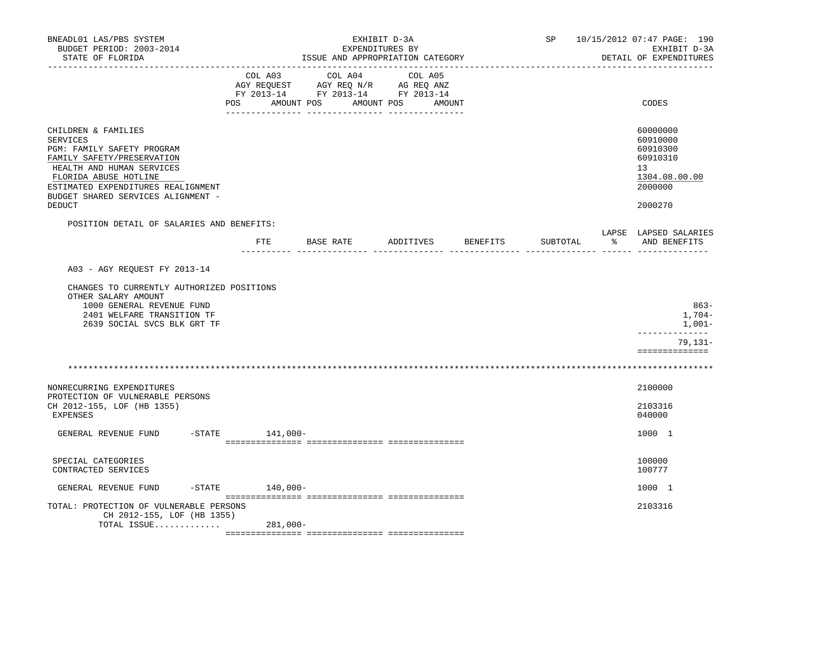| BNEADL01 LAS/PBS SYSTEM<br>BUDGET PERIOD: 2003-2014<br>STATE OF FLORIDA                                                                                                                                                                        |                | ISSUE AND APPROPRIATION CATEGORY                                                                                                                                                                                                                                            | EXHIBIT D-3A<br>EXPENDITURES BY |          |          | SP 10/15/2012 07:47 PAGE: 190<br>EXHIBIT D-3A<br>DETAIL OF EXPENDITURES                   |
|------------------------------------------------------------------------------------------------------------------------------------------------------------------------------------------------------------------------------------------------|----------------|-----------------------------------------------------------------------------------------------------------------------------------------------------------------------------------------------------------------------------------------------------------------------------|---------------------------------|----------|----------|-------------------------------------------------------------------------------------------|
| ----------------                                                                                                                                                                                                                               | COL A03<br>POS | COL A04<br>$\begin{tabular}{lllllll} \bf AGY \;\; RegUEST\hspace{1cm}AGY \;\; REG \;\; N/R\hspace{1cm}AG \;\; REG \;\; ANZ \\ \hline \texttt{FY} \;\; 2013\text{--}14 & \texttt{FY} \;\; 2013\text{--}14 & \texttt{FY} \;\; 2013\text{--}14 \\ \end{tabular}$<br>AMOUNT POS | COL A05<br>AMOUNT POS           | AMOUNT   |          | CODES                                                                                     |
| CHILDREN & FAMILIES<br><b>SERVICES</b><br>PGM: FAMILY SAFETY PROGRAM<br>FAMILY SAFETY/PRESERVATION<br>HEALTH AND HUMAN SERVICES<br>FLORIDA ABUSE HOTLINE<br>ESTIMATED EXPENDITURES REALIGNMENT<br>BUDGET SHARED SERVICES ALIGNMENT -<br>DEDUCT |                |                                                                                                                                                                                                                                                                             |                                 |          |          | 60000000<br>60910000<br>60910300<br>60910310<br>13<br>1304.08.00.00<br>2000000<br>2000270 |
| POSITION DETAIL OF SALARIES AND BENEFITS:                                                                                                                                                                                                      | ETE            | <b>BASE RATE</b>                                                                                                                                                                                                                                                            | ADDITIVES                       | BENEFITS | SUBTOTAL | LAPSE LAPSED SALARIES<br>% AND BENEFITS                                                   |
| A03 - AGY REQUEST FY 2013-14<br>CHANGES TO CURRENTLY AUTHORIZED POSITIONS<br>OTHER SALARY AMOUNT<br>1000 GENERAL REVENUE FUND<br>2401 WELFARE TRANSITION TF<br>2639 SOCIAL SVCS BLK GRT TF                                                     |                |                                                                                                                                                                                                                                                                             |                                 |          |          | $863 -$<br>1,704-<br>$1,001-$<br>-------------                                            |
|                                                                                                                                                                                                                                                |                |                                                                                                                                                                                                                                                                             |                                 |          |          | $79,131-$<br>==============                                                               |
| NONRECURRING EXPENDITURES<br>PROTECTION OF VULNERABLE PERSONS<br>CH 2012-155, LOF (HB 1355)<br><b>EXPENSES</b>                                                                                                                                 |                |                                                                                                                                                                                                                                                                             |                                 |          |          | 2100000<br>2103316<br>040000                                                              |
| GENERAL REVENUE FUND<br>$-$ STATE                                                                                                                                                                                                              | 141,000-       |                                                                                                                                                                                                                                                                             |                                 |          |          | 1000 1                                                                                    |
| SPECIAL CATEGORIES<br>CONTRACTED SERVICES                                                                                                                                                                                                      |                |                                                                                                                                                                                                                                                                             |                                 |          |          | 100000<br>100777                                                                          |
| GENERAL REVENUE FUND<br>$-STATE$                                                                                                                                                                                                               | 140,000-       |                                                                                                                                                                                                                                                                             |                                 |          |          | 1000 1                                                                                    |
| TOTAL: PROTECTION OF VULNERABLE PERSONS<br>CH 2012-155, LOF (HB 1355)<br>TOTAL ISSUE                                                                                                                                                           | $281,000-$     |                                                                                                                                                                                                                                                                             |                                 |          |          | 2103316                                                                                   |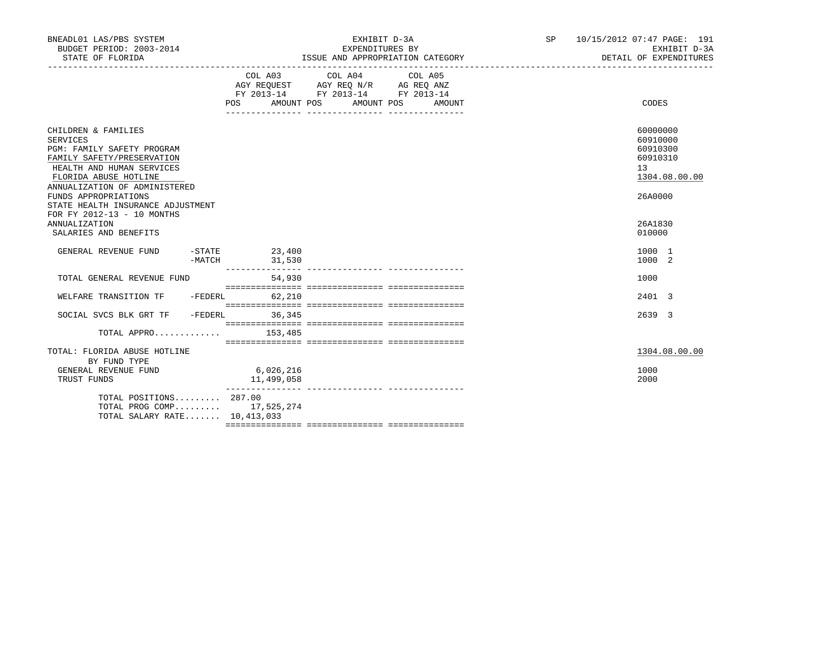| BNEADL01 LAS/PBS SYSTEM<br>BUDGET PERIOD: 2003-2014<br>STATE OF FLORIDA                                                                                                                                                                                                                        |          |                                                                                                                     | EXHIBIT D-3A<br>EXPENDITURES BY | ISSUE AND APPROPRIATION CATEGORY |  | SP 10/15/2012 07:47 PAGE: 191<br>EXHIBIT D-3A<br>DETAIL OF EXPENDITURES                                |
|------------------------------------------------------------------------------------------------------------------------------------------------------------------------------------------------------------------------------------------------------------------------------------------------|----------|---------------------------------------------------------------------------------------------------------------------|---------------------------------|----------------------------------|--|--------------------------------------------------------------------------------------------------------|
|                                                                                                                                                                                                                                                                                                |          | COL A03 COL A04 COL A05<br>AGY REQUEST AGY REQ N/R AG REQ ANZ<br>FY 2013-14 FY 2013-14 FY 2013-14<br>POS AMOUNT POS | AMOUNT POS                      | AMOUNT                           |  | CODES                                                                                                  |
| CHILDREN & FAMILIES<br>SERVICES<br>PGM: FAMILY SAFETY PROGRAM<br>FAMILY SAFETY/PRESERVATION<br>HEALTH AND HUMAN SERVICES<br>FLORIDA ABUSE HOTLINE<br>ANNUALIZATION OF ADMINISTERED<br>FUNDS APPROPRIATIONS<br>STATE HEALTH INSURANCE ADJUSTMENT<br>FOR FY 2012-13 - 10 MONTHS<br>ANNUALIZATION |          |                                                                                                                     |                                 |                                  |  | 60000000<br>60910000<br>60910300<br>60910310<br>13 <sup>°</sup><br>1304.08.00.00<br>26A0000<br>26A1830 |
| SALARIES AND BENEFITS<br>GENERAL REVENUE FUND                                                                                                                                                                                                                                                  |          | $-STATE$ 23,400                                                                                                     |                                 |                                  |  | 010000<br>1000 1                                                                                       |
|                                                                                                                                                                                                                                                                                                | $-MATCH$ | 31,530                                                                                                              |                                 |                                  |  | 1000 2                                                                                                 |
| TOTAL GENERAL REVENUE FUND                                                                                                                                                                                                                                                                     |          | 54,930                                                                                                              |                                 |                                  |  | 1000                                                                                                   |
| WELFARE TRANSITION TF                                                                                                                                                                                                                                                                          |          | $-FEDERL$<br>62,210                                                                                                 |                                 |                                  |  | 2401 3                                                                                                 |
| SOCIAL SVCS BLK GRT TF<br>$TOTAL$ APPRO 153,485                                                                                                                                                                                                                                                |          | -FEDERL 36,345                                                                                                      |                                 |                                  |  | 2639 3                                                                                                 |
| TOTAL: FLORIDA ABUSE HOTLINE                                                                                                                                                                                                                                                                   |          |                                                                                                                     |                                 |                                  |  | 1304.08.00.00                                                                                          |
| BY FUND TYPE<br>GENERAL REVENUE FUND<br>TRUST FUNDS                                                                                                                                                                                                                                            |          | 6,026,216<br>11,499,058                                                                                             |                                 |                                  |  | 1000<br>2000                                                                                           |
| TOTAL POSITIONS $287.00$<br>TOTAL PROG COMP 17,525,274<br>TOTAL SALARY RATE 10,413,033                                                                                                                                                                                                         |          |                                                                                                                     |                                 |                                  |  |                                                                                                        |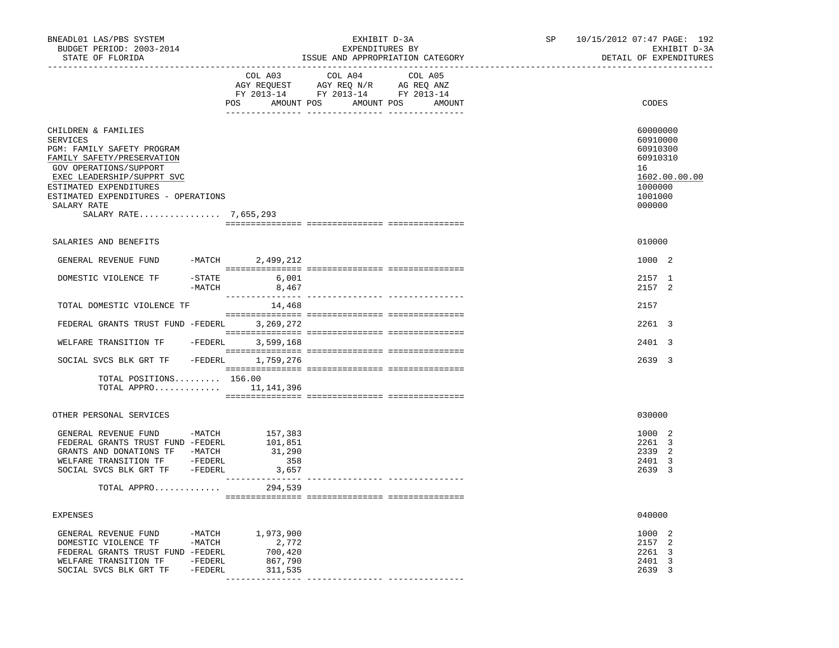| BNEADL01 LAS/PBS SYSTEM<br>BUDGET PERIOD: 2003-2014<br>STATE OF FLORIDA                                                                                                                                                                                             |                                                         | EXHIBIT D-3A<br>EXPENDITURES BY                                                                                       | ISSUE AND APPROPRIATION CATEGORY | SP 10/15/2012 07:47 PAGE: 192<br>EXHIBIT D-3A<br>DETAIL OF EXPENDITURES<br>______________________   |
|---------------------------------------------------------------------------------------------------------------------------------------------------------------------------------------------------------------------------------------------------------------------|---------------------------------------------------------|-----------------------------------------------------------------------------------------------------------------------|----------------------------------|-----------------------------------------------------------------------------------------------------|
|                                                                                                                                                                                                                                                                     | COL A03                                                 | COL A04<br>AGY REQUEST AGY REQ N/R AG REQ ANZ<br>FY 2013-14 FY 2013-14 FY 2013-14<br>POS AMOUNT POS AMOUNT POS AMOUNT | COL A05                          | CODES                                                                                               |
| CHILDREN & FAMILIES<br><b>SERVICES</b><br>PGM: FAMILY SAFETY PROGRAM<br>FAMILY SAFETY/PRESERVATION<br>GOV OPERATIONS/SUPPORT<br>EXEC LEADERSHIP/SUPPRT SVC<br>ESTIMATED EXPENDITURES<br>ESTIMATED EXPENDITURES - OPERATIONS<br>SALARY RATE<br>SALARY RATE 7,655,293 |                                                         |                                                                                                                       |                                  | 60000000<br>60910000<br>60910300<br>60910310<br>16<br>1602.00.00.00<br>1000000<br>1001000<br>000000 |
| SALARIES AND BENEFITS                                                                                                                                                                                                                                               |                                                         |                                                                                                                       |                                  | 010000                                                                                              |
| GENERAL REVENUE FUND                                                                                                                                                                                                                                                | -MATCH 2,499,212                                        |                                                                                                                       |                                  | 1000 2                                                                                              |
| DOMESTIC VIOLENCE TF<br>-MATCH                                                                                                                                                                                                                                      | $-STATE$ 6,001<br>8,467                                 |                                                                                                                       |                                  | 2157 1<br>2157 2                                                                                    |
| TOTAL DOMESTIC VIOLENCE TF                                                                                                                                                                                                                                          | 14,468                                                  |                                                                                                                       |                                  | 2157                                                                                                |
| FEDERAL GRANTS TRUST FUND -FEDERL 3, 269, 272                                                                                                                                                                                                                       |                                                         |                                                                                                                       |                                  | 2261 3                                                                                              |
| WELFARE TRANSITION TF - FEDERL                                                                                                                                                                                                                                      | 3,599,168                                               |                                                                                                                       |                                  | 2401 3                                                                                              |
| SOCIAL SVCS BLK GRT TF - FEDERL 1,759,276                                                                                                                                                                                                                           |                                                         |                                                                                                                       |                                  | 2639 3                                                                                              |
| TOTAL POSITIONS 156.00<br>TOTAL APPRO $11,141,396$                                                                                                                                                                                                                  |                                                         |                                                                                                                       |                                  |                                                                                                     |
| OTHER PERSONAL SERVICES                                                                                                                                                                                                                                             |                                                         |                                                                                                                       |                                  | 030000                                                                                              |
| GENERAL REVENUE FUND -MATCH<br>FEDERAL GRANTS TRUST FUND -FEDERL<br>GRANTS AND DONATIONS TF -MATCH<br>WELFARE TRANSITION TF -FEDERL<br>SOCIAL SVCS BLK GRT TF -FEDERL<br>TOTAL APPRO                                                                                | 157,383<br>101,851<br>31,290<br>358<br>3,657<br>294,539 |                                                                                                                       |                                  | 1000 2<br>2261 3<br>2339 2<br>2401 3<br>2639 3                                                      |
|                                                                                                                                                                                                                                                                     |                                                         |                                                                                                                       |                                  |                                                                                                     |
| <b>EXPENSES</b>                                                                                                                                                                                                                                                     |                                                         |                                                                                                                       |                                  | 040000                                                                                              |
| GENERAL REVENUE FUND<br>$-MATCH$<br>DOMESTIC VIOLENCE TF<br>$-MATCH$<br>FEDERAL GRANTS TRUST FUND -FEDERL<br>WELFARE TRANSITION TF<br>-FEDERL<br>SOCIAL SVCS BLK GRT TF<br>-FEDERL                                                                                  | 1,973,900<br>2,772<br>700,420<br>867,790<br>311,535     |                                                                                                                       |                                  | 1000<br>2<br>2157 2<br>2261 3<br>2401 3<br>2639 3                                                   |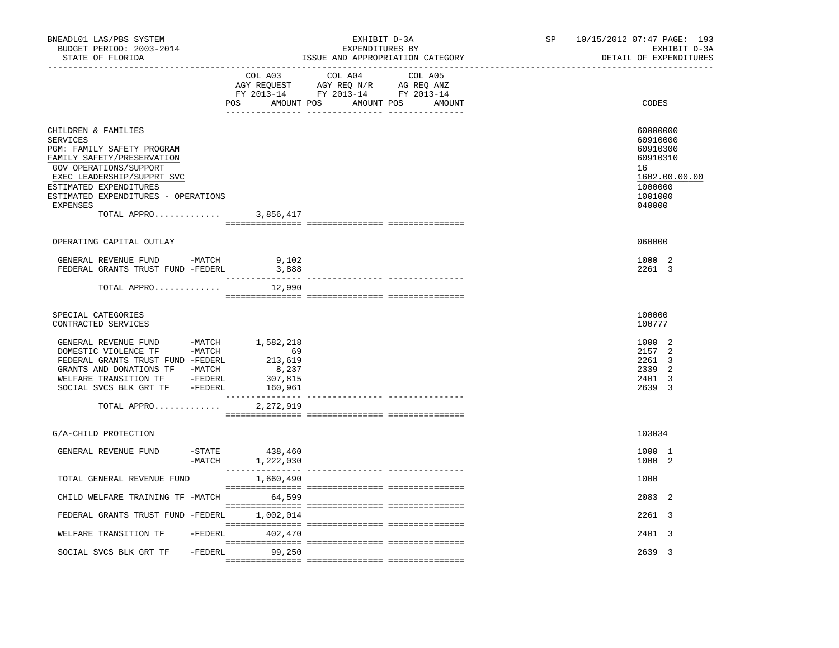| COL A03<br>COL A04<br>COL A05<br>AGY REQUEST AGY REQ N/R AG REQ ANZ<br>FY 2013-14 FY 2013-14 FY 2013-14<br>POS AMOUNT POS AMOUNT POS AMOUNT<br>CHILDREN & FAMILIES<br>SERVICES<br>PGM: FAMILY SAFETY PROGRAM<br>FAMILY SAFETY/PRESERVATION<br>GOV OPERATIONS/SUPPORT<br>EXEC LEADERSHIP/SUPPRT SVC<br>ESTIMATED EXPENDITURES                                                                                                                                                                               | CODES<br>60000000<br>60910000<br>60910300<br>60910310<br>16<br>1602.00.00.00 |
|------------------------------------------------------------------------------------------------------------------------------------------------------------------------------------------------------------------------------------------------------------------------------------------------------------------------------------------------------------------------------------------------------------------------------------------------------------------------------------------------------------|------------------------------------------------------------------------------|
|                                                                                                                                                                                                                                                                                                                                                                                                                                                                                                            |                                                                              |
| ESTIMATED EXPENDITURES - OPERATIONS<br>EXPENSES<br>TOTAL APPRO 3,856,417                                                                                                                                                                                                                                                                                                                                                                                                                                   | 1000000<br>1001000<br>040000                                                 |
| OPERATING CAPITAL OUTLAY                                                                                                                                                                                                                                                                                                                                                                                                                                                                                   | 060000                                                                       |
| GENERAL REVENUE FUND -MATCH<br>9,102<br>FEDERAL GRANTS TRUST FUND -FEDERL<br>3,888                                                                                                                                                                                                                                                                                                                                                                                                                         | 1000 2<br>2261 3                                                             |
| TOTAL APPRO<br>12,990                                                                                                                                                                                                                                                                                                                                                                                                                                                                                      |                                                                              |
| SPECIAL CATEGORIES<br>CONTRACTED SERVICES                                                                                                                                                                                                                                                                                                                                                                                                                                                                  | 100000<br>100777                                                             |
| GENERAL REVENUE FUND -MATCH 1,582,218<br>DOMESTIC VIOLENCE TF -MATCH<br>69<br>FEDERAL GRANTS TRUST FUND -FEDERL<br>213,619<br>GRANTS AND DONATIONS TF -MATCH<br>8,237<br>WELFARE TRANSITION TF -FEDERL<br>307,815<br>SOCIAL SVCS BLK GRT TF -FEDERL<br>160,961                                                                                                                                                                                                                                             | 1000 2<br>2157 2<br>2261 3<br>2339 2<br>2401 3<br>2639 3                     |
| 2,272,919<br>TOTAL APPRO                                                                                                                                                                                                                                                                                                                                                                                                                                                                                   |                                                                              |
| G/A-CHILD PROTECTION                                                                                                                                                                                                                                                                                                                                                                                                                                                                                       | 103034                                                                       |
| $-$ STATE<br>438,460<br>GENERAL REVENUE FUND<br>-MATCH 1,222,030                                                                                                                                                                                                                                                                                                                                                                                                                                           | 1000 1<br>1000 2                                                             |
| TOTAL GENERAL REVENUE FUND<br>1,660,490<br>$\begin{minipage}{0.03\textwidth} \begin{tabular}{l} \textbf{0.04\textwidth} \textbf{0.04\textwidth} \textbf{0.04\textwidth} \textbf{0.04\textwidth} \textbf{0.04\textwidth} \textbf{0.04\textwidth} \textbf{0.04\textwidth} \textbf{0.04\textwidth} \textbf{0.04\textwidth} \textbf{0.04\textwidth} \textbf{0.04\textwidth} \textbf{0.04\textwidth} \textbf{0.04\textwidth} \textbf{0.04\textwidth} \textbf{0.04\textwidth} \textbf{0.04\textwidth} \textbf{0$ | 1000                                                                         |
| CHILD WELFARE TRAINING TF -MATCH<br>64,599                                                                                                                                                                                                                                                                                                                                                                                                                                                                 | 2083 2                                                                       |
| FEDERAL GRANTS TRUST FUND -FEDERL<br>1,002,014                                                                                                                                                                                                                                                                                                                                                                                                                                                             | 2261 3                                                                       |
| WELFARE TRANSITION TF<br>$-FEDERL$ 402,470                                                                                                                                                                                                                                                                                                                                                                                                                                                                 | 2401 3                                                                       |
| -FEDERL 99,250<br>SOCIAL SVCS BLK GRT TF                                                                                                                                                                                                                                                                                                                                                                                                                                                                   | 2639 3                                                                       |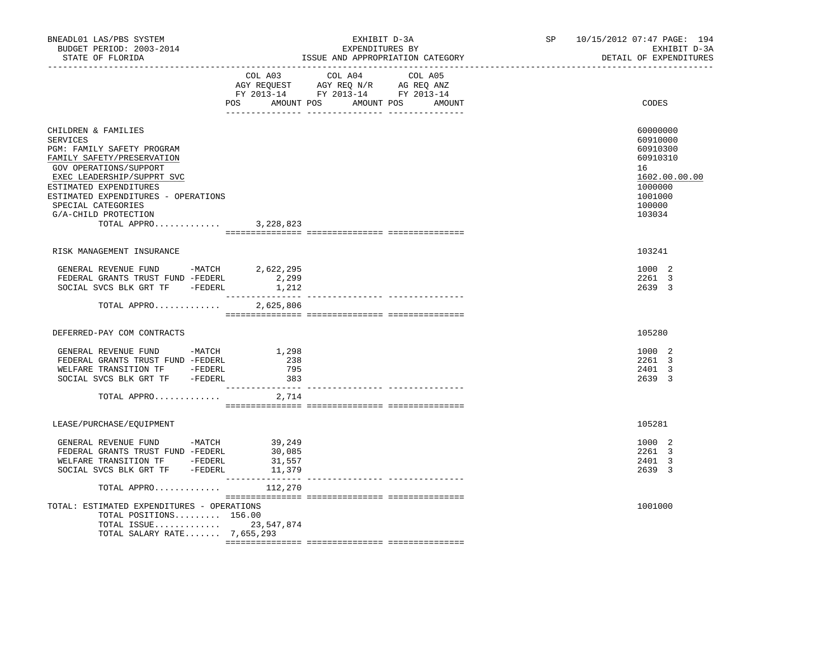| BNEADL01 LAS/PBS SYSTEM<br>BUDGET PERIOD: 2003-2014<br>STATE OF FLORIDA                                                                                                                                                                                                                  | EXHIBIT D-3A<br>EXPENDITURES BY<br>ISSUE AND APPROPRIATION CATEGORY                                                                   | SP 10/15/2012 07:47 PAGE: 194<br>EXHIBIT D-3A<br>DETAIL OF EXPENDITURES                                       |
|------------------------------------------------------------------------------------------------------------------------------------------------------------------------------------------------------------------------------------------------------------------------------------------|---------------------------------------------------------------------------------------------------------------------------------------|---------------------------------------------------------------------------------------------------------------|
|                                                                                                                                                                                                                                                                                          | COL A03 COL A04 COL A05<br>AGY REQUEST AGY REQ N/R AG REQ ANZ<br>FY 2013-14 FY 2013-14 FY 2013-14<br>POS AMOUNT POS AMOUNT POS AMOUNT | CODES                                                                                                         |
| CHILDREN & FAMILIES<br><b>SERVICES</b><br>PGM: FAMILY SAFETY PROGRAM<br>FAMILY SAFETY/PRESERVATION<br>GOV OPERATIONS/SUPPORT<br>EXEC LEADERSHIP/SUPPRT SVC<br>ESTIMATED EXPENDITURES<br>ESTIMATED EXPENDITURES - OPERATIONS<br>SPECIAL CATEGORIES<br>G/A-CHILD PROTECTION<br>TOTAL APPRO | 3,228,823                                                                                                                             | 60000000<br>60910000<br>60910300<br>60910310<br>16<br>1602.00.00.00<br>1000000<br>1001000<br>100000<br>103034 |
| RISK MANAGEMENT INSURANCE                                                                                                                                                                                                                                                                |                                                                                                                                       | 103241                                                                                                        |
| GENERAL REVENUE FUND -MATCH<br>FEDERAL GRANTS TRUST FUND -FEDERL<br>SOCIAL SVCS BLK GRT TF -FEDERL<br>TOTAL APPRO 2,625,806                                                                                                                                                              | 2,622,295<br>2,299<br>1,212                                                                                                           | 1000 2<br>2261 3<br>2639 3                                                                                    |
| DEFERRED-PAY COM CONTRACTS                                                                                                                                                                                                                                                               |                                                                                                                                       | 105280                                                                                                        |
| GENERAL REVENUE FUND -MATCH<br>FEDERAL GRANTS TRUST FUND -FEDERL<br>WELFARE TRANSITION TF -FEDERL<br>SOCIAL SVCS BLK GRT TF -FEDERL                                                                                                                                                      | 1,298<br>238<br>795<br>383                                                                                                            | 1000 2<br>2261 3<br>2401 3<br>2639 3                                                                          |
| TOTAL APPRO $2,714$                                                                                                                                                                                                                                                                      |                                                                                                                                       |                                                                                                               |
| LEASE/PURCHASE/EQUIPMENT                                                                                                                                                                                                                                                                 |                                                                                                                                       | 105281                                                                                                        |
| GENERAL REVENUE FUND -MATCH 39,249<br>FEDERAL GRANTS TRUST FUND -FEDERL<br>WELFARE TRANSITION TF -FEDERL<br>SOCIAL SVCS BLK GRT TF -FEDERL                                                                                                                                               | 30,085<br>31,557<br>$\frac{31}{379}$                                                                                                  | 1000 2<br>2261 3<br>2401 3<br>2639 3                                                                          |
| TOTAL APPRO $112,270$                                                                                                                                                                                                                                                                    |                                                                                                                                       |                                                                                                               |
| TOTAL: ESTIMATED EXPENDITURES - OPERATIONS<br>TOTAL POSITIONS 156.00<br>TOTAL ISSUE 23,547,874<br>TOTAL SALARY RATE 7,655,293                                                                                                                                                            |                                                                                                                                       | 1001000                                                                                                       |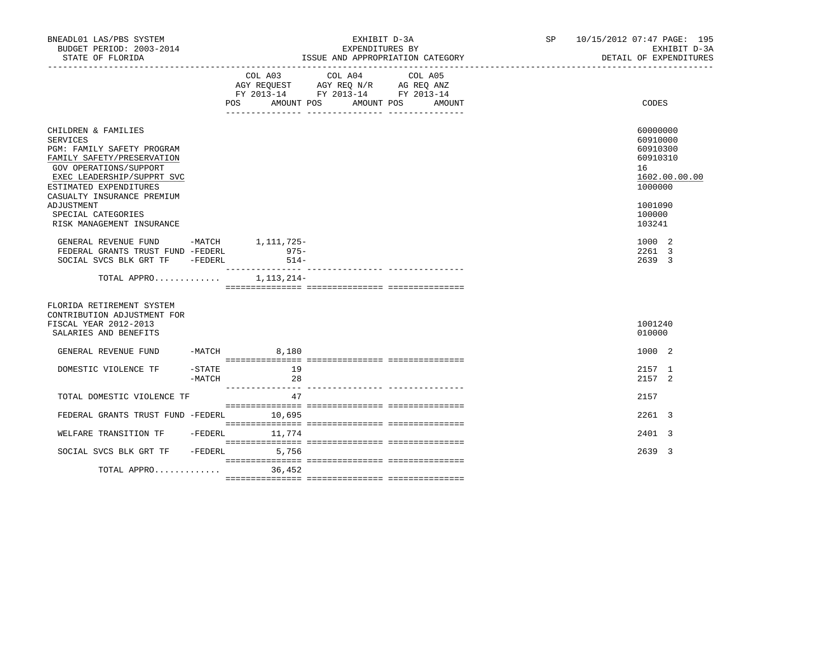| BNEADL01 LAS/PBS SYSTEM<br>BUDGET PERIOD: 2003-2014<br>STATE OF FLORIDA                                                                                                                                                          |                       |                  | EXHIBIT D-3A<br>EXPENDITURES BY<br>ISSUE AND APPROPRIATION CATEGORY                                                                         | SP 10/15/2012 07:47 PAGE: 195<br>EXHIBIT D-3A<br>DETAIL OF EXPENDITURES                   |
|----------------------------------------------------------------------------------------------------------------------------------------------------------------------------------------------------------------------------------|-----------------------|------------------|---------------------------------------------------------------------------------------------------------------------------------------------|-------------------------------------------------------------------------------------------|
|                                                                                                                                                                                                                                  |                       |                  | COL A03 COL A04<br>COL A05<br>AGY REQUEST AGY REQ N/R AG REQ ANZ<br>FY 2013-14 FY 2013-14 FY 2013-14<br>POS AMOUNT POS AMOUNT POS<br>AMOUNT | CODES                                                                                     |
| CHILDREN & FAMILIES<br><b>SERVICES</b><br>PGM: FAMILY SAFETY PROGRAM<br>FAMILY SAFETY/PRESERVATION<br>GOV OPERATIONS/SUPPORT<br>EXEC LEADERSHIP/SUPPRT SVC<br>ESTIMATED EXPENDITURES<br>CASUALTY INSURANCE PREMIUM<br>ADJUSTMENT |                       |                  |                                                                                                                                             | 60000000<br>60910000<br>60910300<br>60910310<br>16<br>1602.00.00.00<br>1000000<br>1001090 |
| SPECIAL CATEGORIES<br>RISK MANAGEMENT INSURANCE<br>GENERAL REVENUE FUND -MATCH 1,111,725-<br>FEDERAL GRANTS TRUST FUND -FEDERL<br>SOCIAL SVCS BLK GRT TF -FEDERL                                                                 |                       | $975-$<br>$514-$ |                                                                                                                                             | 100000<br>103241<br>1000 2<br>2261 3<br>2639 3                                            |
| TOTAL APPRO $1,113,214-$                                                                                                                                                                                                         |                       |                  |                                                                                                                                             |                                                                                           |
| FLORIDA RETIREMENT SYSTEM<br>CONTRIBUTION ADJUSTMENT FOR<br>FISCAL YEAR 2012-2013<br>SALARIES AND BENEFITS                                                                                                                       |                       |                  |                                                                                                                                             | 1001240<br>010000                                                                         |
| GENERAL REVENUE FUND -MATCH 8,180                                                                                                                                                                                                |                       |                  |                                                                                                                                             | 1000 2                                                                                    |
| DOMESTIC VIOLENCE TF                                                                                                                                                                                                             | $-$ STATE<br>$-MATCH$ | 19<br>28         |                                                                                                                                             | 2157 1<br>2157 2                                                                          |
| TOTAL DOMESTIC VIOLENCE TF                                                                                                                                                                                                       |                       | 47               |                                                                                                                                             | 2157                                                                                      |
| FEDERAL GRANTS TRUST FUND -FEDERL                                                                                                                                                                                                |                       | 10,695           |                                                                                                                                             | $2261 \quad 3$                                                                            |
| WELFARE TRANSITION TF -FEDERL 11,774                                                                                                                                                                                             |                       |                  |                                                                                                                                             | 2401 3                                                                                    |
| SOCIAL SVCS BLK GRT TF -FEDERL                                                                                                                                                                                                   |                       | 5,756            |                                                                                                                                             | 2639 3                                                                                    |
| TOTAL APPRO                                                                                                                                                                                                                      |                       | 36,452           |                                                                                                                                             |                                                                                           |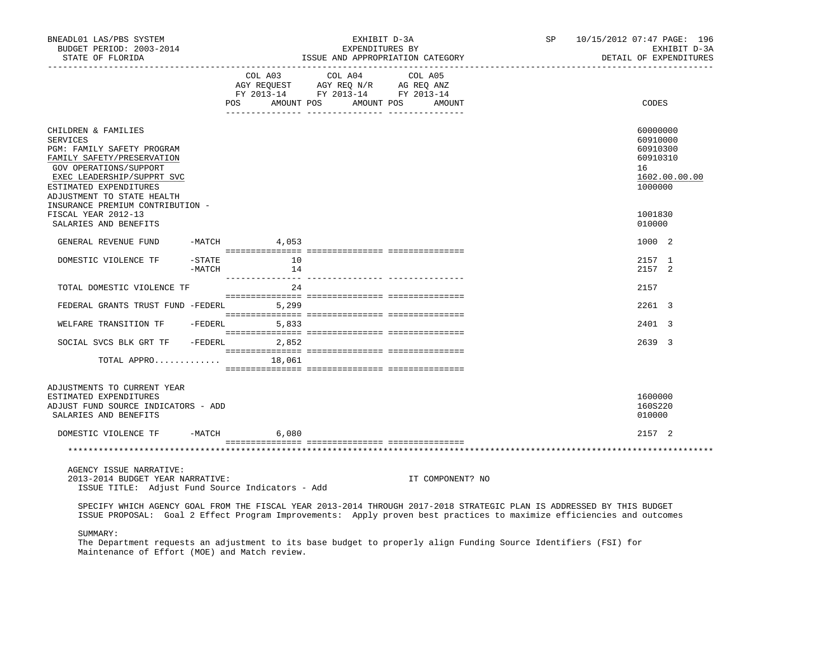| BNEADL01 LAS/PBS SYSTEM<br>BUDGET PERIOD: 2003-2014<br>STATE OF FLORIDA<br>------------------                                                                                                                                                                                 |                     |                                  | EXHIBIT D-3A<br>EXPENDITURES BY<br>ISSUE AND APPROPRIATION CATEGORY                       |                   | SP 10/15/2012 07:47 PAGE: 196 |                                                                                           | EXHIBIT D-3A<br>DETAIL OF EXPENDITURES |
|-------------------------------------------------------------------------------------------------------------------------------------------------------------------------------------------------------------------------------------------------------------------------------|---------------------|----------------------------------|-------------------------------------------------------------------------------------------|-------------------|-------------------------------|-------------------------------------------------------------------------------------------|----------------------------------------|
|                                                                                                                                                                                                                                                                               |                     | COL A03<br>POS FOR<br>AMOUNT POS | COL A04 COL A05<br>AGY REQUEST AGY REQ N/R AG REQ ANZ<br>FY 2013-14 FY 2013-14 FY 2013-14 | AMOUNT POS AMOUNT |                               | CODES                                                                                     |                                        |
| CHILDREN & FAMILIES<br><b>SERVICES</b><br>PGM: FAMILY SAFETY PROGRAM<br>FAMILY SAFETY/PRESERVATION<br>GOV OPERATIONS/SUPPORT<br>EXEC LEADERSHIP/SUPPRT SVC<br>ESTIMATED EXPENDITURES<br>ADJUSTMENT TO STATE HEALTH<br>INSURANCE PREMIUM CONTRIBUTION -<br>FISCAL YEAR 2012-13 |                     |                                  |                                                                                           |                   |                               | 60000000<br>60910000<br>60910300<br>60910310<br>16<br>1602.00.00.00<br>1000000<br>1001830 |                                        |
| SALARIES AND BENEFITS                                                                                                                                                                                                                                                         |                     |                                  |                                                                                           |                   |                               | 010000                                                                                    |                                        |
| GENERAL REVENUE FUND                                                                                                                                                                                                                                                          |                     | $-MATCH$ 4,053                   |                                                                                           |                   |                               | 1000 2                                                                                    |                                        |
| DOMESTIC VIOLENCE TF                                                                                                                                                                                                                                                          | $-$ STATE<br>-MATCH | 10<br>14                         |                                                                                           |                   |                               | 2157 1<br>2157 2                                                                          |                                        |
| TOTAL DOMESTIC VIOLENCE TF                                                                                                                                                                                                                                                    |                     | 2.4                              |                                                                                           |                   |                               | 2157                                                                                      |                                        |
| FEDERAL GRANTS TRUST FUND -FEDERL                                                                                                                                                                                                                                             |                     | 5,299                            |                                                                                           |                   |                               | 2261 3                                                                                    |                                        |
| WELFARE TRANSITION TF - FEDERL 5,833                                                                                                                                                                                                                                          |                     |                                  |                                                                                           |                   |                               | 2401 3                                                                                    |                                        |
| SOCIAL SVCS BLK GRT TF - FEDERL                                                                                                                                                                                                                                               |                     | 2,852                            |                                                                                           |                   |                               | 2639 3                                                                                    |                                        |
| TOTAL APPRO                                                                                                                                                                                                                                                                   |                     | 18,061                           |                                                                                           |                   |                               |                                                                                           |                                        |
| ADJUSTMENTS TO CURRENT YEAR<br>ESTIMATED EXPENDITURES<br>ADJUST FUND SOURCE INDICATORS - ADD<br>SALARIES AND BENEFITS                                                                                                                                                         |                     |                                  |                                                                                           |                   |                               | 1600000<br>160S220<br>010000                                                              |                                        |
| DOMESTIC VIOLENCE TF -MATCH                                                                                                                                                                                                                                                   |                     | 6,080                            |                                                                                           |                   |                               | 2157 2                                                                                    |                                        |
|                                                                                                                                                                                                                                                                               |                     |                                  |                                                                                           |                   |                               |                                                                                           |                                        |
| AGENCY ISSUE NARRATIVE:<br>2013-2014 BUDGET YEAR NARRATIVE:<br>ISSUE TITLE: Adjust Fund Source Indicators - Add                                                                                                                                                               |                     |                                  |                                                                                           | IT COMPONENT? NO  |                               |                                                                                           |                                        |
| SPECIFY WHICH AGENCY GOAL FROM THE FISCAL YEAR 2013-2014 THROUGH 2017-2018 STRATEGIC PLAN IS ADDRESSED BY THIS BUDGET<br>ISSUE PROPOSAL: Goal 2 Effect Program Improvements: Apply proven best practices to maximize efficiencies and outcomes                                |                     |                                  |                                                                                           |                   |                               |                                                                                           |                                        |

SUMMARY:

 The Department requests an adjustment to its base budget to properly align Funding Source Identifiers (FSI) for Maintenance of Effort (MOE) and Match review.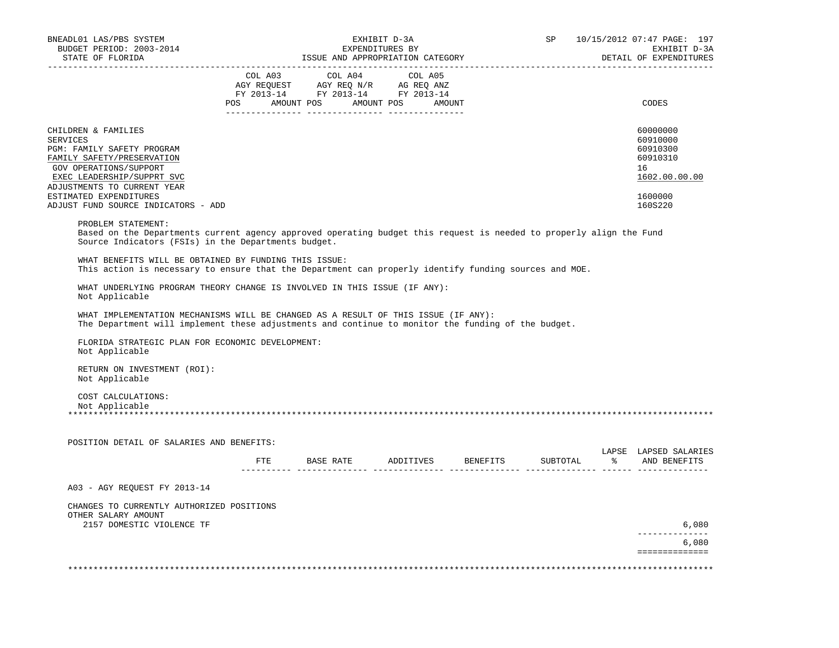| BNEADL01 LAS/PBS SYSTEM<br>BUDGET PERIOD: 2003-2014<br>STATE OF FLORIDA                                                                                                                          |            |                                                                                                                                                                                                                                                                | EXHIBIT D-3A<br>EXPENDITURES BY<br>ISSUE AND APPROPRIATION CATEGORY |          | <b>SP</b> |      | 10/15/2012 07:47 PAGE: 197<br>EXHIBIT D-3A<br>DETAIL OF EXPENDITURES |
|--------------------------------------------------------------------------------------------------------------------------------------------------------------------------------------------------|------------|----------------------------------------------------------------------------------------------------------------------------------------------------------------------------------------------------------------------------------------------------------------|---------------------------------------------------------------------|----------|-----------|------|----------------------------------------------------------------------|
|                                                                                                                                                                                                  | COL A03    | COL A04                                                                                                                                                                                                                                                        | COL A05                                                             |          |           |      |                                                                      |
|                                                                                                                                                                                                  | <b>POS</b> | $\begin{tabular}{lllllllll} \bf AGY \,\, {\sf REQUEST} & \bf AGY \,\, {\sf REQ} \,\, N/R & \bf AG \,\, {\sf REQ} \,\, \tt ANZ \\ \bf FY \,\, 2013-14 & \bf FY \,\, 2013-14 & \bf FY \,\, 2013-14 \\ \end{tabular}$<br>AMOUNT POS AMOUNT POS<br>________ ______ | AMOUNT                                                              |          |           |      | CODES                                                                |
| CHILDREN & FAMILIES<br><b>SERVICES</b><br>PGM: FAMILY SAFETY PROGRAM<br>FAMILY SAFETY/PRESERVATION<br>GOV OPERATIONS/SUPPORT<br>EXEC LEADERSHIP/SUPPRT SVC                                       |            |                                                                                                                                                                                                                                                                |                                                                     |          |           |      | 60000000<br>60910000<br>60910300<br>60910310<br>16<br>1602.00.00.00  |
| ADJUSTMENTS TO CURRENT YEAR<br>ESTIMATED EXPENDITURES<br>ADJUST FUND SOURCE INDICATORS - ADD                                                                                                     |            |                                                                                                                                                                                                                                                                |                                                                     |          |           |      | 1600000<br>160S220                                                   |
| PROBLEM STATEMENT:<br>Based on the Departments current agency approved operating budget this request is needed to properly align the Fund<br>Source Indicators (FSIs) in the Departments budget. |            |                                                                                                                                                                                                                                                                |                                                                     |          |           |      |                                                                      |
| WHAT BENEFITS WILL BE OBTAINED BY FUNDING THIS ISSUE:<br>This action is necessary to ensure that the Department can properly identify funding sources and MOE.                                   |            |                                                                                                                                                                                                                                                                |                                                                     |          |           |      |                                                                      |
| WHAT UNDERLYING PROGRAM THEORY CHANGE IS INVOLVED IN THIS ISSUE (IF ANY):<br>Not Applicable                                                                                                      |            |                                                                                                                                                                                                                                                                |                                                                     |          |           |      |                                                                      |
| WHAT IMPLEMENTATION MECHANISMS WILL BE CHANGED AS A RESULT OF THIS ISSUE (IF ANY):<br>The Department will implement these adjustments and continue to monitor the funding of the budget.         |            |                                                                                                                                                                                                                                                                |                                                                     |          |           |      |                                                                      |
| FLORIDA STRATEGIC PLAN FOR ECONOMIC DEVELOPMENT:<br>Not Applicable                                                                                                                               |            |                                                                                                                                                                                                                                                                |                                                                     |          |           |      |                                                                      |
| RETURN ON INVESTMENT (ROI):<br>Not Applicable                                                                                                                                                    |            |                                                                                                                                                                                                                                                                |                                                                     |          |           |      |                                                                      |
| COST CALCULATIONS:                                                                                                                                                                               |            |                                                                                                                                                                                                                                                                |                                                                     |          |           |      |                                                                      |
| Not Applicable<br>* * * * * * * * * * * * *                                                                                                                                                      |            |                                                                                                                                                                                                                                                                |                                                                     |          |           |      |                                                                      |
| POSITION DETAIL OF SALARIES AND BENEFITS:                                                                                                                                                        |            |                                                                                                                                                                                                                                                                |                                                                     |          |           |      |                                                                      |
|                                                                                                                                                                                                  | ETE        | BASE RATE                                                                                                                                                                                                                                                      | ADDITIVES                                                           | BENEFITS | SUBTOTAL  | ော ေ | AND BENEFITS                                                         |
| A03 - AGY REOUEST FY 2013-14                                                                                                                                                                     |            |                                                                                                                                                                                                                                                                |                                                                     |          |           |      |                                                                      |
| CHANGES TO CURRENTLY AUTHORIZED POSITIONS<br>OTHER SALARY AMOUNT                                                                                                                                 |            |                                                                                                                                                                                                                                                                |                                                                     |          |           |      |                                                                      |
| 2157 DOMESTIC VIOLENCE TF                                                                                                                                                                        |            |                                                                                                                                                                                                                                                                |                                                                     |          |           |      | LAPSE LAPSED SALARIES<br>6,080<br>6,080                              |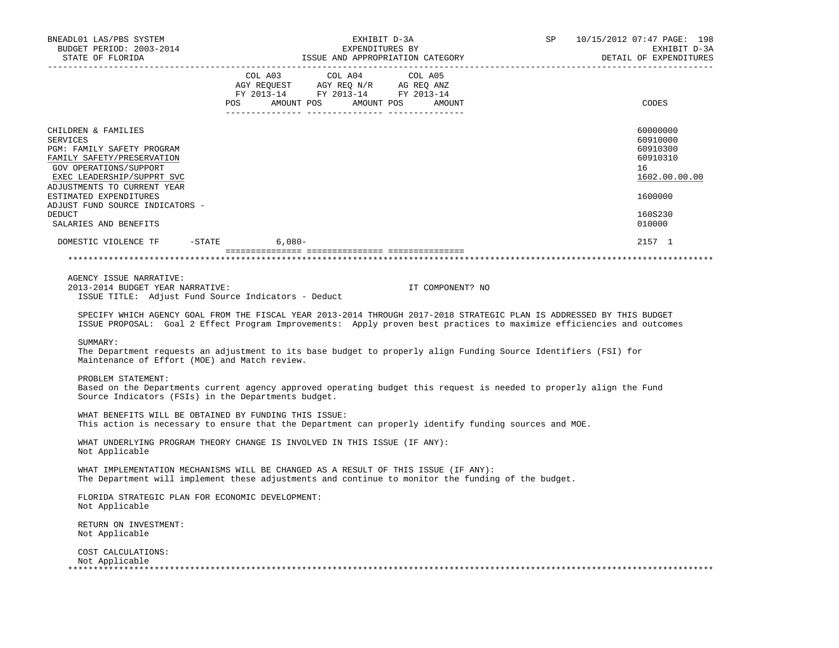| BNEADL01 LAS/PBS SYSTEM<br>BUDGET PERIOD: 2003-2014<br>STATE OF FLORIDA                                                                                    | EXHIBIT D-3A<br>EXPENDITURES BY<br>ISSUE AND APPROPRIATION CATEGORY                                                                                                                                                                                                                                                                                                                                                                                                                                                                                  | SP<br>10/15/2012 07:47 PAGE: 198<br>EXHIBIT D-3A<br>DETAIL OF EXPENDITURES                                                                                                                                                                     |
|------------------------------------------------------------------------------------------------------------------------------------------------------------|------------------------------------------------------------------------------------------------------------------------------------------------------------------------------------------------------------------------------------------------------------------------------------------------------------------------------------------------------------------------------------------------------------------------------------------------------------------------------------------------------------------------------------------------------|------------------------------------------------------------------------------------------------------------------------------------------------------------------------------------------------------------------------------------------------|
|                                                                                                                                                            | $\begin{tabular}{lllllllllllll} &\multicolumn{4}{c}{\text{COL A03}} &\multicolumn{4}{c}{\text{COL A04}} &\multicolumn{4}{c}{\text{COL A05}} \\ \multicolumn{4}{c}{\text{AGY REQUEST}} &\multicolumn{4}{c}{\text{AGY REQ N/R}} &\multicolumn{4}{c}{\text{AG REQ ANZ}} \\ \multicolumn{4}{c}{\text{FGULST}} &\multicolumn{4}{c}{\text{AGY REQ N/R}} &\multicolumn{4}{c}{\text{AG REQ ANZ}} \\ \multicolumn{4}{c}{\text{FY 2013--14}} &\multicolumn{4}{c}{\text{$<br>POS AMOUNT POS AMOUNT POS AMOUNT<br>--------- ------<br>_________ ________________ | CODES                                                                                                                                                                                                                                          |
| CHILDREN & FAMILIES<br><b>SERVICES</b><br>PGM: FAMILY SAFETY PROGRAM<br>FAMILY SAFETY/PRESERVATION<br>GOV OPERATIONS/SUPPORT<br>EXEC LEADERSHIP/SUPPRT SVC |                                                                                                                                                                                                                                                                                                                                                                                                                                                                                                                                                      | 60000000<br>60910000<br>60910300<br>60910310<br>16<br>1602.00.00.00                                                                                                                                                                            |
| ADJUSTMENTS TO CURRENT YEAR<br>ESTIMATED EXPENDITURES<br>ADJUST FUND SOURCE INDICATORS -<br>DEDUCT<br>SALARIES AND BENEFITS                                |                                                                                                                                                                                                                                                                                                                                                                                                                                                                                                                                                      | 1600000<br>160S230<br>010000                                                                                                                                                                                                                   |
| DOMESTIC VIOLENCE TF -STATE 6,080-                                                                                                                         |                                                                                                                                                                                                                                                                                                                                                                                                                                                                                                                                                      | 2157 1                                                                                                                                                                                                                                         |
|                                                                                                                                                            |                                                                                                                                                                                                                                                                                                                                                                                                                                                                                                                                                      |                                                                                                                                                                                                                                                |
| AGENCY ISSUE NARRATIVE:<br>2013-2014 BUDGET YEAR NARRATIVE:<br>ISSUE TITLE: Adjust Fund Source Indicators - Deduct                                         | IT COMPONENT? NO                                                                                                                                                                                                                                                                                                                                                                                                                                                                                                                                     | SPECIFY WHICH AGENCY GOAL FROM THE FISCAL YEAR 2013-2014 THROUGH 2017-2018 STRATEGIC PLAN IS ADDRESSED BY THIS BUDGET<br>ISSUE PROPOSAL: Goal 2 Effect Program Improvements: Apply proven best practices to maximize efficiencies and outcomes |
| SUMMARY:<br>Maintenance of Effort (MOE) and Match review.                                                                                                  | The Department requests an adjustment to its base budget to properly align Funding Source Identifiers (FSI) for                                                                                                                                                                                                                                                                                                                                                                                                                                      |                                                                                                                                                                                                                                                |
| PROBLEM STATEMENT:<br>Source Indicators (FSIs) in the Departments budget.                                                                                  | Based on the Departments current agency approved operating budget this request is needed to properly align the Fund                                                                                                                                                                                                                                                                                                                                                                                                                                  |                                                                                                                                                                                                                                                |
| WHAT BENEFITS WILL BE OBTAINED BY FUNDING THIS ISSUE:                                                                                                      | This action is necessary to ensure that the Department can properly identify funding sources and MOE.                                                                                                                                                                                                                                                                                                                                                                                                                                                |                                                                                                                                                                                                                                                |
| Not Applicable                                                                                                                                             | WHAT UNDERLYING PROGRAM THEORY CHANGE IS INVOLVED IN THIS ISSUE (IF ANY):                                                                                                                                                                                                                                                                                                                                                                                                                                                                            |                                                                                                                                                                                                                                                |
|                                                                                                                                                            | WHAT IMPLEMENTATION MECHANISMS WILL BE CHANGED AS A RESULT OF THIS ISSUE (IF ANY):<br>The Department will implement these adjustments and continue to monitor the funding of the budget.                                                                                                                                                                                                                                                                                                                                                             |                                                                                                                                                                                                                                                |
| FLORIDA STRATEGIC PLAN FOR ECONOMIC DEVELOPMENT:<br>Not Applicable                                                                                         |                                                                                                                                                                                                                                                                                                                                                                                                                                                                                                                                                      |                                                                                                                                                                                                                                                |
| RETURN ON INVESTMENT:<br>Not Applicable                                                                                                                    |                                                                                                                                                                                                                                                                                                                                                                                                                                                                                                                                                      |                                                                                                                                                                                                                                                |
| COST CALCULATIONS:<br>Not Applicable                                                                                                                       |                                                                                                                                                                                                                                                                                                                                                                                                                                                                                                                                                      |                                                                                                                                                                                                                                                |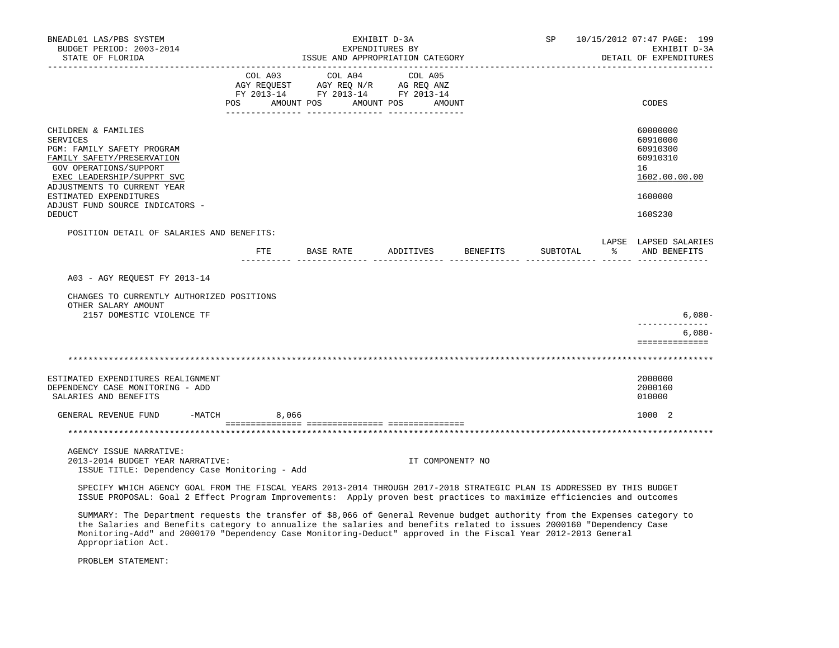| BNEADL01 LAS/PBS SYSTEM<br>BUDGET PERIOD: 2003-2014<br>STATE OF FLORIDA                                                                                                                                                                         |            | EXHIBIT D-3A<br>EXPENDITURES BY<br>ISSUE AND APPROPRIATION CATEGORY                                                                                                      | SP                   | 10/15/2012 07:47 PAGE: 199<br>EXHIBIT D-3A<br>DETAIL OF EXPENDITURES |          |                                                                     |
|-------------------------------------------------------------------------------------------------------------------------------------------------------------------------------------------------------------------------------------------------|------------|--------------------------------------------------------------------------------------------------------------------------------------------------------------------------|----------------------|----------------------------------------------------------------------|----------|---------------------------------------------------------------------|
|                                                                                                                                                                                                                                                 | <b>POS</b> | $\begin{tabular}{lcccc} CDL A03 & CDL A04 & CDL A05 \\ AGY REQUEST & AGY REQ N/R & AG REQ ANZ \\ FY & 2013-14 & FY & 2013-14 & FY & 2013-14 \end{tabular}$<br>AMOUNT POS | AMOUNT POS<br>AMOUNT |                                                                      |          | CODES                                                               |
| CHILDREN & FAMILIES<br>SERVICES<br>PGM: FAMILY SAFETY PROGRAM<br>FAMILY SAFETY/PRESERVATION<br>GOV OPERATIONS/SUPPORT<br>EXEC LEADERSHIP/SUPPRT SVC<br>ADJUSTMENTS TO CURRENT YEAR                                                              |            |                                                                                                                                                                          |                      |                                                                      |          | 60000000<br>60910000<br>60910300<br>60910310<br>16<br>1602.00.00.00 |
| ESTIMATED EXPENDITURES<br>ADJUST FUND SOURCE INDICATORS -                                                                                                                                                                                       |            |                                                                                                                                                                          |                      |                                                                      |          | 1600000                                                             |
| DEDUCT                                                                                                                                                                                                                                          |            |                                                                                                                                                                          |                      |                                                                      |          | 160S230                                                             |
| POSITION DETAIL OF SALARIES AND BENEFITS:                                                                                                                                                                                                       | FTE        | BASE RATE ADDITIVES BENEFITS                                                                                                                                             |                      |                                                                      | SUBTOTAL | LAPSE LAPSED SALARIES<br>% AND BENEFITS                             |
| A03 - AGY REOUEST FY 2013-14                                                                                                                                                                                                                    |            |                                                                                                                                                                          |                      |                                                                      |          |                                                                     |
| CHANGES TO CURRENTLY AUTHORIZED POSITIONS<br>OTHER SALARY AMOUNT<br>2157 DOMESTIC VIOLENCE TF                                                                                                                                                   |            |                                                                                                                                                                          |                      |                                                                      |          | $6,080-$                                                            |
|                                                                                                                                                                                                                                                 |            |                                                                                                                                                                          |                      |                                                                      |          | ______________<br>$6,080-$<br>==============                        |
|                                                                                                                                                                                                                                                 |            |                                                                                                                                                                          |                      |                                                                      |          |                                                                     |
| ESTIMATED EXPENDITURES REALIGNMENT<br>DEPENDENCY CASE MONITORING - ADD<br>SALARIES AND BENEFITS                                                                                                                                                 |            |                                                                                                                                                                          |                      |                                                                      |          | 2000000<br>2000160<br>010000                                        |
| GENERAL REVENUE FUND -MATCH 8,066                                                                                                                                                                                                               |            |                                                                                                                                                                          |                      |                                                                      |          | 1000 2                                                              |
|                                                                                                                                                                                                                                                 |            |                                                                                                                                                                          |                      |                                                                      |          |                                                                     |
| AGENCY ISSUE NARRATIVE:<br>2013-2014 BUDGET YEAR NARRATIVE:<br>ISSUE TITLE: Dependency Case Monitoring - Add                                                                                                                                    |            |                                                                                                                                                                          | IT COMPONENT? NO     |                                                                      |          |                                                                     |
| SPECIFY WHICH AGENCY GOAL FROM THE FISCAL YEARS 2013-2014 THROUGH 2017-2018 STRATEGIC PLAN IS ADDRESSED BY THIS BUDGET<br>ISSUE PROPOSAL: Goal 2 Effect Program Improvements: Apply proven best practices to maximize efficiencies and outcomes |            |                                                                                                                                                                          |                      |                                                                      |          |                                                                     |
| SUMMARY: The Department requests the transfer of \$8,066 of General Revenue budget authority from the Expenses category to                                                                                                                      |            |                                                                                                                                                                          |                      |                                                                      |          |                                                                     |

 the Salaries and Benefits category to annualize the salaries and benefits related to issues 2000160 "Dependency Case Monitoring-Add" and 2000170 "Dependency Case Monitoring-Deduct" approved in the Fiscal Year 2012-2013 General Appropriation Act.

PROBLEM STATEMENT: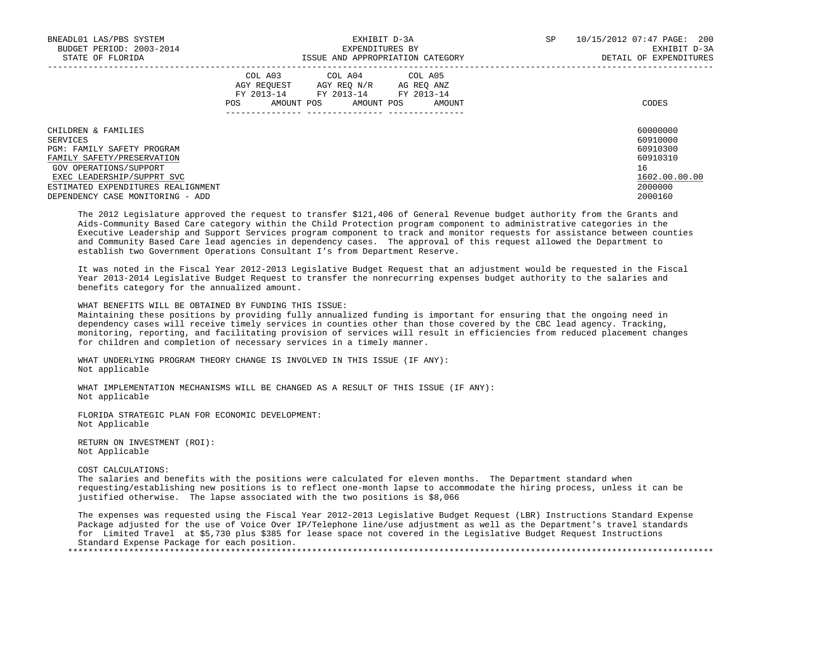| BNEADL01 LAS/PBS SYSTEM                     | EXHIBIT D-3A                                              |                                                                          |                      | SP | 10/15/2012 07:47 PAGE: 200 |
|---------------------------------------------|-----------------------------------------------------------|--------------------------------------------------------------------------|----------------------|----|----------------------------|
| BUDGET PERIOD: 2003-2014<br>EXPENDITURES BY |                                                           |                                                                          |                      |    | EXHIBIT D-3A               |
| STATE OF FLORIDA                            |                                                           | ISSUE AND APPROPRIATION CATEGORY                                         |                      |    | DETAIL OF EXPENDITURES     |
|                                             | COL A03<br>AGY REOUEST<br>FY 2013-14<br>AMOUNT POS<br>POS | COL A04 COL A05<br>AGY REO N/R<br>AG REO ANZ<br>FY 2013-14<br>AMOUNT POS | FY 2013-14<br>AMOUNT |    | CODES                      |
| CHILDREN & FAMILIES                         |                                                           |                                                                          |                      |    | 60000000                   |
| SERVICES                                    |                                                           |                                                                          |                      |    | 60910000                   |
| PGM: FAMILY SAFETY PROGRAM                  |                                                           |                                                                          |                      |    | 60910300                   |
| FAMILY SAFETY/PRESERVATION                  |                                                           |                                                                          |                      |    | 60910310                   |
| GOV OPERATIONS/SUPPORT                      |                                                           |                                                                          |                      |    | 16                         |
| EXEC LEADERSHIP/SUPPRT SVC                  |                                                           |                                                                          |                      |    | 1602.00.00.00              |
| ESTIMATED EXPENDITURES REALIGNMENT          |                                                           |                                                                          |                      |    | 2000000                    |
| DEPENDENCY CASE MONITORING - ADD            |                                                           |                                                                          |                      |    | 2000160                    |

 The 2012 Legislature approved the request to transfer \$121,406 of General Revenue budget authority from the Grants and Aids-Community Based Care category within the Child Protection program component to administrative categories in the Executive Leadership and Support Services program component to track and monitor requests for assistance between counties and Community Based Care lead agencies in dependency cases. The approval of this request allowed the Department to establish two Government Operations Consultant I's from Department Reserve.

 It was noted in the Fiscal Year 2012-2013 Legislative Budget Request that an adjustment would be requested in the Fiscal Year 2013-2014 Legislative Budget Request to transfer the nonrecurring expenses budget authority to the salaries and benefits category for the annualized amount.

WHAT BENEFITS WILL BE OBTAINED BY FUNDING THIS ISSUE:

 Maintaining these positions by providing fully annualized funding is important for ensuring that the ongoing need in dependency cases will receive timely services in counties other than those covered by the CBC lead agency. Tracking, monitoring, reporting, and facilitating provision of services will result in efficiencies from reduced placement changes for children and completion of necessary services in a timely manner.

 WHAT UNDERLYING PROGRAM THEORY CHANGE IS INVOLVED IN THIS ISSUE (IF ANY): Not applicable

 WHAT IMPLEMENTATION MECHANISMS WILL BE CHANGED AS A RESULT OF THIS ISSUE (IF ANY): Not applicable

 FLORIDA STRATEGIC PLAN FOR ECONOMIC DEVELOPMENT: Not Applicable

 RETURN ON INVESTMENT (ROI): Not Applicable

COST CALCULATIONS:

 The salaries and benefits with the positions were calculated for eleven months. The Department standard when requesting/establishing new positions is to reflect one-month lapse to accommodate the hiring process, unless it can be justified otherwise. The lapse associated with the two positions is \$8,066

 The expenses was requested using the Fiscal Year 2012-2013 Legislative Budget Request (LBR) Instructions Standard Expense Package adjusted for the use of Voice Over IP/Telephone line/use adjustment as well as the Department's travel standards for Limited Travel at \$5,730 plus \$385 for lease space not covered in the Legislative Budget Request Instructions Standard Expense Package for each position. \*\*\*\*\*\*\*\*\*\*\*\*\*\*\*\*\*\*\*\*\*\*\*\*\*\*\*\*\*\*\*\*\*\*\*\*\*\*\*\*\*\*\*\*\*\*\*\*\*\*\*\*\*\*\*\*\*\*\*\*\*\*\*\*\*\*\*\*\*\*\*\*\*\*\*\*\*\*\*\*\*\*\*\*\*\*\*\*\*\*\*\*\*\*\*\*\*\*\*\*\*\*\*\*\*\*\*\*\*\*\*\*\*\*\*\*\*\*\*\*\*\*\*\*\*\*\*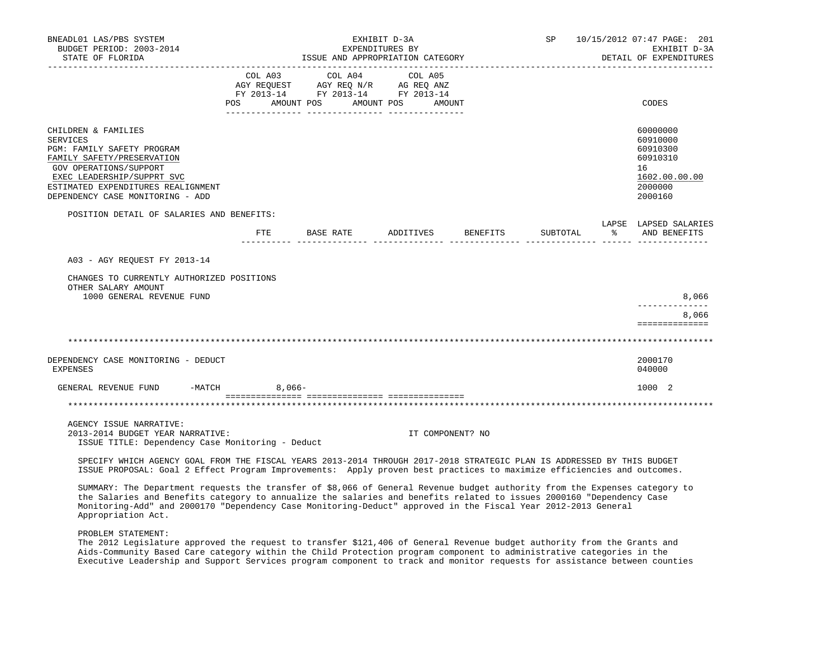| BNEADL01 LAS/PBS SYSTEM<br>BUDGET PERIOD: 2003-2014<br>STATE OF FLORIDA                                                                                                                                                                          | EXHIBIT D-3A<br>EXPENDITURES BY<br>ISSUE AND APPROPRIATION CATEGORY |           |                                                                                                                       | SP <sub>2</sub> |                  | 10/15/2012 07:47 PAGE: 201<br>EXHIBIT D-3A<br>DETAIL OF EXPENDITURES |          |               |                                                                                           |
|--------------------------------------------------------------------------------------------------------------------------------------------------------------------------------------------------------------------------------------------------|---------------------------------------------------------------------|-----------|-----------------------------------------------------------------------------------------------------------------------|-----------------|------------------|----------------------------------------------------------------------|----------|---------------|-------------------------------------------------------------------------------------------|
|                                                                                                                                                                                                                                                  |                                                                     | COL A03   | COL A04<br>AGY REQUEST AGY REQ N/R AG REQ ANZ<br>FY 2013-14 FY 2013-14 FY 2013-14<br>POS AMOUNT POS AMOUNT POS AMOUNT | COL A05         |                  |                                                                      |          |               | CODES                                                                                     |
| CHILDREN & FAMILIES<br><b>SERVICES</b><br>PGM: FAMILY SAFETY PROGRAM<br>FAMILY SAFETY/PRESERVATION<br>GOV OPERATIONS/SUPPORT<br>EXEC LEADERSHIP/SUPPRT SVC<br>ESTIMATED EXPENDITURES REALIGNMENT<br>DEPENDENCY CASE MONITORING - ADD             |                                                                     |           |                                                                                                                       |                 |                  |                                                                      |          |               | 60000000<br>60910000<br>60910300<br>60910310<br>16<br>1602.00.00.00<br>2000000<br>2000160 |
| POSITION DETAIL OF SALARIES AND BENEFITS:                                                                                                                                                                                                        |                                                                     |           | FTE BASE RATE                                                                                                         |                 |                  | ADDITIVES BENEFITS                                                   | SUBTOTAL | $\frac{1}{2}$ | LAPSE LAPSED SALARIES<br>AND BENEFITS                                                     |
| A03 - AGY REOUEST FY 2013-14                                                                                                                                                                                                                     |                                                                     |           |                                                                                                                       |                 |                  |                                                                      |          |               |                                                                                           |
| CHANGES TO CURRENTLY AUTHORIZED POSITIONS<br>OTHER SALARY AMOUNT<br>1000 GENERAL REVENUE FUND                                                                                                                                                    |                                                                     |           |                                                                                                                       |                 |                  |                                                                      |          |               | 8,066<br>-------------                                                                    |
|                                                                                                                                                                                                                                                  |                                                                     |           |                                                                                                                       |                 |                  |                                                                      |          |               | 8,066<br>==============                                                                   |
|                                                                                                                                                                                                                                                  |                                                                     |           |                                                                                                                       |                 |                  |                                                                      |          |               |                                                                                           |
| DEPENDENCY CASE MONITORING - DEDUCT<br><b>EXPENSES</b>                                                                                                                                                                                           |                                                                     |           |                                                                                                                       |                 |                  |                                                                      |          |               | 2000170<br>040000                                                                         |
| GENERAL REVENUE FUND -MATCH                                                                                                                                                                                                                      |                                                                     | $8.066 -$ |                                                                                                                       |                 |                  |                                                                      |          |               | 1000 2                                                                                    |
|                                                                                                                                                                                                                                                  |                                                                     |           |                                                                                                                       |                 |                  |                                                                      |          |               |                                                                                           |
| AGENCY ISSUE NARRATIVE:<br>2013-2014 BUDGET YEAR NARRATIVE:<br>ISSUE TITLE: Dependency Case Monitoring - Deduct                                                                                                                                  |                                                                     |           |                                                                                                                       |                 | IT COMPONENT? NO |                                                                      |          |               |                                                                                           |
| SPECIFY WHICH AGENCY GOAL FROM THE FISCAL YEARS 2013-2014 THROUGH 2017-2018 STRATEGIC PLAN IS ADDRESSED BY THIS BUDGET<br>ISSUE PROPOSAL: Goal 2 Effect Program Improvements: Apply proven best practices to maximize efficiencies and outcomes. |                                                                     |           |                                                                                                                       |                 |                  |                                                                      |          |               |                                                                                           |

 SUMMARY: The Department requests the transfer of \$8,066 of General Revenue budget authority from the Expenses category to the Salaries and Benefits category to annualize the salaries and benefits related to issues 2000160 "Dependency Case Monitoring-Add" and 2000170 "Dependency Case Monitoring-Deduct" approved in the Fiscal Year 2012-2013 General Appropriation Act.

PROBLEM STATEMENT:

 The 2012 Legislature approved the request to transfer \$121,406 of General Revenue budget authority from the Grants and Aids-Community Based Care category within the Child Protection program component to administrative categories in the Executive Leadership and Support Services program component to track and monitor requests for assistance between counties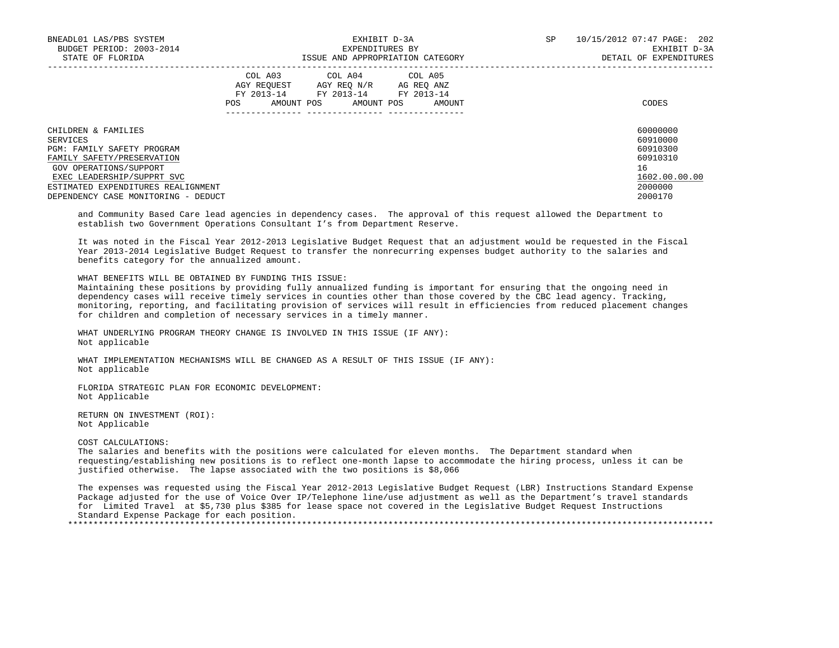| BNEADL01 LAS/PBS SYSTEM<br>BUDGET PERIOD: 2003-2014<br>STATE OF FLORIDA |                                  | EXHIBIT D-3A<br>EXPENDITURES BY<br>ISSUE AND APPROPRIATION CATEGORY              | SP                                 | 10/15/2012 07:47 PAGE: 202<br>EXHIBIT D-3A<br>DETAIL OF EXPENDITURES |                      |
|-------------------------------------------------------------------------|----------------------------------|----------------------------------------------------------------------------------|------------------------------------|----------------------------------------------------------------------|----------------------|
|                                                                         | AGY REOUEST<br>FY 2013-14<br>POS | COL A03 COL A04 COL A05<br>AGY REO N/R<br>FY 2013-14<br>AMOUNT POS<br>AMOUNT POS | AG REO ANZ<br>FY 2013-14<br>AMOUNT |                                                                      | CODES                |
| CHILDREN & FAMILIES                                                     |                                  |                                                                                  |                                    |                                                                      | 60000000             |
| SERVICES<br><b>PGM: FAMILY SAFETY PROGRAM</b>                           |                                  |                                                                                  |                                    |                                                                      | 60910000<br>60910300 |
| FAMILY SAFETY/PRESERVATION                                              |                                  |                                                                                  |                                    |                                                                      | 60910310             |
| GOV OPERATIONS/SUPPORT                                                  |                                  |                                                                                  |                                    |                                                                      | 16                   |
| EXEC LEADERSHIP/SUPPRT SVC                                              |                                  |                                                                                  |                                    |                                                                      | 1602.00.00.00        |
| ESTIMATED EXPENDITURES REALIGNMENT                                      |                                  |                                                                                  |                                    |                                                                      | 2000000              |
| DEPENDENCY CASE MONITORING - DEDUCT                                     |                                  |                                                                                  |                                    |                                                                      | 2000170              |

 and Community Based Care lead agencies in dependency cases. The approval of this request allowed the Department to establish two Government Operations Consultant I's from Department Reserve.

 It was noted in the Fiscal Year 2012-2013 Legislative Budget Request that an adjustment would be requested in the Fiscal Year 2013-2014 Legislative Budget Request to transfer the nonrecurring expenses budget authority to the salaries and benefits category for the annualized amount.

WHAT BENEFITS WILL BE OBTAINED BY FUNDING THIS ISSUE:

 Maintaining these positions by providing fully annualized funding is important for ensuring that the ongoing need in dependency cases will receive timely services in counties other than those covered by the CBC lead agency. Tracking, monitoring, reporting, and facilitating provision of services will result in efficiencies from reduced placement changes for children and completion of necessary services in a timely manner.

WHAT UNDERLYING PROGRAM THEORY CHANGE IS INVOLVED IN THIS ISSUE (IF ANY): Not applicable

 WHAT IMPLEMENTATION MECHANISMS WILL BE CHANGED AS A RESULT OF THIS ISSUE (IF ANY): Not applicable

 FLORIDA STRATEGIC PLAN FOR ECONOMIC DEVELOPMENT: Not Applicable

 RETURN ON INVESTMENT (ROI): Not Applicable

#### COST CALCULATIONS:

 The salaries and benefits with the positions were calculated for eleven months. The Department standard when requesting/establishing new positions is to reflect one-month lapse to accommodate the hiring process, unless it can be justified otherwise. The lapse associated with the two positions is \$8,066

 The expenses was requested using the Fiscal Year 2012-2013 Legislative Budget Request (LBR) Instructions Standard Expense Package adjusted for the use of Voice Over IP/Telephone line/use adjustment as well as the Department's travel standards for Limited Travel at \$5,730 plus \$385 for lease space not covered in the Legislative Budget Request Instructions Standard Expense Package for each position. \*\*\*\*\*\*\*\*\*\*\*\*\*\*\*\*\*\*\*\*\*\*\*\*\*\*\*\*\*\*\*\*\*\*\*\*\*\*\*\*\*\*\*\*\*\*\*\*\*\*\*\*\*\*\*\*\*\*\*\*\*\*\*\*\*\*\*\*\*\*\*\*\*\*\*\*\*\*\*\*\*\*\*\*\*\*\*\*\*\*\*\*\*\*\*\*\*\*\*\*\*\*\*\*\*\*\*\*\*\*\*\*\*\*\*\*\*\*\*\*\*\*\*\*\*\*\*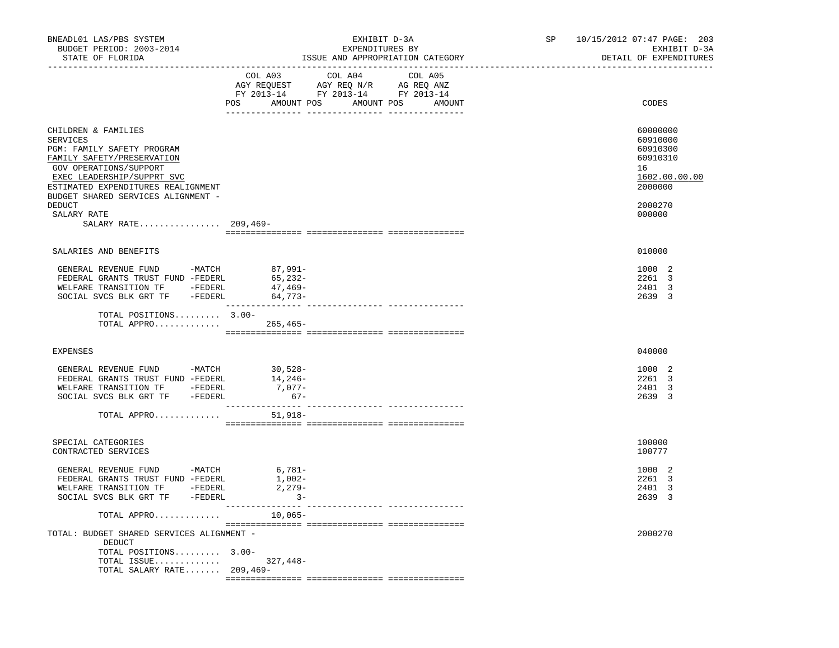| BNEADL01 LAS/PBS SYSTEM<br>BUDGET PERIOD: 2003-2014<br>STATE OF FLORIDA                                                                                                                                                                                  | EXHIBIT D-3A<br>EXPENDITURES BY<br>ISSUE AND APPROPRIATION CATEGORY                                                                               | SP and the set of the set of the set of the set of the set of the set of the set of the set of the set of the set of the set of the set of the set of the set of the set of the set of the set of the set of the set of the se | 10/15/2012 07:47 PAGE: 203<br>EXHIBIT D-3A<br>DETAIL OF EXPENDITURES                                |
|----------------------------------------------------------------------------------------------------------------------------------------------------------------------------------------------------------------------------------------------------------|---------------------------------------------------------------------------------------------------------------------------------------------------|--------------------------------------------------------------------------------------------------------------------------------------------------------------------------------------------------------------------------------|-----------------------------------------------------------------------------------------------------|
|                                                                                                                                                                                                                                                          | COL A03<br>COL A04<br>COL A05<br>AGY REQUEST AGY REQ N/R AG REQ ANZ<br>FY 2013-14 FY 2013-14 FY 2013-14<br>POS AMOUNT POS<br>AMOUNT POS<br>AMOUNT |                                                                                                                                                                                                                                | CODES                                                                                               |
| CHILDREN & FAMILIES<br>SERVICES<br>PGM: FAMILY SAFETY PROGRAM<br>FAMILY SAFETY/PRESERVATION<br>GOV OPERATIONS/SUPPORT<br>EXEC LEADERSHIP/SUPPRT SVC<br>ESTIMATED EXPENDITURES REALIGNMENT<br>BUDGET SHARED SERVICES ALIGNMENT -<br>DEDUCT<br>SALARY RATE |                                                                                                                                                   |                                                                                                                                                                                                                                | 60000000<br>60910000<br>60910300<br>60910310<br>16<br>1602.00.00.00<br>2000000<br>2000270<br>000000 |
| SALARY RATE 209,469-                                                                                                                                                                                                                                     |                                                                                                                                                   |                                                                                                                                                                                                                                |                                                                                                     |
|                                                                                                                                                                                                                                                          |                                                                                                                                                   |                                                                                                                                                                                                                                |                                                                                                     |
| SALARIES AND BENEFITS                                                                                                                                                                                                                                    |                                                                                                                                                   |                                                                                                                                                                                                                                | 010000                                                                                              |
| GENERAL REVENUE FUND -MATCH 87,991-<br>FEDERAL GRANTS TRUST FUND -FEDERL<br>WELFARE TRANSITION TF -FEDERL<br>SOCIAL SVCS BLK GRT TF -FEDERL                                                                                                              | 65,232-<br>47,469-<br>$64,773-$                                                                                                                   |                                                                                                                                                                                                                                | 1000 2<br>2261 3<br>2401 3<br>2639 3                                                                |
| TOTAL POSITIONS 3.00-<br>TOTAL APPRO $\ldots \ldots \ldots$                                                                                                                                                                                              |                                                                                                                                                   |                                                                                                                                                                                                                                |                                                                                                     |
| EXPENSES                                                                                                                                                                                                                                                 |                                                                                                                                                   |                                                                                                                                                                                                                                | 040000                                                                                              |
| GENERAL REVENUE FUND -MATCH<br>FEDERAL GRANTS TRUST FUND -FEDERL                                                                                                                                                                                         | $30,528-$<br>14,246-<br>$7,077-$<br>$67-$                                                                                                         |                                                                                                                                                                                                                                | 1000 2<br>2261 3<br>2401 3<br>2639 3                                                                |
| TOTAL APPRO                                                                                                                                                                                                                                              | $51,918-$                                                                                                                                         |                                                                                                                                                                                                                                |                                                                                                     |
| SPECIAL CATEGORIES<br>CONTRACTED SERVICES                                                                                                                                                                                                                |                                                                                                                                                   |                                                                                                                                                                                                                                | 100000<br>100777                                                                                    |
| GENERAL REVENUE FUND<br>$-MATCH$<br>FEDERAL GRANTS TRUST FUND -FEDERL<br>WELFARE TRANSITION TF -FEDERL<br>SOCIAL SVCS BLK GRT TF -FEDERL                                                                                                                 | 6,781-<br>1,002-<br>$2,279-$<br>$3 -$                                                                                                             |                                                                                                                                                                                                                                | 1000 2<br>2261 3<br>2401 3<br>2639 3                                                                |
| TOTAL APPRO                                                                                                                                                                                                                                              | $10,065-$                                                                                                                                         |                                                                                                                                                                                                                                |                                                                                                     |
| TOTAL: BUDGET SHARED SERVICES ALIGNMENT -                                                                                                                                                                                                                |                                                                                                                                                   |                                                                                                                                                                                                                                | 2000270                                                                                             |
| DEDUCT<br>TOTAL POSITIONS 3.00-<br>TOTAL ISSUE<br>TOTAL SALARY RATE 209,469-                                                                                                                                                                             | $327,448-$                                                                                                                                        |                                                                                                                                                                                                                                |                                                                                                     |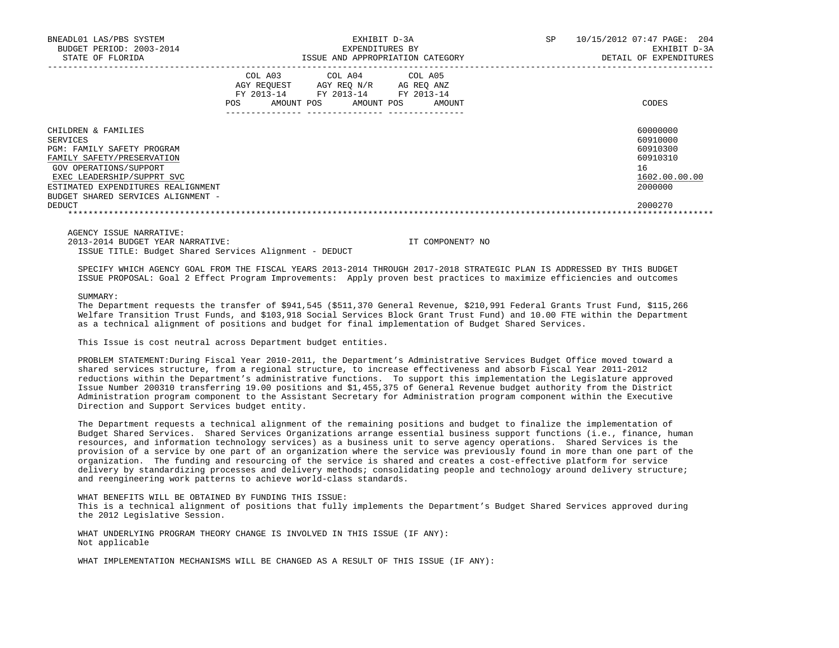| BNEADL01 LAS/PBS SYSTEM<br>BUDGET PERIOD: 2003-2014<br>STATE OF FLORIDA                                                                                                                                                                |                                                                  | EXPENDITURES BY                                                       | EXHIBIT D-3A<br>ISSUE AND APPROPRIATION CATEGORY | SP<br>10/15/2012 07:47 PAGE: 204<br>EXHIBIT D-3A<br>DETAIL OF EXPENDITURES     |
|----------------------------------------------------------------------------------------------------------------------------------------------------------------------------------------------------------------------------------------|------------------------------------------------------------------|-----------------------------------------------------------------------|--------------------------------------------------|--------------------------------------------------------------------------------|
|                                                                                                                                                                                                                                        | COL A03<br>AGY REOUEST<br>FY 2013-14<br><b>POS</b><br>AMOUNT POS | COL A04 COL A05<br>AGY REO N/R<br>FY 2013-14 FY 2013-14<br>AMOUNT POS | AG REO ANZ<br>AMOUNT                             | CODES                                                                          |
| CHILDREN & FAMILIES<br>SERVICES<br><b>PGM: FAMILY SAFETY PROGRAM</b><br>FAMILY SAFETY/PRESERVATION<br>GOV OPERATIONS/SUPPORT<br>EXEC LEADERSHIP/SUPPRT SVC<br>ESTIMATED EXPENDITURES REALIGNMENT<br>BUDGET SHARED SERVICES ALIGNMENT - |                                                                  |                                                                       |                                                  | 60000000<br>60910000<br>60910300<br>60910310<br>16<br>1602.00.00.00<br>2000000 |
| DEDUCT                                                                                                                                                                                                                                 |                                                                  |                                                                       |                                                  | 2000270                                                                        |

2013-2014 BUDGET YEAR NARRATIVE: IT COMPONENT? NO

ISSUE TITLE: Budget Shared Services Alignment - DEDUCT

 SPECIFY WHICH AGENCY GOAL FROM THE FISCAL YEARS 2013-2014 THROUGH 2017-2018 STRATEGIC PLAN IS ADDRESSED BY THIS BUDGET ISSUE PROPOSAL: Goal 2 Effect Program Improvements: Apply proven best practices to maximize efficiencies and outcomes

SUMMARY:

 The Department requests the transfer of \$941,545 (\$511,370 General Revenue, \$210,991 Federal Grants Trust Fund, \$115,266 Welfare Transition Trust Funds, and \$103,918 Social Services Block Grant Trust Fund) and 10.00 FTE within the Department as a technical alignment of positions and budget for final implementation of Budget Shared Services.

This Issue is cost neutral across Department budget entities.

 PROBLEM STATEMENT:During Fiscal Year 2010-2011, the Department's Administrative Services Budget Office moved toward a shared services structure, from a regional structure, to increase effectiveness and absorb Fiscal Year 2011-2012 reductions within the Department's administrative functions. To support this implementation the Legislature approved Issue Number 200310 transferring 19.00 positions and \$1,455,375 of General Revenue budget authority from the District Administration program component to the Assistant Secretary for Administration program component within the Executive Direction and Support Services budget entity.

 The Department requests a technical alignment of the remaining positions and budget to finalize the implementation of Budget Shared Services. Shared Services Organizations arrange essential business support functions (i.e., finance, human resources, and information technology services) as a business unit to serve agency operations. Shared Services is the provision of a service by one part of an organization where the service was previously found in more than one part of the organization. The funding and resourcing of the service is shared and creates a cost-effective platform for service delivery by standardizing processes and delivery methods; consolidating people and technology around delivery structure; and reengineering work patterns to achieve world-class standards.

 WHAT BENEFITS WILL BE OBTAINED BY FUNDING THIS ISSUE: This is a technical alignment of positions that fully implements the Department's Budget Shared Services approved during the 2012 Legislative Session.

 WHAT UNDERLYING PROGRAM THEORY CHANGE IS INVOLVED IN THIS ISSUE (IF ANY): Not applicable

WHAT IMPLEMENTATION MECHANISMS WILL BE CHANGED AS A RESULT OF THIS ISSUE (IF ANY):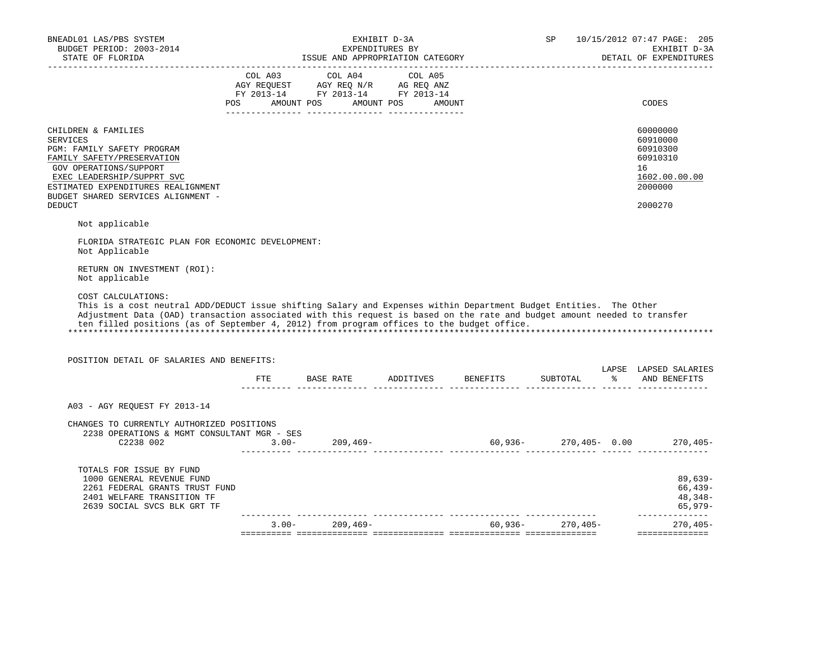| BNEADL01 LAS/PBS SYSTEM<br>BUDGET PERIOD: 2003-2014                                                                                                                                                                                                                                                                                                              |                                                                                                                                                                                                | EXHIBIT D-3A<br>EXPENDITURES BY |                                       | SP       | 10/15/2012 07:47 PAGE: 205<br>EXHIBIT D-3A                                                |
|------------------------------------------------------------------------------------------------------------------------------------------------------------------------------------------------------------------------------------------------------------------------------------------------------------------------------------------------------------------|------------------------------------------------------------------------------------------------------------------------------------------------------------------------------------------------|---------------------------------|---------------------------------------|----------|-------------------------------------------------------------------------------------------|
|                                                                                                                                                                                                                                                                                                                                                                  |                                                                                                                                                                                                |                                 |                                       |          | DETAIL OF EXPENDITURES                                                                    |
|                                                                                                                                                                                                                                                                                                                                                                  | $\begin{tabular}{lcccc} COL A03 & COL A04 & COL A05 \\ AGY REQUEST & AGY REQ N/R & AG REQ ANZ \\ FY & 2013-14 & FY & 2013-14 & FY & 2013-14 \end{tabular}$<br>POS AMOUNT POS AMOUNT POS AMOUNT |                                 |                                       |          | CODES                                                                                     |
| CHILDREN & FAMILIES<br><b>SERVICES</b><br>PGM: FAMILY SAFETY PROGRAM<br>FAMILY SAFETY/PRESERVATION<br>GOV OPERATIONS/SUPPORT<br>EXEC LEADERSHIP/SUPPRT SVC<br>ESTIMATED EXPENDITURES REALIGNMENT<br>BUDGET SHARED SERVICES ALIGNMENT -<br><b>DEDUCT</b>                                                                                                          |                                                                                                                                                                                                |                                 |                                       |          | 60000000<br>60910000<br>60910300<br>60910310<br>16<br>1602.00.00.00<br>2000000<br>2000270 |
| Not applicable                                                                                                                                                                                                                                                                                                                                                   |                                                                                                                                                                                                |                                 |                                       |          |                                                                                           |
| FLORIDA STRATEGIC PLAN FOR ECONOMIC DEVELOPMENT:<br>Not Applicable                                                                                                                                                                                                                                                                                               |                                                                                                                                                                                                |                                 |                                       |          |                                                                                           |
| RETURN ON INVESTMENT (ROI):<br>Not applicable                                                                                                                                                                                                                                                                                                                    |                                                                                                                                                                                                |                                 |                                       |          |                                                                                           |
| COST CALCULATIONS:<br>This is a cost neutral ADD/DEDUCT issue shifting Salary and Expenses within Department Budget Entities. The Other<br>Adjustment Data (OAD) transaction associated with this request is based on the rate and budget amount needed to transfer<br>ten filled positions (as of September 4, 2012) from program offices to the budget office. |                                                                                                                                                                                                |                                 |                                       |          |                                                                                           |
| POSITION DETAIL OF SALARIES AND BENEFITS:                                                                                                                                                                                                                                                                                                                        |                                                                                                                                                                                                |                                 |                                       |          |                                                                                           |
|                                                                                                                                                                                                                                                                                                                                                                  |                                                                                                                                                                                                |                                 | FTE BASE RATE ADDITIVES BENEFITS      | SUBTOTAL | LAPSE LAPSED SALARIES<br>% AND BENEFITS                                                   |
| A03 - AGY REOUEST FY 2013-14                                                                                                                                                                                                                                                                                                                                     |                                                                                                                                                                                                |                                 |                                       |          |                                                                                           |
| CHANGES TO CURRENTLY AUTHORIZED POSITIONS<br>2238 OPERATIONS & MGMT CONSULTANT MGR - SES<br>$2238 002 \t\t\t\t 3.00-209,469-209,469-209,405-60,936-270,405-0.00 \t\t 270,405-0.00 \t\t 270,405-0.00$                                                                                                                                                             |                                                                                                                                                                                                |                                 |                                       |          |                                                                                           |
| TOTALS FOR ISSUE BY FUND<br>1000 GENERAL REVENUE FUND<br>2261 FEDERAL GRANTS TRUST FUND<br>2401 WELFARE TRANSITION TF<br>2639 SOCIAL SVCS BLK GRT TF                                                                                                                                                                                                             |                                                                                                                                                                                                |                                 |                                       |          | $89,639-$<br>$66.439 -$<br>48,348-<br>65,979-                                             |
|                                                                                                                                                                                                                                                                                                                                                                  |                                                                                                                                                                                                |                                 | $3.00 - 209,469 - 60,936 - 270,405 -$ |          | ______________<br>$270, 405 -$                                                            |
|                                                                                                                                                                                                                                                                                                                                                                  |                                                                                                                                                                                                |                                 |                                       |          |                                                                                           |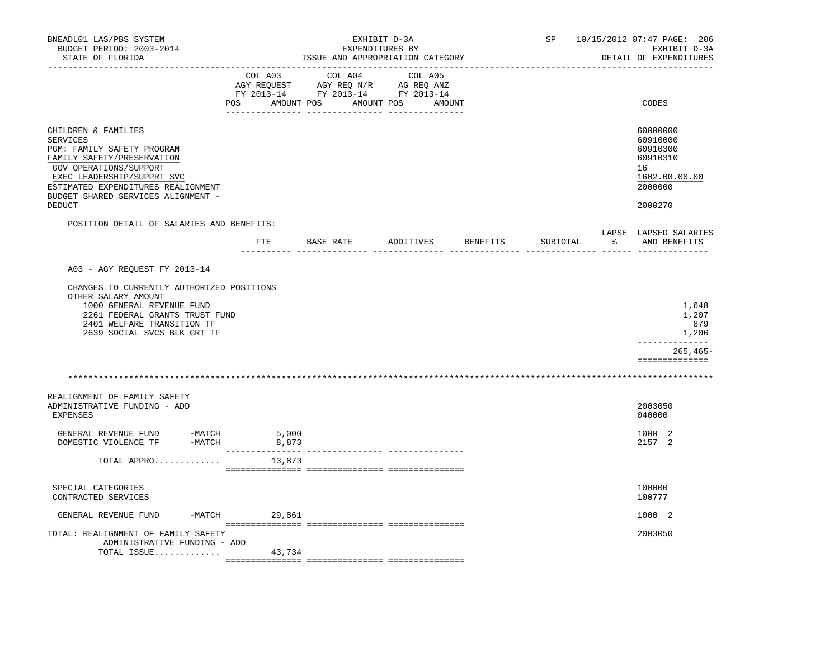| BNEADL01 LAS/PBS SYSTEM<br>BUDGET PERIOD: 2003-2014<br>STATE OF FLORIDA                                                                                                                                                                          |                               | EXPENDITURES BY<br>ISSUE AND APPROPRIATION CATEGORY                                                                   | EXHIBIT D-3A       | SP       |               | 10/15/2012 07:47 PAGE: 206<br>EXHIBIT D-3A<br>DETAIL OF EXPENDITURES                      |
|--------------------------------------------------------------------------------------------------------------------------------------------------------------------------------------------------------------------------------------------------|-------------------------------|-----------------------------------------------------------------------------------------------------------------------|--------------------|----------|---------------|-------------------------------------------------------------------------------------------|
|                                                                                                                                                                                                                                                  | COL A03                       | COL A04<br>AGY REQUEST AGY REQ N/R AG REQ ANZ<br>FY 2013-14 FY 2013-14 FY 2013-14<br>POS AMOUNT POS AMOUNT POS AMOUNT | COL A05            |          |               | CODES                                                                                     |
| CHILDREN & FAMILIES<br><b>SERVICES</b><br>PGM: FAMILY SAFETY PROGRAM<br>FAMILY SAFETY/PRESERVATION<br>GOV OPERATIONS/SUPPORT<br>EXEC LEADERSHIP/SUPPRT SVC<br>ESTIMATED EXPENDITURES REALIGNMENT<br>BUDGET SHARED SERVICES ALIGNMENT -<br>DEDUCT |                               |                                                                                                                       |                    |          |               | 60000000<br>60910000<br>60910300<br>60910310<br>16<br>1602.00.00.00<br>2000000<br>2000270 |
| POSITION DETAIL OF SALARIES AND BENEFITS:                                                                                                                                                                                                        |                               |                                                                                                                       |                    |          |               | LAPSE LAPSED SALARIES                                                                     |
|                                                                                                                                                                                                                                                  | $_{\rm FTE}$<br>------------- | <b>BASE RATE</b>                                                                                                      | ADDITIVES BENEFITS | SUBTOTAL | $\mathcal{E}$ | AND BENEFITS                                                                              |
| A03 - AGY REQUEST FY 2013-14<br>CHANGES TO CURRENTLY AUTHORIZED POSITIONS<br>OTHER SALARY AMOUNT<br>1000 GENERAL REVENUE FUND<br>2261 FEDERAL GRANTS TRUST FUND<br>2401 WELFARE TRANSITION TF<br>2639 SOCIAL SVCS BLK GRT TF                     |                               |                                                                                                                       |                    |          |               | 1,648<br>1,207<br>879<br>1,206<br>--------------<br>$265, 465 -$                          |
|                                                                                                                                                                                                                                                  |                               |                                                                                                                       |                    |          |               | ==============                                                                            |
| REALIGNMENT OF FAMILY SAFETY<br>ADMINISTRATIVE FUNDING - ADD<br><b>EXPENSES</b>                                                                                                                                                                  |                               |                                                                                                                       |                    |          |               | 2003050<br>040000                                                                         |
| GENERAL REVENUE FUND -MATCH 5,000<br>DOMESTIC VIOLENCE TF<br>-MATCH                                                                                                                                                                              | 8,873<br>---------------      |                                                                                                                       |                    |          |               | 1000 2<br>2157 2                                                                          |
| TOTAL APPRO                                                                                                                                                                                                                                      | 13,873                        |                                                                                                                       |                    |          |               |                                                                                           |
| SPECIAL CATEGORIES<br>CONTRACTED SERVICES                                                                                                                                                                                                        |                               |                                                                                                                       |                    |          |               | 100000<br>100777                                                                          |
| GENERAL REVENUE FUND                                                                                                                                                                                                                             | $-MATCH$<br>29,861            |                                                                                                                       |                    |          |               | 1000 2                                                                                    |
| TOTAL: REALIGNMENT OF FAMILY SAFETY<br>ADMINISTRATIVE FUNDING - ADD<br>TOTAL ISSUE                                                                                                                                                               | 43,734                        |                                                                                                                       |                    |          |               | 2003050                                                                                   |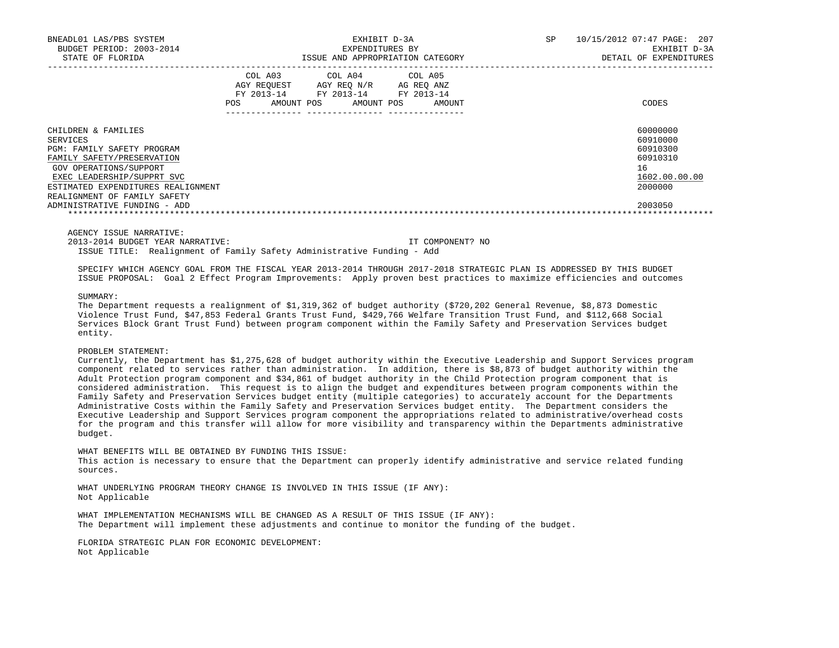| BNEADL01 LAS/PBS SYSTEM<br>BUDGET PERIOD: 2003-2014<br>STATE OF FLORIDA                                                                                                                                                   | EXHIBIT D-3A<br>EXPENDITURES BY<br>ISSUE AND APPROPRIATION CATEGORY |                                       |                                                        | SP                   | 10/15/2012 07:47 PAGE:<br>207<br>EXHIBIT D-3A<br>DETAIL OF EXPENDITURES |                                                                                |
|---------------------------------------------------------------------------------------------------------------------------------------------------------------------------------------------------------------------------|---------------------------------------------------------------------|---------------------------------------|--------------------------------------------------------|----------------------|-------------------------------------------------------------------------|--------------------------------------------------------------------------------|
|                                                                                                                                                                                                                           | COL A03<br>FY 2013-14<br>POS                                        | AGY REOUEST AGY REO N/R<br>AMOUNT POS | COL A04 COL A05<br>FY 2013-14 FY 2013-14<br>AMOUNT POS | AG REO ANZ<br>AMOUNT |                                                                         | CODES                                                                          |
| CHILDREN & FAMILIES<br>SERVICES<br>PGM: FAMILY SAFETY PROGRAM<br>FAMILY SAFETY/PRESERVATION<br>GOV OPERATIONS/SUPPORT<br>EXEC LEADERSHIP/SUPPRT SVC<br>ESTIMATED EXPENDITURES REALIGNMENT<br>REALIGNMENT OF FAMILY SAFETY |                                                                     |                                       |                                                        |                      |                                                                         | 60000000<br>60910000<br>60910300<br>60910310<br>16<br>1602.00.00.00<br>2000000 |
| ADMINISTRATIVE FUNDING - ADD                                                                                                                                                                                              |                                                                     |                                       |                                                        |                      |                                                                         | 2003050                                                                        |

2013-2014 BUDGET YEAR NARRATIVE: IT COMPONENT? NO

ISSUE TITLE: Realignment of Family Safety Administrative Funding - Add

 SPECIFY WHICH AGENCY GOAL FROM THE FISCAL YEAR 2013-2014 THROUGH 2017-2018 STRATEGIC PLAN IS ADDRESSED BY THIS BUDGET ISSUE PROPOSAL: Goal 2 Effect Program Improvements: Apply proven best practices to maximize efficiencies and outcomes

SUMMARY:

 The Department requests a realignment of \$1,319,362 of budget authority (\$720,202 General Revenue, \$8,873 Domestic Violence Trust Fund, \$47,853 Federal Grants Trust Fund, \$429,766 Welfare Transition Trust Fund, and \$112,668 Social Services Block Grant Trust Fund) between program component within the Family Safety and Preservation Services budget entity.

# PROBLEM STATEMENT:

 Currently, the Department has \$1,275,628 of budget authority within the Executive Leadership and Support Services program component related to services rather than administration. In addition, there is \$8,873 of budget authority within the Adult Protection program component and \$34,861 of budget authority in the Child Protection program component that is considered administration. This request is to align the budget and expenditures between program components within the Family Safety and Preservation Services budget entity (multiple categories) to accurately account for the Departments Administrative Costs within the Family Safety and Preservation Services budget entity. The Department considers the Executive Leadership and Support Services program component the appropriations related to administrative/overhead costs for the program and this transfer will allow for more visibility and transparency within the Departments administrative budget.

 WHAT BENEFITS WILL BE OBTAINED BY FUNDING THIS ISSUE: This action is necessary to ensure that the Department can properly identify administrative and service related funding sources.

 WHAT UNDERLYING PROGRAM THEORY CHANGE IS INVOLVED IN THIS ISSUE (IF ANY): Not Applicable

 WHAT IMPLEMENTATION MECHANISMS WILL BE CHANGED AS A RESULT OF THIS ISSUE (IF ANY): The Department will implement these adjustments and continue to monitor the funding of the budget.

 FLORIDA STRATEGIC PLAN FOR ECONOMIC DEVELOPMENT: Not Applicable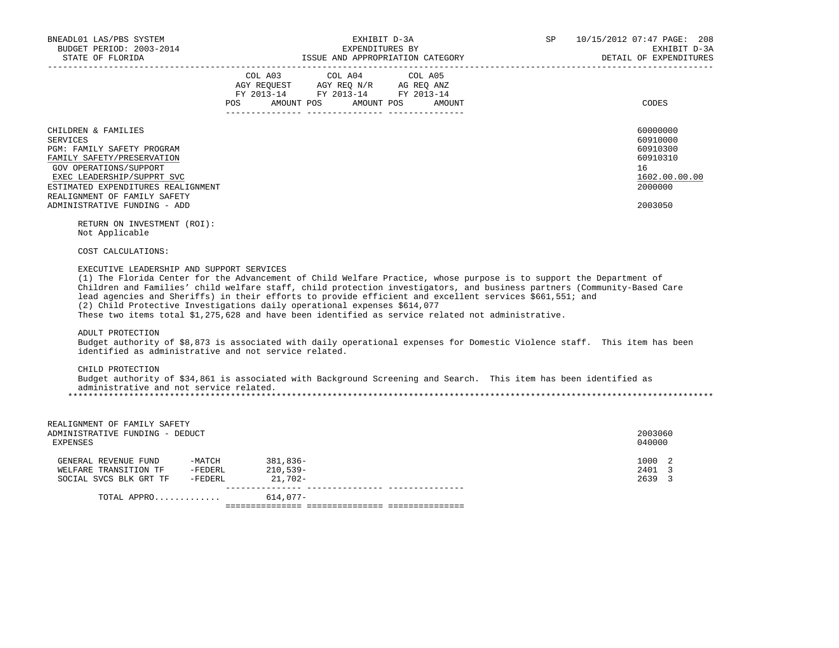| BNEADL01 LAS/PBS SYSTEM<br>BUDGET PERIOD: 2003-2014<br>STATE OF FLORIDA                                                                                                                                                                                   | EXHIBIT D-3A<br>EXPENDITURES BY<br>ISSUE AND APPROPRIATION CATEGORY                                                                                                                                                                                                                                                                                                                                                                                                                                                                        | 10/15/2012 07:47 PAGE: 208<br>SP<br>EXHIBIT D-3A<br>DETAIL OF EXPENDITURES                |
|-----------------------------------------------------------------------------------------------------------------------------------------------------------------------------------------------------------------------------------------------------------|--------------------------------------------------------------------------------------------------------------------------------------------------------------------------------------------------------------------------------------------------------------------------------------------------------------------------------------------------------------------------------------------------------------------------------------------------------------------------------------------------------------------------------------------|-------------------------------------------------------------------------------------------|
|                                                                                                                                                                                                                                                           | $\begin{tabular}{lcccc} CDL A03 & CDL A04 & CDL A05 \\ AGY REQUEST & AGY REQ N/R & AG REQ ANZ \\ FY & 2013-14 & FY & 2013-14 & FY & 2013-14 \end{tabular}$<br>AMOUNT POS<br>AMOUNT POS<br>POS<br>AMOUNT                                                                                                                                                                                                                                                                                                                                    | CODES                                                                                     |
| CHILDREN & FAMILIES<br>SERVICES<br>PGM: FAMILY SAFETY PROGRAM<br>FAMILY SAFETY/PRESERVATION<br>GOV OPERATIONS/SUPPORT<br>EXEC LEADERSHIP/SUPPRT SVC<br>ESTIMATED EXPENDITURES REALIGNMENT<br>REALIGNMENT OF FAMILY SAFETY<br>ADMINISTRATIVE FUNDING - ADD |                                                                                                                                                                                                                                                                                                                                                                                                                                                                                                                                            | 60000000<br>60910000<br>60910300<br>60910310<br>16<br>1602.00.00.00<br>2000000<br>2003050 |
| RETURN ON INVESTMENT (ROI):<br>Not Applicable                                                                                                                                                                                                             |                                                                                                                                                                                                                                                                                                                                                                                                                                                                                                                                            |                                                                                           |
| COST CALCULATIONS:                                                                                                                                                                                                                                        |                                                                                                                                                                                                                                                                                                                                                                                                                                                                                                                                            |                                                                                           |
| EXECUTIVE LEADERSHIP AND SUPPORT SERVICES                                                                                                                                                                                                                 | (1) The Florida Center for the Advancement of Child Welfare Practice, whose purpose is to support the Department of<br>Children and Families' child welfare staff, child protection investigators, and business partners (Community-Based Care<br>lead agencies and Sheriffs) in their efforts to provide efficient and excellent services \$661,551; and<br>(2) Child Protective Investigations daily operational expenses \$614,077<br>These two items total \$1,275,628 and have been identified as service related not administrative. |                                                                                           |
| ADULT PROTECTION<br>identified as administrative and not service related.                                                                                                                                                                                 | Budget authority of \$8,873 is associated with daily operational expenses for Domestic Violence staff. This item has been                                                                                                                                                                                                                                                                                                                                                                                                                  |                                                                                           |
| CHILD PROTECTION<br>administrative and not service related.                                                                                                                                                                                               | Budget authority of \$34,861 is associated with Background Screening and Search. This item has been identified as                                                                                                                                                                                                                                                                                                                                                                                                                          |                                                                                           |
| REALIGNMENT OF FAMILY SAFETY<br>ADMINISTRATIVE FUNDING - DEDUCT<br>EXPENSES                                                                                                                                                                               |                                                                                                                                                                                                                                                                                                                                                                                                                                                                                                                                            | 2003060<br>040000                                                                         |
| GENERAL REVENUE FUND -MATCH 381,836-<br>$\begin{tabular}{lcccccc} \texttt{WELFARE} & \texttt{TRANSITION TF} & & -\texttt{FEDERL} & & & 210,539-\\ \texttt{SOCIAL SVCS BLK GRT TF} & & -\texttt{FEDERL} & & & 21,702-\\ \end{tabular}$                     |                                                                                                                                                                                                                                                                                                                                                                                                                                                                                                                                            | 1000 2<br>2401 3<br>2639 3                                                                |
| TOTAL APPRO                                                                                                                                                                                                                                               | 614,077-                                                                                                                                                                                                                                                                                                                                                                                                                                                                                                                                   |                                                                                           |
|                                                                                                                                                                                                                                                           |                                                                                                                                                                                                                                                                                                                                                                                                                                                                                                                                            |                                                                                           |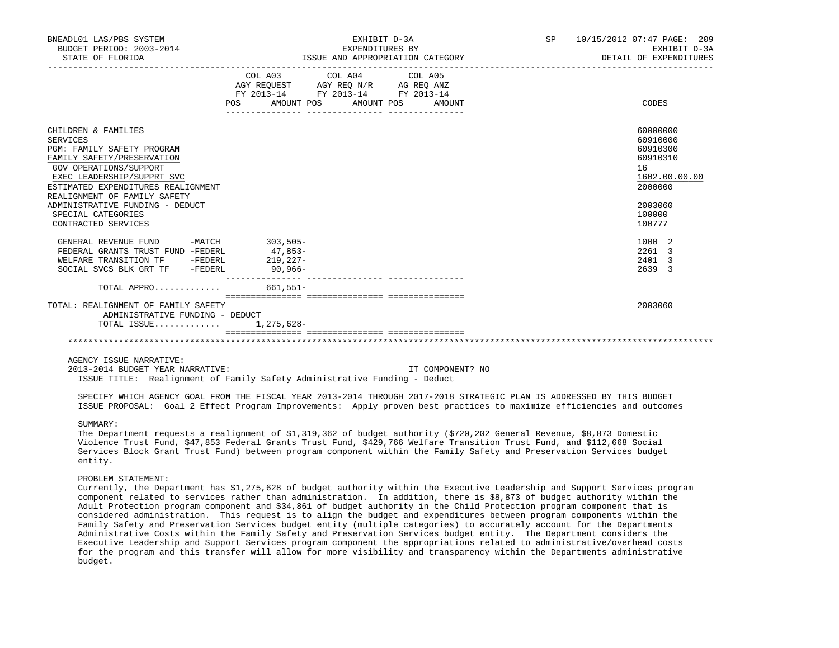| BNEADL01 LAS/PBS SYSTEM<br>BUDGET PERIOD: 2003-2014<br>STATE OF FLORIDA                                                                                                                                                                                                                                   | EXHIBIT D-3A<br>EXPENDITURES BY<br>ISSUE AND APPROPRIATION CATEGORY                                                                   | SP 10/15/2012 07:47 PAGE: 209<br>EXHIBIT D-3A<br>DETAIL OF EXPENDITURES                                       |
|-----------------------------------------------------------------------------------------------------------------------------------------------------------------------------------------------------------------------------------------------------------------------------------------------------------|---------------------------------------------------------------------------------------------------------------------------------------|---------------------------------------------------------------------------------------------------------------|
|                                                                                                                                                                                                                                                                                                           | COL A03 COL A04 COL A05<br>AGY REQUEST AGY REQ N/R AG REQ ANZ<br>FY 2013-14 FY 2013-14 FY 2013-14<br>POS AMOUNT POS AMOUNT POS AMOUNT | CODES                                                                                                         |
| CHILDREN & FAMILIES<br>SERVICES<br>PGM: FAMILY SAFETY PROGRAM<br>FAMILY SAFETY/PRESERVATION<br>GOV OPERATIONS/SUPPORT<br>EXEC LEADERSHIP/SUPPRT SVC<br>ESTIMATED EXPENDITURES REALIGNMENT<br>REALIGNMENT OF FAMILY SAFETY<br>ADMINISTRATIVE FUNDING - DEDUCT<br>SPECIAL CATEGORIES<br>CONTRACTED SERVICES |                                                                                                                                       | 60000000<br>60910000<br>60910300<br>60910310<br>16<br>1602.00.00.00<br>2000000<br>2003060<br>100000<br>100777 |
| GENERAL REVENUE FUND<br>FEDERAL GRANTS TRUST FUND -FEDERL<br>WELFARE TRANSITION TF -FEDERL<br>SOCIAL SVCS BLK GRT TF - FEDERL<br>TOTAL APPRO<br>TOTAL: REALIGNMENT OF FAMILY SAFETY                                                                                                                       | -MATCH 303,505-<br>$47,853-$<br>$219,227-$<br>$90,966 -$<br>$661,551-$                                                                | 1000 2<br>2261 3<br>2401 3<br>2639 3<br>2003060                                                               |
| ADMINISTRATIVE FUNDING - DEDUCT<br>TOTAL ISSUE                                                                                                                                                                                                                                                            | 1,275,628-                                                                                                                            |                                                                                                               |

 2013-2014 BUDGET YEAR NARRATIVE: IT COMPONENT? NO ISSUE TITLE: Realignment of Family Safety Administrative Funding - Deduct

 SPECIFY WHICH AGENCY GOAL FROM THE FISCAL YEAR 2013-2014 THROUGH 2017-2018 STRATEGIC PLAN IS ADDRESSED BY THIS BUDGET ISSUE PROPOSAL: Goal 2 Effect Program Improvements: Apply proven best practices to maximize efficiencies and outcomes

# SUMMARY:

 The Department requests a realignment of \$1,319,362 of budget authority (\$720,202 General Revenue, \$8,873 Domestic Violence Trust Fund, \$47,853 Federal Grants Trust Fund, \$429,766 Welfare Transition Trust Fund, and \$112,668 Social Services Block Grant Trust Fund) between program component within the Family Safety and Preservation Services budget entity.

### PROBLEM STATEMENT:

 Currently, the Department has \$1,275,628 of budget authority within the Executive Leadership and Support Services program component related to services rather than administration. In addition, there is \$8,873 of budget authority within the Adult Protection program component and \$34,861 of budget authority in the Child Protection program component that is considered administration. This request is to align the budget and expenditures between program components within the Family Safety and Preservation Services budget entity (multiple categories) to accurately account for the Departments Administrative Costs within the Family Safety and Preservation Services budget entity. The Department considers the Executive Leadership and Support Services program component the appropriations related to administrative/overhead costs for the program and this transfer will allow for more visibility and transparency within the Departments administrative budget.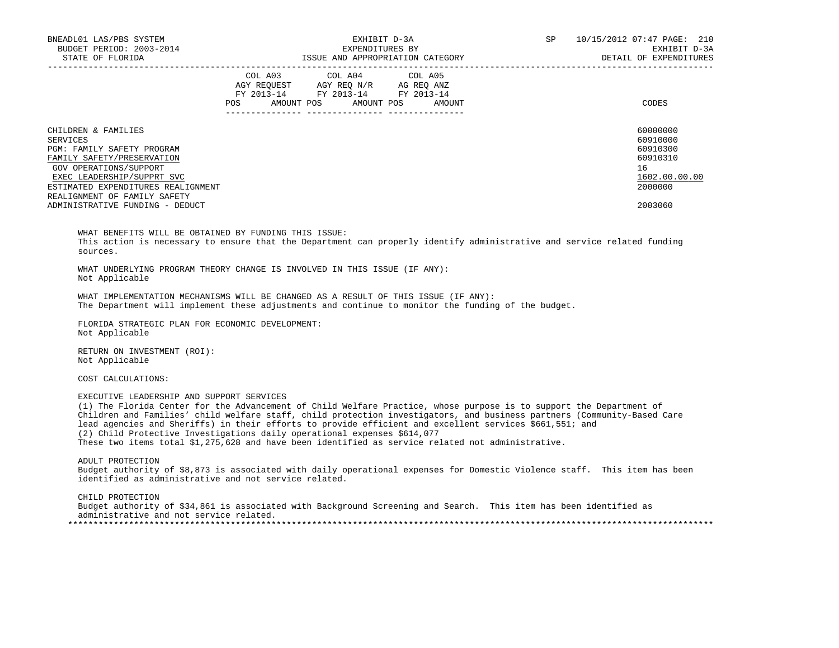| BNEADL01 LAS/PBS SYSTEM                                                                                                                                                                                                                                                                                                                                                                                                                                                                                                                                                                 |         | EXHIBIT D-3A                                                                                           |                                  | SP 10/15/2012 07:47 PAGE: 210<br>EXHIBIT D-3A      |
|-----------------------------------------------------------------------------------------------------------------------------------------------------------------------------------------------------------------------------------------------------------------------------------------------------------------------------------------------------------------------------------------------------------------------------------------------------------------------------------------------------------------------------------------------------------------------------------------|---------|--------------------------------------------------------------------------------------------------------|----------------------------------|----------------------------------------------------|
| EXERENDITURES BY<br>BUDGET PERIOD: 2003-2014 EXERENDITURES EXEREMENT DESCRIPTION CATEGORY EXEREMENT DESCRIPTION CONTROLL AND APPROPRIATION CATEGORY DETAIL OF EXPENDITURES                                                                                                                                                                                                                                                                                                                                                                                                              |         |                                                                                                        |                                  | DETAIL OF EXPENDITURES                             |
|                                                                                                                                                                                                                                                                                                                                                                                                                                                                                                                                                                                         | COL A03 | COL A04<br>COL AND COLOR COLOR COLOR COLOR AGY REQUEST AGY REQ ANZ<br>FY 2013-14 FY 2013-14 FY 2013-14 | COL A05                          |                                                    |
|                                                                                                                                                                                                                                                                                                                                                                                                                                                                                                                                                                                         |         |                                                                                                        | POS AMOUNT POS AMOUNT POS AMOUNT | CODES                                              |
| CHILDREN & FAMILIES<br>SERVICES<br>PGM: FAMILY SAFETY PROGRAM<br>FAMILY SAFETY/PRESERVATION<br>GOV OPERATIONS/SUPPORT                                                                                                                                                                                                                                                                                                                                                                                                                                                                   |         |                                                                                                        |                                  | 60000000<br>60910000<br>60910300<br>60910310<br>16 |
| EXEC LEADERSHIP/SUPPRT SVC<br>ESTIMATED EXPENDITURES REALIGNMENT                                                                                                                                                                                                                                                                                                                                                                                                                                                                                                                        |         |                                                                                                        |                                  | 1602.00.00.00<br>2000000                           |
| REALIGNMENT OF FAMILY SAFETY                                                                                                                                                                                                                                                                                                                                                                                                                                                                                                                                                            |         |                                                                                                        |                                  |                                                    |
| ADMINISTRATIVE FUNDING - DEDUCT                                                                                                                                                                                                                                                                                                                                                                                                                                                                                                                                                         |         |                                                                                                        |                                  | 2003060                                            |
| WHAT UNDERLYING PROGRAM THEORY CHANGE IS INVOLVED IN THIS ISSUE (IF ANY):<br>Not Applicable<br>WHAT IMPLEMENTATION MECHANISMS WILL BE CHANGED AS A RESULT OF THIS ISSUE (IF ANY):<br>The Department will implement these adjustments and continue to monitor the funding of the budget.<br>FLORIDA STRATEGIC PLAN FOR ECONOMIC DEVELOPMENT:<br>Not Applicable                                                                                                                                                                                                                           |         |                                                                                                        |                                  |                                                    |
| RETURN ON INVESTMENT (ROI):<br>Not Applicable                                                                                                                                                                                                                                                                                                                                                                                                                                                                                                                                           |         |                                                                                                        |                                  |                                                    |
| COST CALCULATIONS:                                                                                                                                                                                                                                                                                                                                                                                                                                                                                                                                                                      |         |                                                                                                        |                                  |                                                    |
| EXECUTIVE LEADERSHIP AND SUPPORT SERVICES<br>(1) The Florida Center for the Advancement of Child Welfare Practice, whose purpose is to support the Department of<br>Children and Families' child welfare staff, child protection investigators, and business partners (Community-Based Care<br>lead agencies and Sheriffs) in their efforts to provide efficient and excellent services \$661,551; and<br>(2) Child Protective Investigations daily operational expenses \$614,077<br>These two items total \$1,275,628 and have been identified as service related not administrative. |         |                                                                                                        |                                  |                                                    |
| ADULT PROTECTION<br>Didaak inkhintki ef 60.070 ta isailkida hikk ditti ininiktanit inininis fin Dimiskta Wiltonia akiff - Mhta tkan hia hii                                                                                                                                                                                                                                                                                                                                                                                                                                             |         |                                                                                                        |                                  |                                                    |

 Budget authority of \$8,873 is associated with daily operational expenses for Domestic Violence staff. This item has been identified as administrative and not service related.

 CHILD PROTECTION Budget authority of \$34,861 is associated with Background Screening and Search. This item has been identified as administrative and not service related. \*\*\*\*\*\*\*\*\*\*\*\*\*\*\*\*\*\*\*\*\*\*\*\*\*\*\*\*\*\*\*\*\*\*\*\*\*\*\*\*\*\*\*\*\*\*\*\*\*\*\*\*\*\*\*\*\*\*\*\*\*\*\*\*\*\*\*\*\*\*\*\*\*\*\*\*\*\*\*\*\*\*\*\*\*\*\*\*\*\*\*\*\*\*\*\*\*\*\*\*\*\*\*\*\*\*\*\*\*\*\*\*\*\*\*\*\*\*\*\*\*\*\*\*\*\*\*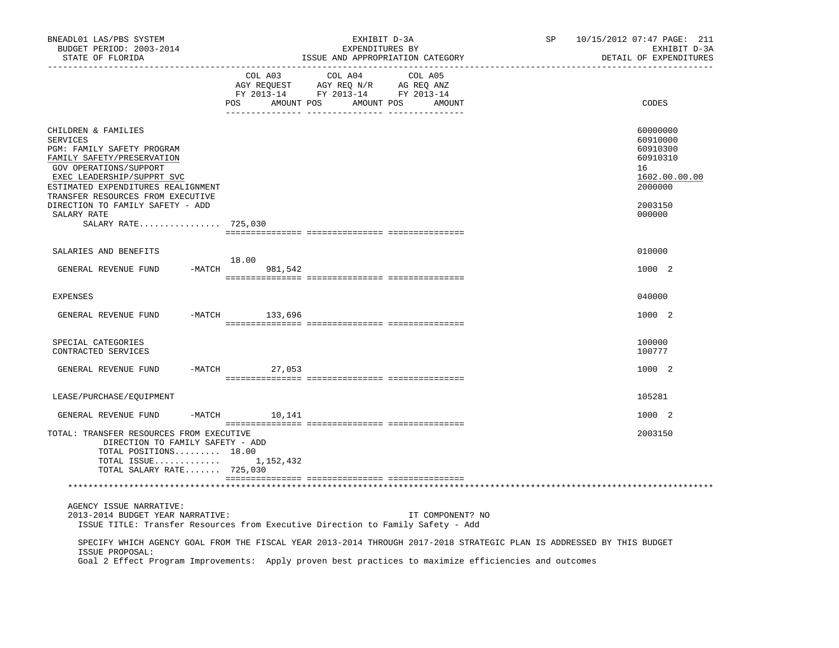| BNEADL01 LAS/PBS SYSTEM<br>BUDGET PERIOD: 2003-2014<br>STATE OF FLORIDA                                                                                                                                                                                                   |                              | EXHIBIT D-3A<br>EXPENDITURES BY<br>ISSUE AND APPROPRIATION CATEGORY                             |                   | SP                                                                                                                    | 10/15/2012 07:47 PAGE: 211<br>EXHIBIT D-3A<br>DETAIL OF EXPENDITURES                      |
|---------------------------------------------------------------------------------------------------------------------------------------------------------------------------------------------------------------------------------------------------------------------------|------------------------------|-------------------------------------------------------------------------------------------------|-------------------|-----------------------------------------------------------------------------------------------------------------------|-------------------------------------------------------------------------------------------|
|                                                                                                                                                                                                                                                                           | COL A03<br>POS<br>AMOUNT POS | COL A04<br>AGY REQUEST AGY REQ N/R AG REQ ANZ<br>FY 2013-14 FY 2013-14 FY 2013-14<br>AMOUNT POS | COL A05<br>AMOUNT |                                                                                                                       | CODES                                                                                     |
| CHILDREN & FAMILIES<br><b>SERVICES</b><br>PGM: FAMILY SAFETY PROGRAM<br>FAMILY SAFETY/PRESERVATION<br>GOV OPERATIONS/SUPPORT<br>EXEC LEADERSHIP/SUPPRT SVC<br>ESTIMATED EXPENDITURES REALIGNMENT<br>TRANSFER RESOURCES FROM EXECUTIVE<br>DIRECTION TO FAMILY SAFETY - ADD |                              |                                                                                                 |                   |                                                                                                                       | 60000000<br>60910000<br>60910300<br>60910310<br>16<br>1602.00.00.00<br>2000000<br>2003150 |
| SALARY RATE<br>SALARY RATE 725,030                                                                                                                                                                                                                                        |                              |                                                                                                 |                   |                                                                                                                       | 000000                                                                                    |
|                                                                                                                                                                                                                                                                           |                              |                                                                                                 |                   |                                                                                                                       |                                                                                           |
| SALARIES AND BENEFITS                                                                                                                                                                                                                                                     |                              |                                                                                                 |                   |                                                                                                                       | 010000                                                                                    |
| GENERAL REVENUE FUND                                                                                                                                                                                                                                                      | 18.00<br>$-MATCH$<br>981,542 |                                                                                                 |                   |                                                                                                                       | 1000 2                                                                                    |
| <b>EXPENSES</b>                                                                                                                                                                                                                                                           |                              |                                                                                                 |                   |                                                                                                                       | 040000                                                                                    |
| GENERAL REVENUE FUND                                                                                                                                                                                                                                                      | $-MATCH$<br>133,696          |                                                                                                 |                   |                                                                                                                       | 1000 2                                                                                    |
|                                                                                                                                                                                                                                                                           |                              |                                                                                                 |                   |                                                                                                                       |                                                                                           |
| SPECIAL CATEGORIES<br>CONTRACTED SERVICES                                                                                                                                                                                                                                 |                              |                                                                                                 |                   |                                                                                                                       | 100000<br>100777                                                                          |
| GENERAL REVENUE FUND                                                                                                                                                                                                                                                      | $-MATCH$<br>27,053           |                                                                                                 |                   |                                                                                                                       | 1000 2                                                                                    |
| LEASE/PURCHASE/EQUIPMENT                                                                                                                                                                                                                                                  |                              |                                                                                                 |                   |                                                                                                                       | 105281                                                                                    |
| GENERAL REVENUE FUND                                                                                                                                                                                                                                                      | $-MATCH$<br>10,141           |                                                                                                 |                   |                                                                                                                       | 1000 2                                                                                    |
| TOTAL: TRANSFER RESOURCES FROM EXECUTIVE<br>DIRECTION TO FAMILY SAFETY - ADD<br>TOTAL POSITIONS 18.00<br>TOTAL ISSUE $1,152,432$<br>TOTAL SALARY RATE 725,030                                                                                                             |                              |                                                                                                 |                   |                                                                                                                       | 2003150                                                                                   |
|                                                                                                                                                                                                                                                                           |                              |                                                                                                 |                   |                                                                                                                       |                                                                                           |
| AGENCY ISSUE NARRATIVE:<br>2013-2014 BUDGET YEAR NARRATIVE:<br>ISSUE TITLE: Transfer Resources from Executive Direction to Family Safety - Add                                                                                                                            |                              |                                                                                                 | IT COMPONENT? NO  |                                                                                                                       |                                                                                           |
| ISSUE PROPOSAL:<br>Goal 2 Effect Program Improvements: Apply proven best practices to maximize efficiencies and outcomes                                                                                                                                                  |                              |                                                                                                 |                   | SPECIFY WHICH AGENCY GOAL FROM THE FISCAL YEAR 2013-2014 THROUGH 2017-2018 STRATEGIC PLAN IS ADDRESSED BY THIS BUDGET |                                                                                           |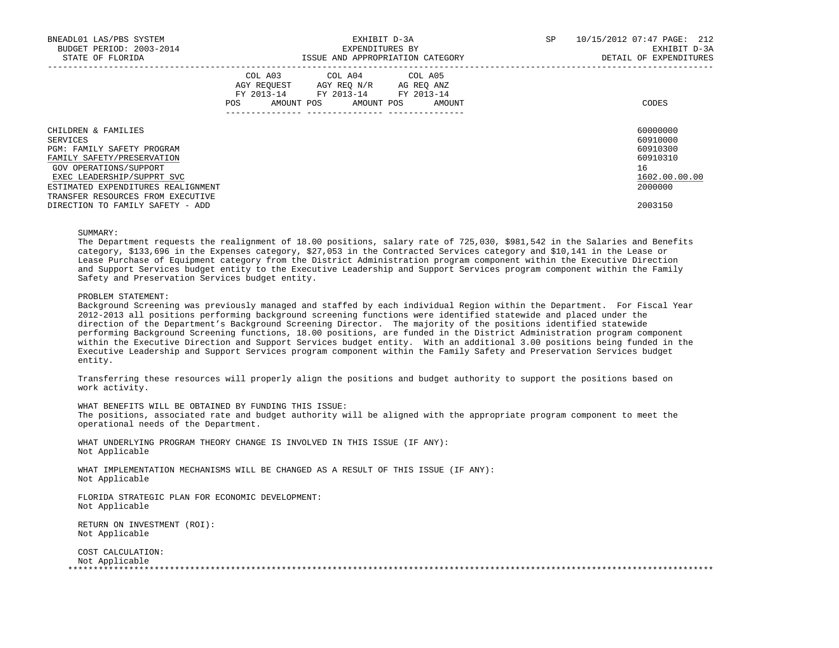| BNEADL01 LAS/PBS SYSTEM<br>BUDGET PERIOD: 2003-2014<br>STATE OF FLORIDA |     | EXPENDITURES BY                                                                                                            | EXHIBIT D-3A<br>ISSUE AND APPROPRIATION CATEGORY | SP | 10/15/2012 07:47 PAGE: 212<br>EXHIBIT D-3A<br>DETAIL OF EXPENDITURES |
|-------------------------------------------------------------------------|-----|----------------------------------------------------------------------------------------------------------------------------|--------------------------------------------------|----|----------------------------------------------------------------------|
|                                                                         | POS | COL A03 COL A04 COL A05<br>AGY REQUEST AGY REO N/R AG REO ANZ<br>FY 2013-14 FY 2013-14 FY 2013-14<br>AMOUNT POS AMOUNT POS | AMOUNT                                           |    | CODES                                                                |
| CHILDREN & FAMILIES                                                     |     |                                                                                                                            |                                                  |    | 60000000                                                             |
| SERVICES                                                                |     |                                                                                                                            |                                                  |    | 60910000                                                             |
| <b>PGM: FAMILY SAFETY PROGRAM</b>                                       |     |                                                                                                                            |                                                  |    | 60910300                                                             |
| FAMILY SAFETY/PRESERVATION                                              |     |                                                                                                                            |                                                  |    | 60910310                                                             |
| GOV OPERATIONS/SUPPORT                                                  |     |                                                                                                                            |                                                  |    | 16                                                                   |
| EXEC LEADERSHIP/SUPPRT SVC                                              |     |                                                                                                                            |                                                  |    | 1602.00.00.00                                                        |
| ESTIMATED EXPENDITURES REALIGNMENT                                      |     |                                                                                                                            |                                                  |    | 2000000                                                              |
| TRANSFER RESOURCES FROM EXECUTIVE                                       |     |                                                                                                                            |                                                  |    |                                                                      |
| DIRECTION TO FAMILY SAFETY - ADD                                        |     |                                                                                                                            |                                                  |    | 2003150                                                              |

# SUMMARY:

 The Department requests the realignment of 18.00 positions, salary rate of 725,030, \$981,542 in the Salaries and Benefits category, \$133,696 in the Expenses category, \$27,053 in the Contracted Services category and \$10,141 in the Lease or Lease Purchase of Equipment category from the District Administration program component within the Executive Direction and Support Services budget entity to the Executive Leadership and Support Services program component within the Family Safety and Preservation Services budget entity.

### PROBLEM STATEMENT:

 Background Screening was previously managed and staffed by each individual Region within the Department. For Fiscal Year 2012-2013 all positions performing background screening functions were identified statewide and placed under the direction of the Department's Background Screening Director. The majority of the positions identified statewide performing Background Screening functions, 18.00 positions, are funded in the District Administration program component within the Executive Direction and Support Services budget entity. With an additional 3.00 positions being funded in the Executive Leadership and Support Services program component within the Family Safety and Preservation Services budget entity.

 Transferring these resources will properly align the positions and budget authority to support the positions based on work activity.

WHAT BENEFITS WILL BE OBTAINED BY FUNDING THIS ISSUE:

 The positions, associated rate and budget authority will be aligned with the appropriate program component to meet the operational needs of the Department.

 WHAT UNDERLYING PROGRAM THEORY CHANGE IS INVOLVED IN THIS ISSUE (IF ANY): Not Applicable

 WHAT IMPLEMENTATION MECHANISMS WILL BE CHANGED AS A RESULT OF THIS ISSUE (IF ANY): Not Applicable

 FLORIDA STRATEGIC PLAN FOR ECONOMIC DEVELOPMENT: Not Applicable

 RETURN ON INVESTMENT (ROI): Not Applicable

 COST CALCULATION: Not Applicable<br>\*\*\*\*\*\*\*\*\*\*\*\*\*\*\*\*\*\* \*\*\*\*\*\*\*\*\*\*\*\*\*\*\*\*\*\*\*\*\*\*\*\*\*\*\*\*\*\*\*\*\*\*\*\*\*\*\*\*\*\*\*\*\*\*\*\*\*\*\*\*\*\*\*\*\*\*\*\*\*\*\*\*\*\*\*\*\*\*\*\*\*\*\*\*\*\*\*\*\*\*\*\*\*\*\*\*\*\*\*\*\*\*\*\*\*\*\*\*\*\*\*\*\*\*\*\*\*\*\*\*\*\*\*\*\*\*\*\*\*\*\*\*\*\*\*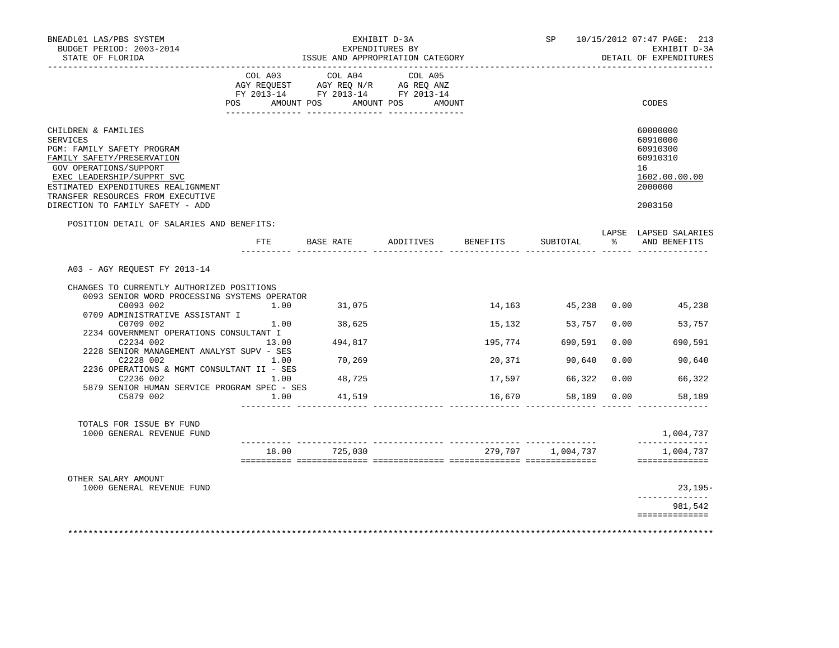| BNEADL01 LAS/PBS SYSTEM<br>BUDGET PERIOD: 2003-2014<br>STATE OF FLORIDA                                                                                                                                                                                                   |       | ISSUE AND APPROPRIATION CATEGORY                                                          | SP 10/15/2012 07:47 PAGE: 213<br>EXHIBIT D-3A<br>DETAIL OF EXPENDITURES |          |                   |               |                                                                                           |
|---------------------------------------------------------------------------------------------------------------------------------------------------------------------------------------------------------------------------------------------------------------------------|-------|-------------------------------------------------------------------------------------------|-------------------------------------------------------------------------|----------|-------------------|---------------|-------------------------------------------------------------------------------------------|
|                                                                                                                                                                                                                                                                           |       | COL A03 COL A04<br>AGY REQUEST AGY REQ N/R AG REQ ANZ<br>FY 2013-14 FY 2013-14 FY 2013-14 | COL A05                                                                 |          |                   |               |                                                                                           |
| POS                                                                                                                                                                                                                                                                       |       | AMOUNT POS AMOUNT POS AMOUNT                                                              |                                                                         |          |                   |               | CODES                                                                                     |
| CHILDREN & FAMILIES<br><b>SERVICES</b><br>PGM: FAMILY SAFETY PROGRAM<br>FAMILY SAFETY/PRESERVATION<br>GOV OPERATIONS/SUPPORT<br>EXEC LEADERSHIP/SUPPRT SVC<br>ESTIMATED EXPENDITURES REALIGNMENT<br>TRANSFER RESOURCES FROM EXECUTIVE<br>DIRECTION TO FAMILY SAFETY - ADD |       |                                                                                           |                                                                         |          |                   |               | 60000000<br>60910000<br>60910300<br>60910310<br>16<br>1602.00.00.00<br>2000000<br>2003150 |
| POSITION DETAIL OF SALARIES AND BENEFITS:                                                                                                                                                                                                                                 |       |                                                                                           |                                                                         |          |                   |               | LAPSE LAPSED SALARIES                                                                     |
|                                                                                                                                                                                                                                                                           | FTE   | BASE RATE                                                                                 | ADDITIVES                                                               | BENEFITS | SUBTOTAL          | $\frac{1}{6}$ | AND BENEFITS                                                                              |
| A03 - AGY REQUEST FY 2013-14                                                                                                                                                                                                                                              |       |                                                                                           |                                                                         |          |                   |               |                                                                                           |
| CHANGES TO CURRENTLY AUTHORIZED POSITIONS                                                                                                                                                                                                                                 |       |                                                                                           |                                                                         |          |                   |               |                                                                                           |
| 0093 SENIOR WORD PROCESSING SYSTEMS OPERATOR<br>C0093 002<br>0709 ADMINISTRATIVE ASSISTANT I                                                                                                                                                                              |       | $1.00$ $31,075$                                                                           |                                                                         |          |                   |               | 14,163 45,238 0.00 45,238                                                                 |
| C0709 002                                                                                                                                                                                                                                                                 |       | 1.00 38,625                                                                               |                                                                         | 15,132   | 53,757            |               | 0.00<br>53,757                                                                            |
| 2234 GOVERNMENT OPERATIONS CONSULTANT I<br>C2234 002                                                                                                                                                                                                                      | 13.00 | 494,817                                                                                   |                                                                         | 195,774  | 690,591           | 0.00          | 690,591                                                                                   |
| 2228 SENIOR MANAGEMENT ANALYST SUPV - SES<br>C2228 002                                                                                                                                                                                                                    | 1.00  | 70,269                                                                                    |                                                                         | 20,371   | 90,640            | 0.00          | 90,640                                                                                    |
| 2236 OPERATIONS & MGMT CONSULTANT II - SES<br>C2236 002                                                                                                                                                                                                                   | 1.00  | 48,725                                                                                    |                                                                         | 17,597   | 66,322            | 0.00          | 66,322                                                                                    |
| 5879 SENIOR HUMAN SERVICE PROGRAM SPEC - SES<br>C5879 002                                                                                                                                                                                                                 | 1.00  | 41,519                                                                                    |                                                                         | 16,670   | 58,189 0.00       |               | 58,189                                                                                    |
| TOTALS FOR ISSUE BY FUND<br>1000 GENERAL REVENUE FUND                                                                                                                                                                                                                     |       |                                                                                           |                                                                         |          |                   |               | 1,004,737                                                                                 |
|                                                                                                                                                                                                                                                                           |       | 18.00 725,030                                                                             |                                                                         |          | 279,707 1,004,737 |               | 1,004,737<br>==============                                                               |
| OTHER SALARY AMOUNT                                                                                                                                                                                                                                                       |       |                                                                                           |                                                                         |          |                   |               |                                                                                           |
| 1000 GENERAL REVENUE FUND                                                                                                                                                                                                                                                 |       |                                                                                           |                                                                         |          |                   |               | $23,195-$                                                                                 |
|                                                                                                                                                                                                                                                                           |       |                                                                                           |                                                                         |          |                   |               | 981,542                                                                                   |
|                                                                                                                                                                                                                                                                           |       |                                                                                           |                                                                         |          |                   |               | ==============                                                                            |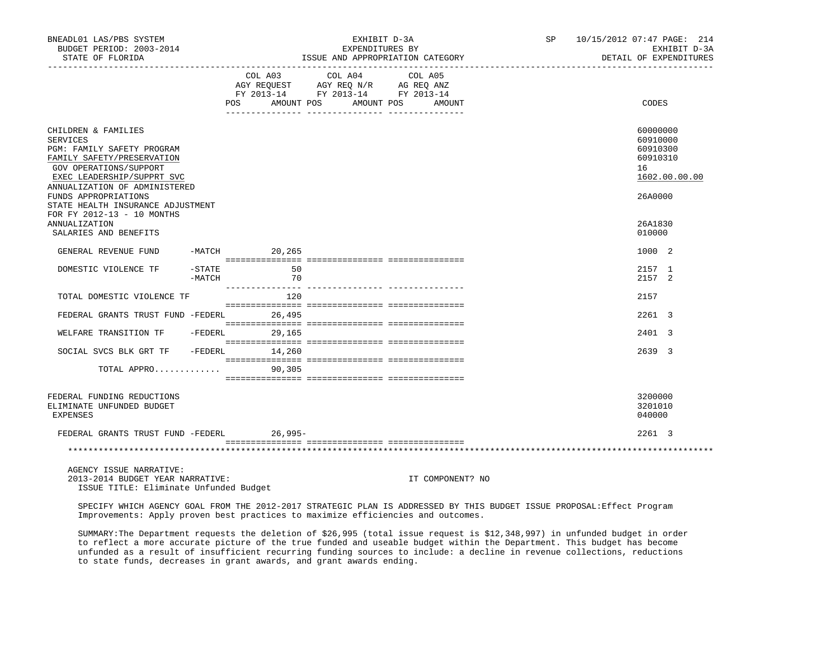| BNEADL01 LAS/PBS SYSTEM<br>BUDGET PERIOD: 2003-2014<br>STATE OF FLORIDA                                                                                                                                                                                  |                       |                   | EXHIBIT D-3A<br>EXPENDITURES BY<br>ISSUE AND APPROPRIATION CATEGORY                                                                                                                                                                                                                                                                           |  | SP 10/15/2012 07:47 PAGE: 214<br>EXHIBIT D-3A<br>DETAIL OF EXPENDITURES        |
|----------------------------------------------------------------------------------------------------------------------------------------------------------------------------------------------------------------------------------------------------------|-----------------------|-------------------|-----------------------------------------------------------------------------------------------------------------------------------------------------------------------------------------------------------------------------------------------------------------------------------------------------------------------------------------------|--|--------------------------------------------------------------------------------|
|                                                                                                                                                                                                                                                          |                       | POS<br>AMOUNT POS | $\begin{tabular}{lllllllllll} &\multicolumn{4}{c}{\text{COL A03}} &\multicolumn{4}{c}{\text{COL A04}} &\multicolumn{4}{c}{\text{COL A05}} \\ \multicolumn{4}{c}{\text{AGY REQUEST}} &\multicolumn{4}{c}{\text{AGY REQ N/R}} &\multicolumn{4}{c}{\text{AG REQ ANZ}} \end{tabular}$<br>FY 2013-14 FY 2013-14 FY 2013-14<br>AMOUNT POS<br>AMOUNT |  | CODES                                                                          |
| CHILDREN & FAMILIES<br><b>SERVICES</b><br>PGM: FAMILY SAFETY PROGRAM<br>FAMILY SAFETY/PRESERVATION<br>GOV OPERATIONS/SUPPORT<br>EXEC LEADERSHIP/SUPPRT SVC<br>ANNUALIZATION OF ADMINISTERED<br>FUNDS APPROPRIATIONS<br>STATE HEALTH INSURANCE ADJUSTMENT |                       |                   |                                                                                                                                                                                                                                                                                                                                               |  | 60000000<br>60910000<br>60910300<br>60910310<br>16<br>1602.00.00.00<br>26A0000 |
| FOR FY 2012-13 - 10 MONTHS<br><b>ANNUALIZATION</b><br>SALARIES AND BENEFITS                                                                                                                                                                              |                       |                   |                                                                                                                                                                                                                                                                                                                                               |  | 26A1830<br>010000                                                              |
| GENERAL REVENUE FUND                                                                                                                                                                                                                                     |                       | -MATCH 20,265     |                                                                                                                                                                                                                                                                                                                                               |  | 1000 2                                                                         |
| DOMESTIC VIOLENCE TF                                                                                                                                                                                                                                     | $-$ STATE<br>$-MATCH$ | 50<br>70          |                                                                                                                                                                                                                                                                                                                                               |  | 2157 1<br>2157 2                                                               |
| TOTAL DOMESTIC VIOLENCE TF                                                                                                                                                                                                                               |                       | 120               |                                                                                                                                                                                                                                                                                                                                               |  | 2157                                                                           |
| FEDERAL GRANTS TRUST FUND -FEDERL                                                                                                                                                                                                                        |                       | 26,495            |                                                                                                                                                                                                                                                                                                                                               |  | 2261 3                                                                         |
| WELFARE TRANSITION TF - FEDERL                                                                                                                                                                                                                           |                       | 29,165            |                                                                                                                                                                                                                                                                                                                                               |  | 2401 3                                                                         |
| SOCIAL SVCS BLK GRT TF                                                                                                                                                                                                                                   |                       | $-FEDERL$ 14,260  |                                                                                                                                                                                                                                                                                                                                               |  | 2639 3                                                                         |
| TOTAL APPRO                                                                                                                                                                                                                                              |                       | 90,305            |                                                                                                                                                                                                                                                                                                                                               |  |                                                                                |
| FEDERAL FUNDING REDUCTIONS<br>ELIMINATE UNFUNDED BUDGET<br>EXPENSES                                                                                                                                                                                      |                       |                   |                                                                                                                                                                                                                                                                                                                                               |  | 3200000<br>3201010<br>040000                                                   |
| FEDERAL GRANTS TRUST FUND -FEDERL                                                                                                                                                                                                                        |                       | $26,995-$         |                                                                                                                                                                                                                                                                                                                                               |  | 2261 3                                                                         |
|                                                                                                                                                                                                                                                          |                       |                   |                                                                                                                                                                                                                                                                                                                                               |  |                                                                                |

 AGENCY ISSUE NARRATIVE: 2013-2014 BUDGET YEAR NARRATIVE: IT COMPONENT? NO

ISSUE TITLE: Eliminate Unfunded Budget

 SPECIFY WHICH AGENCY GOAL FROM THE 2012-2017 STRATEGIC PLAN IS ADDRESSED BY THIS BUDGET ISSUE PROPOSAL:Effect Program Improvements: Apply proven best practices to maximize efficiencies and outcomes.

 SUMMARY:The Department requests the deletion of \$26,995 (total issue request is \$12,348,997) in unfunded budget in order to reflect a more accurate picture of the true funded and useable budget within the Department. This budget has become unfunded as a result of insufficient recurring funding sources to include: a decline in revenue collections, reductions to state funds, decreases in grant awards, and grant awards ending.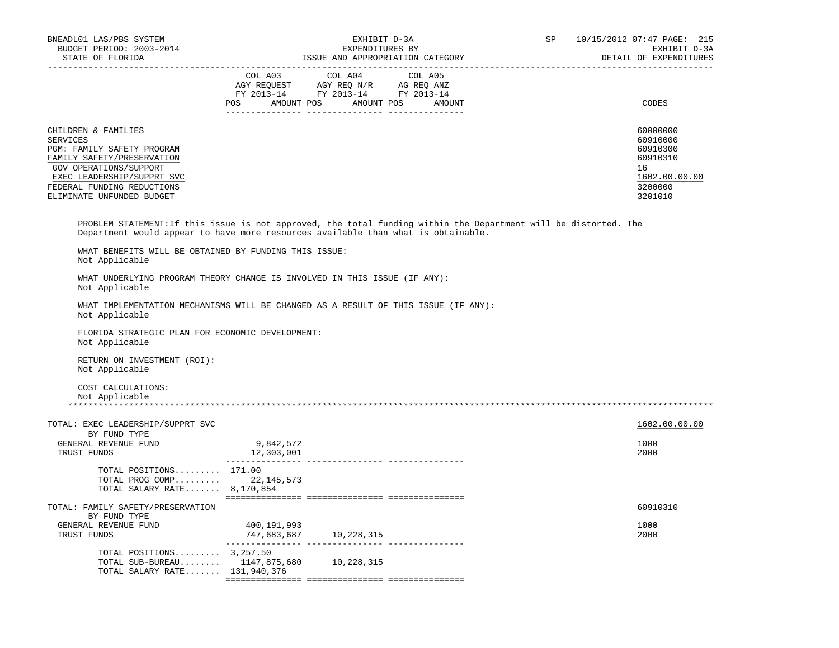| BNEADL01 LAS/PBS SYSTEM<br>BUDGET PERIOD: 2003-2014<br>STATE OF FLORIDA                                                                                                                                        | EXHIBIT D-3A<br>EXPENDITURES BY<br>ISSUE AND APPROPRIATION CATEGORY                                                           |  |         | SP | 10/15/2012 07:47 PAGE: 215<br>EXHIBIT D-3A<br>DETAIL OF EXPENDITURES                      |
|----------------------------------------------------------------------------------------------------------------------------------------------------------------------------------------------------------------|-------------------------------------------------------------------------------------------------------------------------------|--|---------|----|-------------------------------------------------------------------------------------------|
|                                                                                                                                                                                                                | COL A03 COL A04<br>AGY REQUEST AGY REQ N/R AG REQ ANZ<br>FY 2013-14 FY 2013-14 FY 2013-14<br>POS AMOUNT POS AMOUNT POS AMOUNT |  | COL A05 |    | CODES                                                                                     |
| CHILDREN & FAMILIES<br>SERVICES<br>PGM: FAMILY SAFETY PROGRAM<br>FAMILY SAFETY/PRESERVATION<br>GOV OPERATIONS/SUPPORT<br>EXEC LEADERSHIP/SUPPRT SVC<br>FEDERAL FUNDING REDUCTIONS<br>ELIMINATE UNFUNDED BUDGET |                                                                                                                               |  |         |    | 60000000<br>60910000<br>60910300<br>60910310<br>16<br>1602.00.00.00<br>3200000<br>3201010 |
| PROBLEM STATEMENT: If this issue is not approved, the total funding within the Department will be distorted. The<br>Department would appear to have more resources available than what is obtainable.          |                                                                                                                               |  |         |    |                                                                                           |
| WHAT BENEFITS WILL BE OBTAINED BY FUNDING THIS ISSUE:<br>Not Applicable                                                                                                                                        |                                                                                                                               |  |         |    |                                                                                           |
| WHAT UNDERLYING PROGRAM THEORY CHANGE IS INVOLVED IN THIS ISSUE (IF ANY):<br>Not Applicable                                                                                                                    |                                                                                                                               |  |         |    |                                                                                           |
| WHAT IMPLEMENTATION MECHANISMS WILL BE CHANGED AS A RESULT OF THIS ISSUE (IF ANY):<br>Not Applicable                                                                                                           |                                                                                                                               |  |         |    |                                                                                           |
| FLORIDA STRATEGIC PLAN FOR ECONOMIC DEVELOPMENT:<br>Not Applicable                                                                                                                                             |                                                                                                                               |  |         |    |                                                                                           |
| RETURN ON INVESTMENT (ROI):<br>Not Applicable                                                                                                                                                                  |                                                                                                                               |  |         |    |                                                                                           |
| COST CALCULATIONS:<br>Not Applicable                                                                                                                                                                           |                                                                                                                               |  |         |    |                                                                                           |
| TOTAL: EXEC LEADERSHIP/SUPPRT SVC<br>BY FUND TYPE                                                                                                                                                              |                                                                                                                               |  |         |    | 1602.00.00.00                                                                             |
| GENERAL REVENUE FUND<br>TRUST FUNDS                                                                                                                                                                            | 9,842,572<br>12,303,001                                                                                                       |  |         |    | 1000<br>2000                                                                              |
| TOTAL POSITIONS 171.00<br>TOTAL PROG COMP 22,145,573<br>TOTAL SALARY RATE 8,170,854                                                                                                                            |                                                                                                                               |  |         |    |                                                                                           |
| TOTAL: FAMILY SAFETY/PRESERVATION<br>BY FUND TYPE                                                                                                                                                              |                                                                                                                               |  |         |    | 60910310                                                                                  |
| GENERAL REVENUE FUND<br>TRUST FUNDS                                                                                                                                                                            | 400,191,993<br>747,683,687 10,228,315                                                                                         |  |         |    | 1000<br>2000                                                                              |
| TOTAL POSITIONS $3,257.50$<br>TOTAL SUB-BUREAU 1147,875,680 10,228,315<br>TOTAL SALARY RATE 131,940,376                                                                                                        |                                                                                                                               |  |         |    |                                                                                           |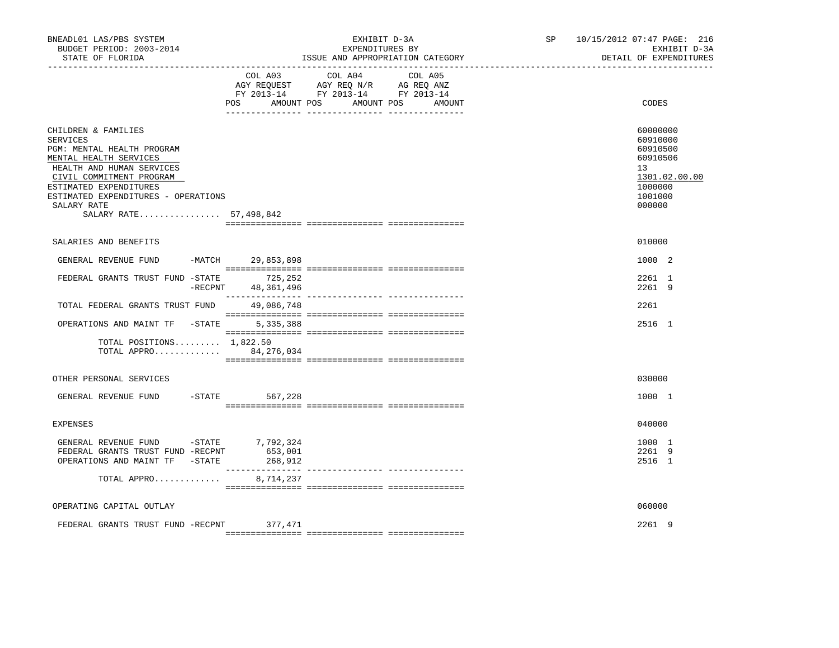| BNEADL01 LAS/PBS SYSTEM<br>BUDGET PERIOD: 2003-2014<br>STATE OF FLORIDA                                                                                                                                                                                           |                               | EXHIBIT D-3A<br>EXPENDITURES BY<br>ISSUE AND APPROPRIATION CATEGORY<br>----------------                                                                                                                                                                  | SP | 10/15/2012 07:47 PAGE: 216<br>EXHIBIT D-3A<br>DETAIL OF EXPENDITURES                                |
|-------------------------------------------------------------------------------------------------------------------------------------------------------------------------------------------------------------------------------------------------------------------|-------------------------------|----------------------------------------------------------------------------------------------------------------------------------------------------------------------------------------------------------------------------------------------------------|----|-----------------------------------------------------------------------------------------------------|
|                                                                                                                                                                                                                                                                   | COL A03<br>POS                | COL A04<br>COL A05<br>$\begin{tabular}{lllllll} \bf AGY & \bf REQUEST & \bf AGY & \bf REQ & \tt M/R & \tt AG & \tt REQ & \tt ANZ \\ \bf FY & \tt 2013-14 & \tt FY & \tt 2013-14 & \tt FY & \tt 2013-14 \\ \end{tabular}$<br>AMOUNT POS AMOUNT POS AMOUNT |    | CODES                                                                                               |
| CHILDREN & FAMILIES<br><b>SERVICES</b><br>PGM: MENTAL HEALTH PROGRAM<br>MENTAL HEALTH SERVICES<br>HEALTH AND HUMAN SERVICES<br>CIVIL COMMITMENT PROGRAM<br>ESTIMATED EXPENDITURES<br>ESTIMATED EXPENDITURES - OPERATIONS<br>SALARY RATE<br>SALARY RATE 57,498,842 |                               |                                                                                                                                                                                                                                                          |    | 60000000<br>60910000<br>60910500<br>60910506<br>13<br>1301.02.00.00<br>1000000<br>1001000<br>000000 |
| SALARIES AND BENEFITS                                                                                                                                                                                                                                             |                               |                                                                                                                                                                                                                                                          |    | 010000                                                                                              |
| GENERAL REVENUE FUND -MATCH 29,853,898                                                                                                                                                                                                                            |                               |                                                                                                                                                                                                                                                          |    | 1000 2                                                                                              |
| FEDERAL GRANTS TRUST FUND -STATE                                                                                                                                                                                                                                  | 725,252<br>-RECPNT 48,361,496 |                                                                                                                                                                                                                                                          |    | 2261 1<br>2261 9                                                                                    |
| TOTAL FEDERAL GRANTS TRUST FUND                                                                                                                                                                                                                                   | 49,086,748                    |                                                                                                                                                                                                                                                          |    | 2261                                                                                                |
| OPERATIONS AND MAINT TF -STATE                                                                                                                                                                                                                                    | 5, 335, 388                   |                                                                                                                                                                                                                                                          |    | 2516 1                                                                                              |
| TOTAL POSITIONS $1,822.50$<br>TOTAL APPRO 84,276,034                                                                                                                                                                                                              |                               |                                                                                                                                                                                                                                                          |    |                                                                                                     |
| OTHER PERSONAL SERVICES                                                                                                                                                                                                                                           |                               |                                                                                                                                                                                                                                                          |    | 030000                                                                                              |
| GENERAL REVENUE FUND<br>$-$ STATE                                                                                                                                                                                                                                 | 567,228                       |                                                                                                                                                                                                                                                          |    | 1000 1                                                                                              |
| <b>EXPENSES</b>                                                                                                                                                                                                                                                   |                               |                                                                                                                                                                                                                                                          |    | 040000                                                                                              |
| GENERAL REVENUE FUND -STATE 7,792,324<br>FEDERAL GRANTS TRUST FUND -RECPNT<br>OPERATIONS AND MAINT TF -STATE                                                                                                                                                      | 653,001<br>268,912            |                                                                                                                                                                                                                                                          |    | 1000 1<br>2261 9<br>2516 1                                                                          |
| TOTAL APPRO                                                                                                                                                                                                                                                       | 8,714,237                     |                                                                                                                                                                                                                                                          |    |                                                                                                     |
| OPERATING CAPITAL OUTLAY                                                                                                                                                                                                                                          |                               |                                                                                                                                                                                                                                                          |    | 060000                                                                                              |
| FEDERAL GRANTS TRUST FUND -RECPNT                                                                                                                                                                                                                                 | 377,471                       |                                                                                                                                                                                                                                                          |    | 2261 9                                                                                              |
|                                                                                                                                                                                                                                                                   |                               |                                                                                                                                                                                                                                                          |    |                                                                                                     |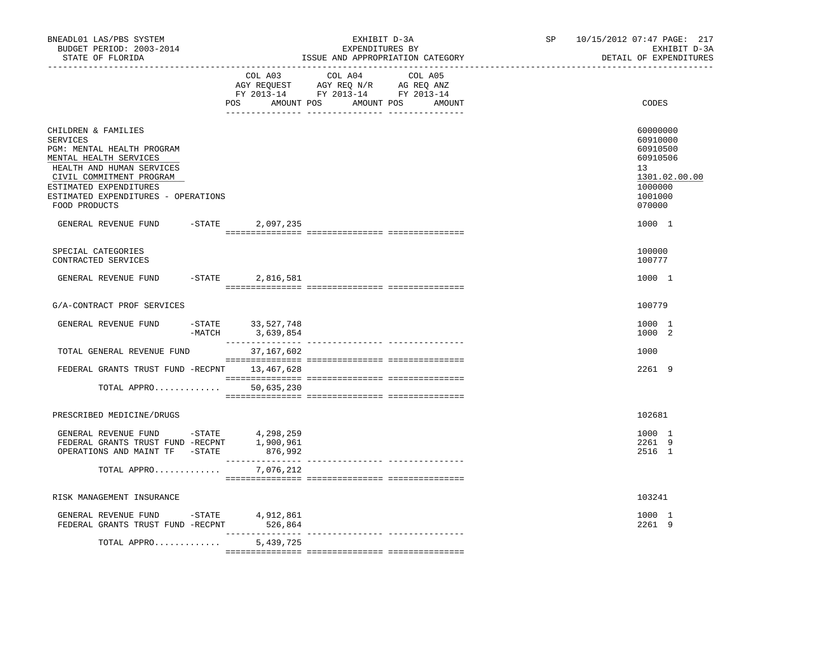| BNEADL01 LAS/PBS SYSTEM<br>BUDGET PERIOD: 2003-2014<br>STATE OF FLORIDA                                                                                                                                                                   |                                       | EXHIBIT D-3A<br>EXPENDITURES BY<br>ISSUE AND APPROPRIATION CATEGORY                                                              | SP | 10/15/2012 07:47 PAGE: 217<br>EXHIBIT D-3A<br>DETAIL OF EXPENDITURES                                |
|-------------------------------------------------------------------------------------------------------------------------------------------------------------------------------------------------------------------------------------------|---------------------------------------|----------------------------------------------------------------------------------------------------------------------------------|----|-----------------------------------------------------------------------------------------------------|
|                                                                                                                                                                                                                                           | COL A03                               | COL A04<br>COL A05<br>AGY REQUEST AGY REQ N/R AG REQ ANZ<br>FY 2013-14 FY 2013-14 FY 2013-14<br>POS AMOUNT POS AMOUNT POS AMOUNT |    | CODES                                                                                               |
| CHILDREN & FAMILIES<br><b>SERVICES</b><br>PGM: MENTAL HEALTH PROGRAM<br>MENTAL HEALTH SERVICES<br>HEALTH AND HUMAN SERVICES<br>CIVIL COMMITMENT PROGRAM<br>ESTIMATED EXPENDITURES<br>ESTIMATED EXPENDITURES - OPERATIONS<br>FOOD PRODUCTS |                                       |                                                                                                                                  |    | 60000000<br>60910000<br>60910500<br>60910506<br>13<br>1301.02.00.00<br>1000000<br>1001000<br>070000 |
| GENERAL REVENUE FUND -STATE                                                                                                                                                                                                               | 2,097,235                             |                                                                                                                                  |    | 1000 1                                                                                              |
| SPECIAL CATEGORIES<br>CONTRACTED SERVICES                                                                                                                                                                                                 |                                       |                                                                                                                                  |    | 100000<br>100777                                                                                    |
| GENERAL REVENUE FUND -STATE 2,816,581                                                                                                                                                                                                     |                                       |                                                                                                                                  |    | 1000 1                                                                                              |
| G/A-CONTRACT PROF SERVICES                                                                                                                                                                                                                |                                       |                                                                                                                                  |    | 100779                                                                                              |
| GENERAL REVENUE FUND                                                                                                                                                                                                                      | -STATE 33,527,748<br>-MATCH 3,639,854 |                                                                                                                                  |    | 1000 1<br>1000 2                                                                                    |
| TOTAL GENERAL REVENUE FUND                                                                                                                                                                                                                | 37,167,602                            |                                                                                                                                  |    | 1000                                                                                                |
| FEDERAL GRANTS TRUST FUND -RECPNT 13,467,628                                                                                                                                                                                              |                                       |                                                                                                                                  |    | 2261 9                                                                                              |
| TOTAL APPRO                                                                                                                                                                                                                               | 50,635,230                            |                                                                                                                                  |    |                                                                                                     |
| PRESCRIBED MEDICINE/DRUGS                                                                                                                                                                                                                 |                                       |                                                                                                                                  |    | 102681                                                                                              |
| GENERAL REVENUE FUND -STATE 4,298,259<br>FEDERAL GRANTS TRUST FUND -RECPNT 1,900,961<br>OPERATIONS AND MAINT TF -STATE                                                                                                                    | 876,992                               |                                                                                                                                  |    | 1000 1<br>2261 9<br>2516 1                                                                          |
| TOTAL APPRO 7,076,212                                                                                                                                                                                                                     |                                       |                                                                                                                                  |    |                                                                                                     |
| RISK MANAGEMENT INSURANCE                                                                                                                                                                                                                 |                                       |                                                                                                                                  |    | 103241                                                                                              |
| GENERAL REVENUE FUND -STATE 4,912,861<br>FEDERAL GRANTS TRUST FUND -RECPNT                                                                                                                                                                | 526,864                               | ---------------- ----------------                                                                                                |    | 1000 1<br>2261 9                                                                                    |
| TOTAL APPRO                                                                                                                                                                                                                               | 5,439,725                             |                                                                                                                                  |    |                                                                                                     |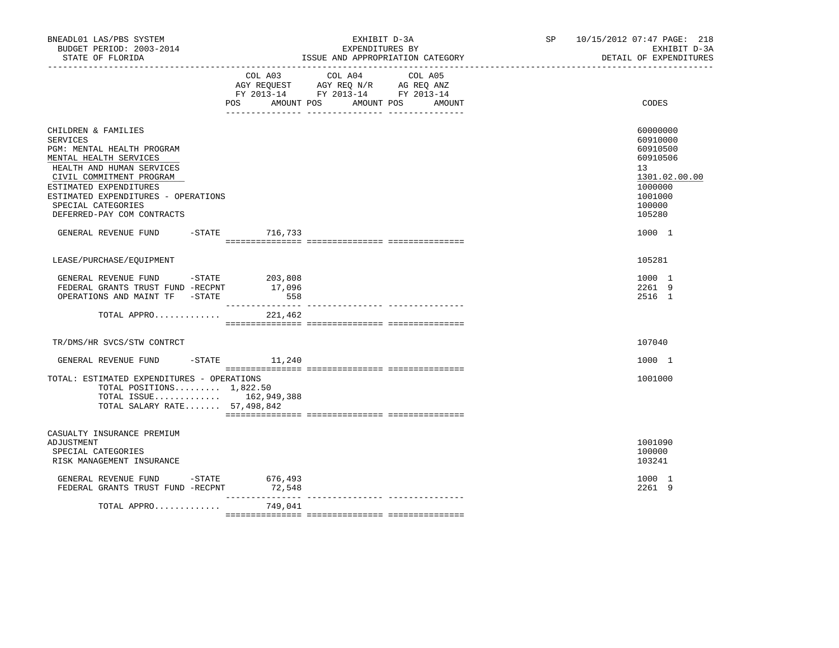| BNEADL01 LAS/PBS SYSTEM<br>BUDGET PERIOD: 2003-2014<br>STATE OF FLORIDA<br>-------------------                                                                                                                                                                        |                                               | EXHIBIT D-3A<br>EXPENDITURES BY<br>ISSUE AND APPROPRIATION CATEGORY                                                              | SP <sub>2</sub> | 10/15/2012 07:47 PAGE: 218<br>EXHIBIT D-3A<br>DETAIL OF EXPENDITURES                                          |
|-----------------------------------------------------------------------------------------------------------------------------------------------------------------------------------------------------------------------------------------------------------------------|-----------------------------------------------|----------------------------------------------------------------------------------------------------------------------------------|-----------------|---------------------------------------------------------------------------------------------------------------|
|                                                                                                                                                                                                                                                                       | POS<br>AMOUNT POS                             | COL A03 COL A04 COL A05<br>AGY REQUEST AGY REQ N/R AG REQ ANZ<br>FY 2013-14 FY 2013-14 FY 2013-14<br>AMOUNT POS<br><b>AMOUNT</b> |                 | CODES                                                                                                         |
| CHILDREN & FAMILIES<br>SERVICES<br>PGM: MENTAL HEALTH PROGRAM<br>MENTAL HEALTH SERVICES<br>HEALTH AND HUMAN SERVICES<br>CIVIL COMMITMENT PROGRAM<br>ESTIMATED EXPENDITURES<br>ESTIMATED EXPENDITURES - OPERATIONS<br>SPECIAL CATEGORIES<br>DEFERRED-PAY COM CONTRACTS |                                               |                                                                                                                                  |                 | 60000000<br>60910000<br>60910500<br>60910506<br>13<br>1301.02.00.00<br>1000000<br>1001000<br>100000<br>105280 |
| GENERAL REVENUE FUND                                                                                                                                                                                                                                                  | -STATE 716,733                                |                                                                                                                                  |                 | 1000 1                                                                                                        |
| LEASE/PURCHASE/EQUIPMENT                                                                                                                                                                                                                                              |                                               |                                                                                                                                  |                 | 105281                                                                                                        |
| GENERAL REVENUE FUND -STATE<br>FEDERAL GRANTS TRUST FUND -RECPNT<br>OPERATIONS AND MAINT TF -STATE                                                                                                                                                                    | 203,808<br>17,096<br>558<br>_________________ |                                                                                                                                  |                 | 1000 1<br>2261 9<br>2516 1                                                                                    |
| TOTAL APPRO                                                                                                                                                                                                                                                           | 221,462                                       |                                                                                                                                  |                 |                                                                                                               |
| TR/DMS/HR SVCS/STW CONTRCT                                                                                                                                                                                                                                            |                                               |                                                                                                                                  |                 | 107040                                                                                                        |
| GENERAL REVENUE FUND                                                                                                                                                                                                                                                  | $-$ STATE $11, 240$                           |                                                                                                                                  |                 | 1000 1                                                                                                        |
| TOTAL: ESTIMATED EXPENDITURES - OPERATIONS<br>TOTAL POSITIONS $1,822.50$<br>TOTAL ISSUE 162,949,388<br>TOTAL SALARY RATE 57,498,842                                                                                                                                   |                                               |                                                                                                                                  |                 | 1001000                                                                                                       |
| CASUALTY INSURANCE PREMIUM<br>ADJUSTMENT<br>SPECIAL CATEGORIES<br>RISK MANAGEMENT INSURANCE                                                                                                                                                                           |                                               |                                                                                                                                  |                 | 1001090<br>100000<br>103241                                                                                   |
| GENERAL REVENUE FUND -STATE<br>FEDERAL GRANTS TRUST FUND -RECPNT                                                                                                                                                                                                      | 676,493<br>72,548                             |                                                                                                                                  |                 | 1000 1<br>2261 9                                                                                              |
| TOTAL APPRO                                                                                                                                                                                                                                                           | 749,041                                       |                                                                                                                                  |                 |                                                                                                               |
|                                                                                                                                                                                                                                                                       |                                               |                                                                                                                                  |                 |                                                                                                               |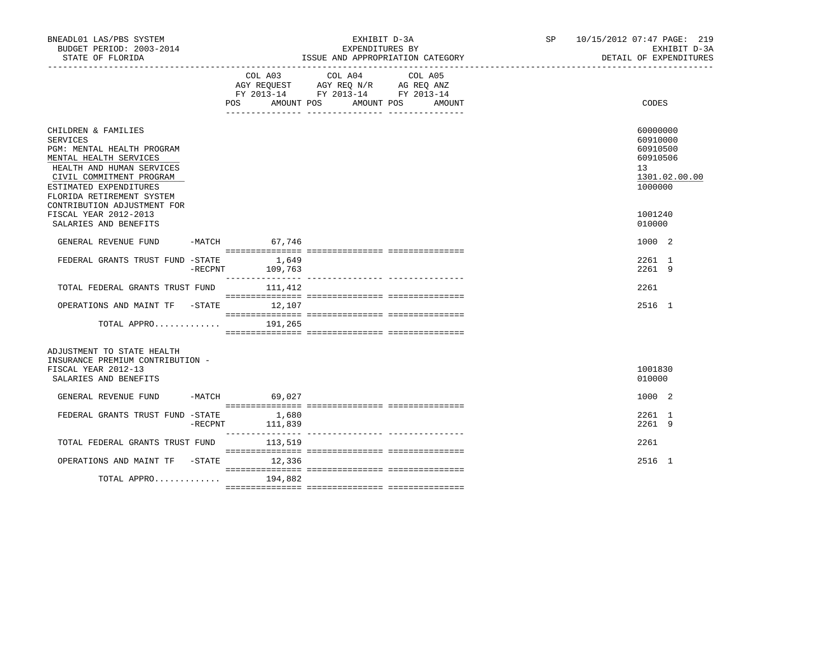| BNEADL01 LAS/PBS SYSTEM<br>BUDGET PERIOD: 2003-2014<br>STATE OF FLORIDA                                                                                                                                                                |         |                          | EXHIBIT D-3A<br>EXPENDITURES BY<br>ISSUE AND APPROPRIATION CATEGORY                                                                                                                                                                                                  | SP 10/15/2012 07:47 PAGE: 219<br>EXHIBIT D-3A<br>DETAIL OF EXPENDITURES                     |
|----------------------------------------------------------------------------------------------------------------------------------------------------------------------------------------------------------------------------------------|---------|--------------------------|----------------------------------------------------------------------------------------------------------------------------------------------------------------------------------------------------------------------------------------------------------------------|---------------------------------------------------------------------------------------------|
|                                                                                                                                                                                                                                        |         |                          | COL A03 COL A04<br>COL A05<br>$\begin{tabular}{lllllll} \bf AGY \,\, REQUEST \,\, & \bf AGY \,\, REQ \,\, N/R & \,\, AG \,\, REQ \,\, ANZ \\ \bf FY \,\, 2013-14 & \,\, FY \,\, 2013-14 & \,\, FY \,\, 2013-14 \\ \end{tabular}$<br>POS AMOUNT POS AMOUNT POS AMOUNT | CODES                                                                                       |
| CHILDREN & FAMILIES<br>SERVICES<br>PGM: MENTAL HEALTH PROGRAM<br>MENTAL HEALTH SERVICES<br>HEALTH AND HUMAN SERVICES<br>CIVIL COMMITMENT PROGRAM<br>ESTIMATED EXPENDITURES<br>FLORIDA RETIREMENT SYSTEM<br>CONTRIBUTION ADJUSTMENT FOR |         |                          |                                                                                                                                                                                                                                                                      | 60000000<br>60910000<br>60910500<br>60910506<br>13 <sup>7</sup><br>1301.02.00.00<br>1000000 |
| FISCAL YEAR 2012-2013<br>SALARIES AND BENEFITS                                                                                                                                                                                         |         |                          |                                                                                                                                                                                                                                                                      | 1001240<br>010000                                                                           |
| GENERAL REVENUE FUND                                                                                                                                                                                                                   |         | -MATCH 67,746            |                                                                                                                                                                                                                                                                      | 1000 2                                                                                      |
| FEDERAL GRANTS TRUST FUND -STATE                                                                                                                                                                                                       | -RECPNT | 1,649<br>109,763         |                                                                                                                                                                                                                                                                      | 2261 1<br>2261 9                                                                            |
| TOTAL FEDERAL GRANTS TRUST FUND 111, 412                                                                                                                                                                                               |         |                          |                                                                                                                                                                                                                                                                      | 2261                                                                                        |
| OPERATIONS AND MAINT TF -STATE 12,107                                                                                                                                                                                                  |         |                          |                                                                                                                                                                                                                                                                      | 2516 1                                                                                      |
| TOTAL APPRO                                                                                                                                                                                                                            |         | 191,265                  |                                                                                                                                                                                                                                                                      |                                                                                             |
| ADJUSTMENT TO STATE HEALTH<br>INSURANCE PREMIUM CONTRIBUTION -<br>FISCAL YEAR 2012-13<br>SALARIES AND BENEFITS                                                                                                                         |         |                          |                                                                                                                                                                                                                                                                      | 1001830<br>010000                                                                           |
| GENERAL REVENUE FUND                                                                                                                                                                                                                   |         | -MATCH 69,027            |                                                                                                                                                                                                                                                                      | 1000 2                                                                                      |
| FEDERAL GRANTS TRUST FUND -STATE                                                                                                                                                                                                       |         | 1,680<br>-RECPNT 111,839 |                                                                                                                                                                                                                                                                      | 2261 1<br>2261 9                                                                            |
| TOTAL FEDERAL GRANTS TRUST FUND 113,519                                                                                                                                                                                                |         |                          |                                                                                                                                                                                                                                                                      | 2261                                                                                        |
| OPERATIONS AND MAINT TF -STATE 12,336                                                                                                                                                                                                  |         |                          |                                                                                                                                                                                                                                                                      | 2516 1                                                                                      |
| TOTAL APPRO                                                                                                                                                                                                                            |         | 194,882                  |                                                                                                                                                                                                                                                                      |                                                                                             |
|                                                                                                                                                                                                                                        |         |                          |                                                                                                                                                                                                                                                                      |                                                                                             |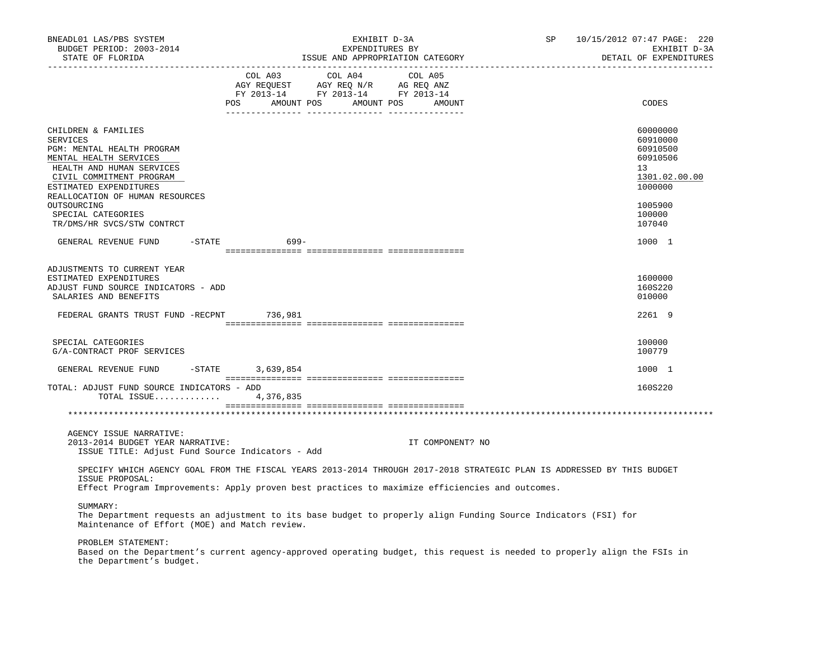| BNEADL01 LAS/PBS SYSTEM<br>BUDGET PERIOD: 2003-2014<br>STATE OF FLORIDA                                                                                                                                                                            |                   | EXHIBIT D-3A<br>EXPENDITURES BY                                                                                                                                                                                                                                                                             | ISSUE AND APPROPRIATION CATEGORY | SP | 10/15/2012 07:47 PAGE: 220<br>EXHIBIT D-3A<br>DETAIL OF EXPENDITURES                                |
|----------------------------------------------------------------------------------------------------------------------------------------------------------------------------------------------------------------------------------------------------|-------------------|-------------------------------------------------------------------------------------------------------------------------------------------------------------------------------------------------------------------------------------------------------------------------------------------------------------|----------------------------------|----|-----------------------------------------------------------------------------------------------------|
|                                                                                                                                                                                                                                                    |                   | COL A03 COL A04<br>$\begin{tabular}{lllllll} \bf AGY \,\, &\bf REQUEST \,\, &\bf AGY \,\, &\bf REQ \,\, &\bf N/R \,\, &\bf AG \,\, &\bf REQ \,\, &\bf ANZ \,\, \\ \bf FY \,\, &\bf 2013-14 \,\, &\bf FY \,\, &\bf 2013-14 \,\, &\bf FY \,\, &\bf 2013-14 \end{tabular}$<br>POS AMOUNT POS AMOUNT POS AMOUNT | COL A05                          |    | CODES                                                                                               |
| CHILDREN & FAMILIES<br>SERVICES<br>PGM: MENTAL HEALTH PROGRAM<br>MENTAL HEALTH SERVICES<br>HEALTH AND HUMAN SERVICES<br>CIVIL COMMITMENT PROGRAM<br>ESTIMATED EXPENDITURES<br>REALLOCATION OF HUMAN RESOURCES<br>OUTSOURCING<br>SPECIAL CATEGORIES |                   |                                                                                                                                                                                                                                                                                                             |                                  |    | 60000000<br>60910000<br>60910500<br>60910506<br>13<br>1301.02.00.00<br>1000000<br>1005900<br>100000 |
| TR/DMS/HR SVCS/STW CONTRCT<br>GENERAL REVENUE FUND                                                                                                                                                                                                 | $-$ STATE<br>699- |                                                                                                                                                                                                                                                                                                             |                                  |    | 107040<br>1000 1                                                                                    |
|                                                                                                                                                                                                                                                    |                   |                                                                                                                                                                                                                                                                                                             |                                  |    |                                                                                                     |
| ADJUSTMENTS TO CURRENT YEAR<br>ESTIMATED EXPENDITURES<br>ADJUST FUND SOURCE INDICATORS - ADD<br>SALARIES AND BENEFITS                                                                                                                              |                   |                                                                                                                                                                                                                                                                                                             |                                  |    | 1600000<br>160S220<br>010000                                                                        |
| FEDERAL GRANTS TRUST FUND -RECPNT 736,981                                                                                                                                                                                                          |                   |                                                                                                                                                                                                                                                                                                             |                                  |    | 2261 9                                                                                              |
| SPECIAL CATEGORIES<br>G/A-CONTRACT PROF SERVICES                                                                                                                                                                                                   |                   |                                                                                                                                                                                                                                                                                                             |                                  |    | 100000<br>100779                                                                                    |
| GENERAL REVENUE FUND                                                                                                                                                                                                                               | -STATE 3,639,854  |                                                                                                                                                                                                                                                                                                             |                                  |    | 1000 1                                                                                              |
| TOTAL: ADJUST FUND SOURCE INDICATORS - ADD<br>TOTAL ISSUE                                                                                                                                                                                          | 4,376,835         |                                                                                                                                                                                                                                                                                                             |                                  |    | 160S220                                                                                             |
|                                                                                                                                                                                                                                                    |                   |                                                                                                                                                                                                                                                                                                             |                                  |    |                                                                                                     |
| AGENCY ISSUE NARRATIVE:<br>2013-2014 BUDGET YEAR NARRATIVE:<br>ISSUE TITLE: Adjust Fund Source Indicators - Add                                                                                                                                    |                   |                                                                                                                                                                                                                                                                                                             | IT COMPONENT? NO                 |    |                                                                                                     |
| SPECIFY WHICH AGENCY GOAL FROM THE FISCAL YEARS 2013-2014 THROUGH 2017-2018 STRATEGIC PLAN IS ADDRESSED BY THIS BUDGET<br>ISSUE PROPOSAL:<br>Effect Program Improvements: Apply proven best practices to maximize efficiencies and outcomes.       |                   |                                                                                                                                                                                                                                                                                                             |                                  |    |                                                                                                     |
| SUMMARY:<br>The Department requests an adjustment to its base budget to properly align Funding Source Indicators (FSI) for<br>Maintenance of Effort (MOE) and Match review.                                                                        |                   |                                                                                                                                                                                                                                                                                                             |                                  |    |                                                                                                     |
| PROBLEM STATEMENT:<br>Based on the Department's current agency-approved operating budget, this request is needed to properly align the FSIs in<br>the Department's budget.                                                                         |                   |                                                                                                                                                                                                                                                                                                             |                                  |    |                                                                                                     |
|                                                                                                                                                                                                                                                    |                   |                                                                                                                                                                                                                                                                                                             |                                  |    |                                                                                                     |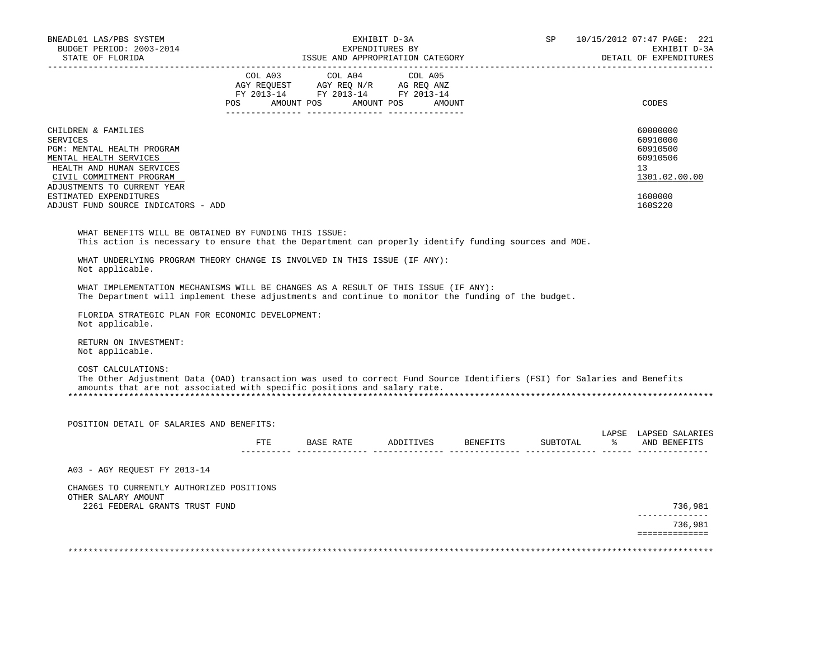| BUDGET PERIOD: 2003-2014                                                                                                                                                                                                  |                                                          | EXHIBIT D-3A<br>EXPENDITURES BY | SP – | 10/15/2012 07:47 PAGE: 221<br>EXHIBIT D-3A                                       |
|---------------------------------------------------------------------------------------------------------------------------------------------------------------------------------------------------------------------------|----------------------------------------------------------|---------------------------------|------|----------------------------------------------------------------------------------|
| STATE OF FLORIDA<br>------------------------------                                                                                                                                                                        | ISSUE AND APPROPRIATION CATEGORY                         |                                 |      | DETAIL OF EXPENDITURES                                                           |
|                                                                                                                                                                                                                           | COL A03 COL A04                                          | COL A05                         |      |                                                                                  |
|                                                                                                                                                                                                                           | POS AMOUNT POS AMOUNT POS AMOUNT                         |                                 |      | CODES                                                                            |
| CHILDREN & FAMILIES<br><b>SERVICES</b><br>PGM: MENTAL HEALTH PROGRAM<br>MENTAL HEALTH SERVICES<br>HEALTH AND HUMAN SERVICES<br>CIVIL COMMITMENT PROGRAM<br>ADJUSTMENTS TO CURRENT YEAR                                    |                                                          |                                 |      | 60000000<br>60910000<br>60910500<br>60910506<br>13 <sup>°</sup><br>1301.02.00.00 |
| ESTIMATED EXPENDITURES<br>ADJUST FUND SOURCE INDICATORS - ADD                                                                                                                                                             |                                                          |                                 |      | 1600000<br>160S220                                                               |
| WHAT BENEFITS WILL BE OBTAINED BY FUNDING THIS ISSUE:<br>This action is necessary to ensure that the Department can properly identify funding sources and MOE.                                                            |                                                          |                                 |      |                                                                                  |
| WHAT UNDERLYING PROGRAM THEORY CHANGE IS INVOLVED IN THIS ISSUE (IF ANY):<br>Not applicable.                                                                                                                              |                                                          |                                 |      |                                                                                  |
| WHAT IMPLEMENTATION MECHANISMS WILL BE CHANGES AS A RESULT OF THIS ISSUE (IF ANY):<br>The Department will implement these adjustments and continue to monitor the funding of the budget.                                  |                                                          |                                 |      |                                                                                  |
| FLORIDA STRATEGIC PLAN FOR ECONOMIC DEVELOPMENT:<br>Not applicable.                                                                                                                                                       |                                                          |                                 |      |                                                                                  |
|                                                                                                                                                                                                                           |                                                          |                                 |      |                                                                                  |
| RETURN ON INVESTMENT:<br>Not applicable.                                                                                                                                                                                  |                                                          |                                 |      |                                                                                  |
| COST CALCULATIONS:<br>The Other Adjustment Data (OAD) transaction was used to correct Fund Source Identifiers (FSI) for Salaries and Benefits<br>amounts that are not associated with specific positions and salary rate. |                                                          |                                 |      |                                                                                  |
| POSITION DETAIL OF SALARIES AND BENEFITS:                                                                                                                                                                                 |                                                          |                                 |      |                                                                                  |
|                                                                                                                                                                                                                           | FTE BASE RATE ADDITIVES BENEFITS SUBTOTAL % AND BENEFITS |                                 |      |                                                                                  |
| A03 - AGY REQUEST FY 2013-14                                                                                                                                                                                              |                                                          |                                 |      |                                                                                  |
| CHANGES TO CURRENTLY AUTHORIZED POSITIONS<br>OTHER SALARY AMOUNT<br>2261 FEDERAL GRANTS TRUST FUND                                                                                                                        |                                                          |                                 |      |                                                                                  |
|                                                                                                                                                                                                                           |                                                          |                                 |      | LAPSE LAPSED SALARIES<br>736,981<br>______________<br>736,981                    |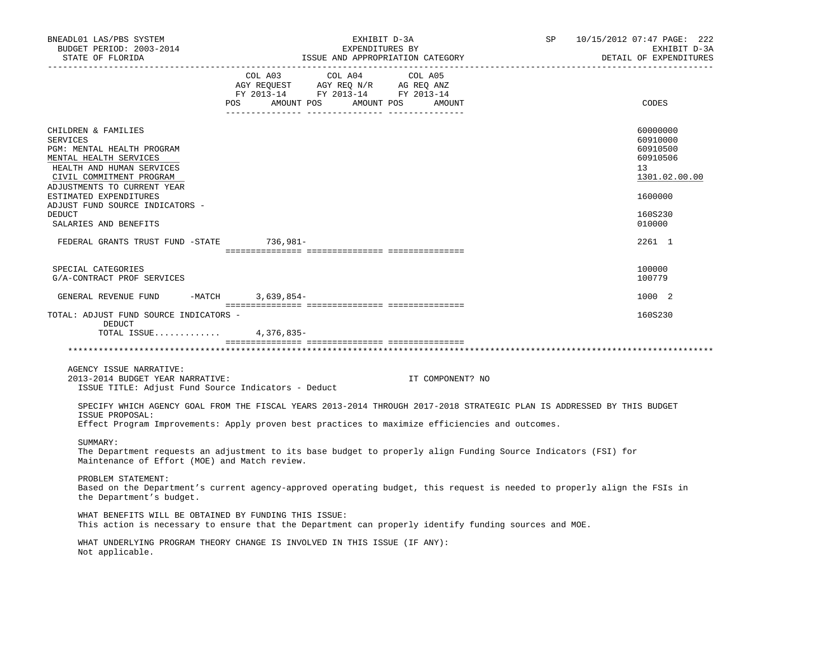| BNEADL01 LAS/PBS SYSTEM<br>BUDGET PERIOD: 2003-2014<br>STATE OF FLORIDA                                                                                                                                                                      |         | EXPENDITURES BY                                                                   | EXHIBIT D-3A                                | SP | 10/15/2012 07:47 PAGE: 222<br>EXHIBIT D-3A<br>DETAIL OF EXPENDITURES |
|----------------------------------------------------------------------------------------------------------------------------------------------------------------------------------------------------------------------------------------------|---------|-----------------------------------------------------------------------------------|---------------------------------------------|----|----------------------------------------------------------------------|
|                                                                                                                                                                                                                                              | COL A03 | COL A04<br>AGY REQUEST AGY REQ N/R AG REQ ANZ<br>FY 2013-14 FY 2013-14 FY 2013-14 | COL A05<br>POS AMOUNT POS AMOUNT POS AMOUNT |    | CODES                                                                |
| CHILDREN & FAMILIES<br><b>SERVICES</b><br>PGM: MENTAL HEALTH PROGRAM<br>MENTAL HEALTH SERVICES<br>HEALTH AND HUMAN SERVICES<br>CIVIL COMMITMENT PROGRAM<br>ADJUSTMENTS TO CURRENT YEAR                                                       |         |                                                                                   |                                             |    | 60000000<br>60910000<br>60910500<br>60910506<br>13<br>1301.02.00.00  |
| ESTIMATED EXPENDITURES<br>ADJUST FUND SOURCE INDICATORS -                                                                                                                                                                                    |         |                                                                                   |                                             |    | 1600000                                                              |
| <b>DEDUCT</b><br>SALARIES AND BENEFITS                                                                                                                                                                                                       |         |                                                                                   |                                             |    | 160S230<br>010000                                                    |
| FEDERAL GRANTS TRUST FUND -STATE 736,981-                                                                                                                                                                                                    |         |                                                                                   |                                             |    | 2261 1                                                               |
| SPECIAL CATEGORIES<br>G/A-CONTRACT PROF SERVICES                                                                                                                                                                                             |         |                                                                                   |                                             |    | 100000<br>100779                                                     |
| GENERAL REVENUE FUND -MATCH 3,639,854-                                                                                                                                                                                                       |         |                                                                                   |                                             |    | 1000 2                                                               |
| TOTAL: ADJUST FUND SOURCE INDICATORS -<br>DEDUCT<br>TOTAL ISSUE 4,376,835-                                                                                                                                                                   |         |                                                                                   |                                             |    | 160S230                                                              |
|                                                                                                                                                                                                                                              |         |                                                                                   |                                             |    |                                                                      |
| AGENCY ISSUE NARRATIVE:<br>2013-2014 BUDGET YEAR NARRATIVE:<br>ISSUE TITLE: Adjust Fund Source Indicators - Deduct                                                                                                                           |         |                                                                                   | IT COMPONENT? NO                            |    |                                                                      |
| SPECIFY WHICH AGENCY GOAL FROM THE FISCAL YEARS 2013-2014 THROUGH 2017-2018 STRATEGIC PLAN IS ADDRESSED BY THIS BUDGET<br>ISSUE PROPOSAL:<br>Effect Program Improvements: Apply proven best practices to maximize efficiencies and outcomes. |         |                                                                                   |                                             |    |                                                                      |
| SUMMARY:<br>The Department requests an adjustment to its base budget to properly align Funding Source Indicators (FSI) for<br>Maintenance of Effort (MOE) and Match review.                                                                  |         |                                                                                   |                                             |    |                                                                      |
| PROBLEM STATEMENT:<br>Based on the Department's current agency-approved operating budget, this request is needed to properly align the FSIs in<br>the Department's budget.                                                                   |         |                                                                                   |                                             |    |                                                                      |
| WHAT BENEFITS WILL BE OBTAINED BY FUNDING THIS ISSUE:<br>This action is necessary to ensure that the Department can properly identify funding sources and MOE.                                                                               |         |                                                                                   |                                             |    |                                                                      |
| WHAT UNDERLYING PROGRAM THEORY CHANGE IS INVOLVED IN THIS ISSUE (IF ANY):<br>Not applicable.                                                                                                                                                 |         |                                                                                   |                                             |    |                                                                      |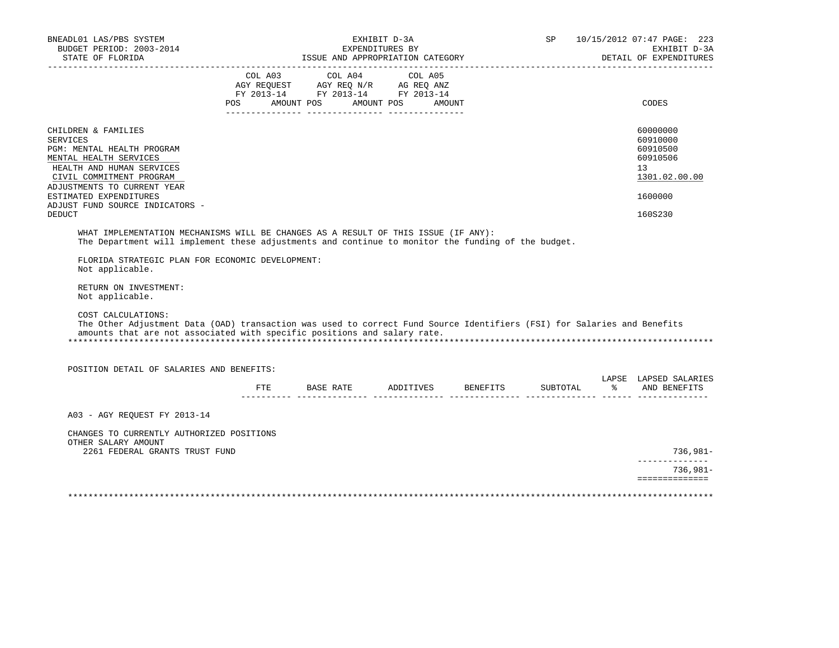| BNEADL01 LAS/PBS SYSTEM<br>BUDGET PERIOD: 2003-2014<br>STATE OF FLORIDA                                                                                                                                                                                       |         |                                                                                                                                                                                                                                                   | EXHIBIT D-3A<br>EXPENDITURES BY<br>ISSUE AND APPROPRIATION CATEGORY | SP       |               | 10/15/2012 07:47 PAGE: 223<br>EXHIBIT D-3A<br>DETAIL OF EXPENDITURES                                   |
|---------------------------------------------------------------------------------------------------------------------------------------------------------------------------------------------------------------------------------------------------------------|---------|---------------------------------------------------------------------------------------------------------------------------------------------------------------------------------------------------------------------------------------------------|---------------------------------------------------------------------|----------|---------------|--------------------------------------------------------------------------------------------------------|
|                                                                                                                                                                                                                                                               | COL A03 | COL A04<br>$\begin{tabular}{lllllll} \bf AGY \,\, REQUEST \,\, & \bf AGY \,\, REQ \,\, N/R & \,\, AG \,\, REQ \,\, ANZ \\ \bf FY \,\, 2013-14 & \,\, FY \,\, 2013-14 & \,\, FY \,\, 2013-14 \\ \end{tabular}$<br>POS AMOUNT POS AMOUNT POS AMOUNT | COL A05                                                             |          |               | CODES                                                                                                  |
| CHILDREN & FAMILIES<br><b>SERVICES</b><br>PGM: MENTAL HEALTH PROGRAM<br>MENTAL HEALTH SERVICES<br>HEALTH AND HUMAN SERVICES<br>CIVIL COMMITMENT PROGRAM<br>ADJUSTMENTS TO CURRENT YEAR<br>ESTIMATED EXPENDITURES<br>ADJUST FUND SOURCE INDICATORS -<br>DEDUCT |         |                                                                                                                                                                                                                                                   |                                                                     |          |               | 60000000<br>60910000<br>60910500<br>60910506<br>13 <sup>°</sup><br>1301.02.00.00<br>1600000<br>160S230 |
|                                                                                                                                                                                                                                                               |         |                                                                                                                                                                                                                                                   |                                                                     |          |               |                                                                                                        |
| WHAT IMPLEMENTATION MECHANISMS WILL BE CHANGES AS A RESULT OF THIS ISSUE (IF ANY):<br>The Department will implement these adjustments and continue to monitor the funding of the budget.                                                                      |         |                                                                                                                                                                                                                                                   |                                                                     |          |               |                                                                                                        |
| FLORIDA STRATEGIC PLAN FOR ECONOMIC DEVELOPMENT:<br>Not applicable.<br>RETURN ON INVESTMENT:                                                                                                                                                                  |         |                                                                                                                                                                                                                                                   |                                                                     |          |               |                                                                                                        |
| Not applicable.<br>COST CALCULATIONS:<br>The Other Adjustment Data (OAD) transaction was used to correct Fund Source Identifiers (FSI) for Salaries and Benefits<br>amounts that are not associated with specific positions and salary rate.                  |         |                                                                                                                                                                                                                                                   |                                                                     |          |               |                                                                                                        |
| POSITION DETAIL OF SALARIES AND BENEFITS:                                                                                                                                                                                                                     |         |                                                                                                                                                                                                                                                   |                                                                     |          |               |                                                                                                        |
|                                                                                                                                                                                                                                                               | FTE.    | BASE RATE ADDITIVES BENEFITS                                                                                                                                                                                                                      |                                                                     | SUBTOTAL | $\frac{1}{6}$ | LAPSE LAPSED SALARIES<br>AND BENEFITS                                                                  |
| A03 - AGY REOUEST FY 2013-14                                                                                                                                                                                                                                  |         |                                                                                                                                                                                                                                                   |                                                                     |          |               |                                                                                                        |
| CHANGES TO CURRENTLY AUTHORIZED POSITIONS<br>OTHER SALARY AMOUNT<br>2261 FEDERAL GRANTS TRUST FUND                                                                                                                                                            |         |                                                                                                                                                                                                                                                   |                                                                     |          |               | $736,981-$                                                                                             |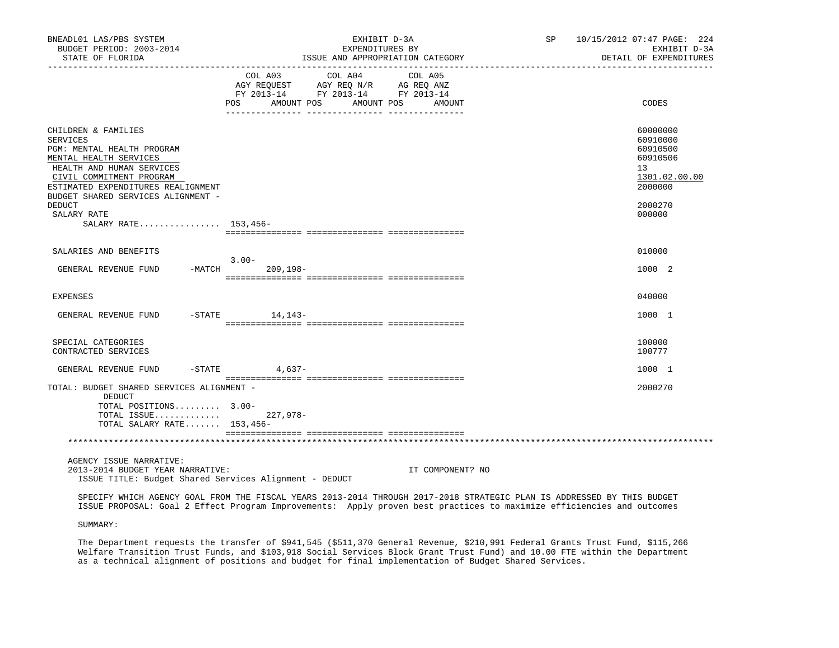| BNEADL01 LAS/PBS SYSTEM<br>BUDGET PERIOD: 2003-2014<br>STATE OF FLORIDA                                                                                                                                                      | EXHIBIT D-3A<br>EXPENDITURES BY<br>ISSUE AND APPROPRIATION CATEGORY                                                                                                                  | SP 10/15/2012 07:47 PAGE: 224<br>EXHIBIT D-3A<br>DETAIL OF EXPENDITURES                     |
|------------------------------------------------------------------------------------------------------------------------------------------------------------------------------------------------------------------------------|--------------------------------------------------------------------------------------------------------------------------------------------------------------------------------------|---------------------------------------------------------------------------------------------|
|                                                                                                                                                                                                                              | __________________________________<br>COL A03<br>COL A04<br>COL A05<br>AGY REQUEST AGY REQ N/R AG REQ ANZ<br>FY 2013-14 FY 2013-14 FY 2013-14<br>POS AMOUNT POS<br>AMOUNT POS AMOUNT | CODES                                                                                       |
|                                                                                                                                                                                                                              |                                                                                                                                                                                      |                                                                                             |
| CHILDREN & FAMILIES<br>SERVICES<br>PGM: MENTAL HEALTH PROGRAM<br>MENTAL HEALTH SERVICES<br>HEALTH AND HUMAN SERVICES<br>CIVIL COMMITMENT PROGRAM<br>ESTIMATED EXPENDITURES REALIGNMENT<br>BUDGET SHARED SERVICES ALIGNMENT - |                                                                                                                                                                                      | 60000000<br>60910000<br>60910500<br>60910506<br>13 <sup>°</sup><br>1301.02.00.00<br>2000000 |
| <b>DEDUCT</b>                                                                                                                                                                                                                |                                                                                                                                                                                      | 2000270                                                                                     |
| SALARY RATE<br>SALARY RATE 153,456-                                                                                                                                                                                          |                                                                                                                                                                                      | 000000                                                                                      |
|                                                                                                                                                                                                                              |                                                                                                                                                                                      |                                                                                             |
| SALARIES AND BENEFITS                                                                                                                                                                                                        |                                                                                                                                                                                      | 010000                                                                                      |
| GENERAL REVENUE FUND                                                                                                                                                                                                         | $3.00-$<br>$-MATCH$<br>$209, 198 -$                                                                                                                                                  | 1000 2                                                                                      |
| EXPENSES                                                                                                                                                                                                                     |                                                                                                                                                                                      | 040000                                                                                      |
| GENERAL REVENUE FUND                                                                                                                                                                                                         | $-$ STATE $14, 143-$                                                                                                                                                                 | 1000 1                                                                                      |
| SPECIAL CATEGORIES<br>CONTRACTED SERVICES                                                                                                                                                                                    |                                                                                                                                                                                      | 100000<br>100777                                                                            |
| GENERAL REVENUE FUND                                                                                                                                                                                                         | $-$ STATE 4,637 -                                                                                                                                                                    | 1000 1                                                                                      |
| TOTAL: BUDGET SHARED SERVICES ALIGNMENT -<br>DEDUCT                                                                                                                                                                          |                                                                                                                                                                                      | 2000270                                                                                     |
| TOTAL POSITIONS 3.00-<br>TOTAL ISSUE<br>TOTAL SALARY RATE 153,456-                                                                                                                                                           | 227,978-                                                                                                                                                                             |                                                                                             |
|                                                                                                                                                                                                                              |                                                                                                                                                                                      |                                                                                             |
| AGENCY ISSUE NARRATIVE:<br>2013-2014 BUDGET YEAR NARRATIVE:                                                                                                                                                                  | IT COMPONENT? NO                                                                                                                                                                     |                                                                                             |

ISSUE TITLE: Budget Shared Services Alignment - DEDUCT

 SPECIFY WHICH AGENCY GOAL FROM THE FISCAL YEARS 2013-2014 THROUGH 2017-2018 STRATEGIC PLAN IS ADDRESSED BY THIS BUDGET ISSUE PROPOSAL: Goal 2 Effect Program Improvements: Apply proven best practices to maximize efficiencies and outcomes

SUMMARY:

 The Department requests the transfer of \$941,545 (\$511,370 General Revenue, \$210,991 Federal Grants Trust Fund, \$115,266 Welfare Transition Trust Funds, and \$103,918 Social Services Block Grant Trust Fund) and 10.00 FTE within the Department as a technical alignment of positions and budget for final implementation of Budget Shared Services.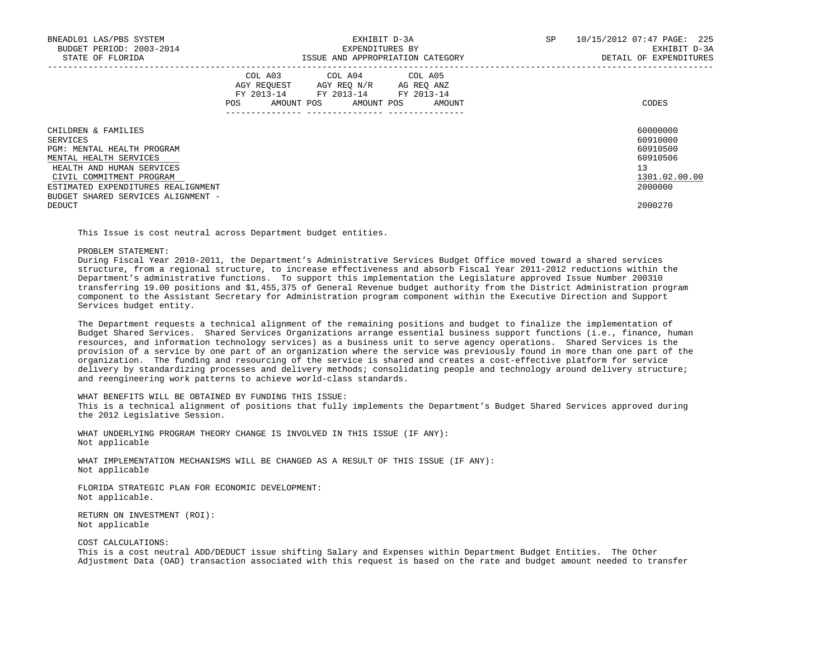| BNEADL01 LAS/PBS SYSTEM<br>BUDGET PERIOD: 2003-2014<br>STATE OF FLORIDA |     | EXHIBIT D-3A<br>EXPENDITURES BY                                                                                                   | ISSUE AND APPROPRIATION CATEGORY | <b>SP</b> | 10/15/2012 07:47 PAGE: 225<br>EXHIBIT D-3A<br>DETAIL OF EXPENDITURES |
|-------------------------------------------------------------------------|-----|-----------------------------------------------------------------------------------------------------------------------------------|----------------------------------|-----------|----------------------------------------------------------------------|
|                                                                         | POS | COL A03 COL A04 COL A05<br>AGY REOUEST AGY REO N/R AG REO ANZ<br>FY 2013-14 FY 2013-14 FY 2013-14<br>AMOUNT POS AMOUNT POS AMOUNT |                                  |           | CODES                                                                |
| CHILDREN & FAMILIES<br>SERVICES                                         |     |                                                                                                                                   |                                  |           | 60000000<br>60910000                                                 |
| PGM: MENTAL HEALTH PROGRAM                                              |     |                                                                                                                                   |                                  |           | 60910500                                                             |
| MENTAL HEALTH SERVICES                                                  |     |                                                                                                                                   |                                  |           | 60910506                                                             |
| HEALTH AND HUMAN SERVICES                                               |     |                                                                                                                                   |                                  |           | 13                                                                   |
| CIVIL COMMITMENT PROGRAM                                                |     |                                                                                                                                   |                                  |           | 1301.02.00.00                                                        |
| ESTIMATED EXPENDITURES REALIGNMENT                                      |     |                                                                                                                                   |                                  |           | 2000000                                                              |
| BUDGET SHARED SERVICES ALIGNMENT -                                      |     |                                                                                                                                   |                                  |           |                                                                      |
| DEDUCT                                                                  |     |                                                                                                                                   |                                  |           | 2000270                                                              |

This Issue is cost neutral across Department budget entities.

PROBLEM STATEMENT:

 During Fiscal Year 2010-2011, the Department's Administrative Services Budget Office moved toward a shared services structure, from a regional structure, to increase effectiveness and absorb Fiscal Year 2011-2012 reductions within the Department's administrative functions. To support this implementation the Legislature approved Issue Number 200310 transferring 19.00 positions and \$1,455,375 of General Revenue budget authority from the District Administration program component to the Assistant Secretary for Administration program component within the Executive Direction and Support Services budget entity.

 The Department requests a technical alignment of the remaining positions and budget to finalize the implementation of Budget Shared Services. Shared Services Organizations arrange essential business support functions (i.e., finance, human resources, and information technology services) as a business unit to serve agency operations. Shared Services is the provision of a service by one part of an organization where the service was previously found in more than one part of the organization. The funding and resourcing of the service is shared and creates a cost-effective platform for service delivery by standardizing processes and delivery methods; consolidating people and technology around delivery structure; and reengineering work patterns to achieve world-class standards.

WHAT BENEFITS WILL BE OBTAINED BY FUNDING THIS ISSUE:

 This is a technical alignment of positions that fully implements the Department's Budget Shared Services approved during the 2012 Legislative Session.

 WHAT UNDERLYING PROGRAM THEORY CHANGE IS INVOLVED IN THIS ISSUE (IF ANY): Not applicable

 WHAT IMPLEMENTATION MECHANISMS WILL BE CHANGED AS A RESULT OF THIS ISSUE (IF ANY): Not applicable

 FLORIDA STRATEGIC PLAN FOR ECONOMIC DEVELOPMENT: Not applicable.

 RETURN ON INVESTMENT (ROI): Not applicable

## COST CALCULATIONS:

 This is a cost neutral ADD/DEDUCT issue shifting Salary and Expenses within Department Budget Entities. The Other Adjustment Data (OAD) transaction associated with this request is based on the rate and budget amount needed to transfer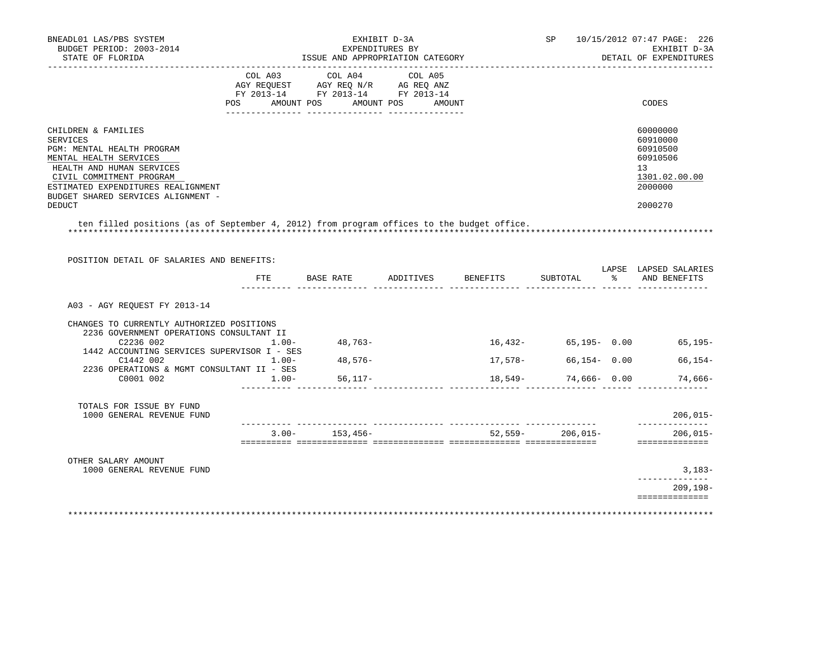| BNEADL01 LAS/PBS SYSTEM<br>BUDGET PERIOD: 2003-2014<br>STATE OF FLORIDA                                                                                                                                                                       |          | EXPENDITURES BY<br>ISSUE AND APPROPRIATION CATEGORY                                                                                                                                                                                                                                                                                        | EXHIBIT D-3A         |         |                      | SP 10/15/2012 07:47 PAGE: 226<br>EXHIBIT D-3A<br>DETAIL OF EXPENDITURES                   |
|-----------------------------------------------------------------------------------------------------------------------------------------------------------------------------------------------------------------------------------------------|----------|--------------------------------------------------------------------------------------------------------------------------------------------------------------------------------------------------------------------------------------------------------------------------------------------------------------------------------------------|----------------------|---------|----------------------|-------------------------------------------------------------------------------------------|
| POS                                                                                                                                                                                                                                           |          | COL A03 COL A04 COL A05<br>$\begin{array}{ccccccccc}\n\text{AGY REQUEST} & & \text{GUT} & \text{AGY REQ} & \text{N/R} & & \text{GCEQ} & \text{ANZ} \\ \text{AGY REQUEST} & & \text{AGY REQ} & \text{N/R} & & \text{AG REQ} & \text{ANZ} \\ \text{FY} & 2013-14 & & \text{FY} & 2013-14 & & \text{FY} & 2013-14\n\end{array}$<br>AMOUNT POS | AMOUNT POS<br>AMOUNT |         |                      | CODES                                                                                     |
| CHILDREN & FAMILIES<br>SERVICES<br>PGM: MENTAL HEALTH PROGRAM<br>MENTAL HEALTH SERVICES<br>HEALTH AND HUMAN SERVICES<br>CIVIL COMMITMENT PROGRAM<br>ESTIMATED EXPENDITURES REALIGNMENT<br>BUDGET SHARED SERVICES ALIGNMENT -<br><b>DEDUCT</b> |          |                                                                                                                                                                                                                                                                                                                                            |                      |         |                      | 60000000<br>60910000<br>60910500<br>60910506<br>13<br>1301.02.00.00<br>2000000<br>2000270 |
| ten filled positions (as of September 4, 2012) from program offices to the budget office.                                                                                                                                                     |          |                                                                                                                                                                                                                                                                                                                                            |                      |         |                      |                                                                                           |
| POSITION DETAIL OF SALARIES AND BENEFITS:                                                                                                                                                                                                     |          |                                                                                                                                                                                                                                                                                                                                            |                      |         |                      |                                                                                           |
|                                                                                                                                                                                                                                               |          | FTE BASE RATE ADDITIVES BENEFITS                                                                                                                                                                                                                                                                                                           |                      |         | SUBTOTAL             | LAPSE LAPSED SALARIES<br>% AND BENEFITS                                                   |
| A03 - AGY REOUEST FY 2013-14                                                                                                                                                                                                                  |          |                                                                                                                                                                                                                                                                                                                                            |                      |         |                      |                                                                                           |
| CHANGES TO CURRENTLY AUTHORIZED POSITIONS<br>2236 GOVERNMENT OPERATIONS CONSULTANT II<br>C2236 002<br>1442 ACCOUNTING SERVICES SUPERVISOR I - SES                                                                                             | $1.00 -$ | 48,763-                                                                                                                                                                                                                                                                                                                                    |                      |         |                      | 16,432- 65,195- 0.00 65,195-                                                              |
| C1442 002                                                                                                                                                                                                                                     | $1.00 -$ | 48,576-                                                                                                                                                                                                                                                                                                                                    |                      | 17,578- | $66, 154 - 0.00$     | $66, 154-$                                                                                |
| 2236 OPERATIONS & MGMT CONSULTANT II - SES<br>C0001 002                                                                                                                                                                                       | $1.00 -$ | $56, 117 -$                                                                                                                                                                                                                                                                                                                                |                      | 18,549- | 74,666- 0.00         | 74,666-                                                                                   |
| TOTALS FOR ISSUE BY FUND<br>1000 GENERAL REVENUE FUND                                                                                                                                                                                         |          |                                                                                                                                                                                                                                                                                                                                            |                      |         |                      | $206,015-$                                                                                |
|                                                                                                                                                                                                                                               |          | $3.00 - 153.456 -$                                                                                                                                                                                                                                                                                                                         |                      |         | $52.559 - 206.015 -$ | ______________<br>$206.015 -$<br>==============                                           |
| OTHER SALARY AMOUNT                                                                                                                                                                                                                           |          |                                                                                                                                                                                                                                                                                                                                            |                      |         |                      |                                                                                           |
| 1000 GENERAL REVENUE FUND                                                                                                                                                                                                                     |          |                                                                                                                                                                                                                                                                                                                                            |                      |         |                      | $3,183-$<br>-----------                                                                   |
|                                                                                                                                                                                                                                               |          |                                                                                                                                                                                                                                                                                                                                            |                      |         |                      | $209, 198 -$<br>==============                                                            |
|                                                                                                                                                                                                                                               |          |                                                                                                                                                                                                                                                                                                                                            |                      |         |                      |                                                                                           |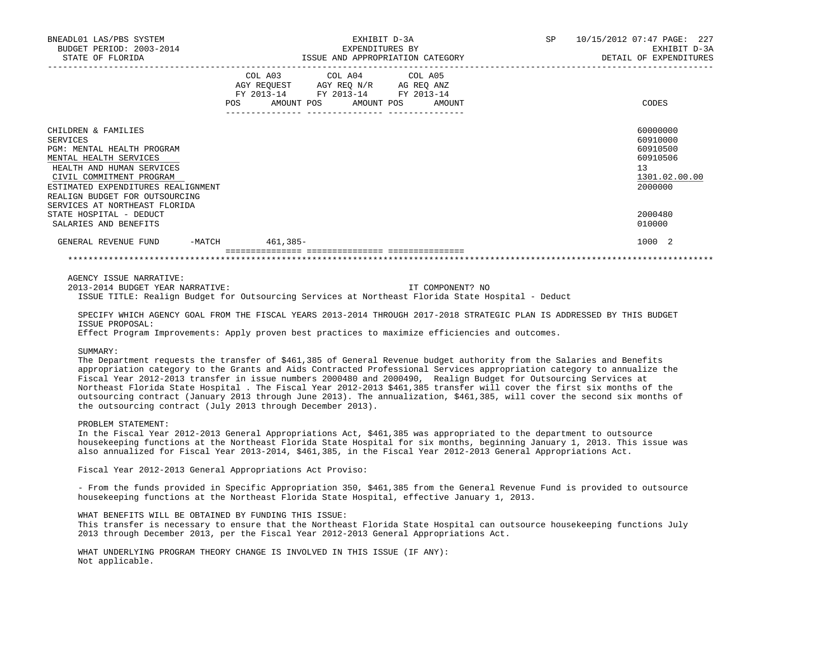| BNEADL01 LAS/PBS SYSTEM<br>BUDGET PERIOD: 2003-2014<br>STATE OF FLORIDA |                 | EXHIBIT D-3A<br>EXPENDITURES BY                                                                                                      | SP | 10/15/2012 07:47 PAGE: 227<br>EXHIBIT D-3A<br>DETAIL OF EXPENDITURES |
|-------------------------------------------------------------------------|-----------------|--------------------------------------------------------------------------------------------------------------------------------------|----|----------------------------------------------------------------------|
|                                                                         |                 | ISSUE AND APPROPRIATION CATEGORY                                                                                                     |    |                                                                      |
|                                                                         | <b>POS</b>      | COL A03 COL A04 COL A05<br>AGY REQUEST AGY REQ N/R AG REQ ANZ<br>FY 2013-14 FY 2013-14 FY 2013-14<br>AMOUNT POS AMOUNT POS<br>AMOUNT |    | CODES                                                                |
| CHILDREN & FAMILIES                                                     |                 |                                                                                                                                      |    | 60000000                                                             |
| SERVICES                                                                |                 |                                                                                                                                      |    | 60910000                                                             |
| PGM: MENTAL HEALTH PROGRAM                                              |                 |                                                                                                                                      |    | 60910500                                                             |
| MENTAL HEALTH SERVICES                                                  |                 |                                                                                                                                      |    | 60910506                                                             |
| HEALTH AND HUMAN SERVICES                                               |                 |                                                                                                                                      |    | 13                                                                   |
| CIVIL COMMITMENT PROGRAM                                                |                 |                                                                                                                                      |    | 1301.02.00.00                                                        |
| ESTIMATED EXPENDITURES REALIGNMENT                                      |                 |                                                                                                                                      |    | 2000000                                                              |
| REALIGN BUDGET FOR OUTSOURCING                                          |                 |                                                                                                                                      |    |                                                                      |
| SERVICES AT NORTHEAST FLORIDA                                           |                 |                                                                                                                                      |    |                                                                      |
| STATE HOSPITAL - DEDUCT                                                 |                 |                                                                                                                                      |    | 2000480                                                              |
| SALARIES AND BENEFITS                                                   |                 |                                                                                                                                      |    | 010000                                                               |
| GENERAL REVENUE FUND                                                    | -MATCH 461,385- |                                                                                                                                      |    | 1000 2                                                               |
|                                                                         |                 |                                                                                                                                      |    |                                                                      |

AGENCY ISSUE NARRATIVE:

 2013-2014 BUDGET YEAR NARRATIVE: IT COMPONENT? NO ISSUE TITLE: Realign Budget for Outsourcing Services at Northeast Florida State Hospital - Deduct

 SPECIFY WHICH AGENCY GOAL FROM THE FISCAL YEARS 2013-2014 THROUGH 2017-2018 STRATEGIC PLAN IS ADDRESSED BY THIS BUDGET ISSUE PROPOSAL:

Effect Program Improvements: Apply proven best practices to maximize efficiencies and outcomes.

SUMMARY:

 The Department requests the transfer of \$461,385 of General Revenue budget authority from the Salaries and Benefits appropriation category to the Grants and Aids Contracted Professional Services appropriation category to annualize the Fiscal Year 2012-2013 transfer in issue numbers 2000480 and 2000490, Realign Budget for Outsourcing Services at Northeast Florida State Hospital . The Fiscal Year 2012-2013 \$461,385 transfer will cover the first six months of the outsourcing contract (January 2013 through June 2013). The annualization, \$461,385, will cover the second six months of the outsourcing contract (July 2013 through December 2013).

PROBLEM STATEMENT:

 In the Fiscal Year 2012-2013 General Appropriations Act, \$461,385 was appropriated to the department to outsource housekeeping functions at the Northeast Florida State Hospital for six months, beginning January 1, 2013. This issue was also annualized for Fiscal Year 2013-2014, \$461,385, in the Fiscal Year 2012-2013 General Appropriations Act.

Fiscal Year 2012-2013 General Appropriations Act Proviso:

 - From the funds provided in Specific Appropriation 350, \$461,385 from the General Revenue Fund is provided to outsource housekeeping functions at the Northeast Florida State Hospital, effective January 1, 2013.

WHAT BENEFITS WILL BE OBTAINED BY FUNDING THIS ISSUE:

 This transfer is necessary to ensure that the Northeast Florida State Hospital can outsource housekeeping functions July 2013 through December 2013, per the Fiscal Year 2012-2013 General Appropriations Act.

 WHAT UNDERLYING PROGRAM THEORY CHANGE IS INVOLVED IN THIS ISSUE (IF ANY): Not applicable.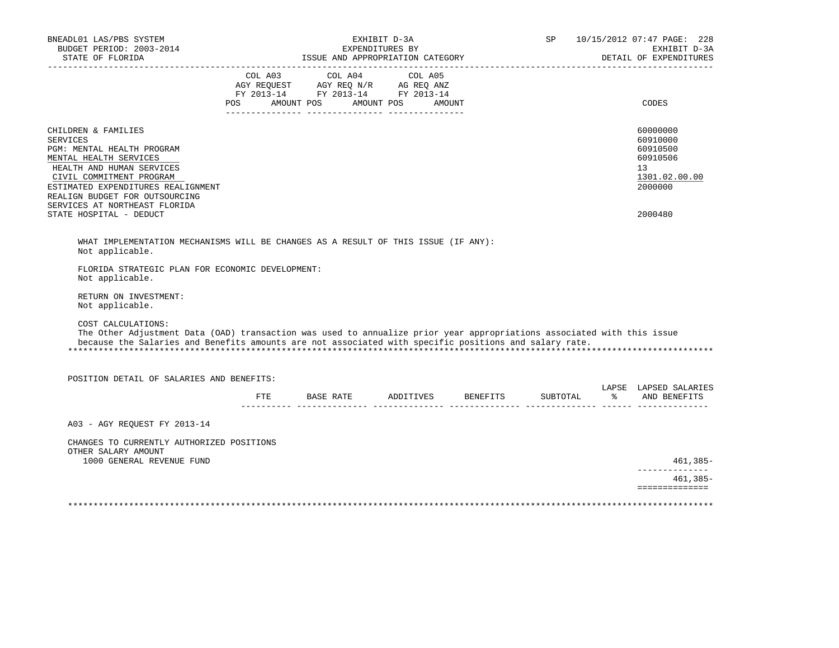| -------------------                                                                                                                                                                      |     | ISSUE AND APPROPRIATION CATEGORY                                                                  | EXHIBIT D-3A<br>EXPENDITURES BY | SP       | 10/15/2012 07:47 PAGE: 228<br>EXHIBIT D-3A<br>DETAIL OF EXPENDITURES |
|------------------------------------------------------------------------------------------------------------------------------------------------------------------------------------------|-----|---------------------------------------------------------------------------------------------------|---------------------------------|----------|----------------------------------------------------------------------|
|                                                                                                                                                                                          |     | COL A03 COL A04 COL A05<br>AGY REQUEST AGY REQ N/R AG REQ ANZ<br>FY 2013-14 FY 2013-14 FY 2013-14 |                                 |          |                                                                      |
|                                                                                                                                                                                          | POS | AMOUNT POS<br>AMOUNT POS                                                                          | <b>AMOUNT</b>                   |          | CODES                                                                |
| CHILDREN & FAMILIES<br><b>SERVICES</b><br>PGM: MENTAL HEALTH PROGRAM<br>MENTAL HEALTH SERVICES                                                                                           |     |                                                                                                   |                                 |          | 60000000<br>60910000<br>60910500<br>60910506                         |
| HEALTH AND HUMAN SERVICES<br>CIVIL COMMITMENT PROGRAM                                                                                                                                    |     |                                                                                                   |                                 |          | 13<br>1301.02.00.00                                                  |
| ESTIMATED EXPENDITURES REALIGNMENT<br>REALIGN BUDGET FOR OUTSOURCING<br>SERVICES AT NORTHEAST FLORIDA                                                                                    |     |                                                                                                   |                                 |          | 2000000                                                              |
| STATE HOSPITAL - DEDUCT                                                                                                                                                                  |     |                                                                                                   |                                 |          | 2000480                                                              |
| RETURN ON INVESTMENT:<br>Not applicable.<br>COST CALCULATIONS:<br>The Other Adjustment Data (OAD) transaction was used to annualize prior year appropriations associated with this issue |     |                                                                                                   |                                 |          |                                                                      |
| because the Salaries and Benefits amounts are not associated with specific positions and salary rate.                                                                                    |     |                                                                                                   |                                 |          |                                                                      |
|                                                                                                                                                                                          |     |                                                                                                   |                                 |          |                                                                      |
| POSITION DETAIL OF SALARIES AND BENEFITS:                                                                                                                                                |     |                                                                                                   |                                 |          |                                                                      |
|                                                                                                                                                                                          | FTE | BASE RATE ADDITIVES BENEFITS                                                                      |                                 | SUBTOTAL | % AND BENEFITS                                                       |
| A03 - AGY REOUEST FY 2013-14                                                                                                                                                             |     |                                                                                                   |                                 |          |                                                                      |
| CHANGES TO CURRENTLY AUTHORIZED POSITIONS<br>OTHER SALARY AMOUNT                                                                                                                         |     |                                                                                                   |                                 |          |                                                                      |
| 1000 GENERAL REVENUE FUND                                                                                                                                                                |     |                                                                                                   |                                 |          | LAPSE LAPSED SALARIES<br>461,385-<br>--------------<br>$461,385-$    |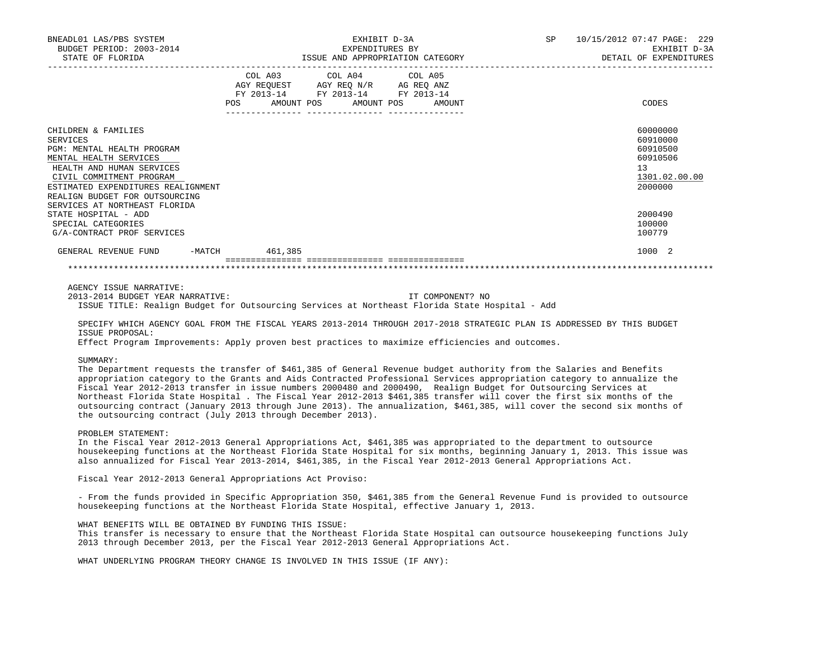| ${\small \begin{tabular}{lcccc} \bf EXHIBIT & D-3A & \bf S} & \tt 10/15/2012 & 07:47 \tt{ PAGE:} & 229 \\ \tt EXPENDITURES & BY & \tt EXHIBIT & D-3A \\ \tt ISSUE & AND \tt APPROPREIATION \tt CATEGORY & \tt DETAL & \tt DETAL & OF \tt EXPENDITURES \\ \end{tabular}}$<br>BNEADL01 LAS/PBS SYSTEM<br>BUDGET PERIOD: 2003-2014<br>STATE OF FLORIDA                                                                                                                                                                                                                                                                                                                                                                                                                                                                                                                                                                                                                                                                                                                                                                                       |                                                                                                            |                         |  |                  |  |                                                                                |
|-------------------------------------------------------------------------------------------------------------------------------------------------------------------------------------------------------------------------------------------------------------------------------------------------------------------------------------------------------------------------------------------------------------------------------------------------------------------------------------------------------------------------------------------------------------------------------------------------------------------------------------------------------------------------------------------------------------------------------------------------------------------------------------------------------------------------------------------------------------------------------------------------------------------------------------------------------------------------------------------------------------------------------------------------------------------------------------------------------------------------------------------|------------------------------------------------------------------------------------------------------------|-------------------------|--|------------------|--|--------------------------------------------------------------------------------|
|                                                                                                                                                                                                                                                                                                                                                                                                                                                                                                                                                                                                                                                                                                                                                                                                                                                                                                                                                                                                                                                                                                                                           | AGY REQUEST AGY REQ N/R AG REQ ANZ<br>FY 2013-14 FY 2013-14 FY 2013-14<br>POS AMOUNT POS AMOUNT POS AMOUNT | COL A03 COL A04 COL A05 |  |                  |  | CODES                                                                          |
|                                                                                                                                                                                                                                                                                                                                                                                                                                                                                                                                                                                                                                                                                                                                                                                                                                                                                                                                                                                                                                                                                                                                           |                                                                                                            |                         |  |                  |  |                                                                                |
| CHILDREN & FAMILIES<br>SERVICES<br>PGM: MENTAL HEALTH PROGRAM<br>MENTAL HEALTH SERVICES<br>HEALTH AND HUMAN SERVICES<br>CIVIL COMMITMENT PROGRAM<br>ESTIMATED EXPENDITURES REALIGNMENT<br>REALIGN BUDGET FOR OUTSOURCING<br>SERVICES AT NORTHEAST FLORIDA                                                                                                                                                                                                                                                                                                                                                                                                                                                                                                                                                                                                                                                                                                                                                                                                                                                                                 |                                                                                                            |                         |  |                  |  | 60000000<br>60910000<br>60910500<br>60910506<br>13<br>1301.02.00.00<br>2000000 |
| STATE HOSPITAL - ADD<br>SPECIAL CATEGORIES<br>G/A-CONTRACT PROF SERVICES                                                                                                                                                                                                                                                                                                                                                                                                                                                                                                                                                                                                                                                                                                                                                                                                                                                                                                                                                                                                                                                                  |                                                                                                            |                         |  |                  |  | 2000490<br>100000<br>100779                                                    |
| GENERAL REVENUE FUND -MATCH 461,385                                                                                                                                                                                                                                                                                                                                                                                                                                                                                                                                                                                                                                                                                                                                                                                                                                                                                                                                                                                                                                                                                                       |                                                                                                            |                         |  |                  |  | 1000 2                                                                         |
|                                                                                                                                                                                                                                                                                                                                                                                                                                                                                                                                                                                                                                                                                                                                                                                                                                                                                                                                                                                                                                                                                                                                           |                                                                                                            |                         |  |                  |  |                                                                                |
| AGENCY ISSUE NARRATIVE:<br>2013-2014 BUDGET YEAR NARRATIVE:<br>ISSUE TITLE: Realign Budget for Outsourcing Services at Northeast Florida State Hospital - Add<br>SPECIFY WHICH AGENCY GOAL FROM THE FISCAL YEARS 2013-2014 THROUGH 2017-2018 STRATEGIC PLAN IS ADDRESSED BY THIS BUDGET<br>ISSUE PROPOSAL:<br>Effect Program Improvements: Apply proven best practices to maximize efficiencies and outcomes.<br>SUMMARY:<br>The Department requests the transfer of \$461,385 of General Revenue budget authority from the Salaries and Benefits<br>appropriation category to the Grants and Aids Contracted Professional Services appropriation category to annualize the<br>Fiscal Year 2012-2013 transfer in issue numbers 2000480 and 2000490, Realign Budget for Outsourcing Services at<br>Northeast Florida State Hospital . The Fiscal Year 2012-2013 \$461,385 transfer will cover the first six months of the<br>outsourcing contract (January 2013 through June 2013). The annualization, \$461,385, will cover the second six months of<br>the outsourcing contract (July 2013 through December 2013).<br>PROBLEM STATEMENT: |                                                                                                            |                         |  | IT COMPONENT? NO |  |                                                                                |
| In the Fiscal Year 2012-2013 General Appropriations Act, \$461,385 was appropriated to the department to outsource<br>housekeeping functions at the Northeast Florida State Hospital for six months, beginning January 1, 2013. This issue was<br>also annualized for Fiscal Year 2013-2014, \$461,385, in the Fiscal Year 2012-2013 General Appropriations Act.                                                                                                                                                                                                                                                                                                                                                                                                                                                                                                                                                                                                                                                                                                                                                                          |                                                                                                            |                         |  |                  |  |                                                                                |
| Fiscal Year 2012-2013 General Appropriations Act Proviso:                                                                                                                                                                                                                                                                                                                                                                                                                                                                                                                                                                                                                                                                                                                                                                                                                                                                                                                                                                                                                                                                                 |                                                                                                            |                         |  |                  |  |                                                                                |
| - From the funds provided in Specific Appropriation 350, \$461,385 from the General Revenue Fund is provided to outsource<br>housekeeping functions at the Northeast Florida State Hospital, effective January 1, 2013.                                                                                                                                                                                                                                                                                                                                                                                                                                                                                                                                                                                                                                                                                                                                                                                                                                                                                                                   |                                                                                                            |                         |  |                  |  |                                                                                |
| WHAT BENEFITS WILL BE OBTAINED BY FUNDING THIS ISSUE:<br>This transfer is necessary to ensure that the Northeast Florida State Hospital can outsource housekeeping functions July<br>2013 through December 2013, per the Fiscal Year 2012-2013 General Appropriations Act.                                                                                                                                                                                                                                                                                                                                                                                                                                                                                                                                                                                                                                                                                                                                                                                                                                                                |                                                                                                            |                         |  |                  |  |                                                                                |
| WHAT UNDERLYING PROGRAM THEORY CHANGE IS INVOLVED IN THIS ISSUE (IF ANY):                                                                                                                                                                                                                                                                                                                                                                                                                                                                                                                                                                                                                                                                                                                                                                                                                                                                                                                                                                                                                                                                 |                                                                                                            |                         |  |                  |  |                                                                                |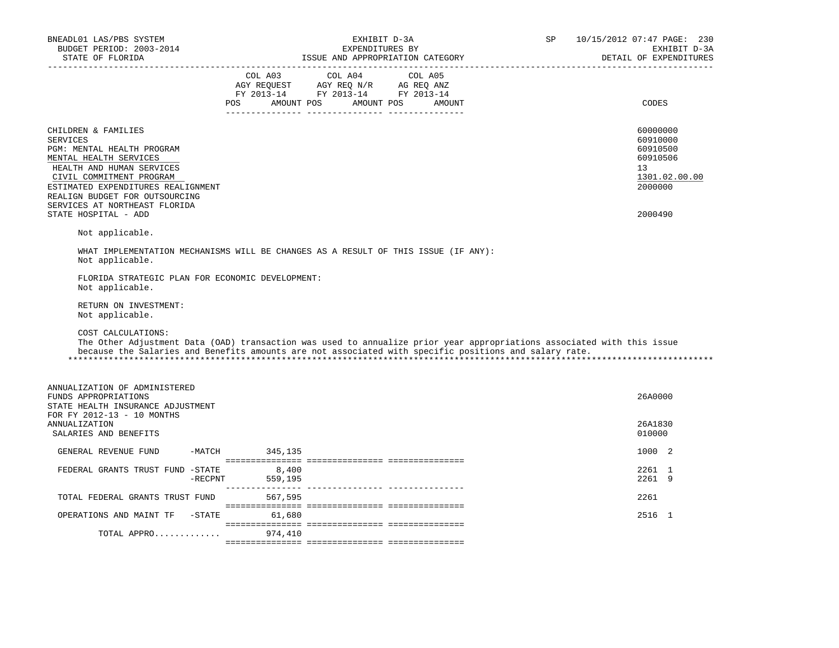| BNEADL01 LAS/PBS SYSTEM<br>BUDGET PERIOD: 2003-2014<br>STATE OF FLORIDA                                                                                                                                                                                                                                     |                | ISSUE AND APPROPRIATION CATEGORY                                                                                                                                                               | EXHIBIT D-3A<br>EXPENDITURES BY |  | SP | 10/15/2012 07:47 PAGE: 230<br>EXHIBIT D-3A<br>DETAIL OF EXPENDITURES                                   |
|-------------------------------------------------------------------------------------------------------------------------------------------------------------------------------------------------------------------------------------------------------------------------------------------------------------|----------------|------------------------------------------------------------------------------------------------------------------------------------------------------------------------------------------------|---------------------------------|--|----|--------------------------------------------------------------------------------------------------------|
| _____________________                                                                                                                                                                                                                                                                                       |                | $\begin{tabular}{lcccc} CDL A03 & CDL A04 & CDL A05 \\ AGY REQUEST & AGY REQ N/R & AG REQ ANZ \\ FY & 2013-14 & FY & 2013-14 & FY & 2013-14 \end{tabular}$<br>POS AMOUNT POS AMOUNT POS AMOUNT |                                 |  |    | CODES                                                                                                  |
| CHILDREN & FAMILIES<br><b>SERVICES</b><br>PGM: MENTAL HEALTH PROGRAM<br>MENTAL HEALTH SERVICES<br>HEALTH AND HUMAN SERVICES<br>CIVIL COMMITMENT PROGRAM<br>ESTIMATED EXPENDITURES REALIGNMENT<br>REALIGN BUDGET FOR OUTSOURCING<br>SERVICES AT NORTHEAST FLORIDA<br>STATE HOSPITAL - ADD<br>Not applicable. |                |                                                                                                                                                                                                |                                 |  |    | 60000000<br>60910000<br>60910500<br>60910506<br>13 <sup>°</sup><br>1301.02.00.00<br>2000000<br>2000490 |
| WHAT IMPLEMENTATION MECHANISMS WILL BE CHANGES AS A RESULT OF THIS ISSUE (IF ANY):<br>Not applicable.                                                                                                                                                                                                       |                |                                                                                                                                                                                                |                                 |  |    |                                                                                                        |
| FLORIDA STRATEGIC PLAN FOR ECONOMIC DEVELOPMENT:<br>Not applicable.<br>RETURN ON INVESTMENT:<br>Not applicable.                                                                                                                                                                                             |                |                                                                                                                                                                                                |                                 |  |    |                                                                                                        |
| COST CALCULATIONS:<br>The Other Adjustment Data (OAD) transaction was used to annualize prior year appropriations associated with this issue<br>because the Salaries and Benefits amounts are not associated with specific positions and salary rate.                                                       |                |                                                                                                                                                                                                |                                 |  |    |                                                                                                        |
| ANNUALIZATION OF ADMINISTERED<br>FUNDS APPROPRIATIONS<br>STATE HEALTH INSURANCE ADJUSTMENT<br>FOR FY 2012-13 - 10 MONTHS                                                                                                                                                                                    |                |                                                                                                                                                                                                |                                 |  |    | 26A0000                                                                                                |
| <b>ANNUALIZATION</b><br>SALARIES AND BENEFITS                                                                                                                                                                                                                                                               |                |                                                                                                                                                                                                |                                 |  |    | 26A1830<br>010000                                                                                      |
| GENERAL REVENUE FUND                                                                                                                                                                                                                                                                                        | -MATCH 345,135 |                                                                                                                                                                                                |                                 |  |    | 1000 2                                                                                                 |
| FEDERAL GRANTS TRUST FUND -STATE                                                                                                                                                                                                                                                                            | $-$ RECPNT     | 8,400<br>559,195                                                                                                                                                                               |                                 |  |    | 2261 1<br>2261 9                                                                                       |
| TOTAL FEDERAL GRANTS TRUST FUND                                                                                                                                                                                                                                                                             |                | 567,595                                                                                                                                                                                        |                                 |  |    | 2261                                                                                                   |
| OPERATIONS AND MAINT TF -STATE 61,680                                                                                                                                                                                                                                                                       |                |                                                                                                                                                                                                |                                 |  |    | 2516 1                                                                                                 |
| TOTAL APPRO                                                                                                                                                                                                                                                                                                 |                | 974,410                                                                                                                                                                                        |                                 |  |    |                                                                                                        |
|                                                                                                                                                                                                                                                                                                             |                |                                                                                                                                                                                                |                                 |  |    |                                                                                                        |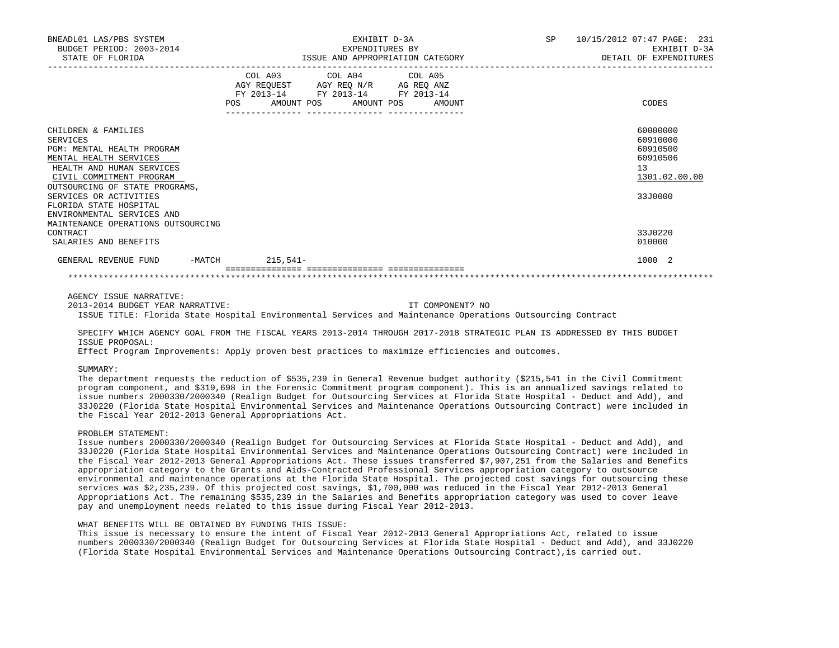| BNEADL01 LAS/PBS SYSTEM<br>BUDGET PERIOD: 2003-2014<br>STATE OF FLORIDA                                                                                                                   |                                       | EXHIBIT D-3A<br>EXPENDITURES BY<br>ISSUE AND APPROPRIATION CATEGORY                                                                   | SP 10/15/2012 07:47 PAGE: 231<br>EXHIBIT D-3A<br>DETAIL OF EXPENDITURES |                                                                     |  |
|-------------------------------------------------------------------------------------------------------------------------------------------------------------------------------------------|---------------------------------------|---------------------------------------------------------------------------------------------------------------------------------------|-------------------------------------------------------------------------|---------------------------------------------------------------------|--|
|                                                                                                                                                                                           | _____________________________________ | COL A03 COL A04 COL A05<br>AGY REQUEST AGY REQ N/R AG REQ ANZ<br>FY 2013-14 FY 2013-14 FY 2013-14<br>POS AMOUNT POS AMOUNT POS AMOUNT |                                                                         | CODES                                                               |  |
| CHILDREN & FAMILIES<br><b>SERVICES</b><br>PGM: MENTAL HEALTH PROGRAM<br>MENTAL HEALTH SERVICES<br>HEALTH AND HUMAN SERVICES<br>CIVIL COMMITMENT PROGRAM<br>OUTSOURCING OF STATE PROGRAMS, |                                       |                                                                                                                                       |                                                                         | 60000000<br>60910000<br>60910500<br>60910506<br>13<br>1301.02.00.00 |  |
| SERVICES OR ACTIVITIES<br>FLORIDA STATE HOSPITAL<br>ENVIRONMENTAL SERVICES AND<br>MAINTENANCE OPERATIONS OUTSOURCING<br>CONTRACT<br>SALARIES AND BENEFITS                                 |                                       |                                                                                                                                       |                                                                         | 33J0000<br>33J0220<br>010000                                        |  |
| GENERAL REVENUE FUND                                                                                                                                                                      | -MATCH 215,541-                       |                                                                                                                                       |                                                                         | 1000 2                                                              |  |

AGENCY ISSUE NARRATIVE:

 2013-2014 BUDGET YEAR NARRATIVE: IT COMPONENT? NO ISSUE TITLE: Florida State Hospital Environmental Services and Maintenance Operations Outsourcing Contract

 SPECIFY WHICH AGENCY GOAL FROM THE FISCAL YEARS 2013-2014 THROUGH 2017-2018 STRATEGIC PLAN IS ADDRESSED BY THIS BUDGET ISSUE PROPOSAL:

Effect Program Improvements: Apply proven best practices to maximize efficiencies and outcomes.

# SUMMARY:

 The department requests the reduction of \$535,239 in General Revenue budget authority (\$215,541 in the Civil Commitment program component, and \$319,698 in the Forensic Commitment program component). This is an annualized savings related to issue numbers 2000330/2000340 (Realign Budget for Outsourcing Services at Florida State Hospital - Deduct and Add), and 33J0220 (Florida State Hospital Environmental Services and Maintenance Operations Outsourcing Contract) were included in the Fiscal Year 2012-2013 General Appropriations Act.

# PROBLEM STATEMENT:

 Issue numbers 2000330/2000340 (Realign Budget for Outsourcing Services at Florida State Hospital - Deduct and Add), and 33J0220 (Florida State Hospital Environmental Services and Maintenance Operations Outsourcing Contract) were included in the Fiscal Year 2012-2013 General Appropriations Act. These issues transferred \$7,907,251 from the Salaries and Benefits appropriation category to the Grants and Aids-Contracted Professional Services appropriation category to outsource environmental and maintenance operations at the Florida State Hospital. The projected cost savings for outsourcing these services was \$2,235,239. Of this projected cost savings, \$1,700,000 was reduced in the Fiscal Year 2012-2013 General Appropriations Act. The remaining \$535,239 in the Salaries and Benefits appropriation category was used to cover leave pay and unemployment needs related to this issue during Fiscal Year 2012-2013.

### WHAT BENEFITS WILL BE OBTAINED BY FUNDING THIS ISSUE:

 This issue is necessary to ensure the intent of Fiscal Year 2012-2013 General Appropriations Act, related to issue numbers 2000330/2000340 (Realign Budget for Outsourcing Services at Florida State Hospital - Deduct and Add), and 33J0220 (Florida State Hospital Environmental Services and Maintenance Operations Outsourcing Contract),is carried out.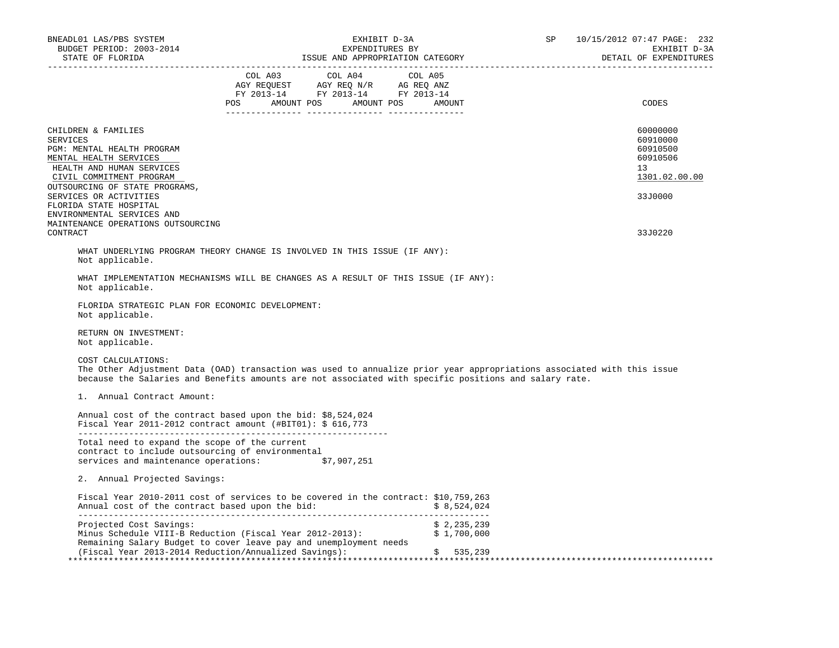| BNEADL01 LAS/PBS SYSTEM<br>BUDGET PERIOD: 2003-2014                                                                                              | EXHIBIT D-3A<br>EXPENDITURES BY                                                                                                                                                                                                 | SP                         | 10/15/2012 07:47 PAGE: 232<br>EXHIBIT D-3A<br>DETAIL OF EXPENDITURES |
|--------------------------------------------------------------------------------------------------------------------------------------------------|---------------------------------------------------------------------------------------------------------------------------------------------------------------------------------------------------------------------------------|----------------------------|----------------------------------------------------------------------|
|                                                                                                                                                  | COL A03 COL A04 COL A05<br>AGY REQUEST AGY REQ N/R AG REQ ANZ<br>FY 2013-14 FY 2013-14 FY 2013-14<br>POS AMOUNT POS AMOUNT POS AMOUNT                                                                                           |                            | CODES                                                                |
| CHILDREN & FAMILIES<br>SERVICES<br>PGM: MENTAL HEALTH PROGRAM<br>MENTAL HEALTH SERVICES<br>HEALTH AND HUMAN SERVICES<br>CIVIL COMMITMENT PROGRAM |                                                                                                                                                                                                                                 |                            | 60000000<br>60910000<br>60910500<br>60910506<br>13<br>1301.02.00.00  |
| OUTSOURCING OF STATE PROGRAMS,<br>SERVICES OR ACTIVITIES<br>FLORIDA STATE HOSPITAL<br>ENVIRONMENTAL SERVICES AND                                 |                                                                                                                                                                                                                                 |                            | 33J0000                                                              |
| MAINTENANCE OPERATIONS OUTSOURCING<br>CONTRACT                                                                                                   |                                                                                                                                                                                                                                 |                            | 33J0220                                                              |
| Not applicable.                                                                                                                                  | WHAT UNDERLYING PROGRAM THEORY CHANGE IS INVOLVED IN THIS ISSUE (IF ANY):                                                                                                                                                       |                            |                                                                      |
| Not applicable.                                                                                                                                  | WHAT IMPLEMENTATION MECHANISMS WILL BE CHANGES AS A RESULT OF THIS ISSUE (IF ANY):                                                                                                                                              |                            |                                                                      |
| FLORIDA STRATEGIC PLAN FOR ECONOMIC DEVELOPMENT:<br>Not applicable.                                                                              |                                                                                                                                                                                                                                 |                            |                                                                      |
| RETURN ON INVESTMENT:<br>Not applicable.                                                                                                         |                                                                                                                                                                                                                                 |                            |                                                                      |
| COST CALCULATIONS:                                                                                                                               | The Other Adjustment Data (OAD) transaction was used to annualize prior year appropriations associated with this issue<br>because the Salaries and Benefits amounts are not associated with specific positions and salary rate. |                            |                                                                      |
| 1. Annual Contract Amount:                                                                                                                       |                                                                                                                                                                                                                                 |                            |                                                                      |
|                                                                                                                                                  | Annual cost of the contract based upon the bid: \$8,524,024<br>Fiscal Year 2011-2012 contract amount $(\text{\#BIT01}):$ \$ 616,773                                                                                             |                            |                                                                      |
| Total need to expand the scope of the current<br>contract to include outsourcing of environmental                                                | services and maintenance operations: \$7,907,251                                                                                                                                                                                |                            |                                                                      |
| 2. Annual Projected Savings:                                                                                                                     |                                                                                                                                                                                                                                 |                            |                                                                      |
|                                                                                                                                                  | Fiscal Year 2010-2011 cost of services to be covered in the contract: \$10,759,263<br>Annual cost of the contract based upon the bid: \$8,524,024                                                                               |                            |                                                                      |
| Projected Cost Savings:                                                                                                                          | Minus Schedule VIII-B Reduction (Fiscal Year 2012-2013):<br>Remaining Salary Budget to cover leave pay and unemployment needs                                                                                                   | \$2,235,239<br>\$1,700,000 |                                                                      |
|                                                                                                                                                  | (Fiscal Year 2013-2014 Reduction/Annualized Savings):                                                                                                                                                                           | 535,239                    |                                                                      |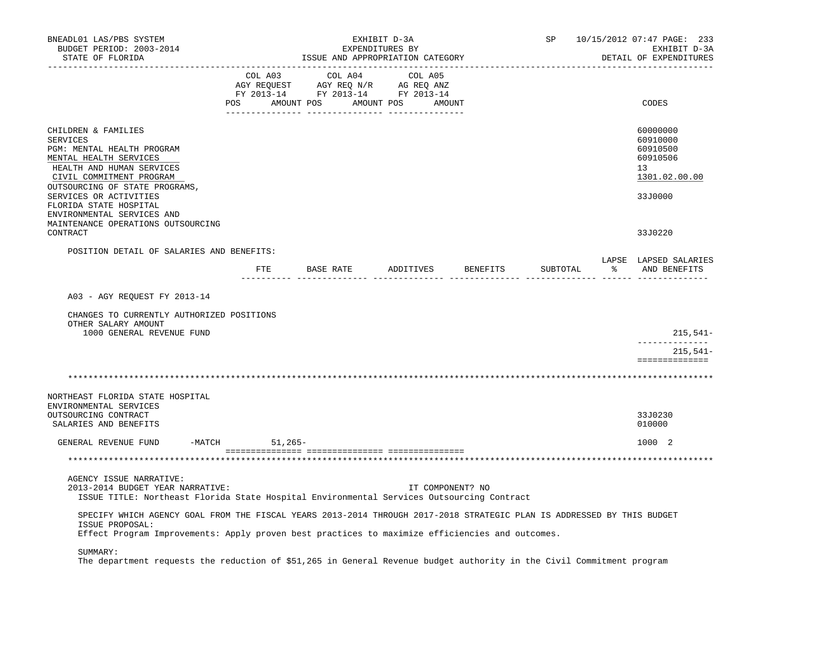| BNEADL01 LAS/PBS SYSTEM<br>BUDGET PERIOD: 2003-2014<br>STATE OF FLORIDA                                                                                                                   |     |                                                                                                                                                                                            |           | EXHIBIT D-3A<br>EXPENDITURES BY<br>ISSUE AND APPROPRIATION CATEGORY |                  |                    | SP       |                         | 10/15/2012 07:47 PAGE: 233<br>EXHIBIT D-3A<br>DETAIL OF EXPENDITURES |
|-------------------------------------------------------------------------------------------------------------------------------------------------------------------------------------------|-----|--------------------------------------------------------------------------------------------------------------------------------------------------------------------------------------------|-----------|---------------------------------------------------------------------|------------------|--------------------|----------|-------------------------|----------------------------------------------------------------------|
|                                                                                                                                                                                           | POS | $\begin{tabular}{lcccc} CDL A03 & CDL A04 & CDL A05 \\ AGY REQUEST & AGY REQ N/R & AG REQ ANZ \\ FY & 2013-14 & FY & 2013-14 & FY & 2013-14 \end{tabular}$<br>AMOUNT POS AMOUNT POS AMOUNT |           |                                                                     |                  |                    |          |                         | CODES                                                                |
| CHILDREN & FAMILIES<br><b>SERVICES</b><br>PGM: MENTAL HEALTH PROGRAM<br>MENTAL HEALTH SERVICES<br>HEALTH AND HUMAN SERVICES<br>CIVIL COMMITMENT PROGRAM<br>OUTSOURCING OF STATE PROGRAMS, |     |                                                                                                                                                                                            |           |                                                                     |                  |                    |          |                         | 60000000<br>60910000<br>60910500<br>60910506<br>13<br>1301.02.00.00  |
| SERVICES OR ACTIVITIES<br>FLORIDA STATE HOSPITAL<br>ENVIRONMENTAL SERVICES AND<br>MAINTENANCE OPERATIONS OUTSOURCING<br>CONTRACT                                                          |     |                                                                                                                                                                                            |           |                                                                     |                  |                    |          |                         | 33J0000<br>33J0220                                                   |
| POSITION DETAIL OF SALARIES AND BENEFITS:                                                                                                                                                 |     |                                                                                                                                                                                            |           |                                                                     |                  |                    |          |                         | LAPSE LAPSED SALARIES                                                |
|                                                                                                                                                                                           |     | FTE                                                                                                                                                                                        | BASE RATE |                                                                     |                  | ADDITIVES BENEFITS | SUBTOTAL | __________ ______ _____ | % AND BENEFITS                                                       |
| A03 - AGY REQUEST FY 2013-14                                                                                                                                                              |     |                                                                                                                                                                                            |           |                                                                     |                  |                    |          |                         |                                                                      |
| CHANGES TO CURRENTLY AUTHORIZED POSITIONS<br>OTHER SALARY AMOUNT<br>1000 GENERAL REVENUE FUND                                                                                             |     |                                                                                                                                                                                            |           |                                                                     |                  |                    |          |                         | $215,541-$                                                           |
|                                                                                                                                                                                           |     |                                                                                                                                                                                            |           |                                                                     |                  |                    |          |                         | 215,541-<br>==============                                           |
|                                                                                                                                                                                           |     |                                                                                                                                                                                            |           |                                                                     |                  |                    |          |                         |                                                                      |
| NORTHEAST FLORIDA STATE HOSPITAL<br>ENVIRONMENTAL SERVICES                                                                                                                                |     |                                                                                                                                                                                            |           |                                                                     |                  |                    |          |                         |                                                                      |
| OUTSOURCING CONTRACT<br>SALARIES AND BENEFITS                                                                                                                                             |     |                                                                                                                                                                                            |           |                                                                     |                  |                    |          |                         | 33J0230<br>010000                                                    |
| GENERAL REVENUE FUND<br>-MATCH                                                                                                                                                            |     | $51,265-$                                                                                                                                                                                  |           |                                                                     |                  |                    |          |                         | 1000 2                                                               |
|                                                                                                                                                                                           |     |                                                                                                                                                                                            |           |                                                                     |                  |                    |          |                         |                                                                      |
| AGENCY ISSUE NARRATIVE:                                                                                                                                                                   |     |                                                                                                                                                                                            |           |                                                                     |                  |                    |          |                         |                                                                      |
| 2013-2014 BUDGET YEAR NARRATIVE:<br>ISSUE TITLE: Northeast Florida State Hospital Environmental Services Outsourcing Contract                                                             |     |                                                                                                                                                                                            |           |                                                                     | IT COMPONENT? NO |                    |          |                         |                                                                      |
| SPECIFY WHICH AGENCY GOAL FROM THE FISCAL YEARS 2013-2014 THROUGH 2017-2018 STRATEGIC PLAN IS ADDRESSED BY THIS BUDGET<br>ISSUE PROPOSAL:                                                 |     |                                                                                                                                                                                            |           |                                                                     |                  |                    |          |                         |                                                                      |
| Effect Program Improvements: Apply proven best practices to maximize efficiencies and outcomes.                                                                                           |     |                                                                                                                                                                                            |           |                                                                     |                  |                    |          |                         |                                                                      |
| SUMMARY:<br>The department requests the reduction of \$51,265 in General Revenue budget authority in the Civil Commitment program                                                         |     |                                                                                                                                                                                            |           |                                                                     |                  |                    |          |                         |                                                                      |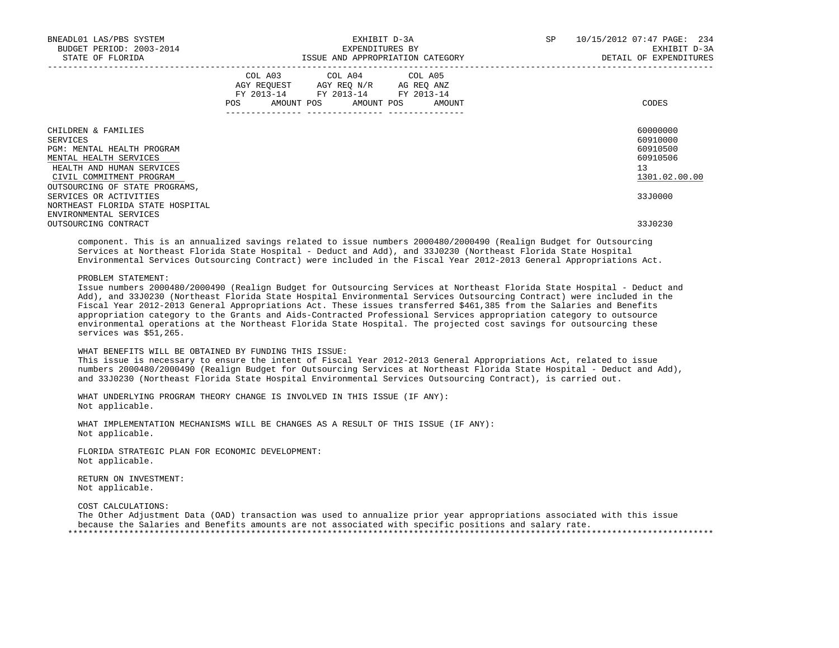| BNEADL01 LAS/PBS SYSTEM<br>BUDGET PERIOD: 2003-2014<br>STATE OF FLORIDA                                                                                                            | EXHIBIT D-3A<br>EXPENDITURES BY<br>ISSUE AND APPROPRIATION CATEGORY                                                                   | SP<br>10/15/2012 07:47 PAGE: 234<br>EXHIBIT D-3A<br>DETAIL OF EXPENDITURES |
|------------------------------------------------------------------------------------------------------------------------------------------------------------------------------------|---------------------------------------------------------------------------------------------------------------------------------------|----------------------------------------------------------------------------|
|                                                                                                                                                                                    | COL A03 COL A04 COL A05<br>AGY REQUEST AGY REQ N/R AG REQ ANZ<br>FY 2013-14 FY 2013-14 FY 2013-14<br>POS AMOUNT POS AMOUNT POS AMOUNT | CODES                                                                      |
| CHILDREN & FAMILIES<br>SERVICES<br>PGM: MENTAL HEALTH PROGRAM<br>MENTAL HEALTH SERVICES<br>HEALTH AND HUMAN SERVICES<br>CIVIL COMMITMENT PROGRAM<br>OUTSOURCING OF STATE PROGRAMS, |                                                                                                                                       | 60000000<br>60910000<br>60910500<br>60910506<br>13<br>1301.02.00.00        |
| SERVICES OR ACTIVITIES<br>NORTHEAST FLORIDA STATE HOSPITAL<br>ENVIRONMENTAL SERVICES                                                                                               |                                                                                                                                       | 33J0000                                                                    |
| OUTSOURCING CONTRACT                                                                                                                                                               |                                                                                                                                       | 33J0230                                                                    |

 component. This is an annualized savings related to issue numbers 2000480/2000490 (Realign Budget for Outsourcing Services at Northeast Florida State Hospital - Deduct and Add), and 33J0230 (Northeast Florida State Hospital Environmental Services Outsourcing Contract) were included in the Fiscal Year 2012-2013 General Appropriations Act.

PROBLEM STATEMENT:

 Issue numbers 2000480/2000490 (Realign Budget for Outsourcing Services at Northeast Florida State Hospital - Deduct and Add), and 33J0230 (Northeast Florida State Hospital Environmental Services Outsourcing Contract) were included in the Fiscal Year 2012-2013 General Appropriations Act. These issues transferred \$461,385 from the Salaries and Benefits appropriation category to the Grants and Aids-Contracted Professional Services appropriation category to outsource environmental operations at the Northeast Florida State Hospital. The projected cost savings for outsourcing these services was \$51,265.

WHAT BENEFITS WILL BE OBTAINED BY FUNDING THIS ISSUE:

 This issue is necessary to ensure the intent of Fiscal Year 2012-2013 General Appropriations Act, related to issue numbers 2000480/2000490 (Realign Budget for Outsourcing Services at Northeast Florida State Hospital - Deduct and Add), and 33J0230 (Northeast Florida State Hospital Environmental Services Outsourcing Contract), is carried out.

 WHAT UNDERLYING PROGRAM THEORY CHANGE IS INVOLVED IN THIS ISSUE (IF ANY): Not applicable.

 WHAT IMPLEMENTATION MECHANISMS WILL BE CHANGES AS A RESULT OF THIS ISSUE (IF ANY): Not applicable.

 FLORIDA STRATEGIC PLAN FOR ECONOMIC DEVELOPMENT: Not applicable.

 RETURN ON INVESTMENT: Not applicable.

COST CALCULATIONS:

 The Other Adjustment Data (OAD) transaction was used to annualize prior year appropriations associated with this issue because the Salaries and Benefits amounts are not associated with specific positions and salary rate. \*\*\*\*\*\*\*\*\*\*\*\*\*\*\*\*\*\*\*\*\*\*\*\*\*\*\*\*\*\*\*\*\*\*\*\*\*\*\*\*\*\*\*\*\*\*\*\*\*\*\*\*\*\*\*\*\*\*\*\*\*\*\*\*\*\*\*\*\*\*\*\*\*\*\*\*\*\*\*\*\*\*\*\*\*\*\*\*\*\*\*\*\*\*\*\*\*\*\*\*\*\*\*\*\*\*\*\*\*\*\*\*\*\*\*\*\*\*\*\*\*\*\*\*\*\*\*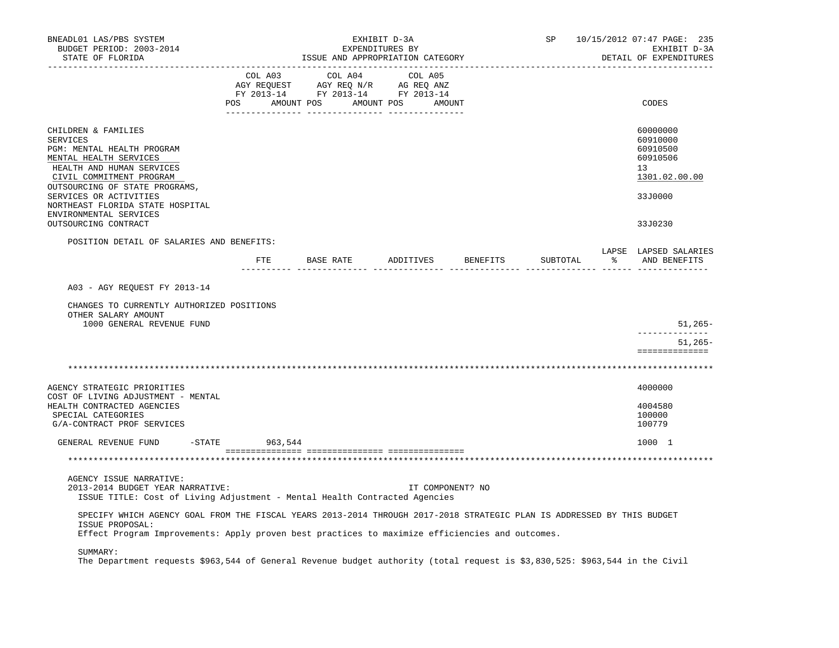| BNEADL01 LAS/PBS SYSTEM<br>BUDGET PERIOD: 2003-2014<br>STATE OF FLORIDA                                                                                                                                                                      |                                                                                                                       | EXHIBIT D-3A<br>EXPENDITURES BY<br>ISSUE AND APPROPRIATION CATEGORY |         |                                  | SP       |                      | 10/15/2012 07:47 PAGE: 235<br>EXHIBIT D-3A<br>DETAIL OF EXPENDITURES           |
|----------------------------------------------------------------------------------------------------------------------------------------------------------------------------------------------------------------------------------------------|-----------------------------------------------------------------------------------------------------------------------|---------------------------------------------------------------------|---------|----------------------------------|----------|----------------------|--------------------------------------------------------------------------------|
|                                                                                                                                                                                                                                              | COL A03<br>AGY REQUEST AGY REQ N/R AG REQ ANZ<br>FY 2013-14 FY 2013-14 FY 2013-14<br>POS AMOUNT POS AMOUNT POS AMOUNT | COL A04                                                             | COL A05 |                                  |          |                      | CODES                                                                          |
| CHILDREN & FAMILIES<br><b>SERVICES</b><br>PGM: MENTAL HEALTH PROGRAM<br>MENTAL HEALTH SERVICES<br>HEALTH AND HUMAN SERVICES<br>CIVIL COMMITMENT PROGRAM<br>OUTSOURCING OF STATE PROGRAMS,<br>SERVICES OR ACTIVITIES                          |                                                                                                                       |                                                                     |         |                                  |          |                      | 60000000<br>60910000<br>60910500<br>60910506<br>13<br>1301.02.00.00<br>33J0000 |
| NORTHEAST FLORIDA STATE HOSPITAL<br>ENVIRONMENTAL SERVICES<br>OUTSOURCING CONTRACT                                                                                                                                                           |                                                                                                                       |                                                                     |         |                                  |          |                      | 33J0230                                                                        |
| POSITION DETAIL OF SALARIES AND BENEFITS:                                                                                                                                                                                                    | __________ __________________                                                                                         |                                                                     |         | FTE BASE RATE ADDITIVES BENEFITS | SUBTOTAL | $\sim$ $\sim$ $\sim$ | LAPSE LAPSED SALARIES<br>AND BENEFITS                                          |
| A03 - AGY REQUEST FY 2013-14<br>CHANGES TO CURRENTLY AUTHORIZED POSITIONS                                                                                                                                                                    |                                                                                                                       |                                                                     |         |                                  |          |                      |                                                                                |
| OTHER SALARY AMOUNT<br>1000 GENERAL REVENUE FUND                                                                                                                                                                                             |                                                                                                                       |                                                                     |         |                                  |          |                      | $51,265-$                                                                      |
|                                                                                                                                                                                                                                              |                                                                                                                       |                                                                     |         |                                  |          |                      | $51,265-$<br>==============                                                    |
|                                                                                                                                                                                                                                              |                                                                                                                       |                                                                     |         |                                  |          |                      |                                                                                |
| AGENCY STRATEGIC PRIORITIES<br>COST OF LIVING ADJUSTMENT - MENTAL<br>HEALTH CONTRACTED AGENCIES<br>SPECIAL CATEGORIES<br>G/A-CONTRACT PROF SERVICES                                                                                          |                                                                                                                       |                                                                     |         |                                  |          |                      | 4000000<br>4004580<br>100000<br>100779                                         |
| $-$ STATE<br>GENERAL REVENUE FUND                                                                                                                                                                                                            | 963,544                                                                                                               |                                                                     |         |                                  |          |                      | 1000 1                                                                         |
|                                                                                                                                                                                                                                              |                                                                                                                       |                                                                     |         |                                  |          |                      |                                                                                |
| AGENCY ISSUE NARRATIVE:<br>2013-2014 BUDGET YEAR NARRATIVE:<br>ISSUE TITLE: Cost of Living Adjustment - Mental Health Contracted Agencies                                                                                                    |                                                                                                                       |                                                                     |         | IT COMPONENT? NO                 |          |                      |                                                                                |
| SPECIFY WHICH AGENCY GOAL FROM THE FISCAL YEARS 2013-2014 THROUGH 2017-2018 STRATEGIC PLAN IS ADDRESSED BY THIS BUDGET<br>ISSUE PROPOSAL:<br>Effect Program Improvements: Apply proven best practices to maximize efficiencies and outcomes. |                                                                                                                       |                                                                     |         |                                  |          |                      |                                                                                |
| SUMMARY:<br>The Department requests \$963,544 of General Revenue budget authority (total request is \$3,830,525: \$963,544 in the Civil                                                                                                      |                                                                                                                       |                                                                     |         |                                  |          |                      |                                                                                |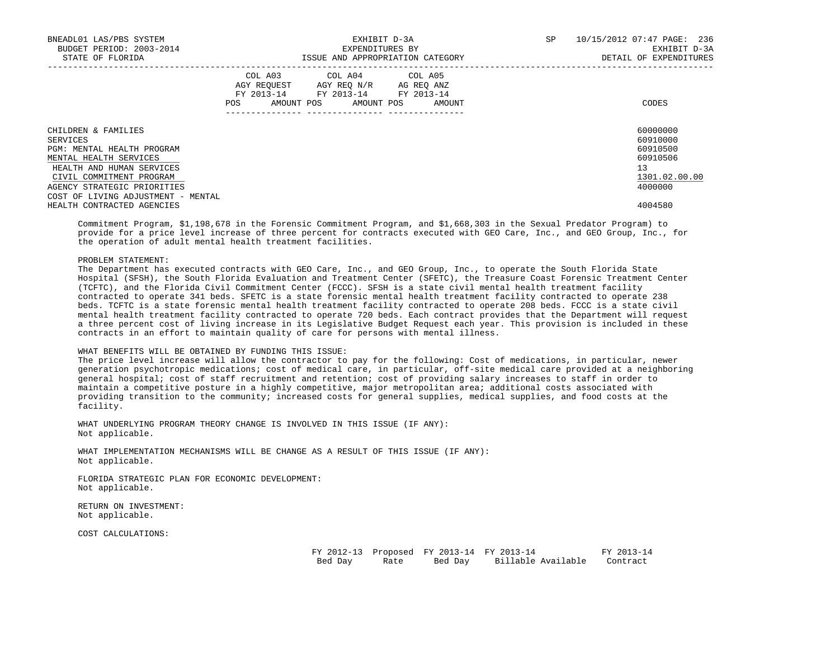| BNEADL01 LAS/PBS SYSTEM<br>BUDGET PERIOD: 2003-2014<br>STATE OF FLORIDA |     | EXHIBIT D-3A<br>EXPENDITURES BY<br>ISSUE AND APPROPRIATION CATEGORY                                                        | SP     | 10/15/2012 07:47 PAGE: 236<br>EXHIBIT D-3A<br>DETAIL OF EXPENDITURES |               |
|-------------------------------------------------------------------------|-----|----------------------------------------------------------------------------------------------------------------------------|--------|----------------------------------------------------------------------|---------------|
|                                                                         | POS | COL A03 COL A04 COL A05<br>AGY REQUEST AGY REO N/R AG REO ANZ<br>FY 2013-14 FY 2013-14 FY 2013-14<br>AMOUNT POS AMOUNT POS | AMOUNT |                                                                      | CODES         |
| CHILDREN & FAMILIES                                                     |     |                                                                                                                            |        |                                                                      | 60000000      |
| SERVICES                                                                |     |                                                                                                                            |        |                                                                      | 60910000      |
| PGM: MENTAL HEALTH PROGRAM                                              |     |                                                                                                                            |        |                                                                      | 60910500      |
| MENTAL HEALTH SERVICES                                                  |     |                                                                                                                            |        |                                                                      | 60910506      |
| HEALTH AND HUMAN SERVICES                                               |     |                                                                                                                            |        |                                                                      | 13            |
| CIVIL COMMITMENT PROGRAM                                                |     |                                                                                                                            |        |                                                                      | 1301.02.00.00 |
| AGENCY STRATEGIC PRIORITIES                                             |     |                                                                                                                            |        |                                                                      | 4000000       |
| COST OF LIVING ADJUSTMENT - MENTAL                                      |     |                                                                                                                            |        |                                                                      |               |
| HEALTH CONTRACTED AGENCIES                                              |     |                                                                                                                            |        |                                                                      | 4004580       |

 Commitment Program, \$1,198,678 in the Forensic Commitment Program, and \$1,668,303 in the Sexual Predator Program) to provide for a price level increase of three percent for contracts executed with GEO Care, Inc., and GEO Group, Inc., for the operation of adult mental health treatment facilities.

### PROBLEM STATEMENT:

 The Department has executed contracts with GEO Care, Inc., and GEO Group, Inc., to operate the South Florida State Hospital (SFSH), the South Florida Evaluation and Treatment Center (SFETC), the Treasure Coast Forensic Treatment Center (TCFTC), and the Florida Civil Commitment Center (FCCC). SFSH is a state civil mental health treatment facility contracted to operate 341 beds. SFETC is a state forensic mental health treatment facility contracted to operate 238 beds. TCFTC is a state forensic mental health treatment facility contracted to operate 208 beds. FCCC is a state civil mental health treatment facility contracted to operate 720 beds. Each contract provides that the Department will request a three percent cost of living increase in its Legislative Budget Request each year. This provision is included in these contracts in an effort to maintain quality of care for persons with mental illness.

# WHAT BENEFITS WILL BE OBTAINED BY FUNDING THIS ISSUE:

 The price level increase will allow the contractor to pay for the following: Cost of medications, in particular, newer generation psychotropic medications; cost of medical care, in particular, off-site medical care provided at a neighboring general hospital; cost of staff recruitment and retention; cost of providing salary increases to staff in order to maintain a competitive posture in a highly competitive, major metropolitan area; additional costs associated with providing transition to the community; increased costs for general supplies, medical supplies, and food costs at the facility.

 WHAT UNDERLYING PROGRAM THEORY CHANGE IS INVOLVED IN THIS ISSUE (IF ANY): Not applicable.

 WHAT IMPLEMENTATION MECHANISMS WILL BE CHANGE AS A RESULT OF THIS ISSUE (IF ANY): Not applicable.

 FLORIDA STRATEGIC PLAN FOR ECONOMIC DEVELOPMENT: Not applicable.

 RETURN ON INVESTMENT: Not applicable.

COST CALCULATIONS:

|         |      | FY 2012-13 Proposed FY 2013-14 FY 2013-14 |                                | FY 2013-14 |
|---------|------|-------------------------------------------|--------------------------------|------------|
| Bed Day | Rate |                                           | Bed Day     Billable Available | Contract   |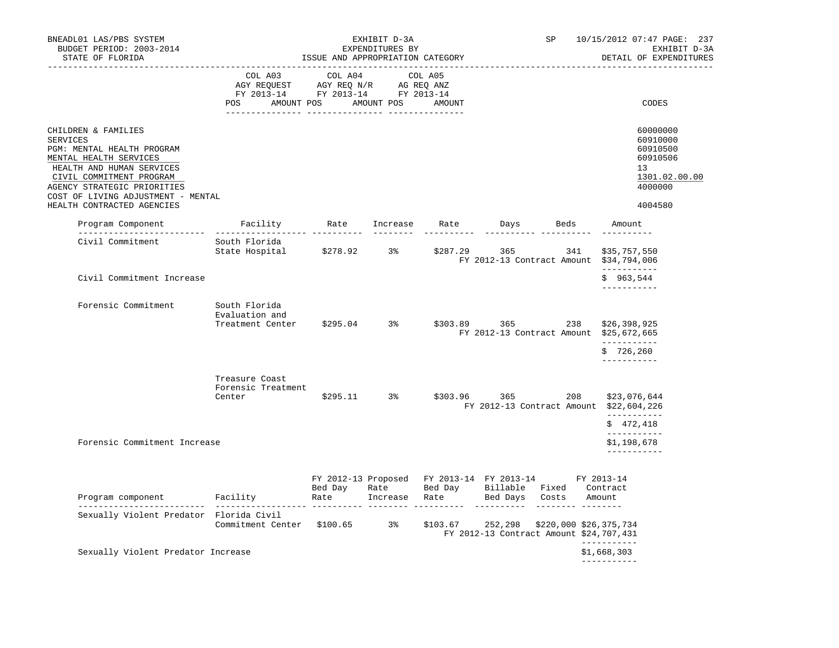| BNEADL01 LAS/PBS SYSTEM<br>BUDGET PERIOD: 2003-2014<br>STATE OF FLORIDA                                                                                                                                                                             |                                                                                                                                                                                                                                                                                                     | ISSUE AND APPROPRIATION CATEGORY | EXHIBIT D-3A<br>EXPENDITURES BY | SP                                                                                      | 10/15/2012 07:47 PAGE: 237<br>EXHIBIT D-3A<br>DETAIL OF EXPENDITURES                      |
|-----------------------------------------------------------------------------------------------------------------------------------------------------------------------------------------------------------------------------------------------------|-----------------------------------------------------------------------------------------------------------------------------------------------------------------------------------------------------------------------------------------------------------------------------------------------------|----------------------------------|---------------------------------|-----------------------------------------------------------------------------------------|-------------------------------------------------------------------------------------------|
|                                                                                                                                                                                                                                                     | COL A03 COL A04 COL A05<br>$\begin{tabular}{lllllll} \bf AGY \;\; RegUEST \hspace{1cm} AGY \;\; REG \;\; N/R \hspace{1cm} \bf AG \;\; REG \;\; ANZ \end{tabular}$ $\begin{tabular}{lllllllllll} \bf FY \;\; 2013-14 \hspace{1cm} FY \;\; 2013-14 \end{tabular}$<br>POS AMOUNT POS AMOUNT POS AMOUNT |                                  |                                 |                                                                                         | CODES                                                                                     |
| CHILDREN & FAMILIES<br>SERVICES<br>PGM: MENTAL HEALTH PROGRAM<br>MENTAL HEALTH SERVICES<br>HEALTH AND HUMAN SERVICES<br>CIVIL COMMITMENT PROGRAM<br>AGENCY STRATEGIC PRIORITIES<br>COST OF LIVING ADJUSTMENT - MENTAL<br>HEALTH CONTRACTED AGENCIES |                                                                                                                                                                                                                                                                                                     |                                  |                                 |                                                                                         | 60000000<br>60910000<br>60910500<br>60910506<br>13<br>1301.02.00.00<br>4000000<br>4004580 |
|                                                                                                                                                                                                                                                     |                                                                                                                                                                                                                                                                                                     |                                  |                                 |                                                                                         | Amount                                                                                    |
| Civil Commitment                                                                                                                                                                                                                                    | South Florida<br>State Hospital \$278.92 3% \$287.29 365 341                                                                                                                                                                                                                                        |                                  |                                 | _________________________<br>FY 2012-13 Contract Amount \$34,794,006                    | ----------<br>\$35,757,550<br>___________                                                 |
| Civil Commitment Increase                                                                                                                                                                                                                           |                                                                                                                                                                                                                                                                                                     |                                  |                                 |                                                                                         | \$963,544<br>-----------                                                                  |
| Forensic Commitment                                                                                                                                                                                                                                 | South Florida<br>Evaluation and<br>Treatment Center \$295.04 3% \$303.89 365 238 \$26,398,925                                                                                                                                                                                                       |                                  |                                 | FY 2012-13 Contract Amount \$25,672,665                                                 | ___________<br>\$726, 260                                                                 |
|                                                                                                                                                                                                                                                     | Treasure Coast<br>Forensic Treatment<br>Center                                                                                                                                                                                                                                                      |                                  | $$295.11$ 3%                    | \$303.96 365 208<br>FY 2012-13 Contract Amount \$22,604,226                             | -----------<br>\$23,076,644<br>-----------<br>\$472,418                                   |
| Forensic Commitment Increase                                                                                                                                                                                                                        |                                                                                                                                                                                                                                                                                                     |                                  |                                 |                                                                                         | ------------<br>\$1,198,678<br>------------                                               |
| Bed Day Rate Bed Day Rillable Fixed Contract<br>Program component Facility Rate Increase Rate Bed Days Costs Amount                                                                                                                                 |                                                                                                                                                                                                                                                                                                     |                                  |                                 | FY 2012-13 Proposed FY 2013-14 FY 2013-14 FY 2013-14                                    |                                                                                           |
| Sexually Violent Predator Florida Civil                                                                                                                                                                                                             | Commitment Center \$100.65 3%                                                                                                                                                                                                                                                                       |                                  |                                 | $$103.67$ 252, 298 $$220,000$ \$26, 375, 734<br>FY 2012-13 Contract Amount \$24,707,431 |                                                                                           |
| Sexually Violent Predator Increase                                                                                                                                                                                                                  |                                                                                                                                                                                                                                                                                                     |                                  |                                 |                                                                                         | -----------<br>\$1,668,303<br>-----------                                                 |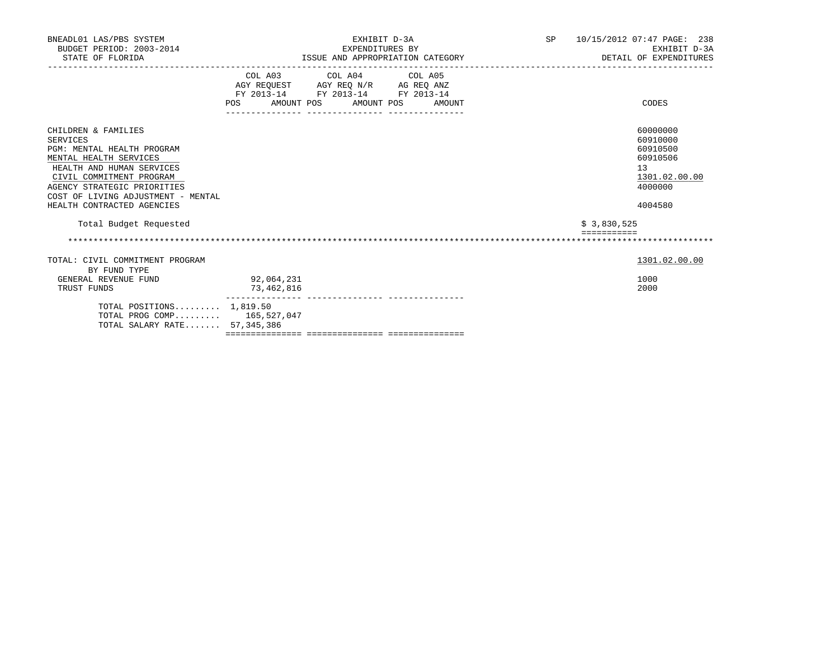| BNEADL01 LAS/PBS SYSTEM<br>BUDGET PERIOD: 2003-2014<br>STATE OF FLORIDA                                                                                                                                                                             | EXHIBIT D-3A<br>EXPENDITURES BY<br>ISSUE AND APPROPRIATION CATEGORY                                                                   | SP 10/15/2012 07:47 PAGE: 238<br>EXHIBIT D-3A<br>DETAIL OF EXPENDITURES                   |
|-----------------------------------------------------------------------------------------------------------------------------------------------------------------------------------------------------------------------------------------------------|---------------------------------------------------------------------------------------------------------------------------------------|-------------------------------------------------------------------------------------------|
|                                                                                                                                                                                                                                                     | COL A03 COL A04 COL A05<br>AGY REQUEST AGY REQ N/R AG REQ ANZ<br>FY 2013-14 FY 2013-14 FY 2013-14<br>POS AMOUNT POS AMOUNT POS AMOUNT | CODES                                                                                     |
| CHILDREN & FAMILIES<br>SERVICES<br>PGM: MENTAL HEALTH PROGRAM<br>MENTAL HEALTH SERVICES<br>HEALTH AND HUMAN SERVICES<br>CIVIL COMMITMENT PROGRAM<br>AGENCY STRATEGIC PRIORITIES<br>COST OF LIVING ADJUSTMENT - MENTAL<br>HEALTH CONTRACTED AGENCIES |                                                                                                                                       | 60000000<br>60910000<br>60910500<br>60910506<br>13<br>1301.02.00.00<br>4000000<br>4004580 |
| Total Budget Requested                                                                                                                                                                                                                              |                                                                                                                                       | \$3,830,525                                                                               |
|                                                                                                                                                                                                                                                     |                                                                                                                                       |                                                                                           |
| TOTAL: CIVIL COMMITMENT PROGRAM<br>BY FUND TYPE                                                                                                                                                                                                     |                                                                                                                                       | 1301.02.00.00                                                                             |
| GENERAL REVENUE FUND<br>TRUST FUNDS                                                                                                                                                                                                                 | 92,064,231<br>73,462,816                                                                                                              | 1000<br>2000                                                                              |
| TOTAL POSITIONS $1,819.50$<br>TOTAL PROG COMP 165,527,047<br>TOTAL SALARY RATE 57,345,386                                                                                                                                                           |                                                                                                                                       |                                                                                           |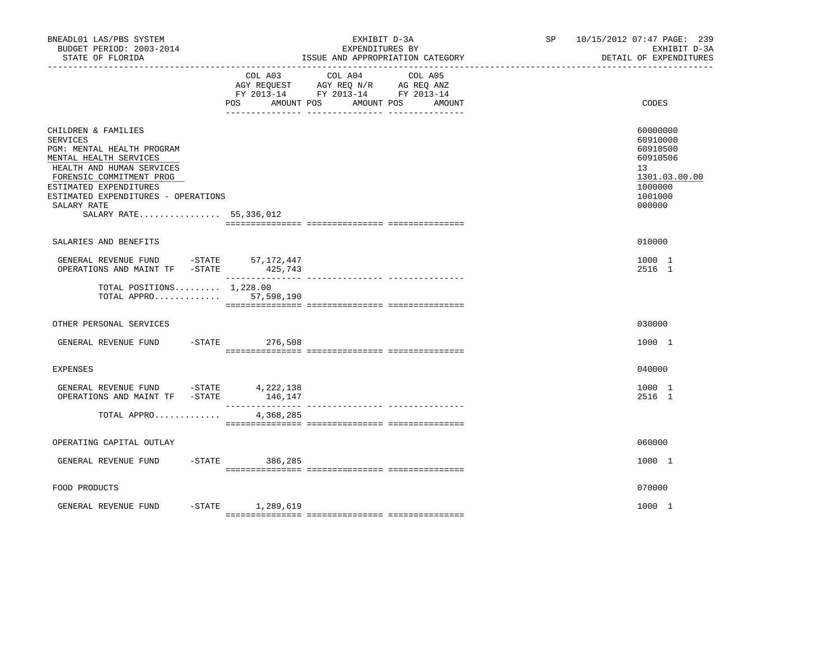| BNEADL01 LAS/PBS SYSTEM<br>BUDGET PERIOD: 2003-2014<br>STATE OF FLORIDA                                                                                                                                                                                           |                      | EXHIBIT D-3A<br>EXPENDITURES BY<br>ISSUE AND APPROPRIATION CATEGORY                                                       | SP 10/15/2012 07:47 PAGE: 239<br>EXHIBIT D-3A<br>DETAIL OF EXPENDITURES                             |
|-------------------------------------------------------------------------------------------------------------------------------------------------------------------------------------------------------------------------------------------------------------------|----------------------|---------------------------------------------------------------------------------------------------------------------------|-----------------------------------------------------------------------------------------------------|
|                                                                                                                                                                                                                                                                   | POS<br>AMOUNT POS    | COL A03 COL A04 COL A05<br>AGY REQUEST AGY REQ N/R AG REQ ANZ<br>FY 2013-14 FY 2013-14 FY 2013-14<br>AMOUNT POS<br>AMOUNT | CODES                                                                                               |
| CHILDREN & FAMILIES<br><b>SERVICES</b><br>PGM: MENTAL HEALTH PROGRAM<br>MENTAL HEALTH SERVICES<br>HEALTH AND HUMAN SERVICES<br>FORENSIC COMMITMENT PROG<br>ESTIMATED EXPENDITURES<br>ESTIMATED EXPENDITURES - OPERATIONS<br>SALARY RATE<br>SALARY RATE 55,336,012 |                      |                                                                                                                           | 60000000<br>60910000<br>60910500<br>60910506<br>13<br>1301.03.00.00<br>1000000<br>1001000<br>000000 |
| SALARIES AND BENEFITS                                                                                                                                                                                                                                             |                      |                                                                                                                           | 010000                                                                                              |
| GENERAL REVENUE FUND -STATE 57,172,447<br>OPERATIONS AND MAINT TF -STATE                                                                                                                                                                                          | 425,743<br>________  | ---------------- ---------------                                                                                          | 1000 1<br>2516 1                                                                                    |
| TOTAL POSITIONS $1,228.00$<br>TOTAL APPRO $57,598,190$                                                                                                                                                                                                            |                      |                                                                                                                           |                                                                                                     |
| OTHER PERSONAL SERVICES                                                                                                                                                                                                                                           |                      |                                                                                                                           | 030000                                                                                              |
| $-$ STATE<br>GENERAL REVENUE FUND                                                                                                                                                                                                                                 | 276,508              |                                                                                                                           | 1000 1                                                                                              |
| EXPENSES                                                                                                                                                                                                                                                          |                      |                                                                                                                           | 040000                                                                                              |
| GENERAL REVENUE FUND -STATE 4, 222, 138<br>OPERATIONS AND MAINT TF -STATE                                                                                                                                                                                         | 146,147              |                                                                                                                           | 1000 1<br>2516 1                                                                                    |
| TOTAL APPRO                                                                                                                                                                                                                                                       | 4,368,285            |                                                                                                                           |                                                                                                     |
| OPERATING CAPITAL OUTLAY                                                                                                                                                                                                                                          |                      |                                                                                                                           | 060000                                                                                              |
| GENERAL REVENUE FUND                                                                                                                                                                                                                                              | $-$ STATE<br>386,285 |                                                                                                                           | 1000 1                                                                                              |
| FOOD PRODUCTS                                                                                                                                                                                                                                                     |                      |                                                                                                                           | 070000                                                                                              |
| GENERAL REVENUE FUND                                                                                                                                                                                                                                              | -STATE 1,289,619     |                                                                                                                           | 1000 1                                                                                              |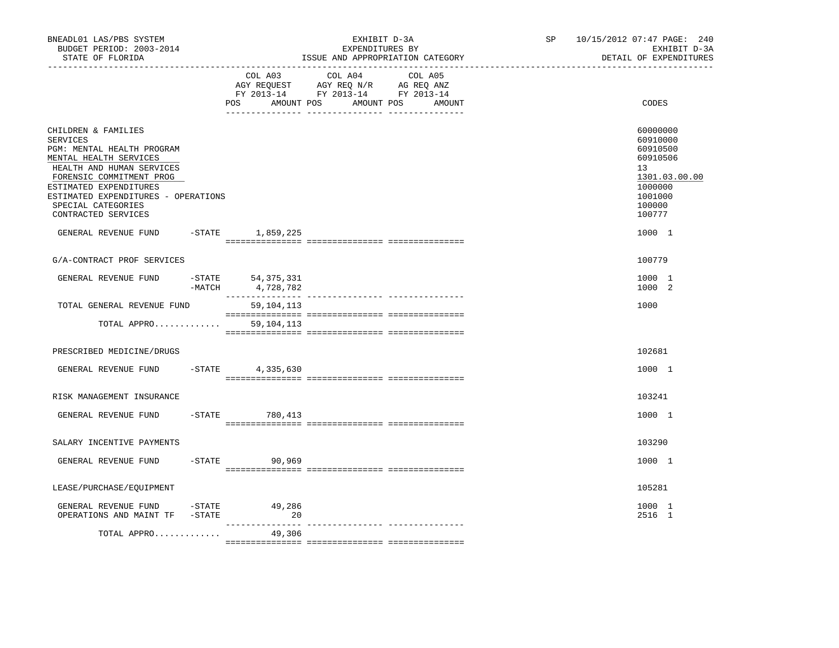| BNEADL01 LAS/PBS SYSTEM<br>BUDGET PERIOD: 2003-2014<br>STATE OF FLORIDA                                                                                                                                                                                               |           |                                     | EXHIBIT D-3A<br>EXPENDITURES BY<br>ISSUE AND APPROPRIATION CATEGORY                                                  | SP | 10/15/2012 07:47 PAGE: 240<br>EXHIBIT D-3A<br>DETAIL OF EXPENDITURES                                          |
|-----------------------------------------------------------------------------------------------------------------------------------------------------------------------------------------------------------------------------------------------------------------------|-----------|-------------------------------------|----------------------------------------------------------------------------------------------------------------------|----|---------------------------------------------------------------------------------------------------------------|
|                                                                                                                                                                                                                                                                       |           | COL A03<br><b>POS</b><br>AMOUNT POS | COL A04<br>COL A05<br>AGY REQUEST AGY REQ N/R AG REQ ANZ<br>FY 2013-14 FY 2013-14 FY 2013-14<br>AMOUNT POS<br>AMOUNT |    | CODES                                                                                                         |
| CHILDREN & FAMILIES<br><b>SERVICES</b><br>PGM: MENTAL HEALTH PROGRAM<br>MENTAL HEALTH SERVICES<br>HEALTH AND HUMAN SERVICES<br>FORENSIC COMMITMENT PROG<br>ESTIMATED EXPENDITURES<br>ESTIMATED EXPENDITURES - OPERATIONS<br>SPECIAL CATEGORIES<br>CONTRACTED SERVICES |           |                                     |                                                                                                                      |    | 60000000<br>60910000<br>60910500<br>60910506<br>13<br>1301.03.00.00<br>1000000<br>1001000<br>100000<br>100777 |
| GENERAL REVENUE FUND -STATE 1,859,225                                                                                                                                                                                                                                 |           |                                     |                                                                                                                      |    | 1000 1                                                                                                        |
| G/A-CONTRACT PROF SERVICES                                                                                                                                                                                                                                            |           |                                     |                                                                                                                      |    | 100779                                                                                                        |
| GENERAL REVENUE FUND                                                                                                                                                                                                                                                  | $-MATCH$  | -STATE 54,375,331<br>4,728,782      |                                                                                                                      |    | 1000 1<br>1000 2                                                                                              |
| TOTAL GENERAL REVENUE FUND                                                                                                                                                                                                                                            |           | 59,104,113                          |                                                                                                                      |    | 1000                                                                                                          |
| TOTAL APPRO                                                                                                                                                                                                                                                           |           | 59,104,113                          |                                                                                                                      |    |                                                                                                               |
| PRESCRIBED MEDICINE/DRUGS                                                                                                                                                                                                                                             |           |                                     |                                                                                                                      |    | 102681                                                                                                        |
| GENERAL REVENUE FUND -STATE 4,335,630                                                                                                                                                                                                                                 |           |                                     |                                                                                                                      |    | 1000 1                                                                                                        |
| RISK MANAGEMENT INSURANCE                                                                                                                                                                                                                                             |           |                                     |                                                                                                                      |    | 103241                                                                                                        |
| GENERAL REVENUE FUND                                                                                                                                                                                                                                                  |           | $-STATE$<br>780,413                 |                                                                                                                      |    | 1000 1                                                                                                        |
| SALARY INCENTIVE PAYMENTS                                                                                                                                                                                                                                             |           |                                     |                                                                                                                      |    | 103290                                                                                                        |
| GENERAL REVENUE FUND                                                                                                                                                                                                                                                  |           | $-STATE$<br>90,969                  |                                                                                                                      |    | 1000 1                                                                                                        |
| LEASE/PURCHASE/EQUIPMENT                                                                                                                                                                                                                                              |           |                                     |                                                                                                                      |    | 105281                                                                                                        |
| GENERAL REVENUE FUND -STATE<br>OPERATIONS AND MAINT TF                                                                                                                                                                                                                | $-$ STATE | 49,286<br>20                        |                                                                                                                      |    | 1000 1<br>2516 1                                                                                              |
| TOTAL APPRO                                                                                                                                                                                                                                                           |           | 49,306                              |                                                                                                                      |    |                                                                                                               |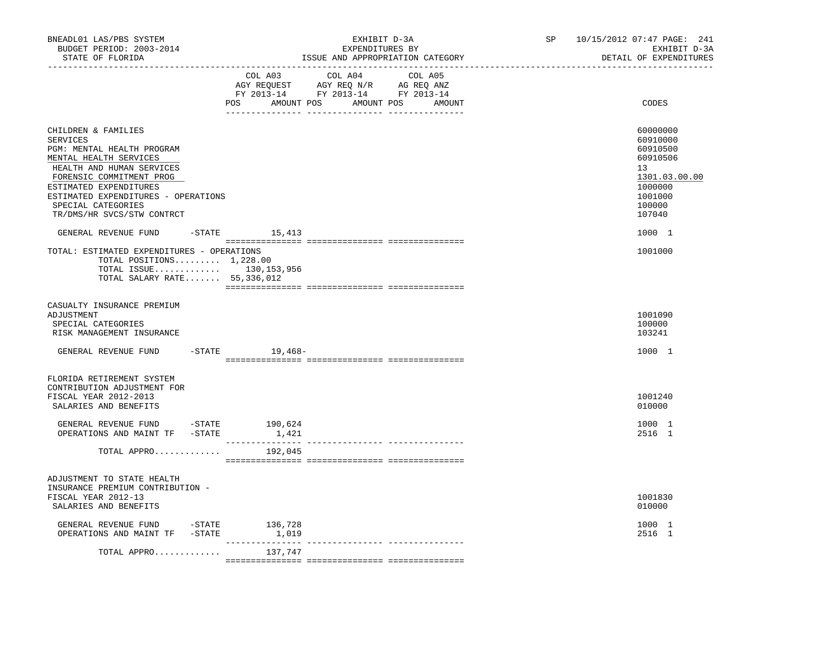| BNEADL01 LAS/PBS SYSTEM<br>BUDGET PERIOD: 2003-2014<br>STATE OF FLORIDA<br>-----------------                                                                                                                                                                                 |                                      | EXHIBIT D-3A<br>EXPENDITURES BY<br>ISSUE AND APPROPRIATION CATEGORY                                                                                                                                                                                                                            | SP and the set of the set of the set of the set of the set of the set of the set of the set of the set of the set of the set of the set of the set of the set of the set of the set of the set of the set of the set of the se | 10/15/2012 07:47 PAGE: 241<br>EXHIBIT D-3A<br>DETAIL OF EXPENDITURES                                          |  |  |
|------------------------------------------------------------------------------------------------------------------------------------------------------------------------------------------------------------------------------------------------------------------------------|--------------------------------------|------------------------------------------------------------------------------------------------------------------------------------------------------------------------------------------------------------------------------------------------------------------------------------------------|--------------------------------------------------------------------------------------------------------------------------------------------------------------------------------------------------------------------------------|---------------------------------------------------------------------------------------------------------------|--|--|
|                                                                                                                                                                                                                                                                              | COL A03                              | COL A04 COL A05<br>$\begin{tabular}{lllllll} \bf AGY \;\; RegUEST \hspace{1cm} AGY \;\; REG \;\; N/R \hspace{1cm} \bf AG \;\; REG \;\; ANZ \end{tabular}$ $\begin{tabular}{lllllllllll} \bf FY \;\; 2013-14 \hspace{1cm} FY \;\; 2013-14 \end{tabular}$<br>POS AMOUNT POS AMOUNT POS<br>AMOUNT |                                                                                                                                                                                                                                | CODES                                                                                                         |  |  |
| CHILDREN & FAMILIES<br><b>SERVICES</b><br>PGM: MENTAL HEALTH PROGRAM<br>MENTAL HEALTH SERVICES<br>HEALTH AND HUMAN SERVICES<br>FORENSIC COMMITMENT PROG<br>ESTIMATED EXPENDITURES<br>ESTIMATED EXPENDITURES - OPERATIONS<br>SPECIAL CATEGORIES<br>TR/DMS/HR SVCS/STW CONTRCT |                                      |                                                                                                                                                                                                                                                                                                |                                                                                                                                                                                                                                | 60000000<br>60910000<br>60910500<br>60910506<br>13<br>1301.03.00.00<br>1000000<br>1001000<br>100000<br>107040 |  |  |
| GENERAL REVENUE FUND<br>TOTAL: ESTIMATED EXPENDITURES - OPERATIONS<br>TOTAL POSITIONS $1,228.00$<br>TOTAL ISSUE 130,153,956<br>TOTAL SALARY RATE 55,336,012                                                                                                                  | $-$ STATE 15, 413                    |                                                                                                                                                                                                                                                                                                |                                                                                                                                                                                                                                | 1000 1<br>1001000                                                                                             |  |  |
| CASUALTY INSURANCE PREMIUM<br>ADJUSTMENT<br>SPECIAL CATEGORIES<br>RISK MANAGEMENT INSURANCE                                                                                                                                                                                  |                                      |                                                                                                                                                                                                                                                                                                |                                                                                                                                                                                                                                | 1001090<br>100000<br>103241                                                                                   |  |  |
| GENERAL REVENUE FUND                                                                                                                                                                                                                                                         | $-STATE$ 19,468-                     |                                                                                                                                                                                                                                                                                                |                                                                                                                                                                                                                                | 1000 1                                                                                                        |  |  |
| FLORIDA RETIREMENT SYSTEM<br>CONTRIBUTION ADJUSTMENT FOR<br>FISCAL YEAR 2012-2013<br>SALARIES AND BENEFITS<br>GENERAL REVENUE FUND -STATE 190,624                                                                                                                            |                                      |                                                                                                                                                                                                                                                                                                |                                                                                                                                                                                                                                | 1001240<br>010000<br>1000 1                                                                                   |  |  |
| OPERATIONS AND MAINT TF -STATE<br>TOTAL APPRO                                                                                                                                                                                                                                | 1,421<br>----------------<br>192,045 | ------------- ---------                                                                                                                                                                                                                                                                        |                                                                                                                                                                                                                                | 2516 1                                                                                                        |  |  |
| ADJUSTMENT TO STATE HEALTH<br>INSURANCE PREMIUM CONTRIBUTION -<br>FISCAL YEAR 2012-13<br>SALARIES AND BENEFITS                                                                                                                                                               |                                      |                                                                                                                                                                                                                                                                                                |                                                                                                                                                                                                                                | 1001830<br>010000                                                                                             |  |  |
| GENERAL REVENUE FUND -STATE 136,728<br>OPERATIONS AND MAINT TF -STATE                                                                                                                                                                                                        | 1,019                                |                                                                                                                                                                                                                                                                                                |                                                                                                                                                                                                                                | 1000 1<br>2516 1                                                                                              |  |  |
| TOTAL APPRO                                                                                                                                                                                                                                                                  | 137,747                              |                                                                                                                                                                                                                                                                                                |                                                                                                                                                                                                                                |                                                                                                               |  |  |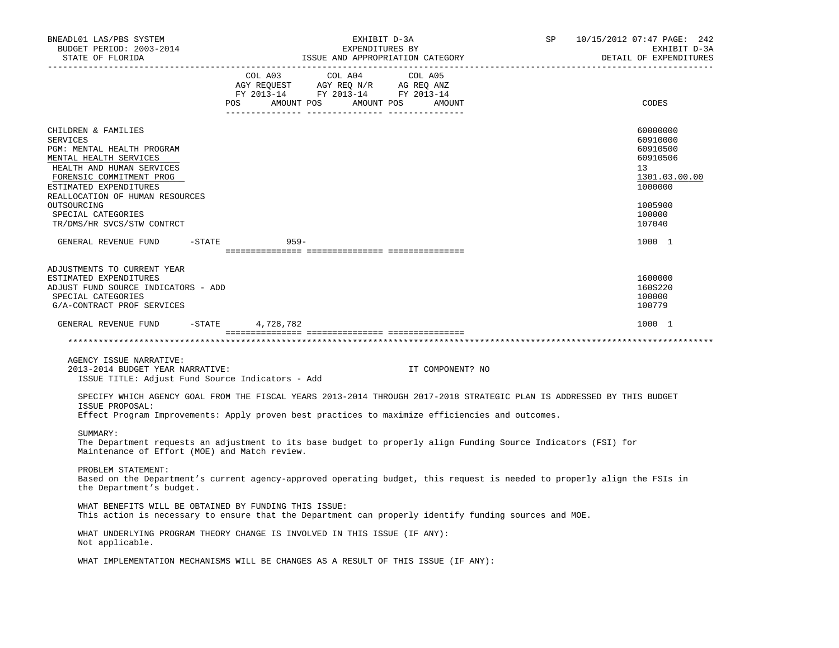| BNEADL01 LAS/PBS SYSTEM<br>BUDGET PERIOD: 2003-2014<br>STATE OF FLORIDA                                                                                                                                                                                                                                                                                         |                                                                                                                                                                                                | EXHIBIT D-3A<br>EXPENDITURES BY | ISSUE AND APPROPRIATION CATEGORY | SP | 10/15/2012 07:47 PAGE: 242<br>EXHIBIT D-3A<br>DETAIL OF EXPENDITURES           |
|-----------------------------------------------------------------------------------------------------------------------------------------------------------------------------------------------------------------------------------------------------------------------------------------------------------------------------------------------------------------|------------------------------------------------------------------------------------------------------------------------------------------------------------------------------------------------|---------------------------------|----------------------------------|----|--------------------------------------------------------------------------------|
|                                                                                                                                                                                                                                                                                                                                                                 | $\begin{tabular}{lcccc} COL A03 & COL A04 & COL A05 \\ AGY REQUEST & AGY REQ N/R & AG REQ ANZ \\ FY & 2013-14 & FY & 2013-14 & FY & 2013-14 \end{tabular}$<br>POS AMOUNT POS AMOUNT POS AMOUNT |                                 |                                  |    | CODES                                                                          |
| CHILDREN & FAMILIES<br><b>SERVICES</b><br>PGM: MENTAL HEALTH PROGRAM<br>MENTAL HEALTH SERVICES<br>HEALTH AND HUMAN SERVICES<br>FORENSIC COMMITMENT PROG<br>ESTIMATED EXPENDITURES<br>REALLOCATION OF HUMAN RESOURCES                                                                                                                                            |                                                                                                                                                                                                |                                 |                                  |    | 60000000<br>60910000<br>60910500<br>60910506<br>13<br>1301.03.00.00<br>1000000 |
| OUTSOURCING<br>SPECIAL CATEGORIES<br>TR/DMS/HR SVCS/STW CONTRCT                                                                                                                                                                                                                                                                                                 |                                                                                                                                                                                                |                                 |                                  |    | 1005900<br>100000<br>107040                                                    |
| GENERAL REVENUE FUND                                                                                                                                                                                                                                                                                                                                            | $-STATE$<br>$959 -$                                                                                                                                                                            |                                 |                                  |    | 1000 1                                                                         |
| ADJUSTMENTS TO CURRENT YEAR<br>ESTIMATED EXPENDITURES<br>ADJUST FUND SOURCE INDICATORS - ADD<br>SPECIAL CATEGORIES<br>G/A-CONTRACT PROF SERVICES                                                                                                                                                                                                                |                                                                                                                                                                                                |                                 |                                  |    | 1600000<br>160S220<br>100000<br>100779                                         |
| GENERAL REVENUE FUND -STATE 4,728,782                                                                                                                                                                                                                                                                                                                           |                                                                                                                                                                                                |                                 |                                  |    | 1000 1                                                                         |
| AGENCY ISSUE NARRATIVE:<br>2013-2014 BUDGET YEAR NARRATIVE:<br>ISSUE TITLE: Adjust Fund Source Indicators - Add<br>SPECIFY WHICH AGENCY GOAL FROM THE FISCAL YEARS 2013-2014 THROUGH 2017-2018 STRATEGIC PLAN IS ADDRESSED BY THIS BUDGET<br>ISSUE PROPOSAL:<br>Effect Program Improvements: Apply proven best practices to maximize efficiencies and outcomes. |                                                                                                                                                                                                |                                 | IT COMPONENT? NO                 |    |                                                                                |
| SUMMARY:<br>The Department requests an adjustment to its base budget to properly align Funding Source Indicators (FSI) for<br>Maintenance of Effort (MOE) and Match review.                                                                                                                                                                                     |                                                                                                                                                                                                |                                 |                                  |    |                                                                                |
| PROBLEM STATEMENT:<br>Based on the Department's current agency-approved operating budget, this request is needed to properly align the FSIs in<br>the Department's budget.                                                                                                                                                                                      |                                                                                                                                                                                                |                                 |                                  |    |                                                                                |
| WHAT BENEFITS WILL BE OBTAINED BY FUNDING THIS ISSUE:<br>This action is necessary to ensure that the Department can properly identify funding sources and MOE.                                                                                                                                                                                                  |                                                                                                                                                                                                |                                 |                                  |    |                                                                                |
| WHAT UNDERLYING PROGRAM THEORY CHANGE IS INVOLVED IN THIS ISSUE (IF ANY):<br>Not applicable.                                                                                                                                                                                                                                                                    |                                                                                                                                                                                                |                                 |                                  |    |                                                                                |
| WHAT IMPLEMENTATION MECHANISMS WILL BE CHANGES AS A RESULT OF THIS ISSUE (IF ANY):                                                                                                                                                                                                                                                                              |                                                                                                                                                                                                |                                 |                                  |    |                                                                                |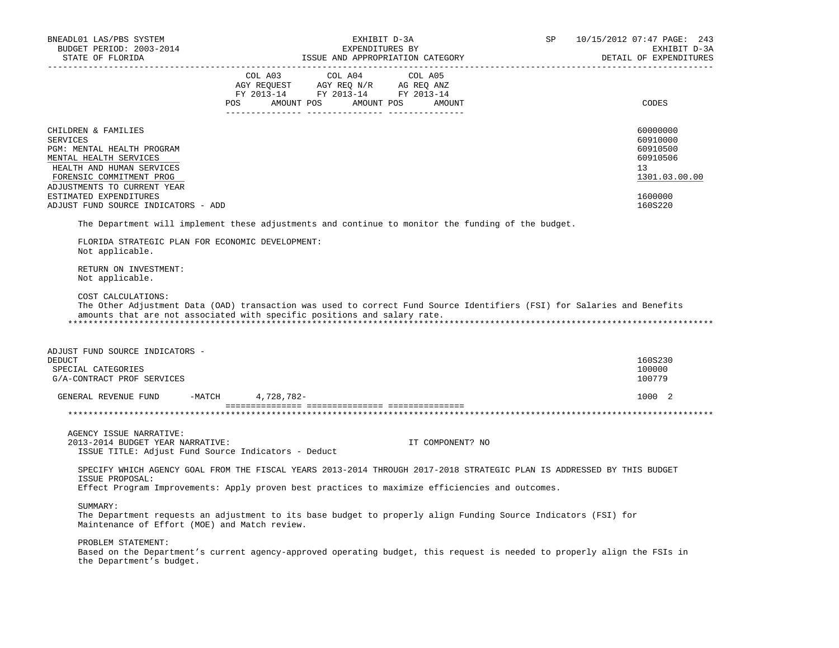| BNEADL01 LAS/PBS SYSTEM                             |                                                                          | 10/15/2012 07:47 PAGE: 243<br>SP                                                                                         |  |                        |  |
|-----------------------------------------------------|--------------------------------------------------------------------------|--------------------------------------------------------------------------------------------------------------------------|--|------------------------|--|
| BUDGET PERIOD: 2003-2014                            |                                                                          | EXPENDITURES BY                                                                                                          |  | EXHIBIT D-3A           |  |
| STATE OF FLORIDA                                    |                                                                          | ISSUE AND APPROPRIATION CATEGORY                                                                                         |  | DETAIL OF EXPENDITURES |  |
| ______________________                              |                                                                          |                                                                                                                          |  |                        |  |
|                                                     | COL A03 COL A04<br>AGY REQUEST AGY REQ N/R AG REQ ANZ                    | COL A05                                                                                                                  |  |                        |  |
|                                                     | FY 2013-14 FY 2013-14 FY 2013-14                                         |                                                                                                                          |  |                        |  |
|                                                     | <b>POS</b><br>AMOUNT POS                                                 | AMOUNT POS<br>AMOUNT                                                                                                     |  | CODES                  |  |
|                                                     |                                                                          |                                                                                                                          |  |                        |  |
|                                                     |                                                                          |                                                                                                                          |  |                        |  |
| CHILDREN & FAMILIES                                 |                                                                          |                                                                                                                          |  | 60000000               |  |
| SERVICES                                            |                                                                          |                                                                                                                          |  | 60910000               |  |
| PGM: MENTAL HEALTH PROGRAM                          |                                                                          |                                                                                                                          |  | 60910500               |  |
| MENTAL HEALTH SERVICES                              |                                                                          |                                                                                                                          |  | 60910506               |  |
| HEALTH AND HUMAN SERVICES                           |                                                                          |                                                                                                                          |  | 13                     |  |
| FORENSIC COMMITMENT PROG                            |                                                                          |                                                                                                                          |  | 1301.03.00.00          |  |
| ADJUSTMENTS TO CURRENT YEAR                         |                                                                          |                                                                                                                          |  |                        |  |
| ESTIMATED EXPENDITURES                              |                                                                          |                                                                                                                          |  | 1600000                |  |
| ADJUST FUND SOURCE INDICATORS - ADD                 |                                                                          |                                                                                                                          |  | 160S220                |  |
|                                                     |                                                                          | The Department will implement these adjustments and continue to monitor the funding of the budget.                       |  |                        |  |
| FLORIDA STRATEGIC PLAN FOR ECONOMIC DEVELOPMENT:    |                                                                          |                                                                                                                          |  |                        |  |
| Not applicable.                                     |                                                                          |                                                                                                                          |  |                        |  |
|                                                     |                                                                          |                                                                                                                          |  |                        |  |
| RETURN ON INVESTMENT:                               |                                                                          |                                                                                                                          |  |                        |  |
| Not applicable.                                     |                                                                          |                                                                                                                          |  |                        |  |
|                                                     |                                                                          |                                                                                                                          |  |                        |  |
| COST CALCULATIONS:                                  |                                                                          |                                                                                                                          |  |                        |  |
|                                                     |                                                                          | The Other Adjustment Data (OAD) transaction was used to correct Fund Source Identifiers (FSI) for Salaries and Benefits  |  |                        |  |
|                                                     | amounts that are not associated with specific positions and salary rate. |                                                                                                                          |  |                        |  |
|                                                     |                                                                          |                                                                                                                          |  |                        |  |
|                                                     |                                                                          |                                                                                                                          |  |                        |  |
| ADJUST FUND SOURCE INDICATORS -                     |                                                                          |                                                                                                                          |  |                        |  |
| DEDUCT                                              |                                                                          |                                                                                                                          |  | 160S230                |  |
| SPECIAL CATEGORIES                                  |                                                                          |                                                                                                                          |  | 100000                 |  |
| G/A-CONTRACT PROF SERVICES                          |                                                                          |                                                                                                                          |  | 100779                 |  |
|                                                     |                                                                          |                                                                                                                          |  |                        |  |
| GENERAL REVENUE FUND                                | -MATCH 4,728,782-                                                        |                                                                                                                          |  | 1000 2                 |  |
|                                                     |                                                                          |                                                                                                                          |  |                        |  |
|                                                     |                                                                          |                                                                                                                          |  |                        |  |
| AGENCY ISSUE NARRATIVE:                             |                                                                          |                                                                                                                          |  |                        |  |
|                                                     |                                                                          |                                                                                                                          |  |                        |  |
| 2013-2014 BUDGET YEAR NARRATIVE:                    |                                                                          | IT COMPONENT? NO                                                                                                         |  |                        |  |
| ISSUE TITLE: Adjust Fund Source Indicators - Deduct |                                                                          |                                                                                                                          |  |                        |  |
|                                                     |                                                                          | SPECIFY WHICH AGENCY GOAL FROM THE FISCAL YEARS 2013-2014 THROUGH 2017-2018 STRATEGIC PLAN IS ADDRESSED BY THIS BUDGET   |  |                        |  |
| ISSUE PROPOSAL:                                     |                                                                          |                                                                                                                          |  |                        |  |
|                                                     |                                                                          | Effect Program Improvements: Apply proven best practices to maximize efficiencies and outcomes.                          |  |                        |  |
|                                                     |                                                                          |                                                                                                                          |  |                        |  |
| SUMMARY:                                            |                                                                          |                                                                                                                          |  |                        |  |
|                                                     |                                                                          | The Department requests an adjustment to its base budget to properly align Funding Source Indicators (FSI) for           |  |                        |  |
| Maintenance of Effort (MOE) and Match review.       |                                                                          |                                                                                                                          |  |                        |  |
|                                                     |                                                                          |                                                                                                                          |  |                        |  |
| PROBLEM STATEMENT:                                  |                                                                          |                                                                                                                          |  |                        |  |
|                                                     |                                                                          | Based on the Department's current agency-approved operating budget, this request is needed to properly align the FSIs in |  |                        |  |
| the Department's budget.                            |                                                                          |                                                                                                                          |  |                        |  |
|                                                     |                                                                          |                                                                                                                          |  |                        |  |
|                                                     |                                                                          |                                                                                                                          |  |                        |  |
|                                                     |                                                                          |                                                                                                                          |  |                        |  |
|                                                     |                                                                          |                                                                                                                          |  |                        |  |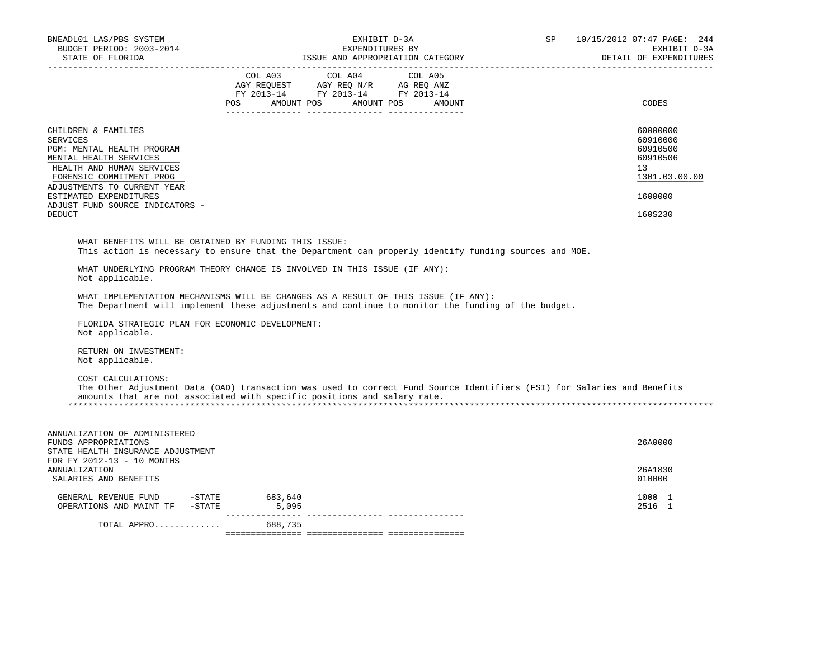| BNEADL01 LAS/PBS SYSTEM<br>BUDGET PERIOD: 2003-2014<br>STATE OF FLORIDA                                                                                                                                                                                              | EXHIBIT D-3A<br>EXPENDITURES BY<br>ISSUE AND APPROPRIATION CATEGORY                                                                                                                                 | 10/15/2012 07:47 PAGE: 244<br>SP<br>EXHIBIT D-3A<br>DETAIL OF EXPENDITURES                |
|----------------------------------------------------------------------------------------------------------------------------------------------------------------------------------------------------------------------------------------------------------------------|-----------------------------------------------------------------------------------------------------------------------------------------------------------------------------------------------------|-------------------------------------------------------------------------------------------|
|                                                                                                                                                                                                                                                                      | COL A03<br>COL A04<br>COL A05<br>COL A03 COL A04 COL A05<br>AGY REQUEST AGY REQ N/R AG REQ ANZ<br>FY 2013-14 FY 2013-14 FY 2013-14<br>POS AMOUNT POS AMOUNT POS<br>AMOUNT                           | CODES                                                                                     |
| CHILDREN & FAMILIES<br><b>SERVICES</b><br>PGM: MENTAL HEALTH PROGRAM<br>MENTAL HEALTH SERVICES<br>HEALTH AND HUMAN SERVICES<br>FORENSIC COMMITMENT PROG<br>ADJUSTMENTS TO CURRENT YEAR<br>ESTIMATED EXPENDITURES<br>ADJUST FUND SOURCE INDICATORS -<br><b>DEDUCT</b> |                                                                                                                                                                                                     | 60000000<br>60910000<br>60910500<br>60910506<br>13<br>1301.03.00.00<br>1600000<br>160S230 |
| WHAT BENEFITS WILL BE OBTAINED BY FUNDING THIS ISSUE:                                                                                                                                                                                                                | This action is necessary to ensure that the Department can properly identify funding sources and MOE.                                                                                               |                                                                                           |
| Not applicable.                                                                                                                                                                                                                                                      | WHAT UNDERLYING PROGRAM THEORY CHANGE IS INVOLVED IN THIS ISSUE (IF ANY):                                                                                                                           |                                                                                           |
|                                                                                                                                                                                                                                                                      | WHAT IMPLEMENTATION MECHANISMS WILL BE CHANGES AS A RESULT OF THIS ISSUE (IF ANY):<br>The Department will implement these adjustments and continue to monitor the funding of the budget.            |                                                                                           |
| FLORIDA STRATEGIC PLAN FOR ECONOMIC DEVELOPMENT:<br>Not applicable.                                                                                                                                                                                                  |                                                                                                                                                                                                     |                                                                                           |
| RETURN ON INVESTMENT:<br>Not applicable.                                                                                                                                                                                                                             |                                                                                                                                                                                                     |                                                                                           |
| COST CALCULATIONS:                                                                                                                                                                                                                                                   | The Other Adjustment Data (OAD) transaction was used to correct Fund Source Identifiers (FSI) for Salaries and Benefits<br>amounts that are not associated with specific positions and salary rate. |                                                                                           |
| ANNUALIZATION OF ADMINISTERED<br>FUNDS APPROPRIATIONS<br>STATE HEALTH INSURANCE ADJUSTMENT                                                                                                                                                                           |                                                                                                                                                                                                     | 26A0000                                                                                   |
| FOR FY 2012-13 - 10 MONTHS<br>ANNUALIZATION<br>SALARIES AND BENEFITS                                                                                                                                                                                                 |                                                                                                                                                                                                     | 26A1830<br>010000                                                                         |
| GENERAL REVENUE FUND -STATE 683,640<br>OPERATIONS AND MAINT TF -STATE                                                                                                                                                                                                | 5,095                                                                                                                                                                                               | 1000 1<br>2516 1                                                                          |
| TOTAL APPRO                                                                                                                                                                                                                                                          | 688,735                                                                                                                                                                                             |                                                                                           |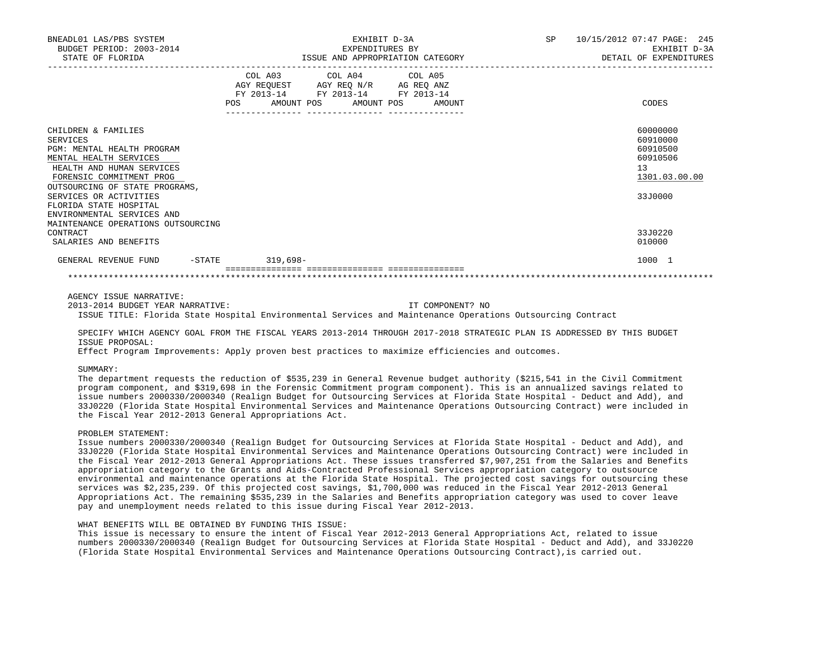| BNEADL01 LAS/PBS SYSTEM<br>BUDGET PERIOD: 2003-2014<br>STATE OF FLORIDA                                                                                                                   | EXHIBIT D-3A<br>EXPENDITURES BY<br>ISSUE AND APPROPRIATION CATEGORY                                                                                      | SP 10/15/2012 07:47 PAGE: 245<br>EXHIBIT D-3A<br>DETAIL OF EXPENDITURES |
|-------------------------------------------------------------------------------------------------------------------------------------------------------------------------------------------|----------------------------------------------------------------------------------------------------------------------------------------------------------|-------------------------------------------------------------------------|
|                                                                                                                                                                                           | COL A03 COL A04 COL A05<br>AGY REQUEST AGY REQ N/R AG REQ ANZ<br>FY 2013-14 FY 2013-14 FY 2013-14<br>POS AMOUNT POS AMOUNT POS AMOUNT<br>_______________ | CODES                                                                   |
| CHILDREN & FAMILIES<br><b>SERVICES</b><br>PGM: MENTAL HEALTH PROGRAM<br>MENTAL HEALTH SERVICES<br>HEALTH AND HUMAN SERVICES<br>FORENSIC COMMITMENT PROG<br>OUTSOURCING OF STATE PROGRAMS, |                                                                                                                                                          | 60000000<br>60910000<br>60910500<br>60910506<br>13<br>1301.03.00.00     |
| SERVICES OR ACTIVITIES<br>FLORIDA STATE HOSPITAL<br>ENVIRONMENTAL SERVICES AND<br>MAINTENANCE OPERATIONS OUTSOURCING<br>CONTRACT<br>SALARIES AND BENEFITS                                 |                                                                                                                                                          | 33J0000<br>33J0220<br>010000                                            |
| GENERAL REVENUE FUND                                                                                                                                                                      | -STATE 319,698-                                                                                                                                          | 1000 1                                                                  |

AGENCY ISSUE NARRATIVE:

 2013-2014 BUDGET YEAR NARRATIVE: IT COMPONENT? NO ISSUE TITLE: Florida State Hospital Environmental Services and Maintenance Operations Outsourcing Contract

 SPECIFY WHICH AGENCY GOAL FROM THE FISCAL YEARS 2013-2014 THROUGH 2017-2018 STRATEGIC PLAN IS ADDRESSED BY THIS BUDGET ISSUE PROPOSAL:

Effect Program Improvements: Apply proven best practices to maximize efficiencies and outcomes.

### SUMMARY:

 The department requests the reduction of \$535,239 in General Revenue budget authority (\$215,541 in the Civil Commitment program component, and \$319,698 in the Forensic Commitment program component). This is an annualized savings related to issue numbers 2000330/2000340 (Realign Budget for Outsourcing Services at Florida State Hospital - Deduct and Add), and 33J0220 (Florida State Hospital Environmental Services and Maintenance Operations Outsourcing Contract) were included in the Fiscal Year 2012-2013 General Appropriations Act.

# PROBLEM STATEMENT:

 Issue numbers 2000330/2000340 (Realign Budget for Outsourcing Services at Florida State Hospital - Deduct and Add), and 33J0220 (Florida State Hospital Environmental Services and Maintenance Operations Outsourcing Contract) were included in the Fiscal Year 2012-2013 General Appropriations Act. These issues transferred \$7,907,251 from the Salaries and Benefits appropriation category to the Grants and Aids-Contracted Professional Services appropriation category to outsource environmental and maintenance operations at the Florida State Hospital. The projected cost savings for outsourcing these services was \$2,235,239. Of this projected cost savings, \$1,700,000 was reduced in the Fiscal Year 2012-2013 General Appropriations Act. The remaining \$535,239 in the Salaries and Benefits appropriation category was used to cover leave pay and unemployment needs related to this issue during Fiscal Year 2012-2013.

### WHAT BENEFITS WILL BE OBTAINED BY FUNDING THIS ISSUE:

 This issue is necessary to ensure the intent of Fiscal Year 2012-2013 General Appropriations Act, related to issue numbers 2000330/2000340 (Realign Budget for Outsourcing Services at Florida State Hospital - Deduct and Add), and 33J0220 (Florida State Hospital Environmental Services and Maintenance Operations Outsourcing Contract),is carried out.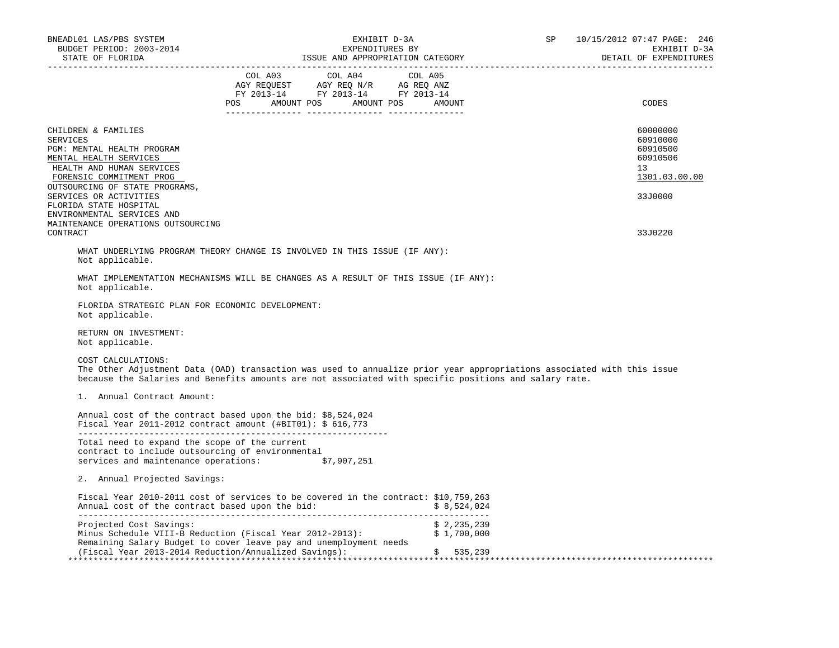| BNEADL01 LAS/PBS SYSTEM<br>BUDGET PERIOD: 2003-2014                                                                                              | EXHIBIT D-3A<br>EXPENDITURES BY                                                                                                                                                                                                 |                            | SP<br>10/15/2012 07:47 PAGE: 246<br>EXHIBIT D-3A<br>DETAIL OF EXPENDITURES |
|--------------------------------------------------------------------------------------------------------------------------------------------------|---------------------------------------------------------------------------------------------------------------------------------------------------------------------------------------------------------------------------------|----------------------------|----------------------------------------------------------------------------|
|                                                                                                                                                  | COL A03 COL A04 COL A05<br>AGY REQUEST AGY REQ N/R AG REQ ANZ<br>FY 2013-14 FY 2013-14 FY 2013-14<br>POS AMOUNT POS AMOUNT POS AMOUNT                                                                                           |                            | CODES                                                                      |
| CHILDREN & FAMILIES<br>SERVICES<br>PGM: MENTAL HEALTH PROGRAM<br>MENTAL HEALTH SERVICES<br>HEALTH AND HUMAN SERVICES<br>FORENSIC COMMITMENT PROG |                                                                                                                                                                                                                                 |                            | 60000000<br>60910000<br>60910500<br>60910506<br>13<br>1301.03.00.00        |
| OUTSOURCING OF STATE PROGRAMS,<br>SERVICES OR ACTIVITIES<br>FLORIDA STATE HOSPITAL<br>ENVIRONMENTAL SERVICES AND                                 |                                                                                                                                                                                                                                 |                            | 33J0000                                                                    |
| MAINTENANCE OPERATIONS OUTSOURCING<br>CONTRACT                                                                                                   |                                                                                                                                                                                                                                 |                            | 33J0220                                                                    |
| Not applicable.                                                                                                                                  | WHAT UNDERLYING PROGRAM THEORY CHANGE IS INVOLVED IN THIS ISSUE (IF ANY):                                                                                                                                                       |                            |                                                                            |
| Not applicable.                                                                                                                                  | WHAT IMPLEMENTATION MECHANISMS WILL BE CHANGES AS A RESULT OF THIS ISSUE (IF ANY):                                                                                                                                              |                            |                                                                            |
| FLORIDA STRATEGIC PLAN FOR ECONOMIC DEVELOPMENT:<br>Not applicable.                                                                              |                                                                                                                                                                                                                                 |                            |                                                                            |
| RETURN ON INVESTMENT:<br>Not applicable.                                                                                                         |                                                                                                                                                                                                                                 |                            |                                                                            |
| COST CALCULATIONS:                                                                                                                               | The Other Adjustment Data (OAD) transaction was used to annualize prior year appropriations associated with this issue<br>because the Salaries and Benefits amounts are not associated with specific positions and salary rate. |                            |                                                                            |
| 1. Annual Contract Amount:                                                                                                                       |                                                                                                                                                                                                                                 |                            |                                                                            |
|                                                                                                                                                  | Annual cost of the contract based upon the bid: \$8,524,024<br>Fiscal Year 2011-2012 contract amount $(\text{\#BIT01}):$ \$ 616,773                                                                                             |                            |                                                                            |
| Total need to expand the scope of the current<br>contract to include outsourcing of environmental                                                | services and maintenance operations: \$7,907,251                                                                                                                                                                                |                            |                                                                            |
| 2. Annual Projected Savings:                                                                                                                     |                                                                                                                                                                                                                                 |                            |                                                                            |
|                                                                                                                                                  | Fiscal Year 2010-2011 cost of services to be covered in the contract: \$10,759,263<br>Annual cost of the contract based upon the bid: $$8,524,024$                                                                              |                            |                                                                            |
| Projected Cost Savings:                                                                                                                          | Minus Schedule VIII-B Reduction (Fiscal Year 2012-2013):                                                                                                                                                                        | \$2,235,239<br>\$1,700,000 |                                                                            |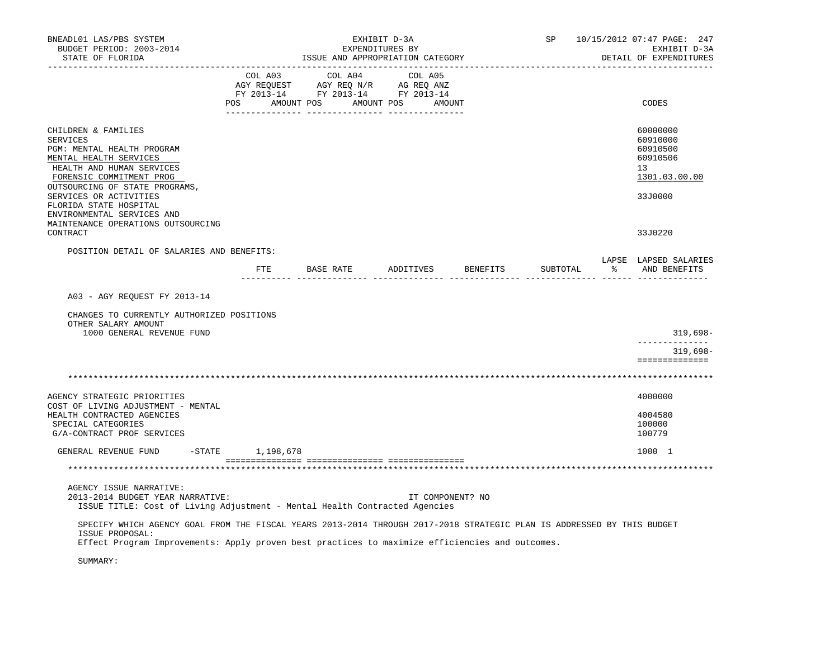| BNEADL01 LAS/PBS SYSTEM<br>BUDGET PERIOD: 2003-2014<br>STATE OF FLORIDA                                                                                                                                                                      | EXHIBIT D-3A<br>EXPENDITURES BY<br>ISSUE AND APPROPRIATION CATEGORY |  |  |  |                                                                                                                                                                                                |                  | SP                               | 10/15/2012 07:47 PAGE: 247<br>EXHIBIT D-3A<br>DETAIL OF EXPENDITURES |                                                                                             |
|----------------------------------------------------------------------------------------------------------------------------------------------------------------------------------------------------------------------------------------------|---------------------------------------------------------------------|--|--|--|------------------------------------------------------------------------------------------------------------------------------------------------------------------------------------------------|------------------|----------------------------------|----------------------------------------------------------------------|---------------------------------------------------------------------------------------------|
|                                                                                                                                                                                                                                              |                                                                     |  |  |  | $\begin{tabular}{lcccc} COL A03 & COL A04 & COL A05 \\ AGY REQUEST & AGY REQ N/R & AG REQ ANZ \\ FY & 2013-14 & FY & 2013-14 & FY & 2013-14 \end{tabular}$<br>POS AMOUNT POS AMOUNT POS AMOUNT |                  |                                  |                                                                      | CODES                                                                                       |
| CHILDREN & FAMILIES<br><b>SERVICES</b><br>PGM: MENTAL HEALTH PROGRAM<br>MENTAL HEALTH SERVICES<br>HEALTH AND HUMAN SERVICES<br>FORENSIC COMMITMENT PROG<br>OUTSOURCING OF STATE PROGRAMS,<br>SERVICES OR ACTIVITIES                          |                                                                     |  |  |  |                                                                                                                                                                                                |                  |                                  |                                                                      | 60000000<br>60910000<br>60910500<br>60910506<br>13 <sup>1</sup><br>1301.03.00.00<br>33J0000 |
| FLORIDA STATE HOSPITAL<br>ENVIRONMENTAL SERVICES AND<br>MAINTENANCE OPERATIONS OUTSOURCING<br>CONTRACT                                                                                                                                       |                                                                     |  |  |  |                                                                                                                                                                                                |                  |                                  |                                                                      | 33J0220                                                                                     |
| POSITION DETAIL OF SALARIES AND BENEFITS:                                                                                                                                                                                                    |                                                                     |  |  |  |                                                                                                                                                                                                |                  | FTE BASE RATE ADDITIVES BENEFITS | SUBTOTAL                                                             | LAPSE LAPSED SALARIES<br>% AND BENEFITS                                                     |
| A03 - AGY REQUEST FY 2013-14                                                                                                                                                                                                                 |                                                                     |  |  |  |                                                                                                                                                                                                |                  |                                  |                                                                      |                                                                                             |
| CHANGES TO CURRENTLY AUTHORIZED POSITIONS<br>OTHER SALARY AMOUNT<br>1000 GENERAL REVENUE FUND                                                                                                                                                |                                                                     |  |  |  |                                                                                                                                                                                                |                  |                                  |                                                                      | 319,698-<br>--------------                                                                  |
|                                                                                                                                                                                                                                              |                                                                     |  |  |  |                                                                                                                                                                                                |                  |                                  |                                                                      | $319,698-$<br>==============                                                                |
|                                                                                                                                                                                                                                              |                                                                     |  |  |  |                                                                                                                                                                                                |                  |                                  |                                                                      |                                                                                             |
| AGENCY STRATEGIC PRIORITIES<br>COST OF LIVING ADJUSTMENT - MENTAL                                                                                                                                                                            |                                                                     |  |  |  |                                                                                                                                                                                                |                  |                                  |                                                                      | 4000000                                                                                     |
| HEALTH CONTRACTED AGENCIES<br>SPECIAL CATEGORIES<br>G/A-CONTRACT PROF SERVICES                                                                                                                                                               |                                                                     |  |  |  |                                                                                                                                                                                                |                  |                                  |                                                                      | 4004580<br>100000<br>100779                                                                 |
| GENERAL REVENUE FUND                                                                                                                                                                                                                         | -STATE 1,198,678                                                    |  |  |  |                                                                                                                                                                                                |                  |                                  |                                                                      | 1000 1                                                                                      |
|                                                                                                                                                                                                                                              |                                                                     |  |  |  |                                                                                                                                                                                                |                  |                                  |                                                                      |                                                                                             |
| AGENCY ISSUE NARRATIVE:<br>2013-2014 BUDGET YEAR NARRATIVE:<br>ISSUE TITLE: Cost of Living Adjustment - Mental Health Contracted Agencies                                                                                                    |                                                                     |  |  |  |                                                                                                                                                                                                | IT COMPONENT? NO |                                  |                                                                      |                                                                                             |
| SPECIFY WHICH AGENCY GOAL FROM THE FISCAL YEARS 2013-2014 THROUGH 2017-2018 STRATEGIC PLAN IS ADDRESSED BY THIS BUDGET<br>ISSUE PROPOSAL:<br>Effect Program Improvements: Apply proven best practices to maximize efficiencies and outcomes. |                                                                     |  |  |  |                                                                                                                                                                                                |                  |                                  |                                                                      |                                                                                             |
| SUMMARY:                                                                                                                                                                                                                                     |                                                                     |  |  |  |                                                                                                                                                                                                |                  |                                  |                                                                      |                                                                                             |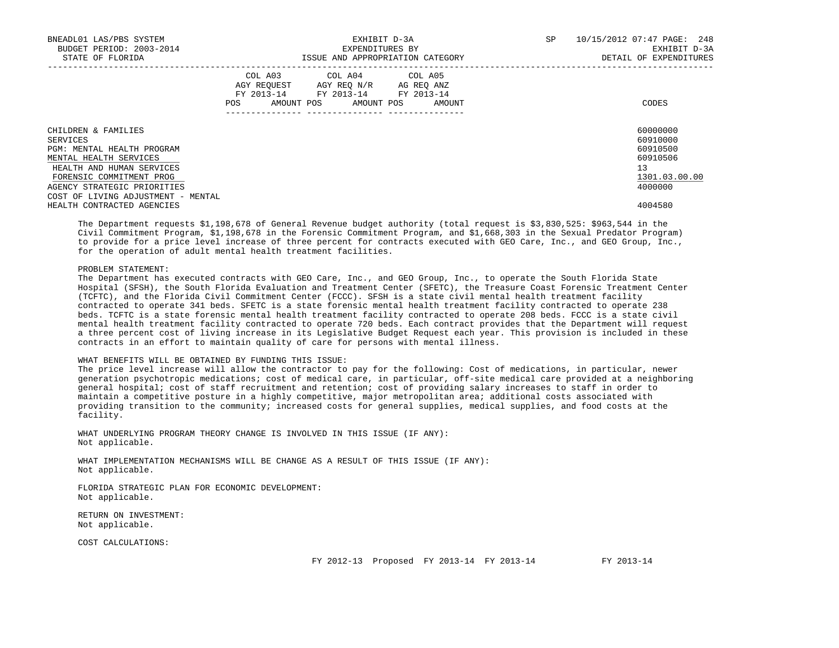| BNEADL01 LAS/PBS SYSTEM<br>BUDGET PERIOD: 2003-2014<br>STATE OF FLORIDA |     | EXHIBIT D-3A<br>EXPENDITURES BY<br>ISSUE AND APPROPRIATION CATEGORY                                                        | SP     | 10/15/2012 07:47 PAGE: 248<br>EXHIBIT D-3A<br>DETAIL OF EXPENDITURES |               |
|-------------------------------------------------------------------------|-----|----------------------------------------------------------------------------------------------------------------------------|--------|----------------------------------------------------------------------|---------------|
|                                                                         | POS | COL A03 COL A04 COL A05<br>AGY REQUEST AGY REO N/R AG REO ANZ<br>FY 2013-14 FY 2013-14 FY 2013-14<br>AMOUNT POS AMOUNT POS | AMOUNT |                                                                      | CODES         |
| CHILDREN & FAMILIES                                                     |     |                                                                                                                            |        |                                                                      | 60000000      |
| SERVICES                                                                |     |                                                                                                                            |        |                                                                      | 60910000      |
| PGM: MENTAL HEALTH PROGRAM                                              |     |                                                                                                                            |        |                                                                      | 60910500      |
| MENTAL HEALTH SERVICES                                                  |     |                                                                                                                            |        |                                                                      | 60910506      |
| HEALTH AND HUMAN SERVICES                                               |     |                                                                                                                            |        |                                                                      | 13            |
| FORENSIC COMMITMENT PROG                                                |     |                                                                                                                            |        |                                                                      | 1301.03.00.00 |
| AGENCY STRATEGIC PRIORITIES                                             |     |                                                                                                                            |        |                                                                      | 4000000       |
| COST OF LIVING ADJUSTMENT - MENTAL                                      |     |                                                                                                                            |        |                                                                      |               |
| HEALTH CONTRACTED AGENCIES                                              |     |                                                                                                                            |        |                                                                      | 4004580       |

 The Department requests \$1,198,678 of General Revenue budget authority (total request is \$3,830,525: \$963,544 in the Civil Commitment Program, \$1,198,678 in the Forensic Commitment Program, and \$1,668,303 in the Sexual Predator Program) to provide for a price level increase of three percent for contracts executed with GEO Care, Inc., and GEO Group, Inc., for the operation of adult mental health treatment facilities.

### PROBLEM STATEMENT:

 The Department has executed contracts with GEO Care, Inc., and GEO Group, Inc., to operate the South Florida State Hospital (SFSH), the South Florida Evaluation and Treatment Center (SFETC), the Treasure Coast Forensic Treatment Center (TCFTC), and the Florida Civil Commitment Center (FCCC). SFSH is a state civil mental health treatment facility contracted to operate 341 beds. SFETC is a state forensic mental health treatment facility contracted to operate 238 beds. TCFTC is a state forensic mental health treatment facility contracted to operate 208 beds. FCCC is a state civil mental health treatment facility contracted to operate 720 beds. Each contract provides that the Department will request a three percent cost of living increase in its Legislative Budget Request each year. This provision is included in these contracts in an effort to maintain quality of care for persons with mental illness.

# WHAT BENEFITS WILL BE OBTAINED BY FUNDING THIS ISSUE:

 The price level increase will allow the contractor to pay for the following: Cost of medications, in particular, newer generation psychotropic medications; cost of medical care, in particular, off-site medical care provided at a neighboring general hospital; cost of staff recruitment and retention; cost of providing salary increases to staff in order to maintain a competitive posture in a highly competitive, major metropolitan area; additional costs associated with providing transition to the community; increased costs for general supplies, medical supplies, and food costs at the facility.

 WHAT UNDERLYING PROGRAM THEORY CHANGE IS INVOLVED IN THIS ISSUE (IF ANY): Not applicable.

 WHAT IMPLEMENTATION MECHANISMS WILL BE CHANGE AS A RESULT OF THIS ISSUE (IF ANY): Not applicable.

 FLORIDA STRATEGIC PLAN FOR ECONOMIC DEVELOPMENT: Not applicable.

 RETURN ON INVESTMENT: Not applicable.

COST CALCULATIONS:

FY 2012-13 Proposed FY 2013-14 FY 2013-14 FY 2013-14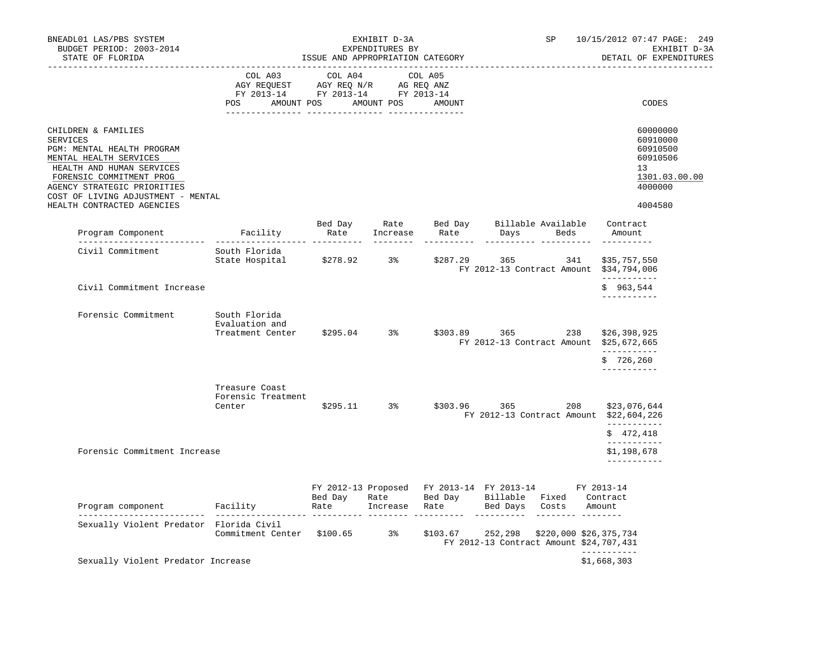| BNEADL01 LAS/PBS SYSTEM<br>BUDGET PERIOD: 2003-2014<br>STATE OF FLORIDA                                                                                                                                                                                    |                                                                                     | ISSUE AND APPROPRIATION CATEGORY                | EXHIBIT D-3A<br>EXPENDITURES BY |                                                              | SP                                                                                                       | 10/15/2012 07:47 PAGE: 249<br>EXHIBIT D-3A<br>DETAIL OF EXPENDITURES                      |
|------------------------------------------------------------------------------------------------------------------------------------------------------------------------------------------------------------------------------------------------------------|-------------------------------------------------------------------------------------|-------------------------------------------------|---------------------------------|--------------------------------------------------------------|----------------------------------------------------------------------------------------------------------|-------------------------------------------------------------------------------------------|
| -----------------                                                                                                                                                                                                                                          | ---------------<br>COL A03<br>AGY REQUEST<br>FY 2013-14<br><b>POS</b><br>AMOUNT POS | COL A04<br>AGY REQ N/R<br>FY 2013-14 FY 2013-14 | AG REQ ANZ<br>AMOUNT POS        | COL A05<br>AMOUNT                                            |                                                                                                          | CODES                                                                                     |
| CHILDREN & FAMILIES<br><b>SERVICES</b><br>PGM: MENTAL HEALTH PROGRAM<br>MENTAL HEALTH SERVICES<br>HEALTH AND HUMAN SERVICES<br>FORENSIC COMMITMENT PROG<br>AGENCY STRATEGIC PRIORITIES<br>COST OF LIVING ADJUSTMENT - MENTAL<br>HEALTH CONTRACTED AGENCIES |                                                                                     |                                                 |                                 |                                                              |                                                                                                          | 60000000<br>60910000<br>60910500<br>60910506<br>13<br>1301.03.00.00<br>4000000<br>4004580 |
| Program Component                                                                                                                                                                                                                                          | Facility                                                                            | Bed Day<br>Rate<br>_________ ___________        | Rate<br>Increase                | Bed Day<br>Rate                                              | Billable Available<br>Beds<br>Days                                                                       | Contract<br>Amount                                                                        |
| Civil Commitment                                                                                                                                                                                                                                           | South Florida<br>State Hospital                                                     | \$278.92                                        | 3%                              | \$287.29                                                     | 365<br>341<br>FY 2012-13 Contract Amount \$34,794,006                                                    | \$35,757,550                                                                              |
| Civil Commitment Increase                                                                                                                                                                                                                                  |                                                                                     |                                                 |                                 |                                                              |                                                                                                          | ___________<br>\$963,544<br>-----------                                                   |
| Forensic Commitment                                                                                                                                                                                                                                        | South Florida<br>Evaluation and<br>Treatment Center                                 | $$295.04$ 3%                                    |                                 | \$303.89                                                     | 365<br>238<br>FY 2012-13 Contract Amount \$25,672,665                                                    | \$26,398,925<br>-----------<br>\$726, 260<br>-----------                                  |
|                                                                                                                                                                                                                                                            | Treasure Coast<br>Forensic Treatment<br>Center                                      | \$295.11                                        | 3%                              | \$303.96                                                     | 208<br>365<br>FY 2012-13 Contract Amount \$22,604,226                                                    | \$23,076,644<br>------------<br>\$472,418                                                 |
| Forensic Commitment Increase                                                                                                                                                                                                                               |                                                                                     |                                                 |                                 |                                                              |                                                                                                          | -----------<br>\$1,198,678<br>-----------                                                 |
| Program component                                                                                                                                                                                                                                          | Facility                                                                            | Bed Day<br>Rate                                 | Rate<br>Increase                | FY 2012-13 Proposed FY 2013-14 FY 2013-14<br>Bed Day<br>Rate | Billable<br>Fixed<br>Bed Days<br>Costs                                                                   | FY 2013-14<br>Contract<br>Amount                                                          |
| ___________________________<br>Sexually Violent Predator Florida Civil                                                                                                                                                                                     | ___________________<br>Commitment Center \$100.65                                   |                                                 | $3\,$                           | \$103.67                                                     | -----------<br>---------<br>252,298<br>\$220,000 \$26,375,734<br>FY 2012-13 Contract Amount \$24,707,431 |                                                                                           |
| Sexually Violent Predator Increase                                                                                                                                                                                                                         |                                                                                     |                                                 |                                 |                                                              |                                                                                                          | -----------<br>\$1,668,303                                                                |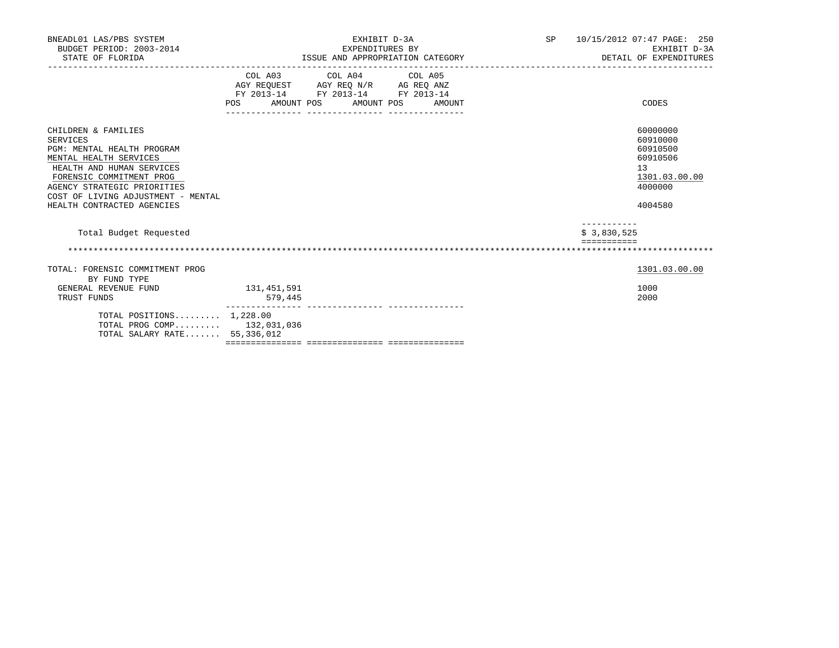| BNEADL01 LAS/PBS SYSTEM<br>BUDGET PERIOD: 2003-2014<br>STATE OF FLORIDA                                                                                                                                                                             | EXHIBIT D-3A<br>EXPENDITURES BY<br>ISSUE AND APPROPRIATION CATEGORY                                                                      |        | SP 10/15/2012 07:47 PAGE: 250<br>EXHIBIT D-3A<br>DETAIL OF EXPENDITURES                                  |
|-----------------------------------------------------------------------------------------------------------------------------------------------------------------------------------------------------------------------------------------------------|------------------------------------------------------------------------------------------------------------------------------------------|--------|----------------------------------------------------------------------------------------------------------|
|                                                                                                                                                                                                                                                     | COL A03 COL A04 COL A05<br>AGY REQUEST AGY REQ N/R AG REQ ANZ<br>FY 2013-14 FY 2013-14 FY 2013-14<br><b>POS</b><br>AMOUNT POS AMOUNT POS | AMOUNT | CODES                                                                                                    |
| CHILDREN & FAMILIES<br>SERVICES<br>PGM: MENTAL HEALTH PROGRAM<br>MENTAL HEALTH SERVICES<br>HEALTH AND HUMAN SERVICES<br>FORENSIC COMMITMENT PROG<br>AGENCY STRATEGIC PRIORITIES<br>COST OF LIVING ADJUSTMENT - MENTAL<br>HEALTH CONTRACTED AGENCIES |                                                                                                                                          |        | 60000000<br>60910000<br>60910500<br>60910506<br>13<br>1301.03.00.00<br>4000000<br>4004580<br>----------- |
| Total Budget Requested                                                                                                                                                                                                                              |                                                                                                                                          |        | \$3,830,525                                                                                              |
|                                                                                                                                                                                                                                                     |                                                                                                                                          |        |                                                                                                          |
| TOTAL: FORENSIC COMMITMENT PROG<br>BY FUND TYPE                                                                                                                                                                                                     |                                                                                                                                          |        | 1301.03.00.00                                                                                            |
| GENERAL REVENUE FUND<br>TRUST FUNDS                                                                                                                                                                                                                 | 131,451,591<br>579,445                                                                                                                   |        | 1000<br>2000                                                                                             |
| TOTAL POSITIONS 1,228.00<br>TOTAL PROG COMP 132,031,036<br>TOTAL SALARY RATE 55,336,012                                                                                                                                                             |                                                                                                                                          |        |                                                                                                          |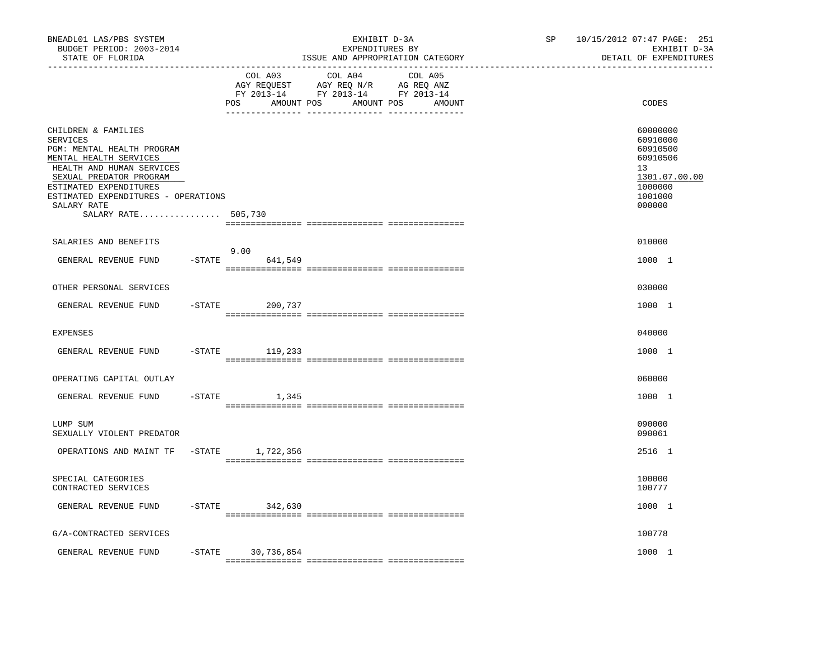| BNEADL01 LAS/PBS SYSTEM<br>BUDGET PERIOD: 2003-2014<br>STATE OF FLORIDA<br>-------------------                                                                                                                                                                |           |                              | EXHIBIT D-3A<br>EXPENDITURES BY<br>ISSUE AND APPROPRIATION CATEGORY                                                                                                                                                                                                                | SP | 10/15/2012 07:47 PAGE: 251<br>EXHIBIT D-3A<br>DETAIL OF EXPENDITURES                                |  |  |
|---------------------------------------------------------------------------------------------------------------------------------------------------------------------------------------------------------------------------------------------------------------|-----------|------------------------------|------------------------------------------------------------------------------------------------------------------------------------------------------------------------------------------------------------------------------------------------------------------------------------|----|-----------------------------------------------------------------------------------------------------|--|--|
|                                                                                                                                                                                                                                                               |           | COL A03<br>AMOUNT POS<br>POS | COL A04<br>COL A05<br>$\begin{tabular}{lllllll} \bf AGY \;\; RegUEST \hspace{1cm} AGY \;\; REG \;\; N/R \hspace{1cm} \bf AG \;\; REG \;\; ANZ \end{tabular}$ $\begin{tabular}{lllllllllll} \bf FY \;\; 2013-14 \hspace{1cm} FY \;\; 2013-14 \end{tabular}$<br>AMOUNT POS<br>AMOUNT |    | CODES                                                                                               |  |  |
| CHILDREN & FAMILIES<br><b>SERVICES</b><br>PGM: MENTAL HEALTH PROGRAM<br>MENTAL HEALTH SERVICES<br>HEALTH AND HUMAN SERVICES<br>SEXUAL PREDATOR PROGRAM<br>ESTIMATED EXPENDITURES<br>ESTIMATED EXPENDITURES - OPERATIONS<br>SALARY RATE<br>SALARY RATE 505,730 |           |                              |                                                                                                                                                                                                                                                                                    |    | 60000000<br>60910000<br>60910500<br>60910506<br>13<br>1301.07.00.00<br>1000000<br>1001000<br>000000 |  |  |
| SALARIES AND BENEFITS                                                                                                                                                                                                                                         |           |                              |                                                                                                                                                                                                                                                                                    |    | 010000                                                                                              |  |  |
| GENERAL REVENUE FUND                                                                                                                                                                                                                                          | $-STATE$  | 9.00<br>641,549              |                                                                                                                                                                                                                                                                                    |    | 1000 1                                                                                              |  |  |
| OTHER PERSONAL SERVICES                                                                                                                                                                                                                                       |           |                              |                                                                                                                                                                                                                                                                                    |    | 030000                                                                                              |  |  |
| GENERAL REVENUE FUND                                                                                                                                                                                                                                          |           | $-STATE$<br>200,737          |                                                                                                                                                                                                                                                                                    |    | 1000 1                                                                                              |  |  |
| <b>EXPENSES</b>                                                                                                                                                                                                                                               |           |                              |                                                                                                                                                                                                                                                                                    |    | 040000                                                                                              |  |  |
| GENERAL REVENUE FUND                                                                                                                                                                                                                                          |           | -STATE 119,233               |                                                                                                                                                                                                                                                                                    |    | 1000 1                                                                                              |  |  |
| OPERATING CAPITAL OUTLAY                                                                                                                                                                                                                                      |           |                              |                                                                                                                                                                                                                                                                                    |    | 060000                                                                                              |  |  |
| GENERAL REVENUE FUND                                                                                                                                                                                                                                          |           | $-STATE$<br>1,345            |                                                                                                                                                                                                                                                                                    |    | 1000 1                                                                                              |  |  |
| LUMP SUM<br>SEXUALLY VIOLENT PREDATOR                                                                                                                                                                                                                         |           |                              |                                                                                                                                                                                                                                                                                    |    | 090000<br>090061                                                                                    |  |  |
| OPERATIONS AND MAINT TF                                                                                                                                                                                                                                       |           | -STATE 1,722,356             |                                                                                                                                                                                                                                                                                    |    | 2516 1                                                                                              |  |  |
| SPECIAL CATEGORIES<br>CONTRACTED SERVICES                                                                                                                                                                                                                     |           |                              |                                                                                                                                                                                                                                                                                    |    | 100000<br>100777                                                                                    |  |  |
| GENERAL REVENUE FUND                                                                                                                                                                                                                                          |           | $-STATE$ 342,630             |                                                                                                                                                                                                                                                                                    |    | 1000 1                                                                                              |  |  |
| G/A-CONTRACTED SERVICES                                                                                                                                                                                                                                       |           |                              |                                                                                                                                                                                                                                                                                    |    | 100778                                                                                              |  |  |
| GENERAL REVENUE FUND                                                                                                                                                                                                                                          | $-$ STATE | 30,736,854                   |                                                                                                                                                                                                                                                                                    |    | 1000 1                                                                                              |  |  |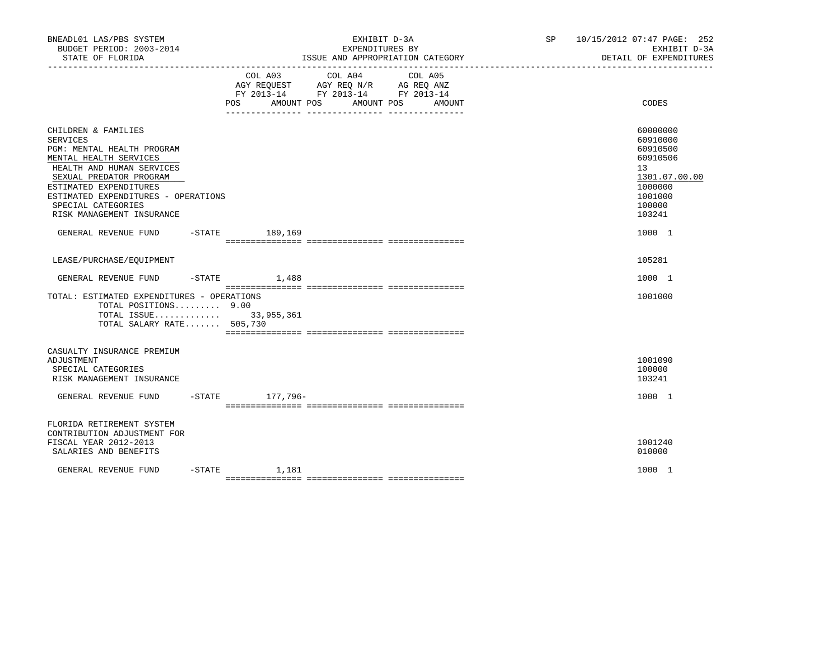| BNEADL01 LAS/PBS SYSTEM<br>BUDGET PERIOD: 2003-2014<br>STATE OF FLORIDA                                                                                                                                                                                                    |                              | EXHIBIT D-3A<br>EXPENDITURES BY<br>ISSUE AND APPROPRIATION CATEGORY                                                  | SP 10/15/2012 07:47 PAGE: 252<br>EXHIBIT D-3A<br>DETAIL OF EXPENDITURES                                       |
|----------------------------------------------------------------------------------------------------------------------------------------------------------------------------------------------------------------------------------------------------------------------------|------------------------------|----------------------------------------------------------------------------------------------------------------------|---------------------------------------------------------------------------------------------------------------|
|                                                                                                                                                                                                                                                                            | COL A03<br>POS<br>AMOUNT POS | COL A04<br>COL A05<br>AGY REQUEST AGY REQ N/R AG REQ ANZ<br>FY 2013-14 FY 2013-14 FY 2013-14<br>AMOUNT POS<br>AMOUNT | CODES                                                                                                         |
| CHILDREN & FAMILIES<br><b>SERVICES</b><br>PGM: MENTAL HEALTH PROGRAM<br>MENTAL HEALTH SERVICES<br>HEALTH AND HUMAN SERVICES<br>SEXUAL PREDATOR PROGRAM<br>ESTIMATED EXPENDITURES<br>ESTIMATED EXPENDITURES - OPERATIONS<br>SPECIAL CATEGORIES<br>RISK MANAGEMENT INSURANCE |                              |                                                                                                                      | 60000000<br>60910000<br>60910500<br>60910506<br>13<br>1301.07.00.00<br>1000000<br>1001000<br>100000<br>103241 |
| GENERAL REVENUE FUND -STATE 189,169                                                                                                                                                                                                                                        |                              |                                                                                                                      | 1000 1                                                                                                        |
| LEASE/PURCHASE/EQUIPMENT                                                                                                                                                                                                                                                   |                              |                                                                                                                      | 105281                                                                                                        |
| GENERAL REVENUE FUND                                                                                                                                                                                                                                                       | $-$ STATE $1,488$            |                                                                                                                      | 1000 1                                                                                                        |
| TOTAL: ESTIMATED EXPENDITURES - OPERATIONS<br>TOTAL POSITIONS 9.00<br>TOTAL ISSUE 33,955,361<br>TOTAL SALARY RATE 505,730                                                                                                                                                  |                              |                                                                                                                      | 1001000                                                                                                       |
| CASUALTY INSURANCE PREMIUM<br>ADJUSTMENT<br>SPECIAL CATEGORIES<br>RISK MANAGEMENT INSURANCE<br>GENERAL REVENUE FUND                                                                                                                                                        | -STATE 177,796-              |                                                                                                                      | 1001090<br>100000<br>103241<br>1000 1                                                                         |
|                                                                                                                                                                                                                                                                            |                              |                                                                                                                      |                                                                                                               |
| FLORIDA RETIREMENT SYSTEM<br>CONTRIBUTION ADJUSTMENT FOR<br>FISCAL YEAR 2012-2013<br>SALARIES AND BENEFITS                                                                                                                                                                 |                              |                                                                                                                      | 1001240<br>010000                                                                                             |
| GENERAL REVENUE FUND                                                                                                                                                                                                                                                       | $-$ STATE $1,181$            |                                                                                                                      | 1000 1                                                                                                        |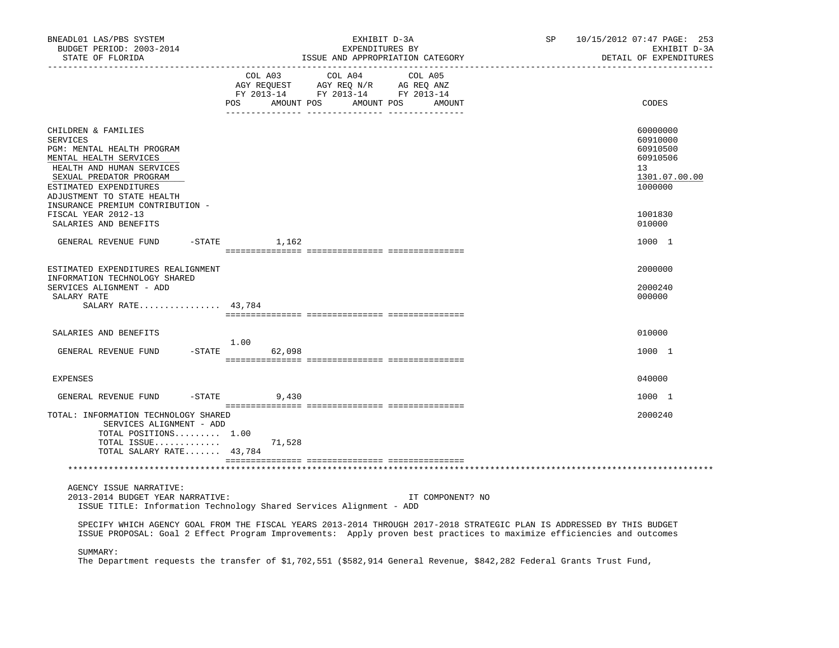| BNEADL01 LAS/PBS SYSTEM<br>BUDGET PERIOD: 2003-2014<br>STATE OF FLORIDA                                                                                                                                                                            | EXHIBIT D-3A<br>EXPENDITURES BY<br>ISSUE AND APPROPRIATION CATEGORY                                                                                                                                                                             | SP<br>10/15/2012 07:47 PAGE: 253<br>EXHIBIT D-3A<br>DETAIL OF EXPENDITURES     |
|----------------------------------------------------------------------------------------------------------------------------------------------------------------------------------------------------------------------------------------------------|-------------------------------------------------------------------------------------------------------------------------------------------------------------------------------------------------------------------------------------------------|--------------------------------------------------------------------------------|
|                                                                                                                                                                                                                                                    | COL A03<br>COL A04<br>COL A05<br>POS<br>AMOUNT POS AMOUNT POS<br>AMOUNT                                                                                                                                                                         | CODES                                                                          |
| CHILDREN & FAMILIES<br><b>SERVICES</b><br>PGM: MENTAL HEALTH PROGRAM<br>MENTAL HEALTH SERVICES<br>HEALTH AND HUMAN SERVICES<br>SEXUAL PREDATOR PROGRAM<br>ESTIMATED EXPENDITURES<br>ADJUSTMENT TO STATE HEALTH<br>INSURANCE PREMIUM CONTRIBUTION - |                                                                                                                                                                                                                                                 | 60000000<br>60910000<br>60910500<br>60910506<br>13<br>1301.07.00.00<br>1000000 |
| FISCAL YEAR 2012-13<br>SALARIES AND BENEFITS                                                                                                                                                                                                       |                                                                                                                                                                                                                                                 | 1001830<br>010000                                                              |
| GENERAL REVENUE FUND                                                                                                                                                                                                                               | $-$ STATE $1, 162$                                                                                                                                                                                                                              | 1000 1                                                                         |
| ESTIMATED EXPENDITURES REALIGNMENT<br>INFORMATION TECHNOLOGY SHARED<br>SERVICES ALIGNMENT - ADD<br>SALARY RATE<br>SALARY RATE 43,784                                                                                                               |                                                                                                                                                                                                                                                 | 2000000<br>2000240<br>000000                                                   |
| SALARIES AND BENEFITS                                                                                                                                                                                                                              | 1.00                                                                                                                                                                                                                                            | 010000                                                                         |
| GENERAL REVENUE FUND                                                                                                                                                                                                                               | $-STATE$<br>62,098                                                                                                                                                                                                                              | 1000 1                                                                         |
| <b>EXPENSES</b>                                                                                                                                                                                                                                    |                                                                                                                                                                                                                                                 | 040000                                                                         |
| GENERAL REVENUE FUND                                                                                                                                                                                                                               | $-$ STATE<br>9,430                                                                                                                                                                                                                              | 1000 1                                                                         |
| TOTAL: INFORMATION TECHNOLOGY SHARED<br>SERVICES ALIGNMENT - ADD<br>TOTAL POSITIONS 1.00<br>TOTAL SALARY RATE 43,784                                                                                                                               | TOTAL ISSUE $71,528$                                                                                                                                                                                                                            | 2000240                                                                        |
| AGENCY ISSUE NARRATIVE:<br>2013-2014 BUDGET YEAR NARRATIVE:                                                                                                                                                                                        | IT COMPONENT? NO<br>ISSUE TITLE: Information Technology Shared Services Alignment - ADD                                                                                                                                                         |                                                                                |
|                                                                                                                                                                                                                                                    | SPECIFY WHICH AGENCY GOAL FROM THE FISCAL YEARS 2013-2014 THROUGH 2017-2018 STRATEGIC PLAN IS ADDRESSED BY THIS BUDGET<br>ISSUE PROPOSAL: Goal 2 Effect Program Improvements: Apply proven best practices to maximize efficiencies and outcomes |                                                                                |
| SUMMARY:                                                                                                                                                                                                                                           | a na mala mma kinala alikuwa                                                                                                                                                                                                                    |                                                                                |

The Department requests the transfer of \$1,702,551 (\$582,914 General Revenue, \$842,282 Federal Grants Trust Fund,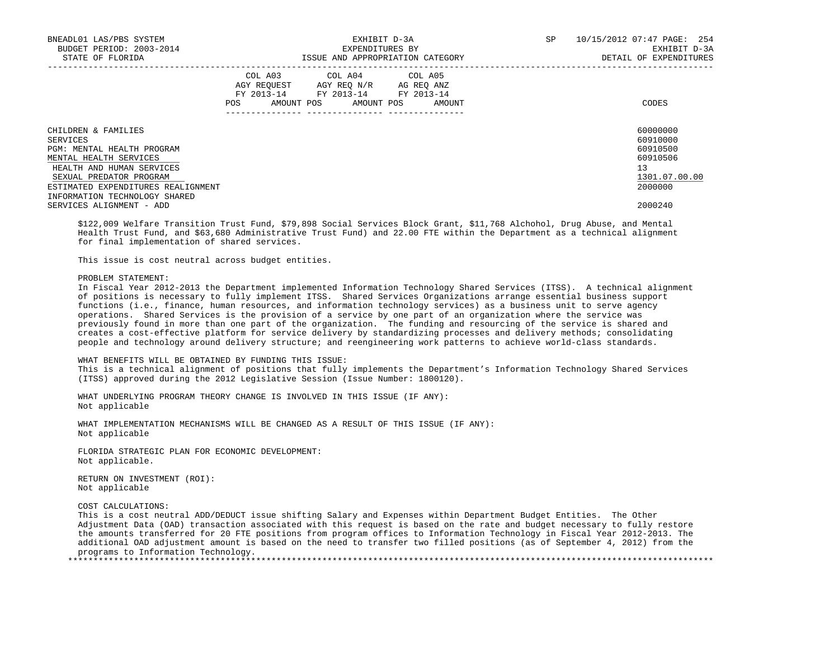| BNEADL01 LAS/PBS SYSTEM<br>BUDGET PERIOD: 2003-2014<br>STATE OF FLORIDA | EXHIBIT D-3A<br>EXPENDITURES BY<br>ISSUE AND APPROPRIATION CATEGORY |                                                                                                                 |  |            |  |        | SP | 10/15/2012 07:47 PAGE: 254<br>EXHIBIT D-3A<br>DETAIL OF EXPENDITURES |
|-------------------------------------------------------------------------|---------------------------------------------------------------------|-----------------------------------------------------------------------------------------------------------------|--|------------|--|--------|----|----------------------------------------------------------------------|
|                                                                         | POS                                                                 | COL A03 COL A04 COL A05<br>AGY REOUEST AGY REO N/R AG REO ANZ<br>FY 2013-14 FY 2013-14 FY 2013-14<br>AMOUNT POS |  | AMOUNT POS |  | AMOUNT |    | CODES                                                                |
| CHILDREN & FAMILIES                                                     |                                                                     |                                                                                                                 |  |            |  |        |    | 60000000                                                             |
| SERVICES                                                                |                                                                     |                                                                                                                 |  |            |  |        |    | 60910000                                                             |
| PGM: MENTAL HEALTH PROGRAM                                              |                                                                     |                                                                                                                 |  |            |  |        |    | 60910500                                                             |
| MENTAL HEALTH SERVICES                                                  |                                                                     |                                                                                                                 |  |            |  |        |    | 60910506                                                             |
| HEALTH AND HUMAN SERVICES                                               |                                                                     |                                                                                                                 |  |            |  |        |    | 13                                                                   |
| SEXUAL PREDATOR PROGRAM                                                 |                                                                     |                                                                                                                 |  |            |  |        |    | 1301.07.00.00                                                        |
| ESTIMATED EXPENDITURES REALIGNMENT                                      |                                                                     |                                                                                                                 |  |            |  |        |    | 2000000                                                              |
| INFORMATION TECHNOLOGY SHARED                                           |                                                                     |                                                                                                                 |  |            |  |        |    |                                                                      |
| SERVICES ALIGNMENT - ADD                                                |                                                                     |                                                                                                                 |  |            |  |        |    | 2000240                                                              |

 \$122,009 Welfare Transition Trust Fund, \$79,898 Social Services Block Grant, \$11,768 Alchohol, Drug Abuse, and Mental Health Trust Fund, and \$63,680 Administrative Trust Fund) and 22.00 FTE within the Department as a technical alignment for final implementation of shared services.

This issue is cost neutral across budget entities.

#### PROBLEM STATEMENT:

 In Fiscal Year 2012-2013 the Department implemented Information Technology Shared Services (ITSS). A technical alignment of positions is necessary to fully implement ITSS. Shared Services Organizations arrange essential business support functions (i.e., finance, human resources, and information technology services) as a business unit to serve agency operations. Shared Services is the provision of a service by one part of an organization where the service was previously found in more than one part of the organization. The funding and resourcing of the service is shared and creates a cost-effective platform for service delivery by standardizing processes and delivery methods; consolidating people and technology around delivery structure; and reengineering work patterns to achieve world-class standards.

## WHAT BENEFITS WILL BE OBTAINED BY FUNDING THIS ISSUE:

 This is a technical alignment of positions that fully implements the Department's Information Technology Shared Services (ITSS) approved during the 2012 Legislative Session (Issue Number: 1800120).

 WHAT UNDERLYING PROGRAM THEORY CHANGE IS INVOLVED IN THIS ISSUE (IF ANY): Not applicable

 WHAT IMPLEMENTATION MECHANISMS WILL BE CHANGED AS A RESULT OF THIS ISSUE (IF ANY): Not applicable

 FLORIDA STRATEGIC PLAN FOR ECONOMIC DEVELOPMENT: Not applicable.

 RETURN ON INVESTMENT (ROI): Not applicable

COST CALCULATIONS:

 This is a cost neutral ADD/DEDUCT issue shifting Salary and Expenses within Department Budget Entities. The Other Adjustment Data (OAD) transaction associated with this request is based on the rate and budget necessary to fully restore the amounts transferred for 20 FTE positions from program offices to Information Technology in Fiscal Year 2012-2013. The additional OAD adjustment amount is based on the need to transfer two filled positions (as of September 4, 2012) from the programs to Information Technology.

\*\*\*\*\*\*\*\*\*\*\*\*\*\*\*\*\*\*\*\*\*\*\*\*\*\*\*\*\*\*\*\*\*\*\*\*\*\*\*\*\*\*\*\*\*\*\*\*\*\*\*\*\*\*\*\*\*\*\*\*\*\*\*\*\*\*\*\*\*\*\*\*\*\*\*\*\*\*\*\*\*\*\*\*\*\*\*\*\*\*\*\*\*\*\*\*\*\*\*\*\*\*\*\*\*\*\*\*\*\*\*\*\*\*\*\*\*\*\*\*\*\*\*\*\*\*\*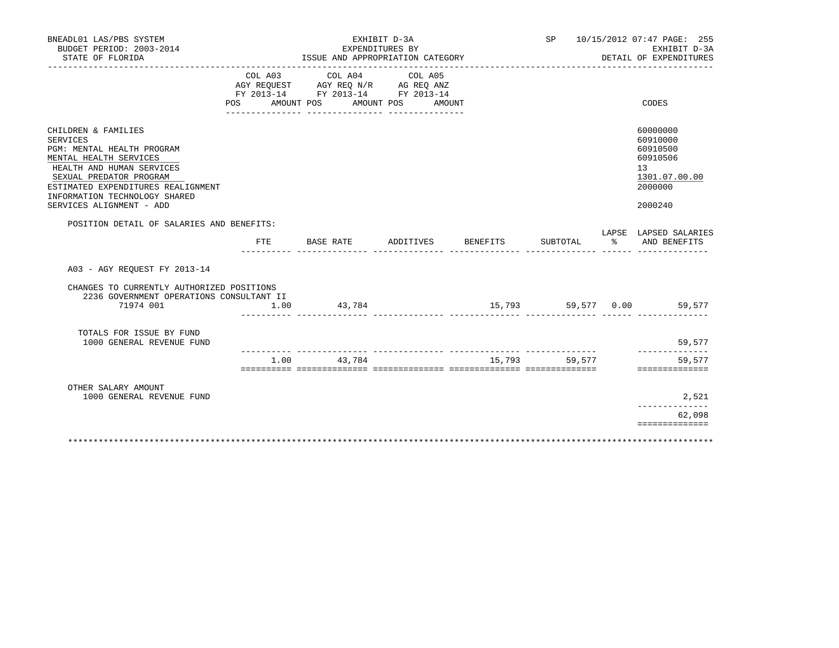| BNEADL01 LAS/PBS SYSTEM<br>BUDGET PERIOD: 2003-2014<br>STATE OF FLORIDA                                                                                                                                                                                   |              | EXHIBIT D-3A<br>EXPENDITURES BY<br>ISSUE AND APPROPRIATION CATEGORY                                                                                                                                                                                                   |                              |          |               | SP 10/15/2012 07:47 PAGE: 255<br>EXHIBIT D-3A<br>DETAIL OF EXPENDITURES                                |
|-----------------------------------------------------------------------------------------------------------------------------------------------------------------------------------------------------------------------------------------------------------|--------------|-----------------------------------------------------------------------------------------------------------------------------------------------------------------------------------------------------------------------------------------------------------------------|------------------------------|----------|---------------|--------------------------------------------------------------------------------------------------------|
|                                                                                                                                                                                                                                                           | POS          | COL A03 COL A04<br>$\begin{tabular}{lllllll} \bf AGY \;\; RegUEST \hspace{1cm} AGY \;\; REG \;\; N/R \hspace{1cm} \bf AG \;\; REG \;\; ANZ \end{tabular}$ $\begin{tabular}{lllllllllll} \bf FY \;\; 2013-14 \hspace{1cm} FY \;\; 2013-14 \end{tabular}$<br>AMOUNT POS | COL A05<br>AMOUNT POS AMOUNT |          |               | CODES                                                                                                  |
| CHILDREN & FAMILIES<br><b>SERVICES</b><br>PGM: MENTAL HEALTH PROGRAM<br>MENTAL HEALTH SERVICES<br>HEALTH AND HUMAN SERVICES<br>SEXUAL PREDATOR PROGRAM<br>ESTIMATED EXPENDITURES REALIGNMENT<br>INFORMATION TECHNOLOGY SHARED<br>SERVICES ALIGNMENT - ADD |              |                                                                                                                                                                                                                                                                       |                              |          |               | 60000000<br>60910000<br>60910500<br>60910506<br>13 <sup>°</sup><br>1301.07.00.00<br>2000000<br>2000240 |
| POSITION DETAIL OF SALARIES AND BENEFITS:                                                                                                                                                                                                                 |              |                                                                                                                                                                                                                                                                       |                              |          |               | LAPSE LAPSED SALARIES                                                                                  |
|                                                                                                                                                                                                                                                           | $_{\rm FTE}$ | BASE RATE                                                                                                                                                                                                                                                             | ADDITIVES                    | BENEFITS |               | SUBTOTAL % AND BENEFITS                                                                                |
| A03 - AGY REOUEST FY 2013-14                                                                                                                                                                                                                              |              |                                                                                                                                                                                                                                                                       |                              |          |               |                                                                                                        |
| CHANGES TO CURRENTLY AUTHORIZED POSITIONS<br>2236 GOVERNMENT OPERATIONS CONSULTANT II                                                                                                                                                                     |              |                                                                                                                                                                                                                                                                       |                              |          |               |                                                                                                        |
| 71974 001                                                                                                                                                                                                                                                 | 1.00         | 43,784                                                                                                                                                                                                                                                                |                              |          |               | 15,793 59,577 0.00 59,577                                                                              |
| TOTALS FOR ISSUE BY FUND<br>1000 GENERAL REVENUE FUND                                                                                                                                                                                                     |              |                                                                                                                                                                                                                                                                       |                              |          |               | 59,577<br>-------------                                                                                |
|                                                                                                                                                                                                                                                           | 1.00         | 43,784                                                                                                                                                                                                                                                                |                              |          | 15,793 59,577 | 59,577<br>==============                                                                               |
| OTHER SALARY AMOUNT<br>1000 GENERAL REVENUE FUND                                                                                                                                                                                                          |              |                                                                                                                                                                                                                                                                       |                              |          |               | 2,521                                                                                                  |
|                                                                                                                                                                                                                                                           |              |                                                                                                                                                                                                                                                                       |                              |          |               | 62,098<br>==============                                                                               |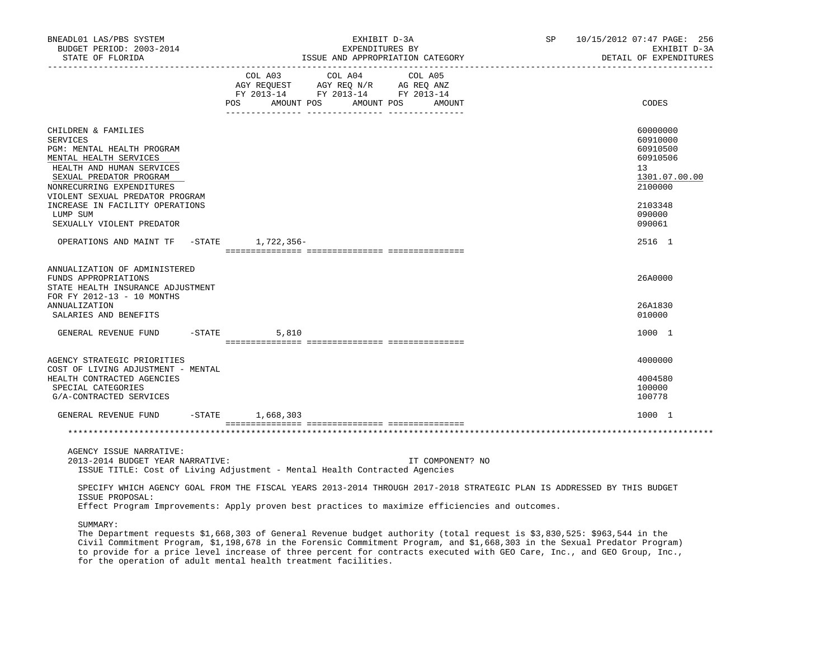| BNEADL01 LAS/PBS SYSTEM<br>BUDGET PERIOD: 2003-2014<br>STATE OF FLORIDA                                                                                                                                                | EXHIBIT D-3A<br>EXPENDITURES BY<br>ISSUE AND APPROPRIATION CATEGORY                                                                                                                                                                       | SP <sub>2</sub>  | 10/15/2012 07:47 PAGE: 256<br>EXHIBIT D-3A<br>DETAIL OF EXPENDITURES           |
|------------------------------------------------------------------------------------------------------------------------------------------------------------------------------------------------------------------------|-------------------------------------------------------------------------------------------------------------------------------------------------------------------------------------------------------------------------------------------|------------------|--------------------------------------------------------------------------------|
|                                                                                                                                                                                                                        | COL A03<br>COL A04<br>COL A05<br>AGY REQUEST AGY REQ N/R AG REQ ANZ<br>FY 2013-14 FY 2013-14 FY 2013-14<br>POS<br>AMOUNT POS<br>AMOUNT POS                                                                                                | AMOUNT           | CODES                                                                          |
| CHILDREN & FAMILIES<br><b>SERVICES</b><br>PGM: MENTAL HEALTH PROGRAM<br>MENTAL HEALTH SERVICES<br>HEALTH AND HUMAN SERVICES<br>SEXUAL PREDATOR PROGRAM<br>NONRECURRING EXPENDITURES<br>VIOLENT SEXUAL PREDATOR PROGRAM |                                                                                                                                                                                                                                           |                  | 60000000<br>60910000<br>60910500<br>60910506<br>13<br>1301.07.00.00<br>2100000 |
| INCREASE IN FACILITY OPERATIONS<br>LUMP SUM<br>SEXUALLY VIOLENT PREDATOR                                                                                                                                               |                                                                                                                                                                                                                                           |                  | 2103348<br>090000<br>090061                                                    |
| OPERATIONS AND MAINT TF -STATE 1,722,356-                                                                                                                                                                              |                                                                                                                                                                                                                                           |                  | 2516 1                                                                         |
| ANNUALIZATION OF ADMINISTERED<br>FUNDS APPROPRIATIONS<br>STATE HEALTH INSURANCE ADJUSTMENT<br>FOR FY 2012-13 - 10 MONTHS<br>ANNUALIZATION                                                                              |                                                                                                                                                                                                                                           |                  | 26A0000<br>26A1830                                                             |
| SALARIES AND BENEFITS<br>GENERAL REVENUE FUND                                                                                                                                                                          | $-$ STATE<br>5,810                                                                                                                                                                                                                        |                  | 010000<br>1000 1                                                               |
|                                                                                                                                                                                                                        |                                                                                                                                                                                                                                           |                  |                                                                                |
| AGENCY STRATEGIC PRIORITIES<br>COST OF LIVING ADJUSTMENT - MENTAL<br>HEALTH CONTRACTED AGENCIES<br>SPECIAL CATEGORIES<br>G/A-CONTRACTED SERVICES                                                                       |                                                                                                                                                                                                                                           |                  | 4000000<br>4004580<br>100000<br>100778                                         |
| GENERAL REVENUE FUND -STATE 1,668,303                                                                                                                                                                                  |                                                                                                                                                                                                                                           |                  | 1000 1                                                                         |
|                                                                                                                                                                                                                        |                                                                                                                                                                                                                                           |                  |                                                                                |
| AGENCY ISSUE NARRATIVE:<br>2013-2014 BUDGET YEAR NARRATIVE:                                                                                                                                                            | ISSUE TITLE: Cost of Living Adjustment - Mental Health Contracted Agencies                                                                                                                                                                | IT COMPONENT? NO |                                                                                |
| ISSUE PROPOSAL:                                                                                                                                                                                                        | SPECIFY WHICH AGENCY GOAL FROM THE FISCAL YEARS 2013-2014 THROUGH 2017-2018 STRATEGIC PLAN IS ADDRESSED BY THIS BUDGET<br>the contract of the contract of the contract of the contract of the contract of the contract of the contract of |                  |                                                                                |

Effect Program Improvements: Apply proven best practices to maximize efficiencies and outcomes.

SUMMARY:

 The Department requests \$1,668,303 of General Revenue budget authority (total request is \$3,830,525: \$963,544 in the Civil Commitment Program, \$1,198,678 in the Forensic Commitment Program, and \$1,668,303 in the Sexual Predator Program) to provide for a price level increase of three percent for contracts executed with GEO Care, Inc., and GEO Group, Inc., for the operation of adult mental health treatment facilities.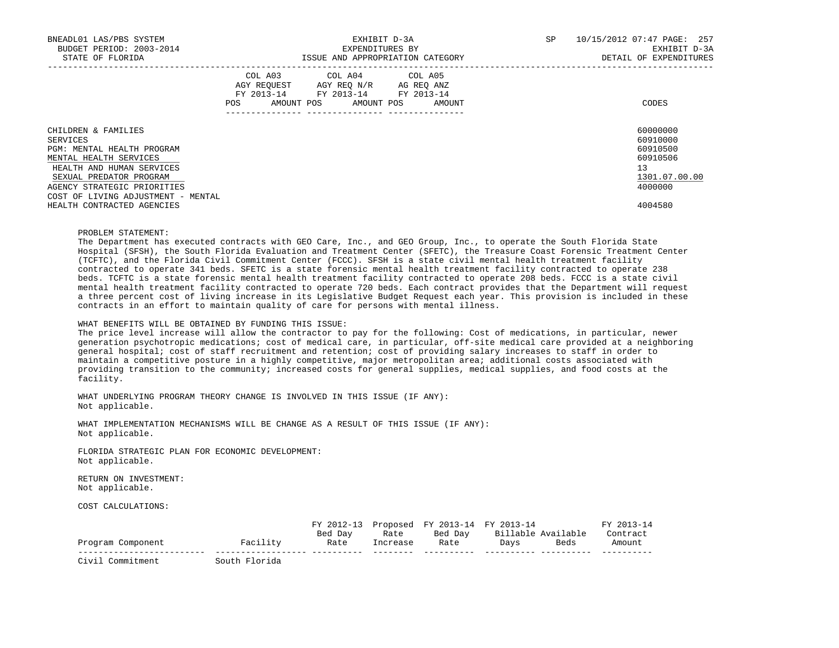| BNEADL01 LAS/PBS SYSTEM<br>BUDGET PERIOD: 2003-2014<br>STATE OF FLORIDA |     |                                                                                                                                   | EXHIBIT D-3A<br>EXPENDITURES BY | ISSUE AND APPROPRIATION CATEGORY | SP | 10/15/2012 07:47 PAGE: 257<br>EXHIBIT D-3A<br>DETAIL OF EXPENDITURES |
|-------------------------------------------------------------------------|-----|-----------------------------------------------------------------------------------------------------------------------------------|---------------------------------|----------------------------------|----|----------------------------------------------------------------------|
|                                                                         | POS | COL A03 COL A04 COL A05<br>AGY REQUEST AGY REO N/R AG REO ANZ<br>FY 2013-14 FY 2013-14 FY 2013-14<br>AMOUNT POS AMOUNT POS AMOUNT |                                 |                                  |    | CODES                                                                |
| CHILDREN & FAMILIES                                                     |     |                                                                                                                                   |                                 |                                  |    | 60000000                                                             |
| SERVICES                                                                |     |                                                                                                                                   |                                 |                                  |    | 60910000                                                             |
| PGM: MENTAL HEALTH PROGRAM                                              |     |                                                                                                                                   |                                 |                                  |    | 60910500                                                             |
| MENTAL HEALTH SERVICES                                                  |     |                                                                                                                                   |                                 |                                  |    | 60910506                                                             |
| HEALTH AND HUMAN SERVICES                                               |     |                                                                                                                                   |                                 |                                  |    | 13                                                                   |
| SEXUAL PREDATOR PROGRAM                                                 |     |                                                                                                                                   |                                 |                                  |    | 1301.07.00.00                                                        |
| AGENCY STRATEGIC PRIORITIES                                             |     |                                                                                                                                   |                                 |                                  |    | 4000000                                                              |
| COST OF LIVING ADJUSTMENT - MENTAL                                      |     |                                                                                                                                   |                                 |                                  |    |                                                                      |
| HEALTH CONTRACTED AGENCIES                                              |     |                                                                                                                                   |                                 |                                  |    | 4004580                                                              |

#### PROBLEM STATEMENT:

 The Department has executed contracts with GEO Care, Inc., and GEO Group, Inc., to operate the South Florida State Hospital (SFSH), the South Florida Evaluation and Treatment Center (SFETC), the Treasure Coast Forensic Treatment Center (TCFTC), and the Florida Civil Commitment Center (FCCC). SFSH is a state civil mental health treatment facility contracted to operate 341 beds. SFETC is a state forensic mental health treatment facility contracted to operate 238 beds. TCFTC is a state forensic mental health treatment facility contracted to operate 208 beds. FCCC is a state civil mental health treatment facility contracted to operate 720 beds. Each contract provides that the Department will request a three percent cost of living increase in its Legislative Budget Request each year. This provision is included in these contracts in an effort to maintain quality of care for persons with mental illness.

# WHAT BENEFITS WILL BE OBTAINED BY FUNDING THIS ISSUE:

 The price level increase will allow the contractor to pay for the following: Cost of medications, in particular, newer generation psychotropic medications; cost of medical care, in particular, off-site medical care provided at a neighboring general hospital; cost of staff recruitment and retention; cost of providing salary increases to staff in order to maintain a competitive posture in a highly competitive, major metropolitan area; additional costs associated with providing transition to the community; increased costs for general supplies, medical supplies, and food costs at the facility.

 WHAT UNDERLYING PROGRAM THEORY CHANGE IS INVOLVED IN THIS ISSUE (IF ANY): Not applicable.

 WHAT IMPLEMENTATION MECHANISMS WILL BE CHANGE AS A RESULT OF THIS ISSUE (IF ANY): Not applicable.

 FLORIDA STRATEGIC PLAN FOR ECONOMIC DEVELOPMENT: Not applicable.

 RETURN ON INVESTMENT: Not applicable.

COST CALCULATIONS:

|                   |               |         |          | FY 2012-13 Proposed FY 2013-14 FY 2013-14 |      |                    | FY 2013-14 |
|-------------------|---------------|---------|----------|-------------------------------------------|------|--------------------|------------|
|                   |               | Bed Day | Rate     | Bed Dav                                   |      | Billable Available | Contract   |
| Program Component | Facility      | Rate    | Increase | Rate                                      | Davs | Beds               | Amount     |
| Civil Commitment  | South Florida |         |          |                                           |      |                    |            |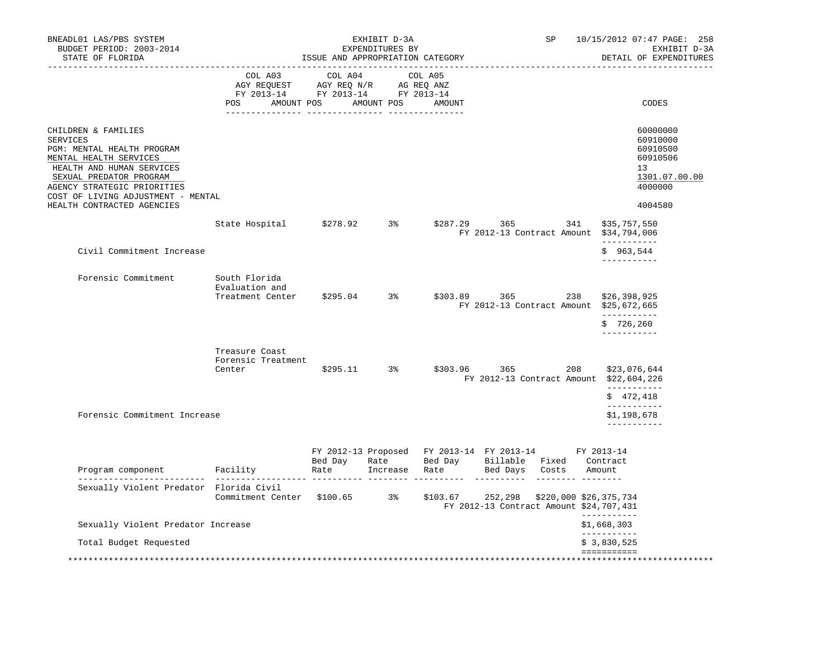| BNEADL01 LAS/PBS SYSTEM<br>BUDGET PERIOD: 2003-2014<br>STATE OF FLORIDA                                                                                                                                                                                   | SP<br>EXHIBIT D-3A<br>EXPENDITURES BY<br>ISSUE AND APPROPRIATION CATEGORY                                                                                                                                                                                            |                 |              |               |                                                                                                                                |     | 10/15/2012 07:47 PAGE: 258<br>EXHIBIT D-3A<br>DETAIL OF EXPENDITURES                      |
|-----------------------------------------------------------------------------------------------------------------------------------------------------------------------------------------------------------------------------------------------------------|----------------------------------------------------------------------------------------------------------------------------------------------------------------------------------------------------------------------------------------------------------------------|-----------------|--------------|---------------|--------------------------------------------------------------------------------------------------------------------------------|-----|-------------------------------------------------------------------------------------------|
|                                                                                                                                                                                                                                                           | COL A03<br>$\begin{tabular}{lllllllllll} \bf{AGY} & \bf{REQUEST} & \bf{AGY} & \bf{REQ} & \bf{IN/R} & \bf{AG} & \bf{REQ} & \bf{ANZ} \\ \bf{FY} & \bf{2013-14} & \bf{FY} & \bf{2013-14} & \bf{FY} & \bf{2013-14} \\ \end{tabular}$<br>POS AMOUNT POS AMOUNT POS AMOUNT | COL A04         |              | COL A05       |                                                                                                                                |     | CODES                                                                                     |
| CHILDREN & FAMILIES<br><b>SERVICES</b><br>PGM: MENTAL HEALTH PROGRAM<br>MENTAL HEALTH SERVICES<br>HEALTH AND HUMAN SERVICES<br>SEXUAL PREDATOR PROGRAM<br>AGENCY STRATEGIC PRIORITIES<br>COST OF LIVING ADJUSTMENT - MENTAL<br>HEALTH CONTRACTED AGENCIES |                                                                                                                                                                                                                                                                      |                 |              |               |                                                                                                                                |     | 60000000<br>60910000<br>60910500<br>60910506<br>13<br>1301.07.00.00<br>4000000<br>4004580 |
|                                                                                                                                                                                                                                                           | State Hospital \$278.92 3% \$287.29 365                                                                                                                                                                                                                              |                 |              |               | FY 2012-13 Contract Amount \$34,794,006                                                                                        | 341 | \$35,757,550<br>-----------                                                               |
| Civil Commitment Increase                                                                                                                                                                                                                                 |                                                                                                                                                                                                                                                                      |                 |              |               |                                                                                                                                |     | \$963,544<br>-----------                                                                  |
| Forensic Commitment                                                                                                                                                                                                                                       | South Florida<br>Evaluation and<br>Treatment Center                                                                                                                                                                                                                  |                 | $$295.04$ 3% |               | \$303.89 365 238<br>FY 2012-13 Contract Amount \$25,672,665                                                                    |     | \$26,398,925<br>___________                                                               |
|                                                                                                                                                                                                                                                           |                                                                                                                                                                                                                                                                      |                 |              |               |                                                                                                                                |     | \$726.260<br>___________                                                                  |
|                                                                                                                                                                                                                                                           | Treasure Coast<br>Forensic Treatment<br>Center                                                                                                                                                                                                                       |                 | $$295.11$ 3% |               | $$303.96$ 365<br>FY 2012-13 Contract Amount \$22,604,226                                                                       | 208 | \$23,076,644<br>-----------<br>\$472,418<br>___________                                   |
| Forensic Commitment Increase                                                                                                                                                                                                                              |                                                                                                                                                                                                                                                                      |                 |              |               |                                                                                                                                |     | \$1,198,678<br>-----------                                                                |
| Program component Facility                                                                                                                                                                                                                                |                                                                                                                                                                                                                                                                      | Bed Day<br>Rate | Rate         | Increase Rate | FY 2012-13 Proposed FY 2013-14 FY 2013-14 FY 2013-14<br>Bed Day Billable Fixed Contract<br>Bed Days Costs                      |     | Amount                                                                                    |
| Sexually Violent Predator Florida Civil                                                                                                                                                                                                                   | Commitment Center \$100.65 3%                                                                                                                                                                                                                                        |                 |              |               | . <u>----------- --------- -------</u><br>$$103.67$ 252,298 $$220,000$ \$26,375,734<br>FY 2012-13 Contract Amount \$24,707,431 |     |                                                                                           |
| Sexually Violent Predator Increase                                                                                                                                                                                                                        |                                                                                                                                                                                                                                                                      |                 |              |               |                                                                                                                                |     | -----------<br>\$1,668,303<br>___________                                                 |
| Total Budget Requested                                                                                                                                                                                                                                    |                                                                                                                                                                                                                                                                      |                 |              |               |                                                                                                                                |     | \$3,830,525<br>===========                                                                |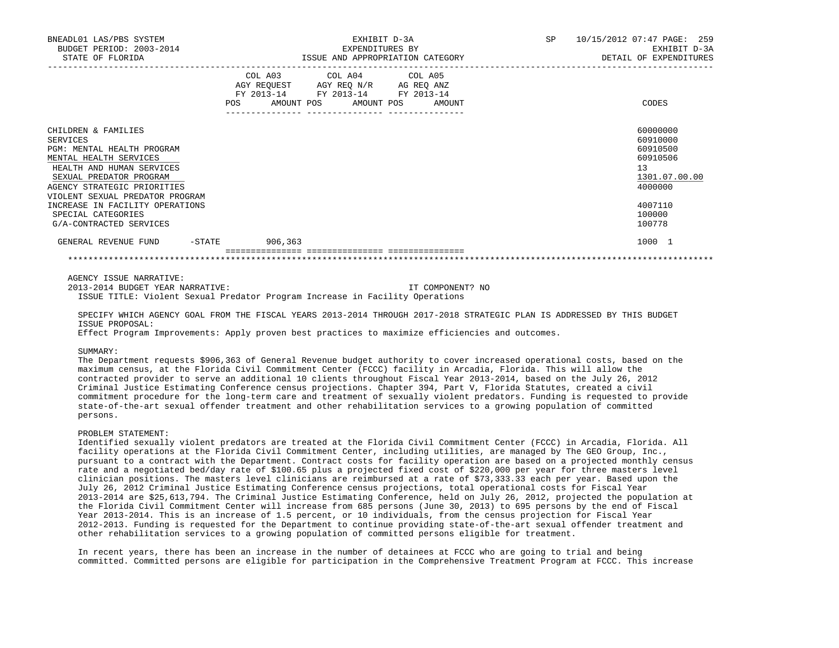| BNEADL01 LAS/PBS SYSTEM<br>BUDGET PERIOD: 2003-2014 |                                                                                                   | EXHIBIT D-3A<br>EXPENDITURES BY  | <b>SP</b> | 10/15/2012 07:47 PAGE: 259<br>EXHIBIT D-3A |
|-----------------------------------------------------|---------------------------------------------------------------------------------------------------|----------------------------------|-----------|--------------------------------------------|
| STATE OF FLORIDA                                    |                                                                                                   | ISSUE AND APPROPRIATION CATEGORY |           | DETAIL OF EXPENDITURES                     |
|                                                     | COL A03 COL A04 COL A05<br>AGY REQUEST AGY REO N/R AG REO ANZ<br>FY 2013-14 FY 2013-14 FY 2013-14 |                                  |           |                                            |
|                                                     | <b>POS</b><br>AMOUNT POS AMOUNT POS<br>--------------- ----------------                           | AMOUNT                           |           | CODES                                      |
| CHILDREN & FAMILIES                                 |                                                                                                   |                                  |           | 60000000                                   |
| SERVICES                                            |                                                                                                   |                                  |           | 60910000                                   |
| PGM: MENTAL HEALTH PROGRAM                          |                                                                                                   |                                  |           | 60910500                                   |
| MENTAL HEALTH SERVICES                              |                                                                                                   |                                  |           | 60910506                                   |
| HEALTH AND HUMAN SERVICES                           |                                                                                                   |                                  |           | 13                                         |
| SEXUAL PREDATOR PROGRAM                             |                                                                                                   |                                  |           | 1301.07.00.00                              |
| AGENCY STRATEGIC PRIORITIES                         |                                                                                                   |                                  |           | 4000000                                    |
| VIOLENT SEXUAL PREDATOR PROGRAM                     |                                                                                                   |                                  |           |                                            |
| INCREASE IN FACILITY OPERATIONS                     |                                                                                                   |                                  |           | 4007110                                    |
| SPECIAL CATEGORIES                                  |                                                                                                   |                                  |           | 100000                                     |
| G/A-CONTRACTED SERVICES                             |                                                                                                   |                                  |           | 100778                                     |
| GENERAL REVENUE FUND                                | -STATE 906,363                                                                                    |                                  |           | 1000 1                                     |
|                                                     |                                                                                                   |                                  |           |                                            |

AGENCY ISSUE NARRATIVE:

 2013-2014 BUDGET YEAR NARRATIVE: IT COMPONENT? NO ISSUE TITLE: Violent Sexual Predator Program Increase in Facility Operations

 SPECIFY WHICH AGENCY GOAL FROM THE FISCAL YEARS 2013-2014 THROUGH 2017-2018 STRATEGIC PLAN IS ADDRESSED BY THIS BUDGET ISSUE PROPOSAL:

Effect Program Improvements: Apply proven best practices to maximize efficiencies and outcomes.

SUMMARY:

 The Department requests \$906,363 of General Revenue budget authority to cover increased operational costs, based on the maximum census, at the Florida Civil Commitment Center (FCCC) facility in Arcadia, Florida. This will allow the contracted provider to serve an additional 10 clients throughout Fiscal Year 2013-2014, based on the July 26, 2012 Criminal Justice Estimating Conference census projections. Chapter 394, Part V, Florida Statutes, created a civil commitment procedure for the long-term care and treatment of sexually violent predators. Funding is requested to provide state-of-the-art sexual offender treatment and other rehabilitation services to a growing population of committed persons.

# PROBLEM STATEMENT:

 Identified sexually violent predators are treated at the Florida Civil Commitment Center (FCCC) in Arcadia, Florida. All facility operations at the Florida Civil Commitment Center, including utilities, are managed by The GEO Group, Inc., pursuant to a contract with the Department. Contract costs for facility operation are based on a projected monthly census rate and a negotiated bed/day rate of \$100.65 plus a projected fixed cost of \$220,000 per year for three masters level clinician positions. The masters level clinicians are reimbursed at a rate of \$73,333.33 each per year. Based upon the July 26, 2012 Criminal Justice Estimating Conference census projections, total operational costs for Fiscal Year 2013-2014 are \$25,613,794. The Criminal Justice Estimating Conference, held on July 26, 2012, projected the population at the Florida Civil Commitment Center will increase from 685 persons (June 30, 2013) to 695 persons by the end of Fiscal Year 2013-2014. This is an increase of 1.5 percent, or 10 individuals, from the census projection for Fiscal Year 2012-2013. Funding is requested for the Department to continue providing state-of-the-art sexual offender treatment and other rehabilitation services to a growing population of committed persons eligible for treatment.

 In recent years, there has been an increase in the number of detainees at FCCC who are going to trial and being committed. Committed persons are eligible for participation in the Comprehensive Treatment Program at FCCC. This increase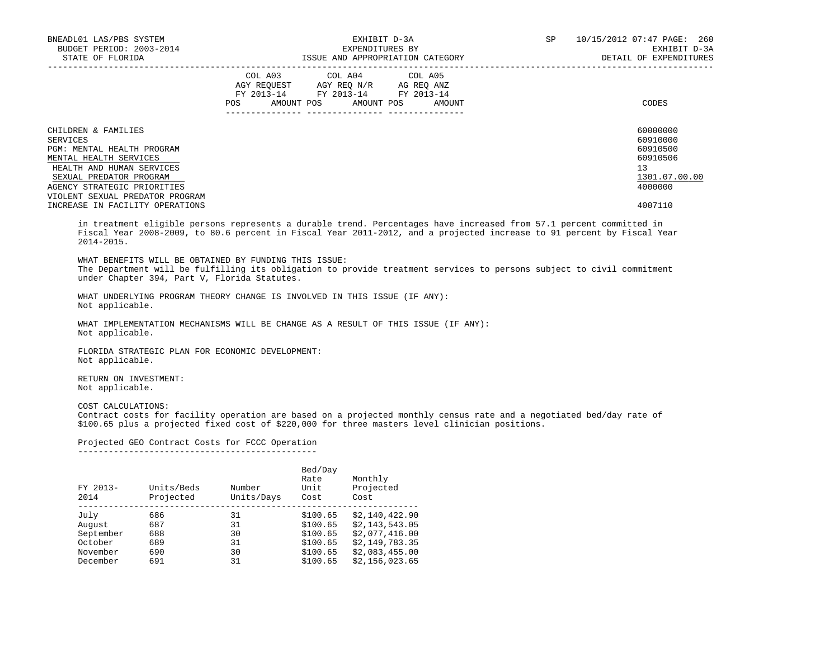| BNEADL01 LAS/PBS SYSTEM<br>BUDGET PERIOD: 2003-2014<br>STATE OF FLORIDA |     | EXHIBIT D-3A<br>EXPENDITURES BY<br>ISSUE AND APPROPRIATION CATEGORY                                                               | SP | 10/15/2012 07:47 PAGE: 260<br>EXHIBIT D-3A<br>DETAIL OF EXPENDITURES |                      |
|-------------------------------------------------------------------------|-----|-----------------------------------------------------------------------------------------------------------------------------------|----|----------------------------------------------------------------------|----------------------|
|                                                                         | POS | COL A03 COL A04 COL A05<br>AGY REQUEST AGY REO N/R AG REO ANZ<br>FY 2013-14 FY 2013-14 FY 2013-14<br>AMOUNT POS AMOUNT POS AMOUNT |    |                                                                      | CODES                |
| CHILDREN & FAMILIES<br>SERVICES                                         |     |                                                                                                                                   |    |                                                                      | 60000000<br>60910000 |
| PGM: MENTAL HEALTH PROGRAM                                              |     |                                                                                                                                   |    |                                                                      | 60910500             |
| MENTAL HEALTH SERVICES                                                  |     |                                                                                                                                   |    |                                                                      | 60910506             |
| HEALTH AND HUMAN SERVICES                                               |     |                                                                                                                                   |    |                                                                      | 13                   |
| SEXUAL PREDATOR PROGRAM                                                 |     |                                                                                                                                   |    |                                                                      | 1301.07.00.00        |
| AGENCY STRATEGIC PRIORITIES                                             |     |                                                                                                                                   |    |                                                                      | 4000000              |
| VIOLENT SEXUAL PREDATOR PROGRAM                                         |     |                                                                                                                                   |    |                                                                      |                      |
| INCREASE IN FACILITY OPERATIONS                                         |     |                                                                                                                                   |    |                                                                      | 4007110              |

 in treatment eligible persons represents a durable trend. Percentages have increased from 57.1 percent committed in Fiscal Year 2008-2009, to 80.6 percent in Fiscal Year 2011-2012, and a projected increase to 91 percent by Fiscal Year 2014-2015.

 WHAT BENEFITS WILL BE OBTAINED BY FUNDING THIS ISSUE: The Department will be fulfilling its obligation to provide treatment services to persons subject to civil commitment under Chapter 394, Part V, Florida Statutes.

 WHAT UNDERLYING PROGRAM THEORY CHANGE IS INVOLVED IN THIS ISSUE (IF ANY): Not applicable.

 WHAT IMPLEMENTATION MECHANISMS WILL BE CHANGE AS A RESULT OF THIS ISSUE (IF ANY): Not applicable.

 FLORIDA STRATEGIC PLAN FOR ECONOMIC DEVELOPMENT: Not applicable.

 RETURN ON INVESTMENT: Not applicable.

COST CALCULATIONS:

 Contract costs for facility operation are based on a projected monthly census rate and a negotiated bed/day rate of \$100.65 plus a projected fixed cost of \$220,000 for three masters level clinician positions.

#### Projected GEO Contract Costs for FCCC Operation -----------------------------------------------

| FY 2013-<br>2014 | Units/Beds<br>Projected | Number<br>Units/Days | Bed/Day<br>Rate<br>Unit<br>Cost | Monthly<br>Projected<br>Cost |
|------------------|-------------------------|----------------------|---------------------------------|------------------------------|
| July             | 686                     | 31                   | \$100.65                        | \$2,140,422.90               |
| August           | 687                     | 31                   | \$100.65                        | \$2,143,543.05               |
| September        | 688                     | 30                   | \$100.65                        | \$2,077,416.00               |
| October          | 689                     | 31                   | \$100.65                        | \$2,149,783.35               |
| November         | 690                     | 30                   | \$100.65                        | \$2,083,455.00               |
| December         | 691                     | 31                   | \$100.65                        | \$2,156,023.65               |
|                  |                         |                      |                                 |                              |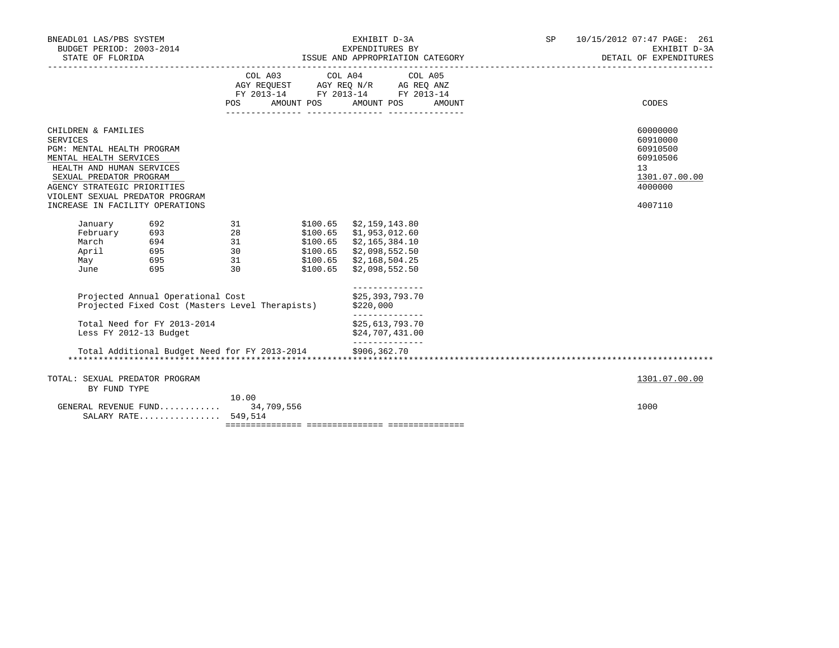| BNEADL01 LAS/PBS SYSTEM<br>BUDGET PERIOD: 2003-2014<br>STATE OF FLORIDA                                                                                                                                                                                     |                                                                                                |                       | EXHIBIT D-3A<br>EXPENDITURES BY                                                                                                                                      | ISSUE AND APPROPRIATION CATEGORY | SP <sub>2</sub> | 10/15/2012 07:47 PAGE: 261<br>EXHIBIT D-3A<br>DETAIL OF EXPENDITURES                      |
|-------------------------------------------------------------------------------------------------------------------------------------------------------------------------------------------------------------------------------------------------------------|------------------------------------------------------------------------------------------------|-----------------------|----------------------------------------------------------------------------------------------------------------------------------------------------------------------|----------------------------------|-----------------|-------------------------------------------------------------------------------------------|
|                                                                                                                                                                                                                                                             |                                                                                                | <b>POS</b>            | COL A03 COL A04 COL A05<br>AGY REQUEST AGY REQ N/R AG REQ ANZ<br>FY 2013-14 FY 2013-14 FY 2013-14<br>AMOUNT POS AMOUNT POS                                           | AMOUNT                           |                 | CODES                                                                                     |
| CHILDREN & FAMILIES<br><b>SERVICES</b><br>PGM: MENTAL HEALTH PROGRAM<br>MENTAL HEALTH SERVICES<br>HEALTH AND HUMAN SERVICES<br>SEXUAL PREDATOR PROGRAM<br>AGENCY STRATEGIC PRIORITIES<br>VIOLENT SEXUAL PREDATOR PROGRAM<br>INCREASE IN FACILITY OPERATIONS |                                                                                                |                       |                                                                                                                                                                      |                                  |                 | 60000000<br>60910000<br>60910500<br>60910506<br>13<br>1301.07.00.00<br>4000000<br>4007110 |
| March<br>April<br>May<br>June                                                                                                                                                                                                                               | January 692 31<br>February 693 28<br>694 31<br>695<br>695<br>695                               | $\frac{30}{31}$<br>30 | $$100.65$ $$2,159,143.80$<br>$$100.65$ $$1,953,012.60$<br>\$100.65 \$2,165,384.10<br>\$100.65 \$2,098,552.50<br>\$100.65 \$2,168,504.25<br>$$100.65$ $$2,098,552.50$ |                                  |                 |                                                                                           |
|                                                                                                                                                                                                                                                             | Projected Annual Operational Cost<br>Projected Fixed Cost (Masters Level Therapists) \$220,000 |                       | --------------<br>\$25,393,793.70<br>______________                                                                                                                  |                                  |                 |                                                                                           |
| Less FY 2012-13 Budget                                                                                                                                                                                                                                      | Total Need for FY 2013-2014                                                                    |                       | \$25,613,793.70<br>\$24,707,431.00<br>______________                                                                                                                 |                                  |                 |                                                                                           |
|                                                                                                                                                                                                                                                             | Total Additional Budget Need for FY 2013-2014 \$906,362.70                                     |                       |                                                                                                                                                                      |                                  |                 |                                                                                           |
| TOTAL: SEXUAL PREDATOR PROGRAM<br>BY FUND TYPE                                                                                                                                                                                                              |                                                                                                |                       |                                                                                                                                                                      |                                  |                 | 1301.07.00.00                                                                             |
| GENERAL REVENUE FUND                                                                                                                                                                                                                                        | SALARY RATE 549,514                                                                            | 10.00<br>34,709,556   |                                                                                                                                                                      |                                  |                 | 1000                                                                                      |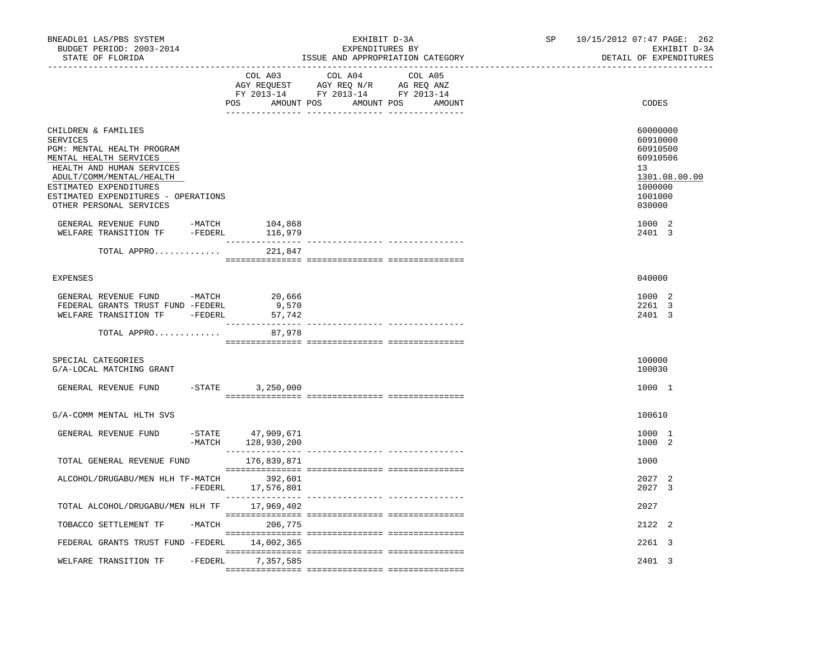| COL A04 COL A05<br>COL A03<br>AGY REQUEST AGY REQ N/R AG REQ ANZ<br>FY 2013-14 FY 2013-14 FY 2013-14<br>POS AMOUNT POS AMOUNT POS AMOUNT<br>CODES<br>60000000<br>CHILDREN & FAMILIES<br><b>SERVICES</b><br>60910000<br>PGM: MENTAL HEALTH PROGRAM<br>60910500<br>MENTAL HEALTH SERVICES<br>60910506<br>13<br>HEALTH AND HUMAN SERVICES<br>ADULT/COMM/MENTAL/HEALTH<br>1301.08.00.00<br>ESTIMATED EXPENDITURES<br>1000000<br>1001000<br>ESTIMATED EXPENDITURES - OPERATIONS<br>OTHER PERSONAL SERVICES<br>030000<br>1000 2<br>GENERAL REVENUE FUND -MATCH 104,868<br>WELFARE TRANSITION TF -FEDERL 116,979<br>2401 3<br>TOTAL APPRO<br>221,847<br><b>EXPENSES</b><br>040000 | 10/15/2012 07:47 PAGE: 262<br>EXHIBIT D-3A<br>DETAIL OF EXPENDITURES |
|----------------------------------------------------------------------------------------------------------------------------------------------------------------------------------------------------------------------------------------------------------------------------------------------------------------------------------------------------------------------------------------------------------------------------------------------------------------------------------------------------------------------------------------------------------------------------------------------------------------------------------------------------------------------------|----------------------------------------------------------------------|
|                                                                                                                                                                                                                                                                                                                                                                                                                                                                                                                                                                                                                                                                            |                                                                      |
|                                                                                                                                                                                                                                                                                                                                                                                                                                                                                                                                                                                                                                                                            |                                                                      |
|                                                                                                                                                                                                                                                                                                                                                                                                                                                                                                                                                                                                                                                                            |                                                                      |
|                                                                                                                                                                                                                                                                                                                                                                                                                                                                                                                                                                                                                                                                            |                                                                      |
|                                                                                                                                                                                                                                                                                                                                                                                                                                                                                                                                                                                                                                                                            |                                                                      |
|                                                                                                                                                                                                                                                                                                                                                                                                                                                                                                                                                                                                                                                                            |                                                                      |
| GENERAL REVENUE FUND -MATCH 20,666<br>1000 2<br>FEDERAL GRANTS TRUST FUND -FEDERL<br>9,570<br>2261 3<br>WELFARE TRANSITION TF -FEDERL<br>2401 3<br>57,742                                                                                                                                                                                                                                                                                                                                                                                                                                                                                                                  |                                                                      |
| 87,978<br>TOTAL APPRO                                                                                                                                                                                                                                                                                                                                                                                                                                                                                                                                                                                                                                                      |                                                                      |
| SPECIAL CATEGORIES<br>100000<br>G/A-LOCAL MATCHING GRANT<br>100030                                                                                                                                                                                                                                                                                                                                                                                                                                                                                                                                                                                                         |                                                                      |
| $-STATE$ 3, 250, 000<br>1000 1<br>GENERAL REVENUE FUND                                                                                                                                                                                                                                                                                                                                                                                                                                                                                                                                                                                                                     |                                                                      |
| 100610<br>G/A-COMM MENTAL HLTH SVS                                                                                                                                                                                                                                                                                                                                                                                                                                                                                                                                                                                                                                         |                                                                      |
| 1000 1<br>GENERAL REVENUE FUND<br>$-$ STATE<br>47,909,671<br>-MATCH 128,930,200<br>1000 2                                                                                                                                                                                                                                                                                                                                                                                                                                                                                                                                                                                  |                                                                      |
| 1000<br>TOTAL GENERAL REVENUE FUND<br>176,839,871                                                                                                                                                                                                                                                                                                                                                                                                                                                                                                                                                                                                                          |                                                                      |
| ALCOHOL/DRUGABU/MEN HLH TF-MATCH 392,601<br>2027 2<br>-FEDERL 17,576,801<br>2027 3                                                                                                                                                                                                                                                                                                                                                                                                                                                                                                                                                                                         |                                                                      |
| TOTAL ALCOHOL/DRUGABU/MEN HLH TF 17,969,402<br>2027                                                                                                                                                                                                                                                                                                                                                                                                                                                                                                                                                                                                                        |                                                                      |
| -MATCH 206,775<br>2122 2<br>TOBACCO SETTLEMENT TF                                                                                                                                                                                                                                                                                                                                                                                                                                                                                                                                                                                                                          |                                                                      |
| FEDERAL GRANTS TRUST FUND -FEDERL 14,002,365<br>2261 3                                                                                                                                                                                                                                                                                                                                                                                                                                                                                                                                                                                                                     |                                                                      |
| -FEDERL 7,357,585<br>2401 3<br>WELFARE TRANSITION TF                                                                                                                                                                                                                                                                                                                                                                                                                                                                                                                                                                                                                       |                                                                      |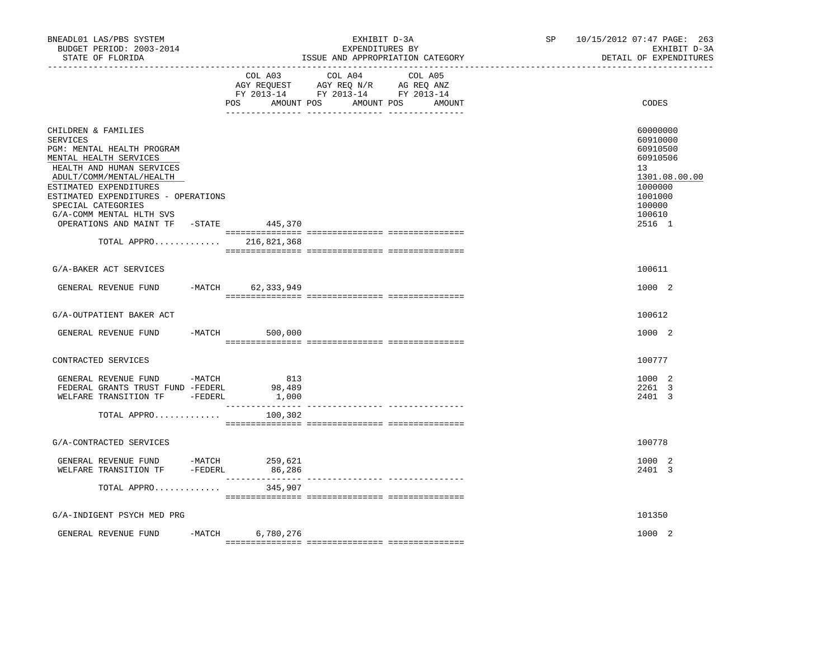| BNEADL01 LAS/PBS SYSTEM<br>BUDGET PERIOD: 2003-2014<br>STATE OF FLORIDA                                                                                                                                                                                                                                                                         |          |                        | EXHIBIT D-3A<br>EXPENDITURES BY<br>ISSUE AND APPROPRIATION CATEGORY                                                          | SP 10/15/2012 07:47 PAGE: 263<br>EXHIBIT D-3A<br>DETAIL OF EXPENDITURES                                                 |
|-------------------------------------------------------------------------------------------------------------------------------------------------------------------------------------------------------------------------------------------------------------------------------------------------------------------------------------------------|----------|------------------------|------------------------------------------------------------------------------------------------------------------------------|-------------------------------------------------------------------------------------------------------------------------|
|                                                                                                                                                                                                                                                                                                                                                 |          | COL A03<br>POS         | COL A04<br>COL A05<br>AGY REQUEST AGY REQ N/R AG REQ ANZ<br>FY 2013-14 FY 2013-14 FY 2013-14<br>AMOUNT POS AMOUNT POS AMOUNT | CODES                                                                                                                   |
| CHILDREN & FAMILIES<br><b>SERVICES</b><br>PGM: MENTAL HEALTH PROGRAM<br>MENTAL HEALTH SERVICES<br>HEALTH AND HUMAN SERVICES<br>ADULT/COMM/MENTAL/HEALTH<br>ESTIMATED EXPENDITURES<br>ESTIMATED EXPENDITURES - OPERATIONS<br>SPECIAL CATEGORIES<br>G/A-COMM MENTAL HLTH SVS<br>OPERATIONS AND MAINT TF -STATE 445,370<br>TOTAL APPRO 216,821,368 |          |                        |                                                                                                                              | 60000000<br>60910000<br>60910500<br>60910506<br>13<br>1301.08.00.00<br>1000000<br>1001000<br>100000<br>100610<br>2516 1 |
| G/A-BAKER ACT SERVICES                                                                                                                                                                                                                                                                                                                          |          |                        |                                                                                                                              | 100611                                                                                                                  |
| GENERAL REVENUE FUND                                                                                                                                                                                                                                                                                                                            |          | -MATCH 62,333,949      |                                                                                                                              | 1000 2                                                                                                                  |
| G/A-OUTPATIENT BAKER ACT                                                                                                                                                                                                                                                                                                                        |          |                        |                                                                                                                              | 100612                                                                                                                  |
| GENERAL REVENUE FUND                                                                                                                                                                                                                                                                                                                            |          | $-MATCH$ 500,000       |                                                                                                                              | 1000 2                                                                                                                  |
| CONTRACTED SERVICES                                                                                                                                                                                                                                                                                                                             |          |                        |                                                                                                                              | 100777                                                                                                                  |
| GENERAL REVENUE FUND -MATCH<br>FEDERAL GRANTS TRUST FUND -FEDERL<br>WELFARE TRANSITION TF -FEDERL                                                                                                                                                                                                                                               |          | 813<br>98,489<br>1,000 |                                                                                                                              | 1000 2<br>2261 3<br>2401 3                                                                                              |
| TOTAL APPRO                                                                                                                                                                                                                                                                                                                                     |          | 100,302                |                                                                                                                              |                                                                                                                         |
| G/A-CONTRACTED SERVICES                                                                                                                                                                                                                                                                                                                         |          |                        |                                                                                                                              | 100778                                                                                                                  |
| GENERAL REVENUE FUND -MATCH 259,621<br>WELFARE TRANSITION TF - FEDERL                                                                                                                                                                                                                                                                           |          | 86,286                 |                                                                                                                              | 1000 2<br>2401 3                                                                                                        |
| TOTAL APPRO                                                                                                                                                                                                                                                                                                                                     |          | 345,907                |                                                                                                                              |                                                                                                                         |
| G/A-INDIGENT PSYCH MED PRG                                                                                                                                                                                                                                                                                                                      |          |                        |                                                                                                                              | 101350                                                                                                                  |
| GENERAL REVENUE FUND                                                                                                                                                                                                                                                                                                                            | $-MATCH$ | 6,780,276              |                                                                                                                              | 1000 2                                                                                                                  |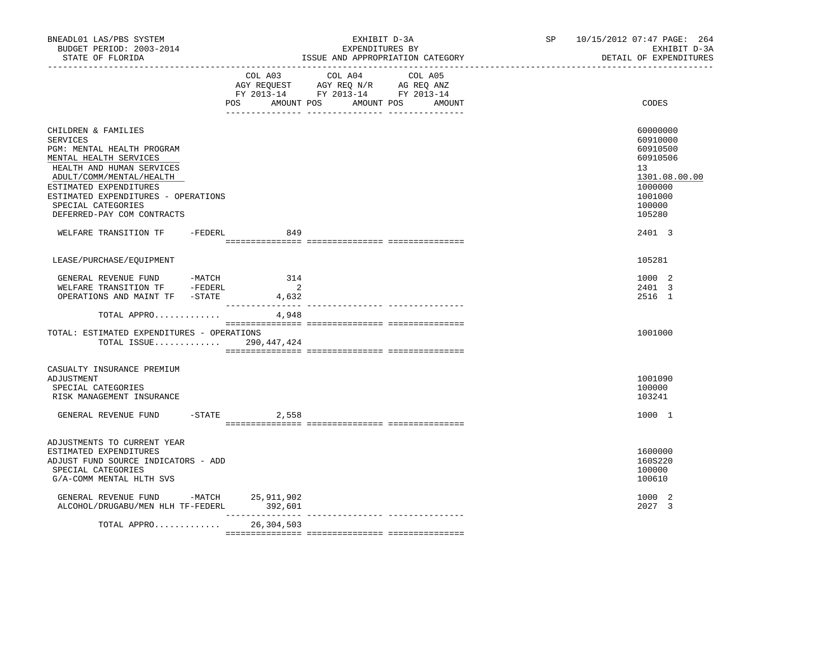| BNEADL01 LAS/PBS SYSTEM<br>BUDGET PERIOD: 2003-2014<br>STATE OF FLORIDA                                                                                                                                                                                               |                                | EXHIBIT D-3A<br>EXPENDITURES BY<br>ISSUE AND APPROPRIATION CATEGORY                                                       | SP 10/15/2012 07:47 PAGE: 264 | EXHIBIT D-3A<br>DETAIL OF EXPENDITURES                                                                  |
|-----------------------------------------------------------------------------------------------------------------------------------------------------------------------------------------------------------------------------------------------------------------------|--------------------------------|---------------------------------------------------------------------------------------------------------------------------|-------------------------------|---------------------------------------------------------------------------------------------------------|
|                                                                                                                                                                                                                                                                       | POS<br>AMOUNT POS              | COL A03 COL A04 COL A05<br>AGY REQUEST AGY REQ N/R AG REQ ANZ<br>FY 2013-14 FY 2013-14 FY 2013-14<br>AMOUNT POS<br>AMOUNT |                               | CODES                                                                                                   |
| CHILDREN & FAMILIES<br>SERVICES<br>PGM: MENTAL HEALTH PROGRAM<br>MENTAL HEALTH SERVICES<br>HEALTH AND HUMAN SERVICES<br>ADULT/COMM/MENTAL/HEALTH<br>ESTIMATED EXPENDITURES<br>ESTIMATED EXPENDITURES - OPERATIONS<br>SPECIAL CATEGORIES<br>DEFERRED-PAY COM CONTRACTS |                                |                                                                                                                           | 13                            | 60000000<br>60910000<br>60910500<br>60910506<br>1301.08.00.00<br>1000000<br>1001000<br>100000<br>105280 |
| WELFARE TRANSITION TF -FEDERL                                                                                                                                                                                                                                         | 849                            |                                                                                                                           |                               | 2401 3                                                                                                  |
| LEASE/PURCHASE/EQUIPMENT                                                                                                                                                                                                                                              |                                |                                                                                                                           |                               | 105281                                                                                                  |
| GENERAL REVENUE FUND -MATCH<br>WELFARE TRANSITION TF -FEDERL<br>OPERATIONS AND MAINT TF -STATE                                                                                                                                                                        | 314<br>$\overline{2}$<br>4,632 |                                                                                                                           |                               | 1000 2<br>2401 3<br>2516 1                                                                              |
| TOTAL APPRO                                                                                                                                                                                                                                                           | 4,948                          |                                                                                                                           |                               |                                                                                                         |
| TOTAL: ESTIMATED EXPENDITURES - OPERATIONS<br>TOTAL ISSUE 290,447,424                                                                                                                                                                                                 |                                |                                                                                                                           |                               | 1001000                                                                                                 |
| CASUALTY INSURANCE PREMIUM<br>ADJUSTMENT<br>SPECIAL CATEGORIES<br>RISK MANAGEMENT INSURANCE                                                                                                                                                                           |                                |                                                                                                                           |                               | 1001090<br>100000<br>103241                                                                             |
| GENERAL REVENUE FUND                                                                                                                                                                                                                                                  | $-$ STATE 2,558                |                                                                                                                           |                               | 1000 1                                                                                                  |
| ADJUSTMENTS TO CURRENT YEAR<br>ESTIMATED EXPENDITURES<br>ADJUST FUND SOURCE INDICATORS - ADD<br>SPECIAL CATEGORIES<br>G/A-COMM MENTAL HLTH SVS                                                                                                                        |                                |                                                                                                                           |                               | 1600000<br>160S220<br>100000<br>100610                                                                  |
| GENERAL REVENUE FUND -MATCH 25, 911, 902<br>ALCOHOL/DRUGABU/MEN HLH TF-FEDERL 392,601                                                                                                                                                                                 |                                |                                                                                                                           |                               | 1000 2<br>2027 3                                                                                        |
| TOTAL APPRO                                                                                                                                                                                                                                                           | 26,304,503                     |                                                                                                                           |                               |                                                                                                         |
|                                                                                                                                                                                                                                                                       |                                |                                                                                                                           |                               |                                                                                                         |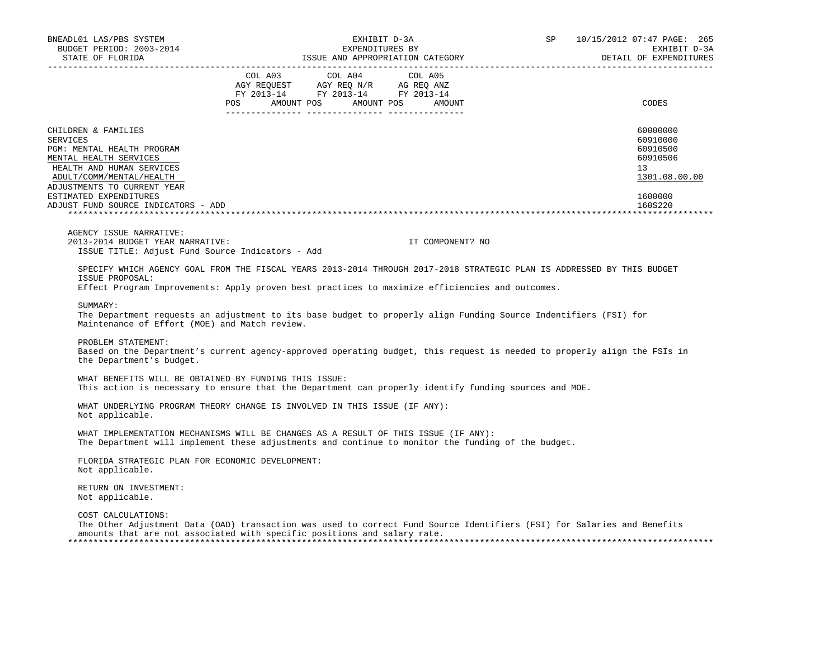| BNEADL01 LAS/PBS SYSTEM<br>BUDGET PERIOD: 2003-2014<br>STATE OF FLORIDA                                                                                                                                                                          | EXHIBIT D-3A<br>EXPENDITURES BY<br>EXPENDITURES BY<br>ISSUE AND APPROPRIATION CATEGORY                                                                                                                                                                                                                                                                                                                                                                                    | SP 10/15/2012 07:47 PAGE: 265<br>EXHIBIT D-3A<br>DETAIL OF EXPENDITURES                   |
|--------------------------------------------------------------------------------------------------------------------------------------------------------------------------------------------------------------------------------------------------|---------------------------------------------------------------------------------------------------------------------------------------------------------------------------------------------------------------------------------------------------------------------------------------------------------------------------------------------------------------------------------------------------------------------------------------------------------------------------|-------------------------------------------------------------------------------------------|
| ---------------------                                                                                                                                                                                                                            | $\begin{tabular}{lcccc} COL A03 & COL A04 & COL A05 \\ AGY REQUEST & AGY REQ N/R & AG REQ ANZ \\ FY & 2013-14 & FY & 2013-14 & FY & 2013-14 \end{tabular}$<br>POS AMOUNT POS AMOUNT POS<br>AMOUNT                                                                                                                                                                                                                                                                         | <b>CODES</b>                                                                              |
| CHILDREN & FAMILIES<br>SERVICES<br>PGM: MENTAL HEALTH PROGRAM<br>MENTAL HEALTH SERVICES<br>HEALTH AND HUMAN SERVICES<br>ADULT/COMM/MENTAL/HEALTH<br>ADJUSTMENTS TO CURRENT YEAR<br>ESTIMATED EXPENDITURES<br>ADJUST FUND SOURCE INDICATORS - ADD |                                                                                                                                                                                                                                                                                                                                                                                                                                                                           | 60000000<br>60910000<br>60910500<br>60910506<br>13<br>1301.08.00.00<br>1600000<br>160S220 |
| AGENCY ISSUE NARRATIVE:<br>2013-2014 BUDGET YEAR NARRATIVE:<br>ISSUE TITLE: Adjust Fund Source Indicators - Add                                                                                                                                  | IT COMPONENT? NO                                                                                                                                                                                                                                                                                                                                                                                                                                                          |                                                                                           |
| ISSUE PROPOSAL:<br>SUMMARY:<br>Maintenance of Effort (MOE) and Match review.<br>PROBLEM STATEMENT:<br>the Department's budget.                                                                                                                   | SPECIFY WHICH AGENCY GOAL FROM THE FISCAL YEARS 2013-2014 THROUGH 2017-2018 STRATEGIC PLAN IS ADDRESSED BY THIS BUDGET<br>Effect Program Improvements: Apply proven best practices to maximize efficiencies and outcomes.<br>The Department requests an adjustment to its base budget to properly align Funding Source Indentifiers (FSI) for<br>Based on the Department's current agency-approved operating budget, this request is needed to properly align the FSIs in |                                                                                           |
| WHAT BENEFITS WILL BE OBTAINED BY FUNDING THIS ISSUE:                                                                                                                                                                                            | This action is necessary to ensure that the Department can properly identify funding sources and MOE.                                                                                                                                                                                                                                                                                                                                                                     |                                                                                           |
| Not applicable.                                                                                                                                                                                                                                  | WHAT UNDERLYING PROGRAM THEORY CHANGE IS INVOLVED IN THIS ISSUE (IF ANY):                                                                                                                                                                                                                                                                                                                                                                                                 |                                                                                           |
|                                                                                                                                                                                                                                                  | WHAT IMPLEMENTATION MECHANISMS WILL BE CHANGES AS A RESULT OF THIS ISSUE (IF ANY):<br>The Department will implement these adjustments and continue to monitor the funding of the budget.                                                                                                                                                                                                                                                                                  |                                                                                           |
| FLORIDA STRATEGIC PLAN FOR ECONOMIC DEVELOPMENT:<br>Not applicable.                                                                                                                                                                              |                                                                                                                                                                                                                                                                                                                                                                                                                                                                           |                                                                                           |
| RETURN ON INVESTMENT:<br>Not applicable.                                                                                                                                                                                                         |                                                                                                                                                                                                                                                                                                                                                                                                                                                                           |                                                                                           |
| COST CALCULATIONS:                                                                                                                                                                                                                               | The Other Adjustment Data (OAD) transaction was used to correct Fund Source Identifiers (FSI) for Salaries and Benefits<br>amounts that are not associated with specific positions and salary rate.                                                                                                                                                                                                                                                                       |                                                                                           |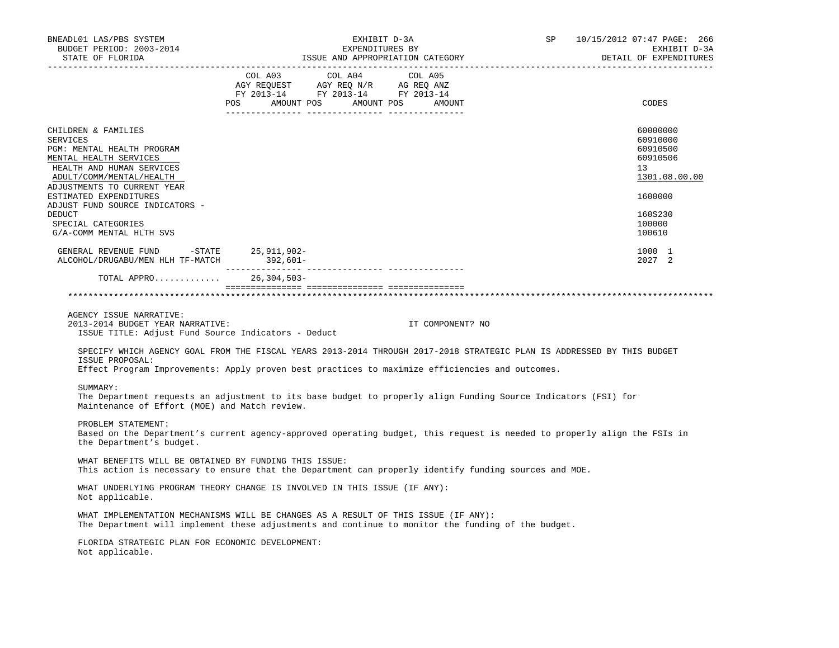| BNEADL01 LAS/PBS SYSTEM<br>BUDGET PERIOD: 2003-2014<br>STATE OF FLORIDA                                                                                                                                                                                                                                         |                                                                                                                                                                                                                                                                                                                                                                                                                                                                             |                  | SP and the set of the set of the set of the set of the set of the set of the set of the set of the set of the set of the set of the set of the set of the set of the set of the set of the set of the set of the set of the se | 10/15/2012 07:47 PAGE: 266<br>EXHIBIT D-3A<br>DETAIL OF EXPENDITURES                                          |
|-----------------------------------------------------------------------------------------------------------------------------------------------------------------------------------------------------------------------------------------------------------------------------------------------------------------|-----------------------------------------------------------------------------------------------------------------------------------------------------------------------------------------------------------------------------------------------------------------------------------------------------------------------------------------------------------------------------------------------------------------------------------------------------------------------------|------------------|--------------------------------------------------------------------------------------------------------------------------------------------------------------------------------------------------------------------------------|---------------------------------------------------------------------------------------------------------------|
|                                                                                                                                                                                                                                                                                                                 | $\begin{tabular}{lllllllllll} &\multicolumn{4}{c}{\text{COL A03}} &\multicolumn{4}{c}{\text{COL A04}} &\multicolumn{4}{c}{\text{COL A05}}\\ \text{AGY REQUEST} &\multicolumn{4}{c}{\text{AGY REQ}} &\multicolumn{4}{c}{\text{N/G}} &\multicolumn{4}{c}{\text{AG REQ ANZ}}\\ \text{FY 2013--14} &\multicolumn{4}{c}{\text{FY 2013--14}} &\multicolumn{4}{c}{\text{FY 2013--14}} &\multicolumn{4}{c}{\text{FY 2013--14}}\\ \end{tabular}$<br>POS AMOUNT POS AMOUNT POS AMOUNT |                  |                                                                                                                                                                                                                                | CODES                                                                                                         |
| CHILDREN & FAMILIES<br><b>SERVICES</b><br>PGM: MENTAL HEALTH PROGRAM<br>MENTAL HEALTH SERVICES<br>HEALTH AND HUMAN SERVICES<br>ADULT/COMM/MENTAL/HEALTH<br>ADJUSTMENTS TO CURRENT YEAR<br>ESTIMATED EXPENDITURES<br>ADJUST FUND SOURCE INDICATORS -<br>DEDUCT<br>SPECIAL CATEGORIES<br>G/A-COMM MENTAL HLTH SVS |                                                                                                                                                                                                                                                                                                                                                                                                                                                                             |                  |                                                                                                                                                                                                                                | 60000000<br>60910000<br>60910500<br>60910506<br>13<br>1301.08.00.00<br>1600000<br>160S230<br>100000<br>100610 |
| GENERAL REVENUE FUND -STATE 25,911,902-<br>ALCOHOL/DRUGABU/MEN HLH TF-MATCH 392,601-                                                                                                                                                                                                                            |                                                                                                                                                                                                                                                                                                                                                                                                                                                                             |                  |                                                                                                                                                                                                                                | 1000 1<br>2027 2                                                                                              |
| TOTAL APPRO 26,304,503-                                                                                                                                                                                                                                                                                         |                                                                                                                                                                                                                                                                                                                                                                                                                                                                             |                  |                                                                                                                                                                                                                                |                                                                                                               |
| AGENCY ISSUE NARRATIVE:<br>2013-2014 BUDGET YEAR NARRATIVE:<br>ISSUE TITLE: Adjust Fund Source Indicators - Deduct<br>SPECIFY WHICH AGENCY GOAL FROM THE FISCAL YEARS 2013-2014 THROUGH 2017-2018 STRATEGIC PLAN IS ADDRESSED BY THIS BUDGET<br>ISSUE PROPOSAL:                                                 |                                                                                                                                                                                                                                                                                                                                                                                                                                                                             | IT COMPONENT? NO |                                                                                                                                                                                                                                |                                                                                                               |
| Effect Program Improvements: Apply proven best practices to maximize efficiencies and outcomes.<br>SUMMARY:<br>The Department requests an adjustment to its base budget to properly align Funding Source Indicators (FSI) for<br>Maintenance of Effort (MOE) and Match review.                                  |                                                                                                                                                                                                                                                                                                                                                                                                                                                                             |                  |                                                                                                                                                                                                                                |                                                                                                               |
| PROBLEM STATEMENT:<br>Based on the Department's current agency-approved operating budget, this request is needed to properly align the FSIs in<br>the Department's budget.                                                                                                                                      |                                                                                                                                                                                                                                                                                                                                                                                                                                                                             |                  |                                                                                                                                                                                                                                |                                                                                                               |
| WHAT BENEFITS WILL BE OBTAINED BY FUNDING THIS ISSUE:<br>This action is necessary to ensure that the Department can properly identify funding sources and MOE.                                                                                                                                                  |                                                                                                                                                                                                                                                                                                                                                                                                                                                                             |                  |                                                                                                                                                                                                                                |                                                                                                               |
| WHAT UNDERLYING PROGRAM THEORY CHANGE IS INVOLVED IN THIS ISSUE (IF ANY):<br>Not applicable.                                                                                                                                                                                                                    |                                                                                                                                                                                                                                                                                                                                                                                                                                                                             |                  |                                                                                                                                                                                                                                |                                                                                                               |
| WHAT IMPLEMENTATION MECHANISMS WILL BE CHANGES AS A RESULT OF THIS ISSUE (IF ANY):<br>The Department will implement these adjustments and continue to monitor the funding of the budget.                                                                                                                        |                                                                                                                                                                                                                                                                                                                                                                                                                                                                             |                  |                                                                                                                                                                                                                                |                                                                                                               |
| FLORIDA STRATEGIC PLAN FOR ECONOMIC DEVELOPMENT:<br>Not applicable.                                                                                                                                                                                                                                             |                                                                                                                                                                                                                                                                                                                                                                                                                                                                             |                  |                                                                                                                                                                                                                                |                                                                                                               |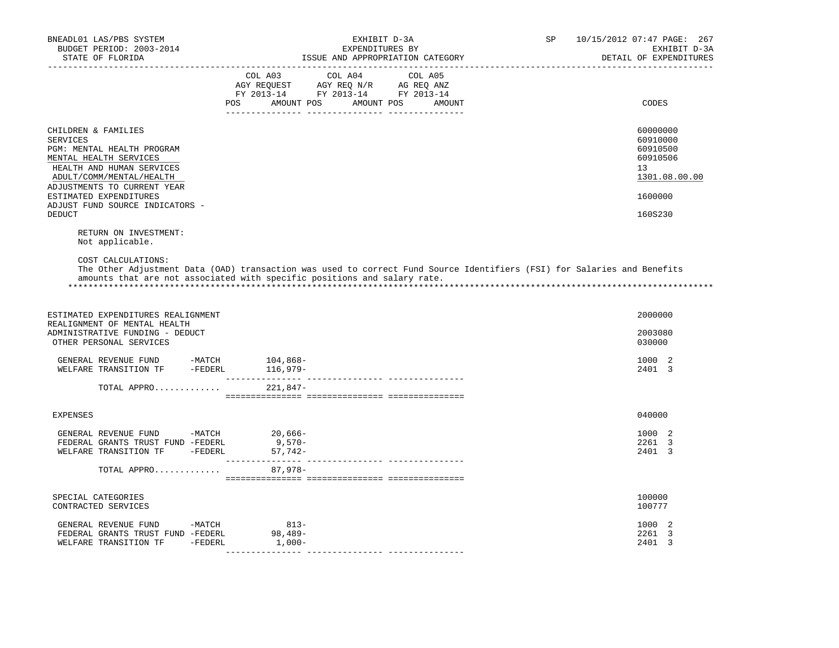| BNEADL01 LAS/PBS SYSTEM<br>BUDGET PERIOD: 2003-2014<br>STATE OF FLORIDA                                                                                                                                                                                       | EXHIBIT D-3A<br>EXPENDITURES BY<br>ISSUE AND APPROPRIATION CATEGORY                                                                                                                                 | SP<br>10/15/2012 07:47 PAGE: 267<br>EXHIBIT D-3A<br>DETAIL OF EXPENDITURES                |
|---------------------------------------------------------------------------------------------------------------------------------------------------------------------------------------------------------------------------------------------------------------|-----------------------------------------------------------------------------------------------------------------------------------------------------------------------------------------------------|-------------------------------------------------------------------------------------------|
|                                                                                                                                                                                                                                                               | $\begin{tabular}{lcccc} CDL A03 & CDL A04 & CDL A05 \\ AGY REQUEST & AGY REQ N/R & AG REQ ANZ \\ FY & 2013-14 & FY & 2013-14 & FY & 2013-14 \end{tabular}$<br>POS AMOUNT POS AMOUNT POS AMOUNT      | CODES                                                                                     |
| CHILDREN & FAMILIES<br>SERVICES<br>PGM: MENTAL HEALTH PROGRAM<br>MENTAL HEALTH SERVICES<br>HEALTH AND HUMAN SERVICES<br>ADULT/COMM/MENTAL/HEALTH<br>ADJUSTMENTS TO CURRENT YEAR<br>ESTIMATED EXPENDITURES<br>ADJUST FUND SOURCE INDICATORS -<br><b>DEDUCT</b> |                                                                                                                                                                                                     | 60000000<br>60910000<br>60910500<br>60910506<br>13<br>1301.08.00.00<br>1600000<br>160S230 |
| RETURN ON INVESTMENT:<br>Not applicable.                                                                                                                                                                                                                      |                                                                                                                                                                                                     |                                                                                           |
| COST CALCULATIONS:                                                                                                                                                                                                                                            | The Other Adjustment Data (OAD) transaction was used to correct Fund Source Identifiers (FSI) for Salaries and Benefits<br>amounts that are not associated with specific positions and salary rate. |                                                                                           |
| ESTIMATED EXPENDITURES REALIGNMENT<br>REALIGNMENT OF MENTAL HEALTH<br>ADMINISTRATIVE FUNDING - DEDUCT<br>OTHER PERSONAL SERVICES                                                                                                                              |                                                                                                                                                                                                     | 2000000<br>2003080<br>030000                                                              |
| GENERAL REVENUE FUND -MATCH<br>WELFARE TRANSITION TF -FEDERL 116,979-                                                                                                                                                                                         | 104,868-                                                                                                                                                                                            | 1000 2<br>2401 3                                                                          |
| TOTAL APPRO 221,847-                                                                                                                                                                                                                                          |                                                                                                                                                                                                     |                                                                                           |
| <b>EXPENSES</b>                                                                                                                                                                                                                                               |                                                                                                                                                                                                     | 040000                                                                                    |
| GENERAL REVENUE FUND -MATCH 20,666-<br>FEDERAL GRANTS TRUST FUND -FEDERL<br>WELFARE TRANSITION TF -FEDERL                                                                                                                                                     | $9,570-$<br>57,742-                                                                                                                                                                                 | 1000 2<br>2261 3<br>2401 3                                                                |
| TOTAL APPRO                                                                                                                                                                                                                                                   | 87,978-                                                                                                                                                                                             |                                                                                           |
| SPECIAL CATEGORIES<br>CONTRACTED SERVICES                                                                                                                                                                                                                     |                                                                                                                                                                                                     | 100000<br>100777                                                                          |
| GENERAL REVENUE FUND<br>$-MATCH$<br>FEDERAL GRANTS TRUST FUND -FEDERL 98,489-<br>WELFARE TRANSITION TF - FEDERL                                                                                                                                               | $813-$<br>$1,000-$                                                                                                                                                                                  | 1000 2<br>2261<br>$\overline{3}$<br>2401<br>$\overline{3}$                                |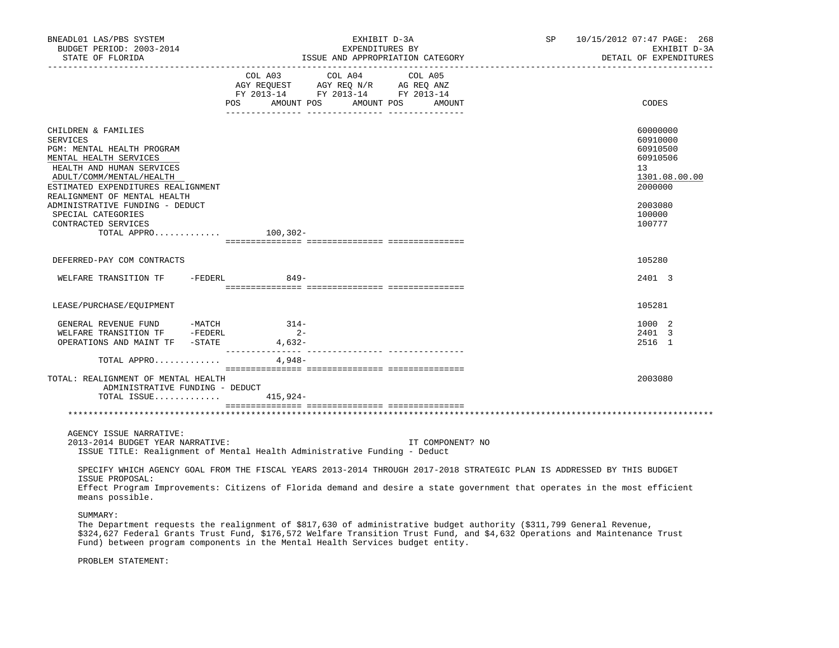| BNEADL01 LAS/PBS SYSTEM<br>BUDGET PERIOD: 2003-2014<br>STATE OF FLORIDA                                                                                                                                                       | EXHIBIT D-3A<br>EXPENDITURES BY<br>ISSUE AND APPROPRIATION CATEGORY                                                                                                                                                                                 |                  | SP 10/15/2012 07:47 PAGE: 268<br>EXHIBIT D-3A<br>DETAIL OF EXPENDITURES        |
|-------------------------------------------------------------------------------------------------------------------------------------------------------------------------------------------------------------------------------|-----------------------------------------------------------------------------------------------------------------------------------------------------------------------------------------------------------------------------------------------------|------------------|--------------------------------------------------------------------------------|
|                                                                                                                                                                                                                               | COL A03 COL A04 COL A05<br>AGY REQUEST AGY REQ N/R AG REQ ANZ<br>FY 2013-14 FY 2013-14 FY 2013-14<br>POS AMOUNT POS AMOUNT POS                                                                                                                      | AMOUNT           | CODES                                                                          |
| CHILDREN & FAMILIES<br><b>SERVICES</b><br>PGM: MENTAL HEALTH PROGRAM<br>MENTAL HEALTH SERVICES<br>HEALTH AND HUMAN SERVICES<br>ADULT/COMM/MENTAL/HEALTH<br>ESTIMATED EXPENDITURES REALIGNMENT<br>REALIGNMENT OF MENTAL HEALTH |                                                                                                                                                                                                                                                     |                  | 60000000<br>60910000<br>60910500<br>60910506<br>13<br>1301.08.00.00<br>2000000 |
| ADMINISTRATIVE FUNDING - DEDUCT<br>SPECIAL CATEGORIES<br>CONTRACTED SERVICES<br>TOTAL APPRO $100,302-$                                                                                                                        |                                                                                                                                                                                                                                                     |                  | 2003080<br>100000<br>100777                                                    |
| DEFERRED-PAY COM CONTRACTS                                                                                                                                                                                                    |                                                                                                                                                                                                                                                     |                  | 105280                                                                         |
| WELFARE TRANSITION TF -FEDERL 849-                                                                                                                                                                                            |                                                                                                                                                                                                                                                     |                  | 2401 3                                                                         |
|                                                                                                                                                                                                                               |                                                                                                                                                                                                                                                     |                  |                                                                                |
| LEASE/PURCHASE/EQUIPMENT                                                                                                                                                                                                      |                                                                                                                                                                                                                                                     |                  | 105281                                                                         |
| GENERAL REVENUE FUND -MATCH<br>WELFARE TRANSITION TF -FEDERL<br>OPERATIONS AND MAINT TF -STATE                                                                                                                                | $314-$<br>$2 -$<br>$4,632-$                                                                                                                                                                                                                         |                  | 1000 2<br>2401 3<br>2516 1                                                     |
| TOTAL APPRO                                                                                                                                                                                                                   | 4,948-                                                                                                                                                                                                                                              |                  |                                                                                |
| TOTAL: REALIGNMENT OF MENTAL HEALTH<br>ADMINISTRATIVE FUNDING - DEDUCT<br>TOTAL ISSUE $415,924-$                                                                                                                              |                                                                                                                                                                                                                                                     |                  | 2003080                                                                        |
|                                                                                                                                                                                                                               |                                                                                                                                                                                                                                                     |                  |                                                                                |
| AGENCY ISSUE NARRATIVE:<br>2013-2014 BUDGET YEAR NARRATIVE:                                                                                                                                                                   | ISSUE TITLE: Realignment of Mental Health Administrative Funding - Deduct                                                                                                                                                                           | IT COMPONENT? NO |                                                                                |
| ISSUE PROPOSAL:<br>means possible.                                                                                                                                                                                            | SPECIFY WHICH AGENCY GOAL FROM THE FISCAL YEARS 2013-2014 THROUGH 2017-2018 STRATEGIC PLAN IS ADDRESSED BY THIS BUDGET<br>Effect Program Improvements: Citizens of Florida demand and desire a state government that operates in the most efficient |                  |                                                                                |
| SUMMARY:                                                                                                                                                                                                                      |                                                                                                                                                                                                                                                     |                  |                                                                                |

 The Department requests the realignment of \$817,630 of administrative budget authority (\$311,799 General Revenue, \$324,627 Federal Grants Trust Fund, \$176,572 Welfare Transition Trust Fund, and \$4,632 Operations and Maintenance Trust Fund) between program components in the Mental Health Services budget entity.

PROBLEM STATEMENT: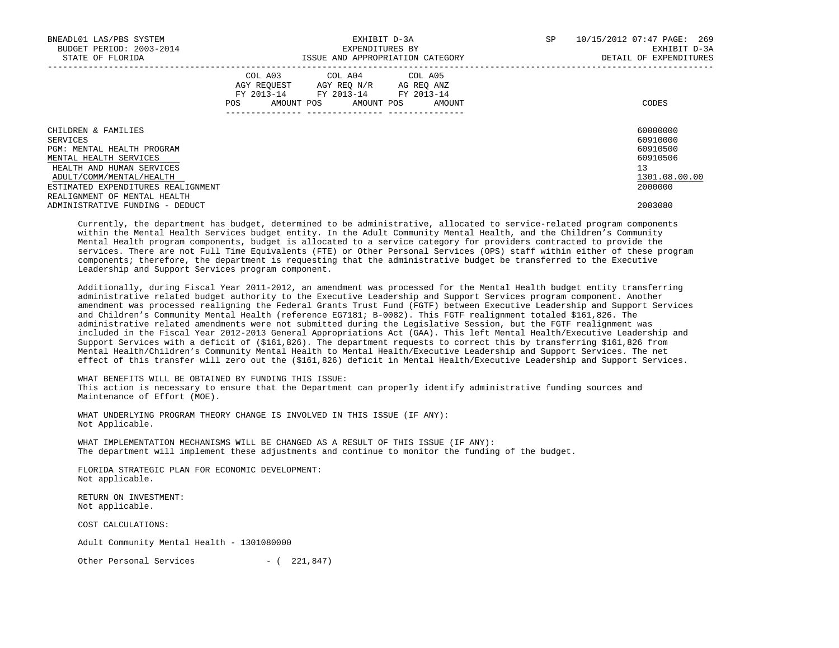| BNEADL01 LAS/PBS SYSTEM<br>BUDGET PERIOD: 2003-2014<br>STATE OF FLORIDA |     |                                                                                          | EXHIBIT D-3A<br>EXPENDITURES BY      | ISSUE AND APPROPRIATION CATEGORY | 10/15/2012 07:47 PAGE: 269<br>SP<br>EXHIBIT D-3A<br>DETAIL OF EXPENDITURES |  |               |
|-------------------------------------------------------------------------|-----|------------------------------------------------------------------------------------------|--------------------------------------|----------------------------------|----------------------------------------------------------------------------|--|---------------|
|                                                                         | POS | COL A03 COL A04 COL A05<br>AGY REQUEST<br>FY 2013-14 FY 2013-14 FY 2013-14<br>AMOUNT POS | AGY REO N/R AG REO ANZ<br>AMOUNT POS | AMOUNT                           |                                                                            |  | CODES         |
| CHILDREN & FAMILIES                                                     |     |                                                                                          |                                      |                                  |                                                                            |  | 60000000      |
| SERVICES                                                                |     |                                                                                          |                                      |                                  |                                                                            |  | 60910000      |
| PGM: MENTAL HEALTH PROGRAM                                              |     |                                                                                          |                                      |                                  |                                                                            |  | 60910500      |
| MENTAL HEALTH SERVICES                                                  |     |                                                                                          |                                      |                                  |                                                                            |  | 60910506      |
| HEALTH AND HUMAN SERVICES                                               |     |                                                                                          |                                      |                                  |                                                                            |  | 13            |
| ADULT/COMM/MENTAL/HEALTH                                                |     |                                                                                          |                                      |                                  |                                                                            |  | 1301.08.00.00 |
| ESTIMATED EXPENDITURES REALIGNMENT                                      |     |                                                                                          |                                      |                                  |                                                                            |  | 2000000       |
| REALIGNMENT OF MENTAL HEALTH                                            |     |                                                                                          |                                      |                                  |                                                                            |  |               |
| ADMINISTRATIVE FUNDING - DEDUCT                                         |     |                                                                                          |                                      |                                  |                                                                            |  | 2003080       |

 Currently, the department has budget, determined to be administrative, allocated to service-related program components within the Mental Health Services budget entity. In the Adult Community Mental Health, and the Children's Community Mental Health program components, budget is allocated to a service category for providers contracted to provide the services. There are not Full Time Equivalents (FTE) or Other Personal Services (OPS) staff within either of these program components; therefore, the department is requesting that the administrative budget be transferred to the Executive Leadership and Support Services program component.

 Additionally, during Fiscal Year 2011-2012, an amendment was processed for the Mental Health budget entity transferring administrative related budget authority to the Executive Leadership and Support Services program component. Another amendment was processed realigning the Federal Grants Trust Fund (FGTF) between Executive Leadership and Support Services and Children's Community Mental Health (reference EG7181; B-0082). This FGTF realignment totaled \$161,826. The administrative related amendments were not submitted during the Legislative Session, but the FGTF realignment was included in the Fiscal Year 2012-2013 General Appropriations Act (GAA). This left Mental Health/Executive Leadership and Support Services with a deficit of (\$161,826). The department requests to correct this by transferring \$161,826 from Mental Health/Children's Community Mental Health to Mental Health/Executive Leadership and Support Services. The net effect of this transfer will zero out the (\$161,826) deficit in Mental Health/Executive Leadership and Support Services.

WHAT BENEFITS WILL BE OBTAINED BY FUNDING THIS ISSUE:

 This action is necessary to ensure that the Department can properly identify administrative funding sources and Maintenance of Effort (MOE).

 WHAT UNDERLYING PROGRAM THEORY CHANGE IS INVOLVED IN THIS ISSUE (IF ANY): Not Applicable.

 WHAT IMPLEMENTATION MECHANISMS WILL BE CHANGED AS A RESULT OF THIS ISSUE (IF ANY): The department will implement these adjustments and continue to monitor the funding of the budget.

 FLORIDA STRATEGIC PLAN FOR ECONOMIC DEVELOPMENT: Not applicable.

 RETURN ON INVESTMENT: Not applicable.

COST CALCULATIONS:

Adult Community Mental Health - 1301080000

Other Personal Services - ( 221,847)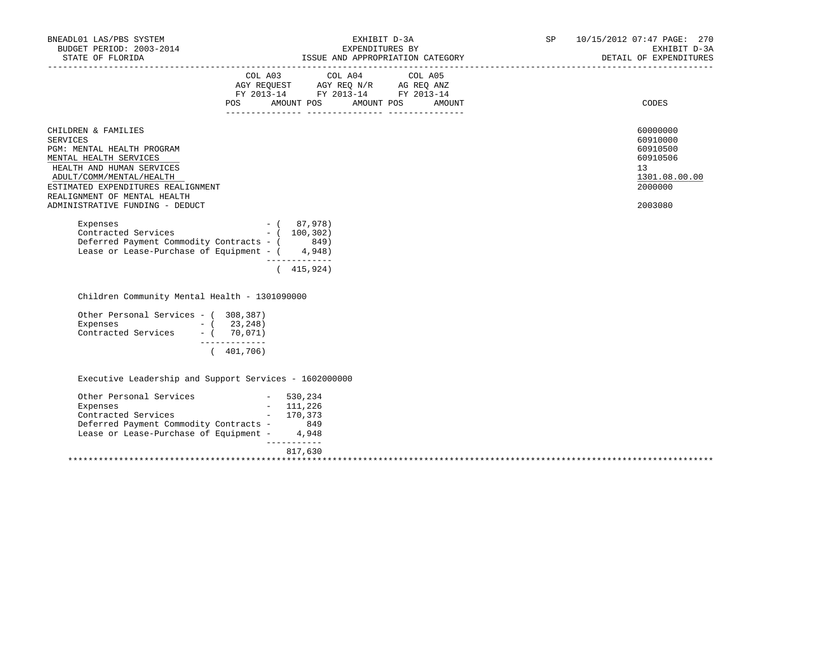| BNEADL01 LAS/PBS SYSTEM                                                                                                                                                                    |                                                                                                                                                                                                                                                                                                                                                                                                                                           |                                                    |
|--------------------------------------------------------------------------------------------------------------------------------------------------------------------------------------------|-------------------------------------------------------------------------------------------------------------------------------------------------------------------------------------------------------------------------------------------------------------------------------------------------------------------------------------------------------------------------------------------------------------------------------------------|----------------------------------------------------|
|                                                                                                                                                                                            | NEADL01 LAS/PBS SYSTEM ${\small \begin{array}{cccccccccccccc} \texttt{EXFIDIT D-3A} & & & & & & & \texttt{SP} & 10/15/2012 & 07:47 PAGE: & 270 & \\ \texttt{BUDGET PERIOD: } & 2003-2014 & & & & & & & & \texttt{EXFENDITURES BY} & & & & & \texttt{EXHIBIT D-3A} & \\ & & & & & & & & & & \texttt{EXFENDITURES} & & & & & & \texttt{D-3A} & \\ & & & & & & & & & & & \texttt{D-3A} & & \\ & & & & & & & &$                               |                                                    |
|                                                                                                                                                                                            | $\begin{tabular}{lllllllllll} &\multicolumn{4}{c}{\text{COL A03}} &\multicolumn{4}{c}{\text{COL A04}} &\multicolumn{4}{c}{\text{COL A05}}\\ &\multicolumn{4}{c}{\text{AGY REQUEST}} &\multicolumn{4}{c}{\text{AGY REQ}} &\multicolumn{4}{c}{\text{N/Y}} &\multicolumn{4}{c}{\text{AG REQ ANZ}}\\ &\multicolumn{4}{c}{\text{FGY A03--14}} &\multicolumn{4}{c}{\text{FY 2013--14}} &\multicolumn{4}{c}{\text{FY 2013--14}}\\ \end{tabular}$ |                                                    |
|                                                                                                                                                                                            | POS AMOUNT POS AMOUNT POS AMOUNT                                                                                                                                                                                                                                                                                                                                                                                                          | CODES                                              |
| CHILDREN & FAMILIES<br><b>SERVICES</b><br>PGM: MENTAL HEALTH PROGRAM<br>MENTAL HEALTH SERVICES<br>HEALTH AND HUMAN SERVICES                                                                |                                                                                                                                                                                                                                                                                                                                                                                                                                           | 60000000<br>60910000<br>60910500<br>60910506<br>13 |
| ADULT/COMM/MENTAL/HEALTH<br>ESTIMATED EXPENDITURES REALIGNMENT                                                                                                                             |                                                                                                                                                                                                                                                                                                                                                                                                                                           | 1301.08.00.00<br>2000000                           |
| REALIGNMENT OF MENTAL HEALTH<br>ADMINISTRATIVE FUNDING - DEDUCT                                                                                                                            |                                                                                                                                                                                                                                                                                                                                                                                                                                           | 2003080                                            |
| Expenses - $(87,978)$<br>Contracted Services - $(100,302)$<br>Deferred Payment Commodity Contracts - (849)<br>Lease or Lease-Purchase of Equipment - $(4,948)$                             | _____________<br>(415, 924)                                                                                                                                                                                                                                                                                                                                                                                                               |                                                    |
| Children Community Mental Health - 1301090000                                                                                                                                              |                                                                                                                                                                                                                                                                                                                                                                                                                                           |                                                    |
| Other Personal Services - (308,387)<br>Expenses $-$ (23,248)<br>Contracted Services $-$ (70,071)<br>_____________<br>(401, 706)                                                            |                                                                                                                                                                                                                                                                                                                                                                                                                                           |                                                    |
| Executive Leadership and Support Services - 1602000000                                                                                                                                     |                                                                                                                                                                                                                                                                                                                                                                                                                                           |                                                    |
| Other Personal Services - 530,234<br>Expenses $-$ 111,226<br>Contracted Services $-$ 170,373<br>Deferred Payment Commodity Contracts - 849<br>Lease or Lease-Purchase of Equipment - 4,948 |                                                                                                                                                                                                                                                                                                                                                                                                                                           |                                                    |
|                                                                                                                                                                                            | 817,630                                                                                                                                                                                                                                                                                                                                                                                                                                   |                                                    |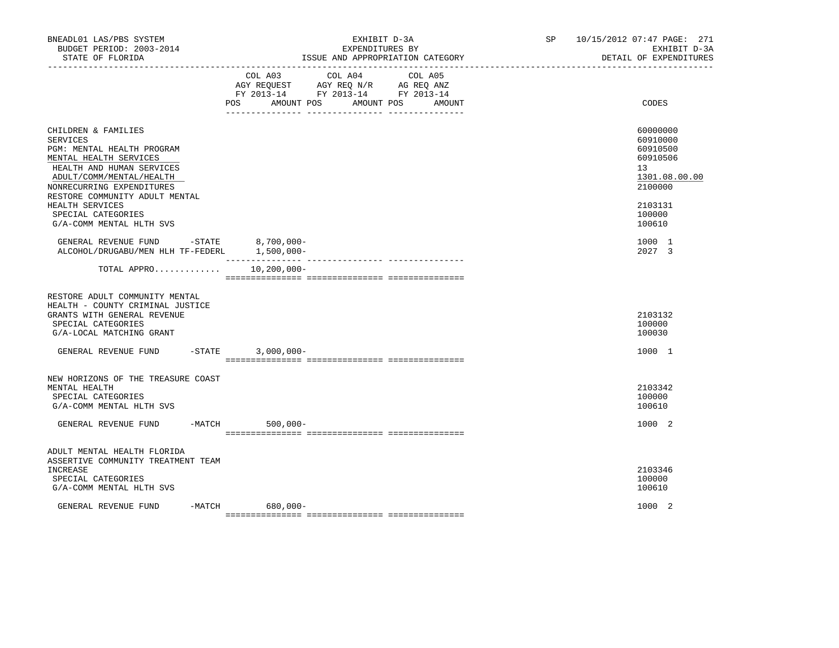| BNEADL01 LAS/PBS SYSTEM<br>BUDGET PERIOD: 2003-2014<br>STATE OF FLORIDA<br>__________________                                                                                                                   | EXHIBIT D-3A<br>EXPENDITURES BY<br>ISSUE AND APPROPRIATION CATEGORY                                                                                      | SP and the set of the set of the set of the set of the set of the set of the set of the set of the set of the set of the set of the set of the set of the set of the set of the set of the set of the set of the set of the se | 10/15/2012 07:47 PAGE: 271<br>EXHIBIT D-3A<br>DETAIL OF EXPENDITURES           |
|-----------------------------------------------------------------------------------------------------------------------------------------------------------------------------------------------------------------|----------------------------------------------------------------------------------------------------------------------------------------------------------|--------------------------------------------------------------------------------------------------------------------------------------------------------------------------------------------------------------------------------|--------------------------------------------------------------------------------|
|                                                                                                                                                                                                                 | COL A04<br>COL A05<br>COL A03<br>AGY REQUEST AGY REQ N/R AG REQ ANZ<br>FY 2013-14 FY 2013-14 FY 2013-14<br>POS FOR<br>AMOUNT POS<br>AMOUNT POS<br>AMOUNT |                                                                                                                                                                                                                                | CODES                                                                          |
| CHILDREN & FAMILIES<br>SERVICES<br>PGM: MENTAL HEALTH PROGRAM<br>MENTAL HEALTH SERVICES<br>HEALTH AND HUMAN SERVICES<br>ADULT/COMM/MENTAL/HEALTH<br>NONRECURRING EXPENDITURES<br>RESTORE COMMUNITY ADULT MENTAL |                                                                                                                                                          |                                                                                                                                                                                                                                | 60000000<br>60910000<br>60910500<br>60910506<br>13<br>1301.08.00.00<br>2100000 |
| HEALTH SERVICES<br>SPECIAL CATEGORIES<br>G/A-COMM MENTAL HLTH SVS                                                                                                                                               |                                                                                                                                                          |                                                                                                                                                                                                                                | 2103131<br>100000<br>100610                                                    |
| GENERAL REVENUE FUND - STATE<br>ALCOHOL/DRUGABU/MEN HLH TF-FEDERL 1,500,000-                                                                                                                                    | $8,700,000 -$                                                                                                                                            |                                                                                                                                                                                                                                | 1000 1<br>2027 3                                                               |
| TOTAL APPRO                                                                                                                                                                                                     | 10,200,000-                                                                                                                                              |                                                                                                                                                                                                                                |                                                                                |
| RESTORE ADULT COMMUNITY MENTAL<br>HEALTH - COUNTY CRIMINAL JUSTICE<br>GRANTS WITH GENERAL REVENUE<br>SPECIAL CATEGORIES<br>G/A-LOCAL MATCHING GRANT                                                             |                                                                                                                                                          |                                                                                                                                                                                                                                | 2103132<br>100000<br>100030                                                    |
| GENERAL REVENUE FUND -STATE 3,000,000-                                                                                                                                                                          |                                                                                                                                                          |                                                                                                                                                                                                                                | 1000 1                                                                         |
| NEW HORIZONS OF THE TREASURE COAST<br>MENTAL HEALTH<br>SPECIAL CATEGORIES<br>G/A-COMM MENTAL HLTH SVS                                                                                                           |                                                                                                                                                          |                                                                                                                                                                                                                                | 2103342<br>100000<br>100610                                                    |
| GENERAL REVENUE FUND -MATCH 500,000-                                                                                                                                                                            |                                                                                                                                                          |                                                                                                                                                                                                                                | 1000 2                                                                         |
| ADULT MENTAL HEALTH FLORIDA<br>ASSERTIVE COMMUNITY TREATMENT TEAM<br>INCREASE<br>SPECIAL CATEGORIES<br>G/A-COMM MENTAL HLTH SVS                                                                                 |                                                                                                                                                          |                                                                                                                                                                                                                                | 2103346<br>100000<br>100610                                                    |
| GENERAL REVENUE FUND                                                                                                                                                                                            | $-MATCH$<br>680,000-                                                                                                                                     |                                                                                                                                                                                                                                | 1000 2                                                                         |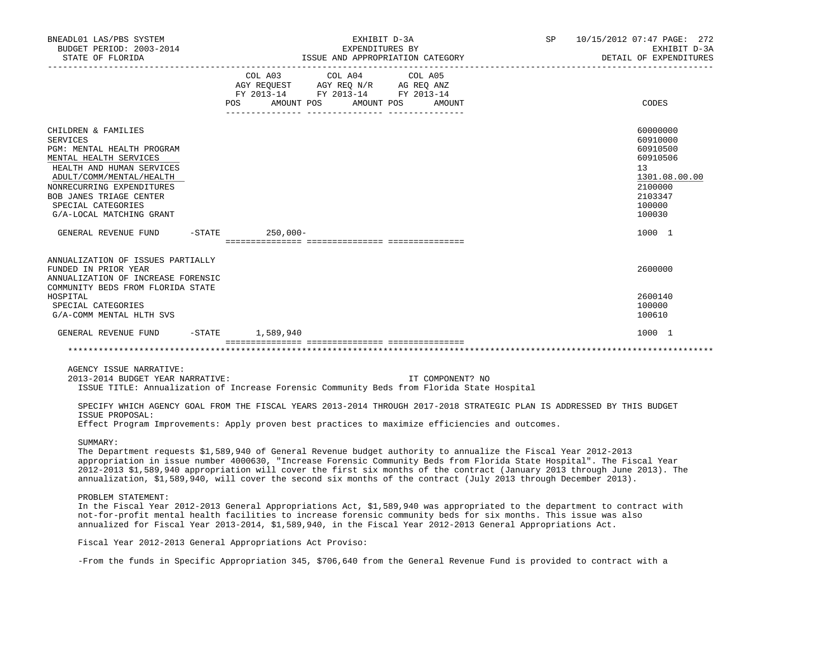| BNEADL01 LAS/PBS SYSTEM<br>BUDGET PERIOD: 2003-2014<br>STATE OF FLORIDA                                                                                                                                                                                                                                                                                                                                                                                                                              |                                                                                             | EXHIBIT D-3A<br>EXPENDITURES BY       | ISSUE AND APPROPRIATION CATEGORY | SP | 10/15/2012 07:47 PAGE: 272<br>EXHIBIT D-3A<br>DETAIL OF EXPENDITURES                                          |
|------------------------------------------------------------------------------------------------------------------------------------------------------------------------------------------------------------------------------------------------------------------------------------------------------------------------------------------------------------------------------------------------------------------------------------------------------------------------------------------------------|---------------------------------------------------------------------------------------------|---------------------------------------|----------------------------------|----|---------------------------------------------------------------------------------------------------------------|
|                                                                                                                                                                                                                                                                                                                                                                                                                                                                                                      | AGY REQUEST AGY REQ N/R AG REQ ANZ<br>FY 2013-14 FY 2013-14 FY 2013-14<br>AMOUNT POS<br>POS | COL A03 COL A04 COL A05<br>AMOUNT POS | AMOUNT                           |    | CODES                                                                                                         |
| CHILDREN & FAMILIES<br><b>SERVICES</b><br>PGM: MENTAL HEALTH PROGRAM<br>MENTAL HEALTH SERVICES<br>HEALTH AND HUMAN SERVICES<br>ADULT/COMM/MENTAL/HEALTH<br>NONRECURRING EXPENDITURES<br>BOB JANES TRIAGE CENTER<br>SPECIAL CATEGORIES<br>G/A-LOCAL MATCHING GRANT                                                                                                                                                                                                                                    |                                                                                             |                                       |                                  |    | 60000000<br>60910000<br>60910500<br>60910506<br>13<br>1301.08.00.00<br>2100000<br>2103347<br>100000<br>100030 |
| GENERAL REVENUE FUND                                                                                                                                                                                                                                                                                                                                                                                                                                                                                 | $-$ STATE 250,000 -                                                                         |                                       |                                  |    | 1000 1                                                                                                        |
| ANNUALIZATION OF ISSUES PARTIALLY<br>FUNDED IN PRIOR YEAR<br>ANNUALIZATION OF INCREASE FORENSIC<br>COMMUNITY BEDS FROM FLORIDA STATE<br>HOSPITAL<br>SPECIAL CATEGORIES<br>G/A-COMM MENTAL HLTH SVS                                                                                                                                                                                                                                                                                                   |                                                                                             |                                       |                                  |    | 2600000<br>2600140<br>100000<br>100610                                                                        |
| GENERAL REVENUE FUND                                                                                                                                                                                                                                                                                                                                                                                                                                                                                 | $-$ STATE $1,589,940$                                                                       |                                       |                                  |    | 1000 1                                                                                                        |
|                                                                                                                                                                                                                                                                                                                                                                                                                                                                                                      |                                                                                             |                                       |                                  |    |                                                                                                               |
| AGENCY ISSUE NARRATIVE:<br>2013-2014 BUDGET YEAR NARRATIVE:<br>ISSUE TITLE: Annualization of Increase Forensic Community Beds from Florida State Hospital                                                                                                                                                                                                                                                                                                                                            |                                                                                             |                                       | IT COMPONENT? NO                 |    |                                                                                                               |
| SPECIFY WHICH AGENCY GOAL FROM THE FISCAL YEARS 2013-2014 THROUGH 2017-2018 STRATEGIC PLAN IS ADDRESSED BY THIS BUDGET<br>ISSUE PROPOSAL:<br>Effect Program Improvements: Apply proven best practices to maximize efficiencies and outcomes.                                                                                                                                                                                                                                                         |                                                                                             |                                       |                                  |    |                                                                                                               |
| SUMMARY:<br>The Department requests \$1,589,940 of General Revenue budget authority to annualize the Fiscal Year 2012-2013<br>appropriation in issue number 4000630, "Increase Forensic Community Beds from Florida State Hospital". The Fiscal Year<br>2012-2013 \$1,589,940 appropriation will cover the first six months of the contract (January 2013 through June 2013). The<br>annualization, \$1,589,940, will cover the second six months of the contract (July 2013 through December 2013). |                                                                                             |                                       |                                  |    |                                                                                                               |
| PROBLEM STATEMENT:<br>In the Fiscal Year 2012-2013 General Appropriations Act, \$1,589,940 was appropriated to the department to contract with<br>not-for-profit mental health facilities to increase forensic community beds for six months. This issue was also<br>annualized for Fiscal Year 2013-2014, \$1,589,940, in the Fiscal Year 2012-2013 General Appropriations Act.                                                                                                                     |                                                                                             |                                       |                                  |    |                                                                                                               |
|                                                                                                                                                                                                                                                                                                                                                                                                                                                                                                      |                                                                                             |                                       |                                  |    |                                                                                                               |

Fiscal Year 2012-2013 General Appropriations Act Proviso:

-From the funds in Specific Appropriation 345, \$706,640 from the General Revenue Fund is provided to contract with a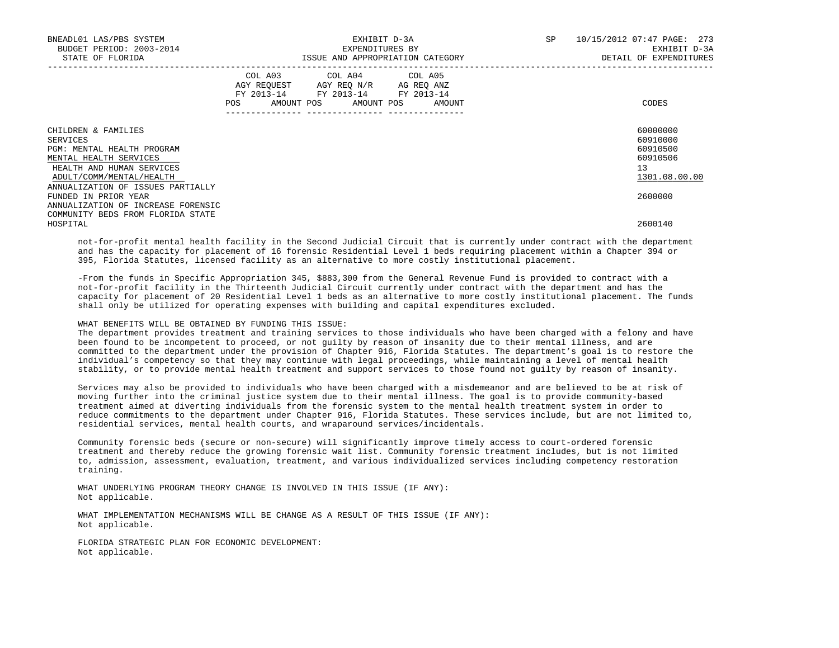| BNEADL01 LAS/PBS SYSTEM<br>BUDGET PERIOD: 2003-2014<br>STATE OF FLORIDA                                                                                                               | EXHIBIT D-3A<br>EXPENDITURES BY<br>ISSUE AND APPROPRIATION CATEGORY                                                                                                        | 10/15/2012 07:47 PAGE: 273<br>SP<br>EXHIBIT D-3A<br>DETAIL OF EXPENDITURES |
|---------------------------------------------------------------------------------------------------------------------------------------------------------------------------------------|----------------------------------------------------------------------------------------------------------------------------------------------------------------------------|----------------------------------------------------------------------------|
|                                                                                                                                                                                       | COL A03 COL A04 COL A05<br>AGY REQUEST AGY REO N/R AG REO ANZ<br>FY 2013-14 FY 2013-14 FY 2013-14<br>POS AMOUNT POS AMOUNT POS AMOUNT<br>--------------  ----------------- | CODES                                                                      |
| CHILDREN & FAMILIES<br>SERVICES<br>PGM: MENTAL HEALTH PROGRAM<br>MENTAL HEALTH SERVICES<br>HEALTH AND HUMAN SERVICES<br>ADULT/COMM/MENTAL/HEALTH<br>ANNUALIZATION OF ISSUES PARTIALLY |                                                                                                                                                                            | 60000000<br>60910000<br>60910500<br>60910506<br>13<br>1301.08.00.00        |
| FUNDED IN PRIOR YEAR<br>ANNUALIZATION OF INCREASE FORENSIC<br>COMMUNITY BEDS FROM FLORIDA STATE                                                                                       |                                                                                                                                                                            | 2600000                                                                    |
| HOSPITAL                                                                                                                                                                              |                                                                                                                                                                            | 2600140                                                                    |

 not-for-profit mental health facility in the Second Judicial Circuit that is currently under contract with the department and has the capacity for placement of 16 forensic Residential Level 1 beds requiring placement within a Chapter 394 or 395, Florida Statutes, licensed facility as an alternative to more costly institutional placement.

 -From the funds in Specific Appropriation 345, \$883,300 from the General Revenue Fund is provided to contract with a not-for-profit facility in the Thirteenth Judicial Circuit currently under contract with the department and has the capacity for placement of 20 Residential Level 1 beds as an alternative to more costly institutional placement. The funds shall only be utilized for operating expenses with building and capital expenditures excluded.

# WHAT BENEFITS WILL BE OBTAINED BY FUNDING THIS ISSUE:

 The department provides treatment and training services to those individuals who have been charged with a felony and have been found to be incompetent to proceed, or not guilty by reason of insanity due to their mental illness, and are committed to the department under the provision of Chapter 916, Florida Statutes. The department's goal is to restore the individual's competency so that they may continue with legal proceedings, while maintaining a level of mental health stability, or to provide mental health treatment and support services to those found not guilty by reason of insanity.

 Services may also be provided to individuals who have been charged with a misdemeanor and are believed to be at risk of moving further into the criminal justice system due to their mental illness. The goal is to provide community-based treatment aimed at diverting individuals from the forensic system to the mental health treatment system in order to reduce commitments to the department under Chapter 916, Florida Statutes. These services include, but are not limited to, residential services, mental health courts, and wraparound services/incidentals.

 Community forensic beds (secure or non-secure) will significantly improve timely access to court-ordered forensic treatment and thereby reduce the growing forensic wait list. Community forensic treatment includes, but is not limited to, admission, assessment, evaluation, treatment, and various individualized services including competency restoration training.

 WHAT UNDERLYING PROGRAM THEORY CHANGE IS INVOLVED IN THIS ISSUE (IF ANY): Not applicable.

 WHAT IMPLEMENTATION MECHANISMS WILL BE CHANGE AS A RESULT OF THIS ISSUE (IF ANY): Not applicable.

 FLORIDA STRATEGIC PLAN FOR ECONOMIC DEVELOPMENT: Not applicable.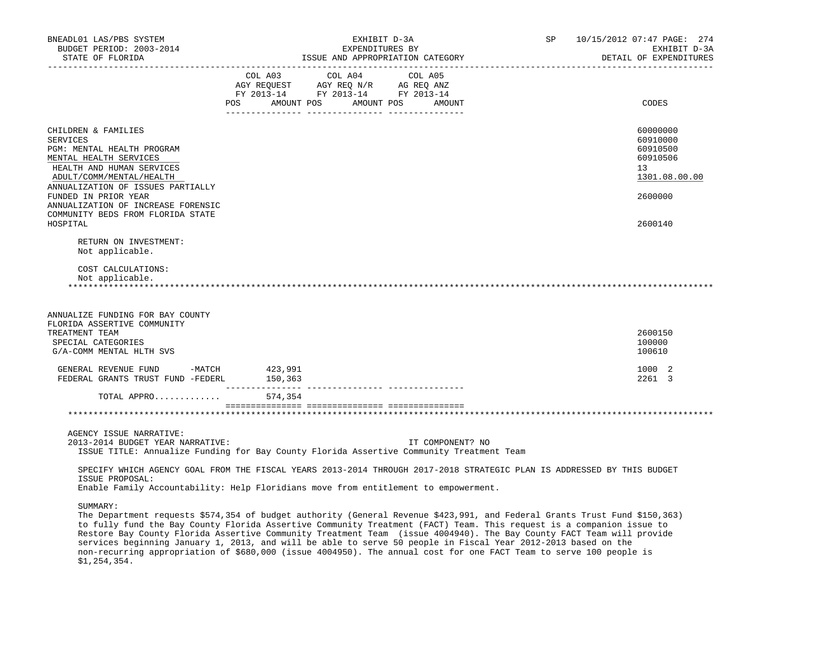| BNEADL01 LAS/PBS SYSTEM<br>BUDGET PERIOD: 2003-2014<br>STATE OF FLORIDA | EXHIBIT D-3A<br>EXPENDITURES BY<br>ISSUE AND APPROPRIATION CATEGORY                                                    | SP 10/15/2012 07:47 PAGE: 274<br>EXHIBIT D-3A<br>DETAIL OF EXPENDITURES |
|-------------------------------------------------------------------------|------------------------------------------------------------------------------------------------------------------------|-------------------------------------------------------------------------|
|                                                                         |                                                                                                                        |                                                                         |
|                                                                         | COL A03 COL A04 COL A05                                                                                                |                                                                         |
|                                                                         | AGY REQUEST AGY REQ N/R AG REQ ANZ<br>FY 2013-14 FY 2013-14 FY 2013-14                                                 |                                                                         |
|                                                                         | POS AMOUNT POS AMOUNT POS<br>AMOUNT                                                                                    | CODES                                                                   |
|                                                                         |                                                                                                                        |                                                                         |
| CHILDREN & FAMILIES                                                     |                                                                                                                        | 60000000                                                                |
| <b>SERVICES</b>                                                         |                                                                                                                        | 60910000                                                                |
| PGM: MENTAL HEALTH PROGRAM                                              |                                                                                                                        | 60910500                                                                |
| MENTAL HEALTH SERVICES                                                  |                                                                                                                        | 60910506                                                                |
| HEALTH AND HUMAN SERVICES                                               |                                                                                                                        | 13                                                                      |
| ADULT/COMM/MENTAL/HEALTH                                                |                                                                                                                        | 1301.08.00.00                                                           |
| ANNUALIZATION OF ISSUES PARTIALLY                                       |                                                                                                                        |                                                                         |
| FUNDED IN PRIOR YEAR                                                    |                                                                                                                        | 2600000                                                                 |
| ANNUALIZATION OF INCREASE FORENSIC                                      |                                                                                                                        |                                                                         |
| COMMUNITY BEDS FROM FLORIDA STATE                                       |                                                                                                                        |                                                                         |
| HOSPITAL                                                                |                                                                                                                        | 2600140                                                                 |
| RETURN ON INVESTMENT:                                                   |                                                                                                                        |                                                                         |
| Not applicable.                                                         |                                                                                                                        |                                                                         |
| COST CALCULATIONS:                                                      |                                                                                                                        |                                                                         |
| Not applicable.                                                         |                                                                                                                        |                                                                         |
|                                                                         |                                                                                                                        |                                                                         |
|                                                                         |                                                                                                                        |                                                                         |
| ANNUALIZE FUNDING FOR BAY COUNTY                                        |                                                                                                                        |                                                                         |
| FLORIDA ASSERTIVE COMMUNITY                                             |                                                                                                                        |                                                                         |
| TREATMENT TEAM                                                          |                                                                                                                        | 2600150                                                                 |
| SPECIAL CATEGORIES                                                      |                                                                                                                        | 100000                                                                  |
| G/A-COMM MENTAL HLTH SVS                                                |                                                                                                                        | 100610                                                                  |
| GENERAL REVENUE FUND -MATCH 423,991                                     |                                                                                                                        | 1000 2                                                                  |
| FEDERAL GRANTS TRUST FUND -FEDERL                                       | 150,363<br>__________                                                                                                  | 2261 3                                                                  |
| TOTAL APPRO                                                             | 574,354                                                                                                                |                                                                         |
|                                                                         |                                                                                                                        |                                                                         |
|                                                                         |                                                                                                                        |                                                                         |
| AGENCY ISSUE NARRATIVE:                                                 |                                                                                                                        |                                                                         |
| 2013-2014 BUDGET YEAR NARRATIVE:                                        | IT COMPONENT? NO                                                                                                       |                                                                         |
|                                                                         | ISSUE TITLE: Annualize Funding for Bay County Florida Assertive Community Treatment Team                               |                                                                         |
|                                                                         | SPECIFY WHICH AGENCY GOAL FROM THE FISCAL YEARS 2013-2014 THROUGH 2017-2018 STRATEGIC PLAN IS ADDRESSED BY THIS BUDGET |                                                                         |
| ISSUE PROPOSAL:                                                         |                                                                                                                        |                                                                         |
|                                                                         | Enable Family Accountability: Help Floridians move from entitlement to empowerment.                                    |                                                                         |
|                                                                         |                                                                                                                        |                                                                         |
| SUMMARY:                                                                |                                                                                                                        |                                                                         |

 The Department requests \$574,354 of budget authority (General Revenue \$423,991, and Federal Grants Trust Fund \$150,363) to fully fund the Bay County Florida Assertive Community Treatment (FACT) Team. This request is a companion issue to Restore Bay County Florida Assertive Community Treatment Team (issue 4004940). The Bay County FACT Team will provide services beginning January 1, 2013, and will be able to serve 50 people in Fiscal Year 2012-2013 based on the non-recurring appropriation of \$680,000 (issue 4004950). The annual cost for one FACT Team to serve 100 people is \$1,254,354.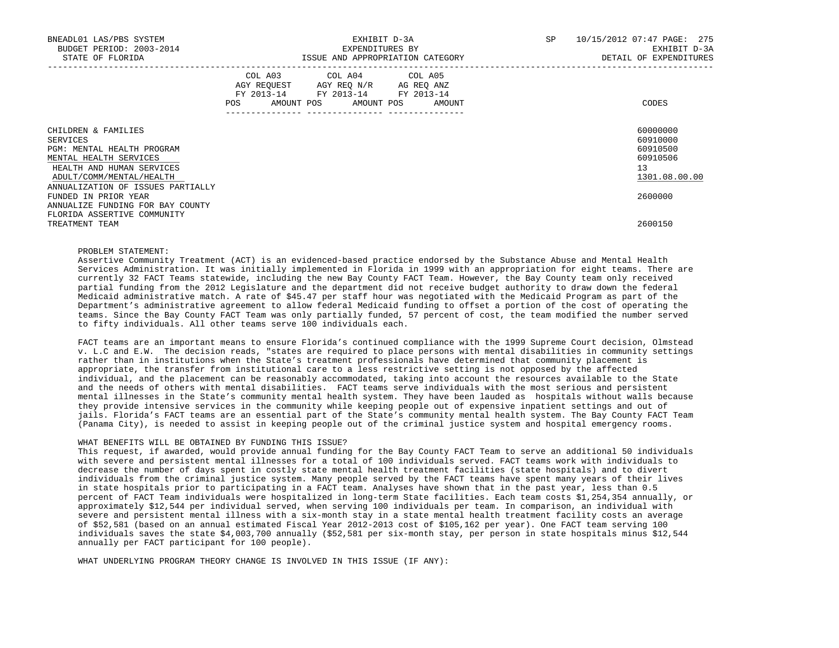| BNEADL01 LAS/PBS SYSTEM<br>BUDGET PERIOD: 2003-2014<br>STATE OF FLORIDA                                                                          | EXHIBIT D-3A<br>EXPENDITURES BY<br>ISSUE AND APPROPRIATION CATEGORY                                                                   |  | SP 10/15/2012 07:47 PAGE: 275<br>EXHIBIT D-3A<br>DETAIL OF EXPENDITURES          |
|--------------------------------------------------------------------------------------------------------------------------------------------------|---------------------------------------------------------------------------------------------------------------------------------------|--|----------------------------------------------------------------------------------|
|                                                                                                                                                  | COL A03 COL A04 COL A05<br>AGY REQUEST AGY REQ N/R AG REQ ANZ<br>FY 2013-14 FY 2013-14 FY 2013-14<br>POS AMOUNT POS AMOUNT POS AMOUNT |  | CODES                                                                            |
| CHILDREN & FAMILIES<br>SERVICES<br>PGM: MENTAL HEALTH PROGRAM<br>MENTAL HEALTH SERVICES<br>HEALTH AND HUMAN SERVICES<br>ADULT/COMM/MENTAL/HEALTH |                                                                                                                                       |  | 60000000<br>60910000<br>60910500<br>60910506<br>13 <sup>7</sup><br>1301.08.00.00 |
| ANNUALIZATION OF ISSUES PARTIALLY<br>FUNDED IN PRIOR YEAR<br>ANNUALIZE FUNDING FOR BAY COUNTY                                                    |                                                                                                                                       |  | 2600000                                                                          |
| FLORIDA ASSERTIVE COMMUNITY<br>TREATMENT TEAM                                                                                                    |                                                                                                                                       |  | 2600150                                                                          |

## PROBLEM STATEMENT:

 Assertive Community Treatment (ACT) is an evidenced-based practice endorsed by the Substance Abuse and Mental Health Services Administration. It was initially implemented in Florida in 1999 with an appropriation for eight teams. There are currently 32 FACT Teams statewide, including the new Bay County FACT Team. However, the Bay County team only received partial funding from the 2012 Legislature and the department did not receive budget authority to draw down the federal Medicaid administrative match. A rate of \$45.47 per staff hour was negotiated with the Medicaid Program as part of the Department's administrative agreement to allow federal Medicaid funding to offset a portion of the cost of operating the teams. Since the Bay County FACT Team was only partially funded, 57 percent of cost, the team modified the number served to fifty individuals. All other teams serve 100 individuals each.

 FACT teams are an important means to ensure Florida's continued compliance with the 1999 Supreme Court decision, Olmstead v. L.C and E.W. The decision reads, "states are required to place persons with mental disabilities in community settings rather than in institutions when the State's treatment professionals have determined that community placement is appropriate, the transfer from institutional care to a less restrictive setting is not opposed by the affected individual, and the placement can be reasonably accommodated, taking into account the resources available to the State and the needs of others with mental disabilities. FACT teams serve individuals with the most serious and persistent mental illnesses in the State's community mental health system. They have been lauded as hospitals without walls because they provide intensive services in the community while keeping people out of expensive inpatient settings and out of jails. Florida's FACT teams are an essential part of the State's community mental health system. The Bay County FACT Team (Panama City), is needed to assist in keeping people out of the criminal justice system and hospital emergency rooms.

#### WHAT BENEFITS WILL BE OBTAINED BY FUNDING THIS ISSUE?

 This request, if awarded, would provide annual funding for the Bay County FACT Team to serve an additional 50 individuals with severe and persistent mental illnesses for a total of 100 individuals served. FACT teams work with individuals to decrease the number of days spent in costly state mental health treatment facilities (state hospitals) and to divert individuals from the criminal justice system. Many people served by the FACT teams have spent many years of their lives in state hospitals prior to participating in a FACT team. Analyses have shown that in the past year, less than 0.5 percent of FACT Team individuals were hospitalized in long-term State facilities. Each team costs \$1,254,354 annually, or approximately \$12,544 per individual served, when serving 100 individuals per team. In comparison, an individual with severe and persistent mental illness with a six-month stay in a state mental health treatment facility costs an average of \$52,581 (based on an annual estimated Fiscal Year 2012-2013 cost of \$105,162 per year). One FACT team serving 100 individuals saves the state \$4,003,700 annually (\$52,581 per six-month stay, per person in state hospitals minus \$12,544 annually per FACT participant for 100 people).

WHAT UNDERLYING PROGRAM THEORY CHANGE IS INVOLVED IN THIS ISSUE (IF ANY):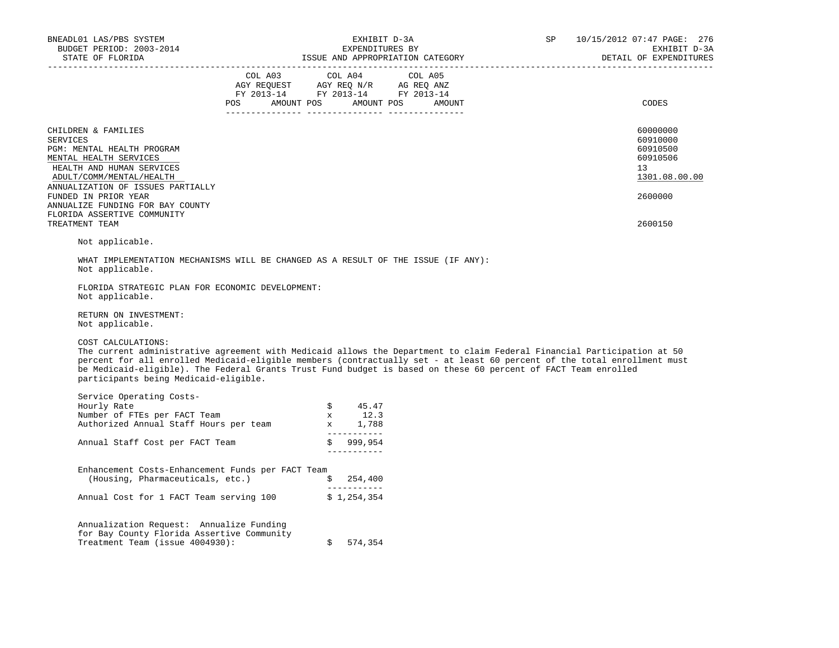| VEADLO1 LAS/PBS SYSTEM FOR THE RESOLUTION OF THE RESOLUTION OF THE RESOLUTION OF THE RESOLUTION OF THE RESOLUTION OF THE RESOLUTION OF THE RESOLUTION OF THE RESOLUTION OF THE RESOLUTION OF THE RESOLUTION OF THE RESOLUTION<br>BNEADL01 LAS/PBS SYSTEM                                                                                                                                                                             |                                                                                                                                                                                                                                                                                                                                                     |                               |  | 10/15/2012 07:47 PAGE: 276<br>EXHIBIT D-3A<br>DETAIL OF EXPENDITURES |
|--------------------------------------------------------------------------------------------------------------------------------------------------------------------------------------------------------------------------------------------------------------------------------------------------------------------------------------------------------------------------------------------------------------------------------------|-----------------------------------------------------------------------------------------------------------------------------------------------------------------------------------------------------------------------------------------------------------------------------------------------------------------------------------------------------|-------------------------------|--|----------------------------------------------------------------------|
|                                                                                                                                                                                                                                                                                                                                                                                                                                      | $\begin{tabular}{lllllllllll} &\multicolumn{4}{c}{\text{COL A03}} &\multicolumn{4}{c}{\text{COL A04}} &\multicolumn{4}{c}{\text{COL A05}}\\ &\multicolumn{4}{c}{\text{AGY REQUEST}} &\multicolumn{4}{c}{\text{AGY REQ}} &\multicolumn{4}{c}{\text{N/T}} &\multicolumn{4}{c}{\text{AG REQ ANZ}}\\ \end{tabular}$<br>FY 2013-14 FY 2013-14 FY 2013-14 |                               |  |                                                                      |
|                                                                                                                                                                                                                                                                                                                                                                                                                                      | POS AMOUNT POS AMOUNT POS AMOUNT                                                                                                                                                                                                                                                                                                                    |                               |  | CODES                                                                |
| CHILDREN & FAMILIES<br><b>SERVICES</b><br>PGM: MENTAL HEALTH PROGRAM<br>MENTAL HEALTH SERVICES<br>HEALTH AND HUMAN SERVICES                                                                                                                                                                                                                                                                                                          |                                                                                                                                                                                                                                                                                                                                                     |                               |  | 60000000<br>60910000<br>60910500<br>60910506<br>13                   |
| ADULT/COMM/MENTAL/HEALTH<br>ANNUALIZATION OF ISSUES PARTIALLY<br>FUNDED IN PRIOR YEAR<br>ANNUALIZE FUNDING FOR BAY COUNTY                                                                                                                                                                                                                                                                                                            |                                                                                                                                                                                                                                                                                                                                                     |                               |  | 1301.08.00.00<br>2600000                                             |
| FLORIDA ASSERTIVE COMMUNITY<br>TREATMENT TEAM                                                                                                                                                                                                                                                                                                                                                                                        |                                                                                                                                                                                                                                                                                                                                                     |                               |  | 2600150                                                              |
| Not applicable.                                                                                                                                                                                                                                                                                                                                                                                                                      |                                                                                                                                                                                                                                                                                                                                                     |                               |  |                                                                      |
| WHAT IMPLEMENTATION MECHANISMS WILL BE CHANGED AS A RESULT OF THE ISSUE (IF ANY):<br>Not applicable.<br>FLORIDA STRATEGIC PLAN FOR ECONOMIC DEVELOPMENT:                                                                                                                                                                                                                                                                             |                                                                                                                                                                                                                                                                                                                                                     |                               |  |                                                                      |
| Not applicable.                                                                                                                                                                                                                                                                                                                                                                                                                      |                                                                                                                                                                                                                                                                                                                                                     |                               |  |                                                                      |
| RETURN ON INVESTMENT:<br>Not applicable.                                                                                                                                                                                                                                                                                                                                                                                             |                                                                                                                                                                                                                                                                                                                                                     |                               |  |                                                                      |
| COST CALCULATIONS:<br>The current administrative agreement with Medicaid allows the Department to claim Federal Financial Participation at 50<br>percent for all enrolled Medicaid-eligible members (contractually set - at least 60 percent of the total enrollment must<br>be Medicaid-eligible). The Federal Grants Trust Fund budget is based on these 60 percent of FACT Team enrolled<br>participants being Medicaid-eligible. |                                                                                                                                                                                                                                                                                                                                                     |                               |  |                                                                      |
| Service Operating Costs-                                                                                                                                                                                                                                                                                                                                                                                                             |                                                                                                                                                                                                                                                                                                                                                     |                               |  |                                                                      |
|                                                                                                                                                                                                                                                                                                                                                                                                                                      |                                                                                                                                                                                                                                                                                                                                                     |                               |  |                                                                      |
| Survey Rate<br>Hourly Rate<br>Number of FTEs per FACT Team<br>Authorized Annual Staff Hours per team<br>x 12.3<br>1,788                                                                                                                                                                                                                                                                                                              |                                                                                                                                                                                                                                                                                                                                                     |                               |  |                                                                      |
| Annual Staff Cost per FACT Team $$999,954$                                                                                                                                                                                                                                                                                                                                                                                           |                                                                                                                                                                                                                                                                                                                                                     | _____________<br>____________ |  |                                                                      |
| Enhancement Costs-Enhancement Funds per FACT Team<br>(Housing, Pharmaceuticals, etc.) $\qquad$ $\qquad$ $\qquad$ 254,400                                                                                                                                                                                                                                                                                                             |                                                                                                                                                                                                                                                                                                                                                     |                               |  |                                                                      |
| Annual Cost for 1 FACT Team serving $100$ \$ 1,254,354                                                                                                                                                                                                                                                                                                                                                                               |                                                                                                                                                                                                                                                                                                                                                     |                               |  |                                                                      |
| Annualization Request: Annualize Funding<br>for Bay County Florida Assertive Community<br>Treatment Team (issue 4004930):                                                                                                                                                                                                                                                                                                            | Ŝ.                                                                                                                                                                                                                                                                                                                                                  | 574,354                       |  |                                                                      |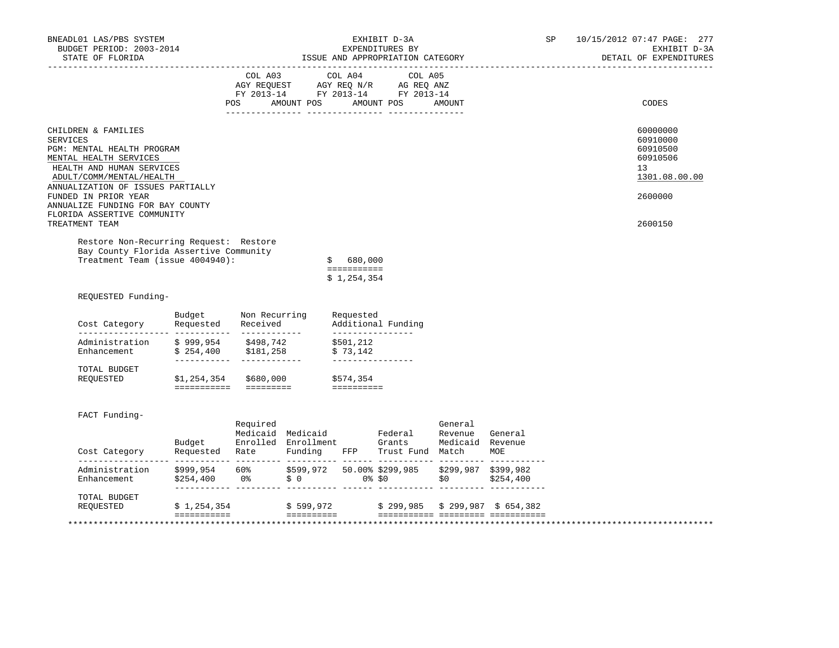| BNEADL01 LAS/PBS SYSTEM<br>BUDGET PERIOD: 2003-2014<br>STATE OF FLORIDA<br>_________________                                                                                                 |                                               | EXHIBIT D-3A<br>EXPENDITURES BY<br>ISSUE AND APPROPRIATION CATEGORY |                               |                                             |                                                                                                                                                                                                                                    |                                                |           |  |  | 10/15/2012 07:47 PAGE: 277<br>DETAIL OF EXPENDITURES                | EXHIBIT D-3A |
|----------------------------------------------------------------------------------------------------------------------------------------------------------------------------------------------|-----------------------------------------------|---------------------------------------------------------------------|-------------------------------|---------------------------------------------|------------------------------------------------------------------------------------------------------------------------------------------------------------------------------------------------------------------------------------|------------------------------------------------|-----------|--|--|---------------------------------------------------------------------|--------------|
|                                                                                                                                                                                              |                                               | POS                                                                 | COL A03 COL A04<br>AMOUNT POS |                                             | COL A05<br>$\begin{tabular}{lllllllll} \bf AGY \,\, REQUEST \,\, &\bf AGY \,\, REQ \,\, N/R \,\, &\bf AG \,\, REQ \,\, ANZ \\ \bf FY \,\, 2013-14 \,\, &\bf FY \,\, 2013-14 \,\, &\bf FY \,\, 2013-14 \end{tabular}$<br>AMOUNT POS | AMOUNT                                         |           |  |  | CODES                                                               |              |
| CHILDREN & FAMILIES<br><b>SERVICES</b><br>PGM: MENTAL HEALTH PROGRAM<br>MENTAL HEALTH SERVICES<br>HEALTH AND HUMAN SERVICES<br>ADULT/COMM/MENTAL/HEALTH<br>ANNUALIZATION OF ISSUES PARTIALLY |                                               |                                                                     |                               |                                             |                                                                                                                                                                                                                                    |                                                |           |  |  | 60000000<br>60910000<br>60910500<br>60910506<br>13<br>1301.08.00.00 |              |
| FUNDED IN PRIOR YEAR<br>ANNUALIZE FUNDING FOR BAY COUNTY<br>FLORIDA ASSERTIVE COMMUNITY<br>TREATMENT TEAM                                                                                    |                                               |                                                                     |                               |                                             |                                                                                                                                                                                                                                    |                                                |           |  |  | 2600000<br>2600150                                                  |              |
| Restore Non-Recurring Request: Restore                                                                                                                                                       |                                               |                                                                     |                               |                                             |                                                                                                                                                                                                                                    |                                                |           |  |  |                                                                     |              |
| Bay County Florida Assertive Community<br>Treatment Team (issue 4004940):                                                                                                                    |                                               |                                                                     |                               | \$680.000<br>===========<br>\$1,254,354     |                                                                                                                                                                                                                                    |                                                |           |  |  |                                                                     |              |
| REQUESTED Funding-<br>Cost Category                                                                                                                                                          | Budget<br>Requested                           | Non Recurring<br>Received                                           |                               | Requested                                   | Additional Funding                                                                                                                                                                                                                 |                                                |           |  |  |                                                                     |              |
| Administration<br>Enhancement \$254,400 \$181,258                                                                                                                                            | \$999,954 \$498,742                           |                                                                     |                               | ________________<br>\$501,212<br>\$73,142   |                                                                                                                                                                                                                                    |                                                |           |  |  |                                                                     |              |
| TOTAL BUDGET<br>REOUESTED                                                                                                                                                                    | -----------<br>\$1,254,354                    | ------------                                                        | \$680,000                     | ----------------<br>\$574,354<br>========== |                                                                                                                                                                                                                                    |                                                |           |  |  |                                                                     |              |
| FACT Funding-<br>Cost Category                                                                                                                                                               | Budget<br>Requested Rate Funding FFP          | Required                                                            | Enrolled Enrollment           |                                             | Medicaid Medicaid Federal<br>Grants<br>Trust Fund Match                                                                                                                                                                            | General<br>Revenue General<br>Medicaid Revenue | MOE       |  |  |                                                                     |              |
| Administration<br>Enhancement                                                                                                                                                                | \$999,954        60%<br>\$254,400          0% |                                                                     |                               |                                             | \$599,972 50.00% \$299,985 \$299,987 \$399,982<br>$\ddot{\hat{S}}$ 0 0% \$0                                                                                                                                                        | \$0                                            | \$254,400 |  |  |                                                                     |              |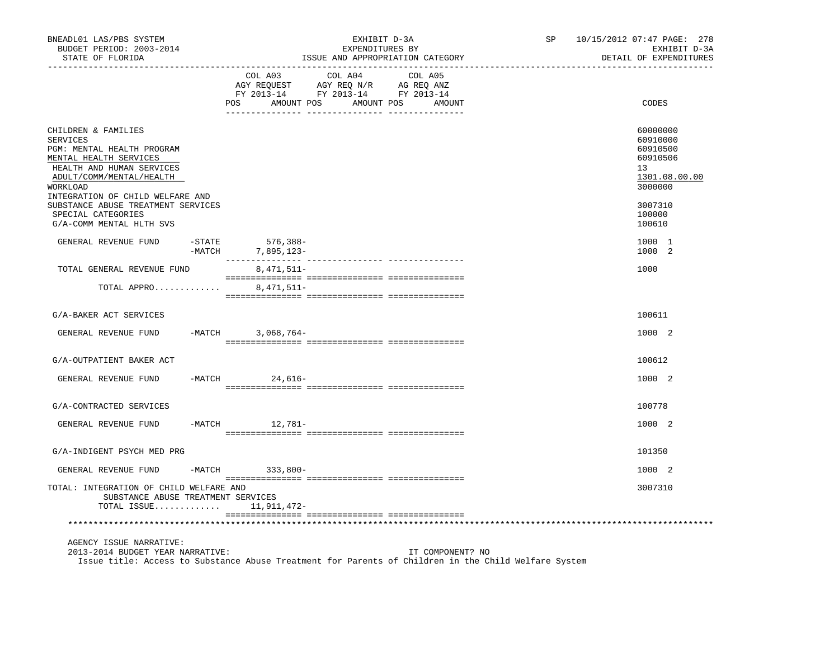| BNEADL01 LAS/PBS SYSTEM<br>BUDGET PERIOD: 2003-2014<br>STATE OF FLORIDA                                                                                                                                                                                             |           | EXHIBIT D-3A<br>EXPENDITURES BY<br>ISSUE AND APPROPRIATION CATEGORY | SP<br>10/15/2012 07:47 PAGE: 278<br>EXHIBIT D-3A<br>DETAIL OF EXPENDITURES        |                                         |  |  |                                                                                                     |  |  |
|---------------------------------------------------------------------------------------------------------------------------------------------------------------------------------------------------------------------------------------------------------------------|-----------|---------------------------------------------------------------------|-----------------------------------------------------------------------------------|-----------------------------------------|--|--|-----------------------------------------------------------------------------------------------------|--|--|
|                                                                                                                                                                                                                                                                     |           | COL A03<br>POS AMOUNT POS AMOUNT POS AMOUNT                         | COL A04<br>AGY REQUEST AGY REQ N/R AG REQ ANZ<br>FY 2013-14 FY 2013-14 FY 2013-14 | COL A05<br>____________________________ |  |  | CODES                                                                                               |  |  |
| CHILDREN & FAMILIES<br><b>SERVICES</b><br>PGM: MENTAL HEALTH PROGRAM<br>MENTAL HEALTH SERVICES<br>HEALTH AND HUMAN SERVICES<br>ADULT/COMM/MENTAL/HEALTH<br>WORKLOAD<br>INTEGRATION OF CHILD WELFARE AND<br>SUBSTANCE ABUSE TREATMENT SERVICES<br>SPECIAL CATEGORIES |           |                                                                     |                                                                                   |                                         |  |  | 60000000<br>60910000<br>60910500<br>60910506<br>13<br>1301.08.00.00<br>3000000<br>3007310<br>100000 |  |  |
| G/A-COMM MENTAL HLTH SVS                                                                                                                                                                                                                                            |           |                                                                     |                                                                                   |                                         |  |  | 100610                                                                                              |  |  |
| GENERAL REVENUE FUND                                                                                                                                                                                                                                                | $-$ STATE | 576,388-<br>-MATCH 7,895,123-                                       |                                                                                   |                                         |  |  | 1000 1<br>1000 2                                                                                    |  |  |
| TOTAL GENERAL REVENUE FUND                                                                                                                                                                                                                                          |           | 8, 471, 511-                                                        |                                                                                   |                                         |  |  | 1000                                                                                                |  |  |
| TOTAL APPRO                                                                                                                                                                                                                                                         |           | 8,471,511-                                                          |                                                                                   |                                         |  |  |                                                                                                     |  |  |
| G/A-BAKER ACT SERVICES                                                                                                                                                                                                                                              |           |                                                                     |                                                                                   |                                         |  |  | 100611                                                                                              |  |  |
| GENERAL REVENUE FUND                                                                                                                                                                                                                                                |           | -MATCH 3,068,764-                                                   |                                                                                   |                                         |  |  | 1000 2                                                                                              |  |  |
| G/A-OUTPATIENT BAKER ACT                                                                                                                                                                                                                                            |           |                                                                     |                                                                                   |                                         |  |  | 100612                                                                                              |  |  |
| GENERAL REVENUE FUND                                                                                                                                                                                                                                                |           | -MATCH 24,616-                                                      |                                                                                   |                                         |  |  | 1000 2                                                                                              |  |  |
| G/A-CONTRACTED SERVICES                                                                                                                                                                                                                                             |           |                                                                     |                                                                                   |                                         |  |  | 100778                                                                                              |  |  |
| GENERAL REVENUE FUND                                                                                                                                                                                                                                                |           | $-MATCH$ 12,781-                                                    |                                                                                   |                                         |  |  | 1000 2                                                                                              |  |  |
| G/A-INDIGENT PSYCH MED PRG                                                                                                                                                                                                                                          |           |                                                                     |                                                                                   |                                         |  |  | 101350                                                                                              |  |  |
| GENERAL REVENUE FUND                                                                                                                                                                                                                                                |           | -MATCH 333,800-                                                     |                                                                                   |                                         |  |  | 1000 2                                                                                              |  |  |
| TOTAL: INTEGRATION OF CHILD WELFARE AND<br>SUBSTANCE ABUSE TREATMENT SERVICES<br>TOTAL ISSUE $11,911,472-$                                                                                                                                                          |           |                                                                     |                                                                                   |                                         |  |  | 3007310                                                                                             |  |  |
|                                                                                                                                                                                                                                                                     |           |                                                                     |                                                                                   |                                         |  |  |                                                                                                     |  |  |
| AGENCY ISSUE NARRATIVE:<br>2013-2014 BUDGET YEAR NARRATIVE:<br>Issue title: Access to Substance Abuse Treatment for Parents of Children in the Child Welfare System                                                                                                 |           |                                                                     |                                                                                   | IT COMPONENT? NO                        |  |  |                                                                                                     |  |  |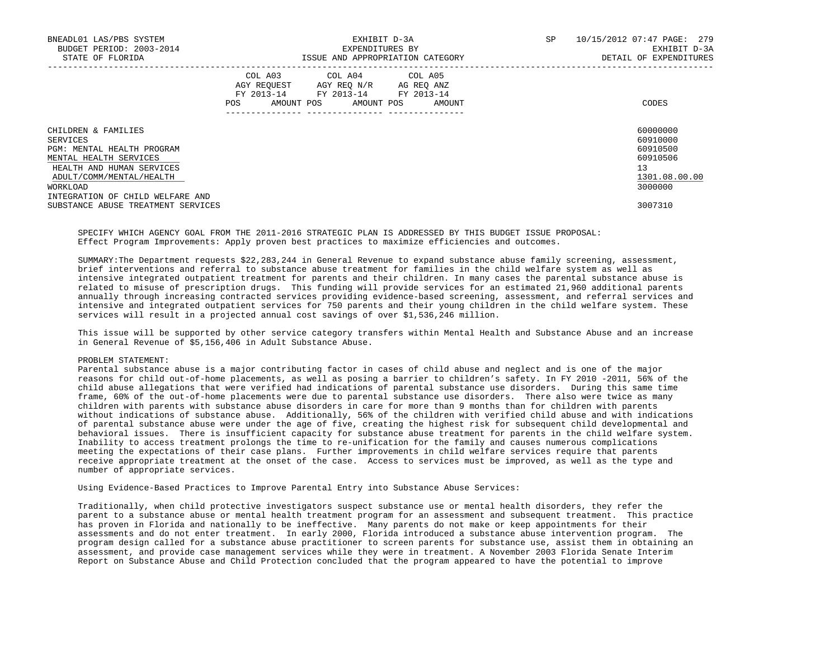| BNEADL01 LAS/PBS SYSTEM<br>BUDGET PERIOD: 2003-2014 |                   | EXHIBIT D-3A<br>EXPENDITURES BY                                                                   |                                  | SP                     | 10/15/2012 07:47 PAGE: 279<br>EXHIBIT D-3A |  |  |
|-----------------------------------------------------|-------------------|---------------------------------------------------------------------------------------------------|----------------------------------|------------------------|--------------------------------------------|--|--|
| STATE OF FLORIDA                                    |                   |                                                                                                   | ISSUE AND APPROPRIATION CATEGORY | DETAIL OF EXPENDITURES |                                            |  |  |
|                                                     | AMOUNT POS<br>POS | COL A03 COL A04 COL A05<br>AGY REOUEST AGY REO N/R AG REO ANZ<br>FY 2013-14 FY 2013-14 FY 2013-14 | AMOUNT POS AMOUNT                |                        | CODES                                      |  |  |
| CHILDREN & FAMILIES                                 |                   |                                                                                                   |                                  |                        | 60000000                                   |  |  |
| SERVICES                                            |                   |                                                                                                   |                                  |                        | 60910000                                   |  |  |
| PGM: MENTAL HEALTH PROGRAM                          |                   |                                                                                                   |                                  |                        | 60910500                                   |  |  |
| MENTAL HEALTH SERVICES                              |                   |                                                                                                   |                                  |                        | 60910506                                   |  |  |
| HEALTH AND HUMAN SERVICES                           |                   |                                                                                                   |                                  |                        | 13                                         |  |  |
| ADULT/COMM/MENTAL/HEALTH                            |                   |                                                                                                   |                                  |                        | 1301.08.00.00                              |  |  |
| WORKLOAD                                            |                   |                                                                                                   |                                  |                        | 3000000                                    |  |  |
| INTEGRATION OF CHILD WELFARE AND                    |                   |                                                                                                   |                                  |                        |                                            |  |  |
| SUBSTANCE ABUSE TREATMENT SERVICES                  |                   |                                                                                                   |                                  |                        | 3007310                                    |  |  |

 SPECIFY WHICH AGENCY GOAL FROM THE 2011-2016 STRATEGIC PLAN IS ADDRESSED BY THIS BUDGET ISSUE PROPOSAL: Effect Program Improvements: Apply proven best practices to maximize efficiencies and outcomes.

 SUMMARY:The Department requests \$22,283,244 in General Revenue to expand substance abuse family screening, assessment, brief interventions and referral to substance abuse treatment for families in the child welfare system as well as intensive integrated outpatient treatment for parents and their children. In many cases the parental substance abuse is related to misuse of prescription drugs. This funding will provide services for an estimated 21,960 additional parents annually through increasing contracted services providing evidence-based screening, assessment, and referral services and intensive and integrated outpatient services for 750 parents and their young children in the child welfare system. These services will result in a projected annual cost savings of over \$1,536,246 million.

 This issue will be supported by other service category transfers within Mental Health and Substance Abuse and an increase in General Revenue of \$5,156,406 in Adult Substance Abuse.

## PROBLEM STATEMENT:

 Parental substance abuse is a major contributing factor in cases of child abuse and neglect and is one of the major reasons for child out-of-home placements, as well as posing a barrier to children's safety. In FY 2010 -2011, 56% of the child abuse allegations that were verified had indications of parental substance use disorders. During this same time frame, 60% of the out-of-home placements were due to parental substance use disorders. There also were twice as many children with parents with substance abuse disorders in care for more than 9 months than for children with parents without indications of substance abuse. Additionally, 56% of the children with verified child abuse and with indications of parental substance abuse were under the age of five, creating the highest risk for subsequent child developmental and behavioral issues. There is insufficient capacity for substance abuse treatment for parents in the child welfare system. Inability to access treatment prolongs the time to re-unification for the family and causes numerous complications meeting the expectations of their case plans. Further improvements in child welfare services require that parents receive appropriate treatment at the onset of the case. Access to services must be improved, as well as the type and number of appropriate services.

Using Evidence-Based Practices to Improve Parental Entry into Substance Abuse Services:

 Traditionally, when child protective investigators suspect substance use or mental health disorders, they refer the parent to a substance abuse or mental health treatment program for an assessment and subsequent treatment. This practice has proven in Florida and nationally to be ineffective. Many parents do not make or keep appointments for their assessments and do not enter treatment. In early 2000, Florida introduced a substance abuse intervention program. The program design called for a substance abuse practitioner to screen parents for substance use, assist them in obtaining an assessment, and provide case management services while they were in treatment. A November 2003 Florida Senate Interim Report on Substance Abuse and Child Protection concluded that the program appeared to have the potential to improve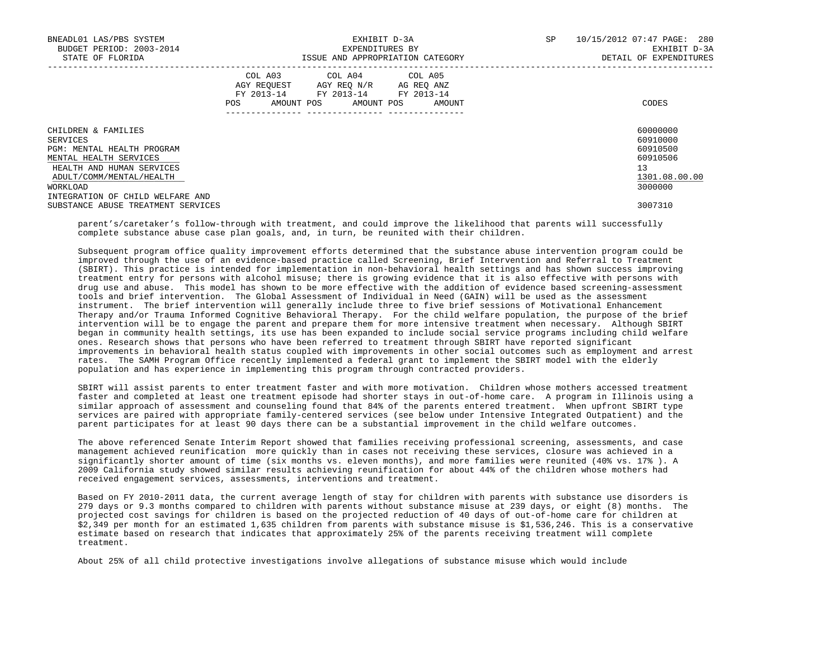| BNEADL01 LAS/PBS SYSTEM<br>BUDGET PERIOD: 2003-2014<br>STATE OF FLORIDA                                                                                                                          | EXHIBIT D-3A<br>EXPENDITURES BY<br>ISSUE AND APPROPRIATION CATEGORY                                                                         | <b>SP</b><br>10/15/2012 07:47 PAGE: 280<br>EXHIBIT D-3A<br>DETAIL OF EXPENDITURES |
|--------------------------------------------------------------------------------------------------------------------------------------------------------------------------------------------------|---------------------------------------------------------------------------------------------------------------------------------------------|-----------------------------------------------------------------------------------|
|                                                                                                                                                                                                  | COL A03 COL A04 COL A05<br>AGY REQUEST AGY REO N/R AG REO ANZ<br>FY 2013-14 FY 2013-14 FY 2013-14<br>AMOUNT POS AMOUNT POS<br>AMOUNT<br>POS | CODES                                                                             |
| CHILDREN & FAMILIES<br>SERVICES<br>PGM: MENTAL HEALTH PROGRAM<br>MENTAL HEALTH SERVICES<br>HEALTH AND HUMAN SERVICES<br>ADULT/COMM/MENTAL/HEALTH<br>WORKLOAD<br>INTEGRATION OF CHILD WELFARE AND |                                                                                                                                             | 60000000<br>60910000<br>60910500<br>60910506<br>13<br>1301.08.00.00<br>3000000    |
| SUBSTANCE ABUSE TREATMENT SERVICES                                                                                                                                                               |                                                                                                                                             | 3007310                                                                           |

 parent's/caretaker's follow-through with treatment, and could improve the likelihood that parents will successfully complete substance abuse case plan goals, and, in turn, be reunited with their children.

 Subsequent program office quality improvement efforts determined that the substance abuse intervention program could be improved through the use of an evidence-based practice called Screening, Brief Intervention and Referral to Treatment (SBIRT). This practice is intended for implementation in non-behavioral health settings and has shown success improving treatment entry for persons with alcohol misuse; there is growing evidence that it is also effective with persons with drug use and abuse. This model has shown to be more effective with the addition of evidence based screening-assessment tools and brief intervention. The Global Assessment of Individual in Need (GAIN) will be used as the assessment instrument. The brief intervention will generally include three to five brief sessions of Motivational Enhancement Therapy and/or Trauma Informed Cognitive Behavioral Therapy. For the child welfare population, the purpose of the brief intervention will be to engage the parent and prepare them for more intensive treatment when necessary. Although SBIRT began in community health settings, its use has been expanded to include social service programs including child welfare ones. Research shows that persons who have been referred to treatment through SBIRT have reported significant improvements in behavioral health status coupled with improvements in other social outcomes such as employment and arrest rates. The SAMH Program Office recently implemented a federal grant to implement the SBIRT model with the elderly population and has experience in implementing this program through contracted providers.

SBIRT will assist parents to enter treatment faster and with more motivation. Children whose mothers accessed treatment faster and completed at least one treatment episode had shorter stays in out-of-home care. A program in Illinois using a similar approach of assessment and counseling found that 84% of the parents entered treatment. When upfront SBIRT type services are paired with appropriate family-centered services (see below under Intensive Integrated Outpatient) and the parent participates for at least 90 days there can be a substantial improvement in the child welfare outcomes.

 The above referenced Senate Interim Report showed that families receiving professional screening, assessments, and case management achieved reunification more quickly than in cases not receiving these services, closure was achieved in a significantly shorter amount of time (six months vs. eleven months), and more families were reunited (40% vs. 17% ). A 2009 California study showed similar results achieving reunification for about 44% of the children whose mothers had received engagement services, assessments, interventions and treatment.

 Based on FY 2010-2011 data, the current average length of stay for children with parents with substance use disorders is 279 days or 9.3 months compared to children with parents without substance misuse at 239 days, or eight (8) months. The projected cost savings for children is based on the projected reduction of 40 days of out-of-home care for children at \$2,349 per month for an estimated 1,635 children from parents with substance misuse is \$1,536,246. This is a conservative estimate based on research that indicates that approximately 25% of the parents receiving treatment will complete treatment.

About 25% of all child protective investigations involve allegations of substance misuse which would include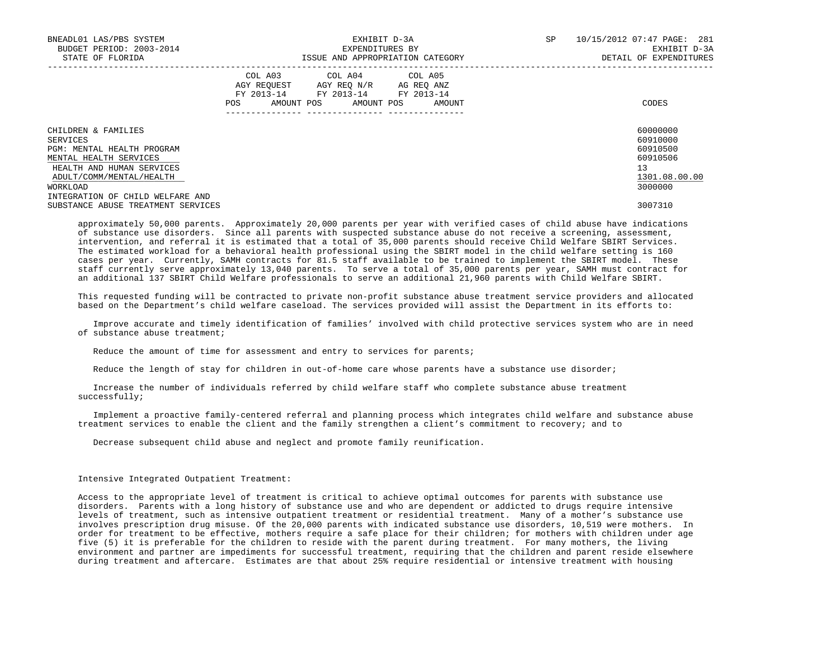| BNEADL01 LAS/PBS SYSTEM<br>BUDGET PERIOD: 2003-2014<br>STATE OF FLORIDA |     |  | EXHIBIT D-3A<br>EXPENDITURES BY<br>ISSUE AND APPROPRIATION CATEGORY                                                        |  | SP     | 10/15/2012 07:47 PAGE: 281<br>EXHIBIT D-3A<br>DETAIL OF EXPENDITURES |                      |  |
|-------------------------------------------------------------------------|-----|--|----------------------------------------------------------------------------------------------------------------------------|--|--------|----------------------------------------------------------------------|----------------------|--|
|                                                                         | POS |  | COL A03 COL A04 COL A05<br>AGY REQUEST AGY REO N/R AG REO ANZ<br>FY 2013-14 FY 2013-14 FY 2013-14<br>AMOUNT POS AMOUNT POS |  | AMOUNT |                                                                      | CODES                |  |
| CHILDREN & FAMILIES                                                     |     |  |                                                                                                                            |  |        |                                                                      | 60000000<br>60910000 |  |
| SERVICES<br>PGM: MENTAL HEALTH PROGRAM                                  |     |  |                                                                                                                            |  |        |                                                                      | 60910500             |  |
| MENTAL HEALTH SERVICES                                                  |     |  |                                                                                                                            |  |        |                                                                      | 60910506             |  |
| HEALTH AND HUMAN SERVICES                                               |     |  |                                                                                                                            |  |        |                                                                      | 13                   |  |
| ADULT/COMM/MENTAL/HEALTH                                                |     |  |                                                                                                                            |  |        |                                                                      | 1301.08.00.00        |  |
| WORKLOAD                                                                |     |  |                                                                                                                            |  |        |                                                                      | 3000000              |  |
| INTEGRATION OF CHILD WELFARE AND                                        |     |  |                                                                                                                            |  |        |                                                                      |                      |  |
| SUBSTANCE ABUSE TREATMENT SERVICES                                      |     |  |                                                                                                                            |  |        |                                                                      | 3007310              |  |

 approximately 50,000 parents. Approximately 20,000 parents per year with verified cases of child abuse have indications of substance use disorders. Since all parents with suspected substance abuse do not receive a screening, assessment, intervention, and referral it is estimated that a total of 35,000 parents should receive Child Welfare SBIRT Services. The estimated workload for a behavioral health professional using the SBIRT model in the child welfare setting is 160 cases per year. Currently, SAMH contracts for 81.5 staff available to be trained to implement the SBIRT model. These staff currently serve approximately 13,040 parents. To serve a total of 35,000 parents per year, SAMH must contract for an additional 137 SBIRT Child Welfare professionals to serve an additional 21,960 parents with Child Welfare SBIRT.

 This requested funding will be contracted to private non-profit substance abuse treatment service providers and allocated based on the Department's child welfare caseload. The services provided will assist the Department in its efforts to:

 Improve accurate and timely identification of families' involved with child protective services system who are in need of substance abuse treatment;

Reduce the amount of time for assessment and entry to services for parents;

Reduce the length of stay for children in out-of-home care whose parents have a substance use disorder;

 Increase the number of individuals referred by child welfare staff who complete substance abuse treatment successfully;

 Implement a proactive family-centered referral and planning process which integrates child welfare and substance abuse treatment services to enable the client and the family strengthen a client's commitment to recovery; and to

Decrease subsequent child abuse and neglect and promote family reunification.

#### Intensive Integrated Outpatient Treatment:

 Access to the appropriate level of treatment is critical to achieve optimal outcomes for parents with substance use disorders. Parents with a long history of substance use and who are dependent or addicted to drugs require intensive levels of treatment, such as intensive outpatient treatment or residential treatment. Many of a mother's substance use involves prescription drug misuse. Of the 20,000 parents with indicated substance use disorders, 10,519 were mothers. In order for treatment to be effective, mothers require a safe place for their children; for mothers with children under age five (5) it is preferable for the children to reside with the parent during treatment. For many mothers, the living environment and partner are impediments for successful treatment, requiring that the children and parent reside elsewhere during treatment and aftercare. Estimates are that about 25% require residential or intensive treatment with housing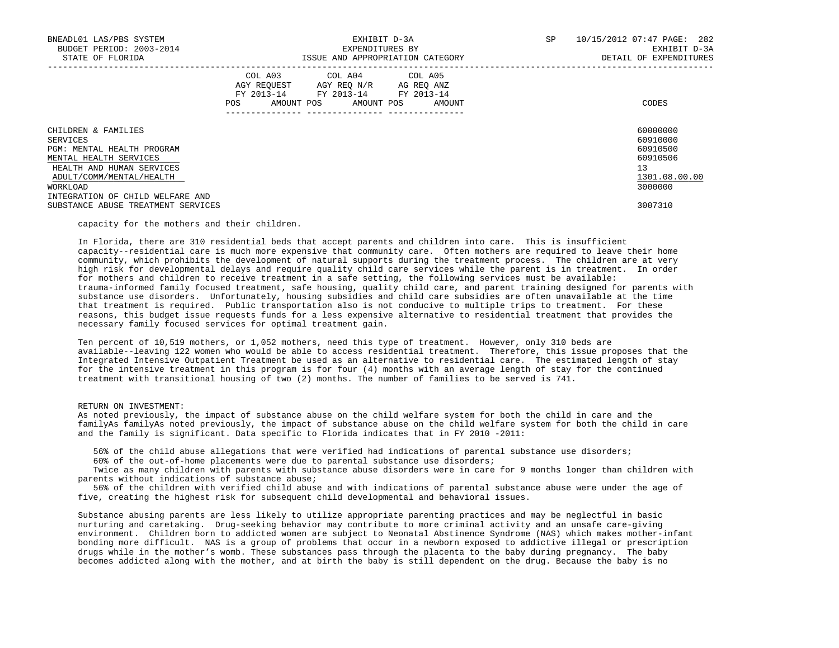| BNEADL01 LAS/PBS SYSTEM<br>BUDGET PERIOD: 2003-2014<br>STATE OF FLORIDA                                                                                                                          |      | EXHIBIT D-3A<br>EXPENDITURES BY<br>ISSUE AND APPROPRIATION CATEGORY                                                        |        | SP | 10/15/2012 07:47 PAGE: 282<br>EXHIBIT D-3A<br>DETAIL OF EXPENDITURES           |
|--------------------------------------------------------------------------------------------------------------------------------------------------------------------------------------------------|------|----------------------------------------------------------------------------------------------------------------------------|--------|----|--------------------------------------------------------------------------------|
|                                                                                                                                                                                                  | POS. | COL A03 COL A04 COL A05<br>AGY REOUEST AGY REO N/R AG REO ANZ<br>FY 2013-14 FY 2013-14 FY 2013-14<br>AMOUNT POS AMOUNT POS | AMOUNT |    | CODES                                                                          |
| CHILDREN & FAMILIES<br>SERVICES<br>PGM: MENTAL HEALTH PROGRAM<br>MENTAL HEALTH SERVICES<br>HEALTH AND HUMAN SERVICES<br>ADULT/COMM/MENTAL/HEALTH<br>WORKLOAD<br>INTEGRATION OF CHILD WELFARE AND |      |                                                                                                                            |        |    | 60000000<br>60910000<br>60910500<br>60910506<br>13<br>1301.08.00.00<br>3000000 |
| SUBSTANCE ABUSE TREATMENT SERVICES                                                                                                                                                               |      |                                                                                                                            |        |    | 3007310                                                                        |

capacity for the mothers and their children.

 In Florida, there are 310 residential beds that accept parents and children into care. This is insufficient capacity--residential care is much more expensive that community care. Often mothers are required to leave their home community, which prohibits the development of natural supports during the treatment process. The children are at very high risk for developmental delays and require quality child care services while the parent is in treatment. In order for mothers and children to receive treatment in a safe setting, the following services must be available: trauma-informed family focused treatment, safe housing, quality child care, and parent training designed for parents with substance use disorders. Unfortunately, housing subsidies and child care subsidies are often unavailable at the time that treatment is required. Public transportation also is not conducive to multiple trips to treatment. For these reasons, this budget issue requests funds for a less expensive alternative to residential treatment that provides the necessary family focused services for optimal treatment gain.

 Ten percent of 10,519 mothers, or 1,052 mothers, need this type of treatment. However, only 310 beds are available--leaving 122 women who would be able to access residential treatment. Therefore, this issue proposes that the Integrated Intensive Outpatient Treatment be used as an alternative to residential care. The estimated length of stay for the intensive treatment in this program is for four (4) months with an average length of stay for the continued treatment with transitional housing of two (2) months. The number of families to be served is 741.

#### RETURN ON INVESTMENT:

 As noted previously, the impact of substance abuse on the child welfare system for both the child in care and the familyAs familyAs noted previously, the impact of substance abuse on the child welfare system for both the child in care and the family is significant. Data specific to Florida indicates that in FY 2010 -2011:

56% of the child abuse allegations that were verified had indications of parental substance use disorders;

60% of the out-of-home placements were due to parental substance use disorders;

 Twice as many children with parents with substance abuse disorders were in care for 9 months longer than children with parents without indications of substance abuse;

 56% of the children with verified child abuse and with indications of parental substance abuse were under the age of five, creating the highest risk for subsequent child developmental and behavioral issues.

 Substance abusing parents are less likely to utilize appropriate parenting practices and may be neglectful in basic nurturing and caretaking. Drug-seeking behavior may contribute to more criminal activity and an unsafe care-giving environment. Children born to addicted women are subject to Neonatal Abstinence Syndrome (NAS) which makes mother-infant bonding more difficult. NAS is a group of problems that occur in a newborn exposed to addictive illegal or prescription drugs while in the mother's womb. These substances pass through the placenta to the baby during pregnancy. The baby becomes addicted along with the mother, and at birth the baby is still dependent on the drug. Because the baby is no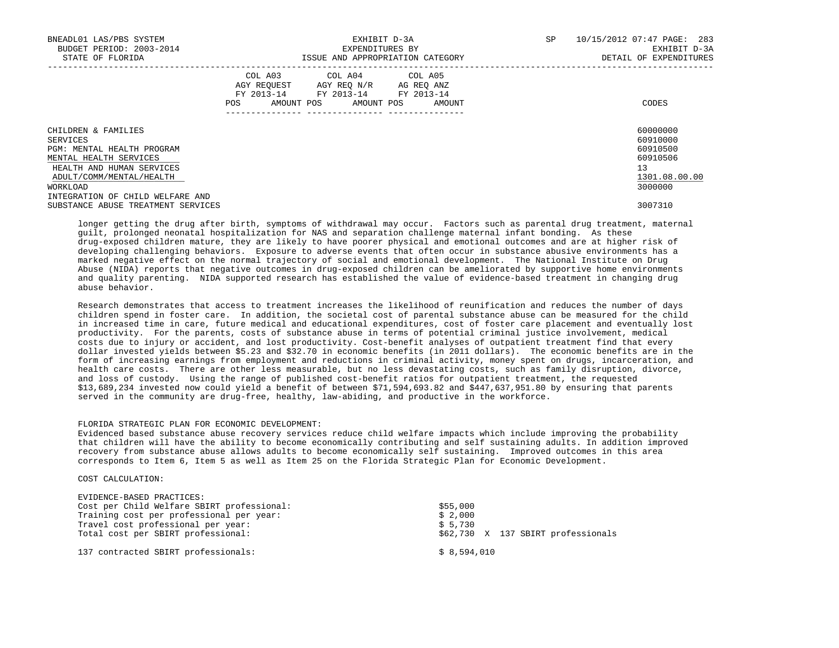| BNEADL01 LAS/PBS SYSTEM<br>BUDGET PERIOD: 2003-2014<br>STATE OF FLORIDA                                                                                      |     |            | EXHIBIT D-3A<br>EXPENDITURES BY<br>ISSUE AND APPROPRIATION CATEGORY                                             |  | SP     | 10/15/2012 07:47 PAGE: 283<br>EXHIBIT D-3A<br>DETAIL OF EXPENDITURES |                                                                                |
|--------------------------------------------------------------------------------------------------------------------------------------------------------------|-----|------------|-----------------------------------------------------------------------------------------------------------------|--|--------|----------------------------------------------------------------------|--------------------------------------------------------------------------------|
|                                                                                                                                                              | POS | AMOUNT POS | COL A03 COL A04 COL A05<br>AGY REQUEST AGY REO N/R AG REO ANZ<br>FY 2013-14 FY 2013-14 FY 2013-14<br>AMOUNT POS |  | AMOUNT |                                                                      | CODES                                                                          |
| CHILDREN & FAMILIES<br>SERVICES<br>PGM: MENTAL HEALTH PROGRAM<br>MENTAL HEALTH SERVICES<br>HEALTH AND HUMAN SERVICES<br>ADULT/COMM/MENTAL/HEALTH<br>WORKLOAD |     |            |                                                                                                                 |  |        |                                                                      | 60000000<br>60910000<br>60910500<br>60910506<br>13<br>1301.08.00.00<br>3000000 |
| INTEGRATION OF CHILD WELFARE AND<br>SUBSTANCE ABUSE TREATMENT SERVICES                                                                                       |     |            |                                                                                                                 |  |        |                                                                      | 3007310                                                                        |

 longer getting the drug after birth, symptoms of withdrawal may occur. Factors such as parental drug treatment, maternal guilt, prolonged neonatal hospitalization for NAS and separation challenge maternal infant bonding. As these drug-exposed children mature, they are likely to have poorer physical and emotional outcomes and are at higher risk of developing challenging behaviors. Exposure to adverse events that often occur in substance abusive environments has a marked negative effect on the normal trajectory of social and emotional development. The National Institute on Drug Abuse (NIDA) reports that negative outcomes in drug-exposed children can be ameliorated by supportive home environments and quality parenting. NIDA supported research has established the value of evidence-based treatment in changing drug abuse behavior.

 Research demonstrates that access to treatment increases the likelihood of reunification and reduces the number of days children spend in foster care. In addition, the societal cost of parental substance abuse can be measured for the child in increased time in care, future medical and educational expenditures, cost of foster care placement and eventually lost productivity. For the parents, costs of substance abuse in terms of potential criminal justice involvement, medical costs due to injury or accident, and lost productivity. Cost-benefit analyses of outpatient treatment find that every dollar invested yields between \$5.23 and \$32.70 in economic benefits (in 2011 dollars). The economic benefits are in the form of increasing earnings from employment and reductions in criminal activity, money spent on drugs, incarceration, and health care costs. There are other less measurable, but no less devastating costs, such as family disruption, divorce, and loss of custody. Using the range of published cost-benefit ratios for outpatient treatment, the requested \$13,689,234 invested now could yield a benefit of between \$71,594,693.82 and \$447,637,951.80 by ensuring that parents served in the community are drug-free, healthy, law-abiding, and productive in the workforce.

# FLORIDA STRATEGIC PLAN FOR ECONOMIC DEVELOPMENT:

 Evidenced based substance abuse recovery services reduce child welfare impacts which include improving the probability that children will have the ability to become economically contributing and self sustaining adults. In addition improved recovery from substance abuse allows adults to become economically self sustaining. Improved outcomes in this area corresponds to Item 6, Item 5 as well as Item 25 on the Florida Strategic Plan for Economic Development.

## COST CALCULATION:

| EVIDENCE-BASED PRACTICES:                  |                                    |
|--------------------------------------------|------------------------------------|
| Cost per Child Welfare SBIRT professional: | \$55,000                           |
| Training cost per professional per year:   | \$2,000                            |
| Travel cost professional per year:         | \$5,730                            |
| Total cost per SBIRT professional:         | \$62,730 X 137 SBIRT professionals |
| 137 contracted SBIRT professionals:        | \$8.594.010                        |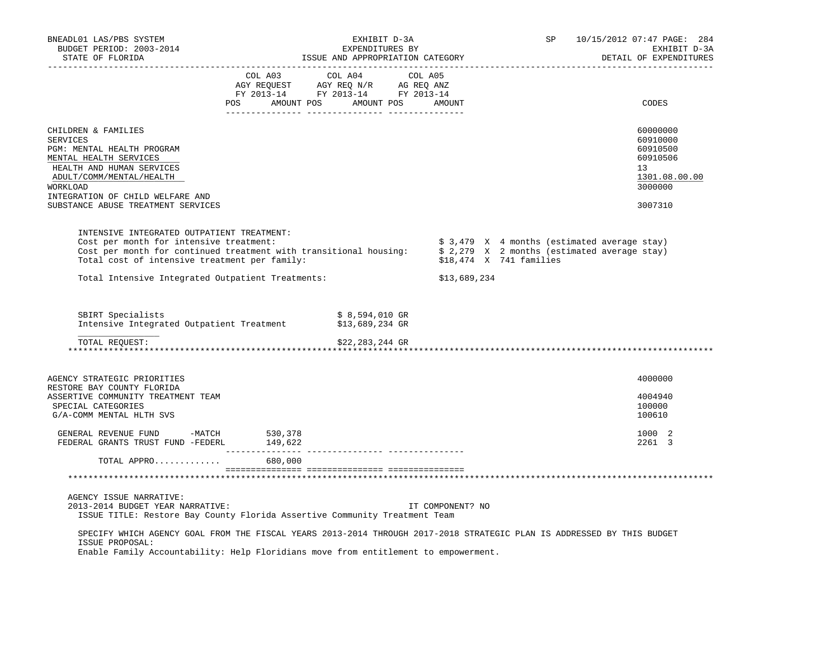| BNEADL01 LAS/PBS SYSTEM<br>BUDGET PERIOD: 2003-2014<br>STATE OF FLORIDA                                                                                                                                                                                             |                                                                                                                                                                                                | EXHIBIT D-3A<br>EXPENDITURES BY                       | EAPENDITURES BI<br>ISSUE AND APPROPRIATION CATEGORY |                         | SP |                                              | 10/15/2012 07:47 PAGE: 284<br>EXHIBIT D-3A<br>DETAIL OF EXPENDITURES                        |
|---------------------------------------------------------------------------------------------------------------------------------------------------------------------------------------------------------------------------------------------------------------------|------------------------------------------------------------------------------------------------------------------------------------------------------------------------------------------------|-------------------------------------------------------|-----------------------------------------------------|-------------------------|----|----------------------------------------------|---------------------------------------------------------------------------------------------|
|                                                                                                                                                                                                                                                                     | $\begin{tabular}{lcccc} COL A03 & COL A04 & COL A05 \\ AGY REQUEST & AGY REQ N/R & AG REQ ANZ \\ FY & 2013-14 & FY & 2013-14 & FY & 2013-14 \end{tabular}$<br>POS AMOUNT POS AMOUNT POS AMOUNT |                                                       |                                                     |                         |    |                                              | CODES                                                                                       |
|                                                                                                                                                                                                                                                                     |                                                                                                                                                                                                |                                                       |                                                     |                         |    |                                              |                                                                                             |
| CHILDREN & FAMILIES<br><b>SERVICES</b><br>PGM: MENTAL HEALTH PROGRAM<br>MENTAL HEALTH SERVICES<br>HEALTH AND HUMAN SERVICES<br>ADULT/COMM/MENTAL/HEALTH<br>WORKLOAD<br>INTEGRATION OF CHILD WELFARE AND                                                             |                                                                                                                                                                                                |                                                       |                                                     |                         |    |                                              | 60000000<br>60910000<br>60910500<br>60910506<br>13 <sup>1</sup><br>1301.08.00.00<br>3000000 |
| SUBSTANCE ABUSE TREATMENT SERVICES                                                                                                                                                                                                                                  |                                                                                                                                                                                                |                                                       |                                                     |                         |    |                                              | 3007310                                                                                     |
| INTENSIVE INTEGRATED OUTPATIENT TREATMENT:<br>Cost per month for intensive treatment:<br>Cost per month for continued treatment with transitional housing: $\frac{1}{2}$ , 279 X 2 months (estimated average stay)<br>Total cost of intensive treatment per family: |                                                                                                                                                                                                |                                                       |                                                     | \$18,474 X 741 families |    | \$ 3,479 X 4 months (estimated average stay) |                                                                                             |
| Total Intensive Integrated Outpatient Treatments:                                                                                                                                                                                                                   |                                                                                                                                                                                                |                                                       | \$13,689,234                                        |                         |    |                                              |                                                                                             |
| SBIRT Specialists<br>Intensive Integrated Outpatient Treatment<br>TOTAL REOUEST:                                                                                                                                                                                    |                                                                                                                                                                                                | \$ 8,594,010 GR<br>\$13,689,234 GR<br>\$22,283,244 GR |                                                     |                         |    |                                              |                                                                                             |
| AGENCY STRATEGIC PRIORITIES                                                                                                                                                                                                                                         |                                                                                                                                                                                                |                                                       |                                                     |                         |    |                                              | 4000000                                                                                     |
| RESTORE BAY COUNTY FLORIDA<br>ASSERTIVE COMMUNITY TREATMENT TEAM<br>SPECIAL CATEGORIES<br>G/A-COMM MENTAL HLTH SVS                                                                                                                                                  |                                                                                                                                                                                                |                                                       |                                                     |                         |    |                                              | 4004940<br>100000<br>100610                                                                 |
| GENERAL REVENUE FUND -MATCH<br>FEDERAL GRANTS TRUST FUND -FEDERL 149,622                                                                                                                                                                                            | 530,378                                                                                                                                                                                        |                                                       |                                                     |                         |    |                                              | 1000 2<br>2261 3                                                                            |
| TOTAL APPRO                                                                                                                                                                                                                                                         | 680,000                                                                                                                                                                                        |                                                       |                                                     |                         |    |                                              |                                                                                             |
|                                                                                                                                                                                                                                                                     |                                                                                                                                                                                                |                                                       |                                                     |                         |    |                                              |                                                                                             |
| AGENCY ISSUE NARRATIVE:<br>2013-2014 BUDGET YEAR NARRATIVE:<br>ISSUE TITLE: Restore Bay County Florida Assertive Community Treatment Team                                                                                                                           |                                                                                                                                                                                                |                                                       | IT COMPONENT? NO                                    |                         |    |                                              |                                                                                             |
| SPECIFY WHICH AGENCY GOAL FROM THE FISCAL YEARS 2013-2014 THROUGH 2017-2018 STRATEGIC PLAN IS ADDRESSED BY THIS BUDGET<br>ISSUE PROPOSAL:<br>Maskle Menilli Resinctibilliti (Mela Mleniddiana meni film chiifflement te engineering                                 |                                                                                                                                                                                                |                                                       |                                                     |                         |    |                                              |                                                                                             |

Enable Family Accountability: Help Floridians move from entitlement to empowerment.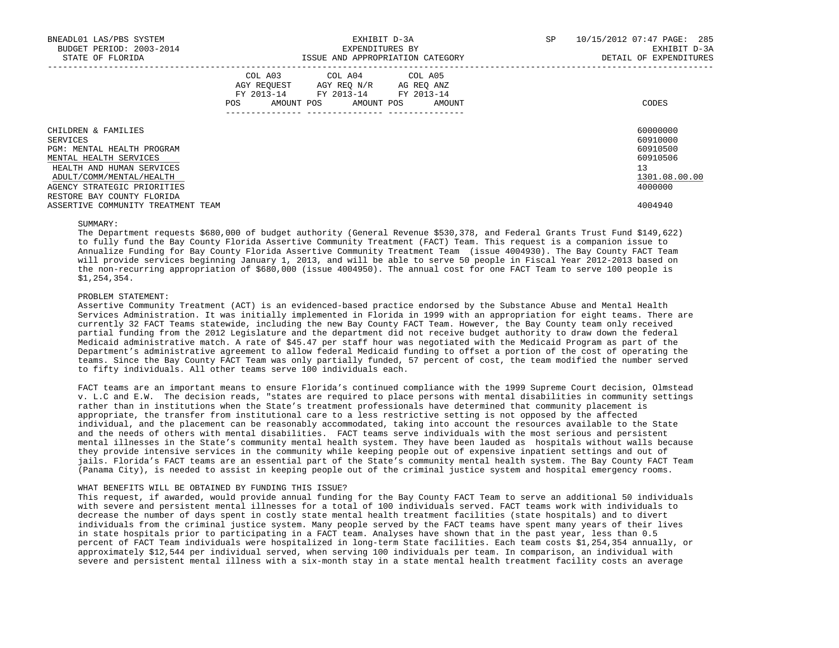| BNEADL01 LAS/PBS SYSTEM<br>BUDGET PERIOD: 2003-2014<br>STATE OF FLORIDA |     |                                                                                                   | EXPENDITURES BY<br>ISSUE AND APPROPRIATION CATEGORY | EXHIBIT D-3A | SP     | 10/15/2012 07:47 PAGE: 285<br>EXHIBIT D-3A<br>DETAIL OF EXPENDITURES |                      |
|-------------------------------------------------------------------------|-----|---------------------------------------------------------------------------------------------------|-----------------------------------------------------|--------------|--------|----------------------------------------------------------------------|----------------------|
|                                                                         | POS | COL A03 COL A04 COL A05<br>AGY REQUEST AGY REO N/R AG REO ANZ<br>FY 2013-14 FY 2013-14 FY 2013-14 | AMOUNT POS AMOUNT POS                               |              | AMOUNT |                                                                      | CODES                |
| CHILDREN & FAMILIES                                                     |     |                                                                                                   |                                                     |              |        |                                                                      | 60000000<br>60910000 |
| SERVICES<br>PGM: MENTAL HEALTH PROGRAM                                  |     |                                                                                                   |                                                     |              |        |                                                                      | 60910500             |
| MENTAL HEALTH SERVICES                                                  |     |                                                                                                   |                                                     |              |        |                                                                      | 60910506             |
| HEALTH AND HUMAN SERVICES                                               |     |                                                                                                   |                                                     |              |        |                                                                      | 13                   |
| ADULT/COMM/MENTAL/HEALTH                                                |     |                                                                                                   |                                                     |              |        |                                                                      | 1301.08.00.00        |
| AGENCY STRATEGIC PRIORITIES<br>RESTORE BAY COUNTY FLORIDA               |     |                                                                                                   |                                                     |              |        |                                                                      | 4000000              |
| ASSERTIVE COMMUNITY TREATMENT TEAM                                      |     |                                                                                                   |                                                     |              |        |                                                                      | 4004940              |

#### SUMMARY:

 The Department requests \$680,000 of budget authority (General Revenue \$530,378, and Federal Grants Trust Fund \$149,622) to fully fund the Bay County Florida Assertive Community Treatment (FACT) Team. This request is a companion issue to Annualize Funding for Bay County Florida Assertive Community Treatment Team (issue 4004930). The Bay County FACT Team will provide services beginning January 1, 2013, and will be able to serve 50 people in Fiscal Year 2012-2013 based on the non-recurring appropriation of \$680,000 (issue 4004950). The annual cost for one FACT Team to serve 100 people is \$1,254,354.

# PROBLEM STATEMENT:

 Assertive Community Treatment (ACT) is an evidenced-based practice endorsed by the Substance Abuse and Mental Health Services Administration. It was initially implemented in Florida in 1999 with an appropriation for eight teams. There are currently 32 FACT Teams statewide, including the new Bay County FACT Team. However, the Bay County team only received partial funding from the 2012 Legislature and the department did not receive budget authority to draw down the federal Medicaid administrative match. A rate of \$45.47 per staff hour was negotiated with the Medicaid Program as part of the Department's administrative agreement to allow federal Medicaid funding to offset a portion of the cost of operating the teams. Since the Bay County FACT Team was only partially funded, 57 percent of cost, the team modified the number served to fifty individuals. All other teams serve 100 individuals each.

 FACT teams are an important means to ensure Florida's continued compliance with the 1999 Supreme Court decision, Olmstead v. L.C and E.W. The decision reads, "states are required to place persons with mental disabilities in community settings rather than in institutions when the State's treatment professionals have determined that community placement is appropriate, the transfer from institutional care to a less restrictive setting is not opposed by the affected individual, and the placement can be reasonably accommodated, taking into account the resources available to the State and the needs of others with mental disabilities. FACT teams serve individuals with the most serious and persistent mental illnesses in the State's community mental health system. They have been lauded as hospitals without walls because they provide intensive services in the community while keeping people out of expensive inpatient settings and out of jails. Florida's FACT teams are an essential part of the State's community mental health system. The Bay County FACT Team (Panama City), is needed to assist in keeping people out of the criminal justice system and hospital emergency rooms.

# WHAT BENEFITS WILL BE OBTAINED BY FUNDING THIS ISSUE?

 This request, if awarded, would provide annual funding for the Bay County FACT Team to serve an additional 50 individuals with severe and persistent mental illnesses for a total of 100 individuals served. FACT teams work with individuals to decrease the number of days spent in costly state mental health treatment facilities (state hospitals) and to divert individuals from the criminal justice system. Many people served by the FACT teams have spent many years of their lives in state hospitals prior to participating in a FACT team. Analyses have shown that in the past year, less than 0.5 percent of FACT Team individuals were hospitalized in long-term State facilities. Each team costs \$1,254,354 annually, or approximately \$12,544 per individual served, when serving 100 individuals per team. In comparison, an individual with severe and persistent mental illness with a six-month stay in a state mental health treatment facility costs an average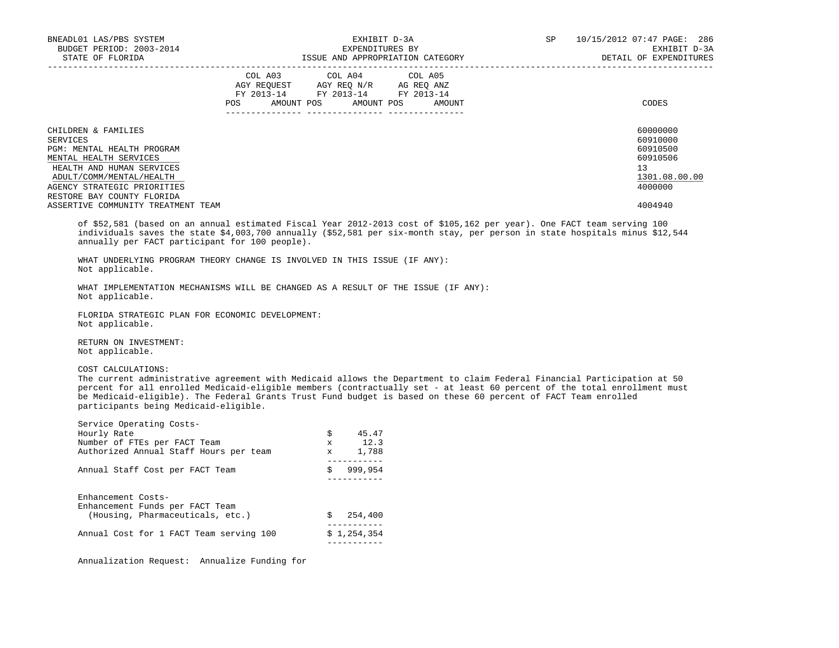| BNEADL01 LAS/PBS SYSTEM<br>BUDGET PERIOD: 2003-2014<br>STATE OF FLORIDA                                                                                                                                                                                                                                 |     | EXHIBIT D-3A<br>EXPENDITURES BY<br>ISSUE AND APPROPRIATION CATEGORY                                                        | SP     | 10/15/2012 07:47 PAGE: 286<br>EXHIBIT D-3A<br>DETAIL OF EXPENDITURES |                                                                                           |
|---------------------------------------------------------------------------------------------------------------------------------------------------------------------------------------------------------------------------------------------------------------------------------------------------------|-----|----------------------------------------------------------------------------------------------------------------------------|--------|----------------------------------------------------------------------|-------------------------------------------------------------------------------------------|
|                                                                                                                                                                                                                                                                                                         | POS | COL A03 COL A04 COL A05<br>AGY REQUEST AGY REO N/R AG REO ANZ<br>FY 2013-14 FY 2013-14 FY 2013-14<br>AMOUNT POS AMOUNT POS | AMOUNT |                                                                      | CODES                                                                                     |
| CHILDREN & FAMILIES<br>SERVICES<br>PGM: MENTAL HEALTH PROGRAM<br>MENTAL HEALTH SERVICES<br>HEALTH AND HUMAN SERVICES<br>ADULT/COMM/MENTAL/HEALTH<br>AGENCY STRATEGIC PRIORITIES<br>RESTORE BAY COUNTY FLORIDA<br>ASSERTIVE COMMUNITY TREATMENT TEAM                                                     |     |                                                                                                                            |        |                                                                      | 60000000<br>60910000<br>60910500<br>60910506<br>13<br>1301.08.00.00<br>4000000<br>4004940 |
| of \$52,581 (based on an annual estimated Fiscal Year 2012-2013 cost of \$105,162 per year). One FACT team serving 100<br>individuals saves the state \$4,003,700 annually (\$52,581 per six-month stay, per person in state hospitals minus \$12,544<br>annually per FACT participant for 100 people). |     |                                                                                                                            |        |                                                                      |                                                                                           |

 WHAT UNDERLYING PROGRAM THEORY CHANGE IS INVOLVED IN THIS ISSUE (IF ANY): Not applicable.

 WHAT IMPLEMENTATION MECHANISMS WILL BE CHANGED AS A RESULT OF THE ISSUE (IF ANY): Not applicable.

 FLORIDA STRATEGIC PLAN FOR ECONOMIC DEVELOPMENT: Not applicable.

 RETURN ON INVESTMENT: Not applicable.

COST CALCULATIONS:

 The current administrative agreement with Medicaid allows the Department to claim Federal Financial Participation at 50 percent for all enrolled Medicaid-eligible members (contractually set - at least 60 percent of the total enrollment must be Medicaid-eligible). The Federal Grants Trust Fund budget is based on these 60 percent of FACT Team enrolled participants being Medicaid-eligible.

| Service Operating Costs-                |              |             |
|-----------------------------------------|--------------|-------------|
| Hourly Rate                             | \$           | 45.47       |
| Number of FTEs per FACT Team            | $\mathbf{x}$ | 12.3        |
| Authorized Annual Staff Hours per team  | $\mathbf{x}$ | 1,788       |
|                                         |              |             |
| Annual Staff Cost per FACT Team         | \$           | 999,954     |
|                                         |              |             |
|                                         |              |             |
| Enhancement Costs-                      |              |             |
| Enhancement Funds per FACT Team         |              |             |
| (Housing, Pharmaceuticals, etc.)        | Ŝ            | 254,400     |
|                                         |              |             |
| Annual Cost for 1 FACT Team serving 100 |              | \$1,254,354 |
|                                         |              |             |

Annualization Request: Annualize Funding for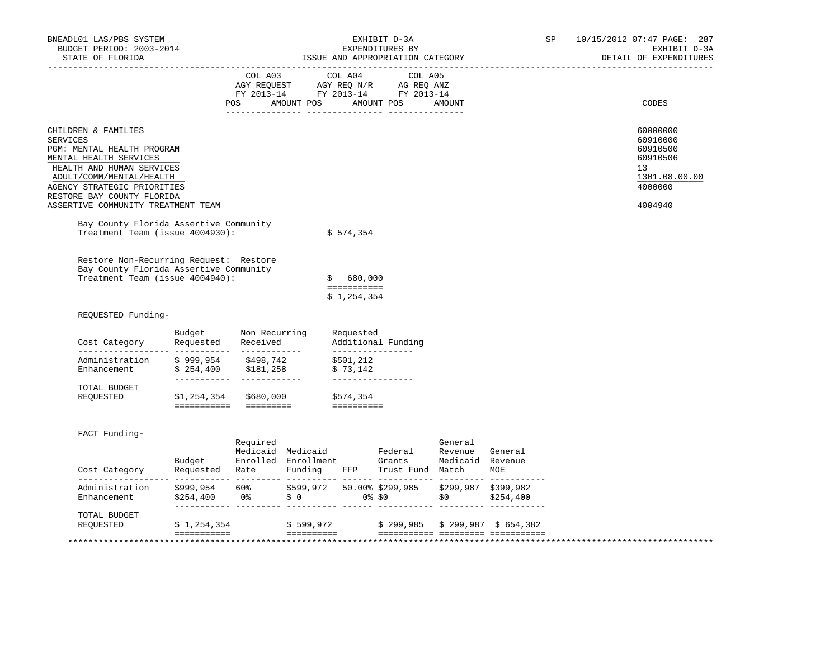| BNEADL01 LAS/PBS SYSTEM<br>BUDGET PERIOD: 2003-2014<br>STATE OF FLORIDA                                                                                                                                                                                                                              |                              | EXHIBIT D-3A<br>EXPENDITURES BY<br>ISSUE AND APPROPRIATION CATEGORY |  |                                                      |                                                                                                                                                                                                                                                                                                                                                    |         | SP | 10/15/2012 07:47 PAGE: 287<br>EXHIBIT D-3A<br>DETAIL OF EXPENDITURES                      |
|------------------------------------------------------------------------------------------------------------------------------------------------------------------------------------------------------------------------------------------------------------------------------------------------------|------------------------------|---------------------------------------------------------------------|--|------------------------------------------------------|----------------------------------------------------------------------------------------------------------------------------------------------------------------------------------------------------------------------------------------------------------------------------------------------------------------------------------------------------|---------|----|-------------------------------------------------------------------------------------------|
|                                                                                                                                                                                                                                                                                                      |                              | COL A03                                                             |  | COL A04                                              | COL A05<br>$\begin{array}{ccccccccc}\n\text{AGY REQUEST} & & \text{GUT} & \text{AGY REQ} & \text{N/R} & & \text{GCEQ} & \text{ANZ} \\ \text{AGY REQUEST} & & \text{AGY REQ} & & \text{N/R} & & \text{AG REQ} & \text{ANZ} \\ \text{FY} & 2013-14 & & \text{FY} & 2013-14 & & \text{FY} & 2013-14\n\end{array}$<br>POS AMOUNT POS AMOUNT POS AMOUNT |         |    | CODES                                                                                     |
| CHILDREN & FAMILIES<br><b>SERVICES</b><br>PGM: MENTAL HEALTH PROGRAM<br>MENTAL HEALTH SERVICES<br>HEALTH AND HUMAN SERVICES<br>ADULT/COMM/MENTAL/HEALTH<br>AGENCY STRATEGIC PRIORITIES<br>RESTORE BAY COUNTY FLORIDA<br>ASSERTIVE COMMUNITY TREATMENT TEAM<br>Bay County Florida Assertive Community |                              |                                                                     |  |                                                      |                                                                                                                                                                                                                                                                                                                                                    |         |    | 60000000<br>60910000<br>60910500<br>60910506<br>13<br>1301.08.00.00<br>4000000<br>4004940 |
| Treatment Team (issue 4004930):<br>Restore Non-Recurring Request: Restore<br>Bay County Florida Assertive Community<br>Treatment Team (issue 4004940):                                                                                                                                               |                              |                                                                     |  | \$574,354<br>\$680,000<br>===========<br>\$1,254,354 |                                                                                                                                                                                                                                                                                                                                                    |         |    |                                                                                           |
| REQUESTED Funding-                                                                                                                                                                                                                                                                                   |                              |                                                                     |  |                                                      |                                                                                                                                                                                                                                                                                                                                                    |         |    |                                                                                           |
| Cost Category                                                                                                                                                                                                                                                                                        | Budget<br>Requested Received | Non Recurring                                                       |  | Requested<br>_________________                       | Additional Funding                                                                                                                                                                                                                                                                                                                                 |         |    |                                                                                           |
| Administration \$999,954 \$498,742 \$501,212<br>Enhancement \$254,400 \$181,258                                                                                                                                                                                                                      |                              |                                                                     |  | \$73,142<br>______________                           |                                                                                                                                                                                                                                                                                                                                                    |         |    |                                                                                           |
| TOTAL BUDGET<br>REQUESTED                                                                                                                                                                                                                                                                            | $$1,254,354$ $$680,000$      |                                                                     |  | \$574,354<br>==========                              |                                                                                                                                                                                                                                                                                                                                                    |         |    |                                                                                           |
| FACT Funding-<br>Cost Category                                                                                                                                                                                                                                                                       |                              | Required                                                            |  |                                                      | Exercise Medicald Medicald Federal Revenue General<br>Budget Enrolled Enrollment Grants Medicald Revenue<br>Requested Rate Funding FFP Trust-Fund Match MOE                                                                                                                                                                                        | General |    |                                                                                           |
| Administration \$999,954 60% \$599,972 50.00%\$299,985 \$299,987 \$399,982<br>Enhancement \$254,400 0% \$0 0%\$0 \$0 \$254,400                                                                                                                                                                       |                              |                                                                     |  |                                                      |                                                                                                                                                                                                                                                                                                                                                    |         |    |                                                                                           |
|                                                                                                                                                                                                                                                                                                      |                              |                                                                     |  |                                                      |                                                                                                                                                                                                                                                                                                                                                    |         |    |                                                                                           |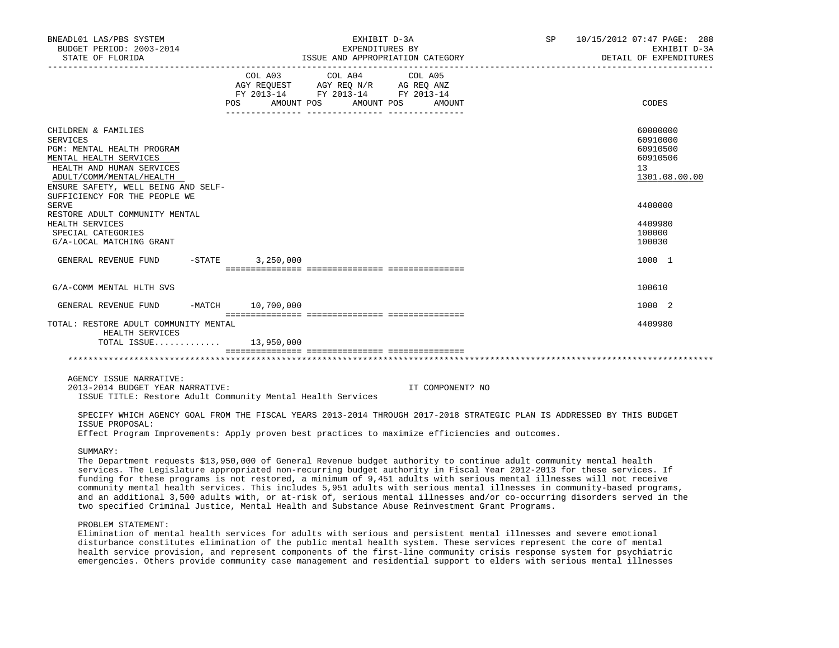| BNEADL01 LAS/PBS SYSTEM<br>BUDGET PERIOD: 2003-2014<br>STATE OF FLORIDA                                                                                                                                                         | EXHIBIT D-3A<br>EXPENDITURES BY<br>ISSUE AND APPROPRIATION CATEGORY |                                                                                                                                                                                                                                                             |  |  |  |    | SP 10/15/2012 07:47 PAGE: 288<br>EXHIBIT D-3A<br>DETAIL OF EXPENDITURES |
|---------------------------------------------------------------------------------------------------------------------------------------------------------------------------------------------------------------------------------|---------------------------------------------------------------------|-------------------------------------------------------------------------------------------------------------------------------------------------------------------------------------------------------------------------------------------------------------|--|--|--|----|-------------------------------------------------------------------------|
|                                                                                                                                                                                                                                 |                                                                     | COL A03 COL A04 COL A05<br>$\begin{tabular}{lllllll} AGY & \texttt{REQUEST} & \texttt{AGY} & \texttt{REG} & \texttt{N/R} & \texttt{AG} & \texttt{REG} & \texttt{ANZ} \end{tabular}$<br>FY 2013-14 FY 2013-14 FY 2013-14<br>POS AMOUNT POS AMOUNT POS AMOUNT |  |  |  |    | CODES                                                                   |
| CHILDREN & FAMILIES<br><b>SERVICES</b><br>PGM: MENTAL HEALTH PROGRAM<br>MENTAL HEALTH SERVICES<br>HEALTH AND HUMAN SERVICES<br>ADULT/COMM/MENTAL/HEALTH<br>ENSURE SAFETY, WELL BEING AND SELF-<br>SUFFICIENCY FOR THE PEOPLE WE |                                                                     |                                                                                                                                                                                                                                                             |  |  |  | 13 | 60000000<br>60910000<br>60910500<br>60910506<br>1301.08.00.00           |
| <b>SERVE</b>                                                                                                                                                                                                                    |                                                                     |                                                                                                                                                                                                                                                             |  |  |  |    | 4400000                                                                 |
| RESTORE ADULT COMMUNITY MENTAL<br>HEALTH SERVICES<br>SPECIAL CATEGORIES<br>G/A-LOCAL MATCHING GRANT                                                                                                                             |                                                                     |                                                                                                                                                                                                                                                             |  |  |  |    | 4409980<br>100000<br>100030                                             |
| GENERAL REVENUE FUND                                                                                                                                                                                                            | $-$ STATE 3, 250, 000                                               |                                                                                                                                                                                                                                                             |  |  |  |    | 1000 1                                                                  |
| G/A-COMM MENTAL HLTH SVS                                                                                                                                                                                                        |                                                                     |                                                                                                                                                                                                                                                             |  |  |  |    | 100610                                                                  |
| GENERAL REVENUE FUND                                                                                                                                                                                                            | -MATCH 10,700,000                                                   |                                                                                                                                                                                                                                                             |  |  |  |    | 1000 2                                                                  |
| TOTAL: RESTORE ADULT COMMUNITY MENTAL<br>HEALTH SERVICES                                                                                                                                                                        |                                                                     |                                                                                                                                                                                                                                                             |  |  |  |    | 4409980                                                                 |
| $TOTAL$ $ISSUE$ 13,950,000                                                                                                                                                                                                      |                                                                     |                                                                                                                                                                                                                                                             |  |  |  |    |                                                                         |
|                                                                                                                                                                                                                                 |                                                                     |                                                                                                                                                                                                                                                             |  |  |  |    |                                                                         |
|                                                                                                                                                                                                                                 |                                                                     |                                                                                                                                                                                                                                                             |  |  |  |    |                                                                         |

AGENCY ISSUE NARRATIVE:

 2013-2014 BUDGET YEAR NARRATIVE: IT COMPONENT? NO ISSUE TITLE: Restore Adult Community Mental Health Services

 SPECIFY WHICH AGENCY GOAL FROM THE FISCAL YEARS 2013-2014 THROUGH 2017-2018 STRATEGIC PLAN IS ADDRESSED BY THIS BUDGET ISSUE PROPOSAL:

Effect Program Improvements: Apply proven best practices to maximize efficiencies and outcomes.

SUMMARY:

 The Department requests \$13,950,000 of General Revenue budget authority to continue adult community mental health services. The Legislature appropriated non-recurring budget authority in Fiscal Year 2012-2013 for these services. If funding for these programs is not restored, a minimum of 9,451 adults with serious mental illnesses will not receive community mental health services. This includes 5,951 adults with serious mental illnesses in community-based programs, and an additional 3,500 adults with, or at-risk of, serious mental illnesses and/or co-occurring disorders served in the two specified Criminal Justice, Mental Health and Substance Abuse Reinvestment Grant Programs.

## PROBLEM STATEMENT:

 Elimination of mental health services for adults with serious and persistent mental illnesses and severe emotional disturbance constitutes elimination of the public mental health system. These services represent the core of mental health service provision, and represent components of the first-line community crisis response system for psychiatric emergencies. Others provide community case management and residential support to elders with serious mental illnesses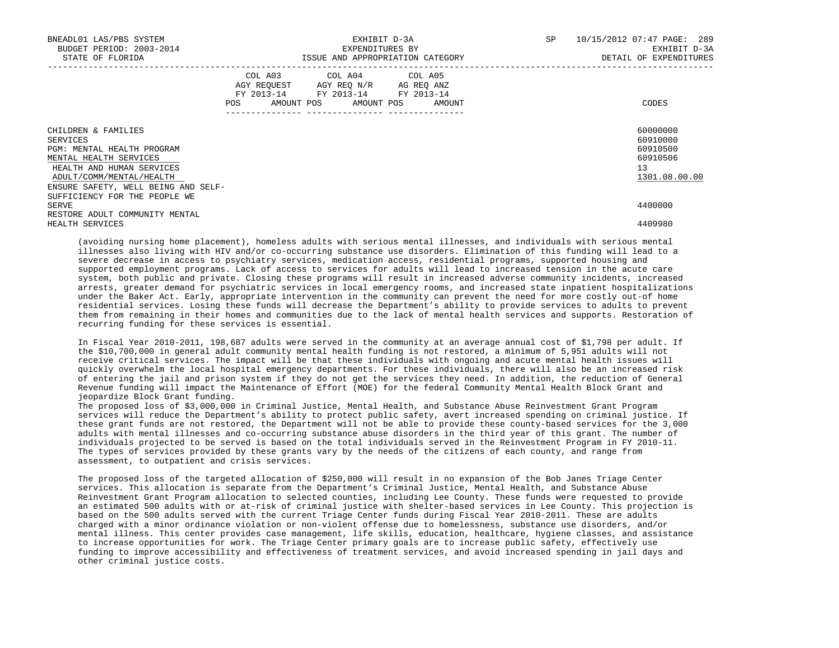| BNEADL01 LAS/PBS SYSTEM<br>BUDGET PERIOD: 2003-2014<br>STATE OF FLORIDA                                                                          |                                                                                                                                       | EXHIBIT D-3A<br>EXPENDITURES BY<br>ISSUE AND APPROPRIATION CATEGORY | SP <sub>2</sub> | 10/15/2012 07:47 PAGE: 289<br>EXHIBIT D-3A<br>DETAIL OF EXPENDITURES |
|--------------------------------------------------------------------------------------------------------------------------------------------------|---------------------------------------------------------------------------------------------------------------------------------------|---------------------------------------------------------------------|-----------------|----------------------------------------------------------------------|
|                                                                                                                                                  | COL A03 COL A04 COL A05<br>AGY REQUEST AGY REO N/R AG REO ANZ<br>FY 2013-14 FY 2013-14 FY 2013-14<br>POS AMOUNT POS AMOUNT POS AMOUNT |                                                                     |                 | CODES                                                                |
| CHILDREN & FAMILIES<br>SERVICES<br>PGM: MENTAL HEALTH PROGRAM<br>MENTAL HEALTH SERVICES<br>HEALTH AND HUMAN SERVICES<br>ADULT/COMM/MENTAL/HEALTH |                                                                                                                                       |                                                                     |                 | 60000000<br>60910000<br>60910500<br>60910506<br>13<br>1301.08.00.00  |
| ENSURE SAFETY, WELL BEING AND SELF-<br>SUFFICIENCY FOR THE PEOPLE WE<br>SERVE<br>RESTORE ADULT COMMUNITY MENTAL<br>HEALTH SERVICES               |                                                                                                                                       |                                                                     |                 | 4400000<br>4409980                                                   |

 (avoiding nursing home placement), homeless adults with serious mental illnesses, and individuals with serious mental illnesses also living with HIV and/or co-occurring substance use disorders. Elimination of this funding will lead to a severe decrease in access to psychiatry services, medication access, residential programs, supported housing and supported employment programs. Lack of access to services for adults will lead to increased tension in the acute care system, both public and private. Closing these programs will result in increased adverse community incidents, increased arrests, greater demand for psychiatric services in local emergency rooms, and increased state inpatient hospitalizations under the Baker Act. Early, appropriate intervention in the community can prevent the need for more costly out-of home residential services. Losing these funds will decrease the Department's ability to provide services to adults to prevent them from remaining in their homes and communities due to the lack of mental health services and supports. Restoration of recurring funding for these services is essential.

 In Fiscal Year 2010-2011, 198,687 adults were served in the community at an average annual cost of \$1,798 per adult. If the \$10,700,000 in general adult community mental health funding is not restored, a minimum of 5,951 adults will not receive critical services. The impact will be that these individuals with ongoing and acute mental health issues will quickly overwhelm the local hospital emergency departments. For these individuals, there will also be an increased risk of entering the jail and prison system if they do not get the services they need. In addition, the reduction of General Revenue funding will impact the Maintenance of Effort (MOE) for the federal Community Mental Health Block Grant and jeopardize Block Grant funding.

 The proposed loss of \$3,000,000 in Criminal Justice, Mental Health, and Substance Abuse Reinvestment Grant Program services will reduce the Department's ability to protect public safety, avert increased spending on criminal justice. If these grant funds are not restored, the Department will not be able to provide these county-based services for the 3,000 adults with mental illnesses and co-occurring substance abuse disorders in the third year of this grant. The number of individuals projected to be served is based on the total individuals served in the Reinvestment Program in FY 2010-11. The types of services provided by these grants vary by the needs of the citizens of each county, and range from assessment, to outpatient and crisis services.

 The proposed loss of the targeted allocation of \$250,000 will result in no expansion of the Bob Janes Triage Center services. This allocation is separate from the Department's Criminal Justice, Mental Health, and Substance Abuse Reinvestment Grant Program allocation to selected counties, including Lee County. These funds were requested to provide an estimated 500 adults with or at-risk of criminal justice with shelter-based services in Lee County. This projection is based on the 500 adults served with the current Triage Center funds during Fiscal Year 2010-2011. These are adults charged with a minor ordinance violation or non-violent offense due to homelessness, substance use disorders, and/or mental illness. This center provides case management, life skills, education, healthcare, hygiene classes, and assistance to increase opportunities for work. The Triage Center primary goals are to increase public safety, effectively use funding to improve accessibility and effectiveness of treatment services, and avoid increased spending in jail days and other criminal justice costs.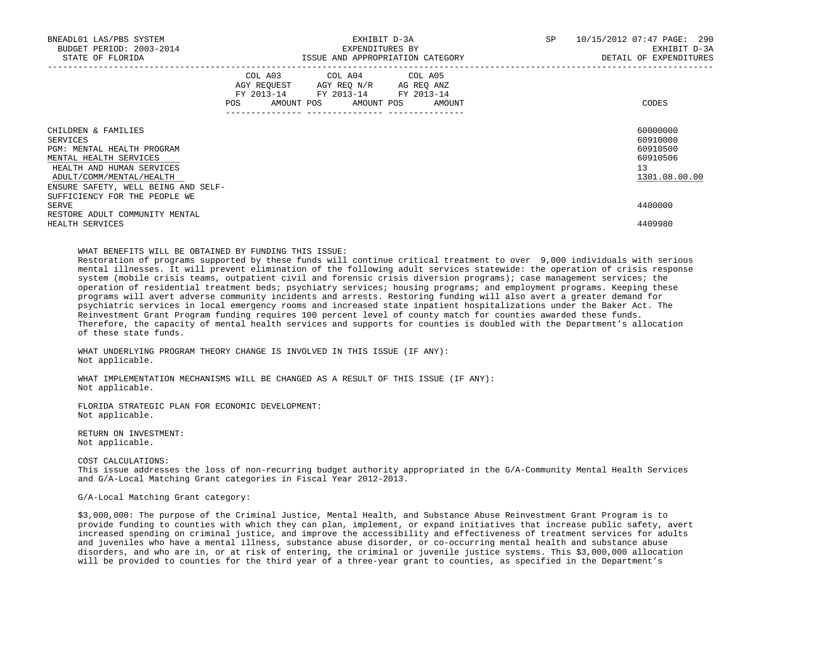| BNEADL01 LAS/PBS SYSTEM<br>BUDGET PERIOD: 2003-2014<br>STATE OF FLORIDA                                                                                                                 | EXHIBIT D-3A<br>EXPENDITURES BY<br>ISSUE AND APPROPRIATION CATEGORY                                                                                                                                                                                    | 10/15/2012 07:47 PAGE: 290<br>SP<br>EXHIBIT D-3A<br>DETAIL OF EXPENDITURES |
|-----------------------------------------------------------------------------------------------------------------------------------------------------------------------------------------|--------------------------------------------------------------------------------------------------------------------------------------------------------------------------------------------------------------------------------------------------------|----------------------------------------------------------------------------|
|                                                                                                                                                                                         | COL A03 COL A04 COL A05<br>AGY REQUEST AGY REQ N/R AG REQ ANZ<br>FY 2013-14 FY 2013-14 FY 2013-14<br>POS FOR THE POST OF THE STATE STATE STATE STATE STATE STATE STATE STATE STATE STATE STATE STATE STATE STATE ST<br>AMOUNT POS AMOUNT POS<br>AMOUNT | CODES                                                                      |
| CHILDREN & FAMILIES<br>SERVICES<br>PGM: MENTAL HEALTH PROGRAM<br>MENTAL HEALTH SERVICES<br>HEALTH AND HUMAN SERVICES<br>ADULT/COMM/MENTAL/HEALTH<br>ENSURE SAFETY, WELL BEING AND SELF- |                                                                                                                                                                                                                                                        | 60000000<br>60910000<br>60910500<br>60910506<br>13<br>1301.08.00.00        |
| SUFFICIENCY FOR THE PEOPLE WE<br>SERVE<br>RESTORE ADULT COMMUNITY MENTAL<br>HEALTH SERVICES                                                                                             |                                                                                                                                                                                                                                                        | 4400000<br>4409980                                                         |

WHAT BENEFITS WILL BE OBTAINED BY FUNDING THIS ISSUE:

 Restoration of programs supported by these funds will continue critical treatment to over 9,000 individuals with serious mental illnesses. It will prevent elimination of the following adult services statewide: the operation of crisis response system (mobile crisis teams, outpatient civil and forensic crisis diversion programs); case management services; the operation of residential treatment beds; psychiatry services; housing programs; and employment programs. Keeping these programs will avert adverse community incidents and arrests. Restoring funding will also avert a greater demand for psychiatric services in local emergency rooms and increased state inpatient hospitalizations under the Baker Act. The Reinvestment Grant Program funding requires 100 percent level of county match for counties awarded these funds. Therefore, the capacity of mental health services and supports for counties is doubled with the Department's allocation of these state funds.

WHAT UNDERLYING PROGRAM THEORY CHANGE IS INVOLVED IN THIS ISSUE (IF ANY): Not applicable.

 WHAT IMPLEMENTATION MECHANISMS WILL BE CHANGED AS A RESULT OF THIS ISSUE (IF ANY): Not applicable.

 FLORIDA STRATEGIC PLAN FOR ECONOMIC DEVELOPMENT: Not applicable.

 RETURN ON INVESTMENT: Not applicable.

COST CALCULATIONS:

 This issue addresses the loss of non-recurring budget authority appropriated in the G/A-Community Mental Health Services and G/A-Local Matching Grant categories in Fiscal Year 2012-2013.

G/A-Local Matching Grant category:

 \$3,000,000: The purpose of the Criminal Justice, Mental Health, and Substance Abuse Reinvestment Grant Program is to provide funding to counties with which they can plan, implement, or expand initiatives that increase public safety, avert increased spending on criminal justice, and improve the accessibility and effectiveness of treatment services for adults and juveniles who have a mental illness, substance abuse disorder, or co-occurring mental health and substance abuse disorders, and who are in, or at risk of entering, the criminal or juvenile justice systems. This \$3,000,000 allocation will be provided to counties for the third year of a three-year grant to counties, as specified in the Department's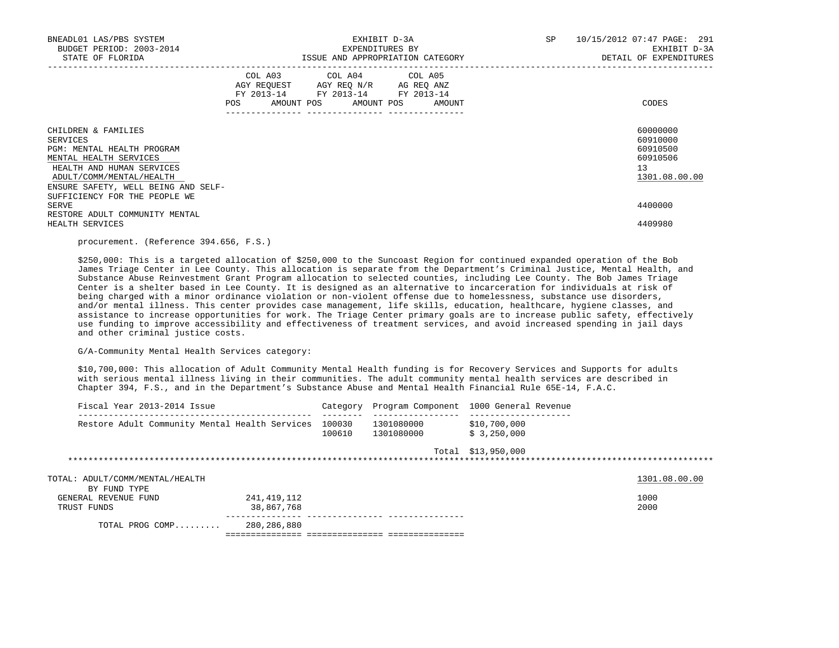| BNEADL01 LAS/PBS SYSTEM<br>BUDGET PERIOD: 2003-2014<br>STATE OF FLORIDA                                                                                                                                                  | EXHIBIT D-3A<br>EXPENDITURES BY<br>ISSUE AND APPROPRIATION CATEGORY                                                                                                           | SP | 10/15/2012 07:47 PAGE: 291<br>EXHIBIT D-3A<br>DETAIL OF EXPENDITURES |
|--------------------------------------------------------------------------------------------------------------------------------------------------------------------------------------------------------------------------|-------------------------------------------------------------------------------------------------------------------------------------------------------------------------------|----|----------------------------------------------------------------------|
|                                                                                                                                                                                                                          | COL A03 COL A04 COL A05<br>AGY REQUEST AGY REO N/R AG REO ANZ<br>FY 2013-14 FY 2013-14 FY 2013-14<br>POS AMOUNT POS AMOUNT POS AMOUNT<br>____________________________________ |    | CODES                                                                |
| CHILDREN & FAMILIES<br>SERVICES<br>PGM: MENTAL HEALTH PROGRAM<br>MENTAL HEALTH SERVICES<br>HEALTH AND HUMAN SERVICES<br>ADULT/COMM/MENTAL/HEALTH<br>ENSURE SAFETY, WELL BEING AND SELF-<br>SUFFICIENCY FOR THE PEOPLE WE |                                                                                                                                                                               |    | 60000000<br>60910000<br>60910500<br>60910506<br>13<br>1301.08.00.00  |
| SERVE<br>RESTORE ADULT COMMUNITY MENTAL<br>HEALTH SERVICES                                                                                                                                                               |                                                                                                                                                                               |    | 4400000<br>4409980                                                   |

# procurement. (Reference 394.656, F.S.)

 \$250,000: This is a targeted allocation of \$250,000 to the Suncoast Region for continued expanded operation of the Bob James Triage Center in Lee County. This allocation is separate from the Department's Criminal Justice, Mental Health, and Substance Abuse Reinvestment Grant Program allocation to selected counties, including Lee County. The Bob James Triage Center is a shelter based in Lee County. It is designed as an alternative to incarceration for individuals at risk of being charged with a minor ordinance violation or non-violent offense due to homelessness, substance use disorders, and/or mental illness. This center provides case management, life skills, education, healthcare, hygiene classes, and assistance to increase opportunities for work. The Triage Center primary goals are to increase public safety, effectively use funding to improve accessibility and effectiveness of treatment services, and avoid increased spending in jail days and other criminal justice costs.

G/A-Community Mental Health Services category:

 \$10,700,000: This allocation of Adult Community Mental Health funding is for Recovery Services and Supports for adults with serious mental illness living in their communities. The adult community mental health services are described in Chapter 394, F.S., and in the Department's Substance Abuse and Mental Health Financial Rule 65E-14, F.A.C.

|             | Fiscal Year 2013-2014 Issue                     |                           | Category         | Program Component 1000 General Revenue |                             |               |
|-------------|-------------------------------------------------|---------------------------|------------------|----------------------------------------|-----------------------------|---------------|
|             | Restore Adult Community Mental Health Services  |                           | 100030<br>100610 | 1301080000<br>1301080000               | \$10,700,000<br>\$3,250,000 |               |
|             |                                                 |                           |                  |                                        | Total \$13,950,000          |               |
|             | TOTAL: ADULT/COMM/MENTAL/HEALTH<br>BY FUND TYPE |                           |                  |                                        |                             | 1301.08.00.00 |
| TRUST FUNDS | GENERAL REVENUE FUND                            | 241,419,112<br>38,867,768 |                  |                                        |                             | 1000<br>2000  |
|             | TOTAL PROG COMP                                 | 280,286,880               |                  |                                        |                             |               |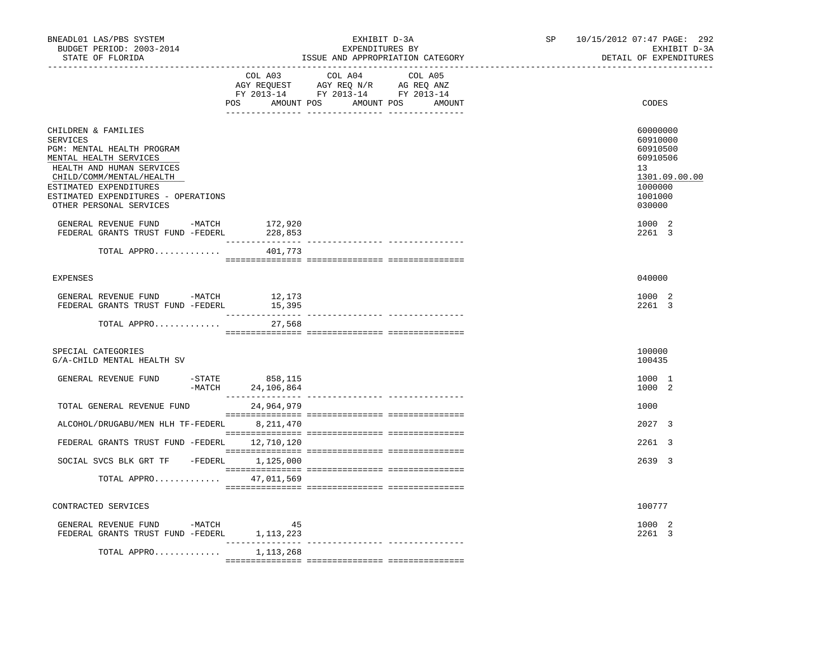| BNEADL01 LAS/PBS SYSTEM<br>BUDGET PERIOD: 2003-2014<br>STATE OF FLORIDA                                                                                                                                                                             |                                        | EXHIBIT D-3A<br>EXPENDITURES BY<br>ISSUE AND APPROPRIATION CATEGORY                                                                                                                                                                                                             | SP | 10/15/2012 07:47 PAGE: 292<br>EXHIBIT D-3A<br>DETAIL OF EXPENDITURES                                |
|-----------------------------------------------------------------------------------------------------------------------------------------------------------------------------------------------------------------------------------------------------|----------------------------------------|---------------------------------------------------------------------------------------------------------------------------------------------------------------------------------------------------------------------------------------------------------------------------------|----|-----------------------------------------------------------------------------------------------------|
|                                                                                                                                                                                                                                                     | COL A03                                | COL A04<br>COL A05<br>$\begin{tabular}{lllllllllll} \bf{AGY} & \bf{REQUEST} & \bf{AGY} & \bf{REQ} & \bf{IN/R} & \bf{AG} & \bf{REQ} & \bf{ANZ} \\ \bf{FY} & \bf{2013-14} & \bf{FY} & \bf{2013-14} & \bf{FY} & \bf{2013-14} \\ \end{tabular}$<br>POS AMOUNT POS AMOUNT POS AMOUNT |    | CODES                                                                                               |
| CHILDREN & FAMILIES<br><b>SERVICES</b><br>PGM: MENTAL HEALTH PROGRAM<br>MENTAL HEALTH SERVICES<br>HEALTH AND HUMAN SERVICES<br>CHILD/COMM/MENTAL/HEALTH<br>ESTIMATED EXPENDITURES<br>ESTIMATED EXPENDITURES - OPERATIONS<br>OTHER PERSONAL SERVICES |                                        |                                                                                                                                                                                                                                                                                 |    | 60000000<br>60910000<br>60910500<br>60910506<br>13<br>1301.09.00.00<br>1000000<br>1001000<br>030000 |
| GENERAL REVENUE FUND -MATCH 172,920<br>FEDERAL GRANTS TRUST FUND -FEDERL<br>TOTAL APPRO                                                                                                                                                             | 228,853<br>401,773                     |                                                                                                                                                                                                                                                                                 |    | 1000 2<br>2261 3                                                                                    |
| <b>EXPENSES</b>                                                                                                                                                                                                                                     |                                        |                                                                                                                                                                                                                                                                                 |    | 040000                                                                                              |
| GENERAL REVENUE FUND -MATCH<br>FEDERAL GRANTS TRUST FUND -FEDERL                                                                                                                                                                                    | 12,173<br>15,395                       |                                                                                                                                                                                                                                                                                 |    | 1000 2<br>2261 3                                                                                    |
| TOTAL APPRO                                                                                                                                                                                                                                         | 27,568                                 |                                                                                                                                                                                                                                                                                 |    |                                                                                                     |
| SPECIAL CATEGORIES<br>G/A-CHILD MENTAL HEALTH SV                                                                                                                                                                                                    |                                        |                                                                                                                                                                                                                                                                                 |    | 100000<br>100435                                                                                    |
| GENERAL REVENUE FUND                                                                                                                                                                                                                                | -STATE 858,115<br>-MATCH 24,106,864    |                                                                                                                                                                                                                                                                                 |    | 1000 1<br>1000 2                                                                                    |
| TOTAL GENERAL REVENUE FUND                                                                                                                                                                                                                          | 24,964,979                             |                                                                                                                                                                                                                                                                                 |    | 1000                                                                                                |
| ALCOHOL/DRUGABU/MEN HLH TF-FEDERL 8, 211, 470                                                                                                                                                                                                       |                                        |                                                                                                                                                                                                                                                                                 |    | 2027 3                                                                                              |
| FEDERAL GRANTS TRUST FUND -FEDERL 12,710,120                                                                                                                                                                                                        |                                        |                                                                                                                                                                                                                                                                                 |    | 2261 3                                                                                              |
| SOCIAL SVCS BLK GRT TF -FEDERL 1,125,000                                                                                                                                                                                                            |                                        |                                                                                                                                                                                                                                                                                 |    | 2639 3                                                                                              |
| TOTAL APPRO 47,011,569                                                                                                                                                                                                                              |                                        |                                                                                                                                                                                                                                                                                 |    |                                                                                                     |
| CONTRACTED SERVICES                                                                                                                                                                                                                                 |                                        |                                                                                                                                                                                                                                                                                 |    | 100777                                                                                              |
| GENERAL REVENUE FUND -MATCH<br>FEDERAL GRANTS TRUST FUND -FEDERL                                                                                                                                                                                    | 45<br>1,113,223<br>$- - - - - - - - -$ |                                                                                                                                                                                                                                                                                 |    | 1000 2<br>2261 3                                                                                    |
| TOTAL APPRO                                                                                                                                                                                                                                         | 1,113,268                              |                                                                                                                                                                                                                                                                                 |    |                                                                                                     |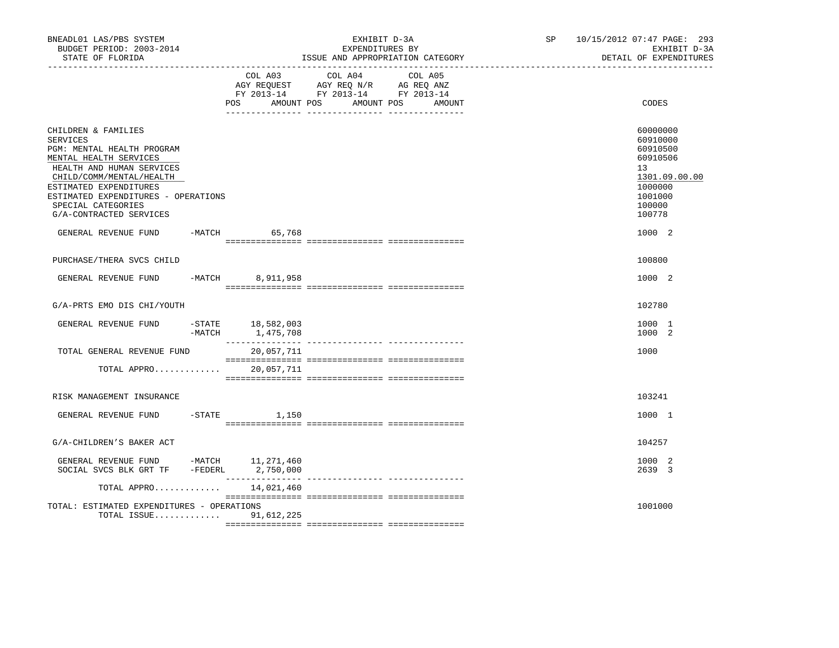| BNEADL01 LAS/PBS SYSTEM<br>BUDGET PERIOD: 2003-2014<br>STATE OF FLORIDA                                                                                                                                                                                                   |        |                                     | EXHIBIT D-3A<br>EXPENDITURES BY                                                   | ISSUE AND APPROPRIATION CATEGORY | SP and the set of the set of the set of the set of the set of the set of the set of the set of the set of the set of the set of the set of the set of the set of the set of the set of the set of the set of the set of the se | 10/15/2012 07:47 PAGE: 293<br>EXHIBIT D-3A<br>DETAIL OF EXPENDITURES                                          |
|---------------------------------------------------------------------------------------------------------------------------------------------------------------------------------------------------------------------------------------------------------------------------|--------|-------------------------------------|-----------------------------------------------------------------------------------|----------------------------------|--------------------------------------------------------------------------------------------------------------------------------------------------------------------------------------------------------------------------------|---------------------------------------------------------------------------------------------------------------|
|                                                                                                                                                                                                                                                                           |        | COL A03<br><b>POS</b><br>AMOUNT POS | COL A04<br>AGY REQUEST AGY REQ N/R AG REQ ANZ<br>FY 2013-14 FY 2013-14 FY 2013-14 | COL A05<br>AMOUNT POS<br>AMOUNT  |                                                                                                                                                                                                                                | CODES                                                                                                         |
| CHILDREN & FAMILIES<br><b>SERVICES</b><br>PGM: MENTAL HEALTH PROGRAM<br>MENTAL HEALTH SERVICES<br>HEALTH AND HUMAN SERVICES<br>CHILD/COMM/MENTAL/HEALTH<br>ESTIMATED EXPENDITURES<br>ESTIMATED EXPENDITURES - OPERATIONS<br>SPECIAL CATEGORIES<br>G/A-CONTRACTED SERVICES |        |                                     |                                                                                   |                                  |                                                                                                                                                                                                                                | 60000000<br>60910000<br>60910500<br>60910506<br>13<br>1301.09.00.00<br>1000000<br>1001000<br>100000<br>100778 |
| GENERAL REVENUE FUND                                                                                                                                                                                                                                                      |        | -MATCH 65,768                       |                                                                                   |                                  |                                                                                                                                                                                                                                | 1000 2                                                                                                        |
| PURCHASE/THERA SVCS CHILD                                                                                                                                                                                                                                                 |        |                                     |                                                                                   |                                  |                                                                                                                                                                                                                                | 100800                                                                                                        |
| GENERAL REVENUE FUND -MATCH                                                                                                                                                                                                                                               |        | 8,911,958                           |                                                                                   |                                  |                                                                                                                                                                                                                                | 1000 2                                                                                                        |
| G/A-PRTS EMO DIS CHI/YOUTH                                                                                                                                                                                                                                                |        |                                     |                                                                                   |                                  |                                                                                                                                                                                                                                | 102780                                                                                                        |
| GENERAL REVENUE FUND                                                                                                                                                                                                                                                      | -MATCH | -STATE 18,582,003<br>1,475,708      |                                                                                   |                                  |                                                                                                                                                                                                                                | 1000 1<br>1000 2                                                                                              |
| TOTAL GENERAL REVENUE FUND                                                                                                                                                                                                                                                |        | 20,057,711                          |                                                                                   |                                  |                                                                                                                                                                                                                                | 1000                                                                                                          |
| TOTAL APPRO                                                                                                                                                                                                                                                               |        | 20,057,711                          |                                                                                   |                                  |                                                                                                                                                                                                                                |                                                                                                               |
| RISK MANAGEMENT INSURANCE                                                                                                                                                                                                                                                 |        |                                     |                                                                                   |                                  |                                                                                                                                                                                                                                | 103241                                                                                                        |
| GENERAL REVENUE FUND -STATE 1,150                                                                                                                                                                                                                                         |        |                                     |                                                                                   |                                  |                                                                                                                                                                                                                                | 1000 1                                                                                                        |
| G/A-CHILDREN'S BAKER ACT                                                                                                                                                                                                                                                  |        |                                     |                                                                                   |                                  |                                                                                                                                                                                                                                | 104257                                                                                                        |
| GENERAL REVENUE FUND -MATCH 11,271,460<br>SOCIAL SVCS BLK GRT TF -FEDERL 2,750,000                                                                                                                                                                                        |        |                                     |                                                                                   |                                  |                                                                                                                                                                                                                                | 1000 2<br>2639 3                                                                                              |
| TOTAL APPRO                                                                                                                                                                                                                                                               |        | 14,021,460                          |                                                                                   |                                  |                                                                                                                                                                                                                                |                                                                                                               |
| TOTAL: ESTIMATED EXPENDITURES - OPERATIONS<br>TOTAL ISSUE 91,612,225                                                                                                                                                                                                      |        |                                     |                                                                                   |                                  |                                                                                                                                                                                                                                | 1001000                                                                                                       |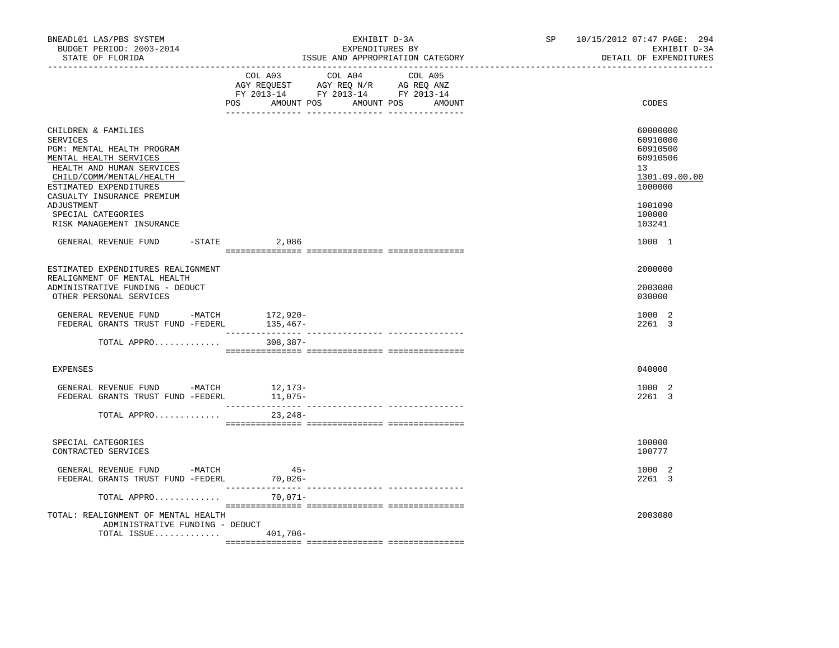| BNEADL01 LAS/PBS SYSTEM<br>BUDGET PERIOD: 2003-2014<br>STATE OF FLORIDA                                                                                                                                                                                                          | EXHIBIT D-3A<br>EXPENDITURES BY<br>ISSUE AND APPROPRIATION CATEGORY                                                                      | 10/15/2012 07:47 PAGE: 294<br>SP and the set of the set of the set of the set of the set of the set of the set of the set of the set of the set of the set of the set of the set of the set of the set of the set of the set of the set of the set of the se<br>EXHIBIT D-3A<br>DETAIL OF EXPENDITURES |
|----------------------------------------------------------------------------------------------------------------------------------------------------------------------------------------------------------------------------------------------------------------------------------|------------------------------------------------------------------------------------------------------------------------------------------|--------------------------------------------------------------------------------------------------------------------------------------------------------------------------------------------------------------------------------------------------------------------------------------------------------|
|                                                                                                                                                                                                                                                                                  | COL A03 COL A04<br>COL A05<br>AGY REQUEST AGY REQ N/R AG REQ ANZ<br>FY 2013-14 FY 2013-14 FY 2013-14<br>POS AMOUNT POS AMOUNT POS AMOUNT | CODES                                                                                                                                                                                                                                                                                                  |
| CHILDREN & FAMILIES<br><b>SERVICES</b><br>PGM: MENTAL HEALTH PROGRAM<br>MENTAL HEALTH SERVICES<br>HEALTH AND HUMAN SERVICES<br>CHILD/COMM/MENTAL/HEALTH<br>ESTIMATED EXPENDITURES<br>CASUALTY INSURANCE PREMIUM<br>ADJUSTMENT<br>SPECIAL CATEGORIES<br>RISK MANAGEMENT INSURANCE |                                                                                                                                          | 60000000<br>60910000<br>60910500<br>60910506<br>13<br>1301.09.00.00<br>1000000<br>1001090<br>100000<br>103241                                                                                                                                                                                          |
| GENERAL REVENUE FUND                                                                                                                                                                                                                                                             | $-$ STATE 2,086                                                                                                                          | 1000 1                                                                                                                                                                                                                                                                                                 |
| ESTIMATED EXPENDITURES REALIGNMENT<br>REALIGNMENT OF MENTAL HEALTH<br>ADMINISTRATIVE FUNDING - DEDUCT<br>OTHER PERSONAL SERVICES                                                                                                                                                 |                                                                                                                                          | 2000000<br>2003080<br>030000                                                                                                                                                                                                                                                                           |
|                                                                                                                                                                                                                                                                                  |                                                                                                                                          | 1000 2<br>2261 3                                                                                                                                                                                                                                                                                       |
| TOTAL APPRO                                                                                                                                                                                                                                                                      | 308,387-                                                                                                                                 |                                                                                                                                                                                                                                                                                                        |
| EXPENSES                                                                                                                                                                                                                                                                         |                                                                                                                                          | 040000                                                                                                                                                                                                                                                                                                 |
| GENERAL REVENUE FUND -MATCH 12,173-<br>FEDERAL GRANTS TRUST FUND -FEDERL                                                                                                                                                                                                         | 11,075-                                                                                                                                  | 1000 2<br>2261 3                                                                                                                                                                                                                                                                                       |
| TOTAL APPRO                                                                                                                                                                                                                                                                      | 23,248-                                                                                                                                  |                                                                                                                                                                                                                                                                                                        |
| SPECIAL CATEGORIES<br>CONTRACTED SERVICES                                                                                                                                                                                                                                        |                                                                                                                                          | 100000<br>100777                                                                                                                                                                                                                                                                                       |
| GENERAL REVENUE FUND -MATCH<br>FEDERAL GRANTS TRUST FUND -FEDERL 70,026-                                                                                                                                                                                                         | $45-$                                                                                                                                    | 1000 2<br>2261 3                                                                                                                                                                                                                                                                                       |
| TOTAL APPRO                                                                                                                                                                                                                                                                      | 70,071-                                                                                                                                  |                                                                                                                                                                                                                                                                                                        |
| TOTAL: REALIGNMENT OF MENTAL HEALTH<br>ADMINISTRATIVE FUNDING - DEDUCT<br>TOTAL ISSUE $401,706-$                                                                                                                                                                                 |                                                                                                                                          | 2003080                                                                                                                                                                                                                                                                                                |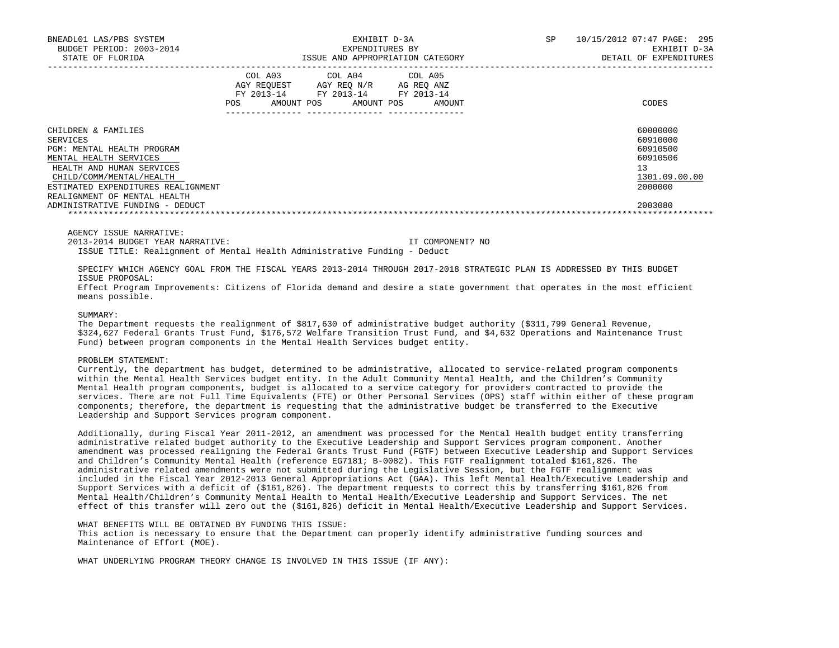| BNEADL01 LAS/PBS SYSTEM<br>BUDGET PERIOD: 2003-2014<br>STATE OF FLORIDA                                                                                                                                                |                                            | EXHIBIT D-3A<br>EXPENDITURES BY                                        | ISSUE AND APPROPRIATION CATEGORY   | SP | 10/15/2012 07:47 PAGE:<br>295<br>EXHIBIT D-3A<br>DETAIL OF EXPENDITURES        |
|------------------------------------------------------------------------------------------------------------------------------------------------------------------------------------------------------------------------|--------------------------------------------|------------------------------------------------------------------------|------------------------------------|----|--------------------------------------------------------------------------------|
|                                                                                                                                                                                                                        | COL A03<br>FY 2013-14<br>AMOUNT POS<br>POS | COL A04 COL A05<br>AGY REOUEST AGY REO N/R<br>FY 2013-14<br>AMOUNT POS | AG REO ANZ<br>FY 2013-14<br>AMOUNT |    | CODES                                                                          |
| CHILDREN & FAMILIES<br>SERVICES<br>PGM: MENTAL HEALTH PROGRAM<br>MENTAL HEALTH SERVICES<br>HEALTH AND HUMAN SERVICES<br>CHILD/COMM/MENTAL/HEALTH<br>ESTIMATED EXPENDITURES REALIGNMENT<br>REALIGNMENT OF MENTAL HEALTH |                                            |                                                                        |                                    |    | 60000000<br>60910000<br>60910500<br>60910506<br>13<br>1301.09.00.00<br>2000000 |
| ADMINISTRATIVE FUNDING - DEDUCT                                                                                                                                                                                        |                                            |                                                                        |                                    |    | 2003080                                                                        |

AGENCY ISSUE NARRATIVE:

2013-2014 BUDGET YEAR NARRATIVE: IT COMPONENT? NO

ISSUE TITLE: Realignment of Mental Health Administrative Funding - Deduct

 SPECIFY WHICH AGENCY GOAL FROM THE FISCAL YEARS 2013-2014 THROUGH 2017-2018 STRATEGIC PLAN IS ADDRESSED BY THIS BUDGET ISSUE PROPOSAL:

 Effect Program Improvements: Citizens of Florida demand and desire a state government that operates in the most efficient means possible.

## SUMMARY:

 The Department requests the realignment of \$817,630 of administrative budget authority (\$311,799 General Revenue, \$324,627 Federal Grants Trust Fund, \$176,572 Welfare Transition Trust Fund, and \$4,632 Operations and Maintenance Trust Fund) between program components in the Mental Health Services budget entity.

#### PROBLEM STATEMENT:

 Currently, the department has budget, determined to be administrative, allocated to service-related program components within the Mental Health Services budget entity. In the Adult Community Mental Health, and the Children's Community Mental Health program components, budget is allocated to a service category for providers contracted to provide the services. There are not Full Time Equivalents (FTE) or Other Personal Services (OPS) staff within either of these program components; therefore, the department is requesting that the administrative budget be transferred to the Executive Leadership and Support Services program component.

 Additionally, during Fiscal Year 2011-2012, an amendment was processed for the Mental Health budget entity transferring administrative related budget authority to the Executive Leadership and Support Services program component. Another amendment was processed realigning the Federal Grants Trust Fund (FGTF) between Executive Leadership and Support Services and Children's Community Mental Health (reference EG7181; B-0082). This FGTF realignment totaled \$161,826. The administrative related amendments were not submitted during the Legislative Session, but the FGTF realignment was included in the Fiscal Year 2012-2013 General Appropriations Act (GAA). This left Mental Health/Executive Leadership and Support Services with a deficit of (\$161,826). The department requests to correct this by transferring \$161,826 from Mental Health/Children's Community Mental Health to Mental Health/Executive Leadership and Support Services. The net effect of this transfer will zero out the (\$161,826) deficit in Mental Health/Executive Leadership and Support Services.

# WHAT BENEFITS WILL BE OBTAINED BY FUNDING THIS ISSUE:

 This action is necessary to ensure that the Department can properly identify administrative funding sources and Maintenance of Effort (MOE).

WHAT UNDERLYING PROGRAM THEORY CHANGE IS INVOLVED IN THIS ISSUE (IF ANY):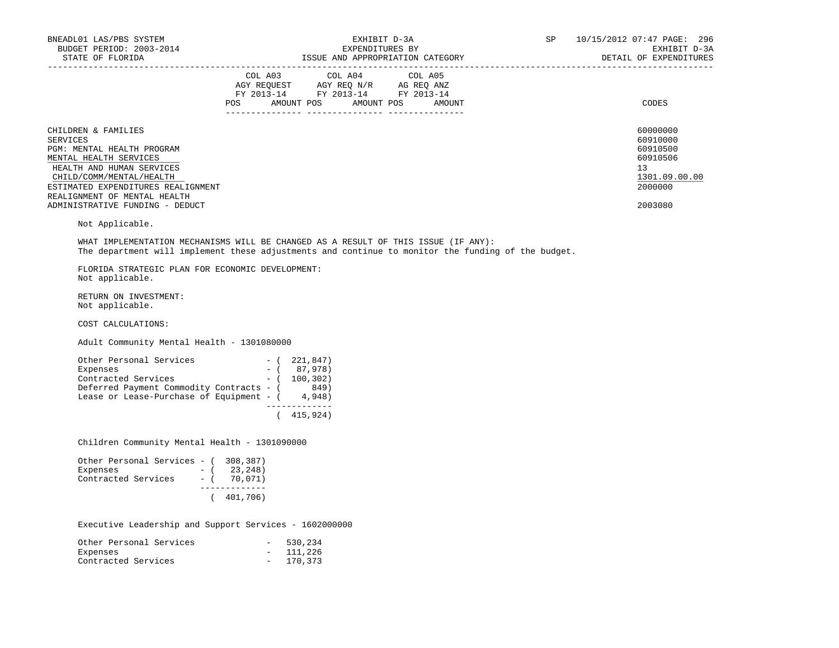| BNEADL01 LAS/PBS SYSTEM<br>BUDGET PERIOD: 2003-2014                                                                                                                                                                                                                                 |                                  | EXHIBIT D-3A<br>EXPENDITURES BY                                                                   |  | SP 10/15/2012 07:47 PAGE: 296<br>EXHIBIT D-3A<br>DETAIL OF EXPENDITURES                   |
|-------------------------------------------------------------------------------------------------------------------------------------------------------------------------------------------------------------------------------------------------------------------------------------|----------------------------------|---------------------------------------------------------------------------------------------------|--|-------------------------------------------------------------------------------------------|
|                                                                                                                                                                                                                                                                                     | POS AMOUNT POS AMOUNT POS AMOUNT | COL A03 COL A04 COL A05<br>AGY REQUEST AGY REQ N/R AG REQ ANZ<br>FY 2013-14 FY 2013-14 FY 2013-14 |  | CODES                                                                                     |
| CHILDREN & FAMILIES<br><b>SERVICES</b><br>PGM: MENTAL HEALTH PROGRAM<br>MENTAL HEALTH SERVICES<br>HEALTH AND HUMAN SERVICES<br>CHILD/COMM/MENTAL/HEALTH<br>ESTIMATED EXPENDITURES REALIGNMENT<br>REALIGNMENT OF MENTAL HEALTH<br>ADMINISTRATIVE FUNDING - DEDUCT<br>Not Applicable. |                                  |                                                                                                   |  | 60000000<br>60910000<br>60910500<br>60910506<br>13<br>1301.09.00.00<br>2000000<br>2003080 |
| WHAT IMPLEMENTATION MECHANISMS WILL BE CHANGED AS A RESULT OF THIS ISSUE (IF ANY):<br>The department will implement these adjustments and continue to monitor the funding of the budget.                                                                                            |                                  |                                                                                                   |  |                                                                                           |
| FLORIDA STRATEGIC PLAN FOR ECONOMIC DEVELOPMENT:<br>Not applicable.                                                                                                                                                                                                                 |                                  |                                                                                                   |  |                                                                                           |
| RETURN ON INVESTMENT:<br>Not applicable.                                                                                                                                                                                                                                            |                                  |                                                                                                   |  |                                                                                           |
| COST CALCULATIONS:                                                                                                                                                                                                                                                                  |                                  |                                                                                                   |  |                                                                                           |
| Adult Community Mental Health - 1301080000                                                                                                                                                                                                                                          |                                  |                                                                                                   |  |                                                                                           |
| Other Personal Services<br>Expenses                                                                                                                                                                                                                                                 | $- (221, 847)$<br>$-$ (87,978)   |                                                                                                   |  |                                                                                           |

Expenses  $-$  (87,978) Contracted Services - (100,302) Deferred Payment Commodity Contracts - (849) Lease or Lease-Purchase of Equipment -  $(4,948)$  ------------- ( 415,924)

Children Community Mental Health - 1301090000

| Other Personal Services - (308,387) |       |               |
|-------------------------------------|-------|---------------|
| Expenses                            | $-$ ( | 23,248)       |
| Contracted Services                 |       | $-$ ( 70,071) |
|                                     |       |               |
|                                     |       | (401, 706)    |

Executive Leadership and Support Services - 1602000000

| Other Personal Services | $\sim$ 100 $\mu$ | 530,234    |
|-------------------------|------------------|------------|
| Expenses                |                  | $-111,226$ |
| Contracted Services     |                  | $-170,373$ |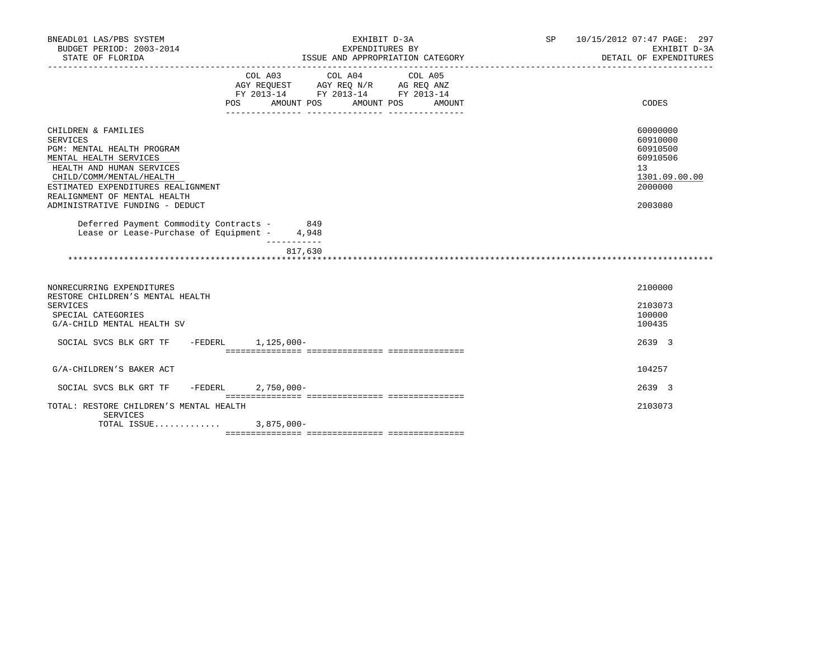| BNEADL01 LAS/PBS SYSTEM<br>BUDGET PERIOD: 2003-2014                                                                                                                                                                                                              | EXHIBIT D-3A                                                                                                                                         | SP 10/15/2012 07:47 PAGE: 297<br>EXHIBIT D-3A                                             |
|------------------------------------------------------------------------------------------------------------------------------------------------------------------------------------------------------------------------------------------------------------------|------------------------------------------------------------------------------------------------------------------------------------------------------|-------------------------------------------------------------------------------------------|
| STATE OF FLORIDA                                                                                                                                                                                                                                                 | EXPENDITURES BY<br>ISSUE AND APPROPRIATION CATEGORY                                                                                                  | DETAIL OF EXPENDITURES                                                                    |
|                                                                                                                                                                                                                                                                  | COL A03<br>COL A04<br>COL A05<br>AGY REQUEST AGY REQ N/R AG REQ ANZ<br>FY 2013-14 FY 2013-14 FY 2013-14<br>POS<br>AMOUNT POS<br>AMOUNT POS<br>AMOUNT | CODES                                                                                     |
| CHILDREN & FAMILIES<br><b>SERVICES</b><br>PGM: MENTAL HEALTH PROGRAM<br>MENTAL HEALTH SERVICES<br>HEALTH AND HUMAN SERVICES<br>CHILD/COMM/MENTAL/HEALTH<br>ESTIMATED EXPENDITURES REALIGNMENT<br>REALIGNMENT OF MENTAL HEALTH<br>ADMINISTRATIVE FUNDING - DEDUCT |                                                                                                                                                      | 60000000<br>60910000<br>60910500<br>60910506<br>13<br>1301.09.00.00<br>2000000<br>2003080 |
| Deferred Payment Commodity Contracts - 849<br>Lease or Lease-Purchase of Equipment - 4,948                                                                                                                                                                       |                                                                                                                                                      |                                                                                           |
|                                                                                                                                                                                                                                                                  | -----------<br>817,630                                                                                                                               |                                                                                           |
| NONRECURRING EXPENDITURES<br>RESTORE CHILDREN'S MENTAL HEALTH<br><b>SERVICES</b><br>SPECIAL CATEGORIES<br>G/A-CHILD MENTAL HEALTH SV<br>SOCIAL SVCS BLK GRT TF -FEDERL 1,125,000-                                                                                |                                                                                                                                                      | 2100000<br>2103073<br>100000<br>100435<br>2639 3                                          |
|                                                                                                                                                                                                                                                                  |                                                                                                                                                      |                                                                                           |
| G/A-CHILDREN'S BAKER ACT                                                                                                                                                                                                                                         |                                                                                                                                                      | 104257                                                                                    |
| SOCIAL SVCS BLK GRT TF<br>$-FEDERL$                                                                                                                                                                                                                              | $2,750,000 -$                                                                                                                                        | 2639 3                                                                                    |
| TOTAL: RESTORE CHILDREN'S MENTAL HEALTH<br>SERVICES<br>TOTAL ISSUE 3,875,000-                                                                                                                                                                                    |                                                                                                                                                      | 2103073                                                                                   |
|                                                                                                                                                                                                                                                                  |                                                                                                                                                      |                                                                                           |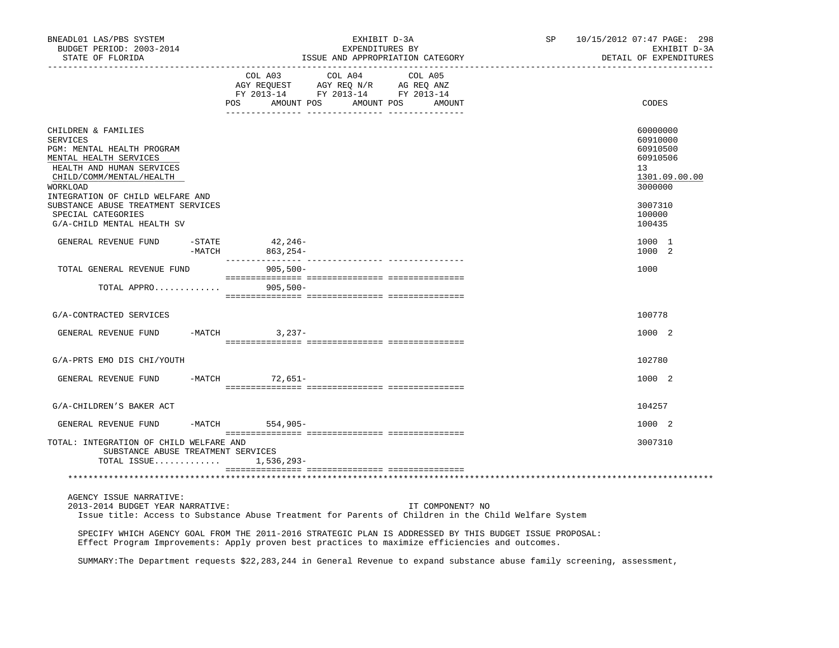| BNEADL01 LAS/PBS SYSTEM<br>BUDGET PERIOD: 2003-2014<br>STATE OF FLORIDA                                                                                                                          |                    | EXHIBIT D-3A<br>EXPENDITURES BY<br>ISSUE AND APPROPRIATION CATEGORY | SP                                                                                                                                                         | 10/15/2012 07:47 PAGE: 298<br>EXHIBIT D-3A<br>DETAIL OF EXPENDITURES |                                                                                                                          |                                                                                |
|--------------------------------------------------------------------------------------------------------------------------------------------------------------------------------------------------|--------------------|---------------------------------------------------------------------|------------------------------------------------------------------------------------------------------------------------------------------------------------|----------------------------------------------------------------------|--------------------------------------------------------------------------------------------------------------------------|--------------------------------------------------------------------------------|
|                                                                                                                                                                                                  |                    |                                                                     | $\begin{tabular}{lcccc} COL A03 & COL A04 & COL A05 \\ AGY REQUEST & AGY REQ N/R & AG REQ ANZ \\ FY & 2013-14 & FY & 2013-14 & FY & 2013-14 \end{tabular}$ | POS AMOUNT POS AMOUNT POS AMOUNT                                     |                                                                                                                          | CODES                                                                          |
| CHILDREN & FAMILIES<br>SERVICES<br>PGM: MENTAL HEALTH PROGRAM<br>MENTAL HEALTH SERVICES<br>HEALTH AND HUMAN SERVICES<br>CHILD/COMM/MENTAL/HEALTH<br>WORKLOAD<br>INTEGRATION OF CHILD WELFARE AND |                    |                                                                     |                                                                                                                                                            |                                                                      |                                                                                                                          | 60000000<br>60910000<br>60910500<br>60910506<br>13<br>1301.09.00.00<br>3000000 |
| SUBSTANCE ABUSE TREATMENT SERVICES<br>SPECIAL CATEGORIES<br>G/A-CHILD MENTAL HEALTH SV                                                                                                           |                    |                                                                     |                                                                                                                                                            |                                                                      |                                                                                                                          | 3007310<br>100000<br>100435                                                    |
| GENERAL REVENUE FUND                                                                                                                                                                             | $-STATE$<br>-MATCH | 42,246-<br>863,254-                                                 |                                                                                                                                                            |                                                                      |                                                                                                                          | 1000 1<br>1000 2                                                               |
| TOTAL GENERAL REVENUE FUND                                                                                                                                                                       |                    | 905,500-                                                            |                                                                                                                                                            |                                                                      |                                                                                                                          | 1000                                                                           |
| TOTAL APPRO $\ldots \ldots \ldots$ . 905,500-                                                                                                                                                    |                    |                                                                     |                                                                                                                                                            |                                                                      |                                                                                                                          |                                                                                |
| G/A-CONTRACTED SERVICES                                                                                                                                                                          |                    |                                                                     |                                                                                                                                                            |                                                                      |                                                                                                                          | 100778                                                                         |
| GENERAL REVENUE FUND                                                                                                                                                                             |                    | -MATCH 3, 237-                                                      |                                                                                                                                                            |                                                                      |                                                                                                                          | 1000 2                                                                         |
| G/A-PRTS EMO DIS CHI/YOUTH                                                                                                                                                                       |                    |                                                                     |                                                                                                                                                            |                                                                      |                                                                                                                          | 102780                                                                         |
| GENERAL REVENUE FUND -MATCH 72,651-                                                                                                                                                              |                    |                                                                     |                                                                                                                                                            |                                                                      |                                                                                                                          | 1000 2                                                                         |
| G/A-CHILDREN'S BAKER ACT                                                                                                                                                                         |                    |                                                                     |                                                                                                                                                            |                                                                      |                                                                                                                          | 104257                                                                         |
| GENERAL REVENUE FUND                                                                                                                                                                             | $-MATCH$           | 554,905-                                                            |                                                                                                                                                            |                                                                      |                                                                                                                          | 1000 2                                                                         |
| TOTAL: INTEGRATION OF CHILD WELFARE AND<br>SUBSTANCE ABUSE TREATMENT SERVICES<br>TOTAL ISSUE 1,536,293-                                                                                          |                    |                                                                     |                                                                                                                                                            |                                                                      |                                                                                                                          | 3007310                                                                        |
|                                                                                                                                                                                                  |                    |                                                                     |                                                                                                                                                            |                                                                      |                                                                                                                          |                                                                                |
| AGENCY ISSUE NARRATIVE:<br>2013-2014 BUDGET YEAR NARRATIVE:                                                                                                                                      |                    |                                                                     |                                                                                                                                                            | IT COMPONENT? NO                                                     | Issue title: Access to Substance Abuse Treatment for Parents of Children in the Child Welfare System                     |                                                                                |
| Effect Program Improvements: Apply proven best practices to maximize efficiencies and outcomes.                                                                                                  |                    |                                                                     |                                                                                                                                                            |                                                                      | SPECIFY WHICH AGENCY GOAL FROM THE 2011-2016 STRATEGIC PLAN IS ADDRESSED BY THIS BUDGET ISSUE PROPOSAL:                  |                                                                                |
|                                                                                                                                                                                                  |                    |                                                                     |                                                                                                                                                            |                                                                      | SUMMARY: The Department requests \$22,283,244 in General Revenue to expand substance abuse family screening, assessment, |                                                                                |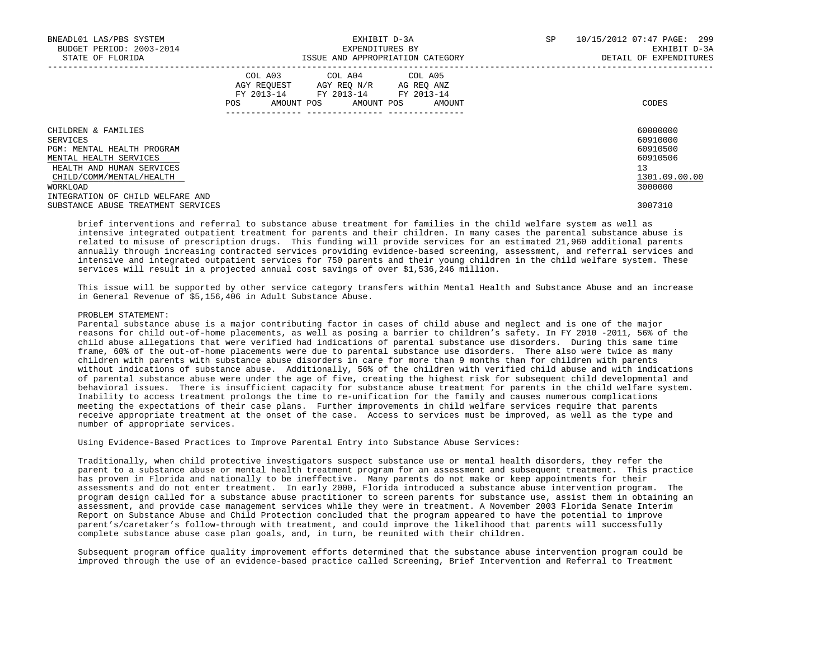| BNEADL01 LAS/PBS SYSTEM<br>BUDGET PERIOD: 2003-2014<br>STATE OF FLORIDA |     | EXHIBIT D-3A<br>EXPENDITURES BY                                                                                            | ISSUE AND APPROPRIATION CATEGORY | SP | 10/15/2012 07:47 PAGE: 299<br>EXHIBIT D-3A<br>DETAIL OF EXPENDITURES |
|-------------------------------------------------------------------------|-----|----------------------------------------------------------------------------------------------------------------------------|----------------------------------|----|----------------------------------------------------------------------|
|                                                                         | POS | COL A03 COL A04 COL A05<br>AGY REOUEST AGY REO N/R AG REO ANZ<br>FY 2013-14 FY 2013-14 FY 2013-14<br>AMOUNT POS AMOUNT POS | AMOUNT                           |    | CODES                                                                |
| CHILDREN & FAMILIES<br>SERVICES                                         |     |                                                                                                                            |                                  |    | 60000000<br>60910000                                                 |
| PGM: MENTAL HEALTH PROGRAM                                              |     |                                                                                                                            |                                  |    | 60910500                                                             |
| MENTAL HEALTH SERVICES                                                  |     |                                                                                                                            |                                  |    | 60910506                                                             |
| HEALTH AND HUMAN SERVICES                                               |     |                                                                                                                            |                                  |    | 13                                                                   |
| CHILD/COMM/MENTAL/HEALTH                                                |     |                                                                                                                            |                                  |    | 1301.09.00.00                                                        |
| WORKLOAD                                                                |     |                                                                                                                            |                                  |    | 3000000                                                              |
| INTEGRATION OF CHILD WELFARE AND                                        |     |                                                                                                                            |                                  |    |                                                                      |
| SUBSTANCE ABUSE TREATMENT SERVICES                                      |     |                                                                                                                            |                                  |    | 3007310                                                              |

 brief interventions and referral to substance abuse treatment for families in the child welfare system as well as intensive integrated outpatient treatment for parents and their children. In many cases the parental substance abuse is related to misuse of prescription drugs. This funding will provide services for an estimated 21,960 additional parents annually through increasing contracted services providing evidence-based screening, assessment, and referral services and intensive and integrated outpatient services for 750 parents and their young children in the child welfare system. These services will result in a projected annual cost savings of over \$1,536,246 million.

 This issue will be supported by other service category transfers within Mental Health and Substance Abuse and an increase in General Revenue of \$5,156,406 in Adult Substance Abuse.

## PROBLEM STATEMENT:

 Parental substance abuse is a major contributing factor in cases of child abuse and neglect and is one of the major reasons for child out-of-home placements, as well as posing a barrier to children's safety. In FY 2010 -2011, 56% of the child abuse allegations that were verified had indications of parental substance use disorders. During this same time frame, 60% of the out-of-home placements were due to parental substance use disorders. There also were twice as many children with parents with substance abuse disorders in care for more than 9 months than for children with parents without indications of substance abuse. Additionally, 56% of the children with verified child abuse and with indications of parental substance abuse were under the age of five, creating the highest risk for subsequent child developmental and behavioral issues. There is insufficient capacity for substance abuse treatment for parents in the child welfare system. Inability to access treatment prolongs the time to re-unification for the family and causes numerous complications meeting the expectations of their case plans. Further improvements in child welfare services require that parents receive appropriate treatment at the onset of the case. Access to services must be improved, as well as the type and number of appropriate services.

Using Evidence-Based Practices to Improve Parental Entry into Substance Abuse Services:

 Traditionally, when child protective investigators suspect substance use or mental health disorders, they refer the parent to a substance abuse or mental health treatment program for an assessment and subsequent treatment. This practice has proven in Florida and nationally to be ineffective. Many parents do not make or keep appointments for their assessments and do not enter treatment. In early 2000, Florida introduced a substance abuse intervention program. The program design called for a substance abuse practitioner to screen parents for substance use, assist them in obtaining an assessment, and provide case management services while they were in treatment. A November 2003 Florida Senate Interim Report on Substance Abuse and Child Protection concluded that the program appeared to have the potential to improve parent's/caretaker's follow-through with treatment, and could improve the likelihood that parents will successfully complete substance abuse case plan goals, and, in turn, be reunited with their children.

 Subsequent program office quality improvement efforts determined that the substance abuse intervention program could be improved through the use of an evidence-based practice called Screening, Brief Intervention and Referral to Treatment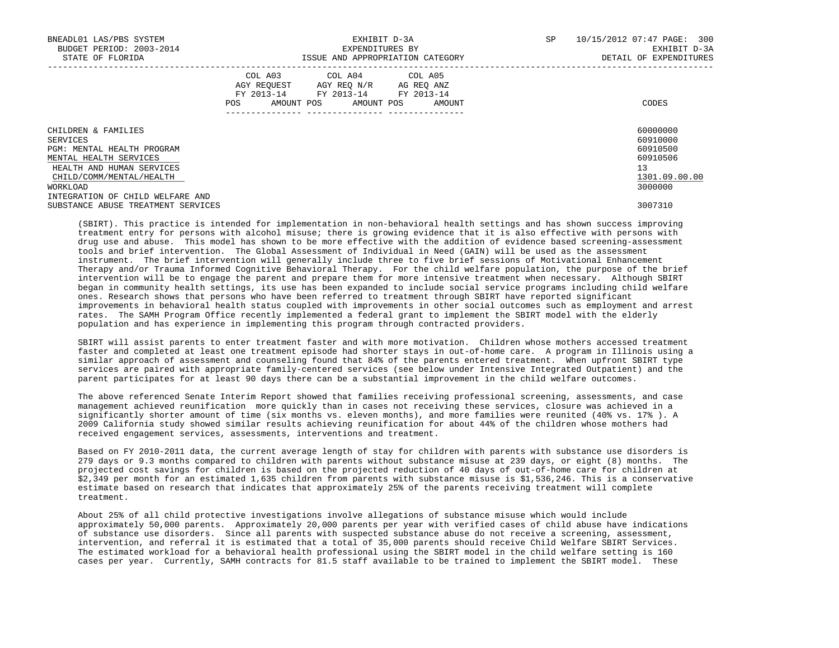| BNEADL01 LAS/PBS SYSTEM<br>BUDGET PERIOD: 2003-2014<br>STATE OF FLORIDA |     | EXHIBIT D-3A<br>EXPENDITURES BY<br>ISSUE AND APPROPRIATION CATEGORY                                             |  |            |  |        | SP | 10/15/2012 07:47 PAGE: 300<br>EXHIBIT D-3A<br>DETAIL OF EXPENDITURES |
|-------------------------------------------------------------------------|-----|-----------------------------------------------------------------------------------------------------------------|--|------------|--|--------|----|----------------------------------------------------------------------|
|                                                                         | POS | COL A03 COL A04 COL A05<br>AGY REQUEST AGY REO N/R AG REO ANZ<br>FY 2013-14 FY 2013-14 FY 2013-14<br>AMOUNT POS |  | AMOUNT POS |  | AMOUNT |    | CODES                                                                |
| CHILDREN & FAMILIES<br>SERVICES                                         |     |                                                                                                                 |  |            |  |        |    | 60000000<br>60910000                                                 |
| PGM: MENTAL HEALTH PROGRAM                                              |     |                                                                                                                 |  |            |  |        |    | 60910500                                                             |
| MENTAL HEALTH SERVICES                                                  |     |                                                                                                                 |  |            |  |        |    | 60910506                                                             |
| HEALTH AND HUMAN SERVICES                                               |     |                                                                                                                 |  |            |  |        |    | 13                                                                   |
| CHILD/COMM/MENTAL/HEALTH                                                |     |                                                                                                                 |  |            |  |        |    | 1301.09.00.00                                                        |
| WORKLOAD                                                                |     |                                                                                                                 |  |            |  |        |    | 3000000                                                              |
| INTEGRATION OF CHILD WELFARE AND                                        |     |                                                                                                                 |  |            |  |        |    |                                                                      |
| SUBSTANCE ABUSE TREATMENT SERVICES                                      |     |                                                                                                                 |  |            |  |        |    | 3007310                                                              |

 (SBIRT). This practice is intended for implementation in non-behavioral health settings and has shown success improving treatment entry for persons with alcohol misuse; there is growing evidence that it is also effective with persons with drug use and abuse. This model has shown to be more effective with the addition of evidence based screening-assessment tools and brief intervention. The Global Assessment of Individual in Need (GAIN) will be used as the assessment instrument. The brief intervention will generally include three to five brief sessions of Motivational Enhancement Therapy and/or Trauma Informed Cognitive Behavioral Therapy. For the child welfare population, the purpose of the brief intervention will be to engage the parent and prepare them for more intensive treatment when necessary. Although SBIRT began in community health settings, its use has been expanded to include social service programs including child welfare ones. Research shows that persons who have been referred to treatment through SBIRT have reported significant improvements in behavioral health status coupled with improvements in other social outcomes such as employment and arrest rates. The SAMH Program Office recently implemented a federal grant to implement the SBIRT model with the elderly population and has experience in implementing this program through contracted providers.

 SBIRT will assist parents to enter treatment faster and with more motivation. Children whose mothers accessed treatment faster and completed at least one treatment episode had shorter stays in out-of-home care. A program in Illinois using a similar approach of assessment and counseling found that 84% of the parents entered treatment. When upfront SBIRT type services are paired with appropriate family-centered services (see below under Intensive Integrated Outpatient) and the parent participates for at least 90 days there can be a substantial improvement in the child welfare outcomes.

 The above referenced Senate Interim Report showed that families receiving professional screening, assessments, and case management achieved reunification more quickly than in cases not receiving these services, closure was achieved in a significantly shorter amount of time (six months vs. eleven months), and more families were reunited (40% vs. 17% ). A 2009 California study showed similar results achieving reunification for about 44% of the children whose mothers had received engagement services, assessments, interventions and treatment.

 Based on FY 2010-2011 data, the current average length of stay for children with parents with substance use disorders is 279 days or 9.3 months compared to children with parents without substance misuse at 239 days, or eight (8) months. The projected cost savings for children is based on the projected reduction of 40 days of out-of-home care for children at \$2,349 per month for an estimated 1,635 children from parents with substance misuse is \$1,536,246. This is a conservative estimate based on research that indicates that approximately 25% of the parents receiving treatment will complete treatment.

 About 25% of all child protective investigations involve allegations of substance misuse which would include approximately 50,000 parents. Approximately 20,000 parents per year with verified cases of child abuse have indications of substance use disorders. Since all parents with suspected substance abuse do not receive a screening, assessment, intervention, and referral it is estimated that a total of 35,000 parents should receive Child Welfare SBIRT Services. The estimated workload for a behavioral health professional using the SBIRT model in the child welfare setting is 160 cases per year. Currently, SAMH contracts for 81.5 staff available to be trained to implement the SBIRT model. These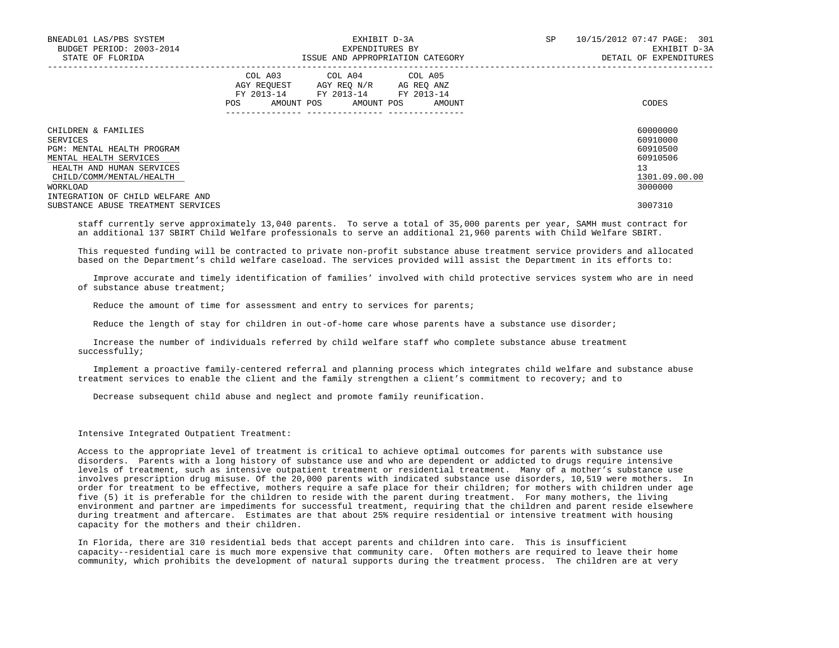| BNEADL01 LAS/PBS SYSTEM            |     | EXHIBIT D-3A                                                                                                                      | 10/15/2012 07:47 PAGE: 301<br>SP |              |                        |
|------------------------------------|-----|-----------------------------------------------------------------------------------------------------------------------------------|----------------------------------|--------------|------------------------|
| BUDGET PERIOD: 2003-2014           |     | EXPENDITURES BY                                                                                                                   |                                  | EXHIBIT D-3A |                        |
| STATE OF FLORIDA                   |     |                                                                                                                                   | ISSUE AND APPROPRIATION CATEGORY |              | DETAIL OF EXPENDITURES |
|                                    | POS | COL A03 COL A04 COL A05<br>AGY REOUEST AGY REO N/R AG REO ANZ<br>FY 2013-14 FY 2013-14 FY 2013-14<br>AMOUNT POS AMOUNT POS AMOUNT |                                  |              | CODES                  |
| CHILDREN & FAMILIES                |     |                                                                                                                                   |                                  |              | 60000000               |
| SERVICES                           |     |                                                                                                                                   |                                  |              | 60910000               |
| PGM: MENTAL HEALTH PROGRAM         |     |                                                                                                                                   |                                  |              | 60910500               |
| MENTAL HEALTH SERVICES             |     |                                                                                                                                   |                                  |              | 60910506               |
| HEALTH AND HUMAN SERVICES          |     |                                                                                                                                   |                                  |              | 13                     |
| CHILD/COMM/MENTAL/HEALTH           |     |                                                                                                                                   |                                  |              | 1301.09.00.00          |
| WORKLOAD                           |     |                                                                                                                                   |                                  |              | 3000000                |
| INTEGRATION OF CHILD WELFARE AND   |     |                                                                                                                                   |                                  |              |                        |
| SUBSTANCE ABUSE TREATMENT SERVICES |     |                                                                                                                                   |                                  |              | 3007310                |

 staff currently serve approximately 13,040 parents. To serve a total of 35,000 parents per year, SAMH must contract for an additional 137 SBIRT Child Welfare professionals to serve an additional 21,960 parents with Child Welfare SBIRT.

 This requested funding will be contracted to private non-profit substance abuse treatment service providers and allocated based on the Department's child welfare caseload. The services provided will assist the Department in its efforts to:

 Improve accurate and timely identification of families' involved with child protective services system who are in need of substance abuse treatment;

Reduce the amount of time for assessment and entry to services for parents;

Reduce the length of stay for children in out-of-home care whose parents have a substance use disorder;

 Increase the number of individuals referred by child welfare staff who complete substance abuse treatment successfully;

 Implement a proactive family-centered referral and planning process which integrates child welfare and substance abuse treatment services to enable the client and the family strengthen a client's commitment to recovery; and to

Decrease subsequent child abuse and neglect and promote family reunification.

## Intensive Integrated Outpatient Treatment:

 Access to the appropriate level of treatment is critical to achieve optimal outcomes for parents with substance use disorders. Parents with a long history of substance use and who are dependent or addicted to drugs require intensive levels of treatment, such as intensive outpatient treatment or residential treatment. Many of a mother's substance use involves prescription drug misuse. Of the 20,000 parents with indicated substance use disorders, 10,519 were mothers. In order for treatment to be effective, mothers require a safe place for their children; for mothers with children under age five (5) it is preferable for the children to reside with the parent during treatment. For many mothers, the living environment and partner are impediments for successful treatment, requiring that the children and parent reside elsewhere during treatment and aftercare. Estimates are that about 25% require residential or intensive treatment with housing capacity for the mothers and their children.

 In Florida, there are 310 residential beds that accept parents and children into care. This is insufficient capacity--residential care is much more expensive that community care. Often mothers are required to leave their home community, which prohibits the development of natural supports during the treatment process. The children are at very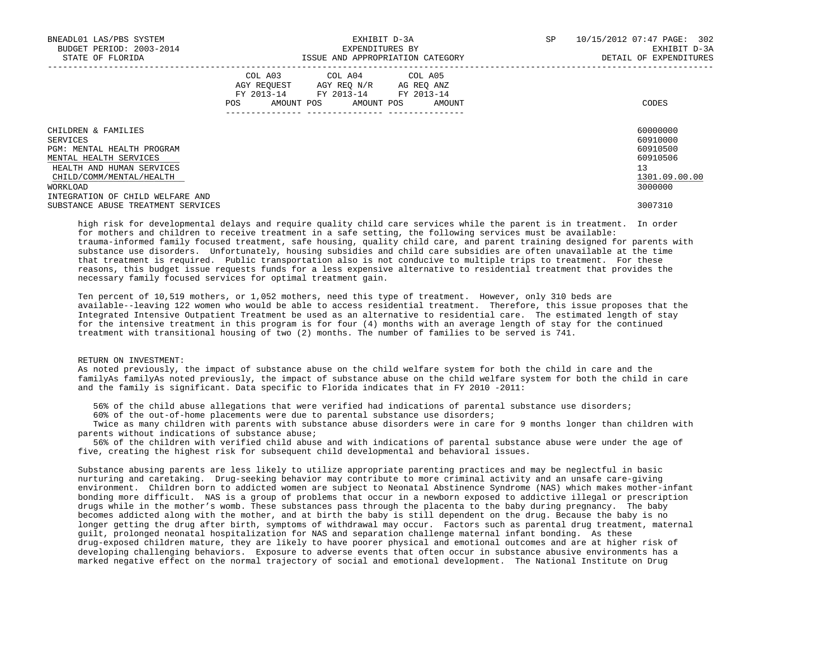| BNEADL01 LAS/PBS SYSTEM<br>BUDGET PERIOD: 2003-2014<br>STATE OF FLORIDA                                                                                                                          |      | EXHIBIT D-3A<br>EXPENDITURES BY<br>ISSUE AND APPROPRIATION CATEGORY                                                        |        | SP | 10/15/2012 07:47 PAGE: 302<br>EXHIBIT D-3A<br>DETAIL OF EXPENDITURES           |
|--------------------------------------------------------------------------------------------------------------------------------------------------------------------------------------------------|------|----------------------------------------------------------------------------------------------------------------------------|--------|----|--------------------------------------------------------------------------------|
|                                                                                                                                                                                                  | POS. | COL A03 COL A04 COL A05<br>AGY REOUEST AGY REO N/R AG REO ANZ<br>FY 2013-14 FY 2013-14 FY 2013-14<br>AMOUNT POS AMOUNT POS | AMOUNT |    | CODES                                                                          |
| CHILDREN & FAMILIES<br>SERVICES<br>PGM: MENTAL HEALTH PROGRAM<br>MENTAL HEALTH SERVICES<br>HEALTH AND HUMAN SERVICES<br>CHILD/COMM/MENTAL/HEALTH<br>WORKLOAD<br>INTEGRATION OF CHILD WELFARE AND |      |                                                                                                                            |        |    | 60000000<br>60910000<br>60910500<br>60910506<br>13<br>1301.09.00.00<br>3000000 |
| SUBSTANCE ABUSE TREATMENT SERVICES                                                                                                                                                               |      |                                                                                                                            |        |    | 3007310                                                                        |

 high risk for developmental delays and require quality child care services while the parent is in treatment. In order for mothers and children to receive treatment in a safe setting, the following services must be available: trauma-informed family focused treatment, safe housing, quality child care, and parent training designed for parents with substance use disorders. Unfortunately, housing subsidies and child care subsidies are often unavailable at the time that treatment is required. Public transportation also is not conducive to multiple trips to treatment. For these reasons, this budget issue requests funds for a less expensive alternative to residential treatment that provides the necessary family focused services for optimal treatment gain.

 Ten percent of 10,519 mothers, or 1,052 mothers, need this type of treatment. However, only 310 beds are available--leaving 122 women who would be able to access residential treatment. Therefore, this issue proposes that the Integrated Intensive Outpatient Treatment be used as an alternative to residential care. The estimated length of stay for the intensive treatment in this program is for four (4) months with an average length of stay for the continued treatment with transitional housing of two (2) months. The number of families to be served is 741.

#### RETURN ON INVESTMENT:

 As noted previously, the impact of substance abuse on the child welfare system for both the child in care and the familyAs familyAs noted previously, the impact of substance abuse on the child welfare system for both the child in care and the family is significant. Data specific to Florida indicates that in FY 2010 -2011:

56% of the child abuse allegations that were verified had indications of parental substance use disorders;

60% of the out-of-home placements were due to parental substance use disorders;

 Twice as many children with parents with substance abuse disorders were in care for 9 months longer than children with parents without indications of substance abuse;

 56% of the children with verified child abuse and with indications of parental substance abuse were under the age of five, creating the highest risk for subsequent child developmental and behavioral issues.

 Substance abusing parents are less likely to utilize appropriate parenting practices and may be neglectful in basic nurturing and caretaking. Drug-seeking behavior may contribute to more criminal activity and an unsafe care-giving environment. Children born to addicted women are subject to Neonatal Abstinence Syndrome (NAS) which makes mother-infant bonding more difficult. NAS is a group of problems that occur in a newborn exposed to addictive illegal or prescription drugs while in the mother's womb. These substances pass through the placenta to the baby during pregnancy. The baby becomes addicted along with the mother, and at birth the baby is still dependent on the drug. Because the baby is no longer getting the drug after birth, symptoms of withdrawal may occur. Factors such as parental drug treatment, maternal guilt, prolonged neonatal hospitalization for NAS and separation challenge maternal infant bonding. As these drug-exposed children mature, they are likely to have poorer physical and emotional outcomes and are at higher risk of developing challenging behaviors. Exposure to adverse events that often occur in substance abusive environments has a marked negative effect on the normal trajectory of social and emotional development. The National Institute on Drug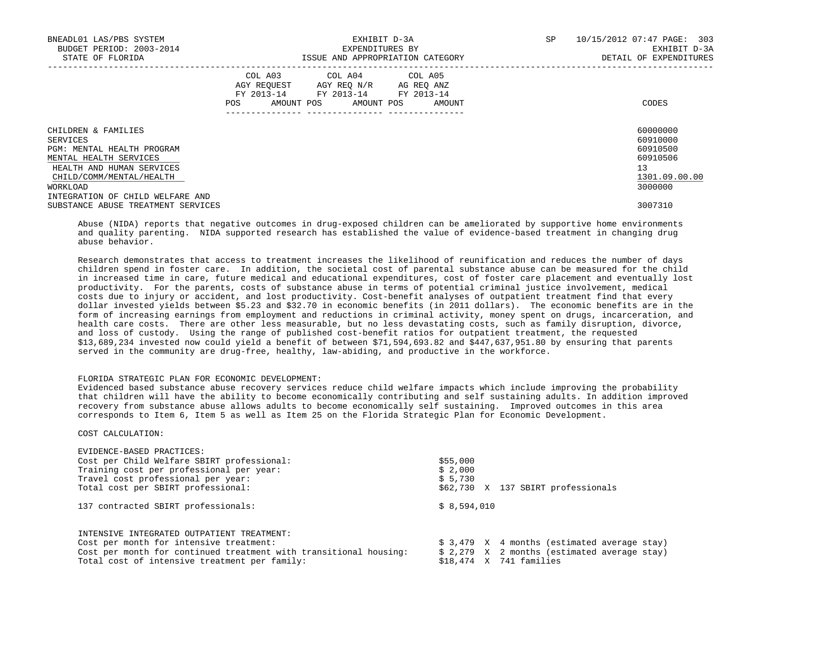| BNEADL01 LAS/PBS SYSTEM<br>BUDGET PERIOD: 2003-2014<br>STATE OF FLORIDA |     | EXPENDITURES BY                                                                                                            | EXHIBIT D-3A<br>ISSUE AND APPROPRIATION CATEGORY | 10/15/2012 07:47 PAGE: 303<br><b>SP</b><br>EXHIBIT D-3A<br>DETAIL OF EXPENDITURES |  |
|-------------------------------------------------------------------------|-----|----------------------------------------------------------------------------------------------------------------------------|--------------------------------------------------|-----------------------------------------------------------------------------------|--|
|                                                                         | POS | COL A03 COL A04 COL A05<br>AGY REQUEST AGY REO N/R AG REO ANZ<br>FY 2013-14 FY 2013-14 FY 2013-14<br>AMOUNT POS AMOUNT POS | AMOUNT                                           | CODES                                                                             |  |
| CHILDREN & FAMILIES<br>SERVICES                                         |     |                                                                                                                            |                                                  | 60000000<br>60910000                                                              |  |
| PGM: MENTAL HEALTH PROGRAM                                              |     |                                                                                                                            |                                                  | 60910500                                                                          |  |
| MENTAL HEALTH SERVICES                                                  |     |                                                                                                                            |                                                  | 60910506                                                                          |  |
| HEALTH AND HUMAN SERVICES                                               |     |                                                                                                                            |                                                  | 13                                                                                |  |
| CHILD/COMM/MENTAL/HEALTH                                                |     |                                                                                                                            |                                                  | 1301.09.00.00                                                                     |  |
| WORKLOAD                                                                |     |                                                                                                                            |                                                  | 3000000                                                                           |  |
| INTEGRATION OF CHILD WELFARE AND                                        |     |                                                                                                                            |                                                  |                                                                                   |  |
| SUBSTANCE ABUSE TREATMENT SERVICES                                      |     |                                                                                                                            |                                                  | 3007310                                                                           |  |

 Abuse (NIDA) reports that negative outcomes in drug-exposed children can be ameliorated by supportive home environments and quality parenting. NIDA supported research has established the value of evidence-based treatment in changing drug abuse behavior.

 Research demonstrates that access to treatment increases the likelihood of reunification and reduces the number of days children spend in foster care. In addition, the societal cost of parental substance abuse can be measured for the child in increased time in care, future medical and educational expenditures, cost of foster care placement and eventually lost productivity. For the parents, costs of substance abuse in terms of potential criminal justice involvement, medical costs due to injury or accident, and lost productivity. Cost-benefit analyses of outpatient treatment find that every dollar invested yields between \$5.23 and \$32.70 in economic benefits (in 2011 dollars). The economic benefits are in the form of increasing earnings from employment and reductions in criminal activity, money spent on drugs, incarceration, and health care costs. There are other less measurable, but no less devastating costs, such as family disruption, divorce, and loss of custody. Using the range of published cost-benefit ratios for outpatient treatment, the requested \$13,689,234 invested now could yield a benefit of between \$71,594,693.82 and \$447,637,951.80 by ensuring that parents served in the community are drug-free, healthy, law-abiding, and productive in the workforce.

# FLORIDA STRATEGIC PLAN FOR ECONOMIC DEVELOPMENT:

 Evidenced based substance abuse recovery services reduce child welfare impacts which include improving the probability that children will have the ability to become economically contributing and self sustaining adults. In addition improved recovery from substance abuse allows adults to become economically self sustaining. Improved outcomes in this area corresponds to Item 6, Item 5 as well as Item 25 on the Florida Strategic Plan for Economic Development.

# COST CALCULATION:

| EVIDENCE-BASED PRACTICES:                                         |                                              |
|-------------------------------------------------------------------|----------------------------------------------|
| Cost per Child Welfare SBIRT professional:                        | \$55,000                                     |
| Training cost per professional per year:                          | \$2,000                                      |
| Travel cost professional per year:                                | \$5,730                                      |
| Total cost per SBIRT professional:                                | \$62,730 X 137 SBIRT professionals           |
| 137 contracted SBIRT professionals:                               | \$8,594,010                                  |
| INTENSIVE INTEGRATED OUTPATIENT TREATMENT:                        |                                              |
| Cost per month for intensive treatment:                           | $$3,479$ X 4 months (estimated average stay) |
| Cost per month for continued treatment with transitional housing: | $$2,279$ X 2 months (estimated average stay) |
| Total cost of intensive treatment per family:                     | $$18.474$ X 741 families                     |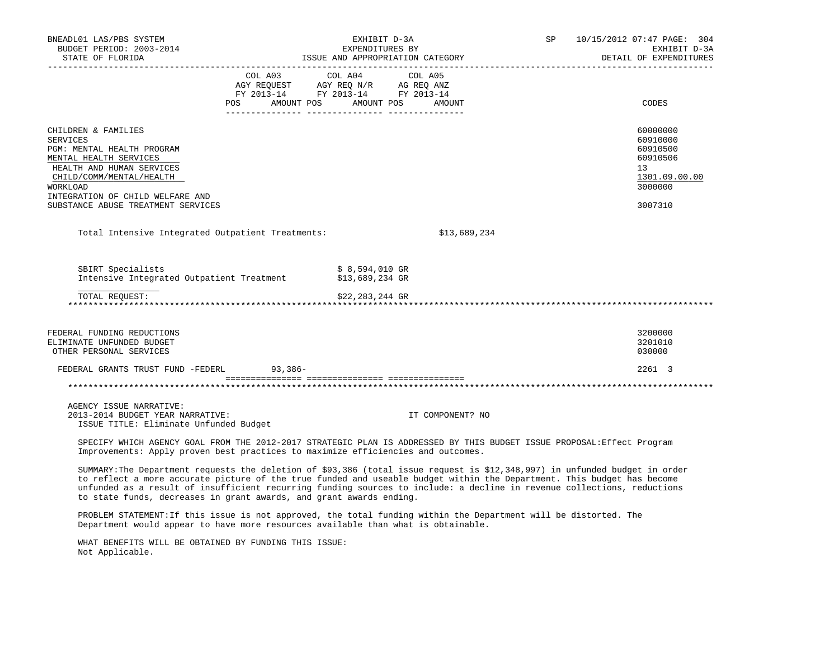| BNEADL01 LAS/PBS SYSTEM<br>BUDGET PERIOD: 2003-2014                                                                                                                                                                                                   |  | EXHIBIT D-3A<br>EXPENDITURES BY                                                           | SP 10/15/2012 07:47 PAGE: 304<br>EXHIBIT D-3A<br>DETAIL OF EXPENDITURES |                                                                                           |
|-------------------------------------------------------------------------------------------------------------------------------------------------------------------------------------------------------------------------------------------------------|--|-------------------------------------------------------------------------------------------|-------------------------------------------------------------------------|-------------------------------------------------------------------------------------------|
|                                                                                                                                                                                                                                                       |  | COL A03 COL A04<br>NOT REQUEST AGY REQ N/R AG REQ ANZ<br>FY 2013-14 FY 2013-14 FY 2013-14 | COL A05<br>POS AMOUNT POS AMOUNT POS AMOUNT                             | CODES                                                                                     |
| CHILDREN & FAMILIES<br><b>SERVICES</b><br>PGM: MENTAL HEALTH PROGRAM<br>MENTAL HEALTH SERVICES<br>HEALTH AND HUMAN SERVICES<br>CHILD/COMM/MENTAL/HEALTH<br>WORKLOAD<br>INTEGRATION OF CHILD WELFARE AND<br>SUBSTANCE ABUSE TREATMENT SERVICES         |  |                                                                                           |                                                                         | 60000000<br>60910000<br>60910500<br>60910506<br>13<br>1301.09.00.00<br>3000000<br>3007310 |
| Total Intensive Integrated Outpatient Treatments:                                                                                                                                                                                                     |  |                                                                                           | \$13,689,234                                                            |                                                                                           |
| SBIRT Specialists<br>Intensive Integrated Outpatient Treatment \$13,689,234 GR<br>TOTAL REOUEST:                                                                                                                                                      |  | \$ 8,594,010 GR<br>\$22,283,244 GR                                                        |                                                                         |                                                                                           |
|                                                                                                                                                                                                                                                       |  |                                                                                           |                                                                         |                                                                                           |
| FEDERAL FUNDING REDUCTIONS<br>ELIMINATE UNFUNDED BUDGET<br>OTHER PERSONAL SERVICES                                                                                                                                                                    |  |                                                                                           |                                                                         | 3200000<br>3201010<br>030000                                                              |
| FEDERAL GRANTS TRUST FUND -FEDERL 93,386-                                                                                                                                                                                                             |  |                                                                                           |                                                                         | 2261 3                                                                                    |
|                                                                                                                                                                                                                                                       |  |                                                                                           |                                                                         |                                                                                           |
| AGENCY ISSUE NARRATIVE:<br>2013-2014 BUDGET YEAR NARRATIVE:<br>ISSUE TITLE: Eliminate Unfunded Budget                                                                                                                                                 |  |                                                                                           | IT COMPONENT? NO                                                        |                                                                                           |
| SPECIFY WHICH AGENCY GOAL FROM THE 2012-2017 STRATEGIC PLAN IS ADDRESSED BY THIS BUDGET ISSUE PROPOSAL: Effect Program<br>Improvements: Apply proven best practices to maximize efficiencies and outcomes.                                            |  |                                                                                           |                                                                         |                                                                                           |
| SUMMARY: The Department requests the deletion of \$93,386 (total issue request is \$12,348,997) in unfunded budget in order<br>to reflect a more accurate picture of the true funded and useable budget within the Department. This budget has become |  |                                                                                           |                                                                         |                                                                                           |

 unfunded as a result of insufficient recurring funding sources to include: a decline in revenue collections, reductions to state funds, decreases in grant awards, and grant awards ending.

 PROBLEM STATEMENT:If this issue is not approved, the total funding within the Department will be distorted. The Department would appear to have more resources available than what is obtainable.

 WHAT BENEFITS WILL BE OBTAINED BY FUNDING THIS ISSUE: Not Applicable.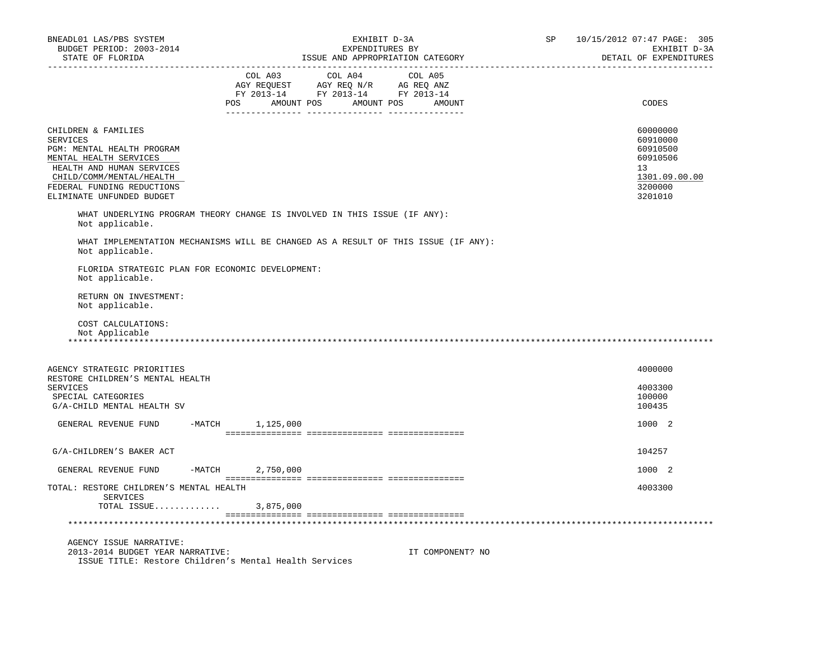| BNEADL01 LAS/PBS SYSTEM<br>BUDGET PERIOD: 2003-2014<br>STATE OF FLORIDA                                                                                                                                            | EXHIBIT D-3A<br>EXPENDITURES BY<br>ISSUE AND APPROPRIATION CATEGORY                                                                                                                            | SP | 10/15/2012 07:47 PAGE: 305<br>EXHIBIT D-3A<br>DETAIL OF EXPENDITURES                      |
|--------------------------------------------------------------------------------------------------------------------------------------------------------------------------------------------------------------------|------------------------------------------------------------------------------------------------------------------------------------------------------------------------------------------------|----|-------------------------------------------------------------------------------------------|
|                                                                                                                                                                                                                    | $\begin{tabular}{lcccc} COL A03 & COL A04 & COL A05 \\ AGY REQUEST & AGY REQ N/R & AG REQ ANZ \\ FY & 2013-14 & FY & 2013-14 & FY & 2013-14 \end{tabular}$<br>POS AMOUNT POS AMOUNT POS AMOUNT |    | CODES                                                                                     |
| CHILDREN & FAMILIES<br><b>SERVICES</b><br>PGM: MENTAL HEALTH PROGRAM<br>MENTAL HEALTH SERVICES<br>HEALTH AND HUMAN SERVICES<br>CHILD/COMM/MENTAL/HEALTH<br>FEDERAL FUNDING REDUCTIONS<br>ELIMINATE UNFUNDED BUDGET |                                                                                                                                                                                                |    | 60000000<br>60910000<br>60910500<br>60910506<br>13<br>1301.09.00.00<br>3200000<br>3201010 |
| Not applicable.                                                                                                                                                                                                    | WHAT UNDERLYING PROGRAM THEORY CHANGE IS INVOLVED IN THIS ISSUE (IF ANY):                                                                                                                      |    |                                                                                           |
| Not applicable.                                                                                                                                                                                                    | WHAT IMPLEMENTATION MECHANISMS WILL BE CHANGED AS A RESULT OF THIS ISSUE (IF ANY):                                                                                                             |    |                                                                                           |
| FLORIDA STRATEGIC PLAN FOR ECONOMIC DEVELOPMENT:<br>Not applicable.                                                                                                                                                |                                                                                                                                                                                                |    |                                                                                           |
| RETURN ON INVESTMENT:<br>Not applicable.                                                                                                                                                                           |                                                                                                                                                                                                |    |                                                                                           |
| COST CALCULATIONS:<br>Not Applicable                                                                                                                                                                               |                                                                                                                                                                                                |    |                                                                                           |
| AGENCY STRATEGIC PRIORITIES<br>RESTORE CHILDREN'S MENTAL HEALTH                                                                                                                                                    |                                                                                                                                                                                                |    | 4000000                                                                                   |
| <b>SERVICES</b><br>SPECIAL CATEGORIES<br>G/A-CHILD MENTAL HEALTH SV                                                                                                                                                |                                                                                                                                                                                                |    | 4003300<br>100000<br>100435                                                               |
| GENERAL REVENUE FUND                                                                                                                                                                                               | $-MATCH$ 1, 125, 000                                                                                                                                                                           |    | 1000 2                                                                                    |
| G/A-CHILDREN'S BAKER ACT                                                                                                                                                                                           |                                                                                                                                                                                                |    | 104257                                                                                    |
| GENERAL REVENUE FUND                                                                                                                                                                                               | $-MATCH$ 2,750,000                                                                                                                                                                             |    | 1000 2                                                                                    |
| TOTAL: RESTORE CHILDREN'S MENTAL HEALTH<br>SERVICES<br>TOTAL ISSUE                                                                                                                                                 | 3,875,000                                                                                                                                                                                      |    | 4003300                                                                                   |
|                                                                                                                                                                                                                    |                                                                                                                                                                                                |    |                                                                                           |
| AGENCY ISSUE NARRATIVE:<br>2013-2014 BUDGET YEAR NARRATIVE:<br>ISSUE TITLE: Restore Children's Mental Health Services                                                                                              | IT COMPONENT? NO                                                                                                                                                                               |    |                                                                                           |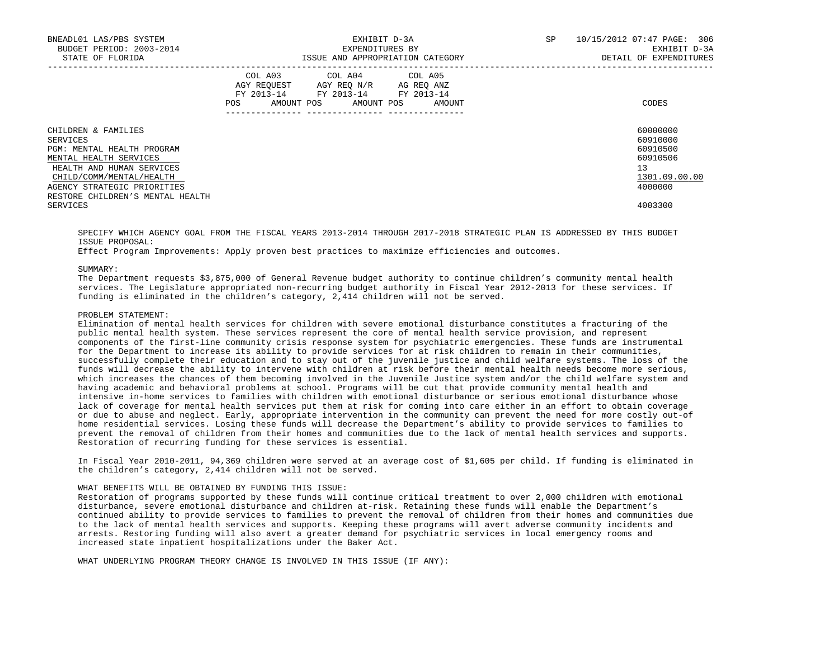| BNEADL01 LAS/PBS SYSTEM<br>BUDGET PERIOD: 2003-2014<br>STATE OF FLORIDA |     | EXHIBIT D-3A<br>EXPENDITURES BY<br>ISSUE AND APPROPRIATION CATEGORY                               | 10/15/2012 07:47 PAGE: 306<br>SP<br>EXHIBIT D-3A<br>DETAIL OF EXPENDITURES |               |  |
|-------------------------------------------------------------------------|-----|---------------------------------------------------------------------------------------------------|----------------------------------------------------------------------------|---------------|--|
|                                                                         |     |                                                                                                   |                                                                            |               |  |
|                                                                         | POS | COL A03 COL A04 COL A05<br>AGY REQUEST AGY REQ N/R AG REQ ANZ<br>FY 2013-14 FY 2013-14 FY 2013-14 | AMOUNT POS AMOUNT POS AMOUNT                                               | CODES         |  |
| CHILDREN & FAMILIES                                                     |     |                                                                                                   |                                                                            | 60000000      |  |
| SERVICES                                                                |     |                                                                                                   |                                                                            | 60910000      |  |
| PGM: MENTAL HEALTH PROGRAM                                              |     |                                                                                                   |                                                                            | 60910500      |  |
| MENTAL HEALTH SERVICES                                                  |     |                                                                                                   |                                                                            | 60910506      |  |
| HEALTH AND HUMAN SERVICES                                               |     |                                                                                                   |                                                                            | 13            |  |
| CHILD/COMM/MENTAL/HEALTH                                                |     |                                                                                                   |                                                                            | 1301.09.00.00 |  |
| AGENCY STRATEGIC PRIORITIES                                             |     |                                                                                                   |                                                                            | 4000000       |  |
| RESTORE CHILDREN'S MENTAL HEALTH                                        |     |                                                                                                   |                                                                            |               |  |
| SERVICES                                                                |     |                                                                                                   |                                                                            | 4003300       |  |

 SPECIFY WHICH AGENCY GOAL FROM THE FISCAL YEARS 2013-2014 THROUGH 2017-2018 STRATEGIC PLAN IS ADDRESSED BY THIS BUDGET ISSUE PROPOSAL:

Effect Program Improvements: Apply proven best practices to maximize efficiencies and outcomes.

SUMMARY:

 The Department requests \$3,875,000 of General Revenue budget authority to continue children's community mental health services. The Legislature appropriated non-recurring budget authority in Fiscal Year 2012-2013 for these services. If funding is eliminated in the children's category, 2,414 children will not be served.

# PROBLEM STATEMENT:

 Elimination of mental health services for children with severe emotional disturbance constitutes a fracturing of the public mental health system. These services represent the core of mental health service provision, and represent components of the first-line community crisis response system for psychiatric emergencies. These funds are instrumental for the Department to increase its ability to provide services for at risk children to remain in their communities, successfully complete their education and to stay out of the juvenile justice and child welfare systems. The loss of the funds will decrease the ability to intervene with children at risk before their mental health needs become more serious, which increases the chances of them becoming involved in the Juvenile Justice system and/or the child welfare system and having academic and behavioral problems at school. Programs will be cut that provide community mental health and intensive in-home services to families with children with emotional disturbance or serious emotional disturbance whose lack of coverage for mental health services put them at risk for coming into care either in an effort to obtain coverage or due to abuse and neglect. Early, appropriate intervention in the community can prevent the need for more costly out-of home residential services. Losing these funds will decrease the Department's ability to provide services to families to prevent the removal of children from their homes and communities due to the lack of mental health services and supports. Restoration of recurring funding for these services is essential.

 In Fiscal Year 2010-2011, 94,369 children were served at an average cost of \$1,605 per child. If funding is eliminated in the children's category, 2,414 children will not be served.

#### WHAT BENEFITS WILL BE OBTAINED BY FUNDING THIS ISSUE:

 Restoration of programs supported by these funds will continue critical treatment to over 2,000 children with emotional disturbance, severe emotional disturbance and children at-risk. Retaining these funds will enable the Department's continued ability to provide services to families to prevent the removal of children from their homes and communities due to the lack of mental health services and supports. Keeping these programs will avert adverse community incidents and arrests. Restoring funding will also avert a greater demand for psychiatric services in local emergency rooms and increased state inpatient hospitalizations under the Baker Act.

WHAT UNDERLYING PROGRAM THEORY CHANGE IS INVOLVED IN THIS ISSUE (IF ANY):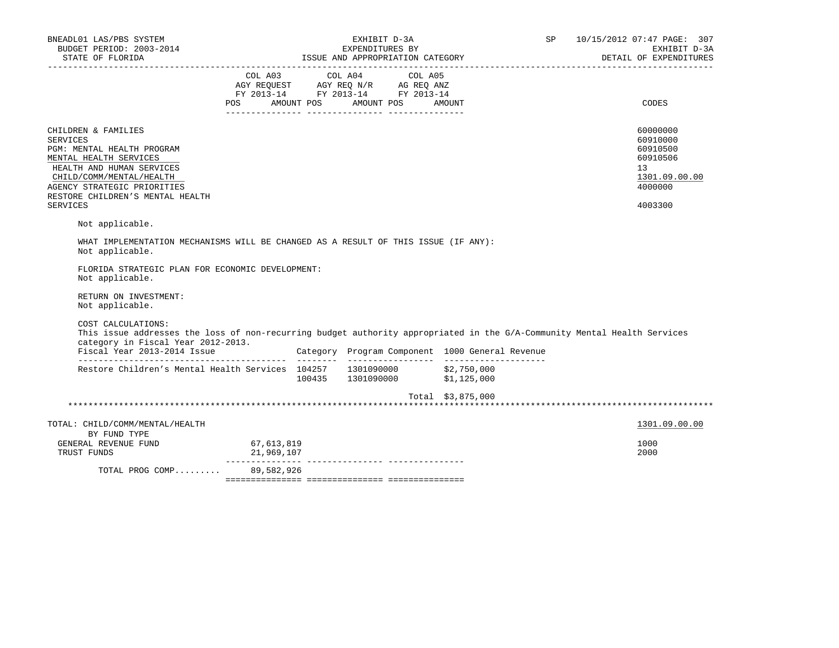| BNEADL01 LAS/PBS SYSTEM<br>BUDGET PERIOD: 2003-2014                                                                                                       |                                                                        |                 | EXHIBIT D-3A<br>EXPENDITURES BY |         | 10/15/2012 07:47 PAGE: 307<br>SP<br>EXHIBIT D-3A |  |                        |
|-----------------------------------------------------------------------------------------------------------------------------------------------------------|------------------------------------------------------------------------|-----------------|---------------------------------|---------|--------------------------------------------------|--|------------------------|
| STATE OF FLORIDA                                                                                                                                          |                                                                        |                 |                                 |         | ISSUE AND APPROPRIATION CATEGORY                 |  | DETAIL OF EXPENDITURES |
|                                                                                                                                                           |                                                                        | COL A03 COL A04 |                                 | COL A05 |                                                  |  |                        |
|                                                                                                                                                           | AGY REQUEST AGY REQ N/R AG REQ ANZ<br>FY 2013-14 FY 2013-14 FY 2013-14 |                 |                                 |         |                                                  |  |                        |
|                                                                                                                                                           | POS AMOUNT POS AMOUNT POS                                              |                 |                                 |         | AMOUNT                                           |  | CODES                  |
|                                                                                                                                                           |                                                                        |                 |                                 |         |                                                  |  |                        |
| CHILDREN & FAMILIES                                                                                                                                       |                                                                        |                 |                                 |         |                                                  |  | 60000000               |
| <b>SERVICES</b><br>PGM: MENTAL HEALTH PROGRAM                                                                                                             |                                                                        |                 |                                 |         |                                                  |  | 60910000<br>60910500   |
| MENTAL HEALTH SERVICES                                                                                                                                    |                                                                        |                 |                                 |         |                                                  |  | 60910506               |
| HEALTH AND HUMAN SERVICES                                                                                                                                 |                                                                        |                 |                                 |         |                                                  |  | 13                     |
| CHILD/COMM/MENTAL/HEALTH                                                                                                                                  |                                                                        |                 |                                 |         |                                                  |  | 1301.09.00.00          |
| AGENCY STRATEGIC PRIORITIES                                                                                                                               |                                                                        |                 |                                 |         |                                                  |  | 4000000                |
| RESTORE CHILDREN'S MENTAL HEALTH<br><b>SERVICES</b>                                                                                                       |                                                                        |                 |                                 |         |                                                  |  | 4003300                |
| Not applicable.                                                                                                                                           |                                                                        |                 |                                 |         |                                                  |  |                        |
| WHAT IMPLEMENTATION MECHANISMS WILL BE CHANGED AS A RESULT OF THIS ISSUE (IF ANY):<br>Not applicable.<br>FLORIDA STRATEGIC PLAN FOR ECONOMIC DEVELOPMENT: |                                                                        |                 |                                 |         |                                                  |  |                        |
| Not applicable.                                                                                                                                           |                                                                        |                 |                                 |         |                                                  |  |                        |
| RETURN ON INVESTMENT:<br>Not applicable.                                                                                                                  |                                                                        |                 |                                 |         |                                                  |  |                        |
| COST CALCULATIONS:<br>This issue addresses the loss of non-recurring budget authority appropriated in the G/A-Community Mental Health Services            |                                                                        |                 |                                 |         |                                                  |  |                        |
| category in Fiscal Year 2012-2013.                                                                                                                        |                                                                        |                 |                                 |         |                                                  |  |                        |
| Restore Children's Mental Health Services 104257 1301090000 \$2,750,000                                                                                   |                                                                        |                 |                                 |         | 100435 1301090000 \$1,125,000                    |  |                        |
|                                                                                                                                                           |                                                                        |                 |                                 |         | Total \$3,875,000                                |  |                        |
|                                                                                                                                                           |                                                                        |                 |                                 |         |                                                  |  |                        |
| TOTAL: CHILD/COMM/MENTAL/HEALTH<br>BY FUND TYPE                                                                                                           |                                                                        |                 |                                 |         |                                                  |  | 1301.09.00.00          |
| GENERAL REVENUE FUND                                                                                                                                      | 67,613,819                                                             |                 |                                 |         |                                                  |  | 1000                   |
| TRUST FUNDS                                                                                                                                               | 21,969,107                                                             |                 |                                 |         |                                                  |  | 2000                   |
| TOTAL PROG COMP                                                                                                                                           | 89,582,926                                                             |                 |                                 |         |                                                  |  |                        |
|                                                                                                                                                           |                                                                        |                 |                                 |         |                                                  |  |                        |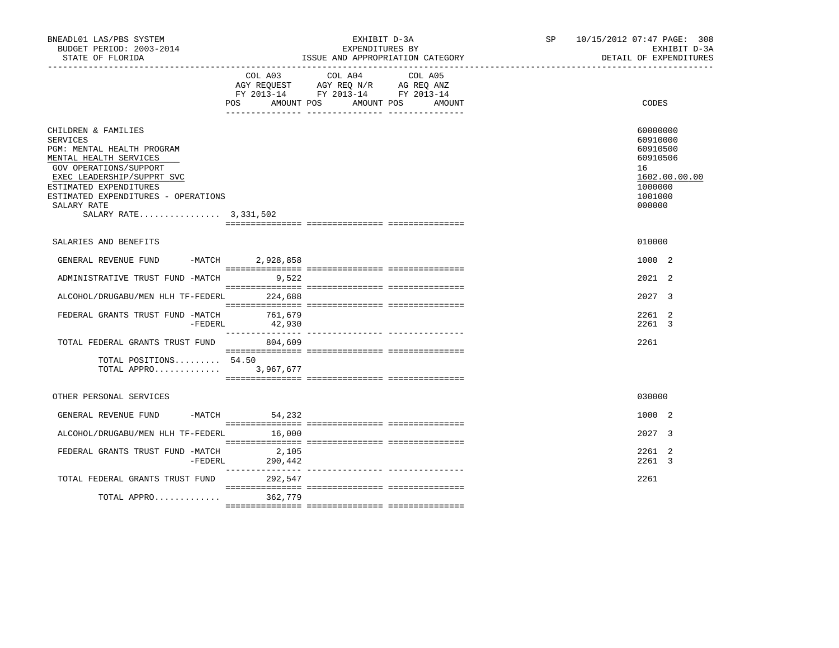| BNEADL01 LAS/PBS SYSTEM<br>BUDGET PERIOD: 2003-2014<br>STATE OF FLORIDA                                                                                                                                                                                  |                                                                                                                | EXHIBIT D-3A<br>EXPENDITURES BY<br>ISSUE AND APPROPRIATION CATEGORY                                                                     | SP 10/15/2012 07:47 PAGE: 308<br>EXHIBIT D-3A<br>DETAIL OF EXPENDITURES                             |
|----------------------------------------------------------------------------------------------------------------------------------------------------------------------------------------------------------------------------------------------------------|----------------------------------------------------------------------------------------------------------------|-----------------------------------------------------------------------------------------------------------------------------------------|-----------------------------------------------------------------------------------------------------|
|                                                                                                                                                                                                                                                          | POS FOR THE POST OF THE STATE STATE STATE STATE STATE STATE STATE STATE STATE STATE STATE STATE STATE STATE ST | COL A03 COL A04 COL A05<br>AGY REQUEST AGY REQ N/R AG REQ ANZ<br>FY 2013-14 FY 2013-14 FY 2013-14<br>AMOUNT POS<br>AMOUNT POS<br>AMOUNT | CODES                                                                                               |
| CHILDREN & FAMILIES<br>SERVICES<br>PGM: MENTAL HEALTH PROGRAM<br>MENTAL HEALTH SERVICES<br>GOV OPERATIONS/SUPPORT<br>EXEC LEADERSHIP/SUPPRT SVC<br>ESTIMATED EXPENDITURES<br>ESTIMATED EXPENDITURES - OPERATIONS<br>SALARY RATE<br>SALARY RATE 3,331,502 |                                                                                                                |                                                                                                                                         | 60000000<br>60910000<br>60910500<br>60910506<br>16<br>1602.00.00.00<br>1000000<br>1001000<br>000000 |
| SALARIES AND BENEFITS                                                                                                                                                                                                                                    |                                                                                                                |                                                                                                                                         | 010000                                                                                              |
| GENERAL REVENUE FUND -MATCH 2,928,858                                                                                                                                                                                                                    |                                                                                                                |                                                                                                                                         | 1000 2                                                                                              |
| ADMINISTRATIVE TRUST FUND -MATCH 9,522                                                                                                                                                                                                                   |                                                                                                                |                                                                                                                                         | 2021 2                                                                                              |
| ALCOHOL/DRUGABU/MEN HLH TF-FEDERL 224,688                                                                                                                                                                                                                |                                                                                                                |                                                                                                                                         | 2027 3                                                                                              |
| FEDERAL GRANTS TRUST FUND -MATCH<br>-FEDERL                                                                                                                                                                                                              | 761,679<br>42,930                                                                                              |                                                                                                                                         | 2261 2<br>2261 3                                                                                    |
| TOTAL FEDERAL GRANTS TRUST FUND                                                                                                                                                                                                                          | 804,609                                                                                                        |                                                                                                                                         | 2261                                                                                                |
| TOTAL POSITIONS 54.50<br>TOTAL APPRO 3,967,677                                                                                                                                                                                                           |                                                                                                                |                                                                                                                                         |                                                                                                     |
| OTHER PERSONAL SERVICES                                                                                                                                                                                                                                  |                                                                                                                |                                                                                                                                         | 030000                                                                                              |
| GENERAL REVENUE FUND                                                                                                                                                                                                                                     | -MATCH 54,232                                                                                                  |                                                                                                                                         | 1000 2                                                                                              |
| ALCOHOL/DRUGABU/MEN HLH TF-FEDERL 16,000                                                                                                                                                                                                                 |                                                                                                                |                                                                                                                                         | 2027 3                                                                                              |
| FEDERAL GRANTS TRUST FUND -MATCH<br>-FEDERL                                                                                                                                                                                                              | 2,105<br>290,442                                                                                               |                                                                                                                                         | 2261 2<br>2261 3                                                                                    |
| TOTAL FEDERAL GRANTS TRUST FUND                                                                                                                                                                                                                          | 292,547                                                                                                        |                                                                                                                                         | 2261                                                                                                |
| TOTAL APPRO                                                                                                                                                                                                                                              | 362,779                                                                                                        |                                                                                                                                         |                                                                                                     |
|                                                                                                                                                                                                                                                          |                                                                                                                |                                                                                                                                         |                                                                                                     |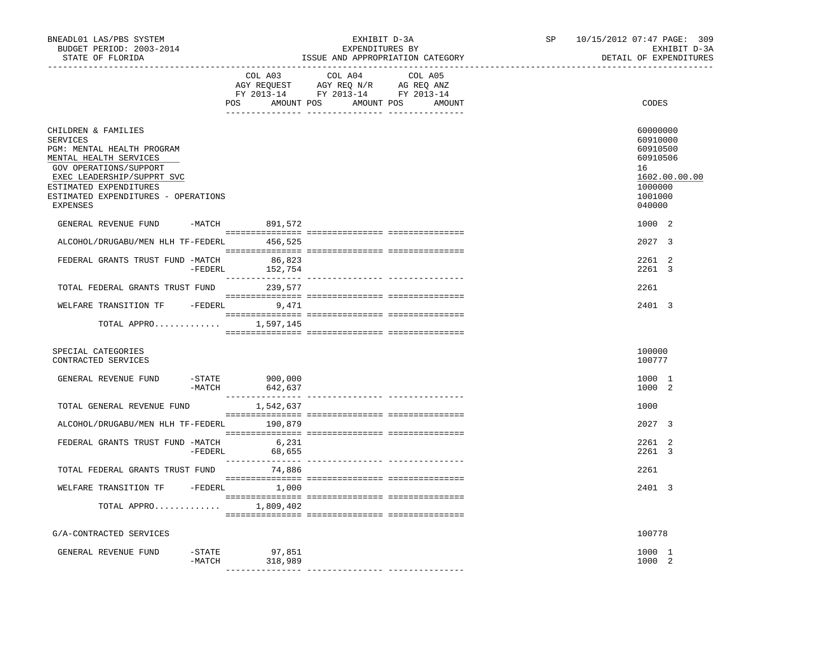| BNEADL01 LAS/PBS SYSTEM<br>BUDGET PERIOD: 2003-2014<br>STATE OF FLORIDA                                                                                                                                                             |                     |                    | EXHIBIT D-3A<br>EXPENDITURES BY<br>ISSUE AND APPROPRIATION CATEGORY                                                                                                                                                                                          | SP                                          | 10/15/2012 07:47 PAGE: 309<br>EXHIBIT D-3A<br>DETAIL OF EXPENDITURES |                                                                                                     |  |
|-------------------------------------------------------------------------------------------------------------------------------------------------------------------------------------------------------------------------------------|---------------------|--------------------|--------------------------------------------------------------------------------------------------------------------------------------------------------------------------------------------------------------------------------------------------------------|---------------------------------------------|----------------------------------------------------------------------|-----------------------------------------------------------------------------------------------------|--|
|                                                                                                                                                                                                                                     |                     | COL A03            | COL A04<br>$\begin{tabular}{lllllll} \bf AGY \;\; RegUEST\hspace{1cm}AGY \;\; REG\;\; N/R\hspace{1cm}AG \;\; REG \;\; ANZ \\ \hline \texttt{FY} \;\; 2013\text{--}14 & \texttt{FY} \;\; 2013\text{--}14 & \texttt{FY} \;\; 2013\text{--}14 \\ \end{tabular}$ | COL A05<br>POS AMOUNT POS AMOUNT POS AMOUNT |                                                                      | CODES                                                                                               |  |
| CHILDREN & FAMILIES<br>SERVICES<br>PGM: MENTAL HEALTH PROGRAM<br>MENTAL HEALTH SERVICES<br>GOV OPERATIONS/SUPPORT<br>EXEC LEADERSHIP/SUPPRT SVC<br>ESTIMATED EXPENDITURES<br>ESTIMATED EXPENDITURES - OPERATIONS<br><b>EXPENSES</b> |                     |                    |                                                                                                                                                                                                                                                              |                                             |                                                                      | 60000000<br>60910000<br>60910500<br>60910506<br>16<br>1602.00.00.00<br>1000000<br>1001000<br>040000 |  |
| GENERAL REVENUE FUND                                                                                                                                                                                                                |                     | -MATCH 891,572     |                                                                                                                                                                                                                                                              |                                             |                                                                      | 1000 2                                                                                              |  |
| ALCOHOL/DRUGABU/MEN HLH TF-FEDERL                                                                                                                                                                                                   |                     | 456,525            |                                                                                                                                                                                                                                                              |                                             |                                                                      | 2027 3                                                                                              |  |
| FEDERAL GRANTS TRUST FUND -MATCH                                                                                                                                                                                                    | -FEDERL             | 86,823<br>152,754  |                                                                                                                                                                                                                                                              |                                             |                                                                      | 2261 2<br>2261 3                                                                                    |  |
| TOTAL FEDERAL GRANTS TRUST FUND 239,577                                                                                                                                                                                             |                     |                    |                                                                                                                                                                                                                                                              |                                             |                                                                      | 2261                                                                                                |  |
| WELFARE TRANSITION TF -FEDERL 9,471                                                                                                                                                                                                 |                     |                    |                                                                                                                                                                                                                                                              |                                             |                                                                      | 2401 3                                                                                              |  |
| TOTAL APPRO 1,597,145                                                                                                                                                                                                               |                     |                    |                                                                                                                                                                                                                                                              |                                             |                                                                      |                                                                                                     |  |
| SPECIAL CATEGORIES<br>CONTRACTED SERVICES                                                                                                                                                                                           |                     |                    |                                                                                                                                                                                                                                                              |                                             |                                                                      | 100000<br>100777                                                                                    |  |
| GENERAL REVENUE FUND                                                                                                                                                                                                                | $-$ STATE<br>-MATCH | 900,000<br>642,637 |                                                                                                                                                                                                                                                              |                                             |                                                                      | 1000 1<br>1000 2                                                                                    |  |
| TOTAL GENERAL REVENUE FUND                                                                                                                                                                                                          |                     | 1,542,637          |                                                                                                                                                                                                                                                              |                                             |                                                                      | 1000                                                                                                |  |
| ALCOHOL/DRUGABU/MEN HLH TF-FEDERL 190,879                                                                                                                                                                                           |                     |                    |                                                                                                                                                                                                                                                              |                                             |                                                                      | 2027 3                                                                                              |  |
| FEDERAL GRANTS TRUST FUND -MATCH                                                                                                                                                                                                    | $-FEDERL$           | 6,231<br>68,655    |                                                                                                                                                                                                                                                              |                                             |                                                                      | 2261 2<br>2261 3                                                                                    |  |
| TOTAL FEDERAL GRANTS TRUST FUND 74,886                                                                                                                                                                                              |                     |                    |                                                                                                                                                                                                                                                              |                                             |                                                                      | 2261                                                                                                |  |
| WELFARE TRANSITION TF -FEDERL 1,000                                                                                                                                                                                                 |                     |                    |                                                                                                                                                                                                                                                              |                                             |                                                                      | 2401 3                                                                                              |  |
| TOTAL APPRO $1,809,402$                                                                                                                                                                                                             |                     |                    |                                                                                                                                                                                                                                                              |                                             |                                                                      |                                                                                                     |  |
| G/A-CONTRACTED SERVICES                                                                                                                                                                                                             |                     |                    |                                                                                                                                                                                                                                                              |                                             |                                                                      | 100778                                                                                              |  |
| GENERAL REVENUE FUND                                                                                                                                                                                                                | -STATE<br>-MATCH    | 97,851<br>318,989  |                                                                                                                                                                                                                                                              |                                             |                                                                      | 1000 1<br>1000 2                                                                                    |  |
|                                                                                                                                                                                                                                     |                     |                    |                                                                                                                                                                                                                                                              |                                             |                                                                      |                                                                                                     |  |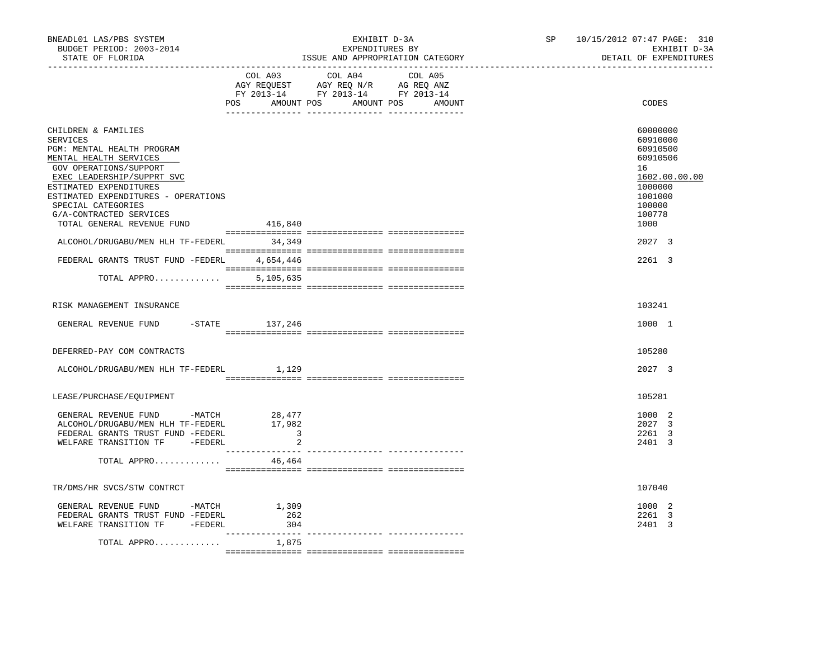| BNEADL01 LAS/PBS SYSTEM<br>BUDGET PERIOD: 2003-2014<br>STATE OF FLORIDA                                                                                                                                                                                           | _____________________________     | EXHIBIT D-3A<br>EXPENDITURES BY<br>ISSUE AND APPROPRIATION CATEGORY                                                           | SP | 10/15/2012 07:47 PAGE: 310<br>EXHIBIT D-3A<br>DETAIL OF EXPENDITURES                                          |  |  |
|-------------------------------------------------------------------------------------------------------------------------------------------------------------------------------------------------------------------------------------------------------------------|-----------------------------------|-------------------------------------------------------------------------------------------------------------------------------|----|---------------------------------------------------------------------------------------------------------------|--|--|
|                                                                                                                                                                                                                                                                   | COL A03                           | COL A04 COL A05<br>AGY REQUEST AGY REQ N/R AG REQ ANZ<br>FY 2013-14 FY 2013-14 FY 2013-14<br>POS AMOUNT POS AMOUNT POS AMOUNT |    | <b>CODES</b>                                                                                                  |  |  |
| CHILDREN & FAMILIES<br>SERVICES<br>PGM: MENTAL HEALTH PROGRAM<br>MENTAL HEALTH SERVICES<br>GOV OPERATIONS/SUPPORT<br>EXEC LEADERSHIP/SUPPRT SVC<br>ESTIMATED EXPENDITURES<br>ESTIMATED EXPENDITURES - OPERATIONS<br>SPECIAL CATEGORIES<br>G/A-CONTRACTED SERVICES |                                   |                                                                                                                               |    | 60000000<br>60910000<br>60910500<br>60910506<br>16<br>1602.00.00.00<br>1000000<br>1001000<br>100000<br>100778 |  |  |
| TOTAL GENERAL REVENUE FUND<br>ALCOHOL/DRUGABU/MEN HLH TF-FEDERL 34,349                                                                                                                                                                                            | 416,840                           |                                                                                                                               |    | 1000<br>2027 3                                                                                                |  |  |
| FEDERAL GRANTS TRUST FUND -FEDERL 4,654,446                                                                                                                                                                                                                       |                                   |                                                                                                                               |    | 2261 3                                                                                                        |  |  |
| TOTAL APPRO                                                                                                                                                                                                                                                       | 5,105,635                         |                                                                                                                               |    |                                                                                                               |  |  |
| RISK MANAGEMENT INSURANCE                                                                                                                                                                                                                                         |                                   |                                                                                                                               |    | 103241                                                                                                        |  |  |
| GENERAL REVENUE FUND -STATE 137,246                                                                                                                                                                                                                               |                                   |                                                                                                                               |    | 1000 1                                                                                                        |  |  |
| DEFERRED-PAY COM CONTRACTS                                                                                                                                                                                                                                        |                                   |                                                                                                                               |    | 105280                                                                                                        |  |  |
| ALCOHOL/DRUGABU/MEN HLH TF-FEDERL 1,129                                                                                                                                                                                                                           |                                   |                                                                                                                               |    | 2027 3                                                                                                        |  |  |
| LEASE/PURCHASE/EQUIPMENT                                                                                                                                                                                                                                          |                                   |                                                                                                                               |    | 105281                                                                                                        |  |  |
| GENERAL REVENUE FUND -MATCH 28,477<br>ALCOHOL/DRUGABU/MEN HLH TF-FEDERL<br>FEDERAL GRANTS TRUST FUND -FEDERL<br>WELFARE TRANSITION TF - FEDERL                                                                                                                    | 17,982<br>$\overline{\mathbf{3}}$ |                                                                                                                               |    | 1000 2<br>2027 3<br>2261 3<br>2401 3                                                                          |  |  |
| TOTAL APPRO                                                                                                                                                                                                                                                       | 46,464                            |                                                                                                                               |    |                                                                                                               |  |  |
| TR/DMS/HR SVCS/STW CONTRCT                                                                                                                                                                                                                                        |                                   |                                                                                                                               |    | 107040                                                                                                        |  |  |
| GENERAL REVENUE FUND -MATCH 1,309<br>FEDERAL GRANTS TRUST FUND -FEDERL<br>WELFARE TRANSITION TF - FEDERL                                                                                                                                                          | 262<br>304<br>_______________     |                                                                                                                               |    | 1000 2<br>2261 3<br>2401 3                                                                                    |  |  |
| TOTAL APPRO                                                                                                                                                                                                                                                       | 1,875                             |                                                                                                                               |    |                                                                                                               |  |  |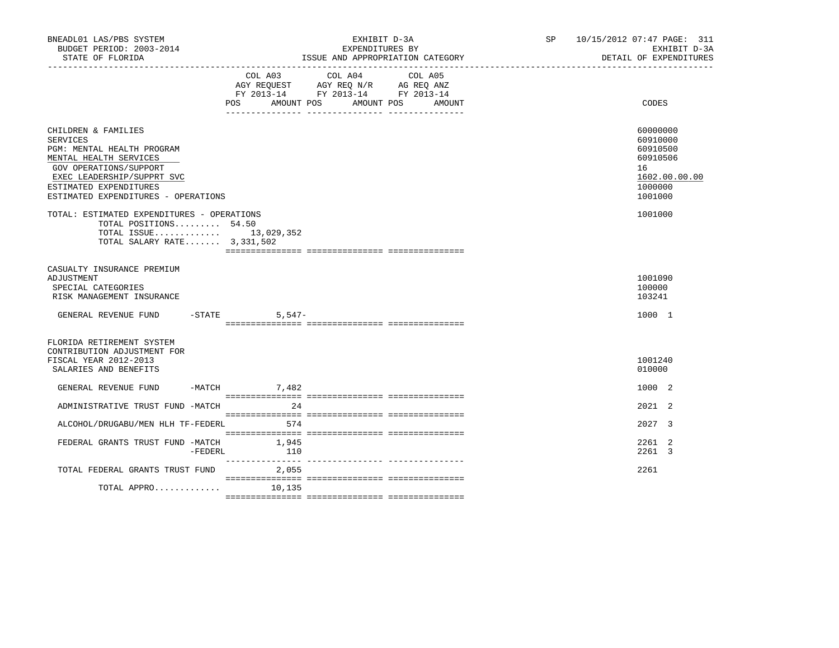| BNEADL01 LAS/PBS SYSTEM<br>BUDGET PERIOD: 2003-2014<br>STATE OF FLORIDA                                                                                                                                                 | EXHIBIT D-3A<br>EXPENDITURES BY<br>ISSUE AND APPROPRIATION CATEGORY                                                                                       |                   | SP 10/15/2012 07:47 PAGE: 311<br>EXHIBIT D-3A<br>DETAIL OF EXPENDITURES                   |
|-------------------------------------------------------------------------------------------------------------------------------------------------------------------------------------------------------------------------|-----------------------------------------------------------------------------------------------------------------------------------------------------------|-------------------|-------------------------------------------------------------------------------------------|
|                                                                                                                                                                                                                         | COL A04<br>COL A03<br>AGY REQUEST AGY REQ N/R AG REQ ANZ<br>FY 2013-14 FY 2013-14 FY 2013-14<br>POS<br>AMOUNT POS<br>AMOUNT POS<br>-- <i>------------</i> | COL A05<br>AMOUNT | CODES                                                                                     |
| CHILDREN & FAMILIES<br><b>SERVICES</b><br>PGM: MENTAL HEALTH PROGRAM<br>MENTAL HEALTH SERVICES<br>GOV OPERATIONS/SUPPORT<br>EXEC LEADERSHIP/SUPPRT SVC<br>ESTIMATED EXPENDITURES<br>ESTIMATED EXPENDITURES - OPERATIONS |                                                                                                                                                           |                   | 60000000<br>60910000<br>60910500<br>60910506<br>16<br>1602.00.00.00<br>1000000<br>1001000 |
| TOTAL: ESTIMATED EXPENDITURES - OPERATIONS<br>TOTAL POSITIONS 54.50<br>TOTAL ISSUE 13,029,352<br>TOTAL SALARY RATE $3,331,502$                                                                                          |                                                                                                                                                           |                   | 1001000                                                                                   |
| CASUALTY INSURANCE PREMIUM<br>ADJUSTMENT<br>SPECIAL CATEGORIES<br>RISK MANAGEMENT INSURANCE<br>GENERAL REVENUE FUND -STATE 5,547-                                                                                       |                                                                                                                                                           |                   | 1001090<br>100000<br>103241<br>1000 1                                                     |
|                                                                                                                                                                                                                         |                                                                                                                                                           |                   |                                                                                           |
| FLORIDA RETIREMENT SYSTEM<br>CONTRIBUTION ADJUSTMENT FOR<br>FISCAL YEAR 2012-2013<br>SALARIES AND BENEFITS                                                                                                              |                                                                                                                                                           |                   | 1001240<br>010000                                                                         |
| GENERAL REVENUE FUND                                                                                                                                                                                                    | $-MATCH$ 7,482                                                                                                                                            |                   | 1000 2                                                                                    |
| ADMINISTRATIVE TRUST FUND -MATCH                                                                                                                                                                                        | 2.4                                                                                                                                                       |                   | $2021$ 2                                                                                  |
| ALCOHOL/DRUGABU/MEN HLH TF-FEDERL                                                                                                                                                                                       | 574                                                                                                                                                       |                   | 2027 3                                                                                    |
| FEDERAL GRANTS TRUST FUND -MATCH<br>-FEDERL                                                                                                                                                                             | 1,945<br>110                                                                                                                                              |                   | 2261 2<br>2261 3                                                                          |
| TOTAL FEDERAL GRANTS TRUST FUND 2,055                                                                                                                                                                                   |                                                                                                                                                           |                   | 2261                                                                                      |
| TOTAL APPRO                                                                                                                                                                                                             | 10,135                                                                                                                                                    |                   |                                                                                           |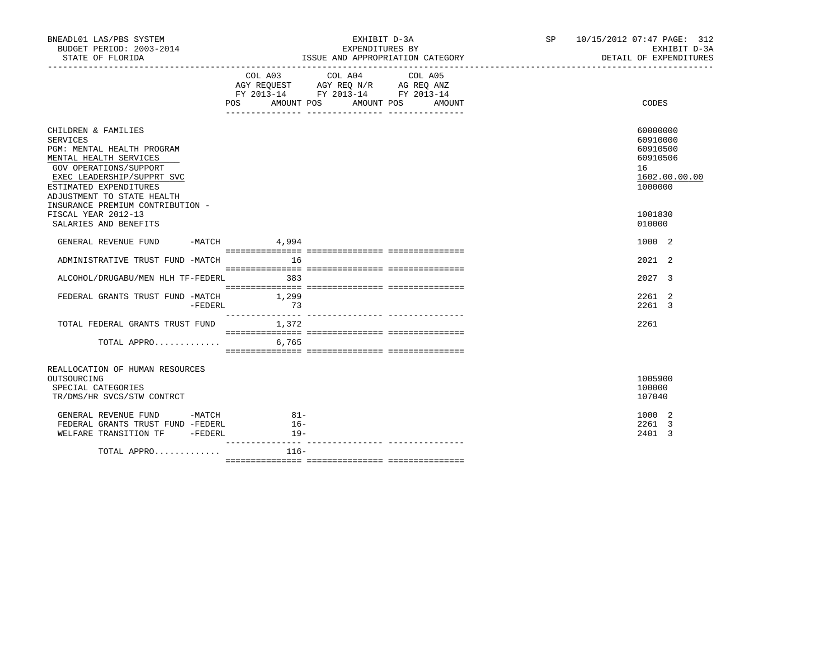| BNEADL01 LAS/PBS SYSTEM<br>BUDGET PERIOD: 2003-2014<br>STATE OF FLORIDA                                                                                                                                        |                          | EXHIBIT D-3A<br>EXPENDITURES BY<br>ISSUE AND APPROPRIATION CATEGORY                                                                   | SP 10/15/2012 07:47 PAGE: 312<br>EXHIBIT D-3A<br>DETAIL OF EXPENDITURES        |
|----------------------------------------------------------------------------------------------------------------------------------------------------------------------------------------------------------------|--------------------------|---------------------------------------------------------------------------------------------------------------------------------------|--------------------------------------------------------------------------------|
|                                                                                                                                                                                                                |                          | COL A03 COL A04 COL A05<br>AGY REQUEST AGY REQ N/R AG REQ ANZ<br>FY 2013-14 FY 2013-14 FY 2013-14<br>POS AMOUNT POS AMOUNT POS AMOUNT | CODES                                                                          |
| CHILDREN & FAMILIES<br><b>SERVICES</b><br>PGM: MENTAL HEALTH PROGRAM<br>MENTAL HEALTH SERVICES<br>GOV OPERATIONS/SUPPORT<br>EXEC LEADERSHIP/SUPPRT SVC<br>ESTIMATED EXPENDITURES<br>ADJUSTMENT TO STATE HEALTH |                          |                                                                                                                                       | 60000000<br>60910000<br>60910500<br>60910506<br>16<br>1602.00.00.00<br>1000000 |
| INSURANCE PREMIUM CONTRIBUTION -<br>FISCAL YEAR 2012-13<br>SALARIES AND BENEFITS                                                                                                                               |                          |                                                                                                                                       | 1001830<br>010000                                                              |
| GENERAL REVENUE FUND -MATCH 4,994                                                                                                                                                                              |                          |                                                                                                                                       | 1000 2                                                                         |
| ADMINISTRATIVE TRUST FUND -MATCH                                                                                                                                                                               | 16                       |                                                                                                                                       | $2021$ 2                                                                       |
| ALCOHOL/DRUGABU/MEN HLH TF-FEDERL 383                                                                                                                                                                          |                          |                                                                                                                                       | 2027 3                                                                         |
| FEDERAL GRANTS TRUST FUND -MATCH 1,299<br>$-{\tt FEDERL}$                                                                                                                                                      | 73                       |                                                                                                                                       | 2261 2<br>2261 3                                                               |
| TOTAL FEDERAL GRANTS TRUST FUND 1,372                                                                                                                                                                          |                          |                                                                                                                                       | 2261                                                                           |
| TOTAL APPRO                                                                                                                                                                                                    | 6,765                    |                                                                                                                                       |                                                                                |
| REALLOCATION OF HUMAN RESOURCES<br>OUTSOURCING<br>SPECIAL CATEGORIES<br>TR/DMS/HR SVCS/STW CONTRCT                                                                                                             |                          |                                                                                                                                       | 1005900<br>100000<br>107040                                                    |
| GENERAL REVENUE FUND -MATCH<br>FEDERAL GRANTS TRUST FUND -FEDERL<br>WELFARE TRANSITION TF -FEDERL                                                                                                              | $81 -$<br>$16-$<br>$19-$ |                                                                                                                                       | 1000 2<br>2261 3<br>2401 3                                                     |
| TOTAL APPRO                                                                                                                                                                                                    | $116-$                   |                                                                                                                                       |                                                                                |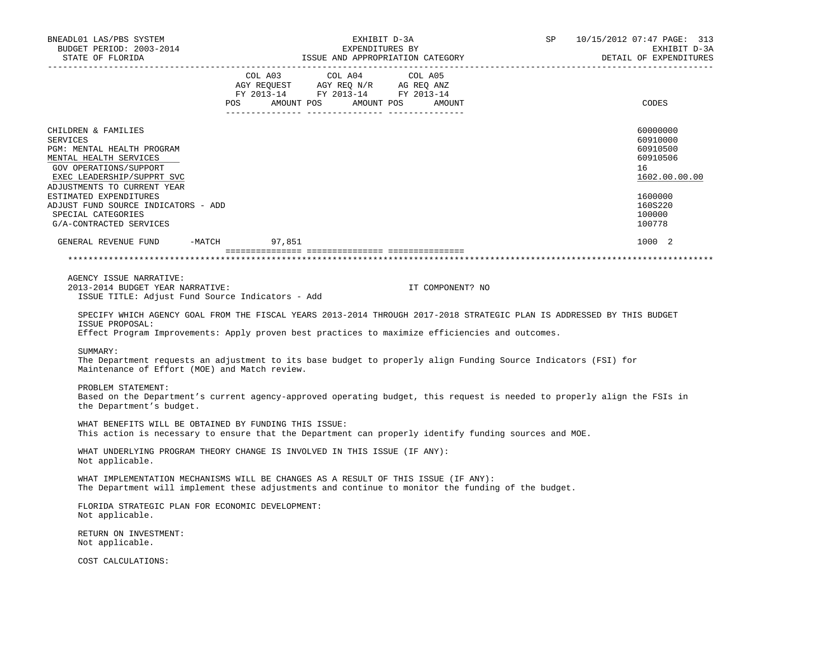| BNEADL01 LAS/PBS SYSTEM<br>EXHIBIT D-3A<br>BUDGET PERIOD: 2003-2014<br>EXPENDITURES BY<br>ISSUE AND APPROPRIATION CATEGORY                                                                                                                                                                              |                                                                                                                               |  | 10/15/2012 07:47 PAGE: 313<br>SP 5<br>EXHIBIT D-3A |  |                                                                                                               |  |
|---------------------------------------------------------------------------------------------------------------------------------------------------------------------------------------------------------------------------------------------------------------------------------------------------------|-------------------------------------------------------------------------------------------------------------------------------|--|----------------------------------------------------|--|---------------------------------------------------------------------------------------------------------------|--|
| STATE OF FLORIDA                                                                                                                                                                                                                                                                                        |                                                                                                                               |  |                                                    |  | DETAIL OF EXPENDITURES                                                                                        |  |
|                                                                                                                                                                                                                                                                                                         | COL A03 COL A04<br>AGY REQUEST AGY REQ N/R AG REQ ANZ<br>FY 2013-14 FY 2013-14 FY 2013-14<br>POS AMOUNT POS AMOUNT POS AMOUNT |  | COL A05                                            |  | CODES                                                                                                         |  |
| CHILDREN & FAMILIES<br><b>SERVICES</b><br>PGM: MENTAL HEALTH PROGRAM<br>MENTAL HEALTH SERVICES<br>GOV OPERATIONS/SUPPORT<br>EXEC LEADERSHIP/SUPPRT SVC<br>ADJUSTMENTS TO CURRENT YEAR<br>ESTIMATED EXPENDITURES<br>ADJUST FUND SOURCE INDICATORS - ADD<br>SPECIAL CATEGORIES<br>G/A-CONTRACTED SERVICES |                                                                                                                               |  |                                                    |  | 60000000<br>60910000<br>60910500<br>60910506<br>16<br>1602.00.00.00<br>1600000<br>160S220<br>100000<br>100778 |  |
|                                                                                                                                                                                                                                                                                                         |                                                                                                                               |  |                                                    |  | 1000 2                                                                                                        |  |
|                                                                                                                                                                                                                                                                                                         |                                                                                                                               |  |                                                    |  |                                                                                                               |  |
| AGENCY ISSUE NARRATIVE:<br>2013-2014 BUDGET YEAR NARRATIVE:<br>ISSUE TITLE: Adjust Fund Source Indicators - Add<br>SPECIFY WHICH AGENCY GOAL FROM THE FISCAL YEARS 2013-2014 THROUGH 2017-2018 STRATEGIC PLAN IS ADDRESSED BY THIS BUDGET<br>ISSUE PROPOSAL:                                            |                                                                                                                               |  | IT COMPONENT? NO                                   |  |                                                                                                               |  |
| Effect Program Improvements: Apply proven best practices to maximize efficiencies and outcomes.                                                                                                                                                                                                         |                                                                                                                               |  |                                                    |  |                                                                                                               |  |
| SUMMARY:<br>The Department requests an adjustment to its base budget to properly align Funding Source Indicators (FSI) for<br>Maintenance of Effort (MOE) and Match review.                                                                                                                             |                                                                                                                               |  |                                                    |  |                                                                                                               |  |
| PROBLEM STATEMENT:<br>Based on the Department's current agency-approved operating budget, this request is needed to properly align the FSIs in<br>the Department's budget.                                                                                                                              |                                                                                                                               |  |                                                    |  |                                                                                                               |  |
| WHAT BENEFITS WILL BE OBTAINED BY FUNDING THIS ISSUE:<br>This action is necessary to ensure that the Department can properly identify funding sources and MOE.                                                                                                                                          |                                                                                                                               |  |                                                    |  |                                                                                                               |  |
| WHAT UNDERLYING PROGRAM THEORY CHANGE IS INVOLVED IN THIS ISSUE (IF ANY):<br>Not applicable.                                                                                                                                                                                                            |                                                                                                                               |  |                                                    |  |                                                                                                               |  |
| WHAT IMPLEMENTATION MECHANISMS WILL BE CHANGES AS A RESULT OF THIS ISSUE (IF ANY):<br>The Department will implement these adjustments and continue to monitor the funding of the budget.                                                                                                                |                                                                                                                               |  |                                                    |  |                                                                                                               |  |
| FLORIDA STRATEGIC PLAN FOR ECONOMIC DEVELOPMENT:<br>Not applicable.                                                                                                                                                                                                                                     |                                                                                                                               |  |                                                    |  |                                                                                                               |  |
| RETURN ON INVESTMENT:<br>Not applicable.                                                                                                                                                                                                                                                                |                                                                                                                               |  |                                                    |  |                                                                                                               |  |
| COST CALCULATIONS:                                                                                                                                                                                                                                                                                      |                                                                                                                               |  |                                                    |  |                                                                                                               |  |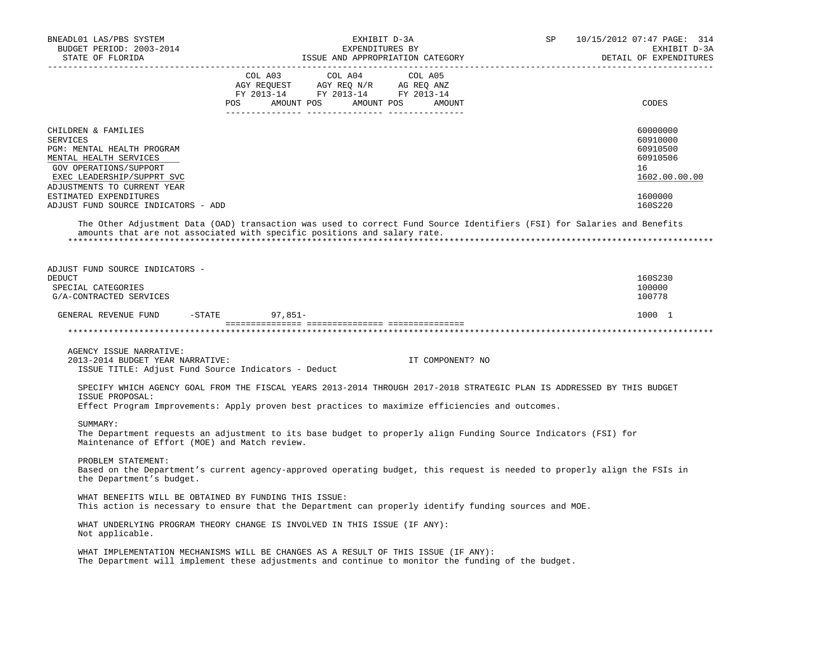| BNEADL01 LAS/PBS SYSTEM<br>BUDGET PERIOD: 2003-2014<br>STATE OF FLORIDA                                                                                                                                                                                | EXHIBIT D-3A<br>EXPENDITURES BY<br>ISSUE AND APPROPRIATION CATEGORY                                                                                                                                                                                                               | SP | 10/15/2012 07:47 PAGE: 314<br>EXHIBIT D-3A<br>DETAIL OF EXPENDITURES                      |
|--------------------------------------------------------------------------------------------------------------------------------------------------------------------------------------------------------------------------------------------------------|-----------------------------------------------------------------------------------------------------------------------------------------------------------------------------------------------------------------------------------------------------------------------------------|----|-------------------------------------------------------------------------------------------|
|                                                                                                                                                                                                                                                        | COL A03<br>COL A04<br>COL A05<br>$\begin{tabular}{lllllllll} \bf AGY & \bf REQUEST & \bf AGY & \bf REQ & \bf NY & \bf AG & \bf REQ & \bf ANZ \\ \bf FY & \tt 2013-14 & \bf FY & \tt 2013-14 & \bf FY & \tt 2013-14 \\ \end{tabular}$<br>AMOUNT POS<br>AMOUNT POS<br>POS<br>AMOUNT |    | CODES                                                                                     |
| CHILDREN & FAMILIES<br><b>SERVICES</b><br>PGM: MENTAL HEALTH PROGRAM<br>MENTAL HEALTH SERVICES<br>GOV OPERATIONS/SUPPORT<br>EXEC LEADERSHIP/SUPPRT SVC<br>ADJUSTMENTS TO CURRENT YEAR<br>ESTIMATED EXPENDITURES<br>ADJUST FUND SOURCE INDICATORS - ADD |                                                                                                                                                                                                                                                                                   |    | 60000000<br>60910000<br>60910500<br>60910506<br>16<br>1602.00.00.00<br>1600000<br>160S220 |
|                                                                                                                                                                                                                                                        | The Other Adjustment Data (OAD) transaction was used to correct Fund Source Identifiers (FSI) for Salaries and Benefits<br>amounts that are not associated with specific positions and salary rate.                                                                               |    |                                                                                           |
| ADJUST FUND SOURCE INDICATORS -<br><b>DEDUCT</b><br>SPECIAL CATEGORIES<br>G/A-CONTRACTED SERVICES<br>GENERAL REVENUE FUND -STATE                                                                                                                       | $97,851-$                                                                                                                                                                                                                                                                         |    | 160S230<br>100000<br>100778<br>1000 1                                                     |
|                                                                                                                                                                                                                                                        |                                                                                                                                                                                                                                                                                   |    |                                                                                           |
| AGENCY ISSUE NARRATIVE:<br>2013-2014 BUDGET YEAR NARRATIVE:<br>ISSUE TITLE: Adjust Fund Source Indicators - Deduct<br>ISSUE PROPOSAL:                                                                                                                  | IT COMPONENT? NO<br>SPECIFY WHICH AGENCY GOAL FROM THE FISCAL YEARS 2013-2014 THROUGH 2017-2018 STRATEGIC PLAN IS ADDRESSED BY THIS BUDGET<br>Effect Program Improvements: Apply proven best practices to maximize efficiencies and outcomes.                                     |    |                                                                                           |
| SUMMARY:<br>Maintenance of Effort (MOE) and Match review.                                                                                                                                                                                              | The Department requests an adjustment to its base budget to properly align Funding Source Indicators (FSI) for                                                                                                                                                                    |    |                                                                                           |
| PROBLEM STATEMENT:<br>the Department's budget.                                                                                                                                                                                                         | Based on the Department's current agency-approved operating budget, this request is needed to properly align the FSIs in                                                                                                                                                          |    |                                                                                           |
| WHAT BENEFITS WILL BE OBTAINED BY FUNDING THIS ISSUE:                                                                                                                                                                                                  | This action is necessary to ensure that the Department can properly identify funding sources and MOE.                                                                                                                                                                             |    |                                                                                           |
| Not applicable.                                                                                                                                                                                                                                        | WHAT UNDERLYING PROGRAM THEORY CHANGE IS INVOLVED IN THIS ISSUE (IF ANY):                                                                                                                                                                                                         |    |                                                                                           |
|                                                                                                                                                                                                                                                        | WHAT IMPLEMENTATION MECHANISMS WILL BE CHANGES AS A RESULT OF THIS ISSUE (IF ANY):<br>The Department will implement these adjustments and continue to monitor the funding of the budget.                                                                                          |    |                                                                                           |
|                                                                                                                                                                                                                                                        |                                                                                                                                                                                                                                                                                   |    |                                                                                           |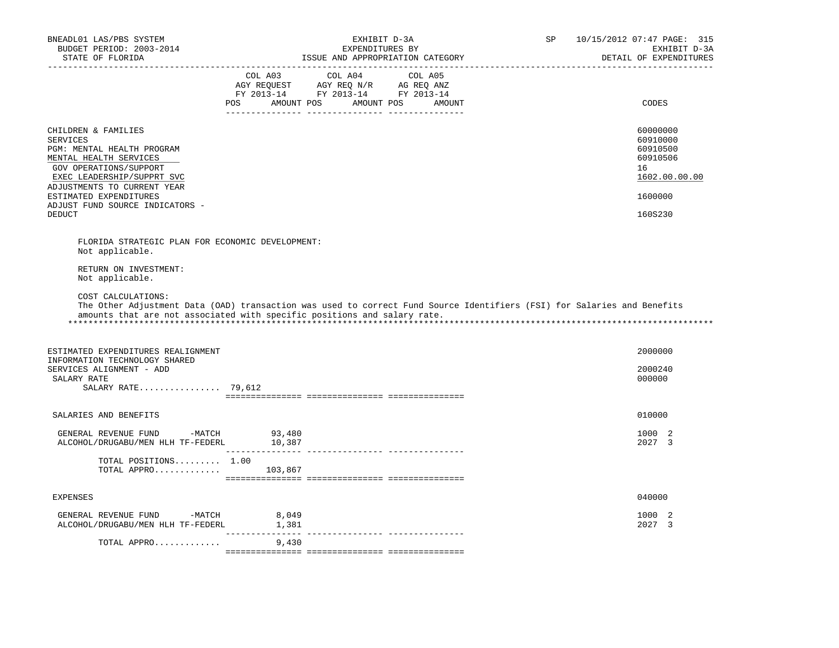| BNEADL01 LAS/PBS SYSTEM<br>BUDGET PERIOD: 2003-2014<br>STATE OF FLORIDA                                                                                                               | EXHIBIT D-3A<br>EXPENDITURES BY<br>ISSUE AND APPROPRIATION CATEGORY                                                                                                                                                                                                      | SP<br>10/15/2012 07:47 PAGE: 315<br>EXHIBIT D-3A<br>DETAIL OF EXPENDITURES |
|---------------------------------------------------------------------------------------------------------------------------------------------------------------------------------------|--------------------------------------------------------------------------------------------------------------------------------------------------------------------------------------------------------------------------------------------------------------------------|----------------------------------------------------------------------------|
|                                                                                                                                                                                       | COL A03 COL A04<br>COL A05<br>$\begin{tabular}{lllllllll} \bf AGY \,\,\, REQUEST \,\,\, & \bf AGY \,\, REQ \,\, N/R & \,\, AC \,\, REQ \,\, ANZ \\ \bf FY \,\, 2013-14 & \bf FY \,\, 2013-14 & \bf FY \,\, 2013-14 \\ \end{tabular}$<br>POS AMOUNT POS AMOUNT POS AMOUNT | CODES                                                                      |
| CHILDREN & FAMILIES<br><b>SERVICES</b><br>PGM: MENTAL HEALTH PROGRAM<br>MENTAL HEALTH SERVICES<br>GOV OPERATIONS/SUPPORT<br>EXEC LEADERSHIP/SUPPRT SVC<br>ADJUSTMENTS TO CURRENT YEAR |                                                                                                                                                                                                                                                                          | 60000000<br>60910000<br>60910500<br>60910506<br>16<br>1602.00.00.00        |
| ESTIMATED EXPENDITURES<br>ADJUST FUND SOURCE INDICATORS -                                                                                                                             |                                                                                                                                                                                                                                                                          | 1600000                                                                    |
| <b>DEDUCT</b>                                                                                                                                                                         |                                                                                                                                                                                                                                                                          | 160S230                                                                    |
| FLORIDA STRATEGIC PLAN FOR ECONOMIC DEVELOPMENT:<br>Not applicable.<br>RETURN ON INVESTMENT:<br>Not applicable.                                                                       |                                                                                                                                                                                                                                                                          |                                                                            |
| COST CALCULATIONS:                                                                                                                                                                    | The Other Adjustment Data (OAD) transaction was used to correct Fund Source Identifiers (FSI) for Salaries and Benefits<br>amounts that are not associated with specific positions and salary rate.                                                                      |                                                                            |
| ESTIMATED EXPENDITURES REALIGNMENT                                                                                                                                                    |                                                                                                                                                                                                                                                                          | 2000000                                                                    |
| INFORMATION TECHNOLOGY SHARED<br>SERVICES ALIGNMENT - ADD                                                                                                                             |                                                                                                                                                                                                                                                                          | 2000240                                                                    |
| SALARY RATE<br>SALARY RATE $79,612$                                                                                                                                                   |                                                                                                                                                                                                                                                                          | 000000                                                                     |
|                                                                                                                                                                                       |                                                                                                                                                                                                                                                                          |                                                                            |
| SALARIES AND BENEFITS                                                                                                                                                                 |                                                                                                                                                                                                                                                                          | 010000                                                                     |
| GENERAL REVENUE FUND -MATCH<br>ALCOHOL/DRUGABU/MEN HLH TF-FEDERL 10,387                                                                                                               | 93,480                                                                                                                                                                                                                                                                   | 1000 2<br>2027 3                                                           |
| TOTAL POSITIONS 1.00<br>TOTAL APPRO $103,867$                                                                                                                                         |                                                                                                                                                                                                                                                                          |                                                                            |
| <b>EXPENSES</b>                                                                                                                                                                       |                                                                                                                                                                                                                                                                          | 040000                                                                     |
| GENERAL REVENUE FUND -MATCH<br>ALCOHOL/DRUGABU/MEN HLH TF-FEDERL                                                                                                                      | 8,049<br>1,381                                                                                                                                                                                                                                                           | 1000 2<br>2027 3                                                           |
| TOTAL APPRO                                                                                                                                                                           | 9,430                                                                                                                                                                                                                                                                    |                                                                            |
|                                                                                                                                                                                       |                                                                                                                                                                                                                                                                          |                                                                            |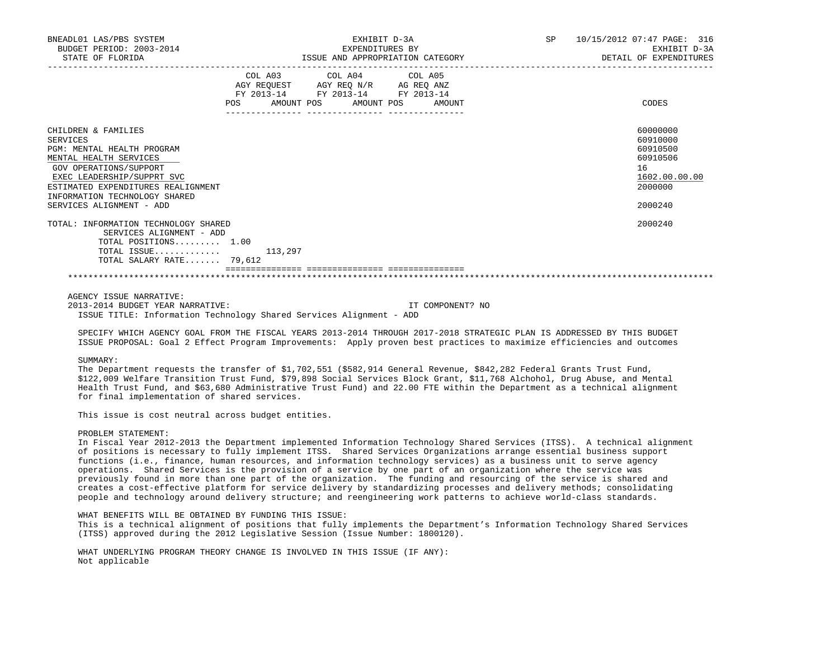| BNEADL01 LAS/PBS SYSTEM<br>BUDGET PERIOD: 2003-2014<br>STATE OF FLORIDA                                                                                                                                                                                   | EXHIBIT D-3A<br>EXPENDITURES BY<br>ISSUE AND APPROPRIATION CATEGORY<br>------------- |                                                                                                                                                                                                                                                                                                                                                                                                                                                                                                                    |  | SP 10/15/2012 07:47 PAGE: 316<br>EXHIBIT D-3A<br>DETAIL OF EXPENDITURES                   |
|-----------------------------------------------------------------------------------------------------------------------------------------------------------------------------------------------------------------------------------------------------------|--------------------------------------------------------------------------------------|--------------------------------------------------------------------------------------------------------------------------------------------------------------------------------------------------------------------------------------------------------------------------------------------------------------------------------------------------------------------------------------------------------------------------------------------------------------------------------------------------------------------|--|-------------------------------------------------------------------------------------------|
|                                                                                                                                                                                                                                                           |                                                                                      | COL A03 COL A04 COL A05<br>$\begin{tabular}{lllllll} \bf AGY \,\, & & & & & & & \\ \bf AGY \,\, & & & & & & \\ \bf FY \,\, & & & & & \\ \bf FY \,\, & & & & & \\ \bf PY \,\, & & & & & \\ \bf ZQ \, & & & & & \\ \bf ZQ \, & & & & & \\ \bf ZQ \, & & & & & \\ \bf ZQ \, & & & & & \\ \bf ZQ \, & & & & & \\ \bf ZQ \, & & & & & \\ \bf ZQ \, & & & & & \\ \bf ZQ \, & & & & & \\ \bf ZQ \, & & & & & \\ \bf ZQ \, & & & & & \\ \bf ZQ \, & & & & & \\ \bf ZQ \, & & & & & \\$<br>POS AMOUNT POS AMOUNT POS AMOUNT |  | CODES                                                                                     |
| CHILDREN & FAMILIES<br><b>SERVICES</b><br>PGM: MENTAL HEALTH PROGRAM<br>MENTAL HEALTH SERVICES<br>GOV OPERATIONS/SUPPORT<br>EXEC LEADERSHIP/SUPPRT SVC<br>ESTIMATED EXPENDITURES REALIGNMENT<br>INFORMATION TECHNOLOGY SHARED<br>SERVICES ALIGNMENT - ADD |                                                                                      |                                                                                                                                                                                                                                                                                                                                                                                                                                                                                                                    |  | 60000000<br>60910000<br>60910500<br>60910506<br>16<br>1602.00.00.00<br>2000000<br>2000240 |
| TOTAL: INFORMATION TECHNOLOGY SHARED<br>SERVICES ALIGNMENT - ADD<br>TOTAL POSITIONS 1.00<br>$TOTAL$ $ISSUE$ 113,297<br>TOTAL SALARY RATE 79,612                                                                                                           |                                                                                      |                                                                                                                                                                                                                                                                                                                                                                                                                                                                                                                    |  | 2000240                                                                                   |
|                                                                                                                                                                                                                                                           |                                                                                      |                                                                                                                                                                                                                                                                                                                                                                                                                                                                                                                    |  |                                                                                           |

AGENCY ISSUE NARRATIVE:

 2013-2014 BUDGET YEAR NARRATIVE: IT COMPONENT? NO ISSUE TITLE: Information Technology Shared Services Alignment - ADD

 SPECIFY WHICH AGENCY GOAL FROM THE FISCAL YEARS 2013-2014 THROUGH 2017-2018 STRATEGIC PLAN IS ADDRESSED BY THIS BUDGET ISSUE PROPOSAL: Goal 2 Effect Program Improvements: Apply proven best practices to maximize efficiencies and outcomes

#### SUMMARY:

 The Department requests the transfer of \$1,702,551 (\$582,914 General Revenue, \$842,282 Federal Grants Trust Fund, \$122,009 Welfare Transition Trust Fund, \$79,898 Social Services Block Grant, \$11,768 Alchohol, Drug Abuse, and Mental Health Trust Fund, and \$63,680 Administrative Trust Fund) and 22.00 FTE within the Department as a technical alignment for final implementation of shared services.

This issue is cost neutral across budget entities.

# PROBLEM STATEMENT:

 In Fiscal Year 2012-2013 the Department implemented Information Technology Shared Services (ITSS). A technical alignment of positions is necessary to fully implement ITSS. Shared Services Organizations arrange essential business support functions (i.e., finance, human resources, and information technology services) as a business unit to serve agency operations. Shared Services is the provision of a service by one part of an organization where the service was previously found in more than one part of the organization. The funding and resourcing of the service is shared and creates a cost-effective platform for service delivery by standardizing processes and delivery methods; consolidating people and technology around delivery structure; and reengineering work patterns to achieve world-class standards.

WHAT BENEFITS WILL BE OBTAINED BY FUNDING THIS ISSUE:

 This is a technical alignment of positions that fully implements the Department's Information Technology Shared Services (ITSS) approved during the 2012 Legislative Session (Issue Number: 1800120).

 WHAT UNDERLYING PROGRAM THEORY CHANGE IS INVOLVED IN THIS ISSUE (IF ANY): Not applicable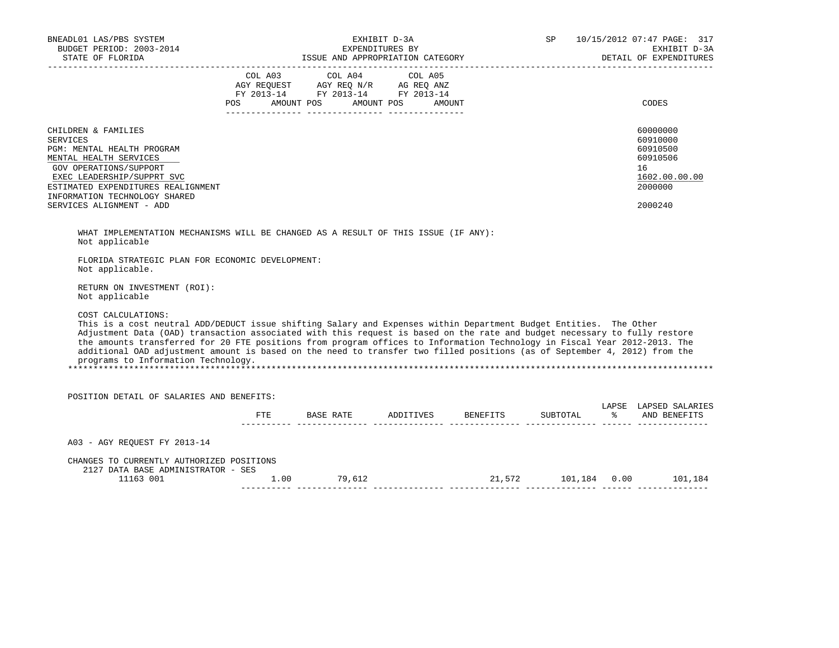| BNEADL01 LAS/PBS SYSTEM<br>EADLUI DASTEL CITAT<br>BUDGET PERIOD: 2003-2014<br>STATE OF FLORIDA                                                                                                                                                                                                                                                                                                                                                                                                                                                                                                                                                                                                                                                                                                        |                                                                                                                                                                                                | EXHIBIT D-3A<br>EXPENDITURES BY |                                           |  | SP 10/15/2012 07:47 PAGE: 317<br>EXHIBIT D-3A                                             |
|-------------------------------------------------------------------------------------------------------------------------------------------------------------------------------------------------------------------------------------------------------------------------------------------------------------------------------------------------------------------------------------------------------------------------------------------------------------------------------------------------------------------------------------------------------------------------------------------------------------------------------------------------------------------------------------------------------------------------------------------------------------------------------------------------------|------------------------------------------------------------------------------------------------------------------------------------------------------------------------------------------------|---------------------------------|-------------------------------------------|--|-------------------------------------------------------------------------------------------|
|                                                                                                                                                                                                                                                                                                                                                                                                                                                                                                                                                                                                                                                                                                                                                                                                       | $\begin{tabular}{lcccc} COL A03 & COL A04 & COL A05 \\ AGY REQUEST & AGY REQ N/R & AG REQ ANZ \\ FY & 2013-14 & FY & 2013-14 & FY & 2013-14 \end{tabular}$<br>POS AMOUNT POS AMOUNT POS AMOUNT |                                 |                                           |  | CODES                                                                                     |
| CHILDREN & FAMILIES<br><b>SERVICES</b><br>PGM: MENTAL HEALTH PROGRAM<br>MENTAL HEALTH SERVICES<br>GOV OPERATIONS/SUPPORT<br>EXEC LEADERSHIP/SUPPRT SVC<br>ESTIMATED EXPENDITURES REALIGNMENT<br>INFORMATION TECHNOLOGY SHARED<br>SERVICES ALIGNMENT - ADD                                                                                                                                                                                                                                                                                                                                                                                                                                                                                                                                             |                                                                                                                                                                                                |                                 |                                           |  | 60000000<br>60910000<br>60910500<br>60910506<br>16<br>1602.00.00.00<br>2000000<br>2000240 |
| WHAT IMPLEMENTATION MECHANISMS WILL BE CHANGED AS A RESULT OF THIS ISSUE (IF ANY):<br>Not applicable<br>FLORIDA STRATEGIC PLAN FOR ECONOMIC DEVELOPMENT:<br>Not applicable.<br>RETURN ON INVESTMENT (ROI):<br>Not applicable<br>COST CALCULATIONS:<br>This is a cost neutral ADD/DEDUCT issue shifting Salary and Expenses within Department Budget Entities. The Other<br>Adjustment Data (OAD) transaction associated with this request is based on the rate and budget necessary to fully restore<br>the amounts transferred for 20 FTE positions from program offices to Information Technology in Fiscal Year 2012-2013. The<br>additional OAD adjustment amount is based on the need to transfer two filled positions (as of September 4, 2012) from the<br>programs to Information Technology. |                                                                                                                                                                                                |                                 |                                           |  |                                                                                           |
| POSITION DETAIL OF SALARIES AND BENEFITS:                                                                                                                                                                                                                                                                                                                                                                                                                                                                                                                                                                                                                                                                                                                                                             |                                                                                                                                                                                                |                                 |                                           |  |                                                                                           |
|                                                                                                                                                                                                                                                                                                                                                                                                                                                                                                                                                                                                                                                                                                                                                                                                       |                                                                                                                                                                                                |                                 | FTE BASE RATE ADDITIVES BENEFITS SUBTOTAL |  | LAPSE LAPSED SALARIES<br>% AND BENEFITS                                                   |
| A03 - AGY REQUEST FY 2013-14                                                                                                                                                                                                                                                                                                                                                                                                                                                                                                                                                                                                                                                                                                                                                                          |                                                                                                                                                                                                |                                 |                                           |  |                                                                                           |
| CHANGES TO CURRENTLY AUTHORIZED POSITIONS<br>2127 DATA BASE ADMINISTRATOR - SES<br>11163 001                                                                                                                                                                                                                                                                                                                                                                                                                                                                                                                                                                                                                                                                                                          | $1.00$ 79,612                                                                                                                                                                                  |                                 |                                           |  | $21,572 \qquad \qquad 101,184 \qquad 0.00 \qquad \qquad 101,184$                          |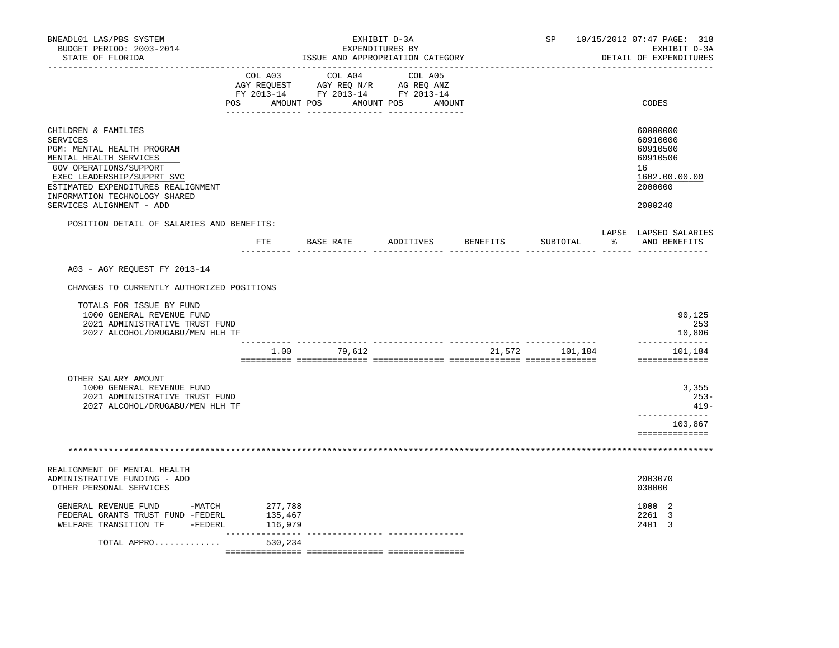| BNEADL01 LAS/PBS SYSTEM<br>BUDGET PERIOD: 2003-2014<br>STATE OF FLORIDA                                                                                                                                                       |                               | EXHIBIT D-3A<br>EXPENDITURES BY<br>ISSUE AND APPROPRIATION CATEGORY                                                                                                                            |           | SP       | 10/15/2012 07:47 PAGE: 318<br>EXHIBIT D-3A<br>DETAIL OF EXPENDITURES |                                                                                |
|-------------------------------------------------------------------------------------------------------------------------------------------------------------------------------------------------------------------------------|-------------------------------|------------------------------------------------------------------------------------------------------------------------------------------------------------------------------------------------|-----------|----------|----------------------------------------------------------------------|--------------------------------------------------------------------------------|
|                                                                                                                                                                                                                               |                               | $\begin{tabular}{lcccc} COL A03 & COL A04 & COL A05 \\ AGY REQUEST & AGY REQ N/R & AG REQ ANZ \\ FY & 2013-14 & FY & 2013-14 & FY & 2013-14 \end{tabular}$<br>POS AMOUNT POS AMOUNT POS AMOUNT |           |          |                                                                      | CODES                                                                          |
| CHILDREN & FAMILIES<br><b>SERVICES</b><br>PGM: MENTAL HEALTH PROGRAM<br>MENTAL HEALTH SERVICES<br>GOV OPERATIONS/SUPPORT<br>EXEC LEADERSHIP/SUPPRT SVC<br>ESTIMATED EXPENDITURES REALIGNMENT<br>INFORMATION TECHNOLOGY SHARED |                               |                                                                                                                                                                                                |           |          |                                                                      | 60000000<br>60910000<br>60910500<br>60910506<br>16<br>1602.00.00.00<br>2000000 |
| SERVICES ALIGNMENT - ADD                                                                                                                                                                                                      |                               |                                                                                                                                                                                                |           |          |                                                                      | 2000240                                                                        |
| POSITION DETAIL OF SALARIES AND BENEFITS:                                                                                                                                                                                     | FTE                           | BASE RATE                                                                                                                                                                                      | ADDITIVES | BENEFITS | SUBTOTAL                                                             | LAPSE LAPSED SALARIES<br>$\frac{1}{2}$<br>AND BENEFITS                         |
| A03 - AGY REQUEST FY 2013-14                                                                                                                                                                                                  |                               |                                                                                                                                                                                                |           |          |                                                                      |                                                                                |
| CHANGES TO CURRENTLY AUTHORIZED POSITIONS                                                                                                                                                                                     |                               |                                                                                                                                                                                                |           |          |                                                                      |                                                                                |
| TOTALS FOR ISSUE BY FUND<br>1000 GENERAL REVENUE FUND<br>2021 ADMINISTRATIVE TRUST FUND<br>2027 ALCOHOL/DRUGABU/MEN HLH TF                                                                                                    |                               |                                                                                                                                                                                                |           |          |                                                                      | 90,125<br>253<br>10,806                                                        |
|                                                                                                                                                                                                                               |                               | 1.00 79,612                                                                                                                                                                                    |           |          | 21,572 101,184                                                       | --------------<br>101,184<br>==============                                    |
| OTHER SALARY AMOUNT<br>1000 GENERAL REVENUE FUND<br>2021 ADMINISTRATIVE TRUST FUND<br>2027 ALCOHOL/DRUGABU/MEN HLH TF                                                                                                         |                               |                                                                                                                                                                                                |           |          |                                                                      | 3,355<br>$253-$<br>$419-$<br>-----------<br>103,867<br>==============          |
|                                                                                                                                                                                                                               |                               |                                                                                                                                                                                                |           |          |                                                                      |                                                                                |
| REALIGNMENT OF MENTAL HEALTH<br>ADMINISTRATIVE FUNDING - ADD<br>OTHER PERSONAL SERVICES                                                                                                                                       |                               |                                                                                                                                                                                                |           |          |                                                                      | 2003070<br>030000                                                              |
| GENERAL REVENUE FUND -MATCH<br>FEDERAL GRANTS TRUST FUND -FEDERL<br>WELFARE TRANSITION TF -FEDERL                                                                                                                             | 277,788<br>135,467<br>116,979 |                                                                                                                                                                                                |           |          |                                                                      | 1000 2<br>2261 3<br>2401 3                                                     |
| TOTAL APPRO                                                                                                                                                                                                                   | 530,234                       |                                                                                                                                                                                                |           |          |                                                                      |                                                                                |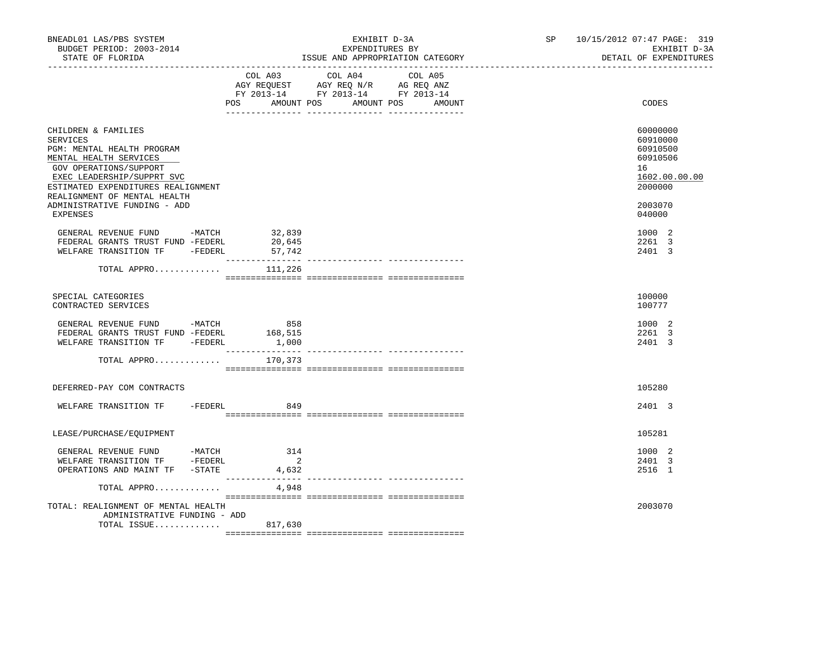|                                                                                                                                                                                                                                                                          |                                            |                                                                                                                           | DETAIL OF EXPENDITURES                                                                              |
|--------------------------------------------------------------------------------------------------------------------------------------------------------------------------------------------------------------------------------------------------------------------------|--------------------------------------------|---------------------------------------------------------------------------------------------------------------------------|-----------------------------------------------------------------------------------------------------|
|                                                                                                                                                                                                                                                                          | POS AMOUNT POS                             | COL A03 COL A04 COL A05<br>AGY REQUEST AGY REQ N/R AG REQ ANZ<br>FY 2013-14 FY 2013-14 FY 2013-14<br>AMOUNT POS<br>AMOUNT | CODES                                                                                               |
| CHILDREN & FAMILIES<br>SERVICES<br>PGM: MENTAL HEALTH PROGRAM<br>MENTAL HEALTH SERVICES<br>GOV OPERATIONS/SUPPORT<br>EXEC LEADERSHIP/SUPPRT SVC<br>ESTIMATED EXPENDITURES REALIGNMENT<br>REALIGNMENT OF MENTAL HEALTH<br>ADMINISTRATIVE FUNDING - ADD<br><b>EXPENSES</b> |                                            |                                                                                                                           | 60000000<br>60910000<br>60910500<br>60910506<br>16<br>1602.00.00.00<br>2000000<br>2003070<br>040000 |
| GENERAL REVENUE FUND -MATCH<br>FEDERAL GRANTS TRUST FUND -FEDERL<br>WELFARE TRANSITION TF -FEDERL                                                                                                                                                                        | 32,839<br>20,645<br>57,742                 |                                                                                                                           | 1000 2<br>2261 3<br>2401 3                                                                          |
| TOTAL APPRO                                                                                                                                                                                                                                                              | 111,226                                    |                                                                                                                           |                                                                                                     |
| SPECIAL CATEGORIES<br>CONTRACTED SERVICES                                                                                                                                                                                                                                |                                            |                                                                                                                           | 100000<br>100777                                                                                    |
| GENERAL REVENUE FUND -MATCH<br>FEDERAL GRANTS TRUST FUND -FEDERL<br>WELFARE TRANSITION TF -FEDERL                                                                                                                                                                        | 858<br>168,515<br>1,000                    |                                                                                                                           | 1000 2<br>2261 3<br>2401 3                                                                          |
| TOTAL APPRO                                                                                                                                                                                                                                                              | 170,373                                    |                                                                                                                           |                                                                                                     |
| DEFERRED-PAY COM CONTRACTS                                                                                                                                                                                                                                               |                                            |                                                                                                                           | 105280                                                                                              |
| WELFARE TRANSITION TF - FEDERL                                                                                                                                                                                                                                           | 849                                        |                                                                                                                           | 2401 3                                                                                              |
| LEASE/PURCHASE/EQUIPMENT                                                                                                                                                                                                                                                 |                                            |                                                                                                                           | 105281                                                                                              |
| GENERAL REVENUE FUND -MATCH<br>WELFARE TRANSITION TF -FEDERL<br>OPERATIONS AND MAINT TF -STATE                                                                                                                                                                           | 314<br>$\overline{\phantom{a}}$ 2<br>4,632 |                                                                                                                           | 1000 2<br>2401 3<br>2516 1                                                                          |
| TOTAL APPRO                                                                                                                                                                                                                                                              | 4,948                                      |                                                                                                                           |                                                                                                     |
| TOTAL: REALIGNMENT OF MENTAL HEALTH<br>ADMINISTRATIVE FUNDING - ADD<br>TOTAL ISSUE 817,630                                                                                                                                                                               |                                            |                                                                                                                           | 2003070                                                                                             |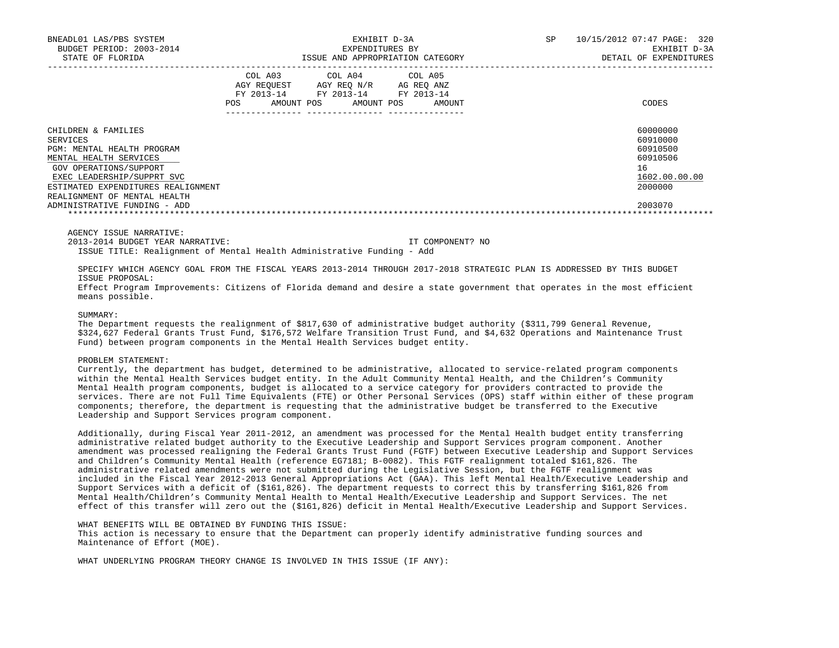| BNEADL01 LAS/PBS SYSTEM<br>BUDGET PERIOD: 2003-2014<br>STATE OF FLORIDA                                                                                                                                               | EXHIBIT D-3A<br>EXPENDITURES BY<br>ISSUE AND APPROPRIATION CATEGORY |            |                                                                       | SP                   | 10/15/2012 07:47 PAGE: 320<br>EXHIBIT D-3A<br>DETAIL OF EXPENDITURES |                                                                                |
|-----------------------------------------------------------------------------------------------------------------------------------------------------------------------------------------------------------------------|---------------------------------------------------------------------|------------|-----------------------------------------------------------------------|----------------------|----------------------------------------------------------------------|--------------------------------------------------------------------------------|
|                                                                                                                                                                                                                       | COL A03<br>AGY REOUEST<br>FY 2013-14<br>POS                         | AMOUNT POS | COL A04 COL A05<br>AGY REO N/R<br>FY 2013-14 FY 2013-14<br>AMOUNT POS | AG REO ANZ<br>AMOUNT |                                                                      | CODES                                                                          |
| CHILDREN & FAMILIES<br>SERVICES<br>PGM: MENTAL HEALTH PROGRAM<br>MENTAL HEALTH SERVICES<br>GOV OPERATIONS/SUPPORT<br>EXEC LEADERSHIP/SUPPRT SVC<br>ESTIMATED EXPENDITURES REALIGNMENT<br>REALIGNMENT OF MENTAL HEALTH |                                                                     |            |                                                                       |                      |                                                                      | 60000000<br>60910000<br>60910500<br>60910506<br>16<br>1602.00.00.00<br>2000000 |
| ADMINISTRATIVE FUNDING - ADD                                                                                                                                                                                          |                                                                     |            |                                                                       |                      |                                                                      | 2003070                                                                        |

AGENCY ISSUE NARRATIVE:

2013-2014 BUDGET YEAR NARRATIVE: IT COMPONENT? NO

ISSUE TITLE: Realignment of Mental Health Administrative Funding - Add

 SPECIFY WHICH AGENCY GOAL FROM THE FISCAL YEARS 2013-2014 THROUGH 2017-2018 STRATEGIC PLAN IS ADDRESSED BY THIS BUDGET ISSUE PROPOSAL:

 Effect Program Improvements: Citizens of Florida demand and desire a state government that operates in the most efficient means possible.

## SUMMARY:

 The Department requests the realignment of \$817,630 of administrative budget authority (\$311,799 General Revenue, \$324,627 Federal Grants Trust Fund, \$176,572 Welfare Transition Trust Fund, and \$4,632 Operations and Maintenance Trust Fund) between program components in the Mental Health Services budget entity.

#### PROBLEM STATEMENT:

 Currently, the department has budget, determined to be administrative, allocated to service-related program components within the Mental Health Services budget entity. In the Adult Community Mental Health, and the Children's Community Mental Health program components, budget is allocated to a service category for providers contracted to provide the services. There are not Full Time Equivalents (FTE) or Other Personal Services (OPS) staff within either of these program components; therefore, the department is requesting that the administrative budget be transferred to the Executive Leadership and Support Services program component.

 Additionally, during Fiscal Year 2011-2012, an amendment was processed for the Mental Health budget entity transferring administrative related budget authority to the Executive Leadership and Support Services program component. Another amendment was processed realigning the Federal Grants Trust Fund (FGTF) between Executive Leadership and Support Services and Children's Community Mental Health (reference EG7181; B-0082). This FGTF realignment totaled \$161,826. The administrative related amendments were not submitted during the Legislative Session, but the FGTF realignment was included in the Fiscal Year 2012-2013 General Appropriations Act (GAA). This left Mental Health/Executive Leadership and Support Services with a deficit of (\$161,826). The department requests to correct this by transferring \$161,826 from Mental Health/Children's Community Mental Health to Mental Health/Executive Leadership and Support Services. The net effect of this transfer will zero out the (\$161,826) deficit in Mental Health/Executive Leadership and Support Services.

# WHAT BENEFITS WILL BE OBTAINED BY FUNDING THIS ISSUE:

 This action is necessary to ensure that the Department can properly identify administrative funding sources and Maintenance of Effort (MOE).

WHAT UNDERLYING PROGRAM THEORY CHANGE IS INVOLVED IN THIS ISSUE (IF ANY):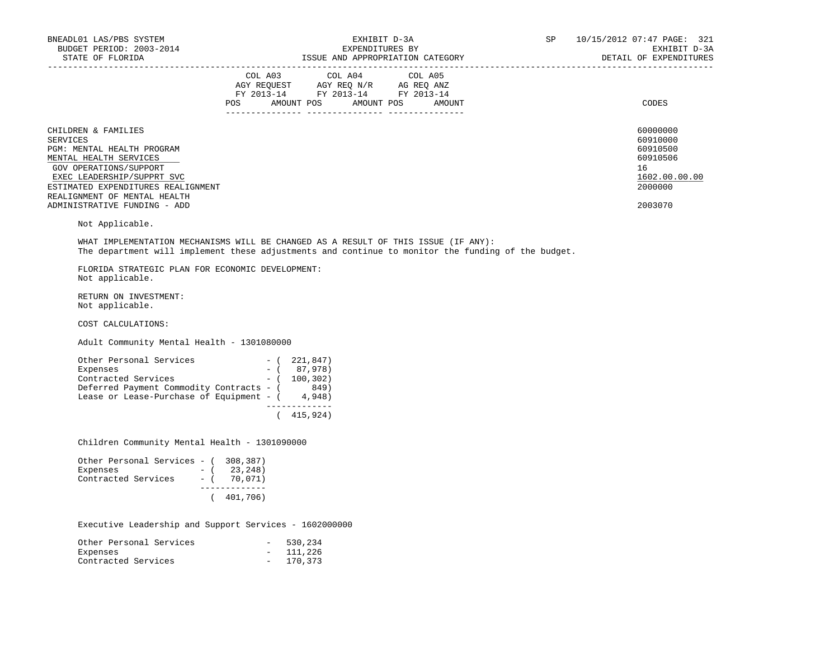| BNEADL01 LAS/PBS SYSTEM<br>BUDGET PERIOD: 2003-2014<br>STATE OF FLORIDA                                                                                                                                                                                                                                                                                                 |                              | EXHIBIT D-3A<br>EXPENDITURES BY<br>ISSUE AND APPROPRIATION CATEGORY                                                                                                                                                                                                                                                                                                                                                                        | SP                               | 10/15/2012 07:47 PAGE: 321<br>EXHIBIT D-3A<br>DETAIL OF EXPENDITURES |                                                                                           |
|-------------------------------------------------------------------------------------------------------------------------------------------------------------------------------------------------------------------------------------------------------------------------------------------------------------------------------------------------------------------------|------------------------------|--------------------------------------------------------------------------------------------------------------------------------------------------------------------------------------------------------------------------------------------------------------------------------------------------------------------------------------------------------------------------------------------------------------------------------------------|----------------------------------|----------------------------------------------------------------------|-------------------------------------------------------------------------------------------|
|                                                                                                                                                                                                                                                                                                                                                                         |                              | $\begin{tabular}{lllllllllll} &\multicolumn{4}{c }{\text{COL A03}} &\multicolumn{4}{c }{\text{COL A04}} &\multicolumn{4}{c }{\text{COL A05}} \\ \multicolumn{4}{c }{\text{AGY REQUEST}} &\multicolumn{4}{c }{\text{AGY REQ N/R}} &\multicolumn{4}{c }{\text{AG REQ ANZ}} \\ \multicolumn{4}{c }{\text{FGY A03--14}} &\multicolumn{4}{c }{\text{FGY A013--14}} &\multicolumn{4}{c }{\text{FC A013--14}} \\ \multicolumn{4}{c }{\text{FY 20$ | POS AMOUNT POS AMOUNT POS AMOUNT |                                                                      | CODES                                                                                     |
| CHILDREN & FAMILIES<br>SERVICES<br>PGM: MENTAL HEALTH PROGRAM<br>MENTAL HEALTH SERVICES<br>GOV OPERATIONS/SUPPORT<br>EXEC LEADERSHIP/SUPPRT SVC<br>ESTIMATED EXPENDITURES REALIGNMENT<br>REALIGNMENT OF MENTAL HEALTH<br>ADMINISTRATIVE FUNDING - ADD                                                                                                                   |                              |                                                                                                                                                                                                                                                                                                                                                                                                                                            |                                  |                                                                      | 60000000<br>60910000<br>60910500<br>60910506<br>16<br>1602.00.00.00<br>2000000<br>2003070 |
| Not Applicable.                                                                                                                                                                                                                                                                                                                                                         |                              |                                                                                                                                                                                                                                                                                                                                                                                                                                            |                                  |                                                                      |                                                                                           |
| WHAT IMPLEMENTATION MECHANISMS WILL BE CHANGED AS A RESULT OF THIS ISSUE (IF ANY):<br>The department will implement these adjustments and continue to monitor the funding of the budget.                                                                                                                                                                                |                              |                                                                                                                                                                                                                                                                                                                                                                                                                                            |                                  |                                                                      |                                                                                           |
| FLORIDA STRATEGIC PLAN FOR ECONOMIC DEVELOPMENT:<br>Not applicable.                                                                                                                                                                                                                                                                                                     |                              |                                                                                                                                                                                                                                                                                                                                                                                                                                            |                                  |                                                                      |                                                                                           |
| RETURN ON INVESTMENT:<br>Not applicable.                                                                                                                                                                                                                                                                                                                                |                              |                                                                                                                                                                                                                                                                                                                                                                                                                                            |                                  |                                                                      |                                                                                           |
| COST CALCULATIONS:                                                                                                                                                                                                                                                                                                                                                      |                              |                                                                                                                                                                                                                                                                                                                                                                                                                                            |                                  |                                                                      |                                                                                           |
| Adult Community Mental Health - 1301080000                                                                                                                                                                                                                                                                                                                              |                              |                                                                                                                                                                                                                                                                                                                                                                                                                                            |                                  |                                                                      |                                                                                           |
| $\begin{tabular}{lllllllllll} \multicolumn{3}{l}{{\bf Other~Personal~ Services}} & & & & & & & \\ &{{\bf Expression}} & & {\bf Expression} & & & \\ & {\bf Expenses} & & & & - ( & 87,978) \\ & {\bf Contracted~ Services} & & & & - ( & 100,302) \\ \end{tabular}$<br>Deferred Payment Commodity Contracts - (849)<br>Lease or Lease-Purchase of Equipment - $(4,948)$ |                              | ______________<br>(415, 924)                                                                                                                                                                                                                                                                                                                                                                                                               |                                  |                                                                      |                                                                                           |
| Children Community Mental Health - 1301090000                                                                                                                                                                                                                                                                                                                           |                              |                                                                                                                                                                                                                                                                                                                                                                                                                                            |                                  |                                                                      |                                                                                           |
| Other Personal Services - (308,387)<br>Expenses $-(-23, 248)$<br>Contracted Services - ( 70,071)                                                                                                                                                                                                                                                                        | ______________<br>(401, 706) |                                                                                                                                                                                                                                                                                                                                                                                                                                            |                                  |                                                                      |                                                                                           |
| Executive Leadership and Support Services - 1602000000                                                                                                                                                                                                                                                                                                                  |                              |                                                                                                                                                                                                                                                                                                                                                                                                                                            |                                  |                                                                      |                                                                                           |
| onal Services - 530,234<br>- 111,226<br>Other Personal Services<br>Expenses                                                                                                                                                                                                                                                                                             |                              |                                                                                                                                                                                                                                                                                                                                                                                                                                            |                                  |                                                                      |                                                                                           |

Contracted Services - 170,373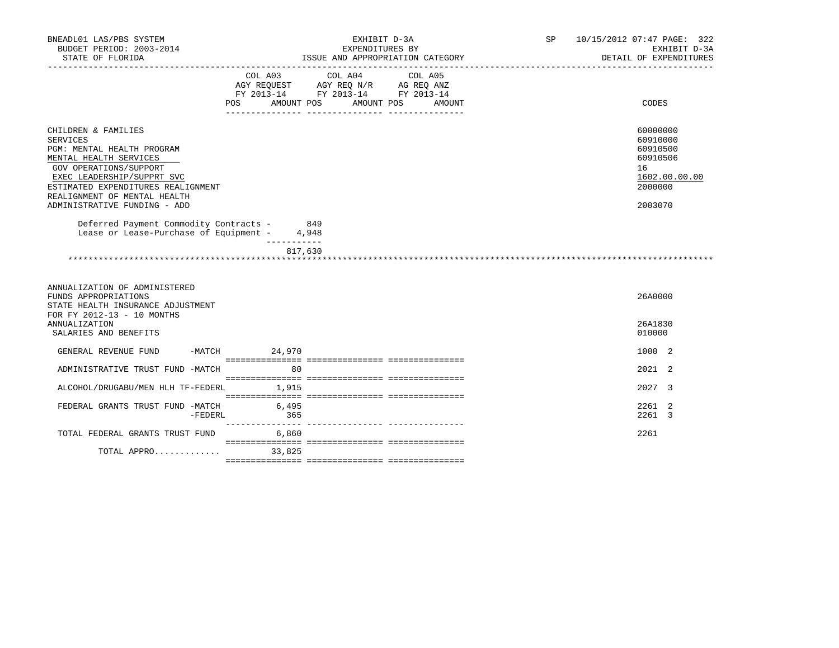| BNEADL01 LAS/PBS SYSTEM<br>BUDGET PERIOD: 2003-2014                                                                                                                                                                                                          |                                                                                                                                                                                                                                        |                 | EXHIBIT D-3A<br>EXPENDITURES BY |         |                                  | SP | 10/15/2012 07:47 PAGE: 322<br>EXHIBIT D-3A                                                |
|--------------------------------------------------------------------------------------------------------------------------------------------------------------------------------------------------------------------------------------------------------------|----------------------------------------------------------------------------------------------------------------------------------------------------------------------------------------------------------------------------------------|-----------------|---------------------------------|---------|----------------------------------|----|-------------------------------------------------------------------------------------------|
| STATE OF FLORIDA                                                                                                                                                                                                                                             |                                                                                                                                                                                                                                        |                 |                                 |         | ISSUE AND APPROPRIATION CATEGORY |    | DETAIL OF EXPENDITURES                                                                    |
|                                                                                                                                                                                                                                                              | $\begin{tabular}{lllllll} \bf AGY \,\, REQUEST \,\, & \bf AGY \,\, REQ \,\, N/R & \,\, AG \,\, REQ \,\, ANZ \\ \bf FY \,\, 2013-14 & \,\, FY \,\, 2013-14 & \,\, FY \,\, 2013-14 \\ \end{tabular}$<br>POS AMOUNT POS AMOUNT POS AMOUNT | COL A03 COL A04 |                                 | COL A05 |                                  |    | CODES                                                                                     |
| CHILDREN & FAMILIES<br><b>SERVICES</b><br>PGM: MENTAL HEALTH PROGRAM<br>MENTAL HEALTH SERVICES<br>GOV OPERATIONS/SUPPORT<br>EXEC LEADERSHIP/SUPPRT SVC<br>ESTIMATED EXPENDITURES REALIGNMENT<br>REALIGNMENT OF MENTAL HEALTH<br>ADMINISTRATIVE FUNDING - ADD |                                                                                                                                                                                                                                        |                 |                                 |         |                                  |    | 60000000<br>60910000<br>60910500<br>60910506<br>16<br>1602.00.00.00<br>2000000<br>2003070 |
| Deferred Payment Commodity Contracts - 849<br>Lease or Lease-Purchase of Equipment - 4,948                                                                                                                                                                   |                                                                                                                                                                                                                                        |                 |                                 |         |                                  |    |                                                                                           |
|                                                                                                                                                                                                                                                              |                                                                                                                                                                                                                                        | -----------     |                                 |         |                                  |    |                                                                                           |
|                                                                                                                                                                                                                                                              |                                                                                                                                                                                                                                        | 817,630         |                                 |         |                                  |    |                                                                                           |
|                                                                                                                                                                                                                                                              |                                                                                                                                                                                                                                        |                 |                                 |         |                                  |    |                                                                                           |
| ANNUALIZATION OF ADMINISTERED<br>FUNDS APPROPRIATIONS<br>STATE HEALTH INSURANCE ADJUSTMENT<br>FOR FY 2012-13 - 10 MONTHS                                                                                                                                     |                                                                                                                                                                                                                                        |                 |                                 |         |                                  |    | 26A0000                                                                                   |
| ANNUALIZATION<br>SALARIES AND BENEFITS                                                                                                                                                                                                                       |                                                                                                                                                                                                                                        |                 |                                 |         |                                  |    | 26A1830<br>010000                                                                         |
| GENERAL REVENUE FUND                                                                                                                                                                                                                                         | $-MATCH$ 24,970                                                                                                                                                                                                                        |                 |                                 |         |                                  |    | 1000 2                                                                                    |
| ADMINISTRATIVE TRUST FUND -MATCH                                                                                                                                                                                                                             |                                                                                                                                                                                                                                        | 80              |                                 |         |                                  |    | 2021 2                                                                                    |
| ALCOHOL/DRUGABU/MEN HLH TF-FEDERL 1,915                                                                                                                                                                                                                      |                                                                                                                                                                                                                                        |                 |                                 |         |                                  |    | 2027 3                                                                                    |
| FEDERAL GRANTS TRUST FUND -MATCH<br>-FEDERL                                                                                                                                                                                                                  | 6,495<br>365                                                                                                                                                                                                                           |                 |                                 |         |                                  |    | 2261 2<br>2261 3                                                                          |
| TOTAL FEDERAL GRANTS TRUST FUND 6,860                                                                                                                                                                                                                        |                                                                                                                                                                                                                                        |                 |                                 |         |                                  |    | 2261                                                                                      |
| TOTAL APPRO                                                                                                                                                                                                                                                  |                                                                                                                                                                                                                                        | 33,825          |                                 |         |                                  |    |                                                                                           |
|                                                                                                                                                                                                                                                              |                                                                                                                                                                                                                                        |                 |                                 |         |                                  |    |                                                                                           |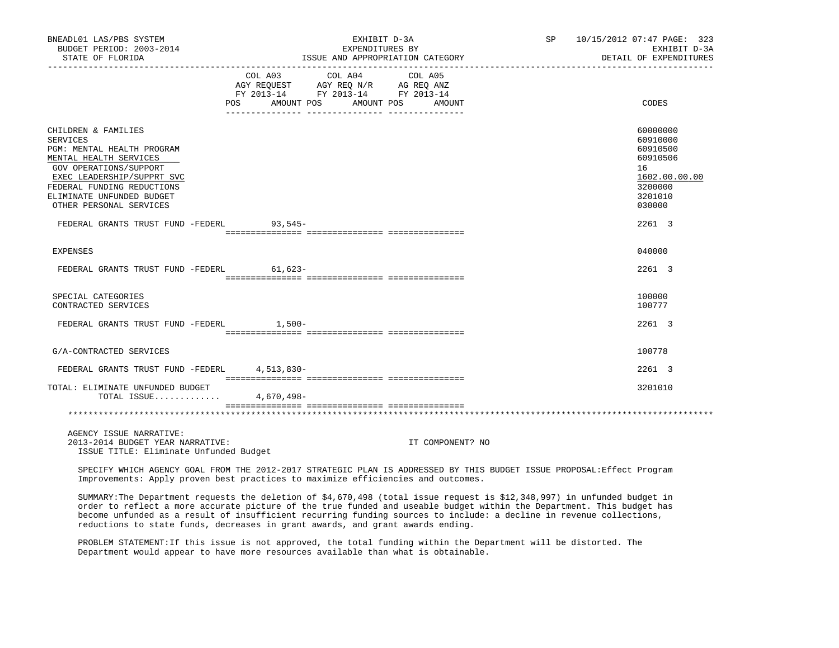| BNEADL01 LAS/PBS SYSTEM<br>BUDGET PERIOD: 2003-2014<br>STATE OF FLORIDA                                                                                                                                                                      | EXHIBIT D-3A<br>EXPENDITURES BY<br>ISSUE AND APPROPRIATION CATEGORY                                                                           | SP 10/15/2012 07:47 PAGE: 323<br>EXHIBIT D-3A<br>DETAIL OF EXPENDITURES                             |
|----------------------------------------------------------------------------------------------------------------------------------------------------------------------------------------------------------------------------------------------|-----------------------------------------------------------------------------------------------------------------------------------------------|-----------------------------------------------------------------------------------------------------|
| POS                                                                                                                                                                                                                                          | COL A04<br>COL A03<br>COL A05<br>AGY REQUEST AGY REQ N/R AG REQ ANZ<br>FY 2013-14 FY 2013-14 FY 2013-14<br>AMOUNT POS<br>AMOUNT POS<br>AMOUNT | CODES                                                                                               |
| CHILDREN & FAMILIES<br><b>SERVICES</b><br>PGM: MENTAL HEALTH PROGRAM<br>MENTAL HEALTH SERVICES<br>GOV OPERATIONS/SUPPORT<br>EXEC LEADERSHIP/SUPPRT SVC<br>FEDERAL FUNDING REDUCTIONS<br>ELIMINATE UNFUNDED BUDGET<br>OTHER PERSONAL SERVICES |                                                                                                                                               | 60000000<br>60910000<br>60910500<br>60910506<br>16<br>1602.00.00.00<br>3200000<br>3201010<br>030000 |
| FEDERAL GRANTS TRUST FUND -FEDERL 93,545-                                                                                                                                                                                                    |                                                                                                                                               | 2261 3                                                                                              |
| <b>EXPENSES</b>                                                                                                                                                                                                                              |                                                                                                                                               | 040000                                                                                              |
| FEDERAL GRANTS TRUST FUND -FEDERL                                                                                                                                                                                                            | $61,623-$                                                                                                                                     | 2261 3                                                                                              |
| SPECIAL CATEGORIES<br>CONTRACTED SERVICES                                                                                                                                                                                                    |                                                                                                                                               | 100000<br>100777                                                                                    |
| FEDERAL GRANTS TRUST FUND -FEDERL 1,500-                                                                                                                                                                                                     |                                                                                                                                               | 2261 3                                                                                              |
| G/A-CONTRACTED SERVICES                                                                                                                                                                                                                      |                                                                                                                                               | 100778                                                                                              |
| FEDERAL GRANTS TRUST FUND -FEDERL                                                                                                                                                                                                            | $4.513.830-$                                                                                                                                  | 2261 3                                                                                              |
| TOTAL: ELIMINATE UNFUNDED BUDGET<br>TOTAL ISSUE                                                                                                                                                                                              | 4,670,498-                                                                                                                                    | 3201010                                                                                             |
|                                                                                                                                                                                                                                              |                                                                                                                                               |                                                                                                     |
| AGENCY ISSUE NARRATIVE:                                                                                                                                                                                                                      |                                                                                                                                               |                                                                                                     |

 2013-2014 BUDGET YEAR NARRATIVE: IT COMPONENT? NO ISSUE TITLE: Eliminate Unfunded Budget

 SPECIFY WHICH AGENCY GOAL FROM THE 2012-2017 STRATEGIC PLAN IS ADDRESSED BY THIS BUDGET ISSUE PROPOSAL:Effect Program Improvements: Apply proven best practices to maximize efficiencies and outcomes.

 SUMMARY:The Department requests the deletion of \$4,670,498 (total issue request is \$12,348,997) in unfunded budget in order to reflect a more accurate picture of the true funded and useable budget within the Department. This budget has become unfunded as a result of insufficient recurring funding sources to include: a decline in revenue collections, reductions to state funds, decreases in grant awards, and grant awards ending.

 PROBLEM STATEMENT:If this issue is not approved, the total funding within the Department will be distorted. The Department would appear to have more resources available than what is obtainable.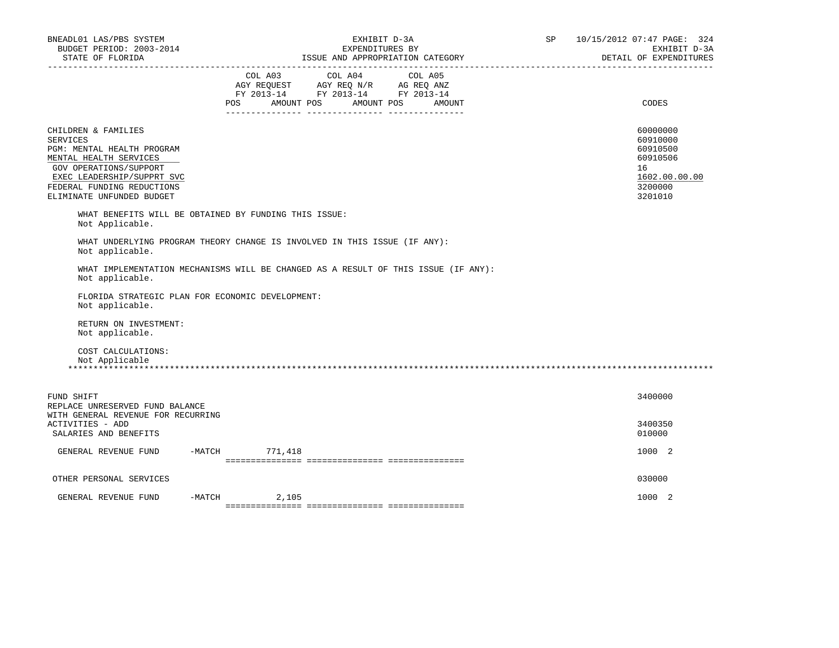| BNEADL01 LAS/PBS SYSTEM<br>BUDGET PERIOD: 2003-2014<br>STATE OF FLORIDA                                                                                                                                           |          |            | EXHIBIT D-3A<br>EXPENDITURES BY                                                                                 | ISSUE AND APPROPRIATION CATEGORY | SP | 10/15/2012 07:47 PAGE: 324<br>EXHIBIT D-3A<br>DETAIL OF EXPENDITURES                      |
|-------------------------------------------------------------------------------------------------------------------------------------------------------------------------------------------------------------------|----------|------------|-----------------------------------------------------------------------------------------------------------------|----------------------------------|----|-------------------------------------------------------------------------------------------|
| __________________                                                                                                                                                                                                | POS      | AMOUNT POS | COL A03 COL A04 COL A05<br>AGY REQUEST AGY REQ N/R AG REQ ANZ<br>FY 2013-14 FY 2013-14 FY 2013-14<br>AMOUNT POS | AMOUNT                           |    | CODES                                                                                     |
| CHILDREN & FAMILIES<br><b>SERVICES</b><br>PGM: MENTAL HEALTH PROGRAM<br>MENTAL HEALTH SERVICES<br>GOV OPERATIONS/SUPPORT<br>EXEC LEADERSHIP/SUPPRT SVC<br>FEDERAL FUNDING REDUCTIONS<br>ELIMINATE UNFUNDED BUDGET |          |            |                                                                                                                 |                                  |    | 60000000<br>60910000<br>60910500<br>60910506<br>16<br>1602.00.00.00<br>3200000<br>3201010 |
| WHAT BENEFITS WILL BE OBTAINED BY FUNDING THIS ISSUE:<br>Not Applicable.                                                                                                                                          |          |            |                                                                                                                 |                                  |    |                                                                                           |
| WHAT UNDERLYING PROGRAM THEORY CHANGE IS INVOLVED IN THIS ISSUE (IF ANY):<br>Not applicable.                                                                                                                      |          |            |                                                                                                                 |                                  |    |                                                                                           |
| WHAT IMPLEMENTATION MECHANISMS WILL BE CHANGED AS A RESULT OF THIS ISSUE (IF ANY):<br>Not applicable.                                                                                                             |          |            |                                                                                                                 |                                  |    |                                                                                           |
| FLORIDA STRATEGIC PLAN FOR ECONOMIC DEVELOPMENT:<br>Not applicable.                                                                                                                                               |          |            |                                                                                                                 |                                  |    |                                                                                           |
| RETURN ON INVESTMENT:<br>Not applicable.                                                                                                                                                                          |          |            |                                                                                                                 |                                  |    |                                                                                           |
| COST CALCULATIONS:<br>Not Applicable                                                                                                                                                                              |          |            |                                                                                                                 |                                  |    |                                                                                           |
| FUND SHIFT<br>REPLACE UNRESERVED FUND BALANCE                                                                                                                                                                     |          |            |                                                                                                                 |                                  |    | 3400000                                                                                   |
| WITH GENERAL REVENUE FOR RECURRING<br>ACTIVITIES - ADD<br>SALARIES AND BENEFITS                                                                                                                                   |          |            |                                                                                                                 |                                  |    | 3400350<br>010000                                                                         |
| GENERAL REVENUE FUND                                                                                                                                                                                              | $-MATCH$ | 771,418    |                                                                                                                 |                                  |    | 1000 2                                                                                    |
| OTHER PERSONAL SERVICES                                                                                                                                                                                           |          |            |                                                                                                                 |                                  |    | 030000                                                                                    |
| GENERAL REVENUE FUND                                                                                                                                                                                              | -MATCH   | 2,105      |                                                                                                                 |                                  |    | 1000 2                                                                                    |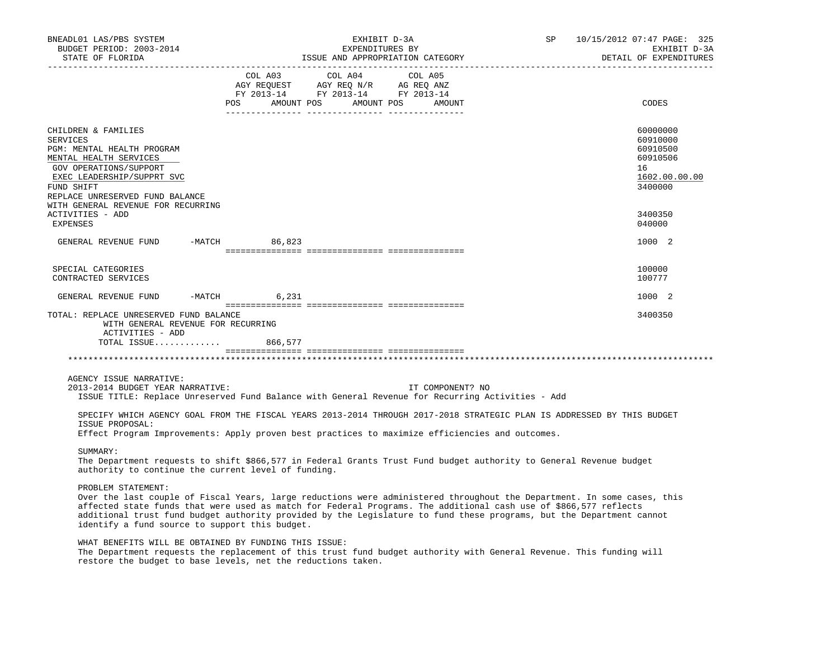| BNEADL01 LAS/PBS SYSTEM<br>BUDGET PERIOD: 2003-2014                                                                                                                                                                                                                                                                                                                                                                                         |                   | EXHIBIT D-3A<br>EXPENDITURES BY                                                                                                                                                                                                                                                                                   | ISSUE AND APPROPRIATION CATEGORY | SP and the set of the set of the set of the set of the set of the set of the set of the set of the set of the set of the set of the set of the set of the set of the set of the set of the set of the set of the set of the se | 10/15/2012 07:47 PAGE: 325<br>EXHIBIT D-3A                                     |
|---------------------------------------------------------------------------------------------------------------------------------------------------------------------------------------------------------------------------------------------------------------------------------------------------------------------------------------------------------------------------------------------------------------------------------------------|-------------------|-------------------------------------------------------------------------------------------------------------------------------------------------------------------------------------------------------------------------------------------------------------------------------------------------------------------|----------------------------------|--------------------------------------------------------------------------------------------------------------------------------------------------------------------------------------------------------------------------------|--------------------------------------------------------------------------------|
| STATE OF FLORIDA                                                                                                                                                                                                                                                                                                                                                                                                                            |                   |                                                                                                                                                                                                                                                                                                                   |                                  |                                                                                                                                                                                                                                | DETAIL OF EXPENDITURES                                                         |
|                                                                                                                                                                                                                                                                                                                                                                                                                                             | POS<br>AMOUNT POS | COL A03 COL A04 COL A05<br>$\begin{array}{ccccccccc}\n\text{AGY REQUEST} & & \text{AGY REQ} & \text{N/R} & & \text{AG REQ} & \text{ANZ} \\ \text{AGY REQUEST} & & \text{AGY REQ} & \text{N/R} & & \text{AG REQ} & \text{ANZ} \\ \text{FY} & 2013-14 & & \text{FY} & 2013-14 & & \text{FY} & 2013-14\n\end{array}$ | AMOUNT POS<br>AMOUNT             |                                                                                                                                                                                                                                | CODES                                                                          |
| CHILDREN & FAMILIES<br>SERVICES<br>PGM: MENTAL HEALTH PROGRAM<br>MENTAL HEALTH SERVICES<br>GOV OPERATIONS/SUPPORT<br>EXEC LEADERSHIP/SUPPRT SVC<br>FUND SHIFT<br>REPLACE UNRESERVED FUND BALANCE<br>WITH GENERAL REVENUE FOR RECURRING                                                                                                                                                                                                      |                   |                                                                                                                                                                                                                                                                                                                   |                                  |                                                                                                                                                                                                                                | 60000000<br>60910000<br>60910500<br>60910506<br>16<br>1602.00.00.00<br>3400000 |
| ACTIVITIES - ADD<br>EXPENSES                                                                                                                                                                                                                                                                                                                                                                                                                |                   |                                                                                                                                                                                                                                                                                                                   |                                  |                                                                                                                                                                                                                                | 3400350<br>040000                                                              |
| GENERAL REVENUE FUND                                                                                                                                                                                                                                                                                                                                                                                                                        | -MATCH 86,823     |                                                                                                                                                                                                                                                                                                                   |                                  |                                                                                                                                                                                                                                | 1000 2                                                                         |
| SPECIAL CATEGORIES<br>CONTRACTED SERVICES                                                                                                                                                                                                                                                                                                                                                                                                   |                   |                                                                                                                                                                                                                                                                                                                   |                                  |                                                                                                                                                                                                                                | 100000<br>100777                                                               |
| GENERAL REVENUE FUND -MATCH                                                                                                                                                                                                                                                                                                                                                                                                                 | 6,231             |                                                                                                                                                                                                                                                                                                                   |                                  |                                                                                                                                                                                                                                | 1000 2                                                                         |
| TOTAL: REPLACE UNRESERVED FUND BALANCE<br>WITH GENERAL REVENUE FOR RECURRING<br>ACTIVITIES - ADD<br>TOTAL ISSUE 866,577                                                                                                                                                                                                                                                                                                                     |                   |                                                                                                                                                                                                                                                                                                                   |                                  |                                                                                                                                                                                                                                | 3400350                                                                        |
|                                                                                                                                                                                                                                                                                                                                                                                                                                             |                   |                                                                                                                                                                                                                                                                                                                   |                                  |                                                                                                                                                                                                                                |                                                                                |
| AGENCY ISSUE NARRATIVE:<br>2013-2014 BUDGET YEAR NARRATIVE:<br>ISSUE TITLE: Replace Unreserved Fund Balance with General Revenue for Recurring Activities - Add<br>SPECIFY WHICH AGENCY GOAL FROM THE FISCAL YEARS 2013-2014 THROUGH 2017-2018 STRATEGIC PLAN IS ADDRESSED BY THIS BUDGET<br>ISSUE PROPOSAL:                                                                                                                                |                   |                                                                                                                                                                                                                                                                                                                   | IT COMPONENT? NO                 |                                                                                                                                                                                                                                |                                                                                |
| Effect Program Improvements: Apply proven best practices to maximize efficiencies and outcomes.                                                                                                                                                                                                                                                                                                                                             |                   |                                                                                                                                                                                                                                                                                                                   |                                  |                                                                                                                                                                                                                                |                                                                                |
| SUMMARY:<br>The Department requests to shift \$866,577 in Federal Grants Trust Fund budget authority to General Revenue budget<br>authority to continue the current level of funding.                                                                                                                                                                                                                                                       |                   |                                                                                                                                                                                                                                                                                                                   |                                  |                                                                                                                                                                                                                                |                                                                                |
| PROBLEM STATEMENT:<br>Over the last couple of Fiscal Years, large reductions were administered throughout the Department. In some cases, this<br>affected state funds that were used as match for Federal Programs. The additional cash use of \$866,577 reflects<br>additional trust fund budget authority provided by the Legislature to fund these programs, but the Department cannot<br>identify a fund source to support this budget. |                   |                                                                                                                                                                                                                                                                                                                   |                                  |                                                                                                                                                                                                                                |                                                                                |
| WHAT BENEFITS WILL BE OBTAINED BY FUNDING THIS ISSUE:<br>The Department requests the replacement of this trust fund budget authority with General Revenue. This funding will<br>restore the budget to base levels, net the reductions taken.                                                                                                                                                                                                |                   |                                                                                                                                                                                                                                                                                                                   |                                  |                                                                                                                                                                                                                                |                                                                                |
|                                                                                                                                                                                                                                                                                                                                                                                                                                             |                   |                                                                                                                                                                                                                                                                                                                   |                                  |                                                                                                                                                                                                                                |                                                                                |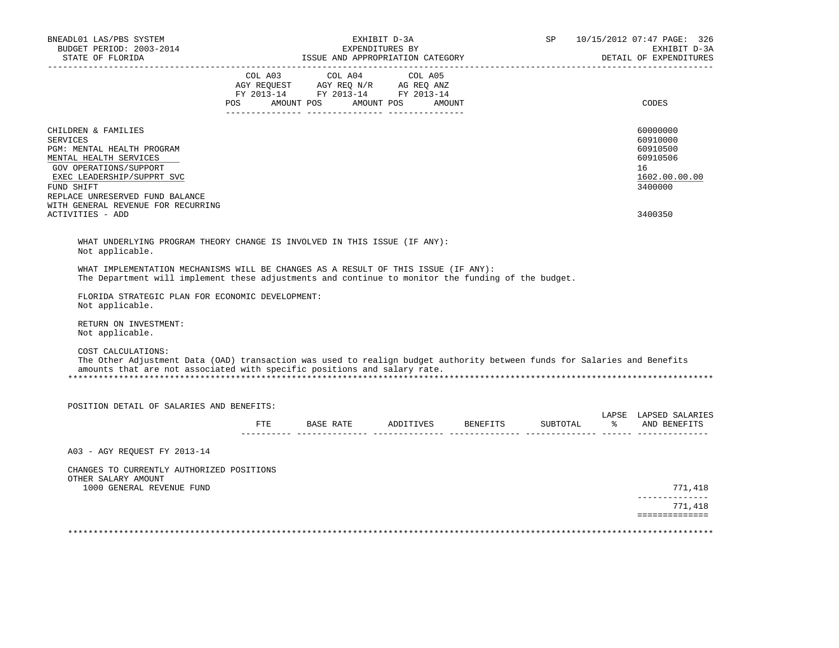| BUDGET PERIOD: 2003-2014<br>STATE OF FLORIDA                                                                                                                                                                                                  |     | ISSUE AND APPROPRIATION CATEGORY                                                                                                                                                                                                      | EXHIBIT D-3A<br>EXPENDITURES BY | <b>SP</b> |               | 10/15/2012 07:47 PAGE: 326<br>EXHIBIT D-3A<br>DETAIL OF EXPENDITURES           |
|-----------------------------------------------------------------------------------------------------------------------------------------------------------------------------------------------------------------------------------------------|-----|---------------------------------------------------------------------------------------------------------------------------------------------------------------------------------------------------------------------------------------|---------------------------------|-----------|---------------|--------------------------------------------------------------------------------|
|                                                                                                                                                                                                                                               | POS | COL A03 COL A04 COL A05<br>$\begin{tabular}{lllllll} AGY & \texttt{REQUEST} & \texttt{AGY} & \texttt{REG} & \texttt{N/R} & \texttt{AG} & \texttt{REG} & \texttt{ANZ} \end{tabular}$<br>FY 2013-14 FY 2013-14 FY 2013-14<br>AMOUNT POS | AMOUNT POS<br>AMOUNT            |           |               | CODES                                                                          |
| CHILDREN & FAMILIES<br><b>SERVICES</b><br>PGM: MENTAL HEALTH PROGRAM<br>MENTAL HEALTH SERVICES<br>GOV OPERATIONS/SUPPORT<br>EXEC LEADERSHIP/SUPPRT SVC<br>FUND SHIFT<br>REPLACE UNRESERVED FUND BALANCE<br>WITH GENERAL REVENUE FOR RECURRING |     |                                                                                                                                                                                                                                       |                                 |           |               | 60000000<br>60910000<br>60910500<br>60910506<br>16<br>1602.00.00.00<br>3400000 |
| ACTIVITIES - ADD                                                                                                                                                                                                                              |     |                                                                                                                                                                                                                                       |                                 |           |               | 3400350                                                                        |
| WHAT UNDERLYING PROGRAM THEORY CHANGE IS INVOLVED IN THIS ISSUE (IF ANY):<br>Not applicable.                                                                                                                                                  |     |                                                                                                                                                                                                                                       |                                 |           |               |                                                                                |
| WHAT IMPLEMENTATION MECHANISMS WILL BE CHANGES AS A RESULT OF THIS ISSUE (IF ANY):<br>The Department will implement these adjustments and continue to monitor the funding of the budget.                                                      |     |                                                                                                                                                                                                                                       |                                 |           |               |                                                                                |
| FLORIDA STRATEGIC PLAN FOR ECONOMIC DEVELOPMENT:<br>Not applicable.                                                                                                                                                                           |     |                                                                                                                                                                                                                                       |                                 |           |               |                                                                                |
| RETURN ON INVESTMENT:<br>Not applicable.                                                                                                                                                                                                      |     |                                                                                                                                                                                                                                       |                                 |           |               |                                                                                |
|                                                                                                                                                                                                                                               |     |                                                                                                                                                                                                                                       |                                 |           |               |                                                                                |
| COST CALCULATIONS:<br>The Other Adjustment Data (OAD) transaction was used to realign budget authority between funds for Salaries and Benefits<br>amounts that are not associated with specific positions and salary rate.                    |     |                                                                                                                                                                                                                                       |                                 |           |               |                                                                                |
| POSITION DETAIL OF SALARIES AND BENEFITS:                                                                                                                                                                                                     |     |                                                                                                                                                                                                                                       |                                 |           |               |                                                                                |
|                                                                                                                                                                                                                                               | FTE |                                                                                                                                                                                                                                       | BASE RATE ADDITIVES BENEFITS    | SUBTOTAL  | $\frac{1}{6}$ | LAPSE LAPSED SALARIES<br>AND BENEFITS                                          |
| A03 - AGY REOUEST FY 2013-14                                                                                                                                                                                                                  |     |                                                                                                                                                                                                                                       |                                 |           |               |                                                                                |
| CHANGES TO CURRENTLY AUTHORIZED POSITIONS<br>OTHER SALARY AMOUNT                                                                                                                                                                              |     |                                                                                                                                                                                                                                       |                                 |           |               |                                                                                |
| 1000 GENERAL REVENUE FUND                                                                                                                                                                                                                     |     |                                                                                                                                                                                                                                       |                                 |           |               | 771,418<br>--------------<br>771,418                                           |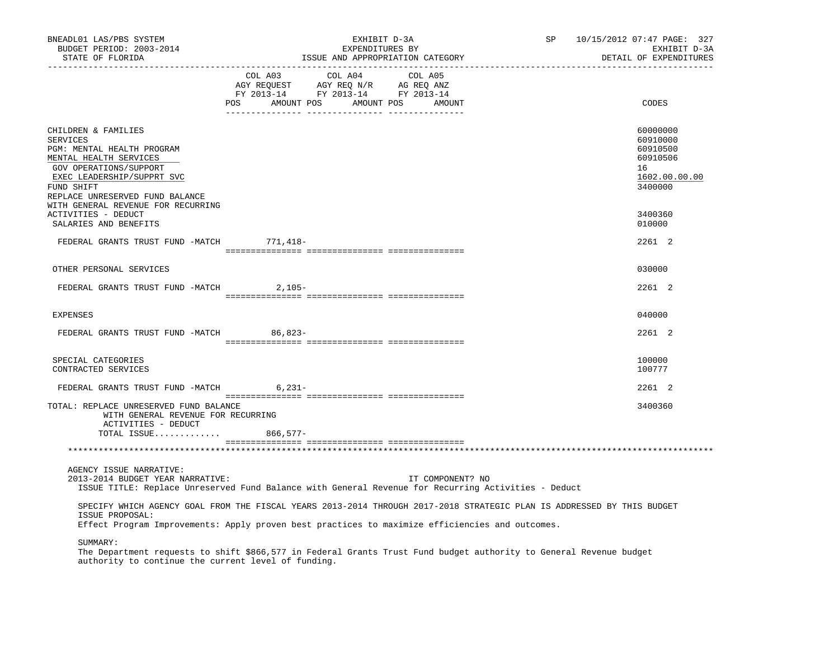| BNEADL01 LAS/PBS SYSTEM<br>BUDGET PERIOD: 2003-2014<br>STATE OF FLORIDA<br>-----------------                                                                                                            | EXHIBIT D-3A<br>EXPENDITURES BY<br>ISSUE AND APPROPRIATION CATEGORY                                                                                                                                                       | SP 10/15/2012 07:47 PAGE: 327<br>EXHIBIT D-3A<br>DETAIL OF EXPENDITURES        |
|---------------------------------------------------------------------------------------------------------------------------------------------------------------------------------------------------------|---------------------------------------------------------------------------------------------------------------------------------------------------------------------------------------------------------------------------|--------------------------------------------------------------------------------|
|                                                                                                                                                                                                         | $\begin{tabular}{lcccc} COL A03 & COL A04 & COL A05 \\ AGY REQUEST & AGY REQ N/R & AG REQ ANZ \\ FY & 2013-14 & FY & 2013-14 & FY & 2013-14 \end{tabular}$<br>POS AMOUNT POS AMOUNT POS AMOUNT                            | CODES                                                                          |
| CHILDREN & FAMILIES<br><b>SERVICES</b><br>PGM: MENTAL HEALTH PROGRAM<br>MENTAL HEALTH SERVICES<br>GOV OPERATIONS/SUPPORT<br>EXEC LEADERSHIP/SUPPRT SVC<br>FUND SHIFT<br>REPLACE UNRESERVED FUND BALANCE |                                                                                                                                                                                                                           | 60000000<br>60910000<br>60910500<br>60910506<br>16<br>1602.00.00.00<br>3400000 |
| WITH GENERAL REVENUE FOR RECURRING<br>ACTIVITIES - DEDUCT<br>SALARIES AND BENEFITS                                                                                                                      |                                                                                                                                                                                                                           | 3400360<br>010000                                                              |
| FEDERAL GRANTS TRUST FUND -MATCH 771, 418-                                                                                                                                                              |                                                                                                                                                                                                                           | 2261 2                                                                         |
| OTHER PERSONAL SERVICES                                                                                                                                                                                 |                                                                                                                                                                                                                           | 030000                                                                         |
| FEDERAL GRANTS TRUST FUND -MATCH                                                                                                                                                                        | 2,105-                                                                                                                                                                                                                    | 2261 2                                                                         |
|                                                                                                                                                                                                         |                                                                                                                                                                                                                           | 040000                                                                         |
| <b>EXPENSES</b>                                                                                                                                                                                         |                                                                                                                                                                                                                           | 2261 2                                                                         |
| FEDERAL GRANTS TRUST FUND -MATCH 86,823-                                                                                                                                                                |                                                                                                                                                                                                                           |                                                                                |
| SPECIAL CATEGORIES<br>CONTRACTED SERVICES                                                                                                                                                               |                                                                                                                                                                                                                           | 100000<br>100777                                                               |
| FEDERAL GRANTS TRUST FUND -MATCH 6,231-                                                                                                                                                                 |                                                                                                                                                                                                                           | 2261 2                                                                         |
| TOTAL: REPLACE UNRESERVED FUND BALANCE<br>WITH GENERAL REVENUE FOR RECURRING<br>ACTIVITIES - DEDUCT                                                                                                     |                                                                                                                                                                                                                           | 3400360                                                                        |
| TOTAL ISSUE 866,577-                                                                                                                                                                                    |                                                                                                                                                                                                                           |                                                                                |
| AGENCY ISSUE NARRATIVE:                                                                                                                                                                                 |                                                                                                                                                                                                                           |                                                                                |
| 2013-2014 BUDGET YEAR NARRATIVE:                                                                                                                                                                        | IT COMPONENT? NO<br>ISSUE TITLE: Replace Unreserved Fund Balance with General Revenue for Recurring Activities - Deduct                                                                                                   |                                                                                |
| ISSUE PROPOSAL:                                                                                                                                                                                         | SPECIFY WHICH AGENCY GOAL FROM THE FISCAL YEARS 2013-2014 THROUGH 2017-2018 STRATEGIC PLAN IS ADDRESSED BY THIS BUDGET<br>Effect Program Improvements: Apply proven best practices to maximize efficiencies and outcomes. |                                                                                |
| SUMMARY:                                                                                                                                                                                                |                                                                                                                                                                                                                           |                                                                                |

 The Department requests to shift \$866,577 in Federal Grants Trust Fund budget authority to General Revenue budget authority to continue the current level of funding.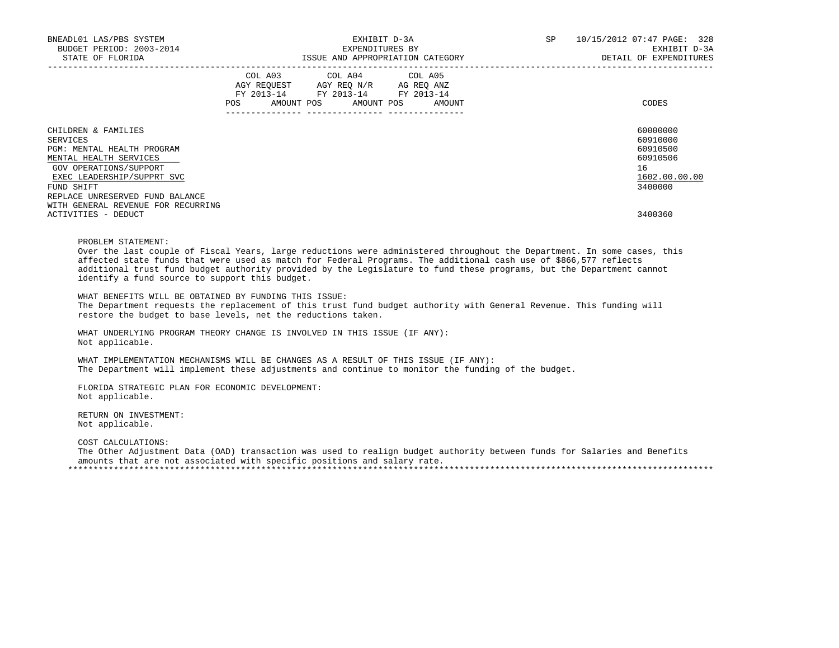| BNEADL01 LAS/PBS SYSTEM<br>BUDGET PERIOD: 2003-2014<br>STATE OF FLORIDA |     | EXHIBIT D-3A<br>EXPENDITURES BY<br>ISSUE AND APPROPRIATION CATEGORY |  |                                                                                                   |  |        |  | SP | 10/15/2012 07:47 PAGE: 328<br>EXHIBIT D-3A<br>DETAIL OF EXPENDITURES |
|-------------------------------------------------------------------------|-----|---------------------------------------------------------------------|--|---------------------------------------------------------------------------------------------------|--|--------|--|----|----------------------------------------------------------------------|
|                                                                         |     |                                                                     |  | COL A03 COL A04 COL A05<br>AGY REQUEST AGY REO N/R AG REO ANZ<br>FY 2013-14 FY 2013-14 FY 2013-14 |  |        |  |    |                                                                      |
|                                                                         | POS | AMOUNT POS                                                          |  | AMOUNT POS                                                                                        |  | AMOUNT |  |    | CODES                                                                |
| CHILDREN & FAMILIES                                                     |     |                                                                     |  |                                                                                                   |  |        |  |    | 60000000                                                             |
| SERVICES                                                                |     |                                                                     |  |                                                                                                   |  |        |  |    | 60910000                                                             |
| PGM: MENTAL HEALTH PROGRAM                                              |     |                                                                     |  |                                                                                                   |  |        |  |    | 60910500                                                             |
| MENTAL HEALTH SERVICES                                                  |     |                                                                     |  |                                                                                                   |  |        |  |    | 60910506                                                             |
| GOV OPERATIONS/SUPPORT                                                  |     |                                                                     |  |                                                                                                   |  |        |  |    | 16                                                                   |
| EXEC LEADERSHIP/SUPPRT SVC                                              |     |                                                                     |  |                                                                                                   |  |        |  |    | 1602.00.00.00                                                        |
| FUND SHIFT                                                              |     |                                                                     |  |                                                                                                   |  |        |  |    | 3400000                                                              |
| REPLACE UNRESERVED FUND BALANCE                                         |     |                                                                     |  |                                                                                                   |  |        |  |    |                                                                      |
| WITH GENERAL REVENUE FOR RECURRING                                      |     |                                                                     |  |                                                                                                   |  |        |  |    |                                                                      |
| ACTIVITIES - DEDUCT                                                     |     |                                                                     |  |                                                                                                   |  |        |  |    | 3400360                                                              |

PROBLEM STATEMENT:

 Over the last couple of Fiscal Years, large reductions were administered throughout the Department. In some cases, this affected state funds that were used as match for Federal Programs. The additional cash use of \$866,577 reflects additional trust fund budget authority provided by the Legislature to fund these programs, but the Department cannot identify a fund source to support this budget.

 WHAT BENEFITS WILL BE OBTAINED BY FUNDING THIS ISSUE: The Department requests the replacement of this trust fund budget authority with General Revenue. This funding will restore the budget to base levels, net the reductions taken.

 WHAT UNDERLYING PROGRAM THEORY CHANGE IS INVOLVED IN THIS ISSUE (IF ANY): Not applicable.

 WHAT IMPLEMENTATION MECHANISMS WILL BE CHANGES AS A RESULT OF THIS ISSUE (IF ANY): The Department will implement these adjustments and continue to monitor the funding of the budget.

 FLORIDA STRATEGIC PLAN FOR ECONOMIC DEVELOPMENT: Not applicable.

 RETURN ON INVESTMENT: Not applicable.

COST CALCULATIONS:

 The Other Adjustment Data (OAD) transaction was used to realign budget authority between funds for Salaries and Benefits amounts that are not associated with specific positions and salary rate. \*\*\*\*\*\*\*\*\*\*\*\*\*\*\*\*\*\*\*\*\*\*\*\*\*\*\*\*\*\*\*\*\*\*\*\*\*\*\*\*\*\*\*\*\*\*\*\*\*\*\*\*\*\*\*\*\*\*\*\*\*\*\*\*\*\*\*\*\*\*\*\*\*\*\*\*\*\*\*\*\*\*\*\*\*\*\*\*\*\*\*\*\*\*\*\*\*\*\*\*\*\*\*\*\*\*\*\*\*\*\*\*\*\*\*\*\*\*\*\*\*\*\*\*\*\*\*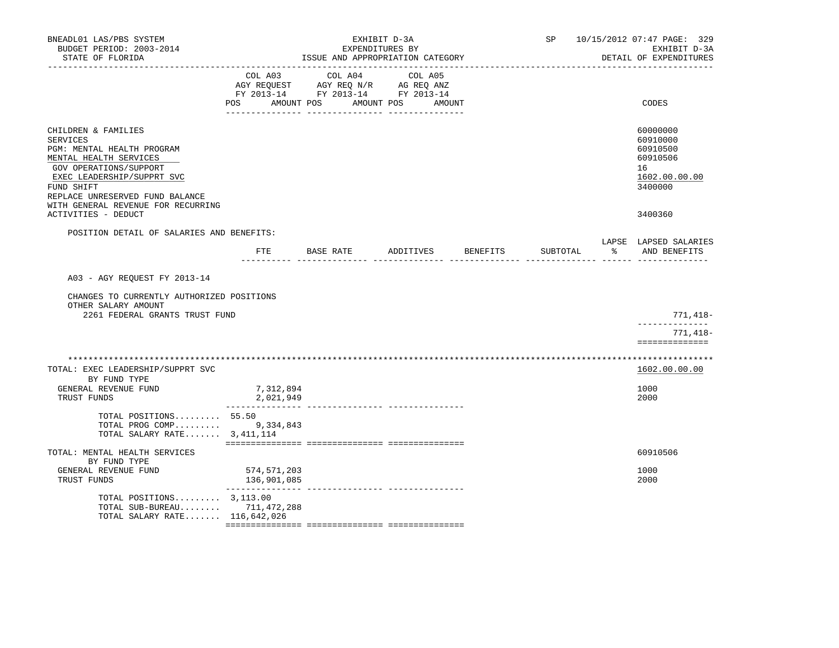| BNEADL01 LAS/PBS SYSTEM<br>BUDGET PERIOD: 2003-2014<br>STATE OF FLORIDA                                                                                                                                                                |                                                                                                                           | ISSUE AND APPROPRIATION CATEGORY                                                                | EXHIBIT D-3A<br>EXPENDITURES BY |                 | SP       |    | 10/15/2012 07:47 PAGE: 329<br>EXHIBIT D-3A<br>DETAIL OF EXPENDITURES           |
|----------------------------------------------------------------------------------------------------------------------------------------------------------------------------------------------------------------------------------------|---------------------------------------------------------------------------------------------------------------------------|-------------------------------------------------------------------------------------------------|---------------------------------|-----------------|----------|----|--------------------------------------------------------------------------------|
|                                                                                                                                                                                                                                        | COL A03<br>POS FOR THE POST OF THE STATE STATE STATE STATE STATE STATE STATE STATE STATE STATE STATE STATE STATE STATE ST | COL A04<br>AGY REQUEST AGY REQ N/R AG REQ ANZ<br>FY 2013-14 FY 2013-14 FY 2013-14<br>AMOUNT POS | COL A05<br>AMOUNT POS<br>AMOUNT |                 |          |    | CODES                                                                          |
| CHILDREN & FAMILIES<br>SERVICES<br>PGM: MENTAL HEALTH PROGRAM<br>MENTAL HEALTH SERVICES<br>GOV OPERATIONS/SUPPORT<br>EXEC LEADERSHIP/SUPPRT SVC<br>FUND SHIFT<br>REPLACE UNRESERVED FUND BALANCE<br>WITH GENERAL REVENUE FOR RECURRING |                                                                                                                           |                                                                                                 |                                 |                 |          |    | 60000000<br>60910000<br>60910500<br>60910506<br>16<br>1602.00.00.00<br>3400000 |
| ACTIVITIES - DEDUCT                                                                                                                                                                                                                    |                                                                                                                           |                                                                                                 |                                 |                 |          |    | 3400360                                                                        |
| POSITION DETAIL OF SALARIES AND BENEFITS:                                                                                                                                                                                              | FTE                                                                                                                       | BASE RATE                                                                                       | ADDITIVES                       | <b>BENEFITS</b> | SUBTOTAL | နွ | LAPSE LAPSED SALARIES<br>AND BENEFITS                                          |
| A03 - AGY REQUEST FY 2013-14<br>CHANGES TO CURRENTLY AUTHORIZED POSITIONS<br>OTHER SALARY AMOUNT                                                                                                                                       |                                                                                                                           |                                                                                                 |                                 |                 |          |    |                                                                                |
| 2261 FEDERAL GRANTS TRUST FUND                                                                                                                                                                                                         |                                                                                                                           |                                                                                                 |                                 |                 |          |    | 771,418-<br>-------------                                                      |
|                                                                                                                                                                                                                                        |                                                                                                                           |                                                                                                 |                                 |                 |          |    | 771,418-<br>==============                                                     |
| ************************                                                                                                                                                                                                               |                                                                                                                           |                                                                                                 |                                 |                 |          |    | ****************                                                               |
| TOTAL: EXEC LEADERSHIP/SUPPRT SVC                                                                                                                                                                                                      |                                                                                                                           |                                                                                                 |                                 |                 |          |    | 1602.00.00.00                                                                  |
| BY FUND TYPE<br>GENERAL REVENUE FUND<br>TRUST FUNDS                                                                                                                                                                                    | 7,312,894<br>2,021,949                                                                                                    |                                                                                                 |                                 |                 |          |    | 1000<br>2000                                                                   |
| TOTAL POSITIONS 55.50<br>TOTAL PROG COMP 9,334,843<br>TOTAL SALARY RATE $3,411,114$                                                                                                                                                    |                                                                                                                           |                                                                                                 |                                 |                 |          |    |                                                                                |
| TOTAL: MENTAL HEALTH SERVICES                                                                                                                                                                                                          |                                                                                                                           |                                                                                                 |                                 |                 |          |    | 60910506                                                                       |
| BY FUND TYPE<br>GENERAL REVENUE FUND<br>TRUST FUNDS                                                                                                                                                                                    | 574,571,203<br>136,901,085                                                                                                |                                                                                                 |                                 |                 |          |    | 1000<br>2000                                                                   |
| TOTAL POSITIONS $3,113.00$<br>TOTAL SUB-BUREAU 711, 472, 288<br>TOTAL SALARY RATE 116,642,026                                                                                                                                          |                                                                                                                           |                                                                                                 |                                 |                 |          |    |                                                                                |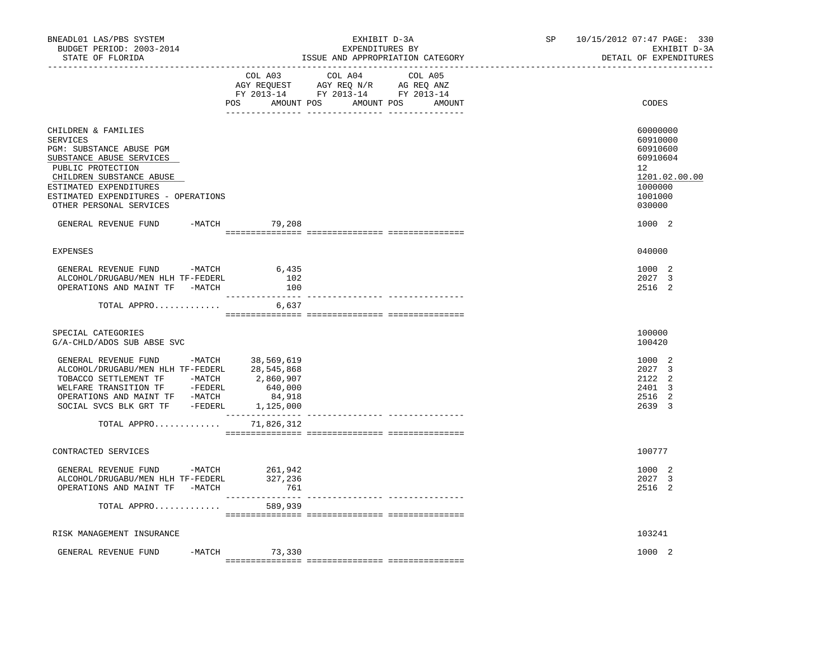| BNEADL01 LAS/PBS SYSTEM<br>BUDGET PERIOD: 2003-2014<br>STATE OF FLORIDA                                                                                                                                                                                             |                           | EXHIBIT D-3A<br>EXPENDITURES BY<br>ISSUE AND APPROPRIATION CATEGORY                                                                 | SP | 10/15/2012 07:47 PAGE: 330<br>EXHIBIT D-3A<br>DETAIL OF EXPENDITURES                                          |
|---------------------------------------------------------------------------------------------------------------------------------------------------------------------------------------------------------------------------------------------------------------------|---------------------------|-------------------------------------------------------------------------------------------------------------------------------------|----|---------------------------------------------------------------------------------------------------------------|
|                                                                                                                                                                                                                                                                     | COL A03                   | COL A04<br>COL A05<br>AGY REQUEST AGY REQ N/R AG REQ ANZ<br>FY 2013-14 FY 2013-14 FY 2013-14<br>POS AMOUNT POS AMOUNT POS<br>AMOUNT |    | CODES                                                                                                         |
| CHILDREN & FAMILIES<br><b>SERVICES</b><br>PGM: SUBSTANCE ABUSE PGM<br>SUBSTANCE ABUSE SERVICES<br>PUBLIC PROTECTION<br>CHILDREN SUBSTANCE ABUSE<br>ESTIMATED EXPENDITURES<br>ESTIMATED EXPENDITURES - OPERATIONS<br>OTHER PERSONAL SERVICES<br>GENERAL REVENUE FUND | -MATCH 79,208             |                                                                                                                                     |    | 60000000<br>60910000<br>60910600<br>60910604<br>12<br>1201.02.00.00<br>1000000<br>1001000<br>030000<br>1000 2 |
|                                                                                                                                                                                                                                                                     |                           |                                                                                                                                     |    |                                                                                                               |
| <b>EXPENSES</b>                                                                                                                                                                                                                                                     |                           |                                                                                                                                     |    | 040000                                                                                                        |
| GENERAL REVENUE FUND -MATCH 6,435<br>ALCOHOL/DRUGABU/MEN HLH TF-FEDERL<br>OPERATIONS AND MAINT TF -MATCH                                                                                                                                                            | 102<br>100                |                                                                                                                                     |    | 1000 2<br>2027 3<br>2516 2                                                                                    |
| TOTAL APPRO 6,637                                                                                                                                                                                                                                                   |                           |                                                                                                                                     |    |                                                                                                               |
| SPECIAL CATEGORIES<br>G/A-CHLD/ADOS SUB ABSE SVC                                                                                                                                                                                                                    |                           |                                                                                                                                     |    | 100000<br>100420                                                                                              |
| GENERAL REVENUE FUND -MATCH 38,569,619<br>ALCOHOL/DRUGABU/MEN HLH TF-FEDERL 28,545,868<br>TOBACCO SETTLEMENT TF -MATCH 2,860,907<br>WELFARE TRANSITION TF -FEDERL                                                                                                   |                           |                                                                                                                                     |    | 1000 2<br>2027 3<br>2122 2<br>2401 3<br>2516 2<br>2639 3                                                      |
| TOTAL APPRO 71,826,312                                                                                                                                                                                                                                              | ________________          |                                                                                                                                     |    |                                                                                                               |
| CONTRACTED SERVICES                                                                                                                                                                                                                                                 |                           |                                                                                                                                     |    | 100777                                                                                                        |
| GENERAL REVENUE FUND -MATCH 261,942<br>ALCOHOL/DRUGABU/MEN HLH TF-FEDERL<br>OPERATIONS AND MAINT TF -MATCH<br>TOTAL APPRO                                                                                                                                           | 327,236<br>761<br>589,939 |                                                                                                                                     |    | 1000 2<br>2027 3<br>2516 2                                                                                    |
|                                                                                                                                                                                                                                                                     |                           |                                                                                                                                     |    |                                                                                                               |
| RISK MANAGEMENT INSURANCE                                                                                                                                                                                                                                           |                           |                                                                                                                                     |    | 103241                                                                                                        |
| GENERAL REVENUE FUND                                                                                                                                                                                                                                                | -MATCH 73,330             |                                                                                                                                     |    | 1000 2                                                                                                        |
|                                                                                                                                                                                                                                                                     |                           |                                                                                                                                     |    |                                                                                                               |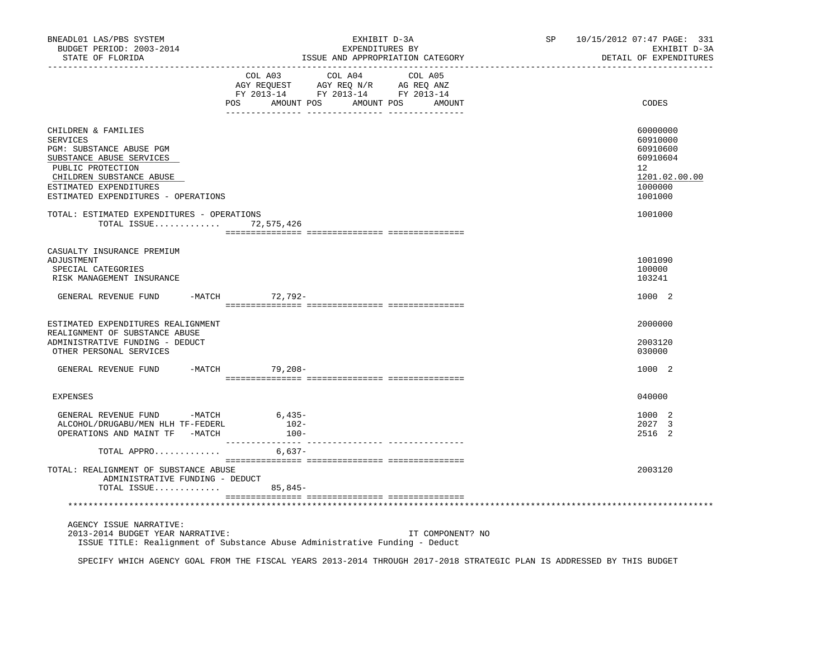| BNEADL01 LAS/PBS SYSTEM<br>BUDGET PERIOD: 2003-2014<br>STATE OF FLORIDA                                                                                                                                          | EXHIBIT D-3A<br>EXPENDITURES BY<br>ISSUE AND APPROPRIATION CATEGORY                                                                      | 10/15/2012 07:47 PAGE: 331<br>SP<br>EXHIBIT D-3A<br>DETAIL OF EXPENDITURES                |
|------------------------------------------------------------------------------------------------------------------------------------------------------------------------------------------------------------------|------------------------------------------------------------------------------------------------------------------------------------------|-------------------------------------------------------------------------------------------|
|                                                                                                                                                                                                                  | COL A03 COL A04 COL A05<br>CO AGY REQUEST AGY REQ N/R AG REQ ANZ<br>FY 2013-14 FY 2013-14 FY 2013-14<br>POS AMOUNT POS AMOUNT POS AMOUNT | CODES                                                                                     |
| CHILDREN & FAMILIES<br><b>SERVICES</b><br>PGM: SUBSTANCE ABUSE PGM<br>SUBSTANCE ABUSE SERVICES<br>PUBLIC PROTECTION<br>CHILDREN SUBSTANCE ABUSE<br>ESTIMATED EXPENDITURES<br>ESTIMATED EXPENDITURES - OPERATIONS |                                                                                                                                          | 60000000<br>60910000<br>60910600<br>60910604<br>12<br>1201.02.00.00<br>1000000<br>1001000 |
| TOTAL: ESTIMATED EXPENDITURES - OPERATIONS<br>TOTAL ISSUE 72,575,426                                                                                                                                             |                                                                                                                                          | 1001000                                                                                   |
| CASUALTY INSURANCE PREMIUM<br>ADJUSTMENT<br>SPECIAL CATEGORIES<br>RISK MANAGEMENT INSURANCE                                                                                                                      |                                                                                                                                          | 1001090<br>100000<br>103241                                                               |
| GENERAL REVENUE FUND -MATCH 72,792-                                                                                                                                                                              |                                                                                                                                          | 1000 2                                                                                    |
| ESTIMATED EXPENDITURES REALIGNMENT<br>REALIGNMENT OF SUBSTANCE ABUSE<br>ADMINISTRATIVE FUNDING - DEDUCT<br>OTHER PERSONAL SERVICES                                                                               |                                                                                                                                          | 2000000<br>2003120<br>030000                                                              |
| GENERAL REVENUE FUND -MATCH 79,208-                                                                                                                                                                              |                                                                                                                                          | 1000 2                                                                                    |
| <b>EXPENSES</b>                                                                                                                                                                                                  |                                                                                                                                          | 040000                                                                                    |
| GENERAL REVENUE FUND -MATCH 6,435-<br>ALCOHOL/DRUGABU/MEN HLH TF-FEDERL<br>OPERATIONS AND MAINT TF -MATCH                                                                                                        | $102 -$<br>$100-$                                                                                                                        | 1000 2<br>2027 3<br>2516 2                                                                |
| TOTAL APPRO                                                                                                                                                                                                      | $6,637-$                                                                                                                                 |                                                                                           |
| TOTAL: REALIGNMENT OF SUBSTANCE ABUSE<br>ADMINISTRATIVE FUNDING - DEDUCT<br>TOTAL ISSUE                                                                                                                          | $85,845-$                                                                                                                                | 2003120                                                                                   |
|                                                                                                                                                                                                                  |                                                                                                                                          |                                                                                           |
| AGENCY ISSUE NARRATIVE:<br>2013-2014 BUDGET YEAR NARRATIVE:                                                                                                                                                      | IT COMPONENT? NO<br>ISSUE TITLE: Realignment of Substance Abuse Administrative Funding - Deduct                                          |                                                                                           |

SPECIFY WHICH AGENCY GOAL FROM THE FISCAL YEARS 2013-2014 THROUGH 2017-2018 STRATEGIC PLAN IS ADDRESSED BY THIS BUDGET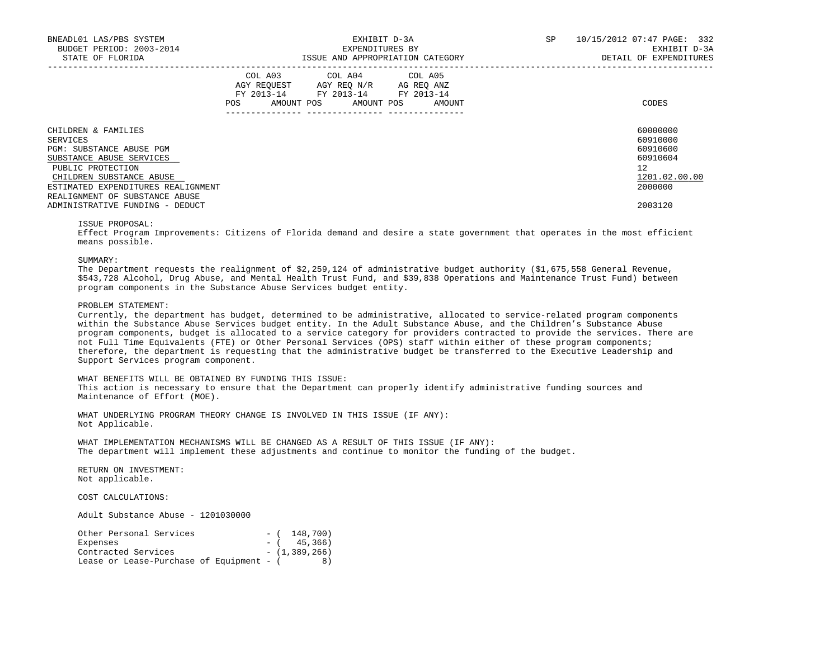| BNEADL01 LAS/PBS SYSTEM<br>BUDGET PERIOD: 2003-2014<br>STATE OF FLORIDA |     |                                                                                                   | EXHIBIT D-3A<br>EXPENDITURES BY | ISSUE AND APPROPRIATION CATEGORY | SP | 10/15/2012 07:47 PAGE: 332<br>EXHIBIT D-3A<br>DETAIL OF EXPENDITURES |
|-------------------------------------------------------------------------|-----|---------------------------------------------------------------------------------------------------|---------------------------------|----------------------------------|----|----------------------------------------------------------------------|
|                                                                         | POS | COL A03 COL A04 COL A05<br>AGY REQUEST AGY REO N/R AG REO ANZ<br>FY 2013-14 FY 2013-14 FY 2013-14 | AMOUNT POS AMOUNT POS           | AMOUNT                           |    | CODES                                                                |
| CHILDREN & FAMILIES                                                     |     |                                                                                                   |                                 |                                  |    | 60000000                                                             |
| SERVICES<br>PGM: SUBSTANCE ABUSE PGM                                    |     |                                                                                                   |                                 |                                  |    | 60910000<br>60910600                                                 |
| SUBSTANCE ABUSE SERVICES                                                |     |                                                                                                   |                                 |                                  |    | 60910604                                                             |
| PUBLIC PROTECTION                                                       |     |                                                                                                   |                                 |                                  |    | 12.                                                                  |
| CHILDREN SUBSTANCE ABUSE                                                |     |                                                                                                   |                                 |                                  |    | 1201.02.00.00                                                        |
| ESTIMATED EXPENDITURES REALIGNMENT                                      |     |                                                                                                   |                                 |                                  |    | 2000000                                                              |
| REALIGNMENT OF SUBSTANCE ABUSE                                          |     |                                                                                                   |                                 |                                  |    |                                                                      |
| ADMINISTRATIVE FUNDING - DEDUCT                                         |     |                                                                                                   |                                 |                                  |    | 2003120                                                              |

#### ISSUE PROPOSAL:

 Effect Program Improvements: Citizens of Florida demand and desire a state government that operates in the most efficient means possible.

### SUMMARY:

 The Department requests the realignment of \$2,259,124 of administrative budget authority (\$1,675,558 General Revenue, \$543,728 Alcohol, Drug Abuse, and Mental Health Trust Fund, and \$39,838 Operations and Maintenance Trust Fund) between program components in the Substance Abuse Services budget entity.

#### PROBLEM STATEMENT:

 Currently, the department has budget, determined to be administrative, allocated to service-related program components within the Substance Abuse Services budget entity. In the Adult Substance Abuse, and the Children's Substance Abuse program components, budget is allocated to a service category for providers contracted to provide the services. There are not Full Time Equivalents (FTE) or Other Personal Services (OPS) staff within either of these program components; therefore, the department is requesting that the administrative budget be transferred to the Executive Leadership and Support Services program component.

 WHAT BENEFITS WILL BE OBTAINED BY FUNDING THIS ISSUE: This action is necessary to ensure that the Department can properly identify administrative funding sources and Maintenance of Effort (MOE).

 WHAT UNDERLYING PROGRAM THEORY CHANGE IS INVOLVED IN THIS ISSUE (IF ANY): Not Applicable.

 WHAT IMPLEMENTATION MECHANISMS WILL BE CHANGED AS A RESULT OF THIS ISSUE (IF ANY): The department will implement these adjustments and continue to monitor the funding of the budget.

 RETURN ON INVESTMENT: Not applicable.

COST CALCULATIONS:

Adult Substance Abuse - 1201030000

| Other Personal Services                  |  | $-$ ( 148,700)  |
|------------------------------------------|--|-----------------|
| Expenses                                 |  | $-$ ( 45,366)   |
| Contracted Services                      |  | $-$ (1,389,266) |
| Lease or Lease-Purchase of Equipment - ( |  | 8)              |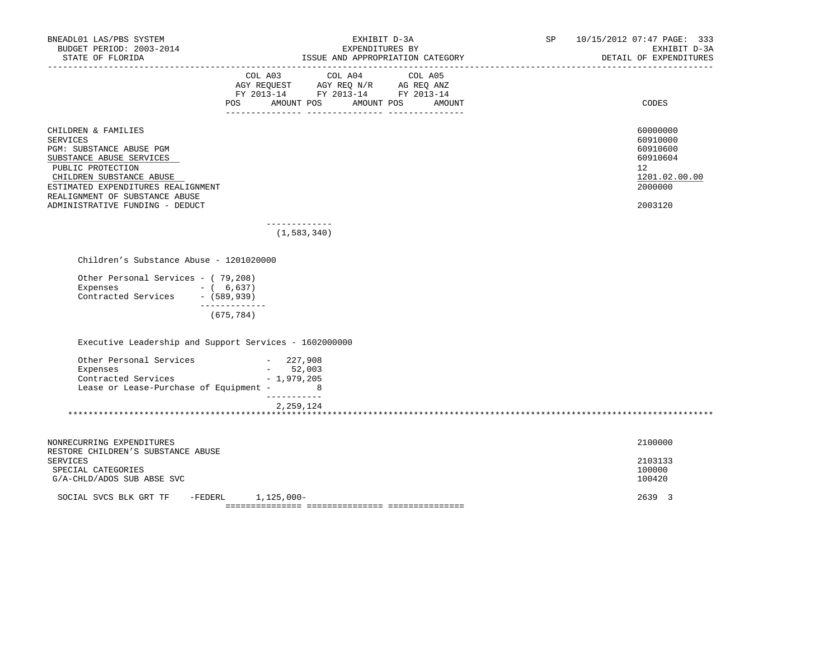| BNEADL01 LAS/PBS SYSTEM<br>BUDGET PERIOD: 2003-2014<br>STATE OF FLORIDA<br>--------------------                                                                                                                                                            |                                                                                                                               | EXHIBIT D-3A<br>EXPENDITURES BY<br>ISSUE AND APPROPRIATION CATEGORY | SP 10/15/2012 07:47 PAGE: 333<br>EXHIBIT D-3A<br>DETAIL OF EXPENDITURES                             |
|------------------------------------------------------------------------------------------------------------------------------------------------------------------------------------------------------------------------------------------------------------|-------------------------------------------------------------------------------------------------------------------------------|---------------------------------------------------------------------|-----------------------------------------------------------------------------------------------------|
|                                                                                                                                                                                                                                                            | COL A03 COL A04 COL A05<br>AGY REQUEST AGY REQ N/R AG REQ ANZ<br>FY 2013-14 FY 2013-14 FY 2013-14<br><b>POS</b><br>AMOUNT POS | AMOUNT POS<br>AMOUNT                                                | CODES                                                                                               |
| CHILDREN & FAMILIES<br><b>SERVICES</b><br>PGM: SUBSTANCE ABUSE PGM<br>SUBSTANCE ABUSE SERVICES<br>PUBLIC PROTECTION<br>CHILDREN SUBSTANCE ABUSE<br>ESTIMATED EXPENDITURES REALIGNMENT<br>REALIGNMENT OF SUBSTANCE ABUSE<br>ADMINISTRATIVE FUNDING - DEDUCT |                                                                                                                               |                                                                     | 60000000<br>60910000<br>60910600<br>60910604<br>$12^{\circ}$<br>1201.02.00.00<br>2000000<br>2003120 |
|                                                                                                                                                                                                                                                            | -------------<br>(1, 583, 340)                                                                                                |                                                                     |                                                                                                     |
| Children's Substance Abuse - 1201020000                                                                                                                                                                                                                    |                                                                                                                               |                                                                     |                                                                                                     |
| Other Personal Services - (79,208)<br>Expenses<br>$- (6,637)$<br>Contracted Services - (589,939)                                                                                                                                                           | -------------                                                                                                                 |                                                                     |                                                                                                     |
|                                                                                                                                                                                                                                                            | (675, 784)                                                                                                                    |                                                                     |                                                                                                     |
| Executive Leadership and Support Services - 1602000000                                                                                                                                                                                                     |                                                                                                                               |                                                                     |                                                                                                     |
| Other Personal Services - 227,908<br>Expenses<br>Contracted Services<br>Lease or Lease-Purchase of Equipment - 8                                                                                                                                           | $-52,003$<br>- 1,979,205<br>___________                                                                                       |                                                                     |                                                                                                     |
|                                                                                                                                                                                                                                                            | 2,259,124                                                                                                                     |                                                                     |                                                                                                     |
| NONRECURRING EXPENDITURES<br>RESTORE CHILDREN'S SUBSTANCE ABUSE<br>SERVICES<br>SPECIAL CATEGORIES<br>G/A-CHLD/ADOS SUB ABSE SVC                                                                                                                            |                                                                                                                               |                                                                     | 2100000<br>2103133<br>100000<br>100420                                                              |
| SOCIAL SVCS BLK GRT TF                                                                                                                                                                                                                                     | -FEDERL 1,125,000-                                                                                                            |                                                                     | 2639 3                                                                                              |
|                                                                                                                                                                                                                                                            |                                                                                                                               |                                                                     |                                                                                                     |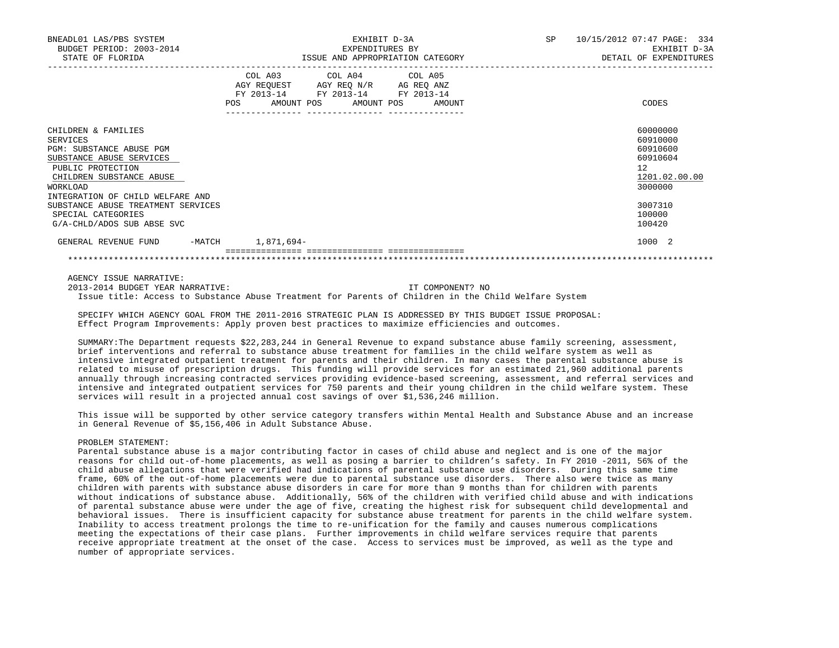| BNEADL01 LAS/PBS SYSTEM<br>BUDGET PERIOD: 2003-2014<br>STATE OF FLORIDA                                                                                                                                                                                                            | EXHIBIT D-3A<br>EXPENDITURES BY<br>ISSUE AND APPROPRIATION CATEGORY                                                                                | SP 10/15/2012 07:47 PAGE: 334<br>EXHIBIT D-3A<br>DETAIL OF EXPENDITURES                                                    |
|------------------------------------------------------------------------------------------------------------------------------------------------------------------------------------------------------------------------------------------------------------------------------------|----------------------------------------------------------------------------------------------------------------------------------------------------|----------------------------------------------------------------------------------------------------------------------------|
|                                                                                                                                                                                                                                                                                    | COL A03 COL A04 COL A05<br>AGY REQUEST AGY REO N/R AG REO ANZ<br>FY 2013-14 FY 2013-14 FY 2013-14<br><b>POS</b><br>AMOUNT POS AMOUNT POS<br>AMOUNT | CODES                                                                                                                      |
| CHILDREN & FAMILIES<br>SERVICES<br>PGM: SUBSTANCE ABUSE PGM<br>SUBSTANCE ABUSE SERVICES<br>PUBLIC PROTECTION<br>CHILDREN SUBSTANCE ABUSE<br>WORKLOAD<br>INTEGRATION OF CHILD WELFARE AND<br>SUBSTANCE ABUSE TREATMENT SERVICES<br>SPECIAL CATEGORIES<br>G/A-CHLD/ADOS SUB ABSE SVC |                                                                                                                                                    | 60000000<br>60910000<br>60910600<br>60910604<br>12 <sup>°</sup><br>1201.02.00.00<br>3000000<br>3007310<br>100000<br>100420 |
| GENERAL REVENUE FUND                                                                                                                                                                                                                                                               | -MATCH 1,871,694-                                                                                                                                  | 1000 2                                                                                                                     |
|                                                                                                                                                                                                                                                                                    |                                                                                                                                                    |                                                                                                                            |

AGENCY ISSUE NARRATIVE:

 2013-2014 BUDGET YEAR NARRATIVE: IT COMPONENT? NO Issue title: Access to Substance Abuse Treatment for Parents of Children in the Child Welfare System

 SPECIFY WHICH AGENCY GOAL FROM THE 2011-2016 STRATEGIC PLAN IS ADDRESSED BY THIS BUDGET ISSUE PROPOSAL: Effect Program Improvements: Apply proven best practices to maximize efficiencies and outcomes.

 SUMMARY:The Department requests \$22,283,244 in General Revenue to expand substance abuse family screening, assessment, brief interventions and referral to substance abuse treatment for families in the child welfare system as well as intensive integrated outpatient treatment for parents and their children. In many cases the parental substance abuse is related to misuse of prescription drugs. This funding will provide services for an estimated 21,960 additional parents annually through increasing contracted services providing evidence-based screening, assessment, and referral services and intensive and integrated outpatient services for 750 parents and their young children in the child welfare system. These services will result in a projected annual cost savings of over \$1,536,246 million.

 This issue will be supported by other service category transfers within Mental Health and Substance Abuse and an increase in General Revenue of \$5,156,406 in Adult Substance Abuse.

#### PROBLEM STATEMENT:

 Parental substance abuse is a major contributing factor in cases of child abuse and neglect and is one of the major reasons for child out-of-home placements, as well as posing a barrier to children's safety. In FY 2010 -2011, 56% of the child abuse allegations that were verified had indications of parental substance use disorders. During this same time frame, 60% of the out-of-home placements were due to parental substance use disorders. There also were twice as many children with parents with substance abuse disorders in care for more than 9 months than for children with parents without indications of substance abuse. Additionally, 56% of the children with verified child abuse and with indications of parental substance abuse were under the age of five, creating the highest risk for subsequent child developmental and behavioral issues. There is insufficient capacity for substance abuse treatment for parents in the child welfare system. Inability to access treatment prolongs the time to re-unification for the family and causes numerous complications meeting the expectations of their case plans. Further improvements in child welfare services require that parents receive appropriate treatment at the onset of the case. Access to services must be improved, as well as the type and number of appropriate services.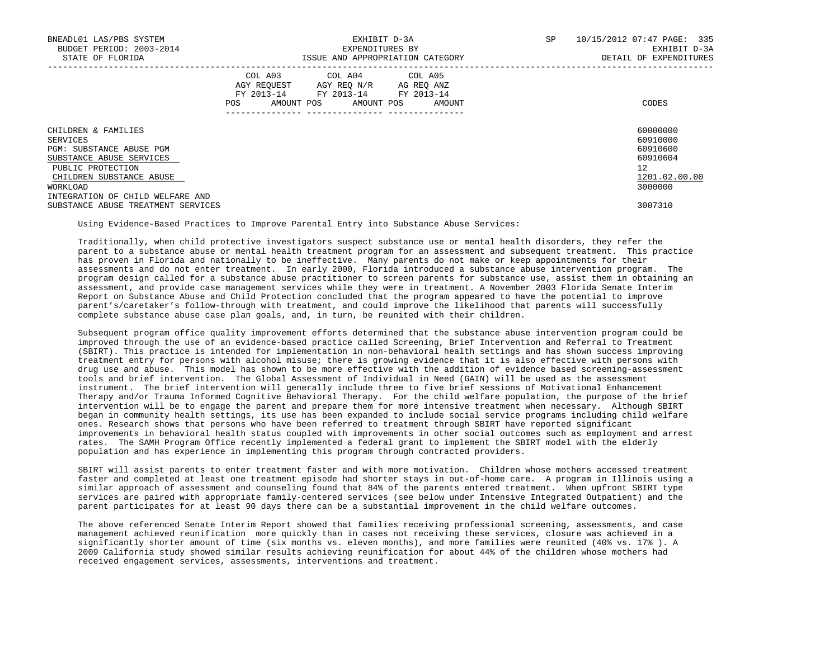| BNEADL01 LAS/PBS SYSTEM<br>BUDGET PERIOD: 2003-2014<br>STATE OF FLORIDA |     | EXHIBIT D-3A<br>EXPENDITURES BY                                                                                                   | ISSUE AND APPROPRIATION CATEGORY | 10/15/2012 07:47 PAGE: 335<br>SP<br>DETAIL OF EXPENDITURES | EXHIBIT D-3A  |
|-------------------------------------------------------------------------|-----|-----------------------------------------------------------------------------------------------------------------------------------|----------------------------------|------------------------------------------------------------|---------------|
|                                                                         | POS | COL A03 COL A04 COL A05<br>AGY REQUEST AGY REQ N/R AG REQ ANZ<br>FY 2013-14 FY 2013-14 FY 2013-14<br>AMOUNT POS AMOUNT POS AMOUNT |                                  | CODES                                                      |               |
| CHILDREN & FAMILIES                                                     |     |                                                                                                                                   |                                  | 60000000<br>60910000                                       |               |
| SERVICES<br>PGM: SUBSTANCE ABUSE PGM                                    |     |                                                                                                                                   |                                  | 60910600                                                   |               |
| SUBSTANCE ABUSE SERVICES                                                |     |                                                                                                                                   |                                  | 60910604                                                   |               |
| PUBLIC PROTECTION                                                       |     |                                                                                                                                   |                                  | 12                                                         |               |
| CHILDREN SUBSTANCE ABUSE                                                |     |                                                                                                                                   |                                  |                                                            | 1201.02.00.00 |
| WORKLOAD                                                                |     |                                                                                                                                   |                                  | 3000000                                                    |               |
| INTEGRATION OF CHILD WELFARE AND                                        |     |                                                                                                                                   |                                  |                                                            |               |
| SUBSTANCE ABUSE TREATMENT SERVICES                                      |     |                                                                                                                                   |                                  | 3007310                                                    |               |

Using Evidence-Based Practices to Improve Parental Entry into Substance Abuse Services:

 Traditionally, when child protective investigators suspect substance use or mental health disorders, they refer the parent to a substance abuse or mental health treatment program for an assessment and subsequent treatment. This practice has proven in Florida and nationally to be ineffective. Many parents do not make or keep appointments for their assessments and do not enter treatment. In early 2000, Florida introduced a substance abuse intervention program. The program design called for a substance abuse practitioner to screen parents for substance use, assist them in obtaining an assessment, and provide case management services while they were in treatment. A November 2003 Florida Senate Interim Report on Substance Abuse and Child Protection concluded that the program appeared to have the potential to improve parent's/caretaker's follow-through with treatment, and could improve the likelihood that parents will successfully complete substance abuse case plan goals, and, in turn, be reunited with their children.

 Subsequent program office quality improvement efforts determined that the substance abuse intervention program could be improved through the use of an evidence-based practice called Screening, Brief Intervention and Referral to Treatment (SBIRT). This practice is intended for implementation in non-behavioral health settings and has shown success improving treatment entry for persons with alcohol misuse; there is growing evidence that it is also effective with persons with drug use and abuse. This model has shown to be more effective with the addition of evidence based screening-assessment tools and brief intervention. The Global Assessment of Individual in Need (GAIN) will be used as the assessment instrument. The brief intervention will generally include three to five brief sessions of Motivational Enhancement Therapy and/or Trauma Informed Cognitive Behavioral Therapy. For the child welfare population, the purpose of the brief intervention will be to engage the parent and prepare them for more intensive treatment when necessary. Although SBIRT began in community health settings, its use has been expanded to include social service programs including child welfare ones. Research shows that persons who have been referred to treatment through SBIRT have reported significant improvements in behavioral health status coupled with improvements in other social outcomes such as employment and arrest rates. The SAMH Program Office recently implemented a federal grant to implement the SBIRT model with the elderly population and has experience in implementing this program through contracted providers.

SBIRT will assist parents to enter treatment faster and with more motivation. Children whose mothers accessed treatment faster and completed at least one treatment episode had shorter stays in out-of-home care. A program in Illinois using a similar approach of assessment and counseling found that 84% of the parents entered treatment. When upfront SBIRT type services are paired with appropriate family-centered services (see below under Intensive Integrated Outpatient) and the parent participates for at least 90 days there can be a substantial improvement in the child welfare outcomes.

 The above referenced Senate Interim Report showed that families receiving professional screening, assessments, and case management achieved reunification more quickly than in cases not receiving these services, closure was achieved in a significantly shorter amount of time (six months vs. eleven months), and more families were reunited (40% vs. 17% ). A 2009 California study showed similar results achieving reunification for about 44% of the children whose mothers had received engagement services, assessments, interventions and treatment.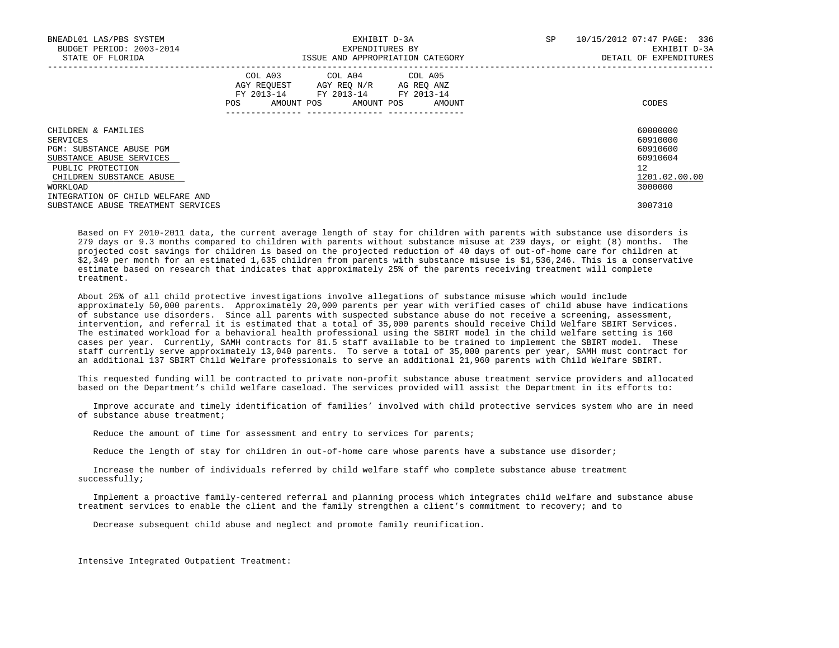| BNEADL01 LAS/PBS SYSTEM<br>BUDGET PERIOD: 2003-2014<br>STATE OF FLORIDA |     | EXHIBIT D-3A<br>EXPENDITURES BY                                                                   | ISSUE AND APPROPRIATION CATEGORY | SP | 10/15/2012 07:47 PAGE: 336<br>EXHIBIT D-3A<br>DETAIL OF EXPENDITURES |
|-------------------------------------------------------------------------|-----|---------------------------------------------------------------------------------------------------|----------------------------------|----|----------------------------------------------------------------------|
|                                                                         | POS | COL A03 COL A04 COL A05<br>AGY REOUEST AGY REO N/R AG REO ANZ<br>FY 2013-14 FY 2013-14 FY 2013-14 | AMOUNT POS AMOUNT POS AMOUNT     |    | CODES                                                                |
| CHILDREN & FAMILIES                                                     |     |                                                                                                   |                                  |    | 60000000                                                             |
| SERVICES                                                                |     |                                                                                                   |                                  |    | 60910000<br>60910600                                                 |
| PGM: SUBSTANCE ABUSE PGM<br>SUBSTANCE ABUSE SERVICES                    |     |                                                                                                   |                                  |    | 60910604                                                             |
| PUBLIC PROTECTION                                                       |     |                                                                                                   |                                  |    | 12                                                                   |
| CHILDREN SUBSTANCE ABUSE                                                |     |                                                                                                   |                                  |    | 1201.02.00.00                                                        |
| WORKLOAD                                                                |     |                                                                                                   |                                  |    | 3000000                                                              |
| INTEGRATION OF CHILD WELFARE AND                                        |     |                                                                                                   |                                  |    |                                                                      |
| SUBSTANCE ABUSE TREATMENT SERVICES                                      |     |                                                                                                   |                                  |    | 3007310                                                              |

 Based on FY 2010-2011 data, the current average length of stay for children with parents with substance use disorders is 279 days or 9.3 months compared to children with parents without substance misuse at 239 days, or eight (8) months. The projected cost savings for children is based on the projected reduction of 40 days of out-of-home care for children at \$2,349 per month for an estimated 1,635 children from parents with substance misuse is \$1,536,246. This is a conservative estimate based on research that indicates that approximately 25% of the parents receiving treatment will complete treatment.

 About 25% of all child protective investigations involve allegations of substance misuse which would include approximately 50,000 parents. Approximately 20,000 parents per year with verified cases of child abuse have indications of substance use disorders. Since all parents with suspected substance abuse do not receive a screening, assessment, intervention, and referral it is estimated that a total of 35,000 parents should receive Child Welfare SBIRT Services. The estimated workload for a behavioral health professional using the SBIRT model in the child welfare setting is 160 cases per year. Currently, SAMH contracts for 81.5 staff available to be trained to implement the SBIRT model. These staff currently serve approximately 13,040 parents. To serve a total of 35,000 parents per year, SAMH must contract for an additional 137 SBIRT Child Welfare professionals to serve an additional 21,960 parents with Child Welfare SBIRT.

 This requested funding will be contracted to private non-profit substance abuse treatment service providers and allocated based on the Department's child welfare caseload. The services provided will assist the Department in its efforts to:

 Improve accurate and timely identification of families' involved with child protective services system who are in need of substance abuse treatment;

Reduce the amount of time for assessment and entry to services for parents;

Reduce the length of stay for children in out-of-home care whose parents have a substance use disorder;

 Increase the number of individuals referred by child welfare staff who complete substance abuse treatment successfully;

 Implement a proactive family-centered referral and planning process which integrates child welfare and substance abuse treatment services to enable the client and the family strengthen a client's commitment to recovery; and to

Decrease subsequent child abuse and neglect and promote family reunification.

Intensive Integrated Outpatient Treatment: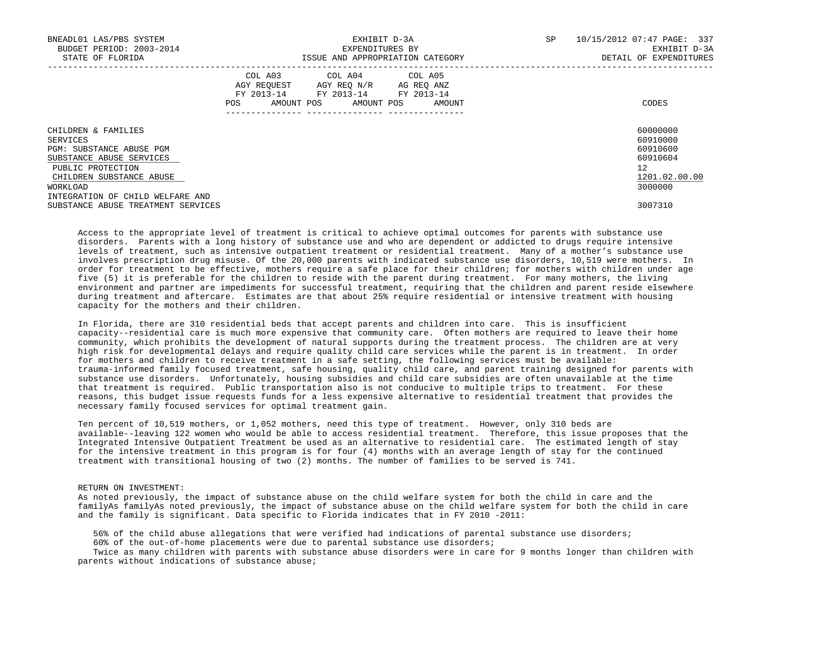| BNEADL01 LAS/PBS SYSTEM<br>BUDGET PERIOD: 2003-2014<br>STATE OF FLORIDA |     | EXHIBIT D-3A<br>EXPENDITURES BY                                                                   | ISSUE AND APPROPRIATION CATEGORY | SP | 10/15/2012 07:47 PAGE: 337<br>EXHIBIT D-3A<br>DETAIL OF EXPENDITURES |
|-------------------------------------------------------------------------|-----|---------------------------------------------------------------------------------------------------|----------------------------------|----|----------------------------------------------------------------------|
|                                                                         | POS | COL A03 COL A04 COL A05<br>AGY REOUEST AGY REO N/R AG REO ANZ<br>FY 2013-14 FY 2013-14 FY 2013-14 | AMOUNT POS AMOUNT POS AMOUNT     |    | CODES                                                                |
| CHILDREN & FAMILIES<br>SERVICES                                         |     |                                                                                                   |                                  |    | 60000000<br>60910000                                                 |
| PGM: SUBSTANCE ABUSE PGM                                                |     |                                                                                                   |                                  |    | 60910600                                                             |
| SUBSTANCE ABUSE SERVICES                                                |     |                                                                                                   |                                  |    | 60910604                                                             |
| PUBLIC PROTECTION                                                       |     |                                                                                                   |                                  |    | 12                                                                   |
| CHILDREN SUBSTANCE ABUSE                                                |     |                                                                                                   |                                  |    | 1201.02.00.00                                                        |
| WORKLOAD                                                                |     |                                                                                                   |                                  |    | 3000000                                                              |
| INTEGRATION OF CHILD WELFARE AND                                        |     |                                                                                                   |                                  |    |                                                                      |
| SUBSTANCE ABUSE TREATMENT SERVICES                                      |     |                                                                                                   |                                  |    | 3007310                                                              |

 Access to the appropriate level of treatment is critical to achieve optimal outcomes for parents with substance use disorders. Parents with a long history of substance use and who are dependent or addicted to drugs require intensive levels of treatment, such as intensive outpatient treatment or residential treatment. Many of a mother's substance use involves prescription drug misuse. Of the 20,000 parents with indicated substance use disorders, 10,519 were mothers. In order for treatment to be effective, mothers require a safe place for their children; for mothers with children under age five (5) it is preferable for the children to reside with the parent during treatment. For many mothers, the living environment and partner are impediments for successful treatment, requiring that the children and parent reside elsewhere during treatment and aftercare. Estimates are that about 25% require residential or intensive treatment with housing capacity for the mothers and their children.

 In Florida, there are 310 residential beds that accept parents and children into care. This is insufficient capacity--residential care is much more expensive that community care. Often mothers are required to leave their home community, which prohibits the development of natural supports during the treatment process. The children are at very high risk for developmental delays and require quality child care services while the parent is in treatment. In order for mothers and children to receive treatment in a safe setting, the following services must be available: trauma-informed family focused treatment, safe housing, quality child care, and parent training designed for parents with substance use disorders. Unfortunately, housing subsidies and child care subsidies are often unavailable at the time that treatment is required. Public transportation also is not conducive to multiple trips to treatment. For these reasons, this budget issue requests funds for a less expensive alternative to residential treatment that provides the necessary family focused services for optimal treatment gain.

 Ten percent of 10,519 mothers, or 1,052 mothers, need this type of treatment. However, only 310 beds are available--leaving 122 women who would be able to access residential treatment. Therefore, this issue proposes that the Integrated Intensive Outpatient Treatment be used as an alternative to residential care. The estimated length of stay for the intensive treatment in this program is for four (4) months with an average length of stay for the continued treatment with transitional housing of two (2) months. The number of families to be served is 741.

### RETURN ON INVESTMENT:

 As noted previously, the impact of substance abuse on the child welfare system for both the child in care and the familyAs familyAs noted previously, the impact of substance abuse on the child welfare system for both the child in care and the family is significant. Data specific to Florida indicates that in FY 2010 -2011:

 56% of the child abuse allegations that were verified had indications of parental substance use disorders; 60% of the out-of-home placements were due to parental substance use disorders;

 Twice as many children with parents with substance abuse disorders were in care for 9 months longer than children with parents without indications of substance abuse;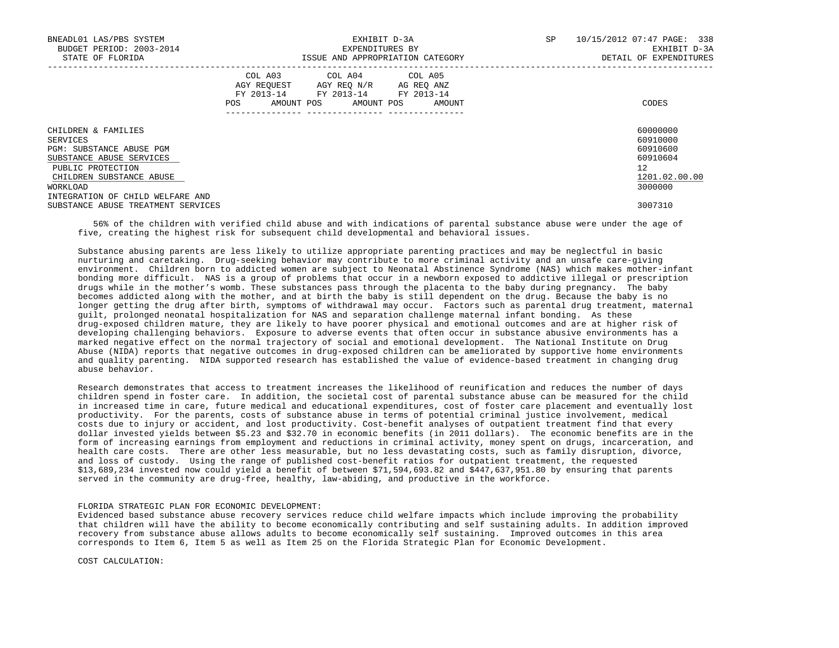| BNEADL01 LAS/PBS SYSTEM<br>BUDGET PERIOD: 2003-2014<br>STATE OF FLORIDA                                                                                                                  |     | EXHIBIT D-3A<br>EXPENDITURES BY                                                                                            | ISSUE AND APPROPRIATION CATEGORY | <b>SP</b> | 10/15/2012 07:47 PAGE: 338<br>EXHIBIT D-3A<br>DETAIL OF EXPENDITURES                        |
|------------------------------------------------------------------------------------------------------------------------------------------------------------------------------------------|-----|----------------------------------------------------------------------------------------------------------------------------|----------------------------------|-----------|---------------------------------------------------------------------------------------------|
|                                                                                                                                                                                          | POS | COL A03 COL A04 COL A05<br>AGY REOUEST AGY REO N/R AG REO ANZ<br>FY 2013-14 FY 2013-14 FY 2013-14<br>AMOUNT POS AMOUNT POS | AMOUNT                           |           | CODES                                                                                       |
| CHILDREN & FAMILIES<br>SERVICES<br>PGM: SUBSTANCE ABUSE PGM<br>SUBSTANCE ABUSE SERVICES<br>PUBLIC PROTECTION<br>CHILDREN SUBSTANCE ABUSE<br>WORKLOAD<br>INTEGRATION OF CHILD WELFARE AND |     |                                                                                                                            |                                  |           | 60000000<br>60910000<br>60910600<br>60910604<br>12 <sup>°</sup><br>1201.02.00.00<br>3000000 |
| SUBSTANCE ABUSE TREATMENT SERVICES                                                                                                                                                       |     |                                                                                                                            |                                  |           | 3007310                                                                                     |

 56% of the children with verified child abuse and with indications of parental substance abuse were under the age of five, creating the highest risk for subsequent child developmental and behavioral issues.

 Substance abusing parents are less likely to utilize appropriate parenting practices and may be neglectful in basic nurturing and caretaking. Drug-seeking behavior may contribute to more criminal activity and an unsafe care-giving environment. Children born to addicted women are subject to Neonatal Abstinence Syndrome (NAS) which makes mother-infant bonding more difficult. NAS is a group of problems that occur in a newborn exposed to addictive illegal or prescription drugs while in the mother's womb. These substances pass through the placenta to the baby during pregnancy. The baby becomes addicted along with the mother, and at birth the baby is still dependent on the drug. Because the baby is no longer getting the drug after birth, symptoms of withdrawal may occur. Factors such as parental drug treatment, maternal guilt, prolonged neonatal hospitalization for NAS and separation challenge maternal infant bonding. As these drug-exposed children mature, they are likely to have poorer physical and emotional outcomes and are at higher risk of developing challenging behaviors. Exposure to adverse events that often occur in substance abusive environments has a marked negative effect on the normal trajectory of social and emotional development. The National Institute on Drug Abuse (NIDA) reports that negative outcomes in drug-exposed children can be ameliorated by supportive home environments and quality parenting. NIDA supported research has established the value of evidence-based treatment in changing drug abuse behavior.

 Research demonstrates that access to treatment increases the likelihood of reunification and reduces the number of days children spend in foster care. In addition, the societal cost of parental substance abuse can be measured for the child in increased time in care, future medical and educational expenditures, cost of foster care placement and eventually lost productivity. For the parents, costs of substance abuse in terms of potential criminal justice involvement, medical costs due to injury or accident, and lost productivity. Cost-benefit analyses of outpatient treatment find that every dollar invested yields between \$5.23 and \$32.70 in economic benefits (in 2011 dollars). The economic benefits are in the form of increasing earnings from employment and reductions in criminal activity, money spent on drugs, incarceration, and health care costs. There are other less measurable, but no less devastating costs, such as family disruption, divorce, and loss of custody. Using the range of published cost-benefit ratios for outpatient treatment, the requested \$13,689,234 invested now could yield a benefit of between \$71,594,693.82 and \$447,637,951.80 by ensuring that parents served in the community are drug-free, healthy, law-abiding, and productive in the workforce.

#### FLORIDA STRATEGIC PLAN FOR ECONOMIC DEVELOPMENT:

 Evidenced based substance abuse recovery services reduce child welfare impacts which include improving the probability that children will have the ability to become economically contributing and self sustaining adults. In addition improved recovery from substance abuse allows adults to become economically self sustaining. Improved outcomes in this area corresponds to Item 6, Item 5 as well as Item 25 on the Florida Strategic Plan for Economic Development.

COST CALCULATION: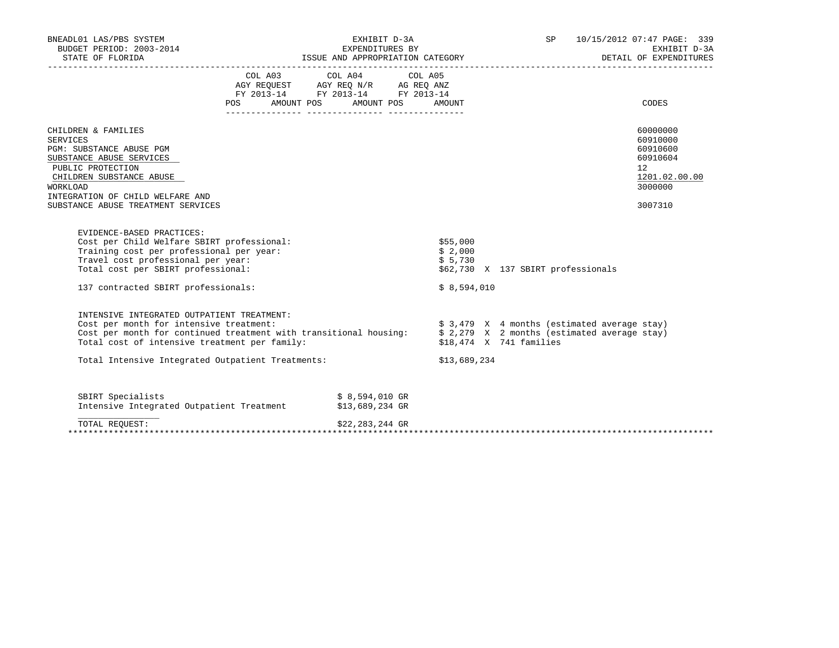| BNEADL01 LAS/PBS SYSTEM<br>BUDGET PERIOD: 2003-2014                                                                                                                                                                                                                                                                      |         | EXHIBIT D-3A<br>EXPENDITURES BY                                                                                                                                                                                                                 |                                                                                         | SP 10/15/2012 07:47 PAGE: 339<br>EXHIBIT D-3A<br>DETAIL OF EXPENDITURES                   |
|--------------------------------------------------------------------------------------------------------------------------------------------------------------------------------------------------------------------------------------------------------------------------------------------------------------------------|---------|-------------------------------------------------------------------------------------------------------------------------------------------------------------------------------------------------------------------------------------------------|-----------------------------------------------------------------------------------------|-------------------------------------------------------------------------------------------|
|                                                                                                                                                                                                                                                                                                                          | POS FOR | COL A03 COL A04 COL A05<br>$\begin{tabular}{lllllll} \bf AGY \,\, REQUEST \,\, &\bf AGY \,\, REQ \,\, N/R &\bf AG \,\, REQ \,\, ANZ \\ \bf FY \,\, 2013-14 &\bf FY \,\, 2013-14 &\bf FY \,\, 2013-14 \\ \end{tabular}$<br>AMOUNT POS AMOUNT POS | AMOUNT                                                                                  | <b>CODES</b>                                                                              |
| CHILDREN & FAMILIES<br><b>SERVICES</b><br>PGM: SUBSTANCE ABUSE PGM<br>SUBSTANCE ABUSE SERVICES<br>PUBLIC PROTECTION<br>CHILDREN SUBSTANCE ABUSE<br>WORKLOAD<br>INTEGRATION OF CHILD WELFARE AND<br>SUBSTANCE ABUSE TREATMENT SERVICES                                                                                    |         |                                                                                                                                                                                                                                                 |                                                                                         | 60000000<br>60910000<br>60910600<br>60910604<br>12<br>1201.02.00.00<br>3000000<br>3007310 |
| EVIDENCE-BASED PRACTICES:<br>Cost per Child Welfare SBIRT professional:<br>Training cost per professional per year:<br>Travel cost professional per year:<br>Total cost per SBIRT professional:                                                                                                                          |         |                                                                                                                                                                                                                                                 | \$55,000<br>\$2,000<br>\$5,730<br>\$62,730 X 137 SBIRT professionals                    |                                                                                           |
| 137 contracted SBIRT professionals:                                                                                                                                                                                                                                                                                      |         |                                                                                                                                                                                                                                                 | \$8,594,010                                                                             |                                                                                           |
| INTENSIVE INTEGRATED OUTPATIENT TREATMENT:<br>Cost per month for intensive treatment:<br>Cost per month for continued treatment with transitional housing: $\frac{1}{2}$ , 279 X 2 months (estimated average stay)<br>Total cost of intensive treatment per family:<br>Total Intensive Integrated Outpatient Treatments: |         |                                                                                                                                                                                                                                                 | $$3,479$ X 4 months (estimated average stay)<br>\$18,474 X 741 families<br>\$13,689,234 |                                                                                           |
| SBIRT Specialists<br>Intensive Integrated Outpatient Treatment                                                                                                                                                                                                                                                           |         | \$ 8,594,010 GR<br>\$13,689,234 GR                                                                                                                                                                                                              |                                                                                         |                                                                                           |
| TOTAL REOUEST:                                                                                                                                                                                                                                                                                                           |         | \$22,283,244 GR                                                                                                                                                                                                                                 |                                                                                         |                                                                                           |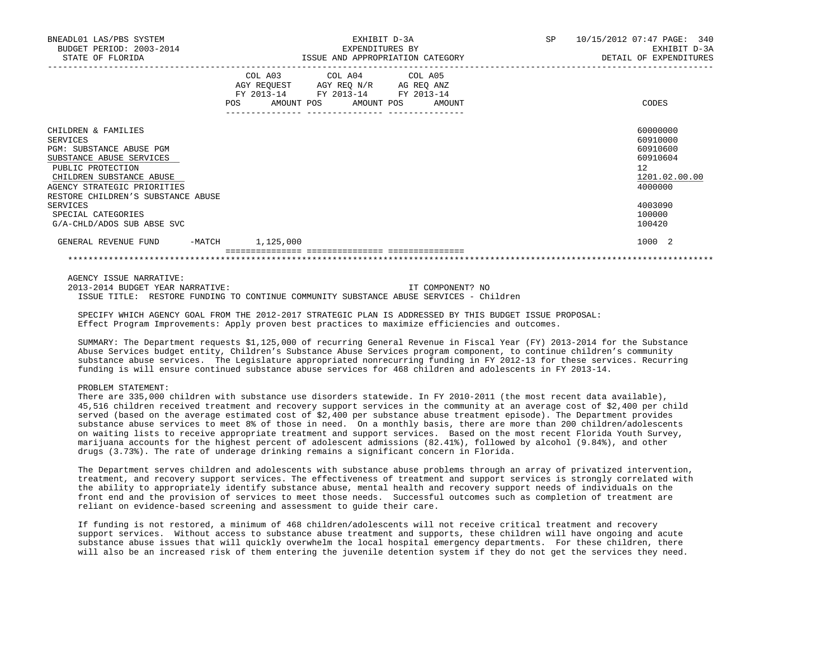| BNEADL01 LAS/PBS SYSTEM<br>BUDGET PERIOD: 2003-2014<br>STATE OF FLORIDA                                                                                                                                                                                                       |                  | EXHIBIT D-3A<br>EXPENDITURES BY<br>ISSUE AND APPROPRIATION CATEGORY                                                               | SP 10/15/2012 07:47 PAGE: 340<br>EXHIBIT D-3A<br>DETAIL OF EXPENDITURES |                                                                                                                            |  |
|-------------------------------------------------------------------------------------------------------------------------------------------------------------------------------------------------------------------------------------------------------------------------------|------------------|-----------------------------------------------------------------------------------------------------------------------------------|-------------------------------------------------------------------------|----------------------------------------------------------------------------------------------------------------------------|--|
|                                                                                                                                                                                                                                                                               | <b>POS</b>       | COL A03 COL A04 COL A05<br>AGY REQUEST AGY REO N/R AG REO ANZ<br>FY 2013-14 FY 2013-14 FY 2013-14<br>AMOUNT POS AMOUNT POS AMOUNT |                                                                         | CODES                                                                                                                      |  |
| CHILDREN & FAMILIES<br>SERVICES<br>PGM: SUBSTANCE ABUSE PGM<br>SUBSTANCE ABUSE SERVICES<br>PUBLIC PROTECTION<br>CHILDREN SUBSTANCE ABUSE<br>AGENCY STRATEGIC PRIORITIES<br>RESTORE CHILDREN'S SUBSTANCE ABUSE<br>SERVICES<br>SPECIAL CATEGORIES<br>G/A-CHLD/ADOS SUB ABSE SVC |                  |                                                                                                                                   |                                                                         | 60000000<br>60910000<br>60910600<br>60910604<br>12 <sup>°</sup><br>1201.02.00.00<br>4000000<br>4003090<br>100000<br>100420 |  |
| GENERAL REVENUE FUND                                                                                                                                                                                                                                                          | -MATCH 1,125,000 |                                                                                                                                   |                                                                         | 1000 2                                                                                                                     |  |
|                                                                                                                                                                                                                                                                               |                  |                                                                                                                                   |                                                                         |                                                                                                                            |  |

AGENCY ISSUE NARRATIVE:

 2013-2014 BUDGET YEAR NARRATIVE: IT COMPONENT? NO ISSUE TITLE: RESTORE FUNDING TO CONTINUE COMMUNITY SUBSTANCE ABUSE SERVICES - Children

 SPECIFY WHICH AGENCY GOAL FROM THE 2012-2017 STRATEGIC PLAN IS ADDRESSED BY THIS BUDGET ISSUE PROPOSAL: Effect Program Improvements: Apply proven best practices to maximize efficiencies and outcomes.

 SUMMARY: The Department requests \$1,125,000 of recurring General Revenue in Fiscal Year (FY) 2013-2014 for the Substance Abuse Services budget entity, Children's Substance Abuse Services program component, to continue children's community substance abuse services. The Legislature appropriated nonrecurring funding in FY 2012-13 for these services. Recurring funding is will ensure continued substance abuse services for 468 children and adolescents in FY 2013-14.

#### PROBLEM STATEMENT:

 There are 335,000 children with substance use disorders statewide. In FY 2010-2011 (the most recent data available), 45,516 children received treatment and recovery support services in the community at an average cost of \$2,400 per child served (based on the average estimated cost of \$2,400 per substance abuse treatment episode). The Department provides substance abuse services to meet 8% of those in need. On a monthly basis, there are more than 200 children/adolescents on waiting lists to receive appropriate treatment and support services. Based on the most recent Florida Youth Survey, marijuana accounts for the highest percent of adolescent admissions (82.41%), followed by alcohol (9.84%), and other drugs (3.73%). The rate of underage drinking remains a significant concern in Florida.

 The Department serves children and adolescents with substance abuse problems through an array of privatized intervention, treatment, and recovery support services. The effectiveness of treatment and support services is strongly correlated with the ability to appropriately identify substance abuse, mental health and recovery support needs of individuals on the front end and the provision of services to meet those needs. Successful outcomes such as completion of treatment are reliant on evidence-based screening and assessment to guide their care.

 If funding is not restored, a minimum of 468 children/adolescents will not receive critical treatment and recovery support services. Without access to substance abuse treatment and supports, these children will have ongoing and acute substance abuse issues that will quickly overwhelm the local hospital emergency departments. For these children, there will also be an increased risk of them entering the juvenile detention system if they do not get the services they need.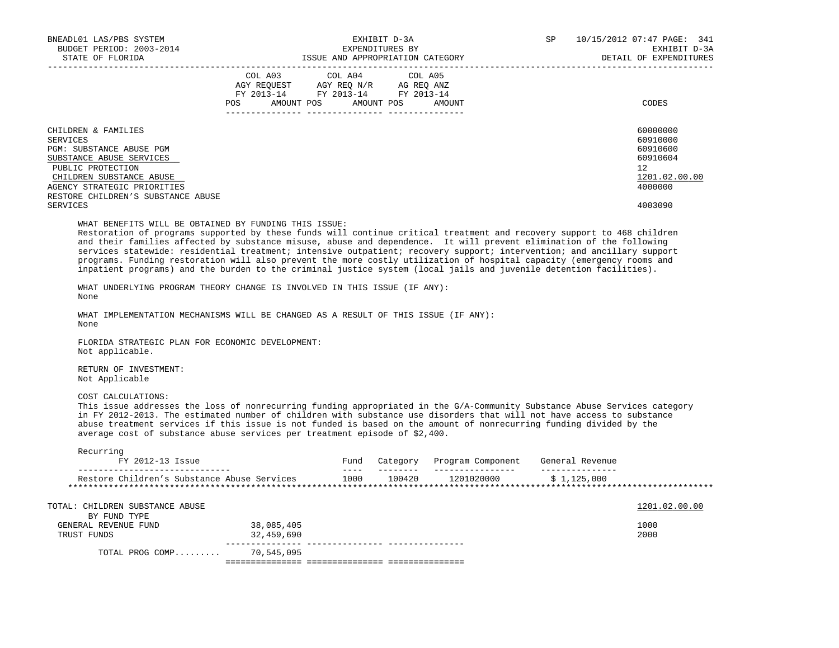| BNEADL01 LAS/PBS SYSTEM<br>BUDGET PERIOD: 2003-2014<br>STATE OF FLORIDA                                                                                                                                                                                                                                                                                                                                                                                                                                                                                                                                                                                                         | EXHIBIT D-3A<br>EXPENDITURES BY<br>ISSUE AND APPROPRIATION CATEGORY |                                                                        |               |         |                                                 | SP |                   | 10/15/2012 07:47 PAGE: 341<br>EXHIBIT D-3A<br>DETAIL OF EXPENDITURES                      |
|---------------------------------------------------------------------------------------------------------------------------------------------------------------------------------------------------------------------------------------------------------------------------------------------------------------------------------------------------------------------------------------------------------------------------------------------------------------------------------------------------------------------------------------------------------------------------------------------------------------------------------------------------------------------------------|---------------------------------------------------------------------|------------------------------------------------------------------------|---------------|---------|-------------------------------------------------|----|-------------------|-------------------------------------------------------------------------------------------|
|                                                                                                                                                                                                                                                                                                                                                                                                                                                                                                                                                                                                                                                                                 | COL A03<br>POS AMOUNT POS AMOUNT POS AMOUNT                         | AGY REQUEST AGY REQ N/R AG REQ ANZ<br>FY 2013-14 FY 2013-14 FY 2013-14 | COL A04       | COL A05 |                                                 |    |                   | CODES                                                                                     |
| CHILDREN & FAMILIES<br>SERVICES<br>PGM: SUBSTANCE ABUSE PGM<br>SUBSTANCE ABUSE SERVICES<br>PUBLIC PROTECTION<br>CHILDREN SUBSTANCE ABUSE<br>AGENCY STRATEGIC PRIORITIES<br>RESTORE CHILDREN'S SUBSTANCE ABUSE<br><b>SERVICES</b>                                                                                                                                                                                                                                                                                                                                                                                                                                                |                                                                     |                                                                        |               |         |                                                 |    |                   | 60000000<br>60910000<br>60910600<br>60910604<br>12<br>1201.02.00.00<br>4000000<br>4003090 |
| WHAT BENEFITS WILL BE OBTAINED BY FUNDING THIS ISSUE:<br>Restoration of programs supported by these funds will continue critical treatment and recovery support to 468 children<br>and their families affected by substance misuse, abuse and dependence. It will prevent elimination of the following<br>services statewide: residential treatment; intensive outpatient; recovery support; intervention; and ancillary support<br>programs. Funding restoration will also prevent the more costly utilization of hospital capacity (emergency rooms and<br>inpatient programs) and the burden to the criminal justice system (local jails and juvenile detention facilities). |                                                                     |                                                                        |               |         |                                                 |    |                   |                                                                                           |
| WHAT UNDERLYING PROGRAM THEORY CHANGE IS INVOLVED IN THIS ISSUE (IF ANY):<br>None                                                                                                                                                                                                                                                                                                                                                                                                                                                                                                                                                                                               |                                                                     |                                                                        |               |         |                                                 |    |                   |                                                                                           |
| WHAT IMPLEMENTATION MECHANISMS WILL BE CHANGED AS A RESULT OF THIS ISSUE (IF ANY):<br>None                                                                                                                                                                                                                                                                                                                                                                                                                                                                                                                                                                                      |                                                                     |                                                                        |               |         |                                                 |    |                   |                                                                                           |
| FLORIDA STRATEGIC PLAN FOR ECONOMIC DEVELOPMENT:<br>Not applicable.                                                                                                                                                                                                                                                                                                                                                                                                                                                                                                                                                                                                             |                                                                     |                                                                        |               |         |                                                 |    |                   |                                                                                           |
| RETURN OF INVESTMENT:<br>Not Applicable                                                                                                                                                                                                                                                                                                                                                                                                                                                                                                                                                                                                                                         |                                                                     |                                                                        |               |         |                                                 |    |                   |                                                                                           |
| COST CALCULATIONS:<br>This issue addresses the loss of nonrecurring funding appropriated in the G/A-Community Substance Abuse Services category<br>in FY 2012-2013. The estimated number of children with substance use disorders that will not have access to substance<br>abuse treatment services if this issue is not funded is based on the amount of nonrecurring funding divided by the<br>average cost of substance abuse services per treatment episode of \$2,400.                                                                                                                                                                                                    |                                                                     |                                                                        |               |         |                                                 |    |                   |                                                                                           |
| Recurring<br>FY 2012-13 Issue<br>__________________________                                                                                                                                                                                                                                                                                                                                                                                                                                                                                                                                                                                                                     |                                                                     |                                                                        | $\frac{1}{2}$ |         | Fund Category Program Component General Revenue |    | _________________ |                                                                                           |
| Restore Children's Substance Abuse Services 1000 100420 1201020000 \$ 1,125,000                                                                                                                                                                                                                                                                                                                                                                                                                                                                                                                                                                                                 |                                                                     |                                                                        |               |         |                                                 |    |                   |                                                                                           |
| TOTAL: CHILDREN SUBSTANCE ABUSE<br>BY FUND TYPE                                                                                                                                                                                                                                                                                                                                                                                                                                                                                                                                                                                                                                 |                                                                     |                                                                        |               |         |                                                 |    |                   | 1201.02.00.00                                                                             |
| GENERAL REVENUE FUND<br>TRUST FUNDS                                                                                                                                                                                                                                                                                                                                                                                                                                                                                                                                                                                                                                             | 38,085,405<br>32,459,690                                            |                                                                        |               |         |                                                 |    |                   | 1000<br>2000                                                                              |
| TOTAL PROG COMP                                                                                                                                                                                                                                                                                                                                                                                                                                                                                                                                                                                                                                                                 | 70,545,095                                                          |                                                                        |               |         |                                                 |    |                   |                                                                                           |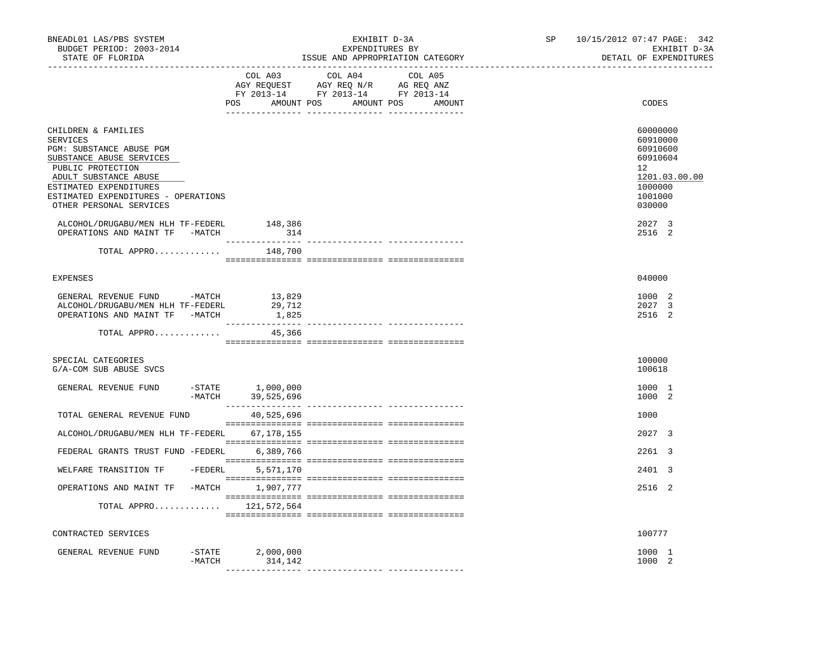| BNEADL01 LAS/PBS SYSTEM<br>BUDGET PERIOD: 2003-2014<br>STATE OF FLORIDA                                                                                                                                                                                                       | EXHIBIT D-3A<br>EXPENDITURES BY<br>ISSUE AND APPROPRIATION CATEGORY |                                             |                                                                                   |         | SP | 10/15/2012 07:47 PAGE: 342<br>EXHIBIT D-3A<br>DETAIL OF EXPENDITURES                                          |
|-------------------------------------------------------------------------------------------------------------------------------------------------------------------------------------------------------------------------------------------------------------------------------|---------------------------------------------------------------------|---------------------------------------------|-----------------------------------------------------------------------------------|---------|----|---------------------------------------------------------------------------------------------------------------|
|                                                                                                                                                                                                                                                                               |                                                                     | COL A03<br>POS AMOUNT POS AMOUNT POS AMOUNT | COL A04<br>AGY REQUEST AGY REQ N/R AG REQ ANZ<br>FY 2013-14 FY 2013-14 FY 2013-14 | COL A05 |    | CODES                                                                                                         |
| CHILDREN & FAMILIES<br><b>SERVICES</b><br>PGM: SUBSTANCE ABUSE PGM<br>SUBSTANCE ABUSE SERVICES<br>PUBLIC PROTECTION<br>ADULT SUBSTANCE ABUSE<br>ESTIMATED EXPENDITURES<br>ESTIMATED EXPENDITURES - OPERATIONS<br>OTHER PERSONAL SERVICES<br>ALCOHOL/DRUGABU/MEN HLH TF-FEDERL |                                                                     | 148,386                                     |                                                                                   |         |    | 60000000<br>60910000<br>60910600<br>60910604<br>12<br>1201.03.00.00<br>1000000<br>1001000<br>030000<br>2027 3 |
| OPERATIONS AND MAINT TF -MATCH                                                                                                                                                                                                                                                |                                                                     | 314                                         |                                                                                   |         |    | 2516 2                                                                                                        |
| TOTAL APPRO                                                                                                                                                                                                                                                                   |                                                                     | 148,700                                     |                                                                                   |         |    |                                                                                                               |
| <b>EXPENSES</b>                                                                                                                                                                                                                                                               |                                                                     |                                             |                                                                                   |         |    | 040000                                                                                                        |
| GENERAL REVENUE FUND -MATCH<br>ALCOHOL/DRUGABU/MEN HLH TF-FEDERL<br>OPERATIONS AND MAINT TF -MATCH                                                                                                                                                                            |                                                                     | 13,829<br>29,712<br>1,825                   |                                                                                   |         |    | 1000 2<br>2027 3<br>2516 2                                                                                    |
| TOTAL APPRO                                                                                                                                                                                                                                                                   |                                                                     | 45,366                                      |                                                                                   |         |    |                                                                                                               |
| SPECIAL CATEGORIES<br>G/A-COM SUB ABUSE SVCS                                                                                                                                                                                                                                  |                                                                     |                                             |                                                                                   |         |    | 100000<br>100618                                                                                              |
| GENERAL REVENUE FUND                                                                                                                                                                                                                                                          |                                                                     | -STATE 1,000,000<br>-MATCH 39,525,696       |                                                                                   |         |    | 1000 1<br>1000 2                                                                                              |
| TOTAL GENERAL REVENUE FUND                                                                                                                                                                                                                                                    |                                                                     | 40,525,696                                  |                                                                                   |         |    | 1000                                                                                                          |
| ALCOHOL/DRUGABU/MEN HLH TF-FEDERL 67,178,155                                                                                                                                                                                                                                  |                                                                     |                                             |                                                                                   |         |    | 2027 3                                                                                                        |
| FEDERAL GRANTS TRUST FUND -FEDERL                                                                                                                                                                                                                                             |                                                                     | 6,389,766                                   |                                                                                   |         |    | 2261 3                                                                                                        |
| WELFARE TRANSITION TF                                                                                                                                                                                                                                                         | $-FEDERL$                                                           | 5,571,170                                   |                                                                                   |         |    | 2401 3                                                                                                        |
| OPERATIONS AND MAINT TF -MATCH 1,907,777                                                                                                                                                                                                                                      |                                                                     |                                             |                                                                                   |         |    | 2516 2                                                                                                        |
| TOTAL APPRO $121,572,564$                                                                                                                                                                                                                                                     |                                                                     |                                             |                                                                                   |         |    |                                                                                                               |
| CONTRACTED SERVICES                                                                                                                                                                                                                                                           |                                                                     |                                             |                                                                                   |         |    | 100777                                                                                                        |
| GENERAL REVENUE FUND                                                                                                                                                                                                                                                          |                                                                     | $-STATE$ 2,000,000                          |                                                                                   |         |    | 1000 1                                                                                                        |
|                                                                                                                                                                                                                                                                               | $-MATCH$                                                            | 314,142                                     |                                                                                   |         |    | 1000 2                                                                                                        |
|                                                                                                                                                                                                                                                                               |                                                                     |                                             |                                                                                   |         |    |                                                                                                               |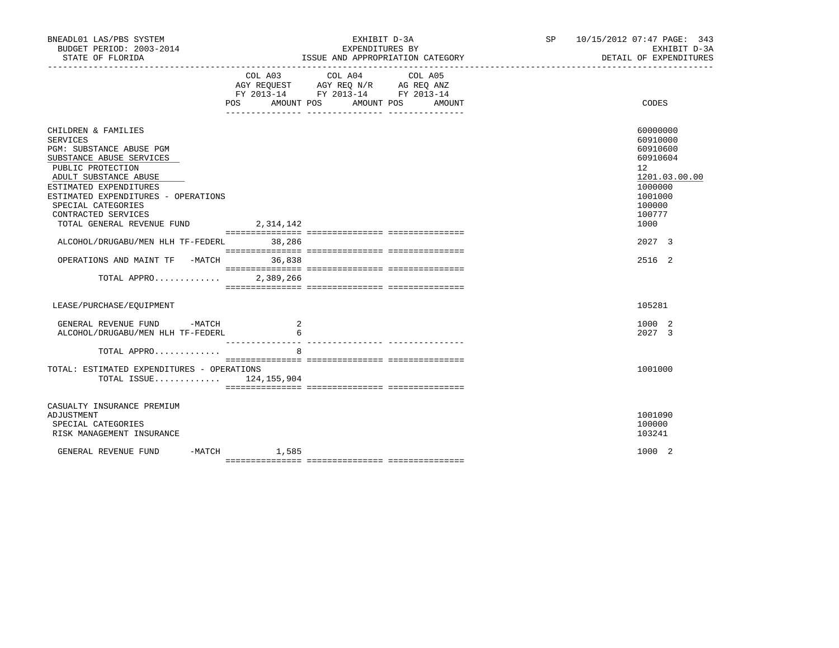| BNEADL01 LAS/PBS SYSTEM<br>BUDGET PERIOD: 2003-2014                                                                                                                                                                                                                                                                                                                              |                | EXHIBIT D-3A<br>EXPENDITURES BY                                                                                                  | SP 10/15/2012 07:47 PAGE: 343<br>EXHIBIT D-3A<br>DETAIL OF EXPENDITURES                                                                   |
|----------------------------------------------------------------------------------------------------------------------------------------------------------------------------------------------------------------------------------------------------------------------------------------------------------------------------------------------------------------------------------|----------------|----------------------------------------------------------------------------------------------------------------------------------|-------------------------------------------------------------------------------------------------------------------------------------------|
|                                                                                                                                                                                                                                                                                                                                                                                  | COL A03        | COL A04<br>COL A05<br>AGY REQUEST AGY REQ N/R AG REQ ANZ<br>FY 2013-14 FY 2013-14 FY 2013-14<br>POS AMOUNT POS AMOUNT POS AMOUNT | CODES                                                                                                                                     |
| CHILDREN & FAMILIES<br>SERVICES<br>PGM: SUBSTANCE ABUSE PGM<br>SUBSTANCE ABUSE SERVICES<br>PUBLIC PROTECTION<br>ADULT SUBSTANCE ABUSE<br>ESTIMATED EXPENDITURES<br>ESTIMATED EXPENDITURES - OPERATIONS<br>SPECIAL CATEGORIES<br>CONTRACTED SERVICES<br>TOTAL GENERAL REVENUE FUND 2,314,142<br>ALCOHOL/DRUGABU/MEN HLH TF-FEDERL 38,286<br>OPERATIONS AND MAINT TF -MATCH 36,838 |                |                                                                                                                                  | 60000000<br>60910000<br>60910600<br>60910604<br>12<br>1201.03.00.00<br>1000000<br>1001000<br>100000<br>100777<br>1000<br>2027 3<br>2516 2 |
| TOTAL APPRO 2,389,266                                                                                                                                                                                                                                                                                                                                                            |                |                                                                                                                                  |                                                                                                                                           |
| LEASE/PURCHASE/EOUIPMENT                                                                                                                                                                                                                                                                                                                                                         |                |                                                                                                                                  | 105281                                                                                                                                    |
| GENERAL REVENUE FUND -MATCH<br>ALCOHOL/DRUGABU/MEN HLH TF-FEDERL<br>TOTAL APPRO                                                                                                                                                                                                                                                                                                  | 6<br>8         |                                                                                                                                  | 1000 2<br>2027 3                                                                                                                          |
| TOTAL: ESTIMATED EXPENDITURES - OPERATIONS<br>TOTAL ISSUE $124, 155, 904$                                                                                                                                                                                                                                                                                                        |                |                                                                                                                                  | 1001000                                                                                                                                   |
| CASUALTY INSURANCE PREMIUM<br>ADJUSTMENT<br>SPECIAL CATEGORIES<br>RISK MANAGEMENT INSURANCE                                                                                                                                                                                                                                                                                      |                |                                                                                                                                  | 1001090<br>100000<br>103241                                                                                                               |
| GENERAL REVENUE FUND                                                                                                                                                                                                                                                                                                                                                             | $-MATCH$ 1,585 |                                                                                                                                  | 1000 2                                                                                                                                    |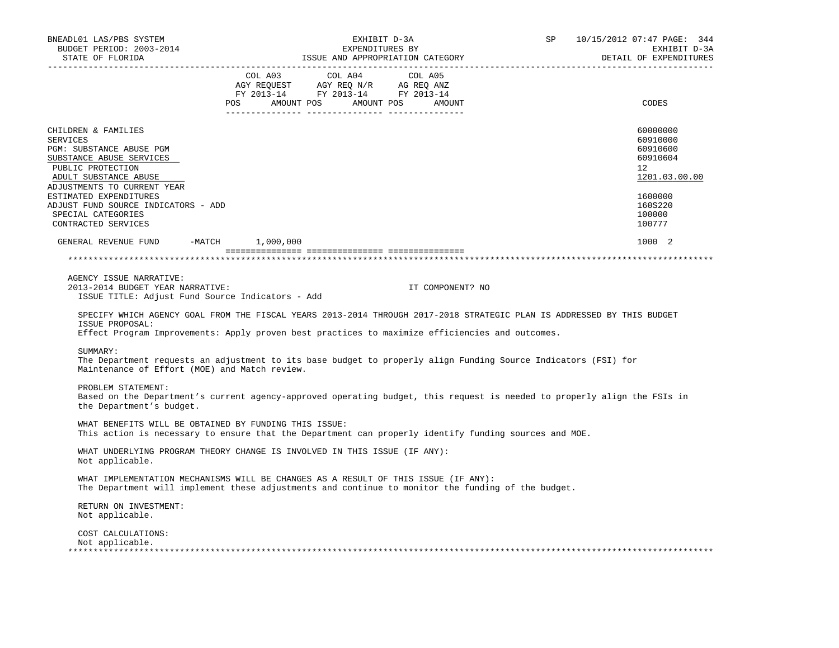| BNEADL01 LAS/PBS SYSTEM<br>BUDGET PERIOD: 2003-2014<br>STATE OF FLORIDA                                                                                                                                                                                                            | EXHIBIT D-3A<br>EXPENDITURES BY<br>ISSUE AND APPROPRIATION CATEGORY                                                                                                                                                                           | SP<br>10/15/2012 07:47 PAGE: 344<br>EXHIBIT D-3A<br>DETAIL OF EXPENDITURES                                              |
|------------------------------------------------------------------------------------------------------------------------------------------------------------------------------------------------------------------------------------------------------------------------------------|-----------------------------------------------------------------------------------------------------------------------------------------------------------------------------------------------------------------------------------------------|-------------------------------------------------------------------------------------------------------------------------|
|                                                                                                                                                                                                                                                                                    | $\begin{tabular}{lcccc} COL A03 & COL A04 & COL A05 \\ AGY REQUEST & AGY REQ N/R & AG REQ ANZ \\ FY & 2013-14 & FY & 2013-14 & FY & 2013-14 \end{tabular}$<br>POS AMOUNT POS AMOUNT POS AMOUNT                                                | CODES                                                                                                                   |
| CHILDREN & FAMILIES<br>SERVICES<br>PGM: SUBSTANCE ABUSE PGM<br>SUBSTANCE ABUSE SERVICES<br>PUBLIC PROTECTION<br>ADULT SUBSTANCE ABUSE<br>ADJUSTMENTS TO CURRENT YEAR<br>ESTIMATED EXPENDITURES<br>ADJUST FUND SOURCE INDICATORS - ADD<br>SPECIAL CATEGORIES<br>CONTRACTED SERVICES |                                                                                                                                                                                                                                               | 60000000<br>60910000<br>60910600<br>60910604<br>$12^{\circ}$<br>1201.03.00.00<br>1600000<br>160S220<br>100000<br>100777 |
| GENERAL REVENUE FUND -MATCH 1,000,000                                                                                                                                                                                                                                              |                                                                                                                                                                                                                                               | 1000 2                                                                                                                  |
|                                                                                                                                                                                                                                                                                    |                                                                                                                                                                                                                                               |                                                                                                                         |
| AGENCY ISSUE NARRATIVE:<br>2013-2014 BUDGET YEAR NARRATIVE:<br>ISSUE TITLE: Adjust Fund Source Indicators - Add<br>ISSUE PROPOSAL:                                                                                                                                                 | IT COMPONENT? NO<br>SPECIFY WHICH AGENCY GOAL FROM THE FISCAL YEARS 2013-2014 THROUGH 2017-2018 STRATEGIC PLAN IS ADDRESSED BY THIS BUDGET<br>Effect Program Improvements: Apply proven best practices to maximize efficiencies and outcomes. |                                                                                                                         |
| SUMMARY:<br>Maintenance of Effort (MOE) and Match review.                                                                                                                                                                                                                          | The Department requests an adjustment to its base budget to properly align Funding Source Indicators (FSI) for                                                                                                                                |                                                                                                                         |
| PROBLEM STATEMENT:<br>the Department's budget.                                                                                                                                                                                                                                     | Based on the Department's current agency-approved operating budget, this request is needed to properly align the FSIs in                                                                                                                      |                                                                                                                         |
| WHAT BENEFITS WILL BE OBTAINED BY FUNDING THIS ISSUE:                                                                                                                                                                                                                              | This action is necessary to ensure that the Department can properly identify funding sources and MOE.                                                                                                                                         |                                                                                                                         |
| Not applicable.                                                                                                                                                                                                                                                                    | WHAT UNDERLYING PROGRAM THEORY CHANGE IS INVOLVED IN THIS ISSUE (IF ANY):                                                                                                                                                                     |                                                                                                                         |
|                                                                                                                                                                                                                                                                                    | WHAT IMPLEMENTATION MECHANISMS WILL BE CHANGES AS A RESULT OF THIS ISSUE (IF ANY):<br>The Department will implement these adjustments and continue to monitor the funding of the budget.                                                      |                                                                                                                         |
| RETURN ON INVESTMENT:<br>Not applicable.                                                                                                                                                                                                                                           |                                                                                                                                                                                                                                               |                                                                                                                         |
| COST CALCULATIONS:<br>Not applicable.                                                                                                                                                                                                                                              |                                                                                                                                                                                                                                               |                                                                                                                         |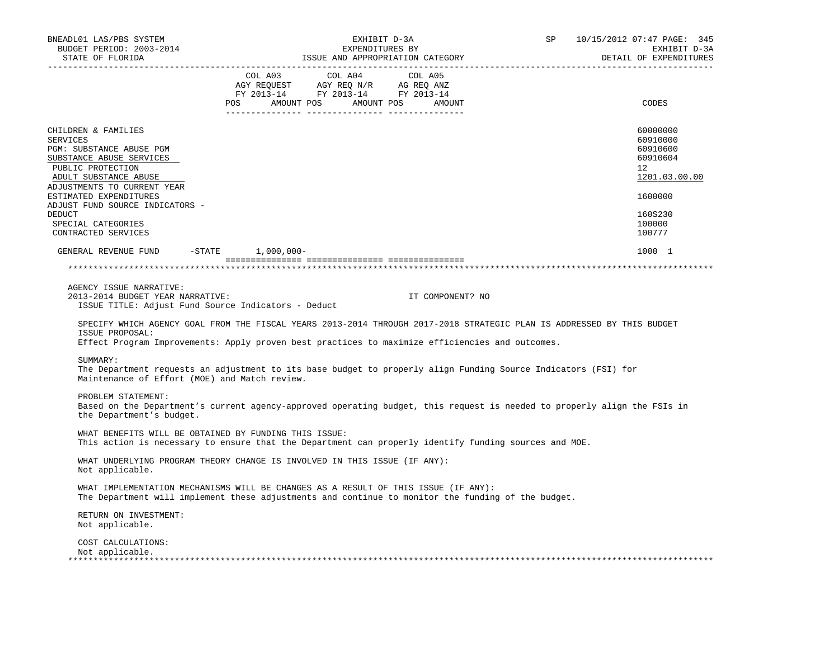| BNEADL01 LAS/PBS SYSTEM<br>BUDGET PERIOD: 2003-2014<br>STATE OF FLORIDA                                                                                                                                                                            | EXHIBIT D-3A<br>EXPENDITURES BY<br>ISSUE AND APPROPRIATION CATEGORY                                                                                                                                                               | SP<br>10/15/2012 07:47 PAGE: 345<br>EXHIBIT D-3A<br>DETAIL OF EXPENDITURES                          |
|----------------------------------------------------------------------------------------------------------------------------------------------------------------------------------------------------------------------------------------------------|-----------------------------------------------------------------------------------------------------------------------------------------------------------------------------------------------------------------------------------|-----------------------------------------------------------------------------------------------------|
|                                                                                                                                                                                                                                                    | $\begin{tabular}{lcccc} COL A03 & COL A04 & COL A05 \\ AGY REQUEST & AGY REQ N/R & AG REQ ANZ \\ FY & 2013-14 & FY & 2013-14 & FY & 2013-14 \end{tabular}$<br>POS AMOUNT POS AMOUNT POS AMOUNT<br>.<br>_________ ________________ | CODES                                                                                               |
| CHILDREN & FAMILIES<br><b>SERVICES</b><br>PGM: SUBSTANCE ABUSE PGM<br>SUBSTANCE ABUSE SERVICES<br>PUBLIC PROTECTION<br>ADULT SUBSTANCE ABUSE<br>ADJUSTMENTS TO CURRENT YEAR<br>ESTIMATED EXPENDITURES<br>ADJUST FUND SOURCE INDICATORS -<br>DEDUCT |                                                                                                                                                                                                                                   | 60000000<br>60910000<br>60910600<br>60910604<br>$12^{\circ}$<br>1201.03.00.00<br>1600000<br>160S230 |
| SPECIAL CATEGORIES<br>CONTRACTED SERVICES                                                                                                                                                                                                          |                                                                                                                                                                                                                                   | 100000<br>100777                                                                                    |
| GENERAL REVENUE FUND -STATE 1,000,000-                                                                                                                                                                                                             |                                                                                                                                                                                                                                   | 1000 1                                                                                              |
|                                                                                                                                                                                                                                                    |                                                                                                                                                                                                                                   |                                                                                                     |
| AGENCY ISSUE NARRATIVE:<br>2013-2014 BUDGET YEAR NARRATIVE:<br>ISSUE TITLE: Adjust Fund Source Indicators - Deduct                                                                                                                                 | IT COMPONENT? NO<br>SPECIFY WHICH AGENCY GOAL FROM THE FISCAL YEARS 2013-2014 THROUGH 2017-2018 STRATEGIC PLAN IS ADDRESSED BY THIS BUDGET                                                                                        |                                                                                                     |
| ISSUE PROPOSAL:                                                                                                                                                                                                                                    | Effect Program Improvements: Apply proven best practices to maximize efficiencies and outcomes.                                                                                                                                   |                                                                                                     |
| SUMMARY:<br>Maintenance of Effort (MOE) and Match review.                                                                                                                                                                                          | The Department requests an adjustment to its base budget to properly align Funding Source Indicators (FSI) for                                                                                                                    |                                                                                                     |
| PROBLEM STATEMENT:<br>the Department's budget.                                                                                                                                                                                                     | Based on the Department's current agency-approved operating budget, this request is needed to properly align the FSIs in                                                                                                          |                                                                                                     |
| WHAT BENEFITS WILL BE OBTAINED BY FUNDING THIS ISSUE:                                                                                                                                                                                              | This action is necessary to ensure that the Department can properly identify funding sources and MOE.                                                                                                                             |                                                                                                     |
| Not applicable.                                                                                                                                                                                                                                    | WHAT UNDERLYING PROGRAM THEORY CHANGE IS INVOLVED IN THIS ISSUE (IF ANY):                                                                                                                                                         |                                                                                                     |
|                                                                                                                                                                                                                                                    | WHAT IMPLEMENTATION MECHANISMS WILL BE CHANGES AS A RESULT OF THIS ISSUE (IF ANY):<br>The Department will implement these adjustments and continue to monitor the funding of the budget.                                          |                                                                                                     |
| RETURN ON INVESTMENT:<br>Not applicable.                                                                                                                                                                                                           |                                                                                                                                                                                                                                   |                                                                                                     |
| COST CALCULATIONS:<br>Not applicable.                                                                                                                                                                                                              |                                                                                                                                                                                                                                   |                                                                                                     |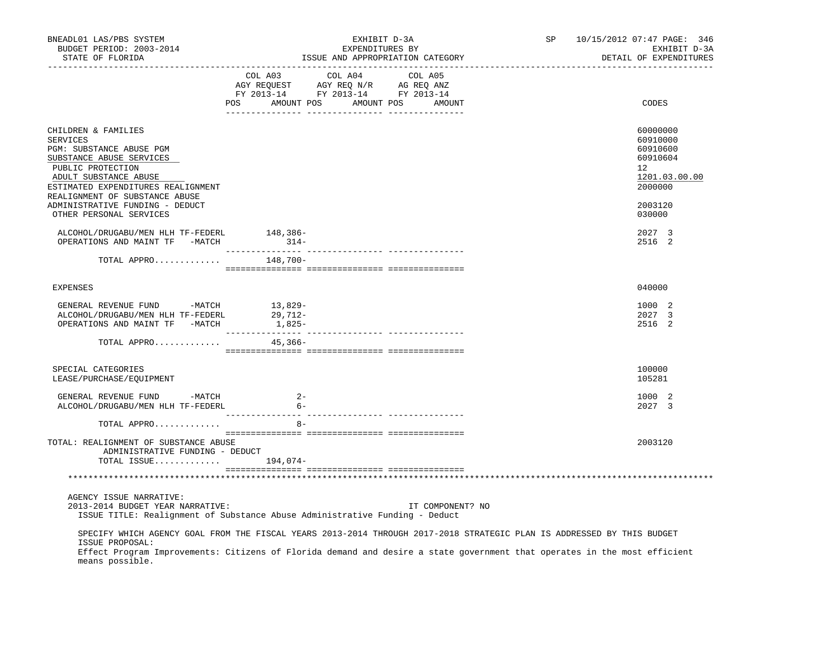| BNEADL01 LAS/PBS SYSTEM<br>BUDGET PERIOD: 2003-2014<br>STATE OF FLORIDA                                                                                                                                                                                                                   |                                  | EXHIBIT D-3A<br>EXPENDITURES BY<br>ISSUE AND APPROPRIATION CATEGORY | SP               | 10/15/2012 07:47 PAGE: 346<br>EXHIBIT D-3A<br>DETAIL OF EXPENDITURES |                                                                                |
|-------------------------------------------------------------------------------------------------------------------------------------------------------------------------------------------------------------------------------------------------------------------------------------------|----------------------------------|---------------------------------------------------------------------|------------------|----------------------------------------------------------------------|--------------------------------------------------------------------------------|
|                                                                                                                                                                                                                                                                                           | POS AMOUNT POS AMOUNT POS AMOUNT |                                                                     |                  |                                                                      | CODES                                                                          |
| CHILDREN & FAMILIES<br>SERVICES<br>PGM: SUBSTANCE ABUSE PGM<br>SUBSTANCE ABUSE SERVICES<br>PUBLIC PROTECTION<br>ADULT SUBSTANCE ABUSE<br>ESTIMATED EXPENDITURES REALIGNMENT<br>REALIGNMENT OF SUBSTANCE ABUSE                                                                             |                                  |                                                                     |                  |                                                                      | 60000000<br>60910000<br>60910600<br>60910604<br>12<br>1201.03.00.00<br>2000000 |
| ADMINISTRATIVE FUNDING - DEDUCT<br>OTHER PERSONAL SERVICES                                                                                                                                                                                                                                |                                  |                                                                     |                  |                                                                      | 2003120<br>030000                                                              |
| ALCOHOL/DRUGABU/MEN HLH TF-FEDERL<br>OPERATIONS AND MAINT TF -MATCH 314-                                                                                                                                                                                                                  | 148,386-                         |                                                                     |                  |                                                                      | 2027 3<br>2516 2                                                               |
| TOTAL APPRO $148,700-$                                                                                                                                                                                                                                                                    |                                  |                                                                     |                  |                                                                      |                                                                                |
| <b>EXPENSES</b>                                                                                                                                                                                                                                                                           |                                  |                                                                     |                  |                                                                      | 040000                                                                         |
|                                                                                                                                                                                                                                                                                           |                                  |                                                                     |                  |                                                                      | 1000 2<br>2027 3<br>2516 2                                                     |
| TOTAL APPRO                                                                                                                                                                                                                                                                               | 45,366-                          |                                                                     |                  |                                                                      |                                                                                |
| SPECIAL CATEGORIES<br>LEASE/PURCHASE/EQUIPMENT                                                                                                                                                                                                                                            |                                  |                                                                     |                  |                                                                      | 100000<br>105281                                                               |
| GENERAL REVENUE FUND -MATCH<br>ALCOHOL/DRUGABU/MEN HLH TF-FEDERL                                                                                                                                                                                                                          | $2 -$<br>$6-$                    |                                                                     |                  |                                                                      | 1000 2<br>2027 3                                                               |
| TOTAL APPRO                                                                                                                                                                                                                                                                               | $8 -$                            |                                                                     |                  |                                                                      |                                                                                |
| TOTAL: REALIGNMENT OF SUBSTANCE ABUSE<br>ADMINISTRATIVE FUNDING - DEDUCT<br>TOTAL ISSUE $194,074-$                                                                                                                                                                                        |                                  |                                                                     |                  |                                                                      | 2003120                                                                        |
|                                                                                                                                                                                                                                                                                           |                                  |                                                                     |                  |                                                                      |                                                                                |
| AGENCY ISSUE NARRATIVE:<br>2013-2014 BUDGET YEAR NARRATIVE:<br>ISSUE TITLE: Realignment of Substance Abuse Administrative Funding - Deduct                                                                                                                                                |                                  |                                                                     | IT COMPONENT? NO |                                                                      |                                                                                |
| SPECIFY WHICH AGENCY GOAL FROM THE FISCAL YEARS 2013-2014 THROUGH 2017-2018 STRATEGIC PLAN IS ADDRESSED BY THIS BUDGET<br>ISSUE PROPOSAL:<br>Effect Program Improvements: Citizens of Florida demand and desire a state government that operates in the most efficient<br>means possible. |                                  |                                                                     |                  |                                                                      |                                                                                |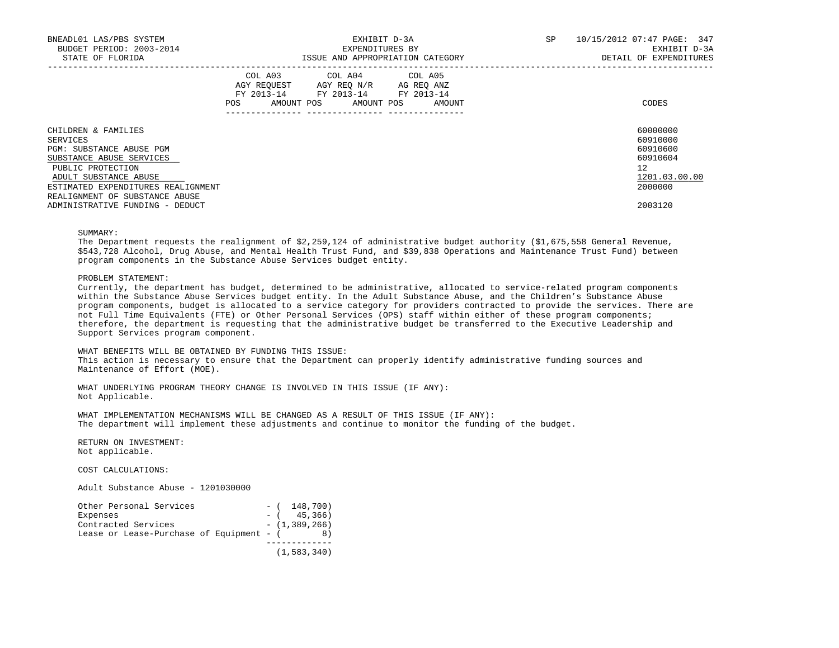| BNEADL01 LAS/PBS SYSTEM<br>BUDGET PERIOD: 2003-2014<br>STATE OF FLORIDA | EXHIBIT D-3A<br>EXPENDITURES BY<br>ISSUE AND APPROPRIATION CATEGORY                                            |  |                                                                                                                                   |  | SP | 10/15/2012 07:47 PAGE: 347<br>EXHIBIT D-3A<br>DETAIL OF EXPENDITURES |                      |
|-------------------------------------------------------------------------|----------------------------------------------------------------------------------------------------------------|--|-----------------------------------------------------------------------------------------------------------------------------------|--|----|----------------------------------------------------------------------|----------------------|
|                                                                         | POS FOR THE POST OF THE POST OF THE POST OF THE POST OF THE POST OF THE POST OF THE POST OF THE POST OF THE PO |  | COL A03 COL A04 COL A05<br>AGY REQUEST AGY REQ N/R AG REQ ANZ<br>FY 2013-14 FY 2013-14 FY 2013-14<br>AMOUNT POS AMOUNT POS AMOUNT |  |    |                                                                      | CODES                |
| CHILDREN & FAMILIES<br>SERVICES                                         |                                                                                                                |  |                                                                                                                                   |  |    |                                                                      | 60000000<br>60910000 |
| PGM: SUBSTANCE ABUSE PGM                                                |                                                                                                                |  |                                                                                                                                   |  |    |                                                                      | 60910600             |
| SUBSTANCE ABUSE SERVICES                                                |                                                                                                                |  |                                                                                                                                   |  |    |                                                                      | 60910604             |
| PUBLIC PROTECTION                                                       |                                                                                                                |  |                                                                                                                                   |  |    |                                                                      | 12                   |
| ADULT SUBSTANCE ABUSE                                                   |                                                                                                                |  |                                                                                                                                   |  |    |                                                                      | 1201.03.00.00        |
| ESTIMATED EXPENDITURES REALIGNMENT                                      |                                                                                                                |  |                                                                                                                                   |  |    |                                                                      | 2000000              |
| REALIGNMENT OF SUBSTANCE ABUSE                                          |                                                                                                                |  |                                                                                                                                   |  |    |                                                                      |                      |
| ADMINISTRATIVE FUNDING - DEDUCT                                         |                                                                                                                |  |                                                                                                                                   |  |    |                                                                      | 2003120              |

## SUMMARY:

 The Department requests the realignment of \$2,259,124 of administrative budget authority (\$1,675,558 General Revenue, \$543,728 Alcohol, Drug Abuse, and Mental Health Trust Fund, and \$39,838 Operations and Maintenance Trust Fund) between program components in the Substance Abuse Services budget entity.

### PROBLEM STATEMENT:

 Currently, the department has budget, determined to be administrative, allocated to service-related program components within the Substance Abuse Services budget entity. In the Adult Substance Abuse, and the Children's Substance Abuse program components, budget is allocated to a service category for providers contracted to provide the services. There are not Full Time Equivalents (FTE) or Other Personal Services (OPS) staff within either of these program components; therefore, the department is requesting that the administrative budget be transferred to the Executive Leadership and Support Services program component.

 WHAT BENEFITS WILL BE OBTAINED BY FUNDING THIS ISSUE: This action is necessary to ensure that the Department can properly identify administrative funding sources and Maintenance of Effort (MOE).

WHAT UNDERLYING PROGRAM THEORY CHANGE IS INVOLVED IN THIS ISSUE (IF ANY): Not Applicable.

 WHAT IMPLEMENTATION MECHANISMS WILL BE CHANGED AS A RESULT OF THIS ISSUE (IF ANY): The department will implement these adjustments and continue to monitor the funding of the budget.

 RETURN ON INVESTMENT: Not applicable.

COST CALCULATIONS:

Adult Substance Abuse - 1201030000

| Other Personal Services                  | $-$ ( 148,700)  |
|------------------------------------------|-----------------|
| Expenses                                 | $-$ ( 45,366)   |
| Contracted Services                      | $-$ (1,389,266) |
| Lease or Lease-Purchase of Equipment - ( | 8)              |
|                                          |                 |
|                                          | (1, 583, 340)   |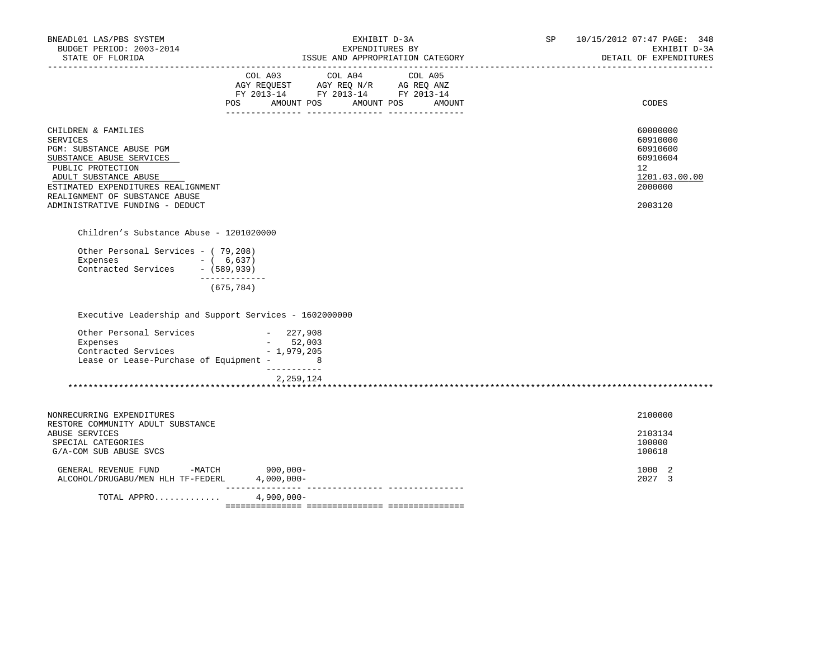| BNEADL01 LAS/PBS SYSTEM<br>BUDGET PERIOD: 2003-2014<br>STATE OF FLORIDA                                                                                                                                                                          | EXHIBIT D-3A<br>EXPENDITURES BY<br>ISSUE AND APPROPRIATION CATEGORY<br>____________________________________                           | SP 10/15/2012 07:47 PAGE: 348<br>EXHIBIT D-3A<br>DETAIL OF EXPENDITURES                   |
|--------------------------------------------------------------------------------------------------------------------------------------------------------------------------------------------------------------------------------------------------|---------------------------------------------------------------------------------------------------------------------------------------|-------------------------------------------------------------------------------------------|
|                                                                                                                                                                                                                                                  | COL A03 COL A04 COL A05<br>AGY REQUEST AGY REQ N/R AG REQ ANZ<br>FY 2013-14 FY 2013-14 FY 2013-14<br>POS AMOUNT POS AMOUNT POS AMOUNT | CODES                                                                                     |
| CHILDREN & FAMILIES<br>SERVICES<br>PGM: SUBSTANCE ABUSE PGM<br>SUBSTANCE ABUSE SERVICES<br>PUBLIC PROTECTION<br>ADULT SUBSTANCE ABUSE<br>ESTIMATED EXPENDITURES REALIGNMENT<br>REALIGNMENT OF SUBSTANCE ABUSE<br>ADMINISTRATIVE FUNDING - DEDUCT |                                                                                                                                       | 60000000<br>60910000<br>60910600<br>60910604<br>12<br>1201.03.00.00<br>2000000<br>2003120 |
| Children's Substance Abuse - 1201020000                                                                                                                                                                                                          |                                                                                                                                       |                                                                                           |
| Other Personal Services - (79,208)<br>Expenses - (6,637)<br>Contracted Services - (589,939)<br>-------------                                                                                                                                     |                                                                                                                                       |                                                                                           |
| (675, 784)                                                                                                                                                                                                                                       |                                                                                                                                       |                                                                                           |
| Executive Leadership and Support Services - 1602000000                                                                                                                                                                                           |                                                                                                                                       |                                                                                           |
| Other Personal Services - 227,908<br>Expenses<br>Contracted Services - 1,979,205<br>Lease or Lease-Purchase of Equipment - 8                                                                                                                     | $-52,003$<br>____________                                                                                                             |                                                                                           |
|                                                                                                                                                                                                                                                  | 2,259,124                                                                                                                             |                                                                                           |
| NONRECURRING EXPENDITURES                                                                                                                                                                                                                        |                                                                                                                                       | 2100000                                                                                   |
| RESTORE COMMUNITY ADULT SUBSTANCE<br>ABUSE SERVICES<br>SPECIAL CATEGORIES<br>G/A-COM SUB ABUSE SVCS                                                                                                                                              |                                                                                                                                       | 2103134<br>100000<br>100618                                                               |
| GENERAL REVENUE FUND -MATCH 900,000-<br>ALCOHOL/DRUGABU/MEN HLH TF-FEDERL                                                                                                                                                                        | $4,000,000-$                                                                                                                          | 1000 2<br>2027 3                                                                          |
| TOTAL APPRO                                                                                                                                                                                                                                      | $4,900,000 -$                                                                                                                         |                                                                                           |
|                                                                                                                                                                                                                                                  |                                                                                                                                       |                                                                                           |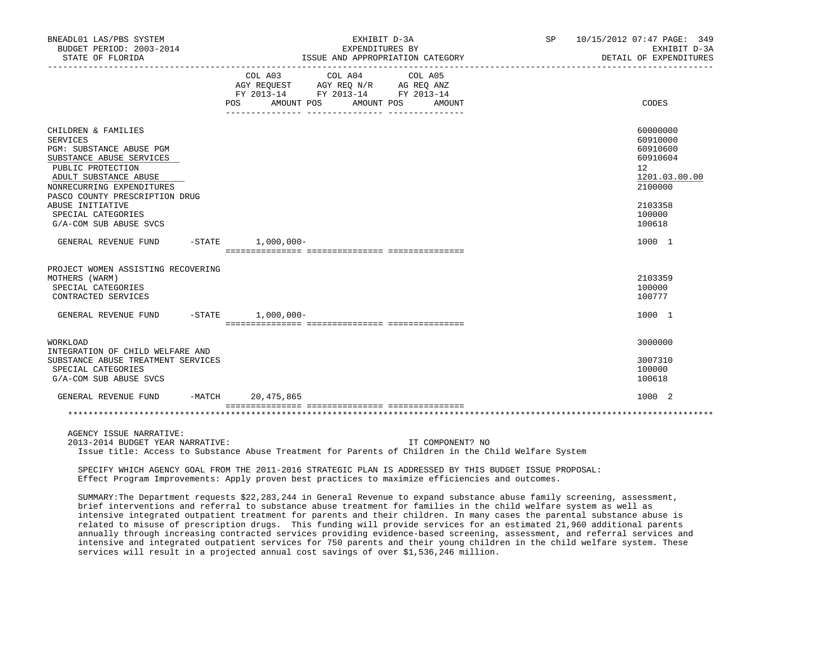| BNEADL01 LAS/PBS SYSTEM<br>BUDGET PERIOD: 2003-2014<br>STATE OF FLORIDA                                                                                                                                                                                                         | EXHIBIT D-3A<br>EXPENDITURES BY<br>ISSUE AND APPROPRIATION CATEGORY                                                                                   | 10/15/2012 07:47 PAGE: 349<br><b>SP</b><br>EXHIBIT D-3A<br>DETAIL OF EXPENDITURES                                       |
|---------------------------------------------------------------------------------------------------------------------------------------------------------------------------------------------------------------------------------------------------------------------------------|-------------------------------------------------------------------------------------------------------------------------------------------------------|-------------------------------------------------------------------------------------------------------------------------|
|                                                                                                                                                                                                                                                                                 | COL A03 COL A04 COL A05<br>AGY REQUEST AGY REQ N/R AG REQ ANZ<br>FY 2013-14 FY 2013-14 FY 2013-14<br><b>POS</b><br>AMOUNT POS<br>AMOUNT POS<br>AMOUNT | CODES                                                                                                                   |
| CHILDREN & FAMILIES<br><b>SERVICES</b><br>PGM: SUBSTANCE ABUSE PGM<br>SUBSTANCE ABUSE SERVICES<br>PUBLIC PROTECTION<br>ADULT SUBSTANCE ABUSE<br>NONRECURRING EXPENDITURES<br>PASCO COUNTY PRESCRIPTION DRUG<br>ABUSE INITIATIVE<br>SPECIAL CATEGORIES<br>G/A-COM SUB ABUSE SVCS |                                                                                                                                                       | 60000000<br>60910000<br>60910600<br>60910604<br>$12^{\circ}$<br>1201.03.00.00<br>2100000<br>2103358<br>100000<br>100618 |
| GENERAL REVENUE FUND                                                                                                                                                                                                                                                            | $-STATE$ 1,000,000-                                                                                                                                   | 1000 1                                                                                                                  |
| PROJECT WOMEN ASSISTING RECOVERING<br>MOTHERS (WARM)<br>SPECIAL CATEGORIES<br>CONTRACTED SERVICES                                                                                                                                                                               |                                                                                                                                                       | 2103359<br>100000<br>100777                                                                                             |
| GENERAL REVENUE FUND<br>$-$ STATE                                                                                                                                                                                                                                               | $1,000,000-$                                                                                                                                          | 1000 1                                                                                                                  |
| WORKLOAD<br>INTEGRATION OF CHILD WELFARE AND<br>SUBSTANCE ABUSE TREATMENT SERVICES<br>SPECIAL CATEGORIES<br>G/A-COM SUB ABUSE SVCS                                                                                                                                              |                                                                                                                                                       | 3000000<br>3007310<br>100000<br>100618                                                                                  |
| $-MATCH$<br>GENERAL REVENUE FUND                                                                                                                                                                                                                                                | 20,475,865                                                                                                                                            | 1000 2                                                                                                                  |
|                                                                                                                                                                                                                                                                                 |                                                                                                                                                       |                                                                                                                         |
| AGENCY ISSUE NARRATIVE:                                                                                                                                                                                                                                                         |                                                                                                                                                       |                                                                                                                         |

 2013-2014 BUDGET YEAR NARRATIVE: IT COMPONENT? NO Issue title: Access to Substance Abuse Treatment for Parents of Children in the Child Welfare System

 SPECIFY WHICH AGENCY GOAL FROM THE 2011-2016 STRATEGIC PLAN IS ADDRESSED BY THIS BUDGET ISSUE PROPOSAL: Effect Program Improvements: Apply proven best practices to maximize efficiencies and outcomes.

 SUMMARY:The Department requests \$22,283,244 in General Revenue to expand substance abuse family screening, assessment, brief interventions and referral to substance abuse treatment for families in the child welfare system as well as intensive integrated outpatient treatment for parents and their children. In many cases the parental substance abuse is related to misuse of prescription drugs. This funding will provide services for an estimated 21,960 additional parents annually through increasing contracted services providing evidence-based screening, assessment, and referral services and intensive and integrated outpatient services for 750 parents and their young children in the child welfare system. These services will result in a projected annual cost savings of over \$1,536,246 million.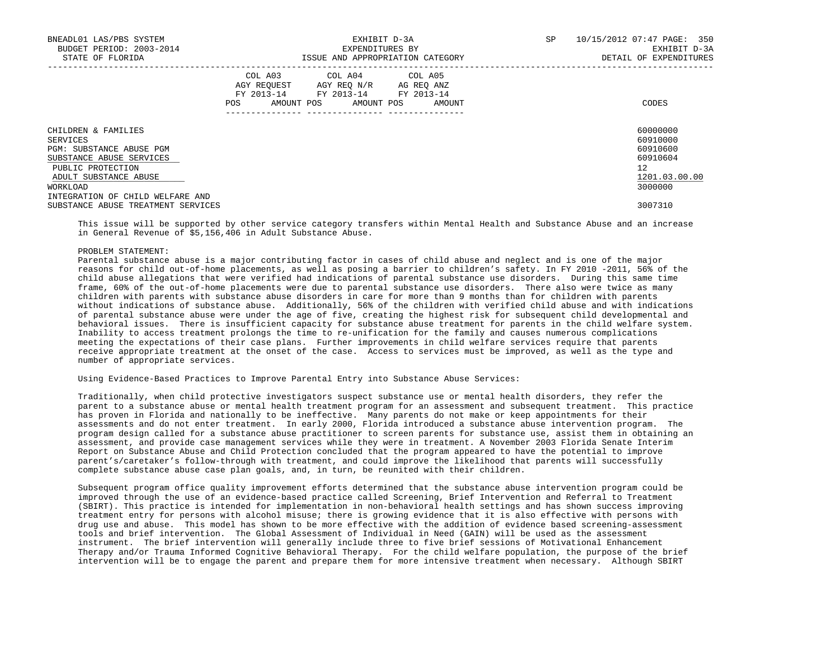| BNEADL01 LAS/PBS SYSTEM<br>BUDGET PERIOD: 2003-2014<br>STATE OF FLORIDA |     | EXPENDITURES BY                                                                                                            | EXHIBIT D-3A<br>ISSUE AND APPROPRIATION CATEGORY | SP | 10/15/2012 07:47 PAGE: 350<br>EXHIBIT D-3A<br>DETAIL OF EXPENDITURES |  |
|-------------------------------------------------------------------------|-----|----------------------------------------------------------------------------------------------------------------------------|--------------------------------------------------|----|----------------------------------------------------------------------|--|
|                                                                         | POS | COL A03 COL A04 COL A05<br>AGY REQUEST AGY REO N/R AG REO ANZ<br>FY 2013-14 FY 2013-14 FY 2013-14<br>AMOUNT POS AMOUNT POS | AMOUNT                                           |    | CODES                                                                |  |
| CHILDREN & FAMILIES                                                     |     |                                                                                                                            |                                                  |    | 60000000                                                             |  |
| SERVICES                                                                |     |                                                                                                                            |                                                  |    | 60910000                                                             |  |
| PGM: SUBSTANCE ABUSE PGM                                                |     |                                                                                                                            |                                                  |    | 60910600                                                             |  |
| SUBSTANCE ABUSE SERVICES                                                |     |                                                                                                                            |                                                  |    | 60910604                                                             |  |
| PUBLIC PROTECTION                                                       |     |                                                                                                                            |                                                  |    | 12                                                                   |  |
| ADULT SUBSTANCE ABUSE                                                   |     |                                                                                                                            |                                                  |    | 1201.03.00.00                                                        |  |
| WORKLOAD                                                                |     |                                                                                                                            |                                                  |    | 3000000                                                              |  |
| INTEGRATION OF CHILD WELFARE AND                                        |     |                                                                                                                            |                                                  |    |                                                                      |  |
| SUBSTANCE ABUSE TREATMENT SERVICES                                      |     |                                                                                                                            |                                                  |    | 3007310                                                              |  |

 This issue will be supported by other service category transfers within Mental Health and Substance Abuse and an increase in General Revenue of \$5,156,406 in Adult Substance Abuse.

### PROBLEM STATEMENT:

 Parental substance abuse is a major contributing factor in cases of child abuse and neglect and is one of the major reasons for child out-of-home placements, as well as posing a barrier to children's safety. In FY 2010 -2011, 56% of the child abuse allegations that were verified had indications of parental substance use disorders. During this same time frame, 60% of the out-of-home placements were due to parental substance use disorders. There also were twice as many children with parents with substance abuse disorders in care for more than 9 months than for children with parents without indications of substance abuse. Additionally, 56% of the children with verified child abuse and with indications of parental substance abuse were under the age of five, creating the highest risk for subsequent child developmental and behavioral issues. There is insufficient capacity for substance abuse treatment for parents in the child welfare system. Inability to access treatment prolongs the time to re-unification for the family and causes numerous complications meeting the expectations of their case plans. Further improvements in child welfare services require that parents receive appropriate treatment at the onset of the case. Access to services must be improved, as well as the type and number of appropriate services.

Using Evidence-Based Practices to Improve Parental Entry into Substance Abuse Services:

 Traditionally, when child protective investigators suspect substance use or mental health disorders, they refer the parent to a substance abuse or mental health treatment program for an assessment and subsequent treatment. This practice has proven in Florida and nationally to be ineffective. Many parents do not make or keep appointments for their assessments and do not enter treatment. In early 2000, Florida introduced a substance abuse intervention program. The program design called for a substance abuse practitioner to screen parents for substance use, assist them in obtaining an assessment, and provide case management services while they were in treatment. A November 2003 Florida Senate Interim Report on Substance Abuse and Child Protection concluded that the program appeared to have the potential to improve parent's/caretaker's follow-through with treatment, and could improve the likelihood that parents will successfully complete substance abuse case plan goals, and, in turn, be reunited with their children.

 Subsequent program office quality improvement efforts determined that the substance abuse intervention program could be improved through the use of an evidence-based practice called Screening, Brief Intervention and Referral to Treatment (SBIRT). This practice is intended for implementation in non-behavioral health settings and has shown success improving treatment entry for persons with alcohol misuse; there is growing evidence that it is also effective with persons with drug use and abuse. This model has shown to be more effective with the addition of evidence based screening-assessment tools and brief intervention. The Global Assessment of Individual in Need (GAIN) will be used as the assessment instrument. The brief intervention will generally include three to five brief sessions of Motivational Enhancement Therapy and/or Trauma Informed Cognitive Behavioral Therapy. For the child welfare population, the purpose of the brief intervention will be to engage the parent and prepare them for more intensive treatment when necessary. Although SBIRT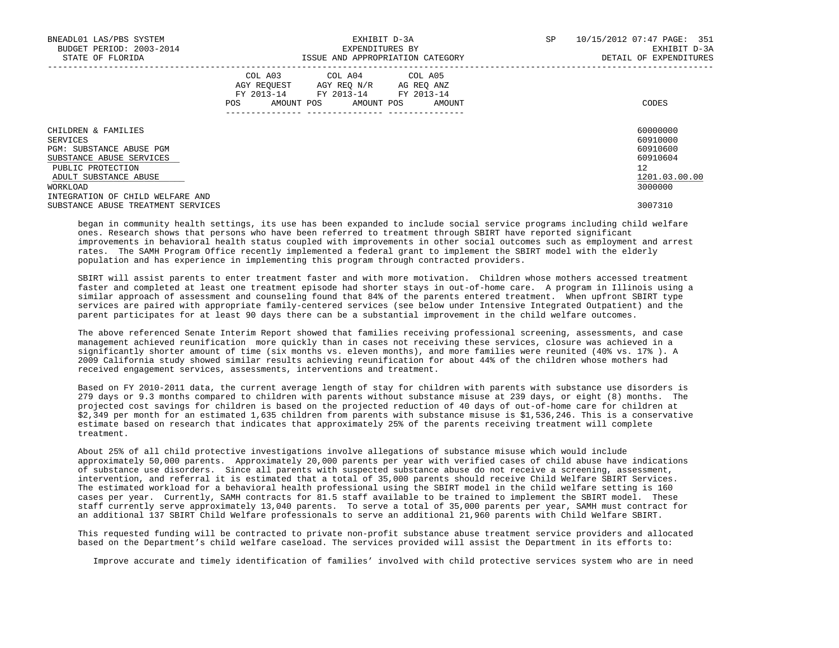| BNEADL01 LAS/PBS SYSTEM<br>BUDGET PERIOD: 2003-2014<br>STATE OF FLORIDA | EXHIBIT D-3A<br>EXPENDITURES BY<br>ISSUE AND APPROPRIATION CATEGORY |  |  |                                                                                                   |  |                              | <b>SP</b> | 10/15/2012 07:47 PAGE: 351<br>EXHIBIT D-3A<br>DETAIL OF EXPENDITURES |  |
|-------------------------------------------------------------------------|---------------------------------------------------------------------|--|--|---------------------------------------------------------------------------------------------------|--|------------------------------|-----------|----------------------------------------------------------------------|--|
|                                                                         | POS                                                                 |  |  | COL A03 COL A04 COL A05<br>AGY REOUEST AGY REO N/R AG REO ANZ<br>FY 2013-14 FY 2013-14 FY 2013-14 |  | AMOUNT POS AMOUNT POS AMOUNT |           | CODES                                                                |  |
| CHILDREN & FAMILIES<br>SERVICES                                         |                                                                     |  |  |                                                                                                   |  |                              |           | 60000000<br>60910000                                                 |  |
| PGM: SUBSTANCE ABUSE PGM                                                |                                                                     |  |  |                                                                                                   |  |                              |           | 60910600                                                             |  |
| SUBSTANCE ABUSE SERVICES                                                |                                                                     |  |  |                                                                                                   |  |                              |           | 60910604                                                             |  |
| PUBLIC PROTECTION                                                       |                                                                     |  |  |                                                                                                   |  |                              |           | 12                                                                   |  |
| ADULT SUBSTANCE ABUSE                                                   |                                                                     |  |  |                                                                                                   |  |                              |           | 1201.03.00.00                                                        |  |
| WORKLOAD                                                                |                                                                     |  |  |                                                                                                   |  |                              |           | 3000000                                                              |  |
| INTEGRATION OF CHILD WELFARE AND                                        |                                                                     |  |  |                                                                                                   |  |                              |           |                                                                      |  |
| SUBSTANCE ABUSE TREATMENT SERVICES                                      |                                                                     |  |  |                                                                                                   |  |                              |           | 3007310                                                              |  |

 began in community health settings, its use has been expanded to include social service programs including child welfare ones. Research shows that persons who have been referred to treatment through SBIRT have reported significant improvements in behavioral health status coupled with improvements in other social outcomes such as employment and arrest rates. The SAMH Program Office recently implemented a federal grant to implement the SBIRT model with the elderly population and has experience in implementing this program through contracted providers.

 SBIRT will assist parents to enter treatment faster and with more motivation. Children whose mothers accessed treatment faster and completed at least one treatment episode had shorter stays in out-of-home care. A program in Illinois using a similar approach of assessment and counseling found that 84% of the parents entered treatment. When upfront SBIRT type services are paired with appropriate family-centered services (see below under Intensive Integrated Outpatient) and the parent participates for at least 90 days there can be a substantial improvement in the child welfare outcomes.

 The above referenced Senate Interim Report showed that families receiving professional screening, assessments, and case management achieved reunification more quickly than in cases not receiving these services, closure was achieved in a significantly shorter amount of time (six months vs. eleven months), and more families were reunited (40% vs. 17% ). A 2009 California study showed similar results achieving reunification for about 44% of the children whose mothers had received engagement services, assessments, interventions and treatment.

 Based on FY 2010-2011 data, the current average length of stay for children with parents with substance use disorders is 279 days or 9.3 months compared to children with parents without substance misuse at 239 days, or eight (8) months. The projected cost savings for children is based on the projected reduction of 40 days of out-of-home care for children at \$2,349 per month for an estimated 1,635 children from parents with substance misuse is \$1,536,246. This is a conservative estimate based on research that indicates that approximately 25% of the parents receiving treatment will complete treatment.

 About 25% of all child protective investigations involve allegations of substance misuse which would include approximately 50,000 parents. Approximately 20,000 parents per year with verified cases of child abuse have indications of substance use disorders. Since all parents with suspected substance abuse do not receive a screening, assessment, intervention, and referral it is estimated that a total of 35,000 parents should receive Child Welfare SBIRT Services. The estimated workload for a behavioral health professional using the SBIRT model in the child welfare setting is 160 cases per year. Currently, SAMH contracts for 81.5 staff available to be trained to implement the SBIRT model. These staff currently serve approximately 13,040 parents. To serve a total of 35,000 parents per year, SAMH must contract for an additional 137 SBIRT Child Welfare professionals to serve an additional 21,960 parents with Child Welfare SBIRT.

 This requested funding will be contracted to private non-profit substance abuse treatment service providers and allocated based on the Department's child welfare caseload. The services provided will assist the Department in its efforts to:

Improve accurate and timely identification of families' involved with child protective services system who are in need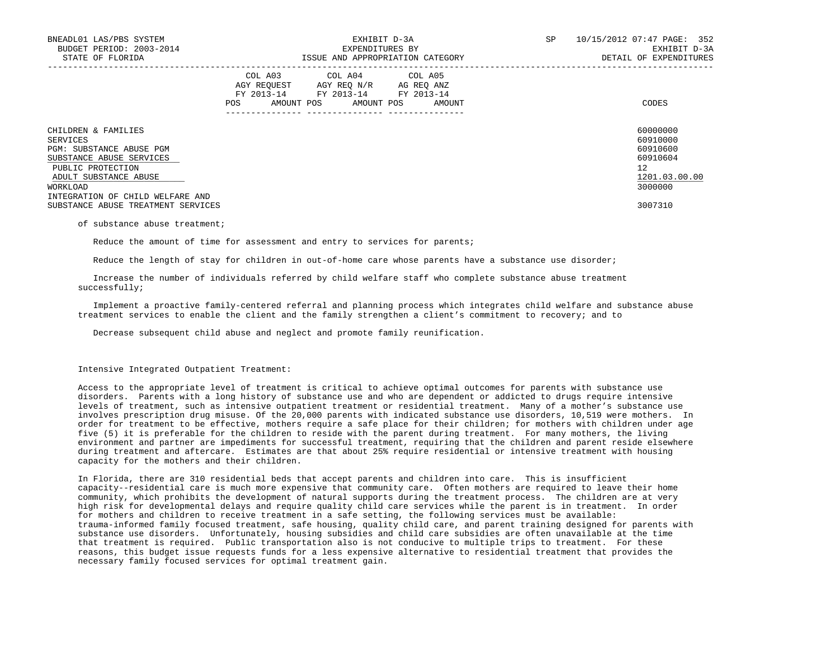| BNEADL01 LAS/PBS SYSTEM<br>BUDGET PERIOD: 2003-2014<br>STATE OF FLORIDA |         | EXHIBIT D-3A<br>EXPENDITURES BY                                                                   | ISSUE AND APPROPRIATION CATEGORY | SP | 10/15/2012 07:47 PAGE: 352<br>EXHIBIT D-3A<br>DETAIL OF EXPENDITURES |  |
|-------------------------------------------------------------------------|---------|---------------------------------------------------------------------------------------------------|----------------------------------|----|----------------------------------------------------------------------|--|
|                                                                         | POS FOR | COL A03 COL A04 COL A05<br>AGY REQUEST AGY REO N/R AG REO ANZ<br>FY 2013-14 FY 2013-14 FY 2013-14 | AMOUNT POS AMOUNT POS AMOUNT     |    | CODES                                                                |  |
| CHILDREN & FAMILIES                                                     |         |                                                                                                   |                                  |    | 60000000                                                             |  |
| SERVICES<br>PGM: SUBSTANCE ABUSE PGM                                    |         |                                                                                                   |                                  |    | 60910000<br>60910600                                                 |  |
| SUBSTANCE ABUSE SERVICES                                                |         |                                                                                                   |                                  |    | 60910604                                                             |  |
| PUBLIC PROTECTION                                                       |         |                                                                                                   |                                  |    | $12^{\circ}$                                                         |  |
| ADULT SUBSTANCE ABUSE                                                   |         |                                                                                                   |                                  |    | 1201.03.00.00                                                        |  |
| WORKLOAD                                                                |         |                                                                                                   |                                  |    | 3000000                                                              |  |
| INTEGRATION OF CHILD WELFARE AND                                        |         |                                                                                                   |                                  |    |                                                                      |  |
| SUBSTANCE ABUSE TREATMENT SERVICES                                      |         |                                                                                                   |                                  |    | 3007310                                                              |  |

#### of substance abuse treatment;

Reduce the amount of time for assessment and entry to services for parents;

Reduce the length of stay for children in out-of-home care whose parents have a substance use disorder;

 Increase the number of individuals referred by child welfare staff who complete substance abuse treatment successfully;

 Implement a proactive family-centered referral and planning process which integrates child welfare and substance abuse treatment services to enable the client and the family strengthen a client's commitment to recovery; and to

Decrease subsequent child abuse and neglect and promote family reunification.

### Intensive Integrated Outpatient Treatment:

 Access to the appropriate level of treatment is critical to achieve optimal outcomes for parents with substance use disorders. Parents with a long history of substance use and who are dependent or addicted to drugs require intensive levels of treatment, such as intensive outpatient treatment or residential treatment. Many of a mother's substance use involves prescription drug misuse. Of the 20,000 parents with indicated substance use disorders, 10,519 were mothers. In order for treatment to be effective, mothers require a safe place for their children; for mothers with children under age five (5) it is preferable for the children to reside with the parent during treatment. For many mothers, the living environment and partner are impediments for successful treatment, requiring that the children and parent reside elsewhere during treatment and aftercare. Estimates are that about 25% require residential or intensive treatment with housing capacity for the mothers and their children.

 In Florida, there are 310 residential beds that accept parents and children into care. This is insufficient capacity--residential care is much more expensive that community care. Often mothers are required to leave their home community, which prohibits the development of natural supports during the treatment process. The children are at very high risk for developmental delays and require quality child care services while the parent is in treatment. In order for mothers and children to receive treatment in a safe setting, the following services must be available: trauma-informed family focused treatment, safe housing, quality child care, and parent training designed for parents with substance use disorders. Unfortunately, housing subsidies and child care subsidies are often unavailable at the time that treatment is required. Public transportation also is not conducive to multiple trips to treatment. For these reasons, this budget issue requests funds for a less expensive alternative to residential treatment that provides the necessary family focused services for optimal treatment gain.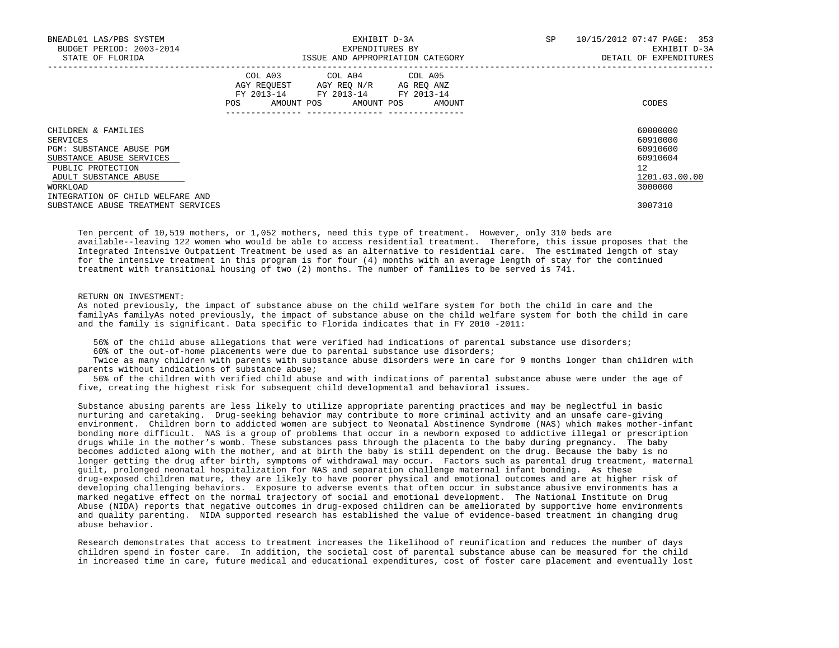| BNEADL01 LAS/PBS SYSTEM<br>BUDGET PERIOD: 2003-2014<br>STATE OF FLORIDA |     | EXHIBIT D-3A<br>EXPENDITURES BY                                                                   | ISSUE AND APPROPRIATION CATEGORY | 10/15/2012 07:47 PAGE: 353<br>SP<br>EXHIBIT D-3A<br>DETAIL OF EXPENDITURES |  |
|-------------------------------------------------------------------------|-----|---------------------------------------------------------------------------------------------------|----------------------------------|----------------------------------------------------------------------------|--|
|                                                                         | POS | COL A03 COL A04 COL A05<br>AGY REQUEST AGY REQ N/R AG REQ ANZ<br>FY 2013-14 FY 2013-14 FY 2013-14 | AMOUNT POS AMOUNT POS AMOUNT     | CODES                                                                      |  |
| CHILDREN & FAMILIES<br>SERVICES<br>PGM: SUBSTANCE ABUSE PGM             |     |                                                                                                   |                                  | 60000000<br>60910000<br>60910600                                           |  |
| SUBSTANCE ABUSE SERVICES<br>PUBLIC PROTECTION<br>ADULT SUBSTANCE ABUSE  |     |                                                                                                   |                                  | 60910604<br>12<br>1201.03.00.00                                            |  |
| WORKLOAD<br>INTEGRATION OF CHILD WELFARE AND                            |     |                                                                                                   |                                  | 3000000                                                                    |  |
| SUBSTANCE ABUSE TREATMENT SERVICES                                      |     |                                                                                                   |                                  | 3007310                                                                    |  |

 Ten percent of 10,519 mothers, or 1,052 mothers, need this type of treatment. However, only 310 beds are available--leaving 122 women who would be able to access residential treatment. Therefore, this issue proposes that the Integrated Intensive Outpatient Treatment be used as an alternative to residential care. The estimated length of stay for the intensive treatment in this program is for four (4) months with an average length of stay for the continued treatment with transitional housing of two (2) months. The number of families to be served is 741.

# RETURN ON INVESTMENT:

 As noted previously, the impact of substance abuse on the child welfare system for both the child in care and the familyAs familyAs noted previously, the impact of substance abuse on the child welfare system for both the child in care and the family is significant. Data specific to Florida indicates that in FY 2010 -2011:

56% of the child abuse allegations that were verified had indications of parental substance use disorders;

60% of the out-of-home placements were due to parental substance use disorders;

 Twice as many children with parents with substance abuse disorders were in care for 9 months longer than children with parents without indications of substance abuse;

 56% of the children with verified child abuse and with indications of parental substance abuse were under the age of five, creating the highest risk for subsequent child developmental and behavioral issues.

 Substance abusing parents are less likely to utilize appropriate parenting practices and may be neglectful in basic nurturing and caretaking. Drug-seeking behavior may contribute to more criminal activity and an unsafe care-giving environment. Children born to addicted women are subject to Neonatal Abstinence Syndrome (NAS) which makes mother-infant bonding more difficult. NAS is a group of problems that occur in a newborn exposed to addictive illegal or prescription drugs while in the mother's womb. These substances pass through the placenta to the baby during pregnancy. The baby becomes addicted along with the mother, and at birth the baby is still dependent on the drug. Because the baby is no longer getting the drug after birth, symptoms of withdrawal may occur. Factors such as parental drug treatment, maternal guilt, prolonged neonatal hospitalization for NAS and separation challenge maternal infant bonding. As these drug-exposed children mature, they are likely to have poorer physical and emotional outcomes and are at higher risk of developing challenging behaviors. Exposure to adverse events that often occur in substance abusive environments has a marked negative effect on the normal trajectory of social and emotional development. The National Institute on Drug Abuse (NIDA) reports that negative outcomes in drug-exposed children can be ameliorated by supportive home environments and quality parenting. NIDA supported research has established the value of evidence-based treatment in changing drug abuse behavior.

 Research demonstrates that access to treatment increases the likelihood of reunification and reduces the number of days children spend in foster care. In addition, the societal cost of parental substance abuse can be measured for the child in increased time in care, future medical and educational expenditures, cost of foster care placement and eventually lost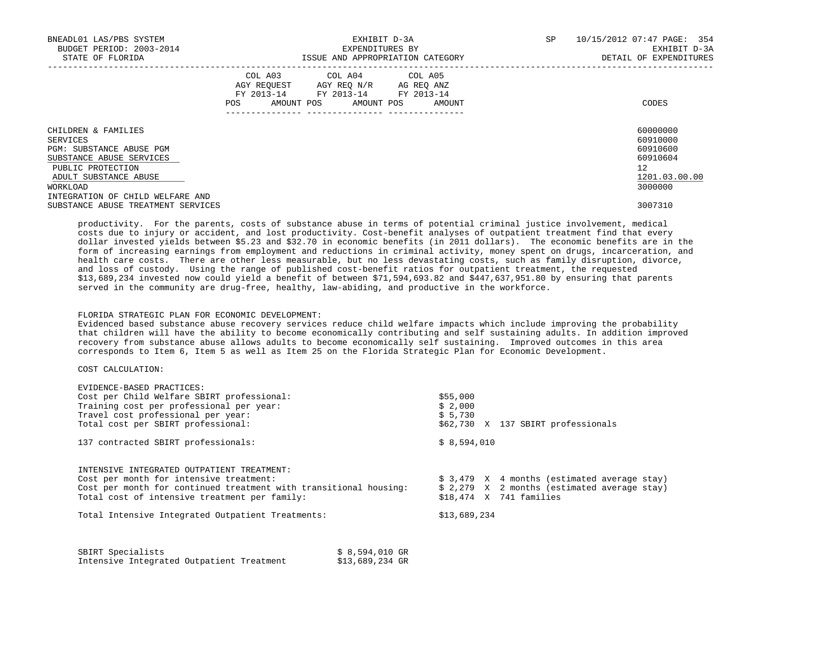| BNEADL01 LAS/PBS SYSTEM<br>BUDGET PERIOD: 2003-2014<br>STATE OF FLORIDA |     | EXHIBIT D-3A<br>EXPENDITURES BY<br>ISSUE AND APPROPRIATION CATEGORY                                                               |  | <b>SP</b> | 10/15/2012 07:47 PAGE: 354<br>EXHIBIT D-3A<br>DETAIL OF EXPENDITURES |                      |
|-------------------------------------------------------------------------|-----|-----------------------------------------------------------------------------------------------------------------------------------|--|-----------|----------------------------------------------------------------------|----------------------|
|                                                                         | POS | COL A03 COL A04 COL A05<br>AGY REOUEST AGY REO N/R AG REO ANZ<br>FY 2013-14 FY 2013-14 FY 2013-14<br>AMOUNT POS AMOUNT POS AMOUNT |  |           |                                                                      | CODES                |
| CHILDREN & FAMILIES<br>SERVICES                                         |     |                                                                                                                                   |  |           |                                                                      | 60000000<br>60910000 |
| PGM: SUBSTANCE ABUSE PGM                                                |     |                                                                                                                                   |  |           |                                                                      | 60910600             |
| SUBSTANCE ABUSE SERVICES                                                |     |                                                                                                                                   |  |           |                                                                      | 60910604             |
| PUBLIC PROTECTION                                                       |     |                                                                                                                                   |  |           |                                                                      | 12                   |
| ADULT SUBSTANCE ABUSE                                                   |     |                                                                                                                                   |  |           |                                                                      | 1201.03.00.00        |
| WORKLOAD                                                                |     |                                                                                                                                   |  |           |                                                                      | 3000000              |
| INTEGRATION OF CHILD WELFARE AND                                        |     |                                                                                                                                   |  |           |                                                                      |                      |
| SUBSTANCE ABUSE TREATMENT SERVICES                                      |     |                                                                                                                                   |  |           |                                                                      | 3007310              |

 productivity. For the parents, costs of substance abuse in terms of potential criminal justice involvement, medical costs due to injury or accident, and lost productivity. Cost-benefit analyses of outpatient treatment find that every dollar invested yields between \$5.23 and \$32.70 in economic benefits (in 2011 dollars). The economic benefits are in the form of increasing earnings from employment and reductions in criminal activity, money spent on drugs, incarceration, and health care costs. There are other less measurable, but no less devastating costs, such as family disruption, divorce, and loss of custody. Using the range of published cost-benefit ratios for outpatient treatment, the requested \$13,689,234 invested now could yield a benefit of between \$71,594,693.82 and \$447,637,951.80 by ensuring that parents served in the community are drug-free, healthy, law-abiding, and productive in the workforce.

# FLORIDA STRATEGIC PLAN FOR ECONOMIC DEVELOPMENT:

 Evidenced based substance abuse recovery services reduce child welfare impacts which include improving the probability that children will have the ability to become economically contributing and self sustaining adults. In addition improved recovery from substance abuse allows adults to become economically self sustaining. Improved outcomes in this area corresponds to Item 6, Item 5 as well as Item 25 on the Florida Strategic Plan for Economic Development.

### COST CALCULATION:

EVIDENCE-BASED PRACTICES:

| EVIDENCE-BASED PRACTICES:                                         |                                              |
|-------------------------------------------------------------------|----------------------------------------------|
| Cost per Child Welfare SBIRT professional:                        | \$55,000                                     |
| Training cost per professional per year:                          | \$2,000                                      |
| Travel cost professional per year:                                | \$5,730                                      |
| Total cost per SBIRT professional:                                | \$62,730 X 137 SBIRT professionals           |
| 137 contracted SBIRT professionals:                               | \$8,594,010                                  |
| INTENSIVE INTEGRATED OUTPATIENT TREATMENT:                        |                                              |
| Cost per month for intensive treatment:                           | $$3,479$ X 4 months (estimated average stay) |
| Cost per month for continued treatment with transitional housing: | $$2,279$ X 2 months (estimated average stay) |
| Total cost of intensive treatment per family:                     | $$18.474$ X 741 families                     |
| Total Intensive Integrated Outpatient Treatments:                 | \$13,689,234                                 |
|                                                                   |                                              |

| SBIRT Specialists |                                           |  | \$ 8,594,010 GR |  |
|-------------------|-------------------------------------------|--|-----------------|--|
|                   | Intensive Integrated Outpatient Treatment |  | \$13,689,234 GR |  |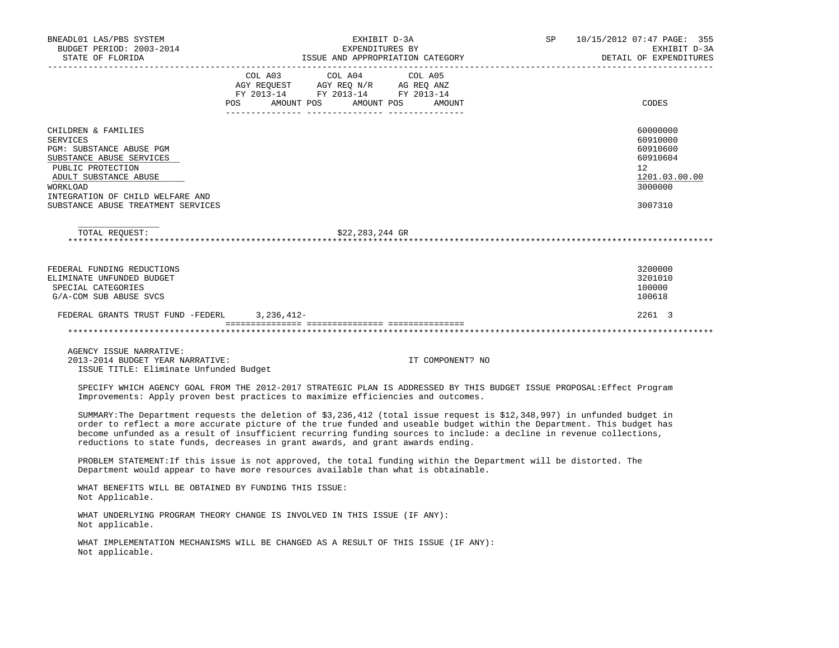| BNEADL01 LAS/PBS SYSTEM<br>BUDGET PERIOD: 2003-2014                                                                                                                                                                                                                                                                                                                                                                                                        | EXHIBIT D-3A<br>EXPENDITURES BY                                                           | SP                                          | 10/15/2012 07:47 PAGE: 355<br>EXHIBIT D-3A |                                                                                           |
|------------------------------------------------------------------------------------------------------------------------------------------------------------------------------------------------------------------------------------------------------------------------------------------------------------------------------------------------------------------------------------------------------------------------------------------------------------|-------------------------------------------------------------------------------------------|---------------------------------------------|--------------------------------------------|-------------------------------------------------------------------------------------------|
|                                                                                                                                                                                                                                                                                                                                                                                                                                                            |                                                                                           |                                             | DETAIL OF EXPENDITURES                     |                                                                                           |
|                                                                                                                                                                                                                                                                                                                                                                                                                                                            | COL A03 COL A04<br>AGY REQUEST AGY REQ N/R AG REQ ANZ<br>FY 2013-14 FY 2013-14 FY 2013-14 | COL A05<br>POS AMOUNT POS AMOUNT POS AMOUNT |                                            | CODES                                                                                     |
|                                                                                                                                                                                                                                                                                                                                                                                                                                                            |                                                                                           |                                             |                                            |                                                                                           |
| CHILDREN & FAMILIES<br><b>SERVICES</b><br>PGM: SUBSTANCE ABUSE PGM<br>SUBSTANCE ABUSE SERVICES<br>PUBLIC PROTECTION<br>ADULT SUBSTANCE ABUSE<br>WORKLOAD<br>INTEGRATION OF CHILD WELFARE AND<br>SUBSTANCE ABUSE TREATMENT SERVICES                                                                                                                                                                                                                         |                                                                                           |                                             |                                            | 60000000<br>60910000<br>60910600<br>60910604<br>12<br>1201.03.00.00<br>3000000<br>3007310 |
| TOTAL REQUEST:                                                                                                                                                                                                                                                                                                                                                                                                                                             | \$22,283,244 GR                                                                           |                                             |                                            |                                                                                           |
| FEDERAL FUNDING REDUCTIONS<br>ELIMINATE UNFUNDED BUDGET<br>SPECIAL CATEGORIES<br>G/A-COM SUB ABUSE SVCS                                                                                                                                                                                                                                                                                                                                                    |                                                                                           |                                             |                                            | 3200000<br>3201010<br>100000<br>100618                                                    |
| FEDERAL GRANTS TRUST FUND -FEDERL 3, 236, 412-                                                                                                                                                                                                                                                                                                                                                                                                             |                                                                                           |                                             |                                            | 2261 3                                                                                    |
|                                                                                                                                                                                                                                                                                                                                                                                                                                                            |                                                                                           |                                             |                                            |                                                                                           |
| AGENCY ISSUE NARRATIVE:<br>2013-2014 BUDGET YEAR NARRATIVE:<br>ISSUE TITLE: Eliminate Unfunded Budget                                                                                                                                                                                                                                                                                                                                                      |                                                                                           | IT COMPONENT? NO                            |                                            |                                                                                           |
| SPECIFY WHICH AGENCY GOAL FROM THE 2012-2017 STRATEGIC PLAN IS ADDRESSED BY THIS BUDGET ISSUE PROPOSAL: Effect Program<br>Improvements: Apply proven best practices to maximize efficiencies and outcomes.                                                                                                                                                                                                                                                 |                                                                                           |                                             |                                            |                                                                                           |
| SUMMARY: The Department requests the deletion of \$3,236,412 (total issue request is \$12,348,997) in unfunded budget in<br>order to reflect a more accurate picture of the true funded and useable budget within the Department. This budget has<br>become unfunded as a result of insufficient recurring funding sources to include: a decline in revenue collections,<br>reductions to state funds, decreases in grant awards, and grant awards ending. |                                                                                           |                                             |                                            |                                                                                           |
| PROBLEM STATEMENT: If this issue is not approved, the total funding within the Department will be distorted. The<br>Department would appear to have more resources available than what is obtainable.                                                                                                                                                                                                                                                      |                                                                                           |                                             |                                            |                                                                                           |
| WHAT BENEFITS WILL BE OBTAINED BY FUNDING THIS ISSUE:<br>Not Applicable.                                                                                                                                                                                                                                                                                                                                                                                   |                                                                                           |                                             |                                            |                                                                                           |
| WHAT UNDERLYING PROGRAM THEORY CHANGE IS INVOLVED IN THIS ISSUE (IF ANY):<br>Not applicable.                                                                                                                                                                                                                                                                                                                                                               |                                                                                           |                                             |                                            |                                                                                           |
| WHAT IMPLEMENTATION MECHANISMS WILL BE CHANGED AS A RESULT OF THIS ISSUE (IF ANY):<br>Not applicable.                                                                                                                                                                                                                                                                                                                                                      |                                                                                           |                                             |                                            |                                                                                           |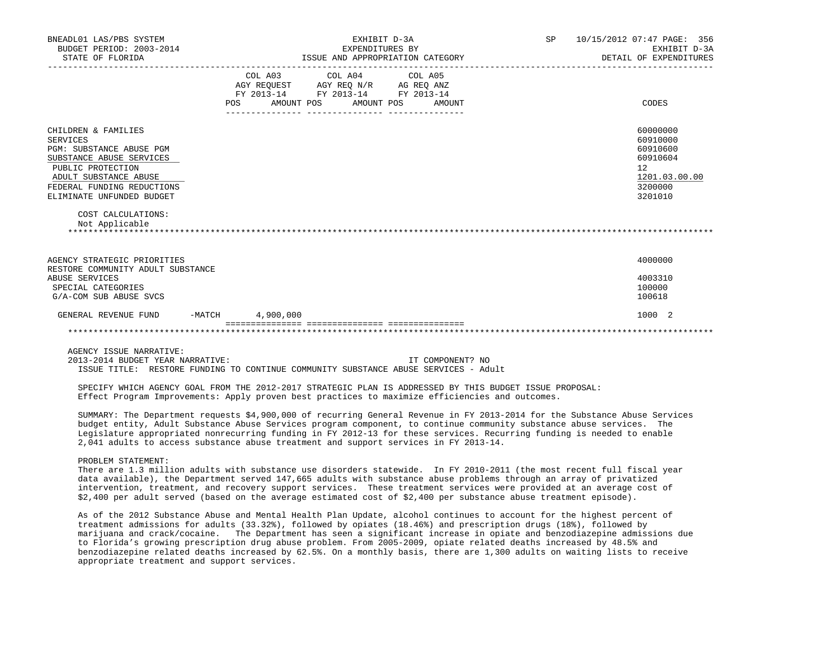| BNEADL01 LAS/PBS SYSTEM<br>BUDGET PERIOD: 2003-2014<br>STATE OF FLORIDA             |                    | EXHIBIT D-3A<br>EXPENDITURES BY<br>ISSUE AND APPROPRIATION CATEGORY | SP               | 10/15/2012 07:47 PAGE: 356<br>EXHIBIT D-3A<br>DETAIL OF EXPENDITURES |                |
|-------------------------------------------------------------------------------------|--------------------|---------------------------------------------------------------------|------------------|----------------------------------------------------------------------|----------------|
|                                                                                     |                    |                                                                     |                  |                                                                      |                |
|                                                                                     |                    | COL A03 COL A04 COL A05                                             |                  |                                                                      |                |
|                                                                                     |                    | AGY REQUEST AGY REQ N/R AG REQ ANZ                                  |                  |                                                                      |                |
|                                                                                     | POS                | FY 2013-14 FY 2013-14 FY 2013-14<br>AMOUNT POS AMOUNT POS           | AMOUNT           |                                                                      | CODES          |
|                                                                                     |                    |                                                                     |                  |                                                                      |                |
| CHILDREN & FAMILIES                                                                 |                    |                                                                     |                  |                                                                      | 60000000       |
| SERVICES                                                                            |                    |                                                                     |                  |                                                                      | 60910000       |
| PGM: SUBSTANCE ABUSE PGM                                                            |                    |                                                                     |                  |                                                                      | 60910600       |
| SUBSTANCE ABUSE SERVICES<br>PUBLIC PROTECTION                                       |                    |                                                                     |                  |                                                                      | 60910604<br>12 |
| ADULT SUBSTANCE ABUSE                                                               |                    |                                                                     |                  |                                                                      | 1201.03.00.00  |
| FEDERAL FUNDING REDUCTIONS                                                          |                    |                                                                     |                  |                                                                      | 3200000        |
| ELIMINATE UNFUNDED BUDGET                                                           |                    |                                                                     |                  |                                                                      | 3201010        |
| COST CALCULATIONS:<br>Not Applicable                                                |                    |                                                                     |                  |                                                                      |                |
| AGENCY STRATEGIC PRIORITIES                                                         |                    |                                                                     |                  |                                                                      | 4000000        |
| RESTORE COMMUNITY ADULT SUBSTANCE                                                   |                    |                                                                     |                  |                                                                      |                |
| ABUSE SERVICES                                                                      |                    |                                                                     |                  |                                                                      | 4003310        |
| SPECIAL CATEGORIES                                                                  |                    |                                                                     |                  |                                                                      | 100000         |
| G/A-COM SUB ABUSE SVCS                                                              |                    |                                                                     |                  |                                                                      | 100618         |
| GENERAL REVENUE FUND                                                                | $-MATCH$ 4,900,000 |                                                                     |                  |                                                                      | 1000 2         |
|                                                                                     |                    |                                                                     |                  |                                                                      |                |
| AGENCY ISSUE NARRATIVE:                                                             |                    |                                                                     |                  |                                                                      |                |
| 2013-2014 BUDGET YEAR NARRATIVE:                                                    |                    |                                                                     | IT COMPONENT? NO |                                                                      |                |
| ISSUE TITLE: RESTORE FUNDING TO CONTINUE COMMUNITY SUBSTANCE ABUSE SERVICES - Adult |                    |                                                                     |                  |                                                                      |                |

 SPECIFY WHICH AGENCY GOAL FROM THE 2012-2017 STRATEGIC PLAN IS ADDRESSED BY THIS BUDGET ISSUE PROPOSAL: Effect Program Improvements: Apply proven best practices to maximize efficiencies and outcomes.

 SUMMARY: The Department requests \$4,900,000 of recurring General Revenue in FY 2013-2014 for the Substance Abuse Services budget entity, Adult Substance Abuse Services program component, to continue community substance abuse services. The Legislature appropriated nonrecurring funding in FY 2012-13 for these services. Recurring funding is needed to enable 2,041 adults to access substance abuse treatment and support services in FY 2013-14.

PROBLEM STATEMENT:

 There are 1.3 million adults with substance use disorders statewide. In FY 2010-2011 (the most recent full fiscal year data available), the Department served 147,665 adults with substance abuse problems through an array of privatized intervention, treatment, and recovery support services. These treatment services were provided at an average cost of \$2,400 per adult served (based on the average estimated cost of \$2,400 per substance abuse treatment episode).

 As of the 2012 Substance Abuse and Mental Health Plan Update, alcohol continues to account for the highest percent of treatment admissions for adults (33.32%), followed by opiates (18.46%) and prescription drugs (18%), followed by marijuana and crack/cocaine. The Department has seen a significant increase in opiate and benzodiazepine admissions due to Florida's growing prescription drug abuse problem. From 2005-2009, opiate related deaths increased by 48.5% and benzodiazepine related deaths increased by 62.5%. On a monthly basis, there are 1,300 adults on waiting lists to receive appropriate treatment and support services.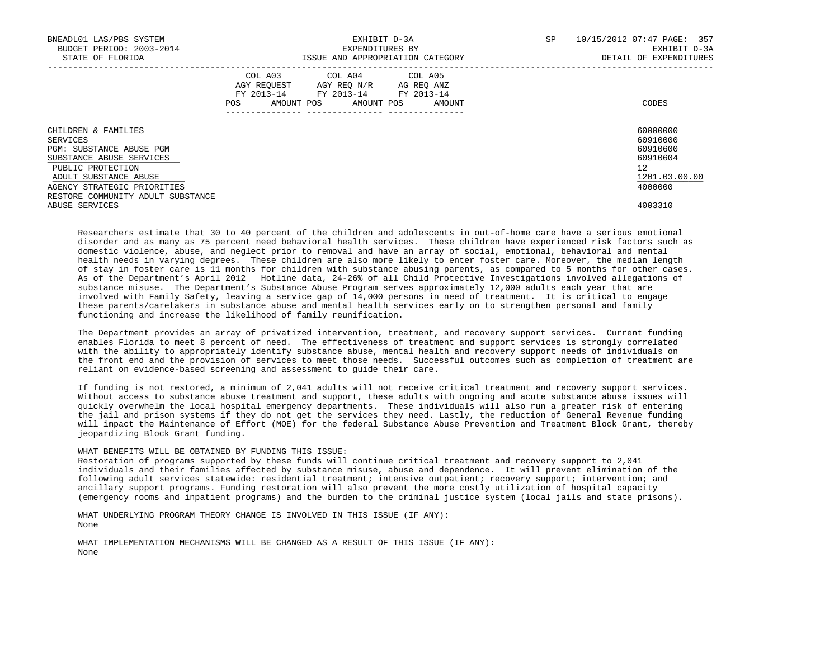| BNEADL01 LAS/PBS SYSTEM<br>BUDGET PERIOD: 2003-2014<br>STATE OF FLORIDA |            | EXPENDITURES BY                                                                                   | EXHIBIT D-3A<br>ISSUE AND APPROPRIATION CATEGORY | SP | 10/15/2012 07:47 PAGE: 357<br>EXHIBIT D-3A<br>DETAIL OF EXPENDITURES |  |
|-------------------------------------------------------------------------|------------|---------------------------------------------------------------------------------------------------|--------------------------------------------------|----|----------------------------------------------------------------------|--|
|                                                                         | <b>POS</b> | COL A03 COL A04 COL A05<br>AGY REQUEST AGY REO N/R AG REO ANZ<br>FY 2013-14 FY 2013-14 FY 2013-14 | AMOUNT POS AMOUNT POS AMOUNT                     |    | CODES                                                                |  |
| CHILDREN & FAMILIES<br>SERVICES                                         |            |                                                                                                   |                                                  |    | 60000000<br>60910000                                                 |  |
| PGM: SUBSTANCE ABUSE PGM                                                |            |                                                                                                   |                                                  |    | 60910600                                                             |  |
| SUBSTANCE ABUSE SERVICES                                                |            |                                                                                                   |                                                  |    | 60910604                                                             |  |
| PUBLIC PROTECTION                                                       |            |                                                                                                   |                                                  |    | 12                                                                   |  |
| ADULT SUBSTANCE ABUSE                                                   |            |                                                                                                   |                                                  |    | 1201.03.00.00                                                        |  |
| AGENCY STRATEGIC PRIORITIES                                             |            |                                                                                                   |                                                  |    | 4000000                                                              |  |
| RESTORE COMMUNITY ADULT SUBSTANCE                                       |            |                                                                                                   |                                                  |    |                                                                      |  |
| ABUSE SERVICES                                                          |            |                                                                                                   |                                                  |    | 4003310                                                              |  |

 Researchers estimate that 30 to 40 percent of the children and adolescents in out-of-home care have a serious emotional disorder and as many as 75 percent need behavioral health services. These children have experienced risk factors such as domestic violence, abuse, and neglect prior to removal and have an array of social, emotional, behavioral and mental health needs in varying degrees. These children are also more likely to enter foster care. Moreover, the median length of stay in foster care is 11 months for children with substance abusing parents, as compared to 5 months for other cases. As of the Department's April 2012 Hotline data, 24-26% of all Child Protective Investigations involved allegations of substance misuse. The Department's Substance Abuse Program serves approximately 12,000 adults each year that are involved with Family Safety, leaving a service gap of 14,000 persons in need of treatment. It is critical to engage these parents/caretakers in substance abuse and mental health services early on to strengthen personal and family functioning and increase the likelihood of family reunification.

 The Department provides an array of privatized intervention, treatment, and recovery support services. Current funding enables Florida to meet 8 percent of need. The effectiveness of treatment and support services is strongly correlated with the ability to appropriately identify substance abuse, mental health and recovery support needs of individuals on the front end and the provision of services to meet those needs. Successful outcomes such as completion of treatment are reliant on evidence-based screening and assessment to guide their care.

 If funding is not restored, a minimum of 2,041 adults will not receive critical treatment and recovery support services. Without access to substance abuse treatment and support, these adults with ongoing and acute substance abuse issues will quickly overwhelm the local hospital emergency departments. These individuals will also run a greater risk of entering the jail and prison systems if they do not get the services they need. Lastly, the reduction of General Revenue funding will impact the Maintenance of Effort (MOE) for the federal Substance Abuse Prevention and Treatment Block Grant, thereby jeopardizing Block Grant funding.

## WHAT BENEFITS WILL BE OBTAINED BY FUNDING THIS ISSUE:

 Restoration of programs supported by these funds will continue critical treatment and recovery support to 2,041 individuals and their families affected by substance misuse, abuse and dependence. It will prevent elimination of the following adult services statewide: residential treatment; intensive outpatient; recovery support; intervention; and ancillary support programs. Funding restoration will also prevent the more costly utilization of hospital capacity (emergency rooms and inpatient programs) and the burden to the criminal justice system (local jails and state prisons).

 WHAT UNDERLYING PROGRAM THEORY CHANGE IS INVOLVED IN THIS ISSUE (IF ANY): None

 WHAT IMPLEMENTATION MECHANISMS WILL BE CHANGED AS A RESULT OF THIS ISSUE (IF ANY): None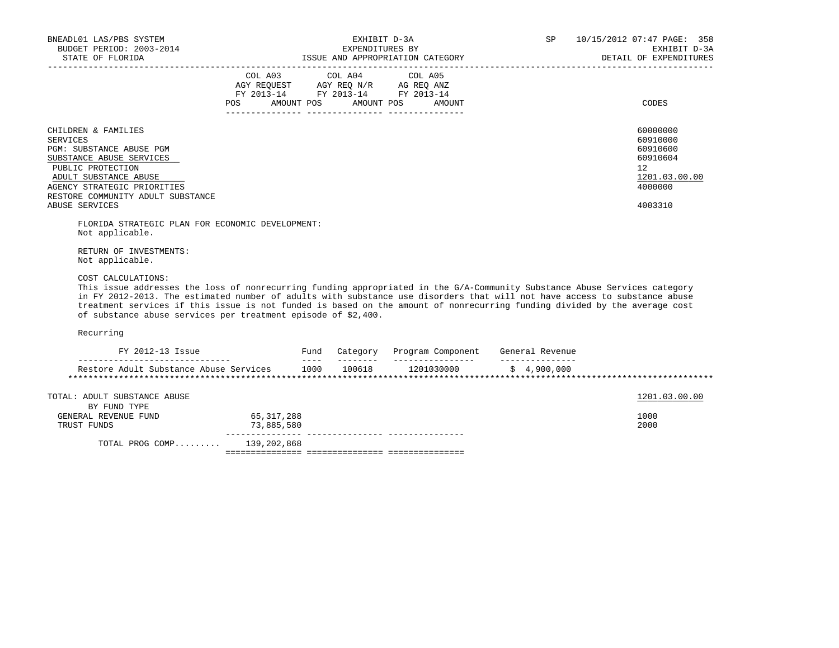| BNEADL01 LAS/PBS SYSTEM<br>BUDGET PERIOD: 2003-2014<br>STATE OF FLORIDA                                                                                                                                   | EXHIBIT D-3A<br>EXPENDITURES BY<br>ISSUE AND APPROPRIATION CATEGORY                               | SP                               | 10/15/2012 07:47 PAGE: 358<br>EXHIBIT D-3A<br>DETAIL OF EXPENDITURES |                                                                                |
|-----------------------------------------------------------------------------------------------------------------------------------------------------------------------------------------------------------|---------------------------------------------------------------------------------------------------|----------------------------------|----------------------------------------------------------------------|--------------------------------------------------------------------------------|
|                                                                                                                                                                                                           | COL A03 COL A04 COL A05<br>AGY REQUEST AGY REQ N/R AG REQ ANZ<br>FY 2013-14 FY 2013-14 FY 2013-14 | POS AMOUNT POS AMOUNT POS AMOUNT |                                                                      | CODES                                                                          |
| CHILDREN & FAMILIES<br>SERVICES<br>PGM: SUBSTANCE ABUSE PGM<br>SUBSTANCE ABUSE SERVICES<br>PUBLIC PROTECTION<br>ADULT SUBSTANCE ABUSE<br>AGENCY STRATEGIC PRIORITIES<br>RESTORE COMMUNITY ADULT SUBSTANCE |                                                                                                   |                                  |                                                                      | 60000000<br>60910000<br>60910600<br>60910604<br>12<br>1201.03.00.00<br>4000000 |
| ABUSE SERVICES                                                                                                                                                                                            |                                                                                                   |                                  |                                                                      | 4003310                                                                        |

 FLORIDA STRATEGIC PLAN FOR ECONOMIC DEVELOPMENT: Not applicable.

 RETURN OF INVESTMENTS: Not applicable.

COST CALCULATIONS:

 This issue addresses the loss of nonrecurring funding appropriated in the G/A-Community Substance Abuse Services category in FY 2012-2013. The estimated number of adults with substance use disorders that will not have access to substance abuse treatment services if this issue is not funded is based on the amount of nonrecurring funding divided by the average cost of substance abuse services per treatment episode of \$2,400.

Recurring

| FY 2012-13 Issue                                    |                            | Fund | Category | Program Component | General Revenue |               |
|-----------------------------------------------------|----------------------------|------|----------|-------------------|-----------------|---------------|
| Restore Adult Substance Abuse Services              |                            | 1000 | 100618   | 1201030000        | \$4,900,000     |               |
| TOTAL: ADULT SUBSTANCE ABUSE                        |                            |      |          |                   |                 | 1201.03.00.00 |
| BY FUND TYPE<br>GENERAL REVENUE FUND<br>TRUST FUNDS | 65, 317, 288<br>73,885,580 |      |          |                   |                 | 1000<br>2000  |
| TOTAL PROG COMP                                     | 139,202,868                |      |          |                   |                 |               |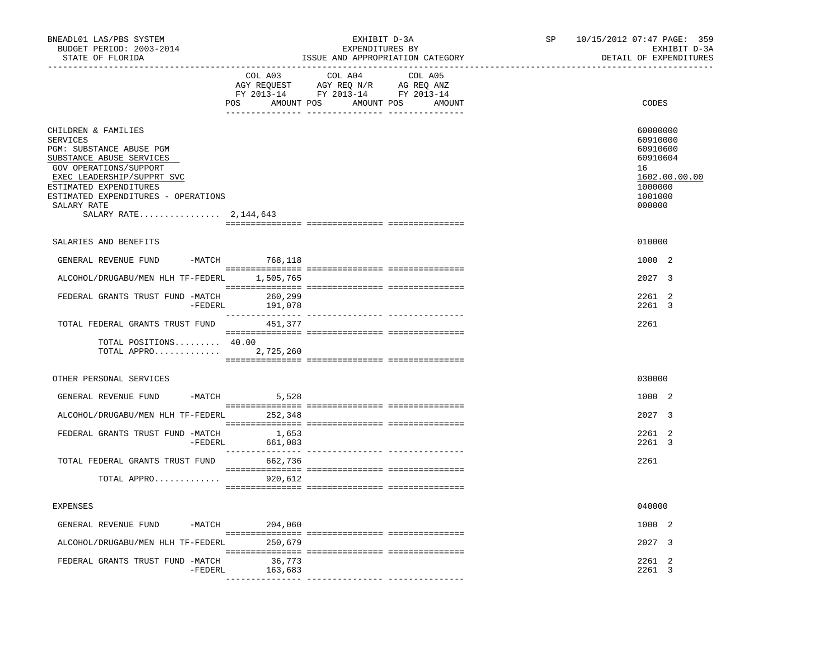| BNEADL01 LAS/PBS SYSTEM<br>BUDGET PERIOD: 2003-2014<br>STATE OF FLORIDA                                                                                                                                                                                           |                                 | EXHIBIT D-3A<br>EXPENDITURES BY<br>ISSUE AND APPROPRIATION CATEGORY                                                                                                                                                                                                                                                                                         | SP | 10/15/2012 07:47 PAGE: 359<br>EXHIBIT D-3A<br>DETAIL OF EXPENDITURES                                |
|-------------------------------------------------------------------------------------------------------------------------------------------------------------------------------------------------------------------------------------------------------------------|---------------------------------|-------------------------------------------------------------------------------------------------------------------------------------------------------------------------------------------------------------------------------------------------------------------------------------------------------------------------------------------------------------|----|-----------------------------------------------------------------------------------------------------|
|                                                                                                                                                                                                                                                                   | COL A03                         | COL A04<br>COL A05<br>$\begin{tabular}{lllllllll} \bf AGY \;\; RegUEST \hspace{1cm} AGY \;\; REG \;\; NGY \;\; REQ \;\; N/R \hspace{1cm} AG \;\; REG \;\; ANZ \\ \hline \texttt{FY} \;\; 2013\text{--}14 \hspace{1cm} & \texttt{FY} \;\; 2013\text{--}14 \hspace{1cm} & \texttt{FY} \;\; 2013\text{--}14 \end{tabular}$<br>POS AMOUNT POS AMOUNT POS AMOUNT |    | CODES                                                                                               |
| CHILDREN & FAMILIES<br><b>SERVICES</b><br>PGM: SUBSTANCE ABUSE PGM<br>SUBSTANCE ABUSE SERVICES<br>GOV OPERATIONS/SUPPORT<br>EXEC LEADERSHIP/SUPPRT SVC<br>ESTIMATED EXPENDITURES<br>ESTIMATED EXPENDITURES - OPERATIONS<br>SALARY RATE<br>SALARY RATE 2, 144, 643 |                                 |                                                                                                                                                                                                                                                                                                                                                             |    | 60000000<br>60910000<br>60910600<br>60910604<br>16<br>1602.00.00.00<br>1000000<br>1001000<br>000000 |
| SALARIES AND BENEFITS                                                                                                                                                                                                                                             |                                 |                                                                                                                                                                                                                                                                                                                                                             |    | 010000                                                                                              |
| GENERAL REVENUE FUND -MATCH 768,118                                                                                                                                                                                                                               |                                 |                                                                                                                                                                                                                                                                                                                                                             |    | 1000 2                                                                                              |
| ALCOHOL/DRUGABU/MEN HLH TF-FEDERL 1,505,765                                                                                                                                                                                                                       |                                 |                                                                                                                                                                                                                                                                                                                                                             |    | 2027 3                                                                                              |
| FEDERAL GRANTS TRUST FUND -MATCH                                                                                                                                                                                                                                  | 260,299<br>$-FEDERL$<br>191,078 |                                                                                                                                                                                                                                                                                                                                                             |    | 2261 2<br>2261 3                                                                                    |
| TOTAL FEDERAL GRANTS TRUST FUND                                                                                                                                                                                                                                   | 451,377                         |                                                                                                                                                                                                                                                                                                                                                             |    | 2261                                                                                                |
| TOTAL POSITIONS 40.00<br>TOTAL APPRO 2,725,260                                                                                                                                                                                                                    |                                 |                                                                                                                                                                                                                                                                                                                                                             |    |                                                                                                     |
| OTHER PERSONAL SERVICES                                                                                                                                                                                                                                           |                                 |                                                                                                                                                                                                                                                                                                                                                             |    | 030000                                                                                              |
| GENERAL REVENUE FUND                                                                                                                                                                                                                                              | $-MATCH$ 5,528                  |                                                                                                                                                                                                                                                                                                                                                             |    | 1000 2                                                                                              |
| ALCOHOL/DRUGABU/MEN HLH TF-FEDERL 252,348                                                                                                                                                                                                                         |                                 |                                                                                                                                                                                                                                                                                                                                                             |    | 2027 3                                                                                              |
| FEDERAL GRANTS TRUST FUND -MATCH                                                                                                                                                                                                                                  | 1,653<br>661,083<br>-FEDERL     |                                                                                                                                                                                                                                                                                                                                                             |    | 2261 2<br>2261 3                                                                                    |
| TOTAL FEDERAL GRANTS TRUST FUND                                                                                                                                                                                                                                   | 662,736                         |                                                                                                                                                                                                                                                                                                                                                             |    | 2261                                                                                                |
| TOTAL APPRO                                                                                                                                                                                                                                                       | 920,612                         |                                                                                                                                                                                                                                                                                                                                                             |    |                                                                                                     |
| <b>EXPENSES</b>                                                                                                                                                                                                                                                   |                                 |                                                                                                                                                                                                                                                                                                                                                             |    | 040000                                                                                              |
| GENERAL REVENUE FUND                                                                                                                                                                                                                                              | -MATCH 204,060                  |                                                                                                                                                                                                                                                                                                                                                             |    | 1000 2                                                                                              |
| ALCOHOL/DRUGABU/MEN HLH TF-FEDERL 250,679                                                                                                                                                                                                                         |                                 |                                                                                                                                                                                                                                                                                                                                                             |    | 2027 3                                                                                              |
| FEDERAL GRANTS TRUST FUND -MATCH                                                                                                                                                                                                                                  | 36,773<br>-FEDERL<br>163,683    |                                                                                                                                                                                                                                                                                                                                                             |    | 2261 2<br>2261 3                                                                                    |
|                                                                                                                                                                                                                                                                   |                                 |                                                                                                                                                                                                                                                                                                                                                             |    |                                                                                                     |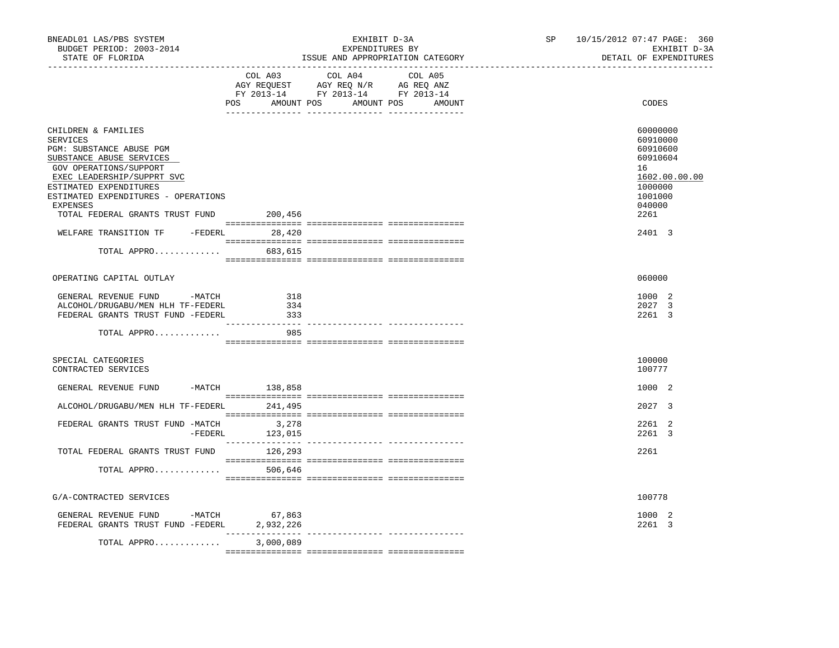| BNEADL01 LAS/PBS SYSTEM<br>BUDGET PERIOD: 2003-2014<br>STATE OF FLORIDA                                                                                                                                                                                                                                                                       |                                                                                                                                                                                                                                                                                                                                                                                                           | EXHIBIT D-3A<br>EXPENDITURES BY<br>ISSUE AND APPROPRIATION CATEGORY                  | SP      | 10/15/2012 07:47 PAGE: 360<br>EXHIBIT D-3A<br>DETAIL OF EXPENDITURES |                                                                                                                       |
|-----------------------------------------------------------------------------------------------------------------------------------------------------------------------------------------------------------------------------------------------------------------------------------------------------------------------------------------------|-----------------------------------------------------------------------------------------------------------------------------------------------------------------------------------------------------------------------------------------------------------------------------------------------------------------------------------------------------------------------------------------------------------|--------------------------------------------------------------------------------------|---------|----------------------------------------------------------------------|-----------------------------------------------------------------------------------------------------------------------|
|                                                                                                                                                                                                                                                                                                                                               | COL A03<br>POS AMOUNT POS AMOUNT POS AMOUNT                                                                                                                                                                                                                                                                                                                                                               | COL A04<br>CO AGY REQUEST AGY REQ N/R AG REQ ANZ<br>FY 2013-14 FY 2013-14 FY 2013-14 | COL A05 |                                                                      | CODES                                                                                                                 |
| CHILDREN & FAMILIES<br><b>SERVICES</b><br>PGM: SUBSTANCE ABUSE PGM<br>SUBSTANCE ABUSE SERVICES<br>GOV OPERATIONS/SUPPORT<br>EXEC LEADERSHIP/SUPPRT SVC<br>ESTIMATED EXPENDITURES<br>ESTIMATED EXPENDITURES - OPERATIONS<br>EXPENSES<br>TOTAL FEDERAL GRANTS TRUST FUND 200,456<br>WELFARE TRANSITION TF -FEDERL 28,420<br>TOTAL APPRO 683,615 |                                                                                                                                                                                                                                                                                                                                                                                                           |                                                                                      |         |                                                                      | 60000000<br>60910000<br>60910600<br>60910604<br>16<br>1602.00.00.00<br>1000000<br>1001000<br>040000<br>2261<br>2401 3 |
| OPERATING CAPITAL OUTLAY                                                                                                                                                                                                                                                                                                                      |                                                                                                                                                                                                                                                                                                                                                                                                           |                                                                                      |         |                                                                      | 060000                                                                                                                |
| GENERAL REVENUE FUND -MATCH<br>ALCOHOL/DRUGABU/MEN HLH TF-FEDERL<br>FEDERAL GRANTS TRUST FUND -FEDERL                                                                                                                                                                                                                                         | 318<br>334<br>333<br>___________                                                                                                                                                                                                                                                                                                                                                                          | _____ _______________ ___________                                                    |         |                                                                      | 1000 2<br>2027 3<br>2261 3                                                                                            |
| TOTAL APPRO                                                                                                                                                                                                                                                                                                                                   | 985                                                                                                                                                                                                                                                                                                                                                                                                       |                                                                                      |         |                                                                      |                                                                                                                       |
| SPECIAL CATEGORIES<br>CONTRACTED SERVICES                                                                                                                                                                                                                                                                                                     |                                                                                                                                                                                                                                                                                                                                                                                                           |                                                                                      |         |                                                                      | 100000<br>100777                                                                                                      |
| GENERAL REVENUE FUND -MATCH 138,858                                                                                                                                                                                                                                                                                                           |                                                                                                                                                                                                                                                                                                                                                                                                           |                                                                                      |         |                                                                      | 1000 2                                                                                                                |
| ALCOHOL/DRUGABU/MEN HLH TF-FEDERL 241,495                                                                                                                                                                                                                                                                                                     |                                                                                                                                                                                                                                                                                                                                                                                                           |                                                                                      |         |                                                                      | 2027 3                                                                                                                |
| FEDERAL GRANTS TRUST FUND -MATCH 3,278                                                                                                                                                                                                                                                                                                        | $-FEDERL$ 123,015                                                                                                                                                                                                                                                                                                                                                                                         |                                                                                      |         |                                                                      | 2261 2<br>2261 3                                                                                                      |
| TOTAL FEDERAL GRANTS TRUST FUND 126,293                                                                                                                                                                                                                                                                                                       |                                                                                                                                                                                                                                                                                                                                                                                                           |                                                                                      |         |                                                                      | 2261                                                                                                                  |
| TOTAL APPRO                                                                                                                                                                                                                                                                                                                                   | 506,646                                                                                                                                                                                                                                                                                                                                                                                                   |                                                                                      |         |                                                                      |                                                                                                                       |
| G/A-CONTRACTED SERVICES                                                                                                                                                                                                                                                                                                                       |                                                                                                                                                                                                                                                                                                                                                                                                           |                                                                                      |         |                                                                      | 100778                                                                                                                |
| GENERAL REVENUE FUND -MATCH 67,863<br>FEDERAL GRANTS TRUST FUND -FEDERL                                                                                                                                                                                                                                                                       | 2,932,226                                                                                                                                                                                                                                                                                                                                                                                                 |                                                                                      |         |                                                                      | 1000 2<br>2261 3                                                                                                      |
| TOTAL APPRO                                                                                                                                                                                                                                                                                                                                   | $\frac{1}{2} \frac{1}{2} \frac{1}{2} \frac{1}{2} \frac{1}{2} \frac{1}{2} \frac{1}{2} \frac{1}{2} \frac{1}{2} \frac{1}{2} \frac{1}{2} \frac{1}{2} \frac{1}{2} \frac{1}{2} \frac{1}{2} \frac{1}{2} \frac{1}{2} \frac{1}{2} \frac{1}{2} \frac{1}{2} \frac{1}{2} \frac{1}{2} \frac{1}{2} \frac{1}{2} \frac{1}{2} \frac{1}{2} \frac{1}{2} \frac{1}{2} \frac{1}{2} \frac{1}{2} \frac{1}{2} \frac{$<br>3,000,089 |                                                                                      |         |                                                                      |                                                                                                                       |
|                                                                                                                                                                                                                                                                                                                                               |                                                                                                                                                                                                                                                                                                                                                                                                           |                                                                                      |         |                                                                      |                                                                                                                       |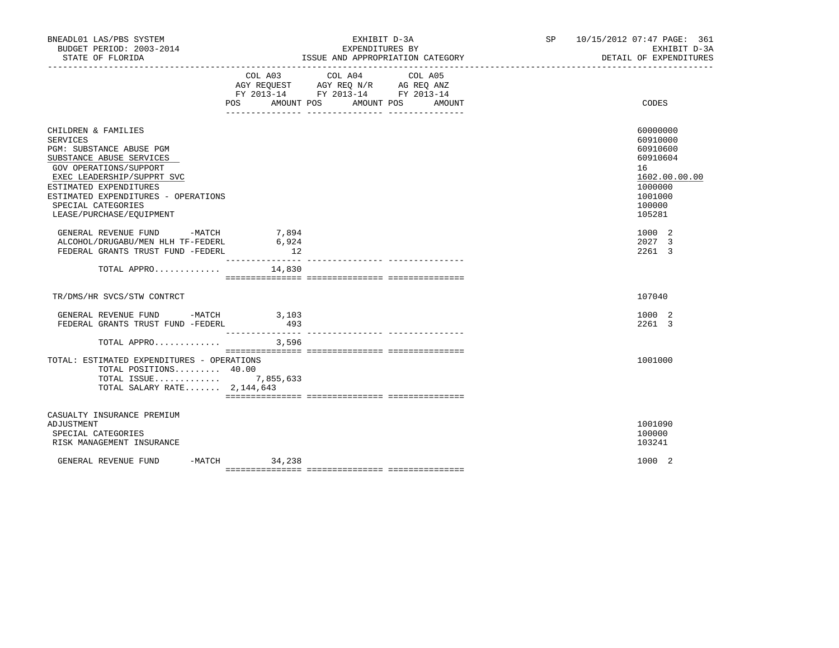| BNEADL01 LAS/PBS SYSTEM<br>BUDGET PERIOD: 2003-2014                                                                                                                                                                                                                       |                      | EXHIBIT D-3A<br>EXPENDITURES BY                                                                                                          | SP 10/15/2012 07:47 PAGE: 361<br>EXHIBIT D-3A<br>DETAIL OF EXPENDITURES                                       |  |  |
|---------------------------------------------------------------------------------------------------------------------------------------------------------------------------------------------------------------------------------------------------------------------------|----------------------|------------------------------------------------------------------------------------------------------------------------------------------|---------------------------------------------------------------------------------------------------------------|--|--|
|                                                                                                                                                                                                                                                                           |                      | COL A03 COL A04<br>COL A05<br>AGY REQUEST AGY REQ N/R AG REQ ANZ<br>FY 2013-14 FY 2013-14 FY 2013-14<br>POS AMOUNT POS AMOUNT POS AMOUNT | CODES                                                                                                         |  |  |
| CHILDREN & FAMILIES<br><b>SERVICES</b><br>PGM: SUBSTANCE ABUSE PGM<br>SUBSTANCE ABUSE SERVICES<br>GOV OPERATIONS/SUPPORT<br>EXEC LEADERSHIP/SUPPRT SVC<br>ESTIMATED EXPENDITURES<br>ESTIMATED EXPENDITURES - OPERATIONS<br>SPECIAL CATEGORIES<br>LEASE/PURCHASE/EQUIPMENT |                      |                                                                                                                                          | 60000000<br>60910000<br>60910600<br>60910604<br>16<br>1602.00.00.00<br>1000000<br>1001000<br>100000<br>105281 |  |  |
| GENERAL REVENUE FUND -MATCH<br>ALCOHOL/DRUGABU/MEN HLH TF-FEDERL<br>FEDERAL GRANTS TRUST FUND -FEDERL                                                                                                                                                                     | 7,894<br>6,924<br>12 |                                                                                                                                          | 1000 2<br>2027 3<br>2261 3                                                                                    |  |  |
| TOTAL APPRO $14,830$                                                                                                                                                                                                                                                      |                      |                                                                                                                                          |                                                                                                               |  |  |
| TR/DMS/HR SVCS/STW CONTRCT                                                                                                                                                                                                                                                |                      |                                                                                                                                          | 107040                                                                                                        |  |  |
| GENERAL REVENUE FUND -MATCH 3,103<br>FEDERAL GRANTS TRUST FUND -FEDERL                                                                                                                                                                                                    | 493                  |                                                                                                                                          | 1000 2<br>2261 3                                                                                              |  |  |
|                                                                                                                                                                                                                                                                           |                      |                                                                                                                                          |                                                                                                               |  |  |
| TOTAL: ESTIMATED EXPENDITURES - OPERATIONS<br>TOTAL POSITIONS 40.00<br>TOTAL ISSUE 7,855,633<br>TOTAL SALARY RATE $2,144,643$                                                                                                                                             |                      |                                                                                                                                          | 1001000                                                                                                       |  |  |
| CASUALTY INSURANCE PREMIUM<br>ADJUSTMENT<br>SPECIAL CATEGORIES<br>RISK MANAGEMENT INSURANCE                                                                                                                                                                               |                      |                                                                                                                                          | 1001090<br>100000<br>103241                                                                                   |  |  |
| GENERAL REVENUE FUND                                                                                                                                                                                                                                                      | $-MATCH$ 34,238      |                                                                                                                                          | 1000 2                                                                                                        |  |  |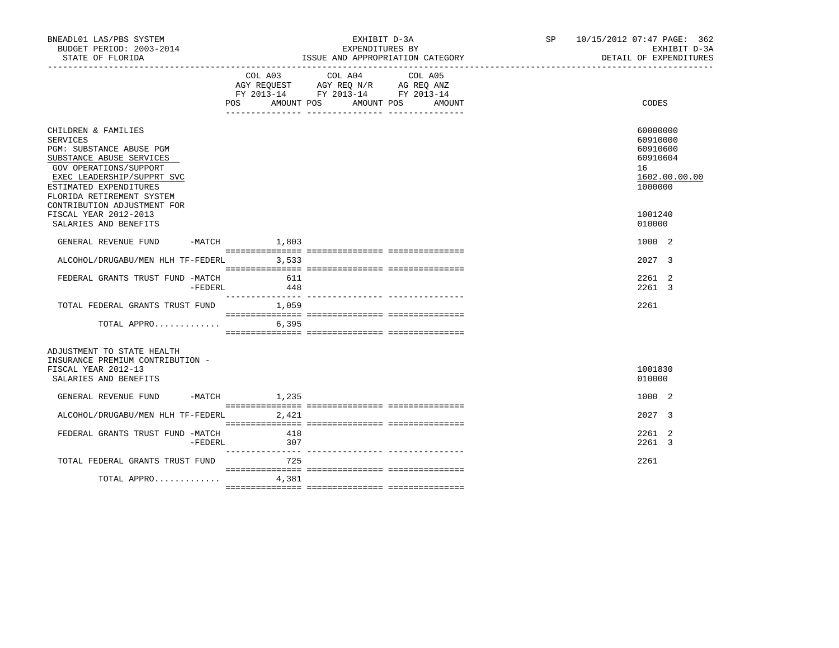| BNEADL01 LAS/PBS SYSTEM<br>BUDGET PERIOD: 2003-2014<br>STATE OF FLORIDA                                                                                                                                                               |         |                | EXHIBIT D-3A<br>EXPENDITURES BY<br>ISSUE AND APPROPRIATION CATEGORY                                                                                                                                                | SP 10/15/2012 07:47 PAGE: 362<br>EXHIBIT D-3A<br>DETAIL OF EXPENDITURES        |
|---------------------------------------------------------------------------------------------------------------------------------------------------------------------------------------------------------------------------------------|---------|----------------|--------------------------------------------------------------------------------------------------------------------------------------------------------------------------------------------------------------------|--------------------------------------------------------------------------------|
|                                                                                                                                                                                                                                       |         |                | COL A03 COL A04<br>COL A05<br>$\begin{tabular}{lllllll} AGY & \texttt{REQUEST} & \texttt{AGY REQ N/R} & \texttt{AG REQ ANZ} \end{tabular}$<br>FY 2013-14 FY 2013-14 FY 2013-14<br>POS AMOUNT POS AMOUNT POS AMOUNT | CODES                                                                          |
| CHILDREN & FAMILIES<br>SERVICES<br>PGM: SUBSTANCE ABUSE PGM<br>SUBSTANCE ABUSE SERVICES<br>GOV OPERATIONS/SUPPORT<br>EXEC LEADERSHIP/SUPPRT SVC<br>ESTIMATED EXPENDITURES<br>FLORIDA RETIREMENT SYSTEM<br>CONTRIBUTION ADJUSTMENT FOR |         |                |                                                                                                                                                                                                                    | 60000000<br>60910000<br>60910600<br>60910604<br>16<br>1602.00.00.00<br>1000000 |
| FISCAL YEAR 2012-2013<br>SALARIES AND BENEFITS                                                                                                                                                                                        |         |                |                                                                                                                                                                                                                    | 1001240<br>010000                                                              |
| GENERAL REVENUE FUND                                                                                                                                                                                                                  |         | $-MATCH$ 1,803 |                                                                                                                                                                                                                    | 1000 2                                                                         |
| ALCOHOL/DRUGABU/MEN HLH TF-FEDERL 3,533                                                                                                                                                                                               |         |                |                                                                                                                                                                                                                    | 2027 3                                                                         |
| FEDERAL GRANTS TRUST FUND -MATCH                                                                                                                                                                                                      | -FEDERL | 611<br>448     |                                                                                                                                                                                                                    | 2261 2<br>2261 3                                                               |
| TOTAL FEDERAL GRANTS TRUST FUND 1,059                                                                                                                                                                                                 |         |                |                                                                                                                                                                                                                    | 2261                                                                           |
| TOTAL APPRO                                                                                                                                                                                                                           |         | 6,395          |                                                                                                                                                                                                                    |                                                                                |
| ADJUSTMENT TO STATE HEALTH<br>INSURANCE PREMIUM CONTRIBUTION -<br>FISCAL YEAR 2012-13<br>SALARIES AND BENEFITS                                                                                                                        |         |                |                                                                                                                                                                                                                    | 1001830<br>010000                                                              |
| GENERAL REVENUE FUND                                                                                                                                                                                                                  |         | -MATCH 1,235   |                                                                                                                                                                                                                    | 1000 2                                                                         |
| ALCOHOL/DRUGABU/MEN HLH TF-FEDERL 2,421                                                                                                                                                                                               |         |                |                                                                                                                                                                                                                    | 2027 3                                                                         |
| FEDERAL GRANTS TRUST FUND -MATCH                                                                                                                                                                                                      | -FEDERL | 418<br>307     |                                                                                                                                                                                                                    | 2261 2<br>2261 3                                                               |
| TOTAL FEDERAL GRANTS TRUST FUND                                                                                                                                                                                                       |         | 725            |                                                                                                                                                                                                                    | 2261                                                                           |
| TOTAL APPRO                                                                                                                                                                                                                           |         | 4,381          |                                                                                                                                                                                                                    |                                                                                |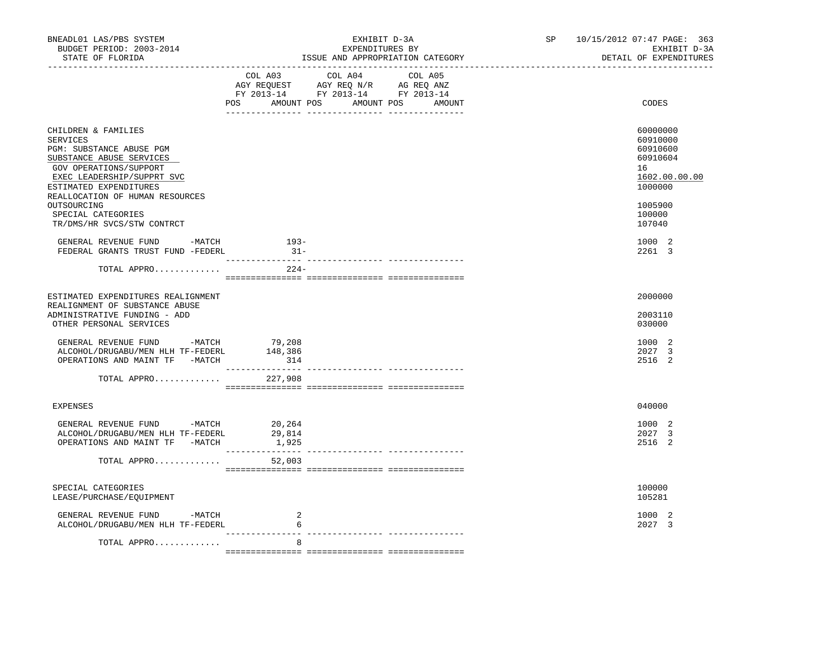| BNEADL01 LAS/PBS SYSTEM<br>BUDGET PERIOD: 2003-2014<br>STATE OF FLORIDA                                                                                                                                      | EXHIBIT D-3A<br>EXPENDITURES BY<br>ISSUE AND APPROPRIATION CATEGORY                                                                   | 10/15/2012 07:47 PAGE: 363<br>SP and the set of the set of the set of the set of the set of the set of the set of the set of the set of the set of the set of the set of the set of the set of the set of the set of the set of the set of the set of the se<br>EXHIBIT D-3A<br>DETAIL OF EXPENDITURES |
|--------------------------------------------------------------------------------------------------------------------------------------------------------------------------------------------------------------|---------------------------------------------------------------------------------------------------------------------------------------|--------------------------------------------------------------------------------------------------------------------------------------------------------------------------------------------------------------------------------------------------------------------------------------------------------|
|                                                                                                                                                                                                              | COL A03 COL A04 COL A05<br>NGY REQUEST AGY REQ N/R AG REQ ANZ<br>FY 2013-14 FY 2013-14 FY 2013-14<br>POS AMOUNT POS AMOUNT POS AMOUNT | CODES                                                                                                                                                                                                                                                                                                  |
| CHILDREN & FAMILIES<br>SERVICES<br>PGM: SUBSTANCE ABUSE PGM<br>SUBSTANCE ABUSE SERVICES<br>GOV OPERATIONS/SUPPORT<br>EXEC LEADERSHIP/SUPPRT SVC<br>ESTIMATED EXPENDITURES<br>REALLOCATION OF HUMAN RESOURCES |                                                                                                                                       | 60000000<br>60910000<br>60910600<br>60910604<br>16<br>1602.00.00.00<br>1000000                                                                                                                                                                                                                         |
| OUTSOURCING<br>SPECIAL CATEGORIES<br>TR/DMS/HR SVCS/STW CONTRCT                                                                                                                                              |                                                                                                                                       | 1005900<br>100000<br>107040                                                                                                                                                                                                                                                                            |
| GENERAL REVENUE FUND -MATCH<br>FEDERAL GRANTS TRUST FUND -FEDERL                                                                                                                                             | $193-$<br>$31 -$                                                                                                                      | 1000 2<br>2261 3                                                                                                                                                                                                                                                                                       |
| TOTAL APPRO                                                                                                                                                                                                  | $224-$                                                                                                                                |                                                                                                                                                                                                                                                                                                        |
| ESTIMATED EXPENDITURES REALIGNMENT<br>REALIGNMENT OF SUBSTANCE ABUSE<br>ADMINISTRATIVE FUNDING - ADD<br>OTHER PERSONAL SERVICES                                                                              |                                                                                                                                       | 2000000<br>2003110<br>030000                                                                                                                                                                                                                                                                           |
| GENERAL REVENUE FUND -MATCH<br>ALCOHOL/DRUGABU/MEN HLH TF-FEDERL<br>OPERATIONS AND MAINT TF -MATCH                                                                                                           | 79,208<br>148,386<br>314                                                                                                              | 1000 2<br>2027 3<br>2516 2                                                                                                                                                                                                                                                                             |
| TOTAL APPRO                                                                                                                                                                                                  | 227,908                                                                                                                               |                                                                                                                                                                                                                                                                                                        |
| <b>EXPENSES</b>                                                                                                                                                                                              |                                                                                                                                       | 040000                                                                                                                                                                                                                                                                                                 |
| GENERAL REVENUE FUND -MATCH 20,264<br>ALCOHOL/DRUGABU/MEN HLH TF-FEDERL<br>OPERATIONS AND MAINT TF -MATCH                                                                                                    | 29,814<br>1,925                                                                                                                       | 1000 2<br>2027 3<br>2516 2                                                                                                                                                                                                                                                                             |
| TOTAL APPRO                                                                                                                                                                                                  | 52,003                                                                                                                                |                                                                                                                                                                                                                                                                                                        |
| SPECIAL CATEGORIES<br>LEASE/PURCHASE/EQUIPMENT                                                                                                                                                               |                                                                                                                                       | 100000<br>105281                                                                                                                                                                                                                                                                                       |
| GENERAL REVENUE FUND -MATCH<br>ALCOHOL/DRUGABU/MEN HLH TF-FEDERL                                                                                                                                             | 2<br>6                                                                                                                                | 1000 2<br>2027 3                                                                                                                                                                                                                                                                                       |
| TOTAL APPRO                                                                                                                                                                                                  | 8                                                                                                                                     |                                                                                                                                                                                                                                                                                                        |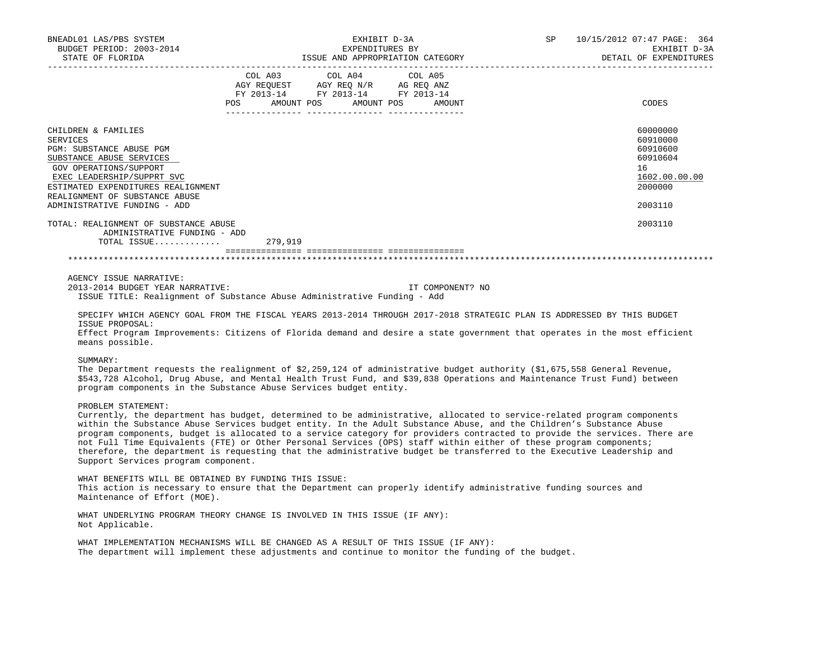| BNEADL01 LAS/PBS SYSTEM<br>BUDGET PERIOD: 2003-2014                                                                                                                                                                                                                                                                                                                                                                                                                                                                                                                                                                                                                                   | EXPENDITURES BY                                                                                                                                                                                                                                                                                                                                                                                                                                                                  | EXHIBIT D-3A |                  | SP | 10/15/2012 07:47 PAGE: 364<br>EXHIBIT D-3A<br>DETAIL OF EXPENDITURES                                 |
|---------------------------------------------------------------------------------------------------------------------------------------------------------------------------------------------------------------------------------------------------------------------------------------------------------------------------------------------------------------------------------------------------------------------------------------------------------------------------------------------------------------------------------------------------------------------------------------------------------------------------------------------------------------------------------------|----------------------------------------------------------------------------------------------------------------------------------------------------------------------------------------------------------------------------------------------------------------------------------------------------------------------------------------------------------------------------------------------------------------------------------------------------------------------------------|--------------|------------------|----|------------------------------------------------------------------------------------------------------|
|                                                                                                                                                                                                                                                                                                                                                                                                                                                                                                                                                                                                                                                                                       | $\begin{tabular}{lllllllllll} &\multicolumn{4}{c }{\text{COL A03}} &\multicolumn{4}{c }{\text{COL A04}} &\multicolumn{4}{c }{\text{COL A05}} \\ \multicolumn{4}{c }{\text{AGY REQUEST}} &\multicolumn{4}{c }{\text{AGY REQ N/R}} &\multicolumn{4}{c }{\text{AG REQ ANZ}} \\ \multicolumn{4}{c }{\text{FGY A03--14}} &\multicolumn{4}{c }{\text{FGY A013--14}} &\multicolumn{4}{c }{\text{FGY A013--14}} \\ \multicolumn{4}{c }{\text{FCY A0$<br>POS AMOUNT POS AMOUNT POS AMOUNT |              |                  |    | CODES                                                                                                |
| CHILDREN & FAMILIES<br><b>SERVICES</b><br>PGM: SUBSTANCE ABUSE PGM<br>SUBSTANCE ABUSE SERVICES<br>GOV OPERATIONS/SUPPORT<br>EXEC LEADERSHIP/SUPPRT SVC<br>ESTIMATED EXPENDITURES REALIGNMENT<br>REALIGNMENT OF SUBSTANCE ABUSE<br>ADMINISTRATIVE FUNDING - ADD<br>TOTAL: REALIGNMENT OF SUBSTANCE ABUSE                                                                                                                                                                                                                                                                                                                                                                               |                                                                                                                                                                                                                                                                                                                                                                                                                                                                                  |              |                  |    | 60000000<br>60910000<br>60910600<br>60910604<br>16<br>1602.00.00.00<br>2000000<br>2003110<br>2003110 |
| ADMINISTRATIVE FUNDING - ADD                                                                                                                                                                                                                                                                                                                                                                                                                                                                                                                                                                                                                                                          |                                                                                                                                                                                                                                                                                                                                                                                                                                                                                  |              |                  |    |                                                                                                      |
| TOTAL ISSUE $279,919$                                                                                                                                                                                                                                                                                                                                                                                                                                                                                                                                                                                                                                                                 |                                                                                                                                                                                                                                                                                                                                                                                                                                                                                  |              |                  |    |                                                                                                      |
|                                                                                                                                                                                                                                                                                                                                                                                                                                                                                                                                                                                                                                                                                       |                                                                                                                                                                                                                                                                                                                                                                                                                                                                                  |              |                  |    |                                                                                                      |
| AGENCY ISSUE NARRATIVE:<br>2013-2014 BUDGET YEAR NARRATIVE:<br>ISSUE TITLE: Realignment of Substance Abuse Administrative Funding - Add<br>SPECIFY WHICH AGENCY GOAL FROM THE FISCAL YEARS 2013-2014 THROUGH 2017-2018 STRATEGIC PLAN IS ADDRESSED BY THIS BUDGET<br>ISSUE PROPOSAL:                                                                                                                                                                                                                                                                                                                                                                                                  |                                                                                                                                                                                                                                                                                                                                                                                                                                                                                  |              | IT COMPONENT? NO |    |                                                                                                      |
| Effect Program Improvements: Citizens of Florida demand and desire a state government that operates in the most efficient<br>means possible.                                                                                                                                                                                                                                                                                                                                                                                                                                                                                                                                          |                                                                                                                                                                                                                                                                                                                                                                                                                                                                                  |              |                  |    |                                                                                                      |
| SUMMARY:<br>The Department requests the realignment of \$2,259,124 of administrative budget authority (\$1,675,558 General Revenue,<br>\$543,728 Alcohol, Drug Abuse, and Mental Health Trust Fund, and \$39,838 Operations and Maintenance Trust Fund) between<br>program components in the Substance Abuse Services budget entity.                                                                                                                                                                                                                                                                                                                                                  |                                                                                                                                                                                                                                                                                                                                                                                                                                                                                  |              |                  |    |                                                                                                      |
| PROBLEM STATEMENT:<br>Currently, the department has budget, determined to be administrative, allocated to service-related program components<br>within the Substance Abuse Services budget entity. In the Adult Substance Abuse, and the Children's Substance Abuse<br>program components, budget is allocated to a service category for providers contracted to provide the services. There are<br>not Full Time Equivalents (FTE) or Other Personal Services (OPS) staff within either of these program components;<br>therefore, the department is requesting that the administrative budget be transferred to the Executive Leadership and<br>Support Services program component. |                                                                                                                                                                                                                                                                                                                                                                                                                                                                                  |              |                  |    |                                                                                                      |
| WHAT BENEFITS WILL BE OBTAINED BY FUNDING THIS ISSUE:<br>This action is necessary to ensure that the Department can properly identify administrative funding sources and<br>Maintenance of Effort (MOE).                                                                                                                                                                                                                                                                                                                                                                                                                                                                              |                                                                                                                                                                                                                                                                                                                                                                                                                                                                                  |              |                  |    |                                                                                                      |
| WHAT UNDERLYING PROGRAM THEORY CHANGE IS INVOLVED IN THIS ISSUE (IF ANY):<br>Not Applicable.                                                                                                                                                                                                                                                                                                                                                                                                                                                                                                                                                                                          |                                                                                                                                                                                                                                                                                                                                                                                                                                                                                  |              |                  |    |                                                                                                      |
| WHAT IMPLEMENTATION MECHANISMS WILL BE CHANGED AS A RESULT OF THIS ISSUE (IF ANY):                                                                                                                                                                                                                                                                                                                                                                                                                                                                                                                                                                                                    |                                                                                                                                                                                                                                                                                                                                                                                                                                                                                  |              |                  |    |                                                                                                      |

The department will implement these adjustments and continue to monitor the funding of the budget.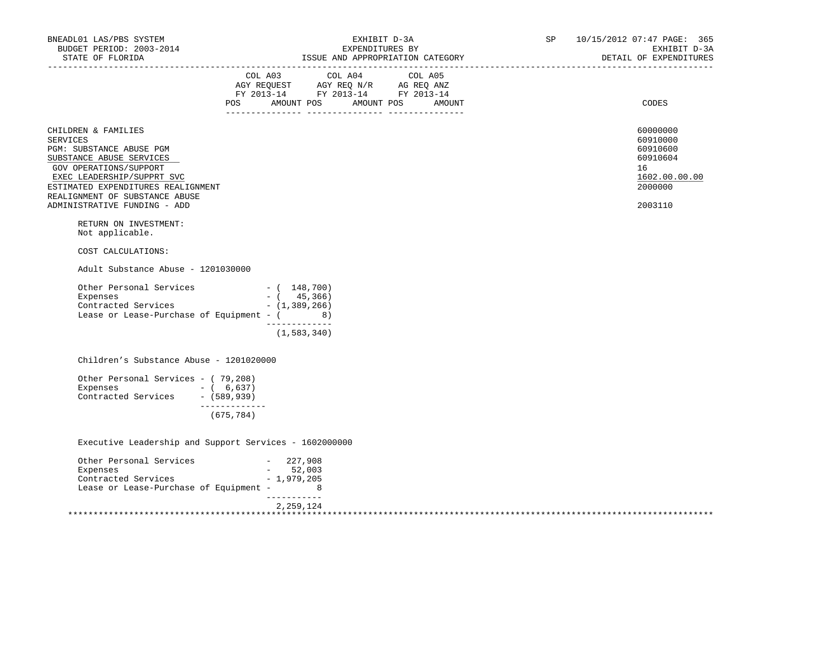| BNEADL01 LAS/PBS SYSTEM<br>BUDGET PERIOD: 2003-2014<br>STATE OF FLORIDA                                                                                | EXHIBIT D-3A<br>EXPENDITURES BY<br>ISSUE AND APPROPRIATION CATEGORY                                                                                                                                                                                                                                                                                                                                                            | <b>SP</b> SP<br>10/15/2012 07:47 PAGE: 365<br>EXHIBIT D-3A<br>DETAIL OF EXPENDITURES |
|--------------------------------------------------------------------------------------------------------------------------------------------------------|--------------------------------------------------------------------------------------------------------------------------------------------------------------------------------------------------------------------------------------------------------------------------------------------------------------------------------------------------------------------------------------------------------------------------------|--------------------------------------------------------------------------------------|
|                                                                                                                                                        | $\begin{tabular}{lllllllllll} &\multicolumn{4}{c}{\text{COL A03}} &\multicolumn{4}{c}{\text{COL A04}} &\multicolumn{4}{c}{\text{COL A05}}\\ &\multicolumn{4}{c}{\text{AGY REQUEST}} &\multicolumn{4}{c}{\text{AGY REQ}} &\multicolumn{4}{c}{\text{N/R}} &\multicolumn{4}{c}{\text{AG REQ}} &\multicolumn{4}{c}{\text{N}}\\ \end{tabular}$<br>FY 2013-14 FY 2013-14 FY 2013-14<br>AMOUNT POS AMOUNT POS<br><b>POS</b><br>AMOUNT | <b>CODES</b>                                                                         |
|                                                                                                                                                        |                                                                                                                                                                                                                                                                                                                                                                                                                                |                                                                                      |
| CHILDREN & FAMILIES<br><b>SERVICES</b><br>PGM: SUBSTANCE ABUSE PGM<br>SUBSTANCE ABUSE SERVICES<br>GOV OPERATIONS/SUPPORT<br>EXEC LEADERSHIP/SUPPRT SVC |                                                                                                                                                                                                                                                                                                                                                                                                                                | 60000000<br>60910000<br>60910600<br>60910604<br>16<br>1602.00.00.00                  |
| ESTIMATED EXPENDITURES REALIGNMENT<br>REALIGNMENT OF SUBSTANCE ABUSE                                                                                   |                                                                                                                                                                                                                                                                                                                                                                                                                                | 2000000                                                                              |
| ADMINISTRATIVE FUNDING - ADD                                                                                                                           |                                                                                                                                                                                                                                                                                                                                                                                                                                | 2003110                                                                              |
| RETURN ON INVESTMENT:<br>Not applicable.                                                                                                               |                                                                                                                                                                                                                                                                                                                                                                                                                                |                                                                                      |
| COST CALCULATIONS:                                                                                                                                     |                                                                                                                                                                                                                                                                                                                                                                                                                                |                                                                                      |
| Adult Substance Abuse - 1201030000                                                                                                                     |                                                                                                                                                                                                                                                                                                                                                                                                                                |                                                                                      |
| Other Personal Services - (148,700)<br>Expenses<br>$\frac{1}{2}$ Contracted Services $(1, 389, 266)$<br>Lease or Lease-Purchase of Equipment - $($ 8)  | $-$ ( 45,366)<br>_____________                                                                                                                                                                                                                                                                                                                                                                                                 |                                                                                      |
|                                                                                                                                                        | (1, 583, 340)                                                                                                                                                                                                                                                                                                                                                                                                                  |                                                                                      |
| Children's Substance Abuse - 1201020000                                                                                                                |                                                                                                                                                                                                                                                                                                                                                                                                                                |                                                                                      |
| Other Personal Services - (79,208)<br>Expenses $- (6, 637)$<br>Contracted Services - (589,939)                                                         |                                                                                                                                                                                                                                                                                                                                                                                                                                |                                                                                      |
|                                                                                                                                                        | _____________<br>(675, 784)                                                                                                                                                                                                                                                                                                                                                                                                    |                                                                                      |
| Executive Leadership and Support Services - 1602000000                                                                                                 |                                                                                                                                                                                                                                                                                                                                                                                                                                |                                                                                      |
|                                                                                                                                                        |                                                                                                                                                                                                                                                                                                                                                                                                                                |                                                                                      |
| Other Personal Services - 227,908<br>Expenses - 52.003                                                                                                 |                                                                                                                                                                                                                                                                                                                                                                                                                                |                                                                                      |
| Expenses $-$ 52,003<br>Contracted Services $-$ 1,979,205                                                                                               |                                                                                                                                                                                                                                                                                                                                                                                                                                |                                                                                      |
| Lease or Lease-Purchase of Equipment - 8                                                                                                               |                                                                                                                                                                                                                                                                                                                                                                                                                                |                                                                                      |
|                                                                                                                                                        | ___________                                                                                                                                                                                                                                                                                                                                                                                                                    |                                                                                      |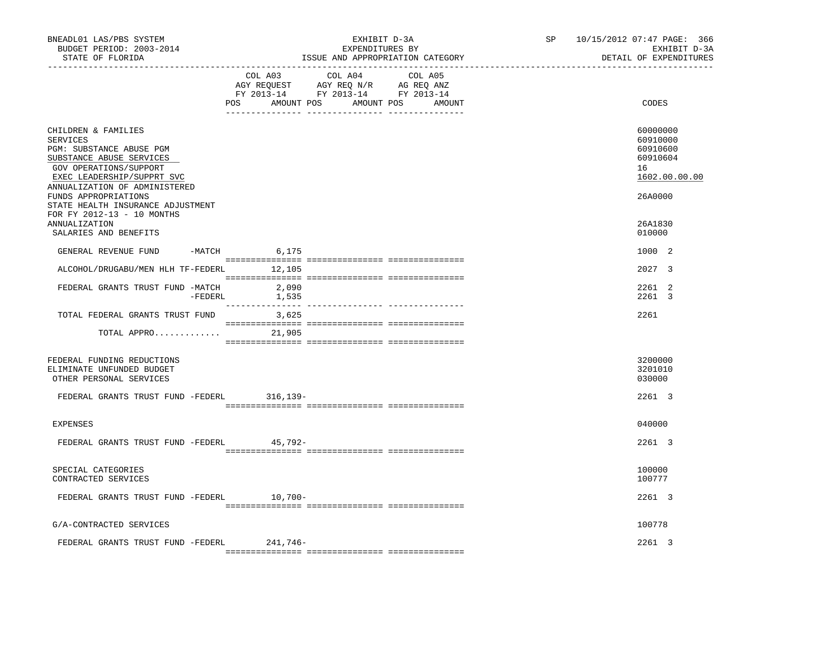| BNEADL01 LAS/PBS SYSTEM<br>BUDGET PERIOD: 2003-2014<br>STATE OF FLORIDA                                                                                                          |                | EXHIBIT D-3A<br>EXPENDITURES BY<br>ISSUE AND APPROPRIATION CATEGORY                                                                   | SP and the set of the set of the set of the set of the set of the set of the set of the set of the set of the set of the set of the set of the set of the set of the set of the set of the set of the set of the set of the se | 10/15/2012 07:47 PAGE: 366<br>EXHIBIT D-3A<br>DETAIL OF EXPENDITURES |
|----------------------------------------------------------------------------------------------------------------------------------------------------------------------------------|----------------|---------------------------------------------------------------------------------------------------------------------------------------|--------------------------------------------------------------------------------------------------------------------------------------------------------------------------------------------------------------------------------|----------------------------------------------------------------------|
|                                                                                                                                                                                  |                | COL A03 COL A04 COL A05<br>AGY REQUEST AGY REQ N/R AG REQ ANZ<br>FY 2013-14 FY 2013-14 FY 2013-14<br>POS AMOUNT POS AMOUNT POS AMOUNT |                                                                                                                                                                                                                                | CODES                                                                |
| CHILDREN & FAMILIES<br>SERVICES<br>PGM: SUBSTANCE ABUSE PGM<br>SUBSTANCE ABUSE SERVICES<br>GOV OPERATIONS/SUPPORT<br>EXEC LEADERSHIP/SUPPRT SVC<br>ANNUALIZATION OF ADMINISTERED |                |                                                                                                                                       |                                                                                                                                                                                                                                | 60000000<br>60910000<br>60910600<br>60910604<br>16<br>1602.00.00.00  |
| FUNDS APPROPRIATIONS<br>STATE HEALTH INSURANCE ADJUSTMENT<br>FOR FY 2012-13 - 10 MONTHS<br>ANNUALIZATION<br>SALARIES AND BENEFITS                                                |                |                                                                                                                                       |                                                                                                                                                                                                                                | 26A0000<br>26A1830<br>010000                                         |
| GENERAL REVENUE FUND -MATCH 6,175                                                                                                                                                |                |                                                                                                                                       |                                                                                                                                                                                                                                | 1000 2                                                               |
| ALCOHOL/DRUGABU/MEN HLH TF-FEDERL 12,105                                                                                                                                         |                |                                                                                                                                       |                                                                                                                                                                                                                                | 2027 3                                                               |
| FEDERAL GRANTS TRUST FUND -MATCH<br>-FEDERL                                                                                                                                      | 2,090<br>1,535 |                                                                                                                                       |                                                                                                                                                                                                                                | 2261 2<br>2261 3                                                     |
| TOTAL FEDERAL GRANTS TRUST FUND                                                                                                                                                  | 3,625          |                                                                                                                                       |                                                                                                                                                                                                                                | 2261                                                                 |
| TOTAL APPRO 21,905                                                                                                                                                               |                |                                                                                                                                       |                                                                                                                                                                                                                                |                                                                      |
| FEDERAL FUNDING REDUCTIONS<br>ELIMINATE UNFUNDED BUDGET<br>OTHER PERSONAL SERVICES                                                                                               |                |                                                                                                                                       |                                                                                                                                                                                                                                | 3200000<br>3201010<br>030000                                         |
| FEDERAL GRANTS TRUST FUND -FEDERL 316,139-                                                                                                                                       |                |                                                                                                                                       |                                                                                                                                                                                                                                | 2261 3                                                               |
| <b>EXPENSES</b>                                                                                                                                                                  |                |                                                                                                                                       |                                                                                                                                                                                                                                | 040000                                                               |
| FEDERAL GRANTS TRUST FUND -FEDERL 45,792-                                                                                                                                        |                |                                                                                                                                       |                                                                                                                                                                                                                                | 2261 3                                                               |
| SPECIAL CATEGORIES<br>CONTRACTED SERVICES                                                                                                                                        |                |                                                                                                                                       |                                                                                                                                                                                                                                | 100000<br>100777                                                     |
| FEDERAL GRANTS TRUST FUND -FEDERL 10,700-                                                                                                                                        |                |                                                                                                                                       |                                                                                                                                                                                                                                | 2261 3                                                               |
| G/A-CONTRACTED SERVICES                                                                                                                                                          |                |                                                                                                                                       |                                                                                                                                                                                                                                | 100778                                                               |
| FEDERAL GRANTS TRUST FUND -FEDERL 241,746-                                                                                                                                       |                |                                                                                                                                       |                                                                                                                                                                                                                                | 2261 3                                                               |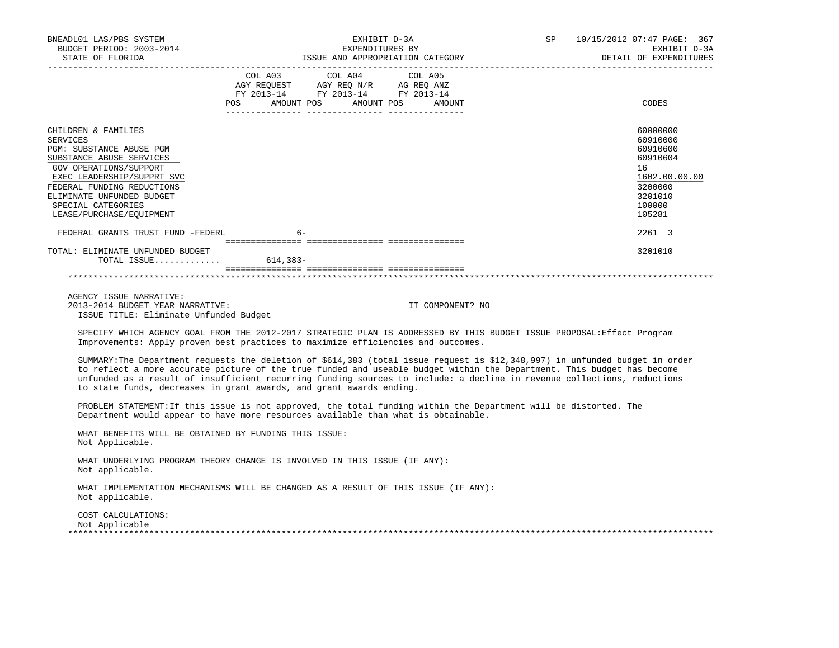| BNEADL01 LAS/PBS SYSTEM<br>BUDGET PERIOD: 2003-2014<br>STATE OF FLORIDA                                                                                                                                                                                             | EXHIBIT D-3A<br>EXPENDITURES BY<br>ISSUE AND APPROPRIATION CATEGORY                                                                                                                                                                                                                                                                                                                                                                                      | SP               | 10/15/2012 07:47 PAGE: 367<br>EXHIBIT D-3A<br>DETAIL OF EXPENDITURES                                          |
|---------------------------------------------------------------------------------------------------------------------------------------------------------------------------------------------------------------------------------------------------------------------|----------------------------------------------------------------------------------------------------------------------------------------------------------------------------------------------------------------------------------------------------------------------------------------------------------------------------------------------------------------------------------------------------------------------------------------------------------|------------------|---------------------------------------------------------------------------------------------------------------|
|                                                                                                                                                                                                                                                                     | COL A03 COL A04<br>COL A05<br>$\begin{tabular}{lllllll} \bf AGY \,\, REQUEST \,\, &\bf AGY \,\, REQ \,\, N/R &\bf AG \,\, REQ \,\, ANZ \\ \bf FY \,\, 2013-14 &\bf FY \,\, 2013-14 &\bf FY \,\, 2013-14 \\ \end{tabular}$<br>AMOUNT POS<br>AMOUNT POS<br>POS                                                                                                                                                                                             | AMOUNT           | CODES                                                                                                         |
| CHILDREN & FAMILIES<br><b>SERVICES</b><br>PGM: SUBSTANCE ABUSE PGM<br>SUBSTANCE ABUSE SERVICES<br>GOV OPERATIONS/SUPPORT<br>EXEC LEADERSHIP/SUPPRT SVC<br>FEDERAL FUNDING REDUCTIONS<br>ELIMINATE UNFUNDED BUDGET<br>SPECIAL CATEGORIES<br>LEASE/PURCHASE/EQUIPMENT |                                                                                                                                                                                                                                                                                                                                                                                                                                                          |                  | 60000000<br>60910000<br>60910600<br>60910604<br>16<br>1602.00.00.00<br>3200000<br>3201010<br>100000<br>105281 |
| FEDERAL GRANTS TRUST FUND -FEDERL                                                                                                                                                                                                                                   | $6-$                                                                                                                                                                                                                                                                                                                                                                                                                                                     |                  | 2261 3                                                                                                        |
| TOTAL: ELIMINATE UNFUNDED BUDGET<br>TOTAL ISSUE $614,383-$                                                                                                                                                                                                          |                                                                                                                                                                                                                                                                                                                                                                                                                                                          |                  | 3201010                                                                                                       |
| AGENCY ISSUE NARRATIVE:<br>2013-2014 BUDGET YEAR NARRATIVE:<br>ISSUE TITLE: Eliminate Unfunded Budget                                                                                                                                                               |                                                                                                                                                                                                                                                                                                                                                                                                                                                          | IT COMPONENT? NO |                                                                                                               |
|                                                                                                                                                                                                                                                                     | SPECIFY WHICH AGENCY GOAL FROM THE 2012-2017 STRATEGIC PLAN IS ADDRESSED BY THIS BUDGET ISSUE PROPOSAL: Effect Program<br>Improvements: Apply proven best practices to maximize efficiencies and outcomes.                                                                                                                                                                                                                                               |                  |                                                                                                               |
|                                                                                                                                                                                                                                                                     | SUMMARY: The Department requests the deletion of \$614,383 (total issue request is \$12,348,997) in unfunded budget in order<br>to reflect a more accurate picture of the true funded and useable budget within the Department. This budget has become<br>unfunded as a result of insufficient recurring funding sources to include: a decline in revenue collections, reductions<br>to state funds, decreases in grant awards, and grant awards ending. |                  |                                                                                                               |
|                                                                                                                                                                                                                                                                     | PROBLEM STATEMENT: If this issue is not approved, the total funding within the Department will be distorted. The<br>Department would appear to have more resources available than what is obtainable.                                                                                                                                                                                                                                                    |                  |                                                                                                               |
| WHAT BENEFITS WILL BE OBTAINED BY FUNDING THIS ISSUE:<br>Not Applicable.                                                                                                                                                                                            |                                                                                                                                                                                                                                                                                                                                                                                                                                                          |                  |                                                                                                               |
| Not applicable.                                                                                                                                                                                                                                                     | WHAT UNDERLYING PROGRAM THEORY CHANGE IS INVOLVED IN THIS ISSUE (IF ANY):                                                                                                                                                                                                                                                                                                                                                                                |                  |                                                                                                               |
| Not applicable.                                                                                                                                                                                                                                                     | WHAT IMPLEMENTATION MECHANISMS WILL BE CHANGED AS A RESULT OF THIS ISSUE (IF ANY):                                                                                                                                                                                                                                                                                                                                                                       |                  |                                                                                                               |
| COST CALCULATIONS:<br>Not Applicable                                                                                                                                                                                                                                |                                                                                                                                                                                                                                                                                                                                                                                                                                                          |                  |                                                                                                               |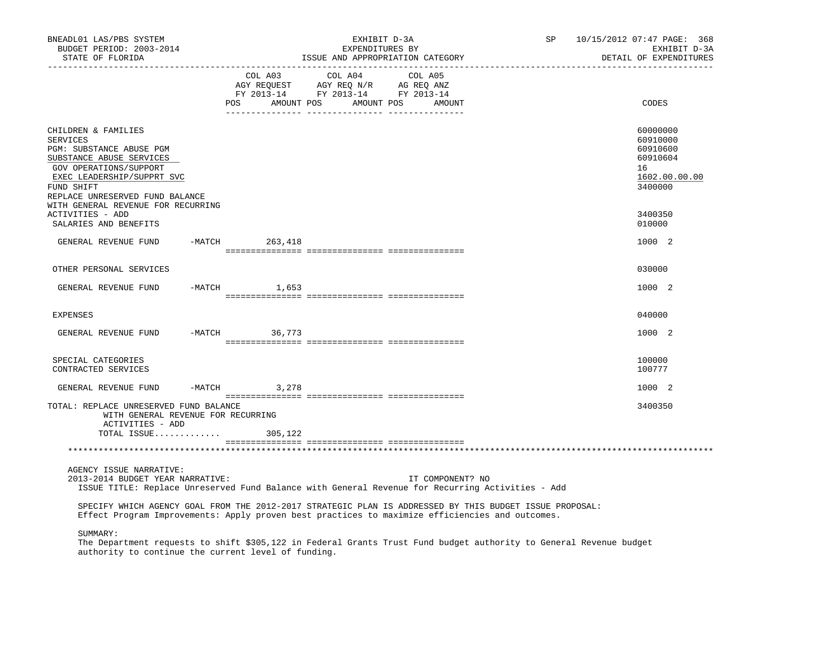| BNEADL01 LAS/PBS SYSTEM<br>BUDGET PERIOD: 2003-2014<br>STATE OF FLORIDA                                                                                                                                 | EXHIBIT D-3A<br>EXPENDITURES BY<br>ISSUE AND APPROPRIATION CATEGORY |     | SP                                                                                                                                                                                  | 10/15/2012 07:47 PAGE: 368<br>EXHIBIT D-3A<br>DETAIL OF EXPENDITURES |                  |                                                                                                                    |                                                                                |
|---------------------------------------------------------------------------------------------------------------------------------------------------------------------------------------------------------|---------------------------------------------------------------------|-----|-------------------------------------------------------------------------------------------------------------------------------------------------------------------------------------|----------------------------------------------------------------------|------------------|--------------------------------------------------------------------------------------------------------------------|--------------------------------------------------------------------------------|
|                                                                                                                                                                                                         |                                                                     | POS | $\begin{tabular}{lcccc} COL A03 & COL A04 & COL A05 \\ AGY REQUEST & AGY REQ N/R & AG REQ ANZ \\ FY & 2013-14 & FY & 2013-14 & FY & 2013-14 \end{tabular}$<br>AMOUNT POS AMOUNT POS |                                                                      | AMOUNT           |                                                                                                                    | CODES                                                                          |
| CHILDREN & FAMILIES<br><b>SERVICES</b><br>PGM: SUBSTANCE ABUSE PGM<br>SUBSTANCE ABUSE SERVICES<br>GOV OPERATIONS/SUPPORT<br>EXEC LEADERSHIP/SUPPRT SVC<br>FUND SHIFT<br>REPLACE UNRESERVED FUND BALANCE |                                                                     |     |                                                                                                                                                                                     |                                                                      |                  |                                                                                                                    | 60000000<br>60910000<br>60910600<br>60910604<br>16<br>1602.00.00.00<br>3400000 |
| WITH GENERAL REVENUE FOR RECURRING<br>ACTIVITIES - ADD<br>SALARIES AND BENEFITS                                                                                                                         |                                                                     |     |                                                                                                                                                                                     |                                                                      |                  |                                                                                                                    | 3400350<br>010000                                                              |
| GENERAL REVENUE FUND                                                                                                                                                                                    |                                                                     |     | -MATCH 263,418                                                                                                                                                                      |                                                                      |                  |                                                                                                                    | 1000 2                                                                         |
| OTHER PERSONAL SERVICES                                                                                                                                                                                 |                                                                     |     |                                                                                                                                                                                     |                                                                      |                  |                                                                                                                    | 030000                                                                         |
| GENERAL REVENUE FUND                                                                                                                                                                                    | $-MATCH$                                                            |     | 1,653                                                                                                                                                                               |                                                                      |                  |                                                                                                                    | 1000 2                                                                         |
| <b>EXPENSES</b>                                                                                                                                                                                         |                                                                     |     |                                                                                                                                                                                     |                                                                      |                  |                                                                                                                    | 040000                                                                         |
| GENERAL REVENUE FUND                                                                                                                                                                                    |                                                                     |     | $-MATCH$ 36,773                                                                                                                                                                     |                                                                      |                  |                                                                                                                    | 1000 2                                                                         |
| SPECIAL CATEGORIES<br>CONTRACTED SERVICES                                                                                                                                                               |                                                                     |     |                                                                                                                                                                                     |                                                                      |                  |                                                                                                                    | 100000<br>100777                                                               |
| GENERAL REVENUE FUND                                                                                                                                                                                    |                                                                     |     | $-MATCH$ 3, 278                                                                                                                                                                     |                                                                      |                  |                                                                                                                    | 1000 2                                                                         |
| TOTAL: REPLACE UNRESERVED FUND BALANCE<br>WITH GENERAL REVENUE FOR RECURRING<br>ACTIVITIES - ADD<br>TOTAL ISSUE                                                                                         |                                                                     |     | 305,122                                                                                                                                                                             |                                                                      |                  |                                                                                                                    | 3400350                                                                        |
|                                                                                                                                                                                                         |                                                                     |     |                                                                                                                                                                                     |                                                                      |                  |                                                                                                                    |                                                                                |
| AGENCY ISSUE NARRATIVE:<br>2013-2014 BUDGET YEAR NARRATIVE:<br>ISSUE TITLE: Replace Unreserved Fund Balance with General Revenue for Recurring Activities - Add                                         |                                                                     |     |                                                                                                                                                                                     |                                                                      | IT COMPONENT? NO |                                                                                                                    |                                                                                |
| Effect Program Improvements: Apply proven best practices to maximize efficiencies and outcomes.                                                                                                         |                                                                     |     |                                                                                                                                                                                     |                                                                      |                  | SPECIFY WHICH AGENCY GOAL FROM THE 2012-2017 STRATEGIC PLAN IS ADDRESSED BY THIS BUDGET ISSUE PROPOSAL:            |                                                                                |
| SUMMARY:                                                                                                                                                                                                |                                                                     |     |                                                                                                                                                                                     |                                                                      |                  | The Department requests to shift \$305,122 in Federal Grants Trust Fund budget authority to General Revenue budget |                                                                                |

authority to continue the current level of funding.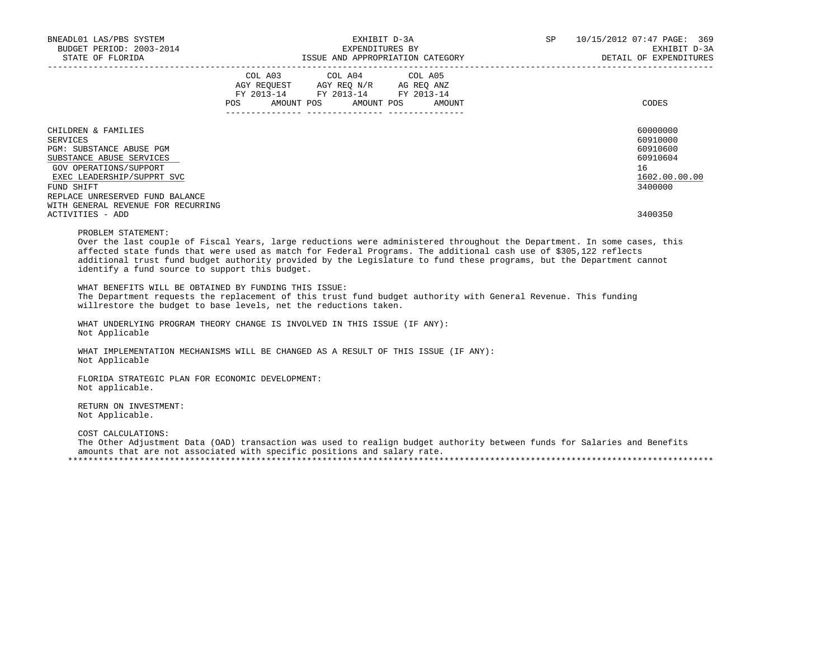| BNEADL01 LAS/PBS SYSTEM<br>BUDGET PERIOD: 2003-2014                                                                                                                                                                                                                                                                                                                                                                                                                                                                                                                                                                    |         | EXHIBIT D-3A<br>EXPENDITURES BY                                                                                       |         | SP | 10/15/2012 07:47 PAGE: 369<br>EXHIBIT D-3A<br>DETAIL OF EXPENDITURES                      |
|------------------------------------------------------------------------------------------------------------------------------------------------------------------------------------------------------------------------------------------------------------------------------------------------------------------------------------------------------------------------------------------------------------------------------------------------------------------------------------------------------------------------------------------------------------------------------------------------------------------------|---------|-----------------------------------------------------------------------------------------------------------------------|---------|----|-------------------------------------------------------------------------------------------|
|                                                                                                                                                                                                                                                                                                                                                                                                                                                                                                                                                                                                                        | COL A03 | COL A04<br>AGY REQUEST AGY REQ N/R AG REQ ANZ<br>FY 2013-14 FY 2013-14 FY 2013-14<br>POS AMOUNT POS AMOUNT POS AMOUNT | COL A05 |    | CODES                                                                                     |
| CHILDREN & FAMILIES<br>SERVICES<br>PGM: SUBSTANCE ABUSE PGM<br>SUBSTANCE ABUSE SERVICES<br>GOV OPERATIONS/SUPPORT<br>EXEC LEADERSHIP/SUPPRT SVC<br>FUND SHIFT<br>REPLACE UNRESERVED FUND BALANCE<br>WITH GENERAL REVENUE FOR RECURRING<br>ACTIVITIES - ADD                                                                                                                                                                                                                                                                                                                                                             |         |                                                                                                                       |         |    | 60000000<br>60910000<br>60910600<br>60910604<br>16<br>1602.00.00.00<br>3400000<br>3400350 |
| PROBLEM STATEMENT:<br>Over the last couple of Fiscal Years, large reductions were administered throughout the Department. In some cases, this<br>affected state funds that were used as match for Federal Programs. The additional cash use of \$305,122 reflects<br>additional trust fund budget authority provided by the Legislature to fund these programs, but the Department cannot<br>identify a fund source to support this budget.<br>WHAT BENEFITS WILL BE OBTAINED BY FUNDING THIS ISSUE:<br>The Department requests the replacement of this trust fund budget authority with General Revenue. This funding |         |                                                                                                                       |         |    |                                                                                           |
| willrestore the budget to base levels, net the reductions taken.<br>WHAT UNDERLYING PROGRAM THEORY CHANGE IS INVOLVED IN THIS ISSUE (IF ANY):<br>Not Applicable                                                                                                                                                                                                                                                                                                                                                                                                                                                        |         |                                                                                                                       |         |    |                                                                                           |
| WHAT IMPLEMENTATION MECHANISMS WILL BE CHANGED AS A RESULT OF THIS ISSUE (IF ANY):<br>Not Applicable                                                                                                                                                                                                                                                                                                                                                                                                                                                                                                                   |         |                                                                                                                       |         |    |                                                                                           |
| FLORIDA STRATEGIC PLAN FOR ECONOMIC DEVELOPMENT:<br>Not applicable.                                                                                                                                                                                                                                                                                                                                                                                                                                                                                                                                                    |         |                                                                                                                       |         |    |                                                                                           |
| RETURN ON INVESTMENT:<br>Not Applicable.                                                                                                                                                                                                                                                                                                                                                                                                                                                                                                                                                                               |         |                                                                                                                       |         |    |                                                                                           |
| COST CALCULATIONS:<br>The Other Adjustment Data (OAD) transaction was used to realign budget authority between funds for Salaries and Benefits<br>amounts that are not associated with specific positions and salary rate.                                                                                                                                                                                                                                                                                                                                                                                             |         |                                                                                                                       |         |    |                                                                                           |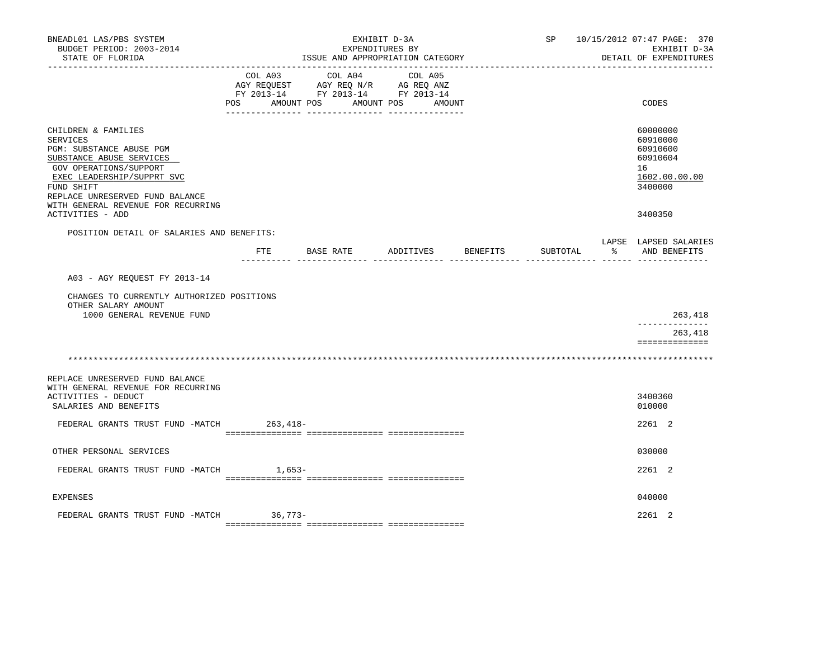| BNEADL01 LAS/PBS SYSTEM<br>BUDGET PERIOD: 2003-2014<br>STATE OF FLORIDA<br>-------------------                                                                                                                                                             |                           | ISSUE AND APPROPRIATION CATEGORY                                                  | EXHIBIT D-3A<br>EXPENDITURES BY |                 |          | SP 10/15/2012 07:47 PAGE: 370<br>EXHIBIT D-3A<br>DETAIL OF EXPENDITURES                   |
|------------------------------------------------------------------------------------------------------------------------------------------------------------------------------------------------------------------------------------------------------------|---------------------------|-----------------------------------------------------------------------------------|---------------------------------|-----------------|----------|-------------------------------------------------------------------------------------------|
|                                                                                                                                                                                                                                                            | COL A03<br>POS AMOUNT POS | COL A04<br>AGY REQUEST AGY REQ N/R AG REQ ANZ<br>FY 2013-14 FY 2013-14 FY 2013-14 | COL A05<br>AMOUNT POS<br>AMOUNT |                 |          | CODES                                                                                     |
| CHILDREN & FAMILIES<br>SERVICES<br>PGM: SUBSTANCE ABUSE PGM<br>SUBSTANCE ABUSE SERVICES<br>GOV OPERATIONS/SUPPORT<br>EXEC LEADERSHIP/SUPPRT SVC<br>FUND SHIFT<br>REPLACE UNRESERVED FUND BALANCE<br>WITH GENERAL REVENUE FOR RECURRING<br>ACTIVITIES - ADD |                           |                                                                                   |                                 |                 |          | 60000000<br>60910000<br>60910600<br>60910604<br>16<br>1602.00.00.00<br>3400000<br>3400350 |
|                                                                                                                                                                                                                                                            |                           |                                                                                   |                                 |                 |          |                                                                                           |
| POSITION DETAIL OF SALARIES AND BENEFITS:                                                                                                                                                                                                                  | FTE                       | BASE RATE                                                                         | ADDITIVES                       | <b>BENEFITS</b> | SUBTOTAL | LAPSE LAPSED SALARIES<br>% AND BENEFITS                                                   |
| A03 - AGY REQUEST FY 2013-14                                                                                                                                                                                                                               |                           |                                                                                   |                                 |                 |          |                                                                                           |
| CHANGES TO CURRENTLY AUTHORIZED POSITIONS<br>OTHER SALARY AMOUNT<br>1000 GENERAL REVENUE FUND                                                                                                                                                              |                           |                                                                                   |                                 |                 |          | 263,418                                                                                   |
|                                                                                                                                                                                                                                                            |                           |                                                                                   |                                 |                 |          | -------------                                                                             |
|                                                                                                                                                                                                                                                            |                           |                                                                                   |                                 |                 |          | 263,418<br>==============                                                                 |
|                                                                                                                                                                                                                                                            |                           |                                                                                   |                                 |                 |          |                                                                                           |
| REPLACE UNRESERVED FUND BALANCE<br>WITH GENERAL REVENUE FOR RECURRING<br><b>ACTIVITIES - DEDUCT</b><br>SALARIES AND BENEFITS                                                                                                                               |                           |                                                                                   |                                 |                 |          | 3400360<br>010000                                                                         |
| FEDERAL GRANTS TRUST FUND -MATCH                                                                                                                                                                                                                           | 263,418-                  |                                                                                   |                                 |                 |          | 2261 2                                                                                    |
| OTHER PERSONAL SERVICES                                                                                                                                                                                                                                    |                           |                                                                                   |                                 |                 |          | 030000                                                                                    |
| FEDERAL GRANTS TRUST FUND -MATCH                                                                                                                                                                                                                           | 1,653-                    |                                                                                   |                                 |                 |          | 2261 2                                                                                    |
| EXPENSES                                                                                                                                                                                                                                                   |                           |                                                                                   |                                 |                 |          | 040000                                                                                    |
| FEDERAL GRANTS TRUST FUND -MATCH 36,773-                                                                                                                                                                                                                   |                           |                                                                                   |                                 |                 |          | $2261$ 2                                                                                  |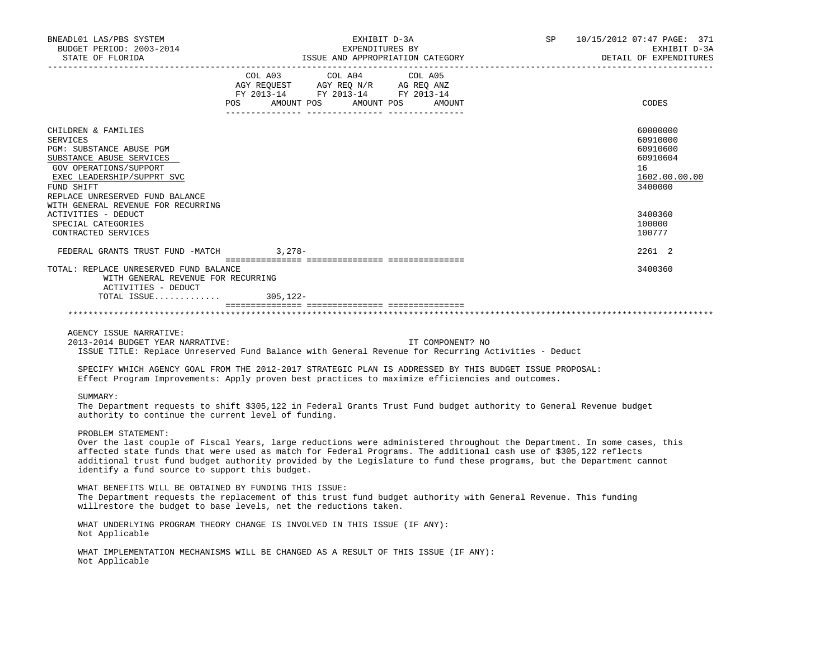| BNEADL01 LAS/PBS SYSTEM                                                                                                                       | EXHIBIT D-3A |                                                                        |                                  |           |                          |
|-----------------------------------------------------------------------------------------------------------------------------------------------|--------------|------------------------------------------------------------------------|----------------------------------|-----------|--------------------------|
| BUDGET PERIOD: 2003-2014                                                                                                                      |              | EXPENDITURES BY                                                        |                                  | <b>SP</b> | EXHIBIT D-3A             |
|                                                                                                                                               |              |                                                                        |                                  |           | DETAIL OF EXPENDITURES   |
|                                                                                                                                               |              | COL A03 COL A04 COL A05                                                |                                  |           |                          |
|                                                                                                                                               |              | AGY REQUEST AGY REQ N/R AG REQ ANZ<br>FY 2013-14 FY 2013-14 FY 2013-14 |                                  |           |                          |
|                                                                                                                                               |              |                                                                        |                                  |           |                          |
|                                                                                                                                               |              |                                                                        | POS AMOUNT POS AMOUNT POS AMOUNT |           | CODES                    |
|                                                                                                                                               |              |                                                                        |                                  |           |                          |
| CHILDREN & FAMILIES                                                                                                                           |              |                                                                        |                                  |           | 60000000                 |
| SERVICES                                                                                                                                      |              |                                                                        |                                  |           | 60910000                 |
| PGM: SUBSTANCE ABUSE PGM                                                                                                                      |              |                                                                        |                                  |           | 60910600                 |
| SUBSTANCE ABUSE SERVICES                                                                                                                      |              |                                                                        |                                  |           | 60910604                 |
| GOV OPERATIONS/SUPPORT<br>EXEC LEADERSHIP/SUPPRT SVC                                                                                          |              |                                                                        |                                  |           | 16                       |
| FUND SHIFT                                                                                                                                    |              |                                                                        |                                  |           | 1602.00.00.00<br>3400000 |
| REPLACE UNRESERVED FUND BALANCE                                                                                                               |              |                                                                        |                                  |           |                          |
| WITH GENERAL REVENUE FOR RECURRING                                                                                                            |              |                                                                        |                                  |           |                          |
| ACTIVITIES - DEDUCT                                                                                                                           |              |                                                                        |                                  |           | 3400360                  |
| SPECIAL CATEGORIES                                                                                                                            |              |                                                                        |                                  |           | 100000                   |
| CONTRACTED SERVICES                                                                                                                           |              |                                                                        |                                  |           | 100777                   |
| FEDERAL GRANTS TRUST FUND -MATCH 3,278-                                                                                                       |              |                                                                        |                                  |           | 2261 2                   |
| TOTAL: REPLACE UNRESERVED FUND BALANCE                                                                                                        |              |                                                                        |                                  |           | 3400360                  |
| WITH GENERAL REVENUE FOR RECURRING                                                                                                            |              |                                                                        |                                  |           |                          |
| ACTIVITIES - DEDUCT                                                                                                                           |              |                                                                        |                                  |           |                          |
| TOTAL ISSUE 305,122-                                                                                                                          |              |                                                                        |                                  |           |                          |
|                                                                                                                                               |              |                                                                        |                                  |           |                          |
|                                                                                                                                               |              |                                                                        |                                  |           |                          |
| AGENCY ISSUE NARRATIVE:                                                                                                                       |              |                                                                        |                                  |           |                          |
| 2013-2014 BUDGET YEAR NARRATIVE:                                                                                                              |              |                                                                        | IT COMPONENT? NO                 |           |                          |
| ISSUE TITLE: Replace Unreserved Fund Balance with General Revenue for Recurring Activities - Deduct                                           |              |                                                                        |                                  |           |                          |
| SPECIFY WHICH AGENCY GOAL FROM THE 2012-2017 STRATEGIC PLAN IS ADDRESSED BY THIS BUDGET ISSUE PROPOSAL:                                       |              |                                                                        |                                  |           |                          |
| Effect Program Improvements: Apply proven best practices to maximize efficiencies and outcomes.                                               |              |                                                                        |                                  |           |                          |
|                                                                                                                                               |              |                                                                        |                                  |           |                          |
| SUMMARY:                                                                                                                                      |              |                                                                        |                                  |           |                          |
| The Department requests to shift \$305,122 in Federal Grants Trust Fund budget authority to General Revenue budget                            |              |                                                                        |                                  |           |                          |
| authority to continue the current level of funding.                                                                                           |              |                                                                        |                                  |           |                          |
|                                                                                                                                               |              |                                                                        |                                  |           |                          |
| PROBLEM STATEMENT:<br>Over the last couple of Fiscal Years, large reductions were administered throughout the Department. In some cases, this |              |                                                                        |                                  |           |                          |
| affected state funds that were used as match for Federal Programs. The additional cash use of \$305,122 reflects                              |              |                                                                        |                                  |           |                          |
| additional trust fund budget authority provided by the Legislature to fund these programs, but the Department cannot                          |              |                                                                        |                                  |           |                          |
| identify a fund source to support this budget.                                                                                                |              |                                                                        |                                  |           |                          |
| WHAT BENEFITS WILL BE OBTAINED BY FUNDING THIS ISSUE:                                                                                         |              |                                                                        |                                  |           |                          |
| The Department requests the replacement of this trust fund budget authority with General Revenue. This funding                                |              |                                                                        |                                  |           |                          |
| willrestore the budget to base levels, net the reductions taken.                                                                              |              |                                                                        |                                  |           |                          |
|                                                                                                                                               |              |                                                                        |                                  |           |                          |
| WHAT UNDERLYING PROGRAM THEORY CHANGE IS INVOLVED IN THIS ISSUE (IF ANY):<br>Not Applicable                                                   |              |                                                                        |                                  |           |                          |
|                                                                                                                                               |              |                                                                        |                                  |           |                          |
| WHAT IMPLEMENTATION MECHANISMS WILL BE CHANGED AS A RESULT OF THIS ISSUE (IF ANY):                                                            |              |                                                                        |                                  |           |                          |
| Not Applicable                                                                                                                                |              |                                                                        |                                  |           |                          |
|                                                                                                                                               |              |                                                                        |                                  |           |                          |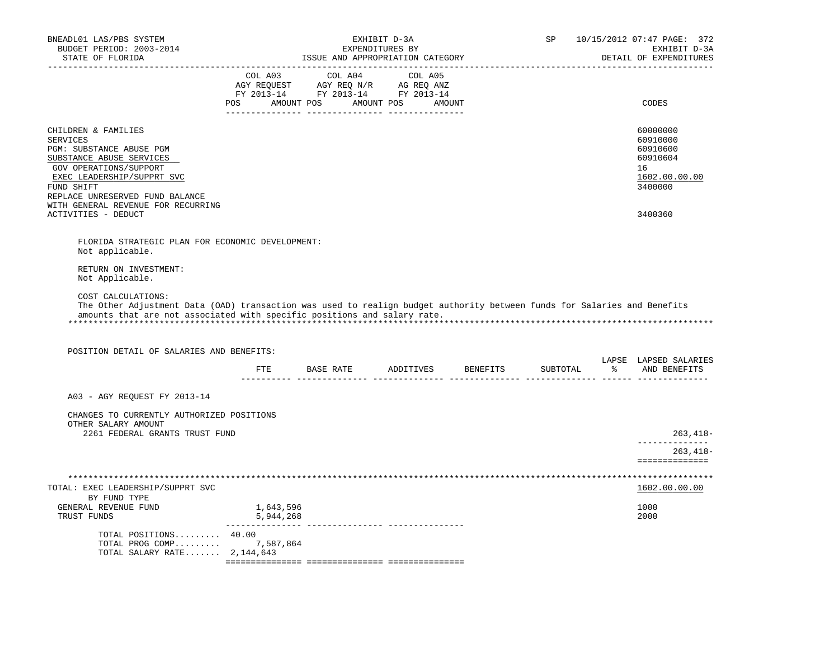| BNEADL01 LAS/PBS SYSTEM<br>BUDGET PERIOD: 2003-2014<br>STATE OF FLORIDA                                                                                                                                                                                                                                                                       |                        | EXHIBIT D-3A<br>EXPENDITURES BY<br>ISSUE AND APPROPRIATION CATEGORY                                                                                                                            |                                  | SP       | 10/15/2012 07:47 PAGE: 372<br>EXHIBIT D-3A<br>DETAIL OF EXPENDITURES           |
|-----------------------------------------------------------------------------------------------------------------------------------------------------------------------------------------------------------------------------------------------------------------------------------------------------------------------------------------------|------------------------|------------------------------------------------------------------------------------------------------------------------------------------------------------------------------------------------|----------------------------------|----------|--------------------------------------------------------------------------------|
| -----------------                                                                                                                                                                                                                                                                                                                             |                        | $\begin{tabular}{lcccc} CDL A03 & CDL A04 & CDL A05 \\ AGY REQUEST & AGY REQ N/R & AG REQ ANZ \\ FY & 2013-14 & FY & 2013-14 & FY & 2013-14 \end{tabular}$<br>POS AMOUNT POS AMOUNT POS AMOUNT |                                  |          | CODES                                                                          |
| CHILDREN & FAMILIES<br><b>SERVICES</b><br>PGM: SUBSTANCE ABUSE PGM<br>SUBSTANCE ABUSE SERVICES<br>GOV OPERATIONS/SUPPORT<br>EXEC LEADERSHIP/SUPPRT SVC<br>FUND SHIFT<br>REPLACE UNRESERVED FUND BALANCE<br>WITH GENERAL REVENUE FOR RECURRING                                                                                                 |                        |                                                                                                                                                                                                |                                  |          | 60000000<br>60910000<br>60910600<br>60910604<br>16<br>1602.00.00.00<br>3400000 |
| ACTIVITIES - DEDUCT                                                                                                                                                                                                                                                                                                                           |                        |                                                                                                                                                                                                |                                  |          | 3400360                                                                        |
| FLORIDA STRATEGIC PLAN FOR ECONOMIC DEVELOPMENT:<br>Not applicable.<br>RETURN ON INVESTMENT:<br>Not Applicable.<br>COST CALCULATIONS:<br>The Other Adjustment Data (OAD) transaction was used to realign budget authority between funds for Salaries and Benefits<br>amounts that are not associated with specific positions and salary rate. |                        |                                                                                                                                                                                                |                                  |          |                                                                                |
| POSITION DETAIL OF SALARIES AND BENEFITS:                                                                                                                                                                                                                                                                                                     |                        |                                                                                                                                                                                                |                                  |          |                                                                                |
|                                                                                                                                                                                                                                                                                                                                               |                        |                                                                                                                                                                                                | FTE BASE RATE ADDITIVES BENEFITS | SUBTOTAL | LAPSE LAPSED SALARIES<br>့<br>AND BENEFITS                                     |
| A03 - AGY REOUEST FY 2013-14                                                                                                                                                                                                                                                                                                                  |                        |                                                                                                                                                                                                |                                  |          |                                                                                |
| CHANGES TO CURRENTLY AUTHORIZED POSITIONS<br>OTHER SALARY AMOUNT<br>2261 FEDERAL GRANTS TRUST FUND                                                                                                                                                                                                                                            |                        |                                                                                                                                                                                                |                                  |          | $263, 418 -$                                                                   |
|                                                                                                                                                                                                                                                                                                                                               |                        |                                                                                                                                                                                                |                                  |          | -------------<br>$263,418-$                                                    |
| TOTAL: EXEC LEADERSHIP/SUPPRT SVC<br>BY FUND TYPE<br>GENERAL REVENUE FUND<br>TRUST FUNDS                                                                                                                                                                                                                                                      | 1,643,596<br>5,944,268 |                                                                                                                                                                                                |                                  |          | ==============<br>1602.00.00.00<br>1000<br>2000                                |
| TOTAL POSITIONS 40.00<br>TOTAL PROG COMP 7,587,864<br>TOTAL SALARY RATE $2,144,643$                                                                                                                                                                                                                                                           |                        |                                                                                                                                                                                                |                                  |          |                                                                                |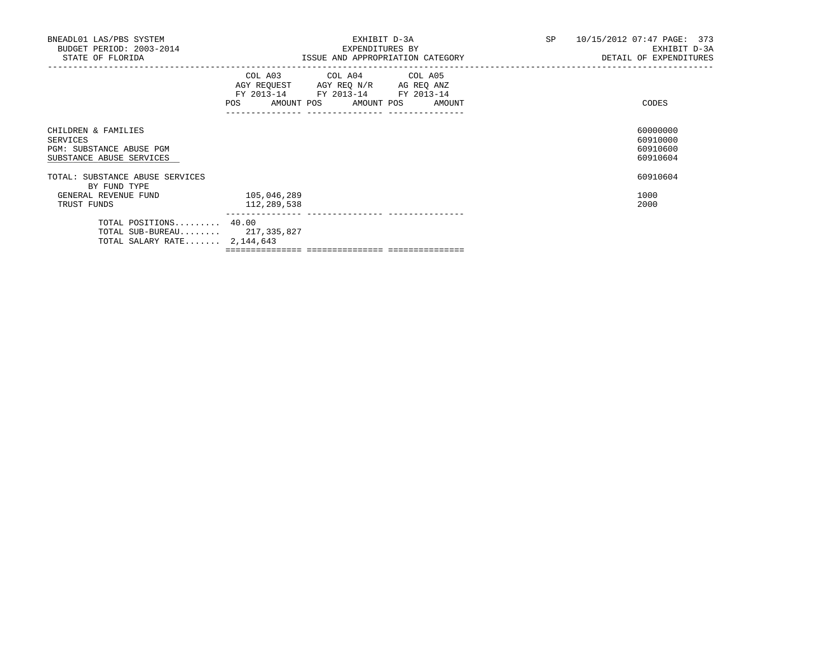| BNEADL01 LAS/PBS SYSTEM<br>BUDGET PERIOD: 2003-2014<br>STATE OF FLORIDA                 |                            | EXHIBIT D-3A<br>EXPENDITURES BY<br>ISSUE AND APPROPRIATION CATEGORY                                                                   | SP 10/15/2012 07:47 PAGE: 373 | EXHIBIT D-3A<br>DETAIL OF EXPENDITURES       |
|-----------------------------------------------------------------------------------------|----------------------------|---------------------------------------------------------------------------------------------------------------------------------------|-------------------------------|----------------------------------------------|
|                                                                                         |                            | COL A03 COL A04 COL A05<br>AGY REQUEST AGY REQ N/R AG REQ ANZ<br>FY 2013-14 FY 2013-14 FY 2013-14<br>POS AMOUNT POS AMOUNT POS AMOUNT |                               | CODES                                        |
| CHILDREN & FAMILIES<br>SERVICES<br>PGM: SUBSTANCE ABUSE PGM<br>SUBSTANCE ABUSE SERVICES |                            |                                                                                                                                       |                               | 60000000<br>60910000<br>60910600<br>60910604 |
| TOTAL: SUBSTANCE ABUSE SERVICES<br>BY FUND TYPE                                         |                            |                                                                                                                                       |                               | 60910604                                     |
| GENERAL REVENUE FUND<br>TRUST FUNDS                                                     | 105,046,289<br>112,289,538 |                                                                                                                                       |                               | 1000<br>2000                                 |
| TOTAL POSITIONS 40.00<br>TOTAL SUB-BUREAU 217,335,827<br>TOTAL SALARY RATE $2,144,643$  |                            |                                                                                                                                       |                               |                                              |
|                                                                                         |                            |                                                                                                                                       |                               |                                              |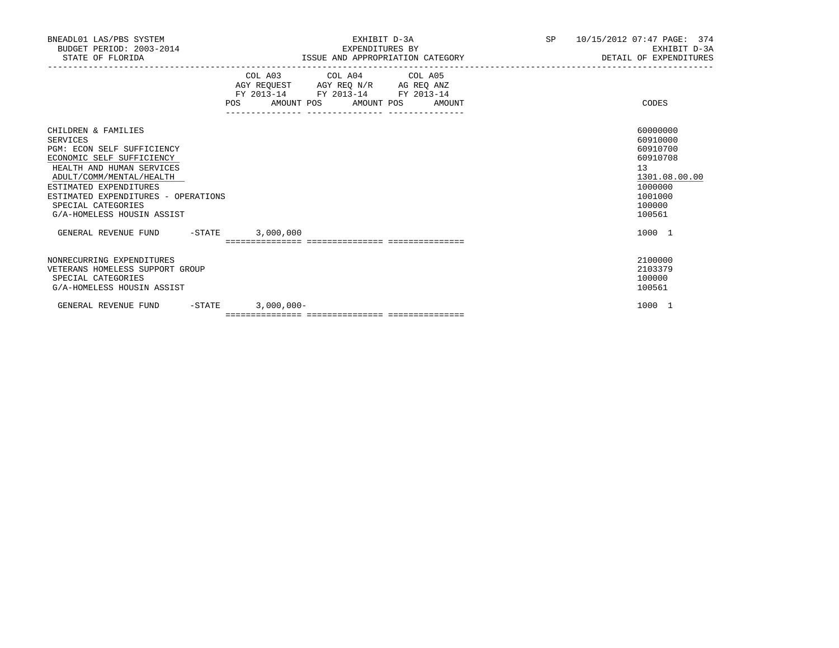| BNEADL01 LAS/PBS SYSTEM<br>BUDGET PERIOD: 2003-2014<br>STATE OF FLORIDA                                                                                                                                                                                                  |              | EXHIBIT D-3A<br>EXPENDITURES BY<br>ISSUE AND APPROPRIATION CATEGORY                                                                  | SP and the set of the set of the set of the set of the set of the set of the set of the set of the set of the set of the set of the set of the set of the set of the set of the set of the set of the set of the set of the se | 10/15/2012 07:47 PAGE: 374<br>EXHIBIT D-3A<br>DETAIL OF EXPENDITURES                                          |
|--------------------------------------------------------------------------------------------------------------------------------------------------------------------------------------------------------------------------------------------------------------------------|--------------|--------------------------------------------------------------------------------------------------------------------------------------|--------------------------------------------------------------------------------------------------------------------------------------------------------------------------------------------------------------------------------|---------------------------------------------------------------------------------------------------------------|
|                                                                                                                                                                                                                                                                          | POS          | COL A03 COL A04 COL A05<br>AGY REQUEST AGY REQ N/R AG REQ ANZ<br>FY 2013-14 FY 2013-14 FY 2013-14<br>AMOUNT POS AMOUNT POS<br>AMOUNT |                                                                                                                                                                                                                                | CODES                                                                                                         |
| CHILDREN & FAMILIES<br>SERVICES<br>PGM: ECON SELF SUFFICIENCY<br>ECONOMIC SELF SUFFICIENCY<br>HEALTH AND HUMAN SERVICES<br>ADULT/COMM/MENTAL/HEALTH<br>ESTIMATED EXPENDITURES<br>ESTIMATED EXPENDITURES - OPERATIONS<br>SPECIAL CATEGORIES<br>G/A-HOMELESS HOUSIN ASSIST |              |                                                                                                                                      |                                                                                                                                                                                                                                | 60000000<br>60910000<br>60910700<br>60910708<br>13<br>1301.08.00.00<br>1000000<br>1001000<br>100000<br>100561 |
| GENERAL REVENUE FUND -STATE 3,000,000                                                                                                                                                                                                                                    |              |                                                                                                                                      |                                                                                                                                                                                                                                | 1000 1                                                                                                        |
|                                                                                                                                                                                                                                                                          |              |                                                                                                                                      |                                                                                                                                                                                                                                |                                                                                                               |
| NONRECURRING EXPENDITURES<br>VETERANS HOMELESS SUPPORT GROUP<br>SPECIAL CATEGORIES<br>G/A-HOMELESS HOUSIN ASSIST                                                                                                                                                         |              |                                                                                                                                      |                                                                                                                                                                                                                                | 2100000<br>2103379<br>100000<br>100561                                                                        |
| GENERAL REVENUE FUND<br>$-STATE$                                                                                                                                                                                                                                         | $3,000,000-$ |                                                                                                                                      |                                                                                                                                                                                                                                | 1000 1                                                                                                        |
|                                                                                                                                                                                                                                                                          |              |                                                                                                                                      |                                                                                                                                                                                                                                |                                                                                                               |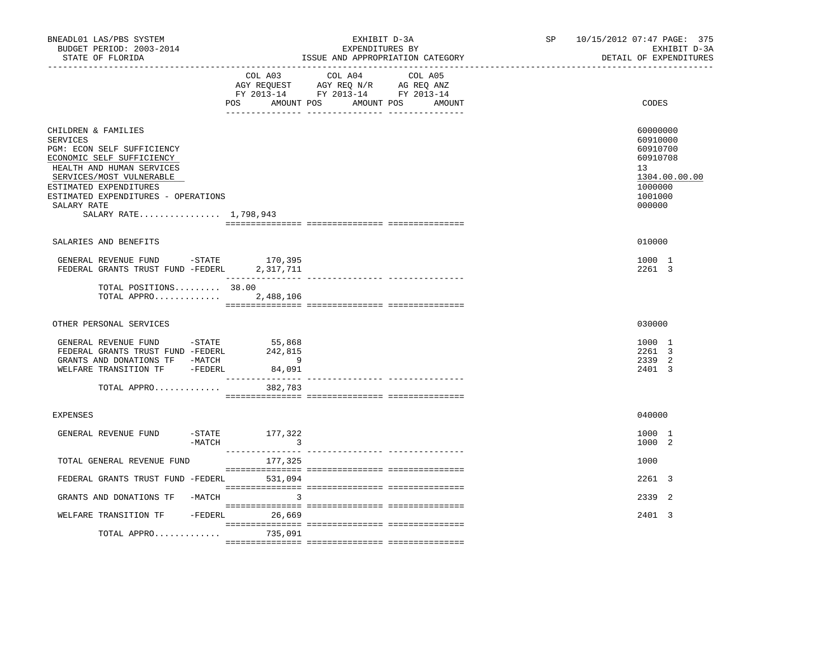| BNEADL01 LAS/PBS SYSTEM<br>BUDGET PERIOD: 2003-2014<br>STATE OF FLORIDA                                                                                                                                                                                             | --------------------------------                                   | EXHIBIT D-3A<br>EXPENDITURES BY<br>ISSUE AND APPROPRIATION CATEGORY                                                              | SP and the set of the set of the set of the set of the set of the set of the set of the set of the set of the set of the set of the set of the set of the set of the set of the set of the set of the set of the set of the se | 10/15/2012 07:47 PAGE: 375<br>EXHIBIT D-3A<br>DETAIL OF EXPENDITURES                                |
|---------------------------------------------------------------------------------------------------------------------------------------------------------------------------------------------------------------------------------------------------------------------|--------------------------------------------------------------------|----------------------------------------------------------------------------------------------------------------------------------|--------------------------------------------------------------------------------------------------------------------------------------------------------------------------------------------------------------------------------|-----------------------------------------------------------------------------------------------------|
|                                                                                                                                                                                                                                                                     | COL A03                                                            | COL A04<br>COL A05<br>AGY REQUEST AGY REQ N/R AG REQ ANZ<br>FY 2013-14 FY 2013-14 FY 2013-14<br>POS AMOUNT POS AMOUNT POS AMOUNT |                                                                                                                                                                                                                                | CODES                                                                                               |
| CHILDREN & FAMILIES<br><b>SERVICES</b><br>PGM: ECON SELF SUFFICIENCY<br>ECONOMIC SELF SUFFICIENCY<br>HEALTH AND HUMAN SERVICES<br>SERVICES/MOST VULNERABLE<br>ESTIMATED EXPENDITURES<br>ESTIMATED EXPENDITURES - OPERATIONS<br>SALARY RATE<br>SALARY RATE 1,798,943 |                                                                    |                                                                                                                                  |                                                                                                                                                                                                                                | 60000000<br>60910000<br>60910700<br>60910708<br>13<br>1304.00.00.00<br>1000000<br>1001000<br>000000 |
| SALARIES AND BENEFITS                                                                                                                                                                                                                                               |                                                                    |                                                                                                                                  |                                                                                                                                                                                                                                | 010000                                                                                              |
| GENERAL REVENUE FUND -STATE $170,395$<br>FEDERAL GRANTS TRUST FUND -FEDERL $2,317,711$                                                                                                                                                                              |                                                                    |                                                                                                                                  |                                                                                                                                                                                                                                | 1000 1<br>2261 3                                                                                    |
| TOTAL POSITIONS 38.00<br>TOTAL APPRO                                                                                                                                                                                                                                | 2,488,106                                                          |                                                                                                                                  |                                                                                                                                                                                                                                |                                                                                                     |
| OTHER PERSONAL SERVICES                                                                                                                                                                                                                                             |                                                                    |                                                                                                                                  |                                                                                                                                                                                                                                | 030000                                                                                              |
| GENERAL REVENUE FUND -STATE<br>FEDERAL GRANTS TRUST FUND -FEDERL<br>GRANTS AND DONATIONS TF -MATCH<br>WELFARE TRANSITION TF -FEDERL                                                                                                                                 | 55,868<br>242,815<br>$\overline{9}$<br>84,091<br>_________________ | ____________________________________                                                                                             |                                                                                                                                                                                                                                | 1000 1<br>2261 3<br>2339 2<br>2401 3                                                                |
| TOTAL APPRO                                                                                                                                                                                                                                                         | 382,783                                                            |                                                                                                                                  |                                                                                                                                                                                                                                |                                                                                                     |
| <b>EXPENSES</b>                                                                                                                                                                                                                                                     |                                                                    |                                                                                                                                  |                                                                                                                                                                                                                                | 040000                                                                                              |
| GENERAL REVENUE FUND                                                                                                                                                                                                                                                | -STATE 177,322<br>-MATCH<br>$\overline{\phantom{a}}$               |                                                                                                                                  |                                                                                                                                                                                                                                | 1000 1<br>1000 2                                                                                    |
| TOTAL GENERAL REVENUE FUND                                                                                                                                                                                                                                          | 177,325                                                            |                                                                                                                                  |                                                                                                                                                                                                                                | 1000                                                                                                |
| FEDERAL GRANTS TRUST FUND -FEDERL 531,094                                                                                                                                                                                                                           |                                                                    |                                                                                                                                  |                                                                                                                                                                                                                                | 2261 3                                                                                              |
| GRANTS AND DONATIONS TF -MATCH                                                                                                                                                                                                                                      | 3                                                                  |                                                                                                                                  |                                                                                                                                                                                                                                | 2339 2                                                                                              |
| WELFARE TRANSITION TF - FEDERL 26,669                                                                                                                                                                                                                               |                                                                    |                                                                                                                                  |                                                                                                                                                                                                                                | 2401 3                                                                                              |
| TOTAL APPRO                                                                                                                                                                                                                                                         | 735,091                                                            |                                                                                                                                  |                                                                                                                                                                                                                                |                                                                                                     |
|                                                                                                                                                                                                                                                                     |                                                                    |                                                                                                                                  |                                                                                                                                                                                                                                |                                                                                                     |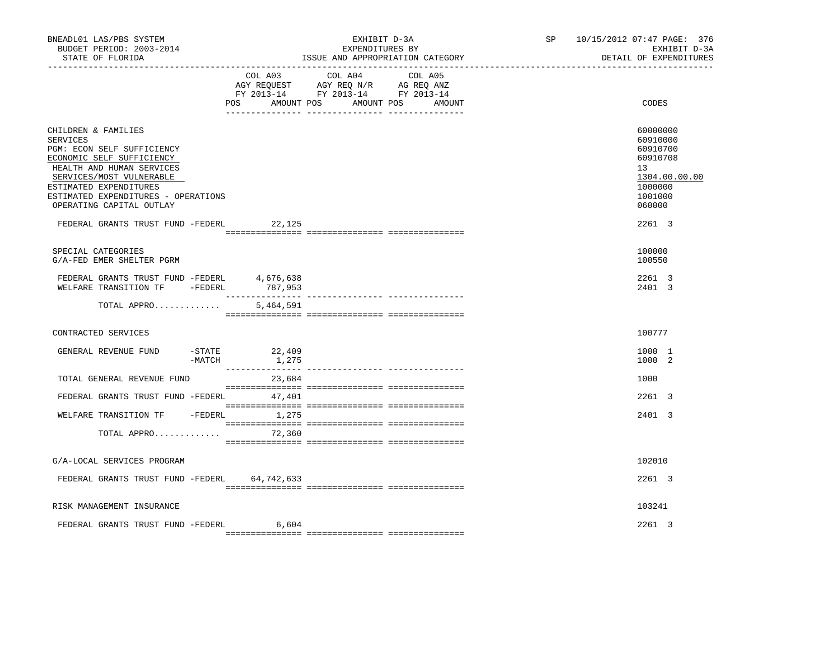| BNEADL01 LAS/PBS SYSTEM<br>BUDGET PERIOD: 2003-2014<br>STATE OF FLORIDA                                                                                                                                                                          |                   | EXHIBIT D-3A<br>EXPENDITURES BY<br>ISSUE AND APPROPRIATION CATEGORY                                                       | SP 10/15/2012 07:47 PAGE: 376<br>EXHIBIT D-3A<br>DETAIL OF EXPENDITURES                                          |
|--------------------------------------------------------------------------------------------------------------------------------------------------------------------------------------------------------------------------------------------------|-------------------|---------------------------------------------------------------------------------------------------------------------------|------------------------------------------------------------------------------------------------------------------|
|                                                                                                                                                                                                                                                  | AMOUNT POS<br>POS | COL A03 COL A04 COL A05<br>AGY REQUEST AGY REQ N/R AG REQ ANZ<br>FY 2013-14 FY 2013-14 FY 2013-14<br>AMOUNT POS<br>AMOUNT | CODES                                                                                                            |
| CHILDREN & FAMILIES<br>SERVICES<br>PGM: ECON SELF SUFFICIENCY<br>ECONOMIC SELF SUFFICIENCY<br>HEALTH AND HUMAN SERVICES<br>SERVICES/MOST VULNERABLE<br>ESTIMATED EXPENDITURES<br>ESTIMATED EXPENDITURES - OPERATIONS<br>OPERATING CAPITAL OUTLAY |                   |                                                                                                                           | 60000000<br>60910000<br>60910700<br>60910708<br>13 <sup>°</sup><br>1304.00.00.00<br>1000000<br>1001000<br>060000 |
| FEDERAL GRANTS TRUST FUND -FEDERL 22,125                                                                                                                                                                                                         |                   |                                                                                                                           | 2261 3                                                                                                           |
| SPECIAL CATEGORIES<br>G/A-FED EMER SHELTER PGRM                                                                                                                                                                                                  |                   |                                                                                                                           | 100000<br>100550                                                                                                 |
| ${\tt FEDERAL} \quad {\tt GRANTS} \quad {\tt FUND-FEDERL} \qquad \qquad 4,676,638 \\ {\tt WELFARE} \quad {\tt TRANSITION} \quad {\tt TF} \qquad -{\tt FEDERL} \qquad \qquad 787,953$                                                             |                   |                                                                                                                           | 2261 3<br>2401 3                                                                                                 |
| TOTAL APPRO                                                                                                                                                                                                                                      | 5,464,591         |                                                                                                                           |                                                                                                                  |
| CONTRACTED SERVICES                                                                                                                                                                                                                              |                   |                                                                                                                           | 100777                                                                                                           |
| GENERAL REVENUE FUND<br>$-$ STATE<br>-MATCH                                                                                                                                                                                                      | 22,409<br>1,275   |                                                                                                                           | 1000 1<br>1000 2                                                                                                 |
| TOTAL GENERAL REVENUE FUND                                                                                                                                                                                                                       | 23,684            |                                                                                                                           | 1000                                                                                                             |
| FEDERAL GRANTS TRUST FUND -FEDERL 47,401                                                                                                                                                                                                         |                   |                                                                                                                           | 2261 3                                                                                                           |
| WELFARE TRANSITION TF - FEDERL 1,275<br>TOTAL APPRO                                                                                                                                                                                              | 72,360            |                                                                                                                           | 2401 3                                                                                                           |
| G/A-LOCAL SERVICES PROGRAM                                                                                                                                                                                                                       |                   |                                                                                                                           | 102010                                                                                                           |
| FEDERAL GRANTS TRUST FUND -FEDERL 64,742,633                                                                                                                                                                                                     |                   |                                                                                                                           | 2261 3                                                                                                           |
| RISK MANAGEMENT INSURANCE                                                                                                                                                                                                                        |                   |                                                                                                                           | 103241                                                                                                           |
| FEDERAL GRANTS TRUST FUND -FEDERL 6,604                                                                                                                                                                                                          |                   |                                                                                                                           | 2261 3                                                                                                           |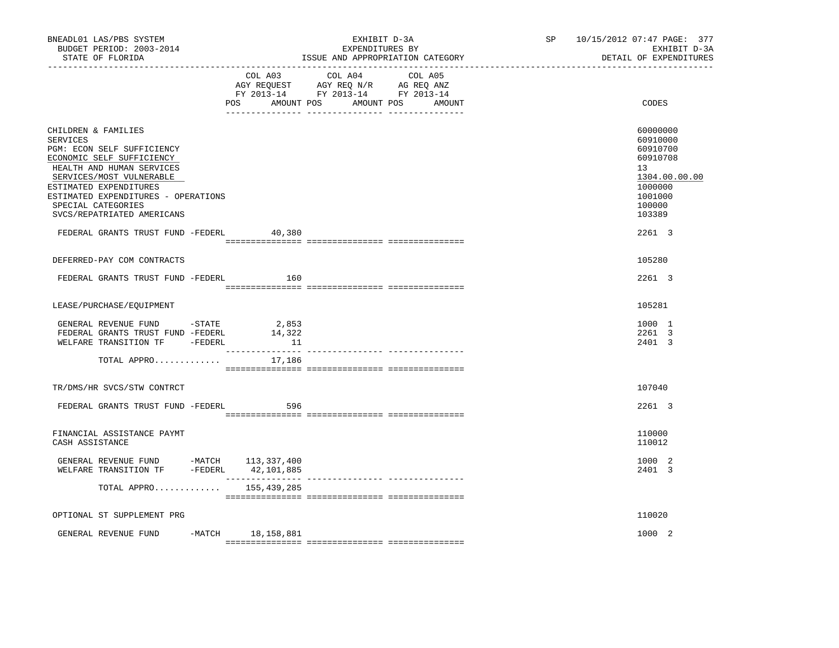| BNEADL01 LAS/PBS SYSTEM<br>BUDGET PERIOD: 2003-2014<br>STATE OF FLORIDA                                                                                                                                                                                                                                              |         | EXHIBIT D-3A<br>EXPENDITURES BY<br>ISSUE AND APPROPRIATION CATEGORY                                                              | SP 10/15/2012 07:47 PAGE: 377<br>EXHIBIT D-3A<br>DETAIL OF EXPENDITURES                                                 |
|----------------------------------------------------------------------------------------------------------------------------------------------------------------------------------------------------------------------------------------------------------------------------------------------------------------------|---------|----------------------------------------------------------------------------------------------------------------------------------|-------------------------------------------------------------------------------------------------------------------------|
|                                                                                                                                                                                                                                                                                                                      | COL A03 | COL A04<br>COL A05<br>AGY REQUEST AGY REQ N/R AG REQ ANZ<br>FY 2013-14 FY 2013-14 FY 2013-14<br>POS AMOUNT POS AMOUNT POS AMOUNT | CODES                                                                                                                   |
| CHILDREN & FAMILIES<br><b>SERVICES</b><br>PGM: ECON SELF SUFFICIENCY<br>ECONOMIC SELF SUFFICIENCY<br>HEALTH AND HUMAN SERVICES<br>SERVICES/MOST VULNERABLE<br>ESTIMATED EXPENDITURES<br>ESTIMATED EXPENDITURES - OPERATIONS<br>SPECIAL CATEGORIES<br>SVCS/REPATRIATED AMERICANS<br>FEDERAL GRANTS TRUST FUND -FEDERL | 40,380  |                                                                                                                                  | 60000000<br>60910000<br>60910700<br>60910708<br>13<br>1304.00.00.00<br>1000000<br>1001000<br>100000<br>103389<br>2261 3 |
| DEFERRED-PAY COM CONTRACTS                                                                                                                                                                                                                                                                                           |         |                                                                                                                                  | 105280                                                                                                                  |
| FEDERAL GRANTS TRUST FUND -FEDERL                                                                                                                                                                                                                                                                                    | 160     |                                                                                                                                  | 2261 3                                                                                                                  |
| LEASE/PURCHASE/EQUIPMENT                                                                                                                                                                                                                                                                                             |         |                                                                                                                                  | 105281                                                                                                                  |
| GENERAL REVENUE FUND -STATE $2,853$<br>FEDERAL GRANTS TRUST FUND -FEDERL $14,322$<br>WELFARE TRANSITION TF -FEDERL                                                                                                                                                                                                   | 11      |                                                                                                                                  | 1000 1<br>2261 3<br>2401 3                                                                                              |
| TOTAL APPRO                                                                                                                                                                                                                                                                                                          | 17,186  |                                                                                                                                  |                                                                                                                         |
| TR/DMS/HR SVCS/STW CONTRCT                                                                                                                                                                                                                                                                                           |         |                                                                                                                                  | 107040                                                                                                                  |
| FEDERAL GRANTS TRUST FUND -FEDERL                                                                                                                                                                                                                                                                                    | 596     |                                                                                                                                  | 2261 3                                                                                                                  |
| FINANCIAL ASSISTANCE PAYMT<br>CASH ASSISTANCE                                                                                                                                                                                                                                                                        |         |                                                                                                                                  | 110000<br>110012                                                                                                        |
| GENERAL REVENUE FUND -MATCH 113,337,400<br>WELFARE TRANSITION TF -FEDERL 42,101,885                                                                                                                                                                                                                                  |         |                                                                                                                                  | 1000 2<br>2401 3                                                                                                        |
| TOTAL APPRO $155,439,285$                                                                                                                                                                                                                                                                                            |         |                                                                                                                                  |                                                                                                                         |
| OPTIONAL ST SUPPLEMENT PRG                                                                                                                                                                                                                                                                                           |         |                                                                                                                                  | 110020                                                                                                                  |
| GENERAL REVENUE FUND -MATCH 18,158,881                                                                                                                                                                                                                                                                               |         |                                                                                                                                  | 1000 2                                                                                                                  |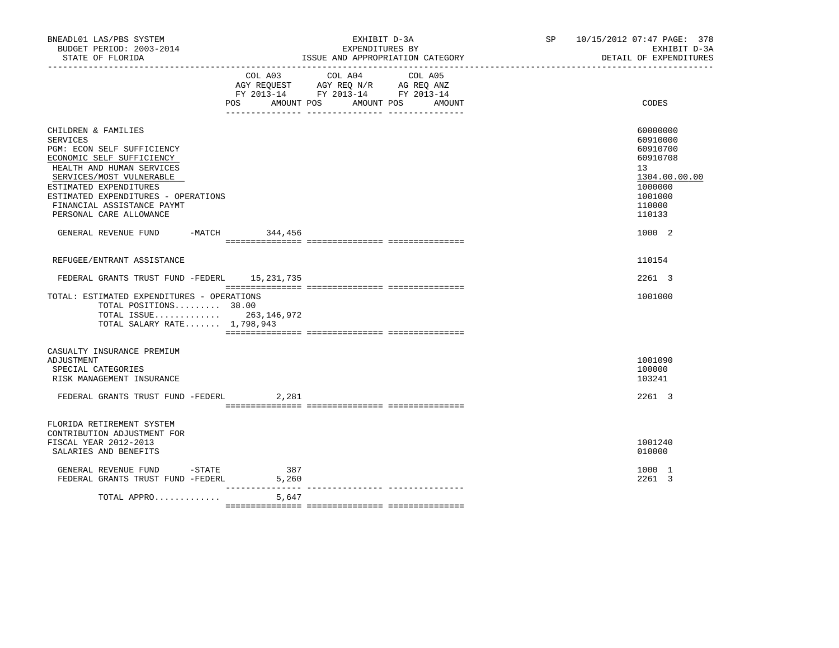| BNEADL01 LAS/PBS SYSTEM<br>BUDGET PERIOD: 2003-2014<br>STATE OF FLORIDA                                                                                                                                                                                                              |                              | EXHIBIT D-3A<br>EXPENDITURES BY<br>ISSUE AND APPROPRIATION CATEGORY                                                  | SP 10/15/2012 07:47 PAGE: 378<br>EXHIBIT D-3A<br>DETAIL OF EXPENDITURES                                                    |
|--------------------------------------------------------------------------------------------------------------------------------------------------------------------------------------------------------------------------------------------------------------------------------------|------------------------------|----------------------------------------------------------------------------------------------------------------------|----------------------------------------------------------------------------------------------------------------------------|
|                                                                                                                                                                                                                                                                                      | COL A03<br>AMOUNT POS<br>POS | COL A04<br>COL A05<br>AGY REQUEST AGY REQ N/R AG REQ ANZ<br>FY 2013-14 FY 2013-14 FY 2013-14<br>AMOUNT POS<br>AMOUNT | CODES                                                                                                                      |
| CHILDREN & FAMILIES<br><b>SERVICES</b><br>PGM: ECON SELF SUFFICIENCY<br>ECONOMIC SELF SUFFICIENCY<br>HEALTH AND HUMAN SERVICES<br>SERVICES/MOST VULNERABLE<br>ESTIMATED EXPENDITURES<br>ESTIMATED EXPENDITURES - OPERATIONS<br>FINANCIAL ASSISTANCE PAYMT<br>PERSONAL CARE ALLOWANCE |                              |                                                                                                                      | 60000000<br>60910000<br>60910700<br>60910708<br>13 <sup>°</sup><br>1304.00.00.00<br>1000000<br>1001000<br>110000<br>110133 |
| GENERAL REVENUE FUND                                                                                                                                                                                                                                                                 | -MATCH 344,456               |                                                                                                                      | 1000 2                                                                                                                     |
| REFUGEE/ENTRANT ASSISTANCE                                                                                                                                                                                                                                                           |                              |                                                                                                                      | 110154                                                                                                                     |
| FEDERAL GRANTS TRUST FUND -FEDERL 15, 231, 735                                                                                                                                                                                                                                       |                              |                                                                                                                      | 2261 3                                                                                                                     |
| TOTAL: ESTIMATED EXPENDITURES - OPERATIONS<br>TOTAL POSITIONS 38.00<br>TOTAL ISSUE 263,146,972<br>TOTAL SALARY RATE 1,798,943                                                                                                                                                        |                              |                                                                                                                      | 1001000                                                                                                                    |
| CASUALTY INSURANCE PREMIUM                                                                                                                                                                                                                                                           |                              |                                                                                                                      |                                                                                                                            |
| ADJUSTMENT<br>SPECIAL CATEGORIES<br>RISK MANAGEMENT INSURANCE                                                                                                                                                                                                                        |                              |                                                                                                                      | 1001090<br>100000<br>103241                                                                                                |
| FEDERAL GRANTS TRUST FUND -FEDERL                                                                                                                                                                                                                                                    | 2,281                        |                                                                                                                      | 2261 3                                                                                                                     |
| FLORIDA RETIREMENT SYSTEM<br>CONTRIBUTION ADJUSTMENT FOR<br>FISCAL YEAR 2012-2013<br>SALARIES AND BENEFITS                                                                                                                                                                           |                              |                                                                                                                      | 1001240<br>010000                                                                                                          |
| GENERAL REVENUE FUND -STATE<br>FEDERAL GRANTS TRUST FUND -FEDERL                                                                                                                                                                                                                     | 387<br>5,260                 |                                                                                                                      | 1000 1<br>2261 3                                                                                                           |
| TOTAL APPRO                                                                                                                                                                                                                                                                          | $- - - - - - - - -$<br>5,647 |                                                                                                                      |                                                                                                                            |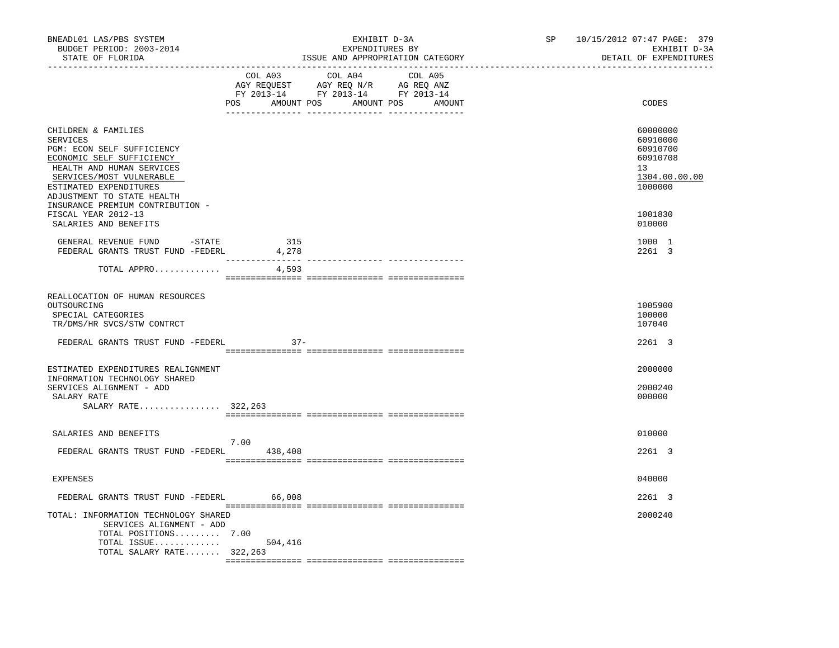| BNEADL01 LAS/PBS SYSTEM<br>BUDGET PERIOD: 2003-2014<br>STATE OF FLORIDA                                                                                                                                            | EXHIBIT D-3A<br>EXPENDITURES BY<br>ISSUE AND APPROPRIATION CATEGORY                                                                   | SP 10/15/2012 07:47 PAGE: 379<br>EXHIBIT D-3A<br>DETAIL OF EXPENDITURES        |
|--------------------------------------------------------------------------------------------------------------------------------------------------------------------------------------------------------------------|---------------------------------------------------------------------------------------------------------------------------------------|--------------------------------------------------------------------------------|
|                                                                                                                                                                                                                    | COL A03 COL A04 COL A05<br>AGY REQUEST AGY REQ N/R AG REQ ANZ<br>FY 2013-14 FY 2013-14 FY 2013-14<br>POS AMOUNT POS AMOUNT POS AMOUNT | CODES                                                                          |
| CHILDREN & FAMILIES<br><b>SERVICES</b><br>PGM: ECON SELF SUFFICIENCY<br>ECONOMIC SELF SUFFICIENCY<br>HEALTH AND HUMAN SERVICES<br>SERVICES/MOST VULNERABLE<br>ESTIMATED EXPENDITURES<br>ADJUSTMENT TO STATE HEALTH |                                                                                                                                       | 60000000<br>60910000<br>60910700<br>60910708<br>13<br>1304.00.00.00<br>1000000 |
| INSURANCE PREMIUM CONTRIBUTION -<br>FISCAL YEAR 2012-13<br>SALARIES AND BENEFITS                                                                                                                                   |                                                                                                                                       | 1001830<br>010000                                                              |
| GENERAL REVENUE FUND -STATE<br>FEDERAL GRANTS TRUST FUND -FEDERL                                                                                                                                                   | 315<br>4,278                                                                                                                          | 1000 1<br>2261 3                                                               |
| TOTAL APPRO                                                                                                                                                                                                        | 4,593                                                                                                                                 |                                                                                |
| REALLOCATION OF HUMAN RESOURCES<br>OUTSOURCING<br>SPECIAL CATEGORIES<br>TR/DMS/HR SVCS/STW CONTRCT                                                                                                                 |                                                                                                                                       | 1005900<br>100000<br>107040                                                    |
| FEDERAL GRANTS TRUST FUND -FEDERL                                                                                                                                                                                  | $37 -$                                                                                                                                | 2261 3                                                                         |
| ESTIMATED EXPENDITURES REALIGNMENT<br>INFORMATION TECHNOLOGY SHARED<br>SERVICES ALIGNMENT - ADD<br>SALARY RATE<br>SALARY RATE 322,263                                                                              |                                                                                                                                       | 2000000<br>2000240<br>000000                                                   |
| SALARIES AND BENEFITS                                                                                                                                                                                              |                                                                                                                                       | 010000                                                                         |
| FEDERAL GRANTS TRUST FUND -FEDERL                                                                                                                                                                                  | 7.00<br>438,408                                                                                                                       | 2261 3                                                                         |
| <b>EXPENSES</b>                                                                                                                                                                                                    |                                                                                                                                       | 040000                                                                         |
| FEDERAL GRANTS TRUST FUND -FEDERL                                                                                                                                                                                  | 66,008                                                                                                                                | 2261 3                                                                         |
| TOTAL: INFORMATION TECHNOLOGY SHARED<br>SERVICES ALIGNMENT - ADD<br>TOTAL POSITIONS 7.00<br>TOTAL ISSUE $504,416$                                                                                                  |                                                                                                                                       | 2000240                                                                        |
| TOTAL SALARY RATE $322,263$                                                                                                                                                                                        |                                                                                                                                       |                                                                                |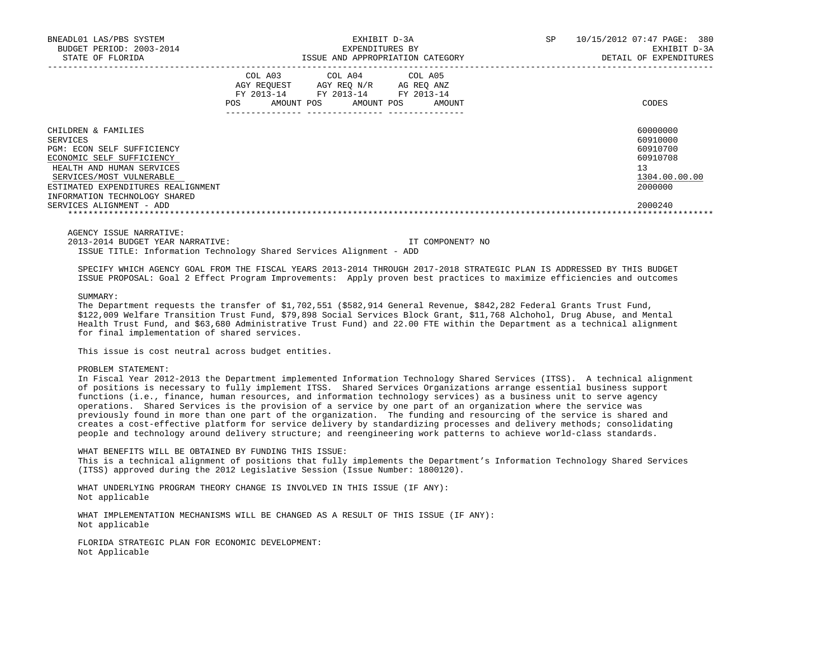| BNEADL01 LAS/PBS SYSTEM<br>BUDGET PERIOD: 2003-2014<br>STATE OF FLORIDA                                                                                                                                                    | EXHIBIT D-3A<br>EXPENDITURES BY<br>ISSUE AND APPROPRIATION CATEGORY |                                      |  |                                                                       | SP.                  | 10/15/2012 07:47 PAGE:<br>380<br>EXHIBIT D-3A<br>DETAIL OF EXPENDITURES |                                                                                |
|----------------------------------------------------------------------------------------------------------------------------------------------------------------------------------------------------------------------------|---------------------------------------------------------------------|--------------------------------------|--|-----------------------------------------------------------------------|----------------------|-------------------------------------------------------------------------|--------------------------------------------------------------------------------|
|                                                                                                                                                                                                                            | FY 2013-14<br>POS                                                   | COL A03<br>AGY REQUEST<br>AMOUNT POS |  | COL A04 COL A05<br>AGY REO N/R<br>FY 2013-14 FY 2013-14<br>AMOUNT POS | AG REO ANZ<br>AMOUNT |                                                                         | CODES                                                                          |
| CHILDREN & FAMILIES<br>SERVICES<br>PGM: ECON SELF SUFFICIENCY<br>ECONOMIC SELF SUFFICIENCY<br>HEALTH AND HUMAN SERVICES<br>SERVICES/MOST VULNERABLE<br>ESTIMATED EXPENDITURES REALIGNMENT<br>INFORMATION TECHNOLOGY SHARED |                                                                     |                                      |  |                                                                       |                      |                                                                         | 60000000<br>60910000<br>60910700<br>60910708<br>13<br>1304.00.00.00<br>2000000 |
| SERVICES ALIGNMENT - ADD                                                                                                                                                                                                   |                                                                     |                                      |  |                                                                       |                      |                                                                         | 2000240                                                                        |

AGENCY ISSUE NARRATIVE:

2013-2014 BUDGET YEAR NARRATIVE: IT COMPONENT? NO

ISSUE TITLE: Information Technology Shared Services Alignment - ADD

 SPECIFY WHICH AGENCY GOAL FROM THE FISCAL YEARS 2013-2014 THROUGH 2017-2018 STRATEGIC PLAN IS ADDRESSED BY THIS BUDGET ISSUE PROPOSAL: Goal 2 Effect Program Improvements: Apply proven best practices to maximize efficiencies and outcomes

SUMMARY:

The Department requests the transfer of \$1,702,551 (\$582,914 General Revenue, \$842,282 Federal Grants Trust Fund, \$122,009 Welfare Transition Trust Fund, \$79,898 Social Services Block Grant, \$11,768 Alchohol, Drug Abuse, and Mental Health Trust Fund, and \$63,680 Administrative Trust Fund) and 22.00 FTE within the Department as a technical alignment for final implementation of shared services.

This issue is cost neutral across budget entities.

## PROBLEM STATEMENT:

 In Fiscal Year 2012-2013 the Department implemented Information Technology Shared Services (ITSS). A technical alignment of positions is necessary to fully implement ITSS. Shared Services Organizations arrange essential business support functions (i.e., finance, human resources, and information technology services) as a business unit to serve agency operations. Shared Services is the provision of a service by one part of an organization where the service was previously found in more than one part of the organization. The funding and resourcing of the service is shared and creates a cost-effective platform for service delivery by standardizing processes and delivery methods; consolidating people and technology around delivery structure; and reengineering work patterns to achieve world-class standards.

 WHAT BENEFITS WILL BE OBTAINED BY FUNDING THIS ISSUE: This is a technical alignment of positions that fully implements the Department's Information Technology Shared Services (ITSS) approved during the 2012 Legislative Session (Issue Number: 1800120).

 WHAT UNDERLYING PROGRAM THEORY CHANGE IS INVOLVED IN THIS ISSUE (IF ANY): Not applicable

 WHAT IMPLEMENTATION MECHANISMS WILL BE CHANGED AS A RESULT OF THIS ISSUE (IF ANY): Not applicable

 FLORIDA STRATEGIC PLAN FOR ECONOMIC DEVELOPMENT: Not Applicable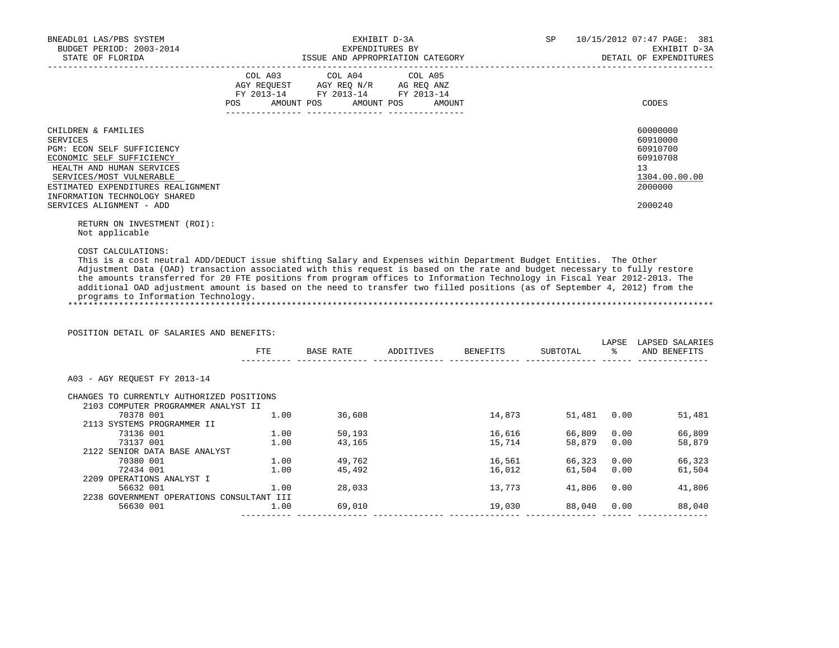| BNEADL01 LAS/PBS SYSTEM<br>BUDGET PERIOD: 2003-2014<br>STATE OF FLORIDA                                                                                                                                                                                | EXHIBIT D-3A<br>EXPENDITURES BY                                                                                                       | SP<br>ISSUE AND APPROPRIATION CATEGORY | 10/15/2012 07:47 PAGE: 381<br>EXHIBIT D-3A<br>DETAIL OF EXPENDITURES |                                                                                           |
|--------------------------------------------------------------------------------------------------------------------------------------------------------------------------------------------------------------------------------------------------------|---------------------------------------------------------------------------------------------------------------------------------------|----------------------------------------|----------------------------------------------------------------------|-------------------------------------------------------------------------------------------|
|                                                                                                                                                                                                                                                        | COL A03 COL A04 COL A05<br>AGY REQUEST AGY REQ N/R AG REQ ANZ<br>FY 2013-14 FY 2013-14 FY 2013-14<br>POS AMOUNT POS AMOUNT POS AMOUNT |                                        |                                                                      | CODES                                                                                     |
| CHILDREN & FAMILIES<br>SERVICES<br>PGM: ECON SELF SUFFICIENCY<br>ECONOMIC SELF SUFFICIENCY<br>HEALTH AND HUMAN SERVICES<br>SERVICES/MOST VULNERABLE<br>ESTIMATED EXPENDITURES REALIGNMENT<br>INFORMATION TECHNOLOGY SHARED<br>SERVICES ALIGNMENT - ADD |                                                                                                                                       |                                        |                                                                      | 60000000<br>60910000<br>60910700<br>60910708<br>13<br>1304.00.00.00<br>2000000<br>2000240 |
| RETURN ON INVESTMENT (ROI):                                                                                                                                                                                                                            |                                                                                                                                       |                                        |                                                                      |                                                                                           |

Not applicable

COST CALCULATIONS:

 This is a cost neutral ADD/DEDUCT issue shifting Salary and Expenses within Department Budget Entities. The Other Adjustment Data (OAD) transaction associated with this request is based on the rate and budget necessary to fully restore the amounts transferred for 20 FTE positions from program offices to Information Technology in Fiscal Year 2012-2013. The additional OAD adjustment amount is based on the need to transfer two filled positions (as of September 4, 2012) from the programs to Information Technology. \*\*\*\*\*\*\*\*\*\*\*\*\*\*\*\*\*\*\*\*\*\*\*\*\*\*\*\*\*\*\*\*\*\*\*\*\*\*\*\*\*\*\*\*\*\*\*\*\*\*\*\*\*\*\*\*\*\*\*\*\*\*\*\*\*\*\*\*\*\*\*\*\*\*\*\*\*\*\*\*\*\*\*\*\*\*\*\*\*\*\*\*\*\*\*\*\*\*\*\*\*\*\*\*\*\*\*\*\*\*\*\*\*\*\*\*\*\*\*\*\*\*\*\*\*\*\*

POSITION DETAIL OF SALARIES AND BENEFITS:

|                                           | FTE  | BASE RATE | ADDITIVES | BENEFITS | SUBTOTAL | LAPSE<br>ႜ | LAPSED SALARIES<br>AND BENEFITS |
|-------------------------------------------|------|-----------|-----------|----------|----------|------------|---------------------------------|
|                                           |      |           |           |          |          |            |                                 |
| A03 - AGY REOUEST FY 2013-14              |      |           |           |          |          |            |                                 |
| CHANGES TO CURRENTLY AUTHORIZED POSITIONS |      |           |           |          |          |            |                                 |
| 2103 COMPUTER PROGRAMMER ANALYST II       |      |           |           |          |          |            |                                 |
| 70378 001                                 | 1.00 | 36,608    |           | 14,873   | 51,481   | 0.00       | 51,481                          |
| 2113 SYSTEMS PROGRAMMER II                |      |           |           |          |          |            |                                 |
| 73136 001                                 | 1.00 | 50,193    |           | 16,616   | 66,809   | 0.00       | 66,809                          |
| 73137 001                                 | 1.00 | 43,165    |           | 15,714   | 58,879   | 0.00       | 58,879                          |
| 2122 SENIOR DATA BASE ANALYST             |      |           |           |          |          |            |                                 |
| 70380 001                                 | 1.00 | 49,762    |           | 16,561   | 66,323   | 0.00       | 66,323                          |
| 72434 001                                 | 1.00 | 45,492    |           | 16,012   | 61,504   | 0.00       | 61,504                          |
| 2209 OPERATIONS ANALYST I                 |      |           |           |          |          |            |                                 |
| 56632 001                                 | 1.00 | 28,033    |           | 13,773   | 41,806   | 0.00       | 41,806                          |
| 2238 GOVERNMENT OPERATIONS CONSULTANT III |      |           |           |          |          |            |                                 |
| 56630 001                                 | 1.00 | 69,010    |           | 19,030   | 88,040   | 0.00       | 88,040                          |
|                                           |      |           |           |          |          |            |                                 |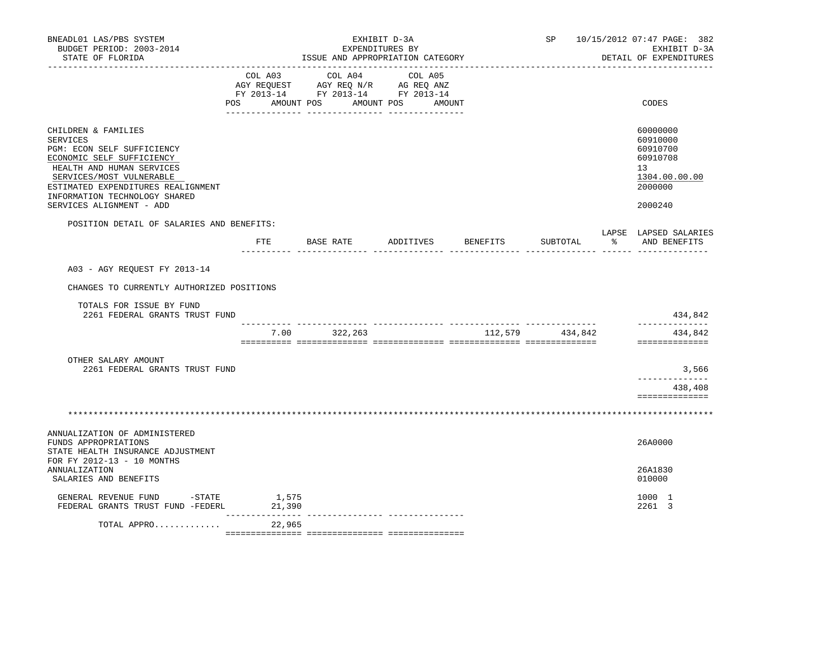| BNEADL01 LAS/PBS SYSTEM<br>BUDGET PERIOD: 2003-2014<br>STATE OF FLORIDA                                                                                                                                                                                |                            | EXHIBIT D-3A<br>EXPENDITURES BY<br>ISSUE AND APPROPRIATION CATEGORY                                               |                    | SP 10/15/2012 07:47 PAGE: 382<br>EXHIBIT D-3A<br>DETAIL OF EXPENDITURES |                                                                                                        |
|--------------------------------------------------------------------------------------------------------------------------------------------------------------------------------------------------------------------------------------------------------|----------------------------|-------------------------------------------------------------------------------------------------------------------|--------------------|-------------------------------------------------------------------------|--------------------------------------------------------------------------------------------------------|
|                                                                                                                                                                                                                                                        | COL A03<br><b>POS</b>      | COL A04<br>AGY REQUEST AGY REQ N/R AG REQ ANZ<br>FY 2013-14 FY 2013-14 FY 2013-14<br>AMOUNT POS AMOUNT POS AMOUNT | COL A05            |                                                                         | CODES                                                                                                  |
| CHILDREN & FAMILIES<br>SERVICES<br>PGM: ECON SELF SUFFICIENCY<br>ECONOMIC SELF SUFFICIENCY<br>HEALTH AND HUMAN SERVICES<br>SERVICES/MOST VULNERABLE<br>ESTIMATED EXPENDITURES REALIGNMENT<br>INFORMATION TECHNOLOGY SHARED<br>SERVICES ALIGNMENT - ADD |                            |                                                                                                                   |                    |                                                                         | 60000000<br>60910000<br>60910700<br>60910708<br>13 <sup>°</sup><br>1304.00.00.00<br>2000000<br>2000240 |
| POSITION DETAIL OF SALARIES AND BENEFITS:                                                                                                                                                                                                              | ETE                        | BASE RATE                                                                                                         | ADDITIVES BENEFITS | SUBTOTAL                                                                | LAPSE LAPSED SALARIES<br>ော ေ<br>AND BENEFITS                                                          |
| A03 - AGY REQUEST FY 2013-14<br>CHANGES TO CURRENTLY AUTHORIZED POSITIONS                                                                                                                                                                              |                            |                                                                                                                   |                    |                                                                         |                                                                                                        |
| TOTALS FOR ISSUE BY FUND<br>2261 FEDERAL GRANTS TRUST FUND                                                                                                                                                                                             |                            |                                                                                                                   |                    |                                                                         | 434,842                                                                                                |
|                                                                                                                                                                                                                                                        |                            | 7.00 322,263                                                                                                      |                    | 112,579 434,842                                                         | ______________<br>434,842<br>==============                                                            |
| OTHER SALARY AMOUNT<br>2261 FEDERAL GRANTS TRUST FUND                                                                                                                                                                                                  |                            |                                                                                                                   |                    |                                                                         | 3,566<br>. _ _ _ _ _ _ _ _ _ _ _ .                                                                     |
|                                                                                                                                                                                                                                                        |                            |                                                                                                                   |                    |                                                                         | 438,408<br>==============                                                                              |
|                                                                                                                                                                                                                                                        |                            |                                                                                                                   |                    |                                                                         |                                                                                                        |
| ANNUALIZATION OF ADMINISTERED<br>FUNDS APPROPRIATIONS<br>STATE HEALTH INSURANCE ADJUSTMENT<br>FOR FY 2012-13 - 10 MONTHS                                                                                                                               |                            |                                                                                                                   |                    |                                                                         | 26A0000                                                                                                |
| <b>ANNUALIZATION</b><br>SALARIES AND BENEFITS                                                                                                                                                                                                          |                            |                                                                                                                   |                    |                                                                         | 26A1830<br>010000                                                                                      |
| GENERAL REVENUE FUND -STATE<br>FEDERAL GRANTS TRUST FUND -FEDERL                                                                                                                                                                                       | 1,575<br>21,390            |                                                                                                                   |                    |                                                                         | 1000 1<br>2261 3                                                                                       |
| TOTAL APPRO                                                                                                                                                                                                                                            | ________________<br>22,965 |                                                                                                                   |                    |                                                                         |                                                                                                        |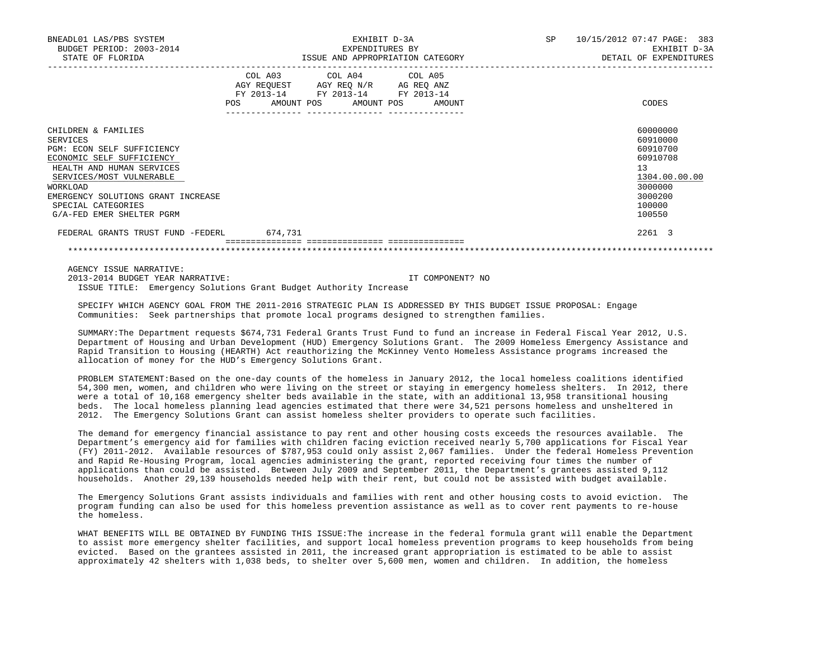| BNEADL01 LAS/PBS SYSTEM<br>BUDGET PERIOD: 2003-2014<br>STATE OF FLORIDA                                                                                                                                                                                  | EXHIBIT D-3A<br>EXPENDITURES BY<br>ISSUE AND APPROPRIATION CATEGORY                                                                            | 10/15/2012 07:47 PAGE: 383<br>SP.<br>EXHIBIT D-3A<br>DETAIL OF EXPENDITURES                                   |
|----------------------------------------------------------------------------------------------------------------------------------------------------------------------------------------------------------------------------------------------------------|------------------------------------------------------------------------------------------------------------------------------------------------|---------------------------------------------------------------------------------------------------------------|
|                                                                                                                                                                                                                                                          | COL A03<br>COL A04 COL A05<br>AGY REQUEST AGY REQ N/R AG REQ ANZ<br>FY 2013-14 FY 2013-14<br>FY 2013-14<br>POS<br>AMOUNT POS AMOUNT POS AMOUNT | CODES                                                                                                         |
| CHILDREN & FAMILIES<br>SERVICES<br>PGM: ECON SELF SUFFICIENCY<br>ECONOMIC SELF SUFFICIENCY<br>HEALTH AND HUMAN SERVICES<br>SERVICES/MOST VULNERABLE<br>WORKLOAD<br>EMERGENCY SOLUTIONS GRANT INCREASE<br>SPECIAL CATEGORIES<br>G/A-FED EMER SHELTER PGRM |                                                                                                                                                | 60000000<br>60910000<br>60910700<br>60910708<br>13<br>1304.00.00.00<br>3000000<br>3000200<br>100000<br>100550 |
| FEDERAL GRANTS TRUST FUND -FEDERL                                                                                                                                                                                                                        | 674,731                                                                                                                                        | 2261 3                                                                                                        |
|                                                                                                                                                                                                                                                          |                                                                                                                                                |                                                                                                               |

AGENCY ISSUE NARRATIVE:

 2013-2014 BUDGET YEAR NARRATIVE: IT COMPONENT? NO ISSUE TITLE: Emergency Solutions Grant Budget Authority Increase

 SPECIFY WHICH AGENCY GOAL FROM THE 2011-2016 STRATEGIC PLAN IS ADDRESSED BY THIS BUDGET ISSUE PROPOSAL: Engage Communities: Seek partnerships that promote local programs designed to strengthen families.

 SUMMARY:The Department requests \$674,731 Federal Grants Trust Fund to fund an increase in Federal Fiscal Year 2012, U.S. Department of Housing and Urban Development (HUD) Emergency Solutions Grant. The 2009 Homeless Emergency Assistance and Rapid Transition to Housing (HEARTH) Act reauthorizing the McKinney Vento Homeless Assistance programs increased the allocation of money for the HUD's Emergency Solutions Grant.

 PROBLEM STATEMENT:Based on the one-day counts of the homeless in January 2012, the local homeless coalitions identified 54,300 men, women, and children who were living on the street or staying in emergency homeless shelters. In 2012, there were a total of 10,168 emergency shelter beds available in the state, with an additional 13,958 transitional housing beds. The local homeless planning lead agencies estimated that there were 34,521 persons homeless and unsheltered in 2012. The Emergency Solutions Grant can assist homeless shelter providers to operate such facilities.

 The demand for emergency financial assistance to pay rent and other housing costs exceeds the resources available. The Department's emergency aid for families with children facing eviction received nearly 5,700 applications for Fiscal Year (FY) 2011-2012. Available resources of \$787,953 could only assist 2,067 families. Under the federal Homeless Prevention and Rapid Re-Housing Program, local agencies administering the grant, reported receiving four times the number of applications than could be assisted. Between July 2009 and September 2011, the Department's grantees assisted 9,112 households. Another 29,139 households needed help with their rent, but could not be assisted with budget available.

 The Emergency Solutions Grant assists individuals and families with rent and other housing costs to avoid eviction. The program funding can also be used for this homeless prevention assistance as well as to cover rent payments to re-house the homeless.

 WHAT BENEFITS WILL BE OBTAINED BY FUNDING THIS ISSUE:The increase in the federal formula grant will enable the Department to assist more emergency shelter facilities, and support local homeless prevention programs to keep households from being evicted. Based on the grantees assisted in 2011, the increased grant appropriation is estimated to be able to assist approximately 42 shelters with 1,038 beds, to shelter over 5,600 men, women and children. In addition, the homeless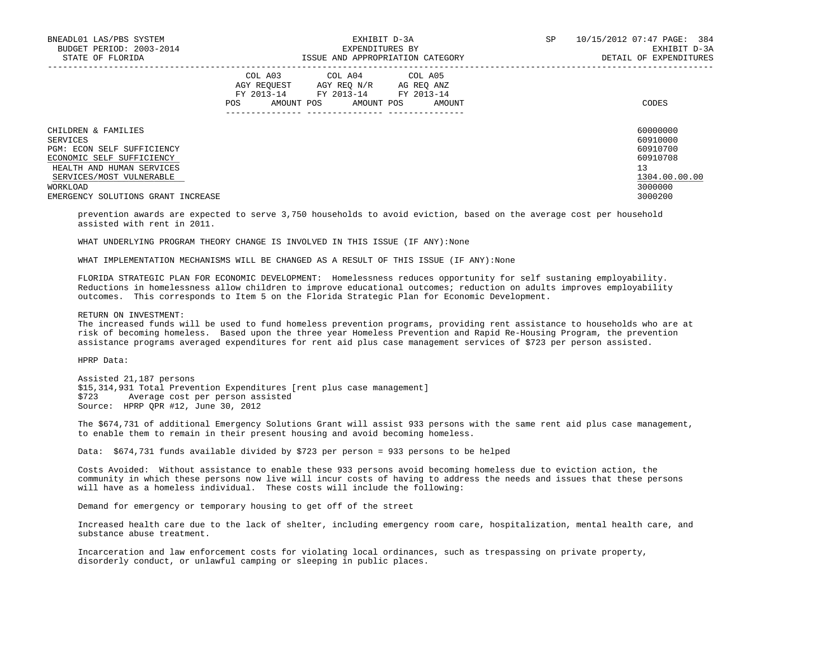| BNEADL01 LAS/PBS SYSTEM<br>BUDGET PERIOD: 2003-2014<br>STATE OF FLORIDA | EXHIBIT D-3A<br>EXPENDITURES BY<br>ISSUE AND APPROPRIATION CATEGORY                                                                         | 10/15/2012 07:47 PAGE: 384<br>SP.<br>EXHIBIT D-3A<br>DETAIL OF EXPENDITURES |
|-------------------------------------------------------------------------|---------------------------------------------------------------------------------------------------------------------------------------------|-----------------------------------------------------------------------------|
|                                                                         | COL A03 COL A04 COL A05<br>AGY REQUEST AGY REQ N/R AG REQ ANZ<br>FY 2013-14 FY 2013-14 FY 2013-14<br>AMOUNT POS AMOUNT POS<br>AMOUNT<br>POS | CODES                                                                       |
| CHILDREN & FAMILIES<br>SERVICES                                         |                                                                                                                                             | 60000000<br>60910000                                                        |
| PGM: ECON SELF SUFFICIENCY                                              |                                                                                                                                             | 60910700                                                                    |
| ECONOMIC SELF SUFFICIENCY                                               |                                                                                                                                             | 60910708                                                                    |
| HEALTH AND HUMAN SERVICES                                               |                                                                                                                                             | 13                                                                          |
| SERVICES/MOST VULNERABLE                                                |                                                                                                                                             | 1304.00.00.00                                                               |
| WORKLOAD                                                                |                                                                                                                                             | 3000000                                                                     |
| EMERGENCY SOLUTIONS GRANT INCREASE                                      |                                                                                                                                             | 3000200                                                                     |

 prevention awards are expected to serve 3,750 households to avoid eviction, based on the average cost per household assisted with rent in 2011.

WHAT UNDERLYING PROGRAM THEORY CHANGE IS INVOLVED IN THIS ISSUE (IF ANY): None

WHAT IMPLEMENTATION MECHANISMS WILL BE CHANGED AS A RESULT OF THIS ISSUE (IF ANY):None

 FLORIDA STRATEGIC PLAN FOR ECONOMIC DEVELOPMENT: Homelessness reduces opportunity for self sustaning employability. Reductions in homelessness allow children to improve educational outcomes; reduction on adults improves employability outcomes. This corresponds to Item 5 on the Florida Strategic Plan for Economic Development.

RETURN ON INVESTMENT:

 The increased funds will be used to fund homeless prevention programs, providing rent assistance to households who are at risk of becoming homeless. Based upon the three year Homeless Prevention and Rapid Re-Housing Program, the prevention assistance programs averaged expenditures for rent aid plus case management services of \$723 per person assisted.

HPRP Data:

 Assisted 21,187 persons \$15,314,931 Total Prevention Expenditures [rent plus case management] Average cost per person assisted Source: HPRP QPR #12, June 30, 2012

 The \$674,731 of additional Emergency Solutions Grant will assist 933 persons with the same rent aid plus case management, to enable them to remain in their present housing and avoid becoming homeless.

Data: \$674,731 funds available divided by \$723 per person = 933 persons to be helped

 Costs Avoided: Without assistance to enable these 933 persons avoid becoming homeless due to eviction action, the community in which these persons now live will incur costs of having to address the needs and issues that these persons will have as a homeless individual. These costs will include the following:

Demand for emergency or temporary housing to get off of the street

 Increased health care due to the lack of shelter, including emergency room care, hospitalization, mental health care, and substance abuse treatment.

 Incarceration and law enforcement costs for violating local ordinances, such as trespassing on private property, disorderly conduct, or unlawful camping or sleeping in public places.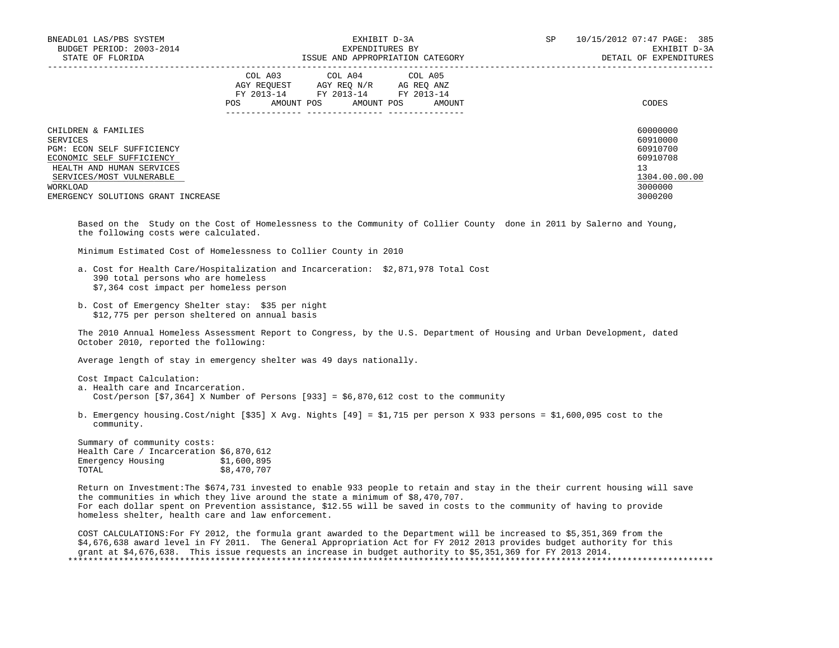| BNEADL01 LAS/PBS SYSTEM<br>BUDGET PERIOD: 2003-2014<br>STATE OF FLORIDA | EXHIBIT D-3A<br>EXPENDITURES BY<br>ISSUE AND APPROPRIATION CATEGORY                                                                                     | SP<br>10/15/2012 07:47 PAGE: 385<br>EXHIBIT D-3A<br>DETAIL OF EXPENDITURES |
|-------------------------------------------------------------------------|---------------------------------------------------------------------------------------------------------------------------------------------------------|----------------------------------------------------------------------------|
|                                                                         | COL A03<br>COL A04 COL A05<br>AGY REOUEST<br>AGY REO N/R AG REO ANZ<br>FY 2013-14<br>FY 2013-14 FY 2013-14<br>AMOUNT POS<br>AMOUNT POS<br>POS<br>AMOUNT | CODES                                                                      |
| CHILDREN & FAMILIES<br>SERVICES                                         |                                                                                                                                                         | 60000000<br>60910000                                                       |
| PGM: ECON SELF SUFFICIENCY                                              |                                                                                                                                                         | 60910700                                                                   |
| ECONOMIC SELF SUFFICIENCY                                               |                                                                                                                                                         | 60910708                                                                   |
| HEALTH AND HUMAN SERVICES                                               |                                                                                                                                                         | 13                                                                         |
| SERVICES/MOST VULNERABLE                                                |                                                                                                                                                         | 1304.00.00.00                                                              |
| WORKLOAD                                                                |                                                                                                                                                         | 3000000                                                                    |
| EMERGENCY SOLUTIONS GRANT INCREASE                                      |                                                                                                                                                         | 3000200                                                                    |

 Based on the Study on the Cost of Homelessness to the Community of Collier County done in 2011 by Salerno and Young, the following costs were calculated.

Minimum Estimated Cost of Homelessness to Collier County in 2010

- a. Cost for Health Care/Hospitalization and Incarceration: \$2,871,978 Total Cost 390 total persons who are homeless \$7,364 cost impact per homeless person
- b. Cost of Emergency Shelter stay: \$35 per night \$12,775 per person sheltered on annual basis

 The 2010 Annual Homeless Assessment Report to Congress, by the U.S. Department of Housing and Urban Development, dated October 2010, reported the following:

Average length of stay in emergency shelter was 49 days nationally.

 Cost Impact Calculation: a. Health care and Incarceration. Cost/person  $[57,364]$  X Number of Persons  $[933] = $6,870,612$  cost to the community

 b. Emergency housing.Cost/night [\$35] X Avg. Nights [49] = \$1,715 per person X 933 persons = \$1,600,095 cost to the community.

 Summary of community costs: Health Care / Incarceration \$6,870,612<br>Emergency Housing \$1,600,895 Emergency Housing<br>TOTAL \$8,470,707

 Return on Investment:The \$674,731 invested to enable 933 people to retain and stay in the their current housing will save the communities in which they live around the state a minimum of \$8,470,707. For each dollar spent on Prevention assistance, \$12.55 will be saved in costs to the community of having to provide homeless shelter, health care and law enforcement.

 COST CALCULATIONS:For FY 2012, the formula grant awarded to the Department will be increased to \$5,351,369 from the \$4,676,638 award level in FY 2011. The General Appropriation Act for FY 2012 2013 provides budget authority for this grant at \$4,676,638. This issue requests an increase in budget authority to \$5,351,369 for FY 2013 2014. \*\*\*\*\*\*\*\*\*\*\*\*\*\*\*\*\*\*\*\*\*\*\*\*\*\*\*\*\*\*\*\*\*\*\*\*\*\*\*\*\*\*\*\*\*\*\*\*\*\*\*\*\*\*\*\*\*\*\*\*\*\*\*\*\*\*\*\*\*\*\*\*\*\*\*\*\*\*\*\*\*\*\*\*\*\*\*\*\*\*\*\*\*\*\*\*\*\*\*\*\*\*\*\*\*\*\*\*\*\*\*\*\*\*\*\*\*\*\*\*\*\*\*\*\*\*\*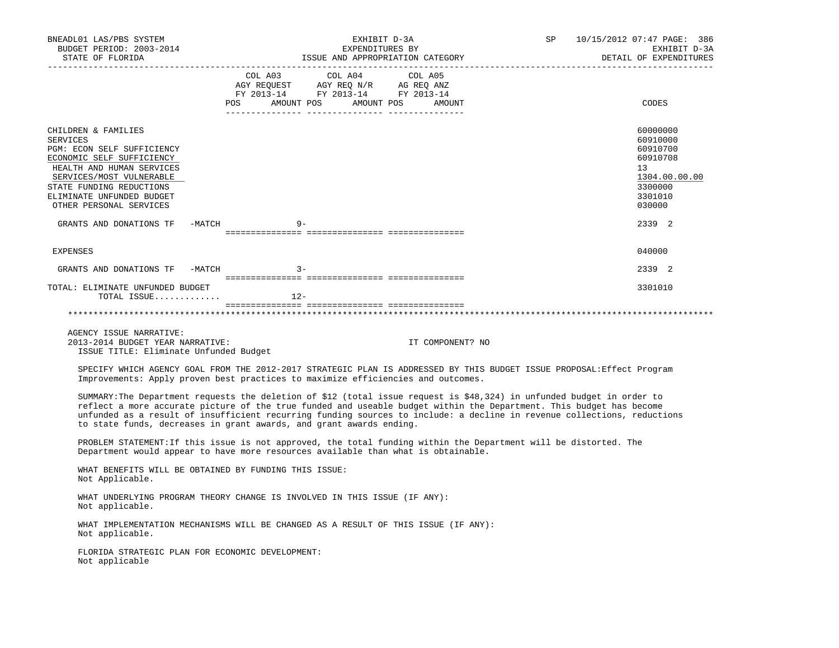| BNEADL01 LAS/PBS SYSTEM<br>BUDGET PERIOD: 2003-2014<br>STATE OF FLORIDA                                                                                                                                                                                                                                                                                                                                                                         |                                  | EXHIBIT D-3A<br>EXPENDITURES BY<br>EXPENDITURES BY<br>ISSUE AND APPROPRIATION CATEGORY                                                                     |                  | SP and the set of the set of the set of the set of the set of the set of the set of the set of the set of the set of the set of the set of the set of the set of the set of the set of the set of the set of the set of the se | 10/15/2012 07:47 PAGE: 386<br>EXHIBIT D-3A<br>DETAIL OF EXPENDITURES                                |
|-------------------------------------------------------------------------------------------------------------------------------------------------------------------------------------------------------------------------------------------------------------------------------------------------------------------------------------------------------------------------------------------------------------------------------------------------|----------------------------------|------------------------------------------------------------------------------------------------------------------------------------------------------------|------------------|--------------------------------------------------------------------------------------------------------------------------------------------------------------------------------------------------------------------------------|-----------------------------------------------------------------------------------------------------|
|                                                                                                                                                                                                                                                                                                                                                                                                                                                 | POS AMOUNT POS AMOUNT POS AMOUNT | $\begin{tabular}{lcccc} COL A03 & COL A04 & COL A05 \\ AGY REQUEST & AGY REQ N/R & AG REQ ANZ \\ FY & 2013-14 & FY & 2013-14 & FY & 2013-14 \end{tabular}$ |                  |                                                                                                                                                                                                                                | CODES                                                                                               |
| CHILDREN & FAMILIES<br><b>SERVICES</b><br>PGM: ECON SELF SUFFICIENCY<br>ECONOMIC SELF SUFFICIENCY<br>HEALTH AND HUMAN SERVICES<br>SERVICES/MOST VULNERABLE<br>STATE FUNDING REDUCTIONS<br>ELIMINATE UNFUNDED BUDGET<br>OTHER PERSONAL SERVICES                                                                                                                                                                                                  |                                  |                                                                                                                                                            |                  |                                                                                                                                                                                                                                | 60000000<br>60910000<br>60910700<br>60910708<br>13<br>1304.00.00.00<br>3300000<br>3301010<br>030000 |
| GRANTS AND DONATIONS TF -MATCH                                                                                                                                                                                                                                                                                                                                                                                                                  | $9 -$                            |                                                                                                                                                            |                  |                                                                                                                                                                                                                                | 2339 2                                                                                              |
| <b>EXPENSES</b>                                                                                                                                                                                                                                                                                                                                                                                                                                 |                                  |                                                                                                                                                            |                  |                                                                                                                                                                                                                                | 040000                                                                                              |
| GRANTS AND DONATIONS TF -MATCH                                                                                                                                                                                                                                                                                                                                                                                                                  | $3 -$                            |                                                                                                                                                            |                  |                                                                                                                                                                                                                                | 2339 2                                                                                              |
| TOTAL: ELIMINATE UNFUNDED BUDGET<br>TOTAL ISSUE                                                                                                                                                                                                                                                                                                                                                                                                 | $12-$                            |                                                                                                                                                            |                  |                                                                                                                                                                                                                                | 3301010                                                                                             |
| AGENCY ISSUE NARRATIVE:<br>2013-2014 BUDGET YEAR NARRATIVE:<br>ISSUE TITLE: Eliminate Unfunded Budget                                                                                                                                                                                                                                                                                                                                           |                                  |                                                                                                                                                            | IT COMPONENT? NO |                                                                                                                                                                                                                                |                                                                                                     |
| SPECIFY WHICH AGENCY GOAL FROM THE 2012-2017 STRATEGIC PLAN IS ADDRESSED BY THIS BUDGET ISSUE PROPOSAL: Effect Program<br>Improvements: Apply proven best practices to maximize efficiencies and outcomes.                                                                                                                                                                                                                                      |                                  |                                                                                                                                                            |                  |                                                                                                                                                                                                                                |                                                                                                     |
| SUMMARY: The Department requests the deletion of \$12 (total issue request is \$48,324) in unfunded budget in order to<br>reflect a more accurate picture of the true funded and useable budget within the Department. This budget has become<br>unfunded as a result of insufficient recurring funding sources to include: a decline in revenue collections, reductions<br>to state funds, decreases in grant awards, and grant awards ending. |                                  |                                                                                                                                                            |                  |                                                                                                                                                                                                                                |                                                                                                     |
| PROBLEM STATEMENT: If this issue is not approved, the total funding within the Department will be distorted. The<br>Department would appear to have more resources available than what is obtainable.                                                                                                                                                                                                                                           |                                  |                                                                                                                                                            |                  |                                                                                                                                                                                                                                |                                                                                                     |
| WHAT BENEFITS WILL BE OBTAINED BY FUNDING THIS ISSUE:<br>Not Applicable.                                                                                                                                                                                                                                                                                                                                                                        |                                  |                                                                                                                                                            |                  |                                                                                                                                                                                                                                |                                                                                                     |
| WHAT UNDERLYING PROGRAM THEORY CHANGE IS INVOLVED IN THIS ISSUE (IF ANY):<br>Not applicable.                                                                                                                                                                                                                                                                                                                                                    |                                  |                                                                                                                                                            |                  |                                                                                                                                                                                                                                |                                                                                                     |
| WHAT IMPLEMENTATION MECHANISMS WILL BE CHANGED AS A RESULT OF THIS ISSUE (IF ANY):<br>Not applicable.                                                                                                                                                                                                                                                                                                                                           |                                  |                                                                                                                                                            |                  |                                                                                                                                                                                                                                |                                                                                                     |
| FLORIDA STRATEGIC PLAN FOR ECONOMIC DEVELOPMENT:<br>Not applicable                                                                                                                                                                                                                                                                                                                                                                              |                                  |                                                                                                                                                            |                  |                                                                                                                                                                                                                                |                                                                                                     |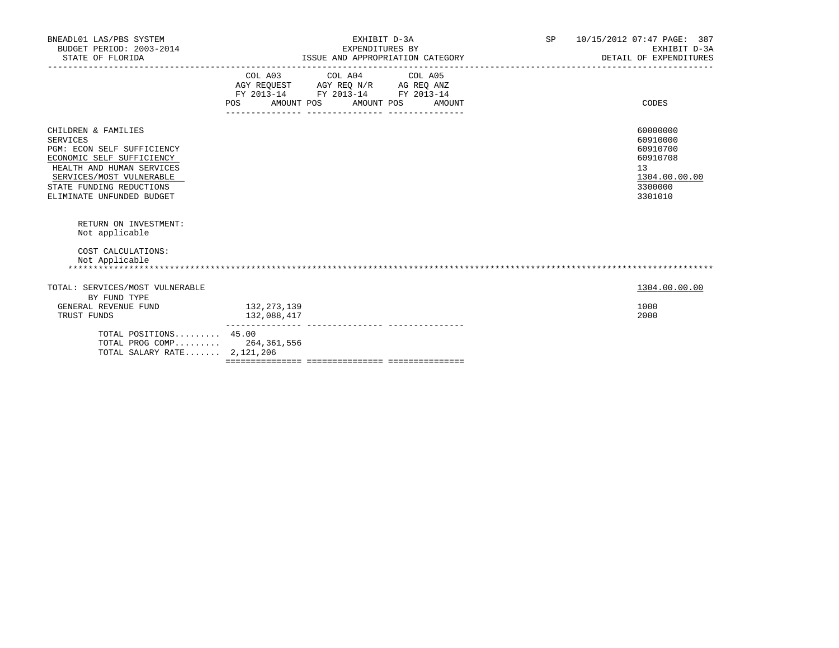|                                                                                       |  |                                                                                                                                                                   |                                            | 10/15/2012 07:47 PAGE: 387<br>EXHIBIT D-3A<br>DETAIL OF EXPENDITURES                      |
|---------------------------------------------------------------------------------------|--|-------------------------------------------------------------------------------------------------------------------------------------------------------------------|--------------------------------------------|-------------------------------------------------------------------------------------------|
|                                                                                       |  |                                                                                                                                                                   |                                            | CODES                                                                                     |
|                                                                                       |  |                                                                                                                                                                   |                                            | 60000000<br>60910000<br>60910700<br>60910708<br>13<br>1304.00.00.00<br>3300000<br>3301010 |
|                                                                                       |  |                                                                                                                                                                   |                                            |                                                                                           |
|                                                                                       |  |                                                                                                                                                                   |                                            | 1304.00.00.00                                                                             |
| 132,273,139<br>132,088,417                                                            |  |                                                                                                                                                                   |                                            | 1000<br>2000                                                                              |
| TOTAL POSITIONS 45.00<br>TOTAL PROG COMP 264,361,556<br>TOTAL SALARY RATE $2.121.206$ |  |                                                                                                                                                                   |                                            |                                                                                           |
|                                                                                       |  | EXHIBIT D-3A<br>EXPENDITURES BY<br>COL A03 COL A04 COL A05<br>AGY REQUEST AGY REQ N/R AG REQ ANZ<br>FY 2013-14 FY 2013-14 FY 2013-14<br>POS AMOUNT POS AMOUNT POS | ISSUE AND APPROPRIATION CATEGORY<br>AMOUNT | SP                                                                                        |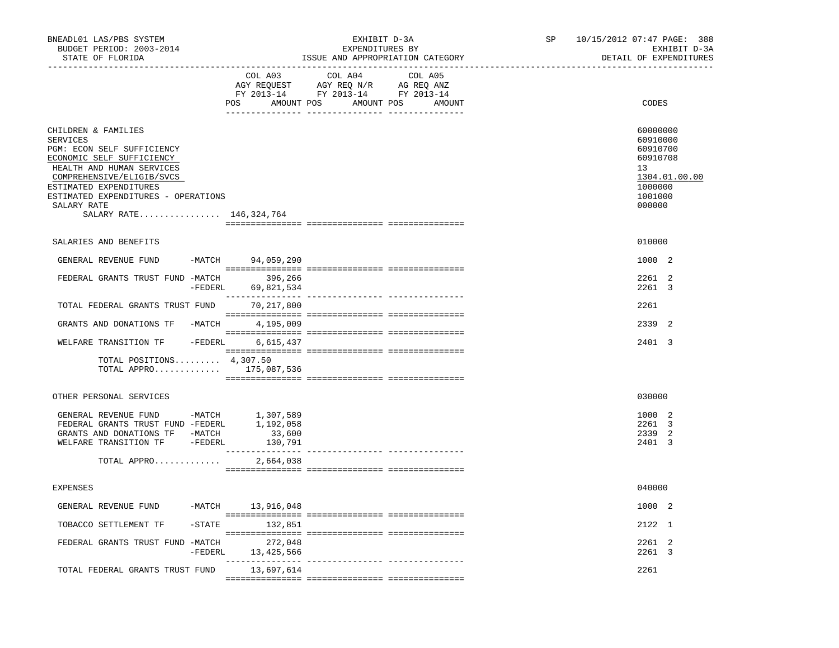| BNEADL01 LAS/PBS SYSTEM<br>BUDGET PERIOD: 2003-2014<br>STATE OF FLORIDA                                                                                                                                                                                         |                                    | EXHIBIT D-3A<br>EXPENDITURES BY<br>ISSUE AND APPROPRIATION CATEGORY                                                                       | SP | 10/15/2012 07:47 PAGE: 388<br>EXHIBIT D-3A<br>DETAIL OF EXPENDITURES                                |
|-----------------------------------------------------------------------------------------------------------------------------------------------------------------------------------------------------------------------------------------------------------------|------------------------------------|-------------------------------------------------------------------------------------------------------------------------------------------|----|-----------------------------------------------------------------------------------------------------|
|                                                                                                                                                                                                                                                                 | COL A03<br>AMOUNT POS<br>POS       | COL A04<br>COL A05<br>AGY REQUEST AGY REQ N/R AG REQ ANZ<br>FY 2013-14 FY 2013-14 FY 2013-14<br>AMOUNT POS<br>AMOUNT<br>__ ______________ |    | CODES                                                                                               |
| CHILDREN & FAMILIES<br>SERVICES<br>PGM: ECON SELF SUFFICIENCY<br>ECONOMIC SELF SUFFICIENCY<br>HEALTH AND HUMAN SERVICES<br>COMPREHENSIVE/ELIGIB/SVCS<br>ESTIMATED EXPENDITURES<br>ESTIMATED EXPENDITURES - OPERATIONS<br>SALARY RATE<br>SALARY RATE 146,324,764 |                                    |                                                                                                                                           |    | 60000000<br>60910000<br>60910700<br>60910708<br>13<br>1304.01.00.00<br>1000000<br>1001000<br>000000 |
| SALARIES AND BENEFITS                                                                                                                                                                                                                                           |                                    |                                                                                                                                           |    | 010000                                                                                              |
| GENERAL REVENUE FUND                                                                                                                                                                                                                                            | -MATCH 94,059,290                  |                                                                                                                                           |    | 1000 2                                                                                              |
| FEDERAL GRANTS TRUST FUND -MATCH                                                                                                                                                                                                                                | 396,266<br>$-FEDERL$<br>69,821,534 |                                                                                                                                           |    | 2261 2<br>2261 3                                                                                    |
| TOTAL FEDERAL GRANTS TRUST FUND                                                                                                                                                                                                                                 | ________________<br>70,217,800     |                                                                                                                                           |    | 2261                                                                                                |
| GRANTS AND DONATIONS TF -MATCH                                                                                                                                                                                                                                  | 4,195,009                          |                                                                                                                                           |    | 2339 2                                                                                              |
| WELFARE TRANSITION TF - FEDERL                                                                                                                                                                                                                                  | 6,615,437                          |                                                                                                                                           |    | 2401 3                                                                                              |
| TOTAL POSITIONS $4,307.50$                                                                                                                                                                                                                                      | TOTAL APPRO 175,087,536            |                                                                                                                                           |    |                                                                                                     |
| OTHER PERSONAL SERVICES                                                                                                                                                                                                                                         |                                    |                                                                                                                                           |    | 030000                                                                                              |
| GENERAL REVENUE FUND -MATCH 1,307,589<br>FEDERAL GRANTS TRUST FUND -FEDERL 1,192,058<br>GRANTS AND DONATIONS TF -MATCH<br>WELFARE TRANSITION TF - FEDERL                                                                                                        | 33,600<br>130,791                  |                                                                                                                                           |    | 1000 2<br>2261 3<br>2339 2<br>2401 3                                                                |
| TOTAL APPRO                                                                                                                                                                                                                                                     | 2,664,038                          |                                                                                                                                           |    |                                                                                                     |
| <b>EXPENSES</b>                                                                                                                                                                                                                                                 |                                    |                                                                                                                                           |    | 040000                                                                                              |
| GENERAL REVENUE FUND                                                                                                                                                                                                                                            | -MATCH 13,916,048                  |                                                                                                                                           |    | 1000 2                                                                                              |
| TOBACCO SETTLEMENT TF                                                                                                                                                                                                                                           | $-$ STATE<br>132,851               |                                                                                                                                           |    | 2122 1                                                                                              |
| FEDERAL GRANTS TRUST FUND -MATCH                                                                                                                                                                                                                                | 272,048<br>$-FEDERL$<br>13,425,566 |                                                                                                                                           |    | 2261 2<br>2261 3                                                                                    |
| TOTAL FEDERAL GRANTS TRUST FUND                                                                                                                                                                                                                                 | 13,697,614                         |                                                                                                                                           |    | 2261                                                                                                |
|                                                                                                                                                                                                                                                                 |                                    |                                                                                                                                           |    |                                                                                                     |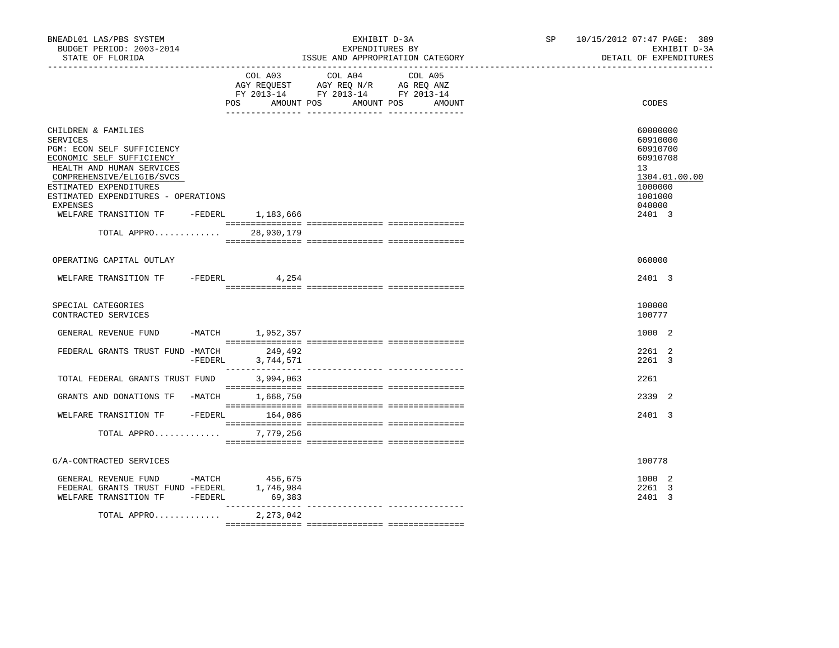| BNEADL01 LAS/PBS SYSTEM<br>BUDGET PERIOD: 2003-2014<br>STATE OF FLORIDA                                                                                                                                                                                                            |           |                                | EXPENDITURES BY                                                                                 | EXHIBIT D-3A<br>ISSUE AND APPROPRIATION CATEGORY | SP <sub>2</sub> | 10/15/2012 07:47 PAGE: 389<br>EXHIBIT D-3A<br>DETAIL OF EXPENDITURES                                          |
|------------------------------------------------------------------------------------------------------------------------------------------------------------------------------------------------------------------------------------------------------------------------------------|-----------|--------------------------------|-------------------------------------------------------------------------------------------------|--------------------------------------------------|-----------------|---------------------------------------------------------------------------------------------------------------|
|                                                                                                                                                                                                                                                                                    |           | COL A03<br>POS<br>AMOUNT POS   | COL A04<br>AGY REQUEST AGY REQ N/R AG REQ ANZ<br>FY 2013-14 FY 2013-14 FY 2013-14<br>AMOUNT POS | COL A05<br>AMOUNT                                |                 | CODES                                                                                                         |
| CHILDREN & FAMILIES<br>SERVICES<br>PGM: ECON SELF SUFFICIENCY<br>ECONOMIC SELF SUFFICIENCY<br>HEALTH AND HUMAN SERVICES<br>COMPREHENSIVE/ELIGIB/SVCS<br>ESTIMATED EXPENDITURES<br>ESTIMATED EXPENDITURES - OPERATIONS<br>EXPENSES<br>WELFARE TRANSITION TF - FEDERL<br>TOTAL APPRO |           | 1,183,666<br>28,930,179        |                                                                                                 |                                                  |                 | 60000000<br>60910000<br>60910700<br>60910708<br>13<br>1304.01.00.00<br>1000000<br>1001000<br>040000<br>2401 3 |
|                                                                                                                                                                                                                                                                                    |           |                                |                                                                                                 |                                                  |                 |                                                                                                               |
| OPERATING CAPITAL OUTLAY                                                                                                                                                                                                                                                           |           |                                |                                                                                                 |                                                  |                 | 060000                                                                                                        |
| WELFARE TRANSITION TF -FEDERL                                                                                                                                                                                                                                                      |           | 4,254                          |                                                                                                 |                                                  |                 | 2401 3                                                                                                        |
| SPECIAL CATEGORIES<br>CONTRACTED SERVICES                                                                                                                                                                                                                                          |           |                                |                                                                                                 |                                                  |                 | 100000<br>100777                                                                                              |
| GENERAL REVENUE FUND                                                                                                                                                                                                                                                               |           | -MATCH 1,952,357               |                                                                                                 |                                                  |                 | 1000 2                                                                                                        |
| FEDERAL GRANTS TRUST FUND -MATCH                                                                                                                                                                                                                                                   | -FEDERL   | 249,492<br>3,744,571           |                                                                                                 |                                                  |                 | 2261 2<br>$2261 \quad 3$                                                                                      |
| TOTAL FEDERAL GRANTS TRUST FUND                                                                                                                                                                                                                                                    |           | 3,994,063                      |                                                                                                 |                                                  |                 | 2261                                                                                                          |
| GRANTS AND DONATIONS TF -MATCH                                                                                                                                                                                                                                                     |           | 1,668,750                      |                                                                                                 |                                                  |                 | 2339 2                                                                                                        |
| WELFARE TRANSITION TF                                                                                                                                                                                                                                                              | $-FEDERL$ | 164,086                        |                                                                                                 |                                                  |                 | 2401 3                                                                                                        |
| TOTAL APPRO                                                                                                                                                                                                                                                                        |           | 7,779,256                      |                                                                                                 |                                                  |                 |                                                                                                               |
| G/A-CONTRACTED SERVICES                                                                                                                                                                                                                                                            |           |                                |                                                                                                 |                                                  |                 | 100778                                                                                                        |
| GENERAL REVENUE FUND -MATCH<br>FEDERAL GRANTS TRUST FUND -FEDERL<br>WELFARE TRANSITION TF -FEDERL                                                                                                                                                                                  |           | 456,675<br>1,746,984<br>69,383 |                                                                                                 |                                                  |                 | 1000 2<br>2261 3<br>2401 3                                                                                    |
| TOTAL APPRO                                                                                                                                                                                                                                                                        |           | 2,273,042                      |                                                                                                 |                                                  |                 |                                                                                                               |
|                                                                                                                                                                                                                                                                                    |           |                                |                                                                                                 |                                                  |                 |                                                                                                               |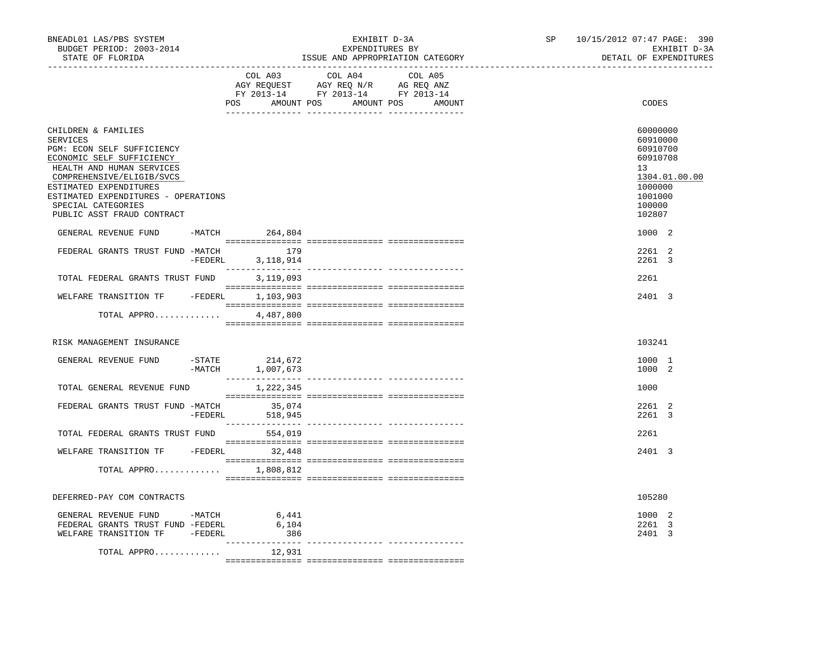| BNEADL01 LAS/PBS SYSTEM<br>BUDGET PERIOD: 2003-2014<br>STATE OF FLORIDA                                                                                                                                                                                                   |           |                                    | EXHIBIT D-3A<br>EXPENDITURES BY<br>ISSUE AND APPROPRIATION CATEGORY                                                                                                                                             | SP      | 10/15/2012 07:47 PAGE: 390<br>EXHIBIT D-3A<br>DETAIL OF EXPENDITURES |                                                                                                               |
|---------------------------------------------------------------------------------------------------------------------------------------------------------------------------------------------------------------------------------------------------------------------------|-----------|------------------------------------|-----------------------------------------------------------------------------------------------------------------------------------------------------------------------------------------------------------------|---------|----------------------------------------------------------------------|---------------------------------------------------------------------------------------------------------------|
|                                                                                                                                                                                                                                                                           |           | COL A03                            | COL A04<br>$\begin{tabular}{lllllllll} \bf AGY & \bf REQUEST & \bf AGY & \bf REQ & \bf N/R & \bf AG & \bf REQ & \bf ANZ \\ \bf FY & \tt 2013-14 & \bf FY & \tt 2013-14 & \bf FY & \tt 2013-14 \\ \end{tabular}$ | COL A05 |                                                                      |                                                                                                               |
|                                                                                                                                                                                                                                                                           |           | POS AMOUNT POS AMOUNT POS          |                                                                                                                                                                                                                 | AMOUNT  |                                                                      | CODES                                                                                                         |
| CHILDREN & FAMILIES<br>SERVICES<br>PGM: ECON SELF SUFFICIENCY<br>ECONOMIC SELF SUFFICIENCY<br>HEALTH AND HUMAN SERVICES<br>COMPREHENSIVE/ELIGIB/SVCS<br>ESTIMATED EXPENDITURES<br>ESTIMATED EXPENDITURES - OPERATIONS<br>SPECIAL CATEGORIES<br>PUBLIC ASST FRAUD CONTRACT |           |                                    |                                                                                                                                                                                                                 |         |                                                                      | 60000000<br>60910000<br>60910700<br>60910708<br>13<br>1304.01.00.00<br>1000000<br>1001000<br>100000<br>102807 |
| GENERAL REVENUE FUND                                                                                                                                                                                                                                                      |           | $-MATCH$ 264,804                   |                                                                                                                                                                                                                 |         |                                                                      | 1000 2                                                                                                        |
| FEDERAL GRANTS TRUST FUND -MATCH 179                                                                                                                                                                                                                                      | $-FEDERL$ | 3,118,914                          |                                                                                                                                                                                                                 |         |                                                                      | 2261 2<br>2261 3                                                                                              |
| TOTAL FEDERAL GRANTS TRUST FUND                                                                                                                                                                                                                                           |           | 3,119,093                          |                                                                                                                                                                                                                 |         |                                                                      | 2261                                                                                                          |
| WELFARE TRANSITION TF - FEDERL 1,103,903                                                                                                                                                                                                                                  |           |                                    |                                                                                                                                                                                                                 |         |                                                                      | 2401 3                                                                                                        |
| TOTAL APPRO                                                                                                                                                                                                                                                               |           | 4,487,800                          |                                                                                                                                                                                                                 |         |                                                                      |                                                                                                               |
| RISK MANAGEMENT INSURANCE                                                                                                                                                                                                                                                 |           |                                    |                                                                                                                                                                                                                 |         |                                                                      | 103241                                                                                                        |
| GENERAL REVENUE FUND                                                                                                                                                                                                                                                      |           | -STATE 214,672<br>-MATCH 1,007,673 |                                                                                                                                                                                                                 |         |                                                                      | 1000 1<br>1000 2                                                                                              |
| TOTAL GENERAL REVENUE FUND                                                                                                                                                                                                                                                |           | 1,222,345                          |                                                                                                                                                                                                                 |         |                                                                      | 1000                                                                                                          |
| FEDERAL GRANTS TRUST FUND -MATCH 35,074                                                                                                                                                                                                                                   |           | -FEDERL 518,945                    |                                                                                                                                                                                                                 |         |                                                                      | 2261 2<br>2261 3                                                                                              |
| TOTAL FEDERAL GRANTS TRUST FUND                                                                                                                                                                                                                                           |           | 554,019                            |                                                                                                                                                                                                                 |         |                                                                      | 2261                                                                                                          |
| WELFARE TRANSITION TF - FEDERL 32,448                                                                                                                                                                                                                                     |           |                                    |                                                                                                                                                                                                                 |         |                                                                      | 2401 3                                                                                                        |
| TOTAL APPRO $1,808,812$                                                                                                                                                                                                                                                   |           |                                    |                                                                                                                                                                                                                 |         |                                                                      |                                                                                                               |
| DEFERRED-PAY COM CONTRACTS                                                                                                                                                                                                                                                |           |                                    |                                                                                                                                                                                                                 |         |                                                                      | 105280                                                                                                        |
| GENERAL REVENUE FUND -MATCH<br>FEDERAL GRANTS TRUST FUND -FEDERL<br>WELFARE TRANSITION TF -FEDERL                                                                                                                                                                         |           | 6,441<br>6,104<br>386              |                                                                                                                                                                                                                 |         |                                                                      | 1000 2<br>2261 3<br>2401 3                                                                                    |
| TOTAL APPRO                                                                                                                                                                                                                                                               |           | 12,931                             |                                                                                                                                                                                                                 |         |                                                                      |                                                                                                               |
|                                                                                                                                                                                                                                                                           |           |                                    |                                                                                                                                                                                                                 |         |                                                                      |                                                                                                               |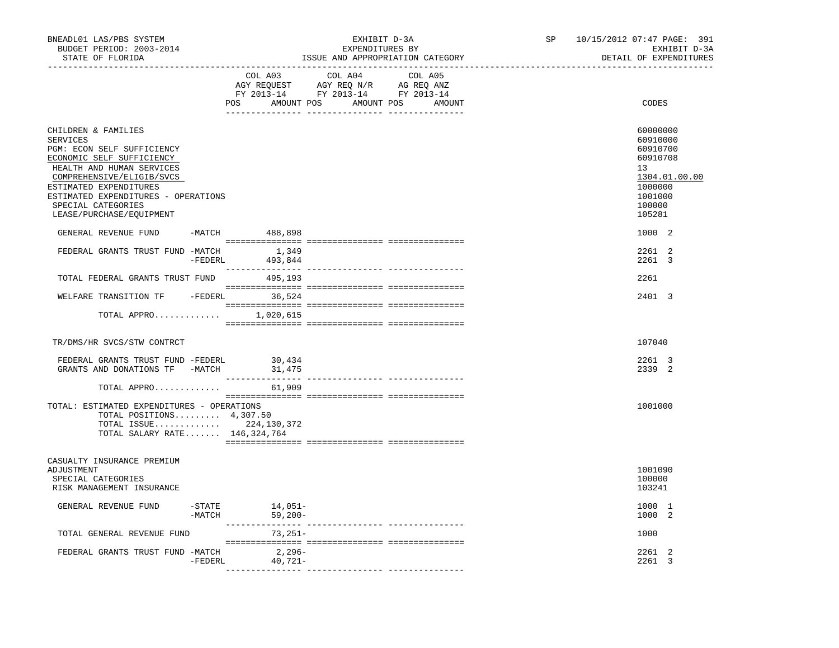| BUDGET PERIOD: 2003-2014<br>STATE OF FLORIDA                                                                                                                                                                                                                                   |           |                                      | EXPENDITURES BY<br>ISSUE AND APPROPRIATION CATEGORY                               | EXHIBIT D-3A                    | SP | 10/15/2012 07:47 PAGE: 391<br>EXHIBIT D-3A<br>DETAIL OF EXPENDITURES                                          |
|--------------------------------------------------------------------------------------------------------------------------------------------------------------------------------------------------------------------------------------------------------------------------------|-----------|--------------------------------------|-----------------------------------------------------------------------------------|---------------------------------|----|---------------------------------------------------------------------------------------------------------------|
|                                                                                                                                                                                                                                                                                |           | COL A03<br>POS AMOUNT POS AMOUNT POS | COL A04<br>AGY REQUEST AGY REQ N/R AG REQ ANZ<br>FY 2013-14 FY 2013-14 FY 2013-14 | COL A05<br>AMOUNT               |    | CODES                                                                                                         |
| CHILDREN & FAMILIES<br><b>SERVICES</b><br>PGM: ECON SELF SUFFICIENCY<br>ECONOMIC SELF SUFFICIENCY<br>HEALTH AND HUMAN SERVICES<br>COMPREHENSIVE/ELIGIB/SVCS<br>ESTIMATED EXPENDITURES<br>ESTIMATED EXPENDITURES - OPERATIONS<br>SPECIAL CATEGORIES<br>LEASE/PURCHASE/EQUIPMENT |           |                                      |                                                                                   |                                 |    | 60000000<br>60910000<br>60910700<br>60910708<br>13<br>1304.01.00.00<br>1000000<br>1001000<br>100000<br>105281 |
| GENERAL REVENUE FUND                                                                                                                                                                                                                                                           |           | -MATCH 488,898                       |                                                                                   |                                 |    | 1000 2                                                                                                        |
| FEDERAL GRANTS TRUST FUND -MATCH 1,349                                                                                                                                                                                                                                         | $-FEDERL$ | 493,844                              |                                                                                   |                                 |    | 2261 2<br>2261 3                                                                                              |
| TOTAL FEDERAL GRANTS TRUST FUND                                                                                                                                                                                                                                                |           | 495,193                              |                                                                                   |                                 |    | 2261                                                                                                          |
| WELFARE TRANSITION TF - FEDERL 36,524                                                                                                                                                                                                                                          |           |                                      |                                                                                   |                                 |    | 2401 3                                                                                                        |
| TOTAL APPRO $1,020,615$                                                                                                                                                                                                                                                        |           |                                      |                                                                                   |                                 |    |                                                                                                               |
| TR/DMS/HR SVCS/STW CONTRCT                                                                                                                                                                                                                                                     |           |                                      |                                                                                   |                                 |    | 107040                                                                                                        |
| FEDERAL GRANTS TRUST FUND -FEDERL<br>GRANTS AND DONATIONS TF -MATCH                                                                                                                                                                                                            |           | 30,434<br>31,475                     |                                                                                   |                                 |    | 2261 3<br>2339 2                                                                                              |
| TOTAL APPRO                                                                                                                                                                                                                                                                    |           | 61,909                               |                                                                                   |                                 |    |                                                                                                               |
| TOTAL: ESTIMATED EXPENDITURES - OPERATIONS<br>TOTAL POSITIONS $4,307.50$<br>TOTAL ISSUE 224, 130, 372<br>TOTAL SALARY RATE 146,324,764                                                                                                                                         |           |                                      |                                                                                   |                                 |    | 1001000                                                                                                       |
| CASUALTY INSURANCE PREMIUM<br>ADJUSTMENT<br>SPECIAL CATEGORIES<br>RISK MANAGEMENT INSURANCE                                                                                                                                                                                    |           |                                      |                                                                                   |                                 |    | 1001090<br>100000<br>103241                                                                                   |
| GENERAL REVENUE FUND                                                                                                                                                                                                                                                           | $-MATCH$  | $-$ STATE $14,051-$<br>$59,200-$     |                                                                                   |                                 |    | 1000 1<br>1000 2                                                                                              |
| TOTAL GENERAL REVENUE FUND                                                                                                                                                                                                                                                     |           | _________________<br>$73,251-$       |                                                                                   | ______________ ________________ |    | 1000                                                                                                          |
| FEDERAL GRANTS TRUST FUND -MATCH                                                                                                                                                                                                                                               | -FEDERL   | $2,296-$<br>$40,721-$                |                                                                                   |                                 |    | 2261<br>2<br>2261 3                                                                                           |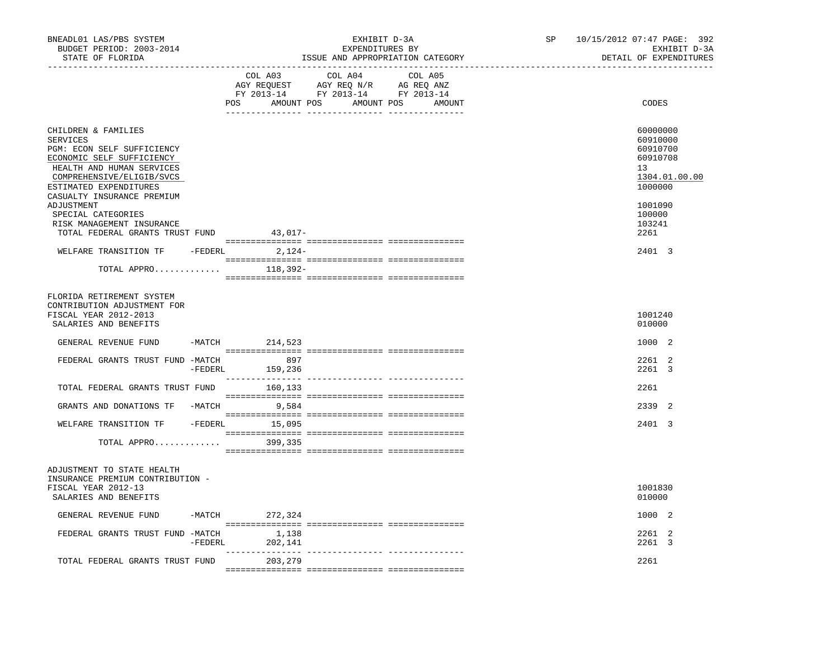| BNEADL01 LAS/PBS SYSTEM<br>BUDGET PERIOD: 2003-2014<br>STATE OF FLORIDA                                                                                                                                                                                                              |          | _________________________________ | EXHIBIT D-3A<br>EXPENDITURES BY<br>ISSUE AND APPROPRIATION CATEGORY                                                              | 10/15/2012 07:47 PAGE: 392<br>SP<br>EXHIBIT D-3A<br>DETAIL OF EXPENDITURES                                    |
|--------------------------------------------------------------------------------------------------------------------------------------------------------------------------------------------------------------------------------------------------------------------------------------|----------|-----------------------------------|----------------------------------------------------------------------------------------------------------------------------------|---------------------------------------------------------------------------------------------------------------|
|                                                                                                                                                                                                                                                                                      |          | COL A03                           | COL A04<br>COL A05<br>AGY REQUEST AGY REQ N/R AG REQ ANZ<br>FY 2013-14 FY 2013-14 FY 2013-14<br>POS AMOUNT POS AMOUNT POS AMOUNT | CODES                                                                                                         |
| CHILDREN & FAMILIES<br><b>SERVICES</b><br>PGM: ECON SELF SUFFICIENCY<br>ECONOMIC SELF SUFFICIENCY<br>HEALTH AND HUMAN SERVICES<br>COMPREHENSIVE/ELIGIB/SVCS<br>ESTIMATED EXPENDITURES<br>CASUALTY INSURANCE PREMIUM<br>ADJUSTMENT<br>SPECIAL CATEGORIES<br>RISK MANAGEMENT INSURANCE |          |                                   |                                                                                                                                  | 60000000<br>60910000<br>60910700<br>60910708<br>13<br>1304.01.00.00<br>1000000<br>1001090<br>100000<br>103241 |
| TOTAL FEDERAL GRANTS TRUST FUND 43,017-<br>WELFARE TRANSITION TF -FEDERL                                                                                                                                                                                                             |          | 2,124-                            |                                                                                                                                  | 2261<br>2401 3                                                                                                |
| TOTAL APPRO                                                                                                                                                                                                                                                                          |          | 118,392-                          |                                                                                                                                  |                                                                                                               |
| FLORIDA RETIREMENT SYSTEM<br>CONTRIBUTION ADJUSTMENT FOR<br>FISCAL YEAR 2012-2013<br>SALARIES AND BENEFITS                                                                                                                                                                           |          |                                   |                                                                                                                                  | 1001240<br>010000                                                                                             |
| GENERAL REVENUE FUND                                                                                                                                                                                                                                                                 |          | -MATCH 214,523                    |                                                                                                                                  | 1000 2                                                                                                        |
| FEDERAL GRANTS TRUST FUND -MATCH 897                                                                                                                                                                                                                                                 | -FEDERL  | 159,236                           |                                                                                                                                  | 2261 2<br>2261 3                                                                                              |
| TOTAL FEDERAL GRANTS TRUST FUND                                                                                                                                                                                                                                                      |          | 160,133                           |                                                                                                                                  | 2261                                                                                                          |
| GRANTS AND DONATIONS TF -MATCH                                                                                                                                                                                                                                                       |          | 9,584                             |                                                                                                                                  | 2339 2                                                                                                        |
| WELFARE TRANSITION TF - FEDERL 15,095                                                                                                                                                                                                                                                |          |                                   |                                                                                                                                  | 2401 3                                                                                                        |
| TOTAL APPRO                                                                                                                                                                                                                                                                          |          | 399,335                           |                                                                                                                                  |                                                                                                               |
| ADJUSTMENT TO STATE HEALTH<br>INSURANCE PREMIUM CONTRIBUTION -<br>FISCAL YEAR 2012-13<br>SALARIES AND BENEFITS                                                                                                                                                                       |          |                                   |                                                                                                                                  | 1001830<br>010000                                                                                             |
| GENERAL REVENUE FUND                                                                                                                                                                                                                                                                 | $-MATCH$ | 272,324                           |                                                                                                                                  | 1000 2                                                                                                        |
| FEDERAL GRANTS TRUST FUND -MATCH                                                                                                                                                                                                                                                     | -FEDERL  | 1,138<br>202,141                  |                                                                                                                                  | 2261 2<br>2261 3                                                                                              |
| TOTAL FEDERAL GRANTS TRUST FUND                                                                                                                                                                                                                                                      |          | 203,279                           |                                                                                                                                  | 2261                                                                                                          |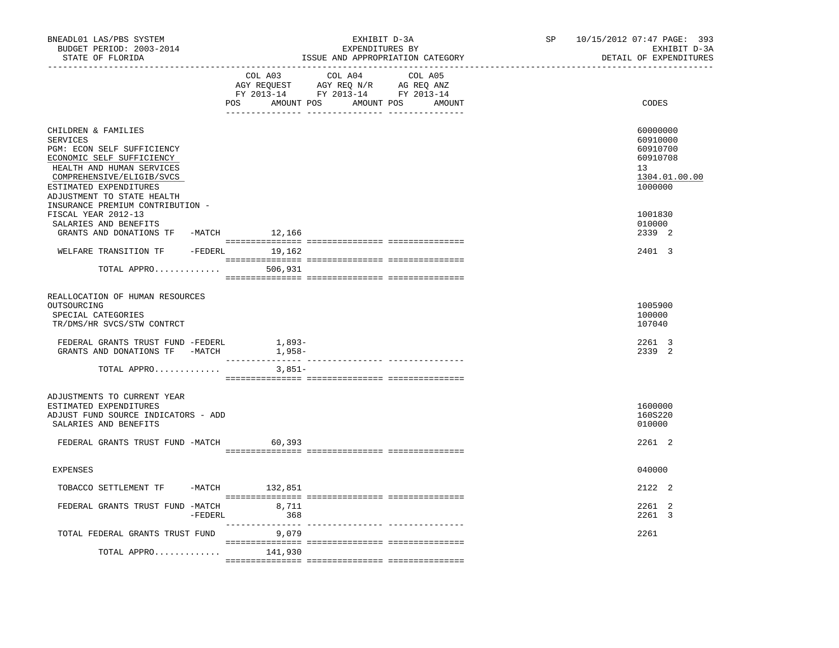| BNEADL01 LAS/PBS SYSTEM<br>BUDGET PERIOD: 2003-2014<br>STATE OF FLORIDA<br>_________________                                                                                                                 |         |                                                                                                                                                                                                                                                                                          | EXHIBIT D-3A<br>EXPENDITURES BY<br>ISSUE AND APPROPRIATION CATEGORY |  | SP    | 10/15/2012 07:47 PAGE: 393<br>EXHIBIT D-3A<br>DETAIL OF EXPENDITURES           |
|--------------------------------------------------------------------------------------------------------------------------------------------------------------------------------------------------------------|---------|------------------------------------------------------------------------------------------------------------------------------------------------------------------------------------------------------------------------------------------------------------------------------------------|---------------------------------------------------------------------|--|-------|--------------------------------------------------------------------------------|
|                                                                                                                                                                                                              | COL A03 | COL A04<br>$\begin{tabular}{lllllllll} \bf AGY \;\; RegUEST\hspace{1cm} \bf AGY \;\; REG \;\; N/R\hspace{1cm} \bf AG \;\; REG \;\; \bf ANZ \\ \bf FY \;\; 2013-14\hspace{1cm} & \bf FY \;\; 2013-14\hspace{1cm} & \bf FY \;\; 2013-14 \end{tabular}$<br>POS AMOUNT POS AMOUNT POS AMOUNT | COL A05                                                             |  | CODES |                                                                                |
| CHILDREN & FAMILIES<br>SERVICES<br>PGM: ECON SELF SUFFICIENCY<br>ECONOMIC SELF SUFFICIENCY<br>HEALTH AND HUMAN SERVICES<br>COMPREHENSIVE/ELIGIB/SVCS<br>ESTIMATED EXPENDITURES<br>ADJUSTMENT TO STATE HEALTH |         |                                                                                                                                                                                                                                                                                          |                                                                     |  |       | 60000000<br>60910000<br>60910700<br>60910708<br>13<br>1304.01.00.00<br>1000000 |
| INSURANCE PREMIUM CONTRIBUTION -<br>FISCAL YEAR 2012-13<br>SALARIES AND BENEFITS<br>GRANTS AND DONATIONS TF -MATCH 12,166                                                                                    |         |                                                                                                                                                                                                                                                                                          |                                                                     |  |       | 1001830<br>010000<br>2339 2                                                    |
| WELFARE TRANSITION TF<br>TOTAL APPRO                                                                                                                                                                         |         | -FEDERL 19,162<br>506,931                                                                                                                                                                                                                                                                |                                                                     |  |       | 2401 3                                                                         |
| REALLOCATION OF HUMAN RESOURCES<br>OUTSOURCING<br>SPECIAL CATEGORIES<br>TR/DMS/HR SVCS/STW CONTRCT<br>FEDERAL GRANTS TRUST FUND -FEDERL<br>GRANTS AND DONATIONS TF -MATCH                                    |         | $1,893-$<br>$1,958-$                                                                                                                                                                                                                                                                     |                                                                     |  |       | 1005900<br>100000<br>107040<br>2261 3<br>2339 2                                |
| TOTAL APPRO                                                                                                                                                                                                  |         | $3.851-$                                                                                                                                                                                                                                                                                 |                                                                     |  |       |                                                                                |
| ADJUSTMENTS TO CURRENT YEAR<br>ESTIMATED EXPENDITURES<br>ADJUST FUND SOURCE INDICATORS - ADD<br>SALARIES AND BENEFITS                                                                                        |         |                                                                                                                                                                                                                                                                                          |                                                                     |  |       | 1600000<br>160S220<br>010000                                                   |
| FEDERAL GRANTS TRUST FUND -MATCH                                                                                                                                                                             |         | 60,393                                                                                                                                                                                                                                                                                   |                                                                     |  |       | 2261 2                                                                         |
| <b>EXPENSES</b>                                                                                                                                                                                              |         |                                                                                                                                                                                                                                                                                          |                                                                     |  |       | 040000                                                                         |
| TOBACCO SETTLEMENT TF                                                                                                                                                                                        |         | -MATCH 132,851                                                                                                                                                                                                                                                                           |                                                                     |  |       | 2122 2                                                                         |
| FEDERAL GRANTS TRUST FUND -MATCH 8,711                                                                                                                                                                       | -FEDERL | 368                                                                                                                                                                                                                                                                                      |                                                                     |  |       | 2261 2<br>2261 3                                                               |
| TOTAL FEDERAL GRANTS TRUST FUND<br>TOTAL APPRO                                                                                                                                                               |         | 9,079<br>141,930                                                                                                                                                                                                                                                                         |                                                                     |  |       | 2261                                                                           |
|                                                                                                                                                                                                              |         |                                                                                                                                                                                                                                                                                          |                                                                     |  |       |                                                                                |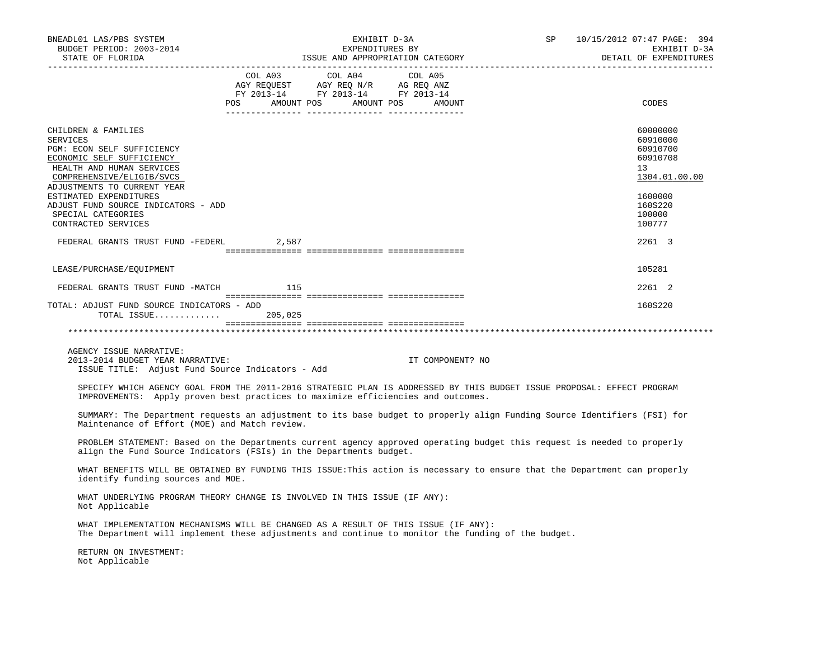| BNEADL01 LAS/PBS SYSTEM<br>BUDGET PERIOD: 2003-2014<br>STATE OF FLORIDA                                                                                                                                                                                                                           | EXHIBIT D-3A<br>EXPENDITURES BY<br>ISSUE AND APPROPRIATION CATEGORY                                                                                                                                        | SP 10/15/2012 07:47 PAGE: 394<br>EXHIBIT D-3A<br>DETAIL OF EXPENDITURES                                       |
|---------------------------------------------------------------------------------------------------------------------------------------------------------------------------------------------------------------------------------------------------------------------------------------------------|------------------------------------------------------------------------------------------------------------------------------------------------------------------------------------------------------------|---------------------------------------------------------------------------------------------------------------|
|                                                                                                                                                                                                                                                                                                   | COL A03 COL A04<br>COL A05<br>AGY REQUEST AGY REQ N/R AG REQ ANZ<br>FY 2013-14 FY 2013-14 FY 2013-14<br>POS AMOUNT POS AMOUNT POS AMOUNT                                                                   | CODES                                                                                                         |
| CHILDREN & FAMILIES<br>SERVICES<br>PGM: ECON SELF SUFFICIENCY<br>ECONOMIC SELF SUFFICIENCY<br>HEALTH AND HUMAN SERVICES<br>COMPREHENSIVE/ELIGIB/SVCS<br>ADJUSTMENTS TO CURRENT YEAR<br>ESTIMATED EXPENDITURES<br>ADJUST FUND SOURCE INDICATORS - ADD<br>SPECIAL CATEGORIES<br>CONTRACTED SERVICES |                                                                                                                                                                                                            | 60000000<br>60910000<br>60910700<br>60910708<br>13<br>1304.01.00.00<br>1600000<br>160S220<br>100000<br>100777 |
| FEDERAL GRANTS TRUST FUND -FEDERL 2,587                                                                                                                                                                                                                                                           |                                                                                                                                                                                                            | 2261 3                                                                                                        |
| LEASE/PURCHASE/EQUIPMENT                                                                                                                                                                                                                                                                          |                                                                                                                                                                                                            | 105281                                                                                                        |
| FEDERAL GRANTS TRUST FUND -MATCH 115                                                                                                                                                                                                                                                              |                                                                                                                                                                                                            | 2261 2                                                                                                        |
| TOTAL: ADJUST FUND SOURCE INDICATORS - ADD<br>TOTAL ISSUE 205,025                                                                                                                                                                                                                                 |                                                                                                                                                                                                            | 160S220                                                                                                       |
|                                                                                                                                                                                                                                                                                                   |                                                                                                                                                                                                            |                                                                                                               |
| AGENCY ISSUE NARRATIVE:<br>2013-2014 BUDGET YEAR NARRATIVE:<br>ISSUE TITLE: Adjust Fund Source Indicators - Add                                                                                                                                                                                   | IT COMPONENT? NO                                                                                                                                                                                           |                                                                                                               |
|                                                                                                                                                                                                                                                                                                   | SPECIFY WHICH AGENCY GOAL FROM THE 2011-2016 STRATEGIC PLAN IS ADDRESSED BY THIS BUDGET ISSUE PROPOSAL: EFFECT PROGRAM<br>IMPROVEMENTS: Apply proven best practices to maximize efficiencies and outcomes. |                                                                                                               |
| Maintenance of Effort (MOE) and Match review.                                                                                                                                                                                                                                                     | SUMMARY: The Department requests an adjustment to its base budget to properly align Funding Source Identifiers (FSI) for                                                                                   |                                                                                                               |
| align the Fund Source Indicators (FSIs) in the Departments budget.                                                                                                                                                                                                                                | PROBLEM STATEMENT: Based on the Departments current agency approved operating budget this request is needed to properly                                                                                    |                                                                                                               |
| identify funding sources and MOE.                                                                                                                                                                                                                                                                 | WHAT BENEFITS WILL BE OBTAINED BY FUNDING THIS ISSUE: This action is necessary to ensure that the Department can properly                                                                                  |                                                                                                               |
| Not Applicable                                                                                                                                                                                                                                                                                    | WHAT UNDERLYING PROGRAM THEORY CHANGE IS INVOLVED IN THIS ISSUE (IF ANY):                                                                                                                                  |                                                                                                               |
|                                                                                                                                                                                                                                                                                                   | WHAT IMPLEMENTATION MECHANISMS WILL BE CHANGED AS A RESULT OF THIS ISSUE (IF ANY):<br>The Department will implement these adjustments and continue to monitor the funding of the budget.                   |                                                                                                               |
| RETURN ON INVESTMENT:<br>Not Applicable                                                                                                                                                                                                                                                           |                                                                                                                                                                                                            |                                                                                                               |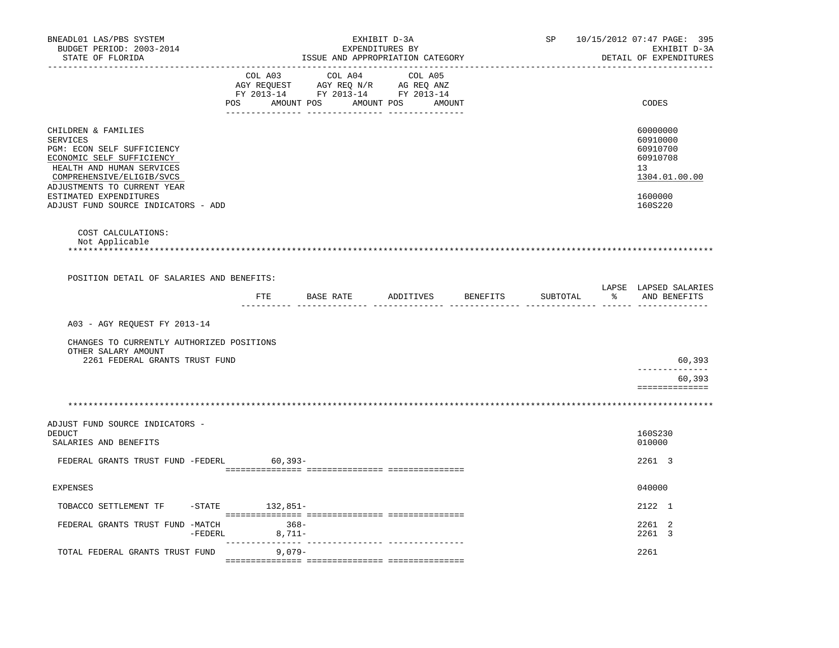| BNEADL01 LAS/PBS SYSTEM<br>BUDGET PERIOD: 2003-2014<br>STATE OF FLORIDA                                                                                                                                                                              |                                      | EXPENDITURES BY<br>ISSUE AND APPROPRIATION CATEGORY                                                                   | EXHIBIT D-3A | SP       |                   | 10/15/2012 07:47 PAGE: 395<br>EXHIBIT D-3A<br>DETAIL OF EXPENDITURES                      |
|------------------------------------------------------------------------------------------------------------------------------------------------------------------------------------------------------------------------------------------------------|--------------------------------------|-----------------------------------------------------------------------------------------------------------------------|--------------|----------|-------------------|-------------------------------------------------------------------------------------------|
|                                                                                                                                                                                                                                                      | _________________________<br>COL A03 | COL A04<br>AGY REQUEST AGY REQ N/R AG REQ ANZ<br>FY 2013-14 FY 2013-14 FY 2013-14<br>POS AMOUNT POS AMOUNT POS AMOUNT | COL A05      |          |                   | CODES                                                                                     |
| CHILDREN & FAMILIES<br>SERVICES<br>PGM: ECON SELF SUFFICIENCY<br>ECONOMIC SELF SUFFICIENCY<br>HEALTH AND HUMAN SERVICES<br>COMPREHENSIVE/ELIGIB/SVCS<br>ADJUSTMENTS TO CURRENT YEAR<br>ESTIMATED EXPENDITURES<br>ADJUST FUND SOURCE INDICATORS - ADD |                                      |                                                                                                                       |              |          |                   | 60000000<br>60910000<br>60910700<br>60910708<br>13<br>1304.01.00.00<br>1600000<br>160S220 |
| COST CALCULATIONS:<br>Not Applicable                                                                                                                                                                                                                 |                                      |                                                                                                                       |              |          |                   |                                                                                           |
| POSITION DETAIL OF SALARIES AND BENEFITS:                                                                                                                                                                                                            |                                      |                                                                                                                       |              |          |                   |                                                                                           |
|                                                                                                                                                                                                                                                      | FTE                                  | BASE RATE ADDITIVES BENEFITS                                                                                          | ---- ----    | SUBTOTAL | ______ ______ ___ | LAPSE LAPSED SALARIES<br>% AND BENEFITS                                                   |
| A03 - AGY REOUEST FY 2013-14                                                                                                                                                                                                                         |                                      |                                                                                                                       |              |          |                   |                                                                                           |
| CHANGES TO CURRENTLY AUTHORIZED POSITIONS<br>OTHER SALARY AMOUNT<br>2261 FEDERAL GRANTS TRUST FUND                                                                                                                                                   |                                      |                                                                                                                       |              |          |                   | 60,393                                                                                    |
|                                                                                                                                                                                                                                                      |                                      |                                                                                                                       |              |          |                   | 60,393                                                                                    |
|                                                                                                                                                                                                                                                      |                                      |                                                                                                                       |              |          |                   | ==============                                                                            |
|                                                                                                                                                                                                                                                      |                                      |                                                                                                                       |              |          |                   |                                                                                           |
| ADJUST FUND SOURCE INDICATORS -<br>DEDUCT<br>SALARIES AND BENEFITS                                                                                                                                                                                   |                                      |                                                                                                                       |              |          |                   | 160S230<br>010000                                                                         |
| FEDERAL GRANTS TRUST FUND -FEDERL                                                                                                                                                                                                                    | 60,393-                              |                                                                                                                       |              |          |                   | 2261 3                                                                                    |
| <b>EXPENSES</b>                                                                                                                                                                                                                                      |                                      |                                                                                                                       |              |          |                   | 040000                                                                                    |
| TOBACCO SETTLEMENT TF                                                                                                                                                                                                                                | $-STATE$ 132,851-                    |                                                                                                                       |              |          |                   | 2122 1                                                                                    |
| FEDERAL GRANTS TRUST FUND -MATCH<br>-FEDERL                                                                                                                                                                                                          | $368-$<br>$8,711-$                   |                                                                                                                       |              |          |                   | 2261 2<br>2261 3                                                                          |
| TOTAL FEDERAL GRANTS TRUST FUND                                                                                                                                                                                                                      | 9,079-                               |                                                                                                                       |              |          |                   | 2261                                                                                      |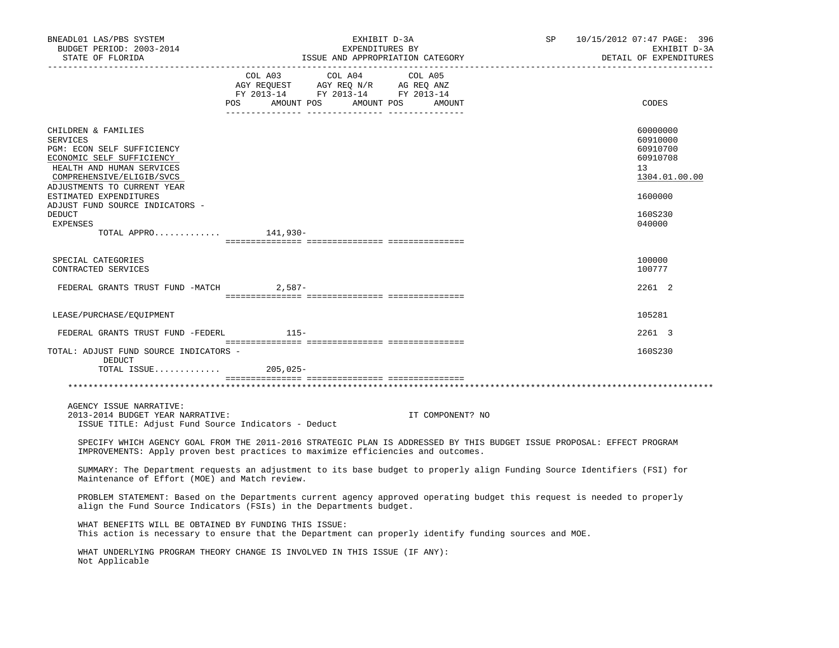| BNEADL01 LAS/PBS SYSTEM<br>BUDGET PERIOD: 2003-2014<br>STATE OF FLORIDA                                                                                                                                    | EXHIBIT D-3A<br>EXPENDITURES BY<br>ISSUE AND APPROPRIATION CATEGORY |                                                                                                                       |                  | SP | 10/15/2012 07:47 PAGE: 396<br>EXHIBIT D-3A<br>DETAIL OF EXPENDITURES |  |
|------------------------------------------------------------------------------------------------------------------------------------------------------------------------------------------------------------|---------------------------------------------------------------------|-----------------------------------------------------------------------------------------------------------------------|------------------|----|----------------------------------------------------------------------|--|
|                                                                                                                                                                                                            | COL A03                                                             | COL A04<br>NGY REQUEST AGY REQ N/R AG REQ ANZ<br>FY 2013-14 FY 2013-14 FY 2013-14<br>POS AMOUNT POS AMOUNT POS AMOUNT | COL A05          |    | CODES                                                                |  |
| CHILDREN & FAMILIES<br><b>SERVICES</b><br>PGM: ECON SELF SUFFICIENCY<br>ECONOMIC SELF SUFFICIENCY<br>HEALTH AND HUMAN SERVICES<br>COMPREHENSIVE/ELIGIB/SVCS<br>ADJUSTMENTS TO CURRENT YEAR                 |                                                                     |                                                                                                                       |                  |    | 60000000<br>60910000<br>60910700<br>60910708<br>13<br>1304.01.00.00  |  |
| ESTIMATED EXPENDITURES<br>ADJUST FUND SOURCE INDICATORS -<br>DEDUCT<br><b>EXPENSES</b>                                                                                                                     |                                                                     |                                                                                                                       |                  |    | 1600000<br>160S230<br>040000                                         |  |
| TOTAL APPRO $141,930-$                                                                                                                                                                                     |                                                                     |                                                                                                                       |                  |    |                                                                      |  |
| SPECIAL CATEGORIES<br>CONTRACTED SERVICES                                                                                                                                                                  |                                                                     |                                                                                                                       |                  |    | 100000<br>100777                                                     |  |
| FEDERAL GRANTS TRUST FUND -MATCH 2,587-                                                                                                                                                                    |                                                                     |                                                                                                                       |                  |    | 2261 2                                                               |  |
| LEASE/PURCHASE/EQUIPMENT                                                                                                                                                                                   |                                                                     |                                                                                                                       |                  |    | 105281                                                               |  |
| FEDERAL GRANTS TRUST FUND -FEDERL 115-                                                                                                                                                                     |                                                                     |                                                                                                                       |                  |    | 2261 3                                                               |  |
| TOTAL: ADJUST FUND SOURCE INDICATORS -<br>DEDUCT<br>TOTAL ISSUE 205,025-                                                                                                                                   |                                                                     |                                                                                                                       |                  |    | 160S230                                                              |  |
|                                                                                                                                                                                                            |                                                                     |                                                                                                                       |                  |    |                                                                      |  |
| AGENCY ISSUE NARRATIVE:<br>2013-2014 BUDGET YEAR NARRATIVE:<br>ISSUE TITLE: Adjust Fund Source Indicators - Deduct                                                                                         |                                                                     |                                                                                                                       | IT COMPONENT? NO |    |                                                                      |  |
| SPECIFY WHICH AGENCY GOAL FROM THE 2011-2016 STRATEGIC PLAN IS ADDRESSED BY THIS BUDGET ISSUE PROPOSAL: EFFECT PROGRAM<br>IMPROVEMENTS: Apply proven best practices to maximize efficiencies and outcomes. |                                                                     |                                                                                                                       |                  |    |                                                                      |  |
| SUMMARY: The Department requests an adjustment to its base budget to properly align Funding Source Identifiers (FSI) for<br>Maintenance of Effort (MOE) and Match review.                                  |                                                                     |                                                                                                                       |                  |    |                                                                      |  |
| PROBLEM STATEMENT: Based on the Departments current agency approved operating budget this request is needed to properly<br>align the Fund Source Indicators (FSIs) in the Departments budget.              |                                                                     |                                                                                                                       |                  |    |                                                                      |  |
| WHAT BENEFITS WILL BE OBTAINED BY FUNDING THIS ISSUE:<br>This action is necessary to ensure that the Department can properly identify funding sources and MOE.                                             |                                                                     |                                                                                                                       |                  |    |                                                                      |  |
| WHAT UNDERLYING PROGRAM THEORY CHANGE IS INVOLVED IN THIS ISSUE (IF ANY):<br>Not Applicable                                                                                                                |                                                                     |                                                                                                                       |                  |    |                                                                      |  |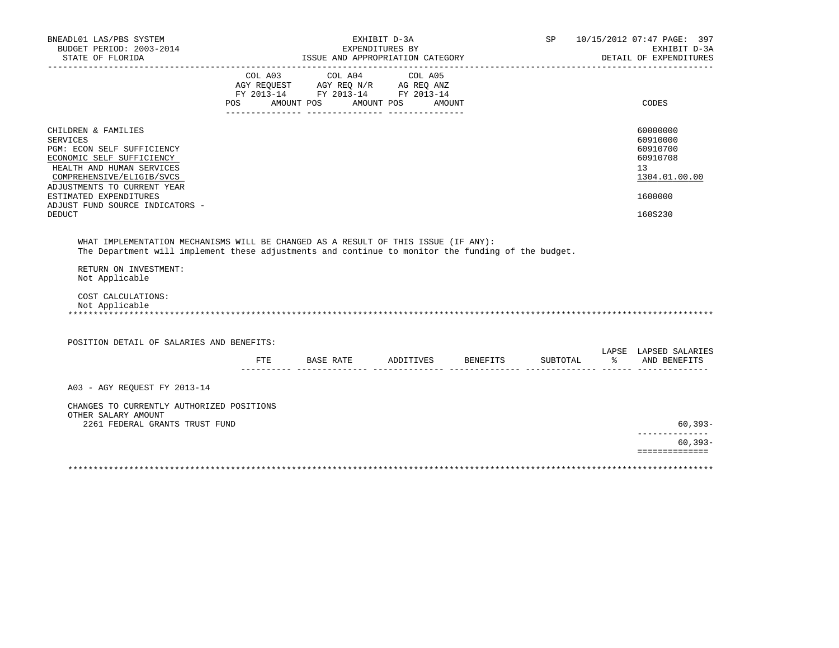| BNEADL01 LAS/PBS SYSTEM<br>BUDGET PERIOD: 2003-2014<br>STATE OF FLORIDA                                                                                                                                                                                                     |     |                                                                                                             | EXPENDITURES BY | EXHIBIT D-3A                 | ISSUE AND APPROPRIATION CATEGORY      | SP |               | 10/15/2012 07:47 PAGE: 397<br>EXHIBIT D-3A<br>DETAIL OF EXPENDITURES                      |
|-----------------------------------------------------------------------------------------------------------------------------------------------------------------------------------------------------------------------------------------------------------------------------|-----|-------------------------------------------------------------------------------------------------------------|-----------------|------------------------------|---------------------------------------|----|---------------|-------------------------------------------------------------------------------------------|
|                                                                                                                                                                                                                                                                             |     | COL A03 COL A04<br>AGY REQUEST AGY REQ N/R AG REQ ANZ<br>FY 2013-14 FY 2013-14 FY 2013-14<br>POS AMOUNT POS |                 | COL A05<br>AMOUNT POS AMOUNT |                                       |    |               | CODES                                                                                     |
| CHILDREN & FAMILIES<br><b>SERVICES</b><br>PGM: ECON SELF SUFFICIENCY<br>ECONOMIC SELF SUFFICIENCY<br>HEALTH AND HUMAN SERVICES<br>COMPREHENSIVE/ELIGIB/SVCS<br>ADJUSTMENTS TO CURRENT YEAR<br>ESTIMATED EXPENDITURES<br>ADJUST FUND SOURCE INDICATORS -<br><b>DEDUCT</b>    |     |                                                                                                             |                 |                              |                                       |    |               | 60000000<br>60910000<br>60910700<br>60910708<br>13<br>1304.01.00.00<br>1600000<br>160S230 |
| WHAT IMPLEMENTATION MECHANISMS WILL BE CHANGED AS A RESULT OF THIS ISSUE (IF ANY):<br>The Department will implement these adjustments and continue to monitor the funding of the budget.<br>RETURN ON INVESTMENT:<br>Not Applicable<br>COST CALCULATIONS:<br>Not Applicable |     |                                                                                                             |                 |                              |                                       |    |               |                                                                                           |
| POSITION DETAIL OF SALARIES AND BENEFITS:                                                                                                                                                                                                                                   |     |                                                                                                             |                 |                              |                                       |    |               | LAPSE LAPSED SALARIES                                                                     |
|                                                                                                                                                                                                                                                                             | FTE |                                                                                                             |                 |                              | BASE RATE ADDITIVES BENEFITS SUBTOTAL |    | $\frac{1}{2}$ | AND BENEFITS                                                                              |
| A03 - AGY REQUEST FY 2013-14<br>CHANGES TO CURRENTLY AUTHORIZED POSITIONS                                                                                                                                                                                                   |     |                                                                                                             |                 |                              |                                       |    |               |                                                                                           |
| OTHER SALARY AMOUNT<br>2261 FEDERAL GRANTS TRUST FUND                                                                                                                                                                                                                       |     |                                                                                                             |                 |                              |                                       |    |               | 60,393-                                                                                   |
|                                                                                                                                                                                                                                                                             |     |                                                                                                             |                 |                              |                                       |    |               | --------------<br>$60, 393 -$<br>==============                                           |
|                                                                                                                                                                                                                                                                             |     |                                                                                                             |                 |                              |                                       |    |               |                                                                                           |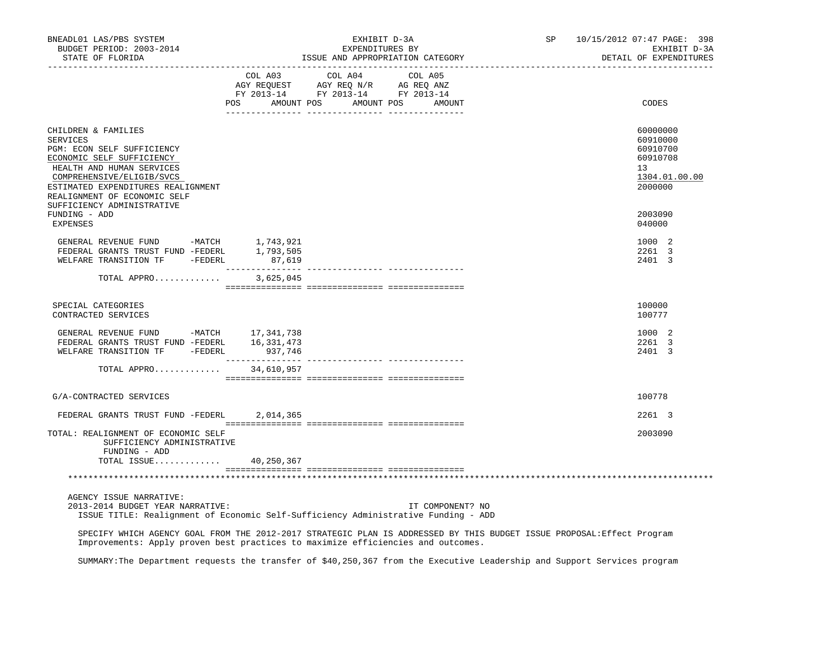| BNEADL01 LAS/PBS SYSTEM<br>BUDGET PERIOD: 2003-2014<br>STATE OF FLORIDA                                                                                                                                                                                         |           | EXHIBIT D-3A<br>EXPENDITURES BY<br>ISSUE AND APPROPRIATION CATEGORY                                                                                                                                                                                                                                                                                                                                                                                                                                                         | SP               | 10/15/2012 07:47 PAGE: 398<br>EXHIBIT D-3A<br>DETAIL OF EXPENDITURES |                                                                                |
|-----------------------------------------------------------------------------------------------------------------------------------------------------------------------------------------------------------------------------------------------------------------|-----------|-----------------------------------------------------------------------------------------------------------------------------------------------------------------------------------------------------------------------------------------------------------------------------------------------------------------------------------------------------------------------------------------------------------------------------------------------------------------------------------------------------------------------------|------------------|----------------------------------------------------------------------|--------------------------------------------------------------------------------|
|                                                                                                                                                                                                                                                                 | POS       | COL A03 COL A04 COL A05<br>$\begin{array}{ccccccccc} \text{C}\cup\text{C}\cup\text{C}\cup\text{C}\cup\text{C}\cup\text{C}\cup\text{C}\cup\text{C}\cup\text{C}\cup\text{C}\cup\text{C}\cup\text{C}\cup\text{C}\cup\text{C}\cup\text{C}\cup\text{C}\cup\text{C}\cup\text{C}\cup\text{C}\cup\text{C}\cup\text{C}\cup\text{C}\cup\text{C}\cup\text{C}\cup\text{C}\cup\text{C}\cup\text{C}\cup\text{C}\cup\text{C}\cup\text{C}\cup\text{C}\cup\text{C}\cup\text{C}\cup\text{C}\cup\text{C}\cup\$<br>AMOUNT POS AMOUNT POS AMOUNT |                  |                                                                      | CODES                                                                          |
| CHILDREN & FAMILIES<br><b>SERVICES</b><br>PGM: ECON SELF SUFFICIENCY<br>ECONOMIC SELF SUFFICIENCY<br>HEALTH AND HUMAN SERVICES<br>COMPREHENSIVE/ELIGIB/SVCS<br>ESTIMATED EXPENDITURES REALIGNMENT<br>REALIGNMENT OF ECONOMIC SELF<br>SUFFICIENCY ADMINISTRATIVE |           |                                                                                                                                                                                                                                                                                                                                                                                                                                                                                                                             |                  |                                                                      | 60000000<br>60910000<br>60910700<br>60910708<br>13<br>1304.01.00.00<br>2000000 |
| FUNDING - ADD<br>EXPENSES                                                                                                                                                                                                                                       |           |                                                                                                                                                                                                                                                                                                                                                                                                                                                                                                                             |                  |                                                                      | 2003090<br>040000                                                              |
| GENERAL REVENUE FUND -MATCH 1,743,921<br>FEDERAL GRANTS TRUST FUND -FEDERL 1,793,505<br>WELFARE TRANSITION TF -FEDERL                                                                                                                                           | 87,619    |                                                                                                                                                                                                                                                                                                                                                                                                                                                                                                                             |                  |                                                                      | 1000 2<br>2261 3<br>2401 3                                                     |
| TOTAL APPRO                                                                                                                                                                                                                                                     | 3,625,045 |                                                                                                                                                                                                                                                                                                                                                                                                                                                                                                                             |                  |                                                                      |                                                                                |
| SPECIAL CATEGORIES<br>CONTRACTED SERVICES                                                                                                                                                                                                                       |           |                                                                                                                                                                                                                                                                                                                                                                                                                                                                                                                             |                  |                                                                      | 100000<br>100777                                                               |
| GENERAL REVENUE FUND -MATCH 17,341,738<br>FEDERAL GRANTS TRUST FUND -FEDERL 16,331,473<br>WELFARE TRANSITION TF -FEDERL 937,746                                                                                                                                 |           |                                                                                                                                                                                                                                                                                                                                                                                                                                                                                                                             |                  |                                                                      | 1000 2<br>2261 3<br>2401 3                                                     |
| TOTAL APPRO 34,610,957                                                                                                                                                                                                                                          |           |                                                                                                                                                                                                                                                                                                                                                                                                                                                                                                                             |                  |                                                                      |                                                                                |
| G/A-CONTRACTED SERVICES                                                                                                                                                                                                                                         |           |                                                                                                                                                                                                                                                                                                                                                                                                                                                                                                                             |                  |                                                                      | 100778                                                                         |
| FEDERAL GRANTS TRUST FUND -FEDERL                                                                                                                                                                                                                               | 2,014,365 |                                                                                                                                                                                                                                                                                                                                                                                                                                                                                                                             |                  |                                                                      | 2261 3                                                                         |
| TOTAL: REALIGNMENT OF ECONOMIC SELF<br>SUFFICIENCY ADMINISTRATIVE<br>FUNDING - ADD                                                                                                                                                                              |           |                                                                                                                                                                                                                                                                                                                                                                                                                                                                                                                             |                  |                                                                      | 2003090                                                                        |
| TOTAL ISSUE 40,250,367                                                                                                                                                                                                                                          |           |                                                                                                                                                                                                                                                                                                                                                                                                                                                                                                                             |                  |                                                                      |                                                                                |
|                                                                                                                                                                                                                                                                 |           |                                                                                                                                                                                                                                                                                                                                                                                                                                                                                                                             |                  |                                                                      |                                                                                |
| AGENCY ISSUE NARRATIVE:<br>2013-2014 BUDGET YEAR NARRATIVE:<br>ISSUE TITLE: Realignment of Economic Self-Sufficiency Administrative Funding - ADD                                                                                                               |           |                                                                                                                                                                                                                                                                                                                                                                                                                                                                                                                             | IT COMPONENT? NO |                                                                      |                                                                                |
| SPECIFY WHICH AGENCY GOAL FROM THE 2012-2017 STRATEGIC PLAN IS ADDRESSED BY THIS BUDGET ISSUE PROPOSAL: Effect Program<br>Improvements: Apply proven best practices to maximize efficiencies and outcomes.                                                      |           |                                                                                                                                                                                                                                                                                                                                                                                                                                                                                                                             |                  |                                                                      |                                                                                |

SUMMARY:The Department requests the transfer of \$40,250,367 from the Executive Leadership and Support Services program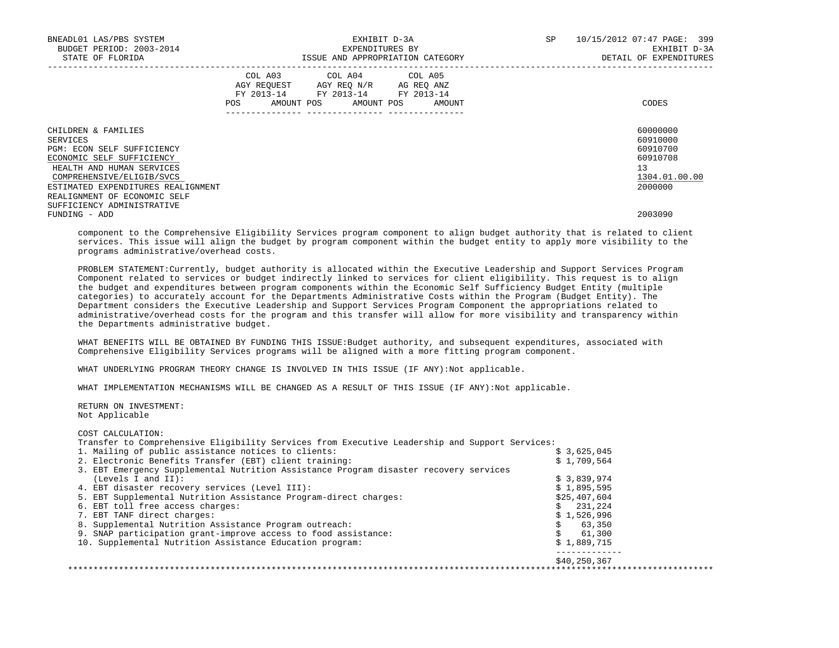| BNEADL01 LAS/PBS SYSTEM<br>BUDGET PERIOD: 2003-2014<br>STATE OF FLORIDA                                                                                                                                                    |                                                                                                                                       | EXHIBIT D-3A<br>EXPENDITURES BY<br>ISSUE AND APPROPRIATION CATEGORY | SP | 10/15/2012 07:47 PAGE: 399<br>EXHIBIT D-3A<br>DETAIL OF EXPENDITURES                        |  |  |
|----------------------------------------------------------------------------------------------------------------------------------------------------------------------------------------------------------------------------|---------------------------------------------------------------------------------------------------------------------------------------|---------------------------------------------------------------------|----|---------------------------------------------------------------------------------------------|--|--|
|                                                                                                                                                                                                                            | COL A03 COL A04 COL A05<br>AGY REQUEST AGY REO N/R AG REO ANZ<br>FY 2013-14 FY 2013-14 FY 2013-14<br>POS AMOUNT POS AMOUNT POS AMOUNT |                                                                     |    | CODES                                                                                       |  |  |
| CHILDREN & FAMILIES<br>SERVICES<br>PGM: ECON SELF SUFFICIENCY<br>ECONOMIC SELF SUFFICIENCY<br>HEALTH AND HUMAN SERVICES<br>COMPREHENSIVE/ELIGIB/SVCS<br>ESTIMATED EXPENDITURES REALIGNMENT<br>REALIGNMENT OF ECONOMIC SELF |                                                                                                                                       |                                                                     |    | 60000000<br>60910000<br>60910700<br>60910708<br>13 <sup>°</sup><br>1304.01.00.00<br>2000000 |  |  |
| SUFFICIENCY ADMINISTRATIVE<br>FUNDING - ADD                                                                                                                                                                                |                                                                                                                                       |                                                                     |    | 2003090                                                                                     |  |  |

 component to the Comprehensive Eligibility Services program component to align budget authority that is related to client services. This issue will align the budget by program component within the budget entity to apply more visibility to the programs administrative/overhead costs.

 PROBLEM STATEMENT:Currently, budget authority is allocated within the Executive Leadership and Support Services Program Component related to services or budget indirectly linked to services for client eligibility. This request is to align the budget and expenditures between program components within the Economic Self Sufficiency Budget Entity (multiple categories) to accurately account for the Departments Administrative Costs within the Program (Budget Entity). The Department considers the Executive Leadership and Support Services Program Component the appropriations related to administrative/overhead costs for the program and this transfer will allow for more visibility and transparency within the Departments administrative budget.

 WHAT BENEFITS WILL BE OBTAINED BY FUNDING THIS ISSUE:Budget authority, and subsequent expenditures, associated with Comprehensive Eligibility Services programs will be aligned with a more fitting program component.

WHAT UNDERLYING PROGRAM THEORY CHANGE IS INVOLVED IN THIS ISSUE (IF ANY):Not applicable.

WHAT IMPLEMENTATION MECHANISMS WILL BE CHANGED AS A RESULT OF THIS ISSUE (IF ANY):Not applicable.

 RETURN ON INVESTMENT: Not Applicable

# COST CALCULATION:

Transfer to Comprehensive Eligibility Services from Executive Leadership and Support Services:

| 1. Mailing of public assistance notices to clients:                                   | \$3,625,045  |
|---------------------------------------------------------------------------------------|--------------|
| 2. Electronic Benefits Transfer (EBT) client training:                                | \$1,709,564  |
| 3. EBT Emergency Supplemental Nutrition Assistance Program disaster recovery services |              |
| (Levels I and II):                                                                    | \$3,839,974  |
| 4. EBT disaster recovery services (Level III):                                        | \$1,895,595  |
| 5. EBT Supplemental Nutrition Assistance Program-direct charges:                      | \$25,407,604 |
| 6. EBT toll free access charges:                                                      | \$231.224    |
| 7. EBT TANF direct charges:                                                           | \$1,526,996  |
| 8. Supplemental Nutrition Assistance Program outreach:                                | 63,350       |
| 9. SNAP participation grant-improve access to food assistance:                        | 61,300       |
| 10. Supplemental Nutrition Assistance Education program:                              | \$1,889,715  |
|                                                                                       | \$40,250,367 |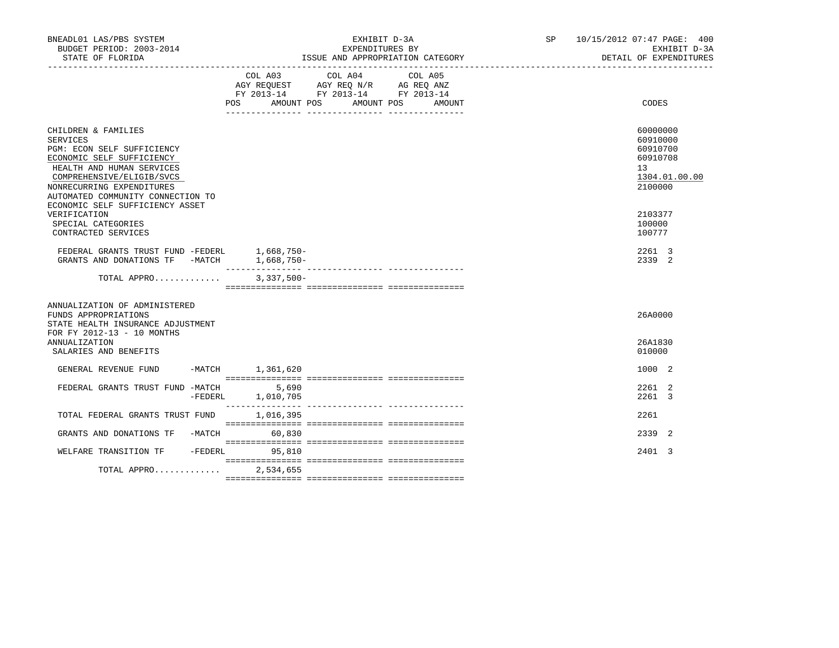| BNEADL01 LAS/PBS SYSTEM<br>BUDGET PERIOD: 2003-2014<br>STATE OF FLORIDA                                                                                                                                                                                   | EXHIBIT D-3A<br>EXPENDITURES BY<br>ISSUE AND APPROPRIATION CATEGORY<br>____________________________________                                       | SP 10/15/2012 07:47 PAGE: 400<br>EXHIBIT D-3A<br>DETAIL OF EXPENDITURES<br>_______________________ |
|-----------------------------------------------------------------------------------------------------------------------------------------------------------------------------------------------------------------------------------------------------------|---------------------------------------------------------------------------------------------------------------------------------------------------|----------------------------------------------------------------------------------------------------|
|                                                                                                                                                                                                                                                           | COL A03<br>COL A04<br>COL A05<br>AGY REQUEST AGY REQ N/R AG REQ ANZ<br>FY 2013-14 FY 2013-14 FY 2013-14<br>POS AMOUNT POS<br>AMOUNT POS<br>AMOUNT | CODES                                                                                              |
| CHILDREN & FAMILIES<br>SERVICES<br>PGM: ECON SELF SUFFICIENCY<br>ECONOMIC SELF SUFFICIENCY<br>HEALTH AND HUMAN SERVICES<br>COMPREHENSIVE/ELIGIB/SVCS<br>NONRECURRING EXPENDITURES<br>AUTOMATED COMMUNITY CONNECTION TO<br>ECONOMIC SELF SUFFICIENCY ASSET |                                                                                                                                                   | 60000000<br>60910000<br>60910700<br>60910708<br>13<br>1304.01.00.00<br>2100000                     |
| VERIFICATION<br>SPECIAL CATEGORIES<br>CONTRACTED SERVICES                                                                                                                                                                                                 |                                                                                                                                                   | 2103377<br>100000<br>100777                                                                        |
| FEDERAL GRANTS TRUST FUND -FEDERL 1,668,750-<br>GRANTS AND DONATIONS TF -MATCH 1,668,750-                                                                                                                                                                 |                                                                                                                                                   | 2261 3<br>2339 2                                                                                   |
| TOTAL APPRO                                                                                                                                                                                                                                               | $3,337,500-$                                                                                                                                      |                                                                                                    |
| ANNUALIZATION OF ADMINISTERED<br>FUNDS APPROPRIATIONS<br>STATE HEALTH INSURANCE ADJUSTMENT<br>FOR FY 2012-13 - 10 MONTHS                                                                                                                                  |                                                                                                                                                   | 26A0000                                                                                            |
| <b>ANNUALIZATION</b><br>SALARIES AND BENEFITS                                                                                                                                                                                                             |                                                                                                                                                   | 26A1830<br>010000                                                                                  |
| GENERAL REVENUE FUND                                                                                                                                                                                                                                      | -MATCH 1,361,620                                                                                                                                  | 1000 2                                                                                             |
| FEDERAL GRANTS TRUST FUND -MATCH<br>-FEDERL                                                                                                                                                                                                               | 5,690<br>1,010,705                                                                                                                                | 2261 2<br>2261 3                                                                                   |
| TOTAL FEDERAL GRANTS TRUST FUND                                                                                                                                                                                                                           | 1,016,395                                                                                                                                         | 2261                                                                                               |
| GRANTS AND DONATIONS TF -MATCH                                                                                                                                                                                                                            | 60,830                                                                                                                                            | 2339 2                                                                                             |
| WELFARE TRANSITION TF<br>-FEDERL                                                                                                                                                                                                                          | 95,810                                                                                                                                            | 2401 3                                                                                             |
| TOTAL APPRO                                                                                                                                                                                                                                               | 2,534,655                                                                                                                                         |                                                                                                    |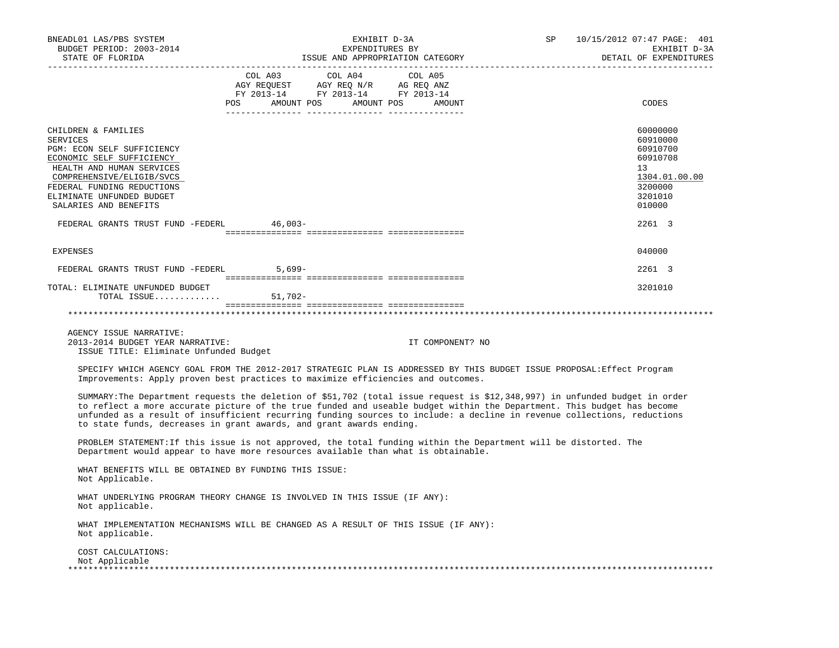| BNEADL01 LAS/PBS SYSTEM<br>BUDGET PERIOD: 2003-2014<br>STATE OF FLORIDA                                                                                                                                                                                                                                                                                                                                                                                 |                  | EXHIBIT D-3A<br>EXPENDITURES BY<br>EXPENDITURED BI<br>ISSUE AND APPROPRIATION CATEGORY                                                                                                                                                                                                                                                                                                                                                                                                             | SP                         | 10/15/2012 07:47 PAGE: 401<br>EXHIBIT D-3A<br>DETAIL OF EXPENDITURES |                                                                                                               |
|---------------------------------------------------------------------------------------------------------------------------------------------------------------------------------------------------------------------------------------------------------------------------------------------------------------------------------------------------------------------------------------------------------------------------------------------------------|------------------|----------------------------------------------------------------------------------------------------------------------------------------------------------------------------------------------------------------------------------------------------------------------------------------------------------------------------------------------------------------------------------------------------------------------------------------------------------------------------------------------------|----------------------------|----------------------------------------------------------------------|---------------------------------------------------------------------------------------------------------------|
|                                                                                                                                                                                                                                                                                                                                                                                                                                                         | --------- ------ | $\begin{tabular}{lllllllllllll} &\multicolumn{4}{c}{\text{COL A03}} &\multicolumn{4}{c}{\text{COL A04}} &\multicolumn{4}{c}{\text{COL A05}} \\ \multicolumn{4}{c}{\text{AGY REQUEST}} &\multicolumn{4}{c}{\text{AGY REQ N/R}} &\multicolumn{4}{c}{\text{AG REQ ANZ}} \\ \multicolumn{4}{c}{\text{FGULST}} &\multicolumn{4}{c}{\text{AGY REQ N/R}} &\multicolumn{4}{c}{\text{AG REQ ANZ}} \\ \multicolumn{4}{c}{\text{FY 2013--14}} &\multicolumn{4}{c}{\text{$<br>POS AMOUNT POS AMOUNT POS AMOUNT | _________ ________________ |                                                                      | CODES                                                                                                         |
| CHILDREN & FAMILIES<br>SERVICES<br>PGM: ECON SELF SUFFICIENCY<br>ECONOMIC SELF SUFFICIENCY<br>HEALTH AND HUMAN SERVICES<br>COMPREHENSIVE/ELIGIB/SVCS<br>FEDERAL FUNDING REDUCTIONS<br>ELIMINATE UNFUNDED BUDGET<br>SALARIES AND BENEFITS<br>FEDERAL GRANTS TRUST FUND -FEDERL 46,003-                                                                                                                                                                   |                  |                                                                                                                                                                                                                                                                                                                                                                                                                                                                                                    |                            |                                                                      | 60000000<br>60910000<br>60910700<br>60910708<br>13<br>1304.01.00.00<br>3200000<br>3201010<br>010000<br>2261 3 |
| EXPENSES                                                                                                                                                                                                                                                                                                                                                                                                                                                |                  |                                                                                                                                                                                                                                                                                                                                                                                                                                                                                                    |                            |                                                                      | 040000                                                                                                        |
| FEDERAL GRANTS TRUST FUND -FEDERL 5,699-                                                                                                                                                                                                                                                                                                                                                                                                                |                  |                                                                                                                                                                                                                                                                                                                                                                                                                                                                                                    |                            |                                                                      | 2261 3                                                                                                        |
| TOTAL: ELIMINATE UNFUNDED BUDGET<br>TOTAL ISSUE $51,702-$                                                                                                                                                                                                                                                                                                                                                                                               |                  |                                                                                                                                                                                                                                                                                                                                                                                                                                                                                                    |                            |                                                                      | 3201010                                                                                                       |
|                                                                                                                                                                                                                                                                                                                                                                                                                                                         |                  |                                                                                                                                                                                                                                                                                                                                                                                                                                                                                                    |                            |                                                                      |                                                                                                               |
| AGENCY ISSUE NARRATIVE:<br>2013-2014 BUDGET YEAR NARRATIVE:<br>ISSUE TITLE: Eliminate Unfunded Budget                                                                                                                                                                                                                                                                                                                                                   |                  |                                                                                                                                                                                                                                                                                                                                                                                                                                                                                                    | IT COMPONENT? NO           |                                                                      |                                                                                                               |
| SPECIFY WHICH AGENCY GOAL FROM THE 2012-2017 STRATEGIC PLAN IS ADDRESSED BY THIS BUDGET ISSUE PROPOSAL: Effect Program<br>Improvements: Apply proven best practices to maximize efficiencies and outcomes.                                                                                                                                                                                                                                              |                  |                                                                                                                                                                                                                                                                                                                                                                                                                                                                                                    |                            |                                                                      |                                                                                                               |
| SUMMARY: The Department requests the deletion of \$51,702 (total issue request is \$12,348,997) in unfunded budget in order<br>to reflect a more accurate picture of the true funded and useable budget within the Department. This budget has become<br>unfunded as a result of insufficient recurring funding sources to include: a decline in revenue collections, reductions<br>to state funds, decreases in grant awards, and grant awards ending. |                  |                                                                                                                                                                                                                                                                                                                                                                                                                                                                                                    |                            |                                                                      |                                                                                                               |
| PROBLEM STATEMENT: If this issue is not approved, the total funding within the Department will be distorted. The<br>Department would appear to have more resources available than what is obtainable.                                                                                                                                                                                                                                                   |                  |                                                                                                                                                                                                                                                                                                                                                                                                                                                                                                    |                            |                                                                      |                                                                                                               |
| WHAT BENEFITS WILL BE OBTAINED BY FUNDING THIS ISSUE:<br>Not Applicable.                                                                                                                                                                                                                                                                                                                                                                                |                  |                                                                                                                                                                                                                                                                                                                                                                                                                                                                                                    |                            |                                                                      |                                                                                                               |
| WHAT UNDERLYING PROGRAM THEORY CHANGE IS INVOLVED IN THIS ISSUE (IF ANY):<br>Not applicable.                                                                                                                                                                                                                                                                                                                                                            |                  |                                                                                                                                                                                                                                                                                                                                                                                                                                                                                                    |                            |                                                                      |                                                                                                               |
| WHAT IMPLEMENTATION MECHANISMS WILL BE CHANGED AS A RESULT OF THIS ISSUE (IF ANY):<br>Not applicable.                                                                                                                                                                                                                                                                                                                                                   |                  |                                                                                                                                                                                                                                                                                                                                                                                                                                                                                                    |                            |                                                                      |                                                                                                               |
| COST CALCULATIONS:<br>Not Applicable                                                                                                                                                                                                                                                                                                                                                                                                                    |                  |                                                                                                                                                                                                                                                                                                                                                                                                                                                                                                    |                            |                                                                      |                                                                                                               |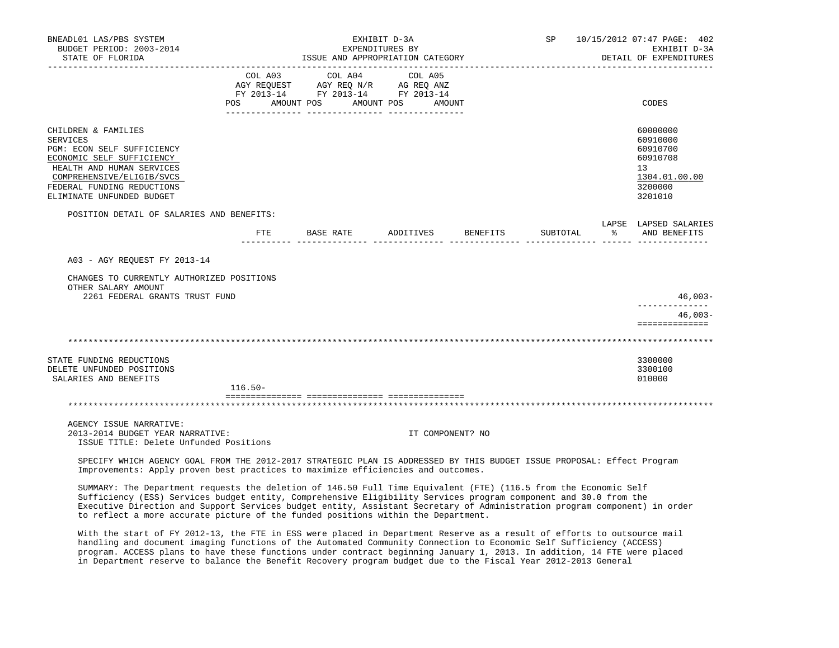| BNEADL01 LAS/PBS SYSTEM<br>BUDGET PERIOD: 2003-2014<br>STATE OF FLORIDA                                                                                                                                                |                           |           | EXHIBIT D-3A<br>EXPENDITURES BY<br>ISSUE AND APPROPRIATION CATEGORY<br>_______________________________ |                              |                  | SP 10/15/2012 07:47 PAGE: 402<br>EXHIBIT D-3A<br>DETAIL OF EXPENDITURES |          |           |                                                                                           |
|------------------------------------------------------------------------------------------------------------------------------------------------------------------------------------------------------------------------|---------------------------|-----------|--------------------------------------------------------------------------------------------------------|------------------------------|------------------|-------------------------------------------------------------------------|----------|-----------|-------------------------------------------------------------------------------------------|
|                                                                                                                                                                                                                        | COL A03<br>POS AMOUNT POS |           | COL A04<br>FY 2013-14 FY 2013-14 FY 2013-14                                                            | COL A05<br>AMOUNT POS AMOUNT |                  |                                                                         |          |           | CODES                                                                                     |
| CHILDREN & FAMILIES<br><b>SERVICES</b><br>PGM: ECON SELF SUFFICIENCY<br>ECONOMIC SELF SUFFICIENCY<br>HEALTH AND HUMAN SERVICES<br>COMPREHENSIVE/ELIGIB/SVCS<br>FEDERAL FUNDING REDUCTIONS<br>ELIMINATE UNFUNDED BUDGET |                           |           |                                                                                                        |                              |                  |                                                                         |          |           | 60000000<br>60910000<br>60910700<br>60910708<br>13<br>1304.01.00.00<br>3200000<br>3201010 |
| POSITION DETAIL OF SALARIES AND BENEFITS:                                                                                                                                                                              | FTE                       | BASE RATE |                                                                                                        | ADDITIVES BENEFITS           |                  |                                                                         | SUBTOTAL | $\approx$ | LAPSE LAPSED SALARIES<br>AND BENEFITS                                                     |
| A03 - AGY REQUEST FY 2013-14                                                                                                                                                                                           |                           |           |                                                                                                        |                              |                  |                                                                         |          |           |                                                                                           |
| CHANGES TO CURRENTLY AUTHORIZED POSITIONS<br>OTHER SALARY AMOUNT<br>2261 FEDERAL GRANTS TRUST FUND                                                                                                                     |                           |           |                                                                                                        |                              |                  |                                                                         |          |           | $46,003-$                                                                                 |
|                                                                                                                                                                                                                        |                           |           |                                                                                                        |                              |                  |                                                                         |          |           | $46,003-$<br>==============                                                               |
|                                                                                                                                                                                                                        |                           |           |                                                                                                        |                              |                  |                                                                         |          |           |                                                                                           |
| STATE FUNDING REDUCTIONS<br>DELETE UNFUNDED POSITIONS<br>SALARIES AND BENEFITS                                                                                                                                         | $116.50 -$                |           |                                                                                                        |                              |                  |                                                                         |          |           | 3300000<br>3300100<br>010000                                                              |
|                                                                                                                                                                                                                        |                           |           |                                                                                                        |                              |                  |                                                                         |          |           |                                                                                           |
| AGENCY ISSUE NARRATIVE:<br>2013-2014 BUDGET YEAR NARRATIVE:<br>ISSUE TITLE: Delete Unfunded Positions                                                                                                                  |                           |           |                                                                                                        |                              | IT COMPONENT? NO |                                                                         |          |           |                                                                                           |
| SPECIFY WHICH AGENCY GOAL FROM THE 2012-2017 STRATEGIC PLAN IS ADDRESSED BY THIS BUDGET ISSUE PROPOSAL: Effect Program<br>Improvements: Apply proven best practices to maximize efficiencies and outcomes.             |                           |           |                                                                                                        |                              |                  |                                                                         |          |           |                                                                                           |

 SUMMARY: The Department requests the deletion of 146.50 Full Time Equivalent (FTE) (116.5 from the Economic Self Sufficiency (ESS) Services budget entity, Comprehensive Eligibility Services program component and 30.0 from the Executive Direction and Support Services budget entity, Assistant Secretary of Administration program component) in order to reflect a more accurate picture of the funded positions within the Department.

 With the start of FY 2012-13, the FTE in ESS were placed in Department Reserve as a result of efforts to outsource mail handling and document imaging functions of the Automated Community Connection to Economic Self Sufficiency (ACCESS) program. ACCESS plans to have these functions under contract beginning January 1, 2013. In addition, 14 FTE were placed in Department reserve to balance the Benefit Recovery program budget due to the Fiscal Year 2012-2013 General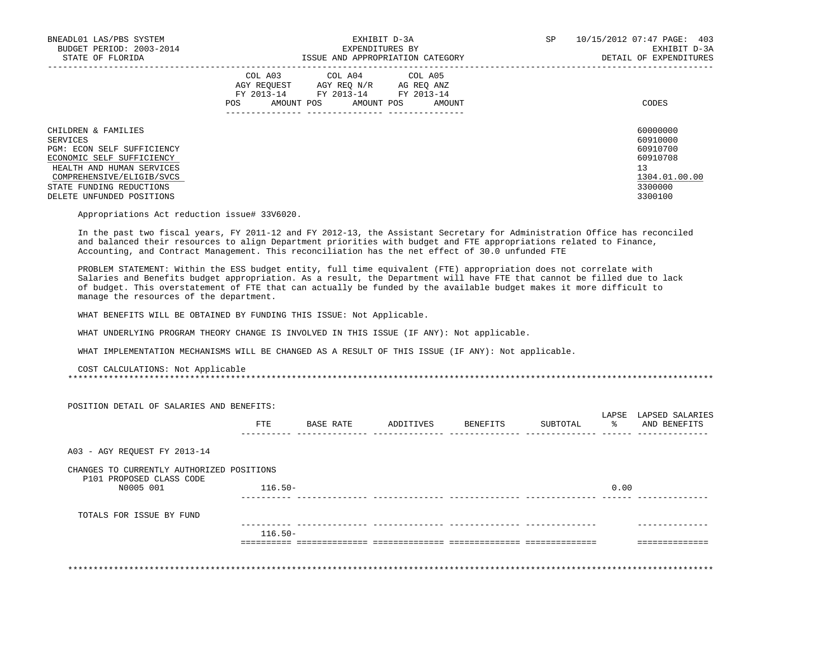| BNEADL01 LAS/PBS SYSTEM<br>BUDGET PERIOD: 2003-2014<br>STATE OF FLORIDA             | EXHIBIT D-3A<br>EXPENDITURES BY<br>ISSUE AND APPROPRIATION CATEGORY                                                                                        | 10/15/2012 07:47 PAGE: 403<br>SP<br>EXHIBIT D-3A<br>DETAIL OF EXPENDITURES |
|-------------------------------------------------------------------------------------|------------------------------------------------------------------------------------------------------------------------------------------------------------|----------------------------------------------------------------------------|
|                                                                                     | COL A03 COL A04 COL A05<br>AGY REOUEST<br>AGY REO N/R<br>AG REO ANZ<br>FY 2013-14<br>FY 2013-14<br>FY 2013-14<br>AMOUNT POS<br>AMOUNT POS<br>AMOUNT<br>POS | CODES                                                                      |
| CHILDREN & FAMILIES<br>SERVICES<br>PGM: ECON SELF SUFFICIENCY                       |                                                                                                                                                            | 60000000<br>60910000<br>60910700                                           |
| ECONOMIC SELF SUFFICIENCY<br>HEALTH AND HUMAN SERVICES<br>COMPREHENSIVE/ELIGIB/SVCS |                                                                                                                                                            | 60910708<br>13<br>1304.01.00.00                                            |
| STATE FUNDING REDUCTIONS<br>DELETE UNFUNDED POSITIONS                               |                                                                                                                                                            | 3300000<br>3300100                                                         |

Appropriations Act reduction issue# 33V6020.

 In the past two fiscal years, FY 2011-12 and FY 2012-13, the Assistant Secretary for Administration Office has reconciled and balanced their resources to align Department priorities with budget and FTE appropriations related to Finance, Accounting, and Contract Management. This reconciliation has the net effect of 30.0 unfunded FTE

 PROBLEM STATEMENT: Within the ESS budget entity, full time equivalent (FTE) appropriation does not correlate with Salaries and Benefits budget appropriation. As a result, the Department will have FTE that cannot be filled due to lack of budget. This overstatement of FTE that can actually be funded by the available budget makes it more difficult to manage the resources of the department.

WHAT BENEFITS WILL BE OBTAINED BY FUNDING THIS ISSUE: Not Applicable.

WHAT UNDERLYING PROGRAM THEORY CHANGE IS INVOLVED IN THIS ISSUE (IF ANY): Not applicable.

WHAT IMPLEMENTATION MECHANISMS WILL BE CHANGED AS A RESULT OF THIS ISSUE (IF ANY): Not applicable.

COST CALCULATIONS: Not Applicable

\*\*\*\*\*\*\*\*\*\*\*\*\*\*\*\*\*\*\*\*\*\*\*\*\*\*\*\*\*\*\*\*\*\*\*\*\*\*\*\*\*\*\*\*\*\*\*\*\*\*\*\*\*\*\*\*\*\*\*\*\*\*\*\*\*\*\*\*\*\*\*\*\*\*\*\*\*\*\*\*\*\*\*\*\*\*\*\*\*\*\*\*\*\*\*\*\*\*\*\*\*\*\*\*\*\*\*\*\*\*\*\*\*\*\*\*\*\*\*\*\*\*\*\*\*\*\*

|                                           | FTE        | BASE RATE | ADDITIVES | BENEFITS | SUBTOTAL | - 왕  | LAPSE LAPSED SALARIES<br>AND BENEFITS |
|-------------------------------------------|------------|-----------|-----------|----------|----------|------|---------------------------------------|
|                                           |            |           |           |          |          |      |                                       |
| A03 - AGY REOUEST FY 2013-14              |            |           |           |          |          |      |                                       |
| CHANGES TO CURRENTLY AUTHORIZED POSITIONS |            |           |           |          |          |      |                                       |
| P101 PROPOSED CLASS CODE<br>N0005 001     | $116.50 -$ |           |           |          |          | 0.00 |                                       |
|                                           |            |           |           |          |          |      |                                       |
| TOTALS FOR ISSUE BY FUND                  |            |           |           |          |          |      |                                       |
|                                           | $116.50-$  |           |           |          |          |      |                                       |
|                                           |            |           |           |          |          |      |                                       |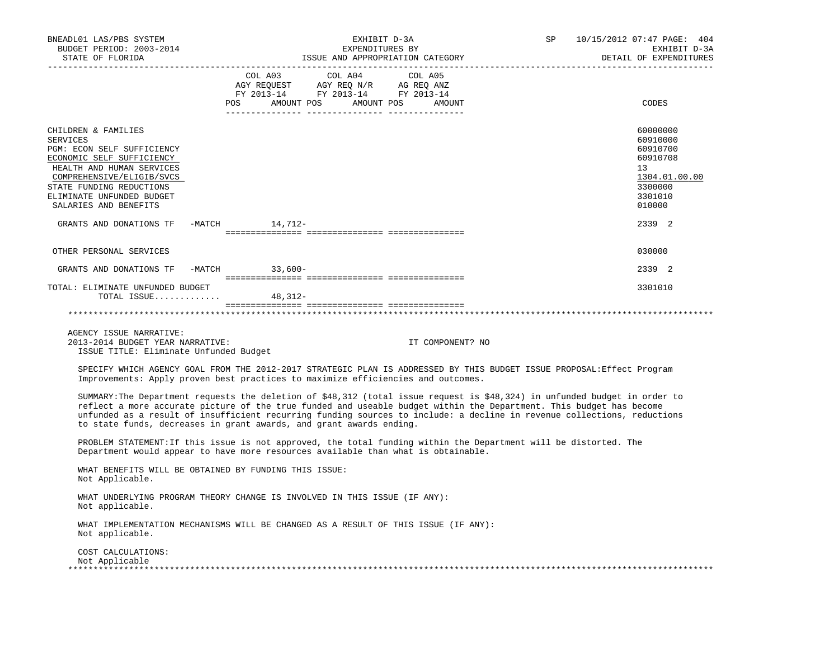| BNEADL01 LAS/PBS SYSTEM<br>BUDGET PERIOD: 2003-2014<br>STATE OF FLORIDA<br>-------------------                                                                                                                                         |                                                       | EXHIBIT D-3A<br>EXPENDITURES BY<br>EAFENCISCORY<br>ISSUE AND APPROPRIATION CATEGORY                                                                                                            | SP                                                                                                                                                                                                                                                                                                                                                                           | 10/15/2012 07:47 PAGE: 404<br>EXHIBIT D-3A<br>DETAIL OF EXPENDITURES                                |
|----------------------------------------------------------------------------------------------------------------------------------------------------------------------------------------------------------------------------------------|-------------------------------------------------------|------------------------------------------------------------------------------------------------------------------------------------------------------------------------------------------------|------------------------------------------------------------------------------------------------------------------------------------------------------------------------------------------------------------------------------------------------------------------------------------------------------------------------------------------------------------------------------|-----------------------------------------------------------------------------------------------------|
|                                                                                                                                                                                                                                        |                                                       | $\begin{tabular}{lcccc} CDL A03 & CDL A04 & CDL A05 \\ AGY REQUEST & AGY REQ N/R & AG REQ ANZ \\ FY & 2013-14 & FY & 2013-14 & FY & 2013-14 \end{tabular}$<br>POS AMOUNT POS AMOUNT POS AMOUNT |                                                                                                                                                                                                                                                                                                                                                                              | CODES                                                                                               |
| CHILDREN & FAMILIES<br>SERVICES<br>PGM: ECON SELF SUFFICIENCY<br>ECONOMIC SELF SUFFICIENCY<br>HEALTH AND HUMAN SERVICES<br>COMPREHENSIVE/ELIGIB/SVCS<br>STATE FUNDING REDUCTIONS<br>ELIMINATE UNFUNDED BUDGET<br>SALARIES AND BENEFITS |                                                       |                                                                                                                                                                                                |                                                                                                                                                                                                                                                                                                                                                                              | 60000000<br>60910000<br>60910700<br>60910708<br>13<br>1304.01.00.00<br>3300000<br>3301010<br>010000 |
| GRANTS AND DONATIONS TF -MATCH 14,712-                                                                                                                                                                                                 |                                                       |                                                                                                                                                                                                |                                                                                                                                                                                                                                                                                                                                                                              | 2339 2                                                                                              |
| OTHER PERSONAL SERVICES                                                                                                                                                                                                                |                                                       |                                                                                                                                                                                                |                                                                                                                                                                                                                                                                                                                                                                              | 030000                                                                                              |
| GRANTS AND DONATIONS TF -MATCH 33,600-                                                                                                                                                                                                 |                                                       |                                                                                                                                                                                                |                                                                                                                                                                                                                                                                                                                                                                              | 2339 2                                                                                              |
| TOTAL: ELIMINATE UNFUNDED BUDGET<br>TOTAL ISSUE                                                                                                                                                                                        | 48,312-                                               |                                                                                                                                                                                                |                                                                                                                                                                                                                                                                                                                                                                              | 3301010                                                                                             |
|                                                                                                                                                                                                                                        |                                                       |                                                                                                                                                                                                |                                                                                                                                                                                                                                                                                                                                                                              |                                                                                                     |
| AGENCY ISSUE NARRATIVE:<br>2013-2014 BUDGET YEAR NARRATIVE:<br>ISSUE TITLE: Eliminate Unfunded Budget                                                                                                                                  |                                                       |                                                                                                                                                                                                | IT COMPONENT? NO                                                                                                                                                                                                                                                                                                                                                             |                                                                                                     |
|                                                                                                                                                                                                                                        |                                                       | Improvements: Apply proven best practices to maximize efficiencies and outcomes.                                                                                                               | SPECIFY WHICH AGENCY GOAL FROM THE 2012-2017 STRATEGIC PLAN IS ADDRESSED BY THIS BUDGET ISSUE PROPOSAL: Effect Program                                                                                                                                                                                                                                                       |                                                                                                     |
|                                                                                                                                                                                                                                        |                                                       | to state funds, decreases in grant awards, and grant awards ending.                                                                                                                            | SUMMARY: The Department requests the deletion of \$48,312 (total issue request is \$48,324) in unfunded budget in order to<br>reflect a more accurate picture of the true funded and useable budget within the Department. This budget has become<br>unfunded as a result of insufficient recurring funding sources to include: a decline in revenue collections, reductions |                                                                                                     |
|                                                                                                                                                                                                                                        |                                                       | Department would appear to have more resources available than what is obtainable.                                                                                                              | PROBLEM STATEMENT: If this issue is not approved, the total funding within the Department will be distorted. The                                                                                                                                                                                                                                                             |                                                                                                     |
| Not Applicable.                                                                                                                                                                                                                        | WHAT BENEFITS WILL BE OBTAINED BY FUNDING THIS ISSUE: |                                                                                                                                                                                                |                                                                                                                                                                                                                                                                                                                                                                              |                                                                                                     |
| Not applicable.                                                                                                                                                                                                                        |                                                       | WHAT UNDERLYING PROGRAM THEORY CHANGE IS INVOLVED IN THIS ISSUE (IF ANY):                                                                                                                      |                                                                                                                                                                                                                                                                                                                                                                              |                                                                                                     |
| Not applicable.                                                                                                                                                                                                                        |                                                       | WHAT IMPLEMENTATION MECHANISMS WILL BE CHANGED AS A RESULT OF THIS ISSUE (IF ANY):                                                                                                             |                                                                                                                                                                                                                                                                                                                                                                              |                                                                                                     |
| COST CALCULATIONS:<br>Not Applicable                                                                                                                                                                                                   |                                                       |                                                                                                                                                                                                |                                                                                                                                                                                                                                                                                                                                                                              |                                                                                                     |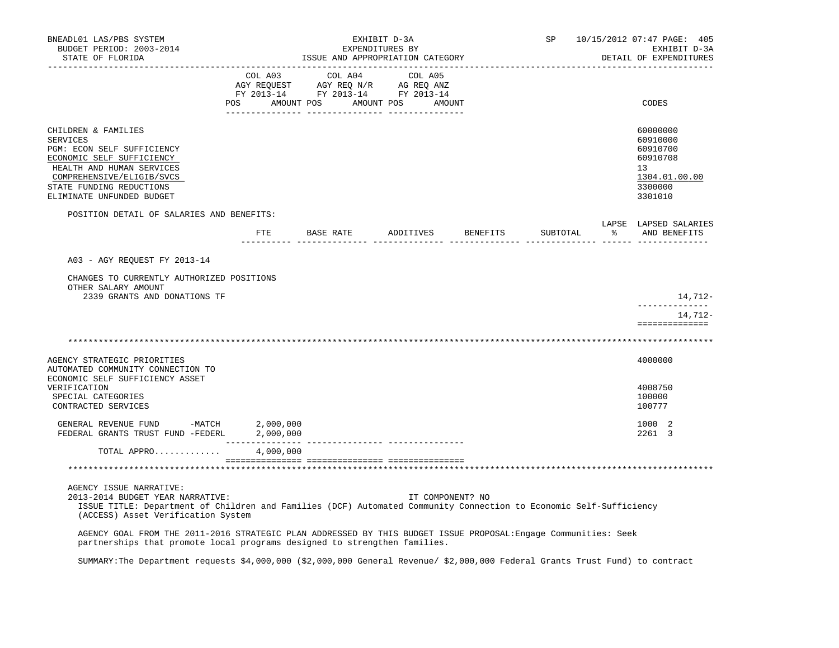| BNEADL01 LAS/PBS SYSTEM<br>BUDGET PERIOD: 2003-2014<br>STATE OF FLORIDA                                                                                                                                                 | EXHIBIT D-3A<br>EXPENDITURES BY<br>ISSUE AND APPROPRIATION CATEGORY                                                                                                                            |           |  |  |  |                  |                                  |                                |          | SP 10/15/2012 07:47 PAGE: 405<br>EXHIBIT D-3A<br>DETAIL OF EXPENDITURES                   |
|-------------------------------------------------------------------------------------------------------------------------------------------------------------------------------------------------------------------------|------------------------------------------------------------------------------------------------------------------------------------------------------------------------------------------------|-----------|--|--|--|------------------|----------------------------------|--------------------------------|----------|-------------------------------------------------------------------------------------------|
|                                                                                                                                                                                                                         | $\begin{tabular}{lcccc} COL A03 & COL A04 & COL A05 \\ AGY REQUEST & AGY REQ N/R & AG REQ ANZ \\ FY & 2013-14 & FY & 2013-14 & FY & 2013-14 \end{tabular}$<br>POS AMOUNT POS AMOUNT POS AMOUNT |           |  |  |  |                  |                                  |                                |          | CODES                                                                                     |
| CHILDREN & FAMILIES<br>SERVICES<br>PGM: ECON SELF SUFFICIENCY<br>ECONOMIC SELF SUFFICIENCY<br>HEALTH AND HUMAN SERVICES<br>COMPREHENSIVE/ELIGIB/SVCS<br>STATE FUNDING REDUCTIONS<br>ELIMINATE UNFUNDED BUDGET           |                                                                                                                                                                                                |           |  |  |  |                  |                                  |                                |          | 60000000<br>60910000<br>60910700<br>60910708<br>13<br>1304.01.00.00<br>3300000<br>3301010 |
| POSITION DETAIL OF SALARIES AND BENEFITS:                                                                                                                                                                               |                                                                                                                                                                                                |           |  |  |  |                  |                                  |                                |          | LAPSE LAPSED SALARIES                                                                     |
|                                                                                                                                                                                                                         |                                                                                                                                                                                                |           |  |  |  |                  | FTE BASE RATE ADDITIVES BENEFITS |                                | SUBTOTAL | AND BENEFITS                                                                              |
| A03 - AGY REQUEST FY 2013-14                                                                                                                                                                                            |                                                                                                                                                                                                |           |  |  |  |                  |                                  |                                |          |                                                                                           |
| CHANGES TO CURRENTLY AUTHORIZED POSITIONS<br>OTHER SALARY AMOUNT<br>2339 GRANTS AND DONATIONS TF                                                                                                                        |                                                                                                                                                                                                |           |  |  |  |                  |                                  |                                |          | 14,712-                                                                                   |
|                                                                                                                                                                                                                         |                                                                                                                                                                                                |           |  |  |  |                  |                                  |                                |          | --------------<br>14,712-<br>==============                                               |
|                                                                                                                                                                                                                         |                                                                                                                                                                                                |           |  |  |  |                  |                                  |                                |          |                                                                                           |
| AGENCY STRATEGIC PRIORITIES<br>AUTOMATED COMMUNITY CONNECTION TO                                                                                                                                                        |                                                                                                                                                                                                |           |  |  |  |                  |                                  |                                |          | 4000000                                                                                   |
| ECONOMIC SELF SUFFICIENCY ASSET<br>VERIFICATION<br>SPECIAL CATEGORIES<br>CONTRACTED SERVICES                                                                                                                            |                                                                                                                                                                                                |           |  |  |  |                  |                                  |                                |          | 4008750<br>100000<br>100777                                                               |
| GENERAL REVENUE FUND -MATCH 2,000,000<br>FEDERAL GRANTS TRUST FUND -FEDERL 2,000,000                                                                                                                                    | ________________                                                                                                                                                                               |           |  |  |  |                  |                                  |                                |          | 1000 2<br>2261 3                                                                          |
| TOTAL APPRO                                                                                                                                                                                                             |                                                                                                                                                                                                | 4,000,000 |  |  |  |                  |                                  |                                |          |                                                                                           |
|                                                                                                                                                                                                                         |                                                                                                                                                                                                |           |  |  |  |                  |                                  | ****************************** |          |                                                                                           |
| AGENCY ISSUE NARRATIVE:<br>2013-2014 BUDGET YEAR NARRATIVE:<br>ISSUE TITLE: Department of Children and Families (DCF) Automated Community Connection to Economic Self-Sufficiency<br>(ACCESS) Asset Verification System |                                                                                                                                                                                                |           |  |  |  | IT COMPONENT? NO |                                  |                                |          |                                                                                           |
| AGENCY GOAL FROM THE 2011-2016 STRATEGIC PLAN ADDRESSED BY THIS BUDGET ISSUE PROPOSAL: Engage Communities: Seek<br>partnerships that promote local programs designed to strengthen families.                            |                                                                                                                                                                                                |           |  |  |  |                  |                                  |                                |          |                                                                                           |

SUMMARY:The Department requests \$4,000,000 (\$2,000,000 General Revenue/ \$2,000,000 Federal Grants Trust Fund) to contract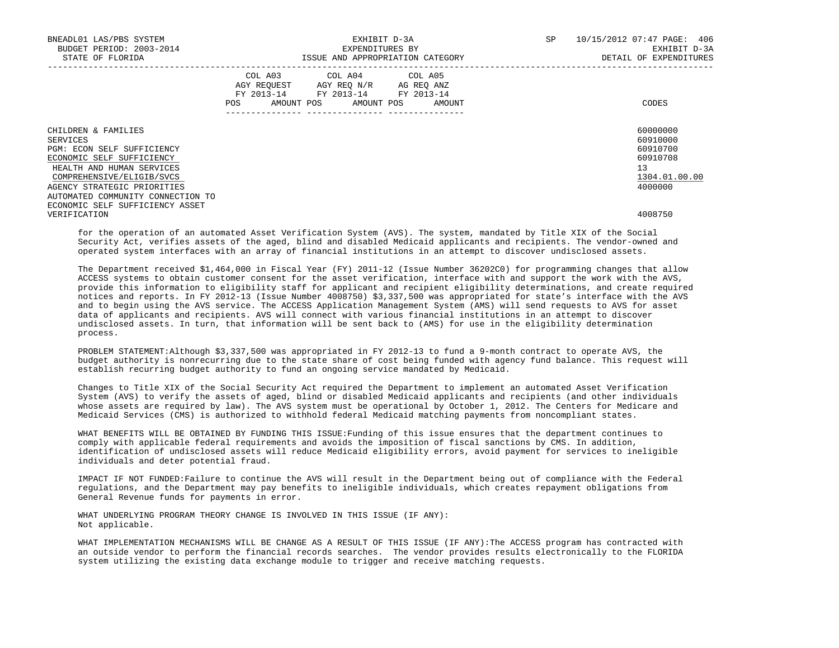| BNEADL01 LAS/PBS SYSTEM<br>BUDGET PERIOD: 2003-2014<br>STATE OF FLORIDA |     |  | EXHIBIT D-3A<br>EXPENDITURES BY<br>ISSUE AND APPROPRIATION CATEGORY                                                        |  | <b>SP</b> | 10/15/2012 07:47 PAGE: 406<br>EXHIBIT D-3A<br>DETAIL OF EXPENDITURES |               |
|-------------------------------------------------------------------------|-----|--|----------------------------------------------------------------------------------------------------------------------------|--|-----------|----------------------------------------------------------------------|---------------|
|                                                                         | POS |  | COL A03 COL A04 COL A05<br>AGY REOUEST AGY REO N/R AG REO ANZ<br>FY 2013-14 FY 2013-14 FY 2013-14<br>AMOUNT POS AMOUNT POS |  | AMOUNT    |                                                                      | CODES         |
|                                                                         |     |  | --------------   -----------------                                                                                         |  |           |                                                                      |               |
| CHILDREN & FAMILIES                                                     |     |  |                                                                                                                            |  |           |                                                                      | 60000000      |
| SERVICES                                                                |     |  |                                                                                                                            |  |           |                                                                      | 60910000      |
| PGM: ECON SELF SUFFICIENCY                                              |     |  |                                                                                                                            |  |           |                                                                      | 60910700      |
| ECONOMIC SELF SUFFICIENCY                                               |     |  |                                                                                                                            |  |           |                                                                      | 60910708      |
| HEALTH AND HUMAN SERVICES                                               |     |  |                                                                                                                            |  |           |                                                                      | 13            |
| COMPREHENSIVE/ELIGIB/SVCS                                               |     |  |                                                                                                                            |  |           |                                                                      | 1304.01.00.00 |
| AGENCY STRATEGIC PRIORITIES                                             |     |  |                                                                                                                            |  |           |                                                                      | 4000000       |
| AUTOMATED COMMUNITY CONNECTION TO                                       |     |  |                                                                                                                            |  |           |                                                                      |               |
| ECONOMIC SELF SUFFICIENCY ASSET                                         |     |  |                                                                                                                            |  |           |                                                                      |               |
| VERIFICATION                                                            |     |  |                                                                                                                            |  |           |                                                                      | 4008750       |

 for the operation of an automated Asset Verification System (AVS). The system, mandated by Title XIX of the Social Security Act, verifies assets of the aged, blind and disabled Medicaid applicants and recipients. The vendor-owned and operated system interfaces with an array of financial institutions in an attempt to discover undisclosed assets.

 The Department received \$1,464,000 in Fiscal Year (FY) 2011-12 (Issue Number 36202C0) for programming changes that allow ACCESS systems to obtain customer consent for the asset verification, interface with and support the work with the AVS, provide this information to eligibility staff for applicant and recipient eligibility determinations, and create required notices and reports. In FY 2012-13 (Issue Number 4008750) \$3,337,500 was appropriated for state's interface with the AVS and to begin using the AVS service. The ACCESS Application Management System (AMS) will send requests to AVS for asset data of applicants and recipients. AVS will connect with various financial institutions in an attempt to discover undisclosed assets. In turn, that information will be sent back to (AMS) for use in the eligibility determination process.

 PROBLEM STATEMENT:Although \$3,337,500 was appropriated in FY 2012-13 to fund a 9-month contract to operate AVS, the budget authority is nonrecurring due to the state share of cost being funded with agency fund balance. This request will establish recurring budget authority to fund an ongoing service mandated by Medicaid.

 Changes to Title XIX of the Social Security Act required the Department to implement an automated Asset Verification System (AVS) to verify the assets of aged, blind or disabled Medicaid applicants and recipients (and other individuals whose assets are required by law). The AVS system must be operational by October 1, 2012. The Centers for Medicare and Medicaid Services (CMS) is authorized to withhold federal Medicaid matching payments from noncompliant states.

 WHAT BENEFITS WILL BE OBTAINED BY FUNDING THIS ISSUE:Funding of this issue ensures that the department continues to comply with applicable federal requirements and avoids the imposition of fiscal sanctions by CMS. In addition, identification of undisclosed assets will reduce Medicaid eligibility errors, avoid payment for services to ineligible individuals and deter potential fraud.

 IMPACT IF NOT FUNDED:Failure to continue the AVS will result in the Department being out of compliance with the Federal regulations, and the Department may pay benefits to ineligible individuals, which creates repayment obligations from General Revenue funds for payments in error.

 WHAT UNDERLYING PROGRAM THEORY CHANGE IS INVOLVED IN THIS ISSUE (IF ANY): Not applicable.

 WHAT IMPLEMENTATION MECHANISMS WILL BE CHANGE AS A RESULT OF THIS ISSUE (IF ANY):The ACCESS program has contracted with an outside vendor to perform the financial records searches. The vendor provides results electronically to the FLORIDA system utilizing the existing data exchange module to trigger and receive matching requests.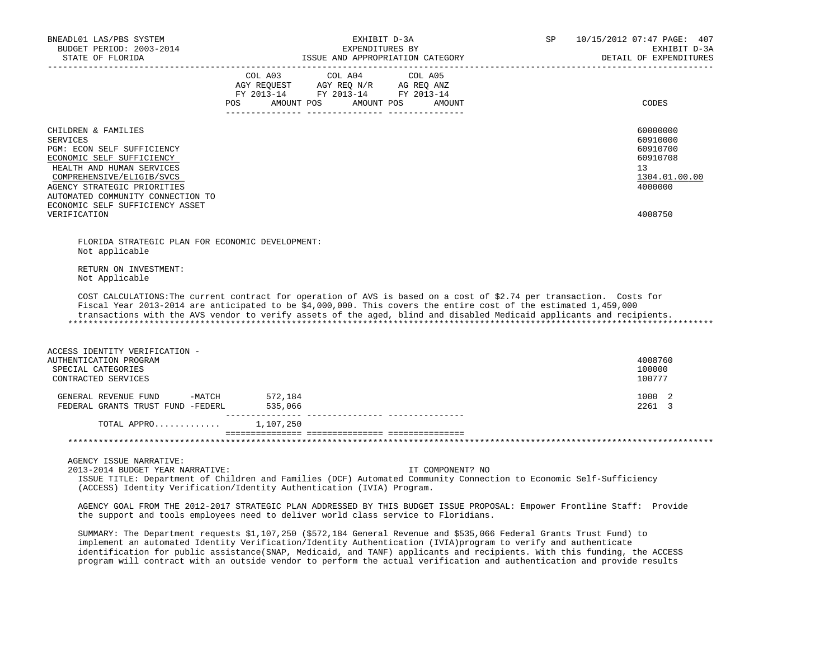| BNEADL01 LAS/PBS SYSTEM<br>BUDGET PERIOD: 2003-2014<br>STATE OF FLORIDA                                                                                                                                                                                                                                                                                          |                             |                                                                                                 | EXHIBIT D-3A<br>EXPENDITURES BY<br>ISSUE AND APPROPRIATION CATEGORY | SP | 10/15/2012 07:47 PAGE: 407<br>EXHIBIT D-3A<br>DETAIL OF EXPENDITURES<br>_________________________ |
|------------------------------------------------------------------------------------------------------------------------------------------------------------------------------------------------------------------------------------------------------------------------------------------------------------------------------------------------------------------|-----------------------------|-------------------------------------------------------------------------------------------------|---------------------------------------------------------------------|----|---------------------------------------------------------------------------------------------------|
|                                                                                                                                                                                                                                                                                                                                                                  | COL A03<br><b>POS</b>       | COL A04<br>AGY REQUEST AGY REQ N/R AG REQ ANZ<br>FY 2013-14 FY 2013-14 FY 2013-14<br>AMOUNT POS | COL A05<br>AMOUNT POS AMOUNT                                        |    | CODES                                                                                             |
| CHILDREN & FAMILIES<br><b>SERVICES</b><br>PGM: ECON SELF SUFFICIENCY<br>ECONOMIC SELF SUFFICIENCY<br>HEALTH AND HUMAN SERVICES<br>COMPREHENSIVE/ELIGIB/SVCS<br>AGENCY STRATEGIC PRIORITIES<br>AUTOMATED COMMUNITY CONNECTION TO<br>ECONOMIC SELF SUFFICIENCY ASSET<br>VERIFICATION                                                                               |                             |                                                                                                 |                                                                     |    | 60000000<br>60910000<br>60910700<br>60910708<br>13<br>1304.01.00.00<br>4000000<br>4008750         |
| FLORIDA STRATEGIC PLAN FOR ECONOMIC DEVELOPMENT:<br>Not applicable<br>RETURN ON INVESTMENT:<br>Not Applicable                                                                                                                                                                                                                                                    |                             |                                                                                                 |                                                                     |    |                                                                                                   |
| COST CALCULATIONS: The current contract for operation of AVS is based on a cost of \$2.74 per transaction. Costs for<br>Fiscal Year 2013-2014 are anticipated to be \$4,000,000. This covers the entire cost of the estimated 1,459,000<br>transactions with the AVS vendor to verify assets of the aged, blind and disabled Medicaid applicants and recipients. |                             |                                                                                                 |                                                                     |    |                                                                                                   |
| ACCESS IDENTITY VERIFICATION -<br>AUTHENTICATION PROGRAM<br>SPECIAL CATEGORIES<br>CONTRACTED SERVICES                                                                                                                                                                                                                                                            |                             |                                                                                                 |                                                                     |    | 4008760<br>100000<br>100777                                                                       |
| GENERAL REVENUE FUND<br>FEDERAL GRANTS TRUST FUND -FEDERL                                                                                                                                                                                                                                                                                                        | $-MATCH$ 572,184<br>535,066 |                                                                                                 |                                                                     |    | 1000 2<br>2261 3                                                                                  |
| TOTAL APPRO                                                                                                                                                                                                                                                                                                                                                      | 1,107,250                   |                                                                                                 |                                                                     |    |                                                                                                   |
|                                                                                                                                                                                                                                                                                                                                                                  |                             |                                                                                                 |                                                                     |    |                                                                                                   |
| AGENCY ISSUE NARRATIVE:<br>2013-2014 BUDGET YEAR NARRATIVE:<br>ISSUE TITLE: Department of Children and Families (DCF) Automated Community Connection to Economic Self-Sufficiency<br>(ACCESS) Identity Verification/Identity Authentication (IVIA) Program.                                                                                                      |                             |                                                                                                 | IT COMPONENT? NO                                                    |    |                                                                                                   |

 AGENCY GOAL FROM THE 2012-2017 STRATEGIC PLAN ADDRESSED BY THIS BUDGET ISSUE PROPOSAL: Empower Frontline Staff: Provide the support and tools employees need to deliver world class service to Floridians.

 SUMMARY: The Department requests \$1,107,250 (\$572,184 General Revenue and \$535,066 Federal Grants Trust Fund) to implement an automated Identity Verification/Identity Authentication (IVIA)program to verify and authenticate identification for public assistance(SNAP, Medicaid, and TANF) applicants and recipients. With this funding, the ACCESS program will contract with an outside vendor to perform the actual verification and authentication and provide results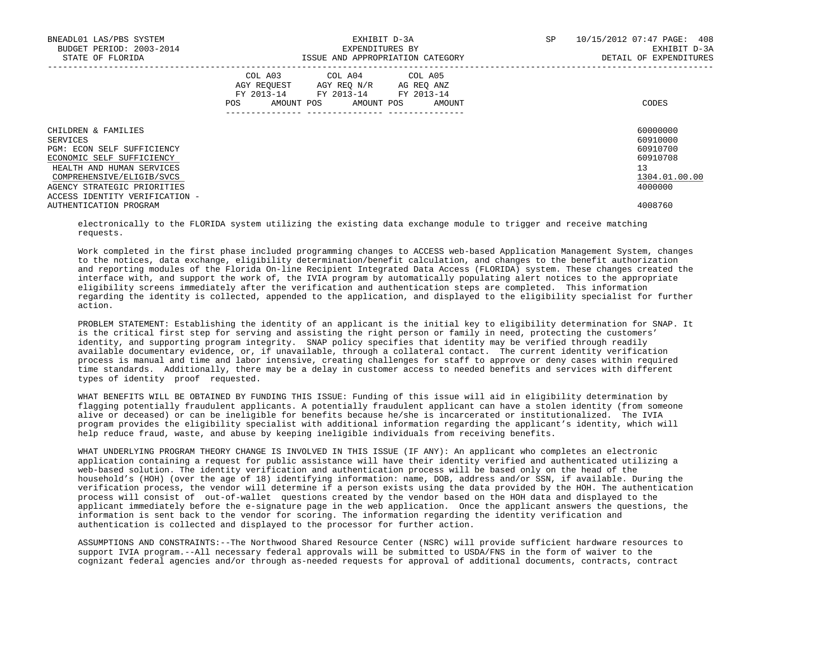| BNEADL01 LAS/PBS SYSTEM<br>BUDGET PERIOD: 2003-2014<br>STATE OF FLORIDA |                                                                                                                                   | EXHIBIT D-3A<br>EXPENDITURES BY<br>ISSUE AND APPROPRIATION CATEGORY | SP | 10/15/2012 07:47 PAGE: 408<br>EXHIBIT D-3A<br>DETAIL OF EXPENDITURES |  |
|-------------------------------------------------------------------------|-----------------------------------------------------------------------------------------------------------------------------------|---------------------------------------------------------------------|----|----------------------------------------------------------------------|--|
|                                                                         | COL A03 COL A04 COL A05<br>AGY REQUEST AGY REO N/R AG REO ANZ<br>FY 2013-14 FY 2013-14 FY 2013-14<br>AMOUNT POS AMOUNT POS<br>POS | AMOUNT                                                              |    | CODES                                                                |  |
| CHILDREN & FAMILIES                                                     |                                                                                                                                   |                                                                     |    | 60000000                                                             |  |
| SERVICES                                                                |                                                                                                                                   |                                                                     |    | 60910000                                                             |  |
| PGM: ECON SELF SUFFICIENCY                                              |                                                                                                                                   |                                                                     |    | 60910700                                                             |  |
| ECONOMIC SELF SUFFICIENCY                                               |                                                                                                                                   |                                                                     |    | 60910708                                                             |  |
| HEALTH AND HUMAN SERVICES                                               |                                                                                                                                   |                                                                     |    | 13                                                                   |  |
| COMPREHENSIVE/ELIGIB/SVCS                                               |                                                                                                                                   |                                                                     |    | 1304.01.00.00                                                        |  |
| AGENCY STRATEGIC PRIORITIES                                             |                                                                                                                                   |                                                                     |    | 4000000                                                              |  |
| ACCESS IDENTITY VERIFICATION -                                          |                                                                                                                                   |                                                                     |    |                                                                      |  |
| AUTHENTICATION PROGRAM                                                  |                                                                                                                                   |                                                                     |    | 4008760                                                              |  |

 electronically to the FLORIDA system utilizing the existing data exchange module to trigger and receive matching requests.

 Work completed in the first phase included programming changes to ACCESS web-based Application Management System, changes to the notices, data exchange, eligibility determination/benefit calculation, and changes to the benefit authorization and reporting modules of the Florida On-line Recipient Integrated Data Access (FLORIDA) system. These changes created the interface with, and support the work of, the IVIA program by automatically populating alert notices to the appropriate eligibility screens immediately after the verification and authentication steps are completed. This information regarding the identity is collected, appended to the application, and displayed to the eligibility specialist for further action.

 PROBLEM STATEMENT: Establishing the identity of an applicant is the initial key to eligibility determination for SNAP. It is the critical first step for serving and assisting the right person or family in need, protecting the customers' identity, and supporting program integrity. SNAP policy specifies that identity may be verified through readily available documentary evidence, or, if unavailable, through a collateral contact. The current identity verification process is manual and time and labor intensive, creating challenges for staff to approve or deny cases within required time standards. Additionally, there may be a delay in customer access to needed benefits and services with different types of identity proof requested.

 WHAT BENEFITS WILL BE OBTAINED BY FUNDING THIS ISSUE: Funding of this issue will aid in eligibility determination by flagging potentially fraudulent applicants. A potentially fraudulent applicant can have a stolen identity (from someone alive or deceased) or can be ineligible for benefits because he/she is incarcerated or institutionalized. The IVIA program provides the eligibility specialist with additional information regarding the applicant's identity, which will help reduce fraud, waste, and abuse by keeping ineligible individuals from receiving benefits.

 WHAT UNDERLYING PROGRAM THEORY CHANGE IS INVOLVED IN THIS ISSUE (IF ANY): An applicant who completes an electronic application containing a request for public assistance will have their identity verified and authenticated utilizing a web-based solution. The identity verification and authentication process will be based only on the head of the household's (HOH) (over the age of 18) identifying information: name, DOB, address and/or SSN, if available. During the verification process, the vendor will determine if a person exists using the data provided by the HOH. The authentication process will consist of out-of-wallet questions created by the vendor based on the HOH data and displayed to the applicant immediately before the e-signature page in the web application. Once the applicant answers the questions, the information is sent back to the vendor for scoring. The information regarding the identity verification and authentication is collected and displayed to the processor for further action.

 ASSUMPTIONS AND CONSTRAINTS:--The Northwood Shared Resource Center (NSRC) will provide sufficient hardware resources to support IVIA program.--All necessary federal approvals will be submitted to USDA/FNS in the form of waiver to the cognizant federal agencies and/or through as-needed requests for approval of additional documents, contracts, contract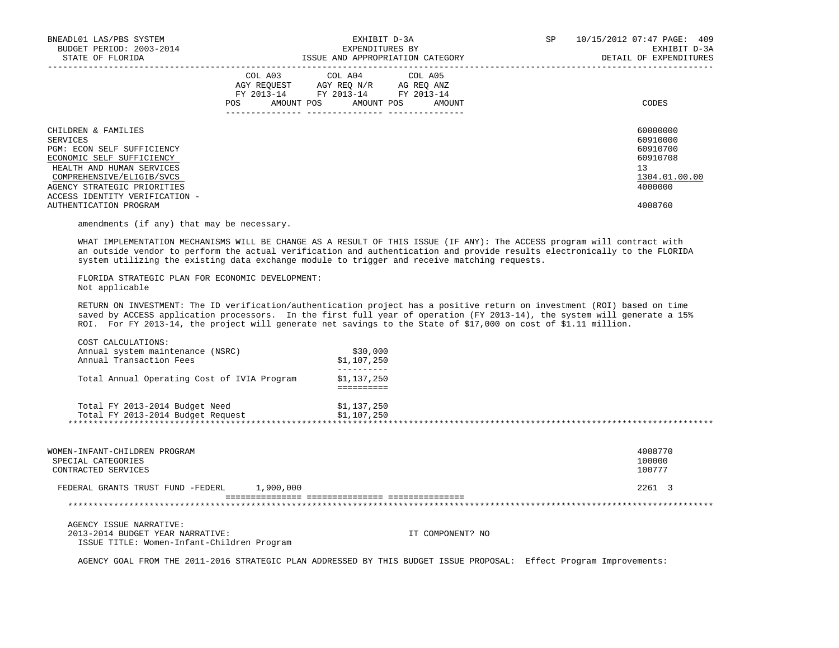| BNEADL01 LAS/PBS SYSTEM<br>BUDGET PERIOD: 2003-2014<br>STATE OF FLORIDA                                                                                                                                               | EXHIBIT D-3A<br>EXPENDITURES BY<br>ISSUE AND APPROPRIATION CATEGORY                                                                         | SP<br>10/15/2012 07:47 PAGE: 409<br>EXHIBIT D-3A<br>DETAIL OF EXPENDITURES     |
|-----------------------------------------------------------------------------------------------------------------------------------------------------------------------------------------------------------------------|---------------------------------------------------------------------------------------------------------------------------------------------|--------------------------------------------------------------------------------|
|                                                                                                                                                                                                                       | COL A03 COL A04 COL A05<br>AGY REOUEST AGY REO N/R AG REO ANZ<br>FY 2013-14 FY 2013-14 FY 2013-14<br>AMOUNT POS AMOUNT POS<br>POS<br>AMOUNT | CODES                                                                          |
| CHILDREN & FAMILIES<br>SERVICES<br>PGM: ECON SELF SUFFICIENCY<br>ECONOMIC SELF SUFFICIENCY<br>HEALTH AND HUMAN SERVICES<br>COMPREHENSIVE/ELIGIB/SVCS<br>AGENCY STRATEGIC PRIORITIES<br>ACCESS IDENTITY VERIFICATION - |                                                                                                                                             | 60000000<br>60910000<br>60910700<br>60910708<br>13<br>1304.01.00.00<br>4000000 |
| AUTHENTICATION PROGRAM                                                                                                                                                                                                |                                                                                                                                             | 4008760                                                                        |

amendments (if any) that may be necessary.

 WHAT IMPLEMENTATION MECHANISMS WILL BE CHANGE AS A RESULT OF THIS ISSUE (IF ANY): The ACCESS program will contract with an outside vendor to perform the actual verification and authentication and provide results electronically to the FLORIDA system utilizing the existing data exchange module to trigger and receive matching requests.

 FLORIDA STRATEGIC PLAN FOR ECONOMIC DEVELOPMENT: Not applicable

 RETURN ON INVESTMENT: The ID verification/authentication project has a positive return on investment (ROI) based on time saved by ACCESS application processors. In the first full year of operation (FY 2013-14), the system will generate a 15% ROI. For FY 2013-14, the project will generate net savings to the State of \$17,000 on cost of \$1.11 million.

| Annual system maintenance (NSRC)<br>Annual Transaction Fees | \$30,000<br>\$1,107,250 |
|-------------------------------------------------------------|-------------------------|
| Total Annual Operating Cost of IVIA Program                 | \$1,137,250             |
|                                                             |                         |
| Total FY 2013-2014 Budget Need                              | \$1,137,250             |
| Total FY 2013-2014 Budget Request                           | \$1,107,250             |

| WOMEN-INFANT-CHILDREN PROGRAM<br>SPECIAL CATEGORIES<br>CONTRACTED SERVICES                                |           | 4008770<br>100000<br>100777 |
|-----------------------------------------------------------------------------------------------------------|-----------|-----------------------------|
| FEDERAL GRANTS TRUST FUND -FEDERL                                                                         | 1,900,000 | 2261 3                      |
|                                                                                                           |           |                             |
| AGENCY ISSUE NARRATIVE:<br>2013-2014 BUDGET YEAR NARRATIVE:<br>ISSUE TITLE: Women-Infant-Children Program |           | IT COMPONENT? NO            |

AGENCY GOAL FROM THE 2011-2016 STRATEGIC PLAN ADDRESSED BY THIS BUDGET ISSUE PROPOSAL: Effect Program Improvements: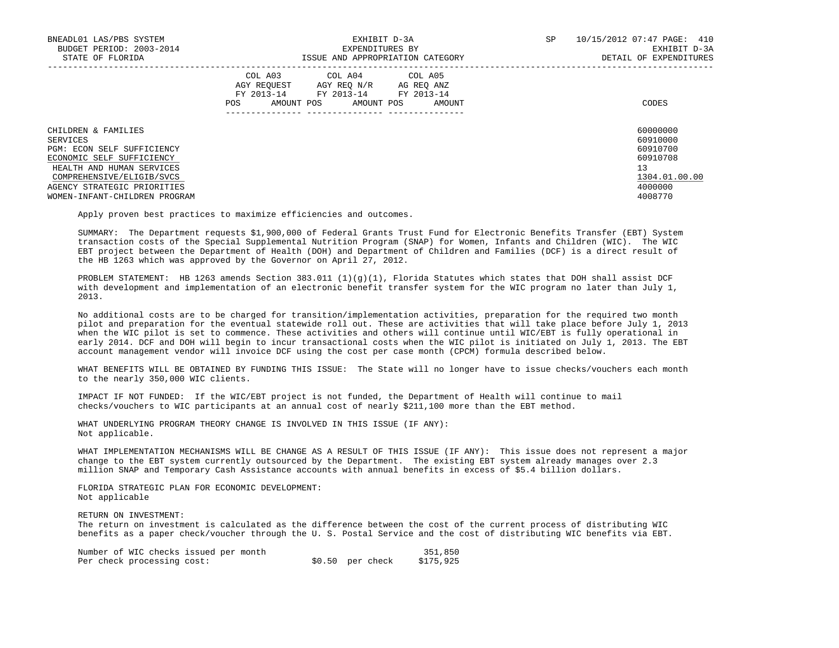| BNEADL01 LAS/PBS SYSTEM         | EXHIBIT D-3A                                                                                                                                                   | 10/15/2012 07:47 PAGE: 410<br>SP |
|---------------------------------|----------------------------------------------------------------------------------------------------------------------------------------------------------------|----------------------------------|
| BUDGET PERIOD: 2003-2014        | EXPENDITURES BY                                                                                                                                                | EXHIBIT D-3A                     |
| STATE OF FLORIDA                | ISSUE AND APPROPRIATION CATEGORY                                                                                                                               | DETAIL OF EXPENDITURES           |
|                                 | COL A03<br>COL A04 COL A05<br>AGY REOUEST<br>AGY REO N/R<br>AG REO ANZ<br>FY 2013-14<br>FY 2013-14<br>FY 2013-14<br>AMOUNT POS<br>AMOUNT POS<br>POS.<br>AMOUNT | CODES                            |
| CHILDREN & FAMILIES<br>SERVICES |                                                                                                                                                                | 60000000<br>60910000             |
| PGM: ECON SELF SUFFICIENCY      |                                                                                                                                                                | 60910700                         |
| ECONOMIC SELF SUFFICIENCY       |                                                                                                                                                                | 60910708                         |
| HEALTH AND HUMAN SERVICES       |                                                                                                                                                                | 13                               |
| COMPREHENSIVE/ELIGIB/SVCS       |                                                                                                                                                                | 1304.01.00.00                    |
| AGENCY STRATEGIC PRIORITIES     |                                                                                                                                                                | 4000000                          |
| WOMEN-INFANT-CHILDREN PROGRAM   |                                                                                                                                                                | 4008770                          |

Apply proven best practices to maximize efficiencies and outcomes.

 SUMMARY: The Department requests \$1,900,000 of Federal Grants Trust Fund for Electronic Benefits Transfer (EBT) System transaction costs of the Special Supplemental Nutrition Program (SNAP) for Women, Infants and Children (WIC). The WIC EBT project between the Department of Health (DOH) and Department of Children and Families (DCF) is a direct result of the HB 1263 which was approved by the Governor on April 27, 2012.

PROBLEM STATEMENT: HB 1263 amends Section 383.011 (1)(g)(1), Florida Statutes which states that DOH shall assist DCF with development and implementation of an electronic benefit transfer system for the WIC program no later than July 1, 2013.

 No additional costs are to be charged for transition/implementation activities, preparation for the required two month pilot and preparation for the eventual statewide roll out. These are activities that will take place before July 1, 2013 when the WIC pilot is set to commence. These activities and others will continue until WIC/EBT is fully operational in early 2014. DCF and DOH will begin to incur transactional costs when the WIC pilot is initiated on July 1, 2013. The EBT account management vendor will invoice DCF using the cost per case month (CPCM) formula described below.

 WHAT BENEFITS WILL BE OBTAINED BY FUNDING THIS ISSUE: The State will no longer have to issue checks/vouchers each month to the nearly 350,000 WIC clients.

 IMPACT IF NOT FUNDED: If the WIC/EBT project is not funded, the Department of Health will continue to mail checks/vouchers to WIC participants at an annual cost of nearly \$211,100 more than the EBT method.

 WHAT UNDERLYING PROGRAM THEORY CHANGE IS INVOLVED IN THIS ISSUE (IF ANY): Not applicable.

 WHAT IMPLEMENTATION MECHANISMS WILL BE CHANGE AS A RESULT OF THIS ISSUE (IF ANY): This issue does not represent a major change to the EBT system currently outsourced by the Department. The existing EBT system already manages over 2.3 million SNAP and Temporary Cash Assistance accounts with annual benefits in excess of \$5.4 billion dollars.

 FLORIDA STRATEGIC PLAN FOR ECONOMIC DEVELOPMENT: Not applicable

RETURN ON INVESTMENT:

 The return on investment is calculated as the difference between the cost of the current process of distributing WIC benefits as a paper check/voucher through the U. S. Postal Service and the cost of distributing WIC benefits via EBT.

| Number of WIC checks issued per month |                  | 351,850   |
|---------------------------------------|------------------|-----------|
| Per check processing cost:            | \$0.50 per check | \$175,925 |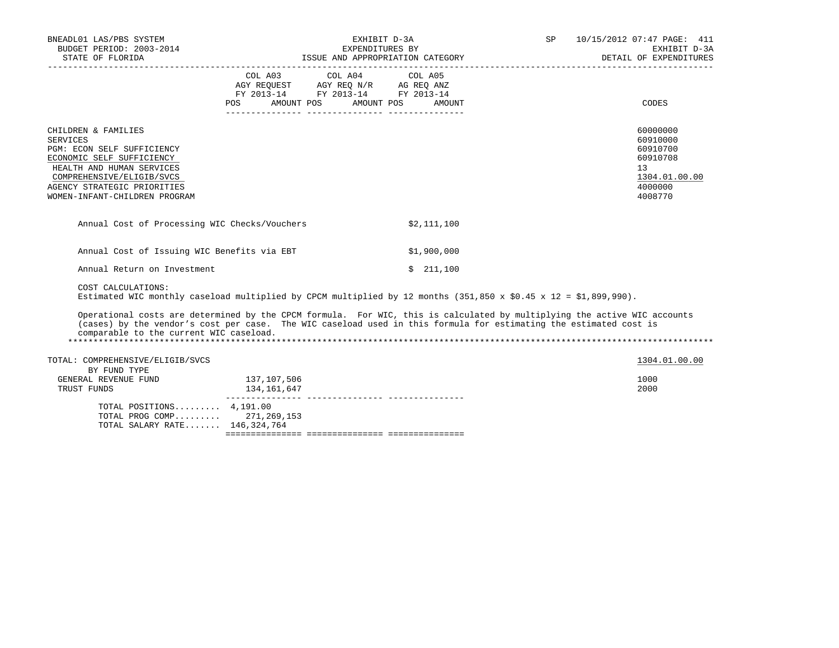| BNEADL01 LAS/PBS SYSTEM<br>BUDGET PERIOD: 2003-2014                                                                                                                                                                                                                                      |                            | EXHIBIT D-3A<br>EXPENDITURES BY                                                                                                                                                                                        |                      | SP | 10/15/2012 07:47 PAGE: 411<br>EXHIBIT D-3A<br>DETAIL OF EXPENDITURES                                   |
|------------------------------------------------------------------------------------------------------------------------------------------------------------------------------------------------------------------------------------------------------------------------------------------|----------------------------|------------------------------------------------------------------------------------------------------------------------------------------------------------------------------------------------------------------------|----------------------|----|--------------------------------------------------------------------------------------------------------|
|                                                                                                                                                                                                                                                                                          | POS<br>AMOUNT POS          | COL A03 COL A04 COL A05<br>$\begin{tabular}{lllllll} \bf AGY \,\, REQUEST \,\, &\bf AGY \,\, REQ \,\, N/R &\bf AG \,\, REQ \,\, ANZ \\ \bf FY \,\, 2013-14 &\bf FY \,\, 2013-14 &\bf FY \,\, 2013-14 \\ \end{tabular}$ | AMOUNT POS<br>AMOUNT |    | CODES                                                                                                  |
| CHILDREN & FAMILIES<br><b>SERVICES</b><br>PGM: ECON SELF SUFFICIENCY<br>ECONOMIC SELF SUFFICIENCY<br>HEALTH AND HUMAN SERVICES<br>COMPREHENSIVE/ELIGIB/SVCS<br>AGENCY STRATEGIC PRIORITIES<br>WOMEN-INFANT-CHILDREN PROGRAM                                                              |                            |                                                                                                                                                                                                                        |                      |    | 60000000<br>60910000<br>60910700<br>60910708<br>13 <sup>°</sup><br>1304.01.00.00<br>4000000<br>4008770 |
| Annual Cost of Processing WIC Checks/Vouchers                                                                                                                                                                                                                                            |                            |                                                                                                                                                                                                                        | \$2,111,100          |    |                                                                                                        |
| Annual Cost of Issuing WIC Benefits via EBT                                                                                                                                                                                                                                              |                            |                                                                                                                                                                                                                        | \$1,900,000          |    |                                                                                                        |
| Annual Return on Investment                                                                                                                                                                                                                                                              |                            |                                                                                                                                                                                                                        | \$211,100            |    |                                                                                                        |
| COST CALCULATIONS:<br>Estimated WIC monthly caseload multiplied by CPCM multiplied by 12 months (351,850 x \$0.45 x 12 = \$1,899,990).                                                                                                                                                   |                            |                                                                                                                                                                                                                        |                      |    |                                                                                                        |
| Operational costs are determined by the CPCM formula. For WIC, this is calculated by multiplying the active WIC accounts<br>(cases) by the vendor's cost per case. The WIC caseload used in this formula for estimating the estimated cost is<br>comparable to the current WIC caseload. |                            |                                                                                                                                                                                                                        |                      |    |                                                                                                        |
| TOTAL: COMPREHENSIVE/ELIGIB/SVCS<br>BY FUND TYPE                                                                                                                                                                                                                                         |                            |                                                                                                                                                                                                                        |                      |    | 1304.01.00.00                                                                                          |
| GENERAL REVENUE FUND<br>TRUST FUNDS                                                                                                                                                                                                                                                      | 137,107,506<br>134,161,647 |                                                                                                                                                                                                                        |                      |    | 1000<br>2000                                                                                           |
| TOTAL POSITIONS $4.191.00$<br>TOTAL PROG COMP 271,269,153<br>TOTAL SALARY RATE 146,324,764                                                                                                                                                                                               |                            |                                                                                                                                                                                                                        |                      |    |                                                                                                        |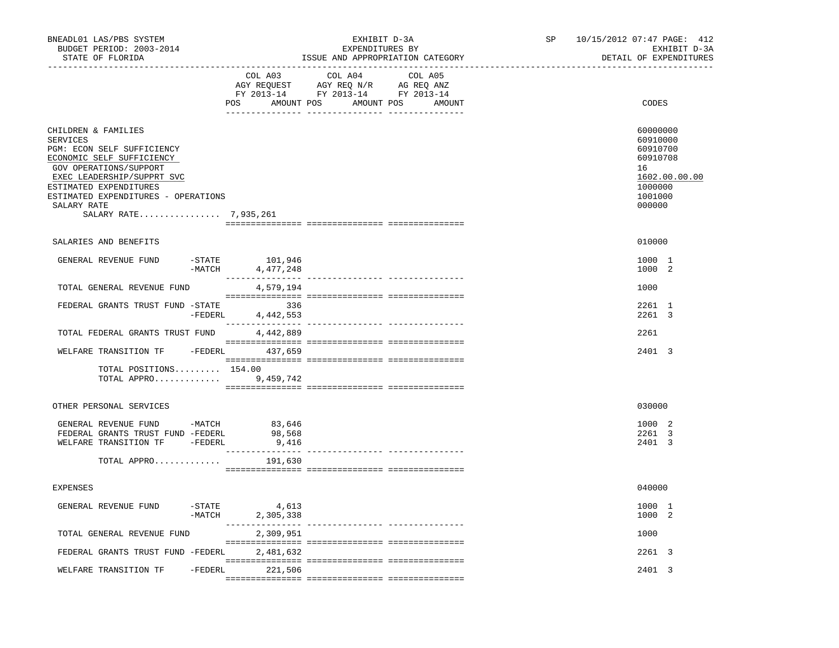| BNEADL01 LAS/PBS SYSTEM<br>BUDGET PERIOD: 2003-2014<br>STATE OF FLORIDA                                                                                                                                                                                            |           |                               | EXHIBIT D-3A<br>EXPENDITURES BY<br>_________________________________              | ISSUE AND APPROPRIATION CATEGORY        | SP 10/15/2012 07:47 PAGE: 412<br>EXHIBIT D-3A<br>DETAIL OF EXPENDITURES                             |
|--------------------------------------------------------------------------------------------------------------------------------------------------------------------------------------------------------------------------------------------------------------------|-----------|-------------------------------|-----------------------------------------------------------------------------------|-----------------------------------------|-----------------------------------------------------------------------------------------------------|
|                                                                                                                                                                                                                                                                    |           | COL A03<br>POS                | COL A04<br>AGY REQUEST AGY REQ N/R AG REQ ANZ<br>FY 2013-14 FY 2013-14 FY 2013-14 | COL A05<br>AMOUNT POS AMOUNT POS AMOUNT | CODES                                                                                               |
| CHILDREN & FAMILIES<br><b>SERVICES</b><br>PGM: ECON SELF SUFFICIENCY<br>ECONOMIC SELF SUFFICIENCY<br>GOV OPERATIONS/SUPPORT<br>EXEC LEADERSHIP/SUPPRT SVC<br>ESTIMATED EXPENDITURES<br>ESTIMATED EXPENDITURES - OPERATIONS<br>SALARY RATE<br>SALARY RATE 7,935,261 |           |                               |                                                                                   |                                         | 60000000<br>60910000<br>60910700<br>60910708<br>16<br>1602.00.00.00<br>1000000<br>1001000<br>000000 |
| SALARIES AND BENEFITS                                                                                                                                                                                                                                              |           |                               |                                                                                   |                                         | 010000                                                                                              |
| GENERAL REVENUE FUND                                                                                                                                                                                                                                               | $-MATCH$  | $-STATE$ 101,946<br>4,477,248 |                                                                                   |                                         | 1000 1<br>1000 2                                                                                    |
| TOTAL GENERAL REVENUE FUND                                                                                                                                                                                                                                         |           | 4,579,194                     |                                                                                   |                                         | 1000                                                                                                |
| FEDERAL GRANTS TRUST FUND -STATE                                                                                                                                                                                                                                   | -FEDERL   | 336<br>4,442,553              |                                                                                   |                                         | 2261 1<br>2261 3                                                                                    |
| TOTAL FEDERAL GRANTS TRUST FUND                                                                                                                                                                                                                                    |           | 4,442,889                     |                                                                                   |                                         | 2261                                                                                                |
| WELFARE TRANSITION TF -FEDERL 437,659                                                                                                                                                                                                                              |           |                               |                                                                                   |                                         | 2401 3                                                                                              |
| TOTAL POSITIONS 154.00<br>TOTAL APPRO                                                                                                                                                                                                                              |           | 9,459,742                     |                                                                                   |                                         |                                                                                                     |
| OTHER PERSONAL SERVICES                                                                                                                                                                                                                                            |           |                               |                                                                                   |                                         | 030000                                                                                              |
| GENERAL REVENUE FUND -MATCH 83,646<br>FEDERAL GRANTS TRUST FUND -FEDERL<br>WELFARE TRANSITION TF -FEDERL<br>TOTAL APPRO                                                                                                                                            |           | 98,568<br>9,416<br>191,630    |                                                                                   |                                         | 1000 2<br>2261 3<br>2401 3                                                                          |
|                                                                                                                                                                                                                                                                    |           |                               |                                                                                   |                                         |                                                                                                     |
| EXPENSES                                                                                                                                                                                                                                                           |           |                               |                                                                                   |                                         | 040000                                                                                              |
| GENERAL REVENUE FUND -STATE 4,613                                                                                                                                                                                                                                  | -MATCH    | 2,305,338                     |                                                                                   | ------------ ---------------            | 1000 1<br>1000 2                                                                                    |
| TOTAL GENERAL REVENUE FUND                                                                                                                                                                                                                                         |           | 2,309,951                     |                                                                                   |                                         | 1000                                                                                                |
| FEDERAL GRANTS TRUST FUND -FEDERL                                                                                                                                                                                                                                  |           | 2,481,632                     |                                                                                   |                                         | 2261 3                                                                                              |
| WELFARE TRANSITION TF                                                                                                                                                                                                                                              | $-FEDERL$ | 221,506                       |                                                                                   |                                         | 2401 3                                                                                              |
|                                                                                                                                                                                                                                                                    |           |                               |                                                                                   |                                         |                                                                                                     |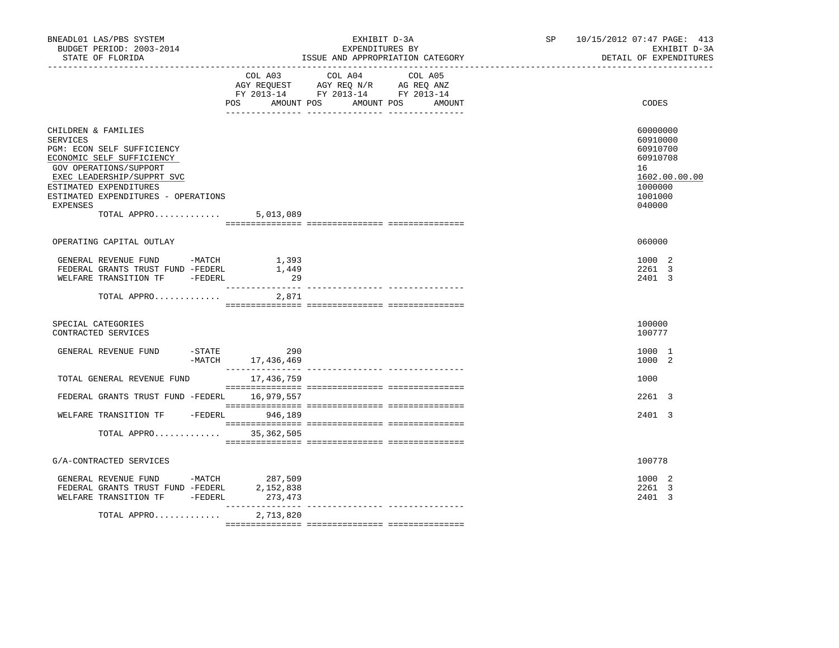| BNEADL01 LAS/PBS SYSTEM<br>BUDGET PERIOD: 2003-2014<br>STATE OF FLORIDA                                                                                                                                                                               |                            | EXHIBIT D-3A<br>EXPENDITURES BY<br>ISSUE AND APPROPRIATION CATEGORY                                                       | SP 10/15/2012 07:47 PAGE: 413<br>EXHIBIT D-3A<br>DETAIL OF EXPENDITURES                             |
|-------------------------------------------------------------------------------------------------------------------------------------------------------------------------------------------------------------------------------------------------------|----------------------------|---------------------------------------------------------------------------------------------------------------------------|-----------------------------------------------------------------------------------------------------|
|                                                                                                                                                                                                                                                       | POS<br>AMOUNT POS          | COL A03 COL A04 COL A05<br>AGY REQUEST AGY REQ N/R AG REQ ANZ<br>FY 2013-14 FY 2013-14 FY 2013-14<br>AMOUNT POS<br>AMOUNT | CODES                                                                                               |
| CHILDREN & FAMILIES<br><b>SERVICES</b><br>PGM: ECON SELF SUFFICIENCY<br>ECONOMIC SELF SUFFICIENCY<br>GOV OPERATIONS/SUPPORT<br>EXEC LEADERSHIP/SUPPRT SVC<br>ESTIMATED EXPENDITURES<br>ESTIMATED EXPENDITURES - OPERATIONS<br>EXPENSES<br>TOTAL APPRO | 5,013,089                  |                                                                                                                           | 60000000<br>60910000<br>60910700<br>60910708<br>16<br>1602.00.00.00<br>1000000<br>1001000<br>040000 |
| OPERATING CAPITAL OUTLAY                                                                                                                                                                                                                              |                            |                                                                                                                           | 060000                                                                                              |
| GENERAL REVENUE FUND -MATCH<br>FEDERAL GRANTS TRUST FUND -FEDERL<br>WELFARE TRANSITION TF -FEDERL                                                                                                                                                     | 1,393<br>1,449<br>29       |                                                                                                                           | 1000 2<br>2261 3<br>2401 3                                                                          |
| TOTAL APPRO                                                                                                                                                                                                                                           | 2,871                      |                                                                                                                           |                                                                                                     |
| SPECIAL CATEGORIES<br>CONTRACTED SERVICES                                                                                                                                                                                                             |                            |                                                                                                                           | 100000<br>100777                                                                                    |
| GENERAL REVENUE FUND<br>$-$ STATE                                                                                                                                                                                                                     | 290<br>-MATCH 17, 436, 469 |                                                                                                                           | 1000 1<br>1000 2                                                                                    |
| TOTAL GENERAL REVENUE FUND 17,436,759                                                                                                                                                                                                                 |                            |                                                                                                                           | 1000                                                                                                |
| FEDERAL GRANTS TRUST FUND -FEDERL 16,979,557                                                                                                                                                                                                          |                            |                                                                                                                           | 2261 3                                                                                              |
| WELFARE TRANSITION TF - FEDERL 946,189                                                                                                                                                                                                                |                            |                                                                                                                           | 2401 3                                                                                              |
| TOTAL APPRO 35,362,505                                                                                                                                                                                                                                |                            |                                                                                                                           |                                                                                                     |
| G/A-CONTRACTED SERVICES                                                                                                                                                                                                                               |                            |                                                                                                                           | 100778                                                                                              |
| GENERAL REVENUE FUND -MATCH 287,509<br>FEDERAL GRANTS TRUST FUND -FEDERL<br>WELFARE TRANSITION TF -FEDERL                                                                                                                                             | 2,152,838<br>273,473       |                                                                                                                           | 1000 2<br>2261 3<br>2401 3                                                                          |
| TOTAL APPRO                                                                                                                                                                                                                                           | 2,713,820                  |                                                                                                                           |                                                                                                     |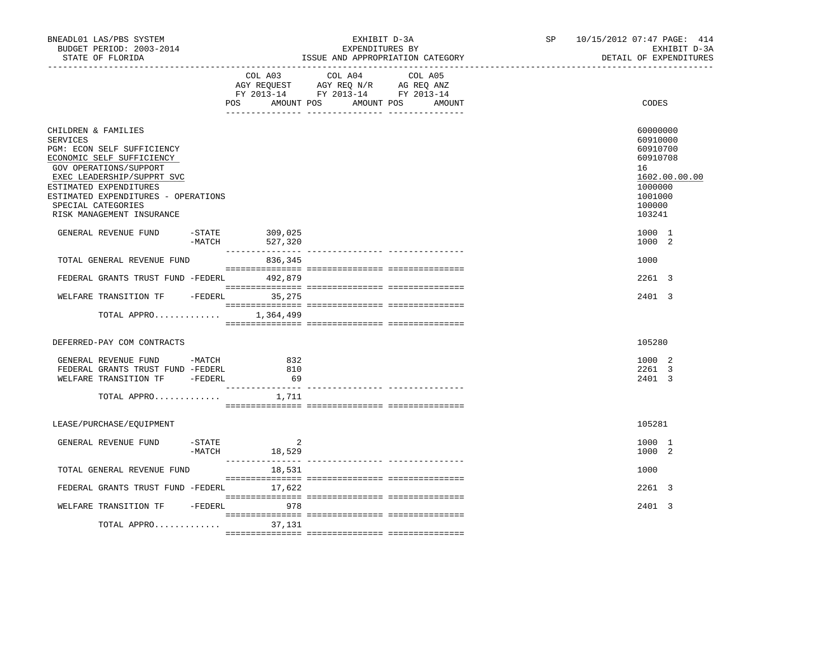| BNEADL01 LAS/PBS SYSTEM<br>BUDGET PERIOD: 2003-2014<br>STATE OF FLORIDA<br>________________                                                                                                                                                                                                                  | EXHIBIT D-3A<br>EXPENDITURES BY<br>ISSUE AND APPROPRIATION CATEGORY                                                                         | 10/15/2012 07:47 PAGE: 414<br>SP <sub>2</sub><br>EXHIBIT D-3A<br>DETAIL OF EXPENDITURES                                 |
|--------------------------------------------------------------------------------------------------------------------------------------------------------------------------------------------------------------------------------------------------------------------------------------------------------------|---------------------------------------------------------------------------------------------------------------------------------------------|-------------------------------------------------------------------------------------------------------------------------|
|                                                                                                                                                                                                                                                                                                              | COL A03<br>COL A04<br>COL A05<br>AGY REQUEST AGY REQ N/R AG REQ ANZ<br>FY 2013-14 FY 2013-14 FY 2013-14<br>POS AMOUNT POS AMOUNT POS AMOUNT | CODES                                                                                                                   |
| CHILDREN & FAMILIES<br><b>SERVICES</b><br>PGM: ECON SELF SUFFICIENCY<br>ECONOMIC SELF SUFFICIENCY<br>GOV OPERATIONS/SUPPORT<br>EXEC LEADERSHIP/SUPPRT SVC<br>ESTIMATED EXPENDITURES<br>ESTIMATED EXPENDITURES - OPERATIONS<br>SPECIAL CATEGORIES<br>RISK MANAGEMENT INSURANCE<br>GENERAL REVENUE FUND -STATE | 309,025                                                                                                                                     | 60000000<br>60910000<br>60910700<br>60910708<br>16<br>1602.00.00.00<br>1000000<br>1001000<br>100000<br>103241<br>1000 1 |
| $-MATCH$                                                                                                                                                                                                                                                                                                     | 527,320                                                                                                                                     | 1000 2                                                                                                                  |
| TOTAL GENERAL REVENUE FUND                                                                                                                                                                                                                                                                                   | 836,345                                                                                                                                     | 1000                                                                                                                    |
| FEDERAL GRANTS TRUST FUND -FEDERL 492,879                                                                                                                                                                                                                                                                    |                                                                                                                                             | 2261 3                                                                                                                  |
| WELFARE TRANSITION TF - FEDERL 35,275                                                                                                                                                                                                                                                                        |                                                                                                                                             | 2401 3                                                                                                                  |
| TOTAL APPRO $1,364,499$                                                                                                                                                                                                                                                                                      |                                                                                                                                             |                                                                                                                         |
| DEFERRED-PAY COM CONTRACTS                                                                                                                                                                                                                                                                                   |                                                                                                                                             | 105280                                                                                                                  |
| GENERAL REVENUE FUND -MATCH<br>FEDERAL GRANTS TRUST FUND -FEDERL<br>WELFARE TRANSITION TF -FEDERL<br>TOTAL APPRO                                                                                                                                                                                             | 832<br>810<br>69<br>1,711                                                                                                                   | 1000 2<br>2261 3<br>2401 3                                                                                              |
|                                                                                                                                                                                                                                                                                                              |                                                                                                                                             |                                                                                                                         |
| LEASE/PURCHASE/EQUIPMENT                                                                                                                                                                                                                                                                                     |                                                                                                                                             | 105281                                                                                                                  |
| $-$ STATE<br>GENERAL REVENUE FUND<br>$-MATCH$                                                                                                                                                                                                                                                                | 2<br>18,529                                                                                                                                 | 1000 1<br>1000 2                                                                                                        |
| TOTAL GENERAL REVENUE FUND                                                                                                                                                                                                                                                                                   | 18,531                                                                                                                                      | 1000                                                                                                                    |
| FEDERAL GRANTS TRUST FUND -FEDERL 17,622                                                                                                                                                                                                                                                                     |                                                                                                                                             | 2261 3                                                                                                                  |
| WELFARE TRANSITION TF - FEDERL 978                                                                                                                                                                                                                                                                           |                                                                                                                                             | 2401 3                                                                                                                  |
| TOTAL APPRO                                                                                                                                                                                                                                                                                                  | 37,131                                                                                                                                      |                                                                                                                         |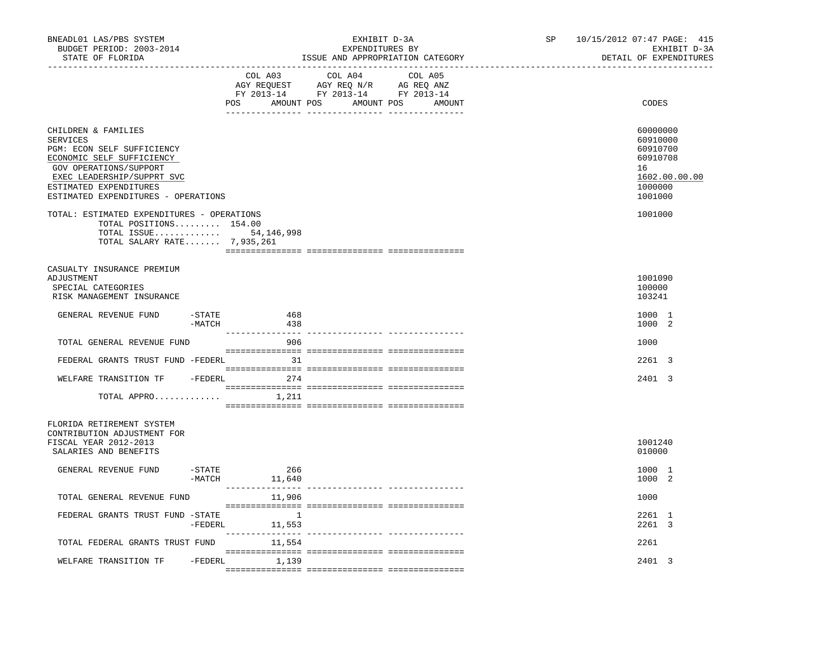| BNEADL01 LAS/PBS SYSTEM<br>BUDGET PERIOD: 2003-2014<br>STATE OF FLORIDA                                                                                                                                             |                     |               | EXHIBIT D-3A<br>EXPENDITURES BY<br>ISSUE AND APPROPRIATION CATEGORY                                                                                                                                                                                                                         | SP | 10/15/2012 07:47 PAGE: 415<br>EXHIBIT D-3A<br>DETAIL OF EXPENDITURES                      |
|---------------------------------------------------------------------------------------------------------------------------------------------------------------------------------------------------------------------|---------------------|---------------|---------------------------------------------------------------------------------------------------------------------------------------------------------------------------------------------------------------------------------------------------------------------------------------------|----|-------------------------------------------------------------------------------------------|
|                                                                                                                                                                                                                     |                     | COL A03       | COL A04 COL A05<br>$\begin{tabular}{lllllll} \bf AGY \;\; RegUEST \hspace{1cm} AGY \;\; REG \;\; N/R \hspace{1cm} \bf AG \;\; REG \;\; ANZ \end{tabular}$ $\begin{tabular}{lllllllllll} \bf FY \;\; 2013-14 \hspace{1cm} FY \;\; 2013-14 \end{tabular}$<br>POS AMOUNT POS AMOUNT POS AMOUNT |    | CODES                                                                                     |
| CHILDREN & FAMILIES<br>SERVICES<br>PGM: ECON SELF SUFFICIENCY<br>ECONOMIC SELF SUFFICIENCY<br>GOV OPERATIONS/SUPPORT<br>EXEC LEADERSHIP/SUPPRT SVC<br>ESTIMATED EXPENDITURES<br>ESTIMATED EXPENDITURES - OPERATIONS |                     |               |                                                                                                                                                                                                                                                                                             |    | 60000000<br>60910000<br>60910700<br>60910708<br>16<br>1602.00.00.00<br>1000000<br>1001000 |
| TOTAL: ESTIMATED EXPENDITURES - OPERATIONS<br>TOTAL POSITIONS 154.00<br>TOTAL ISSUE 54,146,998<br>TOTAL SALARY RATE 7,935,261                                                                                       |                     |               |                                                                                                                                                                                                                                                                                             |    | 1001000                                                                                   |
| CASUALTY INSURANCE PREMIUM<br>ADJUSTMENT<br>SPECIAL CATEGORIES<br>RISK MANAGEMENT INSURANCE                                                                                                                         |                     |               |                                                                                                                                                                                                                                                                                             |    | 1001090<br>100000<br>103241                                                               |
| GENERAL REVENUE FUND                                                                                                                                                                                                | $-$ STATE<br>-MATCH | 468<br>438    |                                                                                                                                                                                                                                                                                             |    | 1000 1<br>1000 2                                                                          |
| TOTAL GENERAL REVENUE FUND                                                                                                                                                                                          |                     | 906           |                                                                                                                                                                                                                                                                                             |    | 1000                                                                                      |
| FEDERAL GRANTS TRUST FUND -FEDERL                                                                                                                                                                                   |                     | 31            |                                                                                                                                                                                                                                                                                             |    | 2261 3                                                                                    |
| WELFARE TRANSITION TF -FEDERL 274                                                                                                                                                                                   |                     |               |                                                                                                                                                                                                                                                                                             |    | 2401 3                                                                                    |
| TOTAL APPRO $1,211$                                                                                                                                                                                                 |                     |               |                                                                                                                                                                                                                                                                                             |    |                                                                                           |
| FLORIDA RETIREMENT SYSTEM<br>CONTRIBUTION ADJUSTMENT FOR<br>FISCAL YEAR 2012-2013<br>SALARIES AND BENEFITS                                                                                                          |                     |               |                                                                                                                                                                                                                                                                                             |    | 1001240<br>010000                                                                         |
| GENERAL REVENUE FUND                                                                                                                                                                                                | -STATE<br>$-MATCH$  | 266<br>11,640 |                                                                                                                                                                                                                                                                                             |    | 1000 1<br>1000 2                                                                          |
| TOTAL GENERAL REVENUE FUND                                                                                                                                                                                          |                     | 11,906        |                                                                                                                                                                                                                                                                                             |    | 1000                                                                                      |
| FEDERAL GRANTS TRUST FUND -STATE                                                                                                                                                                                    | -FEDERL             | 11,553        |                                                                                                                                                                                                                                                                                             |    | 2261 1<br>2261 3                                                                          |
| TOTAL FEDERAL GRANTS TRUST FUND                                                                                                                                                                                     |                     | 11,554        |                                                                                                                                                                                                                                                                                             |    | 2261                                                                                      |
| WELFARE TRANSITION TF                                                                                                                                                                                               | -FEDERL             | 1,139         |                                                                                                                                                                                                                                                                                             |    | 2401 3                                                                                    |
|                                                                                                                                                                                                                     |                     |               |                                                                                                                                                                                                                                                                                             |    |                                                                                           |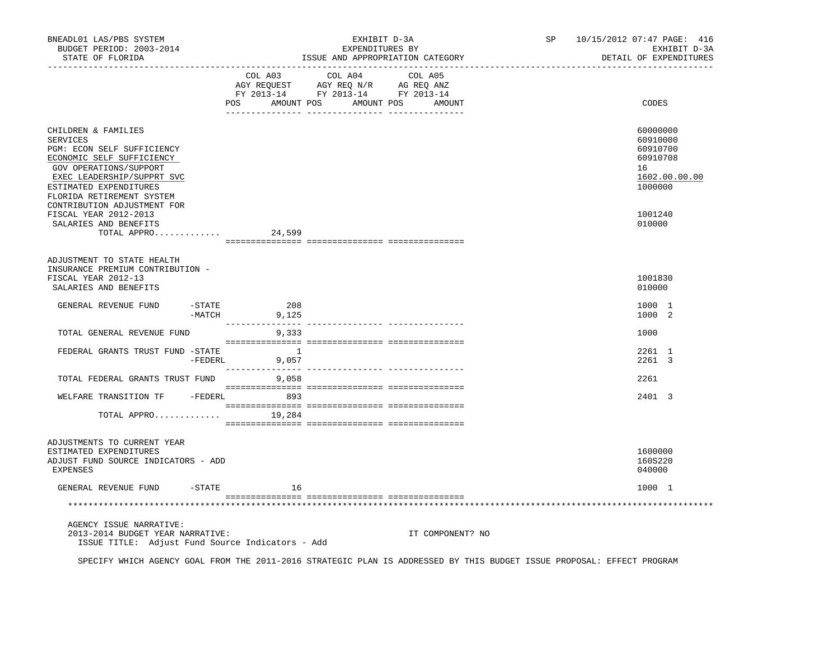| BNEADL01 LAS/PBS SYSTEM<br>BUDGET PERIOD: 2003-2014<br>STATE OF FLORIDA<br>_________________                                                                                                                     |                      |                                  | EXHIBIT D-3A<br>EXPENDITURES BY<br>ISSUE AND APPROPRIATION CATEGORY                               |                  |  | SP 10/15/2012 07:47 PAGE: 416<br>EXHIBIT D-3A<br>DETAIL OF EXPENDITURES        |
|------------------------------------------------------------------------------------------------------------------------------------------------------------------------------------------------------------------|----------------------|----------------------------------|---------------------------------------------------------------------------------------------------|------------------|--|--------------------------------------------------------------------------------|
|                                                                                                                                                                                                                  |                      | POS AMOUNT POS AMOUNT POS AMOUNT | COL A03 COL A04 COL A05<br>AGY REQUEST AGY REQ N/R AG REQ ANZ<br>FY 2013-14 FY 2013-14 FY 2013-14 |                  |  | CODES                                                                          |
| CHILDREN & FAMILIES<br><b>SERVICES</b><br>PGM: ECON SELF SUFFICIENCY<br>ECONOMIC SELF SUFFICIENCY<br>GOV OPERATIONS/SUPPORT<br>EXEC LEADERSHIP/SUPPRT SVC<br>ESTIMATED EXPENDITURES<br>FLORIDA RETIREMENT SYSTEM |                      |                                  |                                                                                                   |                  |  | 60000000<br>60910000<br>60910700<br>60910708<br>16<br>1602.00.00.00<br>1000000 |
| CONTRIBUTION ADJUSTMENT FOR<br>FISCAL YEAR 2012-2013<br>SALARIES AND BENEFITS<br>TOTAL APPRO                                                                                                                     |                      | 24,599                           |                                                                                                   |                  |  | 1001240<br>010000                                                              |
| ADJUSTMENT TO STATE HEALTH<br>INSURANCE PREMIUM CONTRIBUTION -<br>FISCAL YEAR 2012-13<br>SALARIES AND BENEFITS                                                                                                   |                      |                                  |                                                                                                   |                  |  | 1001830<br>010000                                                              |
| GENERAL REVENUE FUND                                                                                                                                                                                             | $-STATE$<br>$-MATCH$ | 208<br>9,125                     |                                                                                                   |                  |  | 1000 1<br>1000 2                                                               |
| TOTAL GENERAL REVENUE FUND                                                                                                                                                                                       |                      | 9,333                            |                                                                                                   |                  |  | 1000                                                                           |
| FEDERAL GRANTS TRUST FUND -STATE                                                                                                                                                                                 |                      | $-FEDERL$<br>9,057               |                                                                                                   |                  |  | 2261 1<br>2261 3                                                               |
| TOTAL FEDERAL GRANTS TRUST FUND 9,058                                                                                                                                                                            |                      |                                  |                                                                                                   |                  |  | 2261                                                                           |
| WELFARE TRANSITION TF - FEDERL 893                                                                                                                                                                               |                      |                                  |                                                                                                   |                  |  | 2401 3                                                                         |
| TOTAL APPRO                                                                                                                                                                                                      |                      | 19,284                           |                                                                                                   |                  |  |                                                                                |
| ADJUSTMENTS TO CURRENT YEAR<br>ESTIMATED EXPENDITURES<br>ADJUST FUND SOURCE INDICATORS - ADD<br><b>EXPENSES</b>                                                                                                  |                      |                                  |                                                                                                   |                  |  | 1600000<br>160S220<br>040000                                                   |
| GENERAL REVENUE FUND -STATE                                                                                                                                                                                      |                      | 16                               |                                                                                                   |                  |  | 1000 1                                                                         |
|                                                                                                                                                                                                                  |                      |                                  |                                                                                                   |                  |  |                                                                                |
| AGENCY ISSUE NARRATIVE:<br>2013-2014 BUDGET YEAR NARRATIVE:<br>ISSUE TITLE: Adjust Fund Source Indicators - Add                                                                                                  |                      |                                  |                                                                                                   | IT COMPONENT? NO |  |                                                                                |

SPECIFY WHICH AGENCY GOAL FROM THE 2011-2016 STRATEGIC PLAN IS ADDRESSED BY THIS BUDGET ISSUE PROPOSAL: EFFECT PROGRAM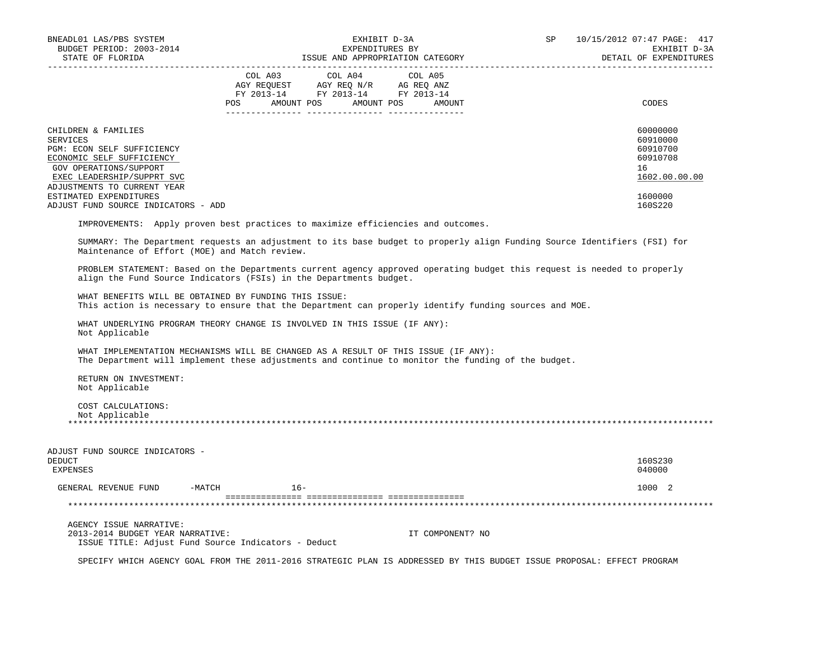| BNEADL01 LAS/PBS SYSTEM<br>BUDGET PERIOD: 2003-2014<br>STATE OF FLORIDA                                                                                                                  |        | EXHIBIT D-3A<br>EXPENDITURES BY<br>EXPENDITURES BY<br>ISSUE AND APPROPRIATION CATEGORY                                                                                                         | SP | 10/15/2012 07:47 PAGE: 417<br>EXHIBIT D-3A<br>DETAIL OF EXPENDITURES |
|------------------------------------------------------------------------------------------------------------------------------------------------------------------------------------------|--------|------------------------------------------------------------------------------------------------------------------------------------------------------------------------------------------------|----|----------------------------------------------------------------------|
|                                                                                                                                                                                          |        | $\begin{tabular}{lcccc} COL A03 & COL A04 & COL A05 \\ AGY REQUEST & AGY REQ N/R & AG REQ ANZ \\ FY & 2013-14 & FY & 2013-14 & FY & 2013-14 \end{tabular}$<br>POS AMOUNT POS AMOUNT POS AMOUNT |    | CODES                                                                |
| CHILDREN & FAMILIES<br><b>SERVICES</b><br>PGM: ECON SELF SUFFICIENCY<br>ECONOMIC SELF SUFFICIENCY<br>GOV OPERATIONS/SUPPORT<br>EXEC LEADERSHIP/SUPPRT SVC<br>ADJUSTMENTS TO CURRENT YEAR |        |                                                                                                                                                                                                |    | 60000000<br>60910000<br>60910700<br>60910708<br>16<br>1602.00.00.00  |
| ESTIMATED EXPENDITURES<br>ADJUST FUND SOURCE INDICATORS - ADD                                                                                                                            |        |                                                                                                                                                                                                |    | 1600000<br>160S220                                                   |
|                                                                                                                                                                                          |        | IMPROVEMENTS: Apply proven best practices to maximize efficiencies and outcomes.                                                                                                               |    |                                                                      |
| Maintenance of Effort (MOE) and Match review.                                                                                                                                            |        | SUMMARY: The Department requests an adjustment to its base budget to properly align Funding Source Identifiers (FSI) for                                                                       |    |                                                                      |
| align the Fund Source Indicators (FSIs) in the Departments budget.                                                                                                                       |        | PROBLEM STATEMENT: Based on the Departments current agency approved operating budget this request is needed to properly                                                                        |    |                                                                      |
| WHAT BENEFITS WILL BE OBTAINED BY FUNDING THIS ISSUE:                                                                                                                                    |        | This action is necessary to ensure that the Department can properly identify funding sources and MOE.                                                                                          |    |                                                                      |
| WHAT UNDERLYING PROGRAM THEORY CHANGE IS INVOLVED IN THIS ISSUE (IF ANY):<br>Not Applicable                                                                                              |        |                                                                                                                                                                                                |    |                                                                      |
|                                                                                                                                                                                          |        | WHAT IMPLEMENTATION MECHANISMS WILL BE CHANGED AS A RESULT OF THIS ISSUE (IF ANY):<br>The Department will implement these adjustments and continue to monitor the funding of the budget.       |    |                                                                      |
| RETURN ON INVESTMENT:<br>Not Applicable                                                                                                                                                  |        |                                                                                                                                                                                                |    |                                                                      |
| COST CALCULATIONS:<br>Not Applicable                                                                                                                                                     |        |                                                                                                                                                                                                |    |                                                                      |
| ADJUST FUND SOURCE INDICATORS -<br><b>DEDUCT</b><br><b>EXPENSES</b>                                                                                                                      |        |                                                                                                                                                                                                |    | 160S230<br>040000                                                    |
| GENERAL REVENUE FUND -MATCH                                                                                                                                                              | $16 -$ |                                                                                                                                                                                                |    | 1000 2                                                               |
|                                                                                                                                                                                          |        |                                                                                                                                                                                                |    |                                                                      |
| AGENCY ISSUE NARRATIVE:<br>2013-2014 BUDGET YEAR NARRATIVE:<br>ISSUE TITLE: Adjust Fund Source Indicators - Deduct                                                                       |        | IT COMPONENT? NO                                                                                                                                                                               |    |                                                                      |

SPECIFY WHICH AGENCY GOAL FROM THE 2011-2016 STRATEGIC PLAN IS ADDRESSED BY THIS BUDGET ISSUE PROPOSAL: EFFECT PROGRAM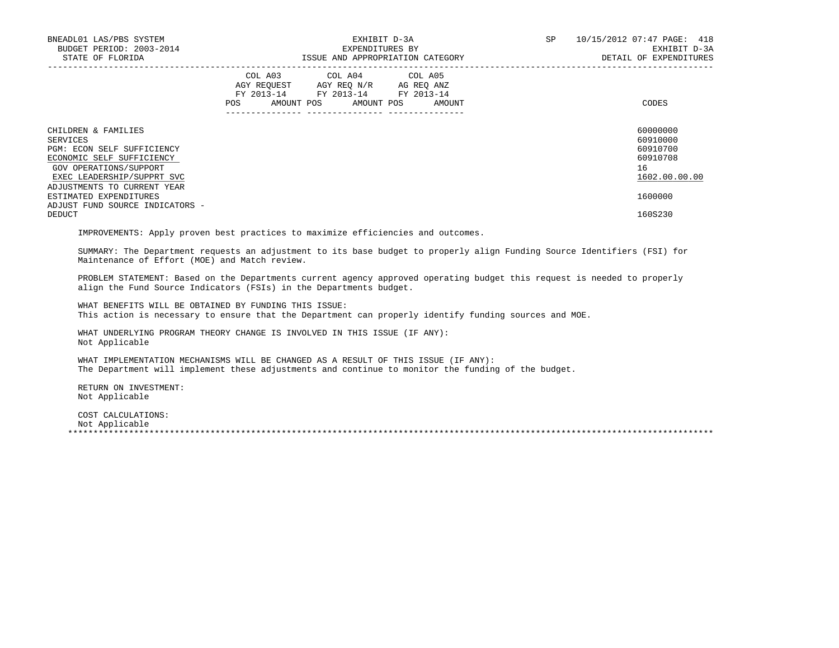| BNEADL01 LAS/PBS SYSTEM<br>BUDGET PERIOD: 2003-2014<br>STATE OF FLORIDA                                                                            | EXHIBIT D-3A<br>EXPENDITURES BY<br>ISSUE AND APPROPRIATION CATEGORY                                                                         | 10/15/2012 07:47 PAGE: 418<br>SP<br>EXHIBIT D-3A<br>DETAIL OF EXPENDITURES |
|----------------------------------------------------------------------------------------------------------------------------------------------------|---------------------------------------------------------------------------------------------------------------------------------------------|----------------------------------------------------------------------------|
|                                                                                                                                                    | COL A03 COL A04 COL A05<br>AGY REQUEST AGY REO N/R AG REO ANZ<br>FY 2013-14 FY 2013-14 FY 2013-14<br>POS<br>AMOUNT POS AMOUNT POS<br>AMOUNT | CODES                                                                      |
| CHILDREN & FAMILIES<br>SERVICES<br>PGM: ECON SELF SUFFICIENCY<br>ECONOMIC SELF SUFFICIENCY<br>GOV OPERATIONS/SUPPORT<br>EXEC LEADERSHIP/SUPPRT SVC |                                                                                                                                             | 60000000<br>60910000<br>60910700<br>60910708<br>16<br>1602.00.00.00        |
| ADJUSTMENTS TO CURRENT YEAR<br>ESTIMATED EXPENDITURES<br>ADJUST FUND SOURCE INDICATORS -                                                           |                                                                                                                                             | 1600000                                                                    |
| DEDUCT                                                                                                                                             |                                                                                                                                             | 160S230                                                                    |

IMPROVEMENTS: Apply proven best practices to maximize efficiencies and outcomes.

 SUMMARY: The Department requests an adjustment to its base budget to properly align Funding Source Identifiers (FSI) for Maintenance of Effort (MOE) and Match review.

 PROBLEM STATEMENT: Based on the Departments current agency approved operating budget this request is needed to properly align the Fund Source Indicators (FSIs) in the Departments budget.

 WHAT BENEFITS WILL BE OBTAINED BY FUNDING THIS ISSUE: This action is necessary to ensure that the Department can properly identify funding sources and MOE.

 WHAT UNDERLYING PROGRAM THEORY CHANGE IS INVOLVED IN THIS ISSUE (IF ANY): Not Applicable

 WHAT IMPLEMENTATION MECHANISMS WILL BE CHANGED AS A RESULT OF THIS ISSUE (IF ANY): The Department will implement these adjustments and continue to monitor the funding of the budget.

 RETURN ON INVESTMENT: Not Applicable

 COST CALCULATIONS: Not Applicable \*\*\*\*\*\*\*\*\*\*\*\*\*\*\*\*\*\*\*\*\*\*\*\*\*\*\*\*\*\*\*\*\*\*\*\*\*\*\*\*\*\*\*\*\*\*\*\*\*\*\*\*\*\*\*\*\*\*\*\*\*\*\*\*\*\*\*\*\*\*\*\*\*\*\*\*\*\*\*\*\*\*\*\*\*\*\*\*\*\*\*\*\*\*\*\*\*\*\*\*\*\*\*\*\*\*\*\*\*\*\*\*\*\*\*\*\*\*\*\*\*\*\*\*\*\*\*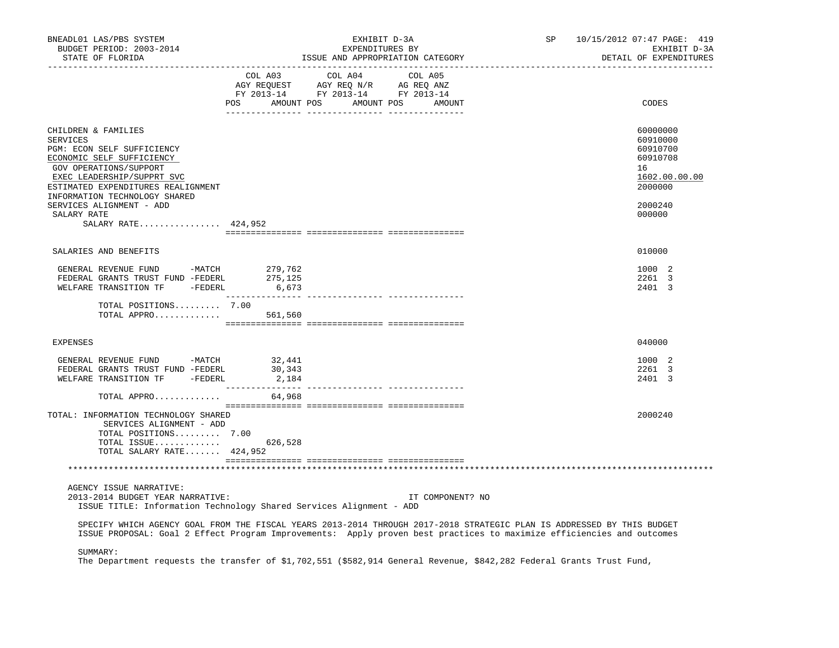| BNEADL01 LAS/PBS SYSTEM<br>BUDGET PERIOD: 2003-2014<br>STATE OF FLORIDA                                                                                                                                                                                                                            | EXHIBIT D-3A<br>EXPENDITURES BY<br>ISSUE AND APPROPRIATION CATEGORY                                                                                                                                                                             | SP | 10/15/2012 07:47 PAGE: 419<br>EXHIBIT D-3A<br>DETAIL OF EXPENDITURES                                |
|----------------------------------------------------------------------------------------------------------------------------------------------------------------------------------------------------------------------------------------------------------------------------------------------------|-------------------------------------------------------------------------------------------------------------------------------------------------------------------------------------------------------------------------------------------------|----|-----------------------------------------------------------------------------------------------------|
|                                                                                                                                                                                                                                                                                                    | COL A03<br>COL A04<br>COL A05<br>AGY REQUEST AGY REQ N/R AG REQ ANZ<br>FY 2013-14 FY 2013-14 FY 2013-14<br>POS AMOUNT POS AMOUNT POS AMOUNT                                                                                                     |    | CODES                                                                                               |
| CHILDREN & FAMILIES<br><b>SERVICES</b><br>PGM: ECON SELF SUFFICIENCY<br>ECONOMIC SELF SUFFICIENCY<br>GOV OPERATIONS/SUPPORT<br>EXEC LEADERSHIP/SUPPRT SVC<br>ESTIMATED EXPENDITURES REALIGNMENT<br>INFORMATION TECHNOLOGY SHARED<br>SERVICES ALIGNMENT - ADD<br>SALARY RATE<br>SALARY RATE 424,952 |                                                                                                                                                                                                                                                 |    | 60000000<br>60910000<br>60910700<br>60910708<br>16<br>1602.00.00.00<br>2000000<br>2000240<br>000000 |
|                                                                                                                                                                                                                                                                                                    |                                                                                                                                                                                                                                                 |    |                                                                                                     |
| SALARIES AND BENEFITS                                                                                                                                                                                                                                                                              |                                                                                                                                                                                                                                                 |    | 010000                                                                                              |
| GENERAL REVENUE FUND -MATCH<br>GENERAL REVENUE FUND -MATCH 279,762<br>FEDERAL GRANTS TRUST FUND -FEDERL 275,125<br>WELFARE TRANSITION TF - FEDERL                                                                                                                                                  | 6,673                                                                                                                                                                                                                                           |    | 1000 2<br>2261 3<br>2401 3                                                                          |
| TOTAL POSITIONS 7.00<br>TOTAL APPRO $561,560$                                                                                                                                                                                                                                                      |                                                                                                                                                                                                                                                 |    |                                                                                                     |
| <b>EXPENSES</b>                                                                                                                                                                                                                                                                                    |                                                                                                                                                                                                                                                 |    | 040000                                                                                              |
| GENERAL REVENUE FUND -MATCH 32,441<br>FEDERAL GRANTS TRUST FUND -FEDERL<br>WELFARE TRANSITION TF -FEDERL                                                                                                                                                                                           | 30,343<br>2,184                                                                                                                                                                                                                                 |    | 1000 2<br>2261 3<br>2401 3                                                                          |
| TOTAL APPRO                                                                                                                                                                                                                                                                                        | 64,968                                                                                                                                                                                                                                          |    |                                                                                                     |
| TOTAL: INFORMATION TECHNOLOGY SHARED<br>SERVICES ALIGNMENT - ADD<br>TOTAL POSITIONS 7.00<br>TOTAL ISSUE 626,528<br>TOTAL SALARY RATE 424,952                                                                                                                                                       |                                                                                                                                                                                                                                                 |    | 2000240                                                                                             |
|                                                                                                                                                                                                                                                                                                    |                                                                                                                                                                                                                                                 |    |                                                                                                     |
| AGENCY ISSUE NARRATIVE:<br>2013-2014 BUDGET YEAR NARRATIVE:                                                                                                                                                                                                                                        | IT COMPONENT? NO<br>ISSUE TITLE: Information Technology Shared Services Alignment - ADD                                                                                                                                                         |    |                                                                                                     |
|                                                                                                                                                                                                                                                                                                    | SPECIFY WHICH AGENCY GOAL FROM THE FISCAL YEARS 2013-2014 THROUGH 2017-2018 STRATEGIC PLAN IS ADDRESSED BY THIS BUDGET<br>ISSUE PROPOSAL: Goal 2 Effect Program Improvements: Apply proven best practices to maximize efficiencies and outcomes |    |                                                                                                     |
| SUMMARY:                                                                                                                                                                                                                                                                                           | The Department requests the transfer of \$1,702,551 (\$582,914 General Revenue, \$842,282 Federal Grants Trust Fund,                                                                                                                            |    |                                                                                                     |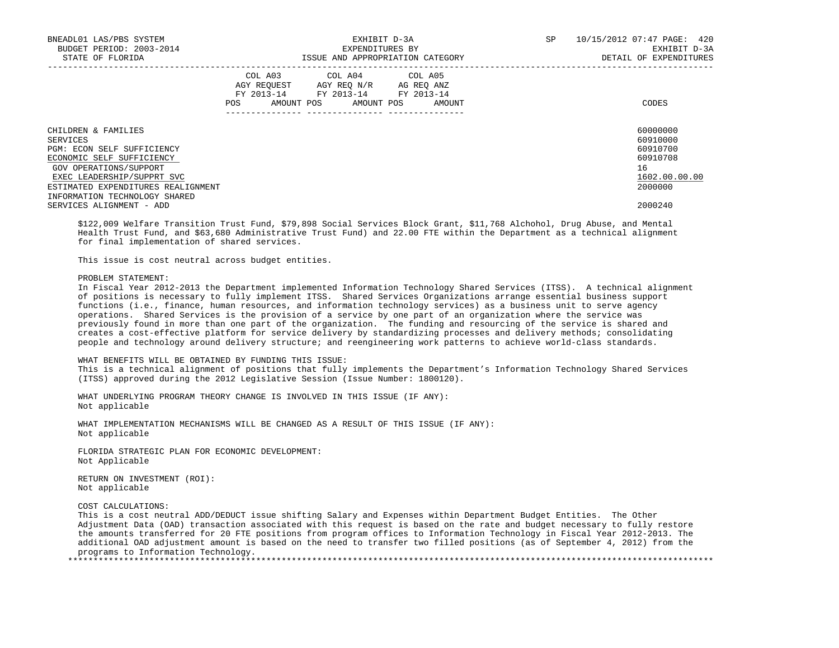| BNEADL01 LAS/PBS SYSTEM<br>BUDGET PERIOD: 2003-2014<br>STATE OF FLORIDA |     |                                                                                                   | EXHIBIT D-3A<br>EXPENDITURES BY | ISSUE AND APPROPRIATION CATEGORY | SP | 10/15/2012 07:47 PAGE: 420<br>EXHIBIT D-3A<br>DETAIL OF EXPENDITURES |
|-------------------------------------------------------------------------|-----|---------------------------------------------------------------------------------------------------|---------------------------------|----------------------------------|----|----------------------------------------------------------------------|
|                                                                         | POS | COL A03 COL A04 COL A05<br>AGY REQUEST AGY REQ N/R AG REQ ANZ<br>FY 2013-14 FY 2013-14 FY 2013-14 |                                 | AMOUNT POS AMOUNT POS AMOUNT     |    | CODES                                                                |
| CHILDREN & FAMILIES<br>SERVICES                                         |     |                                                                                                   |                                 |                                  |    | 60000000<br>60910000                                                 |
| PGM: ECON SELF SUFFICIENCY                                              |     |                                                                                                   |                                 |                                  |    | 60910700                                                             |
| ECONOMIC SELF SUFFICIENCY                                               |     |                                                                                                   |                                 |                                  |    | 60910708                                                             |
| GOV OPERATIONS/SUPPORT                                                  |     |                                                                                                   |                                 |                                  |    | 16                                                                   |
| EXEC LEADERSHIP/SUPPRT SVC                                              |     |                                                                                                   |                                 |                                  |    | 1602.00.00.00                                                        |
| ESTIMATED EXPENDITURES REALIGNMENT                                      |     |                                                                                                   |                                 |                                  |    | 2000000                                                              |
| INFORMATION TECHNOLOGY SHARED                                           |     |                                                                                                   |                                 |                                  |    |                                                                      |
| SERVICES ALIGNMENT - ADD                                                |     |                                                                                                   |                                 |                                  |    | 2000240                                                              |

 \$122,009 Welfare Transition Trust Fund, \$79,898 Social Services Block Grant, \$11,768 Alchohol, Drug Abuse, and Mental Health Trust Fund, and \$63,680 Administrative Trust Fund) and 22.00 FTE within the Department as a technical alignment for final implementation of shared services.

This issue is cost neutral across budget entities.

### PROBLEM STATEMENT:

 In Fiscal Year 2012-2013 the Department implemented Information Technology Shared Services (ITSS). A technical alignment of positions is necessary to fully implement ITSS. Shared Services Organizations arrange essential business support functions (i.e., finance, human resources, and information technology services) as a business unit to serve agency operations. Shared Services is the provision of a service by one part of an organization where the service was previously found in more than one part of the organization. The funding and resourcing of the service is shared and creates a cost-effective platform for service delivery by standardizing processes and delivery methods; consolidating people and technology around delivery structure; and reengineering work patterns to achieve world-class standards.

# WHAT BENEFITS WILL BE OBTAINED BY FUNDING THIS ISSUE:

 This is a technical alignment of positions that fully implements the Department's Information Technology Shared Services (ITSS) approved during the 2012 Legislative Session (Issue Number: 1800120).

 WHAT UNDERLYING PROGRAM THEORY CHANGE IS INVOLVED IN THIS ISSUE (IF ANY): Not applicable

 WHAT IMPLEMENTATION MECHANISMS WILL BE CHANGED AS A RESULT OF THIS ISSUE (IF ANY): Not applicable

 FLORIDA STRATEGIC PLAN FOR ECONOMIC DEVELOPMENT: Not Applicable

 RETURN ON INVESTMENT (ROI): Not applicable

COST CALCULATIONS:

 This is a cost neutral ADD/DEDUCT issue shifting Salary and Expenses within Department Budget Entities. The Other Adjustment Data (OAD) transaction associated with this request is based on the rate and budget necessary to fully restore the amounts transferred for 20 FTE positions from program offices to Information Technology in Fiscal Year 2012-2013. The additional OAD adjustment amount is based on the need to transfer two filled positions (as of September 4, 2012) from the programs to Information Technology.

\*\*\*\*\*\*\*\*\*\*\*\*\*\*\*\*\*\*\*\*\*\*\*\*\*\*\*\*\*\*\*\*\*\*\*\*\*\*\*\*\*\*\*\*\*\*\*\*\*\*\*\*\*\*\*\*\*\*\*\*\*\*\*\*\*\*\*\*\*\*\*\*\*\*\*\*\*\*\*\*\*\*\*\*\*\*\*\*\*\*\*\*\*\*\*\*\*\*\*\*\*\*\*\*\*\*\*\*\*\*\*\*\*\*\*\*\*\*\*\*\*\*\*\*\*\*\*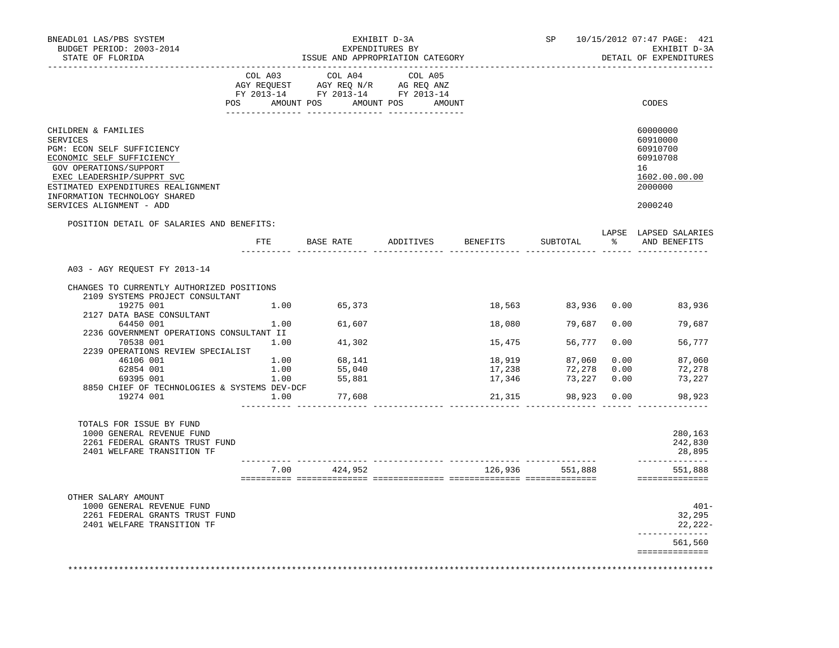| BNEADL01 LAS/PBS SYSTEM<br>BUDGET PERIOD: 2003-2014<br>STATE OF FLORIDA                                                                                                                                                                               |      | ISSUE AND APPROPRIATION CATEGORY                                                                                                                                                               | EXHIBIT D-3A<br>EXPENDITURES BY |                                      | SP              |      | 10/15/2012 07:47 PAGE: 421<br>EXHIBIT D-3A<br>DETAIL OF EXPENDITURES                      |
|-------------------------------------------------------------------------------------------------------------------------------------------------------------------------------------------------------------------------------------------------------|------|------------------------------------------------------------------------------------------------------------------------------------------------------------------------------------------------|---------------------------------|--------------------------------------|-----------------|------|-------------------------------------------------------------------------------------------|
|                                                                                                                                                                                                                                                       |      |                                                                                                                                                                                                |                                 |                                      |                 |      |                                                                                           |
|                                                                                                                                                                                                                                                       |      | $\begin{tabular}{lcccc} COL A03 & COL A04 & COL A05 \\ AGY REQUEST & AGY REQ N/R & AG REQ ANZ \\ FY & 2013-14 & FY & 2013-14 & FY & 2013-14 \end{tabular}$<br>POS AMOUNT POS AMOUNT POS AMOUNT |                                 |                                      |                 |      | CODES                                                                                     |
|                                                                                                                                                                                                                                                       |      |                                                                                                                                                                                                |                                 |                                      |                 |      |                                                                                           |
| CHILDREN & FAMILIES<br>SERVICES<br>PGM: ECON SELF SUFFICIENCY<br>ECONOMIC SELF SUFFICIENCY<br>GOV OPERATIONS/SUPPORT<br>EXEC LEADERSHIP/SUPPRT SVC<br>ESTIMATED EXPENDITURES REALIGNMENT<br>INFORMATION TECHNOLOGY SHARED<br>SERVICES ALIGNMENT - ADD |      |                                                                                                                                                                                                |                                 |                                      |                 |      | 60000000<br>60910000<br>60910700<br>60910708<br>16<br>1602.00.00.00<br>2000000<br>2000240 |
| POSITION DETAIL OF SALARIES AND BENEFITS:                                                                                                                                                                                                             |      |                                                                                                                                                                                                |                                 |                                      |                 |      |                                                                                           |
|                                                                                                                                                                                                                                                       | FTE  | BASE RATE                                                                                                                                                                                      | ADDITIVES BENEFITS              |                                      | SUBTOTAL        |      | LAPSE LAPSED SALARIES<br>% AND BENEFITS                                                   |
| A03 - AGY REQUEST FY 2013-14                                                                                                                                                                                                                          |      |                                                                                                                                                                                                |                                 |                                      |                 |      |                                                                                           |
| CHANGES TO CURRENTLY AUTHORIZED POSITIONS                                                                                                                                                                                                             |      |                                                                                                                                                                                                |                                 |                                      |                 |      |                                                                                           |
| 2109 SYSTEMS PROJECT CONSULTANT                                                                                                                                                                                                                       |      |                                                                                                                                                                                                |                                 |                                      |                 |      |                                                                                           |
| 19275 001<br>2127 DATA BASE CONSULTANT                                                                                                                                                                                                                |      | 1.00 65,373                                                                                                                                                                                    |                                 | 18,563                               |                 |      | 83,936 0.00 83,936                                                                        |
| 64450 001                                                                                                                                                                                                                                             | 1.00 | 61,607                                                                                                                                                                                         |                                 | 18,080                               | 79,687          |      | 79,687<br>0.00                                                                            |
| 2236 GOVERNMENT OPERATIONS CONSULTANT II                                                                                                                                                                                                              |      |                                                                                                                                                                                                |                                 |                                      |                 |      |                                                                                           |
| 70538 001<br>2239 OPERATIONS REVIEW SPECIALIST                                                                                                                                                                                                        | 1.00 | 41,302                                                                                                                                                                                         |                                 | 15,475                               | 56,777          | 0.00 | 56,777                                                                                    |
| 46106 001                                                                                                                                                                                                                                             | 1.00 |                                                                                                                                                                                                |                                 |                                      | 87,060          | 0.00 | 87,060                                                                                    |
| 62854 001                                                                                                                                                                                                                                             | 1.00 | 68,141<br>55,040                                                                                                                                                                               |                                 | 18,919<br>17,238                     | 72,278 0.00     |      | 72,278                                                                                    |
| 69395 001                                                                                                                                                                                                                                             | 1.00 | 55,881                                                                                                                                                                                         |                                 | 17,346                               | 73,227 0.00     |      | 73,227                                                                                    |
| 8850 CHIEF OF TECHNOLOGIES & SYSTEMS DEV-DCF                                                                                                                                                                                                          |      |                                                                                                                                                                                                |                                 |                                      |                 |      |                                                                                           |
| 19274 001                                                                                                                                                                                                                                             | 1.00 | 77,608                                                                                                                                                                                         |                                 | 21,315                               | 98,923 0.00     |      | 98,923                                                                                    |
| TOTALS FOR ISSUE BY FUND<br>1000 GENERAL REVENUE FUND                                                                                                                                                                                                 |      |                                                                                                                                                                                                |                                 |                                      |                 |      | 280,163                                                                                   |
| 2261 FEDERAL GRANTS TRUST FUND                                                                                                                                                                                                                        |      |                                                                                                                                                                                                |                                 |                                      |                 |      | 242,830                                                                                   |
| 2401 WELFARE TRANSITION TF                                                                                                                                                                                                                            |      |                                                                                                                                                                                                |                                 | _______ _______________ __ _________ |                 |      | 28,895<br>_____________                                                                   |
|                                                                                                                                                                                                                                                       |      | 7.00 424,952                                                                                                                                                                                   |                                 |                                      | 126,936 551,888 |      | 551,888<br>==============                                                                 |
|                                                                                                                                                                                                                                                       |      |                                                                                                                                                                                                |                                 |                                      |                 |      |                                                                                           |
| OTHER SALARY AMOUNT                                                                                                                                                                                                                                   |      |                                                                                                                                                                                                |                                 |                                      |                 |      |                                                                                           |
| 1000 GENERAL REVENUE FUND<br>2261 FEDERAL GRANTS TRUST FUND                                                                                                                                                                                           |      |                                                                                                                                                                                                |                                 |                                      |                 |      | $401 -$<br>32,295                                                                         |
| 2401 WELFARE TRANSITION TF                                                                                                                                                                                                                            |      |                                                                                                                                                                                                |                                 |                                      |                 |      | 22, 222                                                                                   |
|                                                                                                                                                                                                                                                       |      |                                                                                                                                                                                                |                                 |                                      |                 |      | -------------<br>561,560                                                                  |
|                                                                                                                                                                                                                                                       |      |                                                                                                                                                                                                |                                 |                                      |                 |      | ==============                                                                            |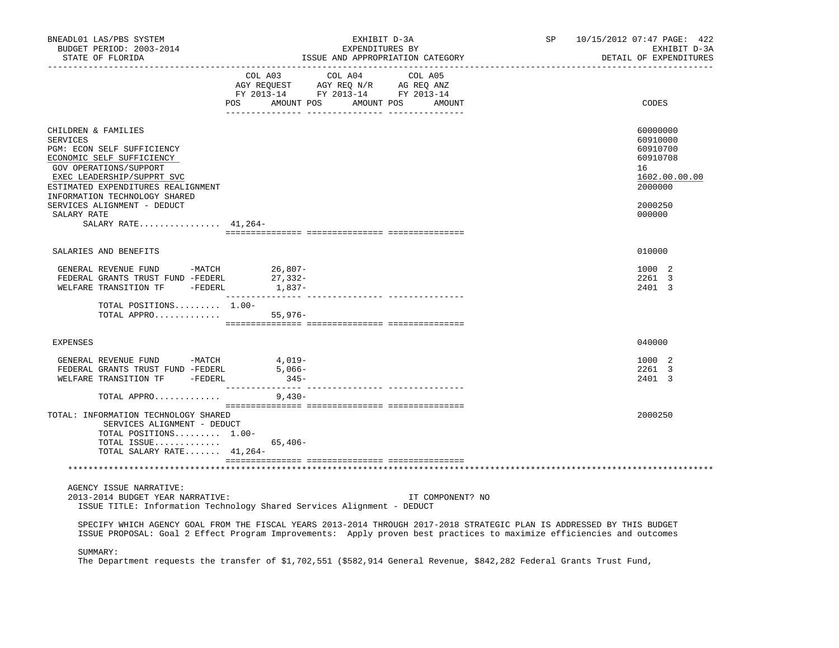| BNEADL01 LAS/PBS SYSTEM<br>BUDGET PERIOD: 2003-2014<br>STATE OF FLORIDA                                                                                                                                                                                                                                 | SP<br>EXHIBIT D-3A<br>EXPENDITURES BY<br>ISSUE AND APPROPRIATION CATEGORY                                                                                                                                                                       | 10/15/2012 07:47 PAGE: 422<br>EXHIBIT D-3A<br>DETAIL OF EXPENDITURES                                |
|---------------------------------------------------------------------------------------------------------------------------------------------------------------------------------------------------------------------------------------------------------------------------------------------------------|-------------------------------------------------------------------------------------------------------------------------------------------------------------------------------------------------------------------------------------------------|-----------------------------------------------------------------------------------------------------|
|                                                                                                                                                                                                                                                                                                         | COL A03<br>COL A04<br>COL A05<br>AGY REQUEST AGY REQ N/R AG REQ ANZ<br>FY 2013-14 FY 2013-14 FY 2013-14<br>POS AMOUNT POS AMOUNT POS AMOUNT                                                                                                     | CODES                                                                                               |
| CHILDREN & FAMILIES<br><b>SERVICES</b><br>PGM: ECON SELF SUFFICIENCY<br>ECONOMIC SELF SUFFICIENCY<br>GOV OPERATIONS/SUPPORT<br>EXEC LEADERSHIP/SUPPRT SVC<br>ESTIMATED EXPENDITURES REALIGNMENT<br>INFORMATION TECHNOLOGY SHARED<br>SERVICES ALIGNMENT - DEDUCT<br>SALARY RATE<br>SALARY RATE $41,264-$ |                                                                                                                                                                                                                                                 | 60000000<br>60910000<br>60910700<br>60910708<br>16<br>1602.00.00.00<br>2000000<br>2000250<br>000000 |
| SALARIES AND BENEFITS                                                                                                                                                                                                                                                                                   |                                                                                                                                                                                                                                                 | 010000                                                                                              |
| GENERAL REVENUE FUND -MATCH<br>FEDERAL GRANTS TRUST FUND -FEDERL<br>WELFARE TRANSITION TF -FEDERL                                                                                                                                                                                                       | 26,807–<br>27,332–<br>1,837-                                                                                                                                                                                                                    | 1000 2<br>2261 3<br>2401 3                                                                          |
| TOTAL POSITIONS 1.00-<br>TOTAL APPRO                                                                                                                                                                                                                                                                    | $55,976-$                                                                                                                                                                                                                                       |                                                                                                     |
| <b>EXPENSES</b>                                                                                                                                                                                                                                                                                         |                                                                                                                                                                                                                                                 | 040000                                                                                              |
| GENERAL REVENUE FUND -MATCH 4,019-<br>FEDERAL GRANTS TRUST FUND -FEDERL<br>WELFARE TRANSITION TF -FEDERL                                                                                                                                                                                                | $5,066-$<br>$345-$                                                                                                                                                                                                                              | 1000 2<br>2261 3<br>2401 3                                                                          |
| TOTAL APPRO                                                                                                                                                                                                                                                                                             | 9,430-                                                                                                                                                                                                                                          |                                                                                                     |
| TOTAL: INFORMATION TECHNOLOGY SHARED<br>SERVICES ALIGNMENT - DEDUCT<br>TOTAL POSITIONS 1.00-<br>TOTAL ISSUE<br>TOTAL SALARY RATE 41,264-                                                                                                                                                                | $65,406-$                                                                                                                                                                                                                                       | 2000250                                                                                             |
|                                                                                                                                                                                                                                                                                                         |                                                                                                                                                                                                                                                 |                                                                                                     |
| AGENCY ISSUE NARRATIVE:<br>2013-2014 BUDGET YEAR NARRATIVE:                                                                                                                                                                                                                                             | IT COMPONENT? NO<br>ISSUE TITLE: Information Technology Shared Services Alignment - DEDUCT                                                                                                                                                      |                                                                                                     |
|                                                                                                                                                                                                                                                                                                         | SPECIFY WHICH AGENCY GOAL FROM THE FISCAL YEARS 2013-2014 THROUGH 2017-2018 STRATEGIC PLAN IS ADDRESSED BY THIS BUDGET<br>ISSUE PROPOSAL: Goal 2 Effect Program Improvements: Apply proven best practices to maximize efficiencies and outcomes |                                                                                                     |
| SUMMARY:                                                                                                                                                                                                                                                                                                | The Department requests the transfer of \$1,702,551 (\$582,914 General Revenue, \$842,282 Federal Grants Trust Fund,                                                                                                                            |                                                                                                     |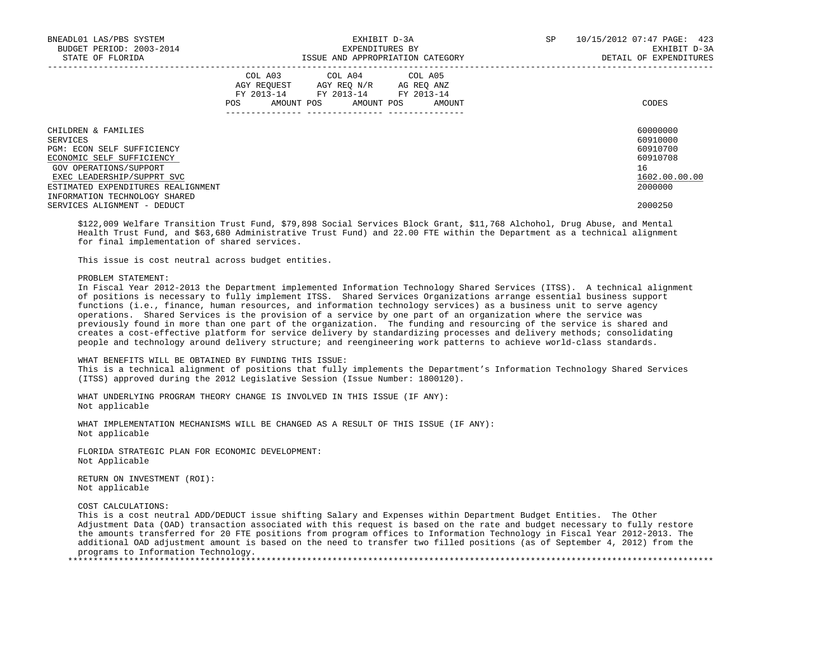| BNEADL01 LAS/PBS SYSTEM<br>BUDGET PERIOD: 2003-2014<br>STATE OF FLORIDA |     |                                                                                                   | EXHIBIT D-3A<br>EXPENDITURES BY | ISSUE AND APPROPRIATION CATEGORY | SP | 10/15/2012 07:47 PAGE: 423<br>EXHIBIT D-3A<br>DETAIL OF EXPENDITURES |
|-------------------------------------------------------------------------|-----|---------------------------------------------------------------------------------------------------|---------------------------------|----------------------------------|----|----------------------------------------------------------------------|
|                                                                         | POS | COL A03 COL A04 COL A05<br>AGY REQUEST AGY REQ N/R AG REQ ANZ<br>FY 2013-14 FY 2013-14 FY 2013-14 |                                 | AMOUNT POS AMOUNT POS AMOUNT     |    | CODES                                                                |
| CHILDREN & FAMILIES                                                     |     |                                                                                                   |                                 |                                  |    | 60000000<br>60910000                                                 |
| SERVICES<br>PGM: ECON SELF SUFFICIENCY                                  |     |                                                                                                   |                                 |                                  |    | 60910700                                                             |
| ECONOMIC SELF SUFFICIENCY                                               |     |                                                                                                   |                                 |                                  |    | 60910708                                                             |
| GOV OPERATIONS/SUPPORT                                                  |     |                                                                                                   |                                 |                                  |    | 16                                                                   |
| EXEC LEADERSHIP/SUPPRT SVC                                              |     |                                                                                                   |                                 |                                  |    | 1602.00.00.00                                                        |
| ESTIMATED EXPENDITURES REALIGNMENT                                      |     |                                                                                                   |                                 |                                  |    | 2000000                                                              |
| INFORMATION TECHNOLOGY SHARED                                           |     |                                                                                                   |                                 |                                  |    |                                                                      |
| SERVICES ALIGNMENT - DEDUCT                                             |     |                                                                                                   |                                 |                                  |    | 2000250                                                              |

 \$122,009 Welfare Transition Trust Fund, \$79,898 Social Services Block Grant, \$11,768 Alchohol, Drug Abuse, and Mental Health Trust Fund, and \$63,680 Administrative Trust Fund) and 22.00 FTE within the Department as a technical alignment for final implementation of shared services.

This issue is cost neutral across budget entities.

### PROBLEM STATEMENT:

 In Fiscal Year 2012-2013 the Department implemented Information Technology Shared Services (ITSS). A technical alignment of positions is necessary to fully implement ITSS. Shared Services Organizations arrange essential business support functions (i.e., finance, human resources, and information technology services) as a business unit to serve agency operations. Shared Services is the provision of a service by one part of an organization where the service was previously found in more than one part of the organization. The funding and resourcing of the service is shared and creates a cost-effective platform for service delivery by standardizing processes and delivery methods; consolidating people and technology around delivery structure; and reengineering work patterns to achieve world-class standards.

# WHAT BENEFITS WILL BE OBTAINED BY FUNDING THIS ISSUE:

 This is a technical alignment of positions that fully implements the Department's Information Technology Shared Services (ITSS) approved during the 2012 Legislative Session (Issue Number: 1800120).

 WHAT UNDERLYING PROGRAM THEORY CHANGE IS INVOLVED IN THIS ISSUE (IF ANY): Not applicable

 WHAT IMPLEMENTATION MECHANISMS WILL BE CHANGED AS A RESULT OF THIS ISSUE (IF ANY): Not applicable

 FLORIDA STRATEGIC PLAN FOR ECONOMIC DEVELOPMENT: Not Applicable

 RETURN ON INVESTMENT (ROI): Not applicable

COST CALCULATIONS:

 This is a cost neutral ADD/DEDUCT issue shifting Salary and Expenses within Department Budget Entities. The Other Adjustment Data (OAD) transaction associated with this request is based on the rate and budget necessary to fully restore the amounts transferred for 20 FTE positions from program offices to Information Technology in Fiscal Year 2012-2013. The additional OAD adjustment amount is based on the need to transfer two filled positions (as of September 4, 2012) from the programs to Information Technology.

\*\*\*\*\*\*\*\*\*\*\*\*\*\*\*\*\*\*\*\*\*\*\*\*\*\*\*\*\*\*\*\*\*\*\*\*\*\*\*\*\*\*\*\*\*\*\*\*\*\*\*\*\*\*\*\*\*\*\*\*\*\*\*\*\*\*\*\*\*\*\*\*\*\*\*\*\*\*\*\*\*\*\*\*\*\*\*\*\*\*\*\*\*\*\*\*\*\*\*\*\*\*\*\*\*\*\*\*\*\*\*\*\*\*\*\*\*\*\*\*\*\*\*\*\*\*\*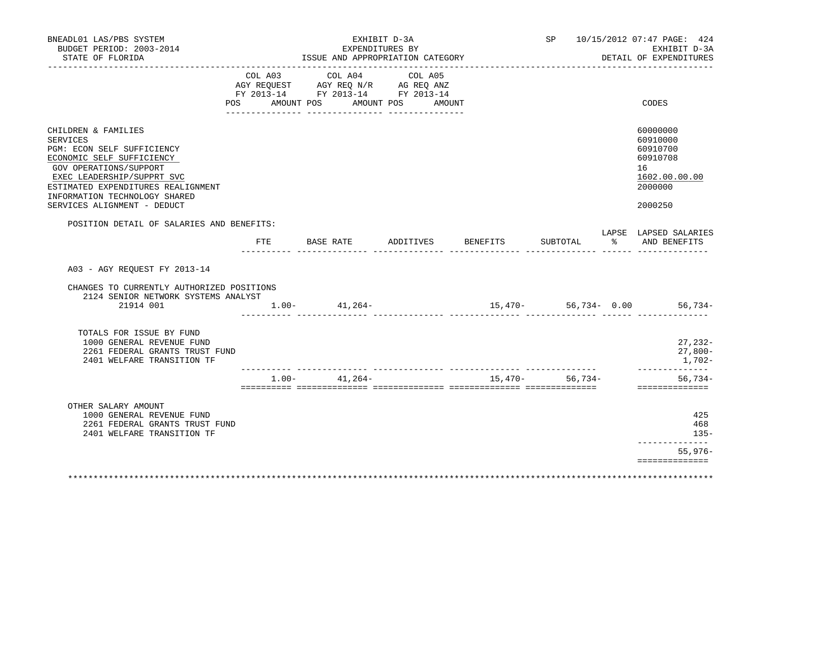| BNEADL01 LAS/PBS SYSTEM<br>BUDGET PERIOD: 2003-2014<br>STATE OF FLORIDA                                                                                                                                                                                                |                           | EXHIBIT D-3A<br>EXPENDITURES BY<br>ISSUE AND APPROPRIATION CATEGORY               |                              |          |                 | SP 10/15/2012 07:47 PAGE: 424<br>EXHIBIT D-3A<br>DETAIL OF EXPENDITURES                   |
|------------------------------------------------------------------------------------------------------------------------------------------------------------------------------------------------------------------------------------------------------------------------|---------------------------|-----------------------------------------------------------------------------------|------------------------------|----------|-----------------|-------------------------------------------------------------------------------------------|
|                                                                                                                                                                                                                                                                        | COL A03<br>POS AMOUNT POS | COL A04<br>AGY REQUEST AGY REQ N/R AG REQ ANZ<br>FY 2013-14 FY 2013-14 FY 2013-14 | COL A05<br>AMOUNT POS AMOUNT |          |                 | CODES                                                                                     |
| CHILDREN & FAMILIES<br><b>SERVICES</b><br>PGM: ECON SELF SUFFICIENCY<br>ECONOMIC SELF SUFFICIENCY<br><b>GOV OPERATIONS/SUPPORT</b><br>EXEC LEADERSHIP/SUPPRT SVC<br>ESTIMATED EXPENDITURES REALIGNMENT<br>INFORMATION TECHNOLOGY SHARED<br>SERVICES ALIGNMENT - DEDUCT |                           |                                                                                   |                              |          |                 | 60000000<br>60910000<br>60910700<br>60910708<br>16<br>1602.00.00.00<br>2000000<br>2000250 |
| POSITION DETAIL OF SALARIES AND BENEFITS:                                                                                                                                                                                                                              | FTE                       | BASE RATE                                                                         | ADDITIVES                    | BENEFITS | SUBTOTAL        | LAPSE LAPSED SALARIES<br>% AND BENEFITS                                                   |
| A03 - AGY REOUEST FY 2013-14<br>CHANGES TO CURRENTLY AUTHORIZED POSITIONS                                                                                                                                                                                              |                           |                                                                                   |                              |          |                 |                                                                                           |
| 2124 SENIOR NETWORK SYSTEMS ANALYST<br>21914 001                                                                                                                                                                                                                       |                           | $1.00 - 41,264 -$                                                                 | . _______________ ________   |          |                 | $15,470-56,734-0.00$ 56,734-                                                              |
| TOTALS FOR ISSUE BY FUND<br>1000 GENERAL REVENUE FUND<br>2261 FEDERAL GRANTS TRUST FUND<br>2401 WELFARE TRANSITION TF                                                                                                                                                  |                           |                                                                                   |                              |          |                 | $27,232-$<br>$27,800-$<br>1,702-                                                          |
|                                                                                                                                                                                                                                                                        |                           | $1.00 - 41,264 -$                                                                 |                              |          | 15,470- 56,734- | ------------<br>$56,734-$<br>==============                                               |
| OTHER SALARY AMOUNT<br>1000 GENERAL REVENUE FUND<br>2261 FEDERAL GRANTS TRUST FUND<br>2401 WELFARE TRANSITION TF                                                                                                                                                       |                           |                                                                                   |                              |          |                 | 425<br>468<br>$135 -$<br>---------------                                                  |
|                                                                                                                                                                                                                                                                        |                           |                                                                                   |                              |          |                 | $55,976-$                                                                                 |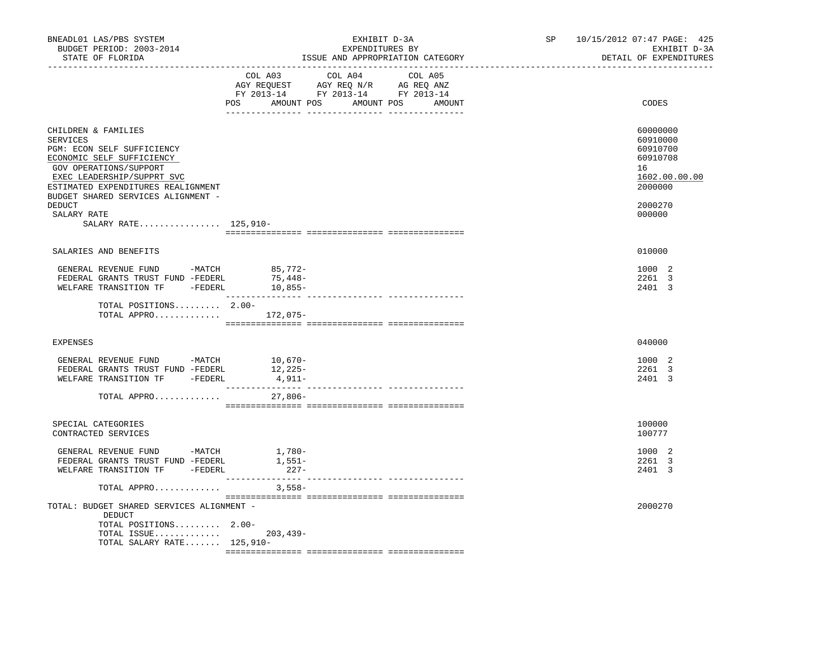| BNEADL01 LAS/PBS SYSTEM<br>BUDGET PERIOD: 2003-2014<br>STATE OF FLORIDA                                                                                                                                                                                                         | EXHIBIT D-3A<br>EXPENDITURES BY<br>ISSUE AND APPROPRIATION CATEGORY                                                                   | 10/15/2012 07:47 PAGE: 425<br>SP<br>EXHIBIT D-3A<br>DETAIL OF EXPENDITURES                          |
|---------------------------------------------------------------------------------------------------------------------------------------------------------------------------------------------------------------------------------------------------------------------------------|---------------------------------------------------------------------------------------------------------------------------------------|-----------------------------------------------------------------------------------------------------|
|                                                                                                                                                                                                                                                                                 | COL A03 COL A04 COL A05<br>AGY REQUEST AGY REQ N/R AG REQ ANZ<br>FY 2013-14 FY 2013-14 FY 2013-14<br>POS AMOUNT POS AMOUNT POS AMOUNT | CODES                                                                                               |
| CHILDREN & FAMILIES<br>SERVICES<br>PGM: ECON SELF SUFFICIENCY<br>ECONOMIC SELF SUFFICIENCY<br>GOV OPERATIONS/SUPPORT<br>EXEC LEADERSHIP/SUPPRT SVC<br>ESTIMATED EXPENDITURES REALIGNMENT<br>BUDGET SHARED SERVICES ALIGNMENT -<br>DEDUCT<br>SALARY RATE<br>SALARY RATE 125,910- |                                                                                                                                       | 60000000<br>60910000<br>60910700<br>60910708<br>16<br>1602.00.00.00<br>2000000<br>2000270<br>000000 |
|                                                                                                                                                                                                                                                                                 |                                                                                                                                       |                                                                                                     |
| SALARIES AND BENEFITS                                                                                                                                                                                                                                                           |                                                                                                                                       | 010000                                                                                              |
| GENERAL REVENUE FUND -MATCH<br>FEDERAL GRANTS TRUST FUND -FEDERL<br>WELFARE TRANSITION TF -FEDERL                                                                                                                                                                               | $85,772-$<br>75,448-<br>$10,855-$                                                                                                     | 1000 2<br>2261 3<br>2401 3                                                                          |
| TOTAL POSITIONS 2.00-<br>TOTAL APPRO 172,075-                                                                                                                                                                                                                                   |                                                                                                                                       |                                                                                                     |
| <b>EXPENSES</b>                                                                                                                                                                                                                                                                 |                                                                                                                                       | 040000                                                                                              |
| GENERAL REVENUE FUND -MATCH 10,670-<br>FEDERAL GRANTS TRUST FUND -FEDERL<br>WELFARE TRANSITION TF -FEDERL<br>TOTAL APPRO                                                                                                                                                        | 12,225-<br>$4,911-$<br>27,806-                                                                                                        | 1000 2<br>2261 3<br>2401 3                                                                          |
|                                                                                                                                                                                                                                                                                 |                                                                                                                                       |                                                                                                     |
| SPECIAL CATEGORIES<br>CONTRACTED SERVICES                                                                                                                                                                                                                                       |                                                                                                                                       | 100000<br>100777                                                                                    |
| GENERAL REVENUE FUND -MATCH<br>FEDERAL GRANTS TRUST FUND -FEDERL<br>WELFARE TRANSITION TF -FEDERL                                                                                                                                                                               | $1,780-$<br>1,551–<br>$227-$                                                                                                          | 1000 2<br>2261 3<br>2401 3                                                                          |
| TOTAL APPRO                                                                                                                                                                                                                                                                     | $3,558-$                                                                                                                              |                                                                                                     |
| TOTAL: BUDGET SHARED SERVICES ALIGNMENT -<br>DEDUCT<br>TOTAL POSITIONS 2.00-<br>TOTAL ISSUE<br>TOTAL SALARY RATE $125,910-$                                                                                                                                                     | $203, 439 -$                                                                                                                          | 2000270                                                                                             |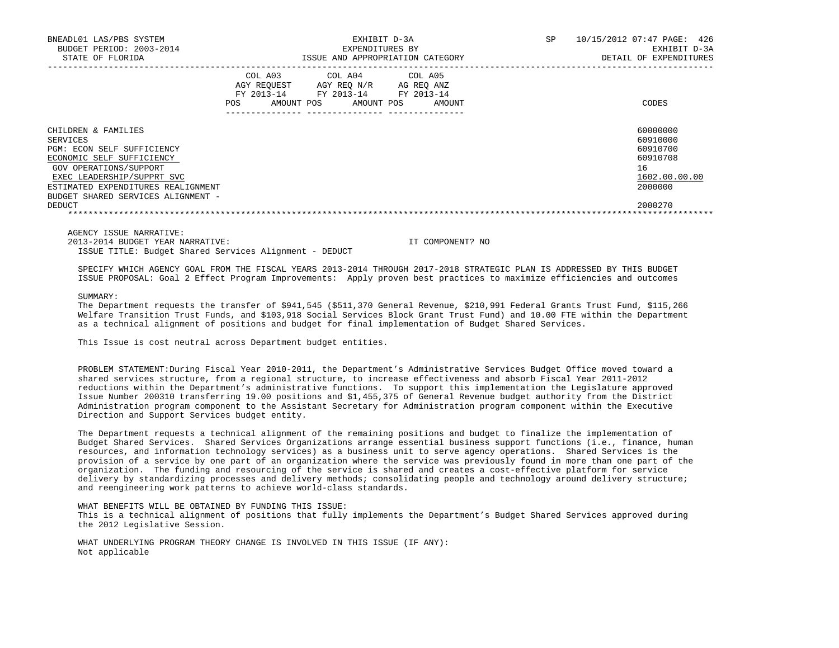| BNEADL01 LAS/PBS SYSTEM<br>BUDGET PERIOD: 2003-2014<br>STATE OF FLORIDA                                                                                                                                                        |                                                                  | EXPENDITURES BY                                            | EXHIBIT D-3A<br>ISSUE AND APPROPRIATION CATEGORY | 10/15/2012 07:47 PAGE: 426<br><b>SP</b><br>EXHIBIT D-3A<br>DETAIL OF EXPENDITURES |
|--------------------------------------------------------------------------------------------------------------------------------------------------------------------------------------------------------------------------------|------------------------------------------------------------------|------------------------------------------------------------|--------------------------------------------------|-----------------------------------------------------------------------------------|
|                                                                                                                                                                                                                                | COL A03<br>AGY REOUEST<br>FY 2013-14<br>AMOUNT POS<br><b>POS</b> | COL A04 COL A05<br>AGY REQ N/R<br>FY 2013-14<br>AMOUNT POS | AG REO ANZ<br>FY 2013-14<br>AMOUNT               | CODES                                                                             |
| CHILDREN & FAMILIES<br>SERVICES<br>PGM: ECON SELF SUFFICIENCY<br>ECONOMIC SELF SUFFICIENCY<br>GOV OPERATIONS/SUPPORT<br>EXEC LEADERSHIP/SUPPRT SVC<br>ESTIMATED EXPENDITURES REALIGNMENT<br>BUDGET SHARED SERVICES ALIGNMENT - |                                                                  |                                                            |                                                  | 60000000<br>60910000<br>60910700<br>60910708<br>16<br>1602.00.00.00<br>2000000    |
| DEDUCT                                                                                                                                                                                                                         |                                                                  |                                                            |                                                  | 2000270                                                                           |

AGENCY ISSUE NARRATIVE:

2013-2014 BUDGET YEAR NARRATIVE: IT COMPONENT? NO

ISSUE TITLE: Budget Shared Services Alignment - DEDUCT

 SPECIFY WHICH AGENCY GOAL FROM THE FISCAL YEARS 2013-2014 THROUGH 2017-2018 STRATEGIC PLAN IS ADDRESSED BY THIS BUDGET ISSUE PROPOSAL: Goal 2 Effect Program Improvements: Apply proven best practices to maximize efficiencies and outcomes

SUMMARY:

 The Department requests the transfer of \$941,545 (\$511,370 General Revenue, \$210,991 Federal Grants Trust Fund, \$115,266 Welfare Transition Trust Funds, and \$103,918 Social Services Block Grant Trust Fund) and 10.00 FTE within the Department as a technical alignment of positions and budget for final implementation of Budget Shared Services.

This Issue is cost neutral across Department budget entities.

 PROBLEM STATEMENT:During Fiscal Year 2010-2011, the Department's Administrative Services Budget Office moved toward a shared services structure, from a regional structure, to increase effectiveness and absorb Fiscal Year 2011-2012 reductions within the Department's administrative functions. To support this implementation the Legislature approved Issue Number 200310 transferring 19.00 positions and \$1,455,375 of General Revenue budget authority from the District Administration program component to the Assistant Secretary for Administration program component within the Executive Direction and Support Services budget entity.

 The Department requests a technical alignment of the remaining positions and budget to finalize the implementation of Budget Shared Services. Shared Services Organizations arrange essential business support functions (i.e., finance, human resources, and information technology services) as a business unit to serve agency operations. Shared Services is the provision of a service by one part of an organization where the service was previously found in more than one part of the organization. The funding and resourcing of the service is shared and creates a cost-effective platform for service delivery by standardizing processes and delivery methods; consolidating people and technology around delivery structure; and reengineering work patterns to achieve world-class standards.

WHAT BENEFITS WILL BE OBTAINED BY FUNDING THIS ISSUE:

 This is a technical alignment of positions that fully implements the Department's Budget Shared Services approved during the 2012 Legislative Session.

 WHAT UNDERLYING PROGRAM THEORY CHANGE IS INVOLVED IN THIS ISSUE (IF ANY): Not applicable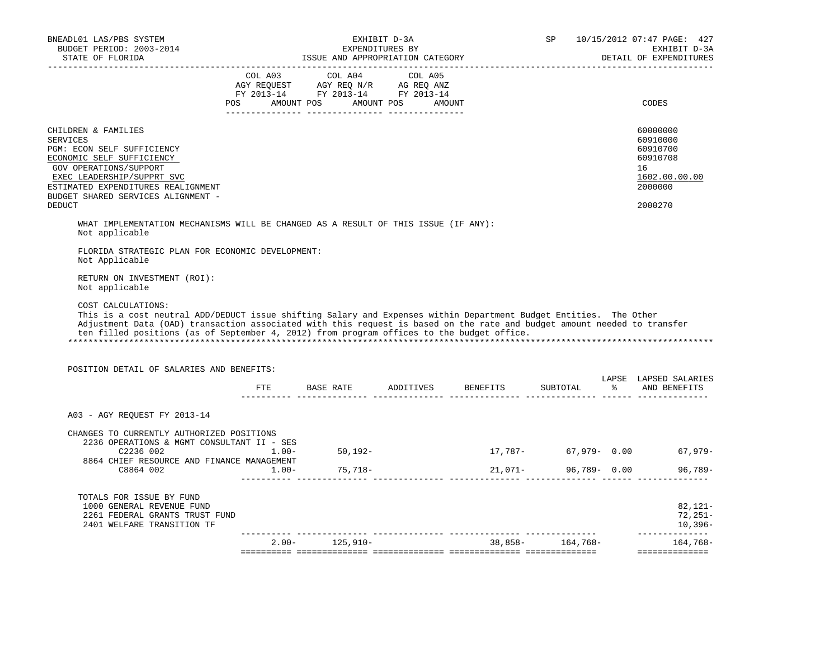| COL A03 COL A04 COL A05<br>$\begin{tabular}{lllllll} \bf AGY \,\, REQUEST \,\, & \bf AGY \,\, REQ \,\, N/R & \bf AG \,\, REQ \,\, ANZ \\ \bf FY \,\, 2013-14 & \bf FY \,\, 2013-14 & \bf FY \,\, 2013-14 \\ \end{tabular}$<br>POS AMOUNT POS AMOUNT POS AMOUNT<br>CODES<br>___________________________<br>CHILDREN & FAMILIES<br>60000000<br><b>SERVICES</b><br>60910000<br>60910700<br>PGM: ECON SELF SUFFICIENCY<br>ECONOMIC SELF SUFFICIENCY<br>60910708<br>GOV OPERATIONS/SUPPORT<br>16<br>EXEC LEADERSHIP/SUPPRT SVC<br>ESTIMATED EXPENDITURES REALIGNMENT<br>2000000<br>BUDGET SHARED SERVICES ALIGNMENT -<br><b>DEDUCT</b><br>2000270<br>WHAT IMPLEMENTATION MECHANISMS WILL BE CHANGED AS A RESULT OF THIS ISSUE (IF ANY):<br>Not applicable<br>FLORIDA STRATEGIC PLAN FOR ECONOMIC DEVELOPMENT:<br>Not Applicable<br>RETURN ON INVESTMENT (ROI):<br>Not applicable<br>COST CALCULATIONS:<br>This is a cost neutral ADD/DEDUCT issue shifting Salary and Expenses within Department Budget Entities. The Other<br>Adjustment Data (OAD) transaction associated with this request is based on the rate and budget amount needed to transfer<br>ten filled positions (as of September 4, 2012) from program offices to the budget office.<br>POSITION DETAIL OF SALARIES AND BENEFITS:<br>LAPSE LAPSED SALARIES<br>FTE BASE RATE ADDITIVES BENEFITS<br>SUBTOTAL %<br>---------- --------------- .<br>. _ _ _ _ _ _ _ _ _ _ _ _<br>A03 - AGY REQUEST FY 2013-14<br>CHANGES TO CURRENTLY AUTHORIZED POSITIONS<br>2236 OPERATIONS & MGMT CONSULTANT II - SES<br>C2236002<br>50,192-<br>17,787-<br>67,979- 0.00<br>$1.00 -$<br>8864 CHIEF RESOURCE AND FINANCE MANAGEMENT<br>$21,071-$<br>96,789- 0.00<br>C8864 002<br>75,718-<br>$1.00 -$<br>TOTALS FOR ISSUE BY FUND<br>1000 GENERAL REVENUE FUND<br>2261 FEDERAL GRANTS TRUST FUND | BNEADL01 LAS/PBS SYSTEM<br>BUDGET PERIOD: 2003-2014<br>STATE OF FLORIDA | ISSUE AND APPROPRIATION CATEGORY | EXHIBIT D-3A<br>EXPENDITURES BY | SP | 10/15/2012 07:47 PAGE: 427<br>EXHIBIT D-3A<br>DETAIL OF EXPENDITURES<br>______________________ |
|-----------------------------------------------------------------------------------------------------------------------------------------------------------------------------------------------------------------------------------------------------------------------------------------------------------------------------------------------------------------------------------------------------------------------------------------------------------------------------------------------------------------------------------------------------------------------------------------------------------------------------------------------------------------------------------------------------------------------------------------------------------------------------------------------------------------------------------------------------------------------------------------------------------------------------------------------------------------------------------------------------------------------------------------------------------------------------------------------------------------------------------------------------------------------------------------------------------------------------------------------------------------------------------------------------------------------------------------------------------------------------------------------------------------------------------------------------------------------------------------------------------------------------------------------------------------------------------------------------------------------------------------------------------------------------------------------------------------------------------------------------------------------------------------------------------------------------------------|-------------------------------------------------------------------------|----------------------------------|---------------------------------|----|------------------------------------------------------------------------------------------------|
|                                                                                                                                                                                                                                                                                                                                                                                                                                                                                                                                                                                                                                                                                                                                                                                                                                                                                                                                                                                                                                                                                                                                                                                                                                                                                                                                                                                                                                                                                                                                                                                                                                                                                                                                                                                                                                         |                                                                         |                                  |                                 |    |                                                                                                |
|                                                                                                                                                                                                                                                                                                                                                                                                                                                                                                                                                                                                                                                                                                                                                                                                                                                                                                                                                                                                                                                                                                                                                                                                                                                                                                                                                                                                                                                                                                                                                                                                                                                                                                                                                                                                                                         |                                                                         |                                  |                                 |    | 1602.00.00.00                                                                                  |
|                                                                                                                                                                                                                                                                                                                                                                                                                                                                                                                                                                                                                                                                                                                                                                                                                                                                                                                                                                                                                                                                                                                                                                                                                                                                                                                                                                                                                                                                                                                                                                                                                                                                                                                                                                                                                                         |                                                                         |                                  |                                 |    |                                                                                                |
|                                                                                                                                                                                                                                                                                                                                                                                                                                                                                                                                                                                                                                                                                                                                                                                                                                                                                                                                                                                                                                                                                                                                                                                                                                                                                                                                                                                                                                                                                                                                                                                                                                                                                                                                                                                                                                         |                                                                         |                                  |                                 |    |                                                                                                |
|                                                                                                                                                                                                                                                                                                                                                                                                                                                                                                                                                                                                                                                                                                                                                                                                                                                                                                                                                                                                                                                                                                                                                                                                                                                                                                                                                                                                                                                                                                                                                                                                                                                                                                                                                                                                                                         |                                                                         |                                  |                                 |    |                                                                                                |
|                                                                                                                                                                                                                                                                                                                                                                                                                                                                                                                                                                                                                                                                                                                                                                                                                                                                                                                                                                                                                                                                                                                                                                                                                                                                                                                                                                                                                                                                                                                                                                                                                                                                                                                                                                                                                                         |                                                                         |                                  |                                 |    |                                                                                                |
|                                                                                                                                                                                                                                                                                                                                                                                                                                                                                                                                                                                                                                                                                                                                                                                                                                                                                                                                                                                                                                                                                                                                                                                                                                                                                                                                                                                                                                                                                                                                                                                                                                                                                                                                                                                                                                         |                                                                         |                                  |                                 |    |                                                                                                |
|                                                                                                                                                                                                                                                                                                                                                                                                                                                                                                                                                                                                                                                                                                                                                                                                                                                                                                                                                                                                                                                                                                                                                                                                                                                                                                                                                                                                                                                                                                                                                                                                                                                                                                                                                                                                                                         |                                                                         |                                  |                                 |    |                                                                                                |
|                                                                                                                                                                                                                                                                                                                                                                                                                                                                                                                                                                                                                                                                                                                                                                                                                                                                                                                                                                                                                                                                                                                                                                                                                                                                                                                                                                                                                                                                                                                                                                                                                                                                                                                                                                                                                                         |                                                                         |                                  |                                 |    |                                                                                                |
|                                                                                                                                                                                                                                                                                                                                                                                                                                                                                                                                                                                                                                                                                                                                                                                                                                                                                                                                                                                                                                                                                                                                                                                                                                                                                                                                                                                                                                                                                                                                                                                                                                                                                                                                                                                                                                         |                                                                         |                                  |                                 |    | AND BENEFITS                                                                                   |
|                                                                                                                                                                                                                                                                                                                                                                                                                                                                                                                                                                                                                                                                                                                                                                                                                                                                                                                                                                                                                                                                                                                                                                                                                                                                                                                                                                                                                                                                                                                                                                                                                                                                                                                                                                                                                                         |                                                                         |                                  |                                 |    |                                                                                                |
|                                                                                                                                                                                                                                                                                                                                                                                                                                                                                                                                                                                                                                                                                                                                                                                                                                                                                                                                                                                                                                                                                                                                                                                                                                                                                                                                                                                                                                                                                                                                                                                                                                                                                                                                                                                                                                         |                                                                         |                                  |                                 |    |                                                                                                |
|                                                                                                                                                                                                                                                                                                                                                                                                                                                                                                                                                                                                                                                                                                                                                                                                                                                                                                                                                                                                                                                                                                                                                                                                                                                                                                                                                                                                                                                                                                                                                                                                                                                                                                                                                                                                                                         |                                                                         |                                  |                                 |    | $67,979-$                                                                                      |
|                                                                                                                                                                                                                                                                                                                                                                                                                                                                                                                                                                                                                                                                                                                                                                                                                                                                                                                                                                                                                                                                                                                                                                                                                                                                                                                                                                                                                                                                                                                                                                                                                                                                                                                                                                                                                                         |                                                                         |                                  |                                 |    |                                                                                                |
| ______________<br>$38,858-164,768-$<br>$2.00 - 125,910 -$<br>$164,768-$                                                                                                                                                                                                                                                                                                                                                                                                                                                                                                                                                                                                                                                                                                                                                                                                                                                                                                                                                                                                                                                                                                                                                                                                                                                                                                                                                                                                                                                                                                                                                                                                                                                                                                                                                                 | 2401 WELFARE TRANSITION TF                                              |                                  |                                 |    | $96,789-$<br>$82,121-$<br>$72,251-$<br>$10,396-$                                               |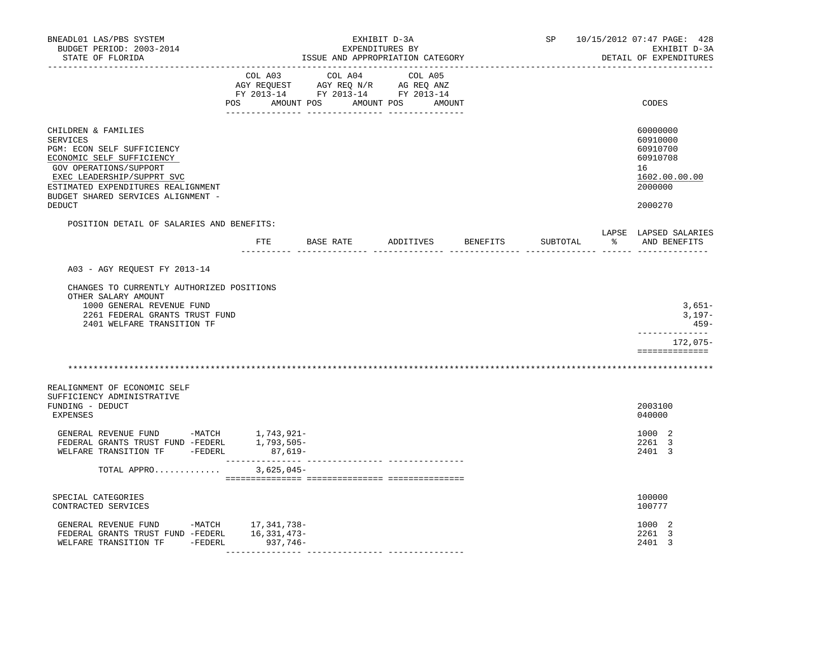| BNEADL01 LAS/PBS SYSTEM<br>BUDGET PERIOD: 2003-2014<br>STATE OF FLORIDA                                                                                                                                                                      |                         | ISSUE AND APPROPRIATION CATEGORY                                     | EXHIBIT D-3A<br>EXPENDITURES BY |          | SP         | 10/15/2012 07:47 PAGE: 428<br>EXHIBIT D-3A<br>DETAIL OF EXPENDITURES           |
|----------------------------------------------------------------------------------------------------------------------------------------------------------------------------------------------------------------------------------------------|-------------------------|----------------------------------------------------------------------|---------------------------------|----------|------------|--------------------------------------------------------------------------------|
| ---------------                                                                                                                                                                                                                              |                         | FY 2013-14 FY 2013-14 FY 2013-14<br>POS AMOUNT POS AMOUNT POS AMOUNT |                                 |          |            | CODES                                                                          |
| CHILDREN & FAMILIES<br><b>SERVICES</b><br>PGM: ECON SELF SUFFICIENCY<br>ECONOMIC SELF SUFFICIENCY<br><b>GOV OPERATIONS/SUPPORT</b><br>EXEC LEADERSHIP/SUPPRT SVC<br>ESTIMATED EXPENDITURES REALIGNMENT<br>BUDGET SHARED SERVICES ALIGNMENT - |                         |                                                                      |                                 |          |            | 60000000<br>60910000<br>60910700<br>60910708<br>16<br>1602.00.00.00<br>2000000 |
| DEDUCT                                                                                                                                                                                                                                       |                         |                                                                      |                                 |          |            | 2000270                                                                        |
| POSITION DETAIL OF SALARIES AND BENEFITS:                                                                                                                                                                                                    | ETE                     | BASE RATE                                                            | ADDITIVES                       | BENEFITS | SUBTOTAL % | LAPSE LAPSED SALARIES<br>AND BENEFITS                                          |
|                                                                                                                                                                                                                                              |                         |                                                                      |                                 |          |            |                                                                                |
| A03 - AGY REOUEST FY 2013-14                                                                                                                                                                                                                 |                         |                                                                      |                                 |          |            |                                                                                |
| CHANGES TO CURRENTLY AUTHORIZED POSITIONS<br>OTHER SALARY AMOUNT<br>1000 GENERAL REVENUE FUND<br>2261 FEDERAL GRANTS TRUST FUND<br>2401 WELFARE TRANSITION TF                                                                                |                         |                                                                      |                                 |          |            | $3,651-$<br>$3,197-$<br>459-                                                   |
|                                                                                                                                                                                                                                              |                         |                                                                      |                                 |          |            | --------------<br>172,075-<br>==============                                   |
|                                                                                                                                                                                                                                              |                         |                                                                      |                                 |          |            |                                                                                |
| REALIGNMENT OF ECONOMIC SELF<br>SUFFICIENCY ADMINISTRATIVE<br>FUNDING - DEDUCT<br><b>EXPENSES</b>                                                                                                                                            |                         |                                                                      |                                 |          |            | 2003100<br>040000                                                              |
| GENERAL REVENUE FUND -MATCH $1,743,921$ -<br>FEDERAL GRANTS TRUST FUND -FEDERL 1,793,505-<br>WELFARE TRANSITION TF -FEDERL                                                                                                                   | $87,619-$<br>________   |                                                                      |                                 |          |            | 1000 2<br>2261 3<br>2401 3                                                     |
| TOTAL APPRO                                                                                                                                                                                                                                  | $3,625,045-$            |                                                                      |                                 |          |            |                                                                                |
| SPECIAL CATEGORIES<br>CONTRACTED SERVICES                                                                                                                                                                                                    |                         |                                                                      |                                 |          |            | 100000<br>100777                                                               |
| GENERAL REVENUE FUND -MATCH 17,341,738-<br>FEDERAL GRANTS TRUST FUND -FEDERL<br>WELFARE TRANSITION TF -FEDERL                                                                                                                                | 16,331,473–<br>937,746- |                                                                      |                                 |          |            | 1000 2<br>2261 3<br>2401 3                                                     |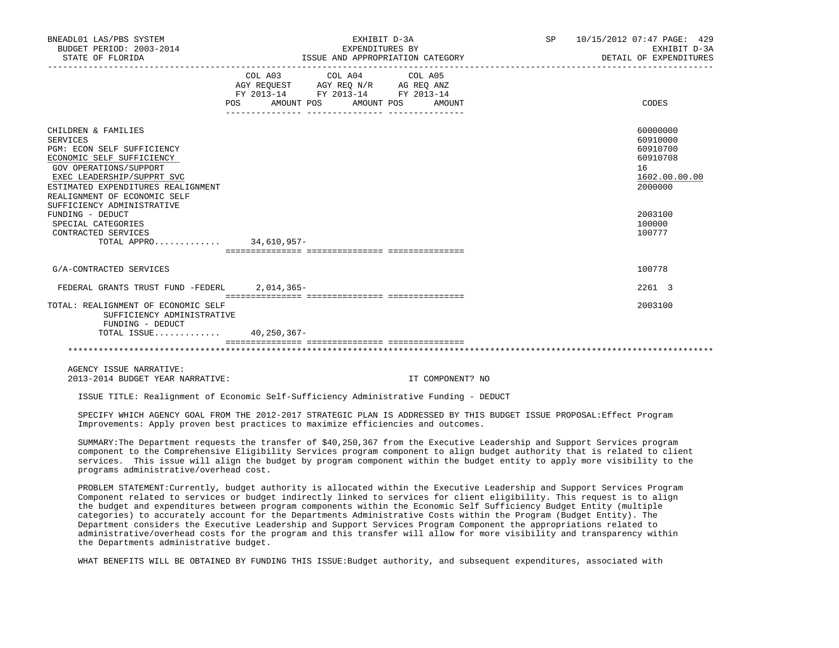| BNEADL01 LAS/PBS SYSTEM<br>BUDGET PERIOD: 2003-2014<br>STATE OF FLORIDA                                                                                                                                                                                                                                                                                   | EXHIBIT D-3A<br>EXPENDITURES BY<br>ISSUE AND APPROPRIATION CATEGORY<br>__________________________                                     | SP 10/15/2012 07:47 PAGE: 429<br>EXHIBIT D-3A<br>DETAIL OF EXPENDITURES                                       |
|-----------------------------------------------------------------------------------------------------------------------------------------------------------------------------------------------------------------------------------------------------------------------------------------------------------------------------------------------------------|---------------------------------------------------------------------------------------------------------------------------------------|---------------------------------------------------------------------------------------------------------------|
|                                                                                                                                                                                                                                                                                                                                                           | COL A03 COL A04 COL A05<br>AGY REQUEST AGY REQ N/R AG REQ ANZ<br>FY 2013-14 FY 2013-14 FY 2013-14<br>POS AMOUNT POS AMOUNT POS AMOUNT | CODES                                                                                                         |
| CHILDREN & FAMILIES<br><b>SERVICES</b><br>PGM: ECON SELF SUFFICIENCY<br>ECONOMIC SELF SUFFICIENCY<br>GOV OPERATIONS/SUPPORT<br>EXEC LEADERSHIP/SUPPRT SVC<br>ESTIMATED EXPENDITURES REALIGNMENT<br>REALIGNMENT OF ECONOMIC SELF<br>SUFFICIENCY ADMINISTRATIVE<br>FUNDING - DEDUCT<br>SPECIAL CATEGORIES<br>CONTRACTED SERVICES<br>TOTAL APPRO 34,610,957- |                                                                                                                                       | 60000000<br>60910000<br>60910700<br>60910708<br>16<br>1602.00.00.00<br>2000000<br>2003100<br>100000<br>100777 |
| G/A-CONTRACTED SERVICES                                                                                                                                                                                                                                                                                                                                   |                                                                                                                                       | 100778                                                                                                        |
| FEDERAL GRANTS TRUST FUND -FEDERL 2.014.365-                                                                                                                                                                                                                                                                                                              |                                                                                                                                       | 2261 3                                                                                                        |
| TOTAL: REALIGNMENT OF ECONOMIC SELF<br>SUFFICIENCY ADMINISTRATIVE<br>FUNDING - DEDUCT<br>TOTAL ISSUE 40,250,367-                                                                                                                                                                                                                                          |                                                                                                                                       | 2003100                                                                                                       |
|                                                                                                                                                                                                                                                                                                                                                           |                                                                                                                                       |                                                                                                               |

 AGENCY ISSUE NARRATIVE: 2013-2014 BUDGET YEAR NARRATIVE: IT COMPONENT? NO

ISSUE TITLE: Realignment of Economic Self-Sufficiency Administrative Funding - DEDUCT

 SPECIFY WHICH AGENCY GOAL FROM THE 2012-2017 STRATEGIC PLAN IS ADDRESSED BY THIS BUDGET ISSUE PROPOSAL:Effect Program Improvements: Apply proven best practices to maximize efficiencies and outcomes.

 SUMMARY:The Department requests the transfer of \$40,250,367 from the Executive Leadership and Support Services program component to the Comprehensive Eligibility Services program component to align budget authority that is related to client services. This issue will align the budget by program component within the budget entity to apply more visibility to the programs administrative/overhead cost.

 PROBLEM STATEMENT:Currently, budget authority is allocated within the Executive Leadership and Support Services Program Component related to services or budget indirectly linked to services for client eligibility. This request is to align the budget and expenditures between program components within the Economic Self Sufficiency Budget Entity (multiple categories) to accurately account for the Departments Administrative Costs within the Program (Budget Entity). The Department considers the Executive Leadership and Support Services Program Component the appropriations related to administrative/overhead costs for the program and this transfer will allow for more visibility and transparency within the Departments administrative budget.

WHAT BENEFITS WILL BE OBTAINED BY FUNDING THIS ISSUE:Budget authority, and subsequent expenditures, associated with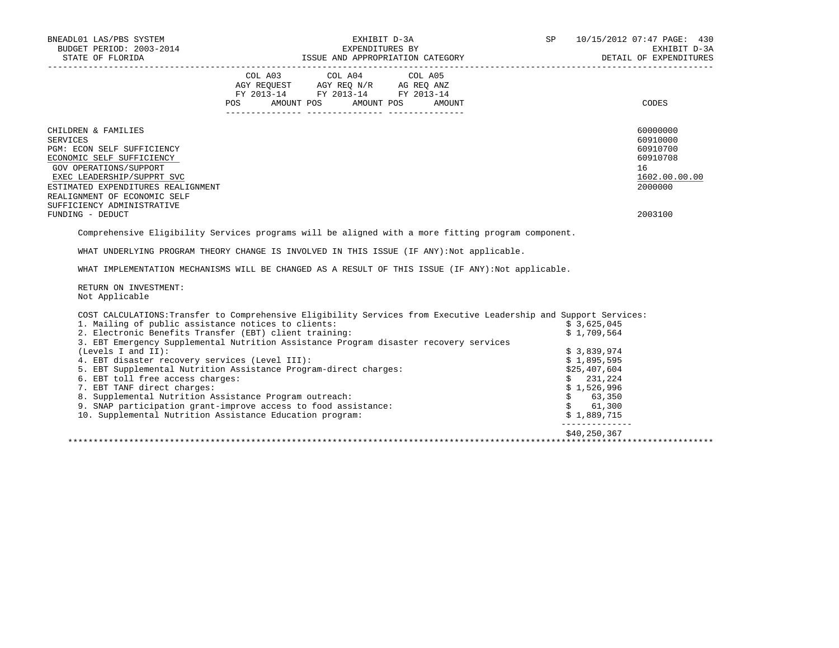| BNEADL01 LAS/PBS SYSTEM<br>BUDGET PERIOD: 2003-2014<br>STATE OF FLORIDA                                                                                                                                                                                                           | EXHIBIT D-3A                                                                                                                                                                                                                                                                 | SP                            | 10/15/2012 07:47 PAGE: 430<br>EXHIBIT D-3A<br>DETAIL OF EXPENDITURES                      |
|-----------------------------------------------------------------------------------------------------------------------------------------------------------------------------------------------------------------------------------------------------------------------------------|------------------------------------------------------------------------------------------------------------------------------------------------------------------------------------------------------------------------------------------------------------------------------|-------------------------------|-------------------------------------------------------------------------------------------|
|                                                                                                                                                                                                                                                                                   | COL A03 COL A04 COL A05<br>$\begin{tabular}{lllllllll} \bf AGY & \bf REQUEST & \bf AGY & \bf REQ & \bf N/R & \bf AG & \bf REQ & \bf ANZ \\ \bf FY & \tt 2013-14 & \bf FY & \tt 2013-14 & \bf FY & \tt 2013-14 \\ \end{tabular}$<br>POS<br>AMOUNT POS<br>AMOUNT POS<br>AMOUNT |                               | CODES                                                                                     |
| CHILDREN & FAMILIES<br><b>SERVICES</b><br>PGM: ECON SELF SUFFICIENCY<br>ECONOMIC SELF SUFFICIENCY<br>GOV OPERATIONS/SUPPORT<br>EXEC LEADERSHIP/SUPPRT SVC<br>ESTIMATED EXPENDITURES REALIGNMENT<br>REALIGNMENT OF ECONOMIC SELF<br>SUFFICIENCY ADMINISTRATIVE<br>FUNDING - DEDUCT |                                                                                                                                                                                                                                                                              |                               | 60000000<br>60910000<br>60910700<br>60910708<br>16<br>1602.00.00.00<br>2000000<br>2003100 |
|                                                                                                                                                                                                                                                                                   |                                                                                                                                                                                                                                                                              |                               |                                                                                           |
|                                                                                                                                                                                                                                                                                   | Comprehensive Eligibility Services programs will be aligned with a more fitting program component.                                                                                                                                                                           |                               |                                                                                           |
|                                                                                                                                                                                                                                                                                   | WHAT UNDERLYING PROGRAM THEORY CHANGE IS INVOLVED IN THIS ISSUE (IF ANY):Not applicable.                                                                                                                                                                                     |                               |                                                                                           |
|                                                                                                                                                                                                                                                                                   | WHAT IMPLEMENTATION MECHANISMS WILL BE CHANGED AS A RESULT OF THIS ISSUE (IF ANY): Not applicable.                                                                                                                                                                           |                               |                                                                                           |
| RETURN ON INVESTMENT:<br>Not Applicable                                                                                                                                                                                                                                           |                                                                                                                                                                                                                                                                              |                               |                                                                                           |
|                                                                                                                                                                                                                                                                                   | COST CALCULATIONS: Transfer to Comprehensive Eligibility Services from Executive Leadership and Support Services:                                                                                                                                                            |                               |                                                                                           |
| 1. Mailing of public assistance notices to clients:                                                                                                                                                                                                                               |                                                                                                                                                                                                                                                                              | \$3,625,045                   |                                                                                           |
| 2. Electronic Benefits Transfer (EBT) client training:                                                                                                                                                                                                                            |                                                                                                                                                                                                                                                                              | \$1,709,564                   |                                                                                           |
|                                                                                                                                                                                                                                                                                   | 3. EBT Emergency Supplemental Nutrition Assistance Program disaster recovery services                                                                                                                                                                                        |                               |                                                                                           |
| (Levels I and II):                                                                                                                                                                                                                                                                |                                                                                                                                                                                                                                                                              | \$3,839,974                   |                                                                                           |
| 4. EBT disaster recovery services (Level III):                                                                                                                                                                                                                                    | 5. EBT Supplemental Nutrition Assistance Program-direct charges:                                                                                                                                                                                                             | \$1,895,595                   |                                                                                           |
| 6. EBT toll free access charges:                                                                                                                                                                                                                                                  |                                                                                                                                                                                                                                                                              | \$25,407,604<br>\$231,224     |                                                                                           |
| 7. EBT TANF direct charges:                                                                                                                                                                                                                                                       |                                                                                                                                                                                                                                                                              | \$1,526,996                   |                                                                                           |
| 8. Supplemental Nutrition Assistance Program outreach:                                                                                                                                                                                                                            |                                                                                                                                                                                                                                                                              | \$ 63,350                     |                                                                                           |
|                                                                                                                                                                                                                                                                                   | 9. SNAP participation grant-improve access to food assistance:                                                                                                                                                                                                               | \$ 61,300                     |                                                                                           |
| 10. Supplemental Nutrition Assistance Education program:                                                                                                                                                                                                                          |                                                                                                                                                                                                                                                                              | \$1,889,715<br>______________ |                                                                                           |
|                                                                                                                                                                                                                                                                                   |                                                                                                                                                                                                                                                                              | \$40,250,367                  |                                                                                           |
|                                                                                                                                                                                                                                                                                   |                                                                                                                                                                                                                                                                              |                               |                                                                                           |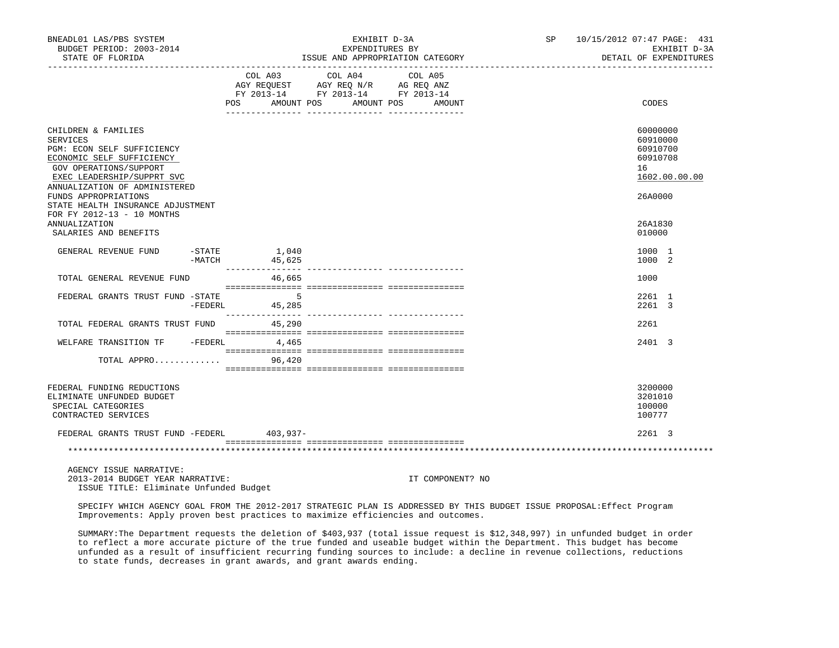| BNEADL01 LAS/PBS SYSTEM<br>BUDGET PERIOD: 2003-2014<br>STATE OF FLORIDA                                                                                                                    | EXHIBIT D-3A<br>EXPENDITURES BY<br>ISSUE AND APPROPRIATION CATEGORY                                                                                                                                                                                                                                                                                                                                                                 |         |         | SP 10/15/2012 07:47 PAGE: 431<br>EXHIBIT D-3A<br>DETAIL OF EXPENDITURES |  |                                                                     |
|--------------------------------------------------------------------------------------------------------------------------------------------------------------------------------------------|-------------------------------------------------------------------------------------------------------------------------------------------------------------------------------------------------------------------------------------------------------------------------------------------------------------------------------------------------------------------------------------------------------------------------------------|---------|---------|-------------------------------------------------------------------------|--|---------------------------------------------------------------------|
|                                                                                                                                                                                            | COL A03<br>AGY REQUEST AGY REQ N/R AG REQ ANZ<br>FY 2013-14 FY 2013-14 FY 2013-14<br>POS AMOUNT POS AMOUNT POS AMOUNT                                                                                                                                                                                                                                                                                                               | COL A04 | COL A05 |                                                                         |  | CODES                                                               |
| CHILDREN & FAMILIES<br><b>SERVICES</b><br>PGM: ECON SELF SUFFICIENCY<br>ECONOMIC SELF SUFFICIENCY<br>GOV OPERATIONS/SUPPORT<br>EXEC LEADERSHIP/SUPPRT SVC<br>ANNUALIZATION OF ADMINISTERED |                                                                                                                                                                                                                                                                                                                                                                                                                                     |         |         |                                                                         |  | 60000000<br>60910000<br>60910700<br>60910708<br>16<br>1602.00.00.00 |
| FUNDS APPROPRIATIONS<br>STATE HEALTH INSURANCE ADJUSTMENT<br>FOR FY 2012-13 - 10 MONTHS<br><b>ANNUALIZATION</b><br>SALARIES AND BENEFITS                                                   |                                                                                                                                                                                                                                                                                                                                                                                                                                     |         |         |                                                                         |  | 26A0000<br>26A1830<br>010000                                        |
| GENERAL REVENUE FUND                                                                                                                                                                       | $-$ STATE $1,040$<br>$-MATCH$ 45,625                                                                                                                                                                                                                                                                                                                                                                                                |         |         |                                                                         |  | 1000 1<br>1000 2                                                    |
| TOTAL GENERAL REVENUE FUND                                                                                                                                                                 | 46,665                                                                                                                                                                                                                                                                                                                                                                                                                              |         |         |                                                                         |  | 1000                                                                |
| FEDERAL GRANTS TRUST FUND -STATE                                                                                                                                                           | $\sim$ 5<br>-FEDERL 45,285                                                                                                                                                                                                                                                                                                                                                                                                          |         |         |                                                                         |  | 2261 1<br>2261 3                                                    |
| TOTAL FEDERAL GRANTS TRUST FUND 45,290                                                                                                                                                     |                                                                                                                                                                                                                                                                                                                                                                                                                                     |         |         |                                                                         |  | 2261                                                                |
| WELFARE TRANSITION TF - FEDERL 4,465                                                                                                                                                       | $\begin{minipage}{0.03\textwidth} \begin{tabular}{l} \textbf{1} & \textbf{2} & \textbf{3} & \textbf{5} & \textbf{5} & \textbf{6} & \textbf{6} & \textbf{7} & \textbf{8} & \textbf{8} & \textbf{9} & \textbf{9} & \textbf{9} & \textbf{9} & \textbf{9} & \textbf{9} & \textbf{9} & \textbf{9} & \textbf{9} & \textbf{9} & \textbf{9} & \textbf{9} & \textbf{9} & \textbf{9} & \textbf{9} & \textbf{9} & \textbf{9} & \textbf{9} & \$ |         |         |                                                                         |  | 2401 3                                                              |
| TOTAL APPRO                                                                                                                                                                                | 96,420                                                                                                                                                                                                                                                                                                                                                                                                                              |         |         |                                                                         |  |                                                                     |
| FEDERAL FUNDING REDUCTIONS<br>ELIMINATE UNFUNDED BUDGET<br>SPECIAL CATEGORIES<br>CONTRACTED SERVICES                                                                                       |                                                                                                                                                                                                                                                                                                                                                                                                                                     |         |         |                                                                         |  | 3200000<br>3201010<br>100000<br>100777                              |
| FEDERAL GRANTS TRUST FUND -FEDERL 403,937-                                                                                                                                                 |                                                                                                                                                                                                                                                                                                                                                                                                                                     |         |         |                                                                         |  | 2261 3                                                              |
|                                                                                                                                                                                            |                                                                                                                                                                                                                                                                                                                                                                                                                                     |         |         |                                                                         |  |                                                                     |
| AGENCY ISSUE NARRATIVE:                                                                                                                                                                    |                                                                                                                                                                                                                                                                                                                                                                                                                                     |         |         |                                                                         |  |                                                                     |

 2013-2014 BUDGET YEAR NARRATIVE: IT COMPONENT? NO ISSUE TITLE: Eliminate Unfunded Budget

 SPECIFY WHICH AGENCY GOAL FROM THE 2012-2017 STRATEGIC PLAN IS ADDRESSED BY THIS BUDGET ISSUE PROPOSAL:Effect Program Improvements: Apply proven best practices to maximize efficiencies and outcomes.

 SUMMARY:The Department requests the deletion of \$403,937 (total issue request is \$12,348,997) in unfunded budget in order to reflect a more accurate picture of the true funded and useable budget within the Department. This budget has become unfunded as a result of insufficient recurring funding sources to include: a decline in revenue collections, reductions to state funds, decreases in grant awards, and grant awards ending.